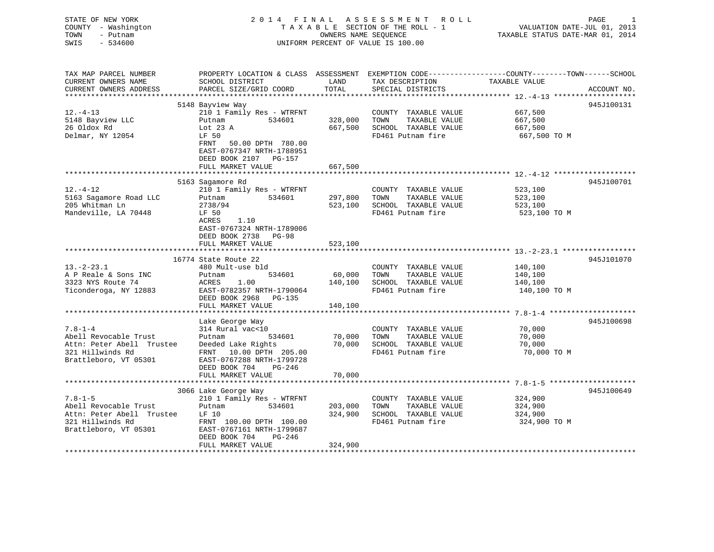| STATE OF NEW YORK<br>COUNTY - Washington<br>TOWN<br>- Putnam<br>SWIS<br>$-534600$ |                                                     | OWNERS NAME SEQUENCE | 2014 FINAL ASSESSMENT<br>ROLL<br>TAXABLE SECTION OF THE ROLL - 1<br>UNIFORM PERCENT OF VALUE IS 100.00 | PAGE<br>-1<br>VALUATION DATE-JUL 01, 2013<br>TAXABLE STATUS DATE-MAR 01, 2014                                                   |
|-----------------------------------------------------------------------------------|-----------------------------------------------------|----------------------|--------------------------------------------------------------------------------------------------------|---------------------------------------------------------------------------------------------------------------------------------|
| TAX MAP PARCEL NUMBER<br>CURRENT OWNERS NAME<br>CURRENT OWNERS ADDRESS            | SCHOOL DISTRICT<br>PARCEL SIZE/GRID COORD           | LAND<br>TOTAL        | TAX DESCRIPTION<br>SPECIAL DISTRICTS                                                                   | PROPERTY LOCATION & CLASS ASSESSMENT EXEMPTION CODE---------------COUNTY-------TOWN------SCHOOL<br>TAXABLE VALUE<br>ACCOUNT NO. |
|                                                                                   |                                                     |                      |                                                                                                        |                                                                                                                                 |
| $12. - 4 - 13$                                                                    | 5148 Bayview Way<br>210 1 Family Res - WTRFNT       |                      | COUNTY TAXABLE VALUE                                                                                   | 945J100131<br>667,500                                                                                                           |
| 5148 Bayview LLC                                                                  | Putnam<br>534601                                    | 328,000              | TOWN<br>TAXABLE VALUE                                                                                  | 667,500                                                                                                                         |
| 26 Oldox Rd                                                                       | Lot $23$ A                                          | 667,500              | SCHOOL TAXABLE VALUE                                                                                   | 667,500                                                                                                                         |
| Delmar, NY 12054                                                                  | LF 50                                               |                      | FD461 Putnam fire                                                                                      | 667,500 TO M                                                                                                                    |
|                                                                                   | FRNT<br>50.00 DPTH 780.00                           |                      |                                                                                                        |                                                                                                                                 |
|                                                                                   | EAST-0767347 NRTH-1788951                           |                      |                                                                                                        |                                                                                                                                 |
|                                                                                   | DEED BOOK 2107 PG-157                               |                      |                                                                                                        |                                                                                                                                 |
|                                                                                   | FULL MARKET VALUE                                   | 667,500              |                                                                                                        |                                                                                                                                 |
|                                                                                   |                                                     |                      |                                                                                                        | 945J100701                                                                                                                      |
| $12. - 4 - 12$                                                                    | 5163 Sagamore Rd<br>210 1 Family Res - WTRFNT       |                      | COUNTY TAXABLE VALUE                                                                                   | 523,100                                                                                                                         |
| 5163 Sagamore Road LLC                                                            | 534601<br>Putnam                                    | 297,800              | TOWN<br>TAXABLE VALUE                                                                                  | 523,100                                                                                                                         |
| 205 Whitman Ln                                                                    | 2738/94                                             | 523,100              | SCHOOL TAXABLE VALUE                                                                                   | 523,100                                                                                                                         |
| Mandeville, LA 70448                                                              | LF 50                                               |                      | FD461 Putnam fire                                                                                      | 523,100 TO M                                                                                                                    |
|                                                                                   | ACRES<br>1.10                                       |                      |                                                                                                        |                                                                                                                                 |
|                                                                                   | EAST-0767324 NRTH-1789006                           |                      |                                                                                                        |                                                                                                                                 |
|                                                                                   | DEED BOOK 2738 PG-98                                |                      |                                                                                                        |                                                                                                                                 |
|                                                                                   | FULL MARKET VALUE                                   | 523,100              |                                                                                                        |                                                                                                                                 |
|                                                                                   |                                                     |                      |                                                                                                        |                                                                                                                                 |
| $13.-2-23.1$                                                                      | 16774 State Route 22<br>480 Mult-use bld            |                      | COUNTY TAXABLE VALUE                                                                                   | 945J101070<br>140,100                                                                                                           |
| A P Reale & Sons INC                                                              | Putnam<br>534601                                    | 60,000               | TOWN<br>TAXABLE VALUE                                                                                  | 140,100                                                                                                                         |
| 3323 NYS Route 74                                                                 | ACRES<br>1.00                                       | 140,100              | SCHOOL TAXABLE VALUE                                                                                   | 140,100                                                                                                                         |
| Ticonderoga, NY 12883                                                             | EAST-0782357 NRTH-1790064                           |                      | FD461 Putnam fire                                                                                      | 140,100 TO M                                                                                                                    |
|                                                                                   | DEED BOOK 2968 PG-135                               |                      |                                                                                                        |                                                                                                                                 |
|                                                                                   | FULL MARKET VALUE                                   | 140,100              |                                                                                                        |                                                                                                                                 |
|                                                                                   |                                                     |                      |                                                                                                        |                                                                                                                                 |
|                                                                                   | Lake George Way                                     |                      |                                                                                                        | 945J100698                                                                                                                      |
| $7.8 - 1 - 4$                                                                     | 314 Rural vac<10                                    |                      | COUNTY TAXABLE VALUE                                                                                   | 70,000                                                                                                                          |
| Abell Revocable Trust                                                             | Putnam<br>534601                                    | 70,000               | TOWN<br>TAXABLE VALUE                                                                                  | 70,000                                                                                                                          |
| Attn: Peter Abell Trustee                                                         | Deeded Lake Rights                                  | 70,000               | SCHOOL TAXABLE VALUE                                                                                   | 70,000                                                                                                                          |
| 321 Hillwinds Rd<br>Brattleboro, VT 05301                                         | FRNT 10.00 DPTH 205.00<br>EAST-0767288 NRTH-1799728 |                      | FD461 Putnam fire                                                                                      | 70,000 TO M                                                                                                                     |
|                                                                                   | DEED BOOK 704<br>$PG-246$                           |                      |                                                                                                        |                                                                                                                                 |
|                                                                                   | FULL MARKET VALUE                                   | 70,000               |                                                                                                        |                                                                                                                                 |
|                                                                                   |                                                     |                      |                                                                                                        |                                                                                                                                 |
|                                                                                   | 3066 Lake George Way                                |                      |                                                                                                        | 945J100649                                                                                                                      |
| $7.8 - 1 - 5$                                                                     | 210 1 Family Res - WTRFNT                           |                      | COUNTY TAXABLE VALUE                                                                                   | 324,900                                                                                                                         |
| Abell Revocable Trust                                                             | Putnam<br>534601                                    | 203,000              | TOWN<br>TAXABLE VALUE                                                                                  | 324,900                                                                                                                         |
| Attn: Peter Abell Trustee                                                         | LF 10                                               | 324,900              | SCHOOL TAXABLE VALUE                                                                                   | 324,900                                                                                                                         |
| 321 Hillwinds Rd                                                                  | FRNT 100.00 DPTH 100.00                             |                      | FD461 Putnam fire                                                                                      | 324,900 TO M                                                                                                                    |
| Brattleboro, VT 05301                                                             | EAST-0767161 NRTH-1799687                           |                      |                                                                                                        |                                                                                                                                 |
|                                                                                   | DEED BOOK 704<br>PG-246                             |                      |                                                                                                        |                                                                                                                                 |
| *************************************                                             | FULL MARKET VALUE                                   | 324,900              |                                                                                                        |                                                                                                                                 |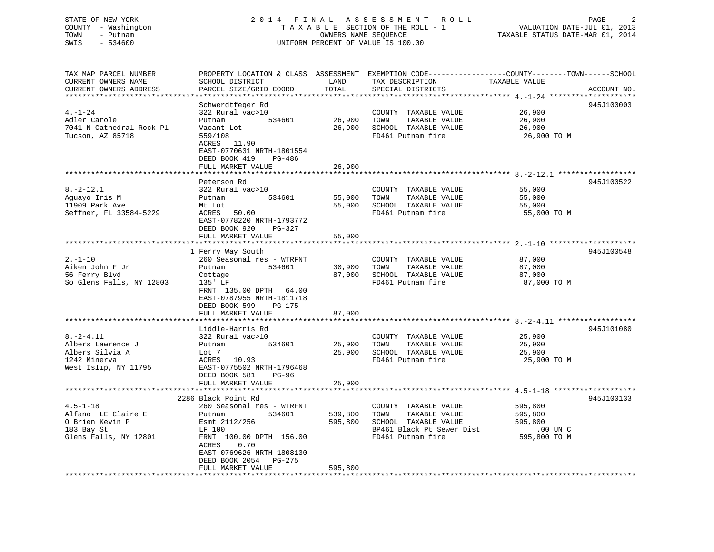### STATE OF NEW YORK 2 0 1 4 F I N A L A S S E S S M E N T R O L L PAGE 2 COUNTY - Washington T A X A B L E SECTION OF THE ROLL - 1 VALUATION DATE-JUL 01, 2013 TOWN - Putnam OWNERS NAME SEQUENCE TAXABLE STATUS DATE-MAR 01, 2014 SWIS - 534600 UNIFORM PERCENT OF VALUE IS 100.00

| TAX MAP PARCEL NUMBER    | PROPERTY LOCATION & CLASS ASSESSMENT EXEMPTION CODE-----------------COUNTY-------TOWN------SCHOOL |         |                           |               |             |
|--------------------------|---------------------------------------------------------------------------------------------------|---------|---------------------------|---------------|-------------|
| CURRENT OWNERS NAME      | SCHOOL DISTRICT                                                                                   | LAND    | TAX DESCRIPTION           | TAXABLE VALUE |             |
| CURRENT OWNERS ADDRESS   | PARCEL SIZE/GRID COORD                                                                            | TOTAL   | SPECIAL DISTRICTS         |               | ACCOUNT NO. |
|                          |                                                                                                   |         |                           |               |             |
|                          | Schwerdtfeger Rd                                                                                  |         |                           |               | 945J100003  |
| $4. - 1 - 24$            | 322 Rural vac>10                                                                                  |         | COUNTY TAXABLE VALUE      | 26,900        |             |
|                          |                                                                                                   |         |                           |               |             |
| Adler Carole             | 534601<br>Putnam                                                                                  | 26,900  | TOWN<br>TAXABLE VALUE     | 26,900        |             |
| 7041 N Cathedral Rock Pl | Vacant Lot                                                                                        | 26,900  | SCHOOL TAXABLE VALUE      | 26,900        |             |
| Tucson, AZ 85718         | 559/108                                                                                           |         | FD461 Putnam fire         | 26,900 ТО М   |             |
|                          | ACRES 11.90                                                                                       |         |                           |               |             |
|                          | EAST-0770631 NRTH-1801554                                                                         |         |                           |               |             |
|                          | DEED BOOK 419<br>PG-486                                                                           |         |                           |               |             |
|                          | FULL MARKET VALUE                                                                                 | 26,900  |                           |               |             |
|                          | ***********************                                                                           |         |                           |               |             |
|                          | Peterson Rd                                                                                       |         |                           |               | 945J100522  |
| $8. - 2 - 12.1$          | 322 Rural vac>10                                                                                  |         | COUNTY TAXABLE VALUE      | 55,000        |             |
| Aguayo Iris M            | 534601<br>Putnam                                                                                  | 55,000  | TOWN<br>TAXABLE VALUE     | 55,000        |             |
|                          |                                                                                                   |         |                           |               |             |
| 11909 Park Ave           | Mt Lot                                                                                            | 55,000  | SCHOOL TAXABLE VALUE      | 55,000        |             |
| Seffner, FL 33584-5229   | ACRES<br>50.00                                                                                    |         | FD461 Putnam fire         | 55,000 TO M   |             |
|                          | EAST-0778220 NRTH-1793772                                                                         |         |                           |               |             |
|                          | DEED BOOK 920<br>PG-327                                                                           |         |                           |               |             |
|                          | FULL MARKET VALUE                                                                                 | 55,000  |                           |               |             |
|                          |                                                                                                   |         |                           |               |             |
|                          | 1 Ferry Way South                                                                                 |         |                           |               | 945J100548  |
| $2. - 1 - 10$            | 260 Seasonal res - WTRFNT                                                                         |         | COUNTY TAXABLE VALUE      | 87,000        |             |
| Aiken John F Jr          | 534601<br>Putnam                                                                                  | 30,900  | TOWN<br>TAXABLE VALUE     | 87,000        |             |
| 56 Ferry Blvd            | Cottage                                                                                           | 87,000  | SCHOOL TAXABLE VALUE      | 87,000        |             |
| So Glens Falls, NY 12803 | $135'$ LF                                                                                         |         | FD461 Putnam fire         | 87,000 TO M   |             |
|                          |                                                                                                   |         |                           |               |             |
|                          | FRNT 135.00 DPTH 64.00                                                                            |         |                           |               |             |
|                          | EAST-0787955 NRTH-1811718                                                                         |         |                           |               |             |
|                          | DEED BOOK 599<br>$PG-175$                                                                         |         |                           |               |             |
|                          | FULL MARKET VALUE                                                                                 | 87,000  |                           |               |             |
|                          |                                                                                                   |         |                           |               |             |
|                          | Liddle-Harris Rd                                                                                  |         |                           |               | 945J101080  |
| $8. - 2 - 4.11$          | 322 Rural vac>10                                                                                  |         | COUNTY TAXABLE VALUE      | 25,900        |             |
| Albers Lawrence J        | 534601<br>Putnam                                                                                  | 25,900  | TAXABLE VALUE<br>TOWN     | 25,900        |             |
| Albers Silvia A          | Lot 7                                                                                             | 25,900  | SCHOOL TAXABLE VALUE      | 25,900        |             |
| 1242 Minerva             | ACRES 10.93                                                                                       |         | FD461 Putnam fire         | 25,900 TO M   |             |
| West Islip, NY 11795     | EAST-0775502 NRTH-1796468                                                                         |         |                           |               |             |
|                          | DEED BOOK 581<br>$PG-96$                                                                          |         |                           |               |             |
|                          |                                                                                                   | 25,900  |                           |               |             |
|                          | FULL MARKET VALUE                                                                                 |         |                           |               |             |
|                          |                                                                                                   |         |                           |               |             |
|                          | 2286 Black Point Rd                                                                               |         |                           |               | 945J100133  |
| $4.5 - 1 - 18$           | 260 Seasonal res - WTRFNT                                                                         |         | COUNTY TAXABLE VALUE      | 595,800       |             |
| Alfano LE Claire E       | 534601<br>Putnam                                                                                  | 539,800 | TOWN<br>TAXABLE VALUE     | 595,800       |             |
| O Brien Kevin P          | Esmt 2112/256                                                                                     | 595,800 | SCHOOL TAXABLE VALUE      | 595,800       |             |
| 183 Bay St               | LF 100                                                                                            |         | BP461 Black Pt Sewer Dist | .00 UN C      |             |
| Glens Falls, NY 12801    | FRNT 100.00 DPTH 156.00                                                                           |         | FD461 Putnam fire         | 595,800 TO M  |             |
|                          | 0.70<br>ACRES                                                                                     |         |                           |               |             |
|                          | EAST-0769626 NRTH-1808130                                                                         |         |                           |               |             |
|                          | DEED BOOK 2054 PG-275                                                                             |         |                           |               |             |
|                          | FULL MARKET VALUE                                                                                 | 595,800 |                           |               |             |
|                          |                                                                                                   |         |                           |               |             |
|                          |                                                                                                   |         |                           |               |             |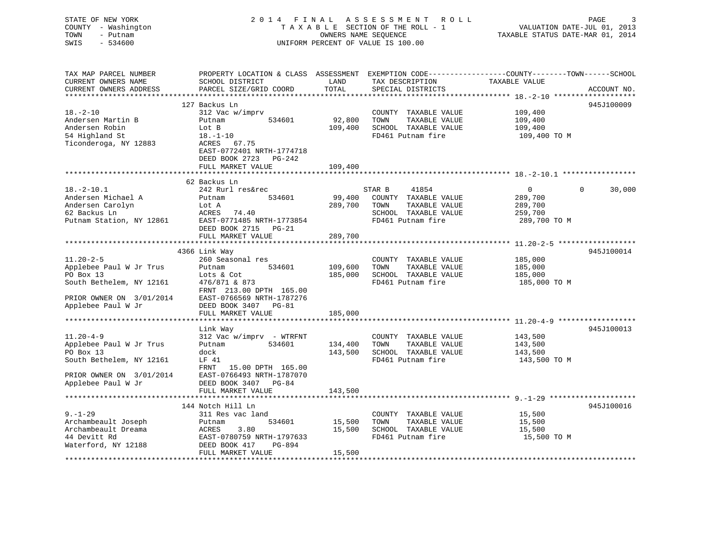# STATE OF NEW YORK 2014 FINAL ASSESSMENT ROLL PAGE 3 COUNTY - Washington  $T A X A B L E$  SECTION OF THE ROLL - 1<br>TOWN - Putnam data of the COUNTERS NAME SEQUENCE SWIS - 534600 UNIFORM PERCENT OF VALUE IS 100.00

VALUATION DATE-JUL 01, 2013

TAXABLE STATUS DATE-MAR 01, 2014

| TAX MAP PARCEL NUMBER<br>CURRENT OWNERS NAME | PROPERTY LOCATION & CLASS ASSESSMENT EXEMPTION CODE---------------COUNTY-------TOWN-----SCHOOL<br>SCHOOL DISTRICT | LAND    | TAX DESCRIPTION       | TAXABLE VALUE  |                    |
|----------------------------------------------|-------------------------------------------------------------------------------------------------------------------|---------|-----------------------|----------------|--------------------|
| CURRENT OWNERS ADDRESS                       | PARCEL SIZE/GRID COORD                                                                                            | TOTAL   | SPECIAL DISTRICTS     |                | ACCOUNT NO.        |
|                                              |                                                                                                                   |         |                       |                |                    |
|                                              | 127 Backus Ln                                                                                                     |         |                       |                | 945J100009         |
| $18. - 2 - 10$                               | 312 Vac w/imprv                                                                                                   |         | COUNTY TAXABLE VALUE  | 109,400        |                    |
| Andersen Martin B                            | 534601<br>Putnam                                                                                                  | 92,800  | TOWN<br>TAXABLE VALUE | 109,400        |                    |
| Andersen Robin                               | Lot B                                                                                                             | 109,400 | SCHOOL TAXABLE VALUE  | 109,400        |                    |
| 54 Highland St                               | $18. - 1 - 10$                                                                                                    |         | FD461 Putnam fire     | 109,400 TO M   |                    |
| Ticonderoga, NY 12883                        | ACRES 67.75                                                                                                       |         |                       |                |                    |
|                                              | EAST-0772401 NRTH-1774718                                                                                         |         |                       |                |                    |
|                                              | DEED BOOK 2723 PG-242                                                                                             |         |                       |                |                    |
|                                              | FULL MARKET VALUE                                                                                                 | 109,400 |                       |                |                    |
|                                              | 62 Backus Ln                                                                                                      |         |                       |                |                    |
| $18.-2-10.1$                                 | 242 Rurl res&rec                                                                                                  |         | 41854<br>STAR B       | $\overline{0}$ | $\Omega$<br>30,000 |
| Andersen Michael A                           | 534601<br>Putnam                                                                                                  | 99,400  | COUNTY TAXABLE VALUE  | 289,700        |                    |
| Andersen Carolyn                             | Lot A                                                                                                             | 289,700 | TAXABLE VALUE<br>TOWN | 289,700        |                    |
| 62 Backus Ln                                 | ACRES<br>74.40                                                                                                    |         | SCHOOL TAXABLE VALUE  | 259,700        |                    |
| Putnam Station, NY 12861                     | EAST-0771485 NRTH-1773854                                                                                         |         | FD461 Putnam fire     | 289,700 TO M   |                    |
|                                              | DEED BOOK 2715 PG-21                                                                                              |         |                       |                |                    |
|                                              | FULL MARKET VALUE                                                                                                 | 289,700 |                       |                |                    |
|                                              |                                                                                                                   |         |                       |                |                    |
|                                              | 4366 Link Way                                                                                                     |         |                       |                | 945J100014         |
| $11.20 - 2 - 5$                              | 260 Seasonal res                                                                                                  |         | COUNTY TAXABLE VALUE  | 185,000        |                    |
| Applebee Paul W Jr Trus                      | Putnam<br>534601                                                                                                  | 109,600 | TOWN<br>TAXABLE VALUE | 185,000        |                    |
| PO Box 13                                    | Lots & Cot                                                                                                        | 185,000 | SCHOOL TAXABLE VALUE  | 185,000        |                    |
| South Bethelem, NY 12161                     | 476/871 & 873                                                                                                     |         | FD461 Putnam fire     | 185,000 ТО М   |                    |
| PRIOR OWNER ON 3/01/2014                     | FRNT 213.00 DPTH 165.00<br>EAST-0766569 NRTH-1787276                                                              |         |                       |                |                    |
| Applebee Paul W Jr                           | DEED BOOK 3407 PG-81                                                                                              |         |                       |                |                    |
|                                              | FULL MARKET VALUE                                                                                                 | 185,000 |                       |                |                    |
| ************************                     |                                                                                                                   |         |                       |                |                    |
|                                              | Link Way                                                                                                          |         |                       |                | 945J100013         |
| $11.20 - 4 - 9$                              | 312 Vac w/imprv - WTRFNT                                                                                          |         | COUNTY TAXABLE VALUE  | 143,500        |                    |
| Applebee Paul W Jr Trus                      | 534601<br>Putnam                                                                                                  | 134,400 | TOWN<br>TAXABLE VALUE | 143,500        |                    |
| PO Box 13                                    | dock                                                                                                              | 143,500 | SCHOOL TAXABLE VALUE  | 143,500        |                    |
| South Bethelem, NY 12161                     | LF 41                                                                                                             |         | FD461 Putnam fire     | 143,500 TO M   |                    |
|                                              | FRNT<br>15.00 DPTH 165.00                                                                                         |         |                       |                |                    |
| PRIOR OWNER ON 3/01/2014                     | EAST-0766493 NRTH-1787070                                                                                         |         |                       |                |                    |
| Applebee Paul W Jr                           | DEED BOOK 3407 PG-84                                                                                              |         |                       |                |                    |
|                                              | FULL MARKET VALUE                                                                                                 | 143,500 |                       |                |                    |
|                                              |                                                                                                                   |         |                       |                |                    |
|                                              | 144 Notch Hill Ln                                                                                                 |         |                       |                | 945J100016         |
| $9. - 1 - 29$                                | 311 Res vac land                                                                                                  |         | COUNTY TAXABLE VALUE  | 15,500         |                    |
| Archambeault Joseph                          | 534601<br>Putnam                                                                                                  | 15,500  | TOWN<br>TAXABLE VALUE | 15,500         |                    |
| Archambeault Dreama                          | 3.80<br>ACRES                                                                                                     | 15,500  | SCHOOL TAXABLE VALUE  | 15,500         |                    |
| 44 Devitt Rd                                 | EAST-0780759 NRTH-1797633<br>PG-894                                                                               |         | FD461 Putnam fire     | 15,500 TO M    |                    |
| Waterford, NY 12188                          | DEED BOOK 417<br>FULL MARKET VALUE                                                                                | 15,500  |                       |                |                    |
|                                              |                                                                                                                   |         |                       |                |                    |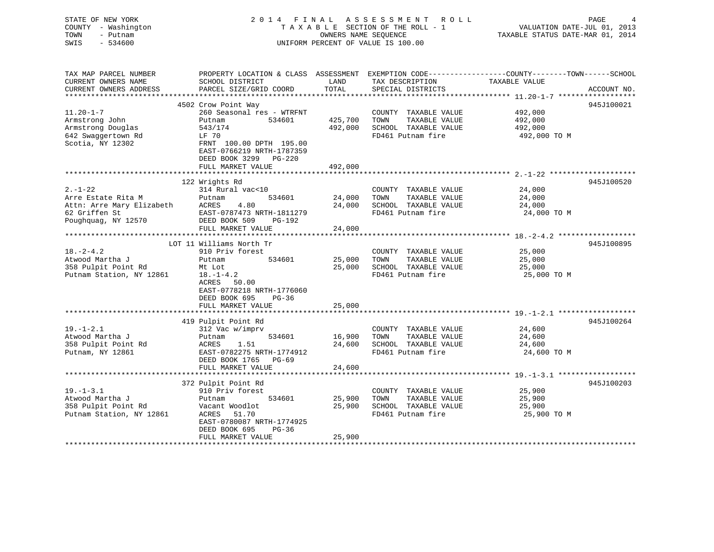STATE OF NEW YORK 2 0 1 4 F I N A L A S S E S S M E N T R O L L PAGE 4 COUNTY - Washington T A X A B L E SECTION OF THE ROLL - 1 VALUATION DATE-JUL 01, 2013 TOWN - Putnam OWNERS NAME SEQUENCE TAXABLE STATUS DATE-MAR 01, 2014 SWIS - 534600 UNIFORM PERCENT OF VALUE IS 100.00UNIFORM PERCENT OF VALUE IS 100.00 TAX MAP PARCEL NUMBER PROPERTY LOCATION & CLASS ASSESSMENT EXEMPTION CODE------------------COUNTY--------TOWN------SCHOOL CURRENT OWNERS NAME SCHOOL DISTRICT LAND TAX DESCRIPTION TAXABLE VALUE CURRENT OWNERS ADDRESS PARCEL SIZE/GRID COORD TOTAL SPECIAL DISTRICTS ACCOUNT NO. \*\*\*\*\*\*\*\*\*\*\*\*\*\*\*\*\*\*\*\*\*\*\*\*\*\*\*\*\*\*\*\*\*\*\*\*\*\*\*\*\*\*\*\*\*\*\*\*\*\*\*\*\*\*\*\*\*\*\*\*\*\*\*\*\*\*\*\*\*\*\*\*\*\*\*\*\*\*\*\*\*\*\*\*\*\*\*\*\*\*\*\*\*\*\*\*\*\*\*\*\*\*\* 11.20-1-7 \*\*\*\*\*\*\*\*\*\*\*\*\*\*\*\*\*\*945J100021 4502 Crow Point Way

| $11.20 - 1 - 7$<br>Armstrong John<br>Armstrong Douglas<br>642 Swaqqertown Rd<br>Scotia, NY 12302         | 260 Seasonal res - WTRFNT<br>Putnam<br>534601<br>543/174<br>LF 70<br>FRNT 100.00 DPTH 195.00<br>EAST-0766219 NRTH-1787359<br>DEED BOOK 3299 PG-220<br>FULL MARKET VALUE   | 425,700<br>492,000<br>492,000 | COUNTY TAXABLE VALUE<br>TOWN<br>TAXABLE VALUE<br>SCHOOL TAXABLE VALUE<br>FD461 Putnam fire | 492,000<br>492,000<br>492,000<br>492,000 TO M |            |
|----------------------------------------------------------------------------------------------------------|---------------------------------------------------------------------------------------------------------------------------------------------------------------------------|-------------------------------|--------------------------------------------------------------------------------------------|-----------------------------------------------|------------|
|                                                                                                          |                                                                                                                                                                           |                               |                                                                                            |                                               |            |
| $2. - 1 - 22$<br>Arre Estate Rita M<br>Attn: Arre Mary Elizabeth<br>62 Griffen St<br>Poughquag, NY 12570 | 122 Wrights Rd<br>314 Rural vac<10<br>534601<br>Putnam<br>ACRES<br>4.80<br>EAST-0787473 NRTH-1811279<br>DEED BOOK 509<br>PG-192                                           | 24,000<br>24,000              | COUNTY TAXABLE VALUE<br>TAXABLE VALUE<br>TOWN<br>SCHOOL TAXABLE VALUE<br>FD461 Putnam fire | 24,000<br>24,000<br>24,000<br>24,000 TO M     | 945J100520 |
|                                                                                                          | FULL MARKET VALUE                                                                                                                                                         | 24,000                        |                                                                                            |                                               |            |
|                                                                                                          | LOT 11 Williams North Tr                                                                                                                                                  |                               |                                                                                            |                                               | 945J100895 |
| $18. - 2 - 4.2$<br>Atwood Martha J<br>358 Pulpit Point Rd<br>Putnam Station, NY 12861                    | 910 Priv forest<br>Putnam<br>534601<br>Mt Lot<br>$18. - 1 - 4.2$<br>ACRES 50.00<br>EAST-0778218 NRTH-1776060<br>DEED BOOK 695<br>PG-36<br>FULL MARKET VALUE               | 25,000<br>25,000<br>25,000    | COUNTY TAXABLE VALUE<br>TAXABLE VALUE<br>TOWN<br>SCHOOL TAXABLE VALUE<br>FD461 Putnam fire | 25,000<br>25,000<br>25,000<br>25,000 TO M     |            |
|                                                                                                          |                                                                                                                                                                           |                               |                                                                                            |                                               | 945J100264 |
| $19. - 1 - 2.1$<br>Atwood Martha J<br>358 Pulpit Point Rd<br>Putnam, NY 12861                            | 419 Pulpit Point Rd<br>312 Vac w/imprv<br>534601<br>Putnam<br>1.51<br>ACRES<br>EAST-0782275 NRTH-1774912<br>DEED BOOK 1765 PG-69<br>FULL MARKET VALUE                     | 16,900<br>24,600<br>24,600    | COUNTY TAXABLE VALUE<br>TOWN<br>TAXABLE VALUE<br>SCHOOL TAXABLE VALUE<br>FD461 Putnam fire | 24,600<br>24,600<br>24,600<br>24,600 TO M     |            |
|                                                                                                          |                                                                                                                                                                           |                               |                                                                                            |                                               |            |
| $19. - 1 - 3.1$<br>Atwood Martha J<br>358 Pulpit Point Rd<br>Putnam Station, NY 12861                    | 372 Pulpit Point Rd<br>910 Priv forest<br>534601<br>Putnam<br>Vacant Woodlot<br>ACRES 51.70<br>EAST-0780087 NRTH-1774925<br>DEED BOOK 695<br>$PG-36$<br>FULL MARKET VALUE | 25,900<br>25,900<br>25,900    | COUNTY TAXABLE VALUE<br>TAXABLE VALUE<br>TOWN<br>SCHOOL TAXABLE VALUE<br>FD461 Putnam fire | 25,900<br>25,900<br>25,900<br>25,900 TO M     | 945J100203 |
|                                                                                                          |                                                                                                                                                                           |                               |                                                                                            |                                               |            |
|                                                                                                          |                                                                                                                                                                           |                               |                                                                                            |                                               |            |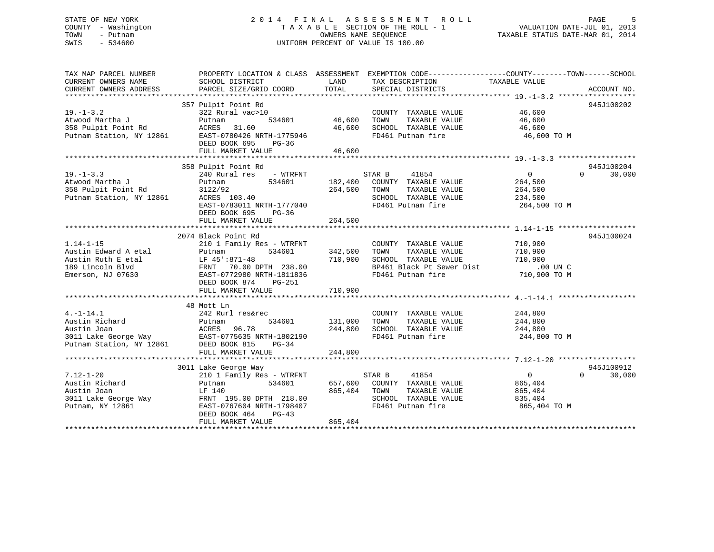### STATE OF NEW YORK 2 0 1 4 F I N A L A S S E S S M E N T R O L L PAGE 5 COUNTY - Washington T A X A B L E SECTION OF THE ROLL - 1 VALUATION DATE-JUL 01, 2013 TOWN - Putnam OWNERS NAME SEQUENCE TAXABLE STATUS DATE-MAR 01, 2014 SWIS - 534600 UNIFORM PERCENT OF VALUE IS 100.00

| TAX MAP PARCEL NUMBER<br>CURRENT OWNERS NAME<br>CURRENT OWNERS ADDRESS                                 | PROPERTY LOCATION & CLASS ASSESSMENT<br>SCHOOL DISTRICT<br>PARCEL SIZE/GRID COORD                                                                                                                             | LAND<br>TOTAL                 | TAX DESCRIPTION TAXABLE VALUE<br>SPECIAL DISTRICTS                                                                      | EXEMPTION CODE-----------------COUNTY-------TOWN------SCHOOL  | ACCOUNT NO.                      |
|--------------------------------------------------------------------------------------------------------|---------------------------------------------------------------------------------------------------------------------------------------------------------------------------------------------------------------|-------------------------------|-------------------------------------------------------------------------------------------------------------------------|---------------------------------------------------------------|----------------------------------|
| $19. - 1 - 3.2$<br>Atwood Martha J<br>358 Pulpit Point Rd<br>Putnam Station, NY 12861                  | 357 Pulpit Point Rd<br>322 Rural vac>10<br>534601<br>Putnam<br>31.60<br>ACRES<br>EAST-0780426 NRTH-1775946<br>DEED BOOK 695<br>$PG-36$<br>FULL MARKET VALUE                                                   | 46,600<br>46,600<br>46,600    | COUNTY TAXABLE VALUE<br>TAXABLE VALUE<br>TOWN<br>SCHOOL TAXABLE VALUE<br>FD461 Putnam fire                              | 46,600<br>46,600<br>46,600<br>46,600 TO M                     | 945J100202                       |
|                                                                                                        |                                                                                                                                                                                                               |                               |                                                                                                                         |                                                               |                                  |
| $19. - 1 - 3.3$<br>Atwood Martha J<br>358 Pulpit Point Rd<br>Putnam Station, NY 12861                  | 358 Pulpit Point Rd<br>240 Rural res - WTRFNT<br>534601<br>Putnam<br>3122/92<br>ACRES 103.40<br>EAST-0783011 NRTH-1777040<br>DEED BOOK 695<br>$PG-36$                                                         | 182,400<br>264,500            | STAR B<br>41854<br>COUNTY TAXABLE VALUE<br>TOWN<br>TAXABLE VALUE<br>SCHOOL TAXABLE VALUE<br>FD461 Putnam fire           | 0<br>264,500<br>264,500<br>234,500<br>264,500 TO M            | 945J100204<br>$\Omega$<br>30,000 |
|                                                                                                        | FULL MARKET VALUE                                                                                                                                                                                             | 264,500                       |                                                                                                                         |                                                               |                                  |
|                                                                                                        |                                                                                                                                                                                                               |                               |                                                                                                                         |                                                               | 945J100024                       |
| $1.14 - 1 - 15$<br>Austin Edward A etal<br>Austin Ruth E etal<br>189 Lincoln Blvd<br>Emerson, NJ 07630 | 2074 Black Point Rd<br>210 1 Family Res - WTRFNT<br>534601<br>Putnam<br>LF 45':871-48<br>FRNT 70.00 DPTH 238.00<br>EAST-0772980 NRTH-1811836<br>FULL MARKET VALUE                                             | 342,500<br>710,900<br>710,900 | COUNTY TAXABLE VALUE<br>TAXABLE VALUE<br>TOWN<br>SCHOOL TAXABLE VALUE<br>BP461 Black Pt Sewer Dist<br>FD461 Putnam fire | 710,900<br>710,900<br>710,900<br>.00 UN C<br>710,900 TO M     |                                  |
|                                                                                                        |                                                                                                                                                                                                               |                               |                                                                                                                         |                                                               |                                  |
| $4. -1 - 14.1$<br>Austin Richard<br>Austin Joan<br>3011 Lake George Way<br>Putnam Station, NY 12861    | 48 Mott Ln<br>242 Rurl res&rec<br>534601<br>Putnam<br>ACRES 96.78<br>EAST-0775635 NRTH-1802190<br>61 DEED BOOK 815 PG-34                                                                                      | 131,000<br>244,800            | COUNTY TAXABLE VALUE<br>TOWN<br>TAXABLE VALUE<br>SCHOOL TAXABLE VALUE<br>FD461 Putnam fire                              | 244,800<br>244,800<br>244,800<br>244,800 TO M                 |                                  |
|                                                                                                        | FULL MARKET VALUE                                                                                                                                                                                             | 244,800                       |                                                                                                                         |                                                               |                                  |
| $7.12 - 1 - 20$<br>Austin Richard<br>Austin Joan<br>3011 Lake George Way<br>Putnam, NY 12861           | 3011 Lake George Way<br>210 1 Family Res - WTRFNT<br>534601<br>Putnam<br>LF 140<br>LF 140<br>FRNT 195.00 DPTH 218.00<br>1990407<br>EAST-0767604 NRTH-1798407<br>DEED BOOK 464<br>$PG-43$<br>FULL MARKET VALUE | 657,600<br>865,404<br>865,404 | STAR B<br>41854<br>COUNTY TAXABLE VALUE<br>TOWN<br>TAXABLE VALUE<br>SCHOOL TAXABLE VALUE<br>FD461 Putnam fire           | $\mathbf{0}$<br>865,404<br>865,404<br>835,404<br>865,404 TO M | 945J100912<br>$\Omega$<br>30,000 |
|                                                                                                        |                                                                                                                                                                                                               |                               |                                                                                                                         |                                                               |                                  |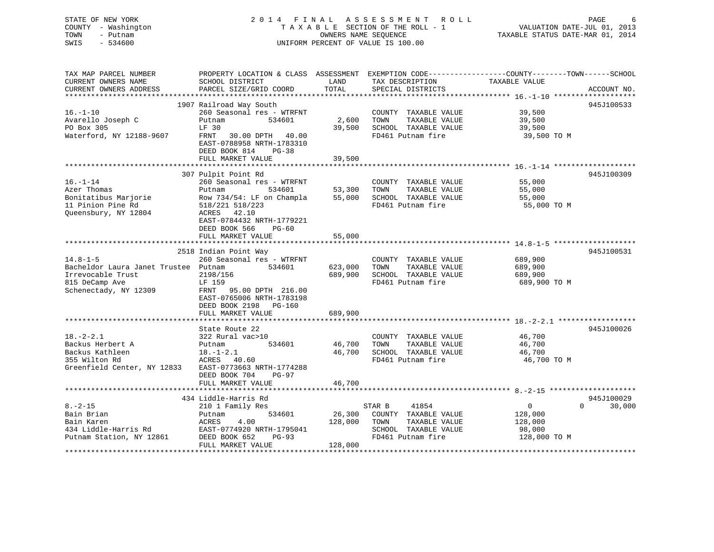### STATE OF NEW YORK 2 0 1 4 F I N A L A S S E S S M E N T R O L L PAGE 6 COUNTY - Washington T A X A B L E SECTION OF THE ROLL - 1 VALUATION DATE-JUL 01, 2013 TOWN - Putnam OWNERS NAME SEQUENCE TAXABLE STATUS DATE-MAR 01, 2014 SWIS - 534600 UNIFORM PERCENT OF VALUE IS 100.00

| TAX MAP PARCEL NUMBER                | PROPERTY LOCATION & CLASS ASSESSMENT EXEMPTION CODE----------------COUNTY-------TOWN------SCHOOL |             |                             |                                                   |                    |
|--------------------------------------|--------------------------------------------------------------------------------------------------|-------------|-----------------------------|---------------------------------------------------|--------------------|
| CURRENT OWNERS NAME                  | SCHOOL DISTRICT                                                                                  | LAND        | TAX DESCRIPTION             | TAXABLE VALUE                                     |                    |
| CURRENT OWNERS ADDRESS               | PARCEL SIZE/GRID COORD                                                                           | TOTAL       | SPECIAL DISTRICTS           |                                                   | ACCOUNT NO.        |
|                                      |                                                                                                  |             |                             | ****************** 16. -1-10 ******************** |                    |
|                                      | 1907 Railroad Way South                                                                          |             |                             |                                                   | 945J100533         |
| $16. - 1 - 10$                       | 260 Seasonal res - WTRFNT                                                                        |             | COUNTY TAXABLE VALUE        | 39,500                                            |                    |
| Avarello Joseph C                    | Putnam<br>534601                                                                                 | 2,600       | TOWN<br>TAXABLE VALUE       | 39,500                                            |                    |
| PO Box 305                           | LF 30                                                                                            | 39,500      | SCHOOL TAXABLE VALUE        | 39,500                                            |                    |
| Waterford, NY 12188-9607             | FRNT                                                                                             |             | FD461 Putnam fire           |                                                   |                    |
|                                      | 30.00 DPTH 40.00                                                                                 |             |                             | 39,500 TO M                                       |                    |
|                                      | EAST-0788958 NRTH-1783310                                                                        |             |                             |                                                   |                    |
|                                      | DEED BOOK 814 PG-38                                                                              |             |                             |                                                   |                    |
|                                      | FULL MARKET VALUE                                                                                | 39,500      |                             |                                                   |                    |
|                                      |                                                                                                  |             |                             |                                                   |                    |
|                                      | 307 Pulpit Point Rd                                                                              |             |                             |                                                   | 945J100309         |
| $16. - 1 - 14$                       | 260 Seasonal res - WTRFNT                                                                        |             | COUNTY TAXABLE VALUE        | 55,000                                            |                    |
| Azer Thomas                          | Putnam<br>534601                                                                                 | 53,300 TOWN | TAXABLE VALUE               | 55,000                                            |                    |
| Bonitatibus Marjorie                 | Row 734/54: LF on Champla                                                                        |             | 55,000 SCHOOL TAXABLE VALUE | 55,000                                            |                    |
| 11 Pinion Pine Rd                    | 518/221 518/223                                                                                  |             | FD461 Putnam fire           | 55,000 TO M                                       |                    |
| Queensbury, NY 12804                 | ACRES 42.10                                                                                      |             |                             |                                                   |                    |
|                                      | EAST-0784432 NRTH-1779221                                                                        |             |                             |                                                   |                    |
|                                      | DEED BOOK 566<br>$PG-60$                                                                         |             |                             |                                                   |                    |
|                                      | FULL MARKET VALUE                                                                                | 55,000      |                             |                                                   |                    |
|                                      |                                                                                                  |             |                             |                                                   |                    |
|                                      | 2518 Indian Point Way                                                                            |             |                             |                                                   | 945J100531         |
| $14.8 - 1 - 5$                       | 260 Seasonal res - WTRFNT                                                                        |             | COUNTY TAXABLE VALUE        | 689,900                                           |                    |
|                                      |                                                                                                  |             |                             |                                                   |                    |
| Bacheldor Laura Janet Trustee Putnam | 534601                                                                                           | 623,000     | TOWN<br>TAXABLE VALUE       | 689,900                                           |                    |
| Irrevocable Trust                    | 2198/156                                                                                         | 689,900     | SCHOOL TAXABLE VALUE        | 689,900                                           |                    |
| 815 DeCamp Ave                       | LF 159                                                                                           |             | FD461 Putnam fire           | 689,900 TO M                                      |                    |
| Schenectady, NY 12309                | FRNT 95.00 DPTH 216.00                                                                           |             |                             |                                                   |                    |
|                                      | EAST-0765006 NRTH-1783198                                                                        |             |                             |                                                   |                    |
|                                      | DEED BOOK 2198 PG-160                                                                            |             |                             |                                                   |                    |
|                                      | FULL MARKET VALUE                                                                                | 689,900     |                             |                                                   |                    |
|                                      |                                                                                                  |             |                             |                                                   |                    |
|                                      | State Route 22                                                                                   |             |                             |                                                   | 945J100026         |
| $18. - 2 - 2.1$                      | 322 Rural vac>10                                                                                 |             | COUNTY TAXABLE VALUE        | 46,700                                            |                    |
| Backus Herbert A                     | 534601<br>Putnam                                                                                 | 46,700      | TOWN<br>TAXABLE VALUE       | 46,700                                            |                    |
| Backus Kathleen                      | $18.-1-2.1$                                                                                      | 46,700      | SCHOOL TAXABLE VALUE        | 46,700                                            |                    |
| 355 Wilton Rd                        | ACRES 40.60                                                                                      |             | FD461 Putnam fire           | 46,700 TO M                                       |                    |
| Greenfield Center, NY 12833          | EAST-0773663 NRTH-1774288                                                                        |             |                             |                                                   |                    |
|                                      | DEED BOOK 704<br>PG-97                                                                           |             |                             |                                                   |                    |
|                                      | FULL MARKET VALUE                                                                                | 46,700      |                             |                                                   |                    |
|                                      |                                                                                                  |             |                             |                                                   |                    |
|                                      |                                                                                                  |             |                             |                                                   | 945J100029         |
|                                      | 434 Liddle-Harris Rd                                                                             |             |                             |                                                   |                    |
| $8. - 2 - 15$                        | 210 1 Family Res                                                                                 |             | STAR B<br>41854             | $\overline{0}$                                    | $\Omega$<br>30,000 |
| Bain Brian                           | 534601<br>Putnam                                                                                 | 26,300      | COUNTY TAXABLE VALUE        | 128,000                                           |                    |
| Bain Karen                           | 4.00<br>ACRES                                                                                    | 128,000     | TOWN<br>TAXABLE VALUE       | 128,000                                           |                    |
| 434 Liddle-Harris Rd                 | EAST-0774920 NRTH-1795041                                                                        |             | SCHOOL TAXABLE VALUE        | 98,000                                            |                    |
| Putnam Station, NY 12861             | DEED BOOK 652<br>PG-93                                                                           |             | FD461 Putnam fire           | 128,000 TO M                                      |                    |
|                                      | FULL MARKET VALUE                                                                                | 128,000     |                             |                                                   |                    |
|                                      |                                                                                                  |             |                             |                                                   |                    |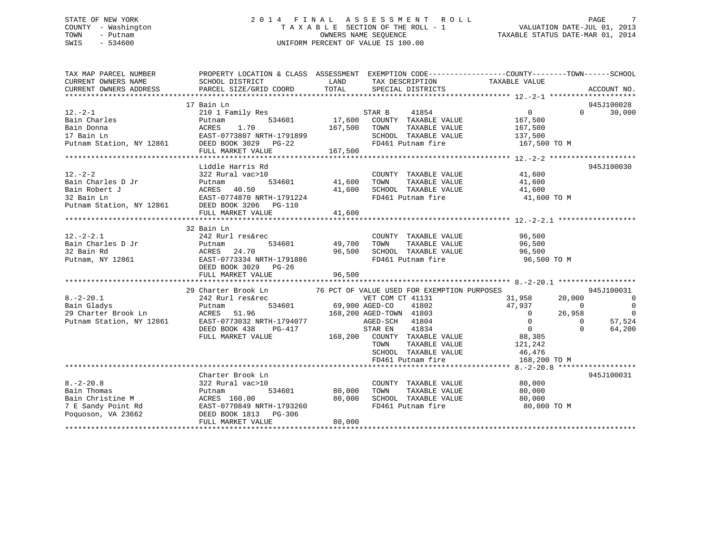### STATE OF NEW YORK 2 0 1 4 F I N A L A S S E S S M E N T R O L L PAGE 7 COUNTY - Washington T A X A B L E SECTION OF THE ROLL - 1 VALUATION DATE-JUL 01, 2013 TOWN - Putnam OWNERS NAME SEQUENCE TAXABLE STATUS DATE-MAR 01, 2014 SWIS - 534600 UNIFORM PERCENT OF VALUE IS 100.00

| TAX MAP PARCEL NUMBER<br>CURRENT OWNERS NAME | PROPERTY LOCATION & CLASS ASSESSMENT EXEMPTION CODE---------------COUNTY-------TOWN-----SCHOOL<br>SCHOOL DISTRICT                         | LAND                  | TAX DESCRIPTION                           | TAXABLE VALUE             |                      |                  |
|----------------------------------------------|-------------------------------------------------------------------------------------------------------------------------------------------|-----------------------|-------------------------------------------|---------------------------|----------------------|------------------|
| CURRENT OWNERS ADDRESS                       | PARCEL SIZE/GRID COORD                                                                                                                    | TOTAL                 | SPECIAL DISTRICTS                         |                           |                      | ACCOUNT NO.      |
|                                              | 17 Bain Ln                                                                                                                                |                       |                                           |                           |                      | 945J100028       |
| $12. - 2 - 1$                                | 210 1 Family Res                                                                                                                          |                       | 41854<br>STAR B                           | $0 \qquad \qquad$         | $\cap$               | 30,000           |
| Bain Charles                                 | 534601<br>Putnam                                                                                                                          |                       | 17,600 COUNTY TAXABLE VALUE               | 167,500                   |                      |                  |
| Bain Donna                                   | 1.70<br>ACRES                                                                                                                             | 167,500               | TOWN<br>TAXABLE VALUE                     | 167,500                   |                      |                  |
| 17 Bain Ln                                   | EAST-0773807 NRTH-1791899                                                                                                                 |                       | SCHOOL TAXABLE VALUE                      | 137,500                   |                      |                  |
| Putnam Station, NY 12861                     | DEED BOOK 3029 PG-22                                                                                                                      |                       | FD461 Putnam fire                         | 167,500 TO M              |                      |                  |
|                                              | FULL MARKET VALUE                                                                                                                         | 167,500               |                                           |                           |                      |                  |
|                                              |                                                                                                                                           |                       |                                           |                           |                      |                  |
|                                              | Liddle Harris Rd                                                                                                                          |                       |                                           |                           |                      | 945J100030       |
| $12. - 2 - 2$                                | 322 Rural vac>10                                                                                                                          |                       | COUNTY TAXABLE VALUE                      | 41,600                    |                      |                  |
| Bain Charles D Jr                            | Putnam                                                                                                                                    | 534601 41,600         | TAXABLE VALUE<br>TOWN                     | 41,600                    |                      |                  |
| Bain Robert J                                | ACRES 40.50                                                                                                                               | 41,600                | SCHOOL TAXABLE VALUE                      | 41,600                    |                      |                  |
| 32 Bain Ln                                   | ACRES 40.50<br>EAST-0774870 NRTH-1791224                                                                                                  |                       | FD461 Putnam fire                         | 41,600 TO M               |                      |                  |
|                                              | Putnam Station, NY 12861 DEED BOOK 3206 PG-110                                                                                            |                       |                                           |                           |                      |                  |
|                                              | FULL MARKET VALUE                                                                                                                         | 41,600                |                                           |                           |                      |                  |
|                                              |                                                                                                                                           |                       |                                           |                           |                      |                  |
|                                              | 32 Bain Ln                                                                                                                                |                       |                                           |                           |                      |                  |
| $12.-2-2.1$                                  | 242 Rurl res&rec                                                                                                                          |                       | COUNTY TAXABLE VALUE 96,500               |                           |                      |                  |
| Bain Charles D Jr                            | 534601<br>Putnam                                                                                                                          | 49,700                | TOWN<br>TAXABLE VALUE                     | 96,500                    |                      |                  |
| 32 Bain Rd                                   | ACRES<br>24.70                                                                                                                            | 96,500                | SCHOOL TAXABLE VALUE<br>FD461 Putnam fire | 96,500                    |                      |                  |
| Putnam, NY 12861                             | EAST-0773334 NRTH-1791886                                                                                                                 |                       |                                           | 96,500 TO M               |                      |                  |
|                                              | DEED BOOK 3029 PG-26                                                                                                                      |                       |                                           |                           |                      |                  |
|                                              | FULL MARKET VALUE                                                                                                                         | 96,500                |                                           |                           |                      |                  |
|                                              |                                                                                                                                           |                       |                                           |                           |                      |                  |
|                                              | 29 Charter Brook Ln 76 PCT OF VALUE USED FOR EXEMPTION PURPOSES                                                                           |                       |                                           |                           |                      | 945J100031       |
| $8. -2 - 20.1$                               | 242 Rurl res&rec                                                                                                                          |                       | VET COM CT 41131                          | 31,958                    | 20,000               | $\overline{0}$   |
| Bain Gladys                                  | Putnam                                                                                                                                    | 534601 69,900 AGED-CO | 41802                                     | 47,937                    | $\bigcirc$           | $\overline{0}$   |
| 29 Charter Brook Ln                          | 51.96<br>ACRES                                                                                                                            |                       | 168,200 AGED-TOWN 41803                   | $\overline{0}$            | 26,958               | $\overline{0}$   |
|                                              | Putnam Station, NY 12861 EAST-0773032 NRTH-1794077<br>DEED BOOK 438                                                                       |                       | AGED-SCH 41804<br>41834                   | $\mathbf 0$<br>$\bigcirc$ | $\Omega$<br>$\Omega$ | 57,524<br>64,200 |
|                                              | PG-417<br>FULL MARKET VALUE                                                                                                               |                       | STAR EN<br>168,200 COUNTY TAXABLE VALUE   | 88,305                    |                      |                  |
|                                              |                                                                                                                                           |                       | TOWN                                      |                           |                      |                  |
|                                              |                                                                                                                                           |                       | TAXABLE VALUE<br>SCHOOL TAXABLE VALUE     | 121,242                   |                      |                  |
|                                              |                                                                                                                                           |                       | FD461 Putnam fire                         | 46,476                    |                      |                  |
|                                              |                                                                                                                                           |                       |                                           | 168,200 TO M              |                      |                  |
|                                              | Charter Brook Ln                                                                                                                          |                       |                                           |                           |                      | 945J100031       |
| $8. - 2 - 20.8$                              | 322 Rural vac>10                                                                                                                          |                       | COUNTY TAXABLE VALUE                      | 80,000                    |                      |                  |
| Bain Thomas                                  | 534601<br>Putnam                                                                                                                          | 80,000                | TOWN<br>TAXABLE VALUE                     | 80,000                    |                      |                  |
|                                              | Bain Thomas<br>Bain Christine M<br>7 E Sandy Point Rd<br>Poquoson, VA 23662<br>Poquoson, VA 23662<br>DEED BOOK 1813<br>POQUOSON, VA 23662 | 80,000                | SCHOOL TAXABLE VALUE                      | 80,000                    |                      |                  |
|                                              |                                                                                                                                           |                       | FD461 Putnam fire                         | 80,000 TO M               |                      |                  |
|                                              |                                                                                                                                           |                       |                                           |                           |                      |                  |
|                                              | FULL MARKET VALUE                                                                                                                         | 80,000                |                                           |                           |                      |                  |
|                                              |                                                                                                                                           |                       |                                           |                           |                      |                  |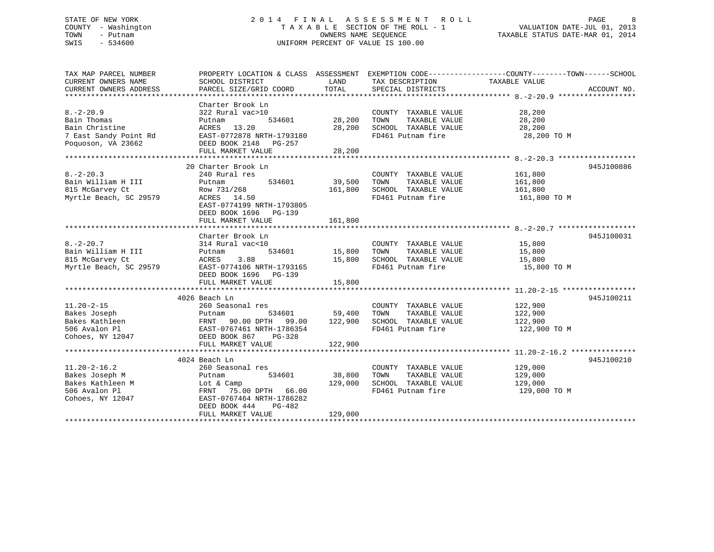### STATE OF NEW YORK 2 0 1 4 F I N A L A S S E S S M E N T R O L L PAGE 8 COUNTY - Washington T A X A B L E SECTION OF THE ROLL - 1 VALUATION DATE-JUL 01, 2013 TOWN - Putnam OWNERS NAME SEQUENCE TAXABLE STATUS DATE-MAR 01, 2014 SWIS - 534600 UNIFORM PERCENT OF VALUE IS 100.00

| TAX MAP PARCEL NUMBER                     | PROPERTY LOCATION & CLASS ASSESSMENT EXEMPTION CODE---------------COUNTY-------TOWN------SCHOOL                 |                         |                                                 |               |             |
|-------------------------------------------|-----------------------------------------------------------------------------------------------------------------|-------------------------|-------------------------------------------------|---------------|-------------|
| CURRENT OWNERS NAME                       | SCHOOL DISTRICT                                                                                                 | LAND                    | TAX DESCRIPTION                                 | TAXABLE VALUE |             |
| CURRENT OWNERS ADDRESS                    | PARCEL SIZE/GRID COORD                                                                                          |                         | LAND IAX DESCRIPIION<br>TOTAL SPECIAL DISTRICTS |               | ACCOUNT NO. |
|                                           |                                                                                                                 |                         |                                                 |               |             |
|                                           | Charter Brook Ln                                                                                                |                         |                                                 |               |             |
| $8. - 2 - 20.9$                           | 322 Rural vac>10                                                                                                |                         | COUNTY TAXABLE VALUE 28,200                     |               |             |
| Bain Thomas                               | Putnam                                                                                                          | 534601 28,200 TOWN      | TAXABLE VALUE                                   | 28,200        |             |
| Bain Christine                            | ACRES 13.20                                                                                                     |                         | 28,200 SCHOOL TAXABLE VALUE 28,200              |               |             |
| 7 East Sandy Point Rd                     | ACRES 13.20 28<br>EAST-0772878 NRTH-1793180                                                                     |                         | FD461 Putnam fire                               | 28,200 TO M   |             |
| Poquoson, VA 23662                        | DEED BOOK 2148 PG-257                                                                                           |                         |                                                 |               |             |
|                                           | FULL MARKET VALUE                                                                                               | 28,200                  |                                                 |               |             |
|                                           |                                                                                                                 |                         |                                                 |               |             |
|                                           |                                                                                                                 |                         |                                                 |               |             |
|                                           | 20 Charter Brook Ln                                                                                             |                         |                                                 |               | 945J100886  |
| $8. -2 - 20.3$                            | 240 Rural res<br>$534601$ 39,500                                                                                |                         | COUNTY TAXABLE VALUE                            | 161,800       |             |
| Bain William H III                        | Putnam                                                                                                          |                         | TAXABLE VALUE<br>TOWN                           | 161,800       |             |
| 815 McGarvey Ct                           | Row 731/268                                                                                                     | 161,800                 | SCHOOL TAXABLE VALUE                            | 161,800       |             |
| Myrtle Beach, SC 29579                    | ACRES 14.50                                                                                                     |                         | FD461 Putnam fire                               | 161,800 TO M  |             |
|                                           | EAST-0774199 NRTH-1793805                                                                                       |                         |                                                 |               |             |
|                                           | DEED BOOK 1696 PG-139                                                                                           |                         |                                                 |               |             |
|                                           | FULL MARKET VALUE                                                                                               | 161,800                 |                                                 |               |             |
|                                           |                                                                                                                 |                         |                                                 |               |             |
|                                           | Charter Brook Ln                                                                                                |                         |                                                 |               | 945J100031  |
| $8. -2 - 20.7$                            | 314 Rural vac<10                                                                                                |                         | COUNTY TAXABLE VALUE 15,800                     |               |             |
| Bain William H III                        | Putnam                                                                                                          | 534601 15,800 TOWN      | TAXABLE VALUE                                   | 15,800        |             |
| 815 McGarvey Ct                           |                                                                                                                 |                         |                                                 | 15,800        |             |
| oıs mc⊌arvey Ct<br>Myrtle Beach, SC 29579 | ACRES 3.88 15,800 SCHOOL TAXABLE VALUE<br>EAST-0774106 NRTH-1793165 FD461 Putnam fire                           |                         |                                                 | 15,800 TO M   |             |
|                                           | DEED BOOK 1696    PG-139                                                                                        |                         |                                                 |               |             |
|                                           | FULL MARKET VALUE                                                                                               | 15,800                  |                                                 |               |             |
|                                           |                                                                                                                 |                         |                                                 |               |             |
|                                           | 4026 Beach Ln                                                                                                   |                         |                                                 |               | 945J100211  |
| $11.20 - 2 - 15$                          | 260 Seasonal res                                                                                                |                         | COUNTY TAXABLE VALUE                            | 122,900       |             |
| Bakes Joseph                              | 260 Seasonal res<br>Putnam 534601<br>FRNT 90.00 DPTH 99.00<br>EAST-0767461 NRTH-1786354<br>DEED BOOK 867 PG-328 | s<br>534601 59,400 TOWN | TAXABLE VALUE                                   | 122,900       |             |
| Bakes Kathleen                            |                                                                                                                 |                         |                                                 |               |             |
|                                           |                                                                                                                 | 122,900                 | SCHOOL TAXABLE VALUE 122,900                    |               |             |
| 506 Avalon Pl                             |                                                                                                                 |                         | FD461 Putnam fire                               | 122,900 TO M  |             |
| Cohoes, NY 12047                          |                                                                                                                 |                         |                                                 |               |             |
|                                           | FULL MARKET VALUE                                                                                               | 122,900                 |                                                 |               |             |
|                                           |                                                                                                                 |                         |                                                 |               |             |
|                                           | 4024 Beach Ln                                                                                                   |                         |                                                 |               | 945J100210  |
| $11.20 - 2 - 16.2$                        | 260 Seasonal res                                                                                                |                         | COUNTY TAXABLE VALUE                            | 129,000       |             |
| Bakes Joseph M                            | Putnam<br>534601                                                                                                | 38,800                  | TAXABLE VALUE<br>TOWN                           | 129,000       |             |
| Bakes Kathleen M                          | Lot & Camp                                                                                                      | 129,000                 | SCHOOL TAXABLE VALUE                            | 129,000       |             |
| 506 Avalon Pl                             | FRNT 75.00 DPTH 66.00                                                                                           |                         | FD461 Putnam fire                               | 129,000 TO M  |             |
| Cohoes, NY 12047                          | EAST-0767464 NRTH-1786282                                                                                       |                         |                                                 |               |             |
|                                           | DEED BOOK 444<br>$PG-482$                                                                                       |                         |                                                 |               |             |
|                                           | FULL MARKET VALUE                                                                                               | 129,000                 |                                                 |               |             |
|                                           |                                                                                                                 |                         |                                                 |               |             |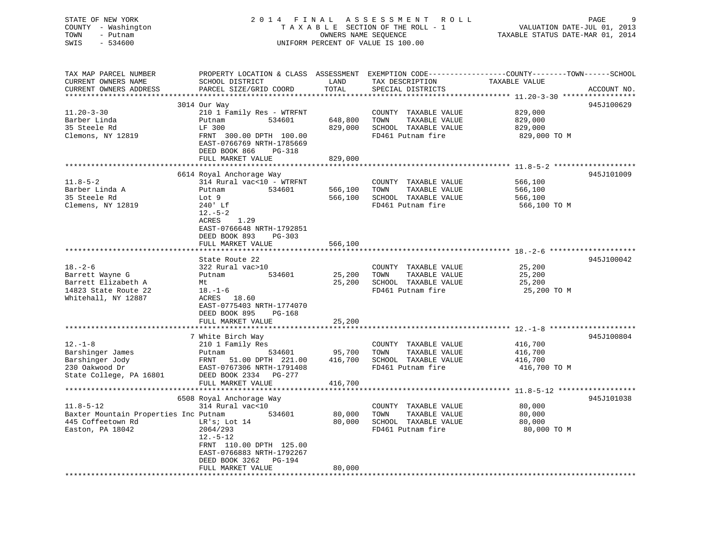STATE OF NEW YORK 2 0 1 4 F I N A L A S S E S S M E N T R O L L PAGE 9 COUNTY - Washington T A X A B L E SECTION OF THE ROLL - 1 VALUATION DATE-JUL 01, 2013 TOWN - Putnam OWNERS NAME SEQUENCE TAXABLE STATUS DATE-MAR 01, 2014 SWIS - 534600 UNIFORM PERCENT OF VALUE IS 100.00

| TAX MAP PARCEL NUMBER<br>CURRENT OWNERS NAME | PROPERTY LOCATION & CLASS ASSESSMENT<br>SCHOOL DISTRICT | LAND    | TAX DESCRIPTION       | EXEMPTION CODE-----------------COUNTY-------TOWN------SCHOOL<br>TAXABLE VALUE |             |
|----------------------------------------------|---------------------------------------------------------|---------|-----------------------|-------------------------------------------------------------------------------|-------------|
| CURRENT OWNERS ADDRESS                       | PARCEL SIZE/GRID COORD                                  | TOTAL   | SPECIAL DISTRICTS     |                                                                               | ACCOUNT NO. |
|                                              | 3014 Our Way                                            |         |                       |                                                                               | 945J100629  |
| $11.20 - 3 - 30$                             | 210 1 Family Res - WTRFNT                               |         | COUNTY TAXABLE VALUE  | 829,000                                                                       |             |
| Barber Linda                                 | 534601<br>Putnam                                        | 648,800 | TAXABLE VALUE<br>TOWN | 829,000                                                                       |             |
| 35 Steele Rd                                 | LF 300                                                  | 829,000 | SCHOOL TAXABLE VALUE  | 829,000                                                                       |             |
| Clemons, NY 12819                            | FRNT 300.00 DPTH 100.00                                 |         | FD461 Putnam fire     | 829,000 TO M                                                                  |             |
|                                              | EAST-0766769 NRTH-1785669                               |         |                       |                                                                               |             |
|                                              | DEED BOOK 866<br>$PG-318$                               |         |                       |                                                                               |             |
|                                              | FULL MARKET VALUE                                       | 829,000 |                       |                                                                               |             |
|                                              |                                                         |         |                       |                                                                               |             |
|                                              | 6614 Royal Anchorage Way                                |         |                       |                                                                               | 945J101009  |
| $11.8 - 5 - 2$                               | 314 Rural vac<10 - WTRFNT                               |         | COUNTY TAXABLE VALUE  | 566,100                                                                       |             |
| Barber Linda A                               | 534601<br>Putnam                                        | 566,100 | TOWN<br>TAXABLE VALUE | 566,100                                                                       |             |
| 35 Steele Rd                                 | Lot 9                                                   | 566,100 | SCHOOL TAXABLE VALUE  | 566,100                                                                       |             |
| Clemens, NY 12819                            | 240' Lf                                                 |         | FD461 Putnam fire     | 566,100 TO M                                                                  |             |
|                                              | $12.-5-2$                                               |         |                       |                                                                               |             |
|                                              | ACRES<br>1.29                                           |         |                       |                                                                               |             |
|                                              | EAST-0766648 NRTH-1792851<br>DEED BOOK 893<br>$PG-303$  |         |                       |                                                                               |             |
|                                              | FULL MARKET VALUE                                       | 566,100 |                       |                                                                               |             |
|                                              |                                                         |         |                       |                                                                               |             |
|                                              | State Route 22                                          |         |                       |                                                                               | 945J100042  |
| $18. - 2 - 6$                                | 322 Rural vac>10                                        |         | COUNTY TAXABLE VALUE  | 25,200                                                                        |             |
| Barrett Wayne G                              | 534601<br>Putnam                                        | 25,200  | TOWN<br>TAXABLE VALUE | 25,200                                                                        |             |
| Barrett Elizabeth A                          | Mt                                                      | 25,200  | SCHOOL TAXABLE VALUE  | 25,200                                                                        |             |
| 14823 State Route 22                         | $18. - 1 - 6$                                           |         | FD461 Putnam fire     | 25,200 TO M                                                                   |             |
| Whitehall, NY 12887                          | ACRES 18.60                                             |         |                       |                                                                               |             |
|                                              | EAST-0775403 NRTH-1774070                               |         |                       |                                                                               |             |
|                                              | DEED BOOK 895<br>$PG-168$                               |         |                       |                                                                               |             |
|                                              | FULL MARKET VALUE                                       | 25,200  |                       |                                                                               |             |
|                                              |                                                         |         |                       |                                                                               |             |
|                                              | 7 White Birch Way                                       |         |                       |                                                                               | 945J100804  |
| $12. - 1 - 8$                                | 210 1 Family Res                                        |         | COUNTY TAXABLE VALUE  | 416,700                                                                       |             |
| Barshinger James                             | Putnam<br>534601                                        | 95,700  | TOWN<br>TAXABLE VALUE | 416,700                                                                       |             |
| Barshinger Jody                              | FRNT 51.00 DPTH 221.00                                  | 416,700 | SCHOOL TAXABLE VALUE  | 416,700                                                                       |             |
| 230 Oakwood Dr                               | EAST-0767306 NRTH-1791408                               |         | FD461 Putnam fire     | 416,700 TO M                                                                  |             |
| State College, PA 16801                      | DEED BOOK 2334<br>PG-277                                |         |                       |                                                                               |             |
|                                              | FULL MARKET VALUE                                       | 416,700 |                       |                                                                               |             |
|                                              | 6508 Royal Anchorage Way                                |         |                       |                                                                               | 945J101038  |
| $11.8 - 5 - 12$                              | 314 Rural vac<10                                        |         | COUNTY TAXABLE VALUE  | 80,000                                                                        |             |
| Baxter Mountain Properties Inc Putnam        | 534601                                                  | 80,000  | TAXABLE VALUE<br>TOWN | 80,000                                                                        |             |
| 445 Coffeetown Rd                            | LR's; Lot 14                                            | 80,000  | SCHOOL TAXABLE VALUE  | 80,000                                                                        |             |
| Easton, PA 18042                             | 2064/293                                                |         | FD461 Putnam fire     | 80,000 TO M                                                                   |             |
|                                              | $12.-5-12$                                              |         |                       |                                                                               |             |
|                                              | FRNT 110.00 DPTH 125.00                                 |         |                       |                                                                               |             |
|                                              | EAST-0766883 NRTH-1792267                               |         |                       |                                                                               |             |
|                                              | DEED BOOK 3262<br>PG-194                                |         |                       |                                                                               |             |
|                                              | FULL MARKET VALUE                                       | 80,000  |                       |                                                                               |             |
|                                              |                                                         |         |                       |                                                                               |             |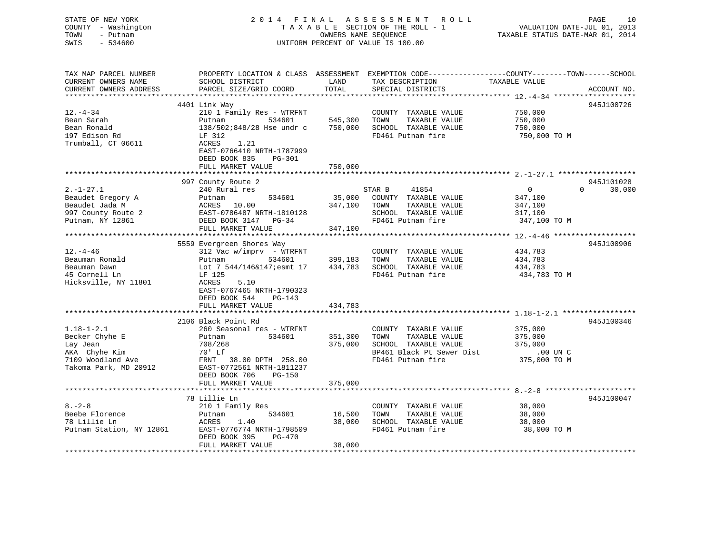STATE OF NEW YORK 2 0 1 4 F I N A L A S S E S S M E N T R O L L PAGE 10 COUNTY - Washington T A X A B L E SECTION OF THE ROLL - 1 VALUATION DATE-JUL 01, 2013 TOWN - Putnam OWNERS NAME SEQUENCE TAXABLE STATUS DATE-MAR 01, 2014 SWIS - 534600 UNIFORM PERCENT OF VALUE IS 100.00 TAX MAP PARCEL NUMBER PROPERTY LOCATION & CLASS ASSESSMENT EXEMPTION CODE------------------COUNTY--------TOWN------SCHOOL CURRENT OWNERS NAME SCHOOL DISTRICT THE LAND TAX DESCRIPTION TAXABLE VALUE

CURRENT OWNERS ADDRESS PARCEL SIZE/GRID COORD TOTAL SPECIAL DISTRICTS ACCOUNT NO. \*\*\*\*\*\*\*\*\*\*\*\*\*\*\*\*\*\*\*\*\*\*\*\*\*\*\*\*\*\*\*\*\*\*\*\*\*\*\*\*\*\*\*\*\*\*\*\*\*\*\*\*\*\*\*\*\*\*\*\*\*\*\*\*\*\*\*\*\*\*\*\*\*\*\*\*\*\*\*\*\*\*\*\*\*\*\*\*\*\*\*\*\*\*\*\*\*\*\*\*\*\*\* 12.-4-34 \*\*\*\*\*\*\*\*\*\*\*\*\*\*\*\*\*\*\* 4401 Link Way 945J100726 12.-4-34 210 1 Family Res - WTRFNT COUNTY TAXABLE VALUE 750,000 Bean Sarah Putnam 534601 545,300 TOWN TAXABLE VALUE 750,000 Bean Ronald 138/502;848/28 Hse undr c 750,000 SCHOOL TAXABLE VALUE 750,000 197 Edison Rd LF 312 FD461 Putnam fire 750,000 TO M Trumball, CT 06611 ACRES 1.21 EAST-0766410 NRTH-1787999 DEED BOOK 835 PG-301 FULL MARKET VALUE 750,000 \*\*\*\*\*\*\*\*\*\*\*\*\*\*\*\*\*\*\*\*\*\*\*\*\*\*\*\*\*\*\*\*\*\*\*\*\*\*\*\*\*\*\*\*\*\*\*\*\*\*\*\*\*\*\*\*\*\*\*\*\*\*\*\*\*\*\*\*\*\*\*\*\*\*\*\*\*\*\*\*\*\*\*\*\*\*\*\*\*\*\*\*\*\*\*\*\*\*\*\*\*\*\* 2.-1-27.1 \*\*\*\*\*\*\*\*\*\*\*\*\*\*\*\*\*\* 997 County Route 2 945J101028 2.-1-27.1 240 Rural res STAR B 41854 0 0 30,000 Beaudet Gregory A Putnam 534601 35,000 COUNTY TAXABLE VALUE 347,100 Beaudet Jada M ACRES 10.00 347,100 TOWN TAXABLE VALUE 347,100 997 County Route 2 EAST-0786487 NRTH-1810128 SCHOOL TAXABLE VALUE 317,100 Putnam, NY 12861 DEED BOOK 3147 PG-34 FD461 Putnam fire 347,100 TO M FULL MARKET VALUE 347,100 \*\*\*\*\*\*\*\*\*\*\*\*\*\*\*\*\*\*\*\*\*\*\*\*\*\*\*\*\*\*\*\*\*\*\*\*\*\*\*\*\*\*\*\*\*\*\*\*\*\*\*\*\*\*\*\*\*\*\*\*\*\*\*\*\*\*\*\*\*\*\*\*\*\*\*\*\*\*\*\*\*\*\*\*\*\*\*\*\*\*\*\*\*\*\*\*\*\*\*\*\*\*\* 12.-4-46 \*\*\*\*\*\*\*\*\*\*\*\*\*\*\*\*\*\*\* 5559 Evergreen Shores Way 945J100906 12.-4-46 312 Vac w/imprv - WTRFNT COUNTY TAXABLE VALUE 434,783 Beauman Ronald Putnam 534601 399,183 TOWN TAXABLE VALUE 434,783 Beauman Dawn Lot 7 544/146&147;esmt 17 434,783 SCHOOL TAXABLE VALUE 434,783 45 Cornell Ln LF 125 FD461 Putnam fire 434,783 TO M Hicksville, NY 11801 ACRES 5.10 EAST-0767465 NRTH-1790323 DEED BOOK 544 PG-143FULL MARKET VALUE 434,783 \*\*\*\*\*\*\*\*\*\*\*\*\*\*\*\*\*\*\*\*\*\*\*\*\*\*\*\*\*\*\*\*\*\*\*\*\*\*\*\*\*\*\*\*\*\*\*\*\*\*\*\*\*\*\*\*\*\*\*\*\*\*\*\*\*\*\*\*\*\*\*\*\*\*\*\*\*\*\*\*\*\*\*\*\*\*\*\*\*\*\*\*\*\*\*\*\*\*\*\*\*\*\* 1.18-1-2.1 \*\*\*\*\*\*\*\*\*\*\*\*\*\*\*\*\* 2106 Black Point Rd 945J1003461.18-1-2.1 260 Seasonal res - WTRFNT COUNTY TAXABLE VALUE 375,000 Becker Chyhe E Putnam 534601 351,300 TOWN TAXABLE VALUE 375,000 Lay Jean 708/268 375,000 SCHOOL TAXABLE VALUE 375,000 AKA Chyhe Kim 70' Lf BP461 Black Pt Sewer Dist .00 UN C 7109 Woodland Ave FRNT 38.00 DPTH 258.00 FD461 Putnam fire 375,000 TO M EAST-0772561 NRTH-1811237 DEED BOOK 706 PG-150 FULL MARKET VALUE 375,000 \*\*\*\*\*\*\*\*\*\*\*\*\*\*\*\*\*\*\*\*\*\*\*\*\*\*\*\*\*\*\*\*\*\*\*\*\*\*\*\*\*\*\*\*\*\*\*\*\*\*\*\*\*\*\*\*\*\*\*\*\*\*\*\*\*\*\*\*\*\*\*\*\*\*\*\*\*\*\*\*\*\*\*\*\*\*\*\*\*\*\*\*\*\*\*\*\*\*\*\*\*\*\* 8.-2-8 \*\*\*\*\*\*\*\*\*\*\*\*\*\*\*\*\*\*\*\*\* 78 Lillie Ln 945J1000478.-2-8 210 1 Family Res COUNTY TAXABLE VALUE 38,000 Beebe Florence Putnam 534601 16,500 TOWN TAXABLE VALUE 38,000 78 Lillie Ln ACRES 1.40 38,000 SCHOOL TAXABLE VALUE 38,000 Putnam Station, NY 12861 EAST-0776774 NRTH-1798509 FD461 Putnam fire 38,000 TO M DEED BOOK 395 PG-470 FULL MARKET VALUE 38,000 \*\*\*\*\*\*\*\*\*\*\*\*\*\*\*\*\*\*\*\*\*\*\*\*\*\*\*\*\*\*\*\*\*\*\*\*\*\*\*\*\*\*\*\*\*\*\*\*\*\*\*\*\*\*\*\*\*\*\*\*\*\*\*\*\*\*\*\*\*\*\*\*\*\*\*\*\*\*\*\*\*\*\*\*\*\*\*\*\*\*\*\*\*\*\*\*\*\*\*\*\*\*\*\*\*\*\*\*\*\*\*\*\*\*\*\*\*\*\*\*\*\*\*\*\*\*\*\*\*\*\*\*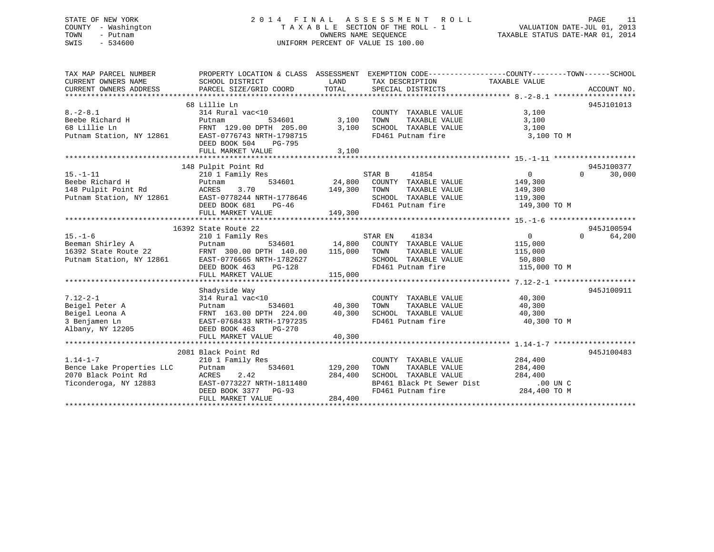### STATE OF NEW YORK 2 0 1 4 F I N A L A S S E S S M E N T R O L L PAGE 11 COUNTY - Washington T A X A B L E SECTION OF THE ROLL - 1 VALUATION DATE-JUL 01, 2013 TOWN - Putnam OWNERS NAME SEQUENCE TAXABLE STATUS DATE-MAR 01, 2014 SWIS - 534600 UNIFORM PERCENT OF VALUE IS 100.00

| TAX MAP PARCEL NUMBER<br>CURRENT OWNERS NAME<br>CURRENT OWNERS ADDRESS                  | PROPERTY LOCATION & CLASS ASSESSMENT EXEMPTION CODE----------------COUNTY-------TOWN------SCHOOL<br>SCHOOL DISTRICT                                                                                                                                   | LAND                                  | TAX DESCRIPTION TAXABLE VALUE                                                                                                                           |                                                    |                                  |
|-----------------------------------------------------------------------------------------|-------------------------------------------------------------------------------------------------------------------------------------------------------------------------------------------------------------------------------------------------------|---------------------------------------|---------------------------------------------------------------------------------------------------------------------------------------------------------|----------------------------------------------------|----------------------------------|
| $8. - 2 - 8.1$                                                                          | 68 Lillie Ln<br>314 Rural vac<10<br>8.-2-8.1<br>Beebe Richard H Putnam 534601<br>68 Lillie Ln FRNT 129.00 DPTH 205.00 3,100<br>Putnam Station, NY 12861 EAST-0776743 NRTH-1798715<br>DEED BOOK 504 PG-795<br>FULL MARKET VALUE                        | 0 COUNT<br>534601 3,100 TOWN<br>3,100 | COUNTY TAXABLE VALUE<br>TAXABLE VALUE<br>SCHOOL TAXABLE VALUE<br>FD461 Putnam fire                                                                      | 3,100<br>3,100<br>3,100<br>3,100 TO M              | 945J101013                       |
| $15. - 1 - 11$                                                                          | 148 Pulpit Point Rd<br>210 <sup>1</sup> Family Res<br>Putnam<br>Putnam Station, NY 12861 EAST-0778244 NRTH-1778646<br>DEED BOOK 681 PG-46<br>FULL MARKET VALUE                                                                                        | 149,300                               | STAR B<br>41854<br>$24,800$ COUNTY TAXABLE VALUE<br>3.70 $149,300$ TOWN TAXABLE VALUE<br>SCHOOL TAXABLE VALUE 119,300<br>FD461 Putnam fire 149,300 TO M | $\overline{0}$<br>149,300<br>149,300               | 945J100377<br>$\Omega$<br>30,000 |
|                                                                                         | 16392 State Route 22                                                                                                                                                                                                                                  |                                       |                                                                                                                                                         |                                                    | 945J100594                       |
|                                                                                         | 15.-1-6<br>Beeman Shirley A<br>16392 State Route 22<br>Putnam Station, NY 12861<br>Putnam Station, NY 12861<br>Putnam Station, NY 12861<br>Putnam Station, NY 12861<br>PEED BOOK 463<br>PUTH 1782627<br>DEED BOOK 463<br>PUTH 1782627<br>2115,000<br> |                                       | SCHOOL TAXABLE VALUE 50,800<br>FD461 Putnam fire 115,000 TO M                                                                                           | $\overline{0}$<br>115,000<br>TAXABLE VALUE 115,000 | 64,200<br>$\Omega$               |
|                                                                                         |                                                                                                                                                                                                                                                       |                                       |                                                                                                                                                         |                                                    |                                  |
| $7.12 - 2 - 1$<br>Beigel Peter A<br>Beigel Leona A<br>3 Benjamen Ln<br>Albany, NY 12205 | Shadyside Way<br>Putnam 534601 40,300 TOWN TAXABLE VALUE 40,300<br>FRNT 163.00 DPTH 224.00 40,300 SCHOOL TAXABLE VALUE 40,300<br>EAST-0768433 NRTH-1797235 FD461 Putnam fire 40,300<br>DEED BOOK 463 PG-270<br>FULL MARKET VALUE                      | 40,300                                | COUNTY TAXABLE VALUE 40,300                                                                                                                             | 40,300 TO M                                        | 945J100911                       |
|                                                                                         | 2081 Black Point Rd                                                                                                                                                                                                                                   |                                       |                                                                                                                                                         |                                                    | 945J100483                       |
| 1.14-1-7<br>Bence Lake Properties LLC<br>2070 Black Point Rd<br>Ticonderoga, NY 12883   | 210 1 Family Res<br>Putnam<br>2.42<br>ACRES<br>EAST-0773227 NRTH-1811480<br>DEED BOOK 3377 PG-93<br>FULL MARKET VALUE                                                                                                                                 | 284,400<br>284,400                    | COUNTY TAXABLE VALUE<br>TAXABLE VALUE<br>SCHOOL TAXABLE VALUE 284,400<br>BP461 Black Pt Sewer Dist<br>FD461 Putnam fire 284,400 TO M                    | 284,400<br>284,400                                 |                                  |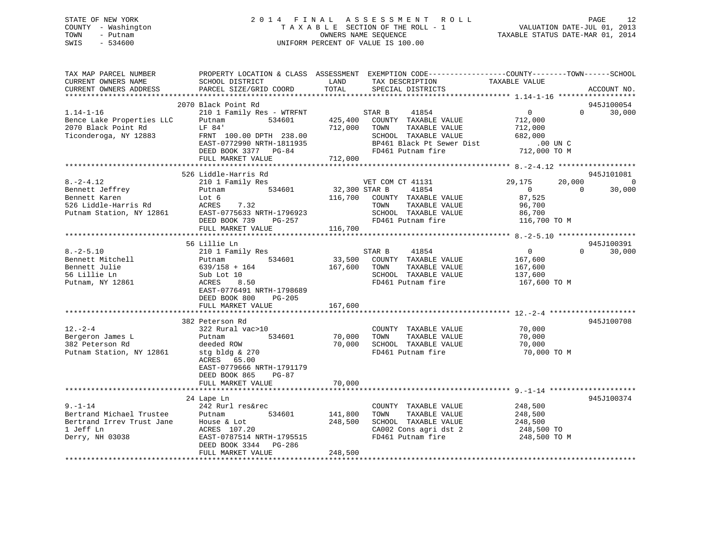### STATE OF NEW YORK 2 0 1 4 F I N A L A S S E S S M E N T R O L L PAGE 12 COUNTY - Washington T A X A B L E SECTION OF THE ROLL - 1 VALUATION DATE-JUL 01, 2013 TOWN - Putnam OWNERS NAME SEQUENCE TAXABLE STATUS DATE-MAR 01, 2014 SWIS - 534600 UNIFORM PERCENT OF VALUE IS 100.00

| TAX MAP PARCEL NUMBER<br>CURRENT OWNERS NAME<br>CURRENT OWNERS ADDRESS                                                                                                                                                                                              | SCHOOL DISTRICT<br>PARCEL SIZE/GRID COORD                                                                                                                                           | LAND<br>TOTAL                 | PROPERTY LOCATION & CLASS ASSESSMENT EXEMPTION CODE---------------COUNTY-------TOWN-----SCHOOL<br>TAX DESCRIPTION<br>SPECIAL DISTRICTS             | TAXABLE VALUE                                                                 |                          | ACCOUNT NO.                            |
|---------------------------------------------------------------------------------------------------------------------------------------------------------------------------------------------------------------------------------------------------------------------|-------------------------------------------------------------------------------------------------------------------------------------------------------------------------------------|-------------------------------|----------------------------------------------------------------------------------------------------------------------------------------------------|-------------------------------------------------------------------------------|--------------------------|----------------------------------------|
|                                                                                                                                                                                                                                                                     |                                                                                                                                                                                     |                               |                                                                                                                                                    |                                                                               |                          |                                        |
| $1.14 - 1 - 16$<br>Bence Lake Properties LLC<br>2070 Black Point Rd<br>Ticonderoga, NY 12883                                                                                                                                                                        | 2070 Black Point Rd<br>210 1 Family Res - WTRFNT<br>534601<br>Putnam<br>LF 84'<br>FRNT 100.00 DPTH 238.00<br>EAST-0772990 NRTH-1811935<br>DEED BOOK 3377 PG-84<br>FULL MARKET VALUE | 712,000<br>712,000            | STAR B<br>41854<br>425,400 COUNTY TAXABLE VALUE<br>TAXABLE VALUE<br>TOWN<br>SCHOOL TAXABLE VALUE<br>BP461 Black Pt Sewer Dist<br>FD461 Putnam fire | $\overline{0}$<br>712,000<br>712,000<br>682,000<br>$.00$ UN C<br>712,000 TO M | $\Omega$                 | 945J100054<br>30,000                   |
|                                                                                                                                                                                                                                                                     |                                                                                                                                                                                     |                               |                                                                                                                                                    |                                                                               |                          |                                        |
| 8.-2-4.14<br>Bennett Jeffrey<br>Karen<br>Bennett Karen<br>526 Liddle-Harris Rd<br>19861 - Sirian NY 12861                                                                                                                                                           | 526 Liddle-Harris Rd<br>210 1 Family Res<br>534601<br>Putnam<br>Lot 6<br>ACRES<br>7.32<br>EAST-0775633 NRTH-1796923<br>DEED BOOK 739<br>PG-257<br>FULL MARKET VALUE                 | 32,300 STAR B<br>116,700      | VET COM CT 41131<br>41854<br>116,700 COUNTY TAXABLE VALUE<br>TOWN<br>TAXABLE VALUE<br>SCHOOL TAXABLE VALUE<br>FD461 Putnam fire                    | 29,175<br>$\overline{0}$<br>87,525<br>96,700<br>86,700<br>116,700 TO M        | 20,000<br>$\overline{0}$ | 945J101081<br>$\overline{0}$<br>30,000 |
|                                                                                                                                                                                                                                                                     | 56 Lillie Ln                                                                                                                                                                        |                               |                                                                                                                                                    |                                                                               |                          | 945J100391                             |
| $8. - 2 - 5.10$<br>Bennett Mitchell<br>Bennett Julie<br>56 Lillie Ln<br>Putnam, NY 12861                                                                                                                                                                            | 210 1 Family Res<br>534601<br>Putnam<br>639/158 + 164<br>Sub Lot 10<br>8.50<br>ACRES<br>EAST-0776491 NRTH-1798689<br>DEED BOOK 800<br>$PG-205$<br>FULL MARKET VALUE                 | 167,600                       | STAR B<br>41854<br>33,500 COUNTY TAXABLE VALUE<br>167,600 TOWN<br>TAXABLE VALUE<br>SCHOOL TAXABLE VALUE<br>FD461 Putnam fire                       | $\overline{0}$<br>167,600<br>167,600<br>137,600<br>167,600 TO M               | $\Omega$                 | 30,000                                 |
|                                                                                                                                                                                                                                                                     |                                                                                                                                                                                     |                               |                                                                                                                                                    |                                                                               |                          |                                        |
| $12. - 2 - 4$<br>Bergeron James L<br>382 Peterson Rd<br>Putnam Station, NY 12861                                                                                                                                                                                    | 382 Peterson Rd<br>322 Rural vac>10<br>534601<br>Putnam<br>deeded ROW<br>stg bldg & 270<br>ACRES 65.00<br>EAST-0779666 NRTH-1791179<br>DEED BOOK 865<br>PG-87                       | 70,000<br>70,000              | COUNTY TAXABLE VALUE<br>TAXABLE VALUE<br>TOWN<br>SCHOOL TAXABLE VALUE<br>FD461 Putnam fire                                                         | 70,000<br>70,000<br>70,000<br>70,000 TO M                                     |                          | 945J100708                             |
|                                                                                                                                                                                                                                                                     | FULL MARKET VALUE                                                                                                                                                                   | 70,000                        |                                                                                                                                                    |                                                                               |                          |                                        |
|                                                                                                                                                                                                                                                                     | 24 Lape Ln                                                                                                                                                                          |                               |                                                                                                                                                    |                                                                               |                          | 945J100374                             |
| $\begin{tabular}{ll} 9.-1-14 & 242 \; Rurl \; res\&\texttt{Bertrand Michael Trustee} & \texttt{Putnam} \\ \texttt{Bertrand Irrev Trust Jane} & \texttt{House & Lot} \\ 1\;\texttt{Jeff Ln} & \texttt{ACRES} \; \; \texttt{107.20} \end{tabular}$<br>Derry, NH 03038 | 242 Rurl res&rec<br>534601<br>EAST-0787514 NRTH-1795515<br>DEED BOOK 3344 PG-286<br>FULL MARKET VALUE                                                                               | 141,800<br>248,500<br>248,500 | COUNTY TAXABLE VALUE<br>TAXABLE VALUE<br>TOWN<br>SCHOOL TAXABLE VALUE<br>CA002 Cons agri dst 2<br>FD461 Putnam fire                                | 248,500<br>248,500<br>248,500<br>248,500 TO<br>248,500 TO M                   |                          |                                        |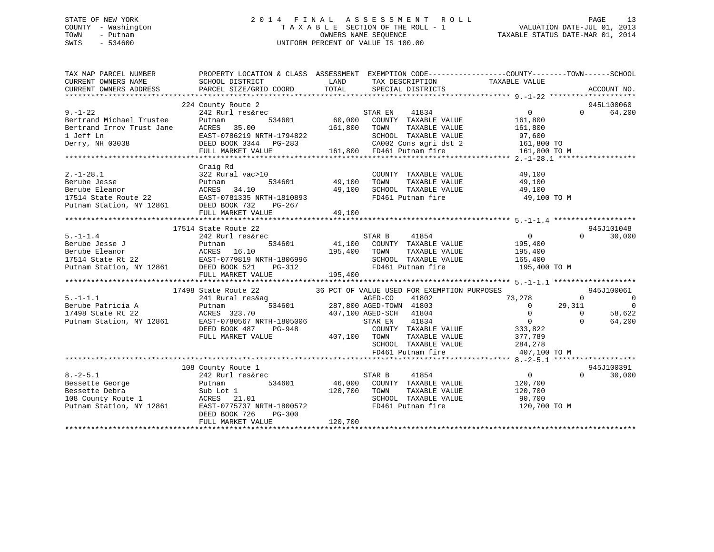### STATE OF NEW YORK 2 0 1 4 F I N A L A S S E S S M E N T R O L L PAGE 13 COUNTY - Washington T A X A B L E SECTION OF THE ROLL - 1 VALUATION DATE-JUL 01, 2013 TOWN - Putnam OWNERS NAME SEQUENCE TAXABLE STATUS DATE-MAR 01, 2014 SWIS - 534600 UNIFORM PERCENT OF VALUE IS 100.00

| TAX MAP PARCEL NUMBER                                                                                                                                                                                                   | PROPERTY LOCATION & CLASS ASSESSMENT EXEMPTION CODE---------------COUNTY-------TOWN------SCHOOL     |              |                                                                                         |                        |                |                          |
|-------------------------------------------------------------------------------------------------------------------------------------------------------------------------------------------------------------------------|-----------------------------------------------------------------------------------------------------|--------------|-----------------------------------------------------------------------------------------|------------------------|----------------|--------------------------|
| CURRENT OWNERS NAME                                                                                                                                                                                                     | SCHOOL DISTRICT                                                                                     | <b>LAND</b>  | TAX DESCRIPTION                                                                         | TAXABLE VALUE          |                |                          |
| CURRENT OWNERS ADDRESS                                                                                                                                                                                                  | PARCEL SIZE/GRID COORD                                                                              |              | TOTAL SPECIAL DISTRICTS                                                                 |                        |                | ACCOUNT NO.              |
|                                                                                                                                                                                                                         | 224 County Route 2                                                                                  |              |                                                                                         |                        |                | 945L100060               |
| $9 - 1 - 22$                                                                                                                                                                                                            | 242 Rurl res&rec                                                                                    |              | STAR EN 41834<br>60,000 COUNTY TAXABLE VALUE                                            | $\overline{0}$         |                | 64,200<br>$\Omega$       |
| Bertrand Michael Trustee                                                                                                                                                                                                | 534601<br>Putnam                                                                                    |              |                                                                                         | 161,800                |                |                          |
|                                                                                                                                                                                                                         |                                                                                                     |              |                                                                                         |                        |                |                          |
|                                                                                                                                                                                                                         |                                                                                                     |              |                                                                                         |                        |                |                          |
|                                                                                                                                                                                                                         |                                                                                                     |              |                                                                                         |                        |                |                          |
|                                                                                                                                                                                                                         |                                                                                                     |              |                                                                                         |                        |                |                          |
|                                                                                                                                                                                                                         |                                                                                                     |              |                                                                                         |                        |                |                          |
|                                                                                                                                                                                                                         | Craig Rd                                                                                            |              |                                                                                         |                        |                |                          |
| $2. -1 - 28.1$                                                                                                                                                                                                          | 322 Rural vac>10                                                                                    |              | COUNTY TAXABLE VALUE                                                                    | 49,100                 |                |                          |
|                                                                                                                                                                                                                         |                                                                                                     |              |                                                                                         | TAXABLE VALUE 49,100   |                |                          |
|                                                                                                                                                                                                                         |                                                                                                     |              | $49,100$ SCHOOL TAXABLE VALUE $49,100$<br>FD461 Putnam fire $49,100$ TO M               |                        |                |                          |
|                                                                                                                                                                                                                         |                                                                                                     |              |                                                                                         |                        |                |                          |
| Example Jesse<br>Berube Jesse Butnam 534601<br>17514 State Route 22 EAST-0781335 NRTH-1810893<br>Putnam Station, NY 12861 DEED BOOK 732 PG-267<br>FILL MAPKET VALUE                                                     |                                                                                                     |              |                                                                                         |                        |                |                          |
|                                                                                                                                                                                                                         |                                                                                                     |              |                                                                                         |                        |                |                          |
|                                                                                                                                                                                                                         |                                                                                                     |              |                                                                                         |                        |                |                          |
|                                                                                                                                                                                                                         | 17514 State Route 22                                                                                |              |                                                                                         |                        |                | 945J101048               |
| $5. -1 - 1.4$                                                                                                                                                                                                           | 242 Rurl res&rec                                                                                    |              | STAR B<br>41854                                                                         | $\overline{0}$         | $\Omega$       | 30,000                   |
|                                                                                                                                                                                                                         |                                                                                                     |              | 41,100 COUNTY TAXABLE VALUE                                                             | 195,400                |                |                          |
|                                                                                                                                                                                                                         |                                                                                                     |              | TAXABLE VALUE                                                                           | 195,400                |                |                          |
|                                                                                                                                                                                                                         |                                                                                                     |              | SCHOOL TAXABLE VALUE 165,400                                                            |                        |                |                          |
| Berube Jesse J<br>Berube Eleanor (ACRES 16.10 195,400 TOWNTY<br>17514 State Rt 22 EAST-0779819 NRTH-1806996 SCHOOL<br>Putnam Station, NY 12861 DEED BOOK 521 PG-312 FD461 PM<br>FULL MARKET VALUE 195,400               |                                                                                                     |              | FD461 Putnam fire                                                                       | 195,400 TO M           |                |                          |
|                                                                                                                                                                                                                         | FULL MARKET VALUE                                                                                   | 195,400      |                                                                                         |                        |                |                          |
|                                                                                                                                                                                                                         |                                                                                                     |              |                                                                                         |                        |                |                          |
| 5.-1-1.1 241 Rural resway<br>Berube Patricia A Putnam 534601 287,800<br>17498 State Rt 22 ACRES 323.70 407,100<br>Putnam Station, NY 12861 EAST-0780567 NRTH-1805006<br>DEED BOOK 487 PG-948<br>THE MADVET VALUE 407,10 | 17498 State Route 22 36 PCT OF VALUE USED FOR EXEMPTION PURPOSES                                    |              |                                                                                         |                        |                | 945J100061               |
|                                                                                                                                                                                                                         |                                                                                                     |              | AGED-CO<br>41802                                                                        | 73,278                 | $\overline{0}$ | $\overline{\phantom{0}}$ |
|                                                                                                                                                                                                                         | 1 Tesaag 534601 287,800 AGED-TOWN 41803<br>534601 287,800 AGED-TOWN 41803<br>407,100 AGED-SCH 41804 |              | AGED-TOWN 41803 0<br>AGED-SCH 41804 0<br>STAREN 41834 0<br>COUNTY TAXABLE VALUE 333,822 |                        | 29,311         | $\Omega$                 |
|                                                                                                                                                                                                                         |                                                                                                     |              |                                                                                         |                        | $\overline{0}$ | 58,622                   |
|                                                                                                                                                                                                                         |                                                                                                     |              | STAR EN                                                                                 |                        | $\Omega$       | 64,200                   |
|                                                                                                                                                                                                                         |                                                                                                     |              |                                                                                         |                        |                |                          |
|                                                                                                                                                                                                                         |                                                                                                     | 407,100 TOWN |                                                                                         | TAXABLE VALUE 377,789  |                |                          |
|                                                                                                                                                                                                                         |                                                                                                     |              | SCHOOL TAXABLE VALUE<br>FD461 Putnam fire                                               | 284,278                |                |                          |
|                                                                                                                                                                                                                         |                                                                                                     |              |                                                                                         | 407,100 TO M           |                |                          |
|                                                                                                                                                                                                                         |                                                                                                     |              |                                                                                         |                        |                | 945J100391               |
| $8. - 2 - 5.1$                                                                                                                                                                                                          | 108 County Route 1<br>242 Rurl res&rec                                                              |              | STAR B<br>41854                                                                         | $\overline{0}$         | $\Omega$       | 30,000                   |
|                                                                                                                                                                                                                         |                                                                                                     |              | 46,000 COUNTY TAXABLE VALUE                                                             | 120,700                |                |                          |
|                                                                                                                                                                                                                         |                                                                                                     | 120,700 TOWN |                                                                                         | TAXABLE VALUE 120,700  |                |                          |
|                                                                                                                                                                                                                         |                                                                                                     |              |                                                                                         |                        |                |                          |
| Bessette George<br>Bessette Debra<br>108 County Route 1 acres 21.01<br>Putnam Station, NY 12861 EAST-0775737 NRTH-1800572                                                                                               | ACRES 21.01<br>EAST-0775737 NRTH-1800572                                                            |              | SCHOOL TAXABLE VALUE<br>FD461 Putnam fire                                               | 90,700<br>120,700 TO M |                |                          |
|                                                                                                                                                                                                                         | DEED BOOK 726<br>PG-300                                                                             |              |                                                                                         |                        |                |                          |
|                                                                                                                                                                                                                         | FULL MARKET VALUE                                                                                   | 120,700      |                                                                                         |                        |                |                          |
|                                                                                                                                                                                                                         |                                                                                                     |              |                                                                                         |                        |                |                          |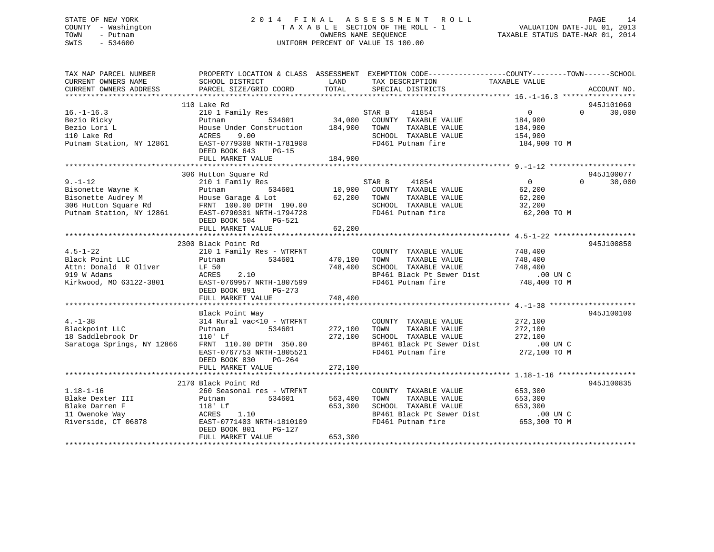### STATE OF NEW YORK 2 0 1 4 F I N A L A S S E S S M E N T R O L L PAGE 14 COUNTY - Washington T A X A B L E SECTION OF THE ROLL - 1 VALUATION DATE-JUL 01, 2013 TOWN - Putnam **CONNERS NAME SEQUENCE** TAXABLE STATUS DATE-MAR 01, 2014 SWIS - 534600 UNIFORM PERCENT OF VALUE IS 100.00

| TAX MAP PARCEL NUMBER<br>CURRENT OWNERS NAME<br>CURRENT OWNERS ADDRESS                                                                         | SCHOOL DISTRICT<br>PARCEL SIZE/GRID COORD                              | LAND<br>TOTAL | PROPERTY LOCATION & CLASS ASSESSMENT EXEMPTION CODE----------------COUNTY-------TOWN------SCHOOL<br>TAX DESCRIPTION<br>SPECIAL DISTRICTS                                                    | TAXABLE VALUE              | ACCOUNT NO.   |
|------------------------------------------------------------------------------------------------------------------------------------------------|------------------------------------------------------------------------|---------------|---------------------------------------------------------------------------------------------------------------------------------------------------------------------------------------------|----------------------------|---------------|
|                                                                                                                                                |                                                                        |               |                                                                                                                                                                                             |                            |               |
|                                                                                                                                                | 110 Lake Rd                                                            |               |                                                                                                                                                                                             |                            | 945J101069    |
| $16. - 1 - 16.3$                                                                                                                               | 210 1 Family Res                                                       |               | 41854<br>STAR B                                                                                                                                                                             | $\overline{0}$             | $0 \t 30,000$ |
| Bezio Ricky                                                                                                                                    | Putnam 534601 34,000<br>House Under Construction 184,900<br>ACRES 9 00 |               | COUNTY TAXABLE VALUE                                                                                                                                                                        | 184,900                    |               |
|                                                                                                                                                |                                                                        |               | TOWN<br>TAXABLE VALUE                                                                                                                                                                       | 184,900                    |               |
|                                                                                                                                                |                                                                        |               | SCHOOL TAXABLE VALUE                                                                                                                                                                        | 154,900                    |               |
|                                                                                                                                                |                                                                        |               | FD461 Putnam fire                                                                                                                                                                           | 184,900 TO M               |               |
|                                                                                                                                                | DEED BOOK 643<br>$PG-15$                                               |               |                                                                                                                                                                                             |                            |               |
|                                                                                                                                                | FULL MARKET VALUE                                                      | 184,900       |                                                                                                                                                                                             |                            |               |
|                                                                                                                                                | 306 Hutton Square Rd                                                   |               |                                                                                                                                                                                             |                            | 945J100077    |
| $9. - 1 - 12$                                                                                                                                  | 210 1 Family Res                                                       |               | STAR B<br>41854                                                                                                                                                                             | $\overline{0}$<br>$\Omega$ | 30,000        |
|                                                                                                                                                |                                                                        |               | 10,900 COUNTY TAXABLE VALUE                                                                                                                                                                 | 62,200                     |               |
|                                                                                                                                                |                                                                        | 62,200 TOWN   | TAXABLE VALUE                                                                                                                                                                               | 62,200                     |               |
|                                                                                                                                                |                                                                        |               | SCHOOL TAXABLE VALUE                                                                                                                                                                        | 32,200                     |               |
| Bisonette Wayne K<br>Bisonette Audrey M<br>Bisonette Audrey M<br>306 Hutton Square Rd<br>Putnam Station, NY 12861<br>EAST-0790301 NRTH-1794728 |                                                                        |               | FD461 Putnam fire                                                                                                                                                                           | 62,200 TO M                |               |
|                                                                                                                                                | DEED BOOK 504 PG-521                                                   |               |                                                                                                                                                                                             |                            |               |
|                                                                                                                                                | FULL MARKET VALUE                                                      | 62,200        |                                                                                                                                                                                             |                            |               |
|                                                                                                                                                |                                                                        |               |                                                                                                                                                                                             |                            |               |
|                                                                                                                                                | 2300 Black Point Rd                                                    |               |                                                                                                                                                                                             |                            | 945J100850    |
| $4.5 - 1 - 22$                                                                                                                                 | 210 1 Family Res - WTRFNT                                              |               |                                                                                                                                                                                             |                            |               |
| Black Point LLC                                                                                                                                | Putnam 534601                                                          | 470,100       | $\begin{tabular}{llllll} \multicolumn{2}{c}{\textbf{COUNTY}} & \textbf{TAXABLE VALUE} & & \textbf{748,400} \\ \textbf{TOWN} & \textbf{TAXABLE VALUE} & & \textbf{748,400} \\ \end{tabular}$ |                            |               |
|                                                                                                                                                |                                                                        | 748,400       |                                                                                                                                                                                             |                            |               |
| Black Point LLC<br>Attn: Donald R Oliver LF 50<br>2002 M Adams RCRES 2.10                                                                      |                                                                        |               | TOWN TAXABLE VALUE<br>SCHOOL TAXABLE VALUE 748,400<br>-- '' Plack Pt Sewer Dist 00 UN C                                                                                                     |                            |               |
| Kirkwood, MO 63122-3801 EAST-0769957 NRTH-1807599                                                                                              |                                                                        |               | BP461 Black Pt Sewer Dist<br>FD461 Putnam fire                                                                                                                                              | 748,400 TO M               |               |
|                                                                                                                                                | DEED BOOK 891<br>PG-273                                                |               |                                                                                                                                                                                             |                            |               |
|                                                                                                                                                | FULL MARKET VALUE                                                      | 748,400       |                                                                                                                                                                                             |                            |               |
|                                                                                                                                                |                                                                        |               |                                                                                                                                                                                             |                            |               |
|                                                                                                                                                | Black Point Way                                                        |               |                                                                                                                                                                                             |                            | 945J100100    |
| $4. - 1 - 38$                                                                                                                                  | 314 Rural vac<10 - WTRFNT                                              |               | COUNTY TAXABLE VALUE                                                                                                                                                                        | 272,100                    |               |
| Blackpoint LLC                                                                                                                                 | $534601$ 272,100<br>Putnam                                             |               | TAXABLE VALUE<br>TOWN                                                                                                                                                                       | 272,100                    |               |
| 18 Saddlebrook Dr                                                                                                                              | $110'$ Lf                                                              | 272,100       |                                                                                                                                                                                             |                            |               |
| Saratoga Springs, NY 12866                                                                                                                     | FRNT 110.00 DPTH 350.00                                                |               | SCHOOL TAXABLE VALUE 272,100<br>BP461 Black Pt Sewer Dist 00 UN C                                                                                                                           |                            |               |
|                                                                                                                                                | EAST-0767753 NRTH-1805521                                              |               | FD461 Putnam fire                                                                                                                                                                           | 272,100 TO M               |               |
|                                                                                                                                                | DEED BOOK 830<br>PG-264                                                |               |                                                                                                                                                                                             |                            |               |
|                                                                                                                                                | FULL MARKET VALUE                                                      | 272,100       |                                                                                                                                                                                             |                            |               |
|                                                                                                                                                |                                                                        |               |                                                                                                                                                                                             |                            |               |
|                                                                                                                                                | 2170 Black Point Rd                                                    |               |                                                                                                                                                                                             |                            | 945J100835    |
| $1.18 - 1 - 16$                                                                                                                                | 260 Seasonal res - WTRFNT                                              |               | COUNTY TAXABLE VALUE                                                                                                                                                                        | 653,300                    |               |
| Blake Dexter III                                                                                                                               | 534601 563,400<br>Putnam                                               |               | TAXABLE VALUE 653,300<br>TOWN                                                                                                                                                               |                            |               |
| Blake Darren F                                                                                                                                 |                                                                        | 653,300       | SCHOOL TAXABLE VALUE                                                                                                                                                                        | 653,300                    |               |
| 11 Owenoke Way                                                                                                                                 |                                                                        |               | SCHOOL TAXABLE VALUE 653,300<br>BP461 Black Pt Sewer Dist .00 UN C                                                                                                                          |                            |               |
| Riverside, CT 06878                                                                                                                            | 118' Lf 653<br>ACRES 1.10 653<br>BAST-0771403 NRTH-1810109             |               | FD461 Putnam fire                                                                                                                                                                           | 653,300 TO M               |               |
|                                                                                                                                                | DEED BOOK 801<br>PG-127                                                |               |                                                                                                                                                                                             |                            |               |
|                                                                                                                                                | FULL MARKET VALUE                                                      | 653,300       |                                                                                                                                                                                             |                            |               |
|                                                                                                                                                |                                                                        |               |                                                                                                                                                                                             |                            |               |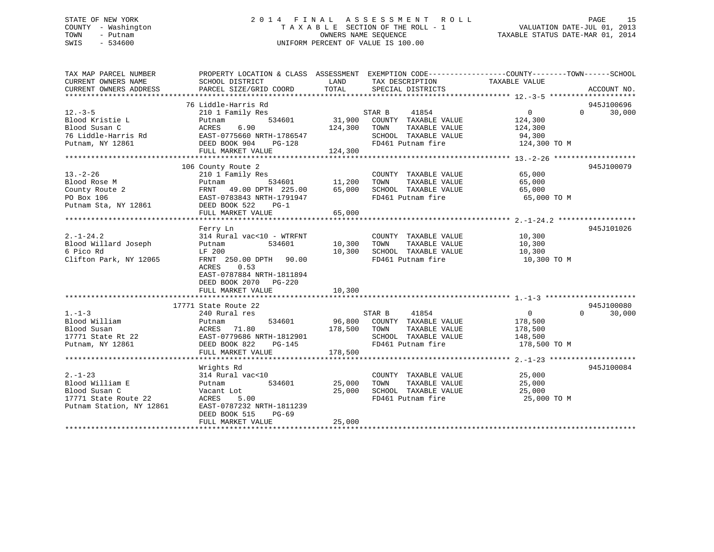### STATE OF NEW YORK 2 0 1 4 F I N A L A S S E S S M E N T R O L L PAGE 15 COUNTY - Washington T A X A B L E SECTION OF THE ROLL - 1 VALUATION DATE-JUL 01, 2013 TOWN - Putnam **CONNERS NAME SEQUENCE** TAXABLE STATUS DATE-MAR 01, 2014 SWIS - 534600 UNIFORM PERCENT OF VALUE IS 100.00

| TAX MAP PARCEL NUMBER        | PROPERTY LOCATION & CLASS ASSESSMENT EXEMPTION CODE----------------COUNTY-------TOWN------SCHOOL                              |              |                                                              |                                                              |                    |
|------------------------------|-------------------------------------------------------------------------------------------------------------------------------|--------------|--------------------------------------------------------------|--------------------------------------------------------------|--------------------|
| CURRENT OWNERS NAME          | SCHOOL DISTRICT                                                                                                               | LAND         | TAX DESCRIPTION                                              | TAXABLE VALUE                                                |                    |
| CURRENT OWNERS ADDRESS       | PARCEL SIZE/GRID COORD                                                                                                        | TOTAL        | SPECIAL DISTRICTS                                            |                                                              | ACCOUNT NO.        |
|                              |                                                                                                                               |              |                                                              |                                                              |                    |
|                              | 76 Liddle-Harris Rd                                                                                                           |              |                                                              |                                                              | 945J100696         |
| $12. -3 - 5$                 | 210 1 Family Res                                                                                                              |              | STAR B<br>41854                                              | $\overline{0}$                                               | $0 \t 30,000$      |
| Blood Kristie L              | 534601<br>Putnam                                                                                                              |              | 31,900 COUNTY TAXABLE VALUE                                  | 124,300                                                      |                    |
| Blood Susan C                | 124,300 TOWN                                                                                                                  |              | TAXABLE VALUE 124,300                                        |                                                              |                    |
| 76 Liddle-Harris Rd          |                                                                                                                               |              | SCHOOL TAXABLE VALUE                                         | 94,300                                                       |                    |
| Putnam, NY 12861             |                                                                                                                               |              | FD461 Putnam fire 124,300 TO M                               |                                                              |                    |
|                              | ACRES 6.90 ---,<br>EAST-0775660 NRTH-1786547<br>DEED BOOK 904 PG-128<br>FULL MARKET VALUE 124,300<br>ALL MARKET VALUE 124,300 |              |                                                              |                                                              |                    |
|                              |                                                                                                                               |              |                                                              |                                                              |                    |
|                              | 106 County Route 2                                                                                                            |              |                                                              |                                                              | 945J100079         |
| $13. - 2 - 26$               | 210 1 Family Res                                                                                                              |              | COUNTY TAXABLE VALUE 65,000                                  |                                                              |                    |
| Blood Rose M                 | Putnam 534601 11,200                                                                                                          |              | TOWN                                                         | TAXABLE VALUE 65,000                                         |                    |
|                              | FRNT 49.00 DPTH 225.00 65,000                                                                                                 |              |                                                              |                                                              |                    |
| County Route 2<br>PO Box 106 | Putnam 534601 11,200<br>FRNT 49.00 DPTH 225.00 65,000<br>EAST-0783843 NRTH-1791947                                            |              | SCHOOL TAXABLE VALUE 65,000<br>FD461 Putnam fire 65,000 TO M |                                                              |                    |
| Putnam Sta, NY 12861         | DEED BOOK 522 PG-1                                                                                                            |              |                                                              |                                                              |                    |
|                              | FULL MARKET VALUE                                                                                                             | 65,000       |                                                              |                                                              |                    |
|                              |                                                                                                                               |              |                                                              |                                                              |                    |
|                              | Ferry Ln                                                                                                                      |              |                                                              |                                                              | 945J101026         |
| $2. -1 - 24.2$               | 314 Rural vac<10 - WTRFNT                                                                                                     |              | COUNTY TAXABLE VALUE 10,300                                  |                                                              |                    |
| Blood Willard Joseph         | 534601<br>Putnam                                                                                                              | 10,300       | TOWN TAXABLE VALUE                                           |                                                              |                    |
| 6 Pico Rd                    | LF 200                                                                                                                        | 10,300       |                                                              | 10,300<br>10,300                                             |                    |
| Clifton Park, NY 12065       | FRNT 250.00 DPTH 90.00                                                                                                        |              | SCHOOL TAXABLE VALUE 10,300<br>FD461 Putnam fire 10,300 TO M |                                                              |                    |
|                              | ACRES<br>0.53                                                                                                                 |              |                                                              |                                                              |                    |
|                              | EAST-0787884 NRTH-1811894                                                                                                     |              |                                                              |                                                              |                    |
|                              | DEED BOOK 2070 PG-220                                                                                                         |              |                                                              |                                                              |                    |
|                              | FULL MARKET VALUE                                                                                                             | 10,300       |                                                              |                                                              |                    |
|                              |                                                                                                                               |              |                                                              |                                                              |                    |
|                              | 17771 State Route 22                                                                                                          |              |                                                              |                                                              | 945J100080         |
| $1. - 1 - 3$                 | 240 Rural res                                                                                                                 |              | 41854<br>STAR B                                              |                                                              | $\Omega$<br>30,000 |
| 1.-1-3<br>Blood William      |                                                                                                                               |              | 534601 96,800 COUNTY TAXABLE VALUE                           | $\begin{smallmatrix}&&0\178\,,\mathbf{500}\end{smallmatrix}$ |                    |
|                              | Putnam                                                                                                                        | 178,500 TOWN | TAXABLE VALUE                                                | 178,500                                                      |                    |
|                              |                                                                                                                               |              |                                                              |                                                              |                    |
|                              |                                                                                                                               |              | SCHOOL TAXABLE VALUE 148,500                                 |                                                              |                    |
|                              |                                                                                                                               |              | FD461 Putnam fire                                            | 178,500 TO M                                                 |                    |
|                              | FULL MARKET VALUE                                                                                                             | 178,500      |                                                              |                                                              |                    |
|                              |                                                                                                                               |              |                                                              |                                                              |                    |
|                              | Wrights Rd                                                                                                                    |              |                                                              |                                                              | 945J100084         |
| $2. - 1 - 23$                | 314 Rural vac<10                                                                                                              |              | COUNTY TAXABLE VALUE<br>TOWN TAXABLE VALUE 25,000            |                                                              |                    |
| Blood William E              | 534601 25,000<br>Putnam                                                                                                       |              | TOWN                                                         |                                                              |                    |
| Blood Susan C                |                                                                                                                               | 25,000       | SCHOOL TAXABLE VALUE 25,000                                  |                                                              |                    |
| 17771 State Route 22         | ACRES 5.00                                                                                                                    |              | FD461 Putnam fire                                            | 25,000 TO M                                                  |                    |
| Putnam Station, NY 12861     | EAST-0787232 NRTH-1811239                                                                                                     |              |                                                              |                                                              |                    |
|                              | DEED BOOK 515<br>PG-69                                                                                                        |              |                                                              |                                                              |                    |
|                              | FULL MARKET VALUE                                                                                                             | 25,000       |                                                              |                                                              |                    |
|                              |                                                                                                                               |              |                                                              |                                                              |                    |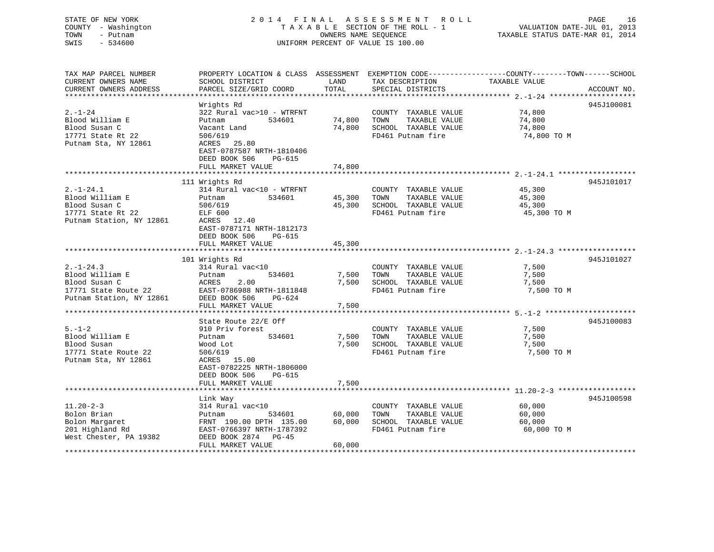| STATE OF NEW YORK<br>COUNTY - Washington<br>TOWN<br>- Putnam<br>SWIS<br>$-534600$ |                                                                     |                       | 2014 FINAL ASSESSMENT ROLL<br>TAXABLE SECTION OF THE ROLL - 1<br>OWNERS NAME SEQUENCE<br>UNIFORM PERCENT OF VALUE IS 100.00 | VALUATION DATE-JUL 01, 2013<br>TAXABLE STATUS DATE-MAR 01, 2014                                                   | PAGE<br>16  |
|-----------------------------------------------------------------------------------|---------------------------------------------------------------------|-----------------------|-----------------------------------------------------------------------------------------------------------------------------|-------------------------------------------------------------------------------------------------------------------|-------------|
| TAX MAP PARCEL NUMBER<br>CURRENT OWNERS NAME                                      | SCHOOL DISTRICT                                                     | LAND                  | TAX DESCRIPTION                                                                                                             | PROPERTY LOCATION & CLASS ASSESSMENT EXEMPTION CODE----------------COUNTY-------TOWN------SCHOOL<br>TAXABLE VALUE |             |
| CURRENT OWNERS ADDRESS                                                            | PARCEL SIZE/GRID COORD                                              | TOTAL                 | SPECIAL DISTRICTS                                                                                                           |                                                                                                                   | ACCOUNT NO. |
|                                                                                   |                                                                     |                       |                                                                                                                             |                                                                                                                   |             |
| $2. - 1 - 24$                                                                     | Wrights Rd<br>322 Rural vac>10 - WTRFNT                             |                       | COUNTY TAXABLE VALUE                                                                                                        | 74,800                                                                                                            | 945J100081  |
| Blood William E                                                                   | 534601<br>Putnam                                                    | 74,800 TOWN           | TAXABLE VALUE                                                                                                               | 74,800                                                                                                            |             |
| Blood Susan C                                                                     | Vacant Land                                                         |                       | 74,800 SCHOOL TAXABLE VALUE                                                                                                 | 74,800                                                                                                            |             |
| 17771 State Rt 22                                                                 | 506/619                                                             |                       | FD461 Putnam fire                                                                                                           | 74,800 TO M                                                                                                       |             |
| Putnam Sta, NY 12861                                                              | ACRES 25.80<br>EAST-0787587 NRTH-1810406                            |                       |                                                                                                                             |                                                                                                                   |             |
|                                                                                   | DEED BOOK 506<br>PG-615<br>FULL MARKET VALUE                        | 74,800                |                                                                                                                             |                                                                                                                   |             |
|                                                                                   |                                                                     |                       |                                                                                                                             |                                                                                                                   |             |
|                                                                                   | 111 Wrights Rd                                                      |                       |                                                                                                                             |                                                                                                                   | 945J101017  |
| $2. -1 - 24.1$                                                                    | 314 Rural vac<10 - WTRFNT                                           |                       | COUNTY TAXABLE VALUE                                                                                                        | 45,300                                                                                                            |             |
| Blood William E                                                                   | 534601<br>Putnam                                                    | 45,300                | TOWN<br>TAXABLE VALUE                                                                                                       | 45,300                                                                                                            |             |
| Blood Susan C                                                                     | 506/619                                                             |                       | 45,300 SCHOOL TAXABLE VALUE                                                                                                 | 45,300                                                                                                            |             |
| 17771 State Rt 22                                                                 | ELF 600                                                             |                       | FD461 Putnam fire                                                                                                           | 45,300 TO M                                                                                                       |             |
| Putnam Station, NY 12861                                                          | ACRES 12.40<br>EAST-0787171 NRTH-1812173<br>DEED BOOK 506<br>PG-615 |                       |                                                                                                                             |                                                                                                                   |             |
|                                                                                   | FULL MARKET VALUE                                                   | 45,300                |                                                                                                                             |                                                                                                                   |             |
|                                                                                   |                                                                     |                       |                                                                                                                             |                                                                                                                   |             |
|                                                                                   | 101 Wrights Rd                                                      |                       |                                                                                                                             |                                                                                                                   | 945J101027  |
| $2. -1 - 24.3$<br>Blood William E                                                 | 314 Rural vac<10<br>Putnam<br>534601                                | 7,500                 | COUNTY TAXABLE VALUE<br>TOWN<br>TAXABLE VALUE                                                                               | 7,500<br>7,500                                                                                                    |             |
| Blood Susan C                                                                     | ACRES<br>2.00                                                       | 7,500                 | SCHOOL TAXABLE VALUE                                                                                                        | 7,500                                                                                                             |             |
| 17771 State Route 22                                                              | EAST-0786988 NRTH-1811848                                           |                       | FD461 Putnam fire                                                                                                           | 7,500 TO M                                                                                                        |             |
| Putnam Station, NY 12861                                                          | DEED BOOK 506<br>PG-624                                             |                       |                                                                                                                             |                                                                                                                   |             |
|                                                                                   | FULL MARKET VALUE                                                   | 7,500                 |                                                                                                                             |                                                                                                                   |             |
|                                                                                   |                                                                     |                       |                                                                                                                             |                                                                                                                   |             |
|                                                                                   | State Route 22/E Off                                                |                       |                                                                                                                             |                                                                                                                   | 945J100083  |
| $5. - 1 - 2$                                                                      | 910 Priv forest                                                     |                       | COUNTY TAXABLE VALUE                                                                                                        | 7,500                                                                                                             |             |
| Blood William E<br>Blood Susan                                                    | Putnam<br>534601<br>Wood Lot                                        | 7,500                 | TOWN<br>TAXABLE VALUE<br>7,500 SCHOOL TAXABLE VALUE                                                                         | 7,500<br>7,500                                                                                                    |             |
| 17771 State Route 22                                                              | 506/619                                                             |                       | FD461 Putnam fire                                                                                                           | 7,500 TO M                                                                                                        |             |
| Putnam Sta, NY 12861                                                              | ACRES 15.00                                                         |                       |                                                                                                                             |                                                                                                                   |             |
|                                                                                   | EAST-0782225 NRTH-1806000                                           |                       |                                                                                                                             |                                                                                                                   |             |
|                                                                                   | DEED BOOK 506<br>PG-615                                             |                       |                                                                                                                             |                                                                                                                   |             |
|                                                                                   | FULL MARKET VALUE                                                   | 7,500                 |                                                                                                                             |                                                                                                                   |             |
|                                                                                   |                                                                     | ********************* |                                                                                                                             |                                                                                                                   |             |
|                                                                                   | Link Way                                                            |                       |                                                                                                                             |                                                                                                                   | 945J100598  |
| $11.20 - 2 - 3$                                                                   | 314 Rural vac<10                                                    |                       | COUNTY TAXABLE VALUE                                                                                                        | 60,000                                                                                                            |             |
| Bolon Brian                                                                       | Putnam<br>534601                                                    | 60,000<br>60,000      | TOWN<br>TAXABLE VALUE<br>SCHOOL TAXABLE VALUE                                                                               | 60,000<br>60,000                                                                                                  |             |
| Bolon Margaret<br>201 Highland Rd                                                 | FRNT 190.00 DPTH 135.00<br>EAST-0766397 NRTH-1787392                |                       | FD461 Putnam fire                                                                                                           | 60,000 TO M                                                                                                       |             |
| West Chester, PA 19382                                                            | DEED BOOK 2874 PG-45                                                |                       |                                                                                                                             |                                                                                                                   |             |

\*\*\*\*\*\*\*\*\*\*\*\*\*\*\*\*\*\*\*\*\*\*\*\*\*\*\*\*\*\*\*\*\*\*\*\*\*\*\*\*\*\*\*\*\*\*\*\*\*\*\*\*\*\*\*\*\*\*\*\*\*\*\*\*\*\*\*\*\*\*\*\*\*\*\*\*\*\*\*\*\*\*\*\*\*\*\*\*\*\*\*\*\*\*\*\*\*\*\*\*\*\*\*\*\*\*\*\*\*\*\*\*\*\*\*\*\*\*\*\*\*\*\*\*\*\*\*\*\*\*\*\*

FULL MARKET VALUE 60,000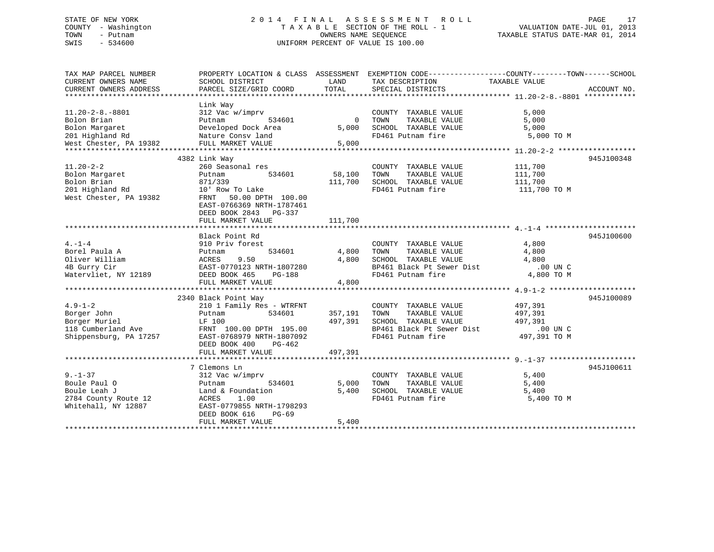### STATE OF NEW YORK 2 0 1 4 F I N A L A S S E S S M E N T R O L L PAGE 17 COUNTY - Washington T A X A B L E SECTION OF THE ROLL - 1 VALUATION DATE-JUL 01, 2013 TOWN - Putnam OWNERS NAME SEQUENCE TAXABLE STATUS DATE-MAR 01, 2014 SWIS - 534600 UNIFORM PERCENT OF VALUE IS 100.00

| TAX MAP PARCEL NUMBER<br>CURRENT OWNERS NAME<br>CURRENT OWNERS ADDRESS | PROPERTY LOCATION & CLASS ASSESSMENT EXEMPTION CODE----------------COUNTY-------TOWN-----SCHOOL<br>SCHOOL DISTRICT<br>PARCEL SIZE/GRID COORD | LAND<br>TOTAL  | TAX DESCRIPTION<br>SPECIAL DISTRICTS          | TAXABLE VALUE  | ACCOUNT NO. |
|------------------------------------------------------------------------|----------------------------------------------------------------------------------------------------------------------------------------------|----------------|-----------------------------------------------|----------------|-------------|
|                                                                        |                                                                                                                                              |                |                                               |                |             |
| $11.20 - 2 - 8. - 8801$<br>Bolon Brian                                 | Link Way<br>312 Vac w/imprv<br>Putnam<br>534601                                                                                              | $\overline{0}$ | COUNTY TAXABLE VALUE<br>TAXABLE VALUE<br>TOWN | 5,000<br>5,000 |             |
| Bolon Margaret                                                         | Developed Dock Area                                                                                                                          | 5,000          | SCHOOL TAXABLE VALUE                          | 5,000          |             |
| 201 Highland Rd                                                        | Nature Consv land                                                                                                                            |                | FD461 Putnam fire                             | 5,000 TO M     |             |
| West Chester, PA 19382                                                 | FULL MARKET VALUE                                                                                                                            | 5,000          |                                               |                |             |
|                                                                        |                                                                                                                                              |                |                                               |                |             |
|                                                                        | 4382 Link Way                                                                                                                                |                |                                               |                | 945J100348  |
| $11.20 - 2 - 2$                                                        | 260 Seasonal res                                                                                                                             |                | COUNTY TAXABLE VALUE                          | 111,700        |             |
|                                                                        |                                                                                                                                              |                |                                               |                |             |
| Bolon Margaret                                                         | 534601<br>Putnam                                                                                                                             | 58,100         | TOWN<br>TAXABLE VALUE                         | 111,700        |             |
| Bolon Brian                                                            | 871/339                                                                                                                                      | 111,700        | SCHOOL TAXABLE VALUE                          | 111,700        |             |
| 201 Highland Rd                                                        | 10' Row To Lake                                                                                                                              |                | FD461 Putnam fire                             | 111,700 TO M   |             |
| West Chester, PA 19382                                                 | FRNT 50.00 DPTH 100.00<br>EAST-0766369 NRTH-1787461<br>DEED BOOK 2843 PG-337                                                                 |                |                                               |                |             |
|                                                                        | FULL MARKET VALUE                                                                                                                            | 111,700        |                                               |                |             |
|                                                                        |                                                                                                                                              |                |                                               |                |             |
|                                                                        | Black Point Rd                                                                                                                               |                |                                               |                | 945J100600  |
| $4. -1 - 4$                                                            | 910 Priv forest                                                                                                                              |                | COUNTY TAXABLE VALUE                          | 4,800          |             |
| Borel Paula A                                                          | 534601<br>Putnam                                                                                                                             | 4,800          | TAXABLE VALUE<br>TOWN                         | 4,800          |             |
| Oliver William                                                         | 9.50<br>ACRES                                                                                                                                |                | 4,800 SCHOOL TAXABLE VALUE                    | 4,800          |             |
| 4B Gurry Cir                                                           | EAST-0770123 NRTH-1807280                                                                                                                    |                | BP461 Black Pt Sewer Dist                     | .00 UN C       |             |
| Watervliet, NY 12189                                                   | DEED BOOK 465<br>PG-188                                                                                                                      |                | FD461 Putnam fire                             | 4,800 TO M     |             |
|                                                                        | FULL MARKET VALUE                                                                                                                            | 4,800          |                                               |                |             |
|                                                                        |                                                                                                                                              |                |                                               |                |             |
|                                                                        | 2340 Black Point Way                                                                                                                         |                |                                               |                | 945J100089  |
| $4.9 - 1 - 2$                                                          | 210 1 Family Res - WTRFNT                                                                                                                    |                | COUNTY TAXABLE VALUE                          | 497,391        |             |
| Borger John                                                            | 534601<br>Putnam                                                                                                                             | 357,191        | TAXABLE VALUE<br>TOWN                         | 497,391        |             |
| Borger Muriel                                                          | LF 100                                                                                                                                       | 497,391        | SCHOOL TAXABLE VALUE                          | 497,391        |             |
| 118 Cumberland Ave                                                     | FRNT 100.00 DPTH 195.00                                                                                                                      |                | BP461 Black Pt Sewer Dist                     | $.00$ UN C     |             |
|                                                                        |                                                                                                                                              |                |                                               |                |             |
| Shippensburg, PA 17257                                                 | EAST-0768979 NRTH-1807092                                                                                                                    |                | FD461 Putnam fire                             | 497,391 TO M   |             |
|                                                                        | DEED BOOK 400<br>PG-462                                                                                                                      |                |                                               |                |             |
|                                                                        | FULL MARKET VALUE                                                                                                                            | 497,391        |                                               |                |             |
|                                                                        |                                                                                                                                              |                |                                               |                |             |
|                                                                        | 7 Clemons Ln                                                                                                                                 |                |                                               |                | 945J100611  |
| $9 - 1 - 37$                                                           | 312 Vac w/imprv                                                                                                                              |                | COUNTY TAXABLE VALUE                          | 5,400          |             |
| Boule Paul O                                                           | 534601<br>Putnam                                                                                                                             | 5,000          | TAXABLE VALUE<br>TOWN                         | 5,400          |             |
| Boule Leah J                                                           | Land & Foundation                                                                                                                            | 5,400          | SCHOOL TAXABLE VALUE                          | 5,400          |             |
| 2784 County Route 12                                                   | ACRES<br>1.00                                                                                                                                |                | FD461 Putnam fire                             | 5,400 TO M     |             |
| Whitehall, NY 12887                                                    | EAST-0779855 NRTH-1798293                                                                                                                    |                |                                               |                |             |
|                                                                        | DEED BOOK 616<br>$PG-69$                                                                                                                     |                |                                               |                |             |
|                                                                        | FULL MARKET VALUE                                                                                                                            | 5,400          |                                               |                |             |
|                                                                        |                                                                                                                                              |                |                                               |                |             |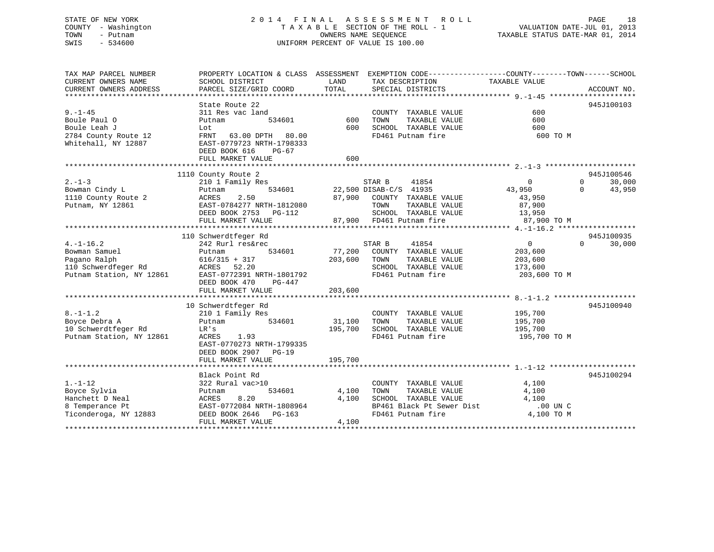### STATE OF NEW YORK 2 0 1 4 F I N A L A S S E S S M E N T R O L L PAGE 18 COUNTY - Washington T A X A B L E SECTION OF THE ROLL - 1 VALUATION DATE-JUL 01, 2013 TOWN - Putnam OWNERS NAME SEQUENCE TAXABLE STATUS DATE-MAR 01, 2014 SWIS - 534600 UNIFORM PERCENT OF VALUE IS 100.00

| TAX MAP PARCEL NUMBER<br>CURRENT OWNERS NAME                                                       | PROPERTY LOCATION & CLASS ASSESSMENT EXEMPTION CODE----------------COUNTY-------TOWN------SCHOOL<br>SCHOOL DISTRICT                                            | LAND                         | TAX DESCRIPTION                                                                                                                                | TAXABLE VALUE                                                         |                                              |
|----------------------------------------------------------------------------------------------------|----------------------------------------------------------------------------------------------------------------------------------------------------------------|------------------------------|------------------------------------------------------------------------------------------------------------------------------------------------|-----------------------------------------------------------------------|----------------------------------------------|
| CURRENT OWNERS ADDRESS                                                                             | PARCEL SIZE/GRID COORD                                                                                                                                         | TOTAL                        | SPECIAL DISTRICTS                                                                                                                              |                                                                       | ACCOUNT NO.                                  |
|                                                                                                    | State Route 22                                                                                                                                                 |                              |                                                                                                                                                |                                                                       | 945J100103                                   |
| $9. - 1 - 45$<br>Boule Paul O                                                                      | 311 Res vac land<br>534601<br>Putnam                                                                                                                           | 600<br>600                   | COUNTY TAXABLE VALUE<br>TOWN<br>TAXABLE VALUE<br>SCHOOL TAXABLE VALUE                                                                          | 600<br>600<br>600                                                     |                                              |
| Boule Leah J<br>2784 County Route 12<br>Whitehall, NY 12887                                        | Lot<br>FRNT 63.00 DPTH 80.00<br>EAST-0779723 NRTH-1798333<br>DEED BOOK 616<br>PG-67<br>FULL MARKET VALUE                                                       | 600                          | FD461 Putnam fire                                                                                                                              | 600 TO M                                                              |                                              |
|                                                                                                    |                                                                                                                                                                |                              |                                                                                                                                                |                                                                       |                                              |
|                                                                                                    | 1110 County Route 2                                                                                                                                            |                              |                                                                                                                                                |                                                                       | 945J100546                                   |
| $2. -1 - 3$<br>Bowman Cindy L<br>1110 County Route 2<br>Putnam, NY 12861                           | 210 1 Family Res<br>534601<br>Putnam<br>2.50<br>ACRES<br>EAST-0784277 NRTH-1812080<br>DEED BOOK 2753 PG-112<br>FULL MARKET VALUE                               | 87,900                       | STAR B<br>41854<br>22,500 DISAB-C/S 41935<br>COUNTY TAXABLE VALUE<br>TOWN<br>TAXABLE VALUE<br>SCHOOL TAXABLE VALUE<br>87,900 FD461 Putnam fire | $\overline{0}$<br>43,950<br>43,950<br>87,900<br>13,950<br>87,900 TO M | $\mathbf{0}$<br>30,000<br>43,950<br>$\Omega$ |
|                                                                                                    |                                                                                                                                                                |                              |                                                                                                                                                |                                                                       |                                              |
|                                                                                                    | 110 Schwerdtfeger Rd                                                                                                                                           |                              |                                                                                                                                                |                                                                       | 945J100935                                   |
| $4. -1 - 16.2$<br>Bowman Samuel<br>Pagano Ralph<br>110 Schwerdfeger Rd<br>Putnam Station, NY 12861 | 242 Rurl res&rec<br>534601<br>Putnam<br>616/315 + 317<br>ACRES 52.20<br>1 EAST-0772391 NRTH-1801792<br>DEED BOOK 470<br>PG-447<br>FULL MARKET VALUE            | 77,200<br>203,600<br>203,600 | STAR B<br>41854<br>COUNTY TAXABLE VALUE<br>TOWN<br>TAXABLE VALUE<br>SCHOOL TAXABLE VALUE<br>FD461 Putnam fire                                  | $\overline{0}$<br>203,600<br>203,600<br>173,600<br>203,600 TO M       | $\Omega$<br>30,000                           |
|                                                                                                    |                                                                                                                                                                |                              |                                                                                                                                                |                                                                       |                                              |
| $8. - 1 - 1.2$<br>Boyce Debra A<br>10 Schwerdtfeger Rd<br>Putnam Station, NY 12861                 | 10 Schwerdtfeger Rd<br>210 1 Family Res<br>534601<br>Putnam<br>LR's<br>ACRES<br>1.93<br>EAST-0770273 NRTH-1799335<br>DEED BOOK 2907 PG-19<br>FULL MARKET VALUE | 31,100<br>195,700<br>195,700 | COUNTY TAXABLE VALUE<br>TOWN<br>TAXABLE VALUE<br>SCHOOL TAXABLE VALUE<br>FD461 Putnam fire                                                     | 195,700<br>195,700<br>195,700<br>195,700 TO M                         | 945J100940                                   |
|                                                                                                    |                                                                                                                                                                |                              |                                                                                                                                                |                                                                       |                                              |
| $1. - 1 - 12$<br>Boyce Sylvia<br>Hanchett D Neal<br>8 Temperance Pt<br>Ticonderoga, NY 12883       | Black Point Rd<br>322 Rural vac>10<br>534601<br>Putnam<br>8.20<br>ACRES<br>EAST-0772084 NRTH-1808964<br>DEED BOOK 2646 PG-163<br>FULL MARKET VALUE             | 4,100<br>4,100<br>4,100      | COUNTY TAXABLE VALUE<br>TAXABLE VALUE<br>TOWN<br>SCHOOL TAXABLE VALUE<br>BP461 Black Pt Sewer Dist<br>FD461 Putnam fire                        | 4,100<br>4,100<br>4,100<br>.00 UN C<br>4,100 TO M                     | 945J100294                                   |
|                                                                                                    |                                                                                                                                                                |                              |                                                                                                                                                |                                                                       |                                              |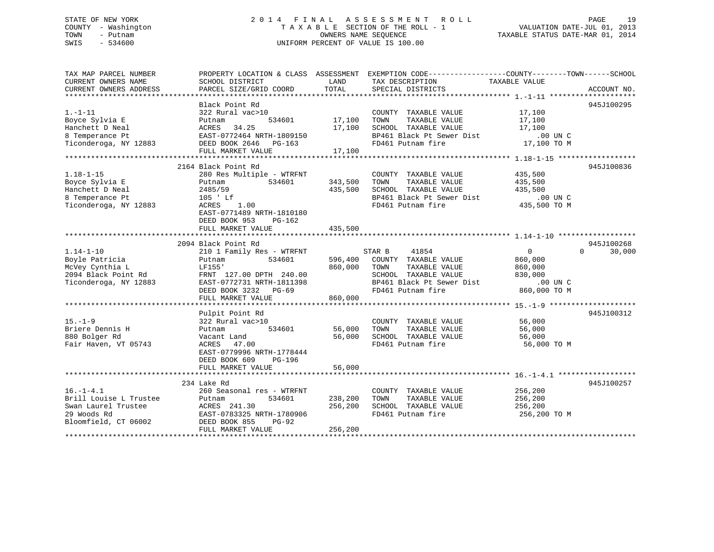### STATE OF NEW YORK 2 0 1 4 F I N A L A S S E S S M E N T R O L L PAGE 19 COUNTY - Washington T A X A B L E SECTION OF THE ROLL - 1 VALUATION DATE-JUL 01, 2013 TOWN - Putnam OWNERS NAME SEQUENCE TAXABLE STATUS DATE-MAR 01, 2014 SWIS - 534600 UNIFORM PERCENT OF VALUE IS 100.00

| TAX MAP PARCEL NUMBER<br>CURRENT OWNERS NAME<br>CURRENT OWNERS ADDRESS                                           | SCHOOL DISTRICT<br>PARCEL SIZE/GRID COORD                                                                                                                                                 | LAND<br>TOTAL                 | PROPERTY LOCATION & CLASS ASSESSMENT EXEMPTION CODE---------------COUNTY-------TOWN------SCHOOL<br>TAX DESCRIPTION<br>SPECIAL DISTRICTS                                       | TAXABLE VALUE                                             | ACCOUNT NO.                      |
|------------------------------------------------------------------------------------------------------------------|-------------------------------------------------------------------------------------------------------------------------------------------------------------------------------------------|-------------------------------|-------------------------------------------------------------------------------------------------------------------------------------------------------------------------------|-----------------------------------------------------------|----------------------------------|
| $1. - 1 - 11$<br>Boyce Sylvia E<br>Hanchett D Neal<br>8 Temperance Pt<br>Ticonderoga, NY 12883                   | Black Point Rd<br>322 Rural vac>10<br>Putnam<br>534601<br>ACRES 54.25<br>EAST-0772464 NRTH-1809150<br>DEED BOOK 2646 PG-163<br>FULL MARKET VALUE                                          | 17,100<br>17,100<br>17,100    | COUNTY TAXABLE VALUE<br>TAXABLE VALUE<br>TOWN<br>SCHOOL TAXABLE VALUE<br>BP461 Black Pt Sewer Dist<br>FD461 Putnam fire                                                       | 17,100<br>17,100<br>17,100<br>$.00$ UN $C$<br>17,100 TO M | 945J100295                       |
| $1.18 - 1 - 15$<br>$1.10 - 1.2$<br>Boyce Sylvia E<br>Hanchett D Neal<br>8 Temperance Pt<br>Ticonderoga, NY 12883 | 2164 Black Point Rd<br>280 Res Multiple - WTRFNT<br>534601<br>Putnam<br>2485/59<br>105 ' Lf<br>1.00<br>ACRES<br>EAST-0771489 NRTH-1810180<br>DEED BOOK 953<br>PG-162<br>FULL MARKET VALUE | 343,500<br>435,500<br>435,500 | COUNTY TAXABLE VALUE<br>TOWN<br>TAXABLE VALUE<br>SCHOOL TAXABLE VALUE<br>BP461 Black Pt Sewer Dist<br>FD461 Putnam fire                                                       | 435,500<br>435,500<br>435,500<br>00 UN C.<br>435,500 TO M | 945J100836                       |
| $1.14 - 1 - 10$<br>Boyle Patricia<br>McVey Cynthia L<br>2094 Black Point Rd<br>Ticonderoga, NY 12883             | 2094 Black Point Rd<br>210 1 Family Res - WTRFNT<br>534601<br>Putnam<br>LF155'<br>FRNT 127.00 DPTH 240.00<br>EAST-0772731 NRTH-1811398<br>DEED BOOK 3232 PG-69<br>FULL MARKET VALUE       | 596,400<br>860,000<br>860,000 | STAR B<br>41854<br>COUNTY TAXABLE VALUE<br>TOWN<br>TAXABLE VALUE<br>SCHOOL TAXABLE VALUE<br>SCHOOL TAXABLE VALUE.<br>BP461 Black Pt Sewer Dist .00 UN U U U U U U SCHOOL TO M | $\overline{0}$<br>860,000<br>860,000<br>830,000           | 945J100268<br>$\Omega$<br>30,000 |
| $15. - 1 - 9$<br>Briere Dennis H<br>880 Bolger Rd<br>Fair Haven, VT 05743                                        | Pulpit Point Rd<br>322 Rural vac>10<br>534601<br>Putnam<br>Vacant Land<br>ACRES 47.00<br>EAST-0779996 NRTH-1778444<br>DEED BOOK 609<br>PG-196<br>FULL MARKET VALUE                        | 56,000<br>56,000<br>56,000    | COUNTY TAXABLE VALUE<br>TOWN<br>TAXABLE VALUE<br>SCHOOL TAXABLE VALUE<br>FD461 Putnam fire                                                                                    | 56,000<br>56,000<br>56,000<br>56,000 TO M                 | 945J100312                       |
| $16. - 1 - 4.1$<br>Brill Louise L Trustee<br>Swan Laurel Trustee<br>29 Woods Rd<br>Bloomfield, CT 06002          | 234 Lake Rd<br>260 Seasonal res - WTRFNT<br>Putnam<br>534601<br>ACRES 241.30<br>EAST-0783325 NRTH-1780906<br>DEED BOOK 855<br>PG-92<br>FULL MARKET VALUE                                  | 238,200<br>256,200<br>256,200 | COUNTY TAXABLE VALUE<br>TAXABLE VALUE<br>TOWN<br>SCHOOL TAXABLE VALUE<br>FD461 Putnam fire                                                                                    | 256,200<br>256,200<br>256,200<br>256,200 TO M             | 945J100257                       |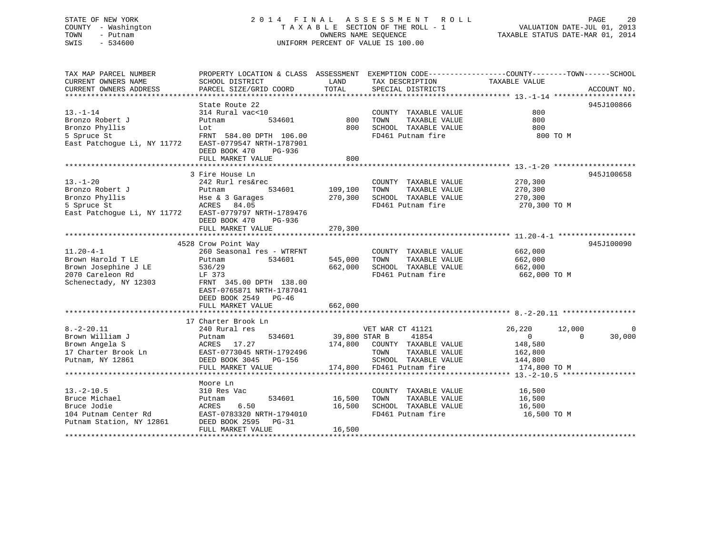### STATE OF NEW YORK 2 0 1 4 F I N A L A S S E S S M E N T R O L L PAGE 20 COUNTY - Washington T A X A B L E SECTION OF THE ROLL - 1 VALUATION DATE-JUL 01, 2013 TOWN - Putnam **CONNERS NAME SEQUENCE** TAXABLE STATUS DATE-MAR 01, 2014 SWIS - 534600 UNIFORM PERCENT OF VALUE IS 100.00

| TAX MAP PARCEL NUMBER<br>CURRENT OWNERS NAME<br>CURRENT OWNERS ADDRESS                                    | PROPERTY LOCATION & CLASS ASSESSMENT EXEMPTION CODE----------------COUNTY-------TOWN------SCHOOL<br>SCHOOL DISTRICT<br>PARCEL SIZE/GRID COORD                         | LAND<br>TOTAL      | TAX DESCRIPTION<br>SPECIAL DISTRICTS                                                                                                    | TAXABLE VALUE                                                                       | ACCOUNT NO.             |
|-----------------------------------------------------------------------------------------------------------|-----------------------------------------------------------------------------------------------------------------------------------------------------------------------|--------------------|-----------------------------------------------------------------------------------------------------------------------------------------|-------------------------------------------------------------------------------------|-------------------------|
| $13. - 1 - 14$<br>Bronzo Robert J<br>Bronzo Phyllis<br>5 Spruce St<br>East Patchogue Li, NY 11772         | State Route 22<br>314 Rural vac<10<br>534601<br>Putnam<br>Lot<br>FRNT 584.00 DPTH 106.00<br>EAST-0779547 NRTH-1787901<br>DEED BOOK 470<br>PG-936<br>FULL MARKET VALUE | 800<br>800<br>800  | COUNTY TAXABLE VALUE<br>TAXABLE VALUE<br>TOWN<br>SCHOOL TAXABLE VALUE<br>FD461 Putnam fire                                              | 800<br>800<br>800<br>800 TO M                                                       | 945J100866              |
|                                                                                                           | 3 Fire House Ln                                                                                                                                                       |                    |                                                                                                                                         |                                                                                     | 945J100658              |
| $13. - 1 - 20$<br>Bronzo Robert J<br>Bronzo Phyllis<br>5 Spruce St<br>East Patchogue Li, NY 11772         | 242 Rurl res&rec<br>534601<br>Putnam<br>Hse & 3 Garages<br>ACRES<br>84.05<br>EAST-0779797 NRTH-1789476<br>DEED BOOK 470<br>PG-936                                     | 109,100<br>270,300 | COUNTY TAXABLE VALUE<br>TAXABLE VALUE<br>TOWN<br>SCHOOL TAXABLE VALUE<br>FD461 Putnam fire                                              | 270,300<br>270,300<br>270,300<br>270,300 TO M                                       |                         |
|                                                                                                           | FULL MARKET VALUE                                                                                                                                                     | 270,300            |                                                                                                                                         |                                                                                     |                         |
|                                                                                                           | 4528 Crow Point Way                                                                                                                                                   |                    |                                                                                                                                         |                                                                                     | 945J100090              |
| $11.20 - 4 - 1$<br>Brown Harold T LE<br>Brown Josephine J LE<br>2070 Careleon Rd<br>Schenectady, NY 12303 | 260 Seasonal res - WTRFNT<br>534601<br>Putnam<br>536/29<br>LF 373<br>FRNT 345.00 DPTH 138.00<br>EAST-0765871 NRTH-1787041<br>DEED BOOK 2549 PG-46                     | 545,000<br>662,000 | COUNTY TAXABLE VALUE<br>TAXABLE VALUE<br>TOWN<br>SCHOOL TAXABLE VALUE<br>FD461 Putnam fire                                              | 662,000<br>662,000<br>662,000<br>662,000 TO M                                       |                         |
|                                                                                                           | FULL MARKET VALUE                                                                                                                                                     | 662,000            |                                                                                                                                         |                                                                                     |                         |
|                                                                                                           | 17 Charter Brook Ln                                                                                                                                                   |                    |                                                                                                                                         |                                                                                     |                         |
| $8. - 2 - 20.11$<br>Brown William J<br>Brown Angela S<br>17 Charter Brook Ln<br>Putnam, NY 12861          | 240 Rural res<br>534601<br>Putnam<br>ACRES 17.27<br>EAST-0773045 NRTH-1792496<br>DEED BOOK 3045 PG-156<br>FULL MARKET VALUE                                           | 39,800 STAR B      | VET WAR CT 41121<br>41854<br>174,800 COUNTY TAXABLE VALUE<br>TAXABLE VALUE<br>TOWN<br>SCHOOL TAXABLE VALUE<br>174,800 FD461 Putnam fire | 26,220<br>12,000<br>$\overline{0}$<br>148,580<br>162,800<br>144,800<br>174,800 TO M | 0<br>30,000<br>$\Omega$ |
|                                                                                                           | Moore Ln                                                                                                                                                              |                    |                                                                                                                                         |                                                                                     |                         |
| $13.-2-10.5$<br>Bruce Michael<br>Bruce Jodie<br>104 Putnam Center Rd<br>Putnam Station, NY 12861          | 310 Res Vac<br>534601<br>Putnam<br>6.50<br>ACRES<br>EAST-0783320 NRTH-1794010<br>DEED BOOK 2595<br>PG-31                                                              | 16,500<br>16,500   | COUNTY TAXABLE VALUE<br>TAXABLE VALUE<br>TOWN<br>SCHOOL TAXABLE VALUE<br>FD461 Putnam fire                                              | 16,500<br>16,500<br>16,500<br>16,500 TO M                                           |                         |
| ******************                                                                                        | FULL MARKET VALUE                                                                                                                                                     | 16,500             |                                                                                                                                         |                                                                                     |                         |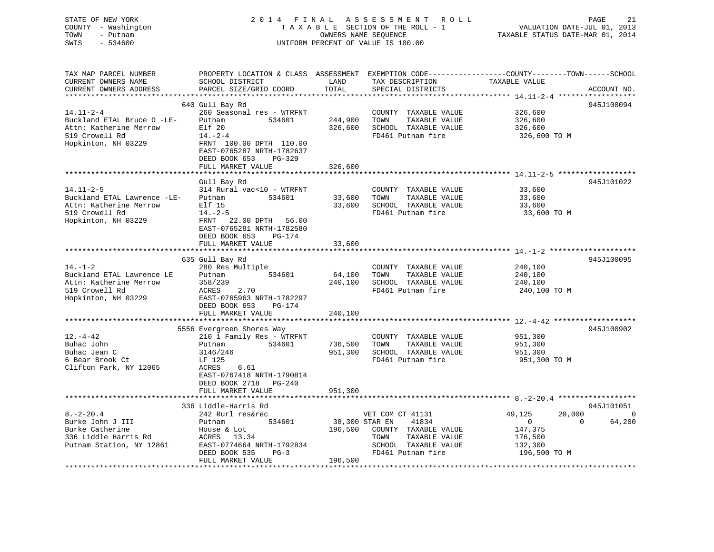### STATE OF NEW YORK 2 0 1 4 F I N A L A S S E S S M E N T R O L L PAGE 21 COUNTY - Washington T A X A B L E SECTION OF THE ROLL - 1 VALUATION DATE-JUL 01, 2013 TOWN - Putnam OWNERS NAME SEQUENCE TAXABLE STATUS DATE-MAR 01, 2014 SWIS - 534600 UNIFORM PERCENT OF VALUE IS 100.00

| TAX MAP PARCEL NUMBER<br>CURRENT OWNERS NAME | PROPERTY LOCATION & CLASS ASSESSMENT EXEMPTION CODE----------------COUNTY-------TOWN------SCHOOL<br>SCHOOL DISTRICT | LAND           | TAX DESCRIPTION       | TAXABLE VALUE            |             |
|----------------------------------------------|---------------------------------------------------------------------------------------------------------------------|----------------|-----------------------|--------------------------|-------------|
| CURRENT OWNERS ADDRESS                       | PARCEL SIZE/GRID COORD                                                                                              | TOTAL          | SPECIAL DISTRICTS     |                          | ACCOUNT NO. |
|                                              | **********************                                                                                              |                |                       |                          |             |
|                                              | 640 Gull Bay Rd                                                                                                     |                |                       |                          | 945J100094  |
| $14.11 - 2 - 4$                              | 260 Seasonal res - WTRFNT                                                                                           |                | COUNTY TAXABLE VALUE  | 326,600                  |             |
| Buckland ETAL Bruce O -LE-                   | Putnam<br>534601                                                                                                    | 244,900        | TOWN<br>TAXABLE VALUE | 326,600                  |             |
| Attn: Katherine Merrow                       | Elf 20                                                                                                              | 326,600        | SCHOOL TAXABLE VALUE  | 326,600                  |             |
| 519 Crowell Rd                               | $14. - 2 - 4$                                                                                                       |                | FD461 Putnam fire     | 326,600 TO M             |             |
| Hopkinton, NH 03229                          | FRNT 100.00 DPTH 110.00                                                                                             |                |                       |                          |             |
|                                              | EAST-0765287 NRTH-1782637                                                                                           |                |                       |                          |             |
|                                              | DEED BOOK 653<br>$PG-329$                                                                                           |                |                       |                          |             |
|                                              | FULL MARKET VALUE                                                                                                   | 326,600        |                       |                          |             |
|                                              |                                                                                                                     |                |                       |                          |             |
|                                              | Gull Bay Rd                                                                                                         |                |                       |                          | 945J101022  |
| $14.11 - 2 - 5$                              | 314 Rural vac<10 - WTRFNT                                                                                           |                | COUNTY TAXABLE VALUE  | 33,600                   |             |
| Buckland ETAL Lawrence -LE-                  | 534601<br>Putnam                                                                                                    | 33,600         | TOWN<br>TAXABLE VALUE | 33,600                   |             |
| Attn: Katherine Merrow                       | Elf 15                                                                                                              | 33,600         | SCHOOL TAXABLE VALUE  | 33,600                   |             |
| 519 Crowell Rd                               | $14. -2 - 5$                                                                                                        |                | FD461 Putnam fire     | 33,600 TO M              |             |
| Hopkinton, NH 03229                          | FRNT 22.00 DPTH 56.00                                                                                               |                |                       |                          |             |
|                                              | EAST-0765281 NRTH-1782580                                                                                           |                |                       |                          |             |
|                                              | DEED BOOK 653<br>PG-174                                                                                             |                |                       |                          |             |
|                                              | FULL MARKET VALUE                                                                                                   | 33,600         |                       |                          |             |
|                                              |                                                                                                                     |                |                       |                          | 945J100095  |
| $14. - 1 - 2$                                | 635 Gull Bay Rd<br>280 Res Multiple                                                                                 |                | COUNTY TAXABLE VALUE  | 240,100                  |             |
| Buckland ETAL Lawrence LE                    | 534601<br>Putnam                                                                                                    | 64,100         | TAXABLE VALUE<br>TOWN | 240,100                  |             |
| Attn: Katherine Merrow                       | 358/239                                                                                                             | 240,100        | SCHOOL TAXABLE VALUE  | 240,100                  |             |
| 519 Crowell Rd                               | ACRES<br>2.70                                                                                                       |                | FD461 Putnam fire     | 240,100 TO M             |             |
| Hopkinton, NH 03229                          | EAST-0765963 NRTH-1782297                                                                                           |                |                       |                          |             |
|                                              | DEED BOOK 653<br>PG-174                                                                                             |                |                       |                          |             |
|                                              | FULL MARKET VALUE                                                                                                   | 240,100        |                       |                          |             |
|                                              |                                                                                                                     |                |                       |                          |             |
|                                              | 5556 Evergreen Shores Way                                                                                           |                |                       |                          | 945J100902  |
| $12. - 4 - 42$                               | 210 1 Family Res - WTRFNT                                                                                           |                | COUNTY TAXABLE VALUE  | 951,300                  |             |
| Buhac John                                   | 534601<br>Putnam                                                                                                    | 736,500        | TOWN<br>TAXABLE VALUE | 951,300                  |             |
| Buhac Jean C                                 | 3146/246                                                                                                            | 951,300        | SCHOOL TAXABLE VALUE  | 951,300                  |             |
| 6 Bear Brook Ct                              | LF 125                                                                                                              |                | FD461 Putnam fire     | 951,300 TO M             |             |
| Clifton Park, NY 12065                       | ACRES<br>6.61                                                                                                       |                |                       |                          |             |
|                                              | EAST-0767418 NRTH-1790814                                                                                           |                |                       |                          |             |
|                                              | DEED BOOK 2718<br>$PG-240$                                                                                          |                |                       |                          |             |
|                                              | FULL MARKET VALUE                                                                                                   | 951,300        |                       |                          |             |
|                                              |                                                                                                                     |                |                       |                          |             |
|                                              | 336 Liddle-Harris Rd                                                                                                |                |                       |                          | 945J101051  |
| $8. - 2 - 20.4$                              | 242 Rurl res&rec                                                                                                    |                | VET COM CT 41131      | 20,000<br>49,125         | $\Omega$    |
| Burke John J III                             | 534601<br>Putnam                                                                                                    | 38,300 STAR EN | 41834                 | $\mathbf{0}$<br>$\Omega$ | 64,200      |
| Burke Catherine                              | House & Lot                                                                                                         | 196,500        | COUNTY TAXABLE VALUE  | 147,375                  |             |
| 336 Liddle Harris Rd                         | ACRES 13.34                                                                                                         |                | TAXABLE VALUE<br>TOWN | 176,500                  |             |
| Putnam Station, NY 12861                     | EAST-0774664 NRTH-1792834                                                                                           |                | SCHOOL TAXABLE VALUE  | 132,300                  |             |
|                                              | DEED BOOK 535<br>$PG-3$                                                                                             |                | FD461 Putnam fire     | 196,500 TO M             |             |
|                                              | FULL MARKET VALUE                                                                                                   | 196,500        |                       |                          |             |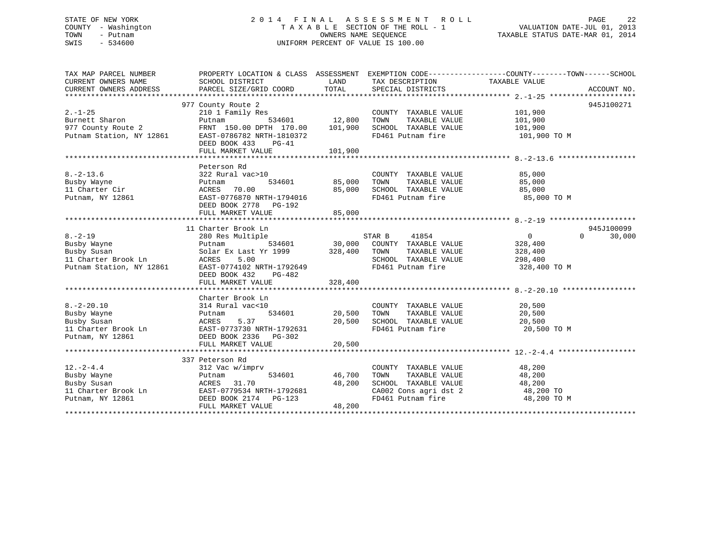### STATE OF NEW YORK 2 0 1 4 F I N A L A S S E S S M E N T R O L L PAGE 22 COUNTY - Washington T A X A B L E SECTION OF THE ROLL - 1 VALUATION DATE-JUL 01, 2013 TOWN - Putnam OWNERS NAME SEQUENCE TAXABLE STATUS DATE-MAR 01, 2014 SWIS - 534600 UNIFORM PERCENT OF VALUE IS 100.00

| TAX MAP PARCEL NUMBER<br>CURRENT OWNERS NAME<br>CURRENT OWNERS ADDRESS                         | PROPERTY LOCATION & CLASS ASSESSMENT<br>SCHOOL DISTRICT<br>PARCEL SIZE/GRID COORD                                                                                        | LAND<br>TOTAL                       | TAX DESCRIPTION TAXABLE VALUE<br>SPECIAL DISTRICTS                                                                                      | EXEMPTION CODE-----------------COUNTY--------TOWN------SCHOOL | ACCOUNT NO.        |
|------------------------------------------------------------------------------------------------|--------------------------------------------------------------------------------------------------------------------------------------------------------------------------|-------------------------------------|-----------------------------------------------------------------------------------------------------------------------------------------|---------------------------------------------------------------|--------------------|
| $2 - 1 - 25$<br>Burnett Sharon<br>977 County Route 2<br>Putnam Station, NY 12861               | 977 County Route 2<br>210 1 Family Res<br>Putnam<br>FRNT 150.00 DPTH 170.00<br>EAST-0786782 NRTH-1810372<br>DEED BOOK 433<br>PG-41<br>FULL MARKET VALUE                  | 534601 12,800<br>101,900<br>101,900 | COUNTY TAXABLE VALUE<br>TOWN<br>TAXABLE VALUE<br>SCHOOL TAXABLE VALUE<br>FD461 Putnam fire                                              | 101,900<br>101,900<br>101,900<br>101,900 TO M                 | 945J100271         |
| $8. - 2 - 13.6$<br>Busby Wayne<br>11 Charter Cir<br>Putnam, NY 12861                           | Peterson Rd<br>322 Rural vac>10<br>534601<br>Putnam<br>ACRES 70.00<br>EAST-0776870 NRTH-1794016<br>DEED BOOK 2778 PG-192<br>FULL MARKET VALUE                            | 85,000<br>85,000<br>85,000          | COUNTY TAXABLE VALUE<br>TOWN<br>TAXABLE VALUE<br>SCHOOL TAXABLE VALUE<br>FD461 Putnam fire                                              | 85,000<br>85,000<br>85,000<br>85,000 TO M                     |                    |
|                                                                                                | 11 Charter Brook Ln                                                                                                                                                      |                                     |                                                                                                                                         |                                                               | 945J100099         |
| $8. - 2 - 19$<br>Busby Wayne<br>Busby Susan<br>11 Charter Brook Ln<br>Putnam Station, NY 12861 | 280 Res Multiple<br>e<br>534601<br>Putnam<br>Solar Ex Last Yr 1999 328,400<br>5.00<br>ACRES<br>EAST-0774102 NRTH-1792649<br>DEED BOOK 432<br>PG-482<br>FULL MARKET VALUE | 328,400                             | STAR B 41854<br>30,000 COUNTY TAXABLE VALUE<br>TILE TAXABLE VALUE<br>TOWN<br>TAXABLE VALUE<br>SCHOOL TAXABLE VALUE<br>FD461 Putnam fire | 0<br>328,400<br>328,400<br>298,400<br>328,400 TO M            | $\Omega$<br>30,000 |
|                                                                                                |                                                                                                                                                                          |                                     |                                                                                                                                         |                                                               |                    |
| $8. - 2 - 20.10$<br>Busby Wayne<br>Busby Susan<br>11 Charter Brook Ln<br>Putnam, NY 12861      | Charter Brook Ln<br>314 Rural vac<10<br>534601<br>Putnam<br>ACRES 5.37<br>Ln EAST-0773730 NRTH-1792631<br>DEED BOOK 2336 PG-302<br>FULL MARKET VALUE                     | 20,500<br>20,500<br>20,500          | COUNTY TAXABLE VALUE<br>TOWN<br>TAXABLE VALUE<br>SCHOOL TAXABLE VALUE<br>FD461 Putnam fire                                              | 20,500<br>20,500<br>20,500<br>20,500 TO M                     |                    |
|                                                                                                |                                                                                                                                                                          |                                     |                                                                                                                                         |                                                               |                    |
| $12. - 2 - 4.4$<br>Busby Wayne<br>Busby Susan<br>11 Charter Brook $Ln$<br>Putnam, NY 12861     | 337 Peterson Rd<br>312 Vac w/imprv<br>534601<br>Putnam<br>ACRES<br>31.70<br>EAST-0779534 NRTH-1792681<br>DEED BOOK 2174 PG-123<br>FULL MARKET VALUE                      | 46,700<br>48,200<br>48,200          | COUNTY TAXABLE VALUE<br>TOWN       TAXABLE  VALUE<br>SCHOOL    TAXABLE  VALUE<br>CA002 Cons agri dst 2<br>FD461 Putnam fire             | 48,200<br>48,200<br>48,200<br>48,200 TO<br>48,200 TO M        |                    |
|                                                                                                |                                                                                                                                                                          |                                     |                                                                                                                                         |                                                               |                    |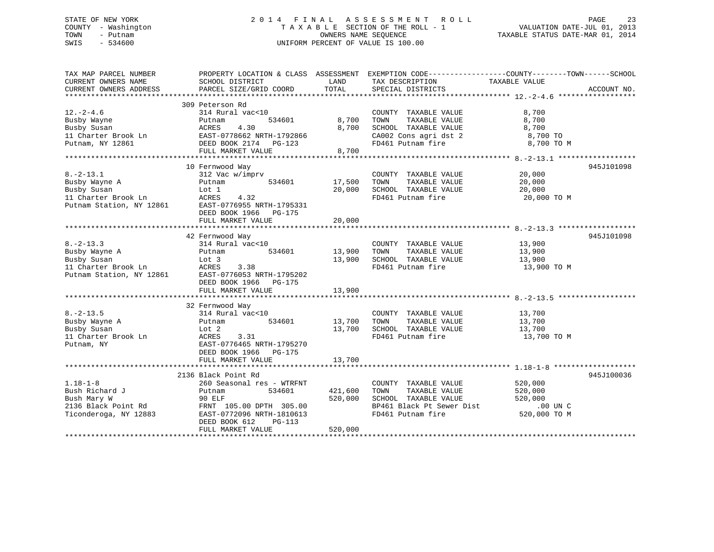### STATE OF NEW YORK 2 0 1 4 F I N A L A S S E S S M E N T R O L L PAGE 23 COUNTY - Washington T A X A B L E SECTION OF THE ROLL - 1 VALUATION DATE-JUL 01, 2013 TOWN - Putnam OWNERS NAME SEQUENCE TAXABLE STATUS DATE-MAR 01, 2014 SWIS - 534600 UNIFORM PERCENT OF VALUE IS 100.00

| TAX MAP PARCEL NUMBER<br>CURRENT OWNERS NAME<br>CURRENT OWNERS ADDRESS                             | PROPERTY LOCATION & CLASS ASSESSMENT<br>SCHOOL DISTRICT<br>PARCEL SIZE/GRID COORD                                                                                                      | LAND<br>TOTAL                 | EXEMPTION CODE-----------------COUNTY-------TOWN------SCHOOL<br>TAX DESCRIPTION<br>SPECIAL DISTRICTS                    | TAXABLE VALUE                                             | ACCOUNT NO. |
|----------------------------------------------------------------------------------------------------|----------------------------------------------------------------------------------------------------------------------------------------------------------------------------------------|-------------------------------|-------------------------------------------------------------------------------------------------------------------------|-----------------------------------------------------------|-------------|
| $12. - 2 - 4.6$<br>Busby Wayne<br>Busby Susan<br>11 Charter Brook Ln<br>Putnam, NY 12861           | 309 Peterson Rd<br>314 Rural vac<10<br>534601<br>Putnam<br><b>ACRES</b><br>4.30<br>EAST-0778662 NRTH-1792866<br>DEED BOOK 2174    PG-123<br>FULL MARKET VALUE                          | 8,700<br>8,700<br>8,700       | COUNTY TAXABLE VALUE<br>TAXABLE VALUE<br>TOWN<br>SCHOOL TAXABLE VALUE<br>CA002 Cons agri dst 2<br>FD461 Putnam fire     | 8,700<br>8,700<br>8,700<br>8,700 TO<br>8,700 TO M         |             |
| $8. - 2 - 13.1$<br>Busby Wayne A<br>Busby Susan<br>11 Charter Brook Ln<br>Putnam Station, NY 12861 | 10 Fernwood Way<br>312 Vac w/imprv<br>Putnam<br>534601<br>Lot 1<br>ACRES<br>4.32<br>EAST-0776955 NRTH-1795331<br>DEED BOOK 1966 PG-175<br>FULL MARKET VALUE                            | 17,500<br>20,000<br>20,000    | COUNTY TAXABLE VALUE<br>TAXABLE VALUE<br>TOWN<br>SCHOOL TAXABLE VALUE<br>FD461 Putnam fire                              | 20,000<br>20,000<br>20,000<br>20,000 TO M                 | 945J101098  |
| $8. - 2 - 13.3$<br>Busby Wayne A<br>Busby Susan<br>11 Charter Brook Ln<br>Putnam Station, NY 12861 | 42 Fernwood Way<br>314 Rural vac<10<br>534601<br>Putnam<br>Lot 3<br>ACRES<br>3.38<br>EAST-0776053 NRTH-1795202<br>DEED BOOK 1966 PG-175<br>FULL MARKET VALUE                           | 13,900<br>13,900<br>13,900    | COUNTY TAXABLE VALUE<br>TOWN<br>TAXABLE VALUE<br>SCHOOL TAXABLE VALUE<br>FD461 Putnam fire                              | 13,900<br>13,900<br>13,900<br>13,900 TO M                 | 945J101098  |
| $8. - 2 - 13.5$<br>Busby Wayne A<br>Busby Susan<br>11 Charter Brook Ln<br>Putnam, NY               | 32 Fernwood Way<br>314 Rural vac<10<br>534601<br>Putnam<br>Lot 2<br>ACRES<br>3.31<br>EAST-0776465 NRTH-1795270<br>DEED BOOK 1966<br>PG-175<br>FULL MARKET VALUE                        | 13,700<br>13,700<br>13,700    | COUNTY TAXABLE VALUE<br>TAXABLE VALUE<br>TOWN<br>SCHOOL TAXABLE VALUE<br>FD461 Putnam fire                              | 13,700<br>13,700<br>13,700<br>13,700 TO M                 |             |
| $1.18 - 1 - 8$<br>Bush Richard J<br>Bush Mary W<br>2136 Black Point Rd<br>Ticonderoga, NY 12883    | 2136 Black Point Rd<br>260 Seasonal res - WTRFNT<br>534601<br>Putnam<br>90 ELF<br>FRNT 105.00 DPTH 305.00<br>EAST-0772096 NRTH-1810613<br>DEED BOOK 612<br>PG-113<br>FULL MARKET VALUE | 421,600<br>520,000<br>520,000 | COUNTY TAXABLE VALUE<br>TOWN<br>TAXABLE VALUE<br>SCHOOL TAXABLE VALUE<br>BP461 Black Pt Sewer Dist<br>FD461 Putnam fire | 520,000<br>520,000<br>520,000<br>.00 UN C<br>520,000 TO M | 945J100036  |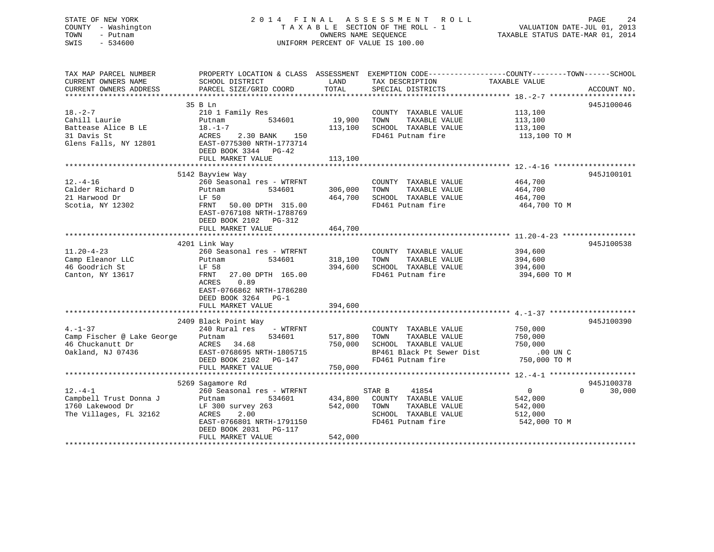### STATE OF NEW YORK 2 0 1 4 F I N A L A S S E S S M E N T R O L L PAGE 24 COUNTY - Washington T A X A B L E SECTION OF THE ROLL - 1 VALUATION DATE-JUL 01, 2013 TOWN - Putnam OWNERS NAME SEQUENCE TAXABLE STATUS DATE-MAR 01, 2014 SWIS - 534600 UNIFORM PERCENT OF VALUE IS 100.00

| TAX MAP PARCEL NUMBER<br>CURRENT OWNERS NAME<br>CURRENT OWNERS ADDRESS                        | SCHOOL DISTRICT<br>PARCEL SIZE/GRID COORD                                                                                                                                                      | LAND<br>TOTAL                 | PROPERTY LOCATION & CLASS ASSESSMENT EXEMPTION CODE---------------COUNTY-------TOWN-----SCHOOL<br>TAX DESCRIPTION<br>SPECIAL DISTRICTS | TAXABLE VALUE                                                   | ACCOUNT NO.                      |
|-----------------------------------------------------------------------------------------------|------------------------------------------------------------------------------------------------------------------------------------------------------------------------------------------------|-------------------------------|----------------------------------------------------------------------------------------------------------------------------------------|-----------------------------------------------------------------|----------------------------------|
| $18. - 2 - 7$<br>Cahill Laurie<br>Battease Alice B LE<br>31 Davis St<br>Glens Falls, NY 12801 | 35 B Ln<br>210 1 Family Res<br>534601<br>Putnam<br>$18. - 1 - 7$<br>ACRES<br>2.30 BANK<br>150<br>EAST-0775300 NRTH-1773714<br>DEED BOOK 3344 PG-42<br>FULL MARKET VALUE                        | 19,900<br>113,100<br>113,100  | COUNTY TAXABLE VALUE<br>TAXABLE VALUE<br>TOWN<br>SCHOOL TAXABLE VALUE<br>FD461 Putnam fire                                             | 113,100<br>113,100<br>113,100<br>113,100 TO M                   | 945J100046                       |
| $12.-4-16$<br>Calder Richard D<br>21 Harwood Dr<br>Scotia, NY 12302                           | 5142 Bayview Way<br>260 Seasonal res - WTRFNT<br>534601<br>Putnam<br>LF 50<br>FRNT<br>50.00 DPTH 315.00<br>EAST-0767108 NRTH-1788769<br>DEED BOOK 2102 PG-312<br>FULL MARKET VALUE             | 306,000<br>464,700<br>464,700 | COUNTY TAXABLE VALUE<br>TOWN<br>TAXABLE VALUE<br>SCHOOL TAXABLE VALUE<br>FD461 Putnam fire                                             | 464,700<br>464,700<br>464,700<br>464,700 TO M                   | 945J100101                       |
| $11.20 - 4 - 23$<br>Camp Eleanor LLC<br>46 Goodrich St<br>Canton, NY 13617                    | 4201 Link Way<br>260 Seasonal res - WTRFNT<br>Putnam<br>534601<br>LF 58<br>27.00 DPTH 165.00<br>FRNT<br>0.89<br>ACRES<br>EAST-0766862 NRTH-1786280<br>DEED BOOK 3264 PG-1<br>FULL MARKET VALUE | 318,100<br>394,600<br>394,600 | COUNTY TAXABLE VALUE<br>TOWN<br>TAXABLE VALUE<br>SCHOOL TAXABLE VALUE<br>FD461 Putnam fire                                             | 394,600<br>394,600<br>394,600<br>394,600 TO M                   | 945J100538                       |
| $4. - 1 - 37$<br>Camp Fischer @ Lake George<br>46 Chuckanutt Dr<br>Oakland, NJ 07436          | 2409 Black Point Way<br>240 Rural res<br>- WTRFNT<br>Putnam<br>534601<br>ACRES<br>34.68<br>EAST-0768695 NRTH-1805715<br>DEED BOOK 2102 PG-147<br>FULL MARKET VALUE                             | 517,800<br>750,000<br>750,000 | COUNTY TAXABLE VALUE<br>TAXABLE VALUE<br>TOWN<br>SCHOOL TAXABLE VALUE<br>BP461 Black Pt Sewer Dist<br>FD461 Putnam fire                | 750,000<br>750,000<br>750,000<br>.00 UN C<br>750,000 TO M       | 945J100390                       |
| $12. - 4 - 1$<br>Campbell Trust Donna J<br>1760 Lakewood Dr<br>The Villages, FL 32162         | 5269 Sagamore Rd<br>260 Seasonal res - WTRFNT<br>534601<br>Putnam<br>$LF$ 300 survey 263<br>ACRES<br>2.00<br>EAST-0766801 NRTH-1791150<br>DEED BOOK 2031<br>PG-117<br>FULL MARKET VALUE        | 434,800<br>542,000<br>542,000 | 41854<br>STAR B<br>COUNTY TAXABLE VALUE<br>TOWN<br>TAXABLE VALUE<br>SCHOOL TAXABLE VALUE<br>FD461 Putnam fire                          | $\overline{0}$<br>542,000<br>542,000<br>512,000<br>542,000 TO M | 945J100378<br>$\Omega$<br>30,000 |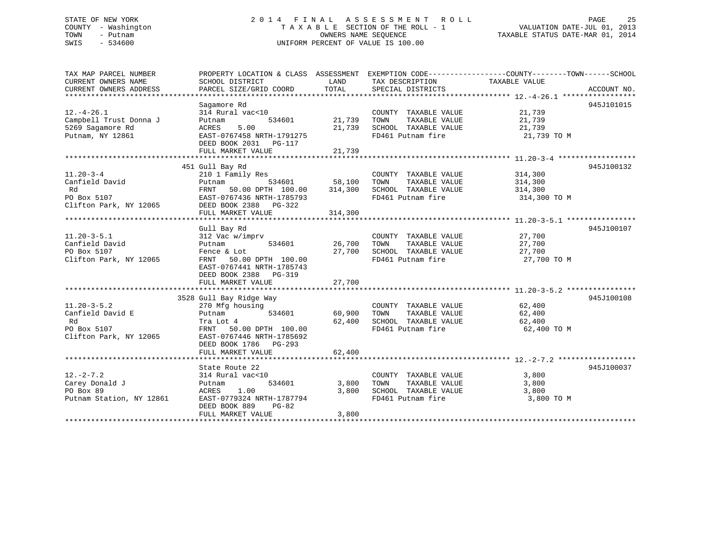### STATE OF NEW YORK 2 0 1 4 F I N A L A S S E S S M E N T R O L L PAGE 25 COUNTY - Washington T A X A B L E SECTION OF THE ROLL - 1 VALUATION DATE-JUL 01, 2013 TOWN - Putnam OWNERS NAME SEQUENCE TAXABLE STATUS DATE-MAR 01, 2014 SWIS - 534600 UNIFORM PERCENT OF VALUE IS 100.00

| TAX MAP PARCEL NUMBER<br>CURRENT OWNERS NAME<br>CURRENT OWNERS ADDRESS               | SCHOOL DISTRICT<br>PARCEL SIZE/GRID COORD                                                                                                                              | LAND<br>TOTAL                | TAX DESCRIPTION<br>SPECIAL DISTRICTS                                                              | PROPERTY LOCATION & CLASS ASSESSMENT EXEMPTION CODE----------------COUNTY-------TOWN-----SCHOOL<br>TAXABLE VALUE<br>ACCOUNT NO. |
|--------------------------------------------------------------------------------------|------------------------------------------------------------------------------------------------------------------------------------------------------------------------|------------------------------|---------------------------------------------------------------------------------------------------|---------------------------------------------------------------------------------------------------------------------------------|
| $12. - 4 - 26.1$<br>Campbell Trust Donna J<br>5269 Sagamore Rd<br>Putnam, NY 12861   | Sagamore Rd<br>314 Rural vac<10<br>534601<br>Putnam<br>5.00<br>ACRES<br>EAST-0767458 NRTH-1791275<br>DEED BOOK 2031    PG-117<br>FULL MARKET VALUE                     | 21,739<br>21,739<br>21,739   | COUNTY TAXABLE VALUE<br>TOWN<br>TAXABLE VALUE<br>SCHOOL TAXABLE VALUE<br>FD461 Putnam fire        | 945J101015<br>21,739<br>21,739<br>21,739<br>21,739 TO M                                                                         |
|                                                                                      |                                                                                                                                                                        |                              |                                                                                                   |                                                                                                                                 |
| $11.20 - 3 - 4$<br>Canfield David<br>Rd<br>PO Box 5107<br>Clifton Park, NY 12065     | 451 Gull Bay Rd<br>210 1 Family Res<br>534601<br>Putnam<br>50.00 DPTH 100.00<br>FRNT<br>EAST-0767436 NRTH-1785793<br>DEED BOOK 2388 PG-322<br>FULL MARKET VALUE        | 58,100<br>314,300<br>314,300 | COUNTY TAXABLE VALUE<br>TOWN<br>TAXABLE VALUE<br>SCHOOL TAXABLE VALUE<br>FD461 Putnam fire        | 945J100132<br>314,300<br>314,300<br>314,300<br>314,300 TO M                                                                     |
|                                                                                      |                                                                                                                                                                        |                              |                                                                                                   |                                                                                                                                 |
| $11.20 - 3 - 5.1$<br>Canfield David<br>PO Box 5107<br>Clifton Park, NY 12065         | Gull Bay Rd<br>312 Vac w/imprv<br>Putnam<br>534601<br>Fence & Lot<br>FRNT 50.00 DPTH 100.00<br>EAST-0767441 NRTH-1785743<br>DEED BOOK 2388 PG-319<br>FULL MARKET VALUE | 26,700<br>27,700<br>27,700   | COUNTY TAXABLE VALUE<br>TOWN<br>TAXABLE VALUE<br>SCHOOL TAXABLE VALUE<br>FD461 Putnam fire        | 945J100107<br>27,700<br>27,700<br>27,700<br>27,700 TO M                                                                         |
|                                                                                      |                                                                                                                                                                        |                              |                                                                                                   | 945J100108                                                                                                                      |
| $11.20 - 3 - 5.2$<br>Canfield David E<br>Rd<br>PO Box 5107<br>Clifton Park, NY 12065 | 3528 Gull Bay Ridge Way<br>270 Mfg housing<br>534601<br>Putnam<br>Tra Lot 4<br>FRNT 50.00 DPTH 100.00<br>EAST-0767446 NRTH-1785692<br>DEED BOOK 1786 PG-293            | 60,900<br>62,400             | COUNTY TAXABLE VALUE 62,400<br>TOWN<br>TAXABLE VALUE<br>SCHOOL TAXABLE VALUE<br>FD461 Putnam fire | 62,400<br>62,400<br>62,400 TO M                                                                                                 |
|                                                                                      | FULL MARKET VALUE                                                                                                                                                      | 62,400                       |                                                                                                   |                                                                                                                                 |
|                                                                                      |                                                                                                                                                                        |                              |                                                                                                   |                                                                                                                                 |
| $12. - 2 - 7.2$<br>Carey Donald J<br>PO Box 89<br>Putnam Station, NY 12861           | State Route 22<br>314 Rural vac<10<br>534601<br>Putnam<br>1.00<br>ACRES<br>EAST-0779324 NRTH-1787794<br>DEED BOOK 889<br>$PG-82$                                       | 3,800<br>3,800               | COUNTY TAXABLE VALUE<br>TOWN<br>TAXABLE VALUE<br>SCHOOL TAXABLE VALUE<br>FD461 Putnam fire        | 945J100037<br>3,800<br>3,800<br>3,800<br>3,800 TO M                                                                             |

FULL MARKET VALUE 3,800 \*\*\*\*\*\*\*\*\*\*\*\*\*\*\*\*\*\*\*\*\*\*\*\*\*\*\*\*\*\*\*\*\*\*\*\*\*\*\*\*\*\*\*\*\*\*\*\*\*\*\*\*\*\*\*\*\*\*\*\*\*\*\*\*\*\*\*\*\*\*\*\*\*\*\*\*\*\*\*\*\*\*\*\*\*\*\*\*\*\*\*\*\*\*\*\*\*\*\*\*\*\*\*\*\*\*\*\*\*\*\*\*\*\*\*\*\*\*\*\*\*\*\*\*\*\*\*\*\*\*\*\*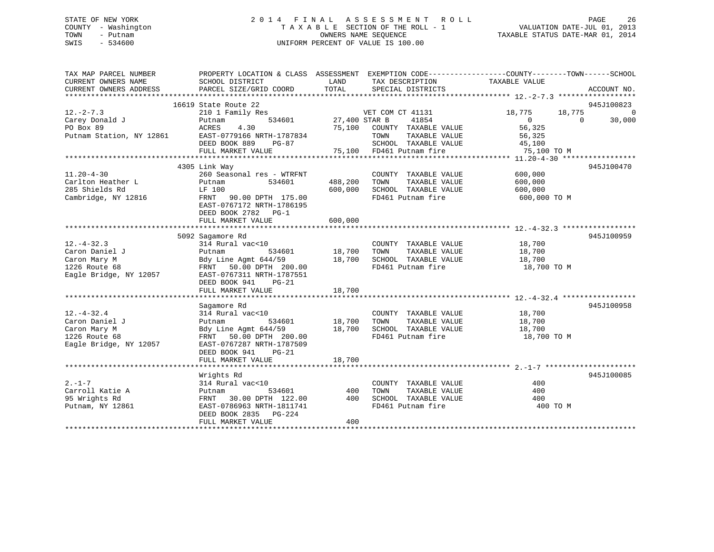### STATE OF NEW YORK 2 0 1 4 F I N A L A S S E S S M E N T R O L L PAGE 26 COUNTY - Washington T A X A B L E SECTION OF THE ROLL - 1 VALUATION DATE-JUL 01, 2013 TOWN - Putnam **CONNERS NAME SEQUENCE** TAXABLE STATUS DATE-MAR 01, 2014 SWIS - 534600 UNIFORM PERCENT OF VALUE IS 100.00

| SCHOOL DISTRICT<br>LAND<br>TAX DESCRIPTION<br>TAXABLE VALUE<br>TOTAL<br>PARCEL SIZE/GRID COORD<br>SPECIAL DISTRICTS<br>ACCOUNT NO.<br>16619 State Route 22<br>945J100823<br>$12. -2 - 7.3$<br>18,775 0<br>210 1 Family Res<br>VET COM CT 41131<br>18,775<br>534601 27,400 STAR B<br>41854<br>30,000<br>Carey Donald J<br>$\overline{0}$<br>$\Omega$<br>Putnam<br>PO Box 89<br>4.30<br>75,100 COUNTY TAXABLE VALUE<br>56,325<br>ACRES<br>Putnam Station, NY 12861<br>EAST-0779166 NRTH-1787834<br>TOWN<br>TAXABLE VALUE<br>56,325<br>DEED BOOK 889<br>SCHOOL TAXABLE VALUE 45,100<br>PG-87<br>75,100 FD461 Putnam fire<br>FULL MARKET VALUE<br>75,100 TO M<br>4305 Link Way<br>945J100470<br>$11.20 - 4 - 30$<br>260 Seasonal res - WTRFNT<br>600,000<br>COUNTY TAXABLE VALUE<br>TAXABLE VALUE<br>Carlton Heather L<br>534601<br>488,200<br>TOWN<br>600,000<br>Putnam<br>285 Shields Rd<br>600,000<br>SCHOOL TAXABLE VALUE<br>LF 100<br>600,000<br>Cambridge, NY 12816<br>FD461 Putnam fire<br>600,000 TO M<br>FRNT 90.00 DPTH 175.00<br>EAST-0767172 NRTH-1786195<br>DEED BOOK 2782 PG-1<br>FULL MARKET VALUE<br>600,000<br>945J100959<br>5092 Sagamore Rd<br>$12. - 4 - 32.3$<br>314 Rural vac<10<br>COUNTY TAXABLE VALUE<br>18,700<br>18,700<br>Caron Daniel J<br>534601<br>TOWN<br>TAXABLE VALUE<br>Putnam<br>18,700<br>Bdy Line Agmt 644/59 18,700<br>SCHOOL TAXABLE VALUE<br>Caron Mary M<br>18,700<br>FD461 Putnam fire<br>1226 Route 68<br>FRNT 50.00 DPTH 200.00<br>18,700 TO M<br>Eagle Bridge, NY 12057<br>EAST-0767311 NRTH-1787551<br>DEED BOOK 941<br>$PG-21$<br>18,700<br>FULL MARKET VALUE<br>945J100958<br>Sagamore Rd<br>314 Rural vac<10<br>$12.-4-32.4$<br>COUNTY TAXABLE VALUE<br>18,700<br>18,700<br>Caron Daniel J<br>534601<br>TOWN<br>TAXABLE VALUE<br>18,700<br>Putnam<br>18,700<br>18,700<br>Bdy Line Agmt 644/59<br>SCHOOL TAXABLE VALUE<br>Caron Mary M<br>FD461 Putnam fire<br>1226 Route 68<br>FRNT 50.00 DPTH 200.00<br>18,700 TO M<br>Eagle Bridge, NY 12057<br>EAST-0767287 NRTH-1787509<br>DEED BOOK 941<br>$PG-21$<br>18,700<br>FULL MARKET VALUE<br>Wrights Rd<br>945J100085<br>314 Rural vac<10<br>$2. - 1 - 7$<br>400<br>COUNTY TAXABLE VALUE<br>Carroll Katie A<br>534601 400<br>TAXABLE VALUE<br>TOWN<br>400<br>Putnam<br>400<br>SCHOOL TAXABLE VALUE<br>95 Wrights Rd<br>FRNT 30.00 DPTH 122.00<br>400<br>EAST-0786963 NRTH-1811741<br>FD461 Putnam fire<br>400 TO M<br>Putnam, NY 12861<br>DEED BOOK 2835 PG-224<br>400<br>FULL MARKET VALUE | TAX MAP PARCEL NUMBER  | PROPERTY LOCATION & CLASS ASSESSMENT EXEMPTION CODE----------------COUNTY-------TOWN------SCHOOL |  |  |
|----------------------------------------------------------------------------------------------------------------------------------------------------------------------------------------------------------------------------------------------------------------------------------------------------------------------------------------------------------------------------------------------------------------------------------------------------------------------------------------------------------------------------------------------------------------------------------------------------------------------------------------------------------------------------------------------------------------------------------------------------------------------------------------------------------------------------------------------------------------------------------------------------------------------------------------------------------------------------------------------------------------------------------------------------------------------------------------------------------------------------------------------------------------------------------------------------------------------------------------------------------------------------------------------------------------------------------------------------------------------------------------------------------------------------------------------------------------------------------------------------------------------------------------------------------------------------------------------------------------------------------------------------------------------------------------------------------------------------------------------------------------------------------------------------------------------------------------------------------------------------------------------------------------------------------------------------------------------------------------------------------------------------------------------------------------------------------------------------------------------------------------------------------------------------------------------------------------------------------------------------------------------------------------------------------------------------------------------------------------------------------------------------------------------------------------------------------------------------------------|------------------------|--------------------------------------------------------------------------------------------------|--|--|
|                                                                                                                                                                                                                                                                                                                                                                                                                                                                                                                                                                                                                                                                                                                                                                                                                                                                                                                                                                                                                                                                                                                                                                                                                                                                                                                                                                                                                                                                                                                                                                                                                                                                                                                                                                                                                                                                                                                                                                                                                                                                                                                                                                                                                                                                                                                                                                                                                                                                                        | CURRENT OWNERS NAME    |                                                                                                  |  |  |
|                                                                                                                                                                                                                                                                                                                                                                                                                                                                                                                                                                                                                                                                                                                                                                                                                                                                                                                                                                                                                                                                                                                                                                                                                                                                                                                                                                                                                                                                                                                                                                                                                                                                                                                                                                                                                                                                                                                                                                                                                                                                                                                                                                                                                                                                                                                                                                                                                                                                                        | CURRENT OWNERS ADDRESS |                                                                                                  |  |  |
|                                                                                                                                                                                                                                                                                                                                                                                                                                                                                                                                                                                                                                                                                                                                                                                                                                                                                                                                                                                                                                                                                                                                                                                                                                                                                                                                                                                                                                                                                                                                                                                                                                                                                                                                                                                                                                                                                                                                                                                                                                                                                                                                                                                                                                                                                                                                                                                                                                                                                        |                        |                                                                                                  |  |  |
|                                                                                                                                                                                                                                                                                                                                                                                                                                                                                                                                                                                                                                                                                                                                                                                                                                                                                                                                                                                                                                                                                                                                                                                                                                                                                                                                                                                                                                                                                                                                                                                                                                                                                                                                                                                                                                                                                                                                                                                                                                                                                                                                                                                                                                                                                                                                                                                                                                                                                        |                        |                                                                                                  |  |  |
|                                                                                                                                                                                                                                                                                                                                                                                                                                                                                                                                                                                                                                                                                                                                                                                                                                                                                                                                                                                                                                                                                                                                                                                                                                                                                                                                                                                                                                                                                                                                                                                                                                                                                                                                                                                                                                                                                                                                                                                                                                                                                                                                                                                                                                                                                                                                                                                                                                                                                        |                        |                                                                                                  |  |  |
|                                                                                                                                                                                                                                                                                                                                                                                                                                                                                                                                                                                                                                                                                                                                                                                                                                                                                                                                                                                                                                                                                                                                                                                                                                                                                                                                                                                                                                                                                                                                                                                                                                                                                                                                                                                                                                                                                                                                                                                                                                                                                                                                                                                                                                                                                                                                                                                                                                                                                        |                        |                                                                                                  |  |  |
|                                                                                                                                                                                                                                                                                                                                                                                                                                                                                                                                                                                                                                                                                                                                                                                                                                                                                                                                                                                                                                                                                                                                                                                                                                                                                                                                                                                                                                                                                                                                                                                                                                                                                                                                                                                                                                                                                                                                                                                                                                                                                                                                                                                                                                                                                                                                                                                                                                                                                        |                        |                                                                                                  |  |  |
|                                                                                                                                                                                                                                                                                                                                                                                                                                                                                                                                                                                                                                                                                                                                                                                                                                                                                                                                                                                                                                                                                                                                                                                                                                                                                                                                                                                                                                                                                                                                                                                                                                                                                                                                                                                                                                                                                                                                                                                                                                                                                                                                                                                                                                                                                                                                                                                                                                                                                        |                        |                                                                                                  |  |  |
|                                                                                                                                                                                                                                                                                                                                                                                                                                                                                                                                                                                                                                                                                                                                                                                                                                                                                                                                                                                                                                                                                                                                                                                                                                                                                                                                                                                                                                                                                                                                                                                                                                                                                                                                                                                                                                                                                                                                                                                                                                                                                                                                                                                                                                                                                                                                                                                                                                                                                        |                        |                                                                                                  |  |  |
|                                                                                                                                                                                                                                                                                                                                                                                                                                                                                                                                                                                                                                                                                                                                                                                                                                                                                                                                                                                                                                                                                                                                                                                                                                                                                                                                                                                                                                                                                                                                                                                                                                                                                                                                                                                                                                                                                                                                                                                                                                                                                                                                                                                                                                                                                                                                                                                                                                                                                        |                        |                                                                                                  |  |  |
|                                                                                                                                                                                                                                                                                                                                                                                                                                                                                                                                                                                                                                                                                                                                                                                                                                                                                                                                                                                                                                                                                                                                                                                                                                                                                                                                                                                                                                                                                                                                                                                                                                                                                                                                                                                                                                                                                                                                                                                                                                                                                                                                                                                                                                                                                                                                                                                                                                                                                        |                        |                                                                                                  |  |  |
|                                                                                                                                                                                                                                                                                                                                                                                                                                                                                                                                                                                                                                                                                                                                                                                                                                                                                                                                                                                                                                                                                                                                                                                                                                                                                                                                                                                                                                                                                                                                                                                                                                                                                                                                                                                                                                                                                                                                                                                                                                                                                                                                                                                                                                                                                                                                                                                                                                                                                        |                        |                                                                                                  |  |  |
|                                                                                                                                                                                                                                                                                                                                                                                                                                                                                                                                                                                                                                                                                                                                                                                                                                                                                                                                                                                                                                                                                                                                                                                                                                                                                                                                                                                                                                                                                                                                                                                                                                                                                                                                                                                                                                                                                                                                                                                                                                                                                                                                                                                                                                                                                                                                                                                                                                                                                        |                        |                                                                                                  |  |  |
|                                                                                                                                                                                                                                                                                                                                                                                                                                                                                                                                                                                                                                                                                                                                                                                                                                                                                                                                                                                                                                                                                                                                                                                                                                                                                                                                                                                                                                                                                                                                                                                                                                                                                                                                                                                                                                                                                                                                                                                                                                                                                                                                                                                                                                                                                                                                                                                                                                                                                        |                        |                                                                                                  |  |  |
|                                                                                                                                                                                                                                                                                                                                                                                                                                                                                                                                                                                                                                                                                                                                                                                                                                                                                                                                                                                                                                                                                                                                                                                                                                                                                                                                                                                                                                                                                                                                                                                                                                                                                                                                                                                                                                                                                                                                                                                                                                                                                                                                                                                                                                                                                                                                                                                                                                                                                        |                        |                                                                                                  |  |  |
|                                                                                                                                                                                                                                                                                                                                                                                                                                                                                                                                                                                                                                                                                                                                                                                                                                                                                                                                                                                                                                                                                                                                                                                                                                                                                                                                                                                                                                                                                                                                                                                                                                                                                                                                                                                                                                                                                                                                                                                                                                                                                                                                                                                                                                                                                                                                                                                                                                                                                        |                        |                                                                                                  |  |  |
|                                                                                                                                                                                                                                                                                                                                                                                                                                                                                                                                                                                                                                                                                                                                                                                                                                                                                                                                                                                                                                                                                                                                                                                                                                                                                                                                                                                                                                                                                                                                                                                                                                                                                                                                                                                                                                                                                                                                                                                                                                                                                                                                                                                                                                                                                                                                                                                                                                                                                        |                        |                                                                                                  |  |  |
|                                                                                                                                                                                                                                                                                                                                                                                                                                                                                                                                                                                                                                                                                                                                                                                                                                                                                                                                                                                                                                                                                                                                                                                                                                                                                                                                                                                                                                                                                                                                                                                                                                                                                                                                                                                                                                                                                                                                                                                                                                                                                                                                                                                                                                                                                                                                                                                                                                                                                        |                        |                                                                                                  |  |  |
|                                                                                                                                                                                                                                                                                                                                                                                                                                                                                                                                                                                                                                                                                                                                                                                                                                                                                                                                                                                                                                                                                                                                                                                                                                                                                                                                                                                                                                                                                                                                                                                                                                                                                                                                                                                                                                                                                                                                                                                                                                                                                                                                                                                                                                                                                                                                                                                                                                                                                        |                        |                                                                                                  |  |  |
|                                                                                                                                                                                                                                                                                                                                                                                                                                                                                                                                                                                                                                                                                                                                                                                                                                                                                                                                                                                                                                                                                                                                                                                                                                                                                                                                                                                                                                                                                                                                                                                                                                                                                                                                                                                                                                                                                                                                                                                                                                                                                                                                                                                                                                                                                                                                                                                                                                                                                        |                        |                                                                                                  |  |  |
|                                                                                                                                                                                                                                                                                                                                                                                                                                                                                                                                                                                                                                                                                                                                                                                                                                                                                                                                                                                                                                                                                                                                                                                                                                                                                                                                                                                                                                                                                                                                                                                                                                                                                                                                                                                                                                                                                                                                                                                                                                                                                                                                                                                                                                                                                                                                                                                                                                                                                        |                        |                                                                                                  |  |  |
|                                                                                                                                                                                                                                                                                                                                                                                                                                                                                                                                                                                                                                                                                                                                                                                                                                                                                                                                                                                                                                                                                                                                                                                                                                                                                                                                                                                                                                                                                                                                                                                                                                                                                                                                                                                                                                                                                                                                                                                                                                                                                                                                                                                                                                                                                                                                                                                                                                                                                        |                        |                                                                                                  |  |  |
|                                                                                                                                                                                                                                                                                                                                                                                                                                                                                                                                                                                                                                                                                                                                                                                                                                                                                                                                                                                                                                                                                                                                                                                                                                                                                                                                                                                                                                                                                                                                                                                                                                                                                                                                                                                                                                                                                                                                                                                                                                                                                                                                                                                                                                                                                                                                                                                                                                                                                        |                        |                                                                                                  |  |  |
|                                                                                                                                                                                                                                                                                                                                                                                                                                                                                                                                                                                                                                                                                                                                                                                                                                                                                                                                                                                                                                                                                                                                                                                                                                                                                                                                                                                                                                                                                                                                                                                                                                                                                                                                                                                                                                                                                                                                                                                                                                                                                                                                                                                                                                                                                                                                                                                                                                                                                        |                        |                                                                                                  |  |  |
|                                                                                                                                                                                                                                                                                                                                                                                                                                                                                                                                                                                                                                                                                                                                                                                                                                                                                                                                                                                                                                                                                                                                                                                                                                                                                                                                                                                                                                                                                                                                                                                                                                                                                                                                                                                                                                                                                                                                                                                                                                                                                                                                                                                                                                                                                                                                                                                                                                                                                        |                        |                                                                                                  |  |  |
|                                                                                                                                                                                                                                                                                                                                                                                                                                                                                                                                                                                                                                                                                                                                                                                                                                                                                                                                                                                                                                                                                                                                                                                                                                                                                                                                                                                                                                                                                                                                                                                                                                                                                                                                                                                                                                                                                                                                                                                                                                                                                                                                                                                                                                                                                                                                                                                                                                                                                        |                        |                                                                                                  |  |  |
|                                                                                                                                                                                                                                                                                                                                                                                                                                                                                                                                                                                                                                                                                                                                                                                                                                                                                                                                                                                                                                                                                                                                                                                                                                                                                                                                                                                                                                                                                                                                                                                                                                                                                                                                                                                                                                                                                                                                                                                                                                                                                                                                                                                                                                                                                                                                                                                                                                                                                        |                        |                                                                                                  |  |  |
|                                                                                                                                                                                                                                                                                                                                                                                                                                                                                                                                                                                                                                                                                                                                                                                                                                                                                                                                                                                                                                                                                                                                                                                                                                                                                                                                                                                                                                                                                                                                                                                                                                                                                                                                                                                                                                                                                                                                                                                                                                                                                                                                                                                                                                                                                                                                                                                                                                                                                        |                        |                                                                                                  |  |  |
|                                                                                                                                                                                                                                                                                                                                                                                                                                                                                                                                                                                                                                                                                                                                                                                                                                                                                                                                                                                                                                                                                                                                                                                                                                                                                                                                                                                                                                                                                                                                                                                                                                                                                                                                                                                                                                                                                                                                                                                                                                                                                                                                                                                                                                                                                                                                                                                                                                                                                        |                        |                                                                                                  |  |  |
|                                                                                                                                                                                                                                                                                                                                                                                                                                                                                                                                                                                                                                                                                                                                                                                                                                                                                                                                                                                                                                                                                                                                                                                                                                                                                                                                                                                                                                                                                                                                                                                                                                                                                                                                                                                                                                                                                                                                                                                                                                                                                                                                                                                                                                                                                                                                                                                                                                                                                        |                        |                                                                                                  |  |  |
|                                                                                                                                                                                                                                                                                                                                                                                                                                                                                                                                                                                                                                                                                                                                                                                                                                                                                                                                                                                                                                                                                                                                                                                                                                                                                                                                                                                                                                                                                                                                                                                                                                                                                                                                                                                                                                                                                                                                                                                                                                                                                                                                                                                                                                                                                                                                                                                                                                                                                        |                        |                                                                                                  |  |  |
|                                                                                                                                                                                                                                                                                                                                                                                                                                                                                                                                                                                                                                                                                                                                                                                                                                                                                                                                                                                                                                                                                                                                                                                                                                                                                                                                                                                                                                                                                                                                                                                                                                                                                                                                                                                                                                                                                                                                                                                                                                                                                                                                                                                                                                                                                                                                                                                                                                                                                        |                        |                                                                                                  |  |  |
|                                                                                                                                                                                                                                                                                                                                                                                                                                                                                                                                                                                                                                                                                                                                                                                                                                                                                                                                                                                                                                                                                                                                                                                                                                                                                                                                                                                                                                                                                                                                                                                                                                                                                                                                                                                                                                                                                                                                                                                                                                                                                                                                                                                                                                                                                                                                                                                                                                                                                        |                        |                                                                                                  |  |  |
|                                                                                                                                                                                                                                                                                                                                                                                                                                                                                                                                                                                                                                                                                                                                                                                                                                                                                                                                                                                                                                                                                                                                                                                                                                                                                                                                                                                                                                                                                                                                                                                                                                                                                                                                                                                                                                                                                                                                                                                                                                                                                                                                                                                                                                                                                                                                                                                                                                                                                        |                        |                                                                                                  |  |  |
|                                                                                                                                                                                                                                                                                                                                                                                                                                                                                                                                                                                                                                                                                                                                                                                                                                                                                                                                                                                                                                                                                                                                                                                                                                                                                                                                                                                                                                                                                                                                                                                                                                                                                                                                                                                                                                                                                                                                                                                                                                                                                                                                                                                                                                                                                                                                                                                                                                                                                        |                        |                                                                                                  |  |  |
|                                                                                                                                                                                                                                                                                                                                                                                                                                                                                                                                                                                                                                                                                                                                                                                                                                                                                                                                                                                                                                                                                                                                                                                                                                                                                                                                                                                                                                                                                                                                                                                                                                                                                                                                                                                                                                                                                                                                                                                                                                                                                                                                                                                                                                                                                                                                                                                                                                                                                        |                        |                                                                                                  |  |  |
|                                                                                                                                                                                                                                                                                                                                                                                                                                                                                                                                                                                                                                                                                                                                                                                                                                                                                                                                                                                                                                                                                                                                                                                                                                                                                                                                                                                                                                                                                                                                                                                                                                                                                                                                                                                                                                                                                                                                                                                                                                                                                                                                                                                                                                                                                                                                                                                                                                                                                        |                        |                                                                                                  |  |  |
|                                                                                                                                                                                                                                                                                                                                                                                                                                                                                                                                                                                                                                                                                                                                                                                                                                                                                                                                                                                                                                                                                                                                                                                                                                                                                                                                                                                                                                                                                                                                                                                                                                                                                                                                                                                                                                                                                                                                                                                                                                                                                                                                                                                                                                                                                                                                                                                                                                                                                        |                        |                                                                                                  |  |  |
|                                                                                                                                                                                                                                                                                                                                                                                                                                                                                                                                                                                                                                                                                                                                                                                                                                                                                                                                                                                                                                                                                                                                                                                                                                                                                                                                                                                                                                                                                                                                                                                                                                                                                                                                                                                                                                                                                                                                                                                                                                                                                                                                                                                                                                                                                                                                                                                                                                                                                        |                        |                                                                                                  |  |  |
|                                                                                                                                                                                                                                                                                                                                                                                                                                                                                                                                                                                                                                                                                                                                                                                                                                                                                                                                                                                                                                                                                                                                                                                                                                                                                                                                                                                                                                                                                                                                                                                                                                                                                                                                                                                                                                                                                                                                                                                                                                                                                                                                                                                                                                                                                                                                                                                                                                                                                        |                        |                                                                                                  |  |  |
|                                                                                                                                                                                                                                                                                                                                                                                                                                                                                                                                                                                                                                                                                                                                                                                                                                                                                                                                                                                                                                                                                                                                                                                                                                                                                                                                                                                                                                                                                                                                                                                                                                                                                                                                                                                                                                                                                                                                                                                                                                                                                                                                                                                                                                                                                                                                                                                                                                                                                        |                        |                                                                                                  |  |  |
|                                                                                                                                                                                                                                                                                                                                                                                                                                                                                                                                                                                                                                                                                                                                                                                                                                                                                                                                                                                                                                                                                                                                                                                                                                                                                                                                                                                                                                                                                                                                                                                                                                                                                                                                                                                                                                                                                                                                                                                                                                                                                                                                                                                                                                                                                                                                                                                                                                                                                        |                        |                                                                                                  |  |  |
|                                                                                                                                                                                                                                                                                                                                                                                                                                                                                                                                                                                                                                                                                                                                                                                                                                                                                                                                                                                                                                                                                                                                                                                                                                                                                                                                                                                                                                                                                                                                                                                                                                                                                                                                                                                                                                                                                                                                                                                                                                                                                                                                                                                                                                                                                                                                                                                                                                                                                        |                        |                                                                                                  |  |  |
|                                                                                                                                                                                                                                                                                                                                                                                                                                                                                                                                                                                                                                                                                                                                                                                                                                                                                                                                                                                                                                                                                                                                                                                                                                                                                                                                                                                                                                                                                                                                                                                                                                                                                                                                                                                                                                                                                                                                                                                                                                                                                                                                                                                                                                                                                                                                                                                                                                                                                        |                        |                                                                                                  |  |  |
|                                                                                                                                                                                                                                                                                                                                                                                                                                                                                                                                                                                                                                                                                                                                                                                                                                                                                                                                                                                                                                                                                                                                                                                                                                                                                                                                                                                                                                                                                                                                                                                                                                                                                                                                                                                                                                                                                                                                                                                                                                                                                                                                                                                                                                                                                                                                                                                                                                                                                        |                        |                                                                                                  |  |  |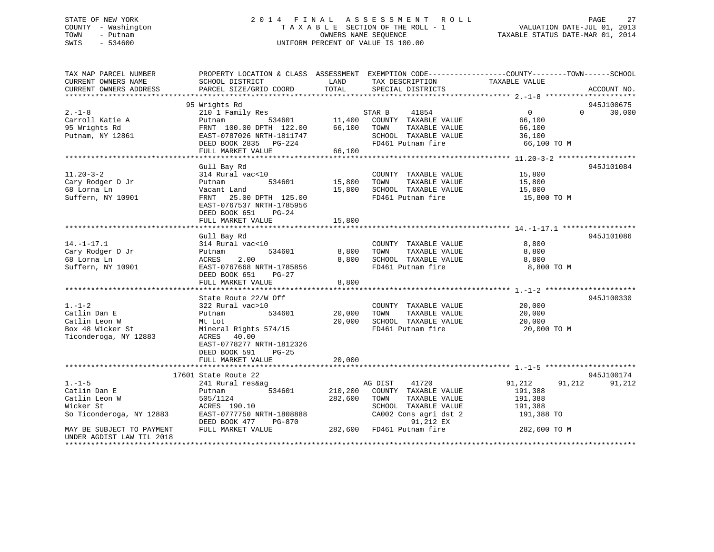### STATE OF NEW YORK 2 0 1 4 F I N A L A S S E S S M E N T R O L L PAGE 27 COUNTY - Washington T A X A B L E SECTION OF THE ROLL - 1 VALUATION DATE-JUL 01, 2013 TOWN - Putnam OWNERS NAME SEQUENCE TAXABLE STATUS DATE-MAR 01, 2014 SWIS - 534600 UNIFORM PERCENT OF VALUE IS 100.00

| TAX MAP PARCEL NUMBER<br>CURRENT OWNERS NAME                                               | PROPERTY LOCATION & CLASS ASSESSMENT EXEMPTION CODE---------------COUNTY-------TOWN-----SCHOOL<br>SCHOOL DISTRICT                                                          | LAND<br>TOTAL                     | TAX DESCRIPTION                                                                                                                 | TAXABLE VALUE                                                   | ACCOUNT NO.        |
|--------------------------------------------------------------------------------------------|----------------------------------------------------------------------------------------------------------------------------------------------------------------------------|-----------------------------------|---------------------------------------------------------------------------------------------------------------------------------|-----------------------------------------------------------------|--------------------|
| CURRENT OWNERS ADDRESS                                                                     | PARCEL SIZE/GRID COORD                                                                                                                                                     |                                   | SPECIAL DISTRICTS                                                                                                               |                                                                 |                    |
|                                                                                            | 95 Wrights Rd                                                                                                                                                              |                                   |                                                                                                                                 |                                                                 | 945J100675         |
| $2 - 1 - 8$<br>Carroll Katie A<br>95 Wrights Rd<br>Putnam, NY 12861                        | 210 1 Family Res<br>Putnam<br>FRNT 100.00 DPTH 122.00<br>EAST-0787026 NRTH-1811747<br>DEED BOOK 2835 PG-224<br>FULL MARKET VALUE                                           | 534601 11,400<br>66,100<br>66,100 | 41854<br>STAR B<br>COUNTY TAXABLE VALUE<br>TOWN<br>TAXABLE VALUE<br>SCHOOL TAXABLE VALUE<br>FD461 Putnam fire                   | $\overline{0}$<br>66,100<br>66,100<br>36,100<br>66,100 TO M     | $\Omega$<br>30,000 |
|                                                                                            |                                                                                                                                                                            |                                   |                                                                                                                                 |                                                                 |                    |
| $11.20 - 3 - 2$<br>Cary Rodger D Jr<br>68 Lorna Ln<br>Suffern, NY 10901                    | Gull Bay Rd<br>314 Rural vac<10<br>534601<br>Putnam<br>Vacant Land<br>FRNT 25.00 DPTH 125.00<br>EAST-0767537 NRTH-1785956<br>DEED BOOK 651<br>$PG-24$<br>FULL MARKET VALUE | 15,800<br>15,800<br>15,800        | COUNTY TAXABLE VALUE<br>TAXABLE VALUE<br>TOWN<br>SCHOOL TAXABLE VALUE<br>FD461 Putnam fire                                      | 15,800<br>15,800<br>15,800<br>15,800 TO M                       | 945J101084         |
|                                                                                            | Gull Bay Rd                                                                                                                                                                |                                   |                                                                                                                                 |                                                                 | 945J101086         |
| $14. - 1 - 17.1$<br>Cary Rodger D Jr<br>68 Lorna Ln<br>Suffern, NY 10901                   | 314 Rural vac<10<br>534601<br>Putnam<br>2.00<br>ACRES<br>EAST-0767668 NRTH-1785856<br>DEED BOOK 651<br>$PG-27$<br>FULL MARKET VALUE                                        | 8,800<br>8,800<br>8,800           | COUNTY TAXABLE VALUE<br>TOWN<br>TAXABLE VALUE<br>IUWN 11MAR-1-<br>SCHOOL TAXABLE VALUE<br>FD461 Putnam fire                     | 8,800<br>8,800<br>8,800<br>8,800 TO M                           |                    |
|                                                                                            | State Route 22/W Off                                                                                                                                                       |                                   |                                                                                                                                 |                                                                 | 945J100330         |
| $1. - 1 - 2$<br>Catlin Dan E<br>Catlin Leon W<br>Box 48 Wicker St<br>Ticonderoga, NY 12883 | 322 Rural vac>10<br>Putnam<br>534601<br>Mt Lot<br>Mineral Rights 574/15<br>ACRES<br>40.00<br>EAST-0778277 NRTH-1812326<br>DEED BOOK 591<br>$PG-25$                         | 20,000<br>20,000                  | COUNTY TAXABLE VALUE<br>TAXABLE VALUE<br>TOWN<br>SCHOOL TAXABLE VALUE<br>FD461 Putnam fire                                      | 20,000<br>20,000<br>20,000<br>20,000 TO M                       |                    |
|                                                                                            | FULL MARKET VALUE                                                                                                                                                          | 20,000                            |                                                                                                                                 |                                                                 |                    |
|                                                                                            | 17601 State Route 22                                                                                                                                                       |                                   |                                                                                                                                 |                                                                 | 945J100174         |
| $1. - 1 - 5$<br>Catlin Dan E<br>Catlin Leon W<br>Wicker St<br>So Ticonderoga, NY 12883     | 241 Rural res&ag<br>534601<br>Putnam<br>505/1124<br>ACRES 190.10<br>EAST-0777750 NRTH-1808888<br>DEED BOOK 477<br>PG-870                                                   | 210,200<br>282,600                | 41720<br>AG DIST<br>COUNTY TAXABLE VALUE<br>TOWN<br>TAXABLE VALUE<br>SCHOOL TAXABLE VALUE<br>CA002 Cons agri dst 2<br>91,212 EX | 91,212<br>91,212<br>191,388<br>191,388<br>191,388<br>191,388 TO | 91,212             |
| MAY BE SUBJECT TO PAYMENT<br>UNDER AGDIST LAW TIL 2018                                     | FULL MARKET VALUE                                                                                                                                                          | 282,600                           | FD461 Putnam fire                                                                                                               | 282,600 TO M                                                    |                    |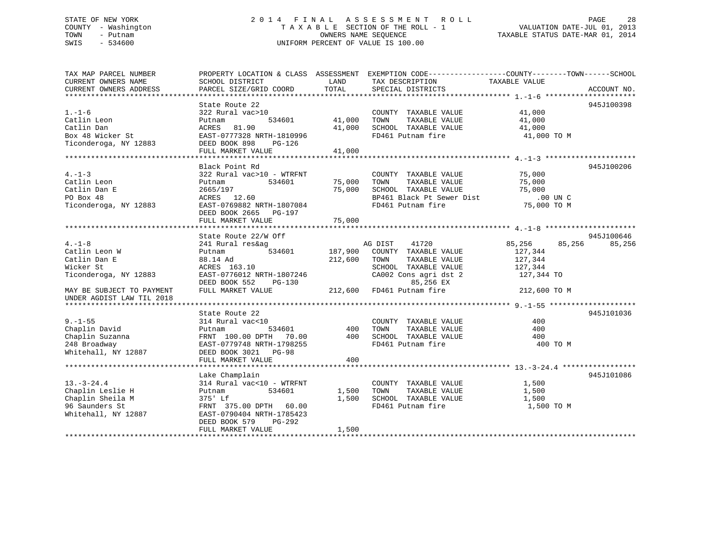### STATE OF NEW YORK 2 0 1 4 F I N A L A S S E S S M E N T R O L L PAGE 28 COUNTY - Washington T A X A B L E SECTION OF THE ROLL - 1 VALUATION DATE-JUL 01, 2013 TOWN - Putnam OWNERS NAME SEQUENCE TAXABLE STATUS DATE-MAR 01, 2014 SWIS - 534600 UNIFORM PERCENT OF VALUE IS 100.00

| TAX MAP PARCEL NUMBER                                                                                                                                                                                                                                                                                                                                                                                                                                          |                                                                                                |                 | PROPERTY LOCATION & CLASS ASSESSMENT EXEMPTION CODE---------------COUNTY-------TOWN-----SCHOOL |                      |            |
|----------------------------------------------------------------------------------------------------------------------------------------------------------------------------------------------------------------------------------------------------------------------------------------------------------------------------------------------------------------------------------------------------------------------------------------------------------------|------------------------------------------------------------------------------------------------|-----------------|------------------------------------------------------------------------------------------------|----------------------|------------|
| CURRENT OWNERS NAME                                                                                                                                                                                                                                                                                                                                                                                                                                            | SCHOOL DISTRICT                                                                                | LAND            | TAX DESCRIPTION                                                                                | TAXABLE VALUE        |            |
| $\begin{tabular}{lllllll} \textbf{CURENT} & \textbf{ANDRES} & \textbf{ADDRESS} & \textbf{PARCEL SIZE/GRID COORD} & \textbf{TOTAL} & \textbf{SPECIAL DISTRIBUTTS} & \textbf{ACCOUNT NO.} \\ \textbf{****}{\color{blue}\textbf{****}{\color{blue}\textbf{5.75}} & \textbf{PARCEL SIZE/GRID COORD} & \textbf{TOTAL} & \textbf{SPECIAL DISTRIBUTTS} & \textbf{PSCIAL} & \textbf{S.} \\ \textbf{1.1-1-6} & \textbf{1.1-1-6} & \textbf{1.1-1-6} & \textbf{1.1-1-1-1$ |                                                                                                |                 |                                                                                                |                      |            |
|                                                                                                                                                                                                                                                                                                                                                                                                                                                                | State Route 22                                                                                 |                 |                                                                                                |                      | 945J100398 |
| $1. -1 - 6$                                                                                                                                                                                                                                                                                                                                                                                                                                                    | $322$ Rural vac $>10$                                                                          |                 | COUNTY TAXABLE VALUE 41,000                                                                    |                      |            |
| Catlin Leon                                                                                                                                                                                                                                                                                                                                                                                                                                                    | Putnam                                                                                         |                 | TAXABLE VALUE                                                                                  |                      |            |
| Catlin Dan                                                                                                                                                                                                                                                                                                                                                                                                                                                     | ACRES 81.90                                                                                    |                 | 41,000 SCHOOL TAXABLE VALUE                                                                    | $41,000$<br>$41,000$ |            |
| Box 48 Wicker St                                                                                                                                                                                                                                                                                                                                                                                                                                               | EAST-0777328 NRTH-1810996                                                                      |                 | FD461 Putnam fire 31,000 TO M                                                                  |                      |            |
| Ticonderoga, NY 12883                                                                                                                                                                                                                                                                                                                                                                                                                                          | DEED BOOK 898 PG-126                                                                           |                 |                                                                                                |                      |            |
|                                                                                                                                                                                                                                                                                                                                                                                                                                                                | FULL MARKET VALUE                                                                              | 41,000          |                                                                                                |                      |            |
|                                                                                                                                                                                                                                                                                                                                                                                                                                                                |                                                                                                |                 |                                                                                                |                      |            |
|                                                                                                                                                                                                                                                                                                                                                                                                                                                                | Black Point Rd                                                                                 |                 |                                                                                                |                      | 945J100206 |
| $4. -1 - 3$                                                                                                                                                                                                                                                                                                                                                                                                                                                    | 322 Rural vac>10 - WTRFNT                                                                      |                 | COUNTY TAXABLE VALUE                                                                           | 75,000               |            |
| Catlin Leon                                                                                                                                                                                                                                                                                                                                                                                                                                                    | 534601<br>Putnam                                                                               | <br>75,000 TOWN | TAXABLE VALUE                                                                                  | 75,000               |            |
| Catlin Dan E                                                                                                                                                                                                                                                                                                                                                                                                                                                   | 2665/197                                                                                       |                 | 75,000 SCHOOL TAXABLE VALUE                                                                    | 75,000               |            |
| PO Box 48                                                                                                                                                                                                                                                                                                                                                                                                                                                      | ACRES 12.60                                                                                    |                 |                                                                                                |                      |            |
| Ticonderoga, NY 12883                                                                                                                                                                                                                                                                                                                                                                                                                                          | EAST-0769882 NRTH-1807084                                                                      |                 |                                                                                                |                      |            |
|                                                                                                                                                                                                                                                                                                                                                                                                                                                                | DEED BOOK 2665 PG-197                                                                          |                 |                                                                                                |                      |            |
|                                                                                                                                                                                                                                                                                                                                                                                                                                                                | FULL MARKET VALUE                                                                              | 75,000          |                                                                                                |                      |            |
|                                                                                                                                                                                                                                                                                                                                                                                                                                                                |                                                                                                |                 |                                                                                                |                      |            |
|                                                                                                                                                                                                                                                                                                                                                                                                                                                                | State Route 22/W Off                                                                           |                 |                                                                                                |                      | 945J100646 |
| $4. -1 - 8$                                                                                                                                                                                                                                                                                                                                                                                                                                                    | 241 Rural res&ag                                                                               |                 | 41720<br>AG DIST                                                                               | 85,256<br>85,256     | 85,256     |
| Catlin Leon W                                                                                                                                                                                                                                                                                                                                                                                                                                                  | Putnam                                                                                         |                 | 534601 187,900 COUNTY TAXABLE VALUE                                                            | 127,344              |            |
| Catlin Dan E                                                                                                                                                                                                                                                                                                                                                                                                                                                   |                                                                                                | 212,600 TOWN    | TAXABLE VALUE                                                                                  | 127,344              |            |
| Wicker St                                                                                                                                                                                                                                                                                                                                                                                                                                                      | 88.14 Ad<br>ACRES 163.10                                                                       |                 | SCHOOL TAXABLE VALUE 127,344<br>CA002 Cons agri dst 2 127,344 TO                               |                      |            |
| Ticonderoga, NY 12883                                                                                                                                                                                                                                                                                                                                                                                                                                          | EAST-0776012 NRTH-1807246                                                                      |                 |                                                                                                |                      |            |
|                                                                                                                                                                                                                                                                                                                                                                                                                                                                | DEED BOOK 552 PG-130                                                                           |                 | 85,256 EX                                                                                      |                      |            |
| MAY BE SUBJECT TO PAYMENT                                                                                                                                                                                                                                                                                                                                                                                                                                      | FULL MARKET VALUE                                                                              |                 | 212,600 FD461 Putnam fire                                                                      | 212,600 TO M         |            |
| UNDER AGDIST LAW TIL 2018                                                                                                                                                                                                                                                                                                                                                                                                                                      |                                                                                                |                 |                                                                                                |                      |            |
|                                                                                                                                                                                                                                                                                                                                                                                                                                                                |                                                                                                |                 |                                                                                                |                      |            |
|                                                                                                                                                                                                                                                                                                                                                                                                                                                                | State Route 22                                                                                 |                 |                                                                                                |                      | 945J101036 |
| $9. - 1 - 55$                                                                                                                                                                                                                                                                                                                                                                                                                                                  | 314 Rural vac<10                                                                               |                 | COUNTY TAXABLE VALUE                                                                           | 400                  |            |
| Chaplin David                                                                                                                                                                                                                                                                                                                                                                                                                                                  | Putnam                                                                                         | 534601 400 TOWN | TAXABLE VALUE                                                                                  | 400                  |            |
| Chaplin Suzanna                                                                                                                                                                                                                                                                                                                                                                                                                                                | FRNT 100.00 DPTH 70.00 400 SCHOOL TAXABLE VALUE<br>EAST-0779748 NRTH-1798255 FD461 Putnam fire |                 |                                                                                                | 400                  |            |
| 248 Broadway                                                                                                                                                                                                                                                                                                                                                                                                                                                   |                                                                                                |                 |                                                                                                | 400 TO M             |            |
| Whitehall, NY 12887                                                                                                                                                                                                                                                                                                                                                                                                                                            | DEED BOOK 3021 PG-98                                                                           |                 |                                                                                                |                      |            |
|                                                                                                                                                                                                                                                                                                                                                                                                                                                                | FULL MARKET VALUE                                                                              | 400             |                                                                                                |                      |            |
|                                                                                                                                                                                                                                                                                                                                                                                                                                                                |                                                                                                |                 |                                                                                                |                      |            |
|                                                                                                                                                                                                                                                                                                                                                                                                                                                                | Lake Champlain                                                                                 |                 |                                                                                                |                      | 945J101086 |
| $13. - 3 - 24.4$                                                                                                                                                                                                                                                                                                                                                                                                                                               | 314 Rural vac<10 - WTRFNT                                                                      |                 | COUNTY TAXABLE VALUE                                                                           | 1,500                |            |
| Chaplin Leslie H                                                                                                                                                                                                                                                                                                                                                                                                                                               | 534601<br>Putnam                                                                               |                 | TAXABLE VALUE<br>1,500 TOWN                                                                    | 1,500                |            |
| Chaplin Sheila M                                                                                                                                                                                                                                                                                                                                                                                                                                               | 375' Lf                                                                                        |                 | 1,500 SCHOOL TAXABLE VALUE                                                                     | 1,500                |            |
| 96 Saunders St                                                                                                                                                                                                                                                                                                                                                                                                                                                 | FRNT 375.00 DPTH 60.00                                                                         |                 | FD461 Putnam fire                                                                              | 1,500 TO M           |            |
| Whitehall, NY 12887                                                                                                                                                                                                                                                                                                                                                                                                                                            | EAST-0790404 NRTH-1785423                                                                      |                 |                                                                                                |                      |            |
|                                                                                                                                                                                                                                                                                                                                                                                                                                                                | DEED BOOK 579<br>PG-292                                                                        |                 |                                                                                                |                      |            |
|                                                                                                                                                                                                                                                                                                                                                                                                                                                                | FULL MARKET VALUE                                                                              | 1,500           |                                                                                                |                      |            |
|                                                                                                                                                                                                                                                                                                                                                                                                                                                                |                                                                                                |                 |                                                                                                |                      |            |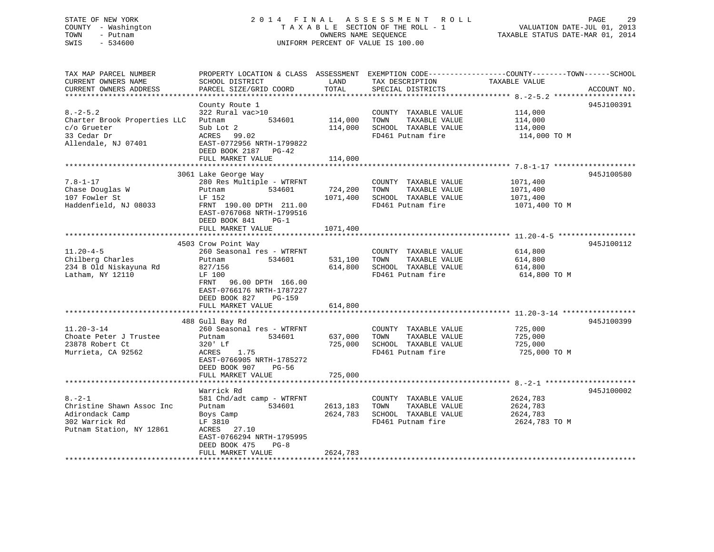# STATE OF NEW YORK 20 14 FINAL ASSESSMENT ROLL PAGE 29 COUNTY - Washington  $T A X A B L E$  SECTION OF THE ROLL - 1<br>TOWN - Putnam data of the COUNTERS NAME SEQUENCE SWIS - 534600 UNIFORM PERCENT OF VALUE IS 100.00

TAXABLE STATUS DATE-MAR 01, 2014

| TAX MAP PARCEL NUMBER        | PROPERTY LOCATION & CLASS ASSESSMENT EXEMPTION CODE----------------COUNTY-------TOWN------SCHOOL |          |                       |               |             |
|------------------------------|--------------------------------------------------------------------------------------------------|----------|-----------------------|---------------|-------------|
| CURRENT OWNERS NAME          | SCHOOL DISTRICT                                                                                  | LAND     | TAX DESCRIPTION       | TAXABLE VALUE |             |
| CURRENT OWNERS ADDRESS       | PARCEL SIZE/GRID COORD                                                                           | TOTAL    | SPECIAL DISTRICTS     |               | ACCOUNT NO. |
|                              |                                                                                                  |          |                       |               |             |
|                              | County Route 1                                                                                   |          |                       |               | 945J100391  |
| $8. -2 - 5.2$                | 322 Rural vac>10                                                                                 |          | COUNTY TAXABLE VALUE  | 114,000       |             |
| Charter Brook Properties LLC | 534601<br>Putnam                                                                                 | 114,000  | TOWN<br>TAXABLE VALUE | 114,000       |             |
| c/o Grueter                  | Sub Lot 2                                                                                        | 114,000  | SCHOOL TAXABLE VALUE  | 114,000       |             |
| 33 Cedar Dr                  | ACRES 99.02                                                                                      |          | FD461 Putnam fire     | 114,000 TO M  |             |
| Allendale, NJ 07401          | EAST-0772956 NRTH-1799822                                                                        |          |                       |               |             |
|                              | DEED BOOK 2187 PG-42                                                                             |          |                       |               |             |
|                              | FULL MARKET VALUE                                                                                | 114,000  |                       |               |             |
|                              |                                                                                                  |          |                       |               |             |
|                              | 3061 Lake George Way                                                                             |          |                       |               | 945J100580  |
| $7.8 - 1 - 17$               |                                                                                                  |          |                       |               |             |
|                              | 280 Res Multiple - WTRFNT                                                                        |          | COUNTY TAXABLE VALUE  | 1071,400      |             |
| Chase Douglas W              | 534601<br>Putnam                                                                                 | 724,200  | TAXABLE VALUE<br>TOWN | 1071,400      |             |
| 107 Fowler St                | LF 152                                                                                           | 1071,400 | SCHOOL TAXABLE VALUE  | 1071,400      |             |
| Haddenfield, NJ 08033        | FRNT 190.00 DPTH 211.00                                                                          |          | FD461 Putnam fire     | 1071,400 TO M |             |
|                              | EAST-0767068 NRTH-1799516                                                                        |          |                       |               |             |
|                              | DEED BOOK 841<br>$PG-1$                                                                          |          |                       |               |             |
|                              | FULL MARKET VALUE                                                                                | 1071,400 |                       |               |             |
|                              |                                                                                                  |          |                       |               |             |
|                              | 4503 Crow Point Way                                                                              |          |                       |               | 945J100112  |
| $11.20 - 4 - 5$              | 260 Seasonal res - WTRFNT                                                                        |          | COUNTY TAXABLE VALUE  | 614,800       |             |
| Chilberg Charles             | 534601<br>Putnam                                                                                 | 531,100  | TAXABLE VALUE<br>TOWN | 614,800       |             |
| 234 B Old Niskayuna Rd       | 827/156                                                                                          | 614,800  | SCHOOL TAXABLE VALUE  | 614,800       |             |
| Latham, NY 12110             | LF 100                                                                                           |          | FD461 Putnam fire     | 614,800 TO M  |             |
|                              | FRNT<br>96.00 DPTH 166.00                                                                        |          |                       |               |             |
|                              | EAST-0766176 NRTH-1787227                                                                        |          |                       |               |             |
|                              | DEED BOOK 827<br>PG-159                                                                          |          |                       |               |             |
|                              | FULL MARKET VALUE                                                                                |          |                       |               |             |
|                              |                                                                                                  | 614,800  |                       |               |             |
|                              | 488 Gull Bay Rd                                                                                  |          |                       |               | 945J100399  |
| $11.20 - 3 - 14$             | 260 Seasonal res - WTRFNT                                                                        |          | COUNTY TAXABLE VALUE  |               |             |
|                              |                                                                                                  |          |                       | 725,000       |             |
| Choate Peter J Trustee       | 534601<br>Putnam                                                                                 | 637,000  | TAXABLE VALUE<br>TOWN | 725,000       |             |
| 23878 Robert Ct              | 320' Lf                                                                                          | 725,000  | SCHOOL TAXABLE VALUE  | 725,000       |             |
| Murrieta, CA 92562           | ACRES<br>1.75                                                                                    |          | FD461 Putnam fire     | 725,000 TO M  |             |
|                              | EAST-0766905 NRTH-1785272                                                                        |          |                       |               |             |
|                              | DEED BOOK 907<br>PG-56                                                                           |          |                       |               |             |
|                              | FULL MARKET VALUE                                                                                | 725,000  |                       |               |             |
|                              |                                                                                                  |          |                       |               |             |
|                              | Warrick Rd                                                                                       |          |                       |               | 945J100002  |
| $8. - 2 - 1$                 | 581 Chd/adt camp - WTRFNT                                                                        |          | COUNTY TAXABLE VALUE  | 2624,783      |             |
| Christine Shawn Assoc Inc    | Putnam<br>534601                                                                                 | 2613,183 | TAXABLE VALUE<br>TOWN | 2624,783      |             |
| Adirondack Camp              | Boys Camp                                                                                        | 2624,783 | SCHOOL TAXABLE VALUE  | 2624,783      |             |
| 302 Warrick Rd               | LF 3810                                                                                          |          | FD461 Putnam fire     | 2624,783 TO M |             |
| Putnam Station, NY 12861     | ACRES 27.10                                                                                      |          |                       |               |             |
|                              | EAST-0766294 NRTH-1795995                                                                        |          |                       |               |             |
|                              | DEED BOOK 475<br>$PG-8$                                                                          |          |                       |               |             |
|                              | FULL MARKET VALUE                                                                                | 2624,783 |                       |               |             |
|                              |                                                                                                  |          |                       |               |             |
|                              |                                                                                                  |          |                       |               |             |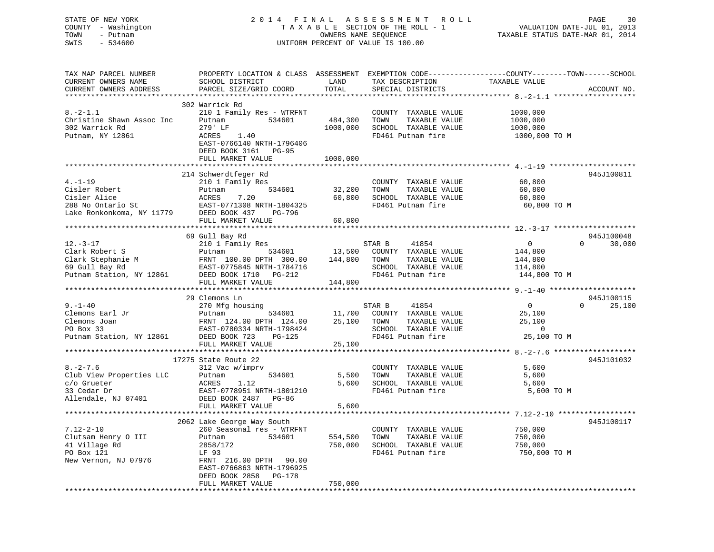### STATE OF NEW YORK 2 0 1 4 F I N A L A S S E S S M E N T R O L L PAGE 30 COUNTY - Washington T A X A B L E SECTION OF THE ROLL - 1 VALUATION DATE-JUL 01, 2013 TOWN - Putnam OWNERS NAME SEQUENCE TAXABLE STATUS DATE-MAR 01, 2014 SWIS - 534600 UNIFORM PERCENT OF VALUE IS 100.00UNIFORM PERCENT OF VALUE IS 100.00

| TAX MAP PARCEL NUMBER<br>CURRENT OWNERS NAME<br>CURRENT OWNERS ADDRESS | PROPERTY LOCATION & CLASS ASSESSMENT EXEMPTION CODE----------------COUNTY-------TOWN-----SCHOOL<br>SCHOOL DISTRICT<br>PARCEL SIZE/GRID COORD | LAND<br>TOTAL | TAX DESCRIPTION<br>SPECIAL DISTRICTS      | TAXABLE VALUE           | ACCOUNT NO.         |
|------------------------------------------------------------------------|----------------------------------------------------------------------------------------------------------------------------------------------|---------------|-------------------------------------------|-------------------------|---------------------|
|                                                                        |                                                                                                                                              |               |                                           |                         | ******************* |
|                                                                        | 302 Warrick Rd                                                                                                                               |               |                                           |                         |                     |
| $8. - 2 - 1.1$                                                         | 210 1 Family Res - WTRFNT                                                                                                                    |               | COUNTY TAXABLE VALUE                      | 1000,000                |                     |
| Christine Shawn Assoc Inc                                              | 534601<br>Putnam                                                                                                                             | 484,300       | TAXABLE VALUE<br>TOWN                     | 1000,000                |                     |
| 302 Warrick Rd                                                         | 279' LF                                                                                                                                      | 1000,000      | SCHOOL TAXABLE VALUE                      | 1000,000                |                     |
| Putnam, NY 12861                                                       | ACRES<br>1.40                                                                                                                                |               | FD461 Putnam fire                         | 1000,000 TO M           |                     |
|                                                                        | EAST-0766140 NRTH-1796406                                                                                                                    |               |                                           |                         |                     |
|                                                                        | DEED BOOK 3161 PG-95                                                                                                                         |               |                                           |                         |                     |
|                                                                        | FULL MARKET VALUE                                                                                                                            | 1000,000      |                                           |                         |                     |
|                                                                        |                                                                                                                                              |               |                                           |                         |                     |
|                                                                        | 214 Schwerdtfeger Rd                                                                                                                         |               |                                           |                         | 945J100811          |
| $4. - 1 - 19$                                                          | 210 1 Family Res                                                                                                                             |               | COUNTY TAXABLE VALUE                      | 60,800                  |                     |
| Cisler Robert                                                          | 534601<br>Putnam                                                                                                                             | 32,200        | TOWN<br>TAXABLE VALUE                     | 60,800                  |                     |
| Cisler Alice                                                           | ACRES<br>7.20                                                                                                                                | 60,800        | SCHOOL TAXABLE VALUE                      | 60,800                  |                     |
|                                                                        | EAST-0771308 NRTH-1804325                                                                                                                    |               | FD461 Putnam fire                         | 60,800 TO M             |                     |
| 288 No Ontario St<br>Lake Ronkonkoma, NY 11779                         | DEED BOOK 437<br>PG-796                                                                                                                      |               |                                           |                         |                     |
|                                                                        | FULL MARKET VALUE                                                                                                                            | 60,800        |                                           |                         |                     |
|                                                                        |                                                                                                                                              |               |                                           |                         |                     |
|                                                                        | 69 Gull Bay Rd                                                                                                                               |               |                                           |                         | 945J100048          |
| $12.-3-17$                                                             | 210 1 Family Res                                                                                                                             |               | STAR B<br>41854                           | $\overline{0}$          | 30,000<br>$\Omega$  |
| Clark Robert S                                                         | 534601<br>Putnam                                                                                                                             | 13,500        | COUNTY TAXABLE VALUE                      | 144,800                 |                     |
|                                                                        | FRNT 100.00 DPTH 300.00                                                                                                                      |               | 144,800 TOWN<br>TAXABLE VALUE             | 144,800                 |                     |
|                                                                        | EAST-0775845 NRTH-1784716                                                                                                                    |               | SCHOOL TAXABLE VALUE                      | 114,800                 |                     |
| Clark Stephanie M<br>69 Gull Bay Rd<br>Putnam Station, NY 12861        | DEED BOOK 1710 PG-212                                                                                                                        |               | FD461 Putnam fire                         | 144,800 TO M            |                     |
|                                                                        | FULL MARKET VALUE                                                                                                                            | 144,800       |                                           |                         |                     |
|                                                                        |                                                                                                                                              |               |                                           |                         |                     |
|                                                                        | 29 Clemons Ln                                                                                                                                |               |                                           |                         | 945J100115          |
| $9. - 1 - 40$                                                          | 270 Mfg housing                                                                                                                              |               | STAR B<br>41854                           | $\overline{0}$          | $\Omega$<br>25,100  |
| Clemons Earl Jr                                                        | 534601<br>Putnam                                                                                                                             | 11,700        | COUNTY TAXABLE VALUE                      | 25,100                  |                     |
| Clemons Joan                                                           | FRNT 124.00 DPTH 124.00                                                                                                                      | 25,100        | TAXABLE VALUE<br>TOWN                     | 25,100                  |                     |
| PO Box 33                                                              | EAST-0780334 NRTH-1798424                                                                                                                    |               | SCHOOL TAXABLE VALUE                      | $\overline{0}$          |                     |
| Putnam Station, NY 12861                                               | DEED BOOK 723<br><b>PG-125</b>                                                                                                               |               | FD461 Putnam fire                         | 25,100 TO M             |                     |
|                                                                        | FULL MARKET VALUE<br>************************                                                                                                | 25,100        |                                           |                         |                     |
|                                                                        |                                                                                                                                              |               |                                           |                         |                     |
|                                                                        | 17275 State Route 22                                                                                                                         |               |                                           |                         | 945J101032          |
| $8. -2 - 7.6$                                                          | 312 Vac w/imprv                                                                                                                              |               | COUNTY TAXABLE VALUE                      | 5,600                   |                     |
| Club View Properties LLC                                               | 534601<br>Putnam                                                                                                                             | 5,500         | TOWN<br>TAXABLE VALUE                     | 5,600                   |                     |
| c/o Grueter                                                            | 1.12<br>ACRES                                                                                                                                | 5,600         | SCHOOL TAXABLE VALUE<br>FD461 Putnam fire | 5,600                   |                     |
| 33 Cedar Dr                                                            | EAST-0778951 NRTH-1801210                                                                                                                    |               |                                           | 5,600 TO M              |                     |
| Allendale, NJ 07401                                                    | DEED BOOK 2487 PG-86<br>FULL MARKET VALUE                                                                                                    | 5,600         |                                           |                         |                     |
|                                                                        |                                                                                                                                              |               |                                           |                         |                     |
|                                                                        |                                                                                                                                              |               |                                           |                         | 945J100117          |
| $7.12 - 2 - 10$                                                        | 2062 Lake George Way South<br>260 Seasonal res - WTRFNT                                                                                      |               | COUNTY TAXABLE VALUE                      | 750,000                 |                     |
| Clutsam Henry O III                                                    | 534601<br>Putnam                                                                                                                             | 554,500       | TOWN<br>TAXABLE VALUE                     | 750,000                 |                     |
|                                                                        |                                                                                                                                              |               |                                           |                         |                     |
| 41 Village Rd<br>PO Box 121                                            | 2858/172<br>LF 93                                                                                                                            | 750,000       | SCHOOL TAXABLE VALUE<br>FD461 Putnam fire | 750,000<br>750,000 TO M |                     |
| New Vernon, NJ 07976                                                   | FRNT 216.00 DPTH 90.00                                                                                                                       |               |                                           |                         |                     |
|                                                                        | EAST-0766863 NRTH-1796925                                                                                                                    |               |                                           |                         |                     |
|                                                                        | DEED BOOK 2858 PG-178                                                                                                                        |               |                                           |                         |                     |
|                                                                        | FULL MARKET VALUE                                                                                                                            | 750,000       |                                           |                         |                     |
|                                                                        |                                                                                                                                              |               |                                           |                         |                     |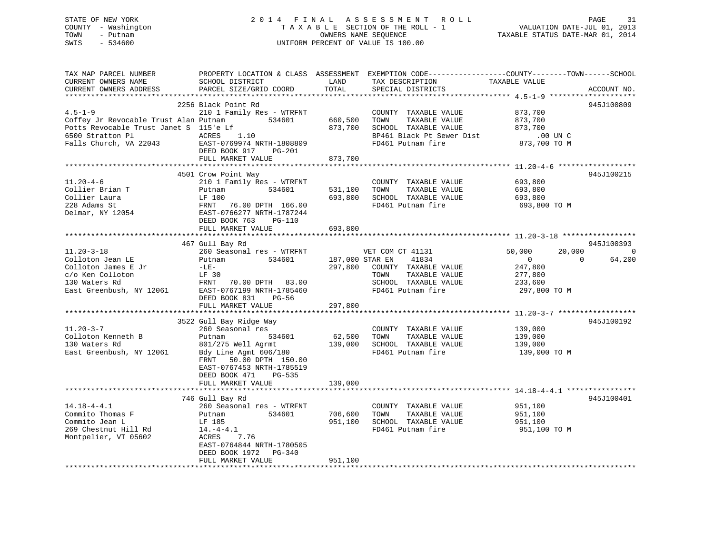# STATE OF NEW YORK 2 0 1 4 F I N A L A S S E S S M E N T R O L L PAGE 31COUNTY - Washington  $T A X A B L E$  SECTION OF THE ROLL - 1<br>TOWN - Putnam data of the COUNTERS NAME SEQUENCE SWIS - 534600 UNIFORM PERCENT OF VALUE IS 100.00

VALUATION DATE-JUL 01, 2013

TAXABLE STATUS DATE-MAR 01, 2014

| TAX MAP PARCEL NUMBER<br>CURRENT OWNERS NAME<br>CURRENT OWNERS ADDRESS                                                                         | PROPERTY LOCATION & CLASS ASSESSMENT<br>SCHOOL DISTRICT<br>PARCEL SIZE/GRID COORD                                                                                                                                        | LAND<br>TOTAL                         | EXEMPTION CODE-----------------COUNTY-------TOWN------SCHOOL<br>TAX DESCRIPTION<br>SPECIAL DISTRICTS                    | TAXABLE VALUE                                                                       | ACCOUNT NO.             |
|------------------------------------------------------------------------------------------------------------------------------------------------|--------------------------------------------------------------------------------------------------------------------------------------------------------------------------------------------------------------------------|---------------------------------------|-------------------------------------------------------------------------------------------------------------------------|-------------------------------------------------------------------------------------|-------------------------|
| $4.5 - 1 - 9$<br>Coffey Jr Revocable Trust Alan Putnam<br>Potts Revocable Trust Janet S 115'e Lf<br>6500 Stratton Pl<br>Falls Church, VA 22043 | 2256 Black Point Rd<br>210 1 Family Res - WTRFNT<br>534601<br><b>ACRES</b><br>1.10<br>EAST-0769974 NRTH-1808809<br>DEED BOOK 917<br>PG-201<br>FULL MARKET VALUE                                                          | 660,500<br>873,700<br>873,700         | COUNTY TAXABLE VALUE<br>TOWN<br>TAXABLE VALUE<br>SCHOOL TAXABLE VALUE<br>BP461 Black Pt Sewer Dist<br>FD461 Putnam fire | 873,700<br>873,700<br>873,700<br>.00 UN C<br>873,700 TO M                           | 945J100809              |
|                                                                                                                                                |                                                                                                                                                                                                                          |                                       |                                                                                                                         |                                                                                     |                         |
| $11.20 - 4 - 6$<br>Collier Brian T<br>Collier Laura<br>228 Adams St<br>Delmar, NY 12054                                                        | 4501 Crow Point Way<br>210 1 Family Res - WTRFNT<br>534601<br>Putnam<br>LF 100<br>FRNT<br>76.00 DPTH 166.00<br>EAST-0766277 NRTH-1787244<br>DEED BOOK 763<br>PG-110                                                      | 531,100<br>693,800                    | COUNTY TAXABLE VALUE<br>TAXABLE VALUE<br>TOWN<br>SCHOOL TAXABLE VALUE<br>FD461 Putnam fire                              | 693,800<br>693,800<br>693,800<br>693,800 TO M                                       | 945J100215              |
|                                                                                                                                                | FULL MARKET VALUE                                                                                                                                                                                                        | 693,800                               |                                                                                                                         |                                                                                     |                         |
|                                                                                                                                                | 467 Gull Bay Rd                                                                                                                                                                                                          |                                       |                                                                                                                         |                                                                                     | 945J100393              |
| $11.20 - 3 - 18$<br>Colloton Jean LE<br>Colloton James E Jr<br>c/o Ken Colloton<br>130 Waters Rd<br>East Greenbush, NY 12061                   | 260 Seasonal res - WTRFNT<br>Putnam<br>534601<br>$-LE-$<br>LF 30<br>FRNT<br>70.00 DPTH 83.00<br>EAST-0767199 NRTH-1785460<br>DEED BOOK 831<br>$PG-56$<br>FULL MARKET VALUE                                               | 187,000 STAR EN<br>297,800<br>297,800 | VET COM CT 41131<br>41834<br>COUNTY TAXABLE VALUE<br>TAXABLE VALUE<br>TOWN<br>SCHOOL TAXABLE VALUE<br>FD461 Putnam fire | 50,000<br>20,000<br>$\overline{0}$<br>247,800<br>277,800<br>233,600<br>297,800 TO M | 0<br>$\Omega$<br>64,200 |
|                                                                                                                                                |                                                                                                                                                                                                                          |                                       |                                                                                                                         |                                                                                     |                         |
| $11.20 - 3 - 7$<br>Colloton Kenneth B<br>130 Waters Rd<br>East Greenbush, NY 12061                                                             | 3522 Gull Bay Ridge Way<br>260 Seasonal res<br>534601<br>Putnam<br>801/275 Well Agrmt<br>Bdy Line Agmt 606/180<br>50.00 DPTH 150.00<br>FRNT<br>EAST-0767453 NRTH-1785519<br>DEED BOOK 471<br>PG-535<br>FULL MARKET VALUE | 62,500<br>139,000<br>139,000          | COUNTY TAXABLE VALUE<br>TOWN<br>TAXABLE VALUE<br>SCHOOL TAXABLE VALUE<br>FD461 Putnam fire                              | 139,000<br>139,000<br>139,000<br>139,000 TO M                                       | 945J100192              |
|                                                                                                                                                |                                                                                                                                                                                                                          |                                       |                                                                                                                         |                                                                                     |                         |
| $14.18 - 4 - 4.1$<br>Commito Thomas F<br>Commito Jean L<br>269 Chestnut Hill Rd<br>Montpelier, VT 05602                                        | 746 Gull Bay Rd<br>260 Seasonal res - WTRFNT<br>534601<br>Putnam<br>LF 185<br>$14.-4-4.1$<br>ACRES<br>7.76<br>EAST-0764844 NRTH-1780505<br>DEED BOOK 1972<br>PG-340<br>FULL MARKET VALUE                                 | 706,600<br>951,100<br>951,100         | COUNTY TAXABLE VALUE<br>TOWN<br>TAXABLE VALUE<br>SCHOOL TAXABLE VALUE<br>FD461 Putnam fire                              | 951,100<br>951,100<br>951,100<br>951,100 TO M                                       | 945J100401              |
|                                                                                                                                                |                                                                                                                                                                                                                          |                                       |                                                                                                                         |                                                                                     |                         |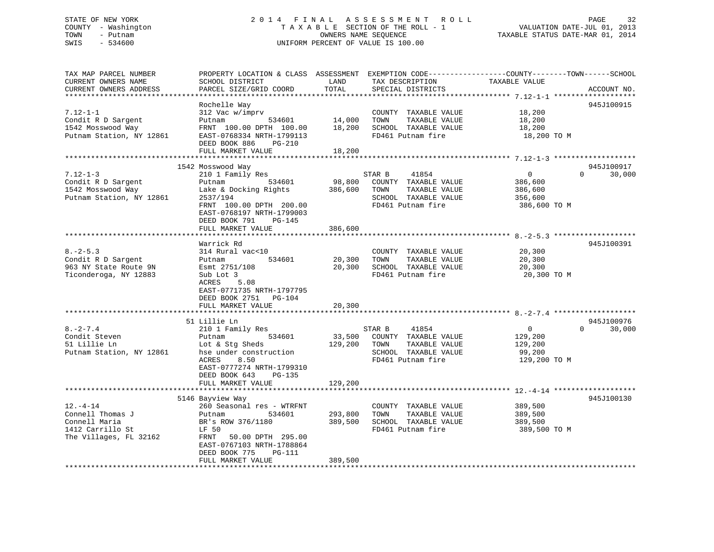### STATE OF NEW YORK 2 0 1 4 F I N A L A S S E S S M E N T R O L L PAGE 32 COUNTY - Washington T A X A B L E SECTION OF THE ROLL - 1 VALUATION DATE-JUL 01, 2013 TOWN - Putnam OWNERS NAME SEQUENCE TAXABLE STATUS DATE-MAR 01, 2014 SWIS - 534600 UNIFORM PERCENT OF VALUE IS 100.00

| Rochelle Way<br>945J100915<br>312 Vac w/imprv<br>COUNTY TAXABLE VALUE<br>18,200<br>14,000<br>TAXABLE VALUE<br>18,200<br>Putnam<br>534601<br>TOWN<br>FRNT 100.00 DPTH 100.00<br>18,200<br>SCHOOL TAXABLE VALUE<br>18,200<br>Putnam Station, NY 12861<br>FD461 Putnam fire<br>EAST-0768334 NRTH-1799113<br>18,200 TO M<br>DEED BOOK 886<br><b>PG-210</b><br>FULL MARKET VALUE<br>18,200<br>945J100917<br>1542 Mosswood Way<br>$7.12 - 1 - 3$<br>$\Omega$<br>$\Omega$<br>30,000<br>210 1 Family Res<br>STAR B<br>41854<br>98,800<br>COUNTY TAXABLE VALUE<br>Condit R D Sargent<br>534601<br>386,600<br>Putnam<br>1542 Mosswood Way<br>Lake & Docking Rights<br>386,600<br>TOWN<br>TAXABLE VALUE<br>386,600<br>Putnam Station, NY 12861<br>2537/194<br>SCHOOL TAXABLE VALUE<br>356,600<br>FRNT 100.00 DPTH 200.00<br>FD461 Putnam fire<br>386,600 TO M<br>EAST-0768197 NRTH-1799003<br>DEED BOOK 791<br>$PG-145$<br>FULL MARKET VALUE<br>386,600<br>945J100391<br>Warrick Rd<br>$8. - 2 - 5.3$<br>20,300<br>314 Rural vac<10<br>COUNTY TAXABLE VALUE<br>534601<br>20,300<br>TOWN<br>TAXABLE VALUE<br>20,300<br>Putnam<br>963 NY State Route 9N<br>SCHOOL TAXABLE VALUE<br>Esmt 2751/108<br>20,300<br>20,300<br>FD461 Putnam fire<br>Sub Lot 3<br>20,300 TO M<br>ACRES<br>5.08<br>EAST-0771735 NRTH-1797795<br>DEED BOOK 2751<br>$PG-104$<br>FULL MARKET VALUE<br>20,300<br>945J100976<br>51 Lillie Ln<br>$8. - 2 - 7.4$<br>30,000<br>210 1 Family Res<br>STAR B<br>41854<br>$\overline{0}$<br>$\Omega$<br>Condit Steven<br>534601<br>33,500<br>COUNTY TAXABLE VALUE<br>129,200<br>Putnam<br>51 Lillie Ln<br>129,200<br>TAXABLE VALUE<br>Lot & Stg Sheds<br>TOWN<br>129,200<br>Putnam Station, NY 12861<br>hse under construction<br>SCHOOL TAXABLE VALUE<br>99,200<br>FD461 Putnam fire<br>ACRES<br>8.50<br>129,200 TO M<br>EAST-0777274 NRTH-1799310<br>DEED BOOK 643<br>PG-135<br>129,200<br>FULL MARKET VALUE<br>945J100130<br>5146 Bayview Way<br>$12. - 4 - 14$<br>260 Seasonal res - WTRFNT<br>COUNTY TAXABLE VALUE<br>389,500<br>Connell Thomas J<br>534601<br>293,800<br>TOWN<br>TAXABLE VALUE<br>389,500<br>Putnam<br>Connell Maria<br>BR's ROW 376/1180<br>389,500<br>SCHOOL TAXABLE VALUE<br>389,500<br>1412 Carrillo St<br>FD461 Putnam fire<br>LF 50<br>389,500 TO M<br>The Villages, FL 32162<br>50.00 DPTH 295.00<br>FRNT<br>EAST-0767103 NRTH-1788864<br>DEED BOOK 775<br>PG-111<br>389,500<br>FULL MARKET VALUE | TAX MAP PARCEL NUMBER<br>CURRENT OWNERS NAME<br>CURRENT OWNERS ADDRESS | PROPERTY LOCATION & CLASS ASSESSMENT<br>SCHOOL DISTRICT<br>PARCEL SIZE/GRID COORD | LAND<br>TOTAL | EXEMPTION CODE-----------------COUNTY-------TOWN------SCHOOL<br>TAX DESCRIPTION<br>SPECIAL DISTRICTS | TAXABLE VALUE | ACCOUNT NO. |
|------------------------------------------------------------------------------------------------------------------------------------------------------------------------------------------------------------------------------------------------------------------------------------------------------------------------------------------------------------------------------------------------------------------------------------------------------------------------------------------------------------------------------------------------------------------------------------------------------------------------------------------------------------------------------------------------------------------------------------------------------------------------------------------------------------------------------------------------------------------------------------------------------------------------------------------------------------------------------------------------------------------------------------------------------------------------------------------------------------------------------------------------------------------------------------------------------------------------------------------------------------------------------------------------------------------------------------------------------------------------------------------------------------------------------------------------------------------------------------------------------------------------------------------------------------------------------------------------------------------------------------------------------------------------------------------------------------------------------------------------------------------------------------------------------------------------------------------------------------------------------------------------------------------------------------------------------------------------------------------------------------------------------------------------------------------------------------------------------------------------------------------------------------------------------------------------------------------------------------------------------------------------------------------------------------------------------------------------------------------------------------------------------------------------------|------------------------------------------------------------------------|-----------------------------------------------------------------------------------|---------------|------------------------------------------------------------------------------------------------------|---------------|-------------|
|                                                                                                                                                                                                                                                                                                                                                                                                                                                                                                                                                                                                                                                                                                                                                                                                                                                                                                                                                                                                                                                                                                                                                                                                                                                                                                                                                                                                                                                                                                                                                                                                                                                                                                                                                                                                                                                                                                                                                                                                                                                                                                                                                                                                                                                                                                                                                                                                                              | $7.12 - 1 - 1$                                                         |                                                                                   |               |                                                                                                      |               |             |
|                                                                                                                                                                                                                                                                                                                                                                                                                                                                                                                                                                                                                                                                                                                                                                                                                                                                                                                                                                                                                                                                                                                                                                                                                                                                                                                                                                                                                                                                                                                                                                                                                                                                                                                                                                                                                                                                                                                                                                                                                                                                                                                                                                                                                                                                                                                                                                                                                              | Condit R D Sargent<br>1542 Mosswood Way                                |                                                                                   |               |                                                                                                      |               |             |
|                                                                                                                                                                                                                                                                                                                                                                                                                                                                                                                                                                                                                                                                                                                                                                                                                                                                                                                                                                                                                                                                                                                                                                                                                                                                                                                                                                                                                                                                                                                                                                                                                                                                                                                                                                                                                                                                                                                                                                                                                                                                                                                                                                                                                                                                                                                                                                                                                              |                                                                        |                                                                                   |               |                                                                                                      |               |             |
|                                                                                                                                                                                                                                                                                                                                                                                                                                                                                                                                                                                                                                                                                                                                                                                                                                                                                                                                                                                                                                                                                                                                                                                                                                                                                                                                                                                                                                                                                                                                                                                                                                                                                                                                                                                                                                                                                                                                                                                                                                                                                                                                                                                                                                                                                                                                                                                                                              |                                                                        |                                                                                   |               |                                                                                                      |               |             |
|                                                                                                                                                                                                                                                                                                                                                                                                                                                                                                                                                                                                                                                                                                                                                                                                                                                                                                                                                                                                                                                                                                                                                                                                                                                                                                                                                                                                                                                                                                                                                                                                                                                                                                                                                                                                                                                                                                                                                                                                                                                                                                                                                                                                                                                                                                                                                                                                                              |                                                                        |                                                                                   |               |                                                                                                      |               |             |
|                                                                                                                                                                                                                                                                                                                                                                                                                                                                                                                                                                                                                                                                                                                                                                                                                                                                                                                                                                                                                                                                                                                                                                                                                                                                                                                                                                                                                                                                                                                                                                                                                                                                                                                                                                                                                                                                                                                                                                                                                                                                                                                                                                                                                                                                                                                                                                                                                              |                                                                        |                                                                                   |               |                                                                                                      |               |             |
|                                                                                                                                                                                                                                                                                                                                                                                                                                                                                                                                                                                                                                                                                                                                                                                                                                                                                                                                                                                                                                                                                                                                                                                                                                                                                                                                                                                                                                                                                                                                                                                                                                                                                                                                                                                                                                                                                                                                                                                                                                                                                                                                                                                                                                                                                                                                                                                                                              |                                                                        |                                                                                   |               |                                                                                                      |               |             |
|                                                                                                                                                                                                                                                                                                                                                                                                                                                                                                                                                                                                                                                                                                                                                                                                                                                                                                                                                                                                                                                                                                                                                                                                                                                                                                                                                                                                                                                                                                                                                                                                                                                                                                                                                                                                                                                                                                                                                                                                                                                                                                                                                                                                                                                                                                                                                                                                                              |                                                                        |                                                                                   |               |                                                                                                      |               |             |
|                                                                                                                                                                                                                                                                                                                                                                                                                                                                                                                                                                                                                                                                                                                                                                                                                                                                                                                                                                                                                                                                                                                                                                                                                                                                                                                                                                                                                                                                                                                                                                                                                                                                                                                                                                                                                                                                                                                                                                                                                                                                                                                                                                                                                                                                                                                                                                                                                              |                                                                        |                                                                                   |               |                                                                                                      |               |             |
|                                                                                                                                                                                                                                                                                                                                                                                                                                                                                                                                                                                                                                                                                                                                                                                                                                                                                                                                                                                                                                                                                                                                                                                                                                                                                                                                                                                                                                                                                                                                                                                                                                                                                                                                                                                                                                                                                                                                                                                                                                                                                                                                                                                                                                                                                                                                                                                                                              |                                                                        |                                                                                   |               |                                                                                                      |               |             |
|                                                                                                                                                                                                                                                                                                                                                                                                                                                                                                                                                                                                                                                                                                                                                                                                                                                                                                                                                                                                                                                                                                                                                                                                                                                                                                                                                                                                                                                                                                                                                                                                                                                                                                                                                                                                                                                                                                                                                                                                                                                                                                                                                                                                                                                                                                                                                                                                                              |                                                                        |                                                                                   |               |                                                                                                      |               |             |
|                                                                                                                                                                                                                                                                                                                                                                                                                                                                                                                                                                                                                                                                                                                                                                                                                                                                                                                                                                                                                                                                                                                                                                                                                                                                                                                                                                                                                                                                                                                                                                                                                                                                                                                                                                                                                                                                                                                                                                                                                                                                                                                                                                                                                                                                                                                                                                                                                              |                                                                        |                                                                                   |               |                                                                                                      |               |             |
|                                                                                                                                                                                                                                                                                                                                                                                                                                                                                                                                                                                                                                                                                                                                                                                                                                                                                                                                                                                                                                                                                                                                                                                                                                                                                                                                                                                                                                                                                                                                                                                                                                                                                                                                                                                                                                                                                                                                                                                                                                                                                                                                                                                                                                                                                                                                                                                                                              |                                                                        |                                                                                   |               |                                                                                                      |               |             |
|                                                                                                                                                                                                                                                                                                                                                                                                                                                                                                                                                                                                                                                                                                                                                                                                                                                                                                                                                                                                                                                                                                                                                                                                                                                                                                                                                                                                                                                                                                                                                                                                                                                                                                                                                                                                                                                                                                                                                                                                                                                                                                                                                                                                                                                                                                                                                                                                                              | Condit R D Sargent                                                     |                                                                                   |               |                                                                                                      |               |             |
|                                                                                                                                                                                                                                                                                                                                                                                                                                                                                                                                                                                                                                                                                                                                                                                                                                                                                                                                                                                                                                                                                                                                                                                                                                                                                                                                                                                                                                                                                                                                                                                                                                                                                                                                                                                                                                                                                                                                                                                                                                                                                                                                                                                                                                                                                                                                                                                                                              |                                                                        |                                                                                   |               |                                                                                                      |               |             |
|                                                                                                                                                                                                                                                                                                                                                                                                                                                                                                                                                                                                                                                                                                                                                                                                                                                                                                                                                                                                                                                                                                                                                                                                                                                                                                                                                                                                                                                                                                                                                                                                                                                                                                                                                                                                                                                                                                                                                                                                                                                                                                                                                                                                                                                                                                                                                                                                                              | Ticonderoga, NY 12883                                                  |                                                                                   |               |                                                                                                      |               |             |
|                                                                                                                                                                                                                                                                                                                                                                                                                                                                                                                                                                                                                                                                                                                                                                                                                                                                                                                                                                                                                                                                                                                                                                                                                                                                                                                                                                                                                                                                                                                                                                                                                                                                                                                                                                                                                                                                                                                                                                                                                                                                                                                                                                                                                                                                                                                                                                                                                              |                                                                        |                                                                                   |               |                                                                                                      |               |             |
|                                                                                                                                                                                                                                                                                                                                                                                                                                                                                                                                                                                                                                                                                                                                                                                                                                                                                                                                                                                                                                                                                                                                                                                                                                                                                                                                                                                                                                                                                                                                                                                                                                                                                                                                                                                                                                                                                                                                                                                                                                                                                                                                                                                                                                                                                                                                                                                                                              |                                                                        |                                                                                   |               |                                                                                                      |               |             |
|                                                                                                                                                                                                                                                                                                                                                                                                                                                                                                                                                                                                                                                                                                                                                                                                                                                                                                                                                                                                                                                                                                                                                                                                                                                                                                                                                                                                                                                                                                                                                                                                                                                                                                                                                                                                                                                                                                                                                                                                                                                                                                                                                                                                                                                                                                                                                                                                                              |                                                                        |                                                                                   |               |                                                                                                      |               |             |
|                                                                                                                                                                                                                                                                                                                                                                                                                                                                                                                                                                                                                                                                                                                                                                                                                                                                                                                                                                                                                                                                                                                                                                                                                                                                                                                                                                                                                                                                                                                                                                                                                                                                                                                                                                                                                                                                                                                                                                                                                                                                                                                                                                                                                                                                                                                                                                                                                              |                                                                        |                                                                                   |               |                                                                                                      |               |             |
|                                                                                                                                                                                                                                                                                                                                                                                                                                                                                                                                                                                                                                                                                                                                                                                                                                                                                                                                                                                                                                                                                                                                                                                                                                                                                                                                                                                                                                                                                                                                                                                                                                                                                                                                                                                                                                                                                                                                                                                                                                                                                                                                                                                                                                                                                                                                                                                                                              |                                                                        |                                                                                   |               |                                                                                                      |               |             |
|                                                                                                                                                                                                                                                                                                                                                                                                                                                                                                                                                                                                                                                                                                                                                                                                                                                                                                                                                                                                                                                                                                                                                                                                                                                                                                                                                                                                                                                                                                                                                                                                                                                                                                                                                                                                                                                                                                                                                                                                                                                                                                                                                                                                                                                                                                                                                                                                                              |                                                                        |                                                                                   |               |                                                                                                      |               |             |
|                                                                                                                                                                                                                                                                                                                                                                                                                                                                                                                                                                                                                                                                                                                                                                                                                                                                                                                                                                                                                                                                                                                                                                                                                                                                                                                                                                                                                                                                                                                                                                                                                                                                                                                                                                                                                                                                                                                                                                                                                                                                                                                                                                                                                                                                                                                                                                                                                              |                                                                        |                                                                                   |               |                                                                                                      |               |             |
|                                                                                                                                                                                                                                                                                                                                                                                                                                                                                                                                                                                                                                                                                                                                                                                                                                                                                                                                                                                                                                                                                                                                                                                                                                                                                                                                                                                                                                                                                                                                                                                                                                                                                                                                                                                                                                                                                                                                                                                                                                                                                                                                                                                                                                                                                                                                                                                                                              |                                                                        |                                                                                   |               |                                                                                                      |               |             |
|                                                                                                                                                                                                                                                                                                                                                                                                                                                                                                                                                                                                                                                                                                                                                                                                                                                                                                                                                                                                                                                                                                                                                                                                                                                                                                                                                                                                                                                                                                                                                                                                                                                                                                                                                                                                                                                                                                                                                                                                                                                                                                                                                                                                                                                                                                                                                                                                                              |                                                                        |                                                                                   |               |                                                                                                      |               |             |
|                                                                                                                                                                                                                                                                                                                                                                                                                                                                                                                                                                                                                                                                                                                                                                                                                                                                                                                                                                                                                                                                                                                                                                                                                                                                                                                                                                                                                                                                                                                                                                                                                                                                                                                                                                                                                                                                                                                                                                                                                                                                                                                                                                                                                                                                                                                                                                                                                              |                                                                        |                                                                                   |               |                                                                                                      |               |             |
|                                                                                                                                                                                                                                                                                                                                                                                                                                                                                                                                                                                                                                                                                                                                                                                                                                                                                                                                                                                                                                                                                                                                                                                                                                                                                                                                                                                                                                                                                                                                                                                                                                                                                                                                                                                                                                                                                                                                                                                                                                                                                                                                                                                                                                                                                                                                                                                                                              |                                                                        |                                                                                   |               |                                                                                                      |               |             |
|                                                                                                                                                                                                                                                                                                                                                                                                                                                                                                                                                                                                                                                                                                                                                                                                                                                                                                                                                                                                                                                                                                                                                                                                                                                                                                                                                                                                                                                                                                                                                                                                                                                                                                                                                                                                                                                                                                                                                                                                                                                                                                                                                                                                                                                                                                                                                                                                                              |                                                                        |                                                                                   |               |                                                                                                      |               |             |
|                                                                                                                                                                                                                                                                                                                                                                                                                                                                                                                                                                                                                                                                                                                                                                                                                                                                                                                                                                                                                                                                                                                                                                                                                                                                                                                                                                                                                                                                                                                                                                                                                                                                                                                                                                                                                                                                                                                                                                                                                                                                                                                                                                                                                                                                                                                                                                                                                              |                                                                        |                                                                                   |               |                                                                                                      |               |             |
|                                                                                                                                                                                                                                                                                                                                                                                                                                                                                                                                                                                                                                                                                                                                                                                                                                                                                                                                                                                                                                                                                                                                                                                                                                                                                                                                                                                                                                                                                                                                                                                                                                                                                                                                                                                                                                                                                                                                                                                                                                                                                                                                                                                                                                                                                                                                                                                                                              |                                                                        |                                                                                   |               |                                                                                                      |               |             |
|                                                                                                                                                                                                                                                                                                                                                                                                                                                                                                                                                                                                                                                                                                                                                                                                                                                                                                                                                                                                                                                                                                                                                                                                                                                                                                                                                                                                                                                                                                                                                                                                                                                                                                                                                                                                                                                                                                                                                                                                                                                                                                                                                                                                                                                                                                                                                                                                                              |                                                                        |                                                                                   |               |                                                                                                      |               |             |
|                                                                                                                                                                                                                                                                                                                                                                                                                                                                                                                                                                                                                                                                                                                                                                                                                                                                                                                                                                                                                                                                                                                                                                                                                                                                                                                                                                                                                                                                                                                                                                                                                                                                                                                                                                                                                                                                                                                                                                                                                                                                                                                                                                                                                                                                                                                                                                                                                              |                                                                        |                                                                                   |               |                                                                                                      |               |             |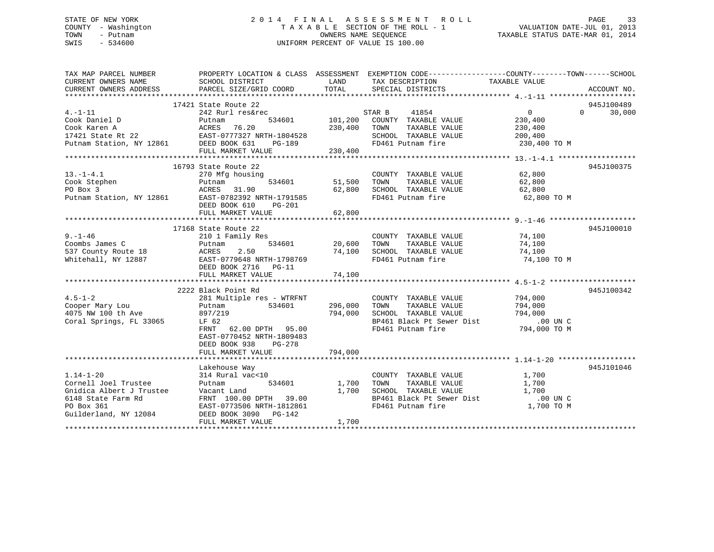### STATE OF NEW YORK 2 0 1 4 F I N A L A S S E S S M E N T R O L L PAGE 33 COUNTY - Washington T A X A B L E SECTION OF THE ROLL - 1 VALUATION DATE-JUL 01, 2013 TOWN - Putnam OWNERS NAME SEQUENCE TAXABLE STATUS DATE-MAR 01, 2014 SWIS - 534600 UNIFORM PERCENT OF VALUE IS 100.00

| TAX MAP PARCEL NUMBER<br>CURRENT OWNERS NAME<br>CURRENT OWNERS ADDRESS                                                                        | PROPERTY LOCATION & CLASS ASSESSMENT EXEMPTION CODE---------------COUNTY-------TOWN-----SCHOOL<br>SCHOOL DISTRICT<br>PARCEL SIZE/GRID COORD                                                    | LAND<br>TOTAL                      | TAX DESCRIPTION TAXABLE VALUE<br>SPECIAL DISTRICTS                                                                                            |                                                                 | ACCOUNT NO.                      |
|-----------------------------------------------------------------------------------------------------------------------------------------------|------------------------------------------------------------------------------------------------------------------------------------------------------------------------------------------------|------------------------------------|-----------------------------------------------------------------------------------------------------------------------------------------------|-----------------------------------------------------------------|----------------------------------|
| $4. -1 - 11$<br>Cook Daniel D<br>Cook Karen A<br>17421 State Rt 22 EAST-0777327 NRTH-1804528<br>Putnam Station, NY 12861 DEED BOOK 631 PG-189 | 17421 State Route 22<br>242 Rurl res&rec<br>Putnam<br>FULL MARKET VALUE                                                                                                                        | 230,400<br>230,400                 | STAR B<br>41854<br>534601 101,200 COUNTY TAXABLE VALUE<br>TOWN<br>TAXABLE VALUE<br>SCHOOL TAXABLE VALUE<br>FD461 Putnam fire                  | $\overline{0}$<br>230,400<br>230,400<br>200,400<br>230,400 TO M | 945J100489<br>30,000<br>$\Omega$ |
| $13.-1-4.1$<br>Cook Stephen<br>Putnam 534601<br>Putnam 534601<br>Putnam Station, NY 12861<br>EAST-0782392 NRTH-1791585                        | 16793 State Route 22<br>270 Mfg housing<br>DEED BOOK 610<br>PG-201                                                                                                                             | COUNT 534601 51,500 TOWN<br>62,800 | COUNTY TAXABLE VALUE<br>TAXABLE VALUE<br>SCHOOL TAXABLE VALUE<br>FD461 Putnam fire                                                            | 62,800<br>62,800<br>62,800<br>62,800 TO M                       | 945J100375                       |
|                                                                                                                                               | FULL MARKET VALUE<br>17168 State Route 22                                                                                                                                                      | 62,800                             |                                                                                                                                               |                                                                 | 945J100010                       |
| $9. - 1 - 46$<br>$\approx$ 18<br>Coombs James C<br>537 County Route 18<br>Whitehall, NY 12887                                                 | 210 1 Family Res<br>Putnam<br>2.50<br>ACRES<br>EAST-0779648 NRTH-1798769<br>DEED BOOK 2716 PG-11<br>FULL MARKET VALUE                                                                          | 534601 20,600<br>74,100            | COUNTY TAXABLE VALUE 74,100<br>TAXABLE VALUE<br>TOWN<br>74,100 SCHOOL TAXABLE VALUE<br>FD461 Putnam fire                                      | 74,100<br>74,100<br>74,100 TO M                                 |                                  |
| $4.5 - 1 - 2$<br>Cooper Mary Lou<br>4075 NW 100 th Ave<br>Coral Springs, FL 33065                                                             | 2222 Black Point Rd<br>281 Multiple res - WTRFNT<br>Putnam<br>534601<br>897/219<br>LF 62<br>FRNT 62.00 DPTH 95.00<br>EAST-0770452 NRTH-1809483<br>DEED BOOK 938<br>PG-278<br>FULL MARKET VALUE | 296,000<br>794,000<br>794,000      | COUNTY TAXABLE VALUE<br>TAXABLE VALUE<br>TOWN<br>SCHOOL TAXABLE VALUE<br>BP461 Black Pt Sewer Dist .00 UN C<br>FD461 Putnam fire 794,000 TO M | 794,000<br>794,000<br>794,000                                   | 945J100342                       |
| $1.14 - 1 - 20$<br>Cornell Joel Trustee<br>Gnidica Albert J Trustee<br>6148 State Farm Rd<br>PO Box 361<br>Guilderland, NY 12084              | Lakehouse Way<br>314 Rural vac<10<br>Putnam<br>534601<br>Vacant Land<br>FRNT 100.00 DPTH 39.00<br>EAST-0773506 NRTH-1812861<br>DEED BOOK 3090 PG-142<br>FULL MARKET VALUE                      | 1,700<br>1,700<br>1,700            | COUNTY TAXABLE VALUE<br>TAXABLE VALUE<br>TOWN<br>SCHOOL TAXABLE VALUE<br>BP461 Black Pt Sewer Dist<br>FD461 Putnam fire                       | 1,700<br>1,700<br>1,700<br>.00 UN C<br>1,700 TO M               | 945J101046                       |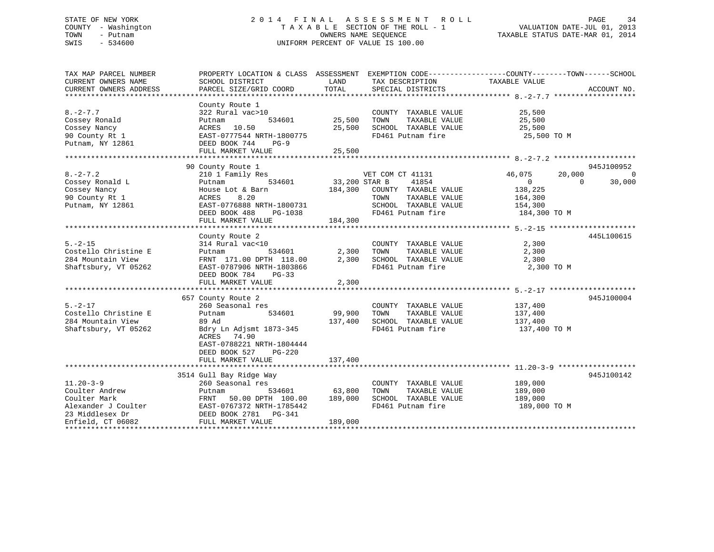### STATE OF NEW YORK 2 0 1 4 F I N A L A S S E S S M E N T R O L L PAGE 34 COUNTY - Washington T A X A B L E SECTION OF THE ROLL - 1 VALUATION DATE-JUL 01, 2013 TOWN - Putnam OWNERS NAME SEQUENCE TAXABLE STATUS DATE-MAR 01, 2014 SWIS - 534600 UNIFORM PERCENT OF VALUE IS 100.00

| TAX MAP PARCEL NUMBER<br>CURRENT OWNERS NAME<br>CURRENT OWNERS ADDRESS                                           | PROPERTY LOCATION & CLASS ASSESSMENT EXEMPTION CODE----------------COUNTY-------TOWN------SCHOOL<br>SCHOOL DISTRICT<br>PARCEL SIZE/GRID COORD                   | LAND<br>TOTAL                   | TAX DESCRIPTION<br>SPECIAL DISTRICTS                                                                                            | TAXABLE VALUE                                                                 | ACCOUNT NO.                          |
|------------------------------------------------------------------------------------------------------------------|-----------------------------------------------------------------------------------------------------------------------------------------------------------------|---------------------------------|---------------------------------------------------------------------------------------------------------------------------------|-------------------------------------------------------------------------------|--------------------------------------|
|                                                                                                                  |                                                                                                                                                                 |                                 |                                                                                                                                 |                                                                               |                                      |
| $8. -2 - 7.7$<br>Cossey Ronald<br>Cossey Nancy<br>90 County Rt 1                                                 | County Route 1<br>322 Rural vac>10<br>534601<br>Putnam<br>ACRES 10.50<br>EAST-0777544 NRTH-1800775                                                              | 25,500<br>25,500                | COUNTY TAXABLE VALUE<br>TOWN<br>TAXABLE VALUE<br>SCHOOL TAXABLE VALUE<br>FD461 Putnam fire                                      | 25,500<br>25,500<br>25,500<br>25,500 TO M                                     |                                      |
| Putnam, NY 12861                                                                                                 | DEED BOOK 744<br>$PG-9$<br>FULL MARKET VALUE                                                                                                                    |                                 |                                                                                                                                 |                                                                               |                                      |
|                                                                                                                  |                                                                                                                                                                 | 25,500                          |                                                                                                                                 |                                                                               |                                      |
|                                                                                                                  | 90 County Route 1                                                                                                                                               |                                 |                                                                                                                                 |                                                                               | 945J100952                           |
| $8. -2 - 7.2$<br>Cossey Ronald L<br>Cossey Nancy<br>90 County Rt 1<br>Putnam, NY 12861                           | 210 1 Family Res<br>Putnam<br>House Lot & Barn<br>8.20<br>ACRES<br>EAST-0776888 NRTH-1800731<br>DEED BOOK 488 PG-1038<br>FULL MARKET VALUE                      | 534601 33,200 STAR B<br>184,300 | VET COM CT 41131<br>41854<br>184,300 COUNTY TAXABLE VALUE<br>TAXABLE VALUE<br>TOWN<br>SCHOOL TAXABLE VALUE<br>FD461 Putnam fire | 46,075<br>20,000<br>$\Omega$<br>138,225<br>164,300<br>154,300<br>184,300 TO M | $\overline{0}$<br>$\Omega$<br>30,000 |
|                                                                                                                  |                                                                                                                                                                 |                                 |                                                                                                                                 |                                                                               |                                      |
| $5. - 2 - 15$<br>Costello Christine E<br>284 Mountain View<br>Shaftsbury, VT 05262                               | County Route 2<br>314 Rural vac<10<br>534601<br>Putnam<br>FRNT 171.00 DPTH 118.00<br>EAST-0787906 NRTH-1803866<br>DEED BOOK 784<br>$PG-33$<br>FULL MARKET VALUE | 2,300<br>2,300<br>2,300         | COUNTY TAXABLE VALUE<br>TOWN<br>TAXABLE VALUE<br>SCHOOL TAXABLE VALUE<br>FD461 Putnam fire                                      | 2,300<br>2,300<br>2,300<br>2,300 TO M                                         | 445L100615                           |
|                                                                                                                  | 657 County Route 2                                                                                                                                              |                                 |                                                                                                                                 |                                                                               | 945J100004                           |
| $5. -2 - 17$<br>Costello Christine E<br>284 Mountain View<br>Shaftsbury, VT 05262                                | 260 Seasonal res<br>Putnam<br>534601<br>89 Ad<br>Bdry Ln Adjsmt 1873-345<br>ACRES<br>74.90<br>EAST-0788221 NRTH-1804444<br>DEED BOOK 527<br>PG-220              | 99,900                          | COUNTY TAXABLE VALUE<br>TOWN<br>TAXABLE VALUE<br>137,400 SCHOOL TAXABLE VALUE<br>FD461 Putnam fire                              | 137,400<br>137,400<br>137,400<br>137,400 TO M                                 |                                      |
|                                                                                                                  | FULL MARKET VALUE                                                                                                                                               | 137,400                         |                                                                                                                                 |                                                                               |                                      |
|                                                                                                                  | 3514 Gull Bay Ridge Way                                                                                                                                         |                                 |                                                                                                                                 |                                                                               | 945J100142                           |
| $11.20 - 3 - 9$<br>Coulter Andrew<br>Coulter Mark<br>Alexander J Coulter<br>23 Middlesex Dr<br>Enfield, CT 06082 | 260 Seasonal res<br>Putnam<br>FRNT 50.00 DPTH 100.00 189,000<br>EAST-0767372 NRTH-1785442<br>DEED BOOK 2781    PG-341<br>FULL MARKET VALUE                      | 534601 63,800<br>189,000        | COUNTY TAXABLE VALUE<br>TOWN<br>TAXABLE VALUE<br>SCHOOL TAXABLE VALUE<br>FD461 Putnam fire                                      | 189,000<br>189,000<br>189,000<br>189,000 TO M                                 |                                      |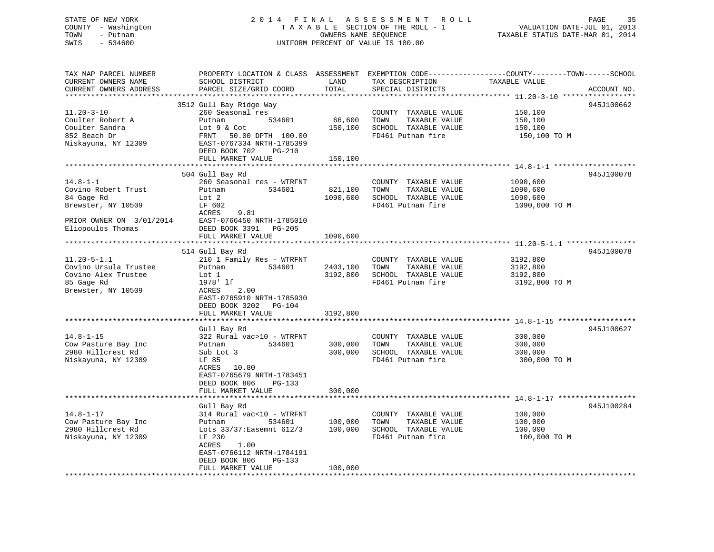# STATE OF NEW YORK 2 0 1 4 F I N A L A S S E S S M E N T R O L L PAGE 35 COUNTY - Washington T A X A B L E SECTION OF THE ROLL - 1 VALUATION DATE-JUL 01, 2013 SWIS - 534600 UNIFORM PERCENT OF VALUE IS 100.00

TOWN - Putnam OWNERS NAME SEQUENCE TAXABLE STATUS DATE-MAR 01, 2014

| TAX MAP PARCEL NUMBER<br>CURRENT OWNERS NAME<br>CURRENT OWNERS ADDRESS                                                     | PROPERTY LOCATION & CLASS ASSESSMENT<br>SCHOOL DISTRICT<br>PARCEL SIZE/GRID COORD                                                                                                                                           | LAND<br>TOTAL                    | TAX DESCRIPTION<br>SPECIAL DISTRICTS                                                                                  | EXEMPTION CODE-----------------COUNTY-------TOWN------SCHOOL<br>TAXABLE VALUE | ACCOUNT NO. |
|----------------------------------------------------------------------------------------------------------------------------|-----------------------------------------------------------------------------------------------------------------------------------------------------------------------------------------------------------------------------|----------------------------------|-----------------------------------------------------------------------------------------------------------------------|-------------------------------------------------------------------------------|-------------|
| $11.20 - 3 - 10$<br>Coulter Robert A<br>Coulter Sandra<br>852 Beach Dr<br>Niskayuna, NY 12309                              | 3512 Gull Bay Ridge Way<br>260 Seasonal res<br>Putnam<br>534601<br>Lot 9 & Cot<br>50.00 DPTH 100.00<br>FRNT<br>EAST-0767334 NRTH-1785399<br>DEED BOOK 702<br>PG-210<br>FULL MARKET VALUE                                    | 66,600<br>150,100<br>150,100     | COUNTY TAXABLE VALUE<br>TOWN<br>TAXABLE VALUE<br>SCHOOL TAXABLE VALUE<br>FD461 Putnam fire                            | 150,100<br>150,100<br>150,100<br>150,100 TO M                                 | 945J100662  |
| $14.8 - 1 - 1$<br>Covino Robert Trust<br>84 Gage Rd<br>Brewster, NY 10509<br>PRIOR OWNER ON 3/01/2014<br>Eliopoulos Thomas | 504 Gull Bay Rd<br>260 Seasonal res - WTRFNT<br>534601<br>Putnam<br>Lot <sub>2</sub><br>LF 602<br>ACRES<br>9.81<br>EAST-0766450 NRTH-1785010<br>DEED BOOK 3391 PG-205<br>FULL MARKET VALUE                                  | 821,100<br>1090,600<br>1090,600  | COUNTY TAXABLE VALUE<br>TAXABLE VALUE<br>TOWN<br>SCHOOL TAXABLE VALUE<br>FD461 Putnam fire                            | 1090,600<br>1090,600<br>1090,600<br>1090,600 TO M                             | 945J100078  |
| $11.20 - 5 - 1.1$<br>Covino Ursula Trustee<br>Covino Alex Trustee<br>85 Gage Rd<br>Brewster, NY 10509                      | 514 Gull Bay Rd<br>210 1 Family Res - WTRFNT<br>534601<br>Putnam<br>Lot 1<br>1978' lf<br>ACRES<br>2.00<br>EAST-0765910 NRTH-1785930<br>DEED BOOK 3202 PG-104<br>FULL MARKET VALUE                                           | 2403,100<br>3192,800<br>3192,800 | COUNTY TAXABLE VALUE<br>TOWN<br>TAXABLE VALUE<br>SCHOOL TAXABLE VALUE<br>FD461 Putnam fire                            | 3192,800<br>3192,800<br>3192,800<br>3192,800 TO M                             | 945J100078  |
| $14.8 - 1 - 15$<br>Cow Pasture Bay Inc<br>2980 Hillcrest Rd<br>Niskayuna, NY 12309                                         | Gull Bay Rd<br>322 Rural vac>10 - WTRFNT<br>534601<br>Putnam<br>Sub Lot 3<br>LF 85<br>10.80<br>ACRES<br>EAST-0765679 NRTH-1783451<br>DEED BOOK 806<br>PG-133<br>FULL MARKET VALUE                                           | 300,000<br>300,000<br>300,000    | COUNTY TAXABLE VALUE<br>TOWN<br>TAXABLE VALUE<br>SCHOOL TAXABLE VALUE<br>FD461 Putnam fire                            | 300,000<br>300,000<br>300,000<br>300,000 TO M                                 | 945J100627  |
| $14.8 - 1 - 17$<br>Cow Pasture Bay Inc<br>2980 Hillcrest Rd<br>Niskayuna, NY 12309                                         | Gull Bay Rd<br>314 Rural vac<10 - WTRFNT<br>534601<br>Putnam<br>Lots 33/37: Easemnt 612/3<br>LF 230<br>1.00<br>ACRES<br>EAST-0766112 NRTH-1784191<br>DEED BOOK 806<br>PG-133<br>FULL MARKET VALUE<br>********************** | 100,000<br>100,000<br>100,000    | COUNTY TAXABLE VALUE<br>TAXABLE VALUE<br>TOWN<br>SCHOOL TAXABLE VALUE<br>FD461 Putnam fire<br>*********************** | 100,000<br>100,000<br>100,000<br>100,000 TO M                                 | 945J100284  |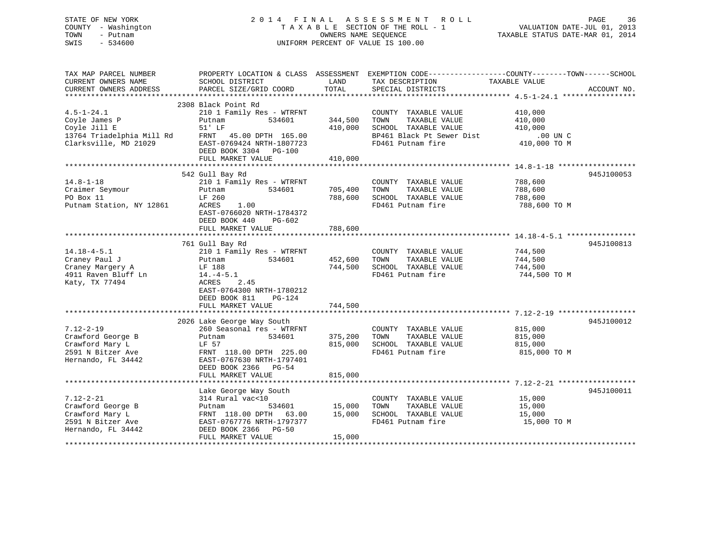### STATE OF NEW YORK 2 0 1 4 F I N A L A S S E S S M E N T R O L L PAGE 36 COUNTY - Washington T A X A B L E SECTION OF THE ROLL - 1 VALUATION DATE-JUL 01, 2013 TOWN - Putnam OWNERS NAME SEQUENCE TAXABLE STATUS DATE-MAR 01, 2014 SWIS - 534600 UNIFORM PERCENT OF VALUE IS 100.00

| TAX MAP PARCEL NUMBER<br>CURRENT OWNERS NAME<br>CURRENT OWNERS ADDRESS                                  | PROPERTY LOCATION & CLASS ASSESSMENT EXEMPTION CODE---------------COUNTY-------TOWN------SCHOOL<br>SCHOOL DISTRICT<br>PARCEL SIZE/GRID COORD                      | LAND<br>TOTAL                 | TAX DESCRIPTION<br>SPECIAL DISTRICTS                                                                                    | TAXABLE VALUE                                                 | ACCOUNT NO. |
|---------------------------------------------------------------------------------------------------------|-------------------------------------------------------------------------------------------------------------------------------------------------------------------|-------------------------------|-------------------------------------------------------------------------------------------------------------------------|---------------------------------------------------------------|-------------|
|                                                                                                         | 2308 Black Point Rd                                                                                                                                               |                               |                                                                                                                         |                                                               |             |
| $4.5 - 1 - 24.1$<br>Coyle James P<br>Coyle Jill E<br>13764 Triadelphia Mill Rd<br>Clarksville, MD 21029 | 210 1 Family Res - WTRFNT<br>534601<br>Putnam<br>51' LF<br>FRNT 45.00 DPTH 165.00<br>EAST-0769424 NRTH-1807723<br>DEED BOOK 3304 PG-100<br>FULL MARKET VALUE      | 344,500<br>410,000<br>410,000 | COUNTY TAXABLE VALUE<br>TOWN<br>TAXABLE VALUE<br>SCHOOL TAXABLE VALUE<br>BP461 Black Pt Sewer Dist<br>FD461 Putnam fire | 410,000<br>410,000<br>410,000<br>$.00$ UN $C$<br>410,000 TO M |             |
|                                                                                                         | 542 Gull Bay Rd                                                                                                                                                   |                               |                                                                                                                         |                                                               | 945J100053  |
| $14.8 - 1 - 18$<br>Craimer Seymour<br>PO Box 11<br>Putnam Station, NY 12861                             | 210 1 Family Res - WTRFNT<br>534601<br>Putnam<br>LF 260<br>1.00<br>ACRES<br>EAST-0766020 NRTH-1784372<br>DEED BOOK 440<br>PG-602                                  | 705,400<br>788,600            | COUNTY TAXABLE VALUE<br>TOWN<br>TAXABLE VALUE<br>SCHOOL TAXABLE VALUE<br>FD461 Putnam fire                              | 788,600<br>788,600<br>788,600<br>788,600 TO M                 |             |
|                                                                                                         | FULL MARKET VALUE                                                                                                                                                 | 788,600                       |                                                                                                                         |                                                               |             |
|                                                                                                         | 761 Gull Bay Rd                                                                                                                                                   |                               |                                                                                                                         |                                                               | 945J100813  |
| $14.18 - 4 - 5.1$<br>Craney Paul J<br>Craney Margery A<br>4911 Raven Bluff Ln<br>Katy, TX 77494         | 210 1 Family Res - WTRFNT<br>534601<br>Putnam<br>LF 188<br>$14.-4-5.1$<br>2.45<br>ACRES<br>EAST-0764300 NRTH-1780212<br>$PG-124$<br>DEED BOOK 811                 | 452,600<br>744,500            | COUNTY TAXABLE VALUE<br>TOWN<br>TAXABLE VALUE<br>SCHOOL TAXABLE VALUE<br>FD461 Putnam fire                              | 744,500<br>744,500<br>744,500<br>744,500 TO M                 |             |
|                                                                                                         | FULL MARKET VALUE                                                                                                                                                 | 744,500                       |                                                                                                                         |                                                               |             |
| $7.12 - 2 - 19$                                                                                         | 2026 Lake George Way South<br>260 Seasonal res - WTRFNT                                                                                                           |                               | COUNTY TAXABLE VALUE                                                                                                    | 815,000                                                       | 945J100012  |
| Crawford George B<br>Crawford Mary L<br>2591 N Bitzer Ave<br>Hernando, FL 34442                         | Putnam<br>534601<br>LF 57<br>FRNT 118.00 DPTH 225.00<br>EAST-0767630 NRTH-1797401<br>DEED BOOK 2366 PG-54<br>FULL MARKET VALUE                                    | 375,200<br>815,000<br>815,000 | TAXABLE VALUE<br>TOWN<br>SCHOOL TAXABLE VALUE<br>FD461 Putnam fire                                                      | 815,000<br>815,000<br>815,000 TO M                            |             |
|                                                                                                         |                                                                                                                                                                   |                               |                                                                                                                         |                                                               |             |
| $7.12 - 2 - 21$<br>Crawford George B<br>Crawford Mary L<br>2591 N Bitzer Ave<br>Hernando, FL 34442      | Lake George Way South<br>314 Rural vac<10<br>Putnam<br>534601<br>FRNT 118.00 DPTH 63.00<br>EAST-0767776 NRTH-1797377<br>DEED BOOK 2366 PG-50<br>FULL MARKET VALUE | 15,000<br>15,000<br>15,000    | COUNTY TAXABLE VALUE<br>TOWN<br>TAXABLE VALUE<br>SCHOOL TAXABLE VALUE<br>FD461 Putnam fire                              | 15,000<br>15,000<br>15,000<br>15,000 TO M                     | 945J100011  |
|                                                                                                         |                                                                                                                                                                   |                               |                                                                                                                         |                                                               |             |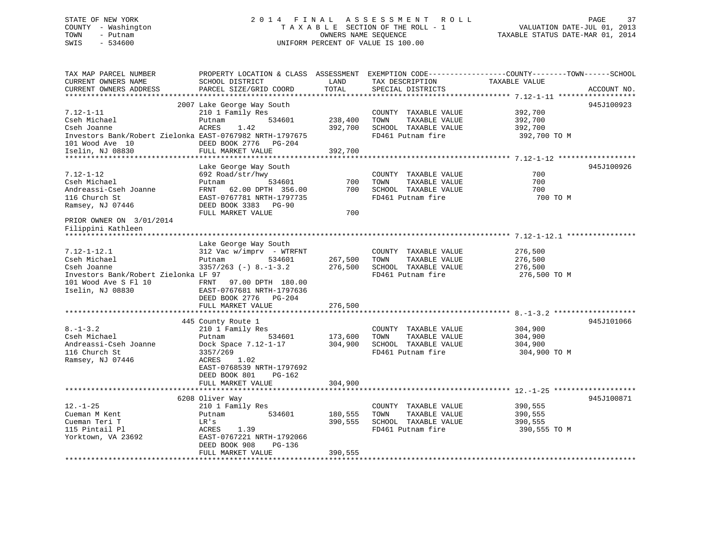## STATE OF NEW YORK 2 0 1 4 F I N A L A S S E S S M E N T R O L L PAGE 37 COUNTY - Washington T A X A B L E SECTION OF THE ROLL - 1 VALUATION DATE-JUL 01, 2013 TOWN - Putnam OWNERS NAME SEQUENCE TAXABLE STATUS DATE-MAR 01, 2014 SWIS - 534600 UNIFORM PERCENT OF VALUE IS 100.00

| TAX MAP PARCEL NUMBER<br>CURRENT OWNERS NAME<br>CURRENT OWNERS ADDRESS                          | SCHOOL DISTRICT<br>PARCEL SIZE/GRID COORD                                                                     | LAND<br>TOTAL      | TAX DESCRIPTION<br>SPECIAL DISTRICTS                                                       | PROPERTY LOCATION & CLASS ASSESSMENT EXEMPTION CODE----------------COUNTY-------TOWN------SCHOOL<br>TAXABLE VALUE<br>ACCOUNT NO. |
|-------------------------------------------------------------------------------------------------|---------------------------------------------------------------------------------------------------------------|--------------------|--------------------------------------------------------------------------------------------|----------------------------------------------------------------------------------------------------------------------------------|
|                                                                                                 | *********************                                                                                         |                    |                                                                                            |                                                                                                                                  |
|                                                                                                 | 2007 Lake George Way South                                                                                    |                    |                                                                                            | 945J100923                                                                                                                       |
| $7.12 - 1 - 11$<br>Cseh Michael<br>Cseh Joanne                                                  | 210 1 Family Res<br>Putnam<br>534601<br>ACRES<br>1.42                                                         | 238,400<br>392,700 | COUNTY TAXABLE VALUE<br>TOWN<br>TAXABLE VALUE<br>SCHOOL TAXABLE VALUE                      | 392,700<br>392,700<br>392,700                                                                                                    |
| Investors Bank/Robert Zielonka EAST-0767982 NRTH-1797675<br>101 Wood Ave 10<br>Iselin, NJ 08830 | DEED BOOK 2776<br>PG-204<br>FULL MARKET VALUE                                                                 | 392,700            | FD461 Putnam fire                                                                          | 392,700 TO M                                                                                                                     |
|                                                                                                 |                                                                                                               |                    |                                                                                            |                                                                                                                                  |
| $7.12 - 1 - 12$<br>Cseh Michael<br>Andreassi-Cseh Joanne                                        | Lake George Way South<br>692 Road/str/hwy<br>534601<br>Putnam<br>FRNT<br>62.00 DPTH 356.00                    | 700<br>700         | COUNTY TAXABLE VALUE<br>TOWN<br>TAXABLE VALUE<br>SCHOOL TAXABLE VALUE                      | 945J100926<br>700<br>700<br>700                                                                                                  |
| 116 Church St<br>Ramsey, NJ 07446                                                               | EAST-0767781 NRTH-1797735<br>DEED BOOK 3383 PG-90<br>FULL MARKET VALUE                                        | 700                | FD461 Putnam fire                                                                          | 700 TO M                                                                                                                         |
| PRIOR OWNER ON 3/01/2014<br>Filippini Kathleen                                                  |                                                                                                               |                    |                                                                                            |                                                                                                                                  |
|                                                                                                 | Lake George Way South                                                                                         |                    |                                                                                            |                                                                                                                                  |
| $7.12 - 1 - 12.1$<br>Cseh Michael<br>Cseh Joanne                                                | $312$ Vac w/imprv - WTRFNT<br>Putnam<br>534601<br>$3357/263 (-) 8. -1-3.2$                                    | 267,500<br>276,500 | COUNTY TAXABLE VALUE<br>TAXABLE VALUE<br>TOWN<br>SCHOOL TAXABLE VALUE                      | 276,500<br>276,500<br>276,500                                                                                                    |
| Investors Bank/Robert Zielonka LF 97<br>101 Wood Ave S Fl 10<br>Iselin, NJ 08830                | 97.00 DPTH 180.00<br>FRNT<br>EAST-0767681 NRTH-1797636<br>DEED BOOK 2776 PG-204<br>FULL MARKET VALUE          | 276,500            | FD461 Putnam fire                                                                          | 276,500 TO M                                                                                                                     |
|                                                                                                 |                                                                                                               |                    |                                                                                            |                                                                                                                                  |
| $8. - 1 - 3.2$<br>Cseh Michael<br>Andreassi-Cseh Joanne<br>116 Church St                        | 445 County Route 1<br>210 1 Family Res<br>534601<br>Putnam<br>Dock Space 7.12-1-17<br>3357/269                | 173,600<br>304,900 | COUNTY TAXABLE VALUE<br>TOWN<br>TAXABLE VALUE<br>SCHOOL TAXABLE VALUE<br>FD461 Putnam fire | 945J101066<br>304,900<br>304,900<br>304,900<br>304,900 TO M                                                                      |
| Ramsey, NJ 07446                                                                                | <b>ACRES</b><br>1.02<br>EAST-0768539 NRTH-1797692<br>DEED BOOK 801<br>PG-162<br>FULL MARKET VALUE             | 304,900            |                                                                                            |                                                                                                                                  |
|                                                                                                 |                                                                                                               |                    |                                                                                            |                                                                                                                                  |
| $12. - 1 - 25$<br>Cueman M Kent<br>Cueman Teri T<br>115 Pintail Pl<br>Yorktown, VA 23692        | 6208 Oliver Way<br>210 1 Family Res<br>534601<br>Putnam<br>LR's<br>ACRES<br>1.39<br>EAST-0767221 NRTH-1792066 | 180,555<br>390,555 | COUNTY TAXABLE VALUE<br>TOWN<br>TAXABLE VALUE<br>SCHOOL TAXABLE VALUE<br>FD461 Putnam fire | 945J100871<br>390,555<br>390,555<br>390,555<br>390,555 TO M                                                                      |
|                                                                                                 | DEED BOOK 908<br>$PG-136$<br>FULL MARKET VALUE                                                                | 390,555            |                                                                                            |                                                                                                                                  |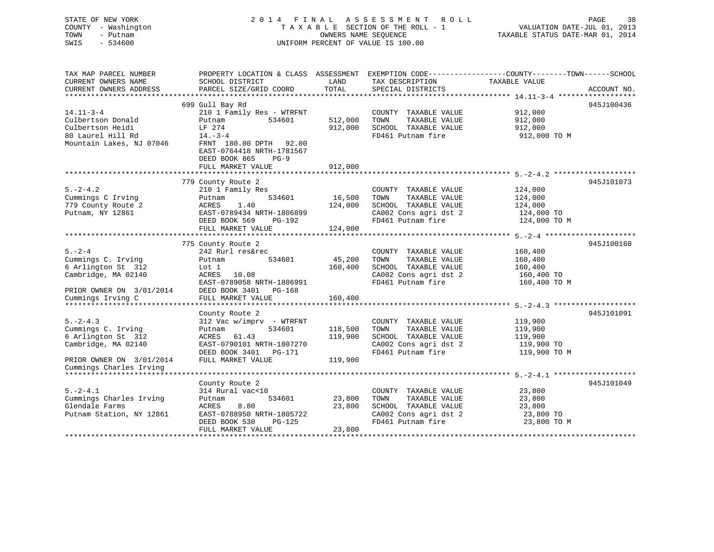| STATE OF NEW YORK<br>COUNTY - Washington<br>TOWN<br>- Putnam<br>SWIS<br>$-534600$ |                                                                                | OWNERS NAME SEOUENCE            | 2014 FINAL ASSESSMENT<br>ROLL<br>TAXABLE SECTION OF THE ROLL - 1<br>UNIFORM PERCENT OF VALUE IS 100.00 | PAGE<br>38<br>VALUATION DATE-JUL 01, 2013<br>TAXABLE STATUS DATE-MAR 01, 2014                    |
|-----------------------------------------------------------------------------------|--------------------------------------------------------------------------------|---------------------------------|--------------------------------------------------------------------------------------------------------|--------------------------------------------------------------------------------------------------|
| TAX MAP PARCEL NUMBER                                                             |                                                                                |                                 |                                                                                                        | PROPERTY LOCATION & CLASS ASSESSMENT EXEMPTION CODE----------------COUNTY-------TOWN------SCHOOL |
| CURRENT OWNERS NAME                                                               | SCHOOL DISTRICT                                                                | LAND                            | TAX DESCRIPTION                                                                                        | TAXABLE VALUE                                                                                    |
| CURRENT OWNERS ADDRESS<br>***********************                                 | PARCEL SIZE/GRID COORD                                                         | TOTAL                           | SPECIAL DISTRICTS                                                                                      | ACCOUNT NO.                                                                                      |
|                                                                                   | 699 Gull Bay Rd                                                                |                                 |                                                                                                        | 945J100436                                                                                       |
| $14.11 - 3 - 4$                                                                   | 210 1 Family Res - WTRFNT                                                      |                                 | COUNTY TAXABLE VALUE                                                                                   | 912,000                                                                                          |
| Culbertson Donald                                                                 | Putnam<br>534601                                                               | 512,000                         | TOWN<br>TAXABLE VALUE                                                                                  | 912,000                                                                                          |
| Culbertson Heidi                                                                  | LF 274                                                                         | 912,000                         | SCHOOL TAXABLE VALUE                                                                                   | 912,000                                                                                          |
| 80 Laurel Hill Rd                                                                 | $14. - 3 - 4$                                                                  |                                 | FD461 Putnam fire                                                                                      | 912,000 TO M                                                                                     |
| Mountain Lakes, NJ 07046                                                          | FRNT 180.00 DPTH 92.00<br>EAST-0764418 NRTH-1781567<br>DEED BOOK 865<br>$PG-9$ |                                 |                                                                                                        |                                                                                                  |
|                                                                                   | FULL MARKET VALUE                                                              | 912,000                         |                                                                                                        |                                                                                                  |
|                                                                                   |                                                                                |                                 |                                                                                                        |                                                                                                  |
|                                                                                   | 779 County Route 2                                                             |                                 |                                                                                                        | 945J101073                                                                                       |
| $5. -2 - 4.2$                                                                     | 210 1 Family Res                                                               |                                 | COUNTY TAXABLE VALUE                                                                                   | 124,000                                                                                          |
| Cummings C Irving                                                                 | 534601<br>Putnam                                                               | 16,500                          | TOWN<br>TAXABLE VALUE                                                                                  | 124,000                                                                                          |
| 779 County Route 2                                                                | ACRES<br>1.40                                                                  | 124,000                         | SCHOOL TAXABLE VALUE                                                                                   | 124,000                                                                                          |
| Putnam, NY 12861                                                                  | EAST-0789434 NRTH-1806899                                                      |                                 | CA002 Cons agri dst 2                                                                                  | 124,000 TO                                                                                       |
|                                                                                   | DEED BOOK 569<br>PG-192                                                        |                                 | FD461 Putnam fire                                                                                      | 124,000 TO M                                                                                     |
|                                                                                   | FULL MARKET VALUE                                                              | 124,000                         |                                                                                                        |                                                                                                  |
|                                                                                   | 775 County Route 2                                                             |                                 |                                                                                                        | 945J100160                                                                                       |
| $5 - 2 - 4$                                                                       | 242 Rurl res&rec                                                               |                                 | COUNTY TAXABLE VALUE                                                                                   | 160,400                                                                                          |
| Cummings C. Irving                                                                | 534601<br>Putnam                                                               | 45,200                          | TOWN<br>TAXABLE VALUE                                                                                  | 160,400                                                                                          |
| 6 Arlington St 312                                                                | Lot 1                                                                          | 160,400                         | SCHOOL TAXABLE VALUE                                                                                   | 160,400                                                                                          |
| Cambridge, MA 02140                                                               | ACRES<br>10.08                                                                 |                                 | CA002 Cons agri dst 2                                                                                  | 160,400 TO                                                                                       |
|                                                                                   | EAST-0789058 NRTH-1806991                                                      |                                 | FD461 Putnam fire                                                                                      | 160,400 TO M                                                                                     |
| PRIOR OWNER ON 3/01/2014                                                          | DEED BOOK 3401 PG-168                                                          |                                 |                                                                                                        |                                                                                                  |
| Cummings Irving C                                                                 | FULL MARKET VALUE                                                              | 160,400                         |                                                                                                        |                                                                                                  |
| **********************                                                            |                                                                                |                                 |                                                                                                        |                                                                                                  |
|                                                                                   | County Route 2                                                                 |                                 |                                                                                                        | 945J101091                                                                                       |
| $5. -2 - 4.3$                                                                     | 312 Vac w/imprv - WTRFNT                                                       |                                 | COUNTY TAXABLE VALUE                                                                                   | 119,900                                                                                          |
| Cummings C. Irving                                                                | 534601<br>Putnam                                                               | 118,500                         | TOWN<br>TAXABLE VALUE                                                                                  | 119,900                                                                                          |
| 6 Arlington St 312                                                                | ACRES<br>61.43                                                                 | 119,900                         | SCHOOL TAXABLE VALUE                                                                                   | 119,900                                                                                          |
| Cambridge, MA 02140                                                               | EAST-0790101 NRTH-1807270<br>DEED BOOK 3401 PG-171                             |                                 | CA002 Cons agri dst 2<br>FD461 Putnam fire                                                             | 119,900 TO<br>119,900 TO M                                                                       |
|                                                                                   | FULL MARKET VALUE                                                              | 119,900                         |                                                                                                        |                                                                                                  |
| PRIOR OWNER ON 3/01/2014<br>Cummings Charles Irving                               |                                                                                |                                 |                                                                                                        |                                                                                                  |
|                                                                                   |                                                                                |                                 |                                                                                                        |                                                                                                  |
|                                                                                   | County Route 2                                                                 |                                 |                                                                                                        | 945J101049                                                                                       |
| $5. -2 - 4.1$                                                                     | 314 Rural vac<10                                                               |                                 | COUNTY TAXABLE VALUE                                                                                   | 23,800                                                                                           |
| Cummings Charles Irving                                                           | 534601<br>Putnam                                                               | 23,800                          | TOWN<br>TAXABLE VALUE                                                                                  | 23,800                                                                                           |
| Glendale Farms                                                                    | ACRES<br>8.80                                                                  | 23,800                          | SCHOOL TAXABLE VALUE                                                                                   | 23,800                                                                                           |
| Putnam Station, NY 12861                                                          | EAST-0788950 NRTH-1805722                                                      |                                 | CA002 Cons agri dst 2                                                                                  | 23,800 TO                                                                                        |
|                                                                                   | DEED BOOK 530<br>PG-125                                                        |                                 | FD461 Putnam fire                                                                                      | 23,800 TO M                                                                                      |
|                                                                                   | FULL MARKET VALUE                                                              | 23,800                          |                                                                                                        |                                                                                                  |
|                                                                                   |                                                                                | + + + + + + + + + + + + + + + + |                                                                                                        |                                                                                                  |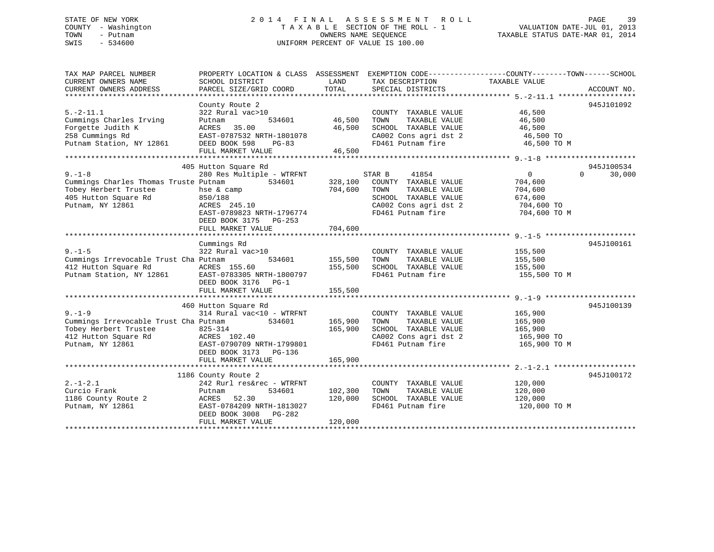## STATE OF NEW YORK 2 0 1 4 F I N A L A S S E S S M E N T R O L L PAGE 39 COUNTY - Washington T A X A B L E SECTION OF THE ROLL - 1 VALUATION DATE-JUL 01, 2013 TOWN - Putnam OWNERS NAME SEQUENCE TAXABLE STATUS DATE-MAR 01, 2014 SWIS - 534600 UNIFORM PERCENT OF VALUE IS 100.00

| TAX MAP PARCEL NUMBER<br>CURRENT OWNERS NAME       | PROPERTY LOCATION & CLASS ASSESSMENT<br>SCHOOL DISTRICT | LAND    | TAX DESCRIPTION                            | EXEMPTION CODE-----------------COUNTY-------TOWN------SCHOOL<br>TAXABLE VALUE |
|----------------------------------------------------|---------------------------------------------------------|---------|--------------------------------------------|-------------------------------------------------------------------------------|
| CURRENT OWNERS ADDRESS                             | PARCEL SIZE/GRID COORD                                  | TOTAL   | SPECIAL DISTRICTS                          | ACCOUNT NO.                                                                   |
|                                                    |                                                         |         |                                            |                                                                               |
| $5. -2 - 11.1$                                     | County Route 2<br>322 Rural vac>10                      |         | COUNTY TAXABLE VALUE                       | 945J101092<br>46,500                                                          |
| Cummings Charles Irving                            | Putnam<br>534601                                        | 46,500  | TAXABLE VALUE<br>TOWN                      | 46,500                                                                        |
| Forgette Judith K                                  | ACRES<br>35.00                                          | 46,500  | SCHOOL TAXABLE VALUE                       | 46,500                                                                        |
| 258 Cummings Rd                                    | EAST-0787532 NRTH-1801078                               |         |                                            | 46,500 TO                                                                     |
| Putnam Station, NY 12861                           |                                                         |         | CA002 Cons agri dst 2<br>FD461 Putnam fire | 46,500 TO M                                                                   |
|                                                    | DEED BOOK 598<br>PG-83<br>FULL MARKET VALUE             | 46,500  |                                            |                                                                               |
|                                                    |                                                         |         |                                            |                                                                               |
|                                                    | 405 Hutton Square Rd                                    |         |                                            | 945J100534                                                                    |
| $9 - 1 - 8$                                        | 280 Res Multiple - WTRFNT                               |         | STAR B<br>41854                            | $\overline{0}$<br>$\Omega$<br>30,000                                          |
| Cummings Charles Thomas Truste Putnam              | 534601                                                  | 328,100 | COUNTY TAXABLE VALUE                       | 704,600                                                                       |
| Tobey Herbert Trustee                              | hse & camp                                              | 704,600 | TAXABLE VALUE<br>TOWN                      | 704,600                                                                       |
| 405 Hutton Square Rd                               | 850/188                                                 |         | SCHOOL TAXABLE VALUE                       | 674,600                                                                       |
| Putnam, NY 12861                                   | ACRES 245.10                                            |         | CA002 Cons agri dst 2                      | 704,600 TO                                                                    |
|                                                    | EAST-0789823 NRTH-1796774                               |         | FD461 Putnam fire                          | 704,600 TO M                                                                  |
|                                                    | DEED BOOK 3175 PG-253                                   |         |                                            |                                                                               |
|                                                    | FULL MARKET VALUE                                       | 704,600 |                                            |                                                                               |
|                                                    |                                                         |         |                                            |                                                                               |
|                                                    | Cummings Rd                                             |         |                                            | 945J100161                                                                    |
| $9. - 1 - 5$                                       | 322 Rural vac>10                                        |         | COUNTY TAXABLE VALUE                       | 155,500                                                                       |
| Cummings Irrevocable Trust Cha Putnam              | 534601                                                  | 155,500 | TOWN<br>TAXABLE VALUE                      | 155,500                                                                       |
| 412 Hutton Square Rd                               | ACRES 155.60                                            | 155,500 | SCHOOL TAXABLE VALUE                       | 155,500                                                                       |
| Putnam Station, NY 12861 EAST-0783305 NRTH-1800797 |                                                         |         | FD461 Putnam fire                          | 155,500 TO M                                                                  |
|                                                    | DEED BOOK 3176 PG-1                                     |         |                                            |                                                                               |
|                                                    | FULL MARKET VALUE                                       | 155,500 |                                            |                                                                               |
|                                                    |                                                         |         |                                            |                                                                               |
|                                                    | 460 Hutton Square Rd                                    |         |                                            | 945J100139                                                                    |
| $9. - 1 - 9$                                       | 314 Rural vac<10 - WTRFNT                               |         | COUNTY TAXABLE VALUE                       | 165,900                                                                       |
| Cummings Irrevocable Trust Cha Putnam              | 534601                                                  | 165,900 | TAXABLE VALUE<br>TOWN                      | 165,900                                                                       |
| Tobey Herbert Trustee                              | 825-314                                                 | 165,900 | SCHOOL TAXABLE VALUE                       | 165,900                                                                       |
| 412 Hutton Square Rd                               | ACRES 102.40                                            |         | CA002 Cons agri dst 2                      | 165,900 TO                                                                    |
| Putnam, NY 12861                                   | EAST-0790709 NRTH-1799801                               |         | FD461 Putnam fire                          | 165,900 TO M                                                                  |
|                                                    | DEED BOOK 3173<br>PG-136                                |         |                                            |                                                                               |
|                                                    | FULL MARKET VALUE                                       | 165,900 |                                            |                                                                               |
|                                                    |                                                         |         |                                            |                                                                               |
|                                                    | 1186 County Route 2                                     |         |                                            | 945J100172                                                                    |
| $2. - 1 - 2.1$                                     | 242 Rurl res&rec - WTRFNT                               |         | COUNTY TAXABLE VALUE                       | 120,000                                                                       |
| Curcio Frank                                       | 534601<br>Putnam                                        | 102,300 | TOWN<br>TAXABLE VALUE                      | 120,000                                                                       |
| 1186 County Route 2                                | ACRES<br>52.30                                          | 120,000 | SCHOOL TAXABLE VALUE                       | 120,000                                                                       |
| Putnam, NY 12861                                   | EAST-0784209 NRTH-1813027                               |         | FD461 Putnam fire                          | 120,000 TO M                                                                  |
|                                                    | DEED BOOK 3008 PG-282                                   |         |                                            |                                                                               |
|                                                    | FULL MARKET VALUE                                       | 120,000 |                                            |                                                                               |
|                                                    |                                                         |         |                                            |                                                                               |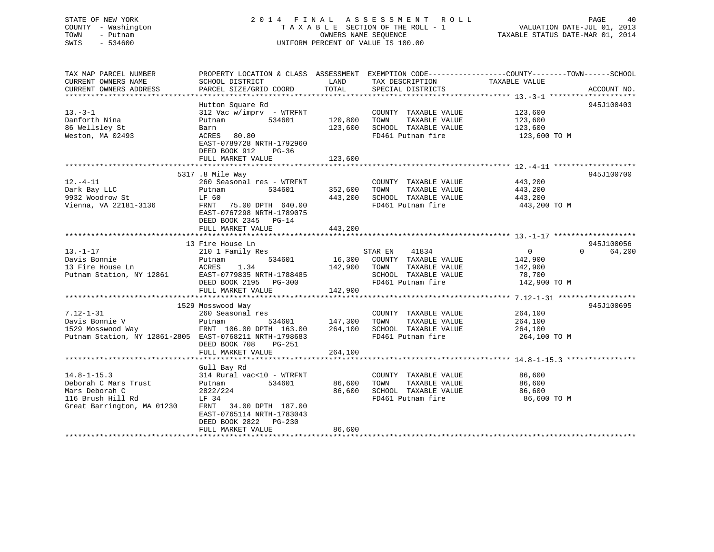## STATE OF NEW YORK 2 0 1 4 F I N A L A S S E S S M E N T R O L L PAGE 40 COUNTY - Washington T A X A B L E SECTION OF THE ROLL - 1 VALUATION DATE-JUL 01, 2013 TOWN - Putnam OWNERS NAME SEQUENCE TAXABLE STATUS DATE-MAR 01, 2014 SWIS - 534600 UNIFORM PERCENT OF VALUE IS 100.00UNIFORM PERCENT OF VALUE IS 100.00

| TAX MAP PARCEL NUMBER                                   | PROPERTY LOCATION & CLASS ASSESSMENT EXEMPTION CODE----------------COUNTY-------TOWN------SCHOOL |              |                                              |                       |                    |
|---------------------------------------------------------|--------------------------------------------------------------------------------------------------|--------------|----------------------------------------------|-----------------------|--------------------|
| CURRENT OWNERS NAME                                     | SCHOOL DISTRICT                                                                                  | LAND         | TAX DESCRIPTION                              | TAXABLE VALUE         |                    |
| CURRENT OWNERS ADDRESS                                  | PARCEL SIZE/GRID COORD                                                                           | TOTAL        | SPECIAL DISTRICTS                            |                       | ACCOUNT NO.        |
|                                                         |                                                                                                  |              |                                              |                       |                    |
|                                                         | Hutton Square Rd                                                                                 |              |                                              |                       | 945J100403         |
| $13 - 3 - 1$                                            | 312 Vac w/imprv - WTRFNT                                                                         |              | COUNTY TAXABLE VALUE                         | 123,600               |                    |
| Danforth Nina                                           | Putnam 534601                                                                                    | 120,800 TOWN | TAXABLE VALUE                                | 123,600               |                    |
| 86 Wellsley St                                          | Barn                                                                                             | 123,600      | SCHOOL TAXABLE VALUE                         | 123,600               |                    |
| Weston, MA 02493                                        | ACRES 80.80                                                                                      |              | FD461 Putnam fire                            | 123,600 TO M          |                    |
|                                                         | EAST-0789728 NRTH-1792960                                                                        |              |                                              |                       |                    |
|                                                         | DEED BOOK 912<br>PG-36                                                                           |              |                                              |                       |                    |
|                                                         | FULL MARKET VALUE                                                                                | 123,600      |                                              |                       |                    |
|                                                         |                                                                                                  |              |                                              |                       |                    |
|                                                         |                                                                                                  |              |                                              |                       |                    |
|                                                         | 5317 .8 Mile Way                                                                                 |              |                                              |                       | 945J100700         |
| $12.-4-11$                                              | 260 Seasonal res - WTRFNT                                                                        |              | COUNTY TAXABLE VALUE                         | 443,200               |                    |
| Dark Bay LLC                                            | 534601 352,600 TOWN<br>Putnam                                                                    |              | TAXABLE VALUE                                | 443,200               |                    |
| $9932$ Woodrow St                                       | LF 60                                                                                            | 443,200      | SCHOOL TAXABLE VALUE 443,200                 |                       |                    |
| Vienna, VA 22181-3136                                   | FRNT 75.00 DPTH 640.00                                                                           |              | FD461 Putnam fire                            | 443,200 TO M          |                    |
|                                                         | EAST-0767298 NRTH-1789075                                                                        |              |                                              |                       |                    |
|                                                         | DEED BOOK 2345 PG-14                                                                             |              |                                              |                       |                    |
|                                                         | FULL MARKET VALUE                                                                                | 443,200      |                                              |                       |                    |
|                                                         |                                                                                                  |              |                                              |                       |                    |
|                                                         | 13 Fire House Ln                                                                                 |              |                                              |                       | 945J100056         |
| $13. - 1 - 17$                                          | 210 1 Family Res                                                                                 |              |                                              | $0 \qquad \qquad$     | $\Omega$<br>64,200 |
| Davis Bonnie                                            | 534601<br>Putnam                                                                                 |              | STAR EN 41834<br>16,300 COUNTY TAXABLE VALUE | 142,900               |                    |
|                                                         | 1.34                                                                                             | 142,900 TOWN | TAXABLE VALUE                                | 142,900               |                    |
| 13 Fire House Ln<br>Putnam Station, NY 12861 EAST-0'    | EAST-0779835 NRTH-1788485                                                                        |              | SCHOOL TAXABLE VALUE                         | 78,700                |                    |
|                                                         | DEED BOOK 2195 PG-300                                                                            |              | FD461 Putnam fire                            | 142,900 TO M          |                    |
|                                                         | FULL MARKET VALUE                                                                                | 142,900      |                                              |                       |                    |
|                                                         |                                                                                                  |              |                                              |                       |                    |
|                                                         |                                                                                                  |              |                                              |                       |                    |
|                                                         | 1529 Mosswood Way                                                                                |              |                                              |                       | 945J100695         |
| $7.12 - 1 - 31$                                         | 260 Seasonal res                                                                                 |              | COUNTY TAXABLE VALUE 264,100                 |                       |                    |
|                                                         |                                                                                                  |              |                                              | TAXABLE VALUE 264,100 |                    |
|                                                         |                                                                                                  |              |                                              | 264,100               |                    |
| Putnam Station, NY 12861-2805 EAST-0768211 NRTH-1798683 |                                                                                                  |              | FD461 Putnam fire                            | 264,100 TO M          |                    |
|                                                         | DEED BOOK 708 PG-251                                                                             |              |                                              |                       |                    |
|                                                         | FULL MARKET VALUE                                                                                | 264,100      |                                              |                       |                    |
|                                                         |                                                                                                  |              |                                              |                       |                    |
|                                                         | Gull Bay Rd                                                                                      |              |                                              |                       |                    |
| $14.8 - 1 - 15.3$                                       | 314 Rural vac<10 - WTRFNT                                                                        |              | COUNTY TAXABLE VALUE                         |                       |                    |
| Deborah C Mars Trust                                    | Putnam<br>534601                                                                                 | 86,600 TOWN  | TAXABLE VALUE                                | 86,600                |                    |
| Mars Deborah C                                          | 2822/224                                                                                         | 86,600       | SCHOOL TAXABLE VALUE                         | 86,600                |                    |
| 116 Brush Hill Rd                                       | LF 34                                                                                            |              | FD461 Putnam fire                            | 86,600 TO M           |                    |
| Great Barrington, MA 01230                              | FRNT 34.00 DPTH 187.00                                                                           |              |                                              |                       |                    |
|                                                         | EAST-0765114 NRTH-1783043                                                                        |              |                                              |                       |                    |
|                                                         | DEED BOOK 2822 PG-230                                                                            |              |                                              |                       |                    |
|                                                         |                                                                                                  |              |                                              |                       |                    |
|                                                         | FULL MARKET VALUE                                                                                | 86,600       |                                              |                       |                    |
|                                                         |                                                                                                  |              |                                              |                       |                    |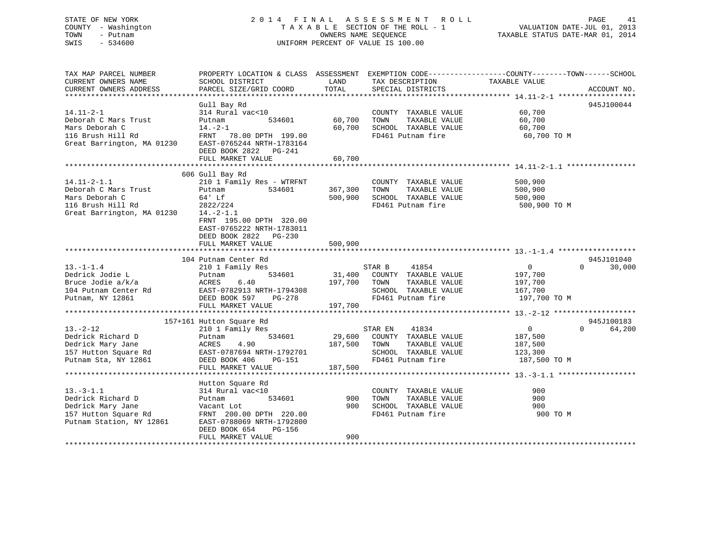## STATE OF NEW YORK 2 0 1 4 F I N A L A S S E S S M E N T R O L L PAGE 41 COUNTY - Washington T A X A B L E SECTION OF THE ROLL - 1 VALUATION DATE-JUL 01, 2013 TOWN - Putnam OWNERS NAME SEQUENCE TAXABLE STATUS DATE-MAR 01, 2014 SWIS - 534600 UNIFORM PERCENT OF VALUE IS 100.00

| TAX MAP PARCEL NUMBER                        |                                                                                                                                                                                                                                      |              |                             | PROPERTY LOCATION & CLASS ASSESSMENT EXEMPTION CODE---------------COUNTY-------TOWN-----SCHOOL |             |
|----------------------------------------------|--------------------------------------------------------------------------------------------------------------------------------------------------------------------------------------------------------------------------------------|--------------|-----------------------------|------------------------------------------------------------------------------------------------|-------------|
| CURRENT OWNERS NAME                          | SCHOOL DISTRICT                                                                                                                                                                                                                      | LAND         | TAX DESCRIPTION             | TAXABLE VALUE                                                                                  |             |
| CURRENT OWNERS ADDRESS                       | PARCEL SIZE/GRID COORD                                                                                                                                                                                                               | TOTAL        | SPECIAL DISTRICTS           |                                                                                                | ACCOUNT NO. |
|                                              |                                                                                                                                                                                                                                      |              |                             |                                                                                                |             |
|                                              | Gull Bay Rd                                                                                                                                                                                                                          |              |                             |                                                                                                | 945J100044  |
| $14.11 - 2 - 1$                              | 314 Rural vac<10                                                                                                                                                                                                                     |              | COUNTY TAXABLE VALUE 60,700 |                                                                                                |             |
| Deborah C Mars Trust                         | 534601<br>Putnam                                                                                                                                                                                                                     | 60,700       | TOWN<br>TAXABLE VALUE       | 60,700                                                                                         |             |
| Mars Deborah C                               | $14. -2 - 1$                                                                                                                                                                                                                         | 60,700       | SCHOOL TAXABLE VALUE        | 60,700                                                                                         |             |
| 116 Brush Hill Rd                            | FRNT 78.00 DPTH 199.00<br>Great Barrington, MA 01230 EAST-0765244 NRTH-1783164                                                                                                                                                       |              | FD461 Putnam fire           | 60,700 TO M                                                                                    |             |
|                                              |                                                                                                                                                                                                                                      |              |                             |                                                                                                |             |
|                                              | DEED BOOK 2822    PG-241                                                                                                                                                                                                             |              |                             |                                                                                                |             |
|                                              | FULL MARKET VALUE                                                                                                                                                                                                                    | 60,700       |                             |                                                                                                |             |
|                                              |                                                                                                                                                                                                                                      |              |                             |                                                                                                |             |
|                                              | 606 Gull Bay Rd                                                                                                                                                                                                                      |              |                             |                                                                                                |             |
| $14.11 - 2 - 1.1$                            | 210 1 Family Res - WTRFNT                                                                                                                                                                                                            |              | COUNTY TAXABLE VALUE        | 500,900                                                                                        |             |
| Deborah C Mars Trust                         | 534601<br>Putnam                                                                                                                                                                                                                     | 367,300      | TOWN<br>TAXABLE VALUE       | 500,900                                                                                        |             |
| Mars Deborah C                               | 64' Lf                                                                                                                                                                                                                               | 500,900      | SCHOOL TAXABLE VALUE        | 500,900                                                                                        |             |
| 116 Brush Hill Rd                            | 2822/224                                                                                                                                                                                                                             |              | FD461 Putnam fire           | 500,900 TO M                                                                                   |             |
| Great Barrington, MA 01230                   | $14.-2-1.1$                                                                                                                                                                                                                          |              |                             |                                                                                                |             |
|                                              | FRNT 195.00 DPTH 320.00                                                                                                                                                                                                              |              |                             |                                                                                                |             |
|                                              | EAST-0765222 NRTH-1783011                                                                                                                                                                                                            |              |                             |                                                                                                |             |
|                                              | DEED BOOK 2822 PG-230                                                                                                                                                                                                                |              |                             |                                                                                                |             |
|                                              | FULL MARKET VALUE                                                                                                                                                                                                                    | 500,900      |                             |                                                                                                |             |
|                                              |                                                                                                                                                                                                                                      |              |                             |                                                                                                |             |
|                                              | 104 Putnam Center Rd                                                                                                                                                                                                                 |              |                             |                                                                                                | 945J101040  |
| $13.-1-1.4$                                  | 210 1 Family Res                                                                                                                                                                                                                     |              | STAR B 41854                | $0 \qquad \qquad$<br>$\Omega$                                                                  | 30,000      |
| Dedrick Jodie L                              | 534601<br>Putnam                                                                                                                                                                                                                     |              | 31,400 COUNTY TAXABLE VALUE | 197,700                                                                                        |             |
|                                              |                                                                                                                                                                                                                                      |              |                             |                                                                                                |             |
|                                              |                                                                                                                                                                                                                                      |              |                             |                                                                                                |             |
|                                              |                                                                                                                                                                                                                                      |              |                             |                                                                                                |             |
|                                              | Bruce Jodie a/k/a (ERES 6.40 197,700 TOWN TAXABLE VALUE 197,700<br>2011 104 Putnam Center Rd (EAST-0782913 NRTH-1794308 SCHOOL TAXABLE VALUE 167,700<br>2014 Putnam, NY 12861 DEED BOOK 597 PG-278 197,700<br>2011 FULL MARKET VALUE |              |                             |                                                                                                |             |
|                                              |                                                                                                                                                                                                                                      |              |                             |                                                                                                |             |
|                                              | 157+161 Hutton Square Rd                                                                                                                                                                                                             |              |                             | $\Omega$                                                                                       | 945J100183  |
| $13 - 2 - 12$                                | 210 1 Family Res                                                                                                                                                                                                                     |              | 41834<br>STAR EN            | $\overline{0}$                                                                                 | 64,200      |
| Dedrick Richard D                            | 534601<br>Putnam                                                                                                                                                                                                                     |              | 29,600 COUNTY TAXABLE VALUE | 187,500                                                                                        |             |
| Dedrick Mary Jane                            | 4.90<br>ACRES                                                                                                                                                                                                                        | 187,500 TOWN | TAXABLE VALUE               | 187,500                                                                                        |             |
| 157 Hutton Square Rd<br>Putnam Sta, NY 12861 | EAST-0787694 NRTH-1792701<br>VRTH-1792701<br>PG-151                                                                                                                                                                                  |              | SCHOOL TAXABLE VALUE        | 123,300                                                                                        |             |
| Putnam Sta, NY 12861                         | DEED BOOK 406                                                                                                                                                                                                                        |              | FD461 Putnam fire           | 187,500 TO M                                                                                   |             |
|                                              | FULL MARKET VALUE                                                                                                                                                                                                                    | 187,500      |                             |                                                                                                |             |
|                                              |                                                                                                                                                                                                                                      |              |                             |                                                                                                |             |
|                                              | Hutton Square Rd                                                                                                                                                                                                                     |              |                             |                                                                                                |             |
| $13.-3-1.1$                                  | 314 Rural vac<10                                                                                                                                                                                                                     |              | COUNTY TAXABLE VALUE        | 900                                                                                            |             |
| Dedrick Richard D                            | 534601<br>Putnam                                                                                                                                                                                                                     | 900          | TOWN<br>TAXABLE VALUE       | 900                                                                                            |             |
| Dedrick Mary Jane                            | Vacant Lot                                                                                                                                                                                                                           | 900          | SCHOOL TAXABLE VALUE        | 900                                                                                            |             |
| 157 Hutton Square Rd                         | FRNT 200.00 DPTH 220.00                                                                                                                                                                                                              |              | FD461 Putnam fire           | 900 TO M                                                                                       |             |
| Putnam Station, NY 12861                     | EAST-0788069 NRTH-1792800                                                                                                                                                                                                            |              |                             |                                                                                                |             |
|                                              | DEED BOOK 654<br>PG-156                                                                                                                                                                                                              |              |                             |                                                                                                |             |
|                                              | FULL MARKET VALUE                                                                                                                                                                                                                    | 900          |                             |                                                                                                |             |
|                                              |                                                                                                                                                                                                                                      |              |                             |                                                                                                |             |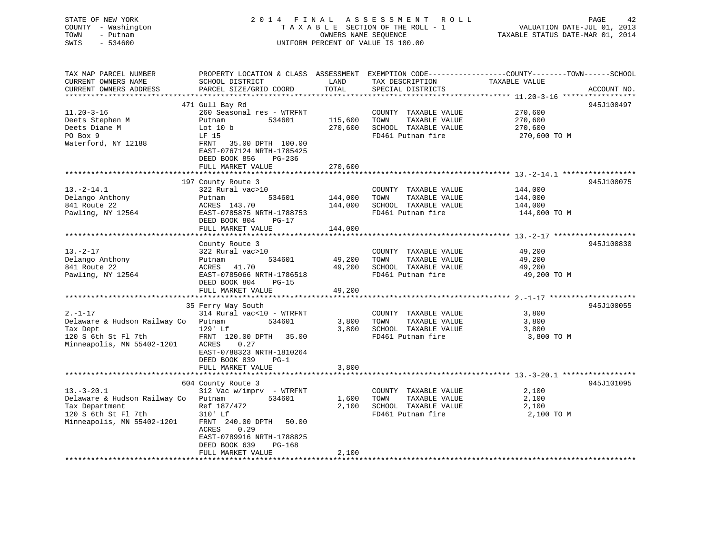| STATE OF NEW YORK            |                                                                                                |                      | 2014 FINAL ASSESSMENT ROLL         |                                  | PAGE<br>42  |
|------------------------------|------------------------------------------------------------------------------------------------|----------------------|------------------------------------|----------------------------------|-------------|
| COUNTY - Washington          |                                                                                                |                      | TAXABLE SECTION OF THE ROLL - 1    | VALUATION DATE-JUL 01, 2013      |             |
| TOWN<br>- Putnam             |                                                                                                | OWNERS NAME SEQUENCE |                                    | TAXABLE STATUS DATE-MAR 01, 2014 |             |
| SWIS<br>$-534600$            |                                                                                                |                      | UNIFORM PERCENT OF VALUE IS 100.00 |                                  |             |
|                              |                                                                                                |                      |                                    |                                  |             |
|                              |                                                                                                |                      |                                    |                                  |             |
| TAX MAP PARCEL NUMBER        | PROPERTY LOCATION & CLASS ASSESSMENT EXEMPTION CODE---------------COUNTY-------TOWN-----SCHOOL |                      |                                    |                                  |             |
|                              |                                                                                                |                      |                                    |                                  |             |
| CURRENT OWNERS NAME          | SCHOOL DISTRICT                                                                                | LAND                 | TAX DESCRIPTION                    | TAXABLE VALUE                    |             |
| CURRENT OWNERS ADDRESS       | PARCEL SIZE/GRID COORD                                                                         | TOTAL                | SPECIAL DISTRICTS                  |                                  | ACCOUNT NO. |
|                              | 471 Gull Bay Rd                                                                                |                      |                                    |                                  | 945J100497  |
|                              |                                                                                                |                      |                                    |                                  |             |
| $11.20 - 3 - 16$             | 260 Seasonal res - WTRFNT                                                                      |                      | COUNTY TAXABLE VALUE               | 270,600                          |             |
| Deets Stephen M              | Putnam<br>534601                                                                               | 115,600              | TOWN<br>TAXABLE VALUE              | 270,600                          |             |
| Deets Diane M                | Lot $10 b$                                                                                     | 270,600              | SCHOOL TAXABLE VALUE               | 270,600                          |             |
| PO Box 9                     | LF 15                                                                                          |                      | FD461 Putnam fire                  | 270,600 TO M                     |             |
| Waterford, NY 12188          | FRNT 35.00 DPTH 100.00                                                                         |                      |                                    |                                  |             |
|                              | EAST-0767124 NRTH-1785425                                                                      |                      |                                    |                                  |             |
|                              | DEED BOOK 856<br>PG-236                                                                        |                      |                                    |                                  |             |
|                              | FULL MARKET VALUE                                                                              | 270,600              |                                    |                                  |             |
|                              |                                                                                                |                      |                                    |                                  |             |
|                              | 197 County Route 3                                                                             |                      |                                    |                                  | 945J100075  |
| $13.-2-14.1$                 | 322 Rural vac>10                                                                               |                      | COUNTY TAXABLE VALUE               | 144,000                          |             |
| Delango Anthony              | 534601<br>Putnam                                                                               | 144,000              | TOWN<br>TAXABLE VALUE              | 144,000                          |             |
| 841 Route 22                 | ACRES 143.70                                                                                   | 144,000              | SCHOOL TAXABLE VALUE               | 144,000                          |             |
| Pawling, NY 12564            | EAST-0785875 NRTH-1788753                                                                      |                      | FD461 Putnam fire                  | 144,000 TO M                     |             |
|                              | DEED BOOK 804<br>$PG-17$                                                                       |                      |                                    |                                  |             |
|                              | FULL MARKET VALUE                                                                              | 144,000              |                                    |                                  |             |
|                              |                                                                                                |                      |                                    |                                  |             |
|                              | County Route 3                                                                                 |                      |                                    |                                  | 945J100830  |
| $13. - 2 - 17$               | 322 Rural vac>10                                                                               |                      | COUNTY TAXABLE VALUE               | 49,200                           |             |
| Delango Anthony              | 534601<br>Putnam                                                                               | 49,200               | TOWN<br>TAXABLE VALUE              | 49,200                           |             |
| 841 Route 22                 | 41.70<br>ACRES                                                                                 | 49,200               | SCHOOL TAXABLE VALUE               | 49,200                           |             |
| Pawling, NY 12564            | EAST-0785066 NRTH-1786518                                                                      |                      | FD461 Putnam fire                  | 49,200 TO M                      |             |
|                              | DEED BOOK 804<br>$PG-15$                                                                       |                      |                                    |                                  |             |
|                              | FULL MARKET VALUE                                                                              | 49,200               |                                    |                                  |             |
|                              |                                                                                                |                      |                                    |                                  |             |
|                              | 35 Ferry Way South                                                                             |                      |                                    |                                  | 945J100055  |
| $2. - 1 - 17$                | 314 Rural vac<10 - WTRFNT                                                                      |                      | COUNTY TAXABLE VALUE               | 3,800                            |             |
| Delaware & Hudson Railway Co | Putnam<br>534601                                                                               | 3,800                | TOWN<br>TAXABLE VALUE              | 3,800                            |             |
| Tax Dept                     | 129' Lf                                                                                        | 3,800                | SCHOOL TAXABLE VALUE               | 3,800                            |             |
| 120 S 6th St Fl 7th          | FRNT 120.00 DPTH 35.00                                                                         |                      | FD461 Putnam fire                  | 3,800 TO M                       |             |
| Minneapolis, MN 55402-1201   | ACRES<br>0.27                                                                                  |                      |                                    |                                  |             |
|                              | EAST-0788323 NRTH-1810264                                                                      |                      |                                    |                                  |             |
|                              | DEED BOOK 839<br>$PG-1$                                                                        |                      |                                    |                                  |             |
|                              | FULL MARKET VALUE                                                                              | 3,800                |                                    |                                  |             |
|                              |                                                                                                |                      |                                    |                                  |             |

|                              | FULL MARREI VALUE           | <u>, ovv</u> |                         |            |  |
|------------------------------|-----------------------------|--------------|-------------------------|------------|--|
|                              |                             |              |                         |            |  |
|                              | 604 County Route 3          |              |                         | 945J101095 |  |
| $13.-3-20.1$                 | 312 Vac w/imprv<br>- WTRFNT |              | COUNTY<br>TAXABLE VALUE | 2,100      |  |
| Delaware & Hudson Railway Co | 534601<br>Putnam            | 1,600        | TOWN<br>TAXABLE VALUE   | 2,100      |  |
| Tax Department               | Ref 187/472                 | 2,100        | TAXABLE VALUE<br>SCHOOL | 2,100      |  |
| 120 S 6th St Fl 7th          | $310'$ Lf                   |              | FD461 Putnam fire       | 2,100 TO M |  |
| Minneapolis, MN 55402-1201   | FRNT 240.00 DPTH<br>50.00   |              |                         |            |  |
|                              | 0.29<br>ACRES               |              |                         |            |  |
|                              | EAST-0789916 NRTH-1788825   |              |                         |            |  |
|                              | DEED BOOK 639<br>PG-168     |              |                         |            |  |
|                              | FULL MARKET VALUE           | 2,100        |                         |            |  |
|                              |                             |              |                         |            |  |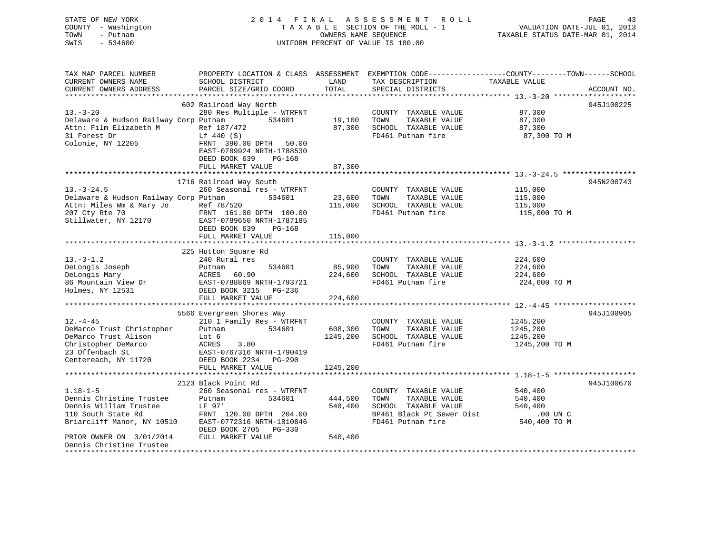| TOWN<br>- Putnam<br>OWNERS NAME SEQUENCE<br>TAXABLE STATUS DATE-MAR 01, 2014<br>$-534600$<br>UNIFORM PERCENT OF VALUE IS 100.00<br>SWIS                                                                   |  |
|-----------------------------------------------------------------------------------------------------------------------------------------------------------------------------------------------------------|--|
| PROPERTY LOCATION & CLASS ASSESSMENT EXEMPTION CODE---------------COUNTY-------TOWN------SCHOOL<br>TAX MAP PARCEL NUMBER                                                                                  |  |
| TAX DESCRIPTION<br>LAND<br>TAXABLE VALUE<br>CURRENT OWNERS NAME<br>SCHOOL DISTRICT<br>TOTAL<br>CURRENT OWNERS ADDRESS<br>PARCEL SIZE/GRID COORD<br>SPECIAL DISTRICTS<br>ACCOUNT NO.                       |  |
|                                                                                                                                                                                                           |  |
| 602 Railroad Way North<br>945J100225                                                                                                                                                                      |  |
| $13 - 3 - 20$<br>280 Res Multiple - WTRFNT<br>87,300<br>COUNTY TAXABLE VALUE                                                                                                                              |  |
| Delaware & Hudson Railway Corp Putnam 534601<br>87,300<br>19,100<br>TOWN<br>TAXABLE VALUE<br>Attn: Film Elizabeth M<br>Ref 187/472<br>87,300<br>SCHOOL TAXABLE VALUE<br>87,300                            |  |
| 31 Forest Dr<br>FD461 Putnam fire<br>Lf 440 (S)<br>87,300 TO M                                                                                                                                            |  |
| Colonie, NY 12205<br>FRNT 390.00 DPTH 50.00<br>EAST-0789924 NRTH-1788530<br>DEED BOOK 639<br>PG-168                                                                                                       |  |
| 87,300<br>FULL MARKET VALUE                                                                                                                                                                               |  |
|                                                                                                                                                                                                           |  |
| 1716 Railroad Way South<br>945N200743                                                                                                                                                                     |  |
| $13.-3-24.5$<br>260 Seasonal res - WTRFNT<br>115,000<br>COUNTY TAXABLE VALUE                                                                                                                              |  |
| Delaware & Hudson Railway Corp Putnam<br>534601<br>23,600<br>TOWN<br>TAXABLE VALUE<br>115,000                                                                                                             |  |
| 115,000<br>SCHOOL TAXABLE VALUE<br>115,000                                                                                                                                                                |  |
| Attn: Miles Wm & Mary Jo<br>207 Cty Rte 70<br>Stillwater, NY 12170<br>EAST-078965<br>FD461 Putnam fire<br>115,000 TO M<br>FRNT 161.00 DPTH 100.00<br>EAST-0789650 NRTH-1787185<br>DEED BOOK 639<br>PG-168 |  |
| FULL MARKET VALUE<br>115,000                                                                                                                                                                              |  |
| 225 Hutton Square Rd                                                                                                                                                                                      |  |
| $13.-3-1.2$<br>240 Rural res<br>COUNTY TAXABLE VALUE<br>224,600                                                                                                                                           |  |
| DeLongis Joseph<br>534601<br>85,900<br>TAXABLE VALUE<br>224,600<br>Putnam<br>TOWN                                                                                                                         |  |
| DeLongis Mary<br>ACRES 60.90<br>224,600<br>SCHOOL TAXABLE VALUE<br>224,600                                                                                                                                |  |
| FD461 Putnam fire<br>EAST-0788869 NRTH-1793721<br>224,600 TO M                                                                                                                                            |  |
| 86 Mountain View Dr<br>Holmes, NY 12531<br>DEED BOOK 3215 PG-236                                                                                                                                          |  |
| FULL MARKET VALUE<br>224,600                                                                                                                                                                              |  |
|                                                                                                                                                                                                           |  |
| 945J100905<br>5566 Evergreen Shores Way                                                                                                                                                                   |  |
| $12. - 4 - 45$<br>210 1 Family Res - WTRFNT<br>1245,200<br>COUNTY TAXABLE VALUE                                                                                                                           |  |
| DeMarco Trust Christopher<br>534601<br>608,300<br>TOWN<br>TAXABLE VALUE<br>1245,200<br>Putnam<br>DeMarco Trust Alison                                                                                     |  |
| 1245,200<br>SCHOOL TAXABLE VALUE<br>Lot 6<br>1245,200<br>Christopher DeMarco<br>ACRES<br>3.80<br>FD461 Putnam fire<br>1245,200 TO M                                                                       |  |
| 23 Offenbach St<br>EAST-0767316 NRTH-1790419                                                                                                                                                              |  |
| Centereach, NY 11720<br>DEED BOOK 2234 PG-290                                                                                                                                                             |  |
| FULL MARKET VALUE<br>1245,200                                                                                                                                                                             |  |
|                                                                                                                                                                                                           |  |
| 945J100670<br>2123 Black Point Rd                                                                                                                                                                         |  |
| $1.18 - 1 - 5$<br>260 Seasonal res - WTRFNT<br>COUNTY TAXABLE VALUE<br>540,400                                                                                                                            |  |
| Dennis Christine Trustee<br>444,500<br>TOWN<br>TAXABLE VALUE<br>Putnam<br>534601<br>540,400                                                                                                               |  |
| Dennis William Trustee<br>LF 97'<br>540,400<br>SCHOOL TAXABLE VALUE<br>540,400                                                                                                                            |  |
| 110 South State Rd<br>FRNT 120.00 DPTH 204.00<br>BP461 Black Pt Sewer Dist<br>.00 UN C                                                                                                                    |  |
| Briarcliff Manor, NY 10510<br>EAST-0772316 NRTH-1810846<br>FD461 Putnam fire<br>540,400 TO M                                                                                                              |  |
| DEED BOOK 2705 PG-330<br>540,400<br>PRIOR OWNER ON 3/01/2014<br>FULL MARKET VALUE                                                                                                                         |  |

Dennis Christine Trustee\*\*\*\*\*\*\*\*\*\*\*\*\*\*\*\*\*\*\*\*\*\*\*\*\*\*\*\*\*\*\*\*\*\*\*\*\*\*\*\*\*\*\*\*\*\*\*\*\*\*\*\*\*\*\*\*\*\*\*\*\*\*\*\*\*\*\*\*\*\*\*\*\*\*\*\*\*\*\*\*\*\*\*\*\*\*\*\*\*\*\*\*\*\*\*\*\*\*\*\*\*\*\*\*\*\*\*\*\*\*\*\*\*\*\*\*\*\*\*\*\*\*\*\*\*\*\*\*\*\*\*\*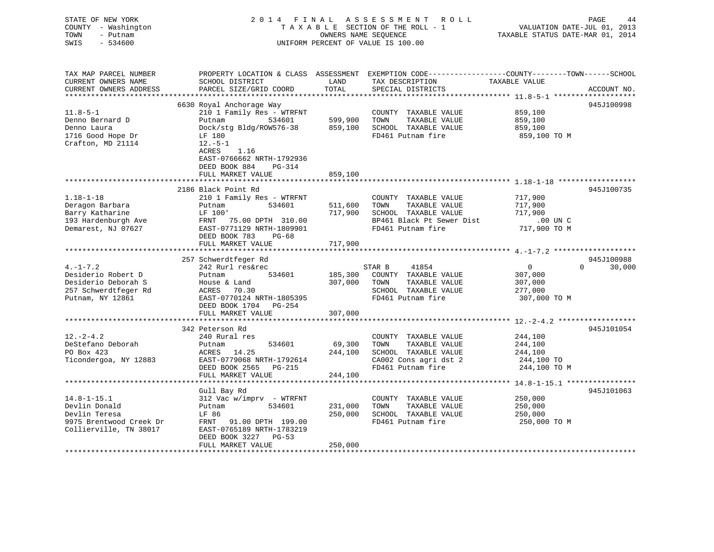## STATE OF NEW YORK 2 0 1 4 F I N A L A S S E S S M E N T R O L L PAGE 44 COUNTY - Washington T A X A B L E SECTION OF THE ROLL - 1 VALUATION DATE-JUL 01, 2013 TOWN - Putnam OWNERS NAME SEQUENCE TAXABLE STATUS DATE-MAR 01, 2014 SWIS - 534600 UNIFORM PERCENT OF VALUE IS 100.00

| TAX MAP PARCEL NUMBER<br>CURRENT OWNERS NAME<br>CURRENT OWNERS ADDRESS<br>*********************** | PROPERTY LOCATION & CLASS ASSESSMENT<br>SCHOOL DISTRICT<br>PARCEL SIZE/GRID COORD                                 | LAND<br>TOTAL      | TAX DESCRIPTION<br>SPECIAL DISTRICTS                                   | EXEMPTION CODE-----------------COUNTY-------TOWN------SCHOOL<br>TAXABLE VALUE<br>ACCOUNT NO. |
|---------------------------------------------------------------------------------------------------|-------------------------------------------------------------------------------------------------------------------|--------------------|------------------------------------------------------------------------|----------------------------------------------------------------------------------------------|
|                                                                                                   | 6630 Royal Anchorage Way                                                                                          |                    |                                                                        | 945J100998                                                                                   |
| $11.8 - 5 - 1$<br>Denno Bernard D<br>Denno Laura                                                  | 210 1 Family Res - WTRFNT<br>534601<br>Putnam<br>Dock/stg Bldg/ROW576-38                                          | 599,900<br>859,100 | COUNTY TAXABLE VALUE<br>TOWN<br>TAXABLE VALUE<br>SCHOOL TAXABLE VALUE  | 859,100<br>859,100<br>859,100                                                                |
| 1716 Good Hope Dr<br>Crafton, MD 21114                                                            | LF 180<br>$12.-5-1$<br>ACRES<br>1.16<br>EAST-0766662 NRTH-1792936<br>DEED BOOK 884<br>PG-314<br>FULL MARKET VALUE | 859,100            | FD461 Putnam fire                                                      | 859,100 то м                                                                                 |
|                                                                                                   |                                                                                                                   |                    |                                                                        |                                                                                              |
| $1.18 - 1 - 18$<br>Deragon Barbara                                                                | 2186 Black Point Rd<br>210 1 Family Res - WTRFNT<br>534601<br>Putnam                                              | 511,600            | COUNTY TAXABLE VALUE<br>TOWN<br>TAXABLE VALUE                          | 945J100735<br>717,900<br>717,900                                                             |
| Barry Katharine<br>193 Hardenburgh Ave<br>Demarest, NJ 07627                                      | LF 100'<br>FRNT<br>75.00 DPTH 310.00<br>EAST-0771129 NRTH-1809901<br>DEED BOOK 783<br>$PG-68$                     | 717,900            | SCHOOL TAXABLE VALUE<br>BP461 Black Pt Sewer Dist<br>FD461 Putnam fire | 717,900<br>.00 UN C<br>717,900 TO M                                                          |
|                                                                                                   | FULL MARKET VALUE                                                                                                 | 717,900            |                                                                        |                                                                                              |
|                                                                                                   | 257 Schwerdtfeger Rd                                                                                              |                    |                                                                        | 945J100988                                                                                   |
| $4. -1 - 7.2$                                                                                     | 242 Rurl res&rec                                                                                                  |                    | 41854<br>STAR B                                                        | $\mathbf{0}$<br>$\Omega$<br>30,000                                                           |
| Desiderio Robert D                                                                                | 534601<br>Putnam                                                                                                  | 185,300            | COUNTY TAXABLE VALUE                                                   | 307,000                                                                                      |
| Desiderio Deborah S                                                                               | House & Land                                                                                                      | 307,000            | TOWN<br>TAXABLE VALUE                                                  | 307,000                                                                                      |
| 257 Schwerdtfeger Rd                                                                              | ACRES<br>70.30                                                                                                    |                    | SCHOOL TAXABLE VALUE                                                   | 277,000                                                                                      |
| Putnam, NY 12861                                                                                  | EAST-0770124 NRTH-1805395<br>DEED BOOK 1704 PG-254                                                                |                    | FD461 Putnam fire                                                      | 307,000 TO M                                                                                 |
|                                                                                                   | FULL MARKET VALUE                                                                                                 | 307,000            |                                                                        |                                                                                              |
|                                                                                                   | 342 Peterson Rd                                                                                                   |                    |                                                                        | 945J101054                                                                                   |
| $12. - 2 - 4.2$                                                                                   | 240 Rural res                                                                                                     |                    | COUNTY TAXABLE VALUE                                                   | 244,100                                                                                      |
| DeStefano Deborah                                                                                 | 534601<br>Putnam                                                                                                  | 69,300             | TOWN<br>TAXABLE VALUE                                                  | 244,100                                                                                      |
| PO Box 423                                                                                        | 14.25<br>ACRES                                                                                                    | 244,100            | SCHOOL TAXABLE VALUE                                                   | 244,100                                                                                      |
| Ticondergoa, NY 12883                                                                             | EAST-0779068 NRTH-1792614                                                                                         |                    | CA002 Cons agri dst 2                                                  | 244,100 TO                                                                                   |
|                                                                                                   | DEED BOOK 2565<br>PG-215                                                                                          |                    | FD461 Putnam fire                                                      | 244,100 TO M                                                                                 |
|                                                                                                   | FULL MARKET VALUE                                                                                                 | 244,100            |                                                                        |                                                                                              |
|                                                                                                   |                                                                                                                   |                    |                                                                        | 945J101063                                                                                   |
| $14.8 - 1 - 15.1$                                                                                 | Gull Bay Rd<br>312 Vac w/imprv - WTRFNT                                                                           |                    | COUNTY TAXABLE VALUE                                                   | 250,000                                                                                      |
| Devlin Donald                                                                                     | Putnam<br>534601                                                                                                  | 231,000            | TOWN<br>TAXABLE VALUE                                                  | 250,000                                                                                      |
| Devlin Teresa                                                                                     | LF 86                                                                                                             | 250,000            | SCHOOL TAXABLE VALUE                                                   | 250,000                                                                                      |
| 9975 Brentwood Creek Dr                                                                           | FRNT<br>91.00 DPTH 199.00                                                                                         |                    | FD461 Putnam fire                                                      | 250,000 TO M                                                                                 |
| Collierville, TN 38017                                                                            | EAST-0765189 NRTH-1783219<br>DEED BOOK 3227<br>$PG-53$<br>FULL MARKET VALUE                                       | 250,000            |                                                                        |                                                                                              |
|                                                                                                   |                                                                                                                   |                    |                                                                        |                                                                                              |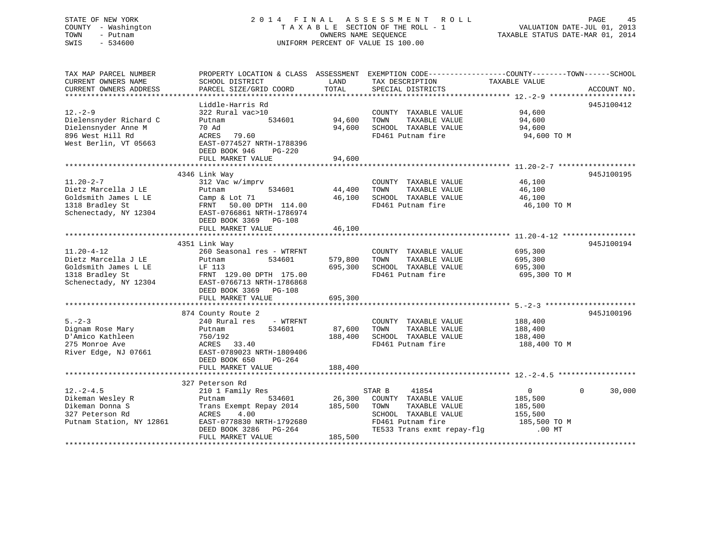## STATE OF NEW YORK 2 0 1 4 F I N A L A S S E S S M E N T R O L L PAGE 45 COUNTY - Washington T A X A B L E SECTION OF THE ROLL - 1 VALUATION DATE-JUL 01, 2013 TOWN - Putnam OWNERS NAME SEQUENCE TAXABLE STATUS DATE-MAR 01, 2014 SWIS - 534600 UNIFORM PERCENT OF VALUE IS 100.00

| TAX MAP PARCEL NUMBER<br>CURRENT OWNERS NAME<br>CURRENT OWNERS ADDRESS                                      | PROPERTY LOCATION & CLASS ASSESSMENT<br>SCHOOL DISTRICT<br>PARCEL SIZE/GRID COORD                                                                                              | LAND<br>TOTAL                 | EXEMPTION CODE-----------------COUNTY-------TOWN------SCHOOL<br>TAX DESCRIPTION<br>SPECIAL DISTRICTS                                        | TAXABLE VALUE                                                             | ACCOUNT NO.        |
|-------------------------------------------------------------------------------------------------------------|--------------------------------------------------------------------------------------------------------------------------------------------------------------------------------|-------------------------------|---------------------------------------------------------------------------------------------------------------------------------------------|---------------------------------------------------------------------------|--------------------|
| $12. - 2 - 9$<br>Dielensnyder Richard C<br>Dielensnyder Anne M<br>896 West Hill Rd<br>West Berlin, VT 05663 | Liddle-Harris Rd<br>322 Rural vac>10<br>534601<br>Putnam<br>70 Ad<br>ACRES<br>79.60<br>EAST-0774527 NRTH-1788396<br>DEED BOOK 946<br>$PG-220$<br>FULL MARKET VALUE             | 94,600<br>94,600<br>94,600    | COUNTY TAXABLE VALUE<br>TOWN<br>TAXABLE VALUE<br>SCHOOL TAXABLE VALUE<br>FD461 Putnam fire                                                  | 94,600<br>94,600<br>94,600<br>94,600 TO M                                 | 945J100412         |
|                                                                                                             |                                                                                                                                                                                |                               |                                                                                                                                             |                                                                           |                    |
| $11.20 - 2 - 7$<br>Dietz Marcella J LE<br>Goldsmith James L LE<br>1318 Bradley St<br>Schenectady, NY 12304  | 4346 Link Way<br>312 Vac w/imprv<br>534601<br>Putnam<br>Camp & Lot 71<br>FRNT 50.00 DPTH 114.00<br>EAST-0766861 NRTH-1786974                                                   | 44,400<br>46,100              | COUNTY TAXABLE VALUE<br>TOWN<br>TAXABLE VALUE<br>SCHOOL TAXABLE VALUE<br>FD461 Putnam fire                                                  | 46,100<br>46,100<br>46,100<br>46,100 TO M                                 | 945J100195         |
|                                                                                                             | DEED BOOK 3369 PG-108<br>FULL MARKET VALUE                                                                                                                                     | 46,100                        |                                                                                                                                             |                                                                           |                    |
|                                                                                                             |                                                                                                                                                                                |                               |                                                                                                                                             |                                                                           |                    |
|                                                                                                             | 4351 Link Way                                                                                                                                                                  |                               |                                                                                                                                             |                                                                           | 945J100194         |
| $11.20 - 4 - 12$<br>Dietz Marcella J LE<br>Goldsmith James L LE<br>1318 Bradley St<br>Schenectady, NY 12304 | 260 Seasonal res - WTRFNT<br>Putnam<br>534601<br>LF 113<br>FRNT 129.00 DPTH 175.00<br>EAST-0766713 NRTH-1786868<br>DEED BOOK 3369 PG-108<br>FULL MARKET VALUE                  | 579,800<br>695,300<br>695,300 | COUNTY TAXABLE VALUE<br>TOWN<br>TAXABLE VALUE<br>SCHOOL TAXABLE VALUE<br>FD461 Putnam fire                                                  | 695,300<br>695,300<br>695,300<br>695,300 ТО М                             |                    |
|                                                                                                             |                                                                                                                                                                                |                               |                                                                                                                                             |                                                                           |                    |
| $5 - 2 - 3$<br>Dignam Rose Mary<br>D'Amico Kathleen<br>275 Monroe Ave<br>River Edge, NJ 07661               | 874 County Route 2<br>240 Rural res - WTRFNT<br>534601<br>Putnam<br>750/192<br>ACRES<br>33.40<br>EAST-0789023 NRTH-1809406<br>DEED BOOK 650<br>PG-264                          | 87,600<br>188,400             | COUNTY TAXABLE VALUE<br>TOWN<br>TAXABLE VALUE<br>SCHOOL TAXABLE VALUE<br>FD461 Putnam fire                                                  | 188,400<br>188,400<br>188,400<br>188,400 TO M                             | 945J100196         |
|                                                                                                             | FULL MARKET VALUE                                                                                                                                                              | 188,400                       |                                                                                                                                             |                                                                           |                    |
|                                                                                                             |                                                                                                                                                                                |                               |                                                                                                                                             |                                                                           |                    |
| $12. - 2 - 4.5$<br>Dikeman Wesley R<br>Dikeman Donna S<br>327 Peterson Rd<br>Putnam Station, NY 12861       | 327 Peterson Rd<br>210 1 Family Res<br>Putnam<br>534601<br>Trans Exempt Repay 2014<br>ACRES<br>4.00<br>EAST-0778830 NRTH-1792680<br>DEED BOOK 3286 PG-264<br>FULL MARKET VALUE | 26,300<br>185,500<br>185,500  | 41854<br>STAR B<br>COUNTY TAXABLE VALUE<br>TOWN<br>TAXABLE VALUE<br>SCHOOL TAXABLE VALUE<br>FD461 Putnam fire<br>TE533 Trans exmt repay-flg | $\mathbf{0}$<br>185,500<br>185,500<br>155,500<br>185,500 TO M<br>$.00$ MT | $\Omega$<br>30,000 |
|                                                                                                             |                                                                                                                                                                                |                               |                                                                                                                                             |                                                                           |                    |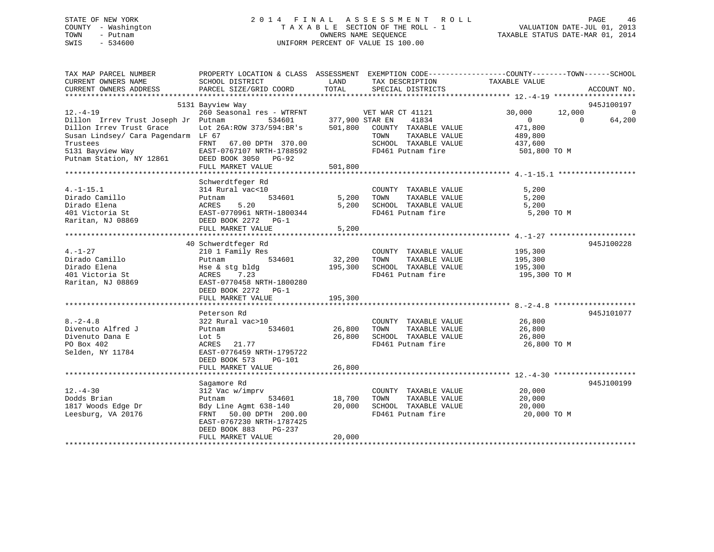## STATE OF NEW YORK 2 0 1 4 F I N A L A S S E S S M E N T R O L L PAGE 46 COUNTY - Washington T A X A B L E SECTION OF THE ROLL - 1 VALUATION DATE-JUL 01, 2013 TOWN - Putnam OWNERS NAME SEQUENCE TAXABLE STATUS DATE-MAR 01, 2014 SWIS - 534600 UNIFORM PERCENT OF VALUE IS 100.00

| TAX MAP PARCEL NUMBER<br>CURRENT OWNERS NAME<br>CURRENT OWNERS ADDRESS | PROPERTY LOCATION & CLASS ASSESSMENT EXEMPTION CODE---------------COUNTY-------TOWN-----SCHOOL<br>SCHOOL DISTRICT<br>PARCEL SIZE/GRID COORD | LAND<br>TOTAL          | TAX DESCRIPTION<br>SPECIAL DISTRICTS | TAXABLE VALUE         | ACCOUNT NO.        |
|------------------------------------------------------------------------|---------------------------------------------------------------------------------------------------------------------------------------------|------------------------|--------------------------------------|-----------------------|--------------------|
|                                                                        |                                                                                                                                             |                        |                                      |                       |                    |
|                                                                        | 5131 Bayview Way                                                                                                                            |                        |                                      |                       | 945J100197         |
| $12. - 4 - 19$                                                         | 260 Seasonal res - WTRFNT WET WAR CT 41121                                                                                                  |                        |                                      | 30,000                | 12,000<br>$\sim$ 0 |
| Dillon Irrev Trust Joseph Jr Putnam                                    |                                                                                                                                             | 534601 377,900 STAR EN | 41834                                | $\overline{0}$        | 64,200<br>$\Omega$ |
| Dillon Irrev Trust Grace                                               | Lot 26A: ROW 373/594: BR's                                                                                                                  |                        | 501,800 COUNTY TAXABLE VALUE         | 471,800               |                    |
| Susan Lindsey/ Cara Pagendarm LF 67                                    |                                                                                                                                             |                        | TAXABLE VALUE<br>TOWN                | 489,800               |                    |
| Trustees                                                               | FRNT 67.00 DPTH 370.00                                                                                                                      |                        | SCHOOL TAXABLE VALUE                 | 437,600               |                    |
| 5131 Bayview Way                                                       | EAST-0767107 NRTH-1788592                                                                                                                   |                        | FD461 Putnam fire                    | 501,800 TO M          |                    |
| Putnam Station, NY 12861                                               | DEED BOOK 3050 PG-92<br>FULL MARKET VALUE                                                                                                   | 501,800                |                                      |                       |                    |
|                                                                        |                                                                                                                                             |                        |                                      |                       |                    |
|                                                                        | Schwerdtfeger Rd                                                                                                                            |                        |                                      |                       |                    |
| $4. -1 - 15.1$                                                         | 314 Rural vac<10                                                                                                                            |                        | COUNTY TAXABLE VALUE                 | 5,200                 |                    |
| Dirado Camillo                                                         | 534601<br>Putnam                                                                                                                            | 5,200                  | TAXABLE VALUE<br>TOWN                | 5,200                 |                    |
| Dirado Elena                                                           | ACRES<br>5.20                                                                                                                               | 5,200                  | SCHOOL TAXABLE VALUE                 | 5,200                 |                    |
| 401 Victoria St                                                        | EAST-0770961 NRTH-1800344                                                                                                                   |                        | FD461 Putnam fire                    | 5,200 TO M            |                    |
| Raritan, NJ 08869                                                      | DEED BOOK 2272 PG-1                                                                                                                         |                        |                                      |                       |                    |
|                                                                        | FULL MARKET VALUE                                                                                                                           | 5,200                  |                                      |                       |                    |
|                                                                        |                                                                                                                                             |                        |                                      |                       |                    |
|                                                                        | 40 Schwerdtfeger Rd                                                                                                                         |                        |                                      |                       | 945J100228         |
| $4. - 1 - 27$                                                          | 210 1 Family Res                                                                                                                            |                        | COUNTY TAXABLE VALUE                 | 195,300<br>195,300    |                    |
| Dirado Camillo                                                         | 534601<br>Putnam                                                                                                                            | 32,200                 | TOWN<br>TAXABLE VALUE                |                       |                    |
| Dirado Elena                                                           | Hse & stg bldg                                                                                                                              | 195,300                | SCHOOL TAXABLE VALUE                 | 195,300               |                    |
| 401 Victoria St                                                        | ACRES 7.23                                                                                                                                  |                        | FD461 Putnam fire                    | 195,300 TO M          |                    |
| Raritan, NJ 08869                                                      | EAST-0770458 NRTH-1800280                                                                                                                   |                        |                                      |                       |                    |
|                                                                        | DEED BOOK 2272 PG-1                                                                                                                         |                        |                                      |                       |                    |
|                                                                        | FULL MARKET VALUE                                                                                                                           | 195,300                |                                      |                       |                    |
|                                                                        |                                                                                                                                             |                        |                                      |                       |                    |
|                                                                        | Peterson Rd                                                                                                                                 |                        |                                      |                       | 945J101077         |
| $8. -2 - 4.8$                                                          | 322 Rural vac>10                                                                                                                            |                        | COUNTY TAXABLE VALUE                 | 26,800                |                    |
| Divenuto Alfred J                                                      | 534601<br>Putnam                                                                                                                            | 26,800                 | TAXABLE VALUE<br>TOWN                | 26,800                |                    |
| Divenuto Dana E                                                        | Lot 5                                                                                                                                       | 26,800                 | SCHOOL TAXABLE VALUE                 | 26,800<br>26,800 TO M |                    |
| PO Box 402<br>Selden, NY 11784                                         | ACRES 21.77<br>EAST-0776459 NRTH-1795722                                                                                                    |                        | FD461 Putnam fire                    |                       |                    |
|                                                                        | DEED BOOK 573<br>PG-101                                                                                                                     |                        |                                      |                       |                    |
|                                                                        | FULL MARKET VALUE                                                                                                                           | 26,800                 |                                      |                       |                    |
|                                                                        |                                                                                                                                             |                        |                                      |                       |                    |
|                                                                        | Sagamore Rd                                                                                                                                 |                        |                                      |                       | 945J100199         |
| $12. - 4 - 30$                                                         | 312 Vac w/imprv                                                                                                                             |                        | COUNTY TAXABLE VALUE                 | 20,000                |                    |
| Dodds Brian                                                            | Putnam<br>534601                                                                                                                            | 18,700                 | TOWN<br>TAXABLE VALUE                | 20,000                |                    |
| 1817 Woods Edge Dr                                                     | Bdy Line Agmt 638-140                                                                                                                       | 20,000                 | SCHOOL TAXABLE VALUE                 | 20,000                |                    |
| Leesburg, VA 20176                                                     | FRNT 50.00 DPTH 200.00                                                                                                                      |                        | FD461 Putnam fire                    | 20,000 TO M           |                    |
|                                                                        | EAST-0767230 NRTH-1787425                                                                                                                   |                        |                                      |                       |                    |
|                                                                        | DEED BOOK 883<br>PG-237                                                                                                                     |                        |                                      |                       |                    |
|                                                                        | FULL MARKET VALUE                                                                                                                           | 20,000                 |                                      |                       |                    |
|                                                                        |                                                                                                                                             |                        |                                      |                       |                    |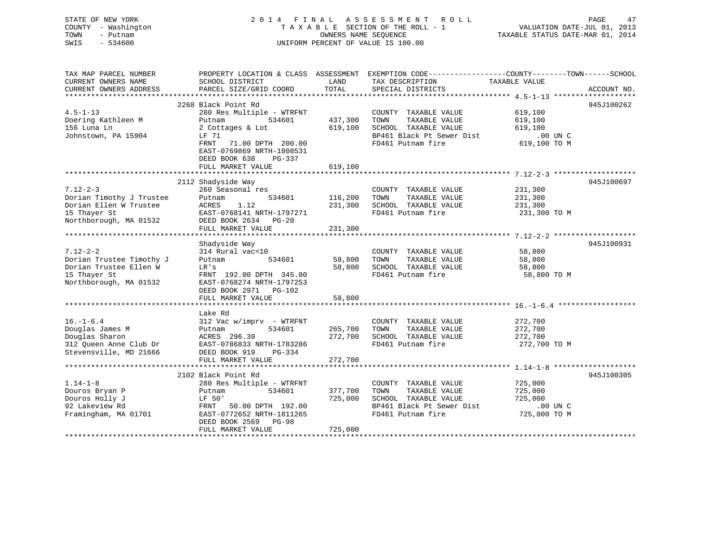## STATE OF NEW YORK 2 0 1 4 F I N A L A S S E S S M E N T R O L L PAGE 47 COUNTY - Washington T A X A B L E SECTION OF THE ROLL - 1 VALUATION DATE-JUL 01, 2013 TOWN - Putnam OWNERS NAME SEQUENCE TAXABLE STATUS DATE-MAR 01, 2014 SWIS - 534600 UNIFORM PERCENT OF VALUE IS 100.00

| TAX MAP PARCEL NUMBER<br>CURRENT OWNERS NAME<br>CURRENT OWNERS ADDRESS                                         | SCHOOL DISTRICT<br>PARCEL SIZE/GRID COORD                                                                                                                                                                   | LAND<br>TOTAL                 | PROPERTY LOCATION & CLASS ASSESSMENT EXEMPTION CODE---------------COUNTY-------TOWN-----SCHOOL<br>TAX DESCRIPTION<br>SPECIAL DISTRICTS | TAXABLE VALUE                                                 | ACCOUNT NO. |
|----------------------------------------------------------------------------------------------------------------|-------------------------------------------------------------------------------------------------------------------------------------------------------------------------------------------------------------|-------------------------------|----------------------------------------------------------------------------------------------------------------------------------------|---------------------------------------------------------------|-------------|
|                                                                                                                |                                                                                                                                                                                                             |                               |                                                                                                                                        |                                                               |             |
| $4.5 - 1 - 13$<br>Doering Kathleen M<br>156 Luna Ln<br>Johnstown, PA 15904                                     | 2268 Black Point Rd<br>280 Res Multiple - WTRFNT<br>Putnam<br>534601<br>2 Cottages & Lot<br>LF 71<br>FRNT<br>71.00 DPTH 200.00<br>EAST-0769869 NRTH-1808531<br>DEED BOOK 638<br>PG-337<br>FULL MARKET VALUE | 437,300<br>619,100<br>619,100 | COUNTY TAXABLE VALUE<br>TOWN<br>TAXABLE VALUE<br>SCHOOL TAXABLE VALUE<br>BP461 Black Pt Sewer Dist<br>FD461 Putnam fire                | 619,100<br>619,100<br>619,100<br>$.00$ UN $C$<br>619,100 TO M | 945J100262  |
| $7.12 - 2 - 3$<br>Dorian Timothy J Trustee<br>Dorian Ellen W Trustee<br>15 Thayer St<br>Northborough, MA 01532 | 2112 Shadyside Way<br>260 Seasonal res<br>Putnam<br>534601<br>1.12<br>ACRES<br>EAST-0768141 NRTH-1797271<br>DEED BOOK 2634 PG-20<br>FULL MARKET VALUE                                                       | 116,200<br>231,300<br>231,300 | COUNTY TAXABLE VALUE<br>TOWN<br>TAXABLE VALUE<br>SCHOOL TAXABLE VALUE<br>FD461 Putnam fire                                             | 231,300<br>231,300<br>231,300<br>231,300 TO M                 | 945J100697  |
| $7.12 - 2 - 2$<br>Dorian Trustee Timothy J<br>Dorian Trustee Ellen W<br>15 Thayer St<br>Northborough, MA 01532 | Shadyside Way<br>314 Rural vac<10<br>534601<br>Putnam<br>LR's<br>FRNT 192.00 DPTH 345.00<br>EAST-0768274 NRTH-1797253<br>DEED BOOK 2971 PG-102<br>FULL MARKET VALUE                                         | 58,800<br>58,800              | COUNTY TAXABLE VALUE<br>TOWN<br>TAXABLE VALUE<br>58,800 SCHOOL TAXABLE VALUE<br>FD461 Putnam fire                                      | 58,800<br>58,800<br>58,800<br>58,800 TO M                     | 945J100931  |
| $16. - 1 - 6.4$<br>Douglas James M<br>Douglas Sharon<br>312 Oueen Anne Club Dr<br>Stevensville, MD 21666       | Lake Rd<br>$312$ Vac w/imprv - WTRFNT<br>534601<br>Putnam<br>ACRES 296.39<br>EAST-0786833 NRTH-1783286<br>DEED BOOK 919<br>PG-334<br>FULL MARKET VALUE                                                      | 265,700<br>272,700<br>272,700 | COUNTY TAXABLE VALUE<br>TOWN<br>TAXABLE VALUE<br>SCHOOL TAXABLE VALUE<br>FD461 Putnam fire                                             | 272,700<br>272,700<br>272,700<br>272,700 TO M                 |             |
| $1.14 - 1 - 8$<br>Douros Bryan P<br>Douros Holly J<br>92 Lakeview Rd<br>Framingham, MA 01701                   | 2102 Black Point Rd<br>280 Res Multiple - WTRFNT<br>534601<br>Putnam<br>LF 50'<br>FRNT 50.00 DPTH 192.00<br>EAST-0772652 NRTH-1811265<br>DEED BOOK 2569 PG-98<br>FULL MARKET VALUE                          | 377,700<br>725,000<br>725,000 | COUNTY TAXABLE VALUE<br>TAXABLE VALUE<br>TOWN<br>SCHOOL TAXABLE VALUE<br>BP461 Black Pt Sewer Dist<br>FD461 Putnam fire                | 725,000<br>725,000<br>725,000<br>$.00$ UN C<br>725,000 TO M   | 945J100305  |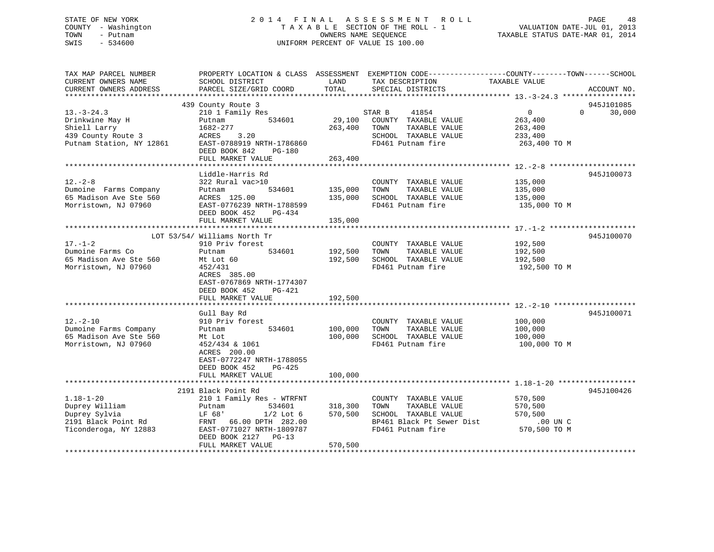## STATE OF NEW YORK 2 0 1 4 F I N A L A S S E S S M E N T R O L L PAGE 48 COUNTY - Washington T A X A B L E SECTION OF THE ROLL - 1 VALUATION DATE-JUL 01, 2013 TOWN - Putnam OWNERS NAME SEQUENCE TAXABLE STATUS DATE-MAR 01, 2014 SWIS - 534600 UNIFORM PERCENT OF VALUE IS 100.00

| TAX MAP PARCEL NUMBER<br>CURRENT OWNERS NAME<br>CURRENT OWNERS ADDRESS                             | PROPERTY LOCATION & CLASS ASSESSMENT EXEMPTION CODE---------------COUNTY-------TOWN-----SCHOOL<br>SCHOOL DISTRICT<br>PARCEL SIZE/GRID COORD                          | LAND<br>TOTAL                | TAX DESCRIPTION<br>SPECIAL DISTRICTS                                                                                    | TAXABLE VALUE                                                   | ACCOUNT NO.                      |
|----------------------------------------------------------------------------------------------------|----------------------------------------------------------------------------------------------------------------------------------------------------------------------|------------------------------|-------------------------------------------------------------------------------------------------------------------------|-----------------------------------------------------------------|----------------------------------|
|                                                                                                    |                                                                                                                                                                      |                              |                                                                                                                         |                                                                 |                                  |
| $13.-3-24.3$<br>Drinkwine May H<br>Shiell Larry<br>439 County Route 3<br>Putnam Station, NY 12861  | 439 County Route 3<br>210 1 Family Res<br>534601<br>Putnam<br>1682-277<br>3.20<br>ACRES<br>EAST-0788919 NRTH-1786860<br>DEED BOOK 842<br>PG-180<br>FULL MARKET VALUE | 29,100<br>263,400<br>263,400 | 41854<br>STAR B<br>COUNTY TAXABLE VALUE<br>TOWN<br>TAXABLE VALUE<br>SCHOOL TAXABLE VALUE<br>FD461 Putnam fire           | $\overline{0}$<br>263,400<br>263,400<br>233,400<br>263,400 TO M | 945J101085<br>30,000<br>$\Omega$ |
|                                                                                                    |                                                                                                                                                                      |                              |                                                                                                                         |                                                                 |                                  |
| $12. - 2 - 8$<br>Dumoine Farms Company<br>65 Madison Ave Ste 560<br>Morristown, NJ 07960           | Liddle-Harris Rd<br>322 Rural vac>10<br>Putnam<br>534601<br>ACRES 125.00<br>EAST-0776239 NRTH-1788599<br>DEED BOOK 452<br>PG-434                                     | 135,000<br>135,000           | COUNTY TAXABLE VALUE<br>TOWN<br>TAXABLE VALUE<br>SCHOOL TAXABLE VALUE<br>FD461 Putnam fire                              | 135,000<br>135,000<br>135,000<br>135,000 TO M                   | 945J100073                       |
|                                                                                                    | FULL MARKET VALUE                                                                                                                                                    | 135,000                      |                                                                                                                         |                                                                 |                                  |
| $17. - 1 - 2$<br>Dumoine Farms Co<br>65 Madison Ave Ste 560                                        | LOT 53/54/ Williams North Tr<br>910 Priv forest<br>534601<br>Putnam<br>Mt Lot 60                                                                                     | 192,500<br>192,500           | COUNTY TAXABLE VALUE<br>TAXABLE VALUE<br>TOWN<br>SCHOOL TAXABLE VALUE                                                   | 192,500<br>192,500<br>192,500                                   | 945J100070                       |
| Morristown, NJ 07960                                                                               | 452/431<br>ACRES 385.00<br>EAST-0767869 NRTH-1774307<br>DEED BOOK 452<br>PG-421<br>FULL MARKET VALUE                                                                 | 192,500                      | FD461 Putnam fire                                                                                                       | 192,500 TO M                                                    |                                  |
|                                                                                                    |                                                                                                                                                                      |                              |                                                                                                                         |                                                                 |                                  |
| $12. - 2 - 10$<br>Dumoine Farms Company<br>65 Madison Ave Ste 560<br>Morristown, NJ 07960          | Gull Bay Rd<br>910 Priv forest<br>534601<br>Putnam<br>Mt Lot<br>452/434 & 1061<br>ACRES 200.00<br>EAST-0772247 NRTH-1788055                                          | 100,000<br>100,000           | COUNTY TAXABLE VALUE<br>TAXABLE VALUE<br>TOWN<br>SCHOOL TAXABLE VALUE<br>FD461 Putnam fire                              | 100,000<br>100,000<br>100,000<br>100,000 TO M                   | 945J100071                       |
|                                                                                                    | DEED BOOK 452<br>$PG-425$<br>FULL MARKET VALUE                                                                                                                       | 100,000                      |                                                                                                                         |                                                                 |                                  |
|                                                                                                    | 2191 Black Point Rd                                                                                                                                                  |                              |                                                                                                                         |                                                                 | 945J100426                       |
| $1.18 - 1 - 20$<br>Duprey William<br>Duprey Sylvia<br>2191 Black Point Rd<br>Ticonderoga, NY 12883 | 210 1 Family Res - WTRFNT<br>534601<br>Putnam<br>LF 68'<br>$1/2$ Lot $6$<br>FRNT 66.00 DPTH 282.00<br>EAST-0771027 NRTH-1809787<br>DEED BOOK 2127<br>$PG-13$         | 318,300<br>570,500           | COUNTY TAXABLE VALUE<br>TOWN<br>TAXABLE VALUE<br>SCHOOL TAXABLE VALUE<br>BP461 Black Pt Sewer Dist<br>FD461 Putnam fire | 570,500<br>570,500<br>570,500<br>$.00$ UN $C$<br>570,500 TO M   |                                  |
|                                                                                                    | FULL MARKET VALUE                                                                                                                                                    | 570,500                      |                                                                                                                         |                                                                 |                                  |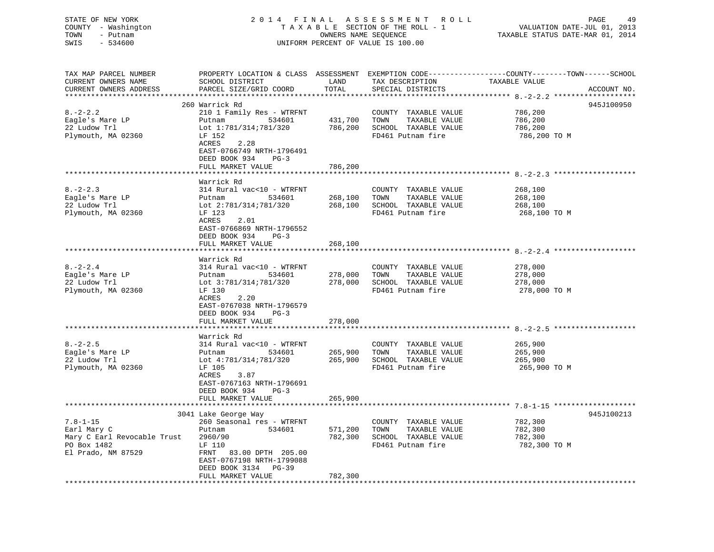STATE OF NEW YORK 2 0 1 4 F I N A L A S S E S S M E N T R O L L PAGE 49 COUNTY - Washington T A X A B L E SECTION OF THE ROLL - 1 VALUATION DATE-JUL 01, 2013 TOWN - Putnam OWNERS NAME SEQUENCE TAXABLE STATUS DATE-MAR 01, 2014 SWIS - 534600 UNIFORM PERCENT OF VALUE IS 100.00

| TAX MAP PARCEL NUMBER<br>CURRENT OWNERS NAME     | SCHOOL DISTRICT           | LAND<br>TOTAL | TAX DESCRIPTION       | PROPERTY LOCATION & CLASS ASSESSMENT EXEMPTION CODE----------------COUNTY-------TOWN-----SCHOOL<br>TAXABLE VALUE |             |
|--------------------------------------------------|---------------------------|---------------|-----------------------|------------------------------------------------------------------------------------------------------------------|-------------|
| CURRENT OWNERS ADDRESS<br>********************** | PARCEL SIZE/GRID COORD    |               | SPECIAL DISTRICTS     |                                                                                                                  | ACCOUNT NO. |
|                                                  | 260 Warrick Rd            |               |                       |                                                                                                                  | 945J100950  |
| $8. - 2 - 2.2$                                   | 210 1 Family Res - WTRFNT |               |                       | 786,200                                                                                                          |             |
|                                                  |                           |               | COUNTY TAXABLE VALUE  |                                                                                                                  |             |
| Eagle's Mare LP                                  | 534601<br>Putnam          | 431,700       | TAXABLE VALUE<br>TOWN | 786,200                                                                                                          |             |
| 22 Ludow Trl                                     | Lot 1:781/314;781/320     | 786,200       | SCHOOL TAXABLE VALUE  | 786,200                                                                                                          |             |
| Plymouth, MA 02360                               | LF 152                    |               | FD461 Putnam fire     | 786,200 ТО М                                                                                                     |             |
|                                                  | ACRES<br>2.28             |               |                       |                                                                                                                  |             |
|                                                  | EAST-0766749 NRTH-1796491 |               |                       |                                                                                                                  |             |
|                                                  | DEED BOOK 934<br>$PG-3$   |               |                       |                                                                                                                  |             |
|                                                  | FULL MARKET VALUE         | 786,200       |                       |                                                                                                                  |             |
|                                                  |                           |               |                       |                                                                                                                  |             |
|                                                  | Warrick Rd                |               |                       |                                                                                                                  |             |
| $8. - 2 - 2.3$                                   | 314 Rural vac<10 - WTRFNT |               | COUNTY TAXABLE VALUE  | 268,100                                                                                                          |             |
| Eagle's Mare LP                                  | Putnam<br>534601          | 268,100       | TOWN<br>TAXABLE VALUE | 268,100                                                                                                          |             |
| 22 Ludow Trl                                     | Lot 2:781/314;781/320     | 268,100       | SCHOOL TAXABLE VALUE  | 268,100                                                                                                          |             |
| Plymouth, MA 02360                               | LF 123                    |               | FD461 Putnam fire     | 268,100 TO M                                                                                                     |             |
|                                                  | ACRES<br>2.01             |               |                       |                                                                                                                  |             |
|                                                  | EAST-0766869 NRTH-1796552 |               |                       |                                                                                                                  |             |
|                                                  | DEED BOOK 934<br>$PG-3$   |               |                       |                                                                                                                  |             |
|                                                  | FULL MARKET VALUE         | 268,100       |                       |                                                                                                                  |             |
|                                                  | ******************        |               |                       | ****************************** 8. -2-2. 4 *******                                                                |             |
|                                                  | Warrick Rd                |               |                       |                                                                                                                  |             |
| $8. - 2 - 2.4$                                   | 314 Rural vac<10 - WTRFNT |               | COUNTY TAXABLE VALUE  | 278,000                                                                                                          |             |
| Eagle's Mare LP                                  | 534601<br>Putnam          | 278,000       | TOWN<br>TAXABLE VALUE | 278,000                                                                                                          |             |
| 22 Ludow Trl                                     | Lot 3:781/314;781/320     | 278,000       | SCHOOL TAXABLE VALUE  | 278,000                                                                                                          |             |
| Plymouth, MA 02360                               | LF 130                    |               | FD461 Putnam fire     | 278,000 TO M                                                                                                     |             |
|                                                  | ACRES<br>2.20             |               |                       |                                                                                                                  |             |
|                                                  | EAST-0767038 NRTH-1796579 |               |                       |                                                                                                                  |             |
|                                                  | DEED BOOK 934<br>$PG-3$   |               |                       |                                                                                                                  |             |
|                                                  | FULL MARKET VALUE         | 278,000       |                       |                                                                                                                  |             |
|                                                  |                           |               |                       |                                                                                                                  |             |
|                                                  | Warrick Rd                |               |                       |                                                                                                                  |             |
| $8. - 2 - 2.5$                                   | 314 Rural vac<10 - WTRFNT |               | COUNTY TAXABLE VALUE  | 265,900                                                                                                          |             |
| Eagle's Mare LP                                  | Putnam<br>534601          | 265,900       | TOWN<br>TAXABLE VALUE | 265,900                                                                                                          |             |
| 22 Ludow Trl                                     | Lot 4:781/314;781/320     | 265,900       | SCHOOL TAXABLE VALUE  | 265,900                                                                                                          |             |
| Plymouth, MA 02360                               | LF 105                    |               | FD461 Putnam fire     | 265,900 TO M                                                                                                     |             |
|                                                  | 3.87<br>ACRES             |               |                       |                                                                                                                  |             |
|                                                  | EAST-0767163 NRTH-1796691 |               |                       |                                                                                                                  |             |
|                                                  | DEED BOOK 934<br>$PG-3$   |               |                       |                                                                                                                  |             |
|                                                  | FULL MARKET VALUE         | 265,900       |                       |                                                                                                                  |             |
|                                                  |                           |               |                       |                                                                                                                  |             |
|                                                  | 3041 Lake George Way      |               |                       |                                                                                                                  | 945J100213  |
| $7.8 - 1 - 15$                                   | 260 Seasonal res - WTRFNT |               | COUNTY TAXABLE VALUE  | 782,300                                                                                                          |             |
| Earl Mary C                                      | 534601<br>Putnam          | 571,200       | TAXABLE VALUE<br>TOWN | 782,300                                                                                                          |             |
| Mary C Earl Revocable Trust                      | 2960/90                   | 782,300       | SCHOOL TAXABLE VALUE  | 782,300                                                                                                          |             |
| PO Box 1482                                      | LF 110                    |               | FD461 Putnam fire     | 782,300 TO M                                                                                                     |             |
| El Prado, NM 87529                               | FRNT 83.00 DPTH 205.00    |               |                       |                                                                                                                  |             |
|                                                  | EAST-0767198 NRTH-1799088 |               |                       |                                                                                                                  |             |
|                                                  | DEED BOOK 3134 PG-39      |               |                       |                                                                                                                  |             |
|                                                  | FULL MARKET VALUE         | 782,300       |                       |                                                                                                                  |             |
|                                                  |                           |               |                       |                                                                                                                  |             |
|                                                  |                           |               |                       |                                                                                                                  |             |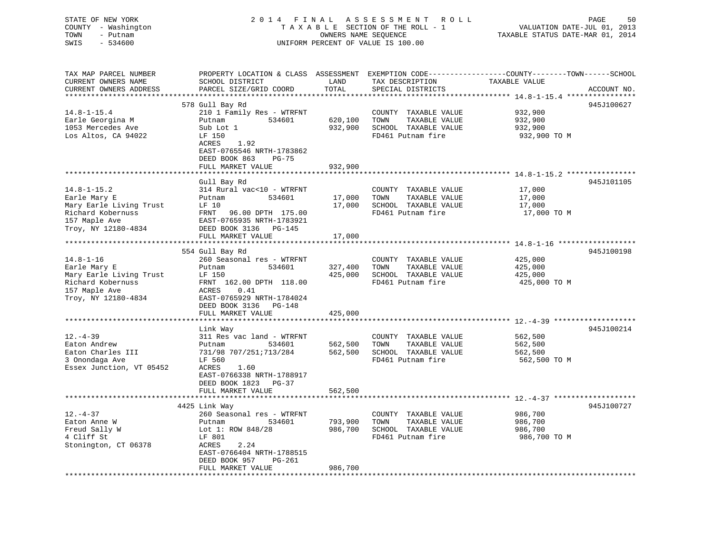| STATE OF NEW YORK<br>COUNTY - Washington<br>TOWN<br>- Putnam<br>SWIS<br>$-534600$ |                                                                                |              | 2014 FINAL ASSESSMENT ROLL<br>TAXABLE SECTION OF THE ROLL - 1<br>OWNERS NAME SEQUENCE<br>UNIFORM PERCENT OF VALUE IS 100.00 | 50<br>PAGE<br>VALUATION DATE-JUL 01, 2013<br>TAXABLE STATUS DATE-MAR 01, 2014                                    |
|-----------------------------------------------------------------------------------|--------------------------------------------------------------------------------|--------------|-----------------------------------------------------------------------------------------------------------------------------|------------------------------------------------------------------------------------------------------------------|
| TAX MAP PARCEL NUMBER<br>CURRENT OWNERS NAME                                      | SCHOOL DISTRICT                                                                | LAND         | TAX DESCRIPTION                                                                                                             | PROPERTY LOCATION & CLASS ASSESSMENT EXEMPTION CODE----------------COUNTY-------TOWN-----SCHOOL<br>TAXABLE VALUE |
| CURRENT OWNERS ADDRESS                                                            | PARCEL SIZE/GRID COORD                                                         | TOTAL        | SPECIAL DISTRICTS                                                                                                           | ACCOUNT NO.                                                                                                      |
|                                                                                   |                                                                                | *******      |                                                                                                                             | ********** 14.8-1-15.4 *****************                                                                         |
|                                                                                   | 578 Gull Bay Rd                                                                |              |                                                                                                                             | 945J100627                                                                                                       |
| $14.8 - 1 - 15.4$                                                                 | 210 1 Family Res - WTRFNT                                                      |              | COUNTY TAXABLE VALUE                                                                                                        | 932,900                                                                                                          |
| Earle Georgina M                                                                  | Putnam<br>534601                                                               | 620,100      | TOWN<br>TAXABLE VALUE                                                                                                       | 932,900                                                                                                          |
| 1053 Mercedes Ave                                                                 | Sub Lot 1                                                                      | 932,900      | SCHOOL TAXABLE VALUE                                                                                                        | 932,900                                                                                                          |
| Los Altos, CA 94022                                                               | LF 150<br>ACRES<br>1.92<br>EAST-0765546 NRTH-1783862<br>DEED BOOK 863<br>PG-75 |              | FD461 Putnam fire                                                                                                           | 932,900 TO M                                                                                                     |
|                                                                                   | FULL MARKET VALUE                                                              | 932,900      |                                                                                                                             |                                                                                                                  |
|                                                                                   | Gull Bay Rd                                                                    |              |                                                                                                                             | 945J101105                                                                                                       |
| $14.8 - 1 - 15.2$                                                                 | 314 Rural vac<10 - WTRFNT                                                      |              | COUNTY TAXABLE VALUE                                                                                                        | 17,000                                                                                                           |
| Earle Mary E                                                                      | 534601<br>Putnam                                                               | 17,000       | TOWN<br>TAXABLE VALUE                                                                                                       | 17,000                                                                                                           |
| Mary Earle Living Trust                                                           | LF 10                                                                          | 17,000       | SCHOOL TAXABLE VALUE                                                                                                        | 17,000                                                                                                           |
| Richard Kobernuss                                                                 | FRNT<br>96.00 DPTH 175.00                                                      |              | FD461 Putnam fire                                                                                                           | 17,000 TO M                                                                                                      |
| 157 Maple Ave                                                                     | EAST-0765935 NRTH-1783921                                                      |              |                                                                                                                             |                                                                                                                  |
| Troy, NY 12180-4834                                                               | DEED BOOK 3136 PG-145                                                          |              |                                                                                                                             |                                                                                                                  |
|                                                                                   | FULL MARKET VALUE                                                              | 17,000       |                                                                                                                             |                                                                                                                  |
|                                                                                   | 554 Gull Bay Rd                                                                |              |                                                                                                                             | 945J100198                                                                                                       |
| $14.8 - 1 - 16$                                                                   | 260 Seasonal res - WTRFNT                                                      |              | COUNTY TAXABLE VALUE                                                                                                        | 425,000                                                                                                          |
| Earle Mary E                                                                      | Putnam<br>534601                                                               | 327,400      | TAXABLE VALUE<br>TOWN                                                                                                       | 425,000                                                                                                          |
| Mary Earle Living Trust                                                           | LF 150                                                                         | 425,000      | SCHOOL TAXABLE VALUE                                                                                                        | 425,000                                                                                                          |
| Richard Kobernuss                                                                 | FRNT 162.00 DPTH 118.00                                                        |              | FD461 Putnam fire                                                                                                           | 425,000 TO M                                                                                                     |
| 157 Maple Ave                                                                     | ACRES<br>0.41                                                                  |              |                                                                                                                             |                                                                                                                  |
| Troy, NY 12180-4834                                                               | EAST-0765929 NRTH-1784024                                                      |              |                                                                                                                             |                                                                                                                  |
|                                                                                   | DEED BOOK 3136 PG-148                                                          |              |                                                                                                                             |                                                                                                                  |
|                                                                                   | FULL MARKET VALUE                                                              | 425,000      |                                                                                                                             |                                                                                                                  |
|                                                                                   | Link Way                                                                       |              |                                                                                                                             | 945J100214                                                                                                       |
| $12. - 4 - 39$                                                                    | 311 Res vac land - WTRFNT                                                      |              | COUNTY TAXABLE VALUE                                                                                                        | 562,500                                                                                                          |
| Eaton Andrew                                                                      | Putnam<br>534601                                                               | 562,500      | TOWN<br>TAXABLE VALUE                                                                                                       | 562,500                                                                                                          |
| Eaton Charles III                                                                 | 731/98 707/251;713/284                                                         | 562,500      | SCHOOL TAXABLE VALUE                                                                                                        | 562,500                                                                                                          |
| 3 Onondaga Ave                                                                    | LF 560                                                                         |              | FD461 Putnam fire                                                                                                           | 562,500 TO M                                                                                                     |
| Essex Junction, VT 05452                                                          | ACRES<br>1.60                                                                  |              |                                                                                                                             |                                                                                                                  |
|                                                                                   | EAST-0766338 NRTH-1788917<br>DEED BOOK 1823 PG-37                              |              |                                                                                                                             |                                                                                                                  |
|                                                                                   | FULL MARKET VALUE                                                              | 562,500      |                                                                                                                             |                                                                                                                  |
|                                                                                   |                                                                                |              |                                                                                                                             | ************* 12.-4-37 ***************                                                                           |
|                                                                                   | 4425 Link Way                                                                  |              |                                                                                                                             | 945J100727                                                                                                       |
| $12. - 4 - 37$                                                                    | 260 Seasonal res - WTRFNT                                                      |              | COUNTY TAXABLE VALUE                                                                                                        | 986,700                                                                                                          |
| Eaton Anne W                                                                      | 534601<br>Putnam                                                               | 793,900      | TOWN<br>TAXABLE VALUE                                                                                                       | 986,700                                                                                                          |
| Freud Sally W                                                                     | Lot 1: ROW 848/28                                                              | 986,700      | SCHOOL TAXABLE VALUE                                                                                                        | 986,700                                                                                                          |
| 4 Cliff St                                                                        | LF 801                                                                         |              | FD461 Putnam fire                                                                                                           | 986,700 TO M                                                                                                     |
| Stonington, CT 06378                                                              | ACRES<br>2.24                                                                  |              |                                                                                                                             |                                                                                                                  |
|                                                                                   | EAST-0766404 NRTH-1788515<br>PG-261                                            |              |                                                                                                                             |                                                                                                                  |
|                                                                                   | DEED BOOK 957<br>FULL MARKET VALUE                                             | 986,700      |                                                                                                                             |                                                                                                                  |
| ******************************                                                    |                                                                                | ************ |                                                                                                                             |                                                                                                                  |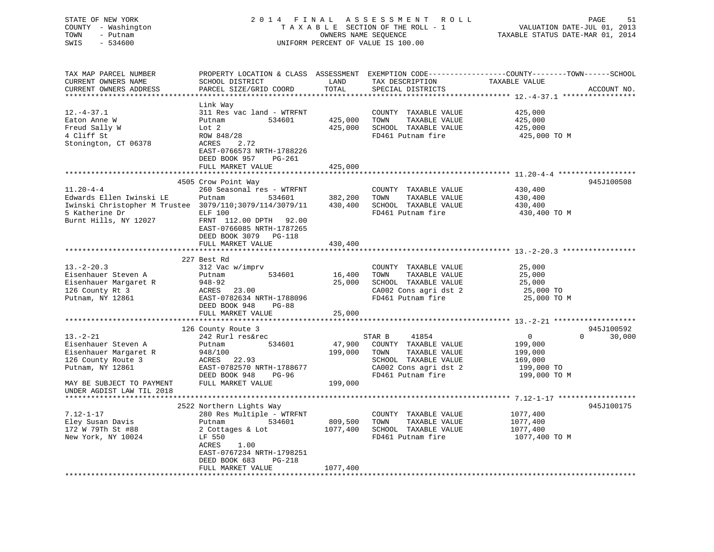| STATE OF NEW YORK<br>COUNTY - Washington<br>TOWN<br>- Putnam<br>$-534600$<br>SWIS                                                                                  | 2014 FINAL                                                                                                                                                                                                                  |                                                                         | ASSESSMENT<br>R O L L<br>TAXABLE SECTION OF THE ROLL - 1<br>OWNERS NAME SEQUENCE<br>UNIFORM PERCENT OF VALUE IS 100.00                 | 51<br>PAGE<br>VALUATION DATE-JUL 01, 2013<br>TAXABLE STATUS DATE-MAR 01, 2014                                                                                                     |
|--------------------------------------------------------------------------------------------------------------------------------------------------------------------|-----------------------------------------------------------------------------------------------------------------------------------------------------------------------------------------------------------------------------|-------------------------------------------------------------------------|----------------------------------------------------------------------------------------------------------------------------------------|-----------------------------------------------------------------------------------------------------------------------------------------------------------------------------------|
| TAX MAP PARCEL NUMBER<br>CURRENT OWNERS NAME<br>CURRENT OWNERS ADDRESS                                                                                             | SCHOOL DISTRICT<br>PARCEL SIZE/GRID COORD                                                                                                                                                                                   | LAND<br>TOTAL                                                           | TAX DESCRIPTION<br>SPECIAL DISTRICTS                                                                                                   | PROPERTY LOCATION & CLASS ASSESSMENT EXEMPTION CODE---------------COUNTY-------TOWN-----SCHOOL<br>TAXABLE VALUE<br>ACCOUNT NO.                                                    |
| $12.-4-37.1$<br>Eaton Anne W<br>Freud Sally W<br>4 Cliff St<br>Stonington, CT 06378                                                                                | Link Way<br>311 Res vac land - WTRFNT<br>Putnam<br>534601<br>Lot 2<br>ROW 848/28<br>ACRES<br>2.72<br>EAST-0766573 NRTH-1788226<br>DEED BOOK 957<br>PG-261                                                                   | **********<br>425,000<br>425,000                                        | COUNTY TAXABLE VALUE<br>TAXABLE VALUE<br>TOWN<br>SCHOOL TAXABLE VALUE<br>FD461 Putnam fire                                             | *************************** 12.-4-37.1 *****************<br>425,000<br>425,000<br>425,000<br>425,000 TO M                                                                         |
| $11.20 - 4 - 4$<br>Edwards Ellen Iwinski LE<br>Iwinski Christopher M Trustee 3079/110;3079/114/3079/11<br>5 Katherine Dr<br>Burnt Hills, NY 12027                  | FULL MARKET VALUE<br>4505 Crow Point Way<br>260 Seasonal res - WTRFNT<br>534601<br>Putnam<br><b>ELF 100</b><br>FRNT 112.00 DPTH 92.00<br>EAST-0766085 NRTH-1787265<br>DEED BOOK 3079 PG-118                                 | 425,000<br>382,200<br>430,400                                           | COUNTY TAXABLE VALUE<br>TOWN<br>TAXABLE VALUE<br>SCHOOL TAXABLE VALUE<br>FD461 Putnam fire                                             | 945J100508<br>430,400<br>430,400<br>430,400<br>430,400 TO M                                                                                                                       |
| $13.-2-20.3$<br>Eisenhauer Steven A<br>Eisenhauer Margaret R<br>126 County Rt 3<br>Putnam, NY 12861                                                                | FULL MARKET VALUE<br>227 Best Rd<br>312 Vac w/imprv<br>534601<br>Putnam<br>$948 - 92$<br>ACRES<br>23.00<br>EAST-0782634 NRTH-1788096<br>DEED BOOK 948<br>$PG-88$                                                            | 430,400<br>16,400<br>25,000                                             | COUNTY TAXABLE VALUE<br>TOWN<br>TAXABLE VALUE<br>SCHOOL TAXABLE VALUE<br>CA002 Cons agri dst 2<br>FD461 Putnam fire                    | ***************** 13. -2-20.3 ************<br>25,000<br>25,000<br>25,000<br>25,000 TO<br>25,000 TO M                                                                              |
| $13. - 2 - 21$<br>Eisenhauer Steven A<br>Eisenhauer Margaret R<br>126 County Route 3<br>Putnam, NY 12861<br>MAY BE SUBJECT TO PAYMENT<br>UNDER AGDIST LAW TIL 2018 | FULL MARKET VALUE<br>126 County Route 3<br>242 Rurl res&rec<br>534601<br>Putnam<br>948/100<br>ACRES<br>22.93<br>EAST-0782570 NRTH-1788677<br>DEED BOOK 948<br>PG-96<br>FULL MARKET VALUE                                    | 25,000<br>* * * * * * * * * * * * * * *<br>47,900<br>199,000<br>199,000 | STAR B<br>41854<br>COUNTY TAXABLE VALUE<br>TOWN<br>TAXABLE VALUE<br>SCHOOL TAXABLE VALUE<br>CA002 Cons agri dst 2<br>FD461 Putnam fire | ******************************* 13.-2-21 *******************<br>945J100592<br>$\overline{0}$<br>$\Omega$<br>30,000<br>199,000<br>199,000<br>169,000<br>199,000 TO<br>199,000 TO M |
| $7.12 - 1 - 17$<br>Eley Susan Davis<br>172 W 79Th St #88<br>New York, NY 10024<br>********************                                                             | 2522 Northern Lights Way<br>280 Res Multiple - WTRFNT<br>Putnam<br>534601<br>2 Cottages & Lot<br>LF 550<br>ACRES<br>1.00<br>EAST-0767234 NRTH-1798251<br>DEED BOOK 683<br>PG-218<br>FULL MARKET VALUE<br>****************** | 809,500<br>1077,400<br>1077,400                                         | COUNTY TAXABLE VALUE<br>TOWN<br>TAXABLE VALUE<br>SCHOOL TAXABLE VALUE<br>FD461 Putnam fire                                             | 945J100175<br>1077,400<br>1077,400<br>1077,400<br>1077,400 TO M                                                                                                                   |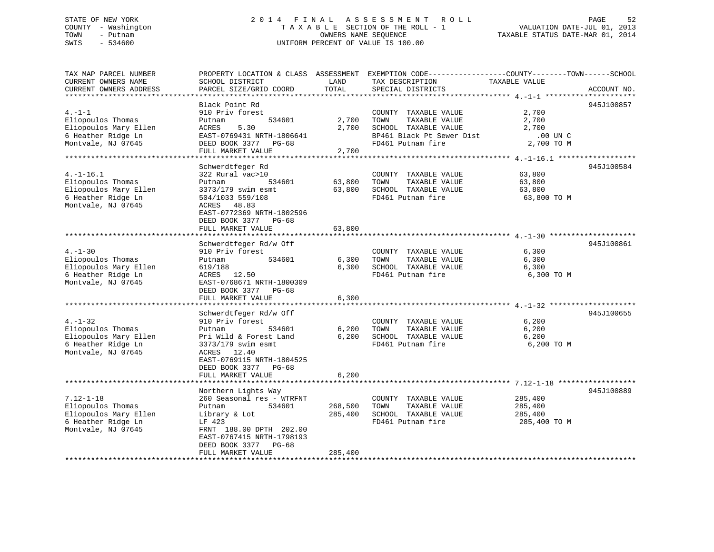## STATE OF NEW YORK 2 0 1 4 F I N A L A S S E S S M E N T R O L L PAGE 52 COUNTY - Washington T A X A B L E SECTION OF THE ROLL - 1 VALUATION DATE-JUL 01, 2013 TOWN - Putnam OWNERS NAME SEQUENCE TAXABLE STATUS DATE-MAR 01, 2014 SWIS - 534600 UNIFORM PERCENT OF VALUE IS 100.00

| TAX MAP PARCEL NUMBER                           |                                                        |         | PROPERTY LOCATION & CLASS ASSESSMENT EXEMPTION CODE---------------COUNTY-------TOWN-----SCHOOL |               |             |
|-------------------------------------------------|--------------------------------------------------------|---------|------------------------------------------------------------------------------------------------|---------------|-------------|
| CURRENT OWNERS NAME                             | SCHOOL DISTRICT                                        | LAND    | TAX DESCRIPTION                                                                                | TAXABLE VALUE |             |
| CURRENT OWNERS ADDRESS<br>********************* | PARCEL SIZE/GRID COORD<br>************************     | TOTAL   | SPECIAL DISTRICTS                                                                              |               | ACCOUNT NO. |
|                                                 | Black Point Rd                                         |         |                                                                                                |               | 945J100857  |
| $4. -1 -1$                                      | 910 Priv forest                                        |         | COUNTY TAXABLE VALUE                                                                           | 2,700         |             |
| Eliopoulos Thomas                               | 534601<br>Putnam                                       | 2,700   | TAXABLE VALUE<br>TOWN                                                                          | 2,700         |             |
| Eliopoulos Mary Ellen                           | 5.30<br>ACRES                                          | 2,700   | SCHOOL TAXABLE VALUE                                                                           | 2,700         |             |
| 6 Heather Ridge Ln                              | EAST-0769431 NRTH-1806641                              |         | BP461 Black Pt Sewer Dist                                                                      | $.00$ UN C    |             |
| Montvale, NJ 07645                              | DEED BOOK 3377<br>PG-68                                |         | FD461 Putnam fire                                                                              | 2,700 TO M    |             |
|                                                 | FULL MARKET VALUE                                      | 2,700   |                                                                                                |               |             |
|                                                 |                                                        |         |                                                                                                |               |             |
|                                                 | Schwerdtfeger Rd                                       |         |                                                                                                |               | 945J100584  |
| $4. -1 - 16.1$                                  | 322 Rural vac>10                                       |         | COUNTY TAXABLE VALUE                                                                           | 63,800        |             |
| Eliopoulos Thomas                               | Putnam<br>534601                                       | 63,800  | TOWN<br>TAXABLE VALUE                                                                          | 63,800        |             |
| Eliopoulos Mary Ellen                           | 3373/179 swim esmt                                     | 63,800  | SCHOOL TAXABLE VALUE                                                                           | 63,800        |             |
| 6 Heather Ridge Ln                              | 504/1033 559/108                                       |         | FD461 Putnam fire                                                                              | 63,800 TO M   |             |
| Montvale, NJ 07645                              | ACRES 48.83                                            |         |                                                                                                |               |             |
|                                                 | EAST-0772369 NRTH-1802596                              |         |                                                                                                |               |             |
|                                                 | DEED BOOK 3377 PG-68                                   |         |                                                                                                |               |             |
|                                                 | FULL MARKET VALUE                                      | 63,800  |                                                                                                |               |             |
|                                                 |                                                        |         |                                                                                                |               |             |
|                                                 | Schwerdtfeger Rd/w Off                                 |         |                                                                                                |               | 945J100861  |
| $4. - 1 - 30$                                   | 910 Priv forest                                        |         | COUNTY TAXABLE VALUE                                                                           | 6,300         |             |
| Eliopoulos Thomas                               | 534601<br>Putnam                                       | 6,300   | TAXABLE VALUE<br>TOWN                                                                          | 6,300         |             |
| Eliopoulos Mary Ellen<br>6 Heather Ridge Ln     | 619/188                                                | 6,300   | SCHOOL TAXABLE VALUE<br>FD461 Putnam fire                                                      | 6,300         |             |
| Montvale, NJ 07645                              | ACRES 12.50<br>EAST-0768671 NRTH-1800309               |         |                                                                                                | 6,300 TO M    |             |
|                                                 | DEED BOOK 3377<br>PG-68                                |         |                                                                                                |               |             |
|                                                 | FULL MARKET VALUE                                      | 6,300   |                                                                                                |               |             |
|                                                 |                                                        |         |                                                                                                |               |             |
|                                                 | Schwerdtfeger Rd/w Off                                 |         |                                                                                                |               | 945J100655  |
| $4. - 1 - 32$                                   | 910 Priv forest                                        |         | COUNTY TAXABLE VALUE                                                                           | 6,200         |             |
| Eliopoulos Thomas                               | 534601<br>Putnam                                       | 6,200   | TOWN<br>TAXABLE VALUE                                                                          | 6,200         |             |
| Eliopoulos Mary Ellen                           | Pri Wild & Forest Land                                 | 6,200   | SCHOOL TAXABLE VALUE                                                                           | 6,200         |             |
| 6 Heather Ridge Ln                              | 3373/179 swim esmt                                     |         | FD461 Putnam fire                                                                              | 6,200 TO M    |             |
| Montvale, NJ 07645                              | ACRES<br>12.40                                         |         |                                                                                                |               |             |
|                                                 | EAST-0769115 NRTH-1804525                              |         |                                                                                                |               |             |
|                                                 | DEED BOOK 3377<br>PG-68                                |         |                                                                                                |               |             |
|                                                 | FULL MARKET VALUE                                      | 6,200   |                                                                                                |               |             |
|                                                 |                                                        |         |                                                                                                |               |             |
|                                                 | Northern Lights Way                                    |         |                                                                                                |               | 945J100889  |
| $7.12 - 1 - 18$                                 | 260 Seasonal res - WTRFNT                              |         | COUNTY TAXABLE VALUE                                                                           | 285,400       |             |
| Eliopoulos Thomas                               | 534601<br>Putnam                                       | 268,500 | TAXABLE VALUE<br>TOWN                                                                          | 285,400       |             |
| Eliopoulos Mary Ellen                           | Library & Lot                                          | 285,400 | SCHOOL TAXABLE VALUE                                                                           | 285,400       |             |
| 6 Heather Ridge Ln                              | LF 423                                                 |         | FD461 Putnam fire                                                                              | 285,400 TO M  |             |
| Montvale, NJ 07645                              | FRNT 188.00 DPTH 202.00                                |         |                                                                                                |               |             |
|                                                 | EAST-0767415 NRTH-1798193<br>DEED BOOK 3377<br>$PG-68$ |         |                                                                                                |               |             |
|                                                 | FULL MARKET VALUE                                      | 285,400 |                                                                                                |               |             |
|                                                 |                                                        |         |                                                                                                |               |             |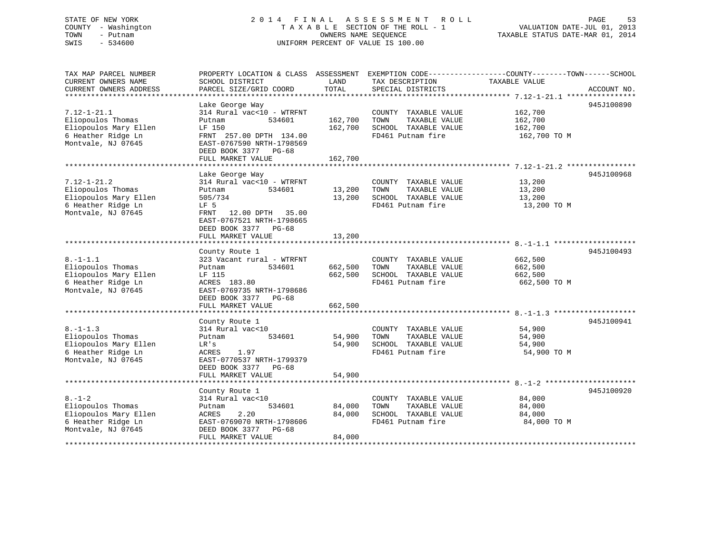## STATE OF NEW YORK 2 0 1 4 F I N A L A S S E S S M E N T R O L L PAGE 53 COUNTY - Washington T A X A B L E SECTION OF THE ROLL - 1 VALUATION DATE-JUL 01, 2013 TOWN - Putnam OWNERS NAME SEQUENCE TAXABLE STATUS DATE-MAR 01, 2014 SWIS - 534600 UNIFORM PERCENT OF VALUE IS 100.00

| TAX MAP PARCEL NUMBER<br>CURRENT OWNERS NAME<br>CURRENT OWNERS ADDRESS                                      | PROPERTY LOCATION & CLASS ASSESSMENT<br>SCHOOL DISTRICT<br>PARCEL SIZE/GRID COORD                                                                                               | LAND<br>TOTAL                 | TAX DESCRIPTION<br>SPECIAL DISTRICTS                                                       | EXEMPTION CODE-----------------COUNTY-------TOWN------SCHOOL<br>TAXABLE VALUE<br>ACCOUNT NO. |
|-------------------------------------------------------------------------------------------------------------|---------------------------------------------------------------------------------------------------------------------------------------------------------------------------------|-------------------------------|--------------------------------------------------------------------------------------------|----------------------------------------------------------------------------------------------|
| $7.12 - 1 - 21.1$<br>Eliopoulos Thomas<br>Eliopoulos Mary Ellen<br>6 Heather Ridge Ln<br>Montvale, NJ 07645 | Lake George Way<br>314 Rural vac<10 - WTRFNT<br>Putnam<br>534601<br>LF 150<br>FRNT 257.00 DPTH 134.00<br>EAST-0767590 NRTH-1798569<br>DEED BOOK 3377 PG-68<br>FULL MARKET VALUE | 162,700<br>162,700<br>162,700 | COUNTY TAXABLE VALUE<br>TOWN<br>TAXABLE VALUE<br>SCHOOL TAXABLE VALUE<br>FD461 Putnam fire | 945J100890<br>162,700<br>162,700<br>162,700<br>162,700 TO M                                  |
|                                                                                                             | Lake George Way                                                                                                                                                                 |                               |                                                                                            | 945J100968                                                                                   |
| $7.12 - 1 - 21.2$<br>Eliopoulos Thomas<br>Eliopoulos Mary Ellen<br>6 Heather Ridge Ln<br>Montvale, NJ 07645 | 314 Rural vac<10 - WTRFNT<br>534601<br>Putnam<br>505/734<br>LF 5<br>12.00 DPTH 35.00<br>FRNT<br>EAST-0767521 NRTH-1798665<br>DEED BOOK 3377 PG-68                               | 13,200<br>13,200              | COUNTY TAXABLE VALUE<br>TOWN<br>TAXABLE VALUE<br>SCHOOL TAXABLE VALUE<br>FD461 Putnam fire | 13,200<br>13,200<br>13,200<br>13,200 TO M                                                    |
|                                                                                                             | FULL MARKET VALUE                                                                                                                                                               | 13,200                        |                                                                                            |                                                                                              |
|                                                                                                             |                                                                                                                                                                                 |                               |                                                                                            |                                                                                              |
| $8. - 1 - 1.1$<br>Eliopoulos Thomas<br>Eliopoulos Mary Ellen<br>6 Heather Ridge Ln<br>Montvale, NJ 07645    | County Route 1<br>323 Vacant rural - WTRFNT<br>534601<br>Putnam<br>LF 115<br>ACRES 183.80<br>EAST-0769735 NRTH-1798686<br>DEED BOOK 3377 PG-68<br>FULL MARKET VALUE             | 662,500<br>662,500<br>662,500 | COUNTY TAXABLE VALUE<br>TOWN<br>TAXABLE VALUE<br>SCHOOL TAXABLE VALUE<br>FD461 Putnam fire | 945J100493<br>662,500<br>662,500<br>662,500<br>662,500 TO M                                  |
|                                                                                                             |                                                                                                                                                                                 |                               |                                                                                            |                                                                                              |
| $8. - 1 - 1.3$<br>Eliopoulos Thomas<br>Eliopoulos Mary Ellen<br>6 Heather Ridge Ln<br>Montvale, NJ 07645    | County Route 1<br>314 Rural vac<10<br>534601<br>Putnam<br>LR's<br><b>ACRES</b><br>1.97<br>EAST-0770537 NRTH-1799379<br>DEED BOOK 3377 PG-68                                     | 54,900<br>54,900              | COUNTY TAXABLE VALUE<br>TOWN<br>TAXABLE VALUE<br>SCHOOL TAXABLE VALUE<br>FD461 Putnam fire | 945J100941<br>54,900<br>54,900<br>54,900<br>54,900 TO M                                      |
|                                                                                                             | FULL MARKET VALUE                                                                                                                                                               | 54,900                        |                                                                                            |                                                                                              |
| $8. - 1 - 2$<br>Eliopoulos Thomas<br>Eliopoulos Mary Ellen                                                  | County Route 1<br>314 Rural vac<10<br>534601<br>Putnam<br>2.20<br>ACRES                                                                                                         | 84,000<br>84,000              | COUNTY TAXABLE VALUE<br>TAXABLE VALUE<br>TOWN<br>SCHOOL TAXABLE VALUE                      | 945J100920<br>84,000<br>84,000<br>84,000                                                     |
| 6 Heather Ridge Ln<br>Montvale, NJ 07645                                                                    | EAST-0769070 NRTH-1798606<br>DEED BOOK 3377<br>PG-68<br>FULL MARKET VALUE                                                                                                       | 84,000                        | FD461 Putnam fire                                                                          | 84,000 TO M                                                                                  |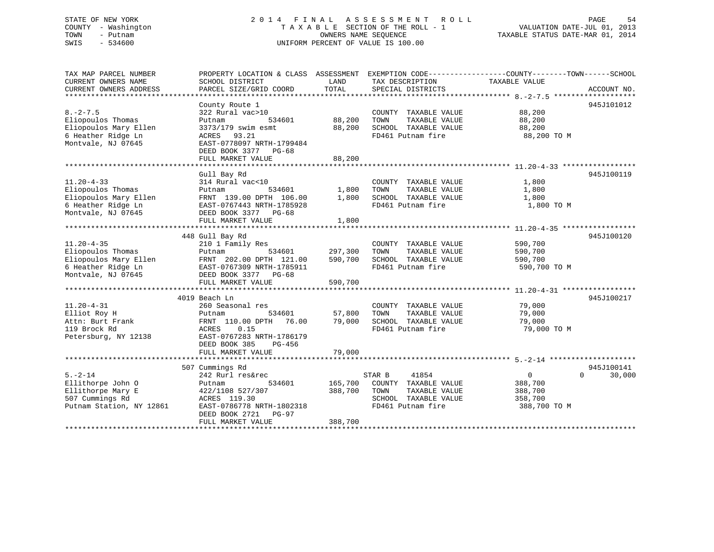# STATE OF NEW YORK STATE OF NEW YORK SALL ASSESSMENT ROLL SALL PAGE 54 COUNTY - Washington  $T A X A B L E$  SECTION OF THE ROLL - 1<br>TOWN - Putnam data of the COUNTERS NAME SEQUENCE SWIS - 534600 UNIFORM PERCENT OF VALUE IS 100.00

TAXABLE STATUS DATE-MAR 01, 2014

| TAX MAP PARCEL NUMBER<br>CURRENT OWNERS NAME | PROPERTY LOCATION & CLASS ASSESSMENT EXEMPTION CODE--------------COUNTY-------TOWN-----SCHOOL<br>SCHOOL DISTRICT | LAND                   | TAX DESCRIPTION                               | TAXABLE VALUE                                       |                                  |
|----------------------------------------------|------------------------------------------------------------------------------------------------------------------|------------------------|-----------------------------------------------|-----------------------------------------------------|----------------------------------|
| CURRENT OWNERS ADDRESS                       | PARCEL SIZE/GRID COORD                                                                                           | TOTAL                  | SPECIAL DISTRICTS                             |                                                     | ACCOUNT NO.                      |
|                                              |                                                                                                                  |                        |                                               |                                                     |                                  |
|                                              | County Route 1                                                                                                   |                        |                                               |                                                     | 945J101012                       |
| $8. - 2 - 7.5$                               | 322 Rural vac>10                                                                                                 |                        | COUNTY TAXABLE VALUE                          | 88,200                                              |                                  |
| Eliopoulos Thomas<br>Eliopoulos Mary Ellen   | 534601<br>Putnam<br>3373/179 swim esmt                                                                           | 88,200<br>88,200       | TOWN<br>TAXABLE VALUE<br>SCHOOL TAXABLE VALUE | 88,200<br>88,200                                    |                                  |
| 6 Heather Ridge Ln                           | ACRES<br>93.21                                                                                                   |                        | FD461 Putnam fire                             | 88,200 TO M                                         |                                  |
| Montvale, NJ 07645                           | EAST-0778097 NRTH-1799484                                                                                        |                        |                                               |                                                     |                                  |
|                                              | DEED BOOK 3377 PG-68                                                                                             |                        |                                               |                                                     |                                  |
|                                              | FULL MARKET VALUE                                                                                                | 88,200                 |                                               |                                                     |                                  |
|                                              |                                                                                                                  |                        |                                               |                                                     |                                  |
|                                              | Gull Bay Rd                                                                                                      |                        |                                               |                                                     | 945J100119                       |
| $11.20 - 4 - 33$                             | 314 Rural vac<10                                                                                                 |                        | COUNTY TAXABLE VALUE                          | 1,800                                               |                                  |
| Eliopoulos Thomas                            | 534601<br>Putnam                                                                                                 | 1,800                  | TOWN<br>TAXABLE VALUE                         | 1,800                                               |                                  |
| Eliopoulos Mary Ellen                        | FRNT 139.00 DPTH 106.00                                                                                          | 1,800                  | SCHOOL TAXABLE VALUE                          | 1,800                                               |                                  |
| 6 Heather Ridge Ln                           | EAST-0767443 NRTH-1785928                                                                                        |                        | FD461 Putnam fire                             | 1,800 TO M                                          |                                  |
| Montvale, NJ 07645                           | DEED BOOK 3377 PG-68<br>FULL MARKET VALUE                                                                        | 1,800                  |                                               |                                                     |                                  |
|                                              |                                                                                                                  |                        |                                               |                                                     |                                  |
|                                              | 448 Gull Bay Rd                                                                                                  |                        |                                               |                                                     | 945J100120                       |
| $11.20 - 4 - 35$                             | 210 1 Family Res                                                                                                 |                        | COUNTY TAXABLE VALUE                          | 590,700                                             |                                  |
| Eliopoulos Thomas                            | 534601<br>Putnam                                                                                                 | 297,300                | TAXABLE VALUE<br>TOWN                         | 590,700                                             |                                  |
| Eliopoulos Mary Ellen                        | FRNT 202.00 DPTH 121.00                                                                                          | 590,700                | SCHOOL TAXABLE VALUE                          | 590,700                                             |                                  |
| 6 Heather Ridge Ln                           | EAST-0767309 NRTH-1785911                                                                                        |                        | FD461 Putnam fire                             | 590,700 TO M                                        |                                  |
| Montvale, NJ 07645                           | DEED BOOK 3377 PG-68                                                                                             |                        |                                               |                                                     |                                  |
|                                              | FULL MARKET VALUE<br>*************************************                                                       | 590,700<br>*********** |                                               | ********************* 11.20-4-31 ****************** |                                  |
|                                              | 4019 Beach Ln                                                                                                    |                        |                                               |                                                     | 945J100217                       |
| $11.20 - 4 - 31$                             | 260 Seasonal res                                                                                                 |                        | COUNTY TAXABLE VALUE                          | 79,000                                              |                                  |
| Elliot Roy H                                 | 534601<br>Putnam                                                                                                 | 57,800                 | TOWN<br>TAXABLE VALUE                         | 79,000                                              |                                  |
| Attn: Burt Frank                             | FRNT 110.00 DPTH<br>76.00                                                                                        | 79,000                 | SCHOOL TAXABLE VALUE                          | 79,000                                              |                                  |
| 119 Brock Rd                                 | 0.15<br>ACRES                                                                                                    |                        | FD461 Putnam fire                             | 79,000 TO M                                         |                                  |
| Petersburg, NY 12138                         | EAST-0767283 NRTH-1786179                                                                                        |                        |                                               |                                                     |                                  |
|                                              | DEED BOOK 385<br>PG-456                                                                                          |                        |                                               |                                                     |                                  |
|                                              | FULL MARKET VALUE                                                                                                | 79,000                 |                                               |                                                     |                                  |
|                                              |                                                                                                                  |                        |                                               |                                                     |                                  |
| $5. -2 - 14$                                 | 507 Cummings Rd                                                                                                  |                        | 41854                                         | $\Omega$                                            | 945J100141<br>$\Omega$<br>30,000 |
| Ellithorpe John O                            | 242 Rurl res&rec<br>534601                                                                                       | 165,700                | STAR B<br>COUNTY TAXABLE VALUE                | 388,700                                             |                                  |
| Ellithorpe Mary E                            | Putnam<br>422/1108 527/307                                                                                       | 388,700                | TOWN<br>TAXABLE VALUE                         | 388,700                                             |                                  |
| 507 Cummings Rd                              | ACRES 119.30                                                                                                     |                        | SCHOOL TAXABLE VALUE                          | 358,700                                             |                                  |
| Putnam Station, NY 12861                     | EAST-0786778 NRTH-1802318                                                                                        |                        | FD461 Putnam fire                             | 388,700 TO M                                        |                                  |
|                                              | DEED BOOK 2721<br>PG-97                                                                                          |                        |                                               |                                                     |                                  |
|                                              | FULL MARKET VALUE                                                                                                | 388,700                |                                               |                                                     |                                  |
|                                              |                                                                                                                  |                        |                                               |                                                     |                                  |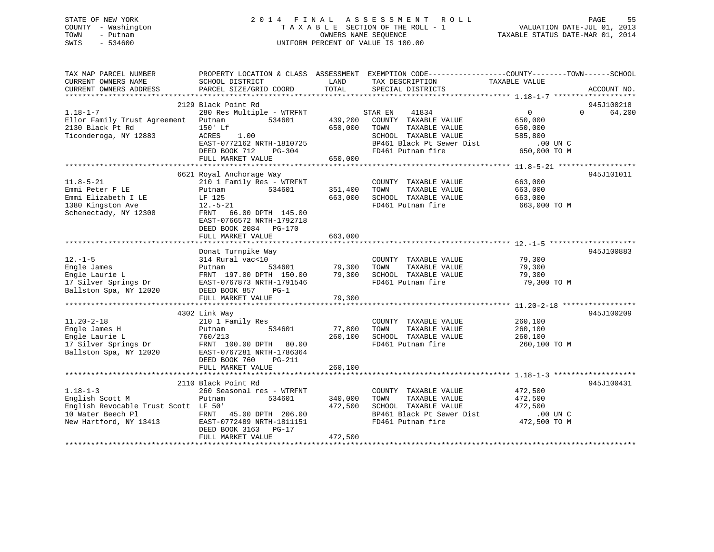## STATE OF NEW YORK 2 0 1 4 F I N A L A S S E S S M E N T R O L L PAGE 55 COUNTY - Washington T A X A B L E SECTION OF THE ROLL - 1 VALUATION DATE-JUL 01, 2013 TOWN - Putnam OWNERS NAME SEQUENCE TAXABLE STATUS DATE-MAR 01, 2014 SWIS - 534600 UNIFORM PERCENT OF VALUE IS 100.00

| TAX MAP PARCEL NUMBER<br>CURRENT OWNERS NAME<br>CURRENT OWNERS ADDRESS | SCHOOL DISTRICT<br>PARCEL SIZE/GRID COORD | LAND<br>TOTAL | PROPERTY LOCATION & CLASS ASSESSMENT EXEMPTION CODE---------------COUNTY-------TOWN-----SCHOOL<br>TAX DESCRIPTION<br>SPECIAL DISTRICTS | TAXABLE VALUE              | ACCOUNT NO. |
|------------------------------------------------------------------------|-------------------------------------------|---------------|----------------------------------------------------------------------------------------------------------------------------------------|----------------------------|-------------|
|                                                                        |                                           |               |                                                                                                                                        |                            |             |
|                                                                        | 2129 Black Point Rd                       |               |                                                                                                                                        |                            | 945J100218  |
| $1.18 - 1 - 7$                                                         | 280 Res Multiple - WTRFNT                 |               | 41834<br>STAR EN                                                                                                                       | $\Omega$<br>$\overline{0}$ | 64,200      |
| Ellor Family Trust Agreement Putnam                                    | 534601                                    | 439,200       | COUNTY TAXABLE VALUE                                                                                                                   | 650,000                    |             |
| 2130 Black Pt Rd                                                       | 150' Lf                                   | 650,000       | TOWN<br>TAXABLE VALUE                                                                                                                  | 650,000                    |             |
| Ticonderoga, NY 12883                                                  | ACRES<br>1.00                             |               | SCHOOL TAXABLE VALUE                                                                                                                   | 585,800                    |             |
|                                                                        | EAST-0772162 NRTH-1810725                 |               | BP461 Black Pt Sewer Dist                                                                                                              | .00 UN C                   |             |
|                                                                        | DEED BOOK 712<br>$PG-304$                 |               | FD461 Putnam fire                                                                                                                      | 650,000 TO M               |             |
|                                                                        | FULL MARKET VALUE                         | 650,000       |                                                                                                                                        |                            |             |
|                                                                        |                                           |               |                                                                                                                                        |                            |             |
|                                                                        | 6621 Royal Anchorage Way                  |               |                                                                                                                                        |                            | 945J101011  |
| $11.8 - 5 - 21$                                                        | 210 1 Family Res - WTRFNT                 |               | COUNTY TAXABLE VALUE                                                                                                                   | 663,000                    |             |
| Emmi Peter F LE                                                        | 534601<br>Putnam                          | 351,400       | TOWN<br>TAXABLE VALUE                                                                                                                  | 663,000                    |             |
| Emmi Elizabeth I LE                                                    | LF 125                                    | 663,000       | SCHOOL TAXABLE VALUE                                                                                                                   | 663,000                    |             |
| 1380 Kingston Ave                                                      | $12.-5-21$                                |               | FD461 Putnam fire                                                                                                                      | 663,000 TO M               |             |
| Schenectady, NY 12308                                                  | 66.00 DPTH 145.00<br>FRNT                 |               |                                                                                                                                        |                            |             |
|                                                                        | EAST-0766572 NRTH-1792718                 |               |                                                                                                                                        |                            |             |
|                                                                        | DEED BOOK 2084 PG-170                     |               |                                                                                                                                        |                            |             |
|                                                                        | FULL MARKET VALUE                         | 663,000       |                                                                                                                                        |                            |             |
|                                                                        |                                           |               |                                                                                                                                        |                            |             |
|                                                                        | Donat Turnpike Way                        |               |                                                                                                                                        |                            | 945J100883  |
| $12.-1-5$                                                              | 314 Rural vac<10                          |               | COUNTY TAXABLE VALUE                                                                                                                   | 79,300                     |             |
| Engle James                                                            | 534601<br>Putnam                          | 79,300        | TAXABLE VALUE<br>TOWN                                                                                                                  | 79,300                     |             |
| Engle Laurie L                                                         | FRNT 197.00 DPTH 150.00                   | 79,300        | SCHOOL TAXABLE VALUE                                                                                                                   | 79,300                     |             |
| 17 Silver Springs Dr                                                   | EAST-0767873 NRTH-1791546                 |               | FD461 Putnam fire                                                                                                                      | 79,300 TO M                |             |
| Ballston Spa, NY 12020                                                 | DEED BOOK 857<br>$PG-1$                   |               |                                                                                                                                        |                            |             |
|                                                                        | FULL MARKET VALUE                         | 79,300        |                                                                                                                                        |                            |             |
|                                                                        |                                           |               |                                                                                                                                        |                            |             |
|                                                                        | 4302 Link Way                             |               |                                                                                                                                        |                            | 945J100209  |
| $11.20 - 2 - 18$                                                       | 210 1 Family Res                          |               | COUNTY TAXABLE VALUE                                                                                                                   | 260,100                    |             |
| Engle James H                                                          | 534601<br>Putnam                          | 77,800        | TAXABLE VALUE<br>TOWN                                                                                                                  | 260,100                    |             |
| Engle Laurie L                                                         | 760/213                                   | 260,100       | SCHOOL TAXABLE VALUE                                                                                                                   | 260,100                    |             |
| 17 Silver Springs Dr                                                   | FRNT 100.00 DPTH 80.00                    |               | FD461 Putnam fire                                                                                                                      | 260,100 TO M               |             |
| Ballston Spa, NY 12020                                                 | EAST-0767281 NRTH-1786364                 |               |                                                                                                                                        |                            |             |
|                                                                        | DEED BOOK 760<br>PG-211                   |               |                                                                                                                                        |                            |             |
|                                                                        | FULL MARKET VALUE                         | 260,100       |                                                                                                                                        |                            |             |
|                                                                        |                                           |               |                                                                                                                                        |                            |             |
|                                                                        | 2110 Black Point Rd                       |               |                                                                                                                                        |                            | 945J100431  |
| $1.18 - 1 - 3$                                                         | 260 Seasonal res - WTRFNT                 |               | COUNTY TAXABLE VALUE                                                                                                                   | 472,500                    |             |
| English Scott M                                                        | 534601<br>Putnam                          | 340,000       | TOWN<br>TAXABLE VALUE                                                                                                                  | 472,500                    |             |
| English Revocable Trust Scott LF 50'                                   |                                           | 472,500       | SCHOOL TAXABLE VALUE                                                                                                                   | 472,500                    |             |
| 10 Water Beech Pl                                                      | FRNT<br>45.00 DPTH 206.00                 |               | BP461 Black Pt Sewer Dist                                                                                                              | $.00$ UN C                 |             |
| New Hartford, NY 13413                                                 | EAST-0772489 NRTH-1811151                 |               | FD461 Putnam fire                                                                                                                      | 472,500 TO M               |             |
|                                                                        | DEED BOOK 3163 PG-17                      |               |                                                                                                                                        |                            |             |
|                                                                        | FULL MARKET VALUE                         | 472,500       |                                                                                                                                        |                            |             |
|                                                                        |                                           |               |                                                                                                                                        |                            |             |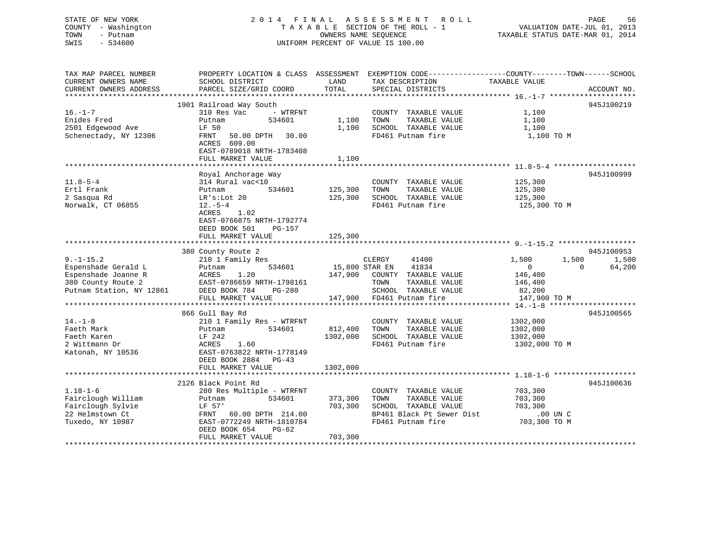## STATE OF NEW YORK 2 0 1 4 F I N A L A S S E S S M E N T R O L L PAGE 56 COUNTY - Washington T A X A B L E SECTION OF THE ROLL - 1 VALUATION DATE-JUL 01, 2013 TOWN - Putnam OWNERS NAME SEQUENCE TAXABLE STATUS DATE-MAR 01, 2014 SWIS - 534600 UNIFORM PERCENT OF VALUE IS 100.00

| TAX MAP PARCEL NUMBER  |                                                                               |          | PROPERTY LOCATION & CLASS ASSESSMENT EXEMPTION CODE----------------COUNTY-------TOWN-----SCHOOL |                |                          |
|------------------------|-------------------------------------------------------------------------------|----------|-------------------------------------------------------------------------------------------------|----------------|--------------------------|
| CURRENT OWNERS NAME    | SCHOOL DISTRICT                                                               | LAND     | TAX DESCRIPTION                                                                                 | TAXABLE VALUE  |                          |
| CURRENT OWNERS ADDRESS | PARCEL SIZE/GRID COORD                                                        | TOTAL    | SPECIAL DISTRICTS                                                                               |                | ACCOUNT NO.              |
|                        |                                                                               |          |                                                                                                 |                |                          |
|                        | 1901 Railroad Way South                                                       |          |                                                                                                 |                | 945J100219               |
| $16. - 1 - 7$          | - WTRFNT<br>310 Res Vac                                                       |          | COUNTY TAXABLE VALUE                                                                            | 1,100          |                          |
| Enides Fred            | 534601<br>Putnam                                                              |          | 1,100 TOWN<br>TAXABLE VALUE                                                                     | 1,100          |                          |
| 2501 Edgewood Ave      | LF 50                                                                         | 1,100    | SCHOOL TAXABLE VALUE                                                                            | 1,100          |                          |
| Schenectady, NY 12306  | FRNT 50.00 DPTH 30.00                                                         |          | FD461 Putnam fire                                                                               | 1,100 TO M     |                          |
|                        | ACRES 609.00                                                                  |          |                                                                                                 |                |                          |
|                        | EAST-0789018 NRTH-1783408                                                     |          |                                                                                                 |                |                          |
|                        | FULL MARKET VALUE                                                             | 1,100    |                                                                                                 |                |                          |
|                        |                                                                               |          |                                                                                                 |                |                          |
|                        | Royal Anchorage Way                                                           |          |                                                                                                 |                | 945J100999               |
| $11.8 - 5 - 4$         | 314 Rural vac<10                                                              |          | COUNTY TAXABLE VALUE                                                                            | 125,300        |                          |
| Ertl Frank             | 534601<br>Putnam                                                              | 125,300  | TOWN<br>TAXABLE VALUE                                                                           | 125,300        |                          |
| 2 Sasqua Rd            | LR's: Lot 20                                                                  | 125,300  | SCHOOL TAXABLE VALUE                                                                            | 125,300        |                          |
| Norwalk, CT 06855      | $12.-5-4$                                                                     |          | FD461 Putnam fire                                                                               | 125,300 TO M   |                          |
|                        | 1.02<br>ACRES                                                                 |          |                                                                                                 |                |                          |
|                        | EAST-0766875 NRTH-1792774                                                     |          |                                                                                                 |                |                          |
|                        | DEED BOOK 501<br>PG-157                                                       |          |                                                                                                 |                |                          |
|                        | FULL MARKET VALUE                                                             | 125,300  |                                                                                                 |                |                          |
|                        |                                                                               |          |                                                                                                 |                |                          |
|                        | 380 County Route 2                                                            |          |                                                                                                 |                | 945J100953               |
| $9. - 1 - 15.2$        | 210 1 Family Res                                                              |          | CLERGY<br>41400                                                                                 | 1,500          | 1,500<br>1,500           |
| Espenshade Gerald L    | 534601<br>Putnam                                                              |          | 15,800 STAR EN 41834                                                                            | $\overline{0}$ | 64,200<br>$\overline{0}$ |
|                        |                                                                               |          | 147,900 COUNTY TAXABLE VALUE                                                                    | 146,400        |                          |
|                        |                                                                               |          | TOWN<br>TAXABLE VALUE                                                                           | 146,400        |                          |
|                        |                                                                               |          | SCHOOL TAXABLE VALUE                                                                            | 82,200         |                          |
|                        | FULL MARKET VALUE                                                             |          | 147,900 FD461 Putnam fire                                                                       | 147,900 TO M   |                          |
|                        |                                                                               |          |                                                                                                 |                |                          |
|                        | 866 Gull Bay Rd                                                               |          |                                                                                                 |                | 945J100565               |
| $14. - 1 - 8$          | 210 1 Family Res - WTRFNT                                                     |          | COUNTY TAXABLE VALUE                                                                            | 1302,000       |                          |
| Faeth Mark             | 534601<br>Putnam                                                              | 812,400  | TOWN<br>TAXABLE VALUE                                                                           | 1302,000       |                          |
| Faeth Karen            | LF 242                                                                        | 1302,000 | SCHOOL TAXABLE VALUE                                                                            | 1302,000       |                          |
| 2 Wittmann Dr          | <b>ACRES</b><br>1.60                                                          |          | FD461 Putnam fire                                                                               | 1302,000 TO M  |                          |
| Katonah, NY 10536      | EAST-0763822 NRTH-1778149                                                     |          |                                                                                                 |                |                          |
|                        | DEED BOOK 2884 PG-43                                                          |          |                                                                                                 |                |                          |
|                        | FULL MARKET VALUE                                                             | 1302,000 |                                                                                                 |                |                          |
|                        |                                                                               |          |                                                                                                 |                |                          |
|                        | 2126 Black Point Rd                                                           |          |                                                                                                 |                | 945J100636               |
| $1.18 - 1 - 6$         | 280 Res Multiple - WTRFNT                                                     |          | COUNTY TAXABLE VALUE                                                                            | 703,300        |                          |
| Fairclough William     | 534601<br>Putnam                                                              | 373,300  | TOWN<br>TAXABLE VALUE                                                                           | 703,300        |                          |
|                        |                                                                               | 703,300  | SCHOOL TAXABLE VALUE                                                                            | 703,300        |                          |
|                        | Fairclough Sylvie<br>214.00<br>214.00<br>214.00<br>214.00<br>214.00<br>214.00 |          | BP461 Black Pt Sewer Dist                                                                       | .00 UN C       |                          |
| Tuxedo, NY 10987       | EAST-0772249 NRTH-1810784                                                     |          | FD461 Putnam fire                                                                               | 703,300 TO M   |                          |
|                        | DEED BOOK 654<br>PG-62                                                        |          |                                                                                                 |                |                          |
|                        | FULL MARKET VALUE                                                             | 703,300  |                                                                                                 |                |                          |
|                        |                                                                               |          |                                                                                                 |                |                          |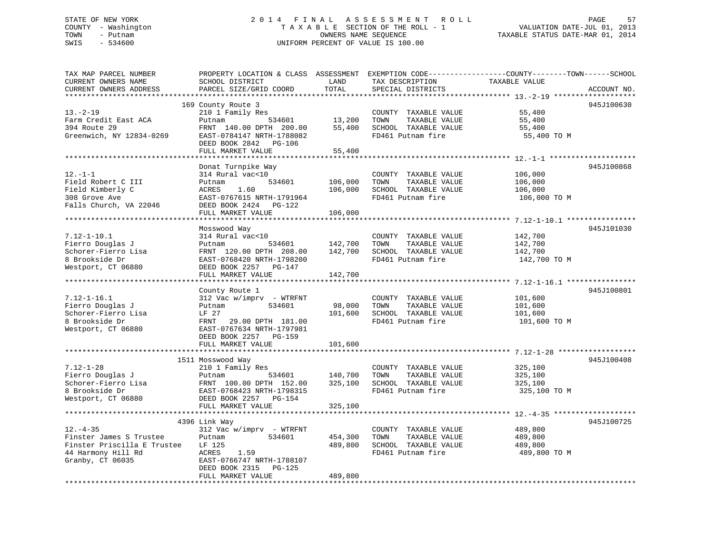## STATE OF NEW YORK 2 0 1 4 F I N A L A S S E S S M E N T R O L L PAGE 57 COUNTY - Washington T A X A B L E SECTION OF THE ROLL - 1 VALUATION DATE-JUL 01, 2013 TOWN - Putnam OWNERS NAME SEQUENCE TAXABLE STATUS DATE-MAR 01, 2014 SWIS - 534600 UNIFORM PERCENT OF VALUE IS 100.00

| TAX MAP PARCEL NUMBER<br>CURRENT OWNERS NAME<br>CURRENT OWNERS ADDRESS<br>*******************                      | PROPERTY LOCATION & CLASS ASSESSMENT<br>SCHOOL DISTRICT<br>PARCEL SIZE/GRID COORD<br>**************************                                                                          | LAND<br>TOTAL<br>************** | TAX DESCRIPTION<br>SPECIAL DISTRICTS                                                       | EXEMPTION CODE-----------------COUNTY-------TOWN------SCHOOL<br>TAXABLE VALUE<br>ACCOUNT NO. |
|--------------------------------------------------------------------------------------------------------------------|------------------------------------------------------------------------------------------------------------------------------------------------------------------------------------------|---------------------------------|--------------------------------------------------------------------------------------------|----------------------------------------------------------------------------------------------|
| $13. - 2 - 19$<br>Farm Credit East ACA<br>394 Route 29<br>Greenwich, NY 12834-0269                                 | 169 County Route 3<br>210 1 Family Res<br>534601<br>Putnam<br>FRNT 140.00 DPTH 200.00<br>EAST-0784147 NRTH-1788082<br>DEED BOOK 2842 PG-106<br>FULL MARKET VALUE<br>******************** | 13,200<br>55,400<br>55,400      | COUNTY TAXABLE VALUE<br>TOWN<br>TAXABLE VALUE<br>SCHOOL TAXABLE VALUE<br>FD461 Putnam fire | 945J100630<br>55,400<br>55,400<br>55,400<br>55,400 TO M                                      |
| $12. - 1 - 1$<br>Field Robert C III<br>Field Kimberly C<br>308 Grove Ave<br>Falls Church, VA 22046                 | Donat Turnpike Way<br>314 Rural vac<10<br>534601<br>Putnam<br>1.60<br>ACRES<br>EAST-0767615 NRTH-1791964<br>DEED BOOK 2424 PG-122<br>FULL MARKET VALUE                                   | 106,000<br>106,000<br>106,000   | COUNTY TAXABLE VALUE<br>TOWN<br>TAXABLE VALUE<br>SCHOOL TAXABLE VALUE<br>FD461 Putnam fire | 945J100868<br>106,000<br>106,000<br>106,000<br>106,000 TO M                                  |
|                                                                                                                    | ****************************                                                                                                                                                             |                                 |                                                                                            |                                                                                              |
| $7.12 - 1 - 10.1$<br>Fierro Douglas J<br>Schorer-Fierro Lisa<br>8 Brookside Dr<br>Westport, CT 06880               | Mosswood Way<br>314 Rural vac<10<br>534601<br>Putnam<br>FRNT 120.00 DPTH 208.00<br>EAST-0768420 NRTH-1798200<br>DEED BOOK 2257<br>PG-147                                                 | 142,700<br>142,700              | COUNTY TAXABLE VALUE<br>TOWN<br>TAXABLE VALUE<br>SCHOOL TAXABLE VALUE<br>FD461 Putnam fire | 945J101030<br>142,700<br>142,700<br>142,700<br>142,700 TO M                                  |
|                                                                                                                    | FULL MARKET VALUE                                                                                                                                                                        | 142,700                         |                                                                                            |                                                                                              |
| $7.12 - 1 - 16.1$<br>Fierro Douglas J<br>Schorer-Fierro Lisa<br>8 Brookside Dr<br>Westport, CT 06880               | County Route 1<br>312 Vac w/imprv - WTRFNT<br>534601<br>Putnam<br>LF 27<br>FRNT<br>29.00 DPTH 181.00<br>EAST-0767634 NRTH-1797981<br>DEED BOOK 2257<br>PG-159                            | 98,000<br>101,600               | COUNTY TAXABLE VALUE<br>TAXABLE VALUE<br>TOWN<br>SCHOOL TAXABLE VALUE<br>FD461 Putnam fire | 945J100801<br>101,600<br>101,600<br>101,600<br>101,600 TO M                                  |
|                                                                                                                    | FULL MARKET VALUE                                                                                                                                                                        | 101,600                         |                                                                                            |                                                                                              |
| $7.12 - 1 - 28$<br>Fierro Douglas J<br>Schorer-Fierro Lisa<br>8 Brookside Dr<br>Westport, CT 06880                 | 1511 Mosswood Way<br>210 1 Family Res<br>Putnam<br>534601<br>FRNT 100.00 DPTH 152.00<br>EAST-0768423 NRTH-1798315<br>DEED BOOK 2257 PG-154<br>FULL MARKET VALUE                          | 140,700<br>325,100<br>325,100   | COUNTY TAXABLE VALUE<br>TOWN<br>TAXABLE VALUE<br>SCHOOL TAXABLE VALUE<br>FD461 Putnam fire | 945J100408<br>325,100<br>325,100<br>325,100<br>325,100 TO M                                  |
|                                                                                                                    |                                                                                                                                                                                          |                                 |                                                                                            |                                                                                              |
| $12. - 4 - 35$<br>Finster James S Trustee<br>Finster Priscilla E Trustee<br>44 Harmony Hill Rd<br>Granby, CT 06035 | 4396 Link Way<br>312 Vac w/imprv - WTRFNT<br>534601<br>Putnam<br>LF 125<br>ACRES<br>1.59<br>EAST-0766747 NRTH-1788107<br>DEED BOOK 2315<br><b>PG-125</b><br>FULL MARKET VALUE            | 454,300<br>489,800<br>489,800   | COUNTY TAXABLE VALUE<br>TOWN<br>TAXABLE VALUE<br>SCHOOL TAXABLE VALUE<br>FD461 Putnam fire | 945J100725<br>489,800<br>489,800<br>489,800<br>489,800 TO M                                  |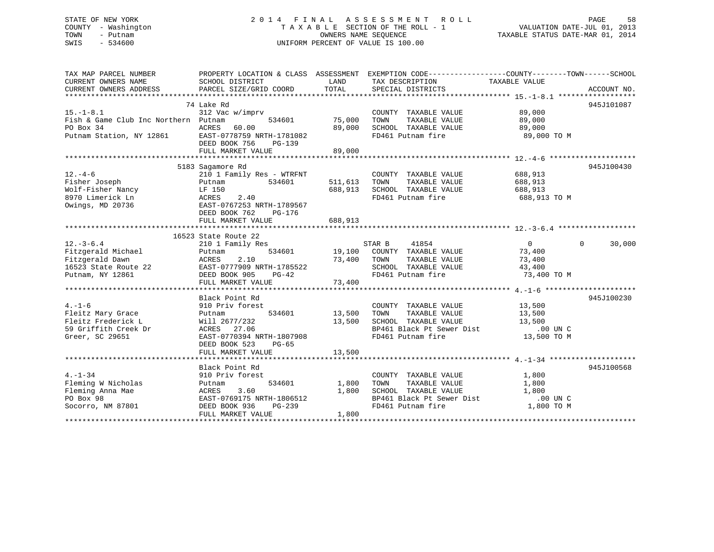## STATE OF NEW YORK 2 0 1 4 F I N A L A S S E S S M E N T R O L L PAGE 58 COUNTY - Washington T A X A B L E SECTION OF THE ROLL - 1 VALUATION DATE-JUL 01, 2013 TOWN - Putnam OWNERS NAME SEQUENCE TAXABLE STATUS DATE-MAR 01, 2014 SWIS - 534600 UNIFORM PERCENT OF VALUE IS 100.00

| TAX MAP PARCEL NUMBER                                                                                                                                                                                                                     | PROPERTY LOCATION & CLASS ASSESSMENT EXEMPTION CODE----------------COUNTY-------TOWN------SCHOOL |              |                                                                                                                                                                                                             |                               |               |
|-------------------------------------------------------------------------------------------------------------------------------------------------------------------------------------------------------------------------------------------|--------------------------------------------------------------------------------------------------|--------------|-------------------------------------------------------------------------------------------------------------------------------------------------------------------------------------------------------------|-------------------------------|---------------|
| CURRENT OWNERS NAME                                                                                                                                                                                                                       | SCHOOL DISTRICT                                                                                  | LAND         | TAX DESCRIPTION TAXABLE VALUE                                                                                                                                                                               |                               |               |
|                                                                                                                                                                                                                                           |                                                                                                  |              |                                                                                                                                                                                                             |                               |               |
|                                                                                                                                                                                                                                           |                                                                                                  |              |                                                                                                                                                                                                             |                               |               |
|                                                                                                                                                                                                                                           | 74 Lake Rd                                                                                       |              |                                                                                                                                                                                                             |                               | 945J101087    |
| $15. - 1 - 8.1$                                                                                                                                                                                                                           | 312 Vac w/imprv                                                                                  |              | $\begin{tabular}{lllllllll} \multicolumn{4}{c}{\textbf{COUNTY}} & \textbf{TAXABLE} & \textbf{VALUE} & & \textbf{89,000} \\ \multicolumn{4}{c}{\textbf{TAYABLE: VALUE}} & & & \textbf{89,000} \end{tabular}$ |                               |               |
| Fish & Game Club Inc Northern Putnam 534601                                                                                                                                                                                               |                                                                                                  | 75,000       |                                                                                                                                                                                                             |                               |               |
|                                                                                                                                                                                                                                           |                                                                                                  | 89,000       | SCHOOL TAXABLE VALUE 89,000                                                                                                                                                                                 |                               |               |
| PO Box 34<br>Putnam Station, NY 12861<br>EAST-0778759 NRTH-1781082                                                                                                                                                                        |                                                                                                  |              | FD461 Putnam fire                                                                                                                                                                                           | 89,000 TO M                   |               |
|                                                                                                                                                                                                                                           | DEED BOOK 756<br>PG-139                                                                          |              |                                                                                                                                                                                                             |                               |               |
|                                                                                                                                                                                                                                           | FULL MARKET VALUE                                                                                | 89,000       |                                                                                                                                                                                                             |                               |               |
|                                                                                                                                                                                                                                           |                                                                                                  |              |                                                                                                                                                                                                             |                               |               |
|                                                                                                                                                                                                                                           | 5183 Sagamore Rd                                                                                 |              |                                                                                                                                                                                                             |                               | 945J100430    |
| $12. - 4 - 6$                                                                                                                                                                                                                             |                                                                                                  |              | COUNTY TAXABLE VALUE                                                                                                                                                                                        | 688,913                       |               |
| Fisher Joseph                                                                                                                                                                                                                             | Putnam                                                                                           |              | TAXABLE VALUE                                                                                                                                                                                               | 688,913                       |               |
| Volf-Fisher Nancy<br>Wolf-Fisher Nancy<br>LF 150                                                                                                                                                                                          |                                                                                                  |              | 688, 913 SCHOOL TAXABLE VALUE 688, 913                                                                                                                                                                      |                               |               |
| 8970 Limerick Ln                                                                                                                                                                                                                          |                                                                                                  |              | FD461 Putnam fire                                                                                                                                                                                           | 688,913 TO M                  |               |
| Owings, MD 20736                                                                                                                                                                                                                          | LF 150<br>ACRES 2.40<br>EAST-0767253 NRTH-1789567                                                |              |                                                                                                                                                                                                             |                               |               |
|                                                                                                                                                                                                                                           | DEED BOOK 762<br>PG-176                                                                          |              |                                                                                                                                                                                                             |                               |               |
|                                                                                                                                                                                                                                           | FULL MARKET VALUE                                                                                | 688,913      |                                                                                                                                                                                                             |                               |               |
|                                                                                                                                                                                                                                           |                                                                                                  |              |                                                                                                                                                                                                             |                               |               |
|                                                                                                                                                                                                                                           | 16523 State Route 22                                                                             |              |                                                                                                                                                                                                             |                               |               |
| $12. - 3 - 6.4$                                                                                                                                                                                                                           | State Route 22<br>210 1 Family Res                                                               |              | STAR B 41854                                                                                                                                                                                                | $\overline{0}$                | $0 \t 30,000$ |
| Fitzgerald Michael                                                                                                                                                                                                                        | Putnam                                                                                           |              | 534601 19,100 COUNTY TAXABLE VALUE                                                                                                                                                                          | 73,400                        |               |
|                                                                                                                                                                                                                                           |                                                                                                  |              |                                                                                                                                                                                                             | 73,400                        |               |
| Fitzgerald Dawn<br>16523 State Route 22<br>Putnam, NY 12861<br>2008 Putnam, NY 12861<br>2008 Putnam, NY 12861<br>2008 Putnam SCHOOL TAXABLE VALUE<br>2008 Putnam SCHOOL TAXABLE VALUE<br>2008 PU461 Putnam fire<br>2008 PU461 Putnam fire |                                                                                                  |              |                                                                                                                                                                                                             |                               |               |
|                                                                                                                                                                                                                                           |                                                                                                  |              | SCHOOL TAXABLE VALUE 43,400<br>FD461 Putnam fire 73,400 TO M                                                                                                                                                |                               |               |
|                                                                                                                                                                                                                                           |                                                                                                  |              |                                                                                                                                                                                                             |                               |               |
|                                                                                                                                                                                                                                           |                                                                                                  |              |                                                                                                                                                                                                             |                               |               |
|                                                                                                                                                                                                                                           | Black Point Rd                                                                                   |              |                                                                                                                                                                                                             |                               | 945J100230    |
| $4. - 1 - 6$                                                                                                                                                                                                                              | 910 Priv forest                                                                                  |              |                                                                                                                                                                                                             |                               |               |
| Fleitz Mary Grace                                                                                                                                                                                                                         | $534601$ 13,500 TOWN                                                                             |              | COUNTY TAXABLE VALUE 13,500<br>TOWN TAXABLE VALUE 13,500                                                                                                                                                    |                               |               |
|                                                                                                                                                                                                                                           |                                                                                                  |              | SCHOOL TAXABLE VALUE                                                                                                                                                                                        |                               |               |
| Fleitz Mary Grace<br>Fleitz Frederick L<br>59 Griffith Creek Dr<br>20 20451<br>20 20451<br>20 2047 523<br>20 20451<br>2007 523<br>2017 1055                                                                                               |                                                                                                  |              |                                                                                                                                                                                                             | $213,500$<br>0.01<br>.00 UN C |               |
|                                                                                                                                                                                                                                           |                                                                                                  |              | BP461 Black Pt Sewer Dist<br>FD461 Putnam fire                                                                                                                                                              | 13,500 TO M                   |               |
|                                                                                                                                                                                                                                           |                                                                                                  |              |                                                                                                                                                                                                             |                               |               |
|                                                                                                                                                                                                                                           |                                                                                                  |              |                                                                                                                                                                                                             |                               |               |
|                                                                                                                                                                                                                                           | FULL MARKET VALUE                                                                                | 13,500       |                                                                                                                                                                                                             |                               |               |
|                                                                                                                                                                                                                                           | Black Point Rd                                                                                   |              |                                                                                                                                                                                                             |                               | 945J100568    |
|                                                                                                                                                                                                                                           |                                                                                                  |              |                                                                                                                                                                                                             |                               |               |
| $4. -1 - 34$                                                                                                                                                                                                                              | 910 Priv forest                                                                                  |              | COUNTY TAXABLE VALUE 1,800                                                                                                                                                                                  |                               |               |
| Fleming W Nicholas                                                                                                                                                                                                                        | Putnam                                                                                           | 534601 1,800 | TOWN<br>TAXABLE VALUE                                                                                                                                                                                       | 1,800                         |               |
|                                                                                                                                                                                                                                           |                                                                                                  | 1,800        | SCHOOL TAXABLE VALUE<br>BP461 Black Pt Sewer Dist                                                                                                                                                           | 1,800                         |               |
|                                                                                                                                                                                                                                           |                                                                                                  |              |                                                                                                                                                                                                             | $.00$ UN $C$                  |               |
| Socorro, NM 87801 DEED BOOK 936                                                                                                                                                                                                           | PG-239                                                                                           |              | FD461 Putnam fire 1,800 TO M                                                                                                                                                                                |                               |               |
|                                                                                                                                                                                                                                           | FULL MARKET VALUE                                                                                | 1,800        |                                                                                                                                                                                                             |                               |               |
|                                                                                                                                                                                                                                           |                                                                                                  |              |                                                                                                                                                                                                             |                               |               |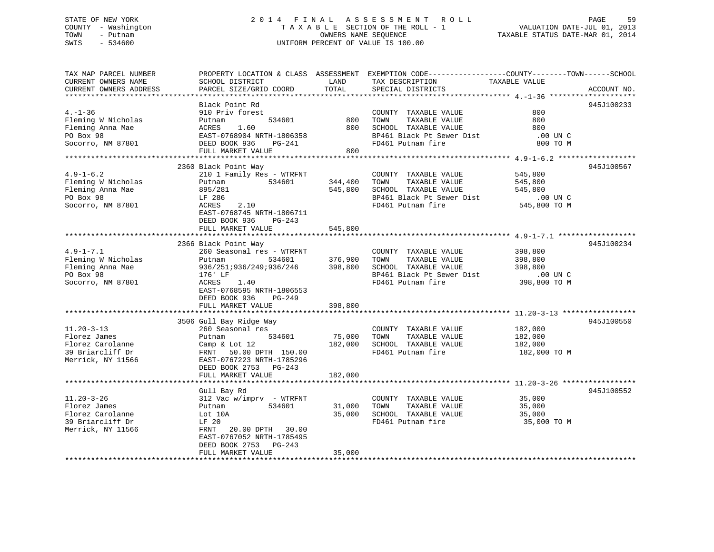## STATE OF NEW YORK 2 0 1 4 F I N A L A S S E S S M E N T R O L L PAGE 59 COUNTY - Washington T A X A B L E SECTION OF THE ROLL - 1 VALUATION DATE-JUL 01, 2013 TOWN - Putnam OWNERS NAME SEQUENCE TAXABLE STATUS DATE-MAR 01, 2014 SWIS - 534600 UNIFORM PERCENT OF VALUE IS 100.00

| TAX MAP PARCEL NUMBER  |                           |                    | PROPERTY LOCATION & CLASS ASSESSMENT EXEMPTION CODE---------------COUNTY-------TOWN------SCHOOL |                          |             |
|------------------------|---------------------------|--------------------|-------------------------------------------------------------------------------------------------|--------------------------|-------------|
| CURRENT OWNERS NAME    | SCHOOL DISTRICT           | LAND               | TAX DESCRIPTION                                                                                 | TAXABLE VALUE            |             |
| CURRENT OWNERS ADDRESS | PARCEL SIZE/GRID COORD    | TOTAL              | SPECIAL DISTRICTS                                                                               |                          | ACCOUNT NO. |
|                        |                           |                    |                                                                                                 |                          |             |
|                        | Black Point Rd            |                    |                                                                                                 |                          | 945J100233  |
| $4. - 1 - 36$          | 910 Priv forest           |                    | COUNTY TAXABLE VALUE                                                                            | 800                      |             |
| Fleming W Nicholas     | 534601<br>Putnam          | 800                | TAXABLE VALUE<br>TOWN                                                                           | 800                      |             |
| Fleming Anna Mae       | 1.60<br>ACRES             | 800                | SCHOOL TAXABLE VALUE                                                                            | 800                      |             |
| PO Box 98              | EAST-0768904 NRTH-1806358 |                    | BP461 Black Pt Sewer Dist                                                                       | .00 UN C                 |             |
| Socorro, NM 87801      | DEED BOOK 936<br>PG-241   |                    | FD461 Putnam fire                                                                               | 800 TO M                 |             |
|                        | FULL MARKET VALUE         | 800                |                                                                                                 |                          |             |
|                        |                           |                    |                                                                                                 |                          |             |
|                        | 2360 Black Point Way      |                    |                                                                                                 |                          | 945J100567  |
| $4.9 - 1 - 6.2$        | 210 1 Family Res - WTRFNT |                    | COUNTY TAXABLE VALUE                                                                            | 545,800                  |             |
| Fleming W Nicholas     | 534601<br>Putnam          | 344,400            | TAXABLE VALUE<br>TOWN                                                                           | 545,800                  |             |
| Fleming Anna Mae       | 895/281                   | 545,800            | SCHOOL TAXABLE VALUE                                                                            | 545,800                  |             |
| PO Box 98              | LF 286                    |                    | BP461 Black Pt Sewer Dist                                                                       | .00 UN C                 |             |
| Socorro, NM 87801      | ACRES<br>2.10             |                    | FD461 Putnam fire                                                                               | 545,800 TO M             |             |
|                        | EAST-0768745 NRTH-1806711 |                    |                                                                                                 |                          |             |
|                        | DEED BOOK 936<br>$PG-243$ | 545,800            |                                                                                                 |                          |             |
|                        | FULL MARKET VALUE         |                    |                                                                                                 |                          |             |
|                        | 2366 Black Point Way      |                    |                                                                                                 |                          | 945J100234  |
| $4.9 - 1 - 7.1$        | 260 Seasonal res - WTRFNT |                    | COUNTY TAXABLE VALUE                                                                            | 398,800                  |             |
| Fleming W Nicholas     | Putnam<br>534601          |                    | TOWN<br>TAXABLE VALUE                                                                           | 398,800                  |             |
| Fleming Anna Mae       | 936/251;936/249;936/246   | 376,900<br>398,800 | SCHOOL TAXABLE VALUE                                                                            | 398,800                  |             |
| PO Box 98              | 176' LF                   |                    | BP461 Black Pt Sewer Dist                                                                       |                          |             |
| Socorro, NM 87801      | ACRES 1.40                |                    | FD461 Putnam fire                                                                               | 00 UN C.<br>398,800 TO M |             |
|                        | EAST-0768595 NRTH-1806553 |                    |                                                                                                 |                          |             |
|                        | DEED BOOK 936<br>PG-249   |                    |                                                                                                 |                          |             |
|                        | FULL MARKET VALUE         | 398,800            |                                                                                                 |                          |             |
|                        |                           |                    |                                                                                                 |                          |             |
|                        | 3506 Gull Bay Ridge Way   |                    |                                                                                                 |                          | 945J100550  |
| $11.20 - 3 - 13$       | 260 Seasonal res          |                    | COUNTY TAXABLE VALUE                                                                            | 182,000                  |             |
| Florez James           | 534601<br>Putnam          | 75,000             | TAXABLE VALUE<br>TOWN                                                                           | 182,000                  |             |
| Florez Carolanne       | Camp & Lot 12             | 182,000            | SCHOOL TAXABLE VALUE                                                                            | 182,000                  |             |
| 39 Briarcliff Dr       | FRNT 50.00 DPTH 150.00    |                    | FD461 Putnam fire                                                                               | 182,000 TO M             |             |
| Merrick, NY 11566      | EAST-0767223 NRTH-1785296 |                    |                                                                                                 |                          |             |
|                        | DEED BOOK 2753 PG-243     |                    |                                                                                                 |                          |             |
|                        | FULL MARKET VALUE         | 182,000            |                                                                                                 |                          |             |
|                        |                           |                    |                                                                                                 |                          |             |
|                        | Gull Bay Rd               |                    |                                                                                                 |                          | 945J100552  |
| $11.20 - 3 - 26$       | 312 Vac w/imprv - WTRFNT  |                    | COUNTY TAXABLE VALUE                                                                            | 35,000                   |             |
| Florez James           | 534601<br>Putnam          | 31,000             | TAXABLE VALUE<br>TOWN                                                                           | 35,000                   |             |
| Florez Carolanne       | Lot 10A                   |                    | 35,000 SCHOOL TAXABLE VALUE                                                                     | 35,000                   |             |
| 39 Briarcliff Dr       | LF 20                     |                    | FD461 Putnam fire                                                                               | 35,000 TO M              |             |
| Merrick, NY 11566      | FRNT<br>20.00 DPTH 30.00  |                    |                                                                                                 |                          |             |
|                        | EAST-0767052 NRTH-1785495 |                    |                                                                                                 |                          |             |
|                        | DEED BOOK 2753 PG-243     |                    |                                                                                                 |                          |             |
|                        | FULL MARKET VALUE         | 35,000             |                                                                                                 |                          |             |
|                        |                           |                    |                                                                                                 |                          |             |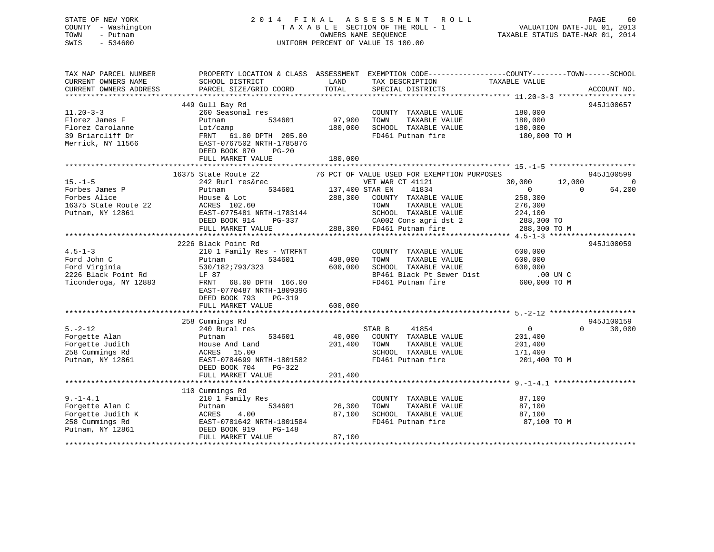## STATE OF NEW YORK 2 0 1 4 F I N A L A S S E S S M E N T R O L L PAGE 60 COUNTY - Washington T A X A B L E SECTION OF THE ROLL - 1 VALUATION DATE-JUL 01, 2013 TOWN - Putnam OWNERS NAME SEQUENCE TAXABLE STATUS DATE-MAR 01, 2014 SWIS - 534600 UNIFORM PERCENT OF VALUE IS 100.00

| TAX MAP PARCEL NUMBER<br>CURRENT OWNERS NAME<br>CURRENT OWNERS ADDRESS                         | SCHOOL DISTRICT<br>PARCEL SIZE/GRID COORD                                                                                                                                                                  | LAND<br>TAX DESCRIPTION<br>TOTAL<br>SPECIAL DISTRICTS                                                                                                                                                                                    | PROPERTY LOCATION & CLASS ASSESSMENT EXEMPTION CODE----------------COUNTY-------TOWN------SCHOOL<br>TAXABLE VALUE<br>ACCOUNT NO.                      |
|------------------------------------------------------------------------------------------------|------------------------------------------------------------------------------------------------------------------------------------------------------------------------------------------------------------|------------------------------------------------------------------------------------------------------------------------------------------------------------------------------------------------------------------------------------------|-------------------------------------------------------------------------------------------------------------------------------------------------------|
| $11.20 - 3 - 3$<br>Florez James F<br>Florez Carolanne<br>39 Briarcliff Dr<br>Merrick, NY 11566 | 449 Gull Bay Rd<br>260 Seasonal res<br>534601<br>Putnam<br>Lot/camp<br>FRNT<br>61.00 DPTH 205.00<br>EAST-0767502 NRTH-1785876<br>DEED BOOK 870<br>$PG-20$<br>FULL MARKET VALUE                             | COUNTY TAXABLE VALUE<br>97,900<br>TOWN<br>TAXABLE VALUE<br>180,000<br>SCHOOL TAXABLE VALUE<br>FD461 Putnam fire<br>180,000                                                                                                               | 945J100657<br>180,000<br>180,000<br>180,000<br>180,000 TO M                                                                                           |
| $15. - 1 - 5$<br>Forbes James P<br>Forbes Alice<br>16375 State Route 22<br>Putnam, NY 12861    | 16375 State Route 22<br>242 Rurl res&rec<br>534601<br>Putnam<br>House & Lot<br>ACRES 102.60<br>EAST-0775481 NRTH-1783144<br>DEED BOOK 914<br>PG-337<br>FULL MARKET VALUE                                   | 76 PCT OF VALUE USED FOR EXEMPTION PURPOSES<br>VET WAR CT 41121<br>137,400 STAR EN<br>41834<br>288,300<br>COUNTY TAXABLE VALUE<br>TAXABLE VALUE<br>TOWN<br>SCHOOL TAXABLE VALUE<br>CA002 Cons agri dst 2<br>288,300<br>FD461 Putnam fire | 945J100599<br>$\overline{0}$<br>30,000<br>12,000<br>64,200<br>$\mathbf{0}$<br>$\Omega$<br>258,300<br>276,300<br>224,100<br>288,300 TO<br>288,300 TO M |
| $4.5 - 1 - 3$<br>Ford John C<br>Ford Virginia<br>2226 Black Point Rd<br>Ticonderoga, NY 12883  | 2226 Black Point Rd<br>210 1 Family Res - WTRFNT<br>534601<br>Putnam<br>530/182;793/323<br>LF 87<br>FRNT<br>68.00 DPTH 166.00<br>EAST-0770487 NRTH-1809396<br>DEED BOOK 793<br>PG-319<br>FULL MARKET VALUE | COUNTY TAXABLE VALUE<br>408,000<br>TOWN<br>TAXABLE VALUE<br>600,000<br>SCHOOL TAXABLE VALUE<br>BP461 Black Pt Sewer Dist<br>FD461 Putnam fire<br>600,000                                                                                 | 945J100059<br>600,000<br>600,000<br>600,000<br>.00 UN C<br>600,000 TO M                                                                               |
|                                                                                                |                                                                                                                                                                                                            |                                                                                                                                                                                                                                          |                                                                                                                                                       |
| $5. -2 - 12$<br>Forgette Alan<br>Forgette Judith<br>258 Cummings Rd<br>Putnam, NY 12861        | 258 Cummings Rd<br>240 Rural res<br>534601<br>Putnam<br>House And Land<br>ACRES 15.00<br>EAST-0784699 NRTH-1801582<br>DEED BOOK 704<br>PG-322<br>FULL MARKET VALUE                                         | 41854<br>STAR B<br>40,000<br>COUNTY TAXABLE VALUE<br>201,400<br>TOWN<br>TAXABLE VALUE<br>SCHOOL TAXABLE VALUE<br>FD461 Putnam fire<br>201,400                                                                                            | 945J100159<br>$\mathbf{0}$<br>$\Omega$<br>30,000<br>201,400<br>201,400<br>171,400<br>201,400 TO M                                                     |
|                                                                                                |                                                                                                                                                                                                            |                                                                                                                                                                                                                                          |                                                                                                                                                       |
| $9. - 1 - 4.1$<br>Forgette Alan C<br>Forgette Judith K<br>258 Cummings Rd<br>Putnam, NY 12861  | 110 Cummings Rd<br>210 1 Family Res<br>534601<br>Putnam<br>ACRES<br>4.00<br>EAST-0781642 NRTH-1801584<br>DEED BOOK 919<br>$PG-148$<br>FULL MARKET VALUE                                                    | COUNTY TAXABLE VALUE<br>26,300<br>TOWN<br>TAXABLE VALUE<br>87,100<br>SCHOOL TAXABLE VALUE<br>FD461 Putnam fire<br>87,100                                                                                                                 | 87,100<br>87,100<br>87,100<br>87,100 TO M                                                                                                             |
|                                                                                                |                                                                                                                                                                                                            |                                                                                                                                                                                                                                          |                                                                                                                                                       |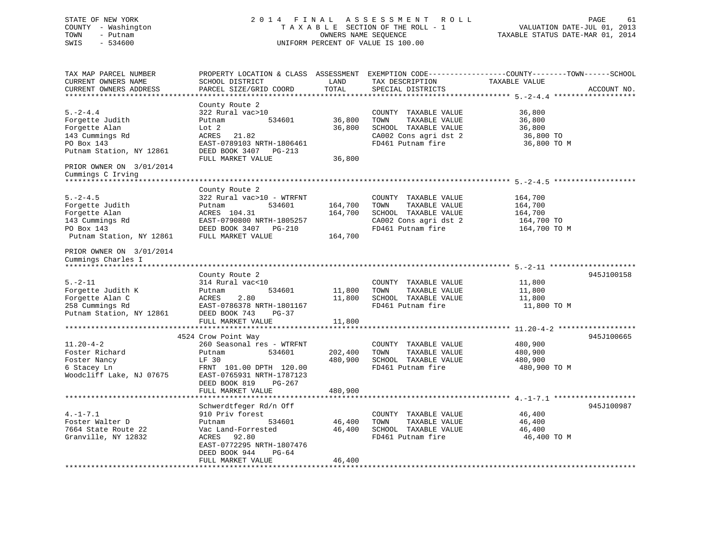STATE OF NEW YORK 2 0 1 4 F I N A L A S S E S S M E N T R O L L PAGE 61 COUNTY - Washington T A X A B L E SECTION OF THE ROLL - 1 VALUATION DATE-JUL 01, 2013 TOWN - Putnam OWNERS NAME SEQUENCE TAXABLE STATUS DATE-MAR 01, 2014 SWIS - 534600 UNIFORM PERCENT OF VALUE IS 100.00 TAX MAP PARCEL NUMBER PROPERTY LOCATION & CLASS ASSESSMENT EXEMPTION CODE------------------COUNTY--------TOWN------SCHOOL CURRENT OWNERS NAME SCHOOL DISTRICT LAND TAX DESCRIPTION TAXABLE VALUECURRENT OWNERS ADDRESS PARCEL SIZE/GRID COORD TOTAL SPECIAL DISTRICTS ACCOUNT NO. \*\*\*\*\*\*\*\*\*\*\*\*\*\*\*\*\*\*\*\*\*\*\*\*\*\*\*\*\*\*\*\*\*\*\*\*\*\*\*\*\*\*\*\*\*\*\*\*\*\*\*\*\*\*\*\*\*\*\*\*\*\*\*\*\*\*\*\*\*\*\*\*\*\*\*\*\*\*\*\*\*\*\*\*\*\*\*\*\*\*\*\*\*\*\*\*\*\*\*\*\*\*\* 5.-2-4.4 \*\*\*\*\*\*\*\*\*\*\*\*\*\*\*\*\*\*\* County Route 2 5.-2-4.4 322 Rural vac>10 COUNTY TAXABLE VALUE 36,800 Forgette Judith Putnam 534601 36,800 TOWN TAXABLE VALUE 36,800 Forgette Alan Lot 2 36,800 SCHOOL TAXABLE VALUE 36,800 143 Cummings Rd
143 Cummings Rd
143 Cummings Rd
143 Cummings Rd
143 Cummings Rd
143 Cummings Rd
143 Cummings Rd
143 Cummings Rd
143 Cummings Rd
143 Cummings Rd
143 Cummings Rd
143 Cummings Rd
143 Cummings Rd
143 Cummings R EAST-0789103 NRTH-1806461 FD461 Putnam fire 36,800 TO M Putnam Station, NY 12861 DEED BOOK 3407 PG-213 FULL MARKET VALUE 36,800 PRIOR OWNER ON 3/01/2014 Cummings C Irving \*\*\*\*\*\*\*\*\*\*\*\*\*\*\*\*\*\*\*\*\*\*\*\*\*\*\*\*\*\*\*\*\*\*\*\*\*\*\*\*\*\*\*\*\*\*\*\*\*\*\*\*\*\*\*\*\*\*\*\*\*\*\*\*\*\*\*\*\*\*\*\*\*\*\*\*\*\*\*\*\*\*\*\*\*\*\*\*\*\*\*\*\*\*\*\*\*\*\*\*\*\*\* 5.-2-4.5 \*\*\*\*\*\*\*\*\*\*\*\*\*\*\*\*\*\*\* County Route 2 5.-2-4.5 322 Rural vac>10 - WTRFNT COUNTY TAXABLE VALUE 164,700 Forgette Judith Putnam 534601 164,700 TOWN TAXABLE VALUE 164,700 Forgette Alan ACRES 104.31 164,700 SCHOOL TAXABLE VALUE 164,700 143 Cummings Rd EAST-0790800 NRTH-1805257 CA002 Cons agri dst 2 164,700 TO PO Box 143 DEED BOOK 3407 PG-210 FD461 Putnam fire 164,700 TO M Putnam Station, NY 12861 FULL MARKET VALUE 164,700 PRIOR OWNER ON 3/01/2014 Cummings Charles I \*\*\*\*\*\*\*\*\*\*\*\*\*\*\*\*\*\*\*\*\*\*\*\*\*\*\*\*\*\*\*\*\*\*\*\*\*\*\*\*\*\*\*\*\*\*\*\*\*\*\*\*\*\*\*\*\*\*\*\*\*\*\*\*\*\*\*\*\*\*\*\*\*\*\*\*\*\*\*\*\*\*\*\*\*\*\*\*\*\*\*\*\*\*\*\*\*\*\*\*\*\*\* 5.-2-11 \*\*\*\*\*\*\*\*\*\*\*\*\*\*\*\*\*\*\*\* County Route 2 945J100158 5.-2-11 314 Rural vac<10 COUNTY TAXABLE VALUE 11,800 Forgette Judith K Putnam 534601 11,800 TOWN TAXABLE VALUE 11,800 Forgette Alan C ACRES 2.80 11,800 SCHOOL TAXABLE VALUE 11,800 258 Cummings Rd EAST-0786378 NRTH-1801167 FD461 Putnam fire 11,800 TO M Putnam Station, NY 12861 DEED BOOK 743 PG-37 FULL MARKET VALUE 11,800 \*\*\*\*\*\*\*\*\*\*\*\*\*\*\*\*\*\*\*\*\*\*\*\*\*\*\*\*\*\*\*\*\*\*\*\*\*\*\*\*\*\*\*\*\*\*\*\*\*\*\*\*\*\*\*\*\*\*\*\*\*\*\*\*\*\*\*\*\*\*\*\*\*\*\*\*\*\*\*\*\*\*\*\*\*\*\*\*\*\*\*\*\*\*\*\*\*\*\*\*\*\*\* 11.20-4-2 \*\*\*\*\*\*\*\*\*\*\*\*\*\*\*\*\*\* 4524 Crow Point Way 945J100665 11.20-4-2 260 Seasonal res - WTRFNT COUNTY TAXABLE VALUE 480,900 Foster Richard Putnam 534601 202,400 TOWN TAXABLE VALUE 480,900 Foster Nancy LF 30 480,900 SCHOOL TAXABLE VALUE 480,900 Foster Richard Forth Hutham Forth 120.00 SCHOOL TAXABLE VALUE 480,900 FOSter Nancy<br>Foster Nancy 1980,900 TO M FRNT 101.00 DPTH 120.00 FD461 Putnam fire 480,900 TO M Woodcliff Lake, NJ 07675 EAST-0765931 NRTH-1787123 DEED BOOK 819 PG-267FULL MARKET VALUE 480,900 \*\*\*\*\*\*\*\*\*\*\*\*\*\*\*\*\*\*\*\*\*\*\*\*\*\*\*\*\*\*\*\*\*\*\*\*\*\*\*\*\*\*\*\*\*\*\*\*\*\*\*\*\*\*\*\*\*\*\*\*\*\*\*\*\*\*\*\*\*\*\*\*\*\*\*\*\*\*\*\*\*\*\*\*\*\*\*\*\*\*\*\*\*\*\*\*\*\*\*\*\*\*\* 4.-1-7.1 \*\*\*\*\*\*\*\*\*\*\*\*\*\*\*\*\*\*\*Schwerdtfeger Rd/n Off 945J100987 4.-1-7.1 910 Priv forest COUNTY TAXABLE VALUE 46,400 Foster Walter D Putnam 534601 46,400 TOWN TAXABLE VALUE 46,400 7664 State Route 22 Vac Land-Forrested 46,400 SCHOOL TAXABLE VALUE 46,400 Granville, NY 12832 ACRES 92.80 FD461 Putnam fire 46.400 TO M EAST-0772295 NRTH-1807476 DEED BOOK 944 PG-64FULL MARKET VALUE 46,400

\*\*\*\*\*\*\*\*\*\*\*\*\*\*\*\*\*\*\*\*\*\*\*\*\*\*\*\*\*\*\*\*\*\*\*\*\*\*\*\*\*\*\*\*\*\*\*\*\*\*\*\*\*\*\*\*\*\*\*\*\*\*\*\*\*\*\*\*\*\*\*\*\*\*\*\*\*\*\*\*\*\*\*\*\*\*\*\*\*\*\*\*\*\*\*\*\*\*\*\*\*\*\*\*\*\*\*\*\*\*\*\*\*\*\*\*\*\*\*\*\*\*\*\*\*\*\*\*\*\*\*\*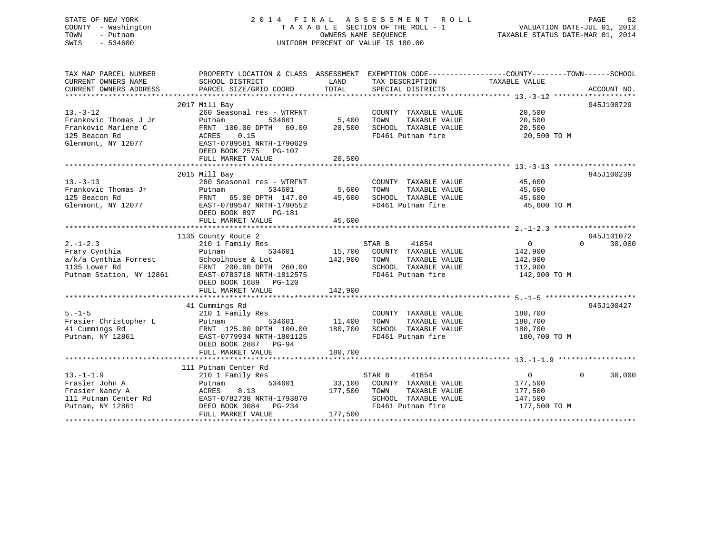## STATE OF NEW YORK 2 0 1 4 F I N A L A S S E S S M E N T R O L L PAGE 62 COUNTY - Washington T A X A B L E SECTION OF THE ROLL - 1 VALUATION DATE-JUL 01, 2013 TOWN - Putnam **CONNERS NAME SEQUENCE** TAXABLE STATUS DATE-MAR 01, 2014 SWIS - 534600 UNIFORM PERCENT OF VALUE IS 100.00

| TAX MAP PARCEL NUMBER<br>CURRENT OWNERS NAME<br>CURRENT OWNERS ADDRESS | SCHOOL DISTRICT<br>PARCEL SIZE/GRID COORD          | LAND<br>TOTAL | TAX DESCRIPTION TAXABLE VALUE<br>SPECIAL DISTRICTS | PROPERTY LOCATION & CLASS ASSESSMENT EXEMPTION CODE---------------COUNTY-------TOWN-----SCHOOL | ACCOUNT NO. |
|------------------------------------------------------------------------|----------------------------------------------------|---------------|----------------------------------------------------|------------------------------------------------------------------------------------------------|-------------|
|                                                                        |                                                    |               |                                                    |                                                                                                |             |
|                                                                        | 2017 Mill Bay                                      |               |                                                    |                                                                                                | 945J100729  |
| $13. - 3 - 12$                                                         | 260 Seasonal res - WTRFNT                          |               | COUNTY TAXABLE VALUE                               | 20,500                                                                                         |             |
| Frankovic Thomas J Jr                                                  | Putnam<br>534601                                   | 5,400         | TOWN<br>TAXABLE VALUE                              | 20,500                                                                                         |             |
| Frankovic Marlene C                                                    | FRNT 100.00 DPTH 60.00                             | 20,500        | SCHOOL TAXABLE VALUE                               | 20,500                                                                                         |             |
| 125 Beacon Rd                                                          | ACRES<br>0.15                                      |               | FD461 Putnam fire                                  | 20,500 TO M                                                                                    |             |
| Glenmont, NY 12077                                                     | EAST-0789581 NRTH-1790629<br>DEED BOOK 2575 PG-107 |               |                                                    |                                                                                                |             |
|                                                                        | FULL MARKET VALUE                                  | 20,500        |                                                    |                                                                                                |             |
|                                                                        |                                                    |               |                                                    |                                                                                                |             |
| $13. - 3 - 13$                                                         | 2015 Mill Bay<br>260 Seasonal res - WTRFNT         |               |                                                    | 45,600                                                                                         | 945J100239  |
| Frankovic Thomas Jr                                                    | 534601<br>Putnam                                   | 5,600         | COUNTY TAXABLE VALUE<br>TOWN<br>TAXABLE VALUE      | 45,600                                                                                         |             |
| 125 Beacon Rd                                                          | FRNT 65.00 DPTH 147.00                             | 45,600        | SCHOOL TAXABLE VALUE                               | 45,600                                                                                         |             |
| Glenmont, NY 12077                                                     | EAST-0789547 NRTH-1790552                          |               | FD461 Putnam fire                                  | 45,600 TO M                                                                                    |             |
|                                                                        | DEED BOOK 897<br>$PG-181$                          |               |                                                    |                                                                                                |             |
|                                                                        | FULL MARKET VALUE                                  | 45,600        |                                                    |                                                                                                |             |
|                                                                        |                                                    |               |                                                    |                                                                                                |             |
|                                                                        | 1135 County Route 2                                |               |                                                    |                                                                                                | 945J101072  |
| $2. -1 - 2.3$                                                          | 210 1 Family Res                                   |               | STAR B<br>41854                                    | $\overline{0}$<br>$\Omega$                                                                     | 30,000      |
| Frary Cynthia                                                          | Putnam<br>534601                                   | 15,700        | COUNTY TAXABLE VALUE                               | 142,900                                                                                        |             |
| a/k/a Cynthia Forrest                                                  | Schoolhouse & Lot                                  | 142,900       | TAXABLE VALUE<br>TOWN                              | 142,900                                                                                        |             |
| 1135 Lower Rd                                                          | FRNT 200.00 DPTH 260.00                            |               | SCHOOL TAXABLE VALUE                               | 112,900                                                                                        |             |
| Putnam Station, NY 12861                                               | EAST-0783718 NRTH-1812575                          |               | FD461 Putnam fire                                  | 142,900 TO M                                                                                   |             |
|                                                                        | DEED BOOK 1689 PG-120                              |               |                                                    |                                                                                                |             |
|                                                                        | FULL MARKET VALUE                                  | 142,900       |                                                    |                                                                                                |             |
|                                                                        |                                                    |               |                                                    |                                                                                                |             |
| $5. - 1 - 5$                                                           | 41 Cummings Rd                                     |               |                                                    |                                                                                                | 945J100427  |
| Frasier Christopher L                                                  | 210 1 Family Res<br>534601                         | 11,400        | COUNTY TAXABLE VALUE<br>TOWN<br>TAXABLE VALUE      | 180,700<br>180,700                                                                             |             |
| 41 Cummings Rd                                                         | Putnam<br>FRNT 125.00 DPTH 100.00                  | 180,700       | SCHOOL TAXABLE VALUE                               | 180,700                                                                                        |             |
| Putnam, NY 12861                                                       | EAST-0779934 NRTH-1801125                          |               | FD461 Putnam fire                                  | 180,700 TO M                                                                                   |             |
|                                                                        | DEED BOOK 2887<br>PG-94                            |               |                                                    |                                                                                                |             |
|                                                                        | FULL MARKET VALUE                                  | 180,700       |                                                    |                                                                                                |             |
|                                                                        |                                                    |               |                                                    |                                                                                                |             |
|                                                                        | 111 Putnam Center Rd                               |               |                                                    |                                                                                                |             |
| $13. - 1 - 1.9$                                                        | 210 1 Family Res                                   |               | STAR B<br>41854                                    | $\Omega$<br>$\Omega$                                                                           | 30,000      |
| Frasier John A                                                         | 534601<br>Putnam                                   | 33,100        | COUNTY TAXABLE VALUE                               | 177,500                                                                                        |             |
| Frasier Nancy A                                                        | ACRES<br>8.13                                      | 177,500       | TOWN<br>TAXABLE VALUE                              | 177,500                                                                                        |             |
| 111 Putnam Center Rd                                                   | EAST-0782738 NRTH-1793870                          |               | SCHOOL TAXABLE VALUE                               | 147,500                                                                                        |             |
| Putnam, NY 12861                                                       | DEED BOOK 3084 PG-234                              |               | FD461 Putnam fire                                  | 177,500 TO M                                                                                   |             |
|                                                                        | FULL MARKET VALUE                                  | 177,500       |                                                    |                                                                                                |             |
|                                                                        |                                                    |               |                                                    |                                                                                                |             |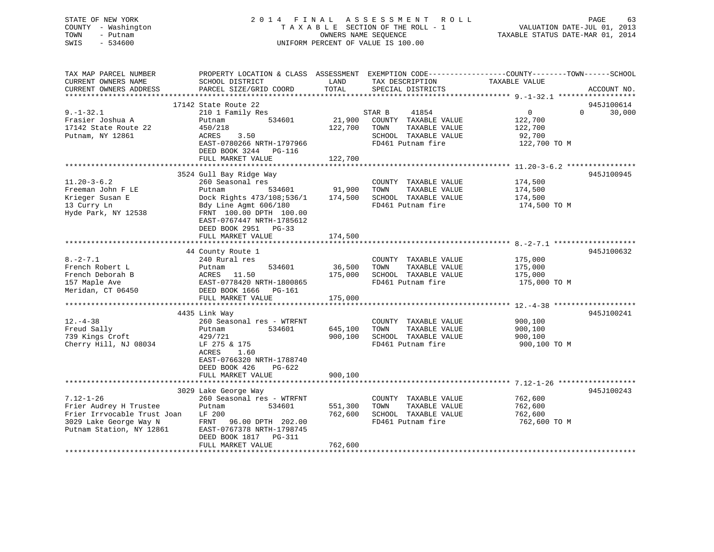## STATE OF NEW YORK 2 0 1 4 F I N A L A S S E S S M E N T R O L L PAGE 63 COUNTY - Washington T A X A B L E SECTION OF THE ROLL - 1 VALUATION DATE-JUL 01, 2013 TOWN - Putnam **CONNERS NAME SEQUENCE** TAXABLE STATUS DATE-MAR 01, 2014 SWIS - 534600 UNIFORM PERCENT OF VALUE IS 100.00

| TAX MAP PARCEL NUMBER<br>CURRENT OWNERS NAME<br>CURRENT OWNERS ADDRESS                                                         | SCHOOL DISTRICT<br>PARCEL SIZE/GRID COORD                                                                                                                                                                                  | LAND<br>TOTAL                 | TAX DESCRIPTION<br>SPECIAL DISTRICTS                                                                          | PROPERTY LOCATION & CLASS ASSESSMENT EXEMPTION CODE----------------COUNTY-------TOWN------SCHOOL<br>TAXABLE VALUE<br>ACCOUNT NO. |
|--------------------------------------------------------------------------------------------------------------------------------|----------------------------------------------------------------------------------------------------------------------------------------------------------------------------------------------------------------------------|-------------------------------|---------------------------------------------------------------------------------------------------------------|----------------------------------------------------------------------------------------------------------------------------------|
| $9. - 1 - 32.1$<br>Frasier Joshua A<br>17142 State Route 22<br>Putnam, NY 12861                                                | 17142 State Route 22<br>210 1 Family Res<br>Putnam<br>534601<br>450/218<br>ACRES<br>3.50<br>EAST-0780266 NRTH-1797966<br>DEED BOOK 3244<br>PG-116<br>FULL MARKET VALUE                                                     | 21,900<br>122,700<br>122,700  | 41854<br>STAR B<br>COUNTY TAXABLE VALUE<br>TAXABLE VALUE<br>TOWN<br>SCHOOL TAXABLE VALUE<br>FD461 Putnam fire | 945J100614<br>$\overline{0}$<br>$\Omega$<br>30,000<br>122,700<br>122,700<br>92,700<br>122,700 TO M                               |
| $11.20 - 3 - 6.2$<br>Freeman John F LE<br>Krieger Susan E<br>13 Curry Ln<br>Hyde Park, NY 12538                                | 3524 Gull Bay Ridge Way<br>260 Seasonal res<br>534601<br>Putnam<br>Dock Rights 473/108;536/1<br>Bdy Line Agmt 606/180<br>FRNT 100.00 DPTH 100.00<br>EAST-0767447 NRTH-1785612<br>DEED BOOK 2951 PG-33<br>FULL MARKET VALUE | 91,900<br>174,500<br>174,500  | COUNTY TAXABLE VALUE<br>TOWN<br>TAXABLE VALUE<br>SCHOOL TAXABLE VALUE<br>FD461 Putnam fire                    | 945J100945<br>174,500<br>174,500<br>174,500<br>174,500 TO M                                                                      |
| $8. -2 - 7.1$<br>French Robert L<br>French Deborah B<br>157 Maple Ave<br>Meridan, CT 06450                                     | 44 County Route 1<br>240 Rural res<br>534601<br>Putnam<br>ACRES 11.50<br>EAST-0778420 NRTH-1800865<br>DEED BOOK 1666 PG-161<br>FULL MARKET VALUE                                                                           | 36,500<br>175,000<br>175,000  | COUNTY TAXABLE VALUE<br>TAXABLE VALUE<br>TOWN<br>SCHOOL TAXABLE VALUE<br>FD461 Putnam fire                    | 945J100632<br>175,000<br>175,000<br>175,000<br>175,000 TO M                                                                      |
| $12. - 4 - 38$<br>Freud Sally<br>739 Kings Croft<br>Cherry Hill, NJ 08034                                                      | 4435 Link Way<br>260 Seasonal res - WTRFNT<br>534601<br>Putnam<br>429/721<br>LF 275 & 175<br>ACRES<br>1.60<br>EAST-0766320 NRTH-1788740<br>DEED BOOK 426<br>PG-622<br>FULL MARKET VALUE                                    | 645,100<br>900,100<br>900,100 | COUNTY TAXABLE VALUE<br>TAXABLE VALUE<br>TOWN<br>SCHOOL TAXABLE VALUE<br>FD461 Putnam fire                    | 945J100241<br>900,100<br>900,100<br>900,100<br>900,100 TO M                                                                      |
| $7.12 - 1 - 26$<br>Frier Audrey H Trustee<br>Frier Irrvocable Trust Joan<br>3029 Lake George Way N<br>Putnam Station, NY 12861 | 3029 Lake George Way<br>260 Seasonal res - WTRFNT<br>534601<br>Putnam<br>LF 200<br>96.00 DPTH 202.00<br>FRNT<br>EAST-0767378 NRTH-1798745<br>DEED BOOK 1817<br>PG-311<br>FULL MARKET VALUE                                 | 551,300<br>762,600<br>762,600 | COUNTY TAXABLE VALUE<br>TOWN<br>TAXABLE VALUE<br>SCHOOL TAXABLE VALUE<br>FD461 Putnam fire                    | 945J100243<br>762,600<br>762,600<br>762,600<br>762,600 ТО М                                                                      |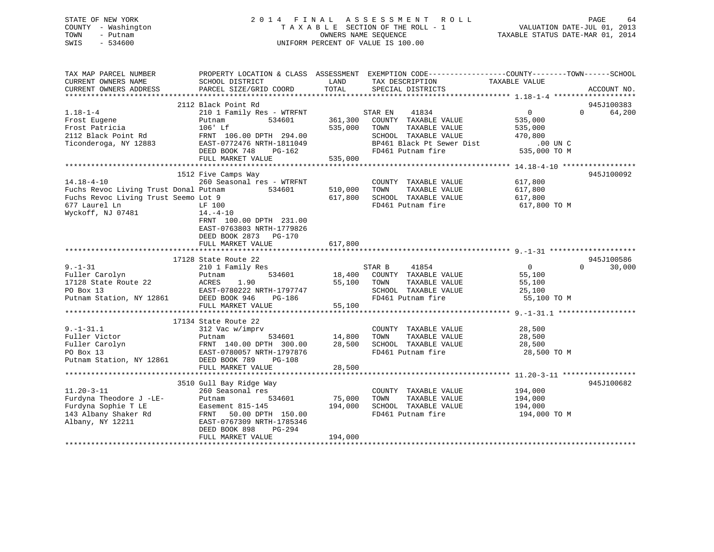## STATE OF NEW YORK 2 0 1 4 F I N A L A S S E S S M E N T R O L L PAGE 64 COUNTY - Washington T A X A B L E SECTION OF THE ROLL - 1 VALUATION DATE-JUL 01, 2013 TOWN - Putnam **CONNERS NAME SEQUENCE** TAXABLE STATUS DATE-MAR 01, 2014 SWIS - 534600 UNIFORM PERCENT OF VALUE IS 100.00

| TAX MAP PARCEL NUMBER                | PROPERTY LOCATION & CLASS ASSESSMENT EXEMPTION CODE----------------COUNTY-------TOWN------SCHOOL                                                                                                                                |         |                                                                                                     |                    |                    |
|--------------------------------------|---------------------------------------------------------------------------------------------------------------------------------------------------------------------------------------------------------------------------------|---------|-----------------------------------------------------------------------------------------------------|--------------------|--------------------|
| CURRENT OWNERS NAME                  | SCHOOL DISTRICT                                                                                                                                                                                                                 | LAND    | TAX DESCRIPTION                                                                                     | TAXABLE VALUE      |                    |
| CURRENT OWNERS ADDRESS               | PARCEL SIZE/GRID COORD                                                                                                                                                                                                          | TOTAL   | SPECIAL DISTRICTS                                                                                   |                    | ACCOUNT NO.        |
|                                      |                                                                                                                                                                                                                                 |         |                                                                                                     |                    |                    |
|                                      | 2112 Black Point Rd                                                                                                                                                                                                             |         |                                                                                                     |                    | 945J100383         |
| $1.18 - 1 - 4$                       | 210 1 Family Res - WTRFNT                                                                                                                                                                                                       |         | 41834<br>STAR EN                                                                                    | $\overline{0}$     | $\Omega$<br>64,200 |
| Frost Eugene<br>Frost Patricia       | 534601<br>Putnam<br>Putham<br>106' Lf                                                                                                                                                                                           | 535,000 | 361,300 COUNTY TAXABLE VALUE<br>TAXABLE VALUE<br>TOWN                                               | 535,000<br>535,000 |                    |
|                                      |                                                                                                                                                                                                                                 |         |                                                                                                     |                    |                    |
|                                      | 2112 Black Point Rd           FRNT 106.00 DPTH 294.00<br>Ticonderoga, NY 12883         EAST-0772476 NRTH-1811049                                                                                                                |         | SCHOOL TAXABLE VALUE 470,800<br>BP461 Black Pt Sewer Dist 00 UN C<br>FD461 Putnam fire 535,000 TO M |                    |                    |
|                                      | DEED BOOK 748<br>PG-162                                                                                                                                                                                                         |         |                                                                                                     |                    |                    |
|                                      | FULL MARKET VALUE                                                                                                                                                                                                               | 535,000 |                                                                                                     |                    |                    |
|                                      |                                                                                                                                                                                                                                 |         |                                                                                                     |                    |                    |
|                                      | 1512 Five Camps Way                                                                                                                                                                                                             |         |                                                                                                     |                    | 945J100092         |
| $14.18 - 4 - 10$                     |                                                                                                                                                                                                                                 |         | COUNTY TAXABLE VALUE 617,800                                                                        |                    |                    |
|                                      | 14.18-4-10 260 Seasonal res - WTRFNT<br>Fuchs Revoc Living Trust Donal Putnam 534601                                                                                                                                            | 510,000 | TOWN<br>TAXABLE VALUE                                                                               | 617,800            |                    |
| Fuchs Revoc Living Trust Seemo Lot 9 |                                                                                                                                                                                                                                 | 617,800 | SCHOOL TAXABLE VALUE 617,800                                                                        |                    |                    |
| 677 Laurel Ln                        | LF 100                                                                                                                                                                                                                          |         | FD461 Putnam fire                                                                                   | 617,800 TO M       |                    |
| Wyckoff, NJ 07481                    | 14.–4–10                                                                                                                                                                                                                        |         |                                                                                                     |                    |                    |
|                                      | FRNT 100.00 DPTH 231.00                                                                                                                                                                                                         |         |                                                                                                     |                    |                    |
|                                      | EAST-0763803 NRTH-1779826                                                                                                                                                                                                       |         |                                                                                                     |                    |                    |
|                                      | DEED BOOK 2873 PG-170                                                                                                                                                                                                           |         |                                                                                                     |                    |                    |
|                                      | FULL MARKET VALUE                                                                                                                                                                                                               | 617,800 |                                                                                                     |                    |                    |
|                                      |                                                                                                                                                                                                                                 |         |                                                                                                     |                    |                    |
|                                      | 17128 State Route 22                                                                                                                                                                                                            |         |                                                                                                     |                    | 945J100586         |
|                                      |                                                                                                                                                                                                                                 |         | 41854                                                                                               | $\overline{0}$     | $\Omega$<br>30,000 |
|                                      | 9.-1-31 210 1 Family Res STAR B<br>Fuller Carolyn Putnam 534601 18,400 COUNT<br>17128 State Route 22 ACRES 1.90 55,100 TOWN<br>PO Box 13 EAST-0780222 NRTH-1797747 SCHOO<br>Putnam Station, NY 12861 DEED BOOK 946 PG-186 FD461 |         | 18,400 COUNTY TAXABLE VALUE                                                                         | 55,100             |                    |
|                                      |                                                                                                                                                                                                                                 |         |                                                                                                     |                    |                    |
|                                      |                                                                                                                                                                                                                                 |         | TAXABLE VALUE 55,100<br>TAXABLE VALUE 25,100                                                        |                    |                    |
|                                      |                                                                                                                                                                                                                                 |         | SCHOOL TAXABLE VALUE 25,100<br>FD461 Putnam fire 35,100 TO M                                        |                    |                    |
|                                      |                                                                                                                                                                                                                                 |         |                                                                                                     |                    |                    |
|                                      |                                                                                                                                                                                                                                 |         |                                                                                                     |                    |                    |
|                                      | 17134 State Route 22                                                                                                                                                                                                            |         |                                                                                                     |                    |                    |
| $9. - 1 - 31.1$                      | 312 Vac w/imprv                                                                                                                                                                                                                 |         | COUNTY TAXABLE VALUE                                                                                | 28,500             |                    |
|                                      |                                                                                                                                                                                                                                 |         | TOWN       TAXABLE  VALUE<br>SCHOOL    TAXABLE  VALUE                                               | 28,500             |                    |
|                                      |                                                                                                                                                                                                                                 |         |                                                                                                     | 28,500             |                    |
|                                      |                                                                                                                                                                                                                                 |         | FD461 Putnam fire                                                                                   | 28,500 TO M        |                    |
|                                      |                                                                                                                                                                                                                                 |         |                                                                                                     |                    |                    |
|                                      | FULL MARKET VALUE                                                                                                                                                                                                               | 28,500  |                                                                                                     |                    |                    |
|                                      |                                                                                                                                                                                                                                 |         |                                                                                                     |                    |                    |
|                                      | 3510 Gull Bay Ridge Way                                                                                                                                                                                                         |         |                                                                                                     |                    | 945J100682         |
| $11.20 - 3 - 11$                     | 260 Seasonal res                                                                                                                                                                                                                |         | COUNTY TAXABLE VALUE                                                                                | 194,000            |                    |
|                                      |                                                                                                                                                                                                                                 | 75,000  | TOWN<br>TAXABLE VALUE 194,000                                                                       |                    |                    |
|                                      | Furdyna Theodore J -LE-<br>Putnam 314601<br>Furdyna Sophie T LE Easement 815-145<br>143 Albany Shaker Rd FRNT 50.00 DPTH 150.00<br>Albany, NY 12211 EAST-0767309 NRTH-1785346                                                   | 194,000 | SCHOOL TAXABLE VALUE                                                                                | 194,000            |                    |
|                                      |                                                                                                                                                                                                                                 |         | FD461 Putnam fire 194,000 TO M                                                                      |                    |                    |
|                                      |                                                                                                                                                                                                                                 |         |                                                                                                     |                    |                    |
|                                      | DEED BOOK 898<br>PG-294                                                                                                                                                                                                         |         |                                                                                                     |                    |                    |
|                                      | FULL MARKET VALUE                                                                                                                                                                                                               | 194,000 |                                                                                                     |                    |                    |
|                                      |                                                                                                                                                                                                                                 |         |                                                                                                     |                    |                    |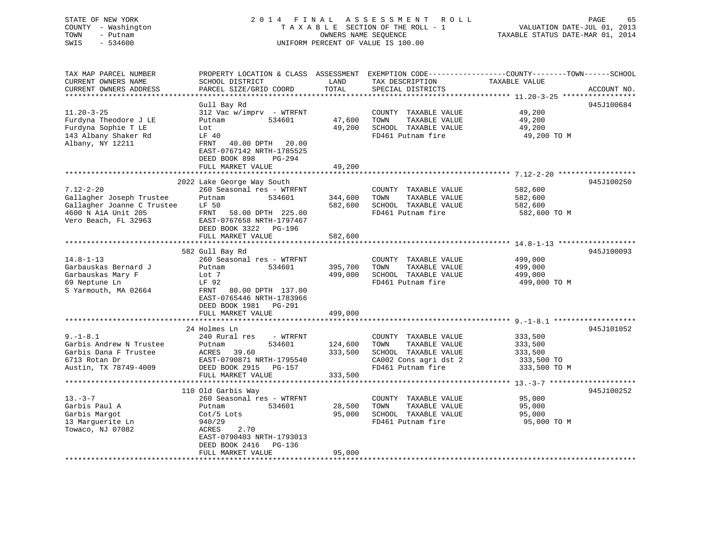#### STATE OF NEW YORK 2 0 1 4 F I N A L A S S E S S M E N T R O L L PAGE 65COUNTY - Washington T A X A B L E SECTION OF THE ROLL - 1 TOWN - Putnam **CONNERS NAME SEQUENCE** TAXABLE STATUS DATE-MAR 01, 2014 SWIS - 534600 UNIFORM PERCENT OF VALUE IS 100.00

VALUATION DATE-JUL 01, 2013

| TAX MAP PARCEL NUMBER<br>CURRENT OWNERS NAME<br>CURRENT OWNERS ADDRESS<br>**********************                         | PROPERTY LOCATION & CLASS<br>SCHOOL DISTRICT<br>PARCEL SIZE/GRID COORD                                                                                                                          | ASSESSMENT<br>LAND<br>TOTAL   | TAX DESCRIPTION<br>SPECIAL DISTRICTS                                                                                | EXEMPTION CODE-----------------COUNTY-------TOWN------SCHOOL<br>TAXABLE VALUE<br>ACCOUNT NO.                          |
|--------------------------------------------------------------------------------------------------------------------------|-------------------------------------------------------------------------------------------------------------------------------------------------------------------------------------------------|-------------------------------|---------------------------------------------------------------------------------------------------------------------|-----------------------------------------------------------------------------------------------------------------------|
| $11.20 - 3 - 25$<br>Furdyna Theodore J LE<br>Furdyna Sophie T LE<br>143 Albany Shaker Rd<br>Albany, NY 12211             | Gull Bay Rd<br>312 Vac w/imprv - WTRFNT<br>534601<br>Putnam<br>Lot<br>LF 40<br>40.00 DPTH<br>FRNT<br>20.00<br>EAST-0767142 NRTH-1785525<br>DEED BOOK 898<br>$PG-294$                            | 47,600<br>49,200              | COUNTY TAXABLE VALUE<br>TOWN<br>TAXABLE VALUE<br>SCHOOL TAXABLE VALUE<br>FD461 Putnam fire                          | 945J100684<br>49,200<br>49,200<br>49,200<br>49,200 TO M                                                               |
|                                                                                                                          | FULL MARKET VALUE                                                                                                                                                                               | 49,200                        |                                                                                                                     |                                                                                                                       |
| $7.12 - 2 - 20$<br>Gallagher Joseph Trustee<br>Gallagher Joanne C Trustee<br>4600 N A1A Unit 205<br>Vero Beach, FL 32963 | 2022 Lake George Way South<br>260 Seasonal res - WTRFNT<br>Putnam<br>534601<br>LF 50<br>FRNT<br>58.00 DPTH 225.00<br>EAST-0767658 NRTH-1797467<br>DEED BOOK 3322<br>PG-196<br>FULL MARKET VALUE | 344,600<br>582,600<br>582,600 | COUNTY TAXABLE VALUE<br>TOWN<br>TAXABLE VALUE<br>SCHOOL TAXABLE VALUE<br>FD461 Putnam fire                          | ************************************ 7.12-2-20 *******<br>945J100250<br>582,600<br>582,600<br>582,600<br>582,600 TO M |
|                                                                                                                          |                                                                                                                                                                                                 |                               |                                                                                                                     |                                                                                                                       |
| $14.8 - 1 - 13$<br>Garbauskas Bernard J<br>Garbauskas Mary F<br>69 Neptune Ln<br>S Yarmouth, MA 02664                    | 582 Gull Bay Rd<br>260 Seasonal res - WTRFNT<br>Putnam<br>534601<br>Lot 7<br>LF 92<br>FRNT<br>80.00 DPTH 137.00<br>EAST-0765446 NRTH-1783966<br>DEED BOOK 1981 PG-291<br>FULL MARKET VALUE      | 395,700<br>499,000<br>499,000 | COUNTY TAXABLE VALUE<br>TOWN<br>TAXABLE VALUE<br>SCHOOL TAXABLE VALUE<br>FD461 Putnam fire                          | 945J100093<br>499,000<br>499,000<br>499,000<br>499,000 TO M                                                           |
|                                                                                                                          |                                                                                                                                                                                                 |                               |                                                                                                                     |                                                                                                                       |
| $9. - 1 - 8.1$<br>Garbis Andrew N Trustee<br>Garbis Dana F Trustee<br>6713 Rotan Dr<br>Austin, TX 78749-4009             | 24 Holmes Ln<br>240 Rural res<br>- WTRFNT<br>Putnam<br>534601<br>39.60<br>ACRES<br>EAST-0790871 NRTH-1795540<br>DEED BOOK 2915<br>PG-157<br>FULL MARKET VALUE                                   | 124,600<br>333,500<br>333,500 | COUNTY TAXABLE VALUE<br>TAXABLE VALUE<br>TOWN<br>SCHOOL TAXABLE VALUE<br>CA002 Cons agri dst 2<br>FD461 Putnam fire | 945J101052<br>333,500<br>333,500<br>333,500<br>333,500 TO<br>333,500 TO M                                             |
|                                                                                                                          | 110 Old Garbis Way                                                                                                                                                                              |                               |                                                                                                                     | 945J100252                                                                                                            |
| $13. - 3 - 7$<br>Garbis Paul A<br>Garbis Margot<br>13 Marquerite Ln<br>Towaco, NJ 07082                                  | 260 Seasonal res - WTRFNT<br>534601<br>Putnam<br>$Cot/5$ Lots<br>940/29<br>ACRES<br>2.70<br>EAST-0790403 NRTH-1793013<br>DEED BOOK 2416<br>PG-136                                               | 28,500<br>95,000              | COUNTY TAXABLE VALUE<br>TOWN<br>TAXABLE VALUE<br>SCHOOL TAXABLE VALUE<br>FD461 Putnam fire                          | 95,000<br>95,000<br>95,000<br>95,000 TO M                                                                             |
|                                                                                                                          | FULL MARKET VALUE<br>*******************                                                                                                                                                        | 95,000                        |                                                                                                                     |                                                                                                                       |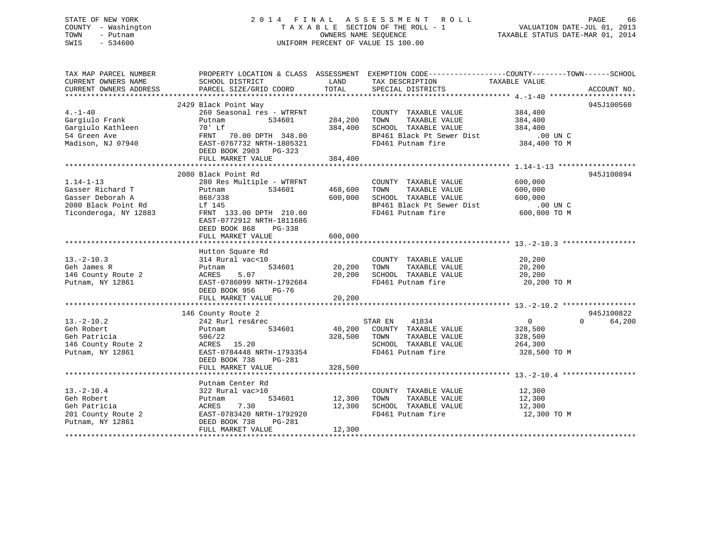## STATE OF NEW YORK 2 0 1 4 F I N A L A S S E S S M E N T R O L L PAGE 66 COUNTY - Washington T A X A B L E SECTION OF THE ROLL - 1 VALUATION DATE-JUL 01, 2013 TOWN - Putnam OWNERS NAME SEQUENCE TAXABLE STATUS DATE-MAR 01, 2014 SWIS - 534600 UNIFORM PERCENT OF VALUE IS 100.00

| TAX MAP PARCEL NUMBER             |                                                                                                                                    |               | PROPERTY LOCATION & CLASS ASSESSMENT EXEMPTION CODE----------------COUNTY-------TOWN-----SCHOOL |                  |                    |
|-----------------------------------|------------------------------------------------------------------------------------------------------------------------------------|---------------|-------------------------------------------------------------------------------------------------|------------------|--------------------|
|                                   | SCHOOL DISTRICT LAND LAND PARCEL SIZE/GRID COORD TOTAL                                                                             |               |                                                                                                 |                  |                    |
|                                   |                                                                                                                                    |               |                                                                                                 |                  |                    |
|                                   |                                                                                                                                    |               |                                                                                                 |                  |                    |
|                                   | 2429 Black Point Way                                                                                                               |               |                                                                                                 |                  | 945J100560         |
| $4. -1 - 40$                      | 260 Seasonal res - WTRFNT                                                                                                          |               | COUNTY TAXABLE VALUE 384,400                                                                    |                  |                    |
| Gargiulo Frank                    | 534601<br>Putnam                                                                                                                   | 284,200       | TOWN                                                                                            |                  |                    |
| Gargiulo Kathleen                 |                                                                                                                                    | 384,400       | TAXABLE VALUE 384,400<br>TAXABLE VALUE 384,400<br>SCHOOL TAXABLE VALUE                          |                  |                    |
| 54 Green Ave                      |                                                                                                                                    |               |                                                                                                 |                  |                    |
| Madison, NJ 07940                 | Putnam<br>70' Lf<br>FRNT 70.00 DPTH 348.00<br>EAST-0767732 NRTH-1805321<br>EAST-0767732 NRTH-1805321                               |               | BP461 Black Pt Sewer Dist .00 UN C<br>FD461 Putnam fire 384,400 TO M                            |                  |                    |
|                                   | DEED BOOK 2903 PG-323                                                                                                              |               |                                                                                                 |                  |                    |
|                                   | FULL MARKET VALUE                                                                                                                  | 384,400       |                                                                                                 |                  |                    |
|                                   |                                                                                                                                    |               |                                                                                                 |                  |                    |
|                                   | 2080 Black Point Rd                                                                                                                |               |                                                                                                 |                  | 945J100894         |
| $1.14 - 1 - 13$                   | 280 Res Multiple - WTRFNT                                                                                                          |               | COUNTY TAXABLE VALUE 600,000                                                                    |                  |                    |
| Gasser Richard T                  | 534601<br>Putnam                                                                                                                   | 468,600       | TOWN<br>TAXABLE VALUE                                                                           | 600,000          |                    |
| Gasser Deborah A                  | 868/338                                                                                                                            | 600,000       | SCHOOL TAXABLE VALUE                                                                            | 600,000          |                    |
| 2080 Black Point Rd               | Lf 145                                                                                                                             |               |                                                                                                 |                  |                    |
| Ticonderoga, NY 12883             | FRNT 133.00 DPTH 210.00                                                                                                            |               | BP461 Black Pt Sewer Dist<br>FD461 Putnam fire 600,000 TO M                                     |                  |                    |
|                                   | EAST-0772912 NRTH-1811686                                                                                                          |               |                                                                                                 |                  |                    |
|                                   | DEED BOOK 868<br>PG-338                                                                                                            |               |                                                                                                 |                  |                    |
|                                   | FULL MARKET VALUE                                                                                                                  | 600,000       |                                                                                                 |                  |                    |
|                                   |                                                                                                                                    |               |                                                                                                 |                  |                    |
|                                   | Hutton Square Rd                                                                                                                   |               |                                                                                                 |                  |                    |
| $13.-2-10.3$                      | 314 Rural vac<10                                                                                                                   |               | COUNTY TAXABLE VALUE 20,200                                                                     |                  |                    |
| Geh James R                       | 534601<br>Putnam                                                                                                                   |               |                                                                                                 | 20,200           |                    |
| Geh James R<br>146 County Route 2 | ACRES<br>5.07                                                                                                                      |               | 20,200 TOWN TAXABLE VALUE<br>20,200 SCHOOL TAXABLE VALUE                                        | 20,200<br>20,200 |                    |
| Putnam, NY 12861                  | EAST-0786099 NRTH-1792684                                                                                                          |               | FD461 Putnam fire 20,200 TO M                                                                   |                  |                    |
|                                   | DEED BOOK 956                                                                                                                      |               |                                                                                                 |                  |                    |
|                                   | PG-76<br>FULL MARKET VALUE                                                                                                         |               |                                                                                                 |                  |                    |
|                                   |                                                                                                                                    | 20,200        |                                                                                                 |                  |                    |
|                                   |                                                                                                                                    |               |                                                                                                 |                  | 945J100822         |
| $13.-2-10.2$                      | 146 County Route 2<br>County Route 2<br>242 Rurl res&rec                                                                           |               | STAR EN 41834                                                                                   | $\overline{0}$   | $\Omega$<br>64,200 |
|                                   |                                                                                                                                    |               |                                                                                                 |                  |                    |
| Geh Robert                        | 534601<br>Putnam                                                                                                                   |               | 40,200 COUNTY TAXABLE VALUE                                                                     | 328,500          |                    |
| Geh Patricia                      | 506/22                                                                                                                             | 328,500 TOWN  | TAXABLE VALUE                                                                                   | 328,500          |                    |
| 146 County Route 2                | ACRES 15.20                                                                                                                        |               | SCHOOL TAXABLE VALUE                                                                            | 264,300          |                    |
| Putnam, NY 12861                  | EAST-0784448 NRTH-1793354                                                                                                          |               | FD461 Putnam fire                                                                               | 328,500 TO M     |                    |
|                                   | DEED BOOK 738<br>PG-281                                                                                                            |               |                                                                                                 |                  |                    |
|                                   | FULL MARKET VALUE                                                                                                                  | 328,500       |                                                                                                 |                  |                    |
|                                   |                                                                                                                                    |               |                                                                                                 |                  |                    |
|                                   | Putnam Center Rd                                                                                                                   |               |                                                                                                 |                  |                    |
| $13.-2-10.4$                      | 322 Rural vac>10                                                                                                                   |               | COUNTY TAXABLE VALUE                                                                            | 12,300           |                    |
| Geh Robert                        | Putnam                                                                                                                             | 534601 12,300 | TAXABLE VALUE<br>TOWN                                                                           | 12,300           |                    |
|                                   |                                                                                                                                    | 12,300        | SCHOOL TAXABLE VALUE 12,300                                                                     |                  |                    |
|                                   |                                                                                                                                    |               | FD461 Putnam fire                                                                               | 12,300 TO M      |                    |
|                                   | Geh Patricia<br>201 County Route 2<br>201 County Route 2<br>201 County Route 2<br>202 Cutham, NY 12861<br>202 DEED BOOK 738 PG-281 |               |                                                                                                 |                  |                    |
|                                   | FULL MARKET VALUE                                                                                                                  | 12,300        |                                                                                                 |                  |                    |
|                                   |                                                                                                                                    |               |                                                                                                 |                  |                    |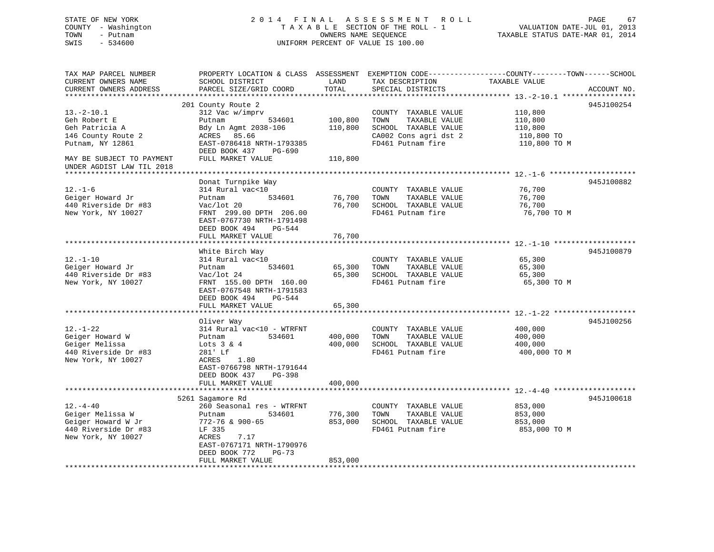# STATE OF NEW YORK GOT A LOCAL LOCAL A LOCAL A S S E S S M E N T R O L LOCAL CORRESPONDENT ROLL CONTROLLER STATE OF A LOCAL CONTROLLER STATE OF A LOCAL CONTROLLER STATE OF A LOCAL CONTROLLER STATE OF A LOCAL CONTROLLER STAT COUNTY - Washington  $T A X A B L E$  SECTION OF THE ROLL - 1<br>TOWN - Putnam data of the COUNTERS NAME SEQUENCE SWIS - 534600 UNIFORM PERCENT OF VALUE IS 100.00

VALUATION DATE-JUL 01, 2013

TAXABLE STATUS DATE-MAR 01, 2014

| TAX MAP PARCEL NUMBER                                  | PROPERTY LOCATION & CLASS ASSESSMENT |                      | EXEMPTION CODE-----------------COUNTY-------TOWN------SCHOOL |                                                           |             |
|--------------------------------------------------------|--------------------------------------|----------------------|--------------------------------------------------------------|-----------------------------------------------------------|-------------|
| CURRENT OWNERS NAME                                    | SCHOOL DISTRICT                      | LAND                 | TAX DESCRIPTION                                              | TAXABLE VALUE                                             |             |
| CURRENT OWNERS ADDRESS                                 | PARCEL SIZE/GRID COORD               | TOTAL                | SPECIAL DISTRICTS                                            |                                                           | ACCOUNT NO. |
|                                                        |                                      |                      |                                                              |                                                           |             |
|                                                        |                                      |                      |                                                              |                                                           | 945J100254  |
|                                                        | 201 County Route 2                   |                      |                                                              |                                                           |             |
| $13.-2-10.1$                                           | 312 Vac w/imprv                      |                      | COUNTY TAXABLE VALUE                                         | 110,800                                                   |             |
| Geh Robert E                                           | Putnam<br>534601                     | 100,800              | TOWN<br>TAXABLE VALUE                                        | 110,800                                                   |             |
| Geh Patricia A                                         | Bdy Ln Agmt 2038-106                 | 110,800              | SCHOOL TAXABLE VALUE                                         | 110,800                                                   |             |
| 146 County Route 2                                     | ACRES 85.66                          |                      | CA002 Cons agri dst 2                                        | 110,800 TO                                                |             |
| Putnam, NY 12861                                       | EAST-0786418 NRTH-1793385            |                      | FD461 Putnam fire                                            | 110,800 TO M                                              |             |
|                                                        | DEED BOOK 437<br>PG-690              |                      |                                                              |                                                           |             |
| MAY BE SUBJECT TO PAYMENT<br>UNDER AGDIST LAW TIL 2018 | FULL MARKET VALUE                    | 110,800              |                                                              |                                                           |             |
| *********************                                  |                                      |                      |                                                              |                                                           |             |
|                                                        | Donat Turnpike Way                   |                      |                                                              |                                                           | 945J100882  |
| $12.-1-6$                                              | 314 Rural vac<10                     |                      | COUNTY TAXABLE VALUE                                         | 76,700                                                    |             |
| Geiger Howard Jr                                       | 534601<br>Putnam                     | 76,700               | TOWN<br>TAXABLE VALUE                                        | 76,700                                                    |             |
| 440 Riverside Dr #83                                   | Vac/lot 20                           | 76,700               | SCHOOL TAXABLE VALUE                                         | 76,700                                                    |             |
| New York, NY 10027                                     |                                      |                      | FD461 Putnam fire                                            | 76,700 TO M                                               |             |
|                                                        | FRNT 299.00 DPTH 206.00              |                      |                                                              |                                                           |             |
|                                                        | EAST-0767730 NRTH-1791498            |                      |                                                              |                                                           |             |
|                                                        | DEED BOOK 494<br>PG-544              |                      |                                                              |                                                           |             |
|                                                        | FULL MARKET VALUE                    | 76,700               |                                                              |                                                           |             |
|                                                        | *******************                  | **************       |                                                              |                                                           |             |
|                                                        | White Birch Way                      |                      |                                                              |                                                           | 945J100879  |
| $12.-1-10$                                             | 314 Rural vac<10                     |                      | COUNTY TAXABLE VALUE                                         | 65,300                                                    |             |
| Geiger Howard Jr                                       | 534601<br>Putnam                     | 65,300               | TAXABLE VALUE<br>TOWN                                        | 65,300                                                    |             |
| 440 Riverside Dr #83                                   | Vac/lot 24                           | 65,300               | SCHOOL TAXABLE VALUE                                         | 65,300                                                    |             |
| New York, NY 10027                                     | FRNT 155.00 DPTH 160.00              |                      | FD461 Putnam fire                                            | 65,300 TO M                                               |             |
|                                                        | EAST-0767548 NRTH-1791583            |                      |                                                              |                                                           |             |
|                                                        | DEED BOOK 494<br>PG-544              |                      |                                                              |                                                           |             |
|                                                        |                                      |                      |                                                              |                                                           |             |
|                                                        | FULL MARKET VALUE                    | 65,300<br>********** |                                                              | **************************** 12.-1-22 ******************* |             |
|                                                        |                                      |                      |                                                              |                                                           |             |
|                                                        | Oliver Way                           |                      |                                                              |                                                           | 945J100256  |
| $12. - 1 - 22$                                         | 314 Rural vac<10 - WTRFNT            |                      | COUNTY TAXABLE VALUE                                         | 400,000                                                   |             |
| Geiger Howard W                                        | 534601<br>Putnam                     | 400,000              | TAXABLE VALUE<br>TOWN                                        | 400,000                                                   |             |
| Geiger Melissa                                         | Lots $3 & 4$                         | 400,000              | SCHOOL TAXABLE VALUE                                         | 400,000                                                   |             |
| 440 Riverside Dr #83                                   | 281' Lf                              |                      | FD461 Putnam fire                                            | 400,000 TO M                                              |             |
| New York, NY 10027                                     | 1.80<br>ACRES                        |                      |                                                              |                                                           |             |
|                                                        | EAST-0766798 NRTH-1791644            |                      |                                                              |                                                           |             |
|                                                        | DEED BOOK 437<br>$PG-398$            |                      |                                                              |                                                           |             |
|                                                        | FULL MARKET VALUE                    | 400,000              |                                                              |                                                           |             |
|                                                        |                                      |                      |                                                              |                                                           |             |
|                                                        |                                      |                      |                                                              |                                                           |             |
|                                                        | 5261 Sagamore Rd                     |                      |                                                              |                                                           | 945J100618  |
| $12. - 4 - 40$                                         | 260 Seasonal res - WTRFNT            |                      | COUNTY TAXABLE VALUE                                         | 853,000                                                   |             |
| Geiger Melissa W                                       | 534601<br>Putnam                     | 776,300              | TAXABLE VALUE<br>TOWN                                        | 853,000                                                   |             |
| Geiger Howard W Jr                                     | 772-76 & 900-65                      | 853,000              | SCHOOL TAXABLE VALUE                                         | 853,000                                                   |             |
| 440 Riverside Dr #83                                   | LF 335                               |                      | FD461 Putnam fire                                            | 853,000 TO M                                              |             |
| New York, NY 10027                                     | ACRES<br>7.17                        |                      |                                                              |                                                           |             |
|                                                        | EAST-0767171 NRTH-1790976            |                      |                                                              |                                                           |             |
|                                                        | DEED BOOK 772<br>$PG-73$             |                      |                                                              |                                                           |             |
|                                                        | FULL MARKET VALUE                    | 853,000              |                                                              |                                                           |             |
|                                                        |                                      |                      |                                                              |                                                           |             |
|                                                        |                                      |                      |                                                              |                                                           |             |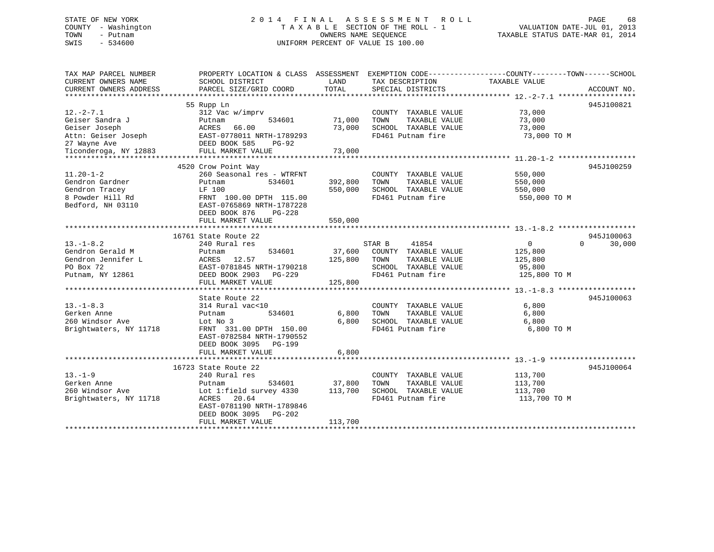## STATE OF NEW YORK 2 0 1 4 F I N A L A S S E S S M E N T R O L L PAGE 68 COUNTY - Washington T A X A B L E SECTION OF THE ROLL - 1 VALUATION DATE-JUL 01, 2013 TOWN - Putnam OWNERS NAME SEQUENCE TAXABLE STATUS DATE-MAR 01, 2014 SWIS - 534600 UNIFORM PERCENT OF VALUE IS 100.00

| TAX MAP PARCEL NUMBER  | PROPERTY LOCATION & CLASS ASSESSMENT |         | EXEMPTION CODE-----------------COUNTY-------TOWN------SCHOOL |                |                    |
|------------------------|--------------------------------------|---------|--------------------------------------------------------------|----------------|--------------------|
| CURRENT OWNERS NAME    | SCHOOL DISTRICT                      | LAND    | TAX DESCRIPTION                                              | TAXABLE VALUE  |                    |
| CURRENT OWNERS ADDRESS | PARCEL SIZE/GRID COORD               | TOTAL   | SPECIAL DISTRICTS                                            |                | ACCOUNT NO.        |
|                        |                                      |         |                                                              |                | 945J100821         |
| $12. - 2 - 7.1$        | 55 Rupp Ln<br>312 Vac w/imprv        |         | COUNTY TAXABLE VALUE                                         | 73,000         |                    |
| Geiser Sandra J        | 534601<br>Putnam                     | 71,000  | TOWN<br>TAXABLE VALUE                                        | 73,000         |                    |
| Geiser Joseph          | 66.00<br>ACRES                       | 73,000  | SCHOOL TAXABLE VALUE                                         | 73,000         |                    |
| Attn: Geiser Joseph    | EAST-0778011 NRTH-1789293            |         | FD461 Putnam fire                                            | 73,000 TO M    |                    |
| 27 Wayne Ave           | DEED BOOK 585<br>$PG-92$             |         |                                                              |                |                    |
| Ticonderoga, NY 12883  | FULL MARKET VALUE                    | 73,000  |                                                              |                |                    |
|                        |                                      |         |                                                              |                |                    |
|                        | 4520 Crow Point Way                  |         |                                                              |                | 945J100259         |
| $11.20 - 1 - 2$        | 260 Seasonal res - WTRFNT            |         | COUNTY TAXABLE VALUE                                         | 550,000        |                    |
| Gendron Gardner        | 534601<br>Putnam                     | 392,800 | TAXABLE VALUE<br>TOWN                                        | 550,000        |                    |
| Gendron Tracey         | LF 100                               | 550,000 | SCHOOL TAXABLE VALUE                                         | 550,000        |                    |
| 8 Powder Hill Rd       | FRNT 100.00 DPTH 115.00              |         | FD461 Putnam fire                                            | 550,000 TO M   |                    |
| Bedford, NH 03110      | EAST-0765869 NRTH-1787228            |         |                                                              |                |                    |
|                        | DEED BOOK 876<br>$PG-228$            |         |                                                              |                |                    |
|                        | FULL MARKET VALUE                    | 550,000 |                                                              |                |                    |
|                        |                                      |         |                                                              |                |                    |
|                        | 16761 State Route 22                 |         |                                                              |                | 945J100063         |
| $13.-1-8.2$            | 240 Rural res                        |         | STAR B<br>41854                                              | $\overline{0}$ | $\Omega$<br>30,000 |
| Gendron Gerald M       | Putnam<br>534601                     | 37,600  | COUNTY TAXABLE VALUE                                         | 125,800        |                    |
| Gendron Jennifer L     | ACRES<br>12.57                       | 125,800 | TOWN<br>TAXABLE VALUE                                        | 125,800        |                    |
| PO Box 72              | EAST-0781845 NRTH-1790218            |         | SCHOOL TAXABLE VALUE                                         | 95,800         |                    |
| Putnam, NY 12861       | DEED BOOK 2903<br>PG-229             |         | FD461 Putnam fire                                            | 125,800 TO M   |                    |
|                        | FULL MARKET VALUE                    | 125,800 |                                                              |                |                    |
|                        |                                      |         |                                                              |                |                    |
|                        | State Route 22                       |         |                                                              |                | 945J100063         |
| $13. - 1 - 8.3$        | 314 Rural vac<10                     |         | COUNTY TAXABLE VALUE                                         | 6,800          |                    |
| Gerken Anne            | 534601<br>Putnam                     | 6,800   | TOWN<br>TAXABLE VALUE                                        | 6,800          |                    |
| 260 Windsor Ave        | Lot No 3                             | 6,800   | SCHOOL TAXABLE VALUE                                         | 6,800          |                    |
| Brightwaters, NY 11718 | FRNT 331.00 DPTH 150.00              |         | FD461 Putnam fire                                            | 6,800 TO M     |                    |
|                        | EAST-0782584 NRTH-1790552            |         |                                                              |                |                    |
|                        | DEED BOOK 3095<br><b>PG-199</b>      |         |                                                              |                |                    |
|                        | FULL MARKET VALUE                    | 6,800   |                                                              |                |                    |
|                        |                                      |         |                                                              |                |                    |
|                        | 16723 State Route 22                 |         |                                                              |                | 945J100064         |
| $13. - 1 - 9$          | 240 Rural res                        |         | COUNTY TAXABLE VALUE                                         | 113,700        |                    |
| Gerken Anne            | 534601<br>Putnam                     | 37,800  | TOWN<br>TAXABLE VALUE                                        | 113,700        |                    |
| 260 Windsor Ave        | Lot 1: field survey 4330             | 113,700 | SCHOOL TAXABLE VALUE                                         | 113,700        |                    |
| Brightwaters, NY 11718 | ACRES<br>20.64                       |         | FD461 Putnam fire                                            | 113,700 TO M   |                    |
|                        | EAST-0781190 NRTH-1789846            |         |                                                              |                |                    |
|                        | DEED BOOK 3095<br>PG-202             |         |                                                              |                |                    |
|                        | FULL MARKET VALUE                    | 113,700 |                                                              |                |                    |
|                        |                                      |         |                                                              |                |                    |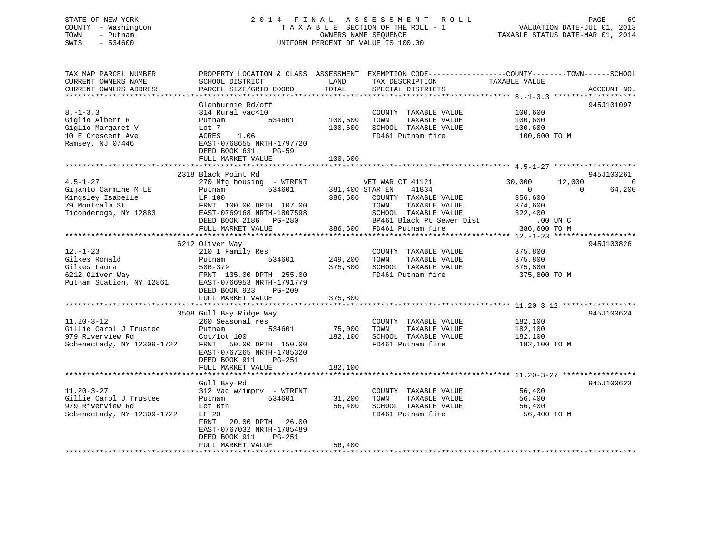## STATE OF NEW YORK 2 0 1 4 F I N A L A S S E S S M E N T R O L L PAGE 69 COUNTY - Washington T A X A B L E SECTION OF THE ROLL - 1 VALUATION DATE-JUL 01, 2013 TOWN - Putnam OWNERS NAME SEQUENCE TAXABLE STATUS DATE-MAR 01, 2014 SWIS - 534600 UNIFORM PERCENT OF VALUE IS 100.00

| TAX MAP PARCEL NUMBER<br>CURRENT OWNERS NAME<br>CURRENT OWNERS ADDRESS | PROPERTY LOCATION & CLASS ASSESSMENT<br>SCHOOL DISTRICT<br>PARCEL SIZE/GRID COORD | LAND<br>TOTAL   | TAX DESCRIPTION<br>SPECIAL DISTRICTS          | EXEMPTION CODE-----------------COUNTY-------TOWN------SCHOOL<br>TAXABLE VALUE | ACCOUNT NO. |
|------------------------------------------------------------------------|-----------------------------------------------------------------------------------|-----------------|-----------------------------------------------|-------------------------------------------------------------------------------|-------------|
|                                                                        |                                                                                   |                 |                                               |                                                                               |             |
|                                                                        | Glenburnie Rd/off                                                                 |                 |                                               |                                                                               | 945J101097  |
| $8. - 1 - 3.3$                                                         | 314 Rural vac<10                                                                  |                 | COUNTY TAXABLE VALUE                          | 100,600                                                                       |             |
| Giglio Albert R                                                        | 534601<br>Putnam                                                                  | 100,600         | TAXABLE VALUE<br>TOWN                         | 100,600                                                                       |             |
| Giglio Margaret V                                                      | Lot 7                                                                             | 100,600         | SCHOOL TAXABLE VALUE                          | 100,600                                                                       |             |
| 10 E Crescent Ave                                                      | 1.06<br>ACRES                                                                     |                 | FD461 Putnam fire                             | 100,600 TO M                                                                  |             |
| Ramsey, NJ 07446                                                       | EAST-0768655 NRTH-1797720                                                         |                 |                                               |                                                                               |             |
|                                                                        | DEED BOOK 631<br>$PG-59$                                                          |                 |                                               |                                                                               |             |
|                                                                        | FULL MARKET VALUE                                                                 | 100,600         |                                               |                                                                               |             |
|                                                                        | **************************                                                        |                 |                                               |                                                                               |             |
|                                                                        | 2318 Black Point Rd                                                               |                 |                                               |                                                                               | 945J100261  |
| $4.5 - 1 - 27$                                                         | 270 Mfg housing - WTRFNT                                                          |                 | VET WAR CT 41121                              | 30,000<br>12,000                                                              | $\Omega$    |
| Gijanto Carmine M LE                                                   | 534601<br>Putnam                                                                  | 381,400 STAR EN | 41834                                         | $\Omega$<br>$\Omega$                                                          | 64,200      |
| Kingsley Isabelle                                                      | LF 100                                                                            | 386,600         | COUNTY TAXABLE VALUE                          | 356,600                                                                       |             |
| 79 Montcalm St                                                         | FRNT 100.00 DPTH 107.00                                                           |                 | TOWN<br>TAXABLE VALUE<br>SCHOOL TAXABLE VALUE | 374,600                                                                       |             |
| Ticonderoga, NY 12883                                                  | EAST-0769168 NRTH-1807598<br>DEED BOOK 2186 PG-280                                |                 | BP461 Black Pt Sewer Dist                     | 322,400<br>$.00$ UN $C$                                                       |             |
|                                                                        | FULL MARKET VALUE                                                                 | 386,600         | FD461 Putnam fire                             | 386,600 TO M                                                                  |             |
|                                                                        |                                                                                   |                 |                                               |                                                                               |             |
|                                                                        | 6212 Oliver Way                                                                   |                 |                                               |                                                                               | 945J100826  |
| $12. - 1 - 23$                                                         | 210 1 Family Res                                                                  |                 | COUNTY TAXABLE VALUE                          | 375,800                                                                       |             |
| Gilkes Ronald                                                          | 534601<br>Putnam                                                                  | 249,200         | TOWN<br>TAXABLE VALUE                         | 375,800                                                                       |             |
| Gilkes Laura                                                           | $506 - 379$                                                                       | 375,800         | SCHOOL TAXABLE VALUE                          | 375,800                                                                       |             |
| 6212 Oliver Way                                                        | FRNT 135.00 DPTH 255.00                                                           |                 | FD461 Putnam fire                             | 375,800 TO M                                                                  |             |
| Putnam Station, NY 12861                                               | EAST-0766953 NRTH-1791779                                                         |                 |                                               |                                                                               |             |
|                                                                        | DEED BOOK 923<br>$PG-209$                                                         |                 |                                               |                                                                               |             |
|                                                                        | FULL MARKET VALUE                                                                 | 375,800         |                                               |                                                                               |             |
|                                                                        |                                                                                   |                 |                                               |                                                                               |             |
|                                                                        | 3508 Gull Bay Ridge Way                                                           |                 |                                               |                                                                               | 945J100624  |
| $11.20 - 3 - 12$                                                       | 260 Seasonal res                                                                  |                 | COUNTY TAXABLE VALUE                          | 182,100                                                                       |             |
| Gillie Carol J Trustee                                                 | Putnam<br>534601                                                                  | 75,000          | TOWN<br>TAXABLE VALUE                         | 182,100                                                                       |             |
| 979 Riverview Rd                                                       | $Cot/lot$ 100                                                                     | 182,100         | SCHOOL TAXABLE VALUE                          | 182,100                                                                       |             |
| Schenectady, NY 12309-1722                                             | FRNT<br>50.00 DPTH 150.00<br>EAST-0767265 NRTH-1785320                            |                 | FD461 Putnam fire                             | 182,100 TO M                                                                  |             |
|                                                                        | DEED BOOK 911<br>PG-251                                                           |                 |                                               |                                                                               |             |
|                                                                        | FULL MARKET VALUE                                                                 | 182,100         |                                               |                                                                               |             |
|                                                                        |                                                                                   |                 |                                               |                                                                               |             |
|                                                                        | Gull Bay Rd                                                                       |                 |                                               |                                                                               | 945J100623  |
| $11.20 - 3 - 27$                                                       | $312$ Vac w/imprv - WTRFNT                                                        |                 | COUNTY TAXABLE VALUE                          | 56,400                                                                        |             |
| Gillie Carol J Trustee                                                 | 534601<br>Putnam                                                                  | 31,200          | TOWN<br>TAXABLE VALUE                         | 56,400                                                                        |             |
| 979 Riverview Rd                                                       | Lot Bth                                                                           | 56,400          | SCHOOL TAXABLE VALUE                          | 56,400                                                                        |             |
| Schenectady, NY 12309-1722                                             | LF 20                                                                             |                 | FD461 Putnam fire                             | 56,400 TO M                                                                   |             |
|                                                                        | 20.00 DPTH<br>26.00<br>FRNT                                                       |                 |                                               |                                                                               |             |
|                                                                        | EAST-0767032 NRTH-1785489                                                         |                 |                                               |                                                                               |             |
|                                                                        | DEED BOOK 911<br><b>PG-251</b>                                                    |                 |                                               |                                                                               |             |
|                                                                        | FULL MARKET VALUE                                                                 | 56,400          |                                               |                                                                               |             |
|                                                                        |                                                                                   |                 |                                               |                                                                               |             |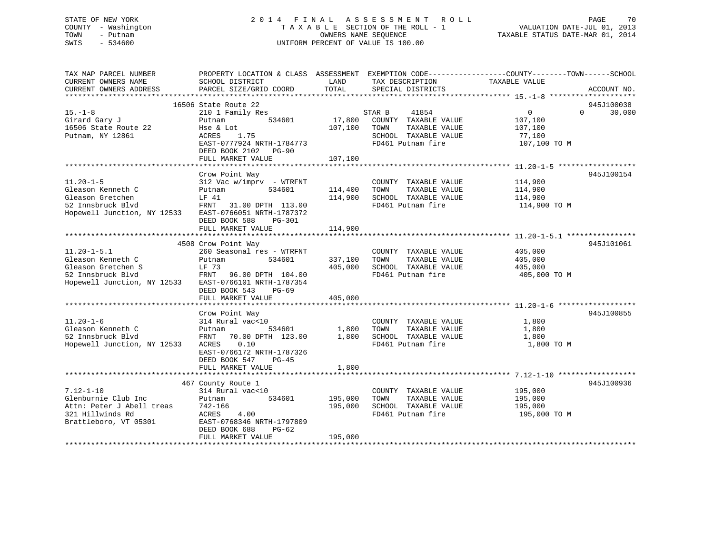## STATE OF NEW YORK 2 0 1 4 F I N A L A S S E S S M E N T R O L L PAGE 70 COUNTY - Washington T A X A B L E SECTION OF THE ROLL - 1 VALUATION DATE-JUL 01, 2013 TOWN - Putnam OWNERS NAME SEQUENCE TAXABLE STATUS DATE-MAR 01, 2014 SWIS - 534600 UNIFORM PERCENT OF VALUE IS 100.00

| TAX MAP PARCEL NUMBER<br>CURRENT OWNERS NAME<br>CURRENT OWNERS ADDRESS                                           | PROPERTY LOCATION & CLASS ASSESSMENT EXEMPTION CODE----------------COUNTY-------TOWN------SCHOOL<br>SCHOOL DISTRICT<br>PARCEL SIZE/GRID COORD | LAND<br>TOTAL      | TAX DESCRIPTION<br>SPECIAL DISTRICTS                                                       | TAXABLE VALUE                                 | ACCOUNT NO.          |
|------------------------------------------------------------------------------------------------------------------|-----------------------------------------------------------------------------------------------------------------------------------------------|--------------------|--------------------------------------------------------------------------------------------|-----------------------------------------------|----------------------|
|                                                                                                                  |                                                                                                                                               |                    |                                                                                            |                                               |                      |
| $15. - 1 - 8$<br>Girard Gary J                                                                                   | 16506 State Route 22<br>210 1 Family Res<br>534601<br>Putnam                                                                                  | 17,800             | 41854<br>STAR B<br>COUNTY TAXABLE VALUE                                                    | $\mathbf{0}$<br>$\Omega$<br>107,100           | 945J100038<br>30,000 |
| 16506 State Route 22<br>Putnam, NY 12861                                                                         | Hse & Lot<br><b>ACRES</b><br>1.75<br>EAST-0777924 NRTH-1784773                                                                                | 107,100            | TOWN<br>TAXABLE VALUE<br>SCHOOL TAXABLE VALUE<br>FD461 Putnam fire                         | 107,100<br>77,100<br>107,100 TO M             |                      |
|                                                                                                                  | DEED BOOK 2102<br>$PG-90$<br>FULL MARKET VALUE                                                                                                | 107,100            |                                                                                            |                                               |                      |
|                                                                                                                  | Crow Point Way                                                                                                                                |                    |                                                                                            |                                               | 945J100154           |
| $11.20 - 1 - 5$<br>Gleason Kenneth C<br>Gleason Gretchen<br>52 Innsbruck Blvd                                    | $312$ Vac w/imprv - WTRFNT<br>534601<br>Putnam<br>LF 41<br>FRNT<br>31.00 DPTH 113.00                                                          | 114,400<br>114,900 | COUNTY TAXABLE VALUE<br>TOWN<br>TAXABLE VALUE<br>SCHOOL TAXABLE VALUE<br>FD461 Putnam fire | 114,900<br>114,900<br>114,900<br>114,900 TO M |                      |
| Hopewell Junction, NY 12533                                                                                      | EAST-0766051 NRTH-1787372<br>DEED BOOK 588<br>PG-301<br>FULL MARKET VALUE                                                                     | 114,900            |                                                                                            |                                               |                      |
|                                                                                                                  |                                                                                                                                               |                    |                                                                                            |                                               |                      |
| $11.20 - 1 - 5.1$<br>Gleason Kenneth C<br>Gleason Gretchen S                                                     | 4508 Crow Point Way<br>260 Seasonal res - WTRFNT<br>Putnam<br>534601<br>LF 73                                                                 | 337,100<br>405,000 | COUNTY TAXABLE VALUE<br>TAXABLE VALUE<br>TOWN<br>SCHOOL TAXABLE VALUE                      | 405,000<br>405,000<br>405,000                 | 945J101061           |
| 52 Innsbruck Blvd<br>Hopewell Junction, NY 12533                                                                 | 96.00 DPTH 104.00<br>FRNT<br>EAST-0766101 NRTH-1787354<br>DEED BOOK 543<br>$PG-69$<br>FULL MARKET VALUE                                       | 405,000            | FD461 Putnam fire                                                                          | 405,000 TO M                                  |                      |
|                                                                                                                  |                                                                                                                                               |                    |                                                                                            |                                               |                      |
| $11.20 - 1 - 6$                                                                                                  | Crow Point Way<br>314 Rural vac<10                                                                                                            |                    | COUNTY TAXABLE VALUE                                                                       | 1,800                                         | 945J100855           |
| Gleason Kenneth C<br>52 Innsbruck Blvd<br>Hopewell Junction, NY 12533                                            | 534601<br>Putnam<br>FRNT<br>70.00 DPTH 123.00<br>0.10<br>ACRES<br>EAST-0766172 NRTH-1787326                                                   | 1,800<br>1,800     | TOWN<br>TAXABLE VALUE<br>SCHOOL TAXABLE VALUE<br>FD461 Putnam fire                         | 1,800<br>1,800<br>1,800 TO M                  |                      |
|                                                                                                                  | DEED BOOK 547<br>$PG-45$<br>FULL MARKET VALUE                                                                                                 | 1,800              |                                                                                            |                                               |                      |
|                                                                                                                  | 467 County Route 1                                                                                                                            |                    |                                                                                            |                                               | 945J100936           |
| $7.12 - 1 - 10$<br>Glenburnie Club Inc<br>Attn: Peter J Abell treas<br>321 Hillwinds Rd<br>Brattleboro, VT 05301 | 314 Rural vac<10<br>534601<br>Putnam<br>742-166<br>ACRES<br>4.00<br>EAST-0768346 NRTH-1797809<br>DEED BOOK 688<br>$PG-62$                     | 195,000<br>195,000 | COUNTY TAXABLE VALUE<br>TOWN<br>TAXABLE VALUE<br>SCHOOL TAXABLE VALUE<br>FD461 Putnam fire | 195,000<br>195,000<br>195,000<br>195,000 TO M |                      |
|                                                                                                                  | FULL MARKET VALUE                                                                                                                             | 195,000            |                                                                                            |                                               |                      |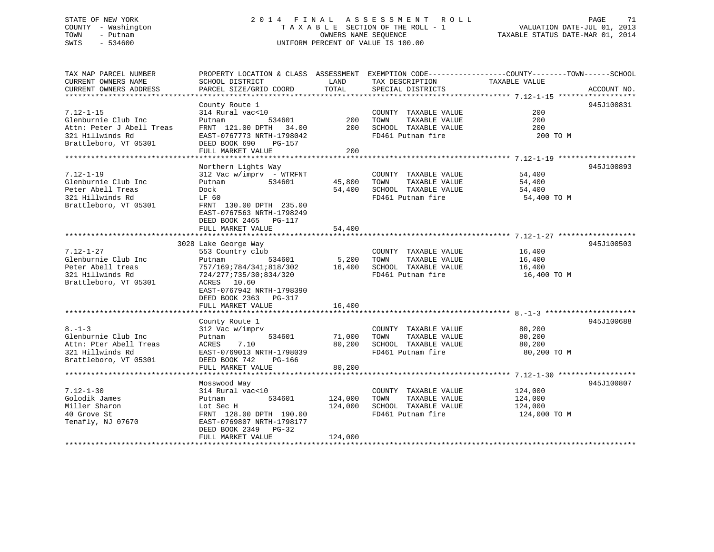## STATE OF NEW YORK 2 0 1 4 F I N A L A S S E S S M E N T R O L L PAGE 71 COUNTY - Washington T A X A B L E SECTION OF THE ROLL - 1 VALUATION DATE-JUL 01, 2013 TOWN - Putnam OWNERS NAME SEQUENCE TAXABLE STATUS DATE-MAR 01, 2014 SWIS - 534600 UNIFORM PERCENT OF VALUE IS 100.00

TAX MAP PARCEL NUMBER PROPERTY LOCATION & CLASS ASSESSMENT EXEMPTION CODE------------------COUNTY--------TOWN------SCHOOL CURRENT OWNERS NAME SCHOOL DISTRICT LAND TAX DESCRIPTION TAXABLE VALUECURRENT OWNERS ADDRESS PARCEL SIZE/GRID COORD TOTAL SPECIAL DISTRICTS ACCOUNT NO. \*\*\*\*\*\*\*\*\*\*\*\*\*\*\*\*\*\*\*\*\*\*\*\*\*\*\*\*\*\*\*\*\*\*\*\*\*\*\*\*\*\*\*\*\*\*\*\*\*\*\*\*\*\*\*\*\*\*\*\*\*\*\*\*\*\*\*\*\*\*\*\*\*\*\*\*\*\*\*\*\*\*\*\*\*\*\*\*\*\*\*\*\*\*\*\*\*\*\*\*\*\*\* 7.12-1-15 \*\*\*\*\*\*\*\*\*\*\*\*\*\*\*\*\*\* County Route 1 945J100831 7.12-1-15 314 Rural vac<10 COUNTY TAXABLE VALUE 200Glenburnie Club Inc Putnam 534601 200 TOWN TAXABLE VALUE 200200 Attn: Peter J Abell Treas FRNT 121.00 DPTH 34.00 200 SCHOOL TAXABLE VALUE 200321 Hillwinds Rd EAST-0767773 NRTH-1798042 FD461 Putnam fire 200 TO MAttn: Peter J Abell Treas<br>321 Hillwinds Rd<br>Brattleboro, VT 05301 DEED BOOK 690 PG-157 FULL MARKET VALUE 200 \*\*\*\*\*\*\*\*\*\*\*\*\*\*\*\*\*\*\*\*\*\*\*\*\*\*\*\*\*\*\*\*\*\*\*\*\*\*\*\*\*\*\*\*\*\*\*\*\*\*\*\*\*\*\*\*\*\*\*\*\*\*\*\*\*\*\*\*\*\*\*\*\*\*\*\*\*\*\*\*\*\*\*\*\*\*\*\*\*\*\*\*\*\*\*\*\*\*\*\*\*\*\* 7.12-1-19 \*\*\*\*\*\*\*\*\*\*\*\*\*\*\*\*\*\* Northern Lights Way 945J100893 7.12-1-19 312 Vac w/imprv - WTRFNT COUNTY TAXABLE VALUE 54,400 Glenburnie Club Inc Putnam 534601 45,800 TOWN TAXABLE VALUE 54,400 Peter Abell Treas Dock 54,400 SCHOOL TAXABLE VALUE 54,400 321 Hillwinds Rd LF 60 FD461 Putnam fire 54,400 TO M Brattleboro, VT 05301 FRNT 130.00 DPTH 235.00 EAST-0767563 NRTH-1798249 DEED BOOK 2465 PG-117FULL MARKET VALUE 54,400 \*\*\*\*\*\*\*\*\*\*\*\*\*\*\*\*\*\*\*\*\*\*\*\*\*\*\*\*\*\*\*\*\*\*\*\*\*\*\*\*\*\*\*\*\*\*\*\*\*\*\*\*\*\*\*\*\*\*\*\*\*\*\*\*\*\*\*\*\*\*\*\*\*\*\*\*\*\*\*\*\*\*\*\*\*\*\*\*\*\*\*\*\*\*\*\*\*\*\*\*\*\*\* 7.12-1-27 \*\*\*\*\*\*\*\*\*\*\*\*\*\*\*\*\*\* 3028 Lake George Way 945J100503 7.12-1-27 553 Country club COUNTY TAXABLE VALUE 16,400 Glenburnie Club Inc Putnam 534601 5,200 TOWN TAXABLE VALUE 16,400 Peter Abell treas 757/169;784/341;818/302 16,400 SCHOOL TAXABLE VALUE 16,400 321 Hillwinds Rd 724/277;735/30;834/320 FD461 Putnam fire 16,400 TO M Brattleboro, VT 05301 ACRES 10.60 EAST-0767942 NRTH-1798390 DEED BOOK 2363 PG-317FULL MARKET VALUE 16,400 \*\*\*\*\*\*\*\*\*\*\*\*\*\*\*\*\*\*\*\*\*\*\*\*\*\*\*\*\*\*\*\*\*\*\*\*\*\*\*\*\*\*\*\*\*\*\*\*\*\*\*\*\*\*\*\*\*\*\*\*\*\*\*\*\*\*\*\*\*\*\*\*\*\*\*\*\*\*\*\*\*\*\*\*\*\*\*\*\*\*\*\*\*\*\*\*\*\*\*\*\*\*\* 8.-1-3 \*\*\*\*\*\*\*\*\*\*\*\*\*\*\*\*\*\*\*\*\*County Route 1 945J100688 8.-1-3 312 Vac w/imprv COUNTY TAXABLE VALUE 80,200 Glenburnie Club Inc  $P$ utnam  $\overline{534601}$  71,000 TOWN TAXABLE VALUE 80,200 Attn: Pter Abell Treas ACRES 7.10 80,200 SCHOOL TAXABLE VALUE 80,200 321 Hillwinds Rd EAST-0769013 NRTH-1798039 FD461 Putnam fire 80,200 TO M Brattleboro, VT 05301 DEED BOOK 742 PG-166 FULL MARKET VALUE 80,200 \*\*\*\*\*\*\*\*\*\*\*\*\*\*\*\*\*\*\*\*\*\*\*\*\*\*\*\*\*\*\*\*\*\*\*\*\*\*\*\*\*\*\*\*\*\*\*\*\*\*\*\*\*\*\*\*\*\*\*\*\*\*\*\*\*\*\*\*\*\*\*\*\*\*\*\*\*\*\*\*\*\*\*\*\*\*\*\*\*\*\*\*\*\*\*\*\*\*\*\*\*\*\* 7.12-1-30 \*\*\*\*\*\*\*\*\*\*\*\*\*\*\*\*\*\* Mosswood Way 945J100807 7.12-1-30 314 Rural vac<10 COUNTY TAXABLE VALUE 124,000 Golodik James Putnam 534601 124,000 TOWN TAXABLE VALUE 124,000 Miller Sharon Lot Sec H 124,000 SCHOOL TAXABLE VALUE 124,000 40 Grove St FRNT 128.00 DPTH 190.00 FD461 Putnam fire 124,000 TO M Tenafly, NJ 07670 EAST-0769807 NRTH-1798177 DEED BOOK 2349 PG-32 FULL MARKET VALUE 124,000 \*\*\*\*\*\*\*\*\*\*\*\*\*\*\*\*\*\*\*\*\*\*\*\*\*\*\*\*\*\*\*\*\*\*\*\*\*\*\*\*\*\*\*\*\*\*\*\*\*\*\*\*\*\*\*\*\*\*\*\*\*\*\*\*\*\*\*\*\*\*\*\*\*\*\*\*\*\*\*\*\*\*\*\*\*\*\*\*\*\*\*\*\*\*\*\*\*\*\*\*\*\*\*\*\*\*\*\*\*\*\*\*\*\*\*\*\*\*\*\*\*\*\*\*\*\*\*\*\*\*\*\*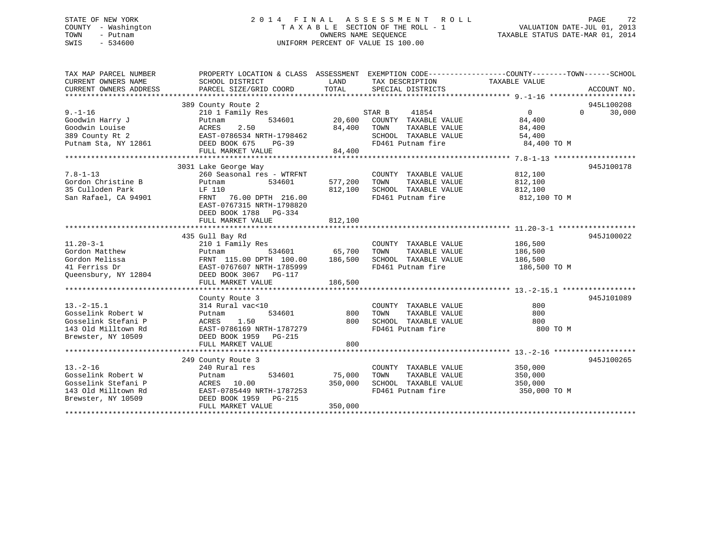## STATE OF NEW YORK 2 0 1 4 F I N A L A S S E S S M E N T R O L L PAGE 72 COUNTY - Washington T A X A B L E SECTION OF THE ROLL - 1 VALUATION DATE-JUL 01, 2013 TOWN - Putnam OWNERS NAME SEQUENCE TAXABLE STATUS DATE-MAR 01, 2014 SWIS - 534600 UNIFORM PERCENT OF VALUE IS 100.00

| TAX MAP PARCEL NUMBER<br>CURRENT OWNERS NAME<br>CURRENT OWNERS ADDRESS                                     | PROPERTY LOCATION & CLASS ASSESSMENT<br>SCHOOL DISTRICT<br>PARCEL SIZE/GRID COORD                                                                       | LAND<br>TOTAL                | EXEMPTION CODE-----------------COUNTY--------TOWN------SCHOOL<br>TAX DESCRIPTION<br>SPECIAL DISTRICTS | TAXABLE VALUE                                 | ACCOUNT NO.                      |
|------------------------------------------------------------------------------------------------------------|---------------------------------------------------------------------------------------------------------------------------------------------------------|------------------------------|-------------------------------------------------------------------------------------------------------|-----------------------------------------------|----------------------------------|
| $9. - 1 - 16$                                                                                              | 389 County Route 2<br>210 1 Family Res                                                                                                                  |                              | 41854<br>STAR B                                                                                       | $\Omega$                                      | 945L100208<br>30,000<br>$\Omega$ |
| Goodwin Harry J<br>Goodwin Louise<br>389 County Rt 2                                                       | 534601<br>Putnam<br>2.50<br>ACRES<br>EAST-0786534 NRTH-1798462                                                                                          | 20,600<br>84,400             | COUNTY TAXABLE VALUE<br>TOWN<br>TAXABLE VALUE<br>SCHOOL TAXABLE VALUE                                 | 84,400<br>84,400<br>54,400                    |                                  |
| Putnam Sta, NY 12861                                                                                       | DEED BOOK 675<br>$PG-39$<br>FULL MARKET VALUE                                                                                                           | 84,400                       | FD461 Putnam fire                                                                                     | 84,400 TO M                                   |                                  |
|                                                                                                            | 3031 Lake George Way                                                                                                                                    |                              |                                                                                                       |                                               | 945J100178                       |
| $7.8 - 1 - 13$<br>Gordon Christine B<br>35 Culloden Park<br>San Rafael, CA 94901                           | 260 Seasonal res - WTRFNT<br>Putnam<br>534601<br>LF 110<br>FRNT<br>76.00 DPTH 216.00<br>EAST-0767315 NRTH-1798820<br>DEED BOOK 1788 PG-334              | 577,200<br>812,100           | COUNTY TAXABLE VALUE<br>TOWN<br>TAXABLE VALUE<br>SCHOOL TAXABLE VALUE<br>FD461 Putnam fire            | 812,100<br>812,100<br>812,100<br>812,100 TO M |                                  |
|                                                                                                            | FULL MARKET VALUE                                                                                                                                       | 812,100                      |                                                                                                       |                                               |                                  |
|                                                                                                            | 435 Gull Bay Rd                                                                                                                                         |                              |                                                                                                       |                                               | 945J100022                       |
| $11.20 - 3 - 1$<br>Gordon Matthew<br>Gordon Melissa<br>41 Ferriss Dr<br>Queensbury, NY 12804               | 210 1 Family Res<br>534601<br>Putnam<br>FRNT 115.00 DPTH 100.00<br>EAST-0767607 NRTH-1785999<br>DEED BOOK 3067 PG-117                                   | 65,700<br>186,500            | COUNTY TAXABLE VALUE<br>TOWN<br>TAXABLE VALUE<br>SCHOOL TAXABLE VALUE<br>FD461 Putnam fire            | 186,500<br>186,500<br>186,500<br>186,500 TO M |                                  |
|                                                                                                            | FULL MARKET VALUE                                                                                                                                       | 186,500                      |                                                                                                       |                                               |                                  |
|                                                                                                            |                                                                                                                                                         |                              |                                                                                                       |                                               |                                  |
| $13. - 2 - 15.1$<br>Gosselink Robert W<br>Gosselink Stefani P<br>143 Old Milltown Rd<br>Brewster, NY 10509 | County Route 3<br>314 Rural vac<10<br>534601<br>Putnam<br>1.50<br>ACRES<br>EAST-0786169 NRTH-1787279<br>DEED BOOK 1959 PG-215<br>FULL MARKET VALUE      | 800<br>800<br>800            | COUNTY TAXABLE VALUE<br>TOWN<br>TAXABLE VALUE<br>SCHOOL TAXABLE VALUE<br>FD461 Putnam fire            | 800<br>800<br>800<br>800 TO M                 | 945J101089                       |
|                                                                                                            |                                                                                                                                                         |                              |                                                                                                       |                                               |                                  |
| $13. - 2 - 16$<br>Gosselink Robert W<br>Gosselink Stefani P<br>143 Old Milltown Rd<br>Brewster, NY 10509   | 249 County Route 3<br>240 Rural res<br>534601<br>Putnam<br>10.00<br>ACRES<br>EAST-0785449 NRTH-1787253<br>DEED BOOK 1959<br>PG-215<br>FULL MARKET VALUE | 75,000<br>350,000<br>350,000 | COUNTY TAXABLE VALUE<br>TAXABLE VALUE<br>TOWN<br>SCHOOL TAXABLE VALUE<br>FD461 Putnam fire            | 350,000<br>350,000<br>350,000<br>350,000 TO M | 945J100265                       |
|                                                                                                            |                                                                                                                                                         |                              |                                                                                                       |                                               |                                  |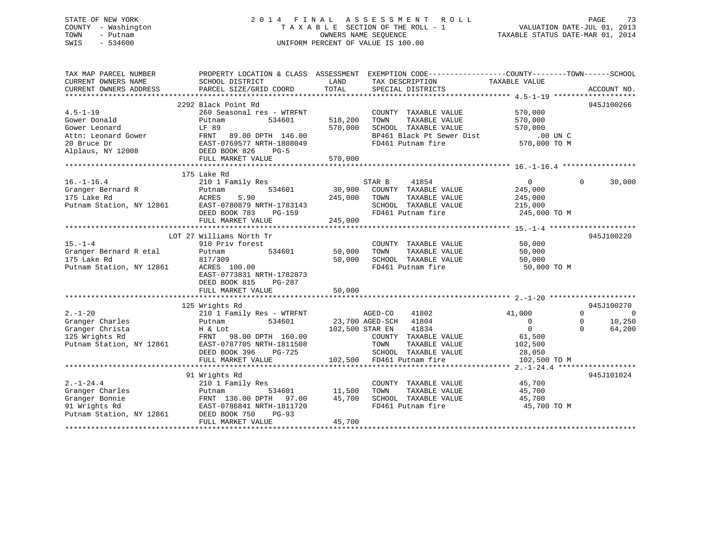### STATE OF NEW YORK 2 0 1 4 F I N A L A S S E S S M E N T R O L L PAGE 73 COUNTY - Washington T A X A B L E SECTION OF THE ROLL - 1 VALUATION DATE-JUL 01, 2013 TOWN - Putnam OWNERS NAME SEQUENCE TAXABLE STATUS DATE-MAR 01, 2014 SWIS - 534600 UNIFORM PERCENT OF VALUE IS 100.00

| TAX MAP PARCEL NUMBER<br>CURRENT OWNERS NAME<br>CURRENT OWNERS ADDRESS | PROPERTY LOCATION & CLASS ASSESSMENT<br>SCHOOL DISTRICT<br>PARCEL SIZE/GRID COORD | LAND<br>TOTAL    | EXEMPTION CODE----------------COUNTY-------TOWN-----SCHOOL<br>TAX DESCRIPTION<br>SPECIAL DISTRICTS | TAXABLE VALUE    | ACCOUNT NO.          |
|------------------------------------------------------------------------|-----------------------------------------------------------------------------------|------------------|----------------------------------------------------------------------------------------------------|------------------|----------------------|
|                                                                        |                                                                                   |                  |                                                                                                    |                  |                      |
|                                                                        | 2292 Black Point Rd                                                               |                  |                                                                                                    |                  | 945J100266           |
| $4.5 - 1 - 19$                                                         | 260 Seasonal res - WTRFNT                                                         |                  | COUNTY TAXABLE VALUE                                                                               | 570,000          |                      |
| Gower Donald                                                           | 534601<br>Putnam                                                                  | 518,200          | TOWN<br>TAXABLE VALUE                                                                              | 570,000          |                      |
| Gower Leonard                                                          | LF 89                                                                             | 570,000          | SCHOOL TAXABLE VALUE                                                                               | 570,000          |                      |
| Attn: Leonard Gower                                                    | FRNT 89.00 DPTH 146.00                                                            |                  | BP461 Black Pt Sewer Dist                                                                          | $.00$ UN $C$     |                      |
| 20 Bruce Dr                                                            | EAST-0769577 NRTH-1808049                                                         |                  | FD461 Putnam fire                                                                                  | 570,000 TO M     |                      |
| Alplaus, NY 12008                                                      | DEED BOOK 826<br>$PG-5$                                                           |                  |                                                                                                    |                  |                      |
|                                                                        | FULL MARKET VALUE                                                                 | 570,000          |                                                                                                    |                  |                      |
|                                                                        |                                                                                   |                  |                                                                                                    |                  |                      |
|                                                                        | 175 Lake Rd                                                                       |                  |                                                                                                    |                  |                      |
| $16. - 1 - 16.4$                                                       | 210 1 Family Res                                                                  |                  | STAR B<br>41854                                                                                    | $\overline{0}$   | 30,000<br>$\Omega$   |
| Granger Bernard R                                                      | 534601<br>Putnam                                                                  | 30,900           | COUNTY TAXABLE VALUE                                                                               | 245,000          |                      |
| 175 Lake Rd                                                            | ACRES<br>5.90                                                                     | 245,000          | TOWN<br>TAXABLE VALUE                                                                              | 245,000          |                      |
| Putnam Station, NY 12861                                               | EAST-0780879 NRTH-1783143                                                         |                  | SCHOOL TAXABLE VALUE                                                                               | 215,000          |                      |
|                                                                        | DEED BOOK 783<br>PG-159                                                           |                  | FD461 Putnam fire                                                                                  | 245,000 TO M     |                      |
|                                                                        | FULL MARKET VALUE                                                                 | 245,000          |                                                                                                    |                  |                      |
|                                                                        | LOT 27 Williams North Tr                                                          |                  |                                                                                                    |                  | 945J100220           |
| $15. - 1 - 4$                                                          | 910 Priv forest                                                                   |                  | COUNTY TAXABLE VALUE                                                                               | 50,000           |                      |
| Granger Bernard R etal                                                 | 534601<br>Putnam                                                                  | 50,000           | TOWN<br>TAXABLE VALUE                                                                              | 50,000           |                      |
| 175 Lake Rd                                                            | 817/309                                                                           | 50,000           | SCHOOL TAXABLE VALUE                                                                               | 50,000           |                      |
| Putnam Station, NY 12861                                               | ACRES 100.00                                                                      |                  | FD461 Putnam fire                                                                                  | 50,000 TO M      |                      |
|                                                                        | EAST-0773831 NRTH-1782873                                                         |                  |                                                                                                    |                  |                      |
|                                                                        | DEED BOOK 815<br>PG-287                                                           |                  |                                                                                                    |                  |                      |
|                                                                        | FULL MARKET VALUE                                                                 | 50,000           |                                                                                                    |                  |                      |
|                                                                        |                                                                                   |                  |                                                                                                    |                  |                      |
|                                                                        | 125 Wrights Rd                                                                    |                  |                                                                                                    |                  | 945J100270           |
| $2. - 1 - 20$                                                          | 210 1 Family Res - WTRFNT                                                         |                  | AGED-CO<br>41802                                                                                   | 41,000           | $\Omega$<br>$\Omega$ |
| Granger Charles                                                        | 534601<br>Putnam                                                                  |                  | 23,700 AGED-SCH<br>41804                                                                           | $\mathbf{0}$     | 10,250<br>0          |
| Granger Christa                                                        | H & Lot                                                                           | 102,500 STAR EN  | 41834                                                                                              | $\Omega$         | $\Omega$<br>64,200   |
| 125 Wrights Rd                                                         | FRNT 98.00 DPTH 160.00                                                            |                  | COUNTY TAXABLE VALUE                                                                               | 61,500           |                      |
| Putnam Station, NY 12861                                               | EAST-0787705 NRTH-1811508                                                         |                  | TOWN<br>TAXABLE VALUE                                                                              | 102,500          |                      |
|                                                                        | DEED BOOK 396<br><b>PG-725</b>                                                    |                  | SCHOOL TAXABLE VALUE                                                                               | 28,050           |                      |
|                                                                        | FULL MARKET VALUE                                                                 | 102,500          | FD461 Putnam fire                                                                                  | 102,500 TO M     |                      |
|                                                                        | *************************                                                         |                  |                                                                                                    |                  |                      |
|                                                                        | 91 Wrights Rd                                                                     |                  |                                                                                                    |                  | 945J101024           |
| $2. -1 - 24.4$                                                         | 210 1 Family Res                                                                  |                  | COUNTY TAXABLE VALUE                                                                               | 45,700           |                      |
| Granger Charles<br>Granger Bonnie                                      | 534601<br>Putnam<br>FRNT 136.00 DPTH 97.00                                        | 11,500<br>45,700 | TOWN<br>TAXABLE VALUE<br>SCHOOL TAXABLE VALUE                                                      | 45,700<br>45,700 |                      |
| 91 Wrights Rd                                                          | EAST-0786841 NRTH-1811720                                                         |                  | FD461 Putnam fire                                                                                  | 45,700 TO M      |                      |
| Putnam Station, NY 12861                                               | DEED BOOK 750<br>$PG-93$                                                          |                  |                                                                                                    |                  |                      |
|                                                                        | FULL MARKET VALUE                                                                 | 45,700           |                                                                                                    |                  |                      |
|                                                                        |                                                                                   |                  |                                                                                                    |                  |                      |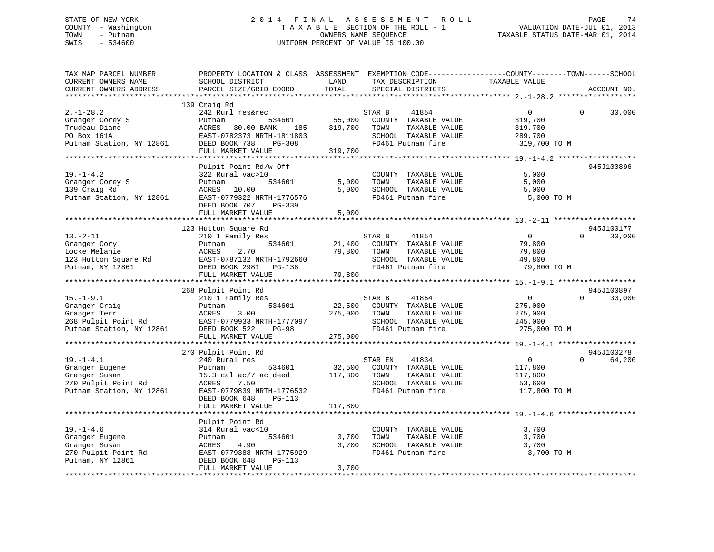### STATE OF NEW YORK 2 0 1 4 F I N A L A S S E S S M E N T R O L L PAGE 74 COUNTY - Washington T A X A B L E SECTION OF THE ROLL - 1 VALUATION DATE-JUL 01, 2013 TOWN - Putnam **CONNERS NAME SEQUENCE** TAXABLE STATUS DATE-MAR 01, 2014 SWIS - 534600 UNIFORM PERCENT OF VALUE IS 100.00

| TAX MAP PARCEL NUMBER<br>CURRENT OWNERS NAME<br>CURRENT OWNERS ADDRESS                                | PROPERTY LOCATION & CLASS ASSESSMENT EXEMPTION CODE----------------COUNTY-------TOWN------SCHOOL<br>SCHOOL DISTRICT<br>PARCEL SIZE/GRID COORD                   | LAND<br>TOTAL                | TAX DESCRIPTION<br>SPECIAL DISTRICTS                                                                           | TAXABLE VALUE                                                   | ACCOUNT NO.                      |
|-------------------------------------------------------------------------------------------------------|-----------------------------------------------------------------------------------------------------------------------------------------------------------------|------------------------------|----------------------------------------------------------------------------------------------------------------|-----------------------------------------------------------------|----------------------------------|
| *************************                                                                             |                                                                                                                                                                 |                              |                                                                                                                |                                                                 |                                  |
| $2. - 1 - 28.2$<br>Granger Corey S<br>Trudeau Diane<br>PO Box 161A<br>Putnam Station, NY 12861        | 139 Craig Rd<br>242 Rurl res&rec<br>534601<br>Putnam<br>ACRES<br>30.00 BANK<br>185<br>EAST-0782373 NRTH-1811803<br>DEED BOOK 738<br>PG-308<br>FULL MARKET VALUE | 55,000<br>319,700<br>319,700 | STAR B<br>41854<br>COUNTY TAXABLE VALUE<br>TOWN<br>TAXABLE VALUE<br>SCHOOL TAXABLE VALUE<br>FD461 Putnam fire  | $\overline{0}$<br>319,700<br>319,700<br>289,700<br>319,700 TO M | 30,000<br>$\Omega$               |
|                                                                                                       |                                                                                                                                                                 |                              |                                                                                                                |                                                                 |                                  |
| $19. - 1 - 4.2$<br>Granger Corey S<br>139 Craig Rd<br>Putnam Station, NY 12861                        | Pulpit Point Rd/w Off<br>322 Rural vac>10<br>534601<br>Putnam<br>ACRES 10.00<br>EAST-0779322 NRTH-1776576<br>DEED BOOK 707<br>PG-339<br>FULL MARKET VALUE       | 5,000<br>5,000<br>5,000      | COUNTY TAXABLE VALUE<br>TAXABLE VALUE<br>TOWN<br>SCHOOL TAXABLE VALUE<br>FD461 Putnam fire                     | 5,000<br>5,000<br>5,000<br>5,000 TO M                           | 945J100896                       |
|                                                                                                       |                                                                                                                                                                 |                              |                                                                                                                |                                                                 |                                  |
| $13.-2-11$<br>Granger Cory<br>Locke Melanie<br>123 Hutton Square Rd<br>Putnam, NY 12861               | 123 Hutton Square Rd<br>210 1 Family Res<br>534601<br>Putnam<br>2.70<br>ACRES<br>EAST-0787132 NRTH-1792660<br>DEED BOOK 2981<br>PG-138                          | 21,400<br>79,800             | STAR B<br>41854<br>COUNTY TAXABLE VALUE<br>TAXABLE VALUE<br>TOWN<br>SCHOOL TAXABLE VALUE<br>FD461 Putnam fire  | $\overline{0}$<br>79,800<br>79,800<br>49,800<br>79,800 TO M     | 945J100177<br>30,000<br>$\Omega$ |
|                                                                                                       | FULL MARKET VALUE                                                                                                                                               | 79,800                       |                                                                                                                |                                                                 |                                  |
|                                                                                                       |                                                                                                                                                                 |                              |                                                                                                                |                                                                 | 945J100897                       |
| $15. - 1 - 9.1$<br>Granger Craig<br>Granger Terri<br>268 Pulpit Point Rd<br>Putnam Station, NY 12861  | 268 Pulpit Point Rd<br>210 1 Family Res<br>534601<br>Putnam<br>ACRES<br>3.00<br>EAST-0779933 NRTH-1777097<br>DEED BOOK 522<br>$PG-98$<br>FULL MARKET VALUE      | 22,500<br>275,000<br>275,000 | STAR B<br>41854<br>COUNTY TAXABLE VALUE<br>TOWN<br>TAXABLE VALUE<br>SCHOOL TAXABLE VALUE<br>FD461 Putnam fire  | $\overline{0}$<br>275,000<br>275,000<br>245,000<br>275,000 TO M | $\Omega$<br>30,000               |
|                                                                                                       |                                                                                                                                                                 |                              |                                                                                                                |                                                                 |                                  |
| $19. - 1 - 4.1$<br>Granger Eugene<br>Granger Susan<br>270 Pulpit Point Rd<br>Putnam Station, NY 12861 | 270 Pulpit Point Rd<br>240 Rural res<br>534601<br>Putnam<br>15.3 cal ac/7 ac deed<br>ACRES<br>7.50<br>EAST-0779839 NRTH-1776532<br>DEED BOOK 648<br>$PG-113$    | 32,500<br>117,800            | STAR EN<br>41834<br>COUNTY TAXABLE VALUE<br>TOWN<br>TAXABLE VALUE<br>SCHOOL TAXABLE VALUE<br>FD461 Putnam fire | $\overline{0}$<br>117,800<br>117,800<br>53,600<br>117,800 TO M  | 945J100278<br>64,200<br>$\Omega$ |
|                                                                                                       | FULL MARKET VALUE                                                                                                                                               | 117,800                      |                                                                                                                |                                                                 |                                  |
|                                                                                                       |                                                                                                                                                                 |                              |                                                                                                                |                                                                 |                                  |
| $19. - 1 - 4.6$<br>Granger Eugene<br>Granger Susan<br>270 Pulpit Point Rd<br>Putnam, NY 12861         | Pulpit Point Rd<br>314 Rural vac<10<br>534601<br>Putnam<br>4.90<br>ACRES<br>EAST-0779388 NRTH-1775929<br>DEED BOOK 648<br>PG-113                                | 3,700<br>3,700               | COUNTY TAXABLE VALUE<br>TOWN<br>TAXABLE VALUE<br>SCHOOL TAXABLE VALUE<br>FD461 Putnam fire                     | 3,700<br>3,700<br>3,700<br>3,700 TO M                           |                                  |
|                                                                                                       | FULL MARKET VALUE                                                                                                                                               | 3,700                        |                                                                                                                |                                                                 |                                  |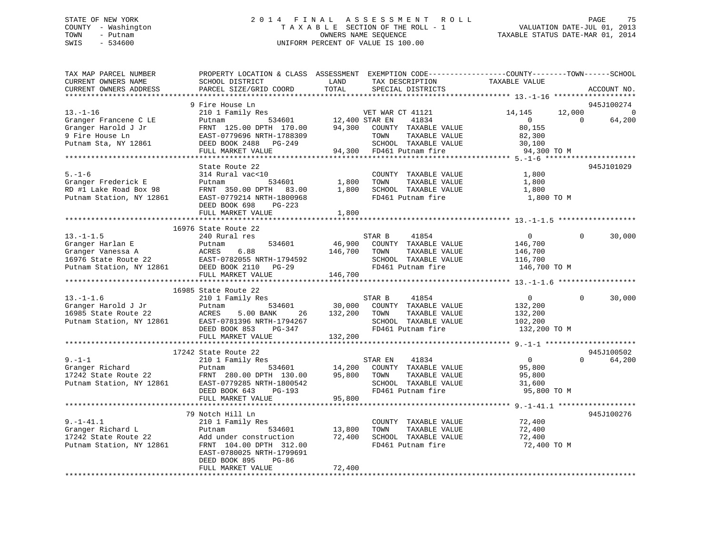### STATE OF NEW YORK 2 0 1 4 F I N A L A S S E S S M E N T R O L L PAGE 75 COUNTY - Washington T A X A B L E SECTION OF THE ROLL - 1 VALUATION DATE-JUL 01, 2013 TOWN - Putnam OWNERS NAME SEQUENCE TAXABLE STATUS DATE-MAR 01, 2014 SWIS - 534600 UNIFORM PERCENT OF VALUE IS 100.00

| TAX MAP PARCEL NUMBER<br>CURRENT OWNERS NAME<br>CURRENT OWNERS ADDRESS                                       | PROPERTY LOCATION & CLASS ASSESSMENT<br>SCHOOL DISTRICT<br>PARCEL SIZE/GRID COORD                                                                                                           | LAND<br>TAX DESCRIPTION<br>TOTAL<br>SPECIAL DISTRICTS                                                                                                         | EXEMPTION CODE-----------------COUNTY-------TOWN------SCHOOL<br>TAXABLE VALUE<br>ACCOUNT NO.                        |
|--------------------------------------------------------------------------------------------------------------|---------------------------------------------------------------------------------------------------------------------------------------------------------------------------------------------|---------------------------------------------------------------------------------------------------------------------------------------------------------------|---------------------------------------------------------------------------------------------------------------------|
|                                                                                                              |                                                                                                                                                                                             |                                                                                                                                                               |                                                                                                                     |
| $13. - 1 - 16$<br>Granger Francene C LE<br>Granger Harold J Jr<br>9 Fire House Ln<br>Putnam Sta, NY 12861    | 9 Fire House Ln<br>210 1 Family Res<br>534601<br>Putnam<br>FRNT 125.00 DPTH 170.00<br>EAST-0779696 NRTH-1788309<br>DEED BOOK 2488 PG-249<br>FULL MARKET VALUE                               | VET WAR CT 41121<br>12,400 STAR EN<br>41834<br>94,300<br>COUNTY TAXABLE VALUE<br>TOWN<br>TAXABLE VALUE<br>SCHOOL TAXABLE VALUE<br>94,300<br>FD461 Putnam fire | 945J100274<br>12,000<br>14,145<br>64,200<br>$\overline{0}$<br>$\Omega$<br>80,155<br>82,300<br>30,100<br>94,300 TO M |
|                                                                                                              |                                                                                                                                                                                             |                                                                                                                                                               |                                                                                                                     |
| $5. - 1 - 6$<br>Granger Frederick E<br>RD #1 Lake Road Box 98<br>Putnam Station, NY 12861                    | State Route 22<br>314 Rural vac<10<br>534601<br>Putnam<br>FRNT 350.00 DPTH 83.00<br>EAST-0779214 NRTH-1800968<br>DEED BOOK 698<br>PG-223<br>FULL MARKET VALUE                               | COUNTY TAXABLE VALUE<br>TAXABLE VALUE<br>1,800<br>TOWN<br>1,800<br>SCHOOL TAXABLE VALUE<br>FD461 Putnam fire<br>1,800                                         | 945J101029<br>1,800<br>1,800<br>1,800<br>1,800 TO M                                                                 |
|                                                                                                              |                                                                                                                                                                                             |                                                                                                                                                               |                                                                                                                     |
| $13. - 1 - 1.5$<br>Granger Harlan E<br>Granger Vanessa A<br>16976 State Route 22<br>Putnam Station, NY 12861 | 16976 State Route 22<br>240 Rural res<br>534601<br>Putnam<br>ACRES<br>6.88<br>EAST-0782055 NRTH-1794592<br>DEED BOOK 2110<br>PG-29<br>FULL MARKET VALUE                                     | 41854<br>STAR B<br>46,900<br>COUNTY TAXABLE VALUE<br>146,700<br>TOWN<br>TAXABLE VALUE<br>SCHOOL TAXABLE VALUE<br>FD461 Putnam fire<br>146,700                 | $\overline{0}$<br>$\Omega$<br>30,000<br>146,700<br>146,700<br>116,700<br>146,700 TO M                               |
|                                                                                                              |                                                                                                                                                                                             |                                                                                                                                                               |                                                                                                                     |
| $13.-1-1.6$<br>Granger Harold J Jr<br>16985 State Route 22<br>Putnam Station, NY 12861                       | 16985 State Route 22<br>210 1 Family Res<br>534601<br>Putnam<br>ACRES<br>5.00 BANK<br>26<br>EAST-0781396 NRTH-1794267<br>DEED BOOK 853<br>PG-347<br>FULL MARKET VALUE                       | STAR B<br>41854<br>30,000<br>COUNTY TAXABLE VALUE<br>132,200<br>TOWN<br>TAXABLE VALUE<br>SCHOOL TAXABLE VALUE<br>FD461 Putnam fire<br>132,200                 | $\Omega$<br>$\overline{0}$<br>30,000<br>132,200<br>132,200<br>102,200<br>132,200 TO M                               |
|                                                                                                              |                                                                                                                                                                                             |                                                                                                                                                               |                                                                                                                     |
| $9. - 1 - 1$<br>Granger Richard<br>17242 State Route 22<br>Putnam Station, NY 12861                          | 17242 State Route 22<br>210 1 Family Res<br>Putnam<br>534601<br>FRNT 280.00 DPTH 130.00<br>EAST-0779285 NRTH-1800542<br>DEED BOOK 643<br>PG-193<br>FULL MARKET VALUE                        | STAR EN<br>41834<br>14,200<br>COUNTY TAXABLE VALUE<br>95,800<br>TOWN<br>TAXABLE VALUE<br>SCHOOL TAXABLE VALUE<br>FD461 Putnam fire<br>95,800                  | 945J100502<br>$\mathbf{0}$<br>$\Omega$<br>64,200<br>95,800<br>95,800<br>31,600<br>95,800 TO M                       |
|                                                                                                              |                                                                                                                                                                                             |                                                                                                                                                               |                                                                                                                     |
| $9. - 1 - 41.1$<br>Granger Richard L<br>17242 State Route 22<br>Putnam Station, NY 12861                     | 79 Notch Hill Ln<br>210 1 Family Res<br>534601<br>Putnam<br>Add under construction<br>FRNT 104.00 DPTH 312.00<br>EAST-0780025 NRTH-1799691<br>DEED BOOK 895<br>$PG-86$<br>FULL MARKET VALUE | COUNTY TAXABLE VALUE<br>TOWN<br>13,800<br>TAXABLE VALUE<br>72,400<br>SCHOOL TAXABLE VALUE<br>FD461 Putnam fire<br>72,400                                      | 945J100276<br>72,400<br>72,400<br>72,400<br>72,400 TO M                                                             |
|                                                                                                              |                                                                                                                                                                                             |                                                                                                                                                               |                                                                                                                     |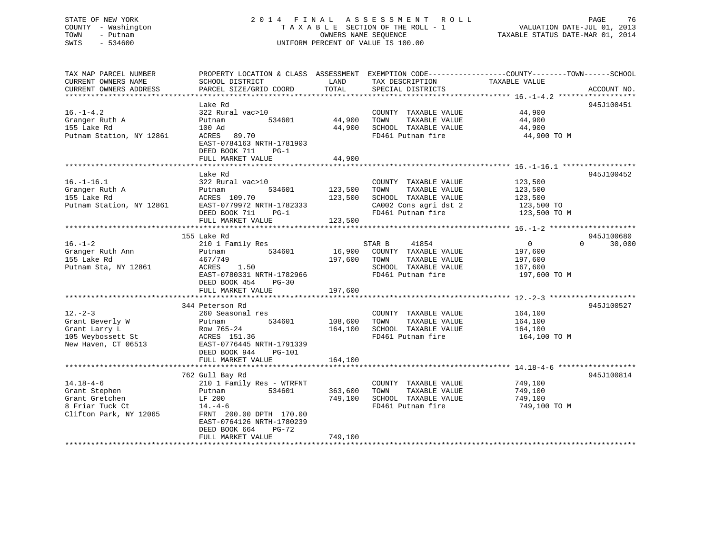### STATE OF NEW YORK 2 0 1 4 F I N A L A S S E S S M E N T R O L L PAGE 76 COUNTY - Washington T A X A B L E SECTION OF THE ROLL - 1 VALUATION DATE-JUL 01, 2013 TOWN - Putnam OWNERS NAME SEQUENCE TAXABLE STATUS DATE-MAR 01, 2014 SWIS - 534600 UNIFORM PERCENT OF VALUE IS 100.00

| TOTAL<br>CURRENT OWNERS ADDRESS<br>PARCEL SIZE/GRID COORD<br>SPECIAL DISTRICTS<br>945J100451<br>Lake Rd<br>$16. - 1 - 4.2$<br>44,900<br>322 Rural vac>10<br>COUNTY TAXABLE VALUE<br>44,900<br>Granger Ruth A<br>534601<br>TOWN<br>TAXABLE VALUE<br>44,900<br>Putnam<br>155 Lake Rd<br>44,900<br>SCHOOL TAXABLE VALUE<br>100 Ad<br>44,900<br>Putnam Station, NY 12861<br>FD461 Putnam fire<br>ACRES 89.70<br>44,900 TO M<br>EAST-0784163 NRTH-1781903<br>DEED BOOK 711<br>$PG-1$<br>FULL MARKET VALUE<br>44,900<br>**********<br>***********************<br>Lake Rd<br>945J100452<br>$16. - 1 - 16.1$<br>322 Rural vac>10<br>COUNTY TAXABLE VALUE<br>123,500 | TAX MAP PARCEL NUMBER<br>CURRENT OWNERS NAME | PROPERTY LOCATION & CLASS ASSESSMENT<br>SCHOOL DISTRICT | LAND | EXEMPTION CODE-----------------COUNTY-------TOWN------SCHOOL<br>TAX DESCRIPTION | TAXABLE VALUE |             |
|-------------------------------------------------------------------------------------------------------------------------------------------------------------------------------------------------------------------------------------------------------------------------------------------------------------------------------------------------------------------------------------------------------------------------------------------------------------------------------------------------------------------------------------------------------------------------------------------------------------------------------------------------------------|----------------------------------------------|---------------------------------------------------------|------|---------------------------------------------------------------------------------|---------------|-------------|
|                                                                                                                                                                                                                                                                                                                                                                                                                                                                                                                                                                                                                                                             |                                              |                                                         |      |                                                                                 |               | ACCOUNT NO. |
|                                                                                                                                                                                                                                                                                                                                                                                                                                                                                                                                                                                                                                                             |                                              |                                                         |      |                                                                                 |               |             |
|                                                                                                                                                                                                                                                                                                                                                                                                                                                                                                                                                                                                                                                             |                                              |                                                         |      |                                                                                 |               |             |
|                                                                                                                                                                                                                                                                                                                                                                                                                                                                                                                                                                                                                                                             |                                              |                                                         |      |                                                                                 |               |             |
|                                                                                                                                                                                                                                                                                                                                                                                                                                                                                                                                                                                                                                                             |                                              |                                                         |      |                                                                                 |               |             |
|                                                                                                                                                                                                                                                                                                                                                                                                                                                                                                                                                                                                                                                             |                                              |                                                         |      |                                                                                 |               |             |
|                                                                                                                                                                                                                                                                                                                                                                                                                                                                                                                                                                                                                                                             |                                              |                                                         |      |                                                                                 |               |             |
|                                                                                                                                                                                                                                                                                                                                                                                                                                                                                                                                                                                                                                                             |                                              |                                                         |      |                                                                                 |               |             |
|                                                                                                                                                                                                                                                                                                                                                                                                                                                                                                                                                                                                                                                             |                                              |                                                         |      |                                                                                 |               |             |
| Granger Ruth A<br>534601<br>123,500<br>TOWN<br>TAXABLE VALUE<br>123,500<br>Putnam                                                                                                                                                                                                                                                                                                                                                                                                                                                                                                                                                                           |                                              |                                                         |      |                                                                                 |               |             |
| 155 Lake Rd<br>SCHOOL TAXABLE VALUE<br>ACRES 109.70<br>123,500<br>123,500                                                                                                                                                                                                                                                                                                                                                                                                                                                                                                                                                                                   |                                              |                                                         |      |                                                                                 |               |             |
| Putnam Station, NY 12861<br>EAST-0779972 NRTH-1782333<br>CA002 Cons agri dst 2<br>123,500 TO                                                                                                                                                                                                                                                                                                                                                                                                                                                                                                                                                                |                                              |                                                         |      |                                                                                 |               |             |
| FD461 Putnam fire<br>123,500 TO M<br>DEED BOOK 711<br>$PG-1$                                                                                                                                                                                                                                                                                                                                                                                                                                                                                                                                                                                                |                                              |                                                         |      |                                                                                 |               |             |
| FULL MARKET VALUE<br>123,500                                                                                                                                                                                                                                                                                                                                                                                                                                                                                                                                                                                                                                |                                              |                                                         |      |                                                                                 |               |             |
|                                                                                                                                                                                                                                                                                                                                                                                                                                                                                                                                                                                                                                                             |                                              |                                                         |      |                                                                                 |               |             |
| 155 Lake Rd                                                                                                                                                                                                                                                                                                                                                                                                                                                                                                                                                                                                                                                 |                                              |                                                         |      |                                                                                 |               | 945J100680  |
| $16. - 1 - 2$<br>41854<br>210 1 Family Res<br>STAR B<br>$\overline{0}$<br>$\Omega$                                                                                                                                                                                                                                                                                                                                                                                                                                                                                                                                                                          |                                              |                                                         |      |                                                                                 |               | 30,000      |
| 16,900<br>Granger Ruth Ann<br>534601<br>COUNTY TAXABLE VALUE<br>197,600<br>Putnam                                                                                                                                                                                                                                                                                                                                                                                                                                                                                                                                                                           |                                              |                                                         |      |                                                                                 |               |             |
| 155 Lake Rd<br>467/749<br>197,600<br>TOWN<br>TAXABLE VALUE<br>197,600                                                                                                                                                                                                                                                                                                                                                                                                                                                                                                                                                                                       |                                              |                                                         |      |                                                                                 |               |             |
| Putnam Sta, NY 12861<br>SCHOOL TAXABLE VALUE<br>ACRES<br>1.50<br>167,600                                                                                                                                                                                                                                                                                                                                                                                                                                                                                                                                                                                    |                                              |                                                         |      |                                                                                 |               |             |
| FD461 Putnam fire<br>EAST-0780331 NRTH-1782966<br>197,600 TO M                                                                                                                                                                                                                                                                                                                                                                                                                                                                                                                                                                                              |                                              |                                                         |      |                                                                                 |               |             |
| DEED BOOK 454<br>$PG-30$                                                                                                                                                                                                                                                                                                                                                                                                                                                                                                                                                                                                                                    |                                              |                                                         |      |                                                                                 |               |             |
| 197,600<br>FULL MARKET VALUE                                                                                                                                                                                                                                                                                                                                                                                                                                                                                                                                                                                                                                |                                              |                                                         |      |                                                                                 |               |             |
| 344 Peterson Rd                                                                                                                                                                                                                                                                                                                                                                                                                                                                                                                                                                                                                                             |                                              |                                                         |      |                                                                                 |               | 945J100527  |
| $12. - 2 - 3$<br>164,100<br>260 Seasonal res<br>COUNTY TAXABLE VALUE                                                                                                                                                                                                                                                                                                                                                                                                                                                                                                                                                                                        |                                              |                                                         |      |                                                                                 |               |             |
| Grant Beverly W<br>534601<br>108,600<br>TOWN<br>TAXABLE VALUE<br>164,100<br>Putnam                                                                                                                                                                                                                                                                                                                                                                                                                                                                                                                                                                          |                                              |                                                         |      |                                                                                 |               |             |
| Grant Larry L<br>Row 765-24<br>164,100<br>SCHOOL TAXABLE VALUE<br>164,100                                                                                                                                                                                                                                                                                                                                                                                                                                                                                                                                                                                   |                                              |                                                         |      |                                                                                 |               |             |
| 105 Weybossett St<br>ACRES 151.36<br>FD461 Putnam fire<br>164,100 TO M                                                                                                                                                                                                                                                                                                                                                                                                                                                                                                                                                                                      |                                              |                                                         |      |                                                                                 |               |             |
| New Haven, CT 06513<br>EAST-0776445 NRTH-1791339                                                                                                                                                                                                                                                                                                                                                                                                                                                                                                                                                                                                            |                                              |                                                         |      |                                                                                 |               |             |
| DEED BOOK 944<br>PG-101                                                                                                                                                                                                                                                                                                                                                                                                                                                                                                                                                                                                                                     |                                              |                                                         |      |                                                                                 |               |             |
| FULL MARKET VALUE<br>164,100                                                                                                                                                                                                                                                                                                                                                                                                                                                                                                                                                                                                                                |                                              |                                                         |      |                                                                                 |               |             |
|                                                                                                                                                                                                                                                                                                                                                                                                                                                                                                                                                                                                                                                             |                                              |                                                         |      |                                                                                 |               |             |
| 762 Gull Bay Rd                                                                                                                                                                                                                                                                                                                                                                                                                                                                                                                                                                                                                                             |                                              |                                                         |      |                                                                                 |               | 945J100814  |
| $14.18 - 4 - 6$<br>210 1 Family Res - WTRFNT<br>COUNTY TAXABLE VALUE<br>749,100                                                                                                                                                                                                                                                                                                                                                                                                                                                                                                                                                                             |                                              |                                                         |      |                                                                                 |               |             |
| TAXABLE VALUE<br>Grant Stephen<br>Putnam<br>534601<br>363,600<br>TOWN<br>749,100                                                                                                                                                                                                                                                                                                                                                                                                                                                                                                                                                                            |                                              |                                                         |      |                                                                                 |               |             |
| Grant Gretchen<br>SCHOOL TAXABLE VALUE<br>LF 200<br>749,100<br>749,100                                                                                                                                                                                                                                                                                                                                                                                                                                                                                                                                                                                      |                                              |                                                         |      |                                                                                 |               |             |
| 8 Friar Tuck Ct<br>FD461 Putnam fire<br>749,100 TO M<br>$14. -4 - 6$                                                                                                                                                                                                                                                                                                                                                                                                                                                                                                                                                                                        |                                              |                                                         |      |                                                                                 |               |             |
| Clifton Park, NY 12065<br>FRNT 200.00 DPTH 170.00<br>EAST-0764126 NRTH-1780239                                                                                                                                                                                                                                                                                                                                                                                                                                                                                                                                                                              |                                              |                                                         |      |                                                                                 |               |             |
| DEED BOOK 664<br>PG-72<br>749,100                                                                                                                                                                                                                                                                                                                                                                                                                                                                                                                                                                                                                           |                                              |                                                         |      |                                                                                 |               |             |
| FULL MARKET VALUE                                                                                                                                                                                                                                                                                                                                                                                                                                                                                                                                                                                                                                           |                                              |                                                         |      |                                                                                 |               |             |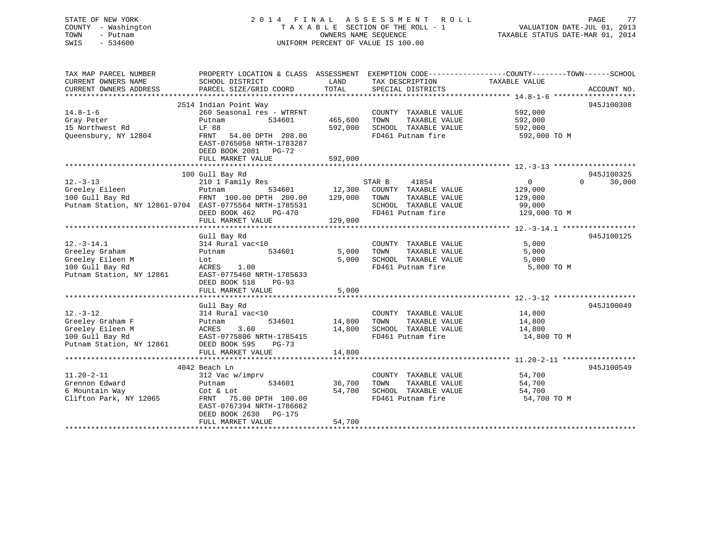| STATE OF NEW YORK   | 2014 FINAL ASSESSMENT ROLL         | 77<br>PAGE                       |
|---------------------|------------------------------------|----------------------------------|
| COUNTY - Washington | TAXABLE SECTION OF THE ROLL - 1    | VALUATION DATE-JUL 01, 2013      |
| TOWN<br>- Putnam    | OWNERS NAME SEOUENCE               | TAXABLE STATUS DATE-MAR 01, 2014 |
| SWIS<br>$-534600$   | UNIFORM PERCENT OF VALUE IS 100.00 |                                  |
|                     |                                    |                                  |
|                     |                                    |                                  |
|                     |                                    |                                  |

| TAX MAP PARCEL NUMBER<br>CURRENT OWNERS NAME            | PROPERTY LOCATION & CLASS ASSESSMENT EXEMPTION CODE----------------COUNTY-------TOWN------SCHOOL<br>SCHOOL DISTRICT | LAND          | TAX DESCRIPTION       | TAXABLE VALUE     |                    |
|---------------------------------------------------------|---------------------------------------------------------------------------------------------------------------------|---------------|-----------------------|-------------------|--------------------|
| CURRENT OWNERS ADDRESS                                  | PARCEL SIZE/GRID COORD                                                                                              | TOTAL         | SPECIAL DISTRICTS     |                   | ACCOUNT NO.        |
|                                                         |                                                                                                                     |               |                       |                   |                    |
|                                                         | 2514 Indian Point Way                                                                                               |               |                       |                   | 945J100308         |
| $14.8 - 1 - 6$                                          | 260 Seasonal res - WTRFNT                                                                                           |               | COUNTY TAXABLE VALUE  | 592,000           |                    |
| Gray Peter                                              | Putnam<br>534601                                                                                                    | 465,600       | TOWN<br>TAXABLE VALUE | 592,000           |                    |
| 15 Northwest Rd                                         | LF 88                                                                                                               | 592,000       | SCHOOL TAXABLE VALUE  | 592,000           |                    |
| Queensbury, NY 12804                                    | FRNT 54.00 DPTH 208.00                                                                                              |               | FD461 Putnam fire     | 592,000 TO M      |                    |
|                                                         | EAST-0765058 NRTH-1783287                                                                                           |               |                       |                   |                    |
|                                                         | DEED BOOK 2081 PG-72                                                                                                |               |                       |                   |                    |
|                                                         | FULL MARKET VALUE                                                                                                   | 592,000       |                       |                   |                    |
|                                                         |                                                                                                                     |               |                       |                   |                    |
|                                                         | 100 Gull Bay Rd                                                                                                     |               |                       |                   | 945J100325         |
| $12. - 3 - 13$                                          | 210 1 Family Res                                                                                                    |               | STAR B<br>41854       | $0 \qquad \qquad$ | $\Omega$<br>30,000 |
| Greeley Eileen                                          | Putnam                                                                                                              | 534601 12,300 | COUNTY TAXABLE VALUE  | 129,000           |                    |
| 100 Gull Bay Rd                                         | FRNT 100.00 DPTH 200.00 129,000                                                                                     |               | TAXABLE VALUE<br>TOWN | 129,000           |                    |
| Putnam Station, NY 12861-9704 EAST-0775564 NRTH-1785531 |                                                                                                                     |               | SCHOOL TAXABLE VALUE  | 99,000            |                    |
|                                                         | DEED BOOK 462<br>PG-470                                                                                             |               | FD461 Putnam fire     | 129,000 TO M      |                    |
|                                                         | FULL MARKET VALUE                                                                                                   | 129,000       |                       |                   |                    |
|                                                         |                                                                                                                     |               |                       |                   | 945J100125         |
| $12.-3-14.1$                                            | Gull Bay Rd<br>314 Rural vac<10                                                                                     |               | COUNTY TAXABLE VALUE  | 5,000             |                    |
| Greeley Graham                                          | 534601<br>Putnam                                                                                                    | 5,000         | TOWN<br>TAXABLE VALUE | 5,000             |                    |
| Greeley Eileen M                                        | Lot                                                                                                                 | 5,000         | SCHOOL TAXABLE VALUE  | 5,000             |                    |
| 100 Gull Bay Rd                                         | 1.00<br>ACRES                                                                                                       |               | FD461 Putnam fire     | 5,000 TO M        |                    |
| Putnam Station, NY 12861                                | EAST-0775460 NRTH-1785633                                                                                           |               |                       |                   |                    |
|                                                         | DEED BOOK 518<br>$PG-93$                                                                                            |               |                       |                   |                    |
|                                                         | FULL MARKET VALUE                                                                                                   | 5,000         |                       |                   |                    |
|                                                         |                                                                                                                     |               |                       |                   |                    |
|                                                         | Gull Bay Rd                                                                                                         |               |                       |                   | 945J100049         |
| $12. - 3 - 12$                                          | 314 Rural vac<10                                                                                                    |               | COUNTY TAXABLE VALUE  | 14,800            |                    |
| Greeley Graham F                                        | 534601<br>Putnam                                                                                                    | 14,800        | TOWN<br>TAXABLE VALUE | 14,800            |                    |
| Greeley Eileen M                                        | 3.60<br>ACRES                                                                                                       | 14,800        | SCHOOL TAXABLE VALUE  | 14,800            |                    |
| 100 Gull Bay Rd                                         | EAST-0775806 NRTH-1785415                                                                                           |               | FD461 Putnam fire     | 14,800 TO M       |                    |
| Putnam Station, NY 12861                                | DEED BOOK 595<br>$PG-73$                                                                                            |               |                       |                   |                    |
|                                                         | FULL MARKET VALUE                                                                                                   | 14,800        |                       |                   |                    |
|                                                         |                                                                                                                     |               |                       |                   |                    |
|                                                         | 4042 Beach Ln                                                                                                       |               |                       |                   | 945J100549         |
| $11.20 - 2 - 11$                                        | 312 Vac w/imprv                                                                                                     |               | COUNTY TAXABLE VALUE  | 54,700            |                    |
| Grennon Edward                                          | 534601<br>Putnam                                                                                                    | 36,700        | TAXABLE VALUE<br>TOWN | 54,700            |                    |
| 6 Mountain Way                                          | Cot & Lot                                                                                                           | 54,700        | SCHOOL TAXABLE VALUE  | 54,700            |                    |
| Clifton Park, NY 12065                                  | FRNT 75.00 DPTH 100.00                                                                                              |               | FD461 Putnam fire     | 54,700 TO M       |                    |
|                                                         | EAST-0767394 NRTH-1786682                                                                                           |               |                       |                   |                    |
|                                                         | DEED BOOK 2630 PG-175                                                                                               |               |                       |                   |                    |
|                                                         | FULL MARKET VALUE                                                                                                   | 54,700        |                       |                   |                    |
|                                                         |                                                                                                                     |               |                       |                   |                    |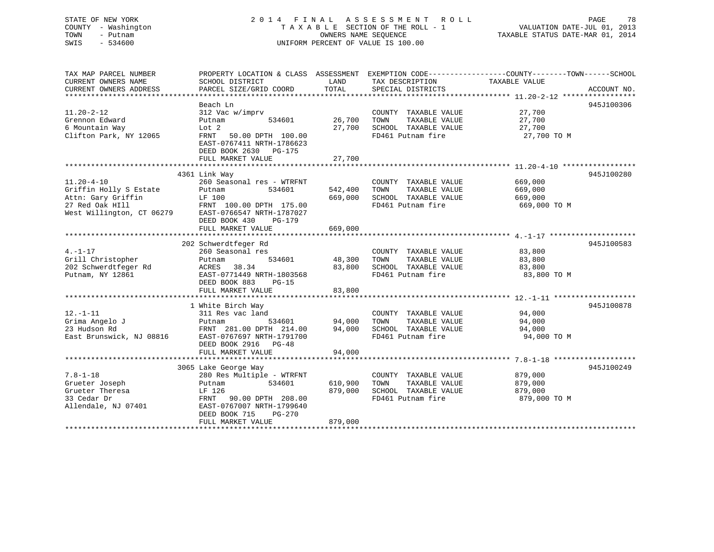### STATE OF NEW YORK 2 0 1 4 F I N A L A S S E S S M E N T R O L L PAGE 78 COUNTY - Washington T A X A B L E SECTION OF THE ROLL - 1 VALUATION DATE-JUL 01, 2013 TOWN - Putnam OWNERS NAME SEQUENCE TAXABLE STATUS DATE-MAR 01, 2014 SWIS - 534600 UNIFORM PERCENT OF VALUE IS 100.00

| TAX MAP PARCEL NUMBER                        | PROPERTY LOCATION & CLASS ASSESSMENT                                            |         |                       | EXEMPTION CODE-----------------COUNTY-------TOWN------SCHOOL |
|----------------------------------------------|---------------------------------------------------------------------------------|---------|-----------------------|--------------------------------------------------------------|
| CURRENT OWNERS NAME                          | SCHOOL DISTRICT                                                                 | LAND    | TAX DESCRIPTION       | TAXABLE VALUE                                                |
| CURRENT OWNERS ADDRESS                       | PARCEL SIZE/GRID COORD                                                          | TOTAL   | SPECIAL DISTRICTS     | ACCOUNT NO.                                                  |
|                                              |                                                                                 |         |                       |                                                              |
|                                              | Beach Ln                                                                        |         |                       | 945J100306                                                   |
| $11.20 - 2 - 12$                             | 312 Vac w/imprv                                                                 |         | COUNTY TAXABLE VALUE  | 27,700                                                       |
| Grennon Edward                               | 534601<br>Putnam                                                                | 26,700  | TOWN<br>TAXABLE VALUE | 27,700                                                       |
| 6 Mountain Way                               | Lot 2                                                                           | 27,700  | SCHOOL TAXABLE VALUE  | 27,700                                                       |
| Clifton Park, NY 12065                       | FRNT<br>50.00 DPTH 100.00<br>EAST-0767411 NRTH-1786623<br>DEED BOOK 2630 PG-175 |         | FD461 Putnam fire     | 27,700 TO M                                                  |
|                                              | FULL MARKET VALUE                                                               | 27,700  |                       |                                                              |
|                                              |                                                                                 |         |                       |                                                              |
|                                              | 4361 Link Way                                                                   |         |                       | 945J100280                                                   |
| $11.20 - 4 - 10$                             | 260 Seasonal res - WTRFNT                                                       |         | COUNTY TAXABLE VALUE  | 669,000                                                      |
| Griffin Holly S Estate                       | 534601<br>Putnam                                                                | 542,400 | TOWN<br>TAXABLE VALUE | 669,000                                                      |
| Attn: Gary Griffin                           | LF 100                                                                          | 669,000 | SCHOOL TAXABLE VALUE  | 669,000                                                      |
| 27 Red Oak HIll<br>West Willington, CT 06279 | FRNT 100.00 DPTH 175.00<br>EAST-0766547 NRTH-1787027<br>DEED BOOK 430<br>PG-179 |         | FD461 Putnam fire     | 669,000 TO M                                                 |
|                                              | FULL MARKET VALUE                                                               | 669,000 |                       |                                                              |
|                                              |                                                                                 |         |                       |                                                              |
|                                              | 202 Schwerdtfeger Rd                                                            |         |                       | 945J100583                                                   |
| $4. -1 - 17$                                 | 260 Seasonal res                                                                |         | COUNTY TAXABLE VALUE  | 83,800                                                       |
| Grill Christopher                            | 534601<br>Putnam                                                                | 48,300  | TOWN<br>TAXABLE VALUE | 83,800                                                       |
| 202 Schwerdtfeger Rd                         | 38.34<br>ACRES                                                                  | 83,800  | SCHOOL TAXABLE VALUE  | 83,800                                                       |
| Putnam, NY 12861                             | EAST-0771449 NRTH-1803568                                                       |         | FD461 Putnam fire     | 83,800 TO M                                                  |
|                                              | DEED BOOK 883<br>$PG-15$                                                        |         |                       |                                                              |
|                                              | FULL MARKET VALUE                                                               | 83,800  |                       |                                                              |
|                                              |                                                                                 |         |                       |                                                              |
|                                              | 1 White Birch Way                                                               |         |                       | 945J100878                                                   |
| $12. - 1 - 11$                               | 311 Res vac land                                                                |         | COUNTY TAXABLE VALUE  | 94,000                                                       |
| Grima Angelo J                               | Putnam<br>534601                                                                | 94,000  | TOWN<br>TAXABLE VALUE | 94,000                                                       |
| 23 Hudson Rd                                 | FRNT 281.00 DPTH 214.00                                                         | 94,000  | SCHOOL TAXABLE VALUE  | 94,000                                                       |
| East Brunswick, NJ 08816                     | EAST-0767697 NRTH-1791700                                                       |         | FD461 Putnam fire     | 94,000 TO M                                                  |
|                                              | DEED BOOK 2916 PG-48                                                            |         |                       |                                                              |
|                                              | FULL MARKET VALUE                                                               | 94,000  |                       |                                                              |
|                                              |                                                                                 |         |                       |                                                              |
|                                              | 3065 Lake George Way                                                            |         |                       | 945J100249                                                   |
| $7.8 - 1 - 18$                               | 280 Res Multiple - WTRFNT                                                       |         | COUNTY TAXABLE VALUE  | 879,000                                                      |
| Grueter Joseph                               | 534601<br>Putnam                                                                | 610,900 | TAXABLE VALUE<br>TOWN | 879,000                                                      |
|                                              |                                                                                 | 879,000 | SCHOOL TAXABLE VALUE  |                                                              |
| Grueter Theresa<br>33 Cedar Dr               | LF 126<br>90.00 DPTH 208.00                                                     |         | FD461 Putnam fire     | 879,000                                                      |
| Allendale, NJ 07401                          | FRNT<br>EAST-0767007 NRTH-1799640                                               |         |                       | 879,000 TO M                                                 |
|                                              | DEED BOOK 715<br>PG-270                                                         |         |                       |                                                              |
|                                              | FULL MARKET VALUE                                                               | 879,000 |                       |                                                              |
|                                              |                                                                                 |         |                       |                                                              |
|                                              |                                                                                 |         |                       |                                                              |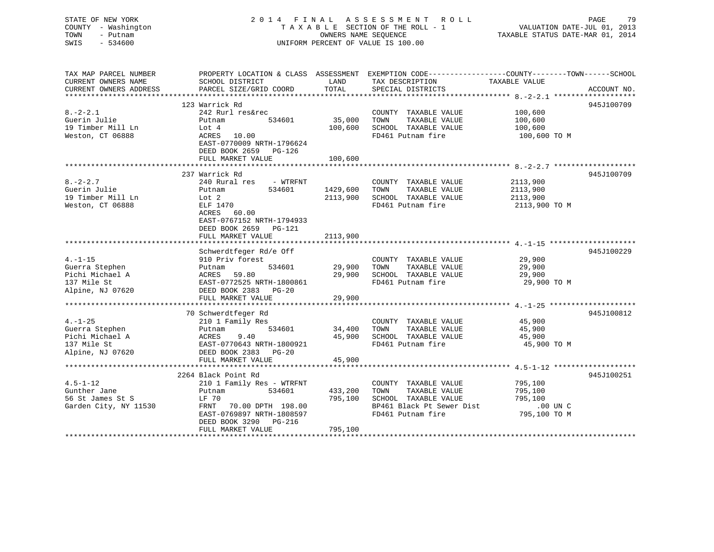# STATE OF NEW YORK 2 0 1 4 F I N A L A S S E S S M E N T R O L L PAGE 79COUNTY - Washington  $T A X A B L E$  SECTION OF THE ROLL - 1<br>TOWN - Putnam data of the COUNTERS NAME SEQUENCE SWIS - 534600 UNIFORM PERCENT OF VALUE IS 100.00

VALUATION DATE-JUL 01, 2013

TAXABLE STATUS DATE-MAR 01, 2014

| TAX MAP PARCEL NUMBER                 | PROPERTY LOCATION & CLASS ASSESSMENT EXEMPTION CODE----------------COUNTY-------TOWN------SCHOOL |          |                                                   |                         |             |
|---------------------------------------|--------------------------------------------------------------------------------------------------|----------|---------------------------------------------------|-------------------------|-------------|
| CURRENT OWNERS NAME                   | SCHOOL DISTRICT                                                                                  | LAND     | TAX DESCRIPTION                                   | TAXABLE VALUE           |             |
| CURRENT OWNERS ADDRESS                | PARCEL SIZE/GRID COORD                                                                           | TOTAL    | SPECIAL DISTRICTS                                 |                         | ACCOUNT NO. |
|                                       |                                                                                                  |          |                                                   |                         |             |
|                                       | 123 Warrick Rd                                                                                   |          |                                                   |                         | 945J100709  |
| $8. - 2 - 2.1$                        | 242 Rurl res&rec                                                                                 |          | COUNTY TAXABLE VALUE                              | 100,600                 |             |
| Guerin Julie                          | Putnam<br>534601                                                                                 | 35,000   | TAXABLE VALUE<br>TOWN                             | 100,600                 |             |
| 19 Timber Mill Ln<br>Weston, CT 06888 | Lot 4<br>ACRES 10.00                                                                             | 100,600  | SCHOOL TAXABLE VALUE<br>FD461 Putnam fire         | 100,600<br>100,600 TO M |             |
|                                       | EAST-0770009 NRTH-1796624                                                                        |          |                                                   |                         |             |
|                                       | DEED BOOK 2659 PG-126                                                                            |          |                                                   |                         |             |
|                                       | FULL MARKET VALUE                                                                                | 100,600  |                                                   |                         |             |
|                                       |                                                                                                  |          |                                                   |                         |             |
|                                       | 237 Warrick Rd                                                                                   |          |                                                   |                         | 945J100709  |
| $8. - 2 - 2.7$                        | 240 Rural res - WTRFNT                                                                           |          | COUNTY TAXABLE VALUE                              | 2113,900                |             |
| Guerin Julie                          | 534601<br>Putnam                                                                                 | 1429,600 | TOWN<br>TAXABLE VALUE                             | 2113,900                |             |
| 19 Timber Mill Ln                     | Lot 2                                                                                            | 2113,900 | SCHOOL TAXABLE VALUE                              | 2113,900                |             |
| Weston, CT 06888                      | ELF 1470                                                                                         |          | FD461 Putnam fire                                 | 2113,900 TO M           |             |
|                                       | ACRES 60.00                                                                                      |          |                                                   |                         |             |
|                                       | EAST-0767152 NRTH-1794933                                                                        |          |                                                   |                         |             |
|                                       | DEED BOOK 2659 PG-121                                                                            |          |                                                   |                         |             |
|                                       | FULL MARKET VALUE                                                                                | 2113,900 |                                                   |                         |             |
|                                       |                                                                                                  |          |                                                   |                         |             |
|                                       | Schwerdtfeger Rd/e Off                                                                           |          |                                                   |                         | 945J100229  |
| $4. -1 - 15$                          | 910 Priv forest                                                                                  | 29,900   | COUNTY TAXABLE VALUE                              | 29,900<br>29,900        |             |
| Guerra Stephen<br>Pichi Michael A     | 534601<br>Putnam                                                                                 | 29,900   | TAXABLE VALUE<br>TOWN<br>SCHOOL TAXABLE VALUE     | 29,900                  |             |
| 137 Mile St                           |                                                                                                  |          | FD461 Putnam fire                                 | 29,900 TO M             |             |
| Alpine, NJ 07620                      | ACRES 59.80<br>EAST-0772525 NRTH-1800861<br>DEED BOOK 2383 PG-20                                 |          |                                                   |                         |             |
|                                       | FULL MARKET VALUE                                                                                | 29,900   |                                                   |                         |             |
|                                       |                                                                                                  |          |                                                   |                         |             |
|                                       | 70 Schwerdtfeger Rd                                                                              |          |                                                   |                         | 945J100812  |
| $4. - 1 - 25$                         | 210 1 Family Res                                                                                 |          | COUNTY TAXABLE VALUE 45,900                       |                         |             |
| Guerra Stephen                        | 534601<br>Putnam                                                                                 | 34,400   | TAXABLE VALUE<br>TOWN                             | 45,900                  |             |
| Pichi Michael A                       | Putnam<br>ACRES<br>9.40                                                                          | 45,900   | SCHOOL TAXABLE VALUE                              | 45,900                  |             |
| 137 Mile St                           | EAST-0770643 NRTH-1800921<br>DEED BOOK 2383 PG-20                                                |          | FD461 Putnam fire                                 | 45,900 TO M             |             |
| Alpine, NJ 07620                      | DEED BOOK 2383 PG-20                                                                             |          |                                                   |                         |             |
|                                       | FULL MARKET VALUE                                                                                | 45,900   |                                                   |                         |             |
|                                       |                                                                                                  |          |                                                   |                         |             |
|                                       | 2264 Black Point Rd                                                                              |          |                                                   |                         | 945J100251  |
| $4.5 - 1 - 12$                        | 210 1 Family Res - WTRFNT                                                                        |          | COUNTY TAXABLE VALUE                              | 795,100                 |             |
| Gunther Jane                          | 534601<br>Putnam                                                                                 | 433,200  | TAXABLE VALUE<br>TOWN                             | 795,100                 |             |
| 56 St James St S                      | LF 70<br>FRNT 70.00 DPTH 198.00                                                                  | 795,100  | SCHOOL TAXABLE VALUE<br>BP461 Black Pt Sewer Dist | 795,100<br>$.00$ UN C   |             |
| Garden City, NY 11530                 | EAST-0769897 NRTH-1808597                                                                        |          | FD461 Putnam fire                                 | 795,100 TO M            |             |
|                                       | DEED BOOK 3290 PG-216                                                                            |          |                                                   |                         |             |
|                                       | FULL MARKET VALUE                                                                                | 795,100  |                                                   |                         |             |
|                                       |                                                                                                  |          |                                                   |                         |             |
|                                       |                                                                                                  |          |                                                   |                         |             |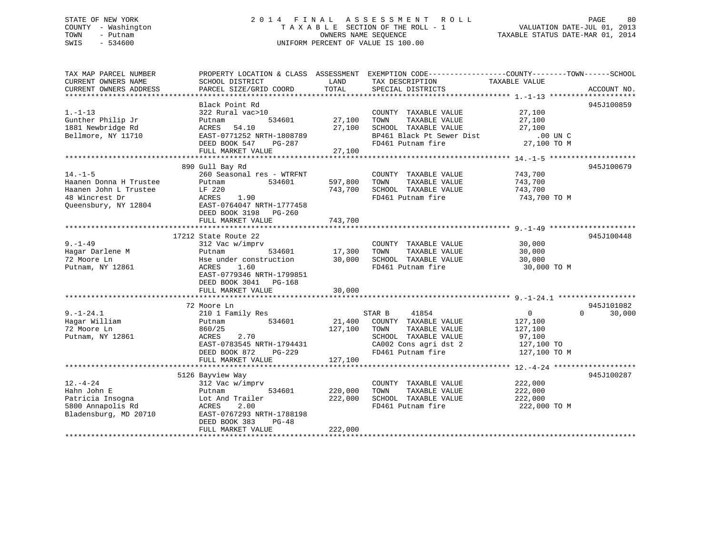### STATE OF NEW YORK 2 0 1 4 F I N A L A S S E S S M E N T R O L L PAGE 80 COUNTY - Washington T A X A B L E SECTION OF THE ROLL - 1 VALUATION DATE-JUL 01, 2013 TOWN - Putnam OWNERS NAME SEQUENCE TAXABLE STATUS DATE-MAR 01, 2014 SWIS - 534600 UNIFORM PERCENT OF VALUE IS 100.00

| TAX MAP PARCEL NUMBER<br>CURRENT OWNERS NAME<br>CURRENT OWNERS ADDRESS                                     | SCHOOL DISTRICT<br>PARCEL SIZE/GRID COORD                                                                                                                                 | LAND<br>TOTAL                 | PROPERTY LOCATION & CLASS ASSESSMENT EXEMPTION CODE----------------COUNTY-------TOWN-----SCHOOL<br>TAX DESCRIPTION<br>SPECIAL DISTRICTS | TAXABLE VALUE                                                                | ACCOUNT NO.                      |
|------------------------------------------------------------------------------------------------------------|---------------------------------------------------------------------------------------------------------------------------------------------------------------------------|-------------------------------|-----------------------------------------------------------------------------------------------------------------------------------------|------------------------------------------------------------------------------|----------------------------------|
| $1. - 1 - 13$<br>Gunther Philip Jr<br>1881 Newbridge Rd<br>Bellmore, NY 11710                              | Black Point Rd<br>322 Rural vac>10<br>534601<br>Putnam<br>ACRES<br>54.10<br>EAST-0771252 NRTH-1808789<br>DEED BOOK 547<br>PG-287<br>FULL MARKET VALUE                     | 27,100<br>27,100<br>27,100    | COUNTY TAXABLE VALUE<br>TOWN<br>TAXABLE VALUE<br>SCHOOL TAXABLE VALUE<br>BP461 Black Pt Sewer Dist<br>FD461 Putnam fire                 | 27,100<br>27,100<br>27,100<br>.00 UN C<br>27,100 TO M                        | 945J100859                       |
| $14. - 1 - 5$<br>Haanen Donna H Trustee<br>Haanen John L Trustee<br>48 Wincrest Dr<br>Queensbury, NY 12804 | 890 Gull Bay Rd<br>260 Seasonal res - WTRFNT<br>Putnam<br>534601<br>LF 220<br>ACRES<br>1.90<br>EAST-0764047 NRTH-1777458<br>DEED BOOK 3198 PG-260<br>FULL MARKET VALUE    | 597,800<br>743,700<br>743,700 | COUNTY TAXABLE VALUE<br>TOWN<br>TAXABLE VALUE<br>SCHOOL TAXABLE VALUE<br>FD461 Putnam fire                                              | 743,700<br>743,700<br>743,700<br>743,700 TO M                                | 945J100679                       |
| $9. - 1 - 49$<br>Hagar Darlene M<br>72 Moore Ln<br>Putnam, NY 12861                                        | 17212 State Route 22<br>312 Vac w/imprv<br>Putnam<br>534601<br>Hse under construction<br>ACRES<br>1.60<br>EAST-0779346 NRTH-1799851<br>DEED BOOK 3041 PG-168              | 17,300<br>$\frac{1}{30}$ ,000 | COUNTY TAXABLE VALUE<br>TOWN<br>TAXABLE VALUE<br>SCHOOL TAXABLE VALUE<br>FD461 Putnam fire                                              | 30,000<br>30,000<br>30,000<br>30,000 TO M                                    | 945J100448                       |
| $9. - 1 - 24.1$<br>Hagar William<br>72 Moore Ln<br>Putnam, NY 12861                                        | 72 Moore Ln<br>210 1 Family Res<br>534601<br>Putnam<br>860/25<br>ACRES<br>2.70<br>EAST-0783545 NRTH-1794431<br><b>PG-229</b><br>DEED BOOK 872<br>FULL MARKET VALUE        | 21,400<br>127,100<br>127,100  | 41854<br>STAR B<br>COUNTY TAXABLE VALUE<br>TAXABLE VALUE<br>TOWN<br>SCHOOL TAXABLE VALUE<br>CA002 Cons agri dst 2<br>FD461 Putnam fire  | $\overline{0}$<br>127,100<br>127,100<br>97,100<br>127,100 TO<br>127,100 TO M | 945J101082<br>$\Omega$<br>30,000 |
| $12. - 4 - 24$<br>Hahn John E<br>Patricia Insogna<br>5800 Annapolis Rd<br>Bladensburg, MD 20710            | 5126 Bayview Way<br>312 Vac w/imprv<br>534601<br>Putnam<br>Lot And Trailer<br>ACRES<br>2.00<br>EAST-0767293 NRTH-1788198<br>DEED BOOK 383<br>$PG-48$<br>FULL MARKET VALUE | 220,000<br>222,000<br>222,000 | COUNTY TAXABLE VALUE<br>TOWN<br>TAXABLE VALUE<br>SCHOOL TAXABLE VALUE<br>FD461 Putnam fire                                              | 222,000<br>222,000<br>222,000<br>222,000 TO M                                | 945J100287                       |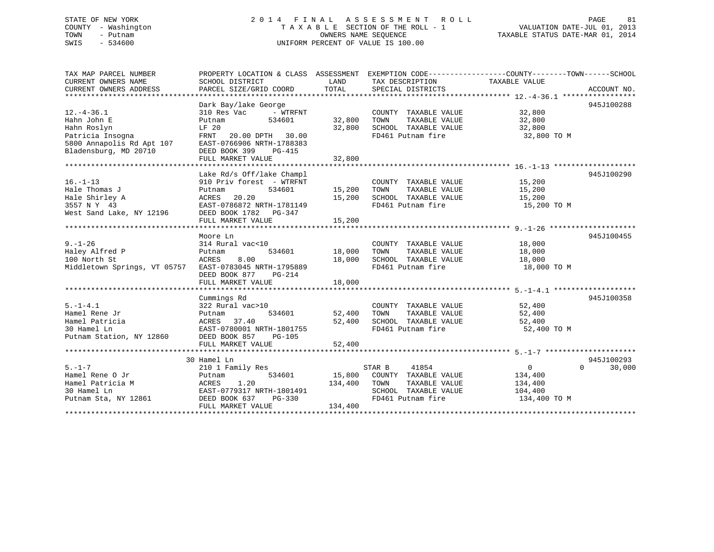### STATE OF NEW YORK 2 0 1 4 F I N A L A S S E S S M E N T R O L L PAGE 81 COUNTY - Washington T A X A B L E SECTION OF THE ROLL - 1 VALUATION DATE-JUL 01, 2013 TOWN - Putnam OWNERS NAME SEQUENCE TAXABLE STATUS DATE-MAR 01, 2014 SWIS - 534600 UNIFORM PERCENT OF VALUE IS 100.00

| TAX MAP PARCEL NUMBER                                                                                                                           | PROPERTY LOCATION & CLASS ASSESSMENT EXEMPTION CODE----------------COUNTY-------TOWN------SCHOOL |               |                                                          |                               |                    |
|-------------------------------------------------------------------------------------------------------------------------------------------------|--------------------------------------------------------------------------------------------------|---------------|----------------------------------------------------------|-------------------------------|--------------------|
| CURRENT OWNERS NAME                                                                                                                             | SCHOOL DISTRICT                                                                                  | LAND          | TAX DESCRIPTION                                          | TAXABLE VALUE                 |                    |
| CURRENT OWNERS ADDRESS                                                                                                                          | PARCEL SIZE/GRID COORD                                                                           | TOTAL         | SPECIAL DISTRICTS                                        |                               | ACCOUNT NO.        |
|                                                                                                                                                 |                                                                                                  |               |                                                          |                               |                    |
|                                                                                                                                                 | Dark Bay/lake George                                                                             |               |                                                          |                               | 945J100288         |
| $12. - 4 - 36.1$                                                                                                                                | - WTRFNT<br>310 Res Vac<br>534601                                                                | 32,800        | COUNTY TAXABLE VALUE 32,800<br>TOWN                      |                               |                    |
| Hahn John E<br>Hahn Roslyn                                                                                                                      | Putnam<br>LF 20                                                                                  | 32,800        | TOWN TAXABLE VALUE 32,800<br>SCHOOL TAXABLE VALUE 32,800 |                               |                    |
|                                                                                                                                                 | FRNT 20.00 DPTH 30.00                                                                            |               |                                                          | FD461 Putnam fire 32,800 TO M |                    |
|                                                                                                                                                 |                                                                                                  |               |                                                          |                               |                    |
|                                                                                                                                                 |                                                                                                  |               |                                                          |                               |                    |
| Hahn Roslyn<br>Patricia Insogna<br>5800 Annapolis Rd Apt 107<br>EAST-0766906 NRTH-1788383<br>21 Annapolis Rd Apt 107<br>DEED BOOK 399<br>PG-415 |                                                                                                  |               |                                                          |                               |                    |
|                                                                                                                                                 |                                                                                                  |               |                                                          |                               |                    |
|                                                                                                                                                 | Lake Rd/s Off/lake Champl                                                                        |               |                                                          |                               | 945J100290         |
| $16. - 1 - 13$                                                                                                                                  | 910 Priv forest - WTRFNT                                                                         |               | COUNTY TAXABLE VALUE                                     | 15,200                        |                    |
| Hale Thomas J                                                                                                                                   | 534601<br>Putnam                                                                                 | 15,200        | TOWN<br>TAXABLE VALUE                                    | 15,200                        |                    |
| Hale Shirley A                                                                                                                                  | 20.20<br>ACRES                                                                                   | 15,200        | SCHOOL TAXABLE VALUE 15,200                              |                               |                    |
| 3557 N Y 43                                                                                                                                     | EAST-0786872 NRTH-1781149                                                                        |               |                                                          | FD461 Putnam fire 15,200 TO M |                    |
| 3557 N Y 43<br>West Sand Lake, NY 12196                                                                                                         | DEED BOOK 1782    PG-347                                                                         |               |                                                          |                               |                    |
|                                                                                                                                                 | FULL MARKET VALUE                                                                                | 15,200        |                                                          |                               |                    |
|                                                                                                                                                 |                                                                                                  |               |                                                          |                               |                    |
|                                                                                                                                                 | Moore Ln                                                                                         |               |                                                          |                               | 945J100455         |
| $9. - 1 - 26$                                                                                                                                   | 314 Rural vac<10                                                                                 |               | COUNTY TAXABLE VALUE 18,000                              |                               |                    |
| Haley Alfred P<br>100 North St                                                                                                                  | 534601 18,000<br>Putnam                                                                          |               | TAXABLE VALUE<br>TOWN                                    | 18,000                        |                    |
| 100 North St                                                                                                                                    | 8.00<br>ACRES                                                                                    | 18,000        | SCHOOL TAXABLE VALUE                                     | 18,000                        |                    |
| Middletown Springs, VT 05757 EAST-0783045 NRTH-1795889                                                                                          |                                                                                                  |               | FD461 Putnam fire                                        | 18,000 TO M                   |                    |
|                                                                                                                                                 | DEED BOOK 877<br>$PG-214$                                                                        |               |                                                          |                               |                    |
|                                                                                                                                                 | FULL MARKET VALUE                                                                                | 18,000        |                                                          |                               |                    |
|                                                                                                                                                 |                                                                                                  |               |                                                          |                               |                    |
|                                                                                                                                                 | Cummings Rd<br>$322$ Rural vac > 10                                                              |               | COUNTY TAXABLE VALUE 52,400                              |                               | 945J100358         |
| $5. - 1 - 4.1$                                                                                                                                  |                                                                                                  |               |                                                          |                               |                    |
| Hamel Rene Jr                                                                                                                                   | Putnam                                                                                           | 534601 52,400 | TOWN                                                     | TAXABLE VALUE 52,400          |                    |
|                                                                                                                                                 |                                                                                                  |               | SCHOOL TAXABLE VALUE 52,400<br>FD461 Putnam fire 52,400  | 52,400 TO M                   |                    |
| Hamel Patricia<br>Hamel Lh EAST-0780001 NRTH-1801755<br>Putnam Station, NY 12860 DEED BOOK 857 PG-105                                           |                                                                                                  |               |                                                          |                               |                    |
|                                                                                                                                                 |                                                                                                  |               |                                                          |                               |                    |
|                                                                                                                                                 |                                                                                                  |               |                                                          |                               |                    |
|                                                                                                                                                 | 30 Hamel Ln                                                                                      |               |                                                          |                               | 945J100293         |
|                                                                                                                                                 |                                                                                                  |               |                                                          | $\overline{0}$                | $\Omega$<br>30,000 |
|                                                                                                                                                 |                                                                                                  |               | STAR B 41854<br>15,800 COUNTY TAXABLE VALUE              | 134,400                       |                    |
|                                                                                                                                                 |                                                                                                  | 134,400       | TOWN<br>TAXABLE VALUE                                    | 134,400                       |                    |
|                                                                                                                                                 |                                                                                                  |               | SCHOOL TAXABLE VALUE                                     | 104,400                       |                    |
| Putnam Sta, NY 12861                                                                                                                            | DEED BOOK 637<br>PG-330                                                                          |               | FD461 Putnam fire                                        | 134,400 TO M                  |                    |
|                                                                                                                                                 | FULL MARKET VALUE                                                                                | 134,400       |                                                          |                               |                    |
|                                                                                                                                                 |                                                                                                  |               |                                                          |                               |                    |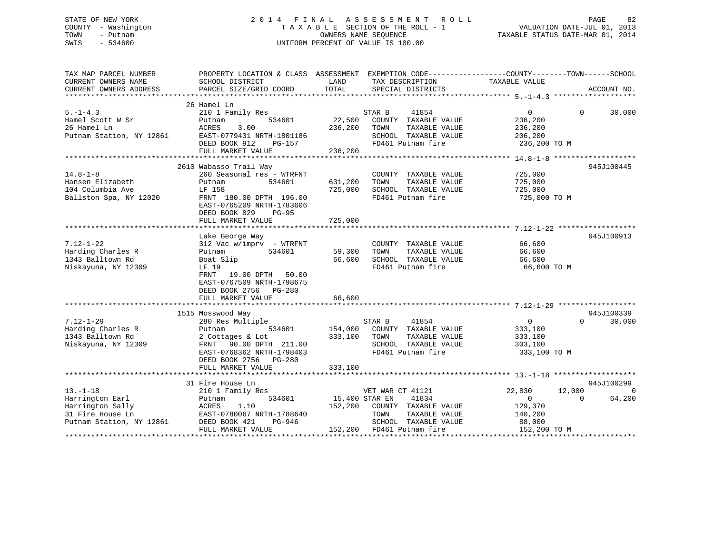### STATE OF NEW YORK 2 0 1 4 F I N A L A S S E S S M E N T R O L L PAGE 82 COUNTY - Washington T A X A B L E SECTION OF THE ROLL - 1 VALUATION DATE-JUL 01, 2013 TOWN - Putnam OWNERS NAME SEQUENCE TAXABLE STATUS DATE-MAR 01, 2014 SWIS - 534600 UNIFORM PERCENT OF VALUE IS 100.00

| TAX MAP PARCEL NUMBER    | PROPERTY LOCATION & CLASS ASSESSMENT |                | EXEMPTION CODE-----------------COUNTY-------TOWN------SCHOOL |                  |                    |
|--------------------------|--------------------------------------|----------------|--------------------------------------------------------------|------------------|--------------------|
| CURRENT OWNERS NAME      | SCHOOL DISTRICT                      | LAND           | TAX DESCRIPTION                                              | TAXABLE VALUE    |                    |
| CURRENT OWNERS ADDRESS   | PARCEL SIZE/GRID COORD               | TOTAL          | SPECIAL DISTRICTS                                            |                  | ACCOUNT NO.        |
|                          |                                      |                |                                                              |                  |                    |
|                          | 26 Hamel Ln                          |                |                                                              |                  |                    |
| $5. - 1 - 4.3$           | 210 1 Family Res                     |                | 41854<br>STAR B                                              | $\overline{0}$   | $\Omega$<br>30,000 |
| Hamel Scott W Sr         | 534601<br>Putnam                     | 22,500         | COUNTY TAXABLE VALUE                                         | 236,200          |                    |
| 26 Hamel Ln              | ACRES<br>3.00                        | 236,200        | TOWN<br>TAXABLE VALUE                                        | 236,200          |                    |
| Putnam Station, NY 12861 | EAST-0779431 NRTH-1801186            |                | SCHOOL TAXABLE VALUE                                         | 206,200          |                    |
|                          | DEED BOOK 912<br>PG-157              |                | FD461 Putnam fire                                            | 236,200 TO M     |                    |
|                          | FULL MARKET VALUE                    | 236,200        |                                                              |                  |                    |
|                          |                                      |                |                                                              |                  |                    |
|                          | 2610 Wabasso Trail Way               |                |                                                              |                  | 945J100445         |
| $14.8 - 1 - 8$           | 260 Seasonal res - WTRFNT            |                | COUNTY TAXABLE VALUE                                         | 725,000          |                    |
| Hansen Elizabeth         | 534601<br>Putnam                     | 631,200        | TOWN<br>TAXABLE VALUE                                        | 725,000          |                    |
| 104 Columbia Ave         | LF 158                               | 725,000        | SCHOOL TAXABLE VALUE                                         | 725,000          |                    |
| Ballston Spa, NY 12020   |                                      |                | FD461 Putnam fire                                            | 725,000 TO M     |                    |
|                          | FRNT 180.00 DPTH 196.00              |                |                                                              |                  |                    |
|                          | EAST-0765209 NRTH-1783606            |                |                                                              |                  |                    |
|                          | DEED BOOK 829<br>$PG-95$             |                |                                                              |                  |                    |
|                          | FULL MARKET VALUE                    | 725,000        |                                                              |                  |                    |
|                          |                                      |                |                                                              |                  |                    |
|                          | Lake George Way                      |                |                                                              |                  | 945J100913         |
| $7.12 - 1 - 22$          | 312 Vac w/imprv - WTRFNT             |                | COUNTY TAXABLE VALUE                                         | 66,600           |                    |
| Harding Charles R        | Putnam<br>534601                     | 59,300         | TOWN<br>TAXABLE VALUE                                        | 66,600           |                    |
| 1343 Balltown Rd         | Boat Slip                            | 66,600         | SCHOOL TAXABLE VALUE                                         | 66,600           |                    |
| Niskayuna, NY 12309      | LF 19                                |                | FD461 Putnam fire                                            | 66,600 TO M      |                    |
|                          | 19.00 DPTH 50.00<br>FRNT             |                |                                                              |                  |                    |
|                          | EAST-0767509 NRTH-1798675            |                |                                                              |                  |                    |
|                          | DEED BOOK 2756 PG-280                |                |                                                              |                  |                    |
|                          | FULL MARKET VALUE                    | 66,600         |                                                              |                  |                    |
|                          |                                      |                |                                                              |                  |                    |
|                          | 1515 Mosswood Way                    |                |                                                              |                  | 945J100339         |
| $7.12 - 1 - 29$          | 280 Res Multiple                     |                | STAR B<br>41854                                              | $\overline{0}$   | $\Omega$<br>30,000 |
| Harding Charles R        | Putnam<br>534601                     | 154,000        | COUNTY TAXABLE VALUE                                         | 333,100          |                    |
| 1343 Balltown Rd         | 2 Cottages & Lot                     | 333,100        | TOWN<br>TAXABLE VALUE                                        | 333,100          |                    |
|                          |                                      |                |                                                              |                  |                    |
| Niskayuna, NY 12309      | FRNT 90.00 DPTH 211.00               |                | SCHOOL TAXABLE VALUE                                         | 303,100          |                    |
|                          | EAST-0768362 NRTH-1798403            |                | FD461 Putnam fire                                            | 333,100 TO M     |                    |
|                          | DEED BOOK 2756 PG-280                |                |                                                              |                  |                    |
|                          | FULL MARKET VALUE                    | 333,100        |                                                              |                  |                    |
|                          |                                      |                |                                                              |                  |                    |
|                          | 31 Fire House Ln                     |                |                                                              |                  | 945J100299         |
| $13. - 1 - 18$           | 210 1 Family Res                     |                | VET WAR CT 41121                                             | 22,830<br>12,000 | $\Omega$           |
| Harrington Earl          | 534601<br>Putnam                     | 15,400 STAR EN | 41834                                                        | $\overline{0}$   | $\Omega$<br>64,200 |
| Harrington Sally         | ACRES<br>1.10                        | 152,200        | COUNTY TAXABLE VALUE                                         | 129,370          |                    |
| 31 Fire House Ln         | EAST-0780067 NRTH-1788640            |                | TOWN<br>TAXABLE VALUE                                        | 140,200          |                    |
| Putnam Station, NY 12861 | DEED BOOK 421<br>PG-946              |                | SCHOOL TAXABLE VALUE                                         | 88,000           |                    |
|                          | FULL MARKET VALUE                    |                | 152,200 FD461 Putnam fire                                    | 152,200 TO M     |                    |
|                          |                                      |                |                                                              |                  |                    |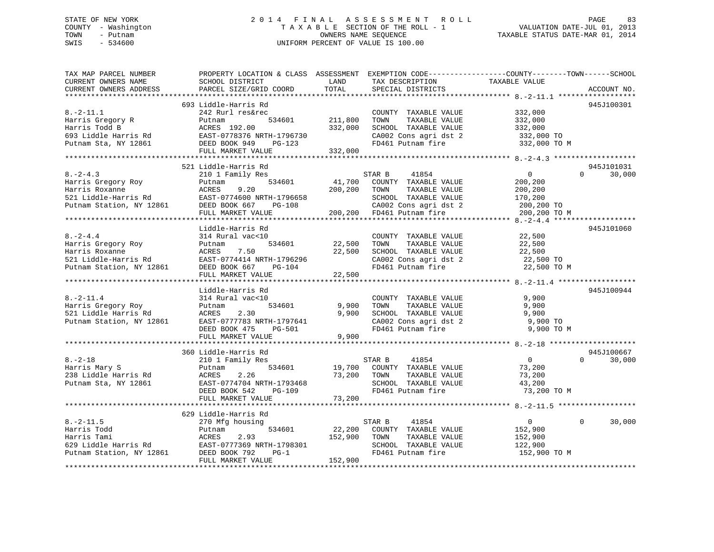### STATE OF NEW YORK 2 0 1 4 F I N A L A S S E S S M E N T R O L L PAGE 83 COUNTY - Washington T A X A B L E SECTION OF THE ROLL - 1 VALUATION DATE-JUL 01, 2013 TOWN - Putnam OWNERS NAME SEQUENCE TAXABLE STATUS DATE-MAR 01, 2014 SWIS - 534600 UNIFORM PERCENT OF VALUE IS 100.00

| TAX MAP PARCEL NUMBER<br>CURRENT OWNERS NAME<br>CURRENT OWNERS ADDRESS                                     | PROPERTY LOCATION & CLASS ASSESSMENT EXEMPTION CODE----------------COUNTY-------TOWN-----SCHOOL<br>SCHOOL DISTRICT<br>PARCEL SIZE/GRID COORD              | LAND<br>TOTAL                 | TAX DESCRIPTION<br>SPECIAL DISTRICTS                                                                                                           | TAXABLE VALUE                                                           | ACCOUNT NO.                      |
|------------------------------------------------------------------------------------------------------------|-----------------------------------------------------------------------------------------------------------------------------------------------------------|-------------------------------|------------------------------------------------------------------------------------------------------------------------------------------------|-------------------------------------------------------------------------|----------------------------------|
|                                                                                                            |                                                                                                                                                           |                               |                                                                                                                                                |                                                                         |                                  |
| $8. - 2 - 11.1$<br>Harris Gregory R<br>Harris Todd B<br>693 Liddle Harris Rd<br>Putnam Sta, NY 12861       | 693 Liddle-Harris Rd<br>242 Rurl res&rec<br>Putnam<br>534601<br>ACRES 192.00<br>EAST-0778376 NRTH-1796730<br>DEED BOOK 949<br>PG-123<br>FULL MARKET VALUE | 211,800<br>332,000<br>332,000 | COUNTY TAXABLE VALUE<br>TOWN<br>TAXABLE VALUE<br>SCHOOL TAXABLE VALUE<br>CA002 Cons agri dst 2<br>FD461 Putnam fire                            | 332,000<br>332,000<br>332,000<br>332,000 TO<br>332,000 TO M             | 945J100301                       |
|                                                                                                            |                                                                                                                                                           |                               |                                                                                                                                                |                                                                         |                                  |
| $8. -2 - 4.3$<br>Harris Gregory Roy<br>Harris Roxanne<br>521 Liddle-Harris Rd<br>Putnam Station, NY 12861  | 521 Liddle-Harris Rd<br>210 1 Family Res<br>534601<br>Putnam<br>ACRES<br>9.20<br>EAST-0774600 NRTH-1796658<br>DEED BOOK 667 PG-108<br>FULL MARKET VALUE   | 41,700<br>200,200             | 41854<br>STAR B<br>COUNTY TAXABLE VALUE<br>TOWN<br>TAXABLE VALUE<br>SCHOOL TAXABLE VALUE<br>CA002 Cons agri dst 2<br>200,200 FD461 Putnam fire | $\Omega$<br>200,200<br>200,200<br>170,200<br>200,200 TO<br>200,200 TO M | 945J101031<br>30,000<br>$\Omega$ |
|                                                                                                            |                                                                                                                                                           |                               |                                                                                                                                                |                                                                         |                                  |
| $8. - 2 - 4.4$<br>Harris Gregory Roy<br>Harris Roxanne<br>521 Liddle-Harris Rd<br>Putnam Station, NY 12861 | Liddle-Harris Rd<br>314 Rural vac<10<br>534601<br>Putnam<br>ACRES<br>7.50<br>EAST-0774414 NRTH-1796296<br>DEED BOOK 667<br>PG-104<br>FULL MARKET VALUE    | 22,500<br>22,500<br>22,500    | COUNTY TAXABLE VALUE<br>TAXABLE VALUE<br>TOWN<br>SCHOOL TAXABLE VALUE<br>CA002 Cons agri dst 2<br>FD461 Putnam fire                            | 22,500<br>22,500<br>22,500<br>22,500 TO<br>22,500 TO M                  | 945J101060                       |
|                                                                                                            |                                                                                                                                                           |                               |                                                                                                                                                |                                                                         |                                  |
| $8. - 2 - 11.4$<br>Harris Gregory Roy<br>521 Liddle Harris Rd<br>Putnam Station, NY 12861                  | Liddle-Harris Rd<br>314 Rural vac<10<br>534601<br>Putnam<br>2.30<br>ACRES<br>EAST-0777783 NRTH-1797641<br>DEED BOOK 475<br>PG-501<br>FULL MARKET VALUE    | 9,900<br>9,900<br>9,900       | COUNTY TAXABLE VALUE<br>TAXABLE VALUE<br>TOWN<br>SCHOOL TAXABLE VALUE<br>CA002 Cons agri dst 2<br>FD461 Putnam fire                            | 9,900<br>9,900<br>9,900<br>9,900 TO<br>9,900 TO M                       | 945J100944                       |
|                                                                                                            | 360 Liddle-Harris Rd                                                                                                                                      |                               |                                                                                                                                                |                                                                         | 945J100667                       |
| $8. - 2 - 18$<br>Harris Mary S<br>238 Liddle Harris Rd<br>Putnam Sta, NY 12861                             | 210 1 Family Res<br>534601<br>Putnam<br>ACRES<br>2.26<br>EAST-0774704 NRTH-1793468<br>DEED BOOK 542<br>PG-109                                             | 19,700<br>73,200              | 41854<br>STAR B<br>COUNTY TAXABLE VALUE<br>TAXABLE VALUE<br>TOWN<br>SCHOOL TAXABLE VALUE<br>FD461 Putnam fire                                  | $\overline{0}$<br>73,200<br>73,200<br>43,200<br>73,200 TO M             | 30,000<br>$\Omega$               |
|                                                                                                            | FULL MARKET VALUE                                                                                                                                         | 73,200                        |                                                                                                                                                |                                                                         |                                  |
|                                                                                                            |                                                                                                                                                           |                               |                                                                                                                                                |                                                                         |                                  |
| $8. - 2 - 11.5$<br>Harris Todd<br>Harris Tami<br>629 Liddle Harris Rd<br>Putnam Station, NY 12861          | 629 Liddle-Harris Rd<br>270 Mfg housing<br>534601<br>Putnam<br>ACRES<br>2.93<br>EAST-0777369 NRTH-1798301<br>DEED BOOK 792<br>$PG-1$<br>FULL MARKET VALUE | 22,200<br>152,900<br>152,900  | 41854<br>STAR B<br>COUNTY TAXABLE VALUE<br>TAXABLE VALUE<br>TOWN<br>SCHOOL TAXABLE VALUE<br>FD461 Putnam fire                                  | $\overline{0}$<br>152,900<br>152,900<br>122,900<br>152,900 TO M         | 30,000<br>$\Omega$               |
|                                                                                                            |                                                                                                                                                           |                               |                                                                                                                                                |                                                                         |                                  |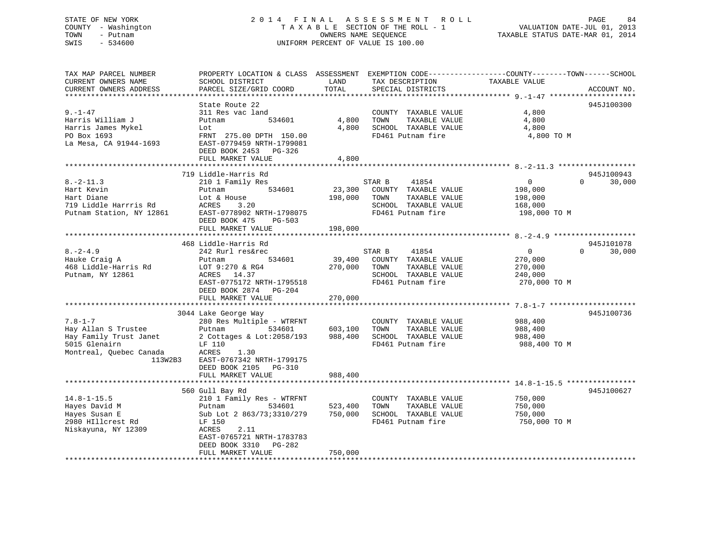# STATE OF NEW YORK 2 0 1 4 F I N A L A S S E S S M E N T R O L L PAGE 84COUNTY - Washington  $T A X A B L E$  SECTION OF THE ROLL - 1<br>TOWN - Putnam data of the COUNTERS NAME SEQUENCE SWIS - 534600 UNIFORM PERCENT OF VALUE IS 100.00

VALUATION DATE-JUL 01, 2013

TAXABLE STATUS DATE-MAR 01, 2014

| TAX MAP PARCEL NUMBER    | PROPERTY LOCATION & CLASS ASSESSMENT EXEMPTION CODE---------------COUNTY-------TOWN------SCHOOL |              |                             |                |                    |
|--------------------------|-------------------------------------------------------------------------------------------------|--------------|-----------------------------|----------------|--------------------|
| CURRENT OWNERS NAME      | SCHOOL DISTRICT                                                                                 | LAND         | TAX DESCRIPTION             | TAXABLE VALUE  |                    |
| CURRENT OWNERS ADDRESS   | PARCEL SIZE/GRID COORD                                                                          | TOTAL        | SPECIAL DISTRICTS           |                | ACCOUNT NO.        |
|                          |                                                                                                 |              |                             |                |                    |
|                          | State Route 22                                                                                  |              |                             |                | 945J100300         |
| $9. - 1 - 47$            | 311 Res vac land                                                                                |              | COUNTY TAXABLE VALUE        | 4,800          |                    |
| Harris William J         | 534601<br>Putnam                                                                                | 4,800        | TAXABLE VALUE<br>TOWN       | 4,800          |                    |
| Harris James Mykel       | Lot                                                                                             | 4,800        | SCHOOL TAXABLE VALUE        | 4,800          |                    |
| PO Box 1693              | FRNT 275.00 DPTH 150.00                                                                         |              | FD461 Putnam fire           | 4,800 TO M     |                    |
| La Mesa, CA 91944-1693   | EAST-0779459 NRTH-1799081                                                                       |              |                             |                |                    |
|                          | DEED BOOK 2453 PG-326                                                                           |              |                             |                |                    |
|                          | FULL MARKET VALUE                                                                               | 4,800        |                             |                |                    |
|                          |                                                                                                 |              |                             |                |                    |
|                          | 719 Liddle-Harris Rd                                                                            |              |                             |                | 945J100943         |
| $8. - 2 - 11.3$          | 210 1 Family Res                                                                                |              | STAR B<br>41854             | $\overline{0}$ | $\Omega$<br>30,000 |
| Hart Kevin               | 534601<br>Putnam                                                                                |              | 23,300 COUNTY TAXABLE VALUE | 198,000        |                    |
| Hart Diane               | Lot & House                                                                                     | 198,000      | TOWN<br>TAXABLE VALUE       | 198,000        |                    |
| 719 Liddle Harrris Rd    | ACRES<br>3.20                                                                                   |              | SCHOOL TAXABLE VALUE        | 168,000        |                    |
| Putnam Station, NY 12861 | EAST-0778902 NRTH-1798075                                                                       |              | FD461 Putnam fire           | 198,000 TO M   |                    |
|                          | DEED BOOK 475<br>$PG-503$                                                                       |              |                             |                |                    |
|                          | FULL MARKET VALUE                                                                               | 198,000      |                             |                |                    |
|                          |                                                                                                 |              |                             |                |                    |
|                          | 468 Liddle-Harris Rd                                                                            |              |                             |                | 945J101078         |
| $8. - 2 - 4.9$           | 242 Rurl res&rec                                                                                |              | STAR B<br>41854             | $\overline{0}$ | 30,000<br>$\Omega$ |
| Hauke Craig A            | 534601<br>Putnam                                                                                | 39,400       | COUNTY TAXABLE VALUE        | 270,000        |                    |
| 468 Liddle-Harris Rd     | LOT 9:270 & RG4                                                                                 | 270,000 TOWN | TAXABLE VALUE               | 270,000        |                    |
| Putnam, NY 12861         | ACRES 14.37                                                                                     |              | SCHOOL TAXABLE VALUE        | 240,000        |                    |
|                          | EAST-0775172 NRTH-1795518                                                                       |              | FD461 Putnam fire           | 270,000 TO M   |                    |
|                          | DEED BOOK 2874 PG-204                                                                           |              |                             |                |                    |
|                          | FULL MARKET VALUE                                                                               | 270,000      |                             |                |                    |
|                          |                                                                                                 |              |                             |                |                    |
|                          | 3044 Lake George Way                                                                            |              |                             |                | 945J100736         |
| $7.8 - 1 - 7$            | 280 Res Multiple - WTRFNT                                                                       |              | COUNTY TAXABLE VALUE        | 988,400        |                    |
| Hay Allan S Trustee      | Putnam<br>534601                                                                                | 603,100      | TAXABLE VALUE<br>TOWN       | 988,400        |                    |
| Hay Family Trust Janet   | 2 Cottages & Lot:2058/193                                                                       | 988,400      | SCHOOL TAXABLE VALUE        | 988,400        |                    |
| 5015 Glenairn            | LF 110                                                                                          |              | FD461 Putnam fire           | 988,400 TO M   |                    |
| Montreal, Quebec Canada  | ACRES<br>1.30                                                                                   |              |                             |                |                    |
| 113W2B3                  |                                                                                                 |              |                             |                |                    |
|                          | EAST-0767342 NRTH-1799175                                                                       |              |                             |                |                    |
|                          | DEED BOOK 2105 PG-310                                                                           |              |                             |                |                    |
|                          | FULL MARKET VALUE                                                                               | 988,400      |                             |                |                    |
|                          |                                                                                                 |              |                             |                |                    |
|                          | 560 Gull Bay Rd                                                                                 |              |                             |                | 945J100627         |
| $14.8 - 1 - 15.5$        | 210 1 Family Res - WTRFNT                                                                       |              | COUNTY TAXABLE VALUE        | 750,000        |                    |
| Hayes David M            | Putnam<br>534601                                                                                | 523,400      | TOWN<br>TAXABLE VALUE       | 750,000        |                    |
| Hayes Susan E            | Sub Lot 2 863/73;3310/279                                                                       | 750,000      | SCHOOL TAXABLE VALUE        | 750,000        |                    |
| 2980 HIllcrest Rd        | LF 150                                                                                          |              | FD461 Putnam fire           | 750,000 TO M   |                    |
| Niskayuna, NY 12309      | ACRES<br>2.11                                                                                   |              |                             |                |                    |
|                          | EAST-0765721 NRTH-1783783                                                                       |              |                             |                |                    |
|                          | DEED BOOK 3310 PG-282                                                                           |              |                             |                |                    |
|                          | FULL MARKET VALUE                                                                               | 750,000      |                             |                |                    |
|                          |                                                                                                 |              |                             |                |                    |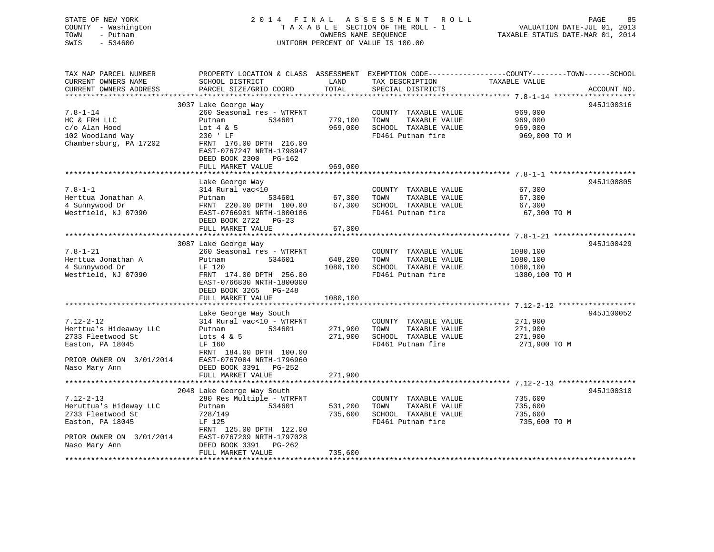# STATE OF NEW YORK 2 0 1 4 F I N A L A S S E S S M E N T R O L L PAGE 85COUNTY - Washington  $T A X A B L E$  SECTION OF THE ROLL - 1<br>TOWN - Putnam data of the COUNTERS NAME SEQUENCE SWIS - 534600 UNIFORM PERCENT OF VALUE IS 100.00

VALUATION DATE-JUL 01, 2013

TAXABLE STATUS DATE-MAR 01, 2014

| TAX MAP PARCEL NUMBER<br>CURRENT OWNERS NAME<br>CURRENT OWNERS ADDRESS                                         | PROPERTY LOCATION & CLASS ASSESSMENT<br>SCHOOL DISTRICT<br>PARCEL SIZE/GRID COORD                                                                        | LAND<br>TOTAL       | TAX DESCRIPTION<br>SPECIAL DISTRICTS                                                       | EXEMPTION CODE-----------------COUNTY-------TOWN------SCHOOL<br>TAXABLE VALUE | ACCOUNT NO. |
|----------------------------------------------------------------------------------------------------------------|----------------------------------------------------------------------------------------------------------------------------------------------------------|---------------------|--------------------------------------------------------------------------------------------|-------------------------------------------------------------------------------|-------------|
|                                                                                                                |                                                                                                                                                          |                     |                                                                                            |                                                                               |             |
| $7.8 - 1 - 14$<br>HC & FRH LLC<br>c/o Alan Hood<br>102 Woodland Way                                            | 3037 Lake George Way<br>260 Seasonal res - WTRFNT<br>534601<br>Putnam<br>Lot $4 \& 5$<br>230 ' LF                                                        | 779,100<br>969,000  | COUNTY TAXABLE VALUE<br>TOWN<br>TAXABLE VALUE<br>SCHOOL TAXABLE VALUE<br>FD461 Putnam fire | 969,000<br>969,000<br>969,000<br>969,000 TO M                                 | 945J100316  |
| Chambersburg, PA 17202                                                                                         | FRNT 176.00 DPTH 216.00<br>EAST-0767247 NRTH-1798947<br>DEED BOOK 2300 PG-162<br>FULL MARKET VALUE                                                       | 969,000             |                                                                                            |                                                                               |             |
|                                                                                                                |                                                                                                                                                          |                     |                                                                                            |                                                                               |             |
| $7.8 - 1 - 1$<br>Herttua Jonathan A<br>4 Sunnywood Dr<br>Westfield, NJ 07090                                   | Lake George Way<br>314 Rural vac<10<br>Putnam<br>534601<br>FRNT 220.00 DPTH 100.00<br>EAST-0766901 NRTH-1800186<br>DEED BOOK 2722 PG-23                  | 67,300<br>67,300    | COUNTY TAXABLE VALUE<br>TAXABLE VALUE<br>TOWN<br>SCHOOL TAXABLE VALUE<br>FD461 Putnam fire | 67,300<br>67,300<br>67,300<br>67,300 TO M                                     | 945J100805  |
|                                                                                                                | FULL MARKET VALUE                                                                                                                                        | 67,300              |                                                                                            |                                                                               |             |
|                                                                                                                |                                                                                                                                                          |                     |                                                                                            |                                                                               |             |
| $7.8 - 1 - 21$<br>Herttua Jonathan A<br>4 Sunnywood Dr<br>Westfield, NJ 07090                                  | 3087 Lake George Way<br>260 Seasonal res - WTRFNT<br>Putnam<br>534601<br>LF 120<br>FRNT 174.00 DPTH 256.00                                               | 648,200<br>1080,100 | COUNTY TAXABLE VALUE<br>TAXABLE VALUE<br>TOWN<br>SCHOOL TAXABLE VALUE<br>FD461 Putnam fire | 1080,100<br>1080,100<br>1080,100<br>1080,100 TO M                             | 945J100429  |
|                                                                                                                | EAST-0766830 NRTH-1800000<br>DEED BOOK 3265 PG-248<br>FULL MARKET VALUE                                                                                  | 1080,100            |                                                                                            |                                                                               |             |
|                                                                                                                |                                                                                                                                                          |                     |                                                                                            |                                                                               |             |
| $7.12 - 2 - 12$<br>Herttua's Hideaway LLC<br>2733 Fleetwood St<br>Easton, PA 18045<br>PRIOR OWNER ON 3/01/2014 | Lake George Way South<br>314 Rural vac<10 - WTRFNT<br>Putnam<br>534601<br>Lots $4 & 5$<br>LF 160<br>FRNT 184.00 DPTH 100.00<br>EAST-0767084 NRTH-1796960 | 271,900<br>271,900  | COUNTY TAXABLE VALUE<br>TOWN<br>TAXABLE VALUE<br>SCHOOL TAXABLE VALUE<br>FD461 Putnam fire | 271,900<br>271,900<br>271,900<br>271,900 TO M                                 | 945J100052  |
| Naso Mary Ann                                                                                                  | DEED BOOK 3391 PG-252<br>FULL MARKET VALUE                                                                                                               | 271,900             |                                                                                            |                                                                               |             |
|                                                                                                                |                                                                                                                                                          |                     |                                                                                            |                                                                               |             |
|                                                                                                                | 2048 Lake George Way South                                                                                                                               |                     |                                                                                            |                                                                               | 945J100310  |
| $7.12 - 2 - 13$<br>Heruttua's Hideway LLC<br>2733 Fleetwood St<br>Easton, PA 18045                             | 280 Res Multiple - WTRFNT<br>534601<br>Putnam<br>728/149<br>LF 125<br>FRNT 125.00 DPTH 122.00                                                            | 531,200<br>735,600  | COUNTY TAXABLE VALUE<br>TOWN<br>TAXABLE VALUE<br>SCHOOL TAXABLE VALUE<br>FD461 Putnam fire | 735,600<br>735,600<br>735,600<br>735,600 TO M                                 |             |
| PRIOR OWNER ON 3/01/2014<br>Naso Mary Ann                                                                      | EAST-0767209 NRTH-1797028<br>DEED BOOK 3391<br>PG-262<br>FULL MARKET VALUE                                                                               | 735,600             |                                                                                            |                                                                               |             |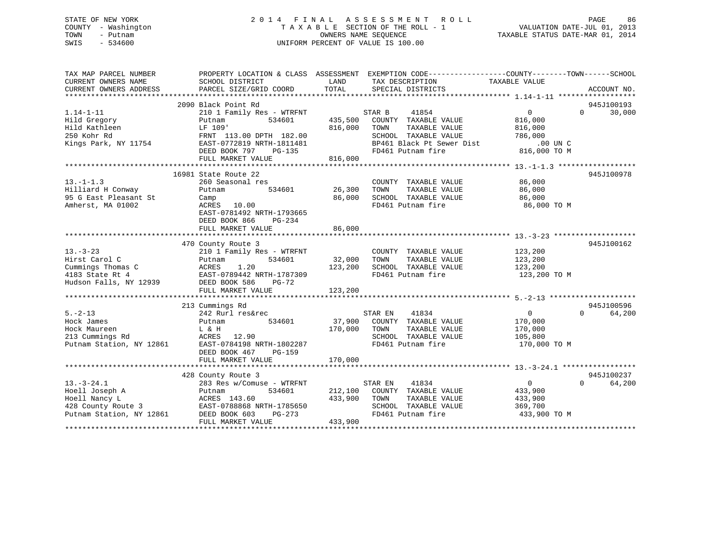### STATE OF NEW YORK 2 0 1 4 F I N A L A S S E S S M E N T R O L L PAGE 86 COUNTY - Washington T A X A B L E SECTION OF THE ROLL - 1 VALUATION DATE-JUL 01, 2013 TOWN - Putnam OWNERS NAME SEQUENCE TAXABLE STATUS DATE-MAR 01, 2014 SWIS - 534600 UNIFORM PERCENT OF VALUE IS 100.00

| TAX MAP PARCEL NUMBER<br>CURRENT OWNERS NAME<br>CURRENT OWNERS ADDRESS | PROPERTY LOCATION & CLASS ASSESSMENT EXEMPTION CODE----------------COUNTY-------TOWN------SCHOOL<br>SCHOOL DISTRICT<br>PARCEL SIZE/GRID COORD | LAND<br>TOTAL | TAX DESCRIPTION TAXABLE VALUE<br>SPECIAL DISTRICTS |                   | ACCOUNT NO.            |
|------------------------------------------------------------------------|-----------------------------------------------------------------------------------------------------------------------------------------------|---------------|----------------------------------------------------|-------------------|------------------------|
|                                                                        |                                                                                                                                               |               |                                                    |                   |                        |
|                                                                        | 2090 Black Point Rd                                                                                                                           |               |                                                    |                   | 945J100193             |
| $1.14 - 1 - 11$                                                        | 210 1 Family Res - WTRFNT                                                                                                                     |               | STAR B<br>41854                                    | $\overline{0}$    | $\Omega$<br>30,000     |
| Hild Gregory                                                           | 534601<br>Putnam                                                                                                                              | 435,500       | COUNTY TAXABLE VALUE                               | 816,000           |                        |
| Hild Kathleen                                                          | LF 109'                                                                                                                                       | 816,000       | TOWN<br>TAXABLE VALUE                              | 816,000           |                        |
| 250 Kohr Rd                                                            | FRNT 113.00 DPTH 182.00                                                                                                                       |               | SCHOOL TAXABLE VALUE                               | 786,000           |                        |
| Kings Park, NY 11754                                                   | EAST-0772819 NRTH-1811481                                                                                                                     |               | BP461 Black Pt Sewer Dist                          | $.00$ UN $C$      |                        |
|                                                                        | DEED BOOK 797<br>PG-135                                                                                                                       |               | FD461 Putnam fire                                  | 816,000 TO M      |                        |
|                                                                        | FULL MARKET VALUE                                                                                                                             | 816,000       |                                                    |                   |                        |
|                                                                        |                                                                                                                                               |               |                                                    |                   |                        |
|                                                                        | 16981 State Route 22                                                                                                                          |               |                                                    |                   | 945J100978             |
| $13 - 1 - 1.3$                                                         | 260 Seasonal res                                                                                                                              |               | COUNTY TAXABLE VALUE                               | 86,000            |                        |
| Hilliard H Conway                                                      | 534601<br>Putnam                                                                                                                              | 26,300        | TAXABLE VALUE<br>TOWN                              | 86,000            |                        |
| 95 G East Pleasant St                                                  | Camp                                                                                                                                          | 86,000        | SCHOOL TAXABLE VALUE                               | 86,000            |                        |
| Amherst, MA 01002                                                      | ACRES 10.00                                                                                                                                   |               | FD461 Putnam fire                                  | 86,000 TO M       |                        |
|                                                                        | EAST-0781492 NRTH-1793665                                                                                                                     |               |                                                    |                   |                        |
|                                                                        | DEED BOOK 866<br>PG-234                                                                                                                       |               |                                                    |                   |                        |
|                                                                        | FULL MARKET VALUE                                                                                                                             | 86,000        |                                                    |                   |                        |
|                                                                        |                                                                                                                                               |               |                                                    |                   |                        |
|                                                                        | 470 County Route 3                                                                                                                            |               |                                                    |                   | 945J100162             |
| $13 - 3 - 23$                                                          | 210 1 Family Res - WTRFNT                                                                                                                     |               | COUNTY TAXABLE VALUE                               | 123,200           |                        |
| Hirst Carol C                                                          | 534601<br>Putnam                                                                                                                              | 32,000        | TOWN<br>TAXABLE VALUE                              | 123,200           |                        |
| Cummings Thomas C                                                      | ACRES<br>1.20                                                                                                                                 | 123,200       | SCHOOL TAXABLE VALUE                               | 123,200           |                        |
| 4183 State Rt 4                                                        | EAST-0789442 NRTH-1787309                                                                                                                     |               | FD461 Putnam fire                                  | 123,200 TO M      |                        |
| Hudson Falls, NY 12939                                                 | DEED BOOK 586<br>$PG-72$                                                                                                                      |               |                                                    |                   |                        |
|                                                                        | FULL MARKET VALUE                                                                                                                             | 123,200       |                                                    |                   |                        |
|                                                                        |                                                                                                                                               |               |                                                    |                   |                        |
|                                                                        | 213 Cummings Rd                                                                                                                               |               |                                                    |                   | 945J100596             |
| $5. - 2 - 13$                                                          | 242 Rurl res&rec                                                                                                                              |               | 41834<br>STAR EN                                   | $0 \qquad \qquad$ | $\Omega$<br>64,200     |
| Hock James                                                             | 534601<br>Putnam                                                                                                                              | 37,900        | COUNTY TAXABLE VALUE                               | 170,000           |                        |
| Hock Maureen                                                           | L & H                                                                                                                                         | 170,000       | TAXABLE VALUE<br>TOWN                              | 170,000           |                        |
| 213 Cummings Rd                                                        | ACRES 12.90                                                                                                                                   |               | SCHOOL TAXABLE VALUE                               | 105,800           |                        |
| Putnam Station, NY 12861                                               | EAST-0784198 NRTH-1802287                                                                                                                     |               | FD461 Putnam fire                                  | 170,000 TO M      |                        |
|                                                                        | DEED BOOK 467<br>$PG-159$                                                                                                                     |               |                                                    |                   |                        |
|                                                                        | FULL MARKET VALUE                                                                                                                             | 170,000       |                                                    |                   |                        |
|                                                                        |                                                                                                                                               |               |                                                    |                   |                        |
|                                                                        | 428 County Route 3                                                                                                                            |               |                                                    |                   | 945J100237<br>$\Omega$ |
| $13. - 3 - 24.1$                                                       | 283 Res w/Comuse - WTRFNT                                                                                                                     |               | STAR EN<br>41834                                   | $\overline{0}$    | 64,200                 |
| Hoell Joseph A                                                         | 534601<br>Putnam                                                                                                                              | 212,100       | COUNTY TAXABLE VALUE                               | 433,900           |                        |
| Hoell Nancy L                                                          | ACRES 143.60                                                                                                                                  | 433,900       | TOWN<br>TAXABLE VALUE                              | 433,900           |                        |
| 428 County Route 3<br>12861                                            | EAST-0788868 NRTH-1785650                                                                                                                     |               | SCHOOL TAXABLE VALUE                               | 369,700           |                        |
| Putnam Station, NY 12861                                               | DEED BOOK 603<br>PG-273                                                                                                                       |               | FD461 Putnam fire                                  | 433,900 TO M      |                        |
| *******************                                                    | FULL MARKET VALUE                                                                                                                             | 433,900       |                                                    |                   |                        |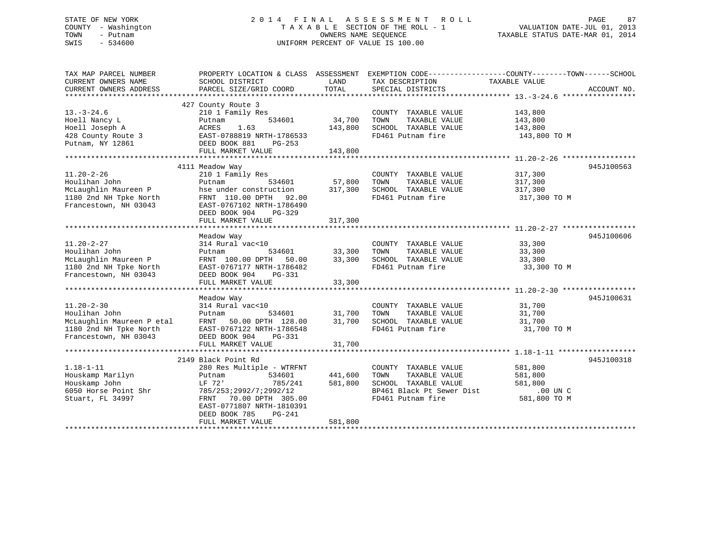### STATE OF NEW YORK 2 0 1 4 F I N A L A S S E S S M E N T R O L L PAGE 87 COUNTY - Washington T A X A B L E SECTION OF THE ROLL - 1 VALUATION DATE-JUL 01, 2013 TOWN - Putnam OWNERS NAME SEQUENCE TAXABLE STATUS DATE-MAR 01, 2014 SWIS - 534600 UNIFORM PERCENT OF VALUE IS 100.00

| TAX MAP PARCEL NUMBER                         | PROPERTY LOCATION & CLASS ASSESSMENT      |               | EXEMPTION CODE-----------------COUNTY-------TOWN------SCHOOL |                    |             |
|-----------------------------------------------|-------------------------------------------|---------------|--------------------------------------------------------------|--------------------|-------------|
| CURRENT OWNERS NAME<br>CURRENT OWNERS ADDRESS | SCHOOL DISTRICT<br>PARCEL SIZE/GRID COORD | LAND<br>TOTAL | TAX DESCRIPTION<br>SPECIAL DISTRICTS                         | TAXABLE VALUE      | ACCOUNT NO. |
|                                               |                                           |               |                                                              |                    |             |
|                                               | 427 County Route 3                        |               |                                                              |                    |             |
| $13.-3-24.6$                                  | 210 1 Family Res                          |               | COUNTY TAXABLE VALUE                                         |                    |             |
|                                               |                                           |               |                                                              | 143,800<br>143,800 |             |
| Hoell Nancy L                                 | 534601<br>Putnam                          | 34,700        | TAXABLE VALUE<br>TOWN                                        |                    |             |
| Hoell Joseph A                                | 1.63<br>ACRES                             | 143,800       | SCHOOL TAXABLE VALUE                                         | 143,800            |             |
| 428 County Route 3                            | EAST-0788819 NRTH-1786533                 |               | FD461 Putnam fire                                            | 143,800 TO M       |             |
| Putnam, NY 12861                              | DEED BOOK 881<br>PG-253                   |               |                                                              |                    |             |
|                                               | FULL MARKET VALUE                         | 143,800       |                                                              |                    |             |
|                                               |                                           |               |                                                              |                    |             |
|                                               | 4111 Meadow Way                           |               |                                                              |                    | 945J100563  |
| $11.20 - 2 - 26$                              | 210 1 Family Res                          |               | COUNTY TAXABLE VALUE                                         | 317,300            |             |
| Houlihan John                                 | 534601<br>Putnam                          | 57,800        | TOWN<br>TAXABLE VALUE                                        | 317,300            |             |
| McLaughlin Maureen P                          | hse under construction                    | 317,300       | SCHOOL TAXABLE VALUE                                         | 317,300            |             |
| 1180 2nd NH Tpke North                        | FRNT 110.00 DPTH 92.00                    |               | FD461 Putnam fire                                            | 317,300 TO M       |             |
| Francestown, NH 03043                         | EAST-0767102 NRTH-1786490                 |               |                                                              |                    |             |
|                                               | DEED BOOK 904<br>PG-329                   |               |                                                              |                    |             |
|                                               | FULL MARKET VALUE                         | 317,300       |                                                              |                    |             |
|                                               |                                           |               |                                                              |                    |             |
|                                               | Meadow Way                                |               |                                                              |                    | 945J100606  |
| $11.20 - 2 - 27$                              | 314 Rural vac<10                          |               | COUNTY TAXABLE VALUE                                         | 33,300             |             |
|                                               |                                           |               |                                                              |                    |             |
| Houlihan John                                 | 534601<br>Putnam                          | 33,300        | TOWN<br>TAXABLE VALUE                                        | 33,300             |             |
| McLaughlin Maureen P                          | FRNT 100.00 DPTH 50.00                    | 33,300        | SCHOOL TAXABLE VALUE                                         | 33,300             |             |
| 1180 2nd NH Tpke North                        | EAST-0767177 NRTH-1786482                 |               | FD461 Putnam fire                                            | 33,300 TO M        |             |
| Francestown, NH 03043                         | DEED BOOK 904<br>PG-331                   |               |                                                              |                    |             |
|                                               | FULL MARKET VALUE                         | 33,300        |                                                              |                    |             |
|                                               |                                           |               |                                                              |                    |             |
|                                               | Meadow Way                                |               |                                                              |                    | 945J100631  |
| $11.20 - 2 - 30$                              | 314 Rural vac<10                          |               | COUNTY TAXABLE VALUE                                         | 31,700             |             |
| Houlihan John                                 | 534601<br>Putnam                          | 31,700        | TAXABLE VALUE<br>TOWN                                        | 31,700             |             |
| McLaughlin Maureen P etal                     | FRNT 50.00 DPTH 128.00                    | 31,700        | SCHOOL TAXABLE VALUE                                         | 31,700             |             |
| 1180 2nd NH Tpke North                        | EAST-0767122 NRTH-1786548                 |               | FD461 Putnam fire                                            | 31,700 TO M        |             |
| Francestown, NH 03043                         | DEED BOOK 904<br>PG-331                   |               |                                                              |                    |             |
|                                               | FULL MARKET VALUE                         | 31,700        |                                                              |                    |             |
|                                               |                                           |               |                                                              |                    |             |
|                                               | 2149 Black Point Rd                       |               |                                                              |                    | 945J100318  |
| $1.18 - 1 - 11$                               | 280 Res Multiple - WTRFNT                 |               | COUNTY TAXABLE VALUE                                         | 581,800            |             |
|                                               |                                           |               |                                                              |                    |             |
| Houskamp Marilyn                              | 534601<br>Putnam                          | 441,600       | TAXABLE VALUE<br>TOWN                                        | 581,800            |             |
| Houskamp John                                 | LF 72'<br>785/241                         | 581,800       | SCHOOL TAXABLE VALUE                                         | 581,800            |             |
| 6050 Horse Point Shr                          | 785/253;2992/7;2992/12                    |               | BP461 Black Pt Sewer Dist                                    | .00 UN C           |             |
| Stuart, FL 34997                              | FRNT 70.00 DPTH 305.00                    |               | FD461 Putnam fire                                            | 581,800 TO M       |             |
|                                               | EAST-0771807 NRTH-1810391                 |               |                                                              |                    |             |
|                                               | DEED BOOK 785<br>PG-241                   |               |                                                              |                    |             |
|                                               | FULL MARKET VALUE                         | 581,800       |                                                              |                    |             |
|                                               |                                           |               |                                                              |                    |             |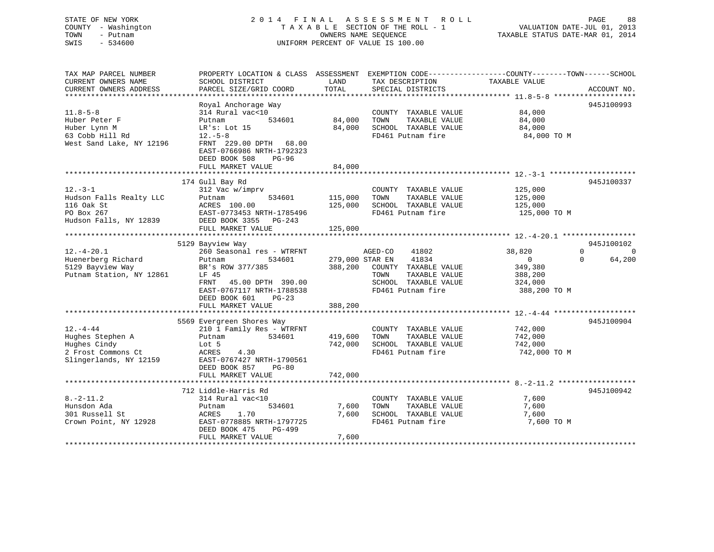### STATE OF NEW YORK 2 0 1 4 F I N A L A S S E S S M E N T R O L L PAGE 88 COUNTY - Washington T A X A B L E SECTION OF THE ROLL - 1 VALUATION DATE-JUL 01, 2013 TOWN - Putnam OWNERS NAME SEQUENCE TAXABLE STATUS DATE-MAR 01, 2014 SWIS - 534600 UNIFORM PERCENT OF VALUE IS 100.00

| TAX MAP PARCEL NUMBER    |                           |         |                          | PROPERTY LOCATION & CLASS ASSESSMENT EXEMPTION CODE----------------COUNTY-------TOWN-----SCHOOL |             |
|--------------------------|---------------------------|---------|--------------------------|-------------------------------------------------------------------------------------------------|-------------|
| CURRENT OWNERS NAME      | SCHOOL DISTRICT           | LAND    | TAX DESCRIPTION          | TAXABLE VALUE                                                                                   |             |
| CURRENT OWNERS ADDRESS   | PARCEL SIZE/GRID COORD    | TOTAL   | SPECIAL DISTRICTS        |                                                                                                 | ACCOUNT NO. |
|                          |                           |         |                          |                                                                                                 |             |
|                          | Royal Anchorage Way       |         |                          |                                                                                                 | 945J100993  |
| $11.8 - 5 - 8$           | 314 Rural vac<10          |         | COUNTY TAXABLE VALUE     | 84,000                                                                                          |             |
| Huber Peter F            | 534601<br>Putnam          | 84,000  | TAXABLE VALUE<br>TOWN    | 84,000                                                                                          |             |
| Huber Lynn M             | LR's: Lot 15              | 84,000  | SCHOOL TAXABLE VALUE     | 84,000                                                                                          |             |
| 63 Cobb Hill Rd          | $12.-5-8$                 |         | FD461 Putnam fire        | 84,000 TO M                                                                                     |             |
| West Sand Lake, NY 12196 | FRNT 229.00 DPTH 68.00    |         |                          |                                                                                                 |             |
|                          | EAST-0766986 NRTH-1792323 |         |                          |                                                                                                 |             |
|                          | DEED BOOK 508<br>PG-96    |         |                          |                                                                                                 |             |
|                          | FULL MARKET VALUE         | 84,000  |                          |                                                                                                 |             |
|                          |                           |         |                          |                                                                                                 |             |
|                          | 174 Gull Bay Rd           |         |                          |                                                                                                 | 945J100337  |
| $12.-3-1$                | 312 Vac w/imprv           |         | COUNTY TAXABLE VALUE     | 125,000                                                                                         |             |
| Hudson Falls Realty LLC  | 534601<br>Putnam          | 115,000 | TOWN<br>TAXABLE VALUE    | 125,000                                                                                         |             |
| 116 Oak St               | ACRES 100.00              | 125,000 | SCHOOL TAXABLE VALUE     | 125,000                                                                                         |             |
| PO Box 267               | EAST-0773453 NRTH-1785496 |         | FD461 Putnam fire        | 125,000 TO M                                                                                    |             |
| Hudson Falls, NY 12839   | DEED BOOK 3355 PG-243     |         |                          |                                                                                                 |             |
|                          | FULL MARKET VALUE         | 125,000 |                          |                                                                                                 |             |
|                          |                           |         |                          |                                                                                                 |             |
|                          | 5129 Bayview Way          |         |                          |                                                                                                 | 945J100102  |
| $12. - 4 - 20.1$         | 260 Seasonal res - WTRFNT |         | AGED-CO<br>41802         | 38,820<br>$\Omega$                                                                              | $\Omega$    |
| Huenerberg Richard       | 534601<br>Putnam          |         | 41834<br>279,000 STAR EN | $\overline{0}$<br>$\Omega$                                                                      | 64,200      |
| 5129 Bayview Way         | BR's ROW 377/385          | 388,200 | COUNTY TAXABLE VALUE     | 349,380                                                                                         |             |
| Putnam Station, NY 12861 | LF 45                     |         | TOWN<br>TAXABLE VALUE    | 388,200                                                                                         |             |
|                          | 45.00 DPTH 390.00<br>FRNT |         | SCHOOL TAXABLE VALUE     |                                                                                                 |             |
|                          | EAST-0767117 NRTH-1788538 |         | FD461 Putnam fire        | 324,000<br>388,200 TO M                                                                         |             |
|                          | DEED BOOK 601<br>$PG-23$  |         |                          |                                                                                                 |             |
|                          |                           |         |                          |                                                                                                 |             |
|                          | FULL MARKET VALUE         | 388,200 |                          |                                                                                                 |             |
|                          |                           |         |                          |                                                                                                 | 945J100904  |
|                          | 5569 Evergreen Shores Way |         |                          |                                                                                                 |             |
| $12. - 4 - 44$           | 210 1 Family Res - WTRFNT |         | COUNTY TAXABLE VALUE     | 742,000                                                                                         |             |
| Hughes Stephen A         | 534601<br>Putnam          | 419,600 | TOWN<br>TAXABLE VALUE    | 742,000                                                                                         |             |
| Hughes Cindy             | Lot 5                     | 742,000 | SCHOOL TAXABLE VALUE     | 742,000                                                                                         |             |
| 2 Frost Commons Ct       | ACRES<br>4.30             |         | FD461 Putnam fire        | 742,000 TO M                                                                                    |             |
| Slingerlands, NY 12159   | EAST-0767427 NRTH-1790561 |         |                          |                                                                                                 |             |
|                          | DEED BOOK 857<br>$PG-80$  |         |                          |                                                                                                 |             |
|                          | FULL MARKET VALUE         | 742,000 |                          |                                                                                                 |             |
|                          |                           |         |                          |                                                                                                 |             |
|                          | 712 Liddle-Harris Rd      |         |                          |                                                                                                 | 945J100942  |
| $8. - 2 - 11.2$          | 314 Rural vac<10          |         | COUNTY TAXABLE VALUE     | 7,600                                                                                           |             |
| Hunsdon Ada              | Putnam<br>534601          | 7,600   | TAXABLE VALUE<br>TOWN    | 7,600                                                                                           |             |
| 301 Russell St           | ACRES<br>1.70             | 7,600   | SCHOOL TAXABLE VALUE     | 7,600                                                                                           |             |
| Crown Point, NY 12928    | EAST-0778885 NRTH-1797725 |         | FD461 Putnam fire        | 7,600 TO M                                                                                      |             |
|                          | DEED BOOK 475<br>PG-499   |         |                          |                                                                                                 |             |
|                          | FULL MARKET VALUE         | 7,600   |                          |                                                                                                 |             |
|                          |                           |         |                          |                                                                                                 |             |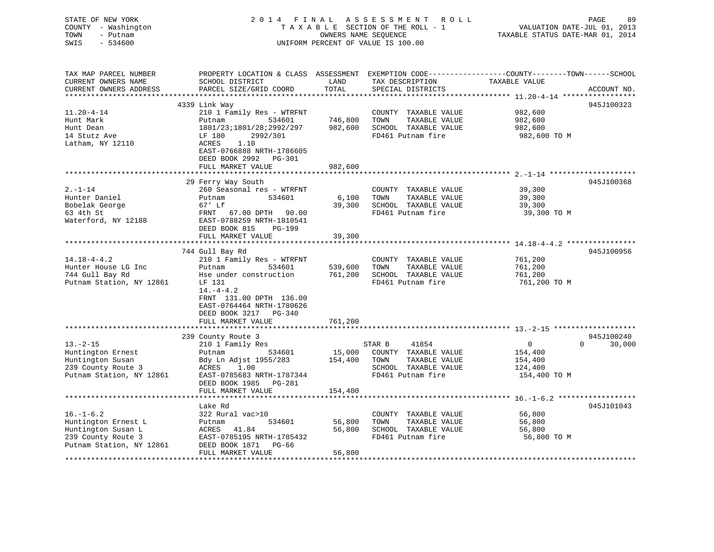| STATE OF NEW YORK<br>COUNTY - Washington<br>TOWN<br>- Putnam<br>$-534600$<br>SWIS | 2014 FINAL                                          | OWNERS NAME SEQUENCE      | A S S E S S M E N T<br>R O L L<br>TAXABLE SECTION OF THE ROLL - 1<br>UNIFORM PERCENT OF VALUE IS 100.00 | PAGE<br>VALUATION DATE-JUL 01, 2013<br>TAXABLE STATUS DATE-MAR 01, 2014                         | 89 |
|-----------------------------------------------------------------------------------|-----------------------------------------------------|---------------------------|---------------------------------------------------------------------------------------------------------|-------------------------------------------------------------------------------------------------|----|
|                                                                                   |                                                     |                           |                                                                                                         |                                                                                                 |    |
| TAX MAP PARCEL NUMBER                                                             |                                                     |                           |                                                                                                         | PROPERTY LOCATION & CLASS ASSESSMENT EXEMPTION CODE----------------COUNTY-------TOWN-----SCHOOL |    |
| CURRENT OWNERS NAME                                                               | SCHOOL DISTRICT                                     | LAND                      | TAX DESCRIPTION                                                                                         | TAXABLE VALUE                                                                                   |    |
| CURRENT OWNERS ADDRESS                                                            | PARCEL SIZE/GRID COORD                              | TOTAL                     | SPECIAL DISTRICTS                                                                                       | ACCOUNT NO.                                                                                     |    |
|                                                                                   |                                                     |                           |                                                                                                         |                                                                                                 |    |
|                                                                                   | 4339 Link Way                                       |                           |                                                                                                         | 945J100323                                                                                      |    |
| $11.20 - 4 - 14$                                                                  | 210 1 Family Res - WTRFNT                           |                           | COUNTY TAXABLE VALUE                                                                                    | 982,600                                                                                         |    |
| Hunt Mark                                                                         | 534601<br>Putnam                                    | 746,800                   | TOWN<br>TAXABLE VALUE                                                                                   | 982,600                                                                                         |    |
| Hunt Dean                                                                         | 1801/23;1801/28;2992/297                            | 982,600                   | SCHOOL TAXABLE VALUE<br>FD461 Putnam fire                                                               | 982,600                                                                                         |    |
| 14 Stutz Ave<br>Latham, NY 12110                                                  | LF 180<br>2992/301<br>ACRES<br>1.10                 |                           |                                                                                                         | 982,600 TO M                                                                                    |    |
|                                                                                   | EAST-0766888 NRTH-1786605                           |                           |                                                                                                         |                                                                                                 |    |
|                                                                                   | DEED BOOK 2992<br>PG-301                            |                           |                                                                                                         |                                                                                                 |    |
|                                                                                   | FULL MARKET VALUE                                   | 982,600                   |                                                                                                         |                                                                                                 |    |
|                                                                                   |                                                     |                           |                                                                                                         |                                                                                                 |    |
|                                                                                   | 29 Ferry Way South                                  |                           |                                                                                                         | 945J100368                                                                                      |    |
| $2. -1 - 14$                                                                      | 260 Seasonal res - WTRFNT                           |                           | COUNTY TAXABLE VALUE                                                                                    | 39,300                                                                                          |    |
| Hunter Daniel                                                                     | Putnam<br>534601<br>$67'$ Lf                        | 6,100                     | TAXABLE VALUE<br>TOWN                                                                                   | 39,300                                                                                          |    |
| Bobelak George<br>63 4th St                                                       | FRNT 67.00 DPTH 90.00                               | 39,300                    | SCHOOL TAXABLE VALUE<br>FD461 Putnam fire                                                               | 39,300<br>39,300 TO M                                                                           |    |
| Waterford, NY 12188                                                               | EAST-0788259 NRTH-1810541                           |                           |                                                                                                         |                                                                                                 |    |
|                                                                                   | DEED BOOK 815<br>PG-199                             |                           |                                                                                                         |                                                                                                 |    |
|                                                                                   | FULL MARKET VALUE                                   | 39,300                    |                                                                                                         |                                                                                                 |    |
|                                                                                   |                                                     |                           |                                                                                                         |                                                                                                 |    |
|                                                                                   | 744 Gull Bay Rd                                     |                           |                                                                                                         | 945J100956                                                                                      |    |
| $14.18 - 4 - 4.2$                                                                 | 210 1 Family Res - WTRFNT                           |                           | COUNTY TAXABLE VALUE                                                                                    | 761,200                                                                                         |    |
| Hunter House LG Inc<br>744 Gull Bay Rd                                            | Putnam<br>534601<br>Hse under construction          | 539,600<br>761,200        | TOWN<br>TAXABLE VALUE<br>SCHOOL TAXABLE VALUE                                                           | 761,200<br>761,200                                                                              |    |
| Putnam Station, NY 12861                                                          | LF 131                                              |                           | FD461 Putnam fire                                                                                       | 761,200 TO M                                                                                    |    |
|                                                                                   | $14. -4 - 4.2$                                      |                           |                                                                                                         |                                                                                                 |    |
|                                                                                   | FRNT 131.00 DPTH 136.00                             |                           |                                                                                                         |                                                                                                 |    |
|                                                                                   | EAST-0764464 NRTH-1780626                           |                           |                                                                                                         |                                                                                                 |    |
|                                                                                   | DEED BOOK 3217<br>$PG-340$                          |                           |                                                                                                         |                                                                                                 |    |
|                                                                                   | FULL MARKET VALUE                                   | 761,200                   |                                                                                                         |                                                                                                 |    |
|                                                                                   |                                                     |                           |                                                                                                         | 945J100240                                                                                      |    |
| $13. - 2 - 15$                                                                    | 239 County Route 3<br>210 1 Family Res              |                           | 41854<br>STAR B                                                                                         | $\overline{0}$<br>$\Omega$<br>30,000                                                            |    |
| Huntington Ernest                                                                 | 534601<br>Putnam                                    | 15,000                    | COUNTY TAXABLE VALUE                                                                                    | 154,400                                                                                         |    |
| Huntington Susan                                                                  | Bdy Ln Adjst 1955/283                               | 154,400                   | TOWN<br>TAXABLE VALUE                                                                                   | 154,400                                                                                         |    |
| 239 County Route 3                                                                | ACRES<br>1.00                                       |                           | SCHOOL TAXABLE VALUE                                                                                    | 124,400                                                                                         |    |
| Putnam Station, NY 12861                                                          | EAST-0785683 NRTH-1787344                           |                           | FD461 Putnam fire                                                                                       | 154,400 TO M                                                                                    |    |
|                                                                                   | DEED BOOK 1985 PG-281                               |                           |                                                                                                         |                                                                                                 |    |
|                                                                                   | FULL MARKET VALUE                                   | 154,400                   |                                                                                                         |                                                                                                 |    |
|                                                                                   |                                                     |                           |                                                                                                         |                                                                                                 |    |
| $16. - 1 - 6.2$                                                                   | Lake Rd<br>322 Rural vac>10                         |                           | COUNTY TAXABLE VALUE                                                                                    | 945J101043<br>56,800                                                                            |    |
| Huntington Ernest L                                                               | 534601<br>Putnam                                    | 56,800                    | TOWN<br>TAXABLE VALUE                                                                                   | 56,800                                                                                          |    |
| Huntington Susan L                                                                | ACRES<br>41.84                                      | 56,800                    | SCHOOL TAXABLE VALUE                                                                                    | 56,800                                                                                          |    |
| 239 County Route 3                                                                | EAST-0785195 NRTH-1785432                           |                           | FD461 Putnam fire                                                                                       | 56,800 TO M                                                                                     |    |
| Putnam Station, NY 12861                                                          | DEED BOOK 1871 PG-66                                |                           |                                                                                                         |                                                                                                 |    |
| *****************                                                                 | FULL MARKET VALUE<br>****************************** | 56,800<br>*************** |                                                                                                         |                                                                                                 |    |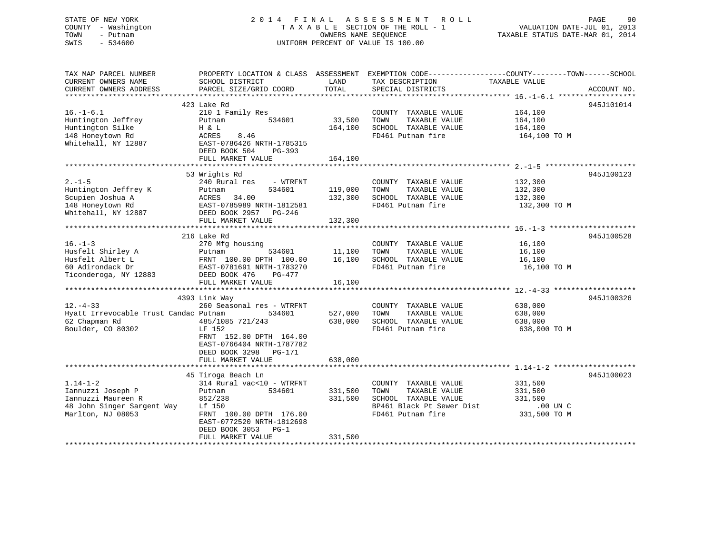### STATE OF NEW YORK 2 0 1 4 F I N A L A S S E S S M E N T R O L L PAGE 90 COUNTY - Washington T A X A B L E SECTION OF THE ROLL - 1 VALUATION DATE-JUL 01, 2013 TOWN - Putnam OWNERS NAME SEQUENCE TAXABLE STATUS DATE-MAR 01, 2014 SWIS - 534600 UNIFORM PERCENT OF VALUE IS 100.00

| TAX MAP PARCEL NUMBER<br>CURRENT OWNERS NAME<br>CURRENT OWNERS ADDRESS       | PROPERTY LOCATION & CLASS ASSESSMENT<br>SCHOOL DISTRICT<br>PARCEL SIZE/GRID COORD                               | LAND<br>TOTAL      | EXEMPTION CODE-----------------COUNTY-------TOWN------SCHOOL<br>TAX DESCRIPTION<br>SPECIAL DISTRICTS | TAXABLE VALUE                                 | ACCOUNT NO. |
|------------------------------------------------------------------------------|-----------------------------------------------------------------------------------------------------------------|--------------------|------------------------------------------------------------------------------------------------------|-----------------------------------------------|-------------|
|                                                                              |                                                                                                                 |                    |                                                                                                      |                                               |             |
| $16. - 1 - 6.1$<br>Huntington Jeffrey<br>Huntington Silke                    | 423 Lake Rd<br>210 1 Family Res<br>534601<br>Putnam<br>H & L                                                    | 33,500<br>164,100  | COUNTY TAXABLE VALUE<br>TAXABLE VALUE<br>TOWN<br>SCHOOL TAXABLE VALUE                                | 164,100<br>164,100<br>164,100                 | 945J101014  |
| 148 Honeytown Rd<br>Whitehall, NY 12887                                      | ACRES<br>8.46<br>EAST-0786426 NRTH-1785315<br>DEED BOOK 504<br>$PG-393$<br>FULL MARKET VALUE                    | 164,100            | FD461 Putnam fire                                                                                    | 164,100 TO M                                  |             |
|                                                                              |                                                                                                                 |                    |                                                                                                      |                                               |             |
|                                                                              | 53 Wrights Rd                                                                                                   |                    |                                                                                                      |                                               | 945J100123  |
| $2. - 1 - 5$<br>Huntington Jeffrey K<br>Scupien Joshua A<br>148 Honeytown Rd | 240 Rural res<br>- WTRFNT<br>534601<br>Putnam<br>34.00<br>ACRES<br>EAST-0785989 NRTH-1812581                    | 119,000<br>132,300 | COUNTY TAXABLE VALUE<br>TOWN<br>TAXABLE VALUE<br>SCHOOL TAXABLE VALUE<br>FD461 Putnam fire           | 132,300<br>132,300<br>132,300<br>132,300 TO M |             |
| Whitehall, NY 12887                                                          | DEED BOOK 2957<br>PG-246                                                                                        |                    |                                                                                                      |                                               |             |
|                                                                              | FULL MARKET VALUE                                                                                               | 132,300            |                                                                                                      |                                               |             |
|                                                                              |                                                                                                                 |                    |                                                                                                      |                                               |             |
|                                                                              | 216 Lake Rd                                                                                                     |                    |                                                                                                      |                                               | 945J100528  |
| $16. - 1 - 3$                                                                | 270 Mfg housing                                                                                                 |                    | COUNTY TAXABLE VALUE                                                                                 | 16,100                                        |             |
| Husfelt Shirley A                                                            | 534601<br>Putnam                                                                                                | 11,100             | TOWN<br>TAXABLE VALUE                                                                                | 16,100                                        |             |
| Husfelt Albert L<br>60 Adirondack Dr                                         | FRNT 100.00 DPTH 100.00                                                                                         | 16,100             | SCHOOL TAXABLE VALUE                                                                                 | 16,100                                        |             |
| Ticonderoga, NY 12883                                                        | EAST-0781691 NRTH-1783270<br>DEED BOOK 476<br>$PG-477$                                                          |                    | FD461 Putnam fire                                                                                    | 16,100 TO M                                   |             |
|                                                                              | FULL MARKET VALUE                                                                                               | 16,100             |                                                                                                      |                                               |             |
|                                                                              |                                                                                                                 |                    |                                                                                                      |                                               |             |
|                                                                              | 4393 Link Way                                                                                                   |                    |                                                                                                      |                                               | 945J100326  |
| $12. - 4 - 33$                                                               | 260 Seasonal res - WTRFNT                                                                                       |                    | COUNTY TAXABLE VALUE                                                                                 | 638,000                                       |             |
| Hyatt Irrevocable Trust Candac Putnam                                        | 534601                                                                                                          | 527,000            | TAXABLE VALUE<br>TOWN                                                                                | 638,000                                       |             |
| 62 Chapman Rd                                                                | 485/1085 721/243                                                                                                | 638,000            | SCHOOL TAXABLE VALUE                                                                                 | 638,000                                       |             |
| Boulder, CO 80302                                                            | LF 152<br>FRNT 152.00 DPTH 164.00<br>EAST-0766404 NRTH-1787782<br>DEED BOOK 3298<br>PG-171<br>FULL MARKET VALUE | 638,000            | FD461 Putnam fire                                                                                    | 638,000 TO M                                  |             |
|                                                                              |                                                                                                                 |                    |                                                                                                      |                                               |             |
| $1.14 - 1 - 2$                                                               | 45 Tiroga Beach Ln<br>314 Rural vac<10 - WTRFNT                                                                 |                    | COUNTY TAXABLE VALUE                                                                                 | 331,500                                       | 945J100023  |
| Iannuzzi Joseph P                                                            | 534601<br>Putnam                                                                                                | 331,500            | TOWN<br>TAXABLE VALUE                                                                                | 331,500                                       |             |
| Iannuzzi Maureen R                                                           | 852/238                                                                                                         | 331,500            | SCHOOL TAXABLE VALUE                                                                                 | 331,500                                       |             |
| 48 John Singer Sargent Way                                                   | Lf 150                                                                                                          |                    | BP461 Black Pt Sewer Dist                                                                            | $.00$ UN C                                    |             |
| Marlton, NJ 08053                                                            | FRNT 100.00 DPTH 176.00<br>EAST-0772520 NRTH-1812698<br>DEED BOOK 3053<br>$PG-1$<br>FULL MARKET VALUE           | 331,500            | FD461 Putnam fire                                                                                    | 331,500 TO M                                  |             |
|                                                                              |                                                                                                                 |                    |                                                                                                      |                                               |             |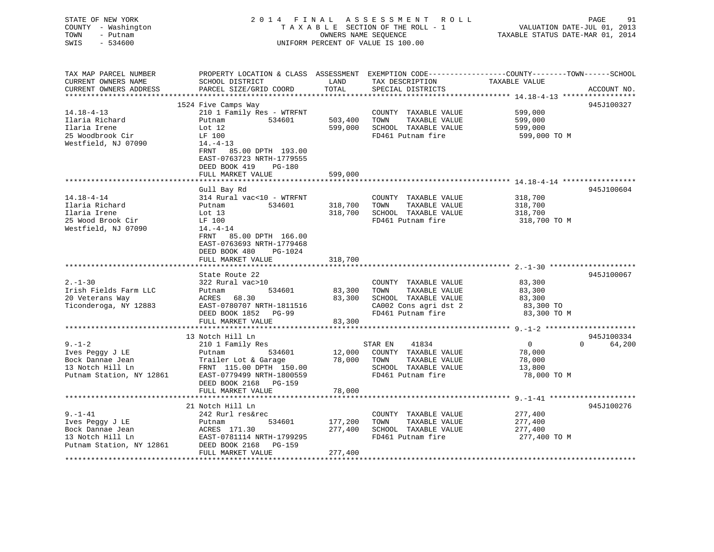| STATE OF NEW YORK<br>COUNTY - Washington<br>TOWN<br>- Putnam<br>$-534600$<br>SWIS |                                                                                                                       | OWNERS NAME SEQUENCE  | 2014 FINAL ASSESSMENT ROLL<br>TAXABLE SECTION OF THE ROLL - 1<br>UNIFORM PERCENT OF VALUE IS 100.00 | PAGE<br>91<br>VALUATION DATE-JUL 01, 2013<br>TAXABLE STATUS DATE-MAR 01, 2014                                                    |
|-----------------------------------------------------------------------------------|-----------------------------------------------------------------------------------------------------------------------|-----------------------|-----------------------------------------------------------------------------------------------------|----------------------------------------------------------------------------------------------------------------------------------|
| TAX MAP PARCEL NUMBER<br>CURRENT OWNERS NAME<br>CURRENT OWNERS ADDRESS            | SCHOOL DISTRICT<br>PARCEL SIZE/GRID COORD                                                                             | LAND<br>TOTAL         | TAX DESCRIPTION<br>SPECIAL DISTRICTS                                                                | PROPERTY LOCATION & CLASS ASSESSMENT EXEMPTION CODE----------------COUNTY-------TOWN------SCHOOL<br>TAXABLE VALUE<br>ACCOUNT NO. |
| ***********************                                                           |                                                                                                                       |                       |                                                                                                     |                                                                                                                                  |
|                                                                                   | 1524 Five Camps Way                                                                                                   |                       |                                                                                                     | 945J100327                                                                                                                       |
| $14.18 - 4 - 13$                                                                  | 210 1 Family Res - WTRFNT                                                                                             |                       | COUNTY TAXABLE VALUE                                                                                | 599,000                                                                                                                          |
| Ilaria Richard                                                                    | Putnam<br>534601                                                                                                      | 503,400               | TOWN<br>TAXABLE VALUE                                                                               | 599,000                                                                                                                          |
| Ilaria Irene<br>25 Woodbrook Cir                                                  | Lot $12$<br>LF 100                                                                                                    | 599,000               | SCHOOL TAXABLE VALUE<br>FD461 Putnam fire                                                           | 599,000<br>599,000 TO M                                                                                                          |
| Westfield, NJ 07090                                                               | $14. -4 - 13$                                                                                                         |                       |                                                                                                     |                                                                                                                                  |
|                                                                                   | FRNT 85.00 DPTH 193.00<br>EAST-0763723 NRTH-1779555<br>DEED BOOK 419<br>PG-180                                        |                       |                                                                                                     |                                                                                                                                  |
|                                                                                   | FULL MARKET VALUE                                                                                                     | 599,000               |                                                                                                     |                                                                                                                                  |
|                                                                                   |                                                                                                                       |                       |                                                                                                     |                                                                                                                                  |
|                                                                                   | Gull Bay Rd                                                                                                           |                       |                                                                                                     | 945J100604                                                                                                                       |
| 14.18-4-14                                                                        | 314 Rural vac<10 - WTRFNT                                                                                             |                       | COUNTY TAXABLE VALUE                                                                                | 318,700                                                                                                                          |
| Ilaria Richard                                                                    | Putnam<br>534601                                                                                                      | 318,700               | TAXABLE VALUE<br>TOWN                                                                               | 318,700                                                                                                                          |
| Ilaria Irene                                                                      | Lot 13                                                                                                                | 318,700               | SCHOOL TAXABLE VALUE                                                                                | 318,700                                                                                                                          |
| 25 Wood Brook Cir                                                                 | LF 100                                                                                                                |                       | FD461 Putnam fire                                                                                   | 318,700 TO M                                                                                                                     |
| Westfield, NJ 07090                                                               | $14. -4 - 14$<br>FRNT 85.00 DPTH 166.00<br>EAST-0763693 NRTH-1779468<br>DEED BOOK 480<br>PG-1024<br>FULL MARKET VALUE | 318,700               |                                                                                                     |                                                                                                                                  |
|                                                                                   | *****************                                                                                                     | * * * * * * * * * * * |                                                                                                     |                                                                                                                                  |
|                                                                                   | State Route 22                                                                                                        |                       |                                                                                                     | 945J100067                                                                                                                       |
| $2. - 1 - 30$                                                                     | 322 Rural vac>10                                                                                                      |                       | COUNTY TAXABLE VALUE                                                                                | 83,300                                                                                                                           |
| Irish Fields Farm LLC                                                             | 534601<br>Putnam                                                                                                      | 83,300                | TAXABLE VALUE<br>TOWN                                                                               | 83,300                                                                                                                           |
| 20 Veterans Way                                                                   | ACRES 68.30                                                                                                           | 83,300                | SCHOOL TAXABLE VALUE                                                                                | 83,300                                                                                                                           |
| Ticonderoga, NY 12883                                                             | EAST-0780707 NRTH-1811516                                                                                             |                       | CA002 Cons agri dst 2                                                                               | 83,300 TO                                                                                                                        |
|                                                                                   | DEED BOOK 1852 PG-99                                                                                                  |                       | FD461 Putnam fire                                                                                   | 83,300 TO M                                                                                                                      |
|                                                                                   | FULL MARKET VALUE                                                                                                     | 83,300                |                                                                                                     |                                                                                                                                  |
|                                                                                   | 13 Notch Hill Ln                                                                                                      |                       |                                                                                                     | 945J100334                                                                                                                       |
| $9 - 1 - 2$                                                                       | 210 1 Family Res                                                                                                      |                       | STAR EN<br>41834                                                                                    | $\overline{\phantom{0}}$<br>$0 \qquad \qquad$<br>64,200                                                                          |
| Ives Peggy J LE                                                                   | Putnam<br>534601                                                                                                      | 12,000                | COUNTY TAXABLE VALUE                                                                                | 78,000                                                                                                                           |
| Bock Dannae Jean                                                                  | Trailer Lot & Garage                                                                                                  | 78,000                | TOWN<br>TAXABLE VALUE                                                                               | 78,000                                                                                                                           |
| 13 Notch Hill Ln                                                                  | FRNT 115.00 DPTH 150.00                                                                                               |                       | SCHOOL TAXABLE VALUE                                                                                | 13,800                                                                                                                           |
| Putnam Station, NY 12861                                                          | EAST-0779499 NRTH-1800559                                                                                             |                       | FD461 Putnam fire                                                                                   | 78,000 TO M                                                                                                                      |
|                                                                                   | DEED BOOK 2168 PG-159<br>FULL MARKET VALUE                                                                            | 78,000                |                                                                                                     |                                                                                                                                  |
|                                                                                   |                                                                                                                       |                       |                                                                                                     |                                                                                                                                  |
|                                                                                   | 21 Notch Hill Ln                                                                                                      |                       |                                                                                                     | 945J100276                                                                                                                       |
| $9. - 1 - 41$                                                                     | 242 Rurl res&rec                                                                                                      |                       | COUNTY TAXABLE VALUE                                                                                | 277,400                                                                                                                          |
| Ives Peggy J LE                                                                   | 534601<br>Putnam                                                                                                      | 177,200               | TOWN<br>TAXABLE VALUE                                                                               | 277,400                                                                                                                          |
| Bock Dannae Jean                                                                  | ACRES 171.30                                                                                                          | 277,400               | SCHOOL TAXABLE VALUE                                                                                | 277,400                                                                                                                          |
| 13 Notch Hill Ln                                                                  | EAST-0781114 NRTH-1799295                                                                                             |                       | FD461 Putnam fire                                                                                   | 277,400 TO M                                                                                                                     |
| Putnam Station, NY 12861<br>****************                                      | DEED BOOK 2168 PG-159<br>FULL MARKET VALUE                                                                            | 277,400               |                                                                                                     |                                                                                                                                  |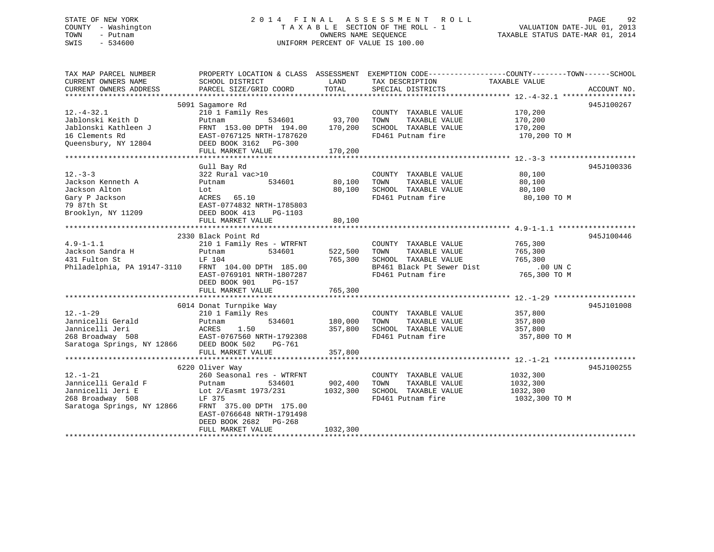### STATE OF NEW YORK 2 0 1 4 F I N A L A S S E S S M E N T R O L L PAGE 92 COUNTY - Washington T A X A B L E SECTION OF THE ROLL - 1 VALUATION DATE-JUL 01, 2013 TOWN - Putnam OWNERS NAME SEQUENCE TAXABLE STATUS DATE-MAR 01, 2014 SWIS - 534600 UNIFORM PERCENT OF VALUE IS 100.00

| TAX MAP PARCEL NUMBER<br>CURRENT OWNERS NAME                                                                                                                                                                                                                                                                                               | SCHOOL DISTRICT                                                                                                                                                                                                    | LAND                                 | PROPERTY LOCATION & CLASS ASSESSMENT EXEMPTION CODE----------------COUNTY-------TOWN------SCHOOL<br>TAX DESCRIPTION                           | TAXABLE VALUE                                     |             |
|--------------------------------------------------------------------------------------------------------------------------------------------------------------------------------------------------------------------------------------------------------------------------------------------------------------------------------------------|--------------------------------------------------------------------------------------------------------------------------------------------------------------------------------------------------------------------|--------------------------------------|-----------------------------------------------------------------------------------------------------------------------------------------------|---------------------------------------------------|-------------|
| CURRENT OWNERS ADDRESS                                                                                                                                                                                                                                                                                                                     | PARCEL SIZE/GRID COORD                                                                                                                                                                                             | TOTAL                                | SPECIAL DISTRICTS                                                                                                                             |                                                   | ACCOUNT NO. |
|                                                                                                                                                                                                                                                                                                                                            |                                                                                                                                                                                                                    |                                      |                                                                                                                                               |                                                   |             |
| $12. - 4 - 32.1$<br>Jablonski Keith D<br>Jablonski Kathleen J<br>16 Clements Rd<br>Queensbury, NY 12804<br>- ^ * * * * * * FULL MARKET VALUE $170\, , 200$ * * * * * FULL FULL FOULL FOULL FOULL FOULL FOULL FOULL FOULL FOULL FOULL FOULL FOULL FOULL FOULL FOULL FOULL FOULL FOULL FOULL FOULL FOULL FOULL FOULL FOULL FOULL FOULL FOULL | 5091 Sagamore Rd<br>210 1 Family Res<br>Putnam<br>FRNT 153.00 DPTH 194.00 170,200<br>EAST-0767125 NRTH-1787620<br>DEED BOOK 3162 PG-300                                                                            | 534601 93,700                        | COUNTY TAXABLE VALUE<br>TOWN<br>TAXABLE VALUE<br>SCHOOL TAXABLE VALUE<br>FD461 Putnam fire                                                    | 170,200<br>170, 200<br>170,200<br>170,200 TO M    | 945J100267  |
|                                                                                                                                                                                                                                                                                                                                            |                                                                                                                                                                                                                    |                                      |                                                                                                                                               |                                                   |             |
| $12. - 3 - 3$<br>Jackson Kenneth A<br>Jackson Alton<br>Gary P Jackson<br>79 87th St<br>Brooklyn, NY 11209                                                                                                                                                                                                                                  | Gull Bay Rd<br>322 Rural vac>10<br>534601<br>Putnam<br>Lot<br>DEED BOOK 413<br>PG-1103<br>FULL MARKET VALUE                                                                                                        | 80,100<br>80,100<br>80,100           | COUNTY TAXABLE VALUE<br>TAXABLE VALUE<br>TOWN<br>SCHOOL TAXABLE VALUE<br>FD461 Putnam fire                                                    | 80,100<br>80,100<br>80,100<br>80,100 TO M         | 945J100336  |
|                                                                                                                                                                                                                                                                                                                                            |                                                                                                                                                                                                                    |                                      |                                                                                                                                               |                                                   |             |
| $4.9 - 1 - 1.1$<br>Jackson Sandra H<br>431 Fulton St<br>Philadelphia, PA 19147-3110                                                                                                                                                                                                                                                        | 2330 Black Point Rd<br>210 1 Family Res - WTRFNT<br>534601<br>Putnam<br>LF 104<br>FRNT 104.00 DPTH 185.00<br>EAST-0769101 NRTH-1807287<br>DEED BOOK 901<br>PG-157                                                  | 522,500<br>765,300                   | COUNTY TAXABLE VALUE<br>TAXABLE VALUE<br>TOWN<br>SCHOOL TAXABLE VALUE<br>BP461 Black Pt Sewer Dist .00 UN C<br>FD461 Putnam fire 765,300 TO M | 765,300<br>765,300<br>765,300                     | 945J100446  |
|                                                                                                                                                                                                                                                                                                                                            | 6014 Donat Turnpike Way                                                                                                                                                                                            |                                      |                                                                                                                                               |                                                   | 945J101008  |
| $12. - 1 - 29$<br>Jannicelli Gerald<br>Jannicelli Jeri<br>268 Broadway 508 EAST-0767560 NRTH-1792308<br>Saratoga Springs, NY 12866 DEED BOOK 502 PG-761                                                                                                                                                                                    | 210 1 Family Res<br>Putnam<br>ACRES<br>1.50<br>FULL MARKET VALUE                                                                                                                                                   | 534601 180,000<br>357,800<br>357,800 | COUNTY TAXABLE VALUE<br>TAXABLE VALUE<br>TOWN<br>SCHOOL TAXABLE VALUE<br>FD461 Putnam fire                                                    | 357,800<br>357,800<br>357,800<br>357,800 TO M     |             |
|                                                                                                                                                                                                                                                                                                                                            |                                                                                                                                                                                                                    |                                      |                                                                                                                                               |                                                   |             |
| $12. - 1 - 21$<br>Jannicelli Gerald F<br>Jannicelli Jeri E<br>268 Broadway 508<br>Saratoga Springs, NY 12866                                                                                                                                                                                                                               | 6220 Oliver Way<br>260 Seasonal res - WTRFNT<br>534601<br>Putnam<br>Lot 2/Easmt 1973/231<br>LF 375<br>LF 375<br>FRNT 375.00 DPTH 175.00<br>EAST-0766648 NRTH-1791498<br>DEED BOOK 2682 PG-268<br>FULL MARKET VALUE | 902,400<br>1032,300<br>1032,300      | COUNTY TAXABLE VALUE<br>TOWN<br>TAXABLE VALUE<br>SCHOOL TAXABLE VALUE<br>FD461 Putnam fire                                                    | 1032,300<br>1032,300<br>1032,300<br>1032,300 TO M | 945J100255  |
|                                                                                                                                                                                                                                                                                                                                            |                                                                                                                                                                                                                    |                                      |                                                                                                                                               |                                                   |             |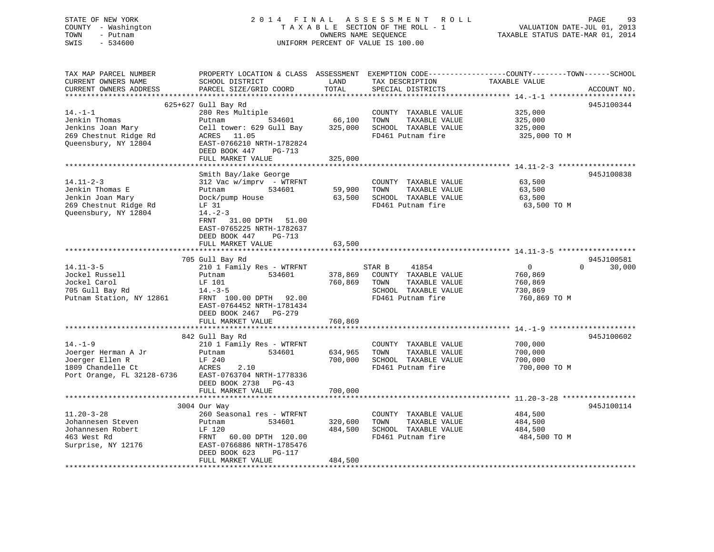### STATE OF NEW YORK 2 0 1 4 F I N A L A S S E S S M E N T R O L L PAGE 93 COUNTY - Washington T A X A B L E SECTION OF THE ROLL - 1 VALUATION DATE-JUL 01, 2013 TOWN - Putnam OWNERS NAME SEQUENCE TAXABLE STATUS DATE-MAR 01, 2014 SWIS - 534600 UNIFORM PERCENT OF VALUE IS 100.00

| TAX MAP PARCEL NUMBER<br>CURRENT OWNERS NAME<br>CURRENT OWNERS ADDRESS                                     | PROPERTY LOCATION & CLASS ASSESSMENT<br>SCHOOL DISTRICT<br>PARCEL SIZE/GRID COORD                                                                                                                                                  | LAND<br>TOTAL                 | TAX DESCRIPTION<br>SPECIAL DISTRICTS                                                                          | EXEMPTION CODE-----------------COUNTY-------TOWN------SCHOOL<br>TAXABLE VALUE | ACCOUNT NO.        |
|------------------------------------------------------------------------------------------------------------|------------------------------------------------------------------------------------------------------------------------------------------------------------------------------------------------------------------------------------|-------------------------------|---------------------------------------------------------------------------------------------------------------|-------------------------------------------------------------------------------|--------------------|
| $14. - 1 - 1$<br>Jenkin Thomas<br>Jenkins Joan Mary<br>269 Chestnut Ridge Rd<br>Queensbury, NY 12804       | 625+627 Gull Bay Rd<br>280 Res Multiple<br>534601<br>Putnam<br>Cell tower: 629 Gull Bay<br>11.05<br>ACRES<br>EAST-0766210 NRTH-1782824<br>DEED BOOK 447<br>PG-713<br>FULL MARKET VALUE                                             | 66,100<br>325,000<br>325,000  | COUNTY TAXABLE VALUE<br>TOWN<br>TAXABLE VALUE<br>SCHOOL TAXABLE VALUE<br>FD461 Putnam fire                    | 325,000<br>325,000<br>325,000<br>325,000 TO M                                 | 945J100344         |
| $14.11 - 2 - 3$<br>Jenkin Thomas E<br>Jenkin Joan Mary<br>269 Chestnut Ridge Rd<br>Queensbury, NY 12804    | Smith Bay/lake George<br>$312$ Vac w/imprv - WTRFNT<br>Putnam<br>534601<br>Dock/pump House<br>LF 31<br>$14. - 2 - 3$<br>FRNT<br>31.00 DPTH<br>51.00<br>EAST-0765225 NRTH-1782637<br>DEED BOOK 447<br>$PG-713$<br>FULL MARKET VALUE | 59,900<br>63,500<br>63,500    | COUNTY TAXABLE VALUE<br>TOWN<br>TAXABLE VALUE<br>SCHOOL TAXABLE VALUE<br>FD461 Putnam fire                    | 63,500<br>63,500<br>63,500<br>63,500 TO M                                     | 945J100838         |
|                                                                                                            | 705 Gull Bay Rd                                                                                                                                                                                                                    |                               |                                                                                                               |                                                                               | 945J100581         |
| $14.11 - 3 - 5$<br>Jockel Russell<br>Jockel Carol<br>705 Gull Bay Rd<br>Putnam Station, NY 12861           | 210 1 Family Res - WTRFNT<br>534601<br>Putnam<br>LF 101<br>$14. - 3 - 5$<br>FRNT 100.00 DPTH 92.00<br>EAST-0764452 NRTH-1781434<br>DEED BOOK 2467 PG-279                                                                           | 378,869<br>760,869            | 41854<br>STAR B<br>COUNTY TAXABLE VALUE<br>TOWN<br>TAXABLE VALUE<br>SCHOOL TAXABLE VALUE<br>FD461 Putnam fire | $\overline{0}$<br>760,869<br>760,869<br>730,869<br>760,869 ТО М               | $\Omega$<br>30,000 |
|                                                                                                            | FULL MARKET VALUE                                                                                                                                                                                                                  | 760,869                       |                                                                                                               |                                                                               |                    |
| $14. - 1 - 9$<br>Joerger Herman A Jr<br>Joerger Ellen R<br>1809 Chandelle Ct<br>Port Orange, FL 32128-6736 | 842 Gull Bay Rd<br>210 1 Family Res - WTRFNT<br>Putnam<br>534601<br>LF 240<br>ACRES<br>2.10<br>EAST-0763704 NRTH-1778336<br>DEED BOOK 2738<br>$PG-43$<br>FULL MARKET VALUE                                                         | 634,965<br>700,000<br>700,000 | COUNTY TAXABLE VALUE<br>TOWN<br>TAXABLE VALUE<br>SCHOOL TAXABLE VALUE<br>FD461 Putnam fire                    | 700,000<br>700,000<br>700,000<br>700,000 TO M                                 | 945J100602         |
|                                                                                                            |                                                                                                                                                                                                                                    | ********                      |                                                                                                               | ************************ 11.20-3-28 ***************                           |                    |
| $11.20 - 3 - 28$<br>Johannesen Steven<br>Johannesen Robert<br>463 West Rd<br>Surprise, NY 12176            | 3004 Our Way<br>260 Seasonal res - WTRFNT<br>534601<br>Putnam<br>LF 120<br>FRNT<br>60.00 DPTH 120.00<br>EAST-0766886 NRTH-1785476<br>DEED BOOK 623<br>PG-117<br>FULL MARKET VALUE                                                  | 320,600<br>484,500<br>484,500 | COUNTY TAXABLE VALUE<br>TAXABLE VALUE<br>TOWN<br>SCHOOL TAXABLE VALUE<br>FD461 Putnam fire                    | 484,500<br>484,500<br>484,500<br>484,500 TO M                                 | 945J100114         |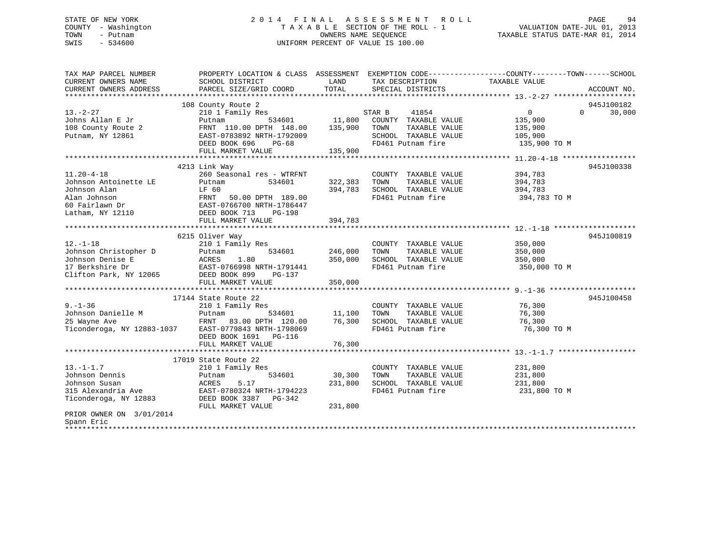### STATE OF NEW YORK 2 0 1 4 F I N A L A S S E S S M E N T R O L L PAGE 94 COUNTY - Washington T A X A B L E SECTION OF THE ROLL - 1 VALUATION DATE-JUL 01, 2013 TOWN - Putnam OWNERS NAME SEQUENCE TAXABLE STATUS DATE-MAR 01, 2014 SWIS - 534600 UNIFORM PERCENT OF VALUE IS 100.00

| TAX MAP PARCEL NUMBER<br>CURRENT OWNERS NAME | PROPERTY LOCATION & CLASS ASSESSMENT EXEMPTION CODE----------------COUNTY-------TOWN-----SCHOOL<br>SCHOOL DISTRICT | LAND<br>TOTAL | TAX DESCRIPTION       | TAXABLE VALUE  |                    |
|----------------------------------------------|--------------------------------------------------------------------------------------------------------------------|---------------|-----------------------|----------------|--------------------|
| CURRENT OWNERS ADDRESS                       | PARCEL SIZE/GRID COORD                                                                                             |               | SPECIAL DISTRICTS     |                | ACCOUNT NO.        |
|                                              | 108 County Route 2                                                                                                 |               |                       |                | 945J100182         |
| $13. - 2 - 27$                               | 210 1 Family Res                                                                                                   |               | STAR B<br>41854       | $\overline{0}$ | 30,000<br>$\Omega$ |
| Johns Allan E Jr                             | 534601<br>Putnam                                                                                                   | 11,800        | COUNTY TAXABLE VALUE  | 135,900        |                    |
| 108 County Route 2                           | FRNT 110.00 DPTH 148.00                                                                                            | 135,900       | TOWN<br>TAXABLE VALUE | 135,900        |                    |
| Putnam, NY 12861                             | EAST-0783892 NRTH-1792009                                                                                          |               | SCHOOL TAXABLE VALUE  | 105,900        |                    |
|                                              | DEED BOOK 696<br>PG-68                                                                                             |               | FD461 Putnam fire     | 135,900 TO M   |                    |
|                                              | FULL MARKET VALUE                                                                                                  | 135,900       |                       |                |                    |
|                                              |                                                                                                                    |               |                       |                |                    |
|                                              | 4213 Link Way                                                                                                      |               |                       |                | 945J100338         |
| $11.20 - 4 - 18$                             | 260 Seasonal res - WTRFNT                                                                                          |               | COUNTY TAXABLE VALUE  | 394,783        |                    |
| Johnson Antoinette LE                        | Putnam<br>534601                                                                                                   | 322,383       | TAXABLE VALUE<br>TOWN | 394,783        |                    |
| Johnson Alan                                 | LF 60                                                                                                              | 394,783       | SCHOOL TAXABLE VALUE  | 394,783        |                    |
| Alan Johnson                                 | 50.00 DPTH 189.00<br>FRNT                                                                                          |               | FD461 Putnam fire     | 394,783 TO M   |                    |
| 60 Fairlawn Dr                               | EAST-0766700 NRTH-1786447                                                                                          |               |                       |                |                    |
| Latham, NY 12110                             | DEED BOOK 713<br>PG-198                                                                                            |               |                       |                |                    |
|                                              | FULL MARKET VALUE                                                                                                  | 394,783       |                       |                |                    |
|                                              |                                                                                                                    |               |                       |                |                    |
|                                              | 6215 Oliver Way                                                                                                    |               |                       |                | 945J100819         |
| $12.-1-18$                                   | 210 1 Family Res                                                                                                   |               | COUNTY TAXABLE VALUE  | 350,000        |                    |
| Johnson Christopher D                        | 534601<br>Putnam                                                                                                   | 246,000       | TAXABLE VALUE<br>TOWN | 350,000        |                    |
| Johnson Denise E                             | ACRES<br>1.80                                                                                                      | 350,000       | SCHOOL TAXABLE VALUE  | 350,000        |                    |
| 17 Berkshire Dr                              | EAST-0766998 NRTH-1791441                                                                                          |               | FD461 Putnam fire     | 350,000 TO M   |                    |
| Clifton Park, NY 12065                       | DEED BOOK 899<br>PG-137                                                                                            |               |                       |                |                    |
|                                              | FULL MARKET VALUE                                                                                                  | 350,000       |                       |                |                    |
|                                              |                                                                                                                    |               |                       |                |                    |
|                                              | 17144 State Route 22                                                                                               |               |                       |                | 945J100458         |
| $9. - 1 - 36$                                | 210 1 Family Res                                                                                                   |               | COUNTY TAXABLE VALUE  | 76,300         |                    |
| Johnson Danielle M                           | Putnam<br>534601                                                                                                   | 11,100        | TAXABLE VALUE<br>TOWN | 76,300         |                    |
| 25 Wayne Ave                                 | FRNT 83.00 DPTH 120.00                                                                                             | 76,300        | SCHOOL TAXABLE VALUE  | 76,300         |                    |
| Ticonderoga, NY 12883-1037                   | EAST-0779843 NRTH-1798069                                                                                          |               | FD461 Putnam fire     | 76,300 TO M    |                    |
|                                              | DEED BOOK 1691 PG-116                                                                                              |               |                       |                |                    |
|                                              | FULL MARKET VALUE                                                                                                  | 76,300        |                       |                |                    |
|                                              |                                                                                                                    |               |                       |                |                    |
|                                              | 17019 State Route 22                                                                                               |               |                       |                |                    |
| $13. - 1 - 1.7$                              | 210 1 Family Res                                                                                                   |               | COUNTY TAXABLE VALUE  | 231,800        |                    |
| Johnson Dennis                               | 534601<br>Putnam                                                                                                   | 30,300        | TAXABLE VALUE<br>TOWN | 231,800        |                    |
| Johnson Susan                                | 5.17<br>ACRES                                                                                                      | 231,800       | SCHOOL TAXABLE VALUE  | 231,800        |                    |
| 315 Alexandria Ave                           | EAST-0780324 NRTH-1794223                                                                                          |               | FD461 Putnam fire     | 231,800 TO M   |                    |
| Ticonderoga, NY 12883                        | DEED BOOK 3387 PG-342                                                                                              |               |                       |                |                    |
|                                              | FULL MARKET VALUE                                                                                                  | 231,800       |                       |                |                    |
| PRIOR OWNER ON 3/01/2014                     |                                                                                                                    |               |                       |                |                    |
| Spann Eric                                   |                                                                                                                    |               |                       |                |                    |
| ************                                 |                                                                                                                    |               |                       |                |                    |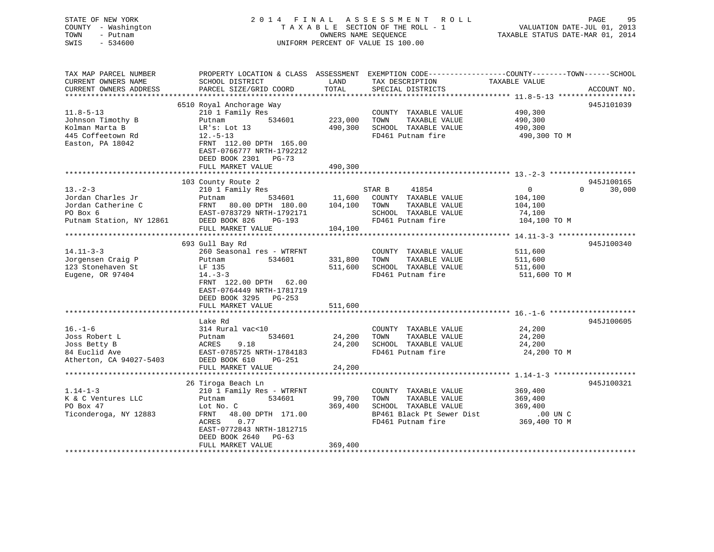### STATE OF NEW YORK 2 0 1 4 F I N A L A S S E S S M E N T R O L L PAGE 95 COUNTY - Washington T A X A B L E SECTION OF THE ROLL - 1 VALUATION DATE-JUL 01, 2013 TOWN - Putnam OWNERS NAME SEQUENCE TAXABLE STATUS DATE-MAR 01, 2014 SWIS - 534600 UNIFORM PERCENT OF VALUE IS 100.00

| TAX MAP PARCEL NUMBER    | PROPERTY LOCATION & CLASS ASSESSMENT EXEMPTION CODE---------------COUNTY-------TOWN-----SCHOOL |         |                           |               |                        |
|--------------------------|------------------------------------------------------------------------------------------------|---------|---------------------------|---------------|------------------------|
| CURRENT OWNERS NAME      | SCHOOL DISTRICT                                                                                | LAND    | TAX DESCRIPTION           | TAXABLE VALUE |                        |
| CURRENT OWNERS ADDRESS   | PARCEL SIZE/GRID COORD                                                                         | TOTAL   | SPECIAL DISTRICTS         |               | ACCOUNT NO.            |
|                          |                                                                                                |         |                           |               |                        |
|                          | 6510 Royal Anchorage Way                                                                       |         |                           |               | 945J101039             |
| $11.8 - 5 - 13$          | 210 1 Family Res                                                                               |         | COUNTY TAXABLE VALUE      | 490,300       |                        |
| Johnson Timothy B        | 534601<br>Putnam                                                                               | 223,000 | TOWN<br>TAXABLE VALUE     | 490,300       |                        |
| Kolman Marta B           | LR's: Lot 13                                                                                   | 490,300 | SCHOOL TAXABLE VALUE      | 490,300       |                        |
| 445 Coffeetown Rd        | $12.-5-13$                                                                                     |         | FD461 Putnam fire         | 490,300 TO M  |                        |
| Easton, PA 18042         | FRNT 112.00 DPTH 165.00                                                                        |         |                           |               |                        |
|                          | EAST-0766777 NRTH-1792212                                                                      |         |                           |               |                        |
|                          | DEED BOOK 2301 PG-73                                                                           |         |                           |               |                        |
|                          | FULL MARKET VALUE                                                                              | 490,300 |                           |               |                        |
|                          |                                                                                                |         |                           |               |                        |
|                          | 103 County Route 2                                                                             |         |                           |               | 945J100165<br>$\Omega$ |
| $13 - 2 - 3$             | 210 1 Family Res                                                                               |         | STAR B<br>41854           | $\mathbf{0}$  | 30,000                 |
| Jordan Charles Jr        | Putnam<br>534601                                                                               | 11,600  | COUNTY TAXABLE VALUE      | 104,100       |                        |
| Jordan Catherine C       | FRNT<br>80.00 DPTH 180.00                                                                      | 104,100 | TOWN<br>TAXABLE VALUE     | 104,100       |                        |
| PO Box 6                 | EAST-0783729 NRTH-1792171                                                                      |         | SCHOOL TAXABLE VALUE      | 74,100        |                        |
| Putnam Station, NY 12861 | DEED BOOK 826<br>PG-193                                                                        |         | FD461 Putnam fire         | 104,100 TO M  |                        |
|                          | FULL MARKET VALUE                                                                              | 104,100 |                           |               |                        |
|                          |                                                                                                |         |                           |               |                        |
|                          | 693 Gull Bay Rd                                                                                |         |                           |               | 945J100340             |
| $14.11 - 3 - 3$          | 260 Seasonal res - WTRFNT                                                                      |         | COUNTY TAXABLE VALUE      | 511,600       |                        |
| Jorgensen Craig P        | 534601<br>Putnam                                                                               | 331,800 | TOWN<br>TAXABLE VALUE     | 511,600       |                        |
| 123 Stonehaven St        | LF 135                                                                                         | 511,600 | SCHOOL TAXABLE VALUE      | 511,600       |                        |
| Eugene, OR 97404         | $14. - 3 - 3$                                                                                  |         | FD461 Putnam fire         | 511,600 TO M  |                        |
|                          | FRNT 122.00 DPTH 62.00                                                                         |         |                           |               |                        |
|                          | EAST-0764449 NRTH-1781719                                                                      |         |                           |               |                        |
|                          | DEED BOOK 3295 PG-253                                                                          |         |                           |               |                        |
|                          | FULL MARKET VALUE                                                                              | 511,600 |                           |               |                        |
|                          |                                                                                                |         |                           |               |                        |
|                          | Lake Rd                                                                                        |         |                           |               | 945J100605             |
| $16. - 1 - 6$            | 314 Rural vac<10                                                                               |         | COUNTY TAXABLE VALUE      | 24,200        |                        |
| Joss Robert L            | 534601<br>Putnam                                                                               | 24,200  | TOWN<br>TAXABLE VALUE     | 24,200        |                        |
| Joss Betty B             | ACRES<br>9.18                                                                                  | 24,200  | SCHOOL TAXABLE VALUE      | 24,200        |                        |
| 84 Euclid Ave            | EAST-0785725 NRTH-1784183                                                                      |         | FD461 Putnam fire         | 24,200 TO M   |                        |
| Atherton, CA 94027-5403  | DEED BOOK 610<br>PG-251                                                                        |         |                           |               |                        |
|                          | FULL MARKET VALUE                                                                              | 24,200  |                           |               |                        |
|                          |                                                                                                |         |                           |               |                        |
|                          | 26 Tiroga Beach Ln                                                                             |         |                           |               | 945J100321             |
| $1.14 - 1 - 3$           | 210 1 Family Res - WTRFNT                                                                      |         | COUNTY TAXABLE VALUE      | 369,400       |                        |
| K & C Ventures LLC       | 534601<br>Putnam                                                                               | 99,700  | TAXABLE VALUE<br>TOWN     | 369,400       |                        |
| PO Box 47                | Lot No. C                                                                                      | 369,400 | SCHOOL TAXABLE VALUE      | 369,400       |                        |
| Ticonderoga, NY 12883    | 48.00 DPTH 171.00<br>FRNT                                                                      |         | BP461 Black Pt Sewer Dist | .00 UN C      |                        |
|                          | ACRES<br>0.77                                                                                  |         | FD461 Putnam fire         | 369,400 TO M  |                        |
|                          | EAST-0772843 NRTH-1812715                                                                      |         |                           |               |                        |
|                          | DEED BOOK 2640<br>$PG-63$                                                                      |         |                           |               |                        |
|                          | FULL MARKET VALUE                                                                              | 369,400 |                           |               |                        |
|                          |                                                                                                |         |                           |               |                        |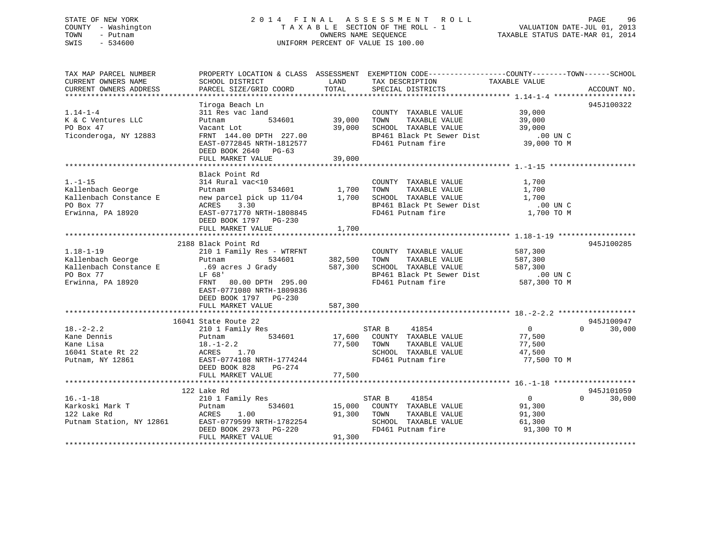### STATE OF NEW YORK 2 0 1 4 F I N A L A S S E S S M E N T R O L L PAGE 96 COUNTY - Washington T A X A B L E SECTION OF THE ROLL - 1 VALUATION DATE-JUL 01, 2013 TOWN - Putnam OWNERS NAME SEQUENCE TAXABLE STATUS DATE-MAR 01, 2014 SWIS - 534600 UNIFORM PERCENT OF VALUE IS 100.00

| TAX MAP PARCEL NUMBER<br>CURRENT OWNERS NAME | SCHOOL DISTRICT                                                        | LAND                    | PROPERTY LOCATION & CLASS ASSESSMENT EXEMPTION CODE----------------COUNTY-------TOWN-----SCHOOL<br>TAX DESCRIPTION | TAXABLE VALUE                       |                    |
|----------------------------------------------|------------------------------------------------------------------------|-------------------------|--------------------------------------------------------------------------------------------------------------------|-------------------------------------|--------------------|
| CURRENT OWNERS ADDRESS                       | PARCEL SIZE/GRID COORD                                                 | TOTAL                   | SPECIAL DISTRICTS                                                                                                  |                                     | ACCOUNT NO.        |
|                                              | Tiroga Beach Ln                                                        |                         |                                                                                                                    |                                     | 945J100322         |
| $1.14 - 1 - 4$                               | 311 Res vac land                                                       |                         | COUNTY TAXABLE VALUE                                                                                               | 39,000                              |                    |
| K & C Ventures LLC                           | 534601<br>Putnam                                                       | 39,000                  | TAXABLE VALUE<br>TOWN                                                                                              | 39,000                              |                    |
| PO Box 47                                    | Vacant Lot                                                             |                         | 39,000 SCHOOL TAXABLE VALUE                                                                                        | 39,000                              |                    |
| Ticonderoga, NY 12883                        | FRNT 144.00 DPTH 227.00                                                |                         | BP461 Black Pt Sewer Dist                                                                                          | .00 UN C<br>00 UN C.<br>39,000 TO M |                    |
|                                              | EAST-0772845 NRTH-1812577<br>DEED BOOK 2640 PG-63<br>FULL MARKET VALUE | 39,000                  | FD461 Putnam fire                                                                                                  |                                     |                    |
|                                              |                                                                        |                         |                                                                                                                    |                                     |                    |
|                                              | Black Point Rd                                                         |                         |                                                                                                                    |                                     |                    |
| $1. - 1 - 15$                                | 314 Rural vac<10                                                       |                         | COUNTY TAXABLE VALUE                                                                                               | 1,700                               |                    |
| Kallenbach George                            | 534601<br>Putnam                                                       | 1,700 TOWN              | TAXABLE VALUE                                                                                                      | 1,700                               |                    |
| Kallenbach Constance E                       | new parcel pick up 11/04 1,700 SCHOOL TAXABLE VALUE                    |                         |                                                                                                                    | 1,700                               |                    |
| PO Box 77                                    | ACRES<br>3.30                                                          |                         | BP461 Black Pt Sewer Dist                                                                                          | .00 UN C                            |                    |
| Erwinna, PA 18920                            | EAST-0771770 NRTH-1808845                                              |                         | FD461 Putnam fire                                                                                                  | 1,700 TO M                          |                    |
|                                              | DEED BOOK 1797 PG-230                                                  |                         |                                                                                                                    |                                     |                    |
|                                              | FULL MARKET VALUE                                                      | 1,700                   |                                                                                                                    |                                     |                    |
|                                              |                                                                        |                         |                                                                                                                    |                                     |                    |
|                                              | 2188 Black Point Rd                                                    |                         |                                                                                                                    |                                     | 945J100285         |
| $1.18 - 1 - 19$                              | 210 1 Family Res - WTRFNT                                              |                         | COUNTY TAXABLE VALUE                                                                                               | 587,300                             |                    |
| Kallenbach George                            | Putnam                                                                 | $534601$ $382,500$ TOWN | TAXABLE VALUE                                                                                                      | 587,300                             |                    |
|                                              | Kallenbach Constance E .69 acres J Grady                               |                         | 587,300 SCHOOL TAXABLE VALUE                                                                                       | 587,300                             |                    |
| PO Box 77                                    | LF 68'                                                                 |                         | BP461 Black Pt Sewer Dist                                                                                          | $.00$ UN C                          |                    |
| Erwinna, PA 18920                            | FRNT 80.00 DPTH 295.00                                                 |                         | FD461 Putnam fire                                                                                                  | 587,300 TO M                        |                    |
|                                              | EAST-0771080 NRTH-1809836                                              |                         |                                                                                                                    |                                     |                    |
|                                              | DEED BOOK 1797 PG-230                                                  |                         |                                                                                                                    |                                     |                    |
|                                              | FULL MARKET VALUE                                                      | 587,300                 |                                                                                                                    |                                     |                    |
|                                              | 16041 State Route 22                                                   |                         |                                                                                                                    |                                     | 945J100947         |
| $18. - 2 - 2.2$                              | 210 1 Family Res                                                       |                         | STAR B<br>41854                                                                                                    | $\overline{0}$                      | 30,000<br>$\Omega$ |
| Kane Dennis                                  | 534601<br>Putnam                                                       |                         | 17,600 COUNTY TAXABLE VALUE                                                                                        | 77,500                              |                    |
| Kane Lisa                                    | Риспат<br>18.–1–2.2                                                    | 77,500                  | TOWN<br>TAXABLE VALUE                                                                                              | 77,500                              |                    |
| 16041 State Rt 22                            | ACRES 1.70                                                             |                         | SCHOOL TAXABLE VALUE                                                                                               | 47,500                              |                    |
| Putnam, NY 12861                             | EAST-0774108 NRTH-1774244                                              |                         | FD461 Putnam fire                                                                                                  | 77,500 TO M                         |                    |
|                                              | DEED BOOK 828<br>PG-274                                                |                         |                                                                                                                    |                                     |                    |
|                                              | FULL MARKET VALUE                                                      | 77,500                  |                                                                                                                    |                                     |                    |
|                                              |                                                                        |                         |                                                                                                                    |                                     |                    |
|                                              | 122 Lake Rd                                                            |                         |                                                                                                                    |                                     | 945J101059         |
| $16. - 1 - 18$                               | 210 1 Family Res                                                       |                         | 41854<br>STAR B                                                                                                    | $\overline{0}$                      | $\Omega$<br>30,000 |
| Karkoski Mark T                              | 534601<br>Putnam                                                       | 15,000                  | COUNTY TAXABLE VALUE                                                                                               | 91,300                              |                    |
| 122 Lake Rd                                  | ACRES<br>1.00                                                          | 91,300                  | TAXABLE VALUE<br>TOWN                                                                                              | 91,300                              |                    |
| 122 Lake Rd<br>Putnam Station, NY 12861      | EAST-0779599 NRTH-1782254                                              |                         | SCHOOL TAXABLE VALUE                                                                                               | 61,300                              |                    |
|                                              | DEED BOOK 2973 PG-220                                                  |                         | FD461 Putnam fire                                                                                                  | 91,300 TO M                         |                    |
|                                              | FULL MARKET VALUE                                                      | 91,300                  |                                                                                                                    |                                     |                    |
|                                              |                                                                        |                         |                                                                                                                    |                                     |                    |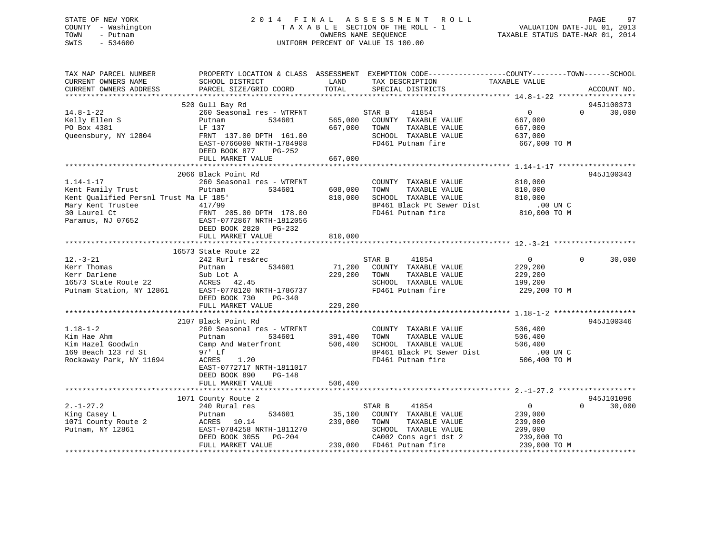### STATE OF NEW YORK 2 0 1 4 F I N A L A S S E S S M E N T R O L L PAGE 97 COUNTY - Washington T A X A B L E SECTION OF THE ROLL - 1 VALUATION DATE-JUL 01, 2013 TOWN - Putnam OWNERS NAME SEQUENCE TAXABLE STATUS DATE-MAR 01, 2014 SWIS - 534600 UNIFORM PERCENT OF VALUE IS 100.00

| TAX MAP PARCEL NUMBER<br>CURRENT OWNERS NAME<br>CURRENT OWNERS ADDRESS                                                                   | PROPERTY LOCATION & CLASS ASSESSMENT<br>SCHOOL DISTRICT<br>PARCEL SIZE/GRID COORD                                                                                  | LAND<br>TOTAL                | EXEMPTION CODE-----------------COUNTY-------TOWN------SCHOOL<br>TAX DESCRIPTION<br>SPECIAL DISTRICTS                                   | TAXABLE VALUE                                                              | ACCOUNT NO.                      |
|------------------------------------------------------------------------------------------------------------------------------------------|--------------------------------------------------------------------------------------------------------------------------------------------------------------------|------------------------------|----------------------------------------------------------------------------------------------------------------------------------------|----------------------------------------------------------------------------|----------------------------------|
|                                                                                                                                          |                                                                                                                                                                    |                              |                                                                                                                                        |                                                                            |                                  |
|                                                                                                                                          | 520 Gull Bay Rd                                                                                                                                                    |                              |                                                                                                                                        |                                                                            | 945J100373                       |
| $14.8 - 1 - 22$<br>Kelly Ellen S<br>PO Box 4381<br>Queensbury, NY 12804                                                                  | 260 Seasonal res - WTRFNT<br>534601<br>Putnam<br>LF 137<br>FRNT 137.00 DPTH 161.00<br>EAST-0766000 NRTH-1784908<br>DEED BOOK 877<br>PG-252                         | 565,000<br>667,000           | STAR B<br>41854<br>COUNTY TAXABLE VALUE<br>TOWN<br>TAXABLE VALUE<br>SCHOOL TAXABLE VALUE<br>FD461 Putnam fire                          | $\overline{0}$<br>667,000<br>667,000<br>637,000<br>667,000 TO M            | $\Omega$<br>30,000               |
|                                                                                                                                          | FULL MARKET VALUE                                                                                                                                                  | 667,000                      |                                                                                                                                        |                                                                            |                                  |
|                                                                                                                                          |                                                                                                                                                                    |                              |                                                                                                                                        |                                                                            |                                  |
| $1.14 - 1 - 17$<br>Kent Family Trust<br>Kent Oualified Persnl Trust Ma LF 185'<br>Mary Kent Trustee<br>30 Laurel Ct<br>Paramus, NJ 07652 | 2066 Black Point Rd<br>260 Seasonal res - WTRFNT<br>Putnam<br>534601<br>417/99<br>FRNT 205.00 DPTH 178.00<br>EAST-0772867 NRTH-1812056<br>DEED BOOK 2820<br>PG-232 | 608,000<br>810,000           | COUNTY TAXABLE VALUE<br>TOWN<br>TAXABLE VALUE<br>SCHOOL TAXABLE VALUE<br>BP461 Black Pt Sewer Dist<br>FD461 Putnam fire                | 810,000<br>810,000<br>810,000<br>.00 UN C<br>810,000 TO M                  | 945J100343                       |
|                                                                                                                                          | FULL MARKET VALUE                                                                                                                                                  | 810,000                      |                                                                                                                                        |                                                                            |                                  |
|                                                                                                                                          | 16573 State Route 22                                                                                                                                               |                              |                                                                                                                                        |                                                                            |                                  |
| $12.-3-21$<br>Kerr Thomas<br>Kerr Darlene<br>16573 State Route 22<br>Putnam Station, NY 12861                                            | 242 Rurl res&rec<br>534601<br>Putnam<br>Sub Lot A<br>ACRES 42.45<br>EAST-0778120 NRTH-1786737<br>DEED BOOK 730<br>PG-340                                           | 71,200<br>229,200            | STAR B<br>41854<br>COUNTY TAXABLE VALUE<br>TAXABLE VALUE<br>TOWN<br>SCHOOL TAXABLE VALUE<br>FD461 Putnam fire                          | $\overline{0}$<br>229,200<br>229,200<br>199,200<br>229,200 TO M            | 30,000<br>$\Omega$               |
|                                                                                                                                          | FULL MARKET VALUE                                                                                                                                                  | 229,200                      |                                                                                                                                        |                                                                            |                                  |
| $1.18 - 1 - 2$                                                                                                                           | 2107 Black Point Rd<br>260 Seasonal res - WTRFNT                                                                                                                   |                              | COUNTY TAXABLE VALUE                                                                                                                   | 506,400                                                                    | 945J100346                       |
| Kim Hae Ahm<br>Kim Hazel Goodwin<br>169 Beach 123 rd St<br>Rockaway Park, NY 11694                                                       | Putnam<br>534601<br>Camp And Waterfront<br>97' Lf<br>ACRES<br>1.20<br>EAST-0772717 NRTH-1811017<br>DEED BOOK 890<br>PG-148                                         | 391,400<br>506,400           | TOWN<br>TAXABLE VALUE<br>SCHOOL TAXABLE VALUE<br>BP461 Black Pt Sewer Dist<br>FD461 Putnam fire                                        | 506,400<br>506,400<br>$.00$ UN $C$<br>506,400 TO M                         |                                  |
|                                                                                                                                          | FULL MARKET VALUE                                                                                                                                                  | 506,400                      |                                                                                                                                        |                                                                            |                                  |
|                                                                                                                                          |                                                                                                                                                                    |                              |                                                                                                                                        |                                                                            |                                  |
| $2. -1 - 27.2$<br>King Casey L<br>1071 County Route 2<br>Putnam, NY 12861                                                                | 1071 County Route 2<br>240 Rural res<br>534601<br>Putnam<br>10.14<br>ACRES<br>EAST-0784258 NRTH-1811270<br>DEED BOOK 3055<br>PG-204<br>FULL MARKET VALUE           | 35,100<br>239,000<br>239,000 | 41854<br>STAR B<br>COUNTY TAXABLE VALUE<br>TOWN<br>TAXABLE VALUE<br>SCHOOL TAXABLE VALUE<br>CA002 Cons agri dst 2<br>FD461 Putnam fire | $\mathbf 0$<br>239,000<br>239,000<br>209,000<br>239,000 TO<br>239,000 TO M | 945J101096<br>$\Omega$<br>30,000 |
|                                                                                                                                          |                                                                                                                                                                    |                              |                                                                                                                                        |                                                                            |                                  |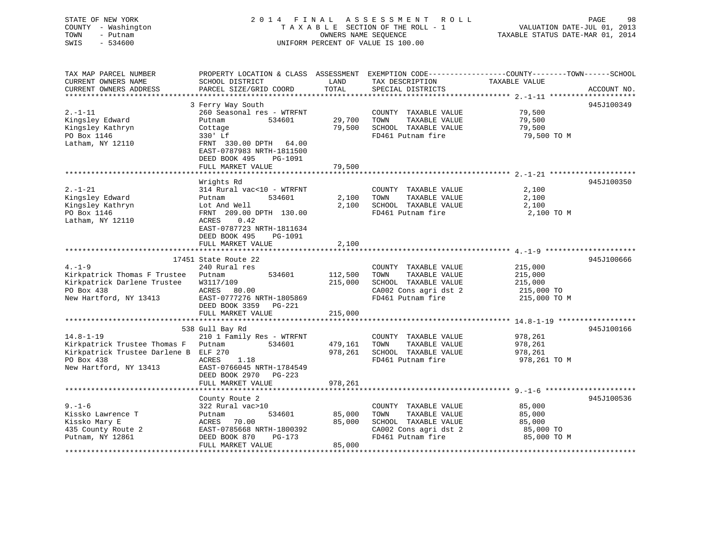# COUNTY - Washington  $T A X A B L E$  SECTION OF THE ROLL - 1<br>TOWN - Putnam data of the COUNTERS NAME SEQUENCE SWIS - 534600 UNIFORM PERCENT OF VALUE IS 100.00

TAXABLE STATUS DATE-MAR 01, 2014

| TAX MAP PARCEL NUMBER                 | PROPERTY LOCATION & CLASS ASSESSMENT EXEMPTION CODE----------------COUNTY-------TOWN------SCHOOL |         |                       |               |             |
|---------------------------------------|--------------------------------------------------------------------------------------------------|---------|-----------------------|---------------|-------------|
| CURRENT OWNERS NAME                   | SCHOOL DISTRICT                                                                                  | LAND    | TAX DESCRIPTION       | TAXABLE VALUE |             |
| CURRENT OWNERS ADDRESS                | PARCEL SIZE/GRID COORD                                                                           | TOTAL   | SPECIAL DISTRICTS     |               | ACCOUNT NO. |
|                                       |                                                                                                  |         |                       |               |             |
|                                       | 3 Ferry Way South                                                                                |         |                       |               | 945J100349  |
| $2. - 1 - 11$                         | 260 Seasonal res - WTRFNT                                                                        |         | COUNTY TAXABLE VALUE  | 79,500        |             |
| Kingsley Edward                       | 534601<br>Putnam                                                                                 | 29,700  | TAXABLE VALUE<br>TOWN | 79,500        |             |
| Kingsley Kathryn                      | Cottage                                                                                          | 79,500  | SCHOOL TAXABLE VALUE  | 79,500        |             |
| PO Box 1146                           | 330' Lf                                                                                          |         | FD461 Putnam fire     | 79,500 TO M   |             |
| Latham, NY 12110                      | FRNT 330.00 DPTH 64.00                                                                           |         |                       |               |             |
|                                       | EAST-0787983 NRTH-1811500                                                                        |         |                       |               |             |
|                                       | DEED BOOK 495<br>PG-1091                                                                         |         |                       |               |             |
|                                       | FULL MARKET VALUE                                                                                | 79,500  |                       |               |             |
|                                       |                                                                                                  |         |                       |               |             |
|                                       | Wrights Rd                                                                                       |         |                       |               | 945J100350  |
| $2. - 1 - 21$                         | 314 Rural vac<10 - WTRFNT                                                                        |         | COUNTY TAXABLE VALUE  | 2,100         |             |
| Kingsley Edward                       | 534601<br>Putnam                                                                                 | 2,100   | TOWN<br>TAXABLE VALUE | 2,100         |             |
| Kingsley Kathryn                      | Lot And Well                                                                                     | 2,100   | SCHOOL TAXABLE VALUE  | 2,100         |             |
| PO Box 1146                           | FRNT 209.00 DPTH 130.00                                                                          |         | FD461 Putnam fire     | 2,100 TO M    |             |
| Latham, NY 12110                      | ACRES<br>0.42                                                                                    |         |                       |               |             |
|                                       | EAST-0787723 NRTH-1811634                                                                        |         |                       |               |             |
|                                       | DEED BOOK 495<br>PG-1091                                                                         |         |                       |               |             |
|                                       | FULL MARKET VALUE                                                                                | 2,100   |                       |               |             |
|                                       |                                                                                                  |         |                       |               |             |
|                                       | 17451 State Route 22                                                                             |         |                       |               | 945J100666  |
| $4. - 1 - 9$                          | 240 Rural res                                                                                    |         | COUNTY TAXABLE VALUE  | 215,000       |             |
| Kirkpatrick Thomas F Trustee          | 534601<br>Putnam                                                                                 | 112,500 | TOWN<br>TAXABLE VALUE | 215,000       |             |
| Kirkpatrick Darlene Trustee           | W3117/109                                                                                        | 215,000 | SCHOOL TAXABLE VALUE  | 215,000       |             |
| PO Box 438                            | ACRES 80.00                                                                                      |         | CA002 Cons agri dst 2 | 215,000 TO    |             |
| New Hartford, NY 13413                | EAST-0777276 NRTH-1805869                                                                        |         | FD461 Putnam fire     | 215,000 TO M  |             |
|                                       | DEED BOOK 3359 PG-221                                                                            |         |                       |               |             |
|                                       | FULL MARKET VALUE                                                                                | 215,000 |                       |               |             |
|                                       |                                                                                                  |         |                       |               |             |
|                                       | 538 Gull Bay Rd                                                                                  |         |                       |               | 945J100166  |
| $14.8 - 1 - 19$                       | 210 1 Family Res - WTRFNT                                                                        |         | COUNTY TAXABLE VALUE  | 978,261       |             |
| Kirkpatrick Trustee Thomas F          | 534601<br>Putnam                                                                                 | 479,161 | TOWN<br>TAXABLE VALUE | 978,261       |             |
| Kirkpatrick Trustee Darlene B ELF 270 |                                                                                                  | 978,261 | SCHOOL TAXABLE VALUE  | 978,261       |             |
| PO Box 438                            | ACRES<br>1.18                                                                                    |         | FD461 Putnam fire     | 978,261 TO M  |             |
| New Hartford, NY 13413                | EAST-0766045 NRTH-1784549                                                                        |         |                       |               |             |
|                                       |                                                                                                  |         |                       |               |             |
|                                       | DEED BOOK 2970 PG-223<br>FULL MARKET VALUE                                                       | 978,261 |                       |               |             |
|                                       |                                                                                                  |         |                       |               |             |
|                                       |                                                                                                  |         |                       |               |             |
|                                       | County Route 2                                                                                   |         |                       |               | 945J100536  |
| $9. - 1 - 6$                          | 322 Rural vac>10                                                                                 |         | COUNTY TAXABLE VALUE  | 85,000        |             |
| Kissko Lawrence T                     | 534601<br>Putnam                                                                                 | 85,000  | TAXABLE VALUE<br>TOWN | 85,000        |             |
| Kissko Mary E                         | ACRES<br>70.00                                                                                   | 85,000  | SCHOOL TAXABLE VALUE  | 85,000        |             |
| 435 County Route 2                    | EAST-0785668 NRTH-1800392                                                                        |         | CA002 Cons agri dst 2 | 85,000 TO     |             |
| Putnam, NY 12861                      | DEED BOOK 870<br>PG-173                                                                          |         | FD461 Putnam fire     | 85,000 TO M   |             |
|                                       | FULL MARKET VALUE                                                                                | 85,000  |                       |               |             |
|                                       |                                                                                                  |         |                       |               |             |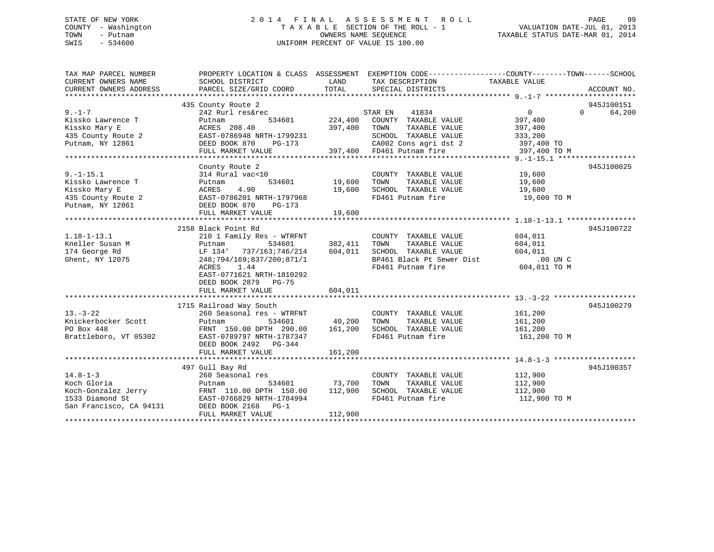### STATE OF NEW YORK 2 0 1 4 F I N A L A S S E S S M E N T R O L L PAGE 99 COUNTY - Washington T A X A B L E SECTION OF THE ROLL - 1 VALUATION DATE-JUL 01, 2013 TOWN - Putnam OWNERS NAME SEQUENCE TAXABLE STATUS DATE-MAR 01, 2014 SWIS - 534600 UNIFORM PERCENT OF VALUE IS 100.00

| TAX MAP PARCEL NUMBER<br>CURRENT OWNERS NAME              | SCHOOL DISTRICT                                              | LAND          | PROPERTY LOCATION & CLASS ASSESSMENT EXEMPTION CODE---------------COUNTY-------TOWN------SCHOOL<br>TAX DESCRIPTION | TAXABLE VALUE           |                    |
|-----------------------------------------------------------|--------------------------------------------------------------|---------------|--------------------------------------------------------------------------------------------------------------------|-------------------------|--------------------|
| CURRENT OWNERS ADDRESS                                    | PARCEL SIZE/GRID COORD                                       | TOTAL         | SPECIAL DISTRICTS                                                                                                  |                         | ACCOUNT NO.        |
|                                                           | 435 County Route 2                                           |               |                                                                                                                    |                         | 945J100151         |
| $9. - 1 - 7$                                              | 242 Rurl res&rec                                             |               | STAR EN<br>41834                                                                                                   | $\overline{0}$          | $\Omega$<br>64,200 |
| Kissko Lawrence T                                         | 534601<br>Putnam                                             | 224,400       | COUNTY TAXABLE VALUE                                                                                               | 397,400                 |                    |
| Kissko Mary E                                             | ACRES 208.40                                                 | 397,400       | TOWN<br>TAXABLE VALUE                                                                                              | 397,400                 |                    |
| 435 County Route 2                                        | EAST-0786948 NRTH-1799231                                    |               | SCHOOL TAXABLE VALUE                                                                                               | 333,200                 |                    |
| Putnam, NY 12861                                          | DEED BOOK 870<br>PG-173                                      |               |                                                                                                                    | 397,400 TO              |                    |
|                                                           | FULL MARKET VALUE                                            |               | CA002 Cons agri dst 2<br>397,400 FD461 Putnam fire                                                                 | 397,400 TO M            |                    |
|                                                           |                                                              |               |                                                                                                                    |                         |                    |
|                                                           | County Route 2                                               |               |                                                                                                                    |                         | 945J100025         |
| $9. - 1 - 15.1$                                           | 314 Rural vac<10                                             |               | COUNTY TAXABLE VALUE 19,600                                                                                        |                         |                    |
| Kissko Lawrence T                                         | 534601<br>Putnam                                             | 19,600        |                                                                                                                    | 19,600                  |                    |
| Kissko Mary E                                             | ACRES<br>4.90                                                | 19,600        | TOWN      TAXABLE VALUE<br>SCHOOL   TAXABLE VALUE                                                                  | 19,600                  |                    |
| 435 County Route 2                                        | EAST-0786201 NRTH-1797968                                    |               | FD461 Putnam fire                                                                                                  | 19,600 TO M             |                    |
| Putnam, NY 12861                                          | DEED BOOK 870<br>PG-173                                      |               |                                                                                                                    |                         |                    |
|                                                           | FULL MARKET VALUE                                            | 19,600        |                                                                                                                    |                         |                    |
|                                                           |                                                              |               |                                                                                                                    |                         |                    |
|                                                           | 2158 Black Point Rd                                          |               |                                                                                                                    |                         | 945J100722         |
| $1.18 - 1 - 13.1$                                         | 210 1 Family Res - WTRFNT                                    |               | COUNTY TAXABLE VALUE                                                                                               | 604,011                 |                    |
| Kneller Susan M                                           | 534601                                                       | 382,411       | TOWN<br>TAXABLE VALUE                                                                                              | 604,011                 |                    |
| 174 George Rd                                             |                                                              | 604,011       | SCHOOL TAXABLE VALUE                                                                                               | 604,011                 |                    |
| Ghent, NY 12075                                           | 248;794/169;837/200;871/1                                    |               | BP461 Black Pt Sewer Dist .00 UN C                                                                                 |                         |                    |
|                                                           | 1.44<br>ACRES                                                |               | FD461 Putnam fire                                                                                                  | 604,011 TO M            |                    |
|                                                           | EAST-0771621 NRTH-1810292                                    |               |                                                                                                                    |                         |                    |
|                                                           | DEED BOOK 2879 PG-75                                         |               |                                                                                                                    |                         |                    |
|                                                           | FULL MARKET VALUE                                            | 604,011       |                                                                                                                    |                         |                    |
|                                                           |                                                              |               |                                                                                                                    |                         |                    |
|                                                           | 1715 Railroad Way South                                      |               |                                                                                                                    |                         | 945J100279         |
| $13 - 3 - 22$                                             | 260 Seasonal res - WTRFNT                                    |               | COUNTY TAXABLE VALUE                                                                                               | 161,200                 |                    |
| Knickerbocker Scott                                       | 534601<br>Putnam                                             | 40,200        | TOWN<br>TAXABLE VALUE                                                                                              | 161,200                 |                    |
| PO Box 448                                                | FRNT 150.00 DPTH 290.00                                      | 161,200       | SCHOOL TAXABLE VALUE                                                                                               | 161,200                 |                    |
| Brattleboro, VT 05302                                     | EAST-0789797 NRTH-1787347                                    |               | FD461 Putnam fire                                                                                                  | 161,200 TO M            |                    |
|                                                           | DEED BOOK 2492 PG-344                                        |               |                                                                                                                    |                         |                    |
|                                                           | FULL MARKET VALUE                                            | 161,200       |                                                                                                                    |                         |                    |
|                                                           |                                                              |               |                                                                                                                    |                         |                    |
|                                                           | 497 Gull Bay Rd                                              |               |                                                                                                                    |                         | 945J100357         |
| $14.8 - 1 - 3$                                            | 260 Seasonal res                                             |               | COUNTY TAXABLE VALUE                                                                                               | 112,900                 |                    |
| Koch Gloria                                               | Putnam                                                       | 534601 73,700 | TOWN<br>TAXABLE VALUE                                                                                              | 112,900                 |                    |
| Koch-Gonzalez Jerry<br>1533 Diamond St<br>1533 Diamond St | FRNT 110.00 DPTH 150.00 112,900<br>EAST-0766829 NRTH-1784994 |               | SCHOOL TAXABLE VALUE<br>FD461 Putnam fire                                                                          | 112,900<br>112,900 TO M |                    |
| San Francisco, CA 94131                                   | DEED BOOK 2168<br>$PG-1$                                     |               |                                                                                                                    |                         |                    |
|                                                           | FULL MARKET VALUE                                            | 112,900       |                                                                                                                    |                         |                    |
|                                                           |                                                              |               |                                                                                                                    |                         |                    |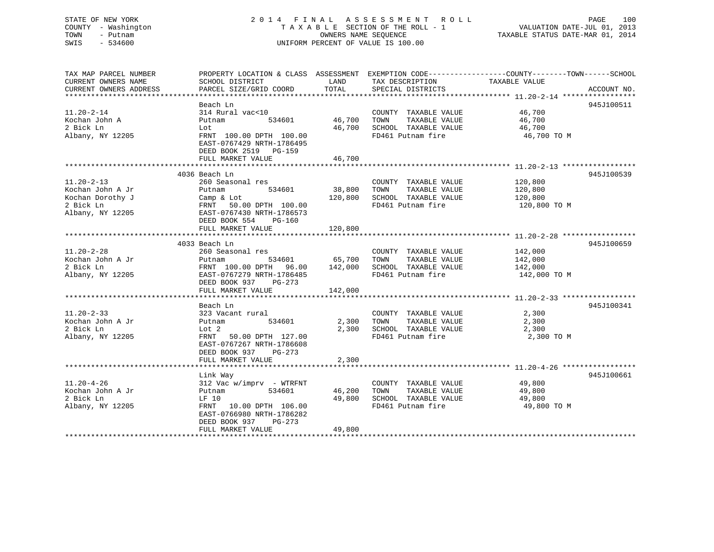### STATE OF NEW YORK 2 0 1 4 F I N A L A S S E S S M E N T R O L L PAGE 100 COUNTY - Washington T A X A B L E SECTION OF THE ROLL - 1 VALUATION DATE-JUL 01, 2013 TOWN - Putnam OWNERS NAME SEQUENCE TAXABLE STATUS DATE-MAR 01, 2014 SWIS - 534600 UNIFORM PERCENT OF VALUE IS 100.00

TAX MAP PARCEL NUMBER PROPERTY LOCATION & CLASS ASSESSMENT EXEMPTION CODE------------------COUNTY--------TOWN------SCHOOL

CURRENT OWNERS NAME SCHOOL DISTRICT THE LAND TAX DESCRIPTION TAXABLE VALUE CURRENT OWNERS ADDRESS PARCEL SIZE/GRID COORD TOTAL SPECIAL DISTRICTS ACCOUNT NO. \*\*\*\*\*\*\*\*\*\*\*\*\*\*\*\*\*\*\*\*\*\*\*\*\*\*\*\*\*\*\*\*\*\*\*\*\*\*\*\*\*\*\*\*\*\*\*\*\*\*\*\*\*\*\*\*\*\*\*\*\*\*\*\*\*\*\*\*\*\*\*\*\*\*\*\*\*\*\*\*\*\*\*\*\*\*\*\*\*\*\*\*\*\*\*\*\*\*\*\*\*\*\* 11.20-2-14 \*\*\*\*\*\*\*\*\*\*\*\*\*\*\*\*\* Beach Ln 945J10051111.20-2-14 314 Rural vac<10 COUNTY TAXABLE VALUE 46,700 Kochan John A Putnam 534601 46,700 TOWN TAXABLE VALUE 46,700 2 Bick Ln Lot 46,700 SCHOOL TAXABLE VALUE 46,700 Albany, NY 12205 FRNT 100.00 DPTH 100.00 FRNT 100.00 FD461 Putnam fire 46,700 TO M EAST-0767429 NRTH-1786495 DEED BOOK 2519 PG-159 FULL MARKET VALUE 46,700 \*\*\*\*\*\*\*\*\*\*\*\*\*\*\*\*\*\*\*\*\*\*\*\*\*\*\*\*\*\*\*\*\*\*\*\*\*\*\*\*\*\*\*\*\*\*\*\*\*\*\*\*\*\*\*\*\*\*\*\*\*\*\*\*\*\*\*\*\*\*\*\*\*\*\*\*\*\*\*\*\*\*\*\*\*\*\*\*\*\*\*\*\*\*\*\*\*\*\*\*\*\*\* 11.20-2-13 \*\*\*\*\*\*\*\*\*\*\*\*\*\*\*\*\* 4036 Beach Ln 945J10053911.20-2-13 260 Seasonal res COUNTY TAXABLE VALUE 120,800 Kochan John A Jr Putnam 534601 38,800 TOWN TAXABLE VALUE 120,800 Kochan Dorothy J Camp & Lot 120,800 SCHOOL TAXABLE VALUE 120,800 2 Bick Ln FRNT 50.00 DPTH 100.00 FD461 Putnam fire 120,800 TO M Albany, NY 12205 EAST-0767430 NRTH-1786573 DEED BOOK 554 PG-160 FULL MARKET VALUE 120,800 \*\*\*\*\*\*\*\*\*\*\*\*\*\*\*\*\*\*\*\*\*\*\*\*\*\*\*\*\*\*\*\*\*\*\*\*\*\*\*\*\*\*\*\*\*\*\*\*\*\*\*\*\*\*\*\*\*\*\*\*\*\*\*\*\*\*\*\*\*\*\*\*\*\*\*\*\*\*\*\*\*\*\*\*\*\*\*\*\*\*\*\*\*\*\*\*\*\*\*\*\*\*\* 11.20-2-28 \*\*\*\*\*\*\*\*\*\*\*\*\*\*\*\*\* 4033 Beach Ln 945J10065911.20-2-28 260 Seasonal res COUNTY TAXABLE VALUE 142,000 Kochan John A Jr Putnam 534601 65,700 TOWN TAXABLE VALUE 142,000 2 Bick Ln FRNT 100.00 DPTH 96.00 142,000 SCHOOL TAXABLE VALUE 142,000 Albany, NY 12205 EAST-0767279 NRTH-1786485 FD461 Putnam fire 142,000 TO M DEED BOOK 937 PG-273FULL MARKET VALUE 142,000 \*\*\*\*\*\*\*\*\*\*\*\*\*\*\*\*\*\*\*\*\*\*\*\*\*\*\*\*\*\*\*\*\*\*\*\*\*\*\*\*\*\*\*\*\*\*\*\*\*\*\*\*\*\*\*\*\*\*\*\*\*\*\*\*\*\*\*\*\*\*\*\*\*\*\*\*\*\*\*\*\*\*\*\*\*\*\*\*\*\*\*\*\*\*\*\*\*\*\*\*\*\*\* 11.20-2-33 \*\*\*\*\*\*\*\*\*\*\*\*\*\*\*\*\* Beach Ln 945J10034111.20-2-33 323 Vacant rural COUNTY TAXABLE VALUE 2,300 Kochan John A Jr Putnam 534601 2,300 TOWN TAXABLE VALUE 2,300 2 Bick Ln Lot 2 2,300 SCHOOL TAXABLE VALUE 2,300 Albany, NY 12205 FRNT 50.00 DPTH 127.00 FD461 Putnam fire 2,300 TO M EAST-0767267 NRTH-1786608 DEED BOOK 937 PG-273FULL MARKET VALUE 2,300 \*\*\*\*\*\*\*\*\*\*\*\*\*\*\*\*\*\*\*\*\*\*\*\*\*\*\*\*\*\*\*\*\*\*\*\*\*\*\*\*\*\*\*\*\*\*\*\*\*\*\*\*\*\*\*\*\*\*\*\*\*\*\*\*\*\*\*\*\*\*\*\*\*\*\*\*\*\*\*\*\*\*\*\*\*\*\*\*\*\*\*\*\*\*\*\*\*\*\*\*\*\*\* 11.20-4-26 \*\*\*\*\*\*\*\*\*\*\*\*\*\*\*\*\* Link Way 945J100661 11.20-4-26 312 Vac w/imprv - WTRFNT COUNTY TAXABLE VALUE 49,800 Kochan John A Jr Putnam 534601 46,200 TOWN TAXABLE VALUE 49,800 2 Bick Ln LF 10 49,800 SCHOOL TAXABLE VALUE 49,800 Albany, NY 12205 FRNT 10.00 DPTH 106.00 FD461 Putnam fire 49,800 TO M EAST-0766980 NRTH-1786282 DEED BOOK 937 PG-273FULL MARKET VALUE 49,800 \*\*\*\*\*\*\*\*\*\*\*\*\*\*\*\*\*\*\*\*\*\*\*\*\*\*\*\*\*\*\*\*\*\*\*\*\*\*\*\*\*\*\*\*\*\*\*\*\*\*\*\*\*\*\*\*\*\*\*\*\*\*\*\*\*\*\*\*\*\*\*\*\*\*\*\*\*\*\*\*\*\*\*\*\*\*\*\*\*\*\*\*\*\*\*\*\*\*\*\*\*\*\*\*\*\*\*\*\*\*\*\*\*\*\*\*\*\*\*\*\*\*\*\*\*\*\*\*\*\*\*\*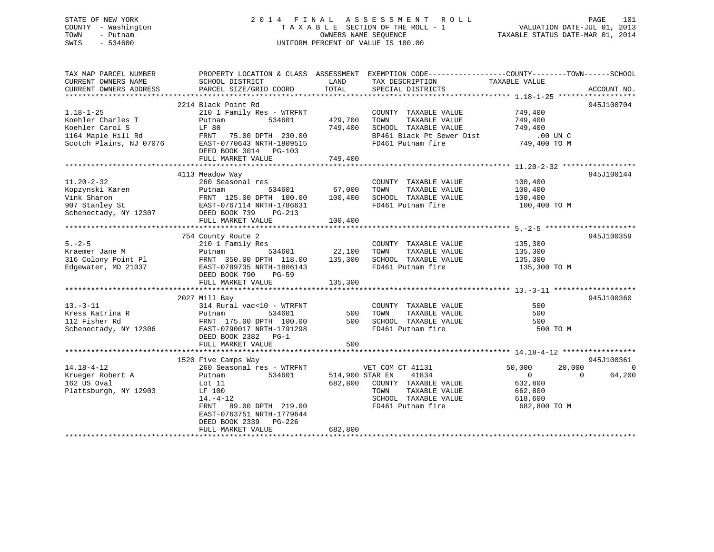#### STATE OF NEW YORK 2 0 1 4 F I N A L A S S E S S M E N T R O L L PAGE 101COUNTY - Washington T A X A B L E SECTION OF THE ROLL - 1 TOWN - Putnam **CONNERS NAME SEQUENCE** TAXABLE STATUS DATE-MAR 01, 2014 SWIS - 534600 UNIFORM PERCENT OF VALUE IS 100.00

VALUATION DATE-JUL 01, 2013

| TAX MAP PARCEL NUMBER<br>CURRENT OWNERS NAME                                                | SCHOOL DISTRICT                                                                                                                                                                                                                                                                                                              | LAND                          | PROPERTY LOCATION & CLASS ASSESSMENT EXEMPTION CODE---------------COUNTY-------TOWN------SCHOOL<br>TAX DESCRIPTION                                                                                         | TAXABLE VALUE                                                                               |                          |
|---------------------------------------------------------------------------------------------|------------------------------------------------------------------------------------------------------------------------------------------------------------------------------------------------------------------------------------------------------------------------------------------------------------------------------|-------------------------------|------------------------------------------------------------------------------------------------------------------------------------------------------------------------------------------------------------|---------------------------------------------------------------------------------------------|--------------------------|
| CURRENT OWNERS ADDRESS                                                                      | PARCEL SIZE/GRID COORD                                                                                                                                                                                                                                                                                                       | TOTAL                         | SPECIAL DISTRICTS                                                                                                                                                                                          |                                                                                             | ACCOUNT NO.              |
|                                                                                             | 2214 Black Point Rd                                                                                                                                                                                                                                                                                                          |                               |                                                                                                                                                                                                            |                                                                                             | 945J100704               |
| $1.18 - 1 - 25$<br>Koehler Charles T<br>Koehler Carol S                                     | 210 1 Family Res - WTRFNT<br>534601<br>Putnam<br>LF 80<br>Note that the ENT 75.00 DPTH 230.00<br>1164 Maple Hill Rd FRNT 75.00 DPTH 230.00<br>Scotch Plains, NJ 07076 EAST-0770643 NRTH-1809515<br>FULL MARKET VALUE                                                                                                         | 429,700<br>749,400<br>749,400 | COUNTY TAXABLE VALUE 749,400<br>TAXABLE VALUE 749,400<br>TAXABLE VALUE 749,400<br>TOWN<br>SCHOOL TAXABLE VALUE<br>BP461 Black Pt Sewer Dist 00 UN C<br>FD461 Putnam fire 749,400 TO M<br>FD461 Putnam fire |                                                                                             |                          |
|                                                                                             | 4113 Meadow Way                                                                                                                                                                                                                                                                                                              |                               |                                                                                                                                                                                                            |                                                                                             | 945J100144               |
| $11.20 - 2 - 32$                                                                            | 260 Seasonal res<br>Expression Eutnam 534601 67,000<br>Vink Sharon FRNT 125.00 DPTH 100.00 100,400<br>907 Stanley St EAST-0767114 NRTH-1786631<br>Schenectady, NY 12307 DEED BOOK 739 PG-213<br>FULL MARKET VALUE                                                                                                            | 100,400                       | COUNTY TAXABLE VALUE 100,400<br>TAXABLE VALUE 100,400<br>TOWN<br>SCHOOL TAXABLE VALUE 100,400<br>FD461 Putnam fire 100,400 TO M                                                                            |                                                                                             |                          |
|                                                                                             | 754 County Route 2                                                                                                                                                                                                                                                                                                           |                               |                                                                                                                                                                                                            |                                                                                             | 945J100359               |
| Edgewater, MD 21037                                                                         | 5.-2-5<br>$\text{Kraemer Jane M}$ 135,300<br>$\text{Kraemer Jane M}$ 135,300<br>22,100 TOWN TAXABLE VALUE<br>22,100 TOWN TAXABLE VALUE<br>22,100 TOWN TAXABLE VALUE<br>22,100 TOWN TAXABLE VALUE<br>23,300 SCHOOL TAXABLE VALUE<br>23,300 SCHOOL TAXABLE VALUE<br>23,300<br>EAST-0789735 NRTH-1806143<br>DEED BOOK 790 PG-59 |                               | FD461 Putnam fire                                                                                                                                                                                          | 135,300 TO M                                                                                |                          |
|                                                                                             | 2027 Mill Bay                                                                                                                                                                                                                                                                                                                |                               |                                                                                                                                                                                                            |                                                                                             | 945J100360               |
| $13. - 3 - 11$                                                                              | 314 Rural vac<10 - WTRFNT<br>Xress Katrina R<br>112 Fisher Rd<br>Solenectady, NY 12306<br>112 Fisher Rd<br>Schenectady, NY 12306<br>2008 EAST-0790017 NRTH-1791298<br>DEED BOOK 2382 PG-1<br>FULL MARKET VALUE                                                                                                               | 500<br>500                    | COUNTY TAXABLE VALUE<br>TAXABLE VALUE<br>TOWN<br>SCHOOL TAXABLE VALUE<br>FD461 Putnam fire                                                                                                                 | 500<br>500<br>500<br>500 TO M                                                               |                          |
|                                                                                             | 1520 Five Camps Way                                                                                                                                                                                                                                                                                                          |                               |                                                                                                                                                                                                            |                                                                                             | 945J100361               |
| $14.18 - 4 - 12$<br>Krueger Robert A<br>162 He Oval<br>162 US Oval<br>Plattsburgh, NY 12903 | 260 Seasonal res - WTRFNT<br>534601<br>Putnam<br>Lot 11<br>LF 100<br>$14. -4 - 12$<br>89.00 DPTH 219.00<br>FRNT<br>EAST-0763751 NRTH-1779644<br>DEED BOOK 2339 PG-226<br>FULL MARKET VALUE                                                                                                                                   | 682,800                       | VET COM CT 41131 50,000<br>514,900 STAR EN<br>41834<br>682,800 COUNTY TAXABLE VALUE<br>TAXABLE VALUE<br>TOWN<br>SCHOOL TAXABLE VALUE<br>FD461 Putnam fire                                                  | 20,000<br>$\overline{0}$<br>$\overline{0}$<br>632,800<br>662,800<br>618,600<br>682,800 TO M | $\overline{0}$<br>64,200 |
|                                                                                             |                                                                                                                                                                                                                                                                                                                              |                               |                                                                                                                                                                                                            |                                                                                             |                          |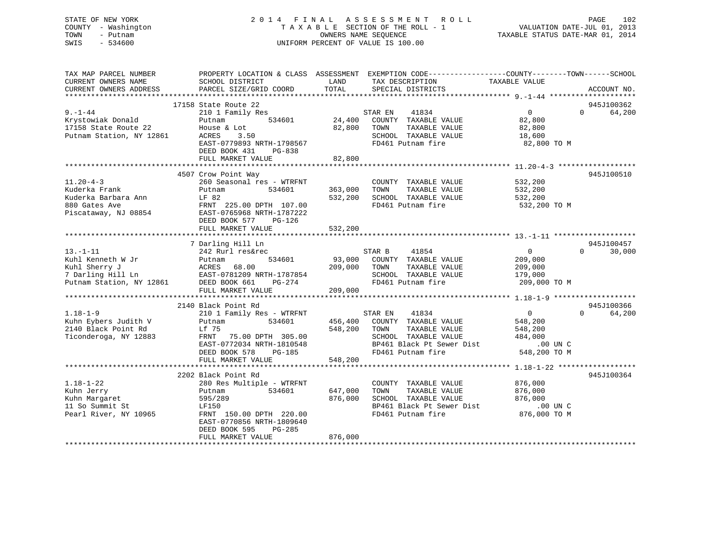### STATE OF NEW YORK 2 0 1 4 F I N A L A S S E S S M E N T R O L L PAGE 102 COUNTY - Washington T A X A B L E SECTION OF THE ROLL - 1 VALUATION DATE-JUL 01, 2013 TOWN - Putnam OWNERS NAME SEQUENCE TAXABLE STATUS DATE-MAR 01, 2014 SWIS - 534600 UNIFORM PERCENT OF VALUE IS 100.00

| TAX MAP PARCEL NUMBER<br>CURRENT OWNERS NAME<br>CURRENT OWNERS ADDRESS | PROPERTY LOCATION & CLASS ASSESSMENT<br>SCHOOL DISTRICT<br>PARCEL SIZE/GRID COORD | LAND<br>TAX DESCRIPTION<br>TOTAL<br>SPECIAL DISTRICTS | EXEMPTION CODE-----------------COUNTY-------TOWN------SCHOOL<br>TAXABLE VALUE<br>ACCOUNT NO. |
|------------------------------------------------------------------------|-----------------------------------------------------------------------------------|-------------------------------------------------------|----------------------------------------------------------------------------------------------|
|                                                                        |                                                                                   |                                                       |                                                                                              |
|                                                                        | 17158 State Route 22                                                              |                                                       | 945J100362                                                                                   |
| $9. -1 - 44$                                                           | 210 1 Family Res                                                                  | 41834<br>STAR EN                                      | 0<br>64,200<br>$\Omega$                                                                      |
| Krystowiak Donald                                                      | 534601<br>Putnam                                                                  | 24,400<br>COUNTY TAXABLE VALUE                        | 82,800                                                                                       |
| 17158 State Route 22                                                   | House & Lot                                                                       | 82,800<br>TOWN<br>TAXABLE VALUE                       | 82,800                                                                                       |
| Putnam Station, NY 12861                                               | ACRES<br>3.50                                                                     | SCHOOL TAXABLE VALUE                                  | 18,600                                                                                       |
|                                                                        | EAST-0779893 NRTH-1798567                                                         | FD461 Putnam fire                                     | 82,800 TO M                                                                                  |
|                                                                        | DEED BOOK 431<br>PG-838                                                           |                                                       |                                                                                              |
|                                                                        | FULL MARKET VALUE                                                                 | 82,800                                                |                                                                                              |
|                                                                        |                                                                                   |                                                       |                                                                                              |
|                                                                        | 4507 Crow Point Way                                                               |                                                       | 945J100510                                                                                   |
| $11.20 - 4 - 3$                                                        | 260 Seasonal res - WTRFNT                                                         | COUNTY TAXABLE VALUE                                  | 532,200                                                                                      |
| Kuderka Frank                                                          | 534601<br>Putnam                                                                  | 363,000<br>TOWN<br>TAXABLE VALUE                      | 532,200                                                                                      |
| Kuderka Barbara Ann                                                    | LF 82                                                                             | 532,200<br>SCHOOL TAXABLE VALUE                       | 532,200                                                                                      |
| 880 Gates Ave                                                          | FRNT 225.00 DPTH 107.00                                                           | FD461 Putnam fire                                     | 532,200 TO M                                                                                 |
| Piscataway, NJ 08854                                                   | EAST-0765968 NRTH-1787222                                                         |                                                       |                                                                                              |
|                                                                        | $PG-126$<br>DEED BOOK 577                                                         |                                                       |                                                                                              |
|                                                                        | FULL MARKET VALUE                                                                 | 532,200                                               |                                                                                              |
|                                                                        |                                                                                   |                                                       |                                                                                              |
|                                                                        | 7 Darling Hill Ln                                                                 |                                                       | 945J100457                                                                                   |
| $13.-1-11$                                                             | 242 Rurl res&rec                                                                  | STAR B<br>41854                                       | $\overline{0}$<br>$\Omega$<br>30,000                                                         |
| Kuhl Kenneth W Jr                                                      | 534601<br>Putnam                                                                  | 93,000<br>COUNTY TAXABLE VALUE                        | 209,000                                                                                      |
| Kuhl Sherry J                                                          |                                                                                   | 209,000<br>TOWN<br>TAXABLE VALUE                      | 209,000                                                                                      |
| 7 Darling Hill Ln                                                      | ACRES bo.uu<br>EAST-0781209 NRTH-1787854<br>201-274                               | SCHOOL TAXABLE VALUE                                  | 179,000                                                                                      |
| Putnam Station, NY 12861                                               | DEED BOOK 661<br>PG-274                                                           | FD461 Putnam fire                                     | 209,000 TO M                                                                                 |
|                                                                        | FULL MARKET VALUE                                                                 | 209,000                                               |                                                                                              |
|                                                                        | ***************************                                                       | ***************                                       | ********************* 1.18-1-9 ********************                                          |
|                                                                        | 2140 Black Point Rd                                                               |                                                       | 945J100366                                                                                   |
| $1.18 - 1 - 9$                                                         | 210 1 Family Res - WTRFNT                                                         | STAR EN<br>41834                                      | $\overline{0}$<br>$\Omega$<br>64,200                                                         |
| Kuhn Eybers Judith V                                                   | 534601<br>Putnam                                                                  | 456,400<br>COUNTY TAXABLE VALUE                       | 548,200                                                                                      |
| 2140 Black Point Rd                                                    | Lf 75                                                                             | 548,200<br>TOWN<br>TAXABLE VALUE                      | 548,200                                                                                      |
| Ticonderoga, NY 12883                                                  | 75.00 DPTH 305.00<br>FRNT                                                         | SCHOOL TAXABLE VALUE                                  | 484,000                                                                                      |
|                                                                        | EAST-0772034 NRTH-1810548                                                         | BP461 Black Pt Sewer Dist                             | $.00$ UN $C$                                                                                 |
|                                                                        | DEED BOOK 578<br>PG-185                                                           | FD461 Putnam fire                                     | 548,200 TO M                                                                                 |
|                                                                        | FULL MARKET VALUE                                                                 | 548,200                                               |                                                                                              |
|                                                                        |                                                                                   |                                                       |                                                                                              |
|                                                                        | 2202 Black Point Rd                                                               |                                                       | 945J100364                                                                                   |
| $1.18 - 1 - 22$                                                        | 280 Res Multiple - WTRFNT                                                         | COUNTY TAXABLE VALUE                                  | 876,000                                                                                      |
| Kuhn Jerry                                                             | 534601<br>Putnam                                                                  | 647,000<br>TAXABLE VALUE<br>TOWN                      | 876,000                                                                                      |
| Kuhn Margaret                                                          | 595/289                                                                           | 876,000<br>SCHOOL TAXABLE VALUE                       | 876,000                                                                                      |
| 11 So Summit St                                                        | LF150                                                                             | BP461 Black Pt Sewer Dist                             | .00 UN C                                                                                     |
| Pearl River, NY 10965                                                  |                                                                                   | FD461 Putnam fire                                     |                                                                                              |
|                                                                        | FRNT 150.00 DPTH 220.00                                                           |                                                       | 876,000 TO M                                                                                 |
|                                                                        | EAST-0770856 NRTH-1809640                                                         |                                                       |                                                                                              |
|                                                                        | DEED BOOK 595<br>$PG-285$                                                         | 876,000                                               |                                                                                              |
|                                                                        | FULL MARKET VALUE                                                                 |                                                       |                                                                                              |
|                                                                        |                                                                                   |                                                       |                                                                                              |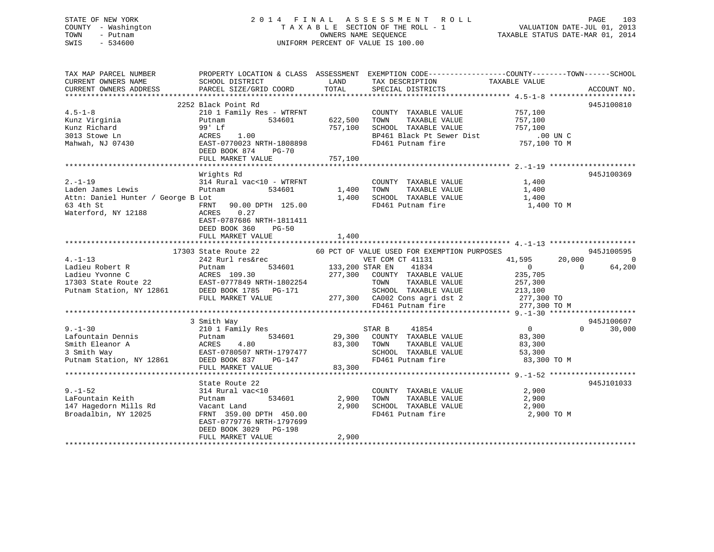### STATE OF NEW YORK 2 0 1 4 F I N A L A S S E S S M E N T R O L L PAGE 103 COUNTY - Washington T A X A B L E SECTION OF THE ROLL - 1 VALUATION DATE-JUL 01, 2013 TOWN - Putnam OWNERS NAME SEQUENCE TAXABLE STATUS DATE-MAR 01, 2014 SWIS - 534600 UNIFORM PERCENT OF VALUE IS 100.00

TAX MAP PARCEL NUMBER PROPERTY LOCATION & CLASS ASSESSMENT EXEMPTION CODE------------------COUNTY--------TOWN------SCHOOL

CURRENT OWNERS NAME SCHOOL DISTRICT LAND TAX DESCRIPTION TAXABLE VALUECURRENT OWNERS ADDRESS PARCEL SIZE/GRID COORD TOTAL SPECIAL DISTRICTS ACCOUNT NO. \*\*\*\*\*\*\*\*\*\*\*\*\*\*\*\*\*\*\*\*\*\*\*\*\*\*\*\*\*\*\*\*\*\*\*\*\*\*\*\*\*\*\*\*\*\*\*\*\*\*\*\*\*\*\*\*\*\*\*\*\*\*\*\*\*\*\*\*\*\*\*\*\*\*\*\*\*\*\*\*\*\*\*\*\*\*\*\*\*\*\*\*\*\*\*\*\*\*\*\*\*\*\* 4.5-1-8 \*\*\*\*\*\*\*\*\*\*\*\*\*\*\*\*\*\*\*\* 2252 Black Point Rd 945J1008104.5-1-8 210 1 Family Res - WTRFNT COUNTY TAXABLE VALUE 757,100 Kunz Virginia Putnam 534601 622,500 TOWN TAXABLE VALUE 757,100 Kunz Richard 99' Lf 757,100 SCHOOL TAXABLE VALUE 757,100 3013 Stowe Ln ACRES 1.00 BP461 Black Pt Sewer Dist .00 UN CMahwah, NJ 07430 EAST-0770023 NRTH-1808898 FD461 Putnam fire 757,100 TO M DEED BOOK 874 PG-70FULL MARKET VALUE 757,100 \*\*\*\*\*\*\*\*\*\*\*\*\*\*\*\*\*\*\*\*\*\*\*\*\*\*\*\*\*\*\*\*\*\*\*\*\*\*\*\*\*\*\*\*\*\*\*\*\*\*\*\*\*\*\*\*\*\*\*\*\*\*\*\*\*\*\*\*\*\*\*\*\*\*\*\*\*\*\*\*\*\*\*\*\*\*\*\*\*\*\*\*\*\*\*\*\*\*\*\*\*\*\* 2.-1-19 \*\*\*\*\*\*\*\*\*\*\*\*\*\*\*\*\*\*\*\* Wrights Rd 945J100369 2.-1-19 314 Rural vac<10 - WTRFNT COUNTY TAXABLE VALUE 1,400 Laden James Lewis 2008 Putnam 2008 534601 1,400 TOWN TAXABLE VALUE 1,400 Attn: Daniel Hunter / George B Lot 1,400 SCHOOL TAXABLE VALUE 1,400 SCHOOL TAXABLE VALUE 63 4th St FRNT 90.00 DPTH 125.00 FD461 Putnam fire 1,400 TO M Waterford, NY 12188 ACRES 0.27 EAST-0787686 NRTH-1811411 DEED BOOK 360 PG-50FULL MARKET VALUE 1,400 \*\*\*\*\*\*\*\*\*\*\*\*\*\*\*\*\*\*\*\*\*\*\*\*\*\*\*\*\*\*\*\*\*\*\*\*\*\*\*\*\*\*\*\*\*\*\*\*\*\*\*\*\*\*\*\*\*\*\*\*\*\*\*\*\*\*\*\*\*\*\*\*\*\*\*\*\*\*\*\*\*\*\*\*\*\*\*\*\*\*\*\*\*\*\*\*\*\*\*\*\*\*\* 4.-1-13 \*\*\*\*\*\*\*\*\*\*\*\*\*\*\*\*\*\*\*\*17303 State Route 22 60 PCT OF VALUE USED FOR EXEMPTION PURPOSES 4.-1-13 242 Rurl res&rec VET COM CT 41131 41,595 20,000 0 Ladieu Robert R Putnam 534601 133,200 STAR EN 41834 0 0 64,200 Ladieu Yvonne C ACRES 109.30 277,300 COUNTY TAXABLE VALUE 235,705 17303 State Route 22 EAST-0777849 NRTH-1802254 TOWN TAXABLE VALUE 257,300 Putnam Station, NY 12861 DEED BOOK 1785 PG-171 SCHOOL TAXABLE VALUE 213,100 FULL MARKET VALUE 277,300 CA002 Cons agri dst 2 277,300 TO FD461 Putnam fire 277,300 TO M \*\*\*\*\*\*\*\*\*\*\*\*\*\*\*\*\*\*\*\*\*\*\*\*\*\*\*\*\*\*\*\*\*\*\*\*\*\*\*\*\*\*\*\*\*\*\*\*\*\*\*\*\*\*\*\*\*\*\*\*\*\*\*\*\*\*\*\*\*\*\*\*\*\*\*\*\*\*\*\*\*\*\*\*\*\*\*\*\*\*\*\*\*\*\*\*\*\*\*\*\*\*\* 9.-1-30 \*\*\*\*\*\*\*\*\*\*\*\*\*\*\*\*\*\*\*\* 3 Smith Way 945J100607 9.-1-30 210 1 Family Res STAR B 41854 0 0 30,000 Lafountain Dennis Putnam 534601 29,300 COUNTY TAXABLE VALUE 83,300 ACRES 4.80 83,300 TOWN TAXABLE VALUE 83,300 3 Smith Way EAST-0780507 NRTH-1797477 SCHOOL TAXABLE VALUE 53,300 Putnam Station, NY 12861 DEED BOOK 837 PG-147 FD461 Putnam fire 83,300 TO M<br>FULL MARKET VALUE 83,300 FULL MARKET VALUE \*\*\*\*\*\*\*\*\*\*\*\*\*\*\*\*\*\*\*\*\*\*\*\*\*\*\*\*\*\*\*\*\*\*\*\*\*\*\*\*\*\*\*\*\*\*\*\*\*\*\*\*\*\*\*\*\*\*\*\*\*\*\*\*\*\*\*\*\*\*\*\*\*\*\*\*\*\*\*\*\*\*\*\*\*\*\*\*\*\*\*\*\*\*\*\*\*\*\*\*\*\*\* 9.-1-52 \*\*\*\*\*\*\*\*\*\*\*\*\*\*\*\*\*\*\*\*State Route 22 945-1101033 9.-1-52 314 Rural vac<10 COUNTY TAXABLE VALUE 2,900 LaFountain Keith Putnam 534601 2,900 TOWN TAXABLE VALUE 2,900 147 Hagedorn Mills Rd Vacant Land 2,900 SCHOOL TAXABLE VALUE 2,900 Broadalbin, NY 12025 FRNT 359.00 DPTH 450.00 FD461 Putnam fire 2,900 TO M EAST-0779776 NRTH-1797699 DEED BOOK 3029 PG-198 FULL MARKET VALUE 2,900 \*\*\*\*\*\*\*\*\*\*\*\*\*\*\*\*\*\*\*\*\*\*\*\*\*\*\*\*\*\*\*\*\*\*\*\*\*\*\*\*\*\*\*\*\*\*\*\*\*\*\*\*\*\*\*\*\*\*\*\*\*\*\*\*\*\*\*\*\*\*\*\*\*\*\*\*\*\*\*\*\*\*\*\*\*\*\*\*\*\*\*\*\*\*\*\*\*\*\*\*\*\*\*\*\*\*\*\*\*\*\*\*\*\*\*\*\*\*\*\*\*\*\*\*\*\*\*\*\*\*\*\*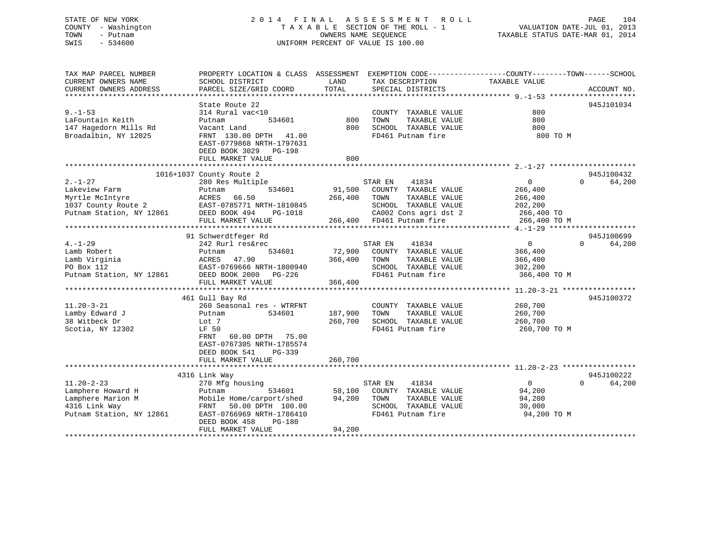### STATE OF NEW YORK 2 0 1 4 F I N A L A S S E S S M E N T R O L L PAGE 104 COUNTY - Washington T A X A B L E SECTION OF THE ROLL - 1 VALUATION DATE-JUL 01, 2013 TOWN - Putnam OWNERS NAME SEQUENCE TAXABLE STATUS DATE-MAR 01, 2014 SWIS - 534600 UNIFORM PERCENT OF VALUE IS 100.00

| TAX MAP PARCEL NUMBER<br>CURRENT OWNERS NAME<br>CURRENT OWNERS ADDRESS                                  | PROPERTY LOCATION & CLASS ASSESSMENT EXEMPTION CODE---------------COUNTY-------TOWN-----SCHOOL<br>SCHOOL DISTRICT<br>PARCEL SIZE/GRID COORD                                                 | LAND<br>TOTAL                 | TAX DESCRIPTION<br>SPECIAL DISTRICTS                                                                               | TAXABLE VALUE                                                                    | ACCOUNT NO.                      |
|---------------------------------------------------------------------------------------------------------|---------------------------------------------------------------------------------------------------------------------------------------------------------------------------------------------|-------------------------------|--------------------------------------------------------------------------------------------------------------------|----------------------------------------------------------------------------------|----------------------------------|
| $9. - 1 - 53$<br>LaFountain Keith<br>147 Hagedorn Mills Rd<br>Broadalbin, NY 12025                      | State Route 22<br>314 Rural vac<10<br>534601<br>Putnam<br>Vacant Land<br>FRNT 130.00 DPTH 41.00<br>EAST-0779868 NRTH-1797631<br>DEED BOOK 3029 PG-198<br>FULL MARKET VALUE                  | 800<br>800<br>800             | COUNTY TAXABLE VALUE<br>TAXABLE VALUE<br>TOWN<br>SCHOOL TAXABLE VALUE<br>FD461 Putnam fire                         | 800<br>800<br>800<br>800 TO M                                                    | 945J101034                       |
| $2. - 1 - 27$<br>Lakeview Farm<br>Myrtle McIntyre<br>1037 County Route 2<br>Putnam Station, NY 12861    | 1016+1037 County Route 2<br>280 Res Multiple<br>534601<br>Putnam<br>ACRES<br>66.50<br>EAST-0785771 NRTH-1810845<br>DEED BOOK 494<br>PG-1018<br>FULL MARKET VALUE                            | 91,500<br>266,400             | 41834<br>STAR EN<br>COUNTY TAXABLE VALUE<br>TAXABLE VALUE<br>TOWN<br>SCHOOL TAXABLE VALUE<br>CA002 Cons agri dst 2 | $0 \qquad \qquad$<br>266,400<br>266,400<br>202,200<br>266,400 TO<br>266,400 TO M | 945J100432<br>$\Omega$<br>64,200 |
| $4. - 1 - 29$<br>Lamb Robert<br>Lamb Virginia<br>PO Box 112<br>Putnam Station, NY 12861                 | 91 Schwerdtfeger Rd<br>242 Rurl res&rec<br>534601<br>Putnam<br>ACRES<br>47.90<br>EAST-0769666 NRTH-1800940<br>DEED BOOK 2000 PG-226<br>FULL MARKET VALUE                                    | 72,900<br>366,400<br>366,400  | 41834<br>STAR EN<br>COUNTY TAXABLE VALUE<br>TOWN<br>TAXABLE VALUE<br>SCHOOL TAXABLE VALUE<br>FD461 Putnam fire     | $\overline{0}$<br>366,400<br>366,400<br>302,200<br>366,400 TO M                  | 945J100699<br>$\Omega$<br>64,200 |
| $11.20 - 3 - 21$<br>Lamby Edward J<br>38 Witbeck Dr<br>Scotia, NY 12302                                 | 461 Gull Bay Rd<br>260 Seasonal res - WTRFNT<br>534601<br>Putnam<br>Lot 7<br>LF 50<br>60.00 DPTH 75.00<br>FRNT<br>EAST-0767305 NRTH-1785574<br>DEED BOOK 541<br>PG-339<br>FULL MARKET VALUE | 187,900<br>260,700<br>260,700 | COUNTY TAXABLE VALUE<br>TOWN<br>TAXABLE VALUE<br>SCHOOL TAXABLE VALUE<br>FD461 Putnam fire                         | 260,700<br>260,700<br>260,700<br>260,700 ТО М                                    | 945J100372                       |
| $11.20 - 2 - 23$<br>Lamphere Howard H<br>Lamphere Marion M<br>4316 Link Way<br>Putnam Station, NY 12861 | 4316 Link Way<br>270 Mfg housing<br>534601<br>Putnam<br>Mobile Home/carport/shed<br>FRNT 50.00 DPTH 100.00<br>EAST-0766969 NRTH-1786410<br>DEED BOOK 458<br>PG-180<br>FULL MARKET VALUE     | 58,100<br>94,200<br>94,200    | STAR EN<br>41834<br>COUNTY TAXABLE VALUE<br>TOWN<br>TAXABLE VALUE<br>SCHOOL TAXABLE VALUE<br>FD461 Putnam fire     | $\overline{0}$<br>94,200<br>94,200<br>30,000<br>94,200 TO M                      | 945J100222<br>$\Omega$<br>64,200 |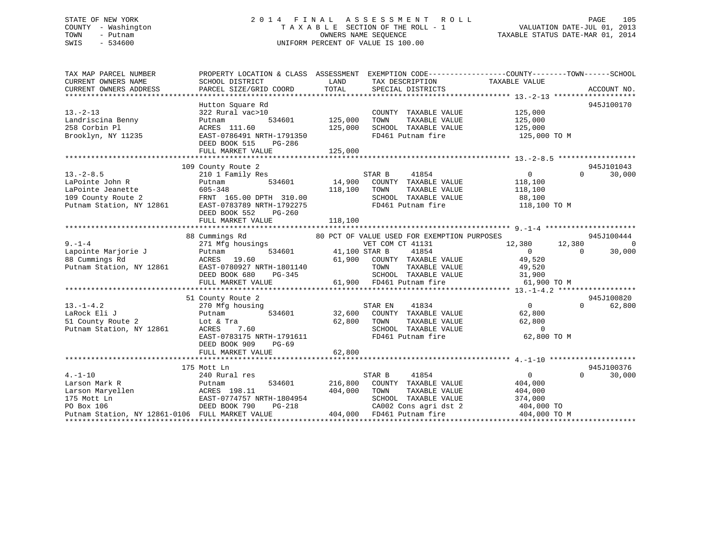### STATE OF NEW YORK 2 0 1 4 F I N A L A S S E S S M E N T R O L L PAGE 105 COUNTY - Washington T A X A B L E SECTION OF THE ROLL - 1 VALUATION DATE-JUL 01, 2013 TOWN - Putnam **CONNERS NAME SEQUENCE** TAXABLE STATUS DATE-MAR 01, 2014 SWIS - 534600 UNIFORM PERCENT OF VALUE IS 100.00

| TAX MAP PARCEL NUMBER<br>CURRENT OWNERS NAME    | SCHOOL DISTRICT                                      | LAND                 | TAX DESCRIPTION                             | PROPERTY LOCATION & CLASS ASSESSMENT EXEMPTION CODE----------------COUNTY-------TOWN------SCHOOL<br>TAXABLE VALUE |                      |
|-------------------------------------------------|------------------------------------------------------|----------------------|---------------------------------------------|-------------------------------------------------------------------------------------------------------------------|----------------------|
| CURRENT OWNERS ADDRESS                          | PARCEL SIZE/GRID COORD                               | TOTAL                | SPECIAL DISTRICTS                           |                                                                                                                   | ACCOUNT NO.          |
|                                                 |                                                      |                      |                                             |                                                                                                                   |                      |
|                                                 | Hutton Square Rd                                     |                      |                                             |                                                                                                                   | 945J100170           |
| $13. - 2 - 13$                                  | 322 Rural vac>10                                     |                      | COUNTY TAXABLE VALUE                        | 125,000                                                                                                           |                      |
| Landriscina Benny                               | 534601<br>Putnam                                     | 125,000              | TOWN<br>TAXABLE VALUE                       | 125,000                                                                                                           |                      |
| 258 Corbin Pl                                   | ACRES 111.60                                         | 125,000              | SCHOOL TAXABLE VALUE                        | 125,000                                                                                                           |                      |
| Brooklyn, NY 11235                              | EAST-0786491 NRTH-1791350                            |                      | FD461 Putnam fire                           | 125,000 TO M                                                                                                      |                      |
|                                                 | DEED BOOK 515<br>PG-286                              |                      |                                             |                                                                                                                   |                      |
|                                                 | FULL MARKET VALUE                                    | 125,000              |                                             |                                                                                                                   |                      |
|                                                 |                                                      |                      |                                             |                                                                                                                   |                      |
| $13. - 2 - 8.5$                                 | 109 County Route 2                                   |                      | STAR B<br>41854                             | $\overline{0}$<br>$\Omega$                                                                                        | 945J101043<br>30,000 |
|                                                 | 210 1 Family Res                                     |                      |                                             |                                                                                                                   |                      |
| LaPointe John R<br>LaPointe Jeanette            | 534601<br>Putnam<br>605-348                          | 118,100              | 14,900 COUNTY TAXABLE VALUE<br>TOWN         | 118,100                                                                                                           |                      |
|                                                 |                                                      |                      | TAXABLE VALUE<br>SCHOOL TAXABLE VALUE       | 118,100                                                                                                           |                      |
| 109 County Route 2<br>Putnam Station, NY 12861  | FRNT 165.00 DPTH 310.00<br>EAST-0783789 NRTH-1792275 |                      | FD461 Putnam fire                           | 88,100<br>118,100 TO M                                                                                            |                      |
|                                                 | PG-260                                               |                      |                                             |                                                                                                                   |                      |
|                                                 | DEED BOOK 552<br>FULL MARKET VALUE                   | 118,100              |                                             |                                                                                                                   |                      |
|                                                 |                                                      |                      |                                             |                                                                                                                   |                      |
|                                                 | 88 Cummings Rd                                       |                      | 80 PCT OF VALUE USED FOR EXEMPTION PURPOSES |                                                                                                                   | 945J100444           |
| $9 - 1 - 4$                                     | 271 Mfg housings                                     |                      | VET COM CT 41131                            | 12,380 12,380                                                                                                     | $\overline{0}$       |
| Lapointe Marjorie J                             | Putnam                                               | 534601 41,100 STAR B | 41854                                       | $\Omega$<br>$\Omega$                                                                                              | 30,000               |
| 88 Cummings Rd                                  | ACRES 19.60                                          |                      | 61,900 COUNTY TAXABLE VALUE                 | 49,520                                                                                                            |                      |
| Putnam Station, NY 12861                        | EAST-0780927 NRTH-1801140                            |                      | TOWN<br>TAXABLE VALUE                       | 49,520                                                                                                            |                      |
|                                                 | PG-345<br>RTH-1801140<br>DEED BOOK 680               |                      | SCHOOL TAXABLE VALUE 31,900                 |                                                                                                                   |                      |
|                                                 | FULL MARKET VALUE                                    |                      | 61,900 FD461 Putnam fire                    | 61,900 TO M                                                                                                       |                      |
|                                                 |                                                      |                      |                                             |                                                                                                                   |                      |
|                                                 | 51 County Route 2                                    |                      |                                             |                                                                                                                   | 945J100820           |
| $13. -1 - 4.2$                                  | 270 Mfg housing                                      |                      | 41834<br>STAR EN                            | $0 \qquad \qquad$<br>$\Omega$                                                                                     | 62,800               |
| LaRock Eli J                                    | 534601<br>Putnam                                     | $32,600$ $^{\rm S7}$ | COUNTY TAXABLE VALUE                        | 62,800                                                                                                            |                      |
| Lot & Tra<br>51 County Route 2                  |                                                      | 62,800               | TAXABLE VALUE<br>TOWN                       | 62,800                                                                                                            |                      |
| Putnam Station, NY 12861                        | 7.60<br>ACRES                                        |                      | SCHOOL TAXABLE VALUE                        | $\overline{0}$                                                                                                    |                      |
|                                                 | EAST-0783175 NRTH-1791611                            |                      | FD461 Putnam fire                           | 62,800 TO M                                                                                                       |                      |
|                                                 | DEED BOOK 909<br>$PG-69$                             |                      |                                             |                                                                                                                   |                      |
|                                                 | FULL MARKET VALUE                                    | 62,800               |                                             |                                                                                                                   |                      |
|                                                 |                                                      |                      |                                             |                                                                                                                   |                      |
|                                                 | 175 Mott Ln                                          |                      |                                             |                                                                                                                   | 945J100376           |
| $4. - 1 - 10$                                   | 240 Rural res                                        |                      | STAR B<br>41854                             | $\overline{0}$<br>$\Omega$                                                                                        | 30,000               |
| Larson Mark R                                   | 534601<br>Putnam                                     | 216,800              | COUNTY TAXABLE VALUE                        | 404,000                                                                                                           |                      |
| Larson Maryellen<br>across 198.11               |                                                      | 404,000              | TOWN<br>TAXABLE VALUE                       | 404,000                                                                                                           |                      |
| 175 Mott Ln                                     | EAST-0774757 NRTH-1804954                            |                      | SCHOOL TAXABLE VALUE                        | 374,000                                                                                                           |                      |
| PO Box 106                                      | DEED BOOK 790<br>PG-218                              |                      |                                             | CA002 Cons agri dst 2 404,000 TO                                                                                  |                      |
| Putnam Station, NY 12861-0106 FULL MARKET VALUE |                                                      |                      | 404,000 FD461 Putnam fire                   | 404,000 TO M                                                                                                      |                      |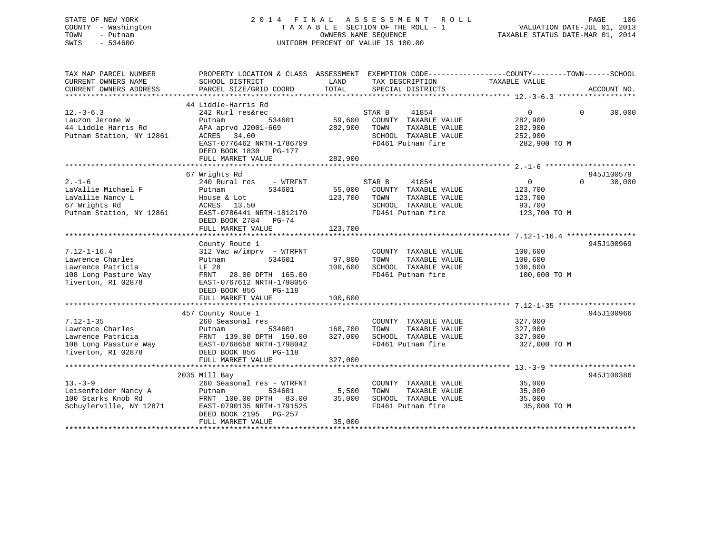### STATE OF NEW YORK 2 0 1 4 F I N A L A S S E S S M E N T R O L L PAGE 106 COUNTY - Washington T A X A B L E SECTION OF THE ROLL - 1 VALUATION DATE-JUL 01, 2013 TOWN - Putnam OWNERS NAME SEQUENCE TAXABLE STATUS DATE-MAR 01, 2014 SWIS - 534600 UNIFORM PERCENT OF VALUE IS 100.00

| TAX MAP PARCEL NUMBER<br>CURRENT OWNERS NAME<br>CURRENT OWNERS ADDRESS | PROPERTY LOCATION & CLASS ASSESSMENT<br>SCHOOL DISTRICT<br>PARCEL SIZE/GRID COORD | LAND<br>TOTAL | TAX DESCRIPTION<br>SPECIAL DISTRICTS          | EXEMPTION CODE----------------COUNTY-------TOWN-----SCHOOL<br>TAXABLE VALUE | ACCOUNT NO.        |
|------------------------------------------------------------------------|-----------------------------------------------------------------------------------|---------------|-----------------------------------------------|-----------------------------------------------------------------------------|--------------------|
|                                                                        |                                                                                   |               |                                               |                                                                             |                    |
|                                                                        | 44 Liddle-Harris Rd                                                               |               |                                               |                                                                             |                    |
| $12.-3-6.3$                                                            | 242 Rurl res&rec                                                                  |               | STAR B<br>41854                               | $\overline{0}$                                                              | $\Omega$<br>30,000 |
| Lauzon Jerome W                                                        | 534601<br>Putnam                                                                  | 59,600        | COUNTY TAXABLE VALUE                          | 282,900                                                                     |                    |
| 44 Liddle Harris Rd                                                    | APA aprvd J2001-669                                                               | 282,900       | TOWN<br>TAXABLE VALUE                         | 282,900                                                                     |                    |
| Putnam Station, NY 12861                                               | ACRES<br>34.60                                                                    |               | SCHOOL TAXABLE VALUE                          | 252,900                                                                     |                    |
|                                                                        | EAST-0776462 NRTH-1786709                                                         |               | FD461 Putnam fire                             | 282,900 TO M                                                                |                    |
|                                                                        | DEED BOOK 1830 PG-177                                                             |               |                                               |                                                                             |                    |
|                                                                        | FULL MARKET VALUE                                                                 | 282,900       |                                               |                                                                             |                    |
|                                                                        |                                                                                   |               |                                               |                                                                             |                    |
|                                                                        | 67 Wrights Rd                                                                     |               |                                               |                                                                             | 945J100579         |
| $2. - 1 - 6$                                                           | 240 Rural res<br>- WTRFNT                                                         |               | STAR B<br>41854                               | $\mathbf{0}$                                                                | $\Omega$<br>30,000 |
| LaVallie Michael F                                                     | 534601<br>Putnam                                                                  | 55,000        | COUNTY TAXABLE VALUE                          | 123,700                                                                     |                    |
| LaVallie Nancy L                                                       | House & Lot                                                                       | 123,700       | TOWN<br>TAXABLE VALUE                         | 123,700                                                                     |                    |
| 67 Wrights Rd                                                          | ACRES 13.50                                                                       |               | SCHOOL TAXABLE VALUE                          | 93,700                                                                      |                    |
| Putnam Station, NY 12861                                               | EAST-0786441 NRTH-1812170                                                         |               | FD461 Putnam fire                             | 123,700 TO M                                                                |                    |
|                                                                        | DEED BOOK 2784 PG-74                                                              |               |                                               |                                                                             |                    |
|                                                                        | FULL MARKET VALUE                                                                 | 123,700       |                                               |                                                                             |                    |
|                                                                        |                                                                                   |               |                                               |                                                                             |                    |
|                                                                        | County Route 1<br>312 Vac w/imprv - WTRFNT                                        |               |                                               |                                                                             | 945J100969         |
| $7.12 - 1 - 16.4$<br>Lawrence Charles                                  | 534601<br>Putnam                                                                  | 97,800        | COUNTY TAXABLE VALUE<br>TOWN<br>TAXABLE VALUE | 100,600<br>100,600                                                          |                    |
| Lawrence Patricia                                                      | LF 28                                                                             | 100,600       | SCHOOL TAXABLE VALUE                          | 100,600                                                                     |                    |
| 108 Long Pasture Way                                                   | 28.00 DPTH 165.00<br>FRNT                                                         |               | FD461 Putnam fire                             | 100,600 TO M                                                                |                    |
| Tiverton, RI 02878                                                     | EAST-0767612 NRTH-1798056                                                         |               |                                               |                                                                             |                    |
|                                                                        | DEED BOOK 856<br><b>PG-118</b>                                                    |               |                                               |                                                                             |                    |
|                                                                        | FULL MARKET VALUE                                                                 | 100,600       |                                               |                                                                             |                    |
|                                                                        |                                                                                   |               |                                               |                                                                             |                    |
|                                                                        | 457 County Route 1                                                                |               |                                               |                                                                             | 945J100966         |
| $7.12 - 1 - 35$                                                        | 260 Seasonal res                                                                  |               | COUNTY TAXABLE VALUE                          | 327,000                                                                     |                    |
| Lawrence Charles                                                       | 534601<br>Putnam                                                                  | 160,700       | TOWN<br>TAXABLE VALUE                         | 327,000                                                                     |                    |
| Lawrence Patricia                                                      | FRNT 139.00 DPTH 150.00                                                           | 327,000       | SCHOOL TAXABLE VALUE                          | 327,000                                                                     |                    |
| 108 Long Passture Way                                                  | EAST-0768658 NRTH-1798042                                                         |               | FD461 Putnam fire                             | 327,000 TO M                                                                |                    |
| Tiverton, RI 02878                                                     | DEED BOOK 856<br><b>PG-118</b>                                                    |               |                                               |                                                                             |                    |
|                                                                        | FULL MARKET VALUE                                                                 | 327,000       |                                               |                                                                             |                    |
|                                                                        |                                                                                   |               |                                               |                                                                             |                    |
|                                                                        | 2035 Mill Bay                                                                     |               |                                               |                                                                             | 945J100386         |
| $13. - 3 - 9$                                                          | 260 Seasonal res - WTRFNT                                                         |               | COUNTY TAXABLE VALUE                          | 35,000                                                                      |                    |
| Leisenfelder Nancy A                                                   | 534601<br>Putnam                                                                  | 5,500         | TAXABLE VALUE<br>TOWN                         | 35,000                                                                      |                    |
| 100 Starks Knob Rd                                                     | FRNT 100.00 DPTH 83.00                                                            | 35,000        | SCHOOL TAXABLE VALUE                          | 35,000                                                                      |                    |
| Schuylerville, NY 12871                                                | EAST-0790135 NRTH-1791525                                                         |               | FD461 Putnam fire                             | 35,000 TO M                                                                 |                    |
|                                                                        | DEED BOOK 2195 PG-257                                                             |               |                                               |                                                                             |                    |
|                                                                        | FULL MARKET VALUE                                                                 | 35,000        |                                               |                                                                             |                    |
|                                                                        |                                                                                   |               |                                               |                                                                             |                    |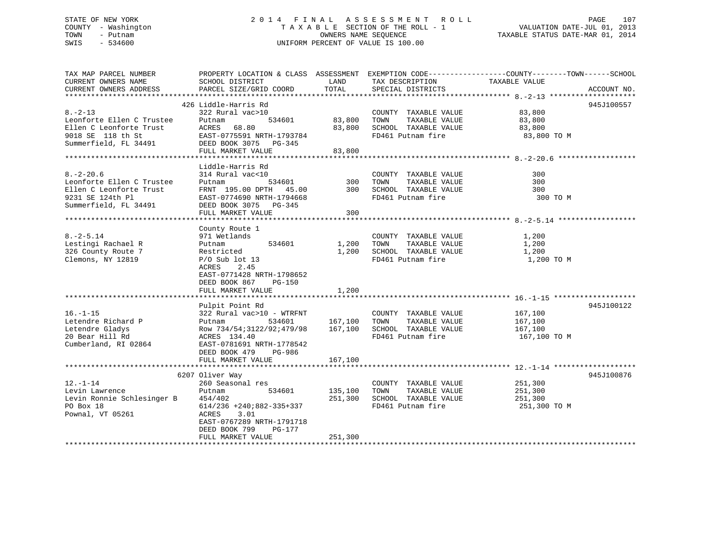### STATE OF NEW YORK 2 0 1 4 F I N A L A S S E S S M E N T R O L L PAGE 107 COUNTY - Washington T A X A B L E SECTION OF THE ROLL - 1 VALUATION DATE-JUL 01, 2013 TOWN - Putnam OWNERS NAME SEQUENCE TAXABLE STATUS DATE-MAR 01, 2014 SWIS - 534600 UNIFORM PERCENT OF VALUE IS 100.00

| TAX MAP PARCEL NUMBER      | PROPERTY LOCATION & CLASS ASSESSMENT EXEMPTION CODE----------------COUNTY-------TOWN------SCHOOL |              |                             |               |             |
|----------------------------|--------------------------------------------------------------------------------------------------|--------------|-----------------------------|---------------|-------------|
| CURRENT OWNERS NAME        | SCHOOL DISTRICT                                                                                  | LAND         | TAX DESCRIPTION             | TAXABLE VALUE |             |
| CURRENT OWNERS ADDRESS     | PARCEL SIZE/GRID COORD                                                                           | TOTAL        | SPECIAL DISTRICTS           |               | ACCOUNT NO. |
|                            |                                                                                                  |              |                             |               |             |
|                            | 426 Liddle-Harris Rd                                                                             |              |                             |               | 945J100557  |
| $8. - 2 - 13$              | 322 Rural vac>10                                                                                 |              | COUNTY TAXABLE VALUE        | 83,800        |             |
| Leonforte Ellen C Trustee  | 534601<br>Putnam                                                                                 | 83,800 TOWN  | TAXABLE VALUE               | 83,800        |             |
| Ellen C Leonforte Trust    | ACRES<br>68.80                                                                                   | 83,800       | SCHOOL TAXABLE VALUE        |               |             |
|                            | ACRES 68.80<br>EAST-0775591 NRTH-1793784                                                         |              |                             | 83,800        |             |
| 9018 SE 118 th St          |                                                                                                  |              | FD461 Putnam fire           | 83,800 TO M   |             |
| Summerfield, FL 34491      | DEED BOOK 3075 PG-345                                                                            |              |                             |               |             |
|                            | FULL MARKET VALUE                                                                                | 83,800       |                             |               |             |
|                            |                                                                                                  |              |                             |               |             |
|                            | Liddle-Harris Rd                                                                                 |              |                             |               |             |
| $8. - 2 - 20.6$            | 314 Rural vac<10                                                                                 |              | COUNTY TAXABLE VALUE        | 300           |             |
| Leonforte Ellen C Trustee  | 534601<br>Putnam                                                                                 |              | 300 TOWN<br>TAXABLE VALUE   | 300           |             |
| Ellen C Leonforte Trust    | FRNT 195.00 DPTH 45.00 300 SCHOOL TAXABLE VALUE                                                  |              |                             | 300           |             |
| 9231 SE 124th Pl           | EAST-0774690 NRTH-1794668                                                                        |              | FD461 Putnam fire           | 300 TO M      |             |
| Summerfield, FL 34491      | DEED BOOK 3075 PG-345                                                                            |              |                             |               |             |
|                            | FULL MARKET VALUE                                                                                | 300          |                             |               |             |
|                            |                                                                                                  |              |                             |               |             |
|                            | County Route 1                                                                                   |              |                             |               |             |
| $8. - 2 - 5.14$            |                                                                                                  |              | COUNTY TAXABLE VALUE        |               |             |
|                            | 971 Wetlands                                                                                     |              |                             | 1,200         |             |
| Lestingi Rachael R         | 534601<br>Putnam                                                                                 |              | 1,200 TOWN<br>TAXABLE VALUE | 1,200         |             |
| 326 County Route 7         | Restricted                                                                                       |              | 1,200 SCHOOL TAXABLE VALUE  | 1,200         |             |
| Clemons, NY 12819          | $P/O$ Sub lot 13                                                                                 |              | FD461 Putnam fire           | 1,200 TO M    |             |
|                            | ACRES<br>2.45                                                                                    |              |                             |               |             |
|                            | EAST-0771428 NRTH-1798652                                                                        |              |                             |               |             |
|                            | DEED BOOK 867<br>PG-150                                                                          |              |                             |               |             |
|                            | FULL MARKET VALUE                                                                                | 1,200        |                             |               |             |
|                            |                                                                                                  |              |                             |               |             |
|                            | Pulpit Point Rd                                                                                  |              |                             |               | 945J100122  |
| $16. - 1 - 15$             | 322 Rural vac>10 - WTRFNT                                                                        |              | COUNTY TAXABLE VALUE        | 167,100       |             |
| Letendre Richard P         | 534601<br>Putnam                                                                                 | 167,100 TOWN | TAXABLE VALUE               | 167,100       |             |
| Letendre Gladys            | Row 734/54;3122/92;479/98                                                                        | 167,100      | SCHOOL TAXABLE VALUE        | 167,100       |             |
| 20 Bear Hill Rd            | ACRES 134.40                                                                                     |              | FD461 Putnam fire           | 167,100 TO M  |             |
| Cumberland, RI 02864       | EAST-0781691 NRTH-1778542                                                                        |              |                             |               |             |
|                            |                                                                                                  |              |                             |               |             |
|                            | DEED BOOK 479 PG-986                                                                             |              |                             |               |             |
|                            | FULL MARKET VALUE                                                                                | 167,100      |                             |               |             |
|                            |                                                                                                  |              |                             |               |             |
|                            | 6207 Oliver Way                                                                                  |              |                             |               | 945J100876  |
| $12. - 1 - 14$             | 260 Seasonal res                                                                                 |              | COUNTY TAXABLE VALUE        | 251,300       |             |
| Levin Lawrence             | 534601<br>Putnam                                                                                 | 135,100      | TOWN<br>TAXABLE VALUE       | 251,300       |             |
| Levin Ronnie Schlesinger B | 454/402                                                                                          | 251,300      | SCHOOL TAXABLE VALUE        | 251,300       |             |
| PO Box 18                  | $614/236$ +240;882-335+337                                                                       |              | FD461 Putnam fire           | 251,300 TO M  |             |
| Pownal, VT 05261           | ACRES<br>3.01                                                                                    |              |                             |               |             |
|                            | EAST-0767289 NRTH-1791718                                                                        |              |                             |               |             |
|                            | DEED BOOK 799<br>PG-177                                                                          |              |                             |               |             |
|                            | FULL MARKET VALUE                                                                                | 251,300      |                             |               |             |
|                            |                                                                                                  |              |                             |               |             |
|                            |                                                                                                  |              |                             |               |             |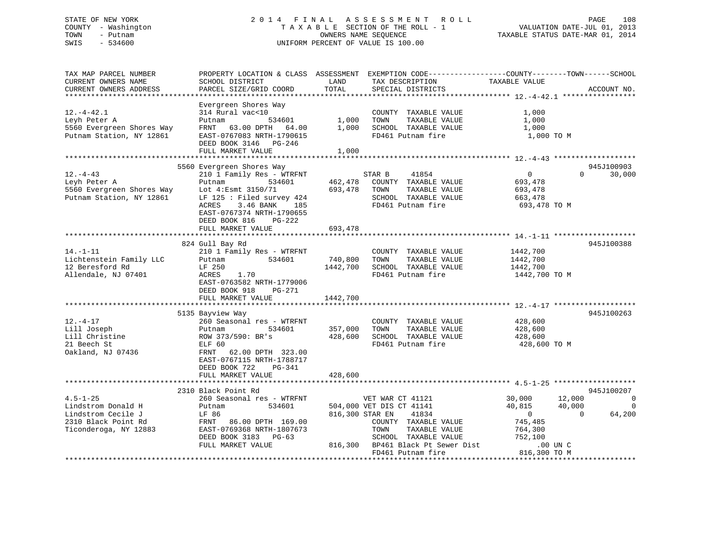### STATE OF NEW YORK 2 0 1 4 F I N A L A S S E S S M E N T R O L L PAGE 108 COUNTY - Washington T A X A B L E SECTION OF THE ROLL - 1 VALUATION DATE-JUL 01, 2013 TOWN - Putnam OWNERS NAME SEQUENCE TAXABLE STATUS DATE-MAR 01, 2014 SWIS - 534600 UNIFORM PERCENT OF VALUE IS 100.00

| TAX MAP PARCEL NUMBER     |                             |                 | PROPERTY LOCATION & CLASS ASSESSMENT EXEMPTION CODE----------------COUNTY-------TOWN------SCHOOL |                |                          |
|---------------------------|-----------------------------|-----------------|--------------------------------------------------------------------------------------------------|----------------|--------------------------|
| CURRENT OWNERS NAME       | SCHOOL DISTRICT             | LAND            | TAX DESCRIPTION                                                                                  | TAXABLE VALUE  |                          |
| CURRENT OWNERS ADDRESS    | PARCEL SIZE/GRID COORD      | TOTAL           | SPECIAL DISTRICTS                                                                                |                | ACCOUNT NO.              |
|                           |                             |                 |                                                                                                  |                |                          |
|                           | Evergreen Shores Way        |                 |                                                                                                  |                |                          |
| $12. - 4 - 42.1$          | 314 Rural vac<10            |                 | COUNTY TAXABLE VALUE                                                                             | 1,000          |                          |
|                           |                             |                 |                                                                                                  |                |                          |
| Leyh Peter A              | Putnam<br>534601            | 1,000           | TAXABLE VALUE<br>TOWN                                                                            | 1,000          |                          |
| 5560 Evergreen Shores Way | FRNT 63.00 DPTH 64.00       | 1,000           | SCHOOL TAXABLE VALUE                                                                             | 1,000          |                          |
| Putnam Station, NY 12861  | EAST-0767083 NRTH-1790615   |                 | FD461 Putnam fire                                                                                | 1,000 TO M     |                          |
|                           | DEED BOOK 3146 PG-246       |                 |                                                                                                  |                |                          |
|                           | FULL MARKET VALUE           | 1,000           |                                                                                                  |                |                          |
|                           |                             |                 |                                                                                                  |                |                          |
|                           | 5560 Evergreen Shores Way   |                 |                                                                                                  |                | 945J100903               |
| $12. - 4 - 43$            | 210 1 Family Res - WTRFNT   |                 | 41854<br>STAR B                                                                                  | $\overline{0}$ | 30,000<br>$\Omega$       |
| Leyh Peter A              | Putnam<br>534601            | 462,478         | COUNTY TAXABLE VALUE                                                                             | 693,478        |                          |
| 5560 Evergreen Shores Way | Lot 4: Esmt 3150/71         | 693,478         | TOWN<br>TAXABLE VALUE                                                                            | 693,478        |                          |
| Putnam Station, NY 12861  | LF $125$ : Filed survey 424 |                 | SCHOOL TAXABLE VALUE                                                                             | 663,478        |                          |
|                           | 3.46 BANK<br>ACRES<br>185   |                 | FD461 Putnam fire                                                                                | 693,478 TO M   |                          |
|                           |                             |                 |                                                                                                  |                |                          |
|                           | EAST-0767374 NRTH-1790655   |                 |                                                                                                  |                |                          |
|                           | DEED BOOK 816<br>PG-222     |                 |                                                                                                  |                |                          |
|                           | FULL MARKET VALUE           | 693,478         |                                                                                                  |                |                          |
|                           |                             |                 |                                                                                                  |                |                          |
|                           | 824 Gull Bay Rd             |                 |                                                                                                  |                | 945J100388               |
| $14. - 1 - 11$            | 210 1 Family Res - WTRFNT   |                 | COUNTY TAXABLE VALUE                                                                             | 1442,700       |                          |
| Lichtenstein Family LLC   | Putnam<br>534601            | 740,800         | TOWN<br>TAXABLE VALUE                                                                            | 1442,700       |                          |
| 12 Beresford Rd           | LF 250                      | 1442,700        | SCHOOL TAXABLE VALUE                                                                             | 1442,700       |                          |
| Allendale, NJ 07401       | ACRES<br>1.70               |                 | FD461 Putnam fire                                                                                | 1442,700 TO M  |                          |
|                           | EAST-0763582 NRTH-1779006   |                 |                                                                                                  |                |                          |
|                           | DEED BOOK 918<br>PG-271     |                 |                                                                                                  |                |                          |
|                           |                             |                 |                                                                                                  |                |                          |
|                           | FULL MARKET VALUE           | 1442,700        |                                                                                                  |                |                          |
|                           |                             |                 |                                                                                                  |                |                          |
|                           | 5135 Bayview Way            |                 |                                                                                                  |                | 945J100263               |
| $12. - 4 - 17$            | 260 Seasonal res - WTRFNT   |                 | COUNTY TAXABLE VALUE                                                                             | 428,600        |                          |
| Lill Joseph               | 534601<br>Putnam            | 357,000         | TOWN<br>TAXABLE VALUE                                                                            | 428,600        |                          |
| Lill Christine            | ROW 373/590: BR's           | 428,600         | SCHOOL TAXABLE VALUE                                                                             | 428,600        |                          |
| 21 Beech St               | ELF 60                      |                 | FD461 Putnam fire                                                                                | 428,600 TO M   |                          |
| Oakland, NJ 07436         | FRNT 62.00 DPTH 323.00      |                 |                                                                                                  |                |                          |
|                           | EAST-0767115 NRTH-1788717   |                 |                                                                                                  |                |                          |
|                           | DEED BOOK 722<br>PG-341     |                 |                                                                                                  |                |                          |
|                           |                             | 428,600         |                                                                                                  |                |                          |
|                           | FULL MARKET VALUE           |                 |                                                                                                  |                |                          |
|                           |                             |                 |                                                                                                  |                |                          |
|                           | 2310 Black Point Rd         |                 |                                                                                                  |                | 945J100207               |
| $4.5 - 1 - 25$            | 260 Seasonal res - WTRFNT   |                 | VET WAR CT 41121                                                                                 | 30,000         | 12,000<br>$\overline{0}$ |
| Lindstrom Donald H        | Putnam<br>534601            |                 | 504,000 VET DIS CT 41141                                                                         | 40,815         | 40,000<br>$\mathbf 0$    |
| Lindstrom Cecile J        | LF 86                       | 816,300 STAR EN | 41834                                                                                            | $\overline{0}$ | $\Omega$<br>64,200       |
| 2310 Black Point Rd       | FRNT 86.00 DPTH 169.00      |                 | COUNTY TAXABLE VALUE                                                                             | 745,485        |                          |
| Ticonderoga, NY 12883     | EAST-0769368 NRTH-1807673   |                 | TAXABLE VALUE<br>TOWN                                                                            | 764,300        |                          |
|                           | DEED BOOK 3183 PG-63        |                 | SCHOOL TAXABLE VALUE                                                                             | 752,100        |                          |
|                           | FULL MARKET VALUE           |                 | 816,300 BP461 Black Pt Sewer Dist                                                                | .00 UN C       |                          |
|                           |                             |                 | FD461 Putnam fire                                                                                | 816,300 TO M   |                          |
|                           |                             |                 |                                                                                                  |                |                          |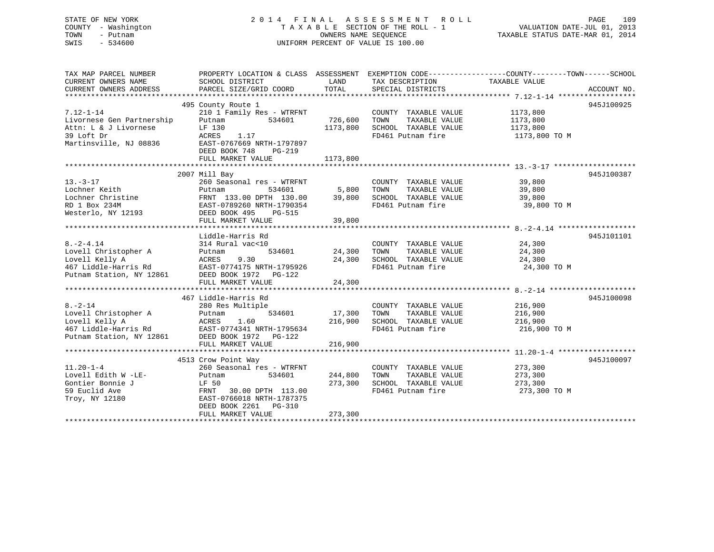# STATE OF NEW YORK 2 0 1 4 F I N A L A S S E S S M E N T R O L L PAGE 109 COUNTY - Washington T A X A B L E SECTION OF THE ROLL - 1 VALUATION DATE-JUL 01, 2013 TOWN - Putnam OWNERS NAME SEQUENCE TAXABLE STATUS DATE-MAR 01, 2014 SWIS - 534600 UNIFORM PERCENT OF VALUE IS 100.00

| TAX MAP PARCEL NUMBER     | PROPERTY LOCATION & CLASS ASSESSMENT           |          |                             |               |             |
|---------------------------|------------------------------------------------|----------|-----------------------------|---------------|-------------|
| CURRENT OWNERS NAME       | SCHOOL DISTRICT                                | LAND     | TAX DESCRIPTION             | TAXABLE VALUE |             |
| CURRENT OWNERS ADDRESS    | PARCEL SIZE/GRID COORD                         | TOTAL    | SPECIAL DISTRICTS           |               | ACCOUNT NO. |
|                           |                                                |          |                             |               |             |
|                           | 495 County Route 1                             |          |                             |               | 945J100925  |
| $7.12 - 1 - 14$           |                                                |          |                             | 1173,800      |             |
|                           | 210 1 Family Res - WTRFNT                      |          | COUNTY TAXABLE VALUE        |               |             |
| Livornese Gen Partnership | Putnam<br>534601                               | 726,600  | TOWN<br>TAXABLE VALUE       | 1173,800      |             |
| Attn: L & J Livornese     | LF 130                                         | 1173,800 | SCHOOL TAXABLE VALUE        | 1173,800      |             |
| 39 Loft Dr                | ACRES<br>1.17                                  |          | FD461 Putnam fire           | 1173,800 TO M |             |
| Martinsville, NJ 08836    | EAST-0767669 NRTH-1797897                      |          |                             |               |             |
|                           | DEED BOOK 748<br>$PG-219$                      |          |                             |               |             |
|                           | FULL MARKET VALUE                              | 1173,800 |                             |               |             |
|                           |                                                |          |                             |               |             |
|                           | 2007 Mill Bay                                  |          |                             |               | 945J100387  |
| $13. - 3 - 17$            | 260 Seasonal res - WTRFNT                      |          | COUNTY TAXABLE VALUE 39,800 |               |             |
| Lochner Keith             | Putnam<br>534601                               | 5,800    | TOWN<br>TAXABLE VALUE       | 39,800        |             |
| Lochner Christine         | FRNT 133.00 DPTH 130.00                        | 39,800   | SCHOOL TAXABLE VALUE        | 39,800        |             |
|                           |                                                |          |                             |               |             |
| RD 1 Box 234M             | EAST-0789260 NRTH-1790354                      |          | FD461 Putnam fire           | 39,800 TO M   |             |
| Westerlo, NY 12193        | DEED BOOK 495<br>PG-515                        |          |                             |               |             |
|                           | FULL MARKET VALUE                              | 39,800   |                             |               |             |
|                           |                                                |          |                             |               |             |
|                           | Liddle-Harris Rd                               |          |                             |               | 945J101101  |
| $8. - 2 - 4.14$           | 314 Rural vac<10                               |          | COUNTY TAXABLE VALUE 24,300 |               |             |
| Lovell Christopher A      | 534601<br>Putnam                               | 24,300   | TOWN<br>TAXABLE VALUE       | 24,300        |             |
| Lovell Kelly A            | 9.30<br>ACRES                                  | 24,300   | SCHOOL TAXABLE VALUE        | 24,300        |             |
| 467 Liddle-Harris Rd      | EAST-0774175 NRTH-1795926                      |          | FD461 Putnam fire           | 24,300 TO M   |             |
| Putnam Station, NY 12861  | DEED BOOK 1972    PG-122                       |          |                             |               |             |
|                           | FULL MARKET VALUE                              | 24,300   |                             |               |             |
|                           |                                                |          |                             |               |             |
|                           |                                                |          |                             |               |             |
|                           | 467 Liddle-Harris Rd                           |          |                             |               | 945J100098  |
| $8. - 2 - 14$             | 280 Res Multiple                               |          | COUNTY TAXABLE VALUE        | 216,900       |             |
| Lovell Christopher A      | 534601<br>Putnam                               | 17,300   | TOWN<br>TAXABLE VALUE       | 216,900       |             |
| Lovell Kelly A            | 1.60<br>ACRES                                  | 216,900  | SCHOOL TAXABLE VALUE        | 216,900       |             |
| 467 Liddle-Harris Rd      | EAST-0774341 NRTH-1795634                      |          | FD461 Putnam fire           | 216,900 TO M  |             |
|                           | Putnam Station, NY 12861 DEED BOOK 1972 PG-122 |          |                             |               |             |
|                           | FULL MARKET VALUE                              | 216,900  |                             |               |             |
|                           |                                                |          |                             |               |             |
|                           | 4513 Crow Point Way                            |          |                             |               | 945J100097  |
| $11.20 - 1 - 4$           | 260 Seasonal res - WTRFNT                      |          | COUNTY TAXABLE VALUE        | 273,300       |             |
| Lovell Edith W -LE-       | Putnam<br>534601                               | 244,800  | TOWN<br>TAXABLE VALUE       | 273,300       |             |
|                           |                                                |          | SCHOOL TAXABLE VALUE        |               |             |
| Gontier Bonnie J          | LF 50                                          | 273,300  |                             | 273,300       |             |
| 59 Euclid Ave             | FRNT 30.00 DPTH 113.00                         |          | FD461 Putnam fire           | 273,300 TO M  |             |
| Troy, NY 12180            | EAST-0766018 NRTH-1787375                      |          |                             |               |             |
|                           | DEED BOOK 2261 PG-310                          |          |                             |               |             |
|                           | FULL MARKET VALUE                              | 273,300  |                             |               |             |
|                           |                                                |          |                             |               |             |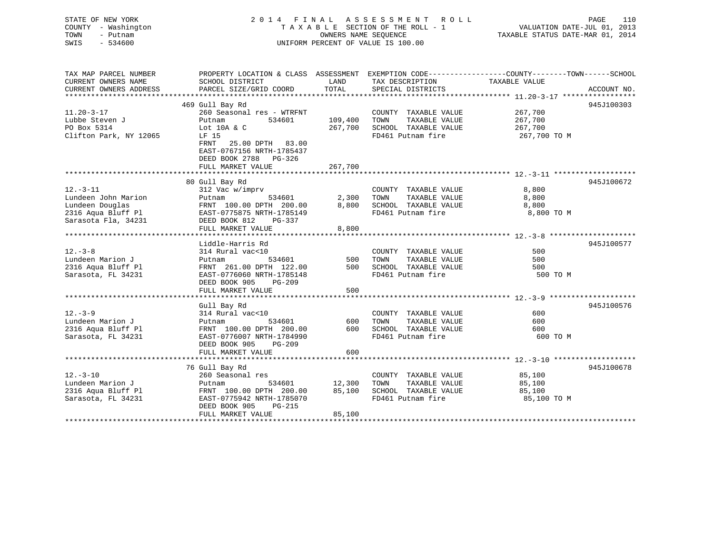STATE OF NEW YORK 2 0 1 4 F I N A L A S S E S S M E N T R O L L PAGE 110 COUNTY - Washington T A X A B L E SECTION OF THE ROLL - 1 VALUATION DATE-JUL 01, 2013 TOWN - Putnam OWNERS NAME SEQUENCE TAXABLE STATUS DATE-MAR 01, 2014 SWIS - 534600 UNIFORM PERCENT OF VALUE IS 100.00 TAX MAP PARCEL NUMBER PROPERTY LOCATION & CLASS ASSESSMENT EXEMPTION CODE---------------COUNTY-------TOWN------SCHOOL<br>CURRENT OWNERS NAME SCHOOL DISTRICT LAND TAX DESCRIPTION

| CURRENI UWNERƏ ADDREƏƏ | RAKARA SIRRAAKIN AAARD    | TATAT   | PRECTHE DIPIKICIP     |              | ACCOUNT NO. |
|------------------------|---------------------------|---------|-----------------------|--------------|-------------|
|                        |                           |         |                       |              |             |
|                        | 469 Gull Bay Rd           |         |                       |              | 945J100303  |
| $11.20 - 3 - 17$       | 260 Seasonal res - WTRFNT |         | COUNTY TAXABLE VALUE  | 267,700      |             |
| Lubbe Steven J         | 534601<br>Putnam          | 109,400 | TAXABLE VALUE<br>TOWN | 267,700      |             |
| PO Box 5314            | Lot 10A & C               | 267,700 | SCHOOL TAXABLE VALUE  | 267,700      |             |
| Clifton Park, NY 12065 | LF 15                     |         | FD461 Putnam fire     | 267,700 TO M |             |
|                        | FRNT<br>25.00 DPTH 83.00  |         |                       |              |             |
|                        | EAST-0767156 NRTH-1785437 |         |                       |              |             |
|                        | DEED BOOK 2788 PG-326     |         |                       |              |             |
|                        | FULL MARKET VALUE         | 267,700 |                       |              |             |
|                        |                           |         |                       |              |             |
|                        | 80 Gull Bay Rd            |         |                       |              | 945J100672  |
| $12.-3-11$             | 312 Vac w/imprv           |         | COUNTY TAXABLE VALUE  | 8,800        |             |
| Lundeen John Marion    | 534601<br>Putnam          | 2,300   | TOWN<br>TAXABLE VALUE | 8,800        |             |
|                        | FRNT 100.00 DPTH 200.00   | 8,800   | SCHOOL TAXABLE VALUE  | 8,800        |             |
| Lundeen Douglas        |                           |         |                       |              |             |
| 2316 Aqua Bluff Pl     | EAST-0775875 NRTH-1785149 |         | FD461 Putnam fire     | 8,800 TO M   |             |
| Sarasota Fla, 34231    | DEED BOOK 812<br>PG-337   |         |                       |              |             |
|                        | FULL MARKET VALUE         | 8,800   |                       |              |             |
|                        |                           |         |                       |              |             |
|                        | Liddle-Harris Rd          |         |                       |              | 945J100577  |
| $12. - 3 - 8$          | 314 Rural vac<10          |         | COUNTY TAXABLE VALUE  | 500          |             |
| Lundeen Marion J       | 534601<br>Putnam          | 500     | TOWN<br>TAXABLE VALUE | 500          |             |
| 2316 Aqua Bluff Pl     | FRNT 261.00 DPTH 122.00   | 500     | SCHOOL TAXABLE VALUE  | 500          |             |
| Sarasota, FL 34231     | EAST-0776060 NRTH-1785148 |         | FD461 Putnam fire     | 500 TO M     |             |
|                        | DEED BOOK 905<br>PG-209   |         |                       |              |             |
|                        | FULL MARKET VALUE         | 500     |                       |              |             |
|                        |                           |         |                       |              |             |
|                        | Gull Bay Rd               |         |                       |              | 945J100576  |
| $12. - 3 - 9$          | 314 Rural vac<10          |         | COUNTY TAXABLE VALUE  | 600          |             |
| Lundeen Marion J       | 534601<br>Putnam          | 600     | TOWN<br>TAXABLE VALUE | 600          |             |
| 2316 Aqua Bluff Pl     | FRNT 100.00 DPTH 200.00   | 600     | SCHOOL TAXABLE VALUE  | 600          |             |
| Sarasota, FL 34231     | EAST-0776007 NRTH-1784990 |         | FD461 Putnam fire     | 600 TO M     |             |
|                        | DEED BOOK 905<br>PG-209   |         |                       |              |             |
|                        |                           |         |                       |              |             |
|                        | FULL MARKET VALUE         | 600     |                       |              |             |
|                        |                           |         |                       |              |             |
|                        | 76 Gull Bay Rd            |         |                       |              | 945J100678  |
| $12. - 3 - 10$         | 260 Seasonal res          |         | COUNTY TAXABLE VALUE  | 85,100       |             |
| Lundeen Marion J       | 534601<br>Putnam          | 12,300  | TOWN<br>TAXABLE VALUE | 85,100       |             |
| 2316 Aqua Bluff Pl     | FRNT 100.00 DPTH 200.00   | 85,100  | SCHOOL TAXABLE VALUE  | 85,100       |             |
| Sarasota, FL 34231     | EAST-0775942 NRTH-1785070 |         | FD461 Putnam fire     | 85,100 TO M  |             |
|                        | DEED BOOK 905<br>PG-215   |         |                       |              |             |
|                        | FULL MARKET VALUE         | 85,100  |                       |              |             |
|                        |                           |         |                       |              |             |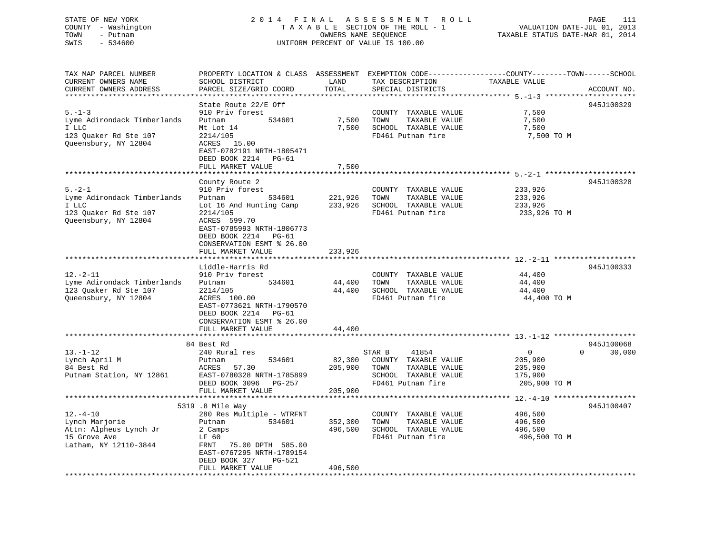# STATE OF NEW YORK 2 0 1 4 F I N A L A S S E S S M E N T R O L L PAGE 111 COUNTY - Washington T A X A B L E SECTION OF THE ROLL - 1 VALUATION DATE-JUL 01, 2013 TOWN - Putnam OWNERS NAME SEQUENCE TAXABLE STATUS DATE-MAR 01, 2014 SWIS - 534600 UNIFORM PERCENT OF VALUE IS 100.00

| TAX MAP PARCEL NUMBER<br>CURRENT OWNERS NAME<br>CURRENT OWNERS ADDRESS                                | PROPERTY LOCATION & CLASS ASSESSMENT EXEMPTION CODE---------------COUNTY-------TOWN-----SCHOOL<br>SCHOOL DISTRICT<br>PARCEL SIZE/GRID COORD                            | LAND<br>TOTAL                           | TAX DESCRIPTION<br>SPECIAL DISTRICTS                                                                          | TAXABLE VALUE                                                   | ACCOUNT NO.                      |
|-------------------------------------------------------------------------------------------------------|------------------------------------------------------------------------------------------------------------------------------------------------------------------------|-----------------------------------------|---------------------------------------------------------------------------------------------------------------|-----------------------------------------------------------------|----------------------------------|
| *********************                                                                                 |                                                                                                                                                                        |                                         |                                                                                                               |                                                                 |                                  |
| $5. - 1 - 3$<br>Lyme Adirondack Timberlands<br>I LLC<br>123 Quaker Rd Ste 107<br>Queensbury, NY 12804 | State Route 22/E Off<br>910 Priv forest<br>534601<br>Putnam<br>Mt Lot 14<br>2214/105<br>ACRES 15.00<br>EAST-0782191 NRTH-1805471<br>DEED BOOK 2214<br>PG-61            | 7,500<br>7,500                          | COUNTY TAXABLE VALUE<br>TAXABLE VALUE<br>TOWN<br>SCHOOL TAXABLE VALUE<br>FD461 Putnam fire                    | 7,500<br>7,500<br>7,500<br>7,500 TO M                           | 945J100329                       |
|                                                                                                       | FULL MARKET VALUE                                                                                                                                                      | 7,500                                   |                                                                                                               |                                                                 |                                  |
| $5. - 2 - 1$<br>Lyme Adirondack Timberlands<br>I LLC<br>123 Quaker Rd Ste 107<br>Queensbury, NY 12804 | County Route 2<br>910 Priv forest<br>534601<br>Putnam<br>Lot 16 And Hunting Camp<br>2214/105<br>ACRES 599.70                                                           | 221,926<br>233,926                      | COUNTY TAXABLE VALUE<br>TOWN<br>TAXABLE VALUE<br>SCHOOL TAXABLE VALUE<br>FD461 Putnam fire                    | 233,926<br>233,926<br>233,926<br>233,926 TO M                   | 945J100328                       |
|                                                                                                       | EAST-0785993 NRTH-1806773<br>DEED BOOK 2214 PG-61<br>CONSERVATION ESMT % 26.00<br>FULL MARKET VALUE<br>*****************                                               | 233,926                                 |                                                                                                               |                                                                 |                                  |
|                                                                                                       | Liddle-Harris Rd                                                                                                                                                       |                                         |                                                                                                               |                                                                 | 945J100333                       |
| $12. - 2 - 11$<br>Lyme Adirondack Timberlands<br>123 Quaker Rd Ste 107<br>Queensbury, NY 12804        | 910 Priv forest<br>Putnam<br>534601<br>2214/105<br>ACRES 100.00<br>EAST-0773621 NRTH-1790570<br>DEED BOOK 2214 PG-61<br>CONSERVATION ESMT % 26.00<br>FULL MARKET VALUE | 44,400<br>44,400<br>44,400              | COUNTY TAXABLE VALUE<br>TOWN<br>TAXABLE VALUE<br>SCHOOL TAXABLE VALUE<br>FD461 Putnam fire                    | 44,400<br>44,400<br>44,400<br>44,400 TO M                       |                                  |
|                                                                                                       | **********************                                                                                                                                                 |                                         |                                                                                                               |                                                                 |                                  |
| $13.-1-12$<br>Lynch April M<br>84 Best Rd<br>Putnam Station, NY 12861                                 | 84 Best Rd<br>240 Rural res<br>534601<br>Putnam<br>57.30<br>ACRES<br>EAST-0780328 NRTH-1785899<br>DEED BOOK 3096 PG-257                                                | 82,300<br>205,900                       | 41854<br>STAR B<br>COUNTY TAXABLE VALUE<br>TAXABLE VALUE<br>TOWN<br>SCHOOL TAXABLE VALUE<br>FD461 Putnam fire | $\overline{0}$<br>205,900<br>205,900<br>175,900<br>205,900 TO M | 945J100068<br>30,000<br>$\Omega$ |
|                                                                                                       | FULL MARKET VALUE                                                                                                                                                      | 205,900                                 |                                                                                                               |                                                                 |                                  |
|                                                                                                       | *************************<br>5319 .8 Mile Way                                                                                                                          | * * * * * * * * * * * * * * * * * * * * |                                                                                                               |                                                                 | 945J100407                       |
| $12. - 4 - 10$<br>Lynch Marjorie<br>Attn: Alpheus Lynch Jr<br>15 Grove Ave<br>Latham, NY 12110-3844   | 280 Res Multiple - WTRFNT<br>534601<br>Putnam<br>2 Camps<br>LF 60<br>FRNT 75.00 DPTH 585.00<br>EAST-0767295 NRTH-1789154<br>DEED BOOK 327<br>PG-521                    | 352,300<br>496,500                      | COUNTY TAXABLE VALUE<br>TOWN<br>TAXABLE VALUE<br>SCHOOL TAXABLE VALUE<br>FD461 Putnam fire                    | 496,500<br>496,500<br>496,500<br>496,500 TO M                   |                                  |
| ************************                                                                              | FULL MARKET VALUE                                                                                                                                                      | 496,500                                 |                                                                                                               |                                                                 |                                  |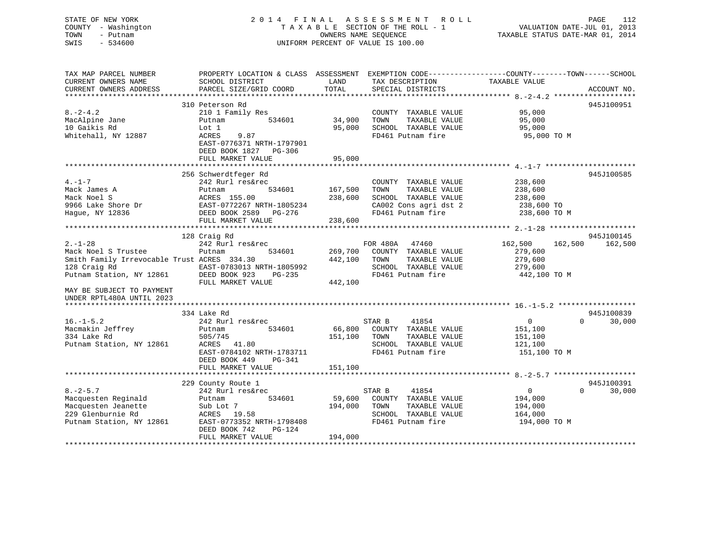# STATE OF NEW YORK 2 0 1 4 F I N A L A S S E S S M E N T R O L L PAGE 112 COUNTY - Washington T A X A B L E SECTION OF THE ROLL - 1 VALUATION DATE-JUL 01, 2013 TOWN - Putnam OWNERS NAME SEQUENCE TAXABLE STATUS DATE-MAR 01, 2014 SWIS - 534600 UNIFORM PERCENT OF VALUE IS 100.00

| TAX MAP PARCEL NUMBER<br>CURRENT OWNERS NAME<br>CURRENT OWNERS ADDRESS                                                                                                                    | PROPERTY LOCATION & CLASS ASSESSMENT<br>SCHOOL DISTRICT<br>PARCEL SIZE/GRID COORD                                                                                     | LAND<br>TOTAL                 | EXEMPTION CODE-----------------COUNTY-------TOWN------SCHOOL<br>TAX DESCRIPTION<br>SPECIAL DISTRICTS                | TAXABLE VALUE                                                       | ACCOUNT NO.                      |
|-------------------------------------------------------------------------------------------------------------------------------------------------------------------------------------------|-----------------------------------------------------------------------------------------------------------------------------------------------------------------------|-------------------------------|---------------------------------------------------------------------------------------------------------------------|---------------------------------------------------------------------|----------------------------------|
| $8. -2 - 4.2$<br>MacAlpine Jane<br>10 Gaikis Rd<br>Whitehall, NY 12887                                                                                                                    | 310 Peterson Rd<br>210 1 Family Res<br>534601<br>Putnam<br>Lot 1<br>9.87<br>ACRES<br>EAST-0776371 NRTH-1797901<br>DEED BOOK 1827<br>PG-306<br>FULL MARKET VALUE       | 34,900<br>95,000<br>95,000    | COUNTY TAXABLE VALUE<br>TAXABLE VALUE<br>TOWN<br>SCHOOL TAXABLE VALUE<br>FD461 Putnam fire                          | 95,000<br>95,000<br>95,000<br>95,000 TO M                           | 945J100951                       |
| $4. - 1 - 7$<br>Mack James A<br>Mack Noel S<br>9966 Lake Shore Dr<br>Hague, NY 12836                                                                                                      | 256 Schwerdtfeger Rd<br>242 Rurl res&rec<br>534601<br>Putnam<br>ACRES 155.00<br>EAST-0772267 NRTH-1805234<br>DEED BOOK 2589 PG-276<br>FULL MARKET VALUE               | 167,500<br>238,600<br>238,600 | COUNTY TAXABLE VALUE<br>TOWN<br>TAXABLE VALUE<br>SCHOOL TAXABLE VALUE<br>CA002 Cons agri dst 2<br>FD461 Putnam fire | 238,600<br>238,600<br>238,600<br>238,600 TO<br>238,600 TO M         | 945J100585                       |
| $2. - 1 - 28$<br>Mack Noel S Trustee<br>Smith Family Irrevocable Trust ACRES 334.30<br>128 Craig Rd<br>Putnam Station, NY 12861<br>MAY BE SUBJECT TO PAYMENT<br>UNDER RPTL480A UNTIL 2023 | 128 Craig Rd<br>242 Rurl res&rec<br>534601<br>Putnam<br>EAST-0783013 NRTH-1805992<br>DEED BOOK 923<br>PG-235<br>FULL MARKET VALUE                                     | 269,700<br>442,100<br>442,100 | FOR 480A 47460<br>COUNTY TAXABLE VALUE<br>TOWN<br>TAXABLE VALUE<br>SCHOOL TAXABLE VALUE<br>FD461 Putnam fire        | 162,500<br>162,500<br>279,600<br>279,600<br>279,600<br>442,100 TO M | 945J100145<br>162,500            |
| $16. - 1 - 5.2$<br>Macmakin Jeffrey<br>334 Lake Rd<br>Putnam Station, NY 12861                                                                                                            | 334 Lake Rd<br>242 Rurl res&rec<br>534601<br>Putnam<br>505/745<br>ACRES 41.80<br>EAST-0784102 NRTH-1783711<br>DEED BOOK 449<br>PG-341<br>FULL MARKET VALUE            | 66,800<br>151,100<br>151,100  | STAR B<br>41854<br>COUNTY TAXABLE VALUE<br>TAXABLE VALUE<br>TOWN<br>SCHOOL TAXABLE VALUE<br>FD461 Putnam fire       | $\overline{0}$<br>151,100<br>151,100<br>121,100<br>151,100 TO M     | 945J100839<br>$\Omega$<br>30,000 |
| $8. - 2 - 5.7$<br>Macquesten Reginald<br>Macquesten Jeanette<br>229 Glenburnie Rd<br>Putnam Station, NY 12861                                                                             | 229 County Route 1<br>242 Rurl res&rec<br>534601<br>Putnam<br>Sub Lot 7<br>ACRES 19.58<br>EAST-0773352 NRTH-1798408<br>DEED BOOK 742<br>$PG-124$<br>FULL MARKET VALUE | 59,600<br>194,000<br>194,000  | 41854<br>STAR B<br>COUNTY TAXABLE VALUE<br>TAXABLE VALUE<br>TOWN<br>SCHOOL TAXABLE VALUE<br>FD461 Putnam fire       | $\overline{0}$<br>194,000<br>194,000<br>164,000<br>194,000 TO M     | 945J100391<br>$\Omega$<br>30,000 |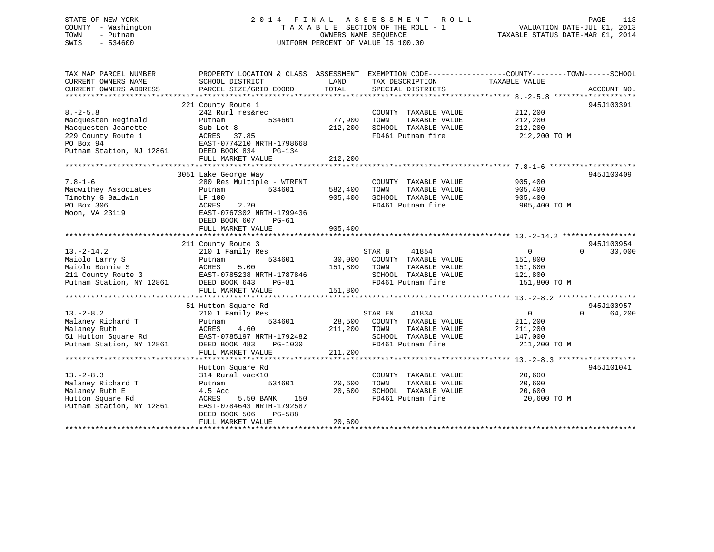# STATE OF NEW YORK 2 0 1 4 F I N A L A S S E S S M E N T R O L L PAGE 113 COUNTY - Washington T A X A B L E SECTION OF THE ROLL - 1 VALUATION DATE-JUL 01, 2013 TOWN - Putnam OWNERS NAME SEQUENCE TAXABLE STATUS DATE-MAR 01, 2014 SWIS - 534600 UNIFORM PERCENT OF VALUE IS 100.00

| TAX MAP PARCEL NUMBER<br>CURRENT OWNERS NAME<br>CURRENT OWNERS ADDRESS                                                      | PROPERTY LOCATION & CLASS ASSESSMENT<br>SCHOOL DISTRICT<br>PARCEL SIZE/GRID COORD                                                                                                      | LAND<br>TOTAL                 | TAX DESCRIPTION<br>SPECIAL DISTRICTS                                                                                                     | EXEMPTION CODE-----------------COUNTY-------TOWN------SCHOOL<br>TAXABLE VALUE                                          | ACCOUNT NO.                      |
|-----------------------------------------------------------------------------------------------------------------------------|----------------------------------------------------------------------------------------------------------------------------------------------------------------------------------------|-------------------------------|------------------------------------------------------------------------------------------------------------------------------------------|------------------------------------------------------------------------------------------------------------------------|----------------------------------|
| $8. - 2 - 5.8$<br>Macquesten Reginald<br>Macquesten Jeanette<br>229 County Route 1<br>PO Box 94<br>Putnam Station, NJ 12861 | 221 County Route 1<br>242 Rurl res&rec<br>534601<br>Putnam<br>Sub Lot 8<br>ACRES 37.85<br>EAST-0774210 NRTH-1798668<br>DEED BOOK 834<br>PG-134<br>FULL MARKET VALUE                    | 77,900<br>212,200<br>212,200  | COUNTY TAXABLE VALUE<br>TAXABLE VALUE<br>TOWN<br>SCHOOL TAXABLE VALUE<br>FD461 Putnam fire                                               | 212,200<br>212,200<br>212,200<br>212,200 TO M                                                                          | 945J100391                       |
| $7.8 - 1 - 6$<br>Macwithey Associates<br>Timothy G Baldwin<br>PO Box 306<br>Moon, VA 23119                                  | 3051 Lake George Way<br>280 Res Multiple - WTRFNT<br>534601<br>Putnam<br>LF 100<br>ACRES<br>2.20<br>EAST-0767302 NRTH-1799436<br>DEED BOOK 607<br>$PG-61$<br>FULL MARKET VALUE         | 582,400<br>905,400<br>905,400 | COUNTY TAXABLE VALUE<br>TOWN<br>TAXABLE VALUE<br>SCHOOL TAXABLE VALUE<br>FD461 Putnam fire                                               | 905,400<br>905,400<br>905,400<br>905,400 TO M                                                                          | 945J100409                       |
|                                                                                                                             |                                                                                                                                                                                        |                               |                                                                                                                                          |                                                                                                                        |                                  |
| $13.-2-14.2$<br>Maiolo Larry S<br>Maiolo Bonnie S<br>211 County Route 3<br>Putnam Station, NY 12861                         | 211 County Route 3<br>210 1 Family Res<br>534601<br>Putnam<br>5.00<br>ACRES<br>EAST-0785238 NRTH-1787846<br>DEED BOOK 643<br>PG-81<br>FULL MARKET VALUE<br>*************************** | 30,000<br>151,800<br>151,800  | STAR B<br>41854<br>COUNTY TAXABLE VALUE<br>TAXABLE VALUE<br>TOWN<br>SCHOOL TAXABLE VALUE<br>FD461 Putnam fire<br>*********************** | $\overline{0}$<br>151,800<br>151,800<br>121,800<br>151,800 TO M<br>********************* 13.-2-8.2 ******************* | 945J100954<br>30,000<br>$\Omega$ |
| $13.-2-8.2$<br>Malaney Richard T<br>Malaney Ruth<br>51 Hutton Square Rd<br>Putnam Station, NY 12861                         | 51 Hutton Square Rd<br>210 1 Family Res<br>534601<br>Putnam<br>ACRES<br>4.60<br>EAST-0785197 NRTH-1792482<br>DEED BOOK 483<br>PG-1030<br>FULL MARKET VALUE                             | 28,500<br>211,200<br>211,200  | 41834<br>STAR EN<br>COUNTY TAXABLE VALUE<br>TOWN<br>TAXABLE VALUE<br>SCHOOL TAXABLE VALUE<br>FD461 Putnam fire                           | $\overline{0}$<br>211,200<br>211,200<br>147,000<br>211,200 TO M                                                        | 945J100957<br>$\Omega$<br>64,200 |
| $13 - 2 - 8.3$<br>Malaney Richard T<br>Malaney Ruth E<br>Hutton Square Rd<br>Putnam Station, NY 12861                       | Hutton Square Rd<br>314 Rural vac<10<br>534601<br>Putnam<br>4.5 Acc<br>ACRES<br>5.50 BANK<br>150<br>EAST-0784643 NRTH-1792587<br>DEED BOOK 506<br>PG-588<br>FULL MARKET VALUE          | 20,600<br>20,600<br>20,600    | COUNTY TAXABLE VALUE<br>TAXABLE VALUE<br>TOWN<br>SCHOOL TAXABLE VALUE<br>FD461 Putnam fire                                               | 20,600<br>20,600<br>20,600<br>20,600 TO M                                                                              | 945J101041                       |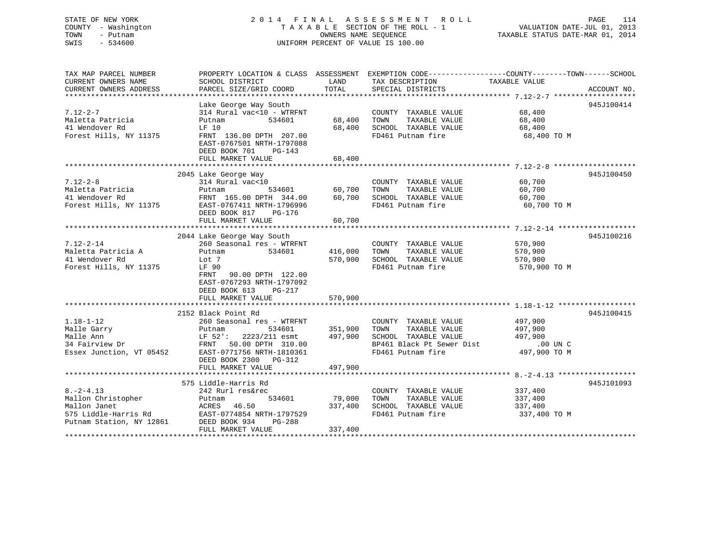# STATE OF NEW YORK 2 0 1 4 F I N A L A S S E S S M E N T R O L L PAGE 114 COUNTY - Washington T A X A B L E SECTION OF THE ROLL - 1 VALUATION DATE-JUL 01, 2013 TOWN - Putnam OWNERS NAME SEQUENCE TAXABLE STATUS DATE-MAR 01, 2014 SWIS - 534600 UNIFORM PERCENT OF VALUE IS 100.00

| TAX MAP PARCEL NUMBER<br>CURRENT OWNERS NAME<br>CURRENT OWNERS ADDRESS                                    | SCHOOL DISTRICT<br>PARCEL SIZE/GRID COORD                                                                                                                                                                  | LAND<br>TOTAL                 | PROPERTY LOCATION & CLASS ASSESSMENT EXEMPTION CODE---------------COUNTY-------TOWN-----SCHOOL<br>TAX DESCRIPTION<br>SPECIAL DISTRICTS | TAXABLE VALUE                                               | ACCOUNT NO. |
|-----------------------------------------------------------------------------------------------------------|------------------------------------------------------------------------------------------------------------------------------------------------------------------------------------------------------------|-------------------------------|----------------------------------------------------------------------------------------------------------------------------------------|-------------------------------------------------------------|-------------|
| $7.12 - 2 - 7$<br>Maletta Patricia<br>41 Wendover Rd<br>Forest Hills, NY 11375                            | Lake George Way South<br>314 Rural vac<10 - WTRFNT<br>534601<br>Putnam<br>LF 10<br>FRNT 136.00 DPTH 207.00<br>EAST-0767501 NRTH-1797088<br>DEED BOOK 701<br>$PG-143$<br>FULL MARKET VALUE                  | 68,400<br>68,400<br>68,400    | COUNTY TAXABLE VALUE<br>TOWN<br>TAXABLE VALUE<br>SCHOOL TAXABLE VALUE<br>FD461 Putnam fire                                             | 68,400<br>68,400<br>68,400<br>68,400 TO M                   | 945J100414  |
| $7.12 - 2 - 8$<br>Maletta Patricia<br>41 Wendover Rd<br>Forest Hills, NY 11375                            | 2045 Lake George Way<br>314 Rural vac<10<br>534601<br>Putnam<br>FRNT 165.00 DPTH 344.00<br>EAST-0767411 NRTH-1796996<br>DEED BOOK 817 PG-176<br>FULL MARKET VALUE                                          | 60,700<br>60,700<br>60,700    | COUNTY TAXABLE VALUE<br>TAXABLE VALUE<br>TOWN<br>SCHOOL TAXABLE VALUE<br>FD461 Putnam fire                                             | 60,700<br>60,700<br>60,700<br>60,700 TO M                   | 945J100450  |
| $7.12 - 2 - 14$<br>Maletta Patricia A<br>41 Wendover Rd<br>Forest Hills, NY 11375                         | 2044 Lake George Way South<br>260 Seasonal res - WTRFNT<br>Putnam<br>534601<br>Lot 7<br>LF 90<br>FRNT 90.00 DPTH 122.00<br>EAST-0767293 NRTH-1797092<br>DEED BOOK 613<br>PG-217<br>FULL MARKET VALUE       | 416,000<br>570,900<br>570,900 | COUNTY TAXABLE VALUE<br>TAXABLE VALUE<br>TOWN<br>SCHOOL TAXABLE VALUE<br>FD461 Putnam fire                                             | 570,900<br>570,900<br>570,900<br>570,900 TO M               | 945J100216  |
| $1.18 - 1 - 12$<br>Malle Garry<br>Malle Ann<br>34 Fairview Dr<br>Essex Junction, VT 05452                 | 2152 Black Point Rd<br>260 Seasonal res - WTRFNT<br>534601<br>Putnam<br>LF 52': 2223/211 esmt 497,900<br>FRNT 50.00 DPTH 310.00<br>EAST-0771756 NRTH-1810361<br>DEED BOOK 2300 PG-312<br>FULL MARKET VALUE | 351,900<br>497,900            | COUNTY TAXABLE VALUE<br>TOWN<br>TAXABLE VALUE<br>SCHOOL TAXABLE VALUE<br>BP461 Black Pt Sewer Dist<br>FD461 Putnam fire                | 497,900<br>497,900<br>497,900<br>$.00$ UN C<br>497,900 TO M | 945J100415  |
| $8. - 2 - 4.13$<br>Mallon Christopher<br>Mallon Janet<br>575 Liddle-Harris Rd<br>Putnam Station, NY 12861 | 575 Liddle-Harris Rd<br>242 Rurl res&rec<br>534601<br>Putnam<br>46.50<br>ACRES<br>EAST-0774854 NRTH-1797529<br>DEED BOOK 934<br>PG-288<br>FULL MARKET VALUE                                                | 79,000<br>337,400<br>337,400  | COUNTY TAXABLE VALUE<br>TOWN<br>TAXABLE VALUE<br>SCHOOL TAXABLE VALUE<br>FD461 Putnam fire                                             | 337,400<br>337,400<br>337,400<br>337,400 TO M               | 945J101093  |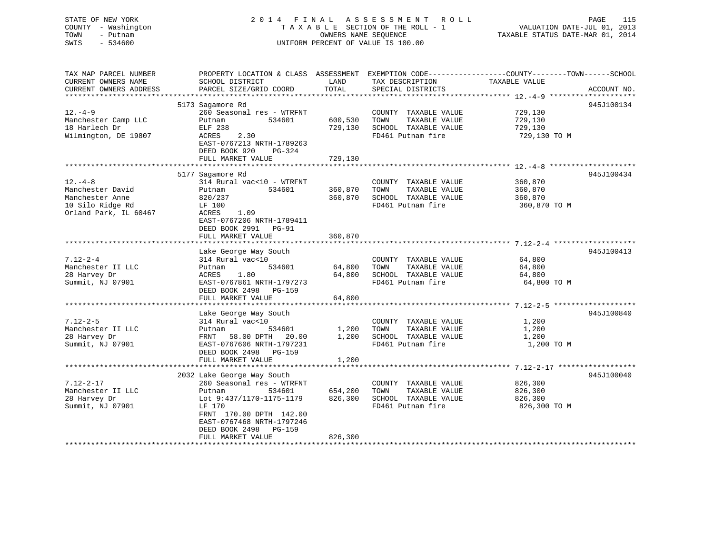# STATE OF NEW YORK 2 0 1 4 F I N A L A S S E S S M E N T R O L L PAGE 115 COUNTY - Washington T A X A B L E SECTION OF THE ROLL - 1 VALUATION DATE-JUL 01, 2013 TOWN - Putnam **CONNERS NAME SEQUENCE** TAXABLE STATUS DATE-MAR 01, 2014 SWIS - 534600 UNIFORM PERCENT OF VALUE IS 100.00

| TAX MAP PARCEL NUMBER<br>CURRENT OWNERS NAME<br>CURRENT OWNERS ADDRESS                            | PROPERTY LOCATION & CLASS ASSESSMENT EXEMPTION CODE----------------COUNTY-------TOWN------SCHOOL<br>SCHOOL DISTRICT<br>PARCEL SIZE/GRID COORD                                                                           | LAND<br>TOTAL                 | TAX DESCRIPTION<br>SPECIAL DISTRICTS                                                       | TAXABLE VALUE                                 | ACCOUNT NO. |
|---------------------------------------------------------------------------------------------------|-------------------------------------------------------------------------------------------------------------------------------------------------------------------------------------------------------------------------|-------------------------------|--------------------------------------------------------------------------------------------|-----------------------------------------------|-------------|
| $12. -4 - 9$<br>Manchester Camp LLC<br>18 Harlech Dr<br>Wilmington, DE 19807                      | 5173 Sagamore Rd<br>260 Seasonal res - WTRFNT<br>534601<br>Putnam<br>ELF 238<br>ACRES<br>2.30<br>EAST-0767213 NRTH-1789263<br>DEED BOOK 920<br>PG-324<br>FULL MARKET VALUE                                              | 600,530<br>729,130<br>729,130 | COUNTY TAXABLE VALUE<br>TAXABLE VALUE<br>TOWN<br>SCHOOL TAXABLE VALUE<br>FD461 Putnam fire | 729,130<br>729,130<br>729,130<br>729,130 ТО М | 945J100134  |
| $12. - 4 - 8$<br>Manchester David<br>Manchester Anne<br>10 Silo Ridge Rd<br>Orland Park, IL 60467 | 5177 Sagamore Rd<br>314 Rural vac<10 - WTRFNT<br>534601<br>Putnam<br>820/237<br>LF 100<br>ACRES<br>1.09<br>EAST-0767206 NRTH-1789411<br>DEED BOOK 2991 PG-91<br>FULL MARKET VALUE                                       | 360,870<br>360,870<br>360,870 | COUNTY TAXABLE VALUE<br>TOWN<br>TAXABLE VALUE<br>SCHOOL TAXABLE VALUE<br>FD461 Putnam fire | 360,870<br>360,870<br>360,870<br>360,870 TO M | 945J100434  |
|                                                                                                   |                                                                                                                                                                                                                         |                               |                                                                                            |                                               |             |
| $7.12 - 2 - 4$<br>Manchester II LLC<br>28 Harvey Dr<br>Summit, NJ 07901                           | Lake George Way South<br>314 Rural vac<10<br>534601<br>Putnam<br>1.80<br>ACRES<br>EAST-0767861 NRTH-1797273<br>DEED BOOK 2498 PG-159                                                                                    | 64,800<br>64,800              | COUNTY TAXABLE VALUE<br>TAXABLE VALUE<br>TOWN<br>SCHOOL TAXABLE VALUE<br>FD461 Putnam fire | 64,800<br>64,800<br>64,800<br>64,800 TO M     | 945J100413  |
|                                                                                                   | FULL MARKET VALUE                                                                                                                                                                                                       | 64,800                        |                                                                                            |                                               |             |
| $7.12 - 2 - 5$<br>Manchester II LLC<br>28 Harvey Dr<br>Summit, NJ 07901                           | Lake George Way South<br>314 Rural vac<10<br>Putnam<br>534601<br>FRNT 58.00 DPTH 20.00<br>EAST-0767606 NRTH-1797231<br>DEED BOOK 2498 PG-159<br>FULL MARKET VALUE                                                       | 1,200<br>1,200<br>1,200       | COUNTY TAXABLE VALUE<br>TAXABLE VALUE<br>TOWN<br>SCHOOL TAXABLE VALUE<br>FD461 Putnam fire | 1,200<br>1,200<br>1,200<br>1,200 TO M         | 945J100840  |
|                                                                                                   |                                                                                                                                                                                                                         |                               |                                                                                            |                                               |             |
| $7.12 - 2 - 17$<br>Manchester II LLC<br>28 Harvey Dr<br>Summit, NJ 07901                          | 2032 Lake George Way South<br>260 Seasonal res - WTRFNT<br>534601<br>Putnam<br>Lot 9:437/1170-1175-1179<br>LF 170<br>FRNT 170.00 DPTH 142.00<br>EAST-0767468 NRTH-1797246<br>DEED BOOK 2498 PG-159<br>FULL MARKET VALUE | 654,200<br>826,300<br>826,300 | COUNTY TAXABLE VALUE<br>TOWN<br>TAXABLE VALUE<br>SCHOOL TAXABLE VALUE<br>FD461 Putnam fire | 826,300<br>826,300<br>826,300<br>826,300 TO M | 945J100040  |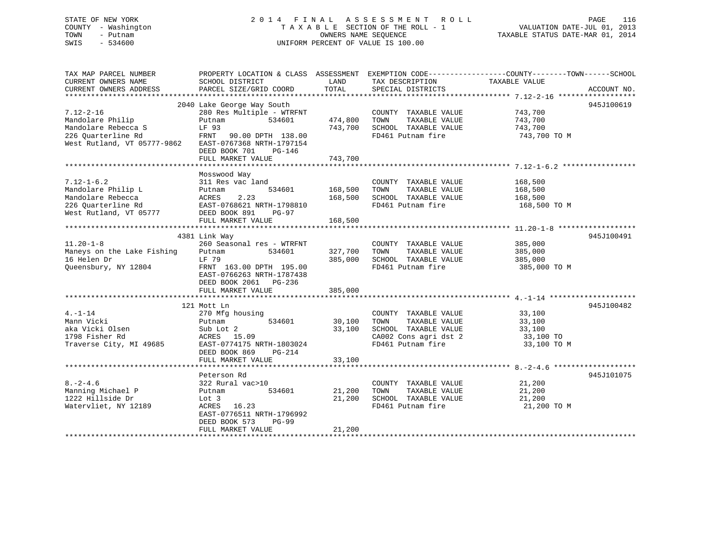# STATE OF NEW YORK 2 0 1 4 F I N A L A S S E S S M E N T R O L L PAGE 116 COUNTY - Washington T A X A B L E SECTION OF THE ROLL - 1 VALUATION DATE-JUL 01, 2013 TOWN - Putnam OWNERS NAME SEQUENCE TAXABLE STATUS DATE-MAR 01, 2014 SWIS - 534600 UNIFORM PERCENT OF VALUE IS 100.00

| TAX MAP PARCEL NUMBER             | PROPERTY LOCATION & CLASS ASSESSMENT |             | EXEMPTION CODE-----------------COUNTY-------TOWN------SCHOOL |                    |             |
|-----------------------------------|--------------------------------------|-------------|--------------------------------------------------------------|--------------------|-------------|
| CURRENT OWNERS NAME               | SCHOOL DISTRICT                      | LAND        | TAX DESCRIPTION                                              | TAXABLE VALUE      |             |
| CURRENT OWNERS ADDRESS            | PARCEL SIZE/GRID COORD               | TOTAL       | SPECIAL DISTRICTS                                            |                    | ACCOUNT NO. |
|                                   |                                      |             |                                                              |                    |             |
|                                   | 2040 Lake George Way South           |             |                                                              |                    | 945J100619  |
| $7.12 - 2 - 16$                   | 280 Res Multiple - WTRFNT            |             | COUNTY TAXABLE VALUE 743,700                                 |                    |             |
| Mandolare Philip                  | Putnam<br>534601                     | 474,800     | TAXABLE VALUE<br>TOWN                                        | 743,700            |             |
| Mandolare Rebecca S               | LF 93                                | 743,700     | SCHOOL TAXABLE VALUE                                         | 743,700            |             |
| 226 Ouarterline Rd                | FRNT 90.00 DPTH 138.00               |             | FD461 Putnam fire                                            | 743,700 TO M       |             |
| West Rutland, VT 05777-9862       | EAST-0767368 NRTH-1797154            |             |                                                              |                    |             |
|                                   | DEED BOOK 701<br>PG-146              |             |                                                              |                    |             |
|                                   | FULL MARKET VALUE                    | 743,700     |                                                              |                    |             |
|                                   |                                      |             |                                                              |                    |             |
|                                   | Mosswood Way                         |             |                                                              |                    |             |
| $7.12 - 1 - 6.2$                  | 311 Res vac land                     |             | COUNTY TAXABLE VALUE                                         | 168,500            |             |
| Mandolare Philip L                | 534601<br>Putnam                     | 168,500     | TOWN<br>TAXABLE VALUE                                        |                    |             |
| Mandolare Rebecca                 | ACRES<br>2.23                        | 168,500     | SCHOOL TAXABLE VALUE                                         | 168,500<br>168,500 |             |
| 226 Quarterline Rd                | EAST-0768621 NRTH-1798810            |             | FD461 Putnam fire                                            | 168,500 TO M       |             |
| West Rutland, VT 05777            | DEED BOOK 891<br>PG-97               |             |                                                              |                    |             |
|                                   | FULL MARKET VALUE                    | 168,500     |                                                              |                    |             |
|                                   |                                      |             |                                                              |                    |             |
|                                   | 4381 Link Way                        |             |                                                              |                    | 945J100491  |
| $11.20 - 1 - 8$                   | 260 Seasonal res - WTRFNT            |             | COUNTY TAXABLE VALUE                                         | 385,000            |             |
| Maneys on the Lake Fishing Putnam | 534601                               | 327,700     | TAXABLE VALUE<br>TOWN                                        | 385,000            |             |
| 16 Helen Dr                       | LF 79                                | 385,000     | SCHOOL TAXABLE VALUE                                         | 385,000            |             |
| Queensbury, NY 12804              | FRNT 163.00 DPTH 195.00              |             | FD461 Putnam fire                                            | 385,000 TO M       |             |
|                                   | EAST-0766263 NRTH-1787438            |             |                                                              |                    |             |
|                                   | DEED BOOK 2061 PG-236                |             |                                                              |                    |             |
|                                   | FULL MARKET VALUE                    | 385,000     |                                                              |                    |             |
|                                   |                                      |             |                                                              |                    |             |
|                                   | 121 Mott Ln                          |             |                                                              |                    | 945J100482  |
| $4. -1 - 14$                      | 270 Mfg housing                      |             | COUNTY TAXABLE VALUE                                         | 33,100             |             |
| Mann Vicki                        | 534601<br>Putnam                     | 30,100 TOWN | TAXABLE VALUE                                                | 33,100             |             |
| aka Vicki Olsen                   | Sub Lot 2                            | 33,100      | SCHOOL TAXABLE VALUE                                         | 33,100             |             |
| 1798 Fisher Rd                    | ACRES 15.09                          |             | CA002 Cons agri dst 2                                        | 33,100 TO          |             |
| Traverse City, MI 49685           | EAST-0774175 NRTH-1803024            |             | FD461 Putnam fire                                            | 33,100 TO M        |             |
|                                   | DEED BOOK 869<br>PG-214              |             |                                                              |                    |             |
|                                   | FULL MARKET VALUE                    | 33,100      |                                                              |                    |             |
|                                   |                                      |             |                                                              |                    |             |
|                                   | Peterson Rd                          |             |                                                              |                    | 945J101075  |
| $8. - 2 - 4.6$                    | 322 Rural vac>10                     |             | COUNTY TAXABLE VALUE                                         | 21,200             |             |
| Manning Michael P                 | 534601<br>Putnam                     | 21,200      | TAXABLE VALUE<br>TOWN                                        | 21,200             |             |
| 1222 Hillside Dr                  | Lot 3                                | 21,200      | SCHOOL TAXABLE VALUE                                         | 21,200             |             |
| Watervliet, NY 12189              | ACRES 16.23                          |             | FD461 Putnam fire                                            | 21,200 TO M        |             |
|                                   | EAST-0776511 NRTH-1796992            |             |                                                              |                    |             |
|                                   | DEED BOOK 573<br><b>PG-99</b>        |             |                                                              |                    |             |
|                                   | FULL MARKET VALUE                    | 21,200      |                                                              |                    |             |
|                                   |                                      |             |                                                              |                    |             |
|                                   |                                      |             |                                                              |                    |             |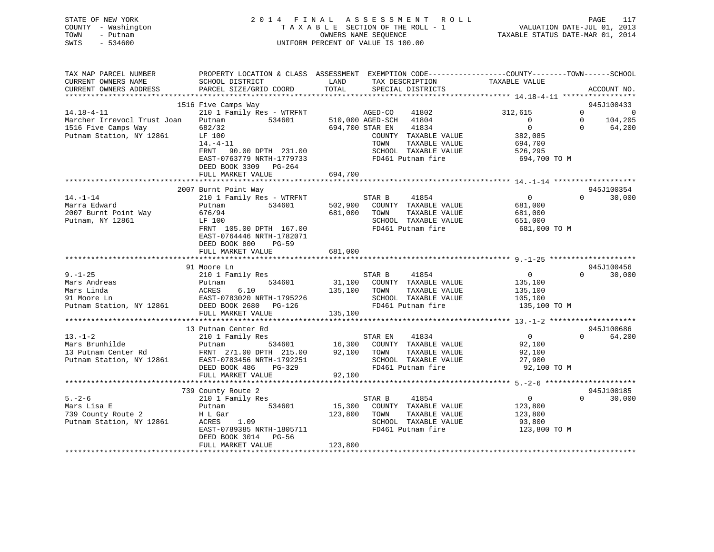# STATE OF NEW YORK 2 0 1 4 F I N A L A S S E S S M E N T R O L L PAGE 117 COUNTY - Washington T A X A B L E SECTION OF THE ROLL - 1 VALUATION DATE-JUL 01, 2013 TOWN - Putnam OWNERS NAME SEQUENCE TAXABLE STATUS DATE-MAR 01, 2014 SWIS - 534600 UNIFORM PERCENT OF VALUE IS 100.00

| TAX MAP PARCEL NUMBER       | PROPERTY LOCATION & CLASS ASSESSMENT EXEMPTION CODE---------------COUNTY-------TOWN-----SCHOOL |         |                  |                                    |                |              |                |
|-----------------------------|------------------------------------------------------------------------------------------------|---------|------------------|------------------------------------|----------------|--------------|----------------|
| CURRENT OWNERS NAME         | SCHOOL DISTRICT                                                                                | LAND    |                  | TAX DESCRIPTION                    | TAXABLE VALUE  |              |                |
| CURRENT OWNERS ADDRESS      | PARCEL SIZE/GRID COORD                                                                         | TOTAL   |                  | SPECIAL DISTRICTS                  |                |              | ACCOUNT NO.    |
|                             |                                                                                                |         |                  |                                    |                |              |                |
|                             | 1516 Five Camps Way                                                                            |         |                  |                                    |                |              | 945J100433     |
| $14.18 - 4 - 11$            | 210 1 Family Res - WTRFNT                                                                      |         | AGED-CO          | 41802                              | 312,615        | $\mathbf{0}$ | $\overline{0}$ |
| Marcher Irrevocl Trust Joan | Putnam<br>534601                                                                               |         | 510,000 AGED-SCH | 41804                              | $\overline{0}$ | $\mathbf 0$  | 104,205        |
| 1516 Five Camps Way         | 682/32                                                                                         |         | 694,700 STAR EN  | 41834                              | $\overline{0}$ | $\Omega$     | 64,200         |
| Putnam Station, NY 12861    | LF 100                                                                                         |         |                  | COUNTY TAXABLE VALUE               | 382,085        |              |                |
|                             | $14. - 4 - 11$                                                                                 |         | TOWN             | TAXABLE VALUE                      | 694,700        |              |                |
|                             | FRNT 90.00 DPTH 231.00                                                                         |         |                  | SCHOOL TAXABLE VALUE               | 526,295        |              |                |
|                             | EAST-0763779 NRTH-1779733                                                                      |         |                  | FD461 Putnam fire                  | 694,700 TO M   |              |                |
|                             | DEED BOOK 3309 PG-264                                                                          |         |                  |                                    |                |              |                |
|                             | FULL MARKET VALUE                                                                              | 694,700 |                  |                                    |                |              |                |
|                             |                                                                                                |         |                  |                                    |                |              |                |
|                             | 2007 Burnt Point Way                                                                           |         |                  |                                    |                |              | 945J100354     |
| $14. - 1 - 14$              | 210 1 Family Res - WTRFNT                                                                      |         | STAR B           | 41854                              | $\overline{0}$ | $\Omega$     | 30,000         |
| Marra Edward                | 534601<br>Putnam                                                                               | 502,900 |                  | COUNTY TAXABLE VALUE               | 681,000        |              |                |
| 2007 Burnt Point Way        | 676/94                                                                                         | 681,000 | TOWN             | TAXABLE VALUE                      | 681,000        |              |                |
| Putnam, NY 12861            | LF 100                                                                                         |         |                  | SCHOOL TAXABLE VALUE               | 651,000        |              |                |
|                             | FRNT 105.00 DPTH 167.00                                                                        |         |                  | FD461 Putnam fire                  | 681,000 TO M   |              |                |
|                             | EAST-0764446 NRTH-1782071                                                                      |         |                  |                                    |                |              |                |
|                             | DEED BOOK 800<br>PG-59                                                                         |         |                  |                                    |                |              |                |
|                             | FULL MARKET VALUE                                                                              | 681,000 |                  |                                    |                |              |                |
|                             |                                                                                                |         |                  |                                    |                |              |                |
|                             | 91 Moore Ln                                                                                    |         |                  |                                    |                |              | 945J100456     |
| $9. - 1 - 25$               | 210 1 Family Res                                                                               |         | STAR B           | 41854                              | $\overline{0}$ | $\Omega$     | 30,000         |
| Mars Andreas                | 534601<br>Putnam                                                                               |         |                  | 31,100 COUNTY TAXABLE VALUE        | 135,100        |              |                |
| Mars Linda                  | 6.10<br>ACRES                                                                                  | 135,100 | TOWN             | TAXABLE VALUE                      | 135,100        |              |                |
|                             |                                                                                                |         |                  | SCHOOL TAXABLE VALUE               | 105,100        |              |                |
|                             |                                                                                                |         |                  | FD461 Putnam fire                  | 135,100 TO M   |              |                |
|                             | FULL MARKET VALUE                                                                              | 135,100 |                  |                                    |                |              |                |
|                             |                                                                                                |         |                  |                                    |                |              |                |
|                             | 13 Putnam Center Rd                                                                            |         |                  |                                    |                |              | 945J100686     |
| $13. - 1 - 2$               | 210 1 Family Res                                                                               |         | STAR EN 41834    |                                    | $\overline{0}$ | $\Omega$     | 64,200         |
| Mars Brunhilde              | Putnam                                                                                         |         |                  | 534601 16,300 COUNTY TAXABLE VALUE | 92,100         |              |                |
| 13 Putnam Center Rd         | FRNT 271.00 DPTH 215.00                                                                        | 92,100  | TOWN             | TAXABLE VALUE                      | 92,100         |              |                |
| Putnam Station, NY 12861    | EAST-0783456 NRTH-1792251                                                                      |         |                  | SCHOOL TAXABLE VALUE               | 27,900         |              |                |
|                             | PG-329<br>DEED BOOK 486                                                                        |         |                  | FD461 Putnam fire                  | 92,100 TO M    |              |                |
|                             | FULL MARKET VALUE                                                                              | 92,100  |                  |                                    |                |              |                |
|                             |                                                                                                |         |                  |                                    |                |              |                |
|                             | 739 County Route 2                                                                             |         |                  |                                    |                |              | 945J100185     |
| $5. - 2 - 6$                | 210 1 Family Res                                                                               |         | STAR B           | 41854                              | $\overline{0}$ | $\Omega$     | 30,000         |
| Mars Lisa E                 | 534601<br>Putnam                                                                               | 15,300  |                  | COUNTY TAXABLE VALUE               | 123,800        |              |                |
| 739 County Route 2          | H L Gar                                                                                        | 123,800 | TOWN             | TAXABLE VALUE                      | 123,800        |              |                |
| Putnam Station, NY 12861    | ACRES 1.09                                                                                     |         |                  | SCHOOL TAXABLE VALUE               | 93,800         |              |                |
|                             | EAST-0789385 NRTH-1805711                                                                      |         |                  | FD461 Putnam fire                  | 123,800 TO M   |              |                |
|                             | DEED BOOK 3014 PG-56                                                                           |         |                  |                                    |                |              |                |
|                             | FULL MARKET VALUE                                                                              | 123,800 |                  |                                    |                |              |                |
|                             |                                                                                                |         |                  |                                    |                |              |                |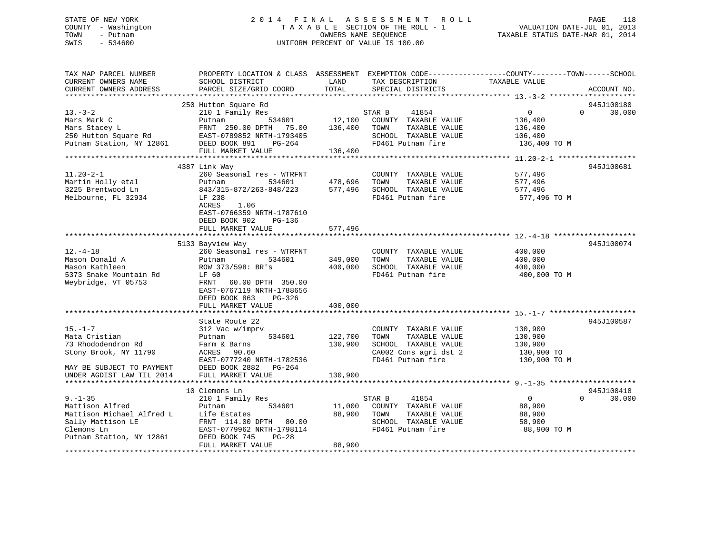# STATE OF NEW YORK 2 0 1 4 F I N A L A S S E S S M E N T R O L L PAGE 118 COUNTY - Washington T A X A B L E SECTION OF THE ROLL - 1 VALUATION DATE-JUL 01, 2013 TOWN - Putnam OWNERS NAME SEQUENCE TAXABLE STATUS DATE-MAR 01, 2014 SWIS - 534600 UNIFORM PERCENT OF VALUE IS 100.00

| TAX MAP PARCEL NUMBER<br>CURRENT OWNERS NAME<br>CURRENT OWNERS ADDRESS                                                                  | PROPERTY LOCATION & CLASS ASSESSMENT EXEMPTION CODE----------------COUNTY-------TOWN------SCHOOL<br>SCHOOL DISTRICT<br>PARCEL SIZE/GRID COORD                                                               | LAND<br>TOTAL                 | TAX DESCRIPTION<br>SPECIAL DISTRICTS                                                                                | TAXABLE VALUE                                                   | ACCOUNT NO.                      |
|-----------------------------------------------------------------------------------------------------------------------------------------|-------------------------------------------------------------------------------------------------------------------------------------------------------------------------------------------------------------|-------------------------------|---------------------------------------------------------------------------------------------------------------------|-----------------------------------------------------------------|----------------------------------|
|                                                                                                                                         |                                                                                                                                                                                                             |                               |                                                                                                                     |                                                                 |                                  |
| $13. - 3 - 2$<br>Mars Mark C<br>Mars Stacey L<br>250 Hutton Square Rd<br>Putnam Station, NY 12861                                       | 250 Hutton Square Rd<br>210 1 Family Res<br>534601<br>Putnam<br>FRNT 250.00 DPTH<br>75.00<br>EAST-0789852 NRTH-1793405<br>DEED BOOK 891<br>PG-264                                                           | 12,100<br>136,400             | 41854<br>STAR B<br>COUNTY TAXABLE VALUE<br>TOWN<br>TAXABLE VALUE<br>SCHOOL TAXABLE VALUE<br>FD461 Putnam fire       | $\overline{0}$<br>136,400<br>136,400<br>106,400<br>136,400 TO M | 945J100180<br>30,000<br>$\Omega$ |
|                                                                                                                                         | FULL MARKET VALUE                                                                                                                                                                                           | 136,400                       |                                                                                                                     |                                                                 |                                  |
|                                                                                                                                         |                                                                                                                                                                                                             |                               |                                                                                                                     |                                                                 |                                  |
| $11.20 - 2 - 1$<br>Martin Holly etal<br>3225 Brentwood Ln<br>Melbourne, FL 32934                                                        | 4387 Link Way<br>260 Seasonal res - WTRFNT<br>Putnam<br>534601<br>843/315-872/263-848/223<br>LF 238<br><b>ACRES</b><br>1.06<br>EAST-0766359 NRTH-1787610<br>DEED BOOK 902<br>PG-136                         | 478,696<br>577,496            | COUNTY TAXABLE VALUE<br>TOWN<br>TAXABLE VALUE<br>SCHOOL TAXABLE VALUE<br>FD461 Putnam fire                          | 577,496<br>577,496<br>577,496<br>577,496 TO M                   | 945J100681                       |
|                                                                                                                                         | FULL MARKET VALUE                                                                                                                                                                                           | 577,496                       |                                                                                                                     |                                                                 |                                  |
| $12. -4 - 18$<br>Mason Donald A<br>Mason Kathleen<br>5373 Snake Mountain Rd<br>Weybridge, VT 05753                                      | 5133 Bayview Way<br>260 Seasonal res - WTRFNT<br>534601<br>Putnam<br>ROW 373/598: BR's<br>LF 60<br>FRNT<br>60.00 DPTH 350.00<br>EAST-0767119 NRTH-1788656<br>DEED BOOK 863<br>$PG-326$<br>FULL MARKET VALUE | 349,000<br>400,000<br>400,000 | COUNTY TAXABLE VALUE<br>TOWN<br>TAXABLE VALUE<br>SCHOOL TAXABLE VALUE<br>FD461 Putnam fire                          | 400,000<br>400,000<br>400,000<br>400,000 TO M                   | 945J100074                       |
|                                                                                                                                         |                                                                                                                                                                                                             |                               |                                                                                                                     |                                                                 |                                  |
| $15. - 1 - 7$<br>Mata Cristian<br>73 Rhododendron Rd<br>Stony Brook, NY 11790<br>MAY BE SUBJECT TO PAYMENT<br>UNDER AGDIST LAW TIL 2014 | State Route 22<br>312 Vac w/imprv<br>534601<br>Putnam<br>Farm & Barns<br>ACRES 90.60<br>EAST-0777240 NRTH-1782536<br>DEED BOOK 2882<br>PG-264<br>FULL MARKET VALUE                                          | 122,700<br>130,900<br>130,900 | COUNTY TAXABLE VALUE<br>TOWN<br>TAXABLE VALUE<br>SCHOOL TAXABLE VALUE<br>CA002 Cons agri dst 2<br>FD461 Putnam fire | 130,900<br>130,900<br>130,900<br>130,900 TO<br>130,900 TO M     | 945J100587                       |
|                                                                                                                                         |                                                                                                                                                                                                             |                               |                                                                                                                     |                                                                 |                                  |
| $9. - 1 - 35$<br>Mattison Alfred<br>Mattison Michael Alfred L<br>Sally Mattison LE<br>Clemons Ln<br>Putnam Station, NY 12861            | 10 Clemons Ln<br>210 1 Family Res<br>534601<br>Putnam<br>Life Estates<br>FRNT 114.00 DPTH 80.00<br>EAST-0779962 NRTH-1798114<br>DEED BOOK 745<br>$PG-28$                                                    | 11,000<br>88,900              | 41854<br>STAR B<br>COUNTY TAXABLE VALUE<br>TOWN<br>TAXABLE VALUE<br>SCHOOL TAXABLE VALUE<br>FD461 Putnam fire       | $\overline{0}$<br>88,900<br>88,900<br>58,900<br>88,900 TO M     | 945J100418<br>$\Omega$<br>30,000 |
| ******************                                                                                                                      | FULL MARKET VALUE                                                                                                                                                                                           | 88,900                        |                                                                                                                     |                                                                 |                                  |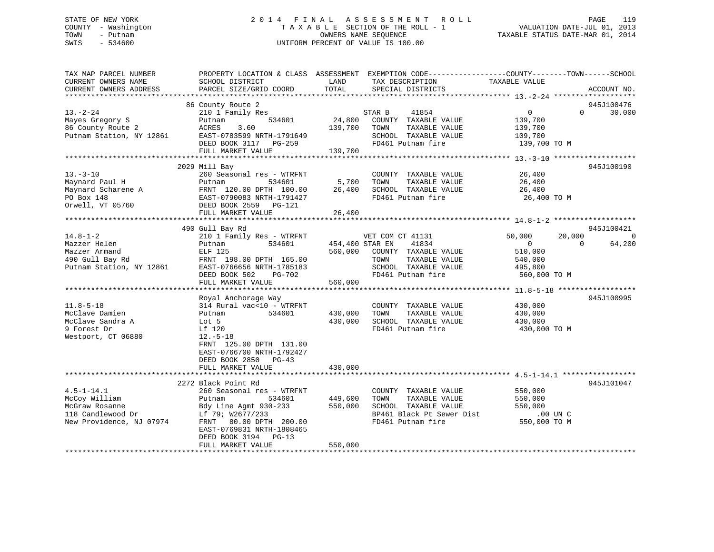# STATE OF NEW YORK 2 0 1 4 F I N A L A S S E S S M E N T R O L L PAGE 119 COUNTY - Washington T A X A B L E SECTION OF THE ROLL - 1 VALUATION DATE-JUL 01, 2013 TOWN - Putnam OWNERS NAME SEQUENCE TAXABLE STATUS DATE-MAR 01, 2014 SWIS - 534600 UNIFORM PERCENT OF VALUE IS 100.00

| TAX MAP PARCEL NUMBER<br>CURRENT OWNERS NAME<br>CURRENT OWNERS ADDRESS                                                                                  | PROPERTY LOCATION & CLASS ASSESSMENT<br>SCHOOL DISTRICT<br>PARCEL SIZE/GRID COORD                                                                                                                                                                                           | LAND<br>TOTAL                                               | EXEMPTION CODE-----------------COUNTY-------TOWN------SCHOOL<br>TAX DESCRIPTION<br>SPECIAL DISTRICTS                                                                                             | TAXABLE VALUE                                                                                              | ACCOUNT NO.                                                                |
|---------------------------------------------------------------------------------------------------------------------------------------------------------|-----------------------------------------------------------------------------------------------------------------------------------------------------------------------------------------------------------------------------------------------------------------------------|-------------------------------------------------------------|--------------------------------------------------------------------------------------------------------------------------------------------------------------------------------------------------|------------------------------------------------------------------------------------------------------------|----------------------------------------------------------------------------|
|                                                                                                                                                         |                                                                                                                                                                                                                                                                             |                                                             |                                                                                                                                                                                                  |                                                                                                            |                                                                            |
| $13. - 2 - 24$<br>Mayes Gregory S<br>86 County Route 2<br>Putnam Station, NY 12861                                                                      | 86 County Route 2<br>210 1 Family Res<br>534601<br>Putnam<br>3.60<br>ACRES<br>EAST-0783599 NRTH-1791649<br>DEED BOOK 3117 PG-259<br>FULL MARKET VALUE                                                                                                                       | 24,800<br>139,700<br>139,700                                | 41854<br>STAR B<br>COUNTY TAXABLE VALUE<br>TOWN<br>TAXABLE VALUE<br>SCHOOL TAXABLE VALUE<br>FD461 Putnam fire                                                                                    | $\overline{0}$<br>139,700<br>139,700<br>109,700<br>139,700 TO M                                            | 945J100476<br>30,000<br>$\Omega$                                           |
|                                                                                                                                                         |                                                                                                                                                                                                                                                                             |                                                             |                                                                                                                                                                                                  |                                                                                                            |                                                                            |
| $13. - 3 - 10$<br>Maynard Paul H<br>Maynard Scharene A<br>PO Box 148<br>Orwell, VT 05760                                                                | 2029 Mill Bay<br>260 Seasonal res - WTRFNT<br>Putnam<br>534601<br>FRNT 120.00 DPTH 100.00<br>EAST-0790083 NRTH-1791427<br>DEED BOOK 2559 PG-121                                                                                                                             | 5,700<br>26,400                                             | COUNTY TAXABLE VALUE<br>TAXABLE VALUE<br>TOWN<br>SCHOOL TAXABLE VALUE<br>FD461 Putnam fire                                                                                                       | 26,400<br>26,400<br>26,400<br>26,400 TO M                                                                  | 945J100190                                                                 |
|                                                                                                                                                         | FULL MARKET VALUE                                                                                                                                                                                                                                                           | 26,400                                                      |                                                                                                                                                                                                  |                                                                                                            |                                                                            |
|                                                                                                                                                         |                                                                                                                                                                                                                                                                             |                                                             |                                                                                                                                                                                                  |                                                                                                            |                                                                            |
| $14.8 - 1 - 2$<br>Mazzer Helen<br>Mazzer Armand<br>490 Gull Bay Rd<br>Putnam Station, NY 12861<br>$11.8 - 5 - 18$<br>McClave Damien<br>McClave Sandra A | 490 Gull Bay Rd<br>210 1 Family Res - WTRFNT<br>Putnam<br>534601<br>ELF 125<br>FRNT 198.00 DPTH 165.00<br>EAST-0766656 NRTH-1785183<br>DEED BOOK 502<br><b>PG-702</b><br>FULL MARKET VALUE<br>Royal Anchorage Way<br>314 Rural vac<10 - WTRFNT<br>534601<br>Putnam<br>Lot 5 | 454,400 STAR EN<br>560,000<br>560,000<br>430,000<br>430,000 | VET COM CT 41131<br>41834<br>COUNTY TAXABLE VALUE<br>TOWN<br>TAXABLE VALUE<br>SCHOOL TAXABLE VALUE<br>FD461 Putnam fire<br>COUNTY TAXABLE VALUE<br>TOWN<br>TAXABLE VALUE<br>SCHOOL TAXABLE VALUE | 50,000<br>$\overline{0}$<br>510,000<br>540,000<br>495,800<br>560,000 TO M<br>430,000<br>430,000<br>430,000 | 945J100421<br>20,000<br>$\overline{0}$<br>$\Omega$<br>64,200<br>945J100995 |
| 9 Forest Dr<br>Westport, CT 06880                                                                                                                       | Lf 120<br>$12.-5-18$<br>FRNT 125.00 DPTH 131.00<br>EAST-0766700 NRTH-1792427<br>DEED BOOK 2850 PG-43<br>FULL MARKET VALUE                                                                                                                                                   | 430,000                                                     | FD461 Putnam fire                                                                                                                                                                                | 430,000 TO M                                                                                               |                                                                            |
|                                                                                                                                                         |                                                                                                                                                                                                                                                                             |                                                             |                                                                                                                                                                                                  |                                                                                                            |                                                                            |
| $4.5 - 1 - 14.1$<br>McCoy William<br>McGraw Rosanne<br>118 Candlewood Dr<br>New Providence, NJ 07974                                                    | 2272 Black Point Rd<br>260 Seasonal res - WTRFNT<br>Putnam<br>534601<br>Bdy Line Agmt 930-233<br>Lf 79; W2677/233<br>80.00 DPTH 200.00<br>FRNT<br>EAST-0769831 NRTH-1808465<br>DEED BOOK 3194<br>$PG-13$                                                                    | 449,600<br>550,000                                          | COUNTY TAXABLE VALUE<br>TOWN<br>TAXABLE VALUE<br>SCHOOL TAXABLE VALUE<br>BP461 Black Pt Sewer Dist<br>FD461 Putnam fire                                                                          | 550,000<br>550,000<br>550,000<br>$.00$ UN C<br>550,000 TO M                                                | 945J101047                                                                 |
|                                                                                                                                                         | FULL MARKET VALUE                                                                                                                                                                                                                                                           | 550,000                                                     |                                                                                                                                                                                                  |                                                                                                            |                                                                            |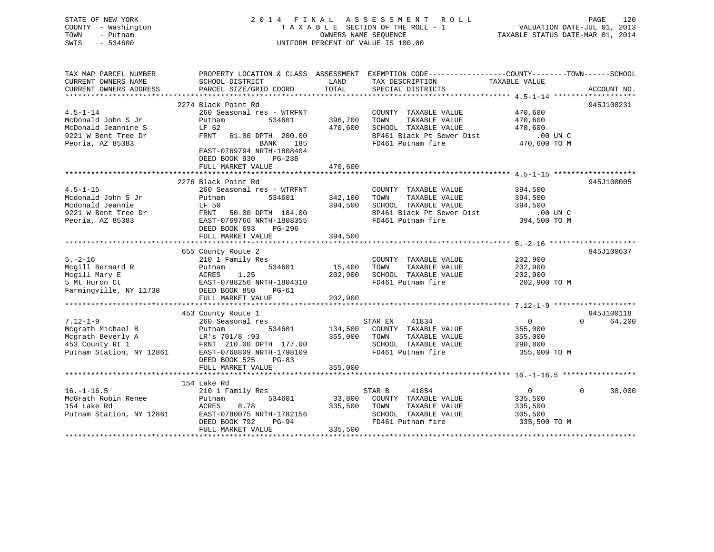| STATE OF NEW YORK<br>COUNTY - Washington<br>TOWN<br>- Putnam<br>SWIS<br>$-534600$ | 2014 FINAL                                                            |               | A S S E S S M E N T<br>R O L L<br>TAXABLE SECTION OF THE ROLL - 1<br>OWNERS NAME SEQUENCE<br>UNIFORM PERCENT OF VALUE IS 100.00        | VALUATION DATE-JUL 01, 2013<br>TAXABLE STATUS DATE-MAR 01, 2014 | PAGE<br>120        |
|-----------------------------------------------------------------------------------|-----------------------------------------------------------------------|---------------|----------------------------------------------------------------------------------------------------------------------------------------|-----------------------------------------------------------------|--------------------|
| TAX MAP PARCEL NUMBER<br>CURRENT OWNERS NAME<br>CURRENT OWNERS ADDRESS            | SCHOOL DISTRICT<br>PARCEL SIZE/GRID COORD                             | LAND<br>TOTAL | PROPERTY LOCATION & CLASS ASSESSMENT EXEMPTION CODE---------------COUNTY-------TOWN-----SCHOOL<br>TAX DESCRIPTION<br>SPECIAL DISTRICTS | TAXABLE VALUE                                                   | ACCOUNT NO.        |
|                                                                                   | 2274 Black Point Rd                                                   |               |                                                                                                                                        |                                                                 | 945J100231         |
| $4.5 - 1 - 14$                                                                    | 260 Seasonal res - WTRFNT                                             |               | COUNTY TAXABLE VALUE                                                                                                                   | 470,600                                                         |                    |
| McDonald John S Jr                                                                | 534601<br>Putnam                                                      | 396,700       | TOWN<br>TAXABLE VALUE                                                                                                                  | 470,600                                                         |                    |
| McDonald Jeannine S                                                               | LF 62                                                                 | 470,600       | SCHOOL TAXABLE VALUE                                                                                                                   | 470,600                                                         |                    |
| 9221 W Bent Tree Dr                                                               | FRNT 61.00 DPTH 200.00                                                |               | BP461 Black Pt Sewer Dist                                                                                                              | $.00$ UN C                                                      |                    |
| Peoria, AZ 85383                                                                  | BANK<br>185<br>EAST-0769794 NRTH-1808404<br>DEED BOOK 930<br>$PG-238$ |               | FD461 Putnam fire                                                                                                                      | 470,600 TO M                                                    |                    |
|                                                                                   | FULL MARKET VALUE                                                     | 470,600       |                                                                                                                                        |                                                                 |                    |
|                                                                                   |                                                                       |               |                                                                                                                                        |                                                                 |                    |
| $4.5 - 1 - 15$                                                                    | 2276 Black Point Rd<br>260 Seasonal res - WTRFNT                      |               | COUNTY TAXABLE VALUE                                                                                                                   | 394,500                                                         | 945J100005         |
| Mcdonald John S Jr                                                                | Putnam<br>534601                                                      | 342,100       | TOWN<br>TAXABLE VALUE                                                                                                                  | 394,500                                                         |                    |
| Mcdonald Jeannie                                                                  | LF 50                                                                 | 394,500       | SCHOOL TAXABLE VALUE                                                                                                                   | 394,500                                                         |                    |
| 9221 W Bent Tree Dr                                                               | FRNT 50.00 DPTH 184.00                                                |               | BP461 Black Pt Sewer Dist                                                                                                              | .00 UN C                                                        |                    |
| Peoria, AZ 85383                                                                  | EAST-0769766 NRTH-1808355<br>DEED BOOK 693<br>PG-296                  |               | FD461 Putnam fire                                                                                                                      | 394,500 TO M                                                    |                    |
|                                                                                   | FULL MARKET VALUE                                                     | 394,500       |                                                                                                                                        |                                                                 |                    |
|                                                                                   | 655 County Route 2                                                    |               |                                                                                                                                        |                                                                 | 945J100637         |
| $5. - 2 - 16$                                                                     | 210 1 Family Res                                                      |               | COUNTY TAXABLE VALUE                                                                                                                   | 202,900                                                         |                    |
| Mcgill Bernard R                                                                  | 534601<br>Putnam                                                      | 15,400        | TOWN<br>TAXABLE VALUE                                                                                                                  | 202,900                                                         |                    |
| Mcgill Mary E                                                                     | ACRES<br>1.25                                                         | 202,900       | SCHOOL TAXABLE VALUE                                                                                                                   | 202,900                                                         |                    |
| 5 Mt Huron Ct                                                                     | EAST-0788256 NRTH-1804310                                             |               | FD461 Putnam fire                                                                                                                      | 202,900 TO M                                                    |                    |
| Farmingville, NY 11738                                                            | DEED BOOK 850<br>PG-61                                                |               |                                                                                                                                        |                                                                 |                    |
|                                                                                   | FULL MARKET VALUE                                                     | 202,900       |                                                                                                                                        |                                                                 |                    |
|                                                                                   |                                                                       |               |                                                                                                                                        |                                                                 |                    |
|                                                                                   | 453 County Route 1                                                    |               |                                                                                                                                        |                                                                 | 945J100118         |
| $7.12 - 1 - 9$<br>Mcgrath Michael B                                               | 260 Seasonal res<br>534601<br>Putnam                                  | 134,500       | STAR EN<br>41834<br>COUNTY TAXABLE VALUE                                                                                               | $\overline{0}$<br>355,000                                       | 64,200<br>$\Omega$ |
| Mcgrath Beverly A                                                                 | LR's 701/8 :93                                                        | 355,000       | TOWN<br>TAXABLE VALUE                                                                                                                  | 355,000                                                         |                    |
| 453 County Rt 1                                                                   | FRNT 210.00 DPTH 177.00<br>EAST-0768809 NPTH 1700100                  |               | SCHOOL TAXABLE VALUE                                                                                                                   | 290,800                                                         |                    |
| Putnam Station, NY 12861                                                          |                                                                       |               | FD461 Putnam fire                                                                                                                      | 355,000 TO M                                                    |                    |
|                                                                                   | DEED BOOK 525<br>$PG-83$                                              |               |                                                                                                                                        |                                                                 |                    |
|                                                                                   | FULL MARKET VALUE                                                     | 355,000       |                                                                                                                                        |                                                                 |                    |
|                                                                                   |                                                                       |               |                                                                                                                                        |                                                                 |                    |
|                                                                                   | 154 Lake Rd                                                           |               |                                                                                                                                        |                                                                 |                    |
| $16. - 1 - 16.5$                                                                  | 210 1 Family Res                                                      |               | STAR B<br>41854                                                                                                                        | $\overline{0}$                                                  | $\Omega$<br>30,000 |
| McGrath Robin Renee                                                               | 534601<br>Putnam                                                      | 33,800        | COUNTY TAXABLE VALUE                                                                                                                   | 335,500                                                         |                    |
| 154 Lake Rd                                                                       | 8.78<br>ACRES                                                         | 335,500       | TOWN<br>TAXABLE VALUE                                                                                                                  | 335,500                                                         |                    |
| Putnam Station, NY 12861                                                          | EAST-0780075 NRTH-1782156<br>DEED BOOK 792<br>PG-94                   |               | SCHOOL TAXABLE VALUE<br>FD461 Putnam fire                                                                                              | 305,500<br>335,500 TO M                                         |                    |
|                                                                                   | FULL MARKET VALUE                                                     | 335,500       |                                                                                                                                        |                                                                 |                    |
|                                                                                   |                                                                       |               |                                                                                                                                        |                                                                 |                    |
|                                                                                   |                                                                       |               |                                                                                                                                        |                                                                 |                    |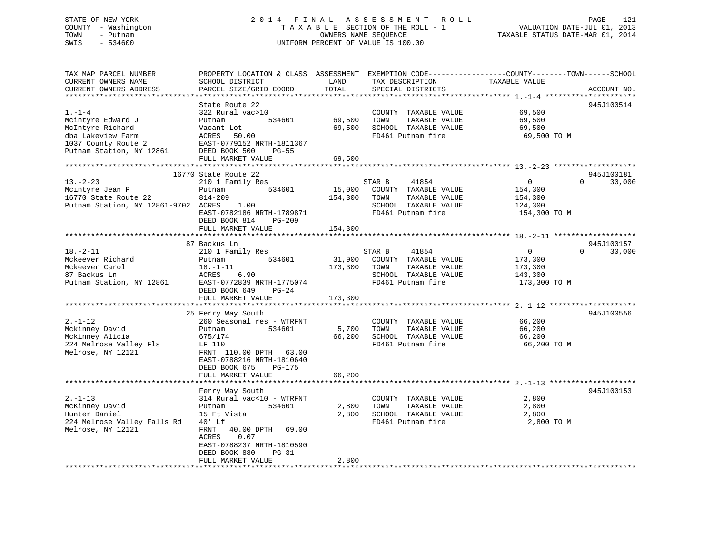# STATE OF NEW YORK 2 0 1 4 F I N A L A S S E S S M E N T R O L L PAGE 121 COUNTY - Washington T A X A B L E SECTION OF THE ROLL - 1 VALUATION DATE-JUL 01, 2013 TOWN - Putnam OWNERS NAME SEQUENCE TAXABLE STATUS DATE-MAR 01, 2014 SWIS - 534600 UNIFORM PERCENT OF VALUE IS 100.00

| TAX MAP PARCEL NUMBER<br>CURRENT OWNERS NAME<br>CURRENT OWNERS ADDRESS                                                                                                                                | PROPERTY LOCATION & CLASS ASSESSMENT<br>SCHOOL DISTRICT<br>PARCEL SIZE/GRID COORD<br>********************                                                                                                                                                                                   | LAND<br>TOTAL                                   | TAX DESCRIPTION<br>SPECIAL DISTRICTS                                                                                                                                                                        | EXEMPTION CODE-----------------COUNTY-------TOWN------SCHOOL<br>TAXABLE VALUE                                | ACCOUNT NO.                                    |
|-------------------------------------------------------------------------------------------------------------------------------------------------------------------------------------------------------|---------------------------------------------------------------------------------------------------------------------------------------------------------------------------------------------------------------------------------------------------------------------------------------------|-------------------------------------------------|-------------------------------------------------------------------------------------------------------------------------------------------------------------------------------------------------------------|--------------------------------------------------------------------------------------------------------------|------------------------------------------------|
| $1. - 1 - 4$<br>Mcintyre Edward J<br>McIntyre Richard<br>dba Lakeview Farm<br>1037 County Route 2<br>Putnam Station, NY 12861                                                                         | State Route 22<br>322 Rural vac>10<br>534601<br>Putnam<br>Vacant Lot<br>ACRES<br>50.00<br>EAST-0779152 NRTH-1811367<br>DEED BOOK 500<br>PG-55<br>FULL MARKET VALUE                                                                                                                          | 69,500<br>69,500<br>69,500                      | COUNTY TAXABLE VALUE<br>TAXABLE VALUE<br>TOWN<br>SCHOOL TAXABLE VALUE<br>FD461 Putnam fire                                                                                                                  | 69,500<br>69,500<br>69,500<br>69,500 TO M                                                                    | 945J100514                                     |
| $13 - 2 - 23$<br>Mcintyre Jean P<br>16770 State Route 22<br>Putnam Station, NY 12861-9702 ACRES                                                                                                       | 16770 State Route 22<br>210 1 Family Res<br>534601<br>Putnam<br>814-209<br>1.00<br>EAST-0782186 NRTH-1789871<br>DEED BOOK 814<br>$PG-209$                                                                                                                                                   | 15,000<br>154,300                               | STAR B<br>41854<br>COUNTY TAXABLE VALUE<br>TAXABLE VALUE<br>TOWN<br>SCHOOL TAXABLE VALUE<br>FD461 Putnam fire                                                                                               | $\overline{0}$<br>154,300<br>154,300<br>124,300<br>154,300 TO M                                              | 945J100181<br>$\Omega$<br>30,000               |
|                                                                                                                                                                                                       | FULL MARKET VALUE                                                                                                                                                                                                                                                                           | 154,300                                         |                                                                                                                                                                                                             |                                                                                                              |                                                |
| $18. - 2 - 11$<br>Mckeever Richard<br>Mckeever Carol<br>87 Backus Ln<br>Putnam Station, NY 12861<br>$2. - 1 - 12$<br>Mckinney David<br>Mckinney Alicia<br>224 Melrose Valley Fls<br>Melrose, NY 12121 | 87 Backus Ln<br>210 1 Family Res<br>534601<br>Putnam<br>$18. - 1 - 11$<br>ACRES<br>6.90<br>EAST-0772839 NRTH-1775074<br>DEED BOOK 649<br>$PG-24$<br>FULL MARKET VALUE<br>25 Ferry Way South<br>260 Seasonal res - WTRFNT<br>534601<br>Putnam<br>675/174<br>LF 110<br>FRNT 110.00 DPTH 63.00 | 31,900<br>173,300<br>173,300<br>5,700<br>66,200 | 41854<br>STAR B<br>COUNTY TAXABLE VALUE<br>TOWN<br>TAXABLE VALUE<br>SCHOOL TAXABLE VALUE<br>FD461 Putnam fire<br>COUNTY TAXABLE VALUE<br>TAXABLE VALUE<br>TOWN<br>SCHOOL TAXABLE VALUE<br>FD461 Putnam fire | $\overline{0}$<br>173,300<br>173,300<br>143,300<br>173,300 TO M<br>66,200<br>66,200<br>66,200<br>66,200 TO M | 945J100157<br>$\Omega$<br>30,000<br>945J100556 |
|                                                                                                                                                                                                       | EAST-0788216 NRTH-1810640<br>DEED BOOK 675<br>PG-175<br>FULL MARKET VALUE                                                                                                                                                                                                                   | 66,200                                          |                                                                                                                                                                                                             |                                                                                                              |                                                |
| $2. - 1 - 13$<br>McKinney David<br>Hunter Daniel<br>224 Melrose Valley Falls Rd<br>Melrose, NY 12121                                                                                                  | Ferry Way South<br>314 Rural vac<10 - WTRFNT<br>534601<br>Putnam<br>15 Ft Vista<br>$40'$ Lf<br>40.00 DPTH 69.00<br>FRNT<br>ACRES<br>0.07<br>EAST-0788237 NRTH-1810590<br>DEED BOOK 880<br>$PG-31$<br>FULL MARKET VALUE                                                                      | 2,800<br>2,800<br>2,800                         | COUNTY TAXABLE VALUE<br>TOWN<br>TAXABLE VALUE<br>SCHOOL TAXABLE VALUE<br>FD461 Putnam fire                                                                                                                  | 2,800<br>2,800<br>2,800<br>2,800 TO M                                                                        | 945J100153                                     |
|                                                                                                                                                                                                       |                                                                                                                                                                                                                                                                                             |                                                 |                                                                                                                                                                                                             |                                                                                                              |                                                |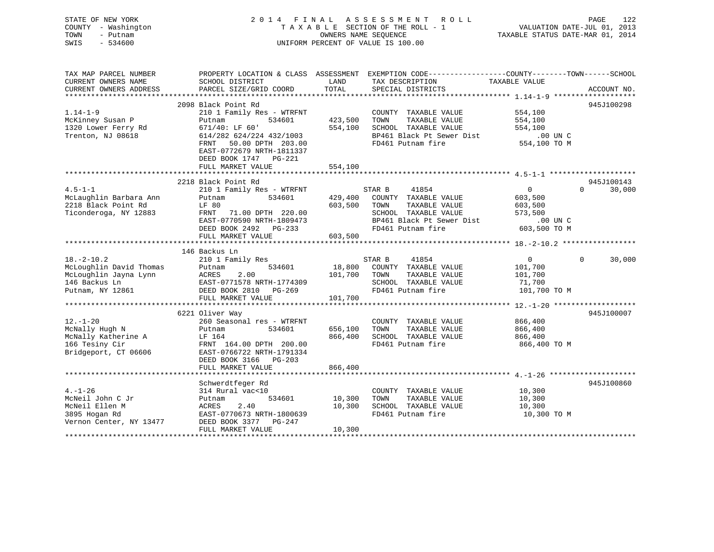| STATE OF NEW YORK<br>COUNTY - Washington<br>TOWN<br>- Putnam<br>SWIS<br>$-534600$ |                                                     | OWNERS NAME SEOUENCE | 2014 FINAL ASSESSMENT ROLL<br>TAXABLE SECTION OF THE ROLL - 1<br>UNIFORM PERCENT OF VALUE IS 100.00 | VALUATION DATE-JUL 01, 2013<br>TAXABLE STATUS DATE-MAR 01, 2014 | PAGE<br>122        |
|-----------------------------------------------------------------------------------|-----------------------------------------------------|----------------------|-----------------------------------------------------------------------------------------------------|-----------------------------------------------------------------|--------------------|
| TAX MAP PARCEL NUMBER                                                             |                                                     |                      | PROPERTY LOCATION & CLASS ASSESSMENT EXEMPTION CODE----------------COUNTY-------TOWN------SCHOOL    |                                                                 |                    |
| CURRENT OWNERS NAME<br>CURRENT OWNERS ADDRESS                                     | SCHOOL DISTRICT<br>PARCEL SIZE/GRID COORD           | LAND<br>TOTAL        | TAX DESCRIPTION<br>SPECIAL DISTRICTS                                                                | TAXABLE VALUE                                                   | ACCOUNT NO.        |
|                                                                                   |                                                     |                      |                                                                                                     |                                                                 |                    |
| $1.14 - 1 - 9$                                                                    | 2098 Black Point Rd                                 |                      |                                                                                                     |                                                                 | 945J100298         |
|                                                                                   | 210 1 Family Res - WTRFNT<br>Putnam<br>534601       | 423,500              | COUNTY TAXABLE VALUE<br>TOWN<br>TAXABLE VALUE                                                       | 554,100<br>554,100                                              |                    |
| McKinney Susan P<br>1320 Lower Ferry Rd                                           | $671/40:$ LF $60'$                                  | 554,100              | SCHOOL TAXABLE VALUE                                                                                | 554,100                                                         |                    |
| Trenton, NJ 08618                                                                 | 614/282 624/224 432/1003                            |                      | BP461 Black Pt Sewer Dist                                                                           | .00 UN C                                                        |                    |
|                                                                                   | FRNT 50.00 DPTH 203.00<br>EAST-0772679 NRTH-1811337 |                      | FD461 Putnam fire                                                                                   | 554,100 TO M                                                    |                    |
|                                                                                   | DEED BOOK 1747 PG-221<br>FULL MARKET VALUE          | 554,100              |                                                                                                     |                                                                 |                    |
|                                                                                   | ***********************                             |                      |                                                                                                     |                                                                 |                    |
|                                                                                   | 2218 Black Point Rd                                 |                      |                                                                                                     |                                                                 | 945J100143         |
| $4.5 - 1 - 1$                                                                     | 210 1 Family Res - WTRFNT                           |                      | STAR B<br>41854                                                                                     | $\overline{0}$                                                  | $\Omega$<br>30,000 |
| McLaughlin Barbara Ann                                                            | 534601<br>Putnam                                    | 429,400              | COUNTY TAXABLE VALUE                                                                                | 603,500                                                         |                    |
| 2218 Black Point Rd                                                               | LF 80                                               | 603,500              | TOWN<br>TAXABLE VALUE                                                                               | 603,500                                                         |                    |
| Ticonderoga, NY 12883                                                             | FRNT<br>71.00 DPTH 220.00                           |                      | SCHOOL TAXABLE VALUE                                                                                | 573,500                                                         |                    |
|                                                                                   | EAST-0770590 NRTH-1809473                           |                      | BP461 Black Pt Sewer Dist                                                                           | $.00$ UN $C$                                                    |                    |
|                                                                                   | DEED BOOK 2492 PG-233                               |                      | FD461 Putnam fire                                                                                   | 603,500 TO M                                                    |                    |
|                                                                                   | FULL MARKET VALUE                                   | 603,500              |                                                                                                     |                                                                 |                    |
|                                                                                   |                                                     |                      |                                                                                                     |                                                                 |                    |
|                                                                                   | 146 Backus Ln                                       |                      |                                                                                                     |                                                                 |                    |
| $18. - 2 - 10.2$                                                                  | 210 1 Family Res                                    |                      | STAR B<br>41854                                                                                     | $\overline{0}$                                                  | $\Omega$<br>30,000 |
| McLoughlin David Thomas                                                           | 534601<br>Putnam                                    | 18,800               | COUNTY TAXABLE VALUE                                                                                | 101,700                                                         |                    |
| McLoughlin Jayna Lynn<br>146 Backus Ln                                            | ACRES<br>2.00                                       | 101,700              | TOWN<br>TAXABLE VALUE                                                                               | 101,700                                                         |                    |
| Putnam, NY 12861                                                                  | EAST-0771578 NRTH-1774309<br>DEED BOOK 2810 PG-269  |                      | SCHOOL TAXABLE VALUE<br>FD461 Putnam fire                                                           | 71,700<br>101,700 TO M                                          |                    |
|                                                                                   | FULL MARKET VALUE                                   | 101,700              |                                                                                                     |                                                                 |                    |
|                                                                                   |                                                     |                      |                                                                                                     |                                                                 |                    |
|                                                                                   | 6221 Oliver Way                                     |                      |                                                                                                     |                                                                 | 945J100007         |
| $12. - 1 - 20$                                                                    | 260 Seasonal res - WTRFNT                           |                      | COUNTY TAXABLE VALUE                                                                                | 866,400                                                         |                    |
| McNally Hugh N                                                                    | 534601<br>Putnam                                    | 656,100              | TOWN<br>TAXABLE VALUE                                                                               | 866,400                                                         |                    |
| McNally Katherine A                                                               | LF 164                                              | 866,400              | SCHOOL TAXABLE VALUE                                                                                | 866,400                                                         |                    |
| 166 Tesiny Cir                                                                    | FRNT 164.00 DPTH 200.00                             |                      | FD461 Putnam fire                                                                                   | 866,400 TO M                                                    |                    |
| Bridgeport, CT 06606                                                              | EAST-0766722 NRTH-1791334                           |                      |                                                                                                     |                                                                 |                    |
|                                                                                   | DEED BOOK 3166 PG-203                               |                      |                                                                                                     |                                                                 |                    |
|                                                                                   | FULL MARKET VALUE                                   | 866,400              |                                                                                                     |                                                                 |                    |
|                                                                                   |                                                     |                      |                                                                                                     |                                                                 |                    |
|                                                                                   | Schwerdtfeger Rd                                    |                      |                                                                                                     |                                                                 | 945J100860         |
| $4. - 1 - 26$                                                                     | 314 Rural vac<10                                    |                      | COUNTY TAXABLE VALUE                                                                                | 10,300                                                          |                    |
| McNeil John C Jr                                                                  | 534601<br>Putnam                                    | 10,300               | TOWN<br>TAXABLE VALUE                                                                               | 10,300                                                          |                    |
| McNeil Ellen M                                                                    | ACRES<br>2.40                                       | 10,300               | SCHOOL TAXABLE VALUE                                                                                | 10,300                                                          |                    |
| 3895 Hogan Rd                                                                     | EAST-0770673 NRTH-1800639                           |                      | FD461 Putnam fire                                                                                   | 10,300 TO M                                                     |                    |
| Vernon Center, NY 13477                                                           | DEED BOOK 3377 PG-247                               |                      |                                                                                                     |                                                                 |                    |
| <b>+++++++++++</b>                                                                | FULL MARKET VALUE                                   | 10,300               |                                                                                                     |                                                                 |                    |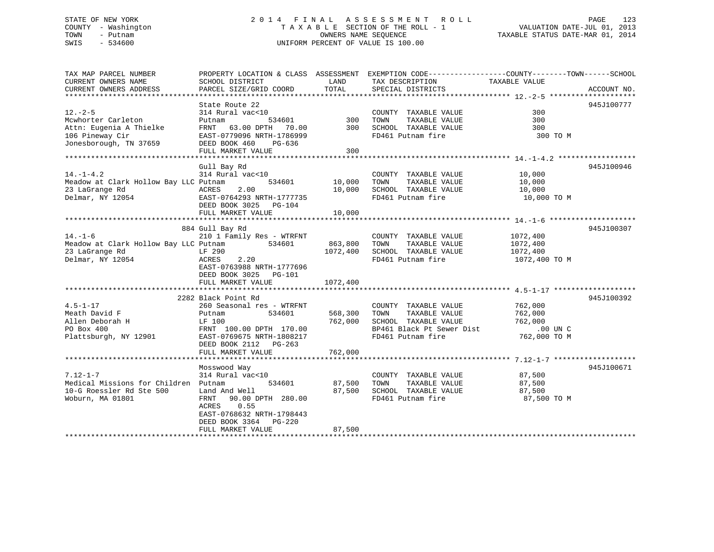# STATE OF NEW YORK 2 0 1 4 F I N A L A S S E S S M E N T R O L L PAGE 123 COUNTY - Washington T A X A B L E SECTION OF THE ROLL - 1 VALUATION DATE-JUL 01, 2013 TOWN - Putnam **CONNERS NAME SEQUENCE** TAXABLE STATUS DATE-MAR 01, 2014 SWIS - 534600 UNIFORM PERCENT OF VALUE IS 100.00

| TAX MAP PARCEL NUMBER                 | PROPERTY LOCATION & CLASS ASSESSMENT               |          |                                           | EXEMPTION CODE-----------------COUNTY-------TOWN------SCHOOL |             |
|---------------------------------------|----------------------------------------------------|----------|-------------------------------------------|--------------------------------------------------------------|-------------|
| CURRENT OWNERS NAME                   | SCHOOL DISTRICT                                    | LAND     | TAX DESCRIPTION                           | TAXABLE VALUE                                                |             |
| CURRENT OWNERS ADDRESS                | PARCEL SIZE/GRID COORD                             | TOTAL    | SPECIAL DISTRICTS                         |                                                              | ACCOUNT NO. |
|                                       | State Route 22                                     |          |                                           |                                                              | 945J100777  |
| $12. - 2 - 5$                         | 314 Rural vac<10                                   |          | COUNTY TAXABLE VALUE                      | 300                                                          |             |
| Mcwhorter Carleton                    | Putnam<br>534601                                   | 300      | TOWN<br>TAXABLE VALUE                     | 300                                                          |             |
| Attn: Eugenia A Thielke               | FRNT 63.00 DPTH 70.00                              | 300      | SCHOOL TAXABLE VALUE                      | 300                                                          |             |
| 106 Pineway Cir                       | EAST-0779096 NRTH-1786999                          |          | FD461 Putnam fire                         | 300 TO M                                                     |             |
| Jonesborough, TN 37659                | DEED BOOK 460<br>PG-636                            |          |                                           |                                                              |             |
|                                       | FULL MARKET VALUE                                  | 300      |                                           |                                                              |             |
|                                       |                                                    |          |                                           |                                                              |             |
|                                       | Gull Bay Rd                                        |          |                                           |                                                              | 945J100946  |
| $14. - 1 - 4.2$                       | 314 Rural vac<10                                   |          | COUNTY TAXABLE VALUE                      | 10,000                                                       |             |
| Meadow at Clark Hollow Bay LLC Putnam | 534601                                             | 10,000   | TOWN<br>TAXABLE VALUE                     | 10,000                                                       |             |
| 23 LaGrange Rd<br>Delmar, NY 12054    | 2.00<br>ACRES                                      | 10,000   | SCHOOL TAXABLE VALUE<br>FD461 Putnam fire | 10,000                                                       |             |
|                                       | EAST-0764293 NRTH-1777735<br>DEED BOOK 3025 PG-104 |          |                                           | 10,000 TO M                                                  |             |
|                                       | FULL MARKET VALUE                                  | 10,000   |                                           |                                                              |             |
|                                       |                                                    |          |                                           |                                                              |             |
|                                       | 884 Gull Bay Rd                                    |          |                                           |                                                              | 945J100307  |
| $14. - 1 - 6$                         | 210 1 Family Res - WTRFNT                          |          | COUNTY TAXABLE VALUE                      | 1072,400                                                     |             |
| Meadow at Clark Hollow Bay LLC Putnam | 534601                                             | 863,800  | TOWN<br>TAXABLE VALUE                     | 1072,400                                                     |             |
| 23 LaGrange Rd                        | LF 290                                             | 1072,400 | SCHOOL TAXABLE VALUE                      | 1072,400                                                     |             |
| Delmar, NY 12054                      | 2.20<br>ACRES                                      |          | FD461 Putnam fire                         | 1072,400 TO M                                                |             |
|                                       | EAST-0763988 NRTH-1777696                          |          |                                           |                                                              |             |
|                                       | DEED BOOK 3025 PG-101                              |          |                                           |                                                              |             |
|                                       | FULL MARKET VALUE                                  | 1072,400 |                                           |                                                              |             |
|                                       | 2282 Black Point Rd                                |          |                                           |                                                              | 945J100392  |
| $4.5 - 1 - 17$                        | 260 Seasonal res - WTRFNT                          |          | COUNTY TAXABLE VALUE                      | 762,000                                                      |             |
| Meath David F                         | 534601<br>Putnam                                   | 568,300  | TAXABLE VALUE<br>TOWN                     | 762,000                                                      |             |
| Allen Deborah H                       | LF 100                                             | 762,000  | SCHOOL TAXABLE VALUE                      | 762,000                                                      |             |
| PO Box 400                            | FRNT 100.00 DPTH 170.00                            |          | BP461 Black Pt Sewer Dist                 | $.00$ UN C                                                   |             |
| Plattsburgh, NY 12901                 | EAST-0769675 NRTH-1808217                          |          | FD461 Putnam fire                         | 762,000 TO M                                                 |             |
|                                       | DEED BOOK 2112 PG-263                              |          |                                           |                                                              |             |
|                                       | FULL MARKET VALUE                                  | 762,000  |                                           |                                                              |             |
|                                       |                                                    |          |                                           |                                                              |             |
|                                       | Mosswood Way                                       |          |                                           |                                                              | 945J100671  |
| $7.12 - 1 - 7$                        | 314 Rural vac<10                                   |          | COUNTY TAXABLE VALUE                      | 87,500                                                       |             |
| Medical Missions for Children Putnam  | 534601                                             | 87,500   | TOWN<br>TAXABLE VALUE                     | 87,500                                                       |             |
| 10-G Roessler Rd Ste 500              | Land And Well                                      | 87,500   | SCHOOL TAXABLE VALUE                      | 87,500                                                       |             |
| Woburn, MA 01801                      | 90.00 DPTH 280.00<br>FRNT<br>ACRES<br>0.55         |          | FD461 Putnam fire                         | 87,500 TO M                                                  |             |
|                                       | EAST-0768632 NRTH-1798443                          |          |                                           |                                                              |             |
|                                       | DEED BOOK 3364 PG-220                              |          |                                           |                                                              |             |
|                                       | FULL MARKET VALUE                                  | 87,500   |                                           |                                                              |             |
|                                       |                                                    |          |                                           |                                                              |             |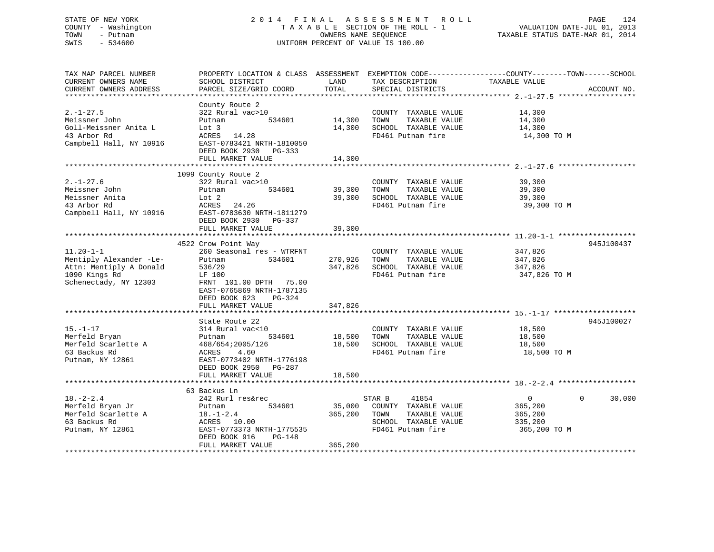# STATE OF NEW YORK 2 0 1 4 F I N A L A S S E S S M E N T R O L L PAGE 124 COUNTY - Washington T A X A B L E SECTION OF THE ROLL - 1 VALUATION DATE-JUL 01, 2013 TOWN - Putnam OWNERS NAME SEQUENCE TAXABLE STATUS DATE-MAR 01, 2014 SWIS - 534600 UNIFORM PERCENT OF VALUE IS 100.00

| TAX MAP PARCEL NUMBER<br>CURRENT OWNERS NAME<br>CURRENT OWNERS ADDRESS                                          | PROPERTY LOCATION & CLASS ASSESSMENT<br>SCHOOL DISTRICT<br>PARCEL SIZE/GRID COORD                                                                                            | LAND<br>TOTAL                | TAX DESCRIPTION<br>SPECIAL DISTRICTS                                                                          | EXEMPTION CODE-----------------COUNTY-------TOWN------SCHOOL<br>TAXABLE VALUE<br>ACCOUNT NO. |
|-----------------------------------------------------------------------------------------------------------------|------------------------------------------------------------------------------------------------------------------------------------------------------------------------------|------------------------------|---------------------------------------------------------------------------------------------------------------|----------------------------------------------------------------------------------------------|
|                                                                                                                 |                                                                                                                                                                              |                              |                                                                                                               |                                                                                              |
| $2. - 1 - 27.5$<br>Meissner John<br>Goll-Meissner Anita L<br>43 Arbor Rd<br>Campbell Hall, NY 10916             | County Route 2<br>322 Rural vac>10<br>534601<br>Putnam<br>Lot 3<br>ACRES 14.28<br>EAST-0783421 NRTH-1810050<br>DEED BOOK 2930 PG-333<br>FULL MARKET VALUE                    | 14,300<br>14,300<br>14,300   | COUNTY TAXABLE VALUE<br>TAXABLE VALUE<br>TOWN<br>SCHOOL TAXABLE VALUE<br>FD461 Putnam fire                    | 14,300<br>14,300<br>14,300<br>14,300 TO M                                                    |
|                                                                                                                 |                                                                                                                                                                              |                              |                                                                                                               |                                                                                              |
| $2. - 1 - 27.6$<br>Meissner John<br>Meissner Anita<br>43 Arbor Rd<br>Campbell Hall, NY 10916                    | 1099 County Route 2<br>322 Rural vac>10<br>534601<br>Putnam<br>Lot 2<br>ACRES<br>24.26<br>EAST-0783630 NRTH-1811279<br>DEED BOOK 2930<br>PG-337                              | 39,300<br>39,300             | COUNTY TAXABLE VALUE<br>TOWN<br>TAXABLE VALUE<br>SCHOOL TAXABLE VALUE<br>FD461 Putnam fire                    | 39,300<br>39,300<br>39,300<br>39,300 TO M                                                    |
|                                                                                                                 | FULL MARKET VALUE                                                                                                                                                            | 39,300                       |                                                                                                               |                                                                                              |
|                                                                                                                 |                                                                                                                                                                              |                              |                                                                                                               |                                                                                              |
| $11.20 - 1 - 1$<br>Mentiply Alexander -Le-<br>Attn: Mentiply A Donald<br>1090 Kings Rd<br>Schenectady, NY 12303 | 4522 Crow Point Way<br>260 Seasonal res - WTRFNT<br>534601<br>Putnam<br>536/29<br>LF 100<br>FRNT 101.00 DPTH 75.00<br>EAST-0765869 NRTH-1787135<br>DEED BOOK 623<br>$PG-324$ | 270,926<br>347,826           | COUNTY TAXABLE VALUE<br>TOWN<br>TAXABLE VALUE<br>SCHOOL TAXABLE VALUE<br>FD461 Putnam fire                    | 945J100437<br>347,826<br>347,826<br>347,826<br>347,826 TO M                                  |
|                                                                                                                 | FULL MARKET VALUE                                                                                                                                                            | 347,826                      |                                                                                                               |                                                                                              |
| $15. - 1 - 17$<br>Merfeld Bryan<br>Merfeld Scarlette A<br>63 Backus Rd<br>Putnam, NY 12861                      | State Route 22<br>314 Rural vac<10<br>534601<br>Putnam<br>468/654;2005/126<br>4.60<br>ACRES<br>EAST-0773402 NRTH-1776198<br>DEED BOOK 2950<br>PG-287                         | 18,500<br>18,500             | COUNTY TAXABLE VALUE<br>TAXABLE VALUE<br>TOWN<br>SCHOOL TAXABLE VALUE<br>FD461 Putnam fire                    | 945J100027<br>18,500<br>18,500<br>18,500<br>18,500 TO M                                      |
|                                                                                                                 | FULL MARKET VALUE                                                                                                                                                            | 18,500                       |                                                                                                               |                                                                                              |
|                                                                                                                 | 63 Backus Ln                                                                                                                                                                 |                              |                                                                                                               |                                                                                              |
| $18. - 2 - 2.4$<br>Merfeld Bryan Jr<br>Merfeld Scarlette A<br>63 Backus Rd<br>Putnam, NY 12861                  | 242 Rurl res&rec<br>534601<br>Putnam<br>$18. - 1 - 2.4$<br>ACRES<br>10.00<br>EAST-0773373 NRTH-1775535<br>DEED BOOK 916<br>$PG-148$<br>FULL MARKET VALUE                     | 35,000<br>365,200<br>365,200 | 41854<br>STAR B<br>COUNTY TAXABLE VALUE<br>TAXABLE VALUE<br>TOWN<br>SCHOOL TAXABLE VALUE<br>FD461 Putnam fire | $\overline{0}$<br>$\Omega$<br>30,000<br>365,200<br>365,200<br>335,200<br>365,200 TO M        |
|                                                                                                                 |                                                                                                                                                                              |                              |                                                                                                               |                                                                                              |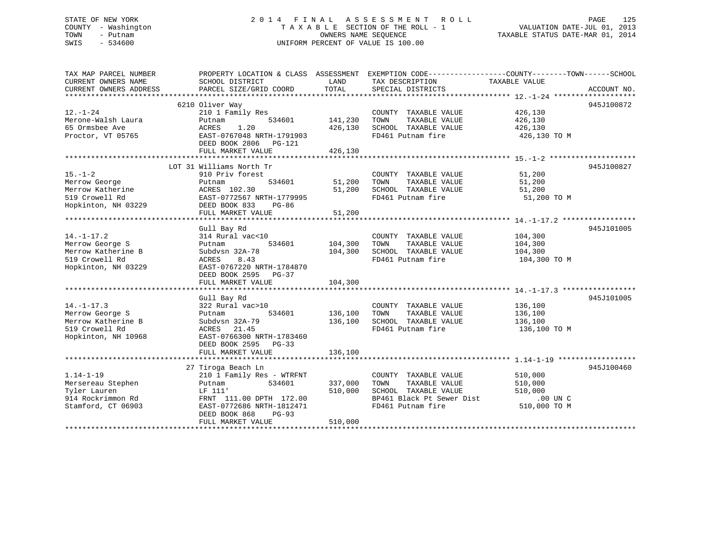# STATE OF NEW YORK 2 0 1 4 F I N A L A S S E S S M E N T R O L L PAGE 125 COUNTY - Washington T A X A B L E SECTION OF THE ROLL - 1 VALUATION DATE-JUL 01, 2013 TOWN - Putnam OWNERS NAME SEQUENCE TAXABLE STATUS DATE-MAR 01, 2014 SWIS - 534600 UNIFORM PERCENT OF VALUE IS 100.00

| 6210 Oliver Way<br>945J100872<br>$12. - 1 - 24$<br>426,130<br>210 1 Family Res<br>COUNTY TAXABLE VALUE<br>141,230<br>Merone-Walsh Laura<br>534601<br>TOWN<br>TAXABLE VALUE<br>426,130<br>Putnam<br>65 Ormsbee Ave<br>1.20<br>426,130<br>SCHOOL TAXABLE VALUE<br>ACRES<br>426,130<br>Proctor, VT 05765<br>EAST-0767048 NRTH-1791903<br>FD461 Putnam fire<br>426,130 TO M<br>DEED BOOK 2806 PG-121<br>FULL MARKET VALUE<br>426,130<br>LOT 31 Williams North Tr<br>945J100827<br>$15. - 1 - 2$<br>910 Priv forest<br>51,200<br>COUNTY TAXABLE VALUE<br>51,200<br>51,200<br>Merrow George<br>534601<br>TOWN<br>TAXABLE VALUE<br>Putnam<br>Merrow Katherine<br>51,200<br>SCHOOL TAXABLE VALUE<br>ACRES 102.30<br>51,200<br>519 Crowell Rd<br>EAST-0772567 NRTH-1779995<br>FD461 Putnam fire<br>51,200 TO M<br>Hopkinton, NH 03229<br>DEED BOOK 833<br>$PG-86$<br>FULL MARKET VALUE<br>51,200<br>945J101005<br>Gull Bay Rd<br>$14. - 1 - 17.2$<br>314 Rural vac<10<br>COUNTY TAXABLE VALUE<br>104,300<br>Merrow George S<br>534601<br>104,300<br>TOWN<br>TAXABLE VALUE<br>104,300<br>Putnam<br>Merrow Katherine B<br>Subdvsn 32A-78<br>104,300<br>SCHOOL TAXABLE VALUE<br>104,300<br>519 Crowell Rd<br>8.43<br>FD461 Putnam fire<br>104,300 TO M<br>ACRES<br>Hopkinton, NH 03229<br>EAST-0767220 NRTH-1784870<br>DEED BOOK 2595 PG-37<br>104,300<br>FULL MARKET VALUE<br>945J101005<br>Gull Bay Rd<br>$14. - 1 - 17.3$<br>322 Rural vac>10<br>COUNTY TAXABLE VALUE<br>136,100<br>Merrow George S<br>534601<br>136,100<br>TOWN<br>TAXABLE VALUE<br>136,100<br>Putnam<br>Merrow Katherine B<br>Subdvsn 32A-79<br>136,100<br>SCHOOL TAXABLE VALUE<br>136,100<br>519 Crowell Rd<br>FD461 Putnam fire<br>ACRES<br>21.45<br>136,100 TO M<br>Hopkinton, NH 10968<br>EAST-0766300 NRTH-1783460<br>DEED BOOK 2595 PG-33<br>136,100<br>FULL MARKET VALUE<br>27 Tiroga Beach Ln<br>945J100460<br>$1.14 - 1 - 19$<br>210 1 Family Res - WTRFNT<br>510,000<br>COUNTY TAXABLE VALUE<br>534601<br>337,000<br>TAXABLE VALUE<br>Mersereau Stephen<br>TOWN<br>510,000<br>Putnam<br>510,000<br>SCHOOL TAXABLE VALUE<br>Tyler Lauren<br>LF 111'<br>510,000<br>BP461 Black Pt Sewer Dist<br>914 Rockrimmon Rd<br>$.00$ UN $C$<br>FRNT 111.00 DPTH 172.00<br>FD461 Putnam fire<br>510,000 TO M<br>Stamford, CT 06903<br>EAST-0772686 NRTH-1812471<br>DEED BOOK 868<br>$PG-93$<br>510,000<br>FULL MARKET VALUE | TAX MAP PARCEL NUMBER<br>CURRENT OWNERS NAME | PROPERTY LOCATION & CLASS ASSESSMENT EXEMPTION CODE---------------COUNTY-------TOWN------SCHOOL<br>SCHOOL DISTRICT | LAND  | TAX DESCRIPTION   | TAXABLE VALUE |             |
|-----------------------------------------------------------------------------------------------------------------------------------------------------------------------------------------------------------------------------------------------------------------------------------------------------------------------------------------------------------------------------------------------------------------------------------------------------------------------------------------------------------------------------------------------------------------------------------------------------------------------------------------------------------------------------------------------------------------------------------------------------------------------------------------------------------------------------------------------------------------------------------------------------------------------------------------------------------------------------------------------------------------------------------------------------------------------------------------------------------------------------------------------------------------------------------------------------------------------------------------------------------------------------------------------------------------------------------------------------------------------------------------------------------------------------------------------------------------------------------------------------------------------------------------------------------------------------------------------------------------------------------------------------------------------------------------------------------------------------------------------------------------------------------------------------------------------------------------------------------------------------------------------------------------------------------------------------------------------------------------------------------------------------------------------------------------------------------------------------------------------------------------------------------------------------------------------------------------------------------------------------------------------------------------------------------------------------------------------------------------------------------|----------------------------------------------|--------------------------------------------------------------------------------------------------------------------|-------|-------------------|---------------|-------------|
|                                                                                                                                                                                                                                                                                                                                                                                                                                                                                                                                                                                                                                                                                                                                                                                                                                                                                                                                                                                                                                                                                                                                                                                                                                                                                                                                                                                                                                                                                                                                                                                                                                                                                                                                                                                                                                                                                                                                                                                                                                                                                                                                                                                                                                                                                                                                                                                   | CURRENT OWNERS ADDRESS                       | PARCEL SIZE/GRID COORD                                                                                             | TOTAL | SPECIAL DISTRICTS |               | ACCOUNT NO. |
|                                                                                                                                                                                                                                                                                                                                                                                                                                                                                                                                                                                                                                                                                                                                                                                                                                                                                                                                                                                                                                                                                                                                                                                                                                                                                                                                                                                                                                                                                                                                                                                                                                                                                                                                                                                                                                                                                                                                                                                                                                                                                                                                                                                                                                                                                                                                                                                   |                                              |                                                                                                                    |       |                   |               |             |
|                                                                                                                                                                                                                                                                                                                                                                                                                                                                                                                                                                                                                                                                                                                                                                                                                                                                                                                                                                                                                                                                                                                                                                                                                                                                                                                                                                                                                                                                                                                                                                                                                                                                                                                                                                                                                                                                                                                                                                                                                                                                                                                                                                                                                                                                                                                                                                                   |                                              |                                                                                                                    |       |                   |               |             |
|                                                                                                                                                                                                                                                                                                                                                                                                                                                                                                                                                                                                                                                                                                                                                                                                                                                                                                                                                                                                                                                                                                                                                                                                                                                                                                                                                                                                                                                                                                                                                                                                                                                                                                                                                                                                                                                                                                                                                                                                                                                                                                                                                                                                                                                                                                                                                                                   |                                              |                                                                                                                    |       |                   |               |             |
|                                                                                                                                                                                                                                                                                                                                                                                                                                                                                                                                                                                                                                                                                                                                                                                                                                                                                                                                                                                                                                                                                                                                                                                                                                                                                                                                                                                                                                                                                                                                                                                                                                                                                                                                                                                                                                                                                                                                                                                                                                                                                                                                                                                                                                                                                                                                                                                   |                                              |                                                                                                                    |       |                   |               |             |
|                                                                                                                                                                                                                                                                                                                                                                                                                                                                                                                                                                                                                                                                                                                                                                                                                                                                                                                                                                                                                                                                                                                                                                                                                                                                                                                                                                                                                                                                                                                                                                                                                                                                                                                                                                                                                                                                                                                                                                                                                                                                                                                                                                                                                                                                                                                                                                                   |                                              |                                                                                                                    |       |                   |               |             |
|                                                                                                                                                                                                                                                                                                                                                                                                                                                                                                                                                                                                                                                                                                                                                                                                                                                                                                                                                                                                                                                                                                                                                                                                                                                                                                                                                                                                                                                                                                                                                                                                                                                                                                                                                                                                                                                                                                                                                                                                                                                                                                                                                                                                                                                                                                                                                                                   |                                              |                                                                                                                    |       |                   |               |             |
|                                                                                                                                                                                                                                                                                                                                                                                                                                                                                                                                                                                                                                                                                                                                                                                                                                                                                                                                                                                                                                                                                                                                                                                                                                                                                                                                                                                                                                                                                                                                                                                                                                                                                                                                                                                                                                                                                                                                                                                                                                                                                                                                                                                                                                                                                                                                                                                   |                                              |                                                                                                                    |       |                   |               |             |
|                                                                                                                                                                                                                                                                                                                                                                                                                                                                                                                                                                                                                                                                                                                                                                                                                                                                                                                                                                                                                                                                                                                                                                                                                                                                                                                                                                                                                                                                                                                                                                                                                                                                                                                                                                                                                                                                                                                                                                                                                                                                                                                                                                                                                                                                                                                                                                                   |                                              |                                                                                                                    |       |                   |               |             |
|                                                                                                                                                                                                                                                                                                                                                                                                                                                                                                                                                                                                                                                                                                                                                                                                                                                                                                                                                                                                                                                                                                                                                                                                                                                                                                                                                                                                                                                                                                                                                                                                                                                                                                                                                                                                                                                                                                                                                                                                                                                                                                                                                                                                                                                                                                                                                                                   |                                              |                                                                                                                    |       |                   |               |             |
|                                                                                                                                                                                                                                                                                                                                                                                                                                                                                                                                                                                                                                                                                                                                                                                                                                                                                                                                                                                                                                                                                                                                                                                                                                                                                                                                                                                                                                                                                                                                                                                                                                                                                                                                                                                                                                                                                                                                                                                                                                                                                                                                                                                                                                                                                                                                                                                   |                                              |                                                                                                                    |       |                   |               |             |
|                                                                                                                                                                                                                                                                                                                                                                                                                                                                                                                                                                                                                                                                                                                                                                                                                                                                                                                                                                                                                                                                                                                                                                                                                                                                                                                                                                                                                                                                                                                                                                                                                                                                                                                                                                                                                                                                                                                                                                                                                                                                                                                                                                                                                                                                                                                                                                                   |                                              |                                                                                                                    |       |                   |               |             |
|                                                                                                                                                                                                                                                                                                                                                                                                                                                                                                                                                                                                                                                                                                                                                                                                                                                                                                                                                                                                                                                                                                                                                                                                                                                                                                                                                                                                                                                                                                                                                                                                                                                                                                                                                                                                                                                                                                                                                                                                                                                                                                                                                                                                                                                                                                                                                                                   |                                              |                                                                                                                    |       |                   |               |             |
|                                                                                                                                                                                                                                                                                                                                                                                                                                                                                                                                                                                                                                                                                                                                                                                                                                                                                                                                                                                                                                                                                                                                                                                                                                                                                                                                                                                                                                                                                                                                                                                                                                                                                                                                                                                                                                                                                                                                                                                                                                                                                                                                                                                                                                                                                                                                                                                   |                                              |                                                                                                                    |       |                   |               |             |
|                                                                                                                                                                                                                                                                                                                                                                                                                                                                                                                                                                                                                                                                                                                                                                                                                                                                                                                                                                                                                                                                                                                                                                                                                                                                                                                                                                                                                                                                                                                                                                                                                                                                                                                                                                                                                                                                                                                                                                                                                                                                                                                                                                                                                                                                                                                                                                                   |                                              |                                                                                                                    |       |                   |               |             |
|                                                                                                                                                                                                                                                                                                                                                                                                                                                                                                                                                                                                                                                                                                                                                                                                                                                                                                                                                                                                                                                                                                                                                                                                                                                                                                                                                                                                                                                                                                                                                                                                                                                                                                                                                                                                                                                                                                                                                                                                                                                                                                                                                                                                                                                                                                                                                                                   |                                              |                                                                                                                    |       |                   |               |             |
|                                                                                                                                                                                                                                                                                                                                                                                                                                                                                                                                                                                                                                                                                                                                                                                                                                                                                                                                                                                                                                                                                                                                                                                                                                                                                                                                                                                                                                                                                                                                                                                                                                                                                                                                                                                                                                                                                                                                                                                                                                                                                                                                                                                                                                                                                                                                                                                   |                                              |                                                                                                                    |       |                   |               |             |
|                                                                                                                                                                                                                                                                                                                                                                                                                                                                                                                                                                                                                                                                                                                                                                                                                                                                                                                                                                                                                                                                                                                                                                                                                                                                                                                                                                                                                                                                                                                                                                                                                                                                                                                                                                                                                                                                                                                                                                                                                                                                                                                                                                                                                                                                                                                                                                                   |                                              |                                                                                                                    |       |                   |               |             |
|                                                                                                                                                                                                                                                                                                                                                                                                                                                                                                                                                                                                                                                                                                                                                                                                                                                                                                                                                                                                                                                                                                                                                                                                                                                                                                                                                                                                                                                                                                                                                                                                                                                                                                                                                                                                                                                                                                                                                                                                                                                                                                                                                                                                                                                                                                                                                                                   |                                              |                                                                                                                    |       |                   |               |             |
|                                                                                                                                                                                                                                                                                                                                                                                                                                                                                                                                                                                                                                                                                                                                                                                                                                                                                                                                                                                                                                                                                                                                                                                                                                                                                                                                                                                                                                                                                                                                                                                                                                                                                                                                                                                                                                                                                                                                                                                                                                                                                                                                                                                                                                                                                                                                                                                   |                                              |                                                                                                                    |       |                   |               |             |
|                                                                                                                                                                                                                                                                                                                                                                                                                                                                                                                                                                                                                                                                                                                                                                                                                                                                                                                                                                                                                                                                                                                                                                                                                                                                                                                                                                                                                                                                                                                                                                                                                                                                                                                                                                                                                                                                                                                                                                                                                                                                                                                                                                                                                                                                                                                                                                                   |                                              |                                                                                                                    |       |                   |               |             |
|                                                                                                                                                                                                                                                                                                                                                                                                                                                                                                                                                                                                                                                                                                                                                                                                                                                                                                                                                                                                                                                                                                                                                                                                                                                                                                                                                                                                                                                                                                                                                                                                                                                                                                                                                                                                                                                                                                                                                                                                                                                                                                                                                                                                                                                                                                                                                                                   |                                              |                                                                                                                    |       |                   |               |             |
|                                                                                                                                                                                                                                                                                                                                                                                                                                                                                                                                                                                                                                                                                                                                                                                                                                                                                                                                                                                                                                                                                                                                                                                                                                                                                                                                                                                                                                                                                                                                                                                                                                                                                                                                                                                                                                                                                                                                                                                                                                                                                                                                                                                                                                                                                                                                                                                   |                                              |                                                                                                                    |       |                   |               |             |
|                                                                                                                                                                                                                                                                                                                                                                                                                                                                                                                                                                                                                                                                                                                                                                                                                                                                                                                                                                                                                                                                                                                                                                                                                                                                                                                                                                                                                                                                                                                                                                                                                                                                                                                                                                                                                                                                                                                                                                                                                                                                                                                                                                                                                                                                                                                                                                                   |                                              |                                                                                                                    |       |                   |               |             |
|                                                                                                                                                                                                                                                                                                                                                                                                                                                                                                                                                                                                                                                                                                                                                                                                                                                                                                                                                                                                                                                                                                                                                                                                                                                                                                                                                                                                                                                                                                                                                                                                                                                                                                                                                                                                                                                                                                                                                                                                                                                                                                                                                                                                                                                                                                                                                                                   |                                              |                                                                                                                    |       |                   |               |             |
|                                                                                                                                                                                                                                                                                                                                                                                                                                                                                                                                                                                                                                                                                                                                                                                                                                                                                                                                                                                                                                                                                                                                                                                                                                                                                                                                                                                                                                                                                                                                                                                                                                                                                                                                                                                                                                                                                                                                                                                                                                                                                                                                                                                                                                                                                                                                                                                   |                                              |                                                                                                                    |       |                   |               |             |
|                                                                                                                                                                                                                                                                                                                                                                                                                                                                                                                                                                                                                                                                                                                                                                                                                                                                                                                                                                                                                                                                                                                                                                                                                                                                                                                                                                                                                                                                                                                                                                                                                                                                                                                                                                                                                                                                                                                                                                                                                                                                                                                                                                                                                                                                                                                                                                                   |                                              |                                                                                                                    |       |                   |               |             |
|                                                                                                                                                                                                                                                                                                                                                                                                                                                                                                                                                                                                                                                                                                                                                                                                                                                                                                                                                                                                                                                                                                                                                                                                                                                                                                                                                                                                                                                                                                                                                                                                                                                                                                                                                                                                                                                                                                                                                                                                                                                                                                                                                                                                                                                                                                                                                                                   |                                              |                                                                                                                    |       |                   |               |             |
|                                                                                                                                                                                                                                                                                                                                                                                                                                                                                                                                                                                                                                                                                                                                                                                                                                                                                                                                                                                                                                                                                                                                                                                                                                                                                                                                                                                                                                                                                                                                                                                                                                                                                                                                                                                                                                                                                                                                                                                                                                                                                                                                                                                                                                                                                                                                                                                   |                                              |                                                                                                                    |       |                   |               |             |
|                                                                                                                                                                                                                                                                                                                                                                                                                                                                                                                                                                                                                                                                                                                                                                                                                                                                                                                                                                                                                                                                                                                                                                                                                                                                                                                                                                                                                                                                                                                                                                                                                                                                                                                                                                                                                                                                                                                                                                                                                                                                                                                                                                                                                                                                                                                                                                                   |                                              |                                                                                                                    |       |                   |               |             |
|                                                                                                                                                                                                                                                                                                                                                                                                                                                                                                                                                                                                                                                                                                                                                                                                                                                                                                                                                                                                                                                                                                                                                                                                                                                                                                                                                                                                                                                                                                                                                                                                                                                                                                                                                                                                                                                                                                                                                                                                                                                                                                                                                                                                                                                                                                                                                                                   |                                              |                                                                                                                    |       |                   |               |             |
|                                                                                                                                                                                                                                                                                                                                                                                                                                                                                                                                                                                                                                                                                                                                                                                                                                                                                                                                                                                                                                                                                                                                                                                                                                                                                                                                                                                                                                                                                                                                                                                                                                                                                                                                                                                                                                                                                                                                                                                                                                                                                                                                                                                                                                                                                                                                                                                   |                                              |                                                                                                                    |       |                   |               |             |
|                                                                                                                                                                                                                                                                                                                                                                                                                                                                                                                                                                                                                                                                                                                                                                                                                                                                                                                                                                                                                                                                                                                                                                                                                                                                                                                                                                                                                                                                                                                                                                                                                                                                                                                                                                                                                                                                                                                                                                                                                                                                                                                                                                                                                                                                                                                                                                                   |                                              |                                                                                                                    |       |                   |               |             |
|                                                                                                                                                                                                                                                                                                                                                                                                                                                                                                                                                                                                                                                                                                                                                                                                                                                                                                                                                                                                                                                                                                                                                                                                                                                                                                                                                                                                                                                                                                                                                                                                                                                                                                                                                                                                                                                                                                                                                                                                                                                                                                                                                                                                                                                                                                                                                                                   |                                              |                                                                                                                    |       |                   |               |             |
|                                                                                                                                                                                                                                                                                                                                                                                                                                                                                                                                                                                                                                                                                                                                                                                                                                                                                                                                                                                                                                                                                                                                                                                                                                                                                                                                                                                                                                                                                                                                                                                                                                                                                                                                                                                                                                                                                                                                                                                                                                                                                                                                                                                                                                                                                                                                                                                   |                                              |                                                                                                                    |       |                   |               |             |
|                                                                                                                                                                                                                                                                                                                                                                                                                                                                                                                                                                                                                                                                                                                                                                                                                                                                                                                                                                                                                                                                                                                                                                                                                                                                                                                                                                                                                                                                                                                                                                                                                                                                                                                                                                                                                                                                                                                                                                                                                                                                                                                                                                                                                                                                                                                                                                                   |                                              |                                                                                                                    |       |                   |               |             |
|                                                                                                                                                                                                                                                                                                                                                                                                                                                                                                                                                                                                                                                                                                                                                                                                                                                                                                                                                                                                                                                                                                                                                                                                                                                                                                                                                                                                                                                                                                                                                                                                                                                                                                                                                                                                                                                                                                                                                                                                                                                                                                                                                                                                                                                                                                                                                                                   |                                              |                                                                                                                    |       |                   |               |             |
|                                                                                                                                                                                                                                                                                                                                                                                                                                                                                                                                                                                                                                                                                                                                                                                                                                                                                                                                                                                                                                                                                                                                                                                                                                                                                                                                                                                                                                                                                                                                                                                                                                                                                                                                                                                                                                                                                                                                                                                                                                                                                                                                                                                                                                                                                                                                                                                   |                                              |                                                                                                                    |       |                   |               |             |
|                                                                                                                                                                                                                                                                                                                                                                                                                                                                                                                                                                                                                                                                                                                                                                                                                                                                                                                                                                                                                                                                                                                                                                                                                                                                                                                                                                                                                                                                                                                                                                                                                                                                                                                                                                                                                                                                                                                                                                                                                                                                                                                                                                                                                                                                                                                                                                                   |                                              |                                                                                                                    |       |                   |               |             |
|                                                                                                                                                                                                                                                                                                                                                                                                                                                                                                                                                                                                                                                                                                                                                                                                                                                                                                                                                                                                                                                                                                                                                                                                                                                                                                                                                                                                                                                                                                                                                                                                                                                                                                                                                                                                                                                                                                                                                                                                                                                                                                                                                                                                                                                                                                                                                                                   |                                              |                                                                                                                    |       |                   |               |             |
|                                                                                                                                                                                                                                                                                                                                                                                                                                                                                                                                                                                                                                                                                                                                                                                                                                                                                                                                                                                                                                                                                                                                                                                                                                                                                                                                                                                                                                                                                                                                                                                                                                                                                                                                                                                                                                                                                                                                                                                                                                                                                                                                                                                                                                                                                                                                                                                   |                                              |                                                                                                                    |       |                   |               |             |
|                                                                                                                                                                                                                                                                                                                                                                                                                                                                                                                                                                                                                                                                                                                                                                                                                                                                                                                                                                                                                                                                                                                                                                                                                                                                                                                                                                                                                                                                                                                                                                                                                                                                                                                                                                                                                                                                                                                                                                                                                                                                                                                                                                                                                                                                                                                                                                                   |                                              |                                                                                                                    |       |                   |               |             |
|                                                                                                                                                                                                                                                                                                                                                                                                                                                                                                                                                                                                                                                                                                                                                                                                                                                                                                                                                                                                                                                                                                                                                                                                                                                                                                                                                                                                                                                                                                                                                                                                                                                                                                                                                                                                                                                                                                                                                                                                                                                                                                                                                                                                                                                                                                                                                                                   |                                              |                                                                                                                    |       |                   |               |             |
|                                                                                                                                                                                                                                                                                                                                                                                                                                                                                                                                                                                                                                                                                                                                                                                                                                                                                                                                                                                                                                                                                                                                                                                                                                                                                                                                                                                                                                                                                                                                                                                                                                                                                                                                                                                                                                                                                                                                                                                                                                                                                                                                                                                                                                                                                                                                                                                   |                                              |                                                                                                                    |       |                   |               |             |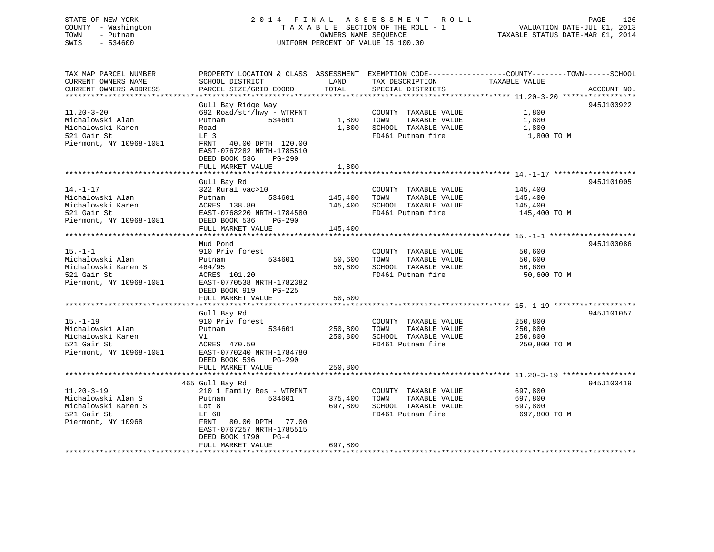# STATE OF NEW YORK 2 0 1 4 F I N A L A S S E S S M E N T R O L L PAGE 126 COUNTY - Washington T A X A B L E SECTION OF THE ROLL - 1 VALUATION DATE-JUL 01, 2013 TOWN - Putnam OWNERS NAME SEQUENCE TAXABLE STATUS DATE-MAR 01, 2014 SWIS - 534600 UNIFORM PERCENT OF VALUE IS 100.00

| CURRENT OWNERS NAME<br>SCHOOL DISTRICT<br>LAND<br>TAX DESCRIPTION<br>TAXABLE VALUE    |             |
|---------------------------------------------------------------------------------------|-------------|
|                                                                                       |             |
| TOTAL<br>CURRENT OWNERS ADDRESS<br>PARCEL SIZE/GRID COORD<br>SPECIAL DISTRICTS        | ACCOUNT NO. |
|                                                                                       |             |
| Gull Bay Ridge Way                                                                    | 945J100922  |
| $11.20 - 3 - 20$<br>692 Road/str/hwy - WTRFNT<br>1,800<br>COUNTY TAXABLE VALUE        |             |
| 1,800<br>Michalowski Alan<br>Putnam<br>534601<br>TOWN<br>TAXABLE VALUE<br>1,800       |             |
| 1,800<br>Michalowski Karen<br>SCHOOL TAXABLE VALUE<br>1,800<br>Road                   |             |
| 521 Gair St<br>FD461 Putnam fire<br>1,800 TO M<br>LF 3                                |             |
| Piermont, NY 10968-1081<br>40.00 DPTH 120.00<br>FRNT                                  |             |
| EAST-0767282 NRTH-1785510                                                             |             |
| DEED BOOK 536<br>PG-290                                                               |             |
| FULL MARKET VALUE<br>1,800                                                            |             |
|                                                                                       |             |
| Gull Bay Rd                                                                           | 945J101005  |
| $14. - 1 - 17$<br>322 Rural vac>10<br>COUNTY TAXABLE VALUE<br>145,400                 |             |
| Michalowski Alan<br>TAXABLE VALUE<br>Putnam<br>534601<br>145,400<br>TOWN<br>145,400   |             |
| Michalowski Karen<br>ACRES 138.80<br>145,400<br>SCHOOL TAXABLE VALUE<br>145,400       |             |
|                                                                                       |             |
| 521 Gair St<br>EAST-0768220 NRTH-1784580<br>FD461 Putnam fire<br>145,400 TO M         |             |
| Piermont, NY 10968-1081<br>DEED BOOK 536<br>PG-290                                    |             |
| FULL MARKET VALUE<br>145,400                                                          |             |
|                                                                                       |             |
| Mud Pond                                                                              | 945J100086  |
| $15. - 1 - 1$<br>910 Priv forest<br>50,600<br>COUNTY TAXABLE VALUE                    |             |
| Michalowski Alan<br>534601<br>50,600<br>TAXABLE VALUE<br>Putnam<br>TOWN<br>50,600     |             |
| Michalowski Karen S<br>SCHOOL TAXABLE VALUE<br>464/95<br>50,600<br>50,600             |             |
| 521 Gair St<br>FD461 Putnam fire<br>ACRES 101.20<br>50,600 TO M                       |             |
| Piermont, NY 10968-1081<br>EAST-0770538 NRTH-1782382                                  |             |
| DEED BOOK 919<br>PG-225                                                               |             |
| FULL MARKET VALUE<br>50,600                                                           |             |
| ******************************                                                        |             |
| Gull Bay Rd                                                                           | 945J101057  |
| $15. - 1 - 19$<br>910 Priv forest<br>COUNTY TAXABLE VALUE<br>250,800                  |             |
| Michalowski Alan<br>534601<br>250,800<br>TOWN<br>TAXABLE VALUE<br>250,800<br>Putnam   |             |
| Michalowski Karen<br>250,800<br>SCHOOL TAXABLE VALUE<br>Vl<br>250,800                 |             |
| 521 Gair St<br>ACRES 470.50<br>FD461 Putnam fire<br>250,800 TO M                      |             |
| Piermont, NY 10968-1081<br>EAST-0770240 NRTH-1784780                                  |             |
| DEED BOOK 536<br>$PG-290$                                                             |             |
| 250,800<br>FULL MARKET VALUE                                                          |             |
|                                                                                       |             |
| 465 Gull Bay Rd                                                                       | 945J100419  |
| $11.20 - 3 - 19$<br>697,800<br>210 1 Family Res - WTRFNT<br>COUNTY TAXABLE VALUE      |             |
| TAXABLE VALUE<br>Michalowski Alan S<br>534601<br>375,400<br>TOWN<br>697,800<br>Putnam |             |
| Michalowski Karen S<br>Lot 8<br>697,800<br>SCHOOL TAXABLE VALUE<br>697,800            |             |
| 521 Gair St<br>FD461 Putnam fire<br>697,800 TO M<br>LF 60                             |             |
| Piermont, NY 10968<br>FRNT 80.00 DPTH 77.00                                           |             |
| EAST-0767257 NRTH-1785515                                                             |             |
| DEED BOOK 1790 PG-4                                                                   |             |
|                                                                                       |             |
| FULL MARKET VALUE<br>697,800                                                          |             |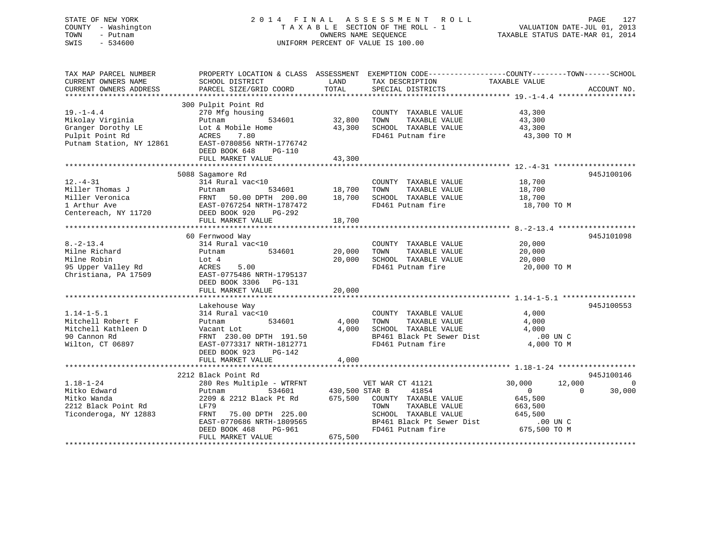# STATE OF NEW YORK 2 0 1 4 F I N A L A S S E S S M E N T R O L L PAGE 127 COUNTY - Washington T A X A B L E SECTION OF THE ROLL - 1 VALUATION DATE-JUL 01, 2013 TOWN - Putnam OWNERS NAME SEQUENCE TAXABLE STATUS DATE-MAR 01, 2014 SWIS - 534600 UNIFORM PERCENT OF VALUE IS 100.00

| TAX MAP PARCEL NUMBER<br>CURRENT OWNERS NAME<br>CURRENT OWNERS ADDRESS                                   | PROPERTY LOCATION & CLASS ASSESSMENT<br>SCHOOL DISTRICT<br>PARCEL SIZE/GRID COORD                                                                                                          | LAND<br>TOTAL                        | EXEMPTION CODE-----------------COUNTY-------TOWN------SCHOOL<br>TAX DESCRIPTION<br>SPECIAL DISTRICTS                                                 | TAXABLE VALUE                                                                                               | ACCOUNT NO.        |
|----------------------------------------------------------------------------------------------------------|--------------------------------------------------------------------------------------------------------------------------------------------------------------------------------------------|--------------------------------------|------------------------------------------------------------------------------------------------------------------------------------------------------|-------------------------------------------------------------------------------------------------------------|--------------------|
| $19. - 1 - 4.4$<br>Mikolay Virginia<br>Granger Dorothy LE<br>Pulpit Point Rd<br>Putnam Station, NY 12861 | 300 Pulpit Point Rd<br>270 Mfg housing<br>534601<br>Putnam<br>Lot & Mobile Home<br>7.80<br>ACRES<br>EAST-0780856 NRTH-1776742<br>DEED BOOK 648<br>$PG-110$<br>FULL MARKET VALUE            | 32,800<br>43,300<br>43,300           | COUNTY TAXABLE VALUE<br>TOWN<br>TAXABLE VALUE<br>SCHOOL TAXABLE VALUE<br>FD461 Putnam fire                                                           | 43,300<br>43,300<br>43,300<br>43,300 TO M                                                                   |                    |
|                                                                                                          | 5088 Sagamore Rd                                                                                                                                                                           |                                      |                                                                                                                                                      |                                                                                                             | 945J100106         |
| $12. - 4 - 31$<br>Miller Thomas J<br>Miller Veronica<br>1 Arthur Ave<br>Centereach, NY 11720             | 314 Rural vac<10<br>534601<br>Putnam<br>50.00 DPTH 200.00<br>FRNT<br>EAST-0767254 NRTH-1787472<br>DEED BOOK 920<br>PG-292<br>FULL MARKET VALUE                                             | 18,700<br>18,700<br>18,700           | COUNTY TAXABLE VALUE<br>TOWN<br>TAXABLE VALUE<br>SCHOOL TAXABLE VALUE<br>FD461 Putnam fire                                                           | 18,700<br>18,700<br>18,700<br>18,700 TO M                                                                   |                    |
|                                                                                                          | 60 Fernwood Way                                                                                                                                                                            |                                      |                                                                                                                                                      |                                                                                                             | 945J101098         |
| $8. - 2 - 13.4$<br>Milne Richard<br>Milne Robin<br>95 Upper Valley Rd<br>Christiana, PA 17509            | 314 Rural vac<10<br>534601<br>Putnam<br>Lot 4<br>ACRES<br>5.00<br>EAST-0775486 NRTH-1795137<br>DEED BOOK 3306 PG-131<br>FULL MARKET VALUE                                                  | 20,000<br>20,000<br>20,000           | COUNTY TAXABLE VALUE<br>TOWN<br>TAXABLE VALUE<br>SCHOOL TAXABLE VALUE<br>FD461 Putnam fire                                                           | 20,000<br>20,000<br>20,000<br>20,000 TO M                                                                   |                    |
|                                                                                                          | Lakehouse Way                                                                                                                                                                              |                                      |                                                                                                                                                      |                                                                                                             | 945J100553         |
| $1.14 - 1 - 5.1$<br>Mitchell Robert F<br>Mitchell Kathleen D<br>90 Cannon Rd<br>Wilton, CT 06897         | 314 Rural vac<10<br>534601<br>Putnam<br>Vacant Lot<br>FRNT 230.00 DPTH 191.50<br>EAST-0773317 NRTH-1812771<br>DEED BOOK 923<br>PG-142                                                      | 4,000<br>4,000                       | COUNTY TAXABLE VALUE<br>TOWN<br>TAXABLE VALUE<br>SCHOOL TAXABLE VALUE<br>BP461 Black Pt Sewer Dist<br>FD461 Putnam fire                              | 4,000<br>4,000<br>4,000<br>$.00$ UN $C$<br>4,000 TO M                                                       |                    |
|                                                                                                          | FULL MARKET VALUE                                                                                                                                                                          | 4,000                                |                                                                                                                                                      |                                                                                                             |                    |
|                                                                                                          | 2212 Black Point Rd                                                                                                                                                                        |                                      |                                                                                                                                                      |                                                                                                             | 945J100146         |
| $1.18 - 1 - 24$<br>Mitko Edward<br>Mitko Wanda<br>2212 Black Point Rd<br>Ticonderoga, NY 12883           | 280 Res Multiple - WTRFNT<br>534601<br>Putnam<br>2209 & 2212 Black Pt Rd<br>LF79<br>75.00 DPTH 225.00<br>FRNT<br>EAST-0770686 NRTH-1809565<br>DEED BOOK 468<br>PG-961<br>FULL MARKET VALUE | 430,500 STAR B<br>675,500<br>675,500 | VET WAR CT 41121<br>41854<br>COUNTY TAXABLE VALUE<br>TAXABLE VALUE<br>TOWN<br>SCHOOL TAXABLE VALUE<br>BP461 Black Pt Sewer Dist<br>FD461 Putnam fire | 30,000<br>12,000<br>$\overline{0}$<br>$\Omega$<br>645,500<br>663,500<br>645,500<br>.00 UN C<br>675,500 TO M | $\Omega$<br>30,000 |
|                                                                                                          |                                                                                                                                                                                            |                                      |                                                                                                                                                      |                                                                                                             |                    |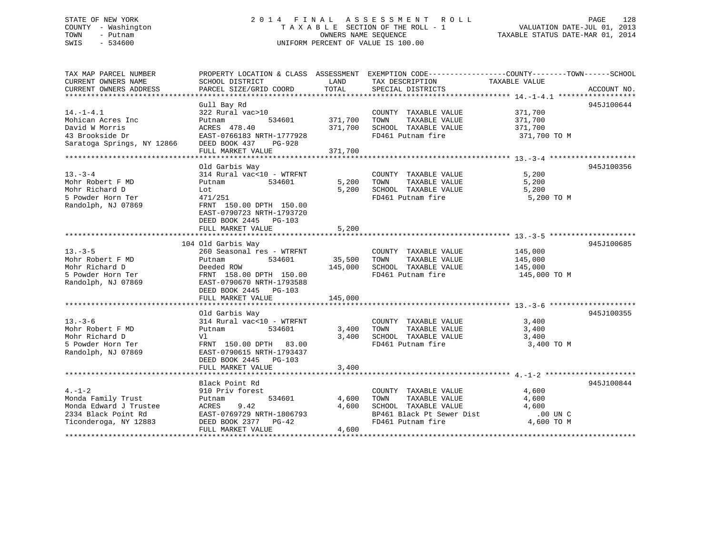# STATE OF NEW YORK 2 0 1 4 F I N A L A S S E S S M E N T R O L L PAGE 128 COUNTY - Washington T A X A B L E SECTION OF THE ROLL - 1 VALUATION DATE-JUL 01, 2013 TOWN - Putnam **CONNERS NAME SEQUENCE** TAXABLE STATUS DATE-MAR 01, 2014 SWIS - 534600 UNIFORM PERCENT OF VALUE IS 100.00

| TAX MAP PARCEL NUMBER<br>CURRENT OWNERS NAME<br>CURRENT OWNERS ADDRESS                                                      | PROPERTY LOCATION & CLASS ASSESSMENT EXEMPTION CODE---------------COUNTY-------TOWN------SCHOOL<br>SCHOOL DISTRICT<br>PARCEL SIZE/GRID COORD                                                            | LAND<br>TOTAL                        | TAX DESCRIPTION<br>SPECIAL DISTRICTS                                                                   | TAXABLE VALUE                                                                         | ACCOUNT NO. |
|-----------------------------------------------------------------------------------------------------------------------------|---------------------------------------------------------------------------------------------------------------------------------------------------------------------------------------------------------|--------------------------------------|--------------------------------------------------------------------------------------------------------|---------------------------------------------------------------------------------------|-------------|
| $14. -1 - 4.1$<br>Mohican Acres Inc<br>David W Morris<br>43 Brookside Dr<br>Saratoga Springs, NY 12866 DEED BOOK 437 PG-928 | Gull Bay Rd<br>322 Rural vac>10<br>Putnam<br>ACRES 478.40<br>ACRES 478.40<br>EAST-0766183 NRTH-1777928<br>FULL MARKET VALUE                                                                             | 534601 371,700<br>371,700<br>371,700 | COUNTY TAXABLE VALUE 371,700<br>TOWN<br>SCHOOL TAXABLE VALUE<br>FD461 Putnam fire                      | TAXABLE VALUE 371,700<br>371,700<br>371,700 TO M                                      | 945J100644  |
| $13. - 3 - 4$<br>Mohr Robert F MD<br>Mohr Richard D<br>5 Powder Horn Ter<br>Randolph, NJ 07869                              | Old Garbis Way<br>314 Rural vac<10 - WTRFNT<br>Putnam<br>534601<br>Lot<br>471/251<br>FRNT 150.00 DPTH 150.00<br>EAST-0790723 NRTH-1793720<br>DEED BOOK 2445 PG-103<br>FULL MARKET VALUE                 | 5,200                                | COUNTY TAXABLE VALUE<br>5,200 TOWN<br>TAXABLE VALUE<br>5,200 SCHOOL TAXABLE VALUE<br>FD461 Putnam fire | 5,200<br>5,200<br>5,200<br>5,200 TO M                                                 | 945J100356  |
| $13. -3 - 5$<br>Mohr Robert F MD<br>Mohr Richard D<br>5 Powder Horn Ter<br>Randolph, NJ 07869                               | 104 Old Garbis Way<br>260 Seasonal res - WTRFNT<br>534601<br>Putnam<br>Deeded ROW<br>Deeded ROW<br>FRNT  158.00 DPTH  150.00<br>EAST-0790670 NRTH-1793588<br>DEED BOOK 2445 PG-103<br>FULL MARKET VALUE | 35,500 TOWN<br>145,000               | COUNTY TAXABLE VALUE<br>TAXABLE VALUE<br>145,000 SCHOOL TAXABLE VALUE<br>FD461 Putnam fire             | 145,000<br>145,000<br>145,000<br>145,000 TO M                                         | 945J100685  |
| $13 - 3 - 6$<br>Mohr Robert F MD<br>Mohr Richard D<br>5 Powder Horn Ter<br>Randolph, NJ 07869                               | Old Garbis Way<br>314 Rural vac<10 - WTRFNT<br>534601<br>Putnam<br>Vl<br>FRNT 150.00 DPTH 83.00<br>EAST-0790615 NRTH-1793437<br>DEED BOOK 2445 PG-103<br>FULL MARKET VALUE                              | 3,400<br>3,400                       | COUNTY TAXABLE VALUE<br>3,400 TOWN<br>TAXABLE VALUE<br>SCHOOL TAXABLE VALUE<br>FD461 Putnam fire       | 3,400<br>3,400<br>3,400<br>3,400 TO M                                                 | 945J100355  |
| $4. - 1 - 2$<br>Monda Family Trust<br>Monda Edward J Trustee<br>2334 Black Point Rd<br>Ticonderoga, NY 12883                | Black Point Rd<br>910 Priv forest<br>534601<br>Putnam<br>9.42<br>ACRES<br>EAST-0769729 NRTH-1806793<br>DEED BOOK 2377 PG-42<br>FULL MARKET VALUE                                                        | 4,600<br>4,600<br>4,600              | COUNTY TAXABLE VALUE<br>TAXABLE VALUE<br>TOWN<br>SCHOOL TAXABLE VALUE<br>BP461 Black Pt Sewer Dist     | $\frac{4}{1}$ , 600<br>4,600<br>4,600<br>$.00$ UN $C$<br>FD461 Putnam fire 4,600 TO M | 945J100844  |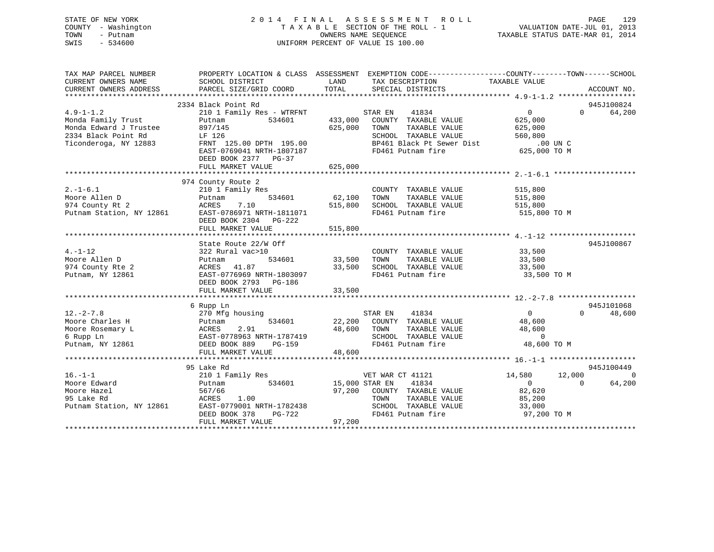# STATE OF NEW YORK 2 0 1 4 F I N A L A S S E S S M E N T R O L L PAGE 129 COUNTY - Washington T A X A B L E SECTION OF THE ROLL - 1 VALUATION DATE-JUL 01, 2013 TOWN - Putnam OWNERS NAME SEQUENCE TAXABLE STATUS DATE-MAR 01, 2014 SWIS - 534600 UNIFORM PERCENT OF VALUE IS 100.00

| TAX MAP PARCEL NUMBER<br>CURRENT OWNERS NAME<br>CURRENT OWNERS ADDRESS | PROPERTY LOCATION & CLASS ASSESSMENT<br>SCHOOL DISTRICT<br>PARCEL SIZE/GRID COORD | LAND<br>TOTAL  | EXEMPTION CODE-----------------COUNTY-------TOWN------SCHOOL<br>TAX DESCRIPTION<br>SPECIAL DISTRICTS | TAXABLE VALUE  | ACCOUNT NO.        |
|------------------------------------------------------------------------|-----------------------------------------------------------------------------------|----------------|------------------------------------------------------------------------------------------------------|----------------|--------------------|
|                                                                        | 2334 Black Point Rd                                                               |                |                                                                                                      |                | 945J100824         |
| $4.9 - 1 - 1.2$                                                        | 210 1 Family Res - WTRFNT                                                         |                | STAR EN<br>41834                                                                                     | $\overline{0}$ | $\Omega$<br>64,200 |
| Monda Family Trust                                                     | Putnam<br>534601                                                                  | 433,000        | COUNTY TAXABLE VALUE                                                                                 | 625,000        |                    |
| Monda Edward J Trustee                                                 | 897/145                                                                           | 625,000        | TOWN<br>TAXABLE VALUE                                                                                | 625,000        |                    |
| 2334 Black Point Rd                                                    | LF 126                                                                            |                | SCHOOL TAXABLE VALUE                                                                                 | 560,800        |                    |
| Ticonderoga, NY 12883                                                  | FRNT 125.00 DPTH 195.00                                                           |                | BP461 Black Pt Sewer Dist                                                                            | .00 UN C       |                    |
|                                                                        | EAST-0769041 NRTH-1807187<br>DEED BOOK 2377 PG-37                                 |                | FD461 Putnam fire                                                                                    | 625,000 TO M   |                    |
|                                                                        | FULL MARKET VALUE                                                                 | 625,000        |                                                                                                      |                |                    |
|                                                                        |                                                                                   |                |                                                                                                      |                |                    |
|                                                                        | 974 County Route 2                                                                |                |                                                                                                      |                |                    |
| $2. -1 - 6.1$                                                          | 210 1 Family Res                                                                  |                | COUNTY TAXABLE VALUE                                                                                 | 515,800        |                    |
| Moore Allen D                                                          | 534601<br>Putnam                                                                  | 62,100         | TAXABLE VALUE<br>TOWN                                                                                | 515,800        |                    |
| 974 County Rt 2                                                        | 7.10<br>ACRES                                                                     | 515,800        | SCHOOL TAXABLE VALUE                                                                                 | 515,800        |                    |
| Putnam Station, NY 12861                                               | EAST-0786971 NRTH-1811071                                                         |                | FD461 Putnam fire                                                                                    | 515,800 TO M   |                    |
|                                                                        | DEED BOOK 2304 PG-222                                                             |                |                                                                                                      |                |                    |
|                                                                        | FULL MARKET VALUE                                                                 | 515,800        |                                                                                                      |                |                    |
|                                                                        |                                                                                   |                |                                                                                                      |                |                    |
|                                                                        | State Route 22/W Off                                                              |                |                                                                                                      |                | 945J100867         |
| $4. - 1 - 12$                                                          | 322 Rural vac>10                                                                  |                | COUNTY TAXABLE VALUE                                                                                 | 33,500         |                    |
| Moore Allen D                                                          | 534601<br>Putnam                                                                  | 33,500         | TOWN<br>TAXABLE VALUE                                                                                | 33,500         |                    |
| 974 County Rte 2                                                       | ACRES 41.87                                                                       | 33,500         | SCHOOL TAXABLE VALUE                                                                                 | 33,500         |                    |
| Putnam, NY 12861                                                       | EAST-0776969 NRTH-1803097                                                         |                | FD461 Putnam fire                                                                                    | 33,500 TO M    |                    |
|                                                                        | DEED BOOK 2793 PG-186                                                             |                |                                                                                                      |                |                    |
|                                                                        | FULL MARKET VALUE                                                                 | 33,500         |                                                                                                      |                |                    |
|                                                                        |                                                                                   |                |                                                                                                      |                |                    |
|                                                                        | 6 Rupp Ln                                                                         |                |                                                                                                      |                | 945J101068         |
| $12. - 2 - 7.8$                                                        | 270 Mfg housing                                                                   |                | 41834<br>STAR EN                                                                                     | $\overline{0}$ | 48,600<br>$\Omega$ |
| Moore Charles H                                                        | 534601                                                                            |                | 22,200 COUNTY TAXABLE VALUE                                                                          | 48,600         |                    |
| Moore Rosemary L                                                       |                                                                                   | 48,600         | TOWN<br>TAXABLE VALUE                                                                                | 48,600         |                    |
| 6 Rupp Ln                                                              |                                                                                   |                | SCHOOL TAXABLE VALUE                                                                                 | $\overline{0}$ |                    |
| Putnam, NY 12861                                                       | Putnam 534601<br>ACRES 2.91<br>EAST-0778963 NRTH-1787419<br>DEED BOOK 889 PG-159  |                | FD461 Putnam fire                                                                                    | 48,600 TO M    |                    |
|                                                                        | FULL MARKET VALUE                                                                 | 48,600         |                                                                                                      |                |                    |
|                                                                        |                                                                                   |                |                                                                                                      |                |                    |
|                                                                        | 95 Lake Rd                                                                        |                |                                                                                                      |                | 945J100449         |
| $16. - 1 - 1$                                                          | 210 1 Family Res                                                                  |                | VET WAR CT 41121                                                                                     | 14,580         | 12,000<br>$\Omega$ |
| Moore Edward                                                           | 534601<br>Putnam                                                                  | 15,000 STAR EN | 41834                                                                                                | $\overline{0}$ | $\Omega$<br>64,200 |
| Moore Hazel                                                            | 567/66                                                                            | 97,200         | COUNTY TAXABLE VALUE                                                                                 | 82,620         |                    |
| 95 Lake Rd                                                             | 1.00<br>ACRES                                                                     |                | TOWN<br>TAXABLE VALUE                                                                                | 85,200         |                    |
| Putnam Station, NY 12861                                               | EAST-0779001 NRTH-1782438                                                         |                | SCHOOL TAXABLE VALUE                                                                                 | 33,000         |                    |
|                                                                        | DEED BOOK 378<br>PG-722                                                           |                | FD461 Putnam fire                                                                                    | 97,200 TO M    |                    |
|                                                                        | FULL MARKET VALUE                                                                 | 97,200         |                                                                                                      |                |                    |
|                                                                        |                                                                                   |                |                                                                                                      |                |                    |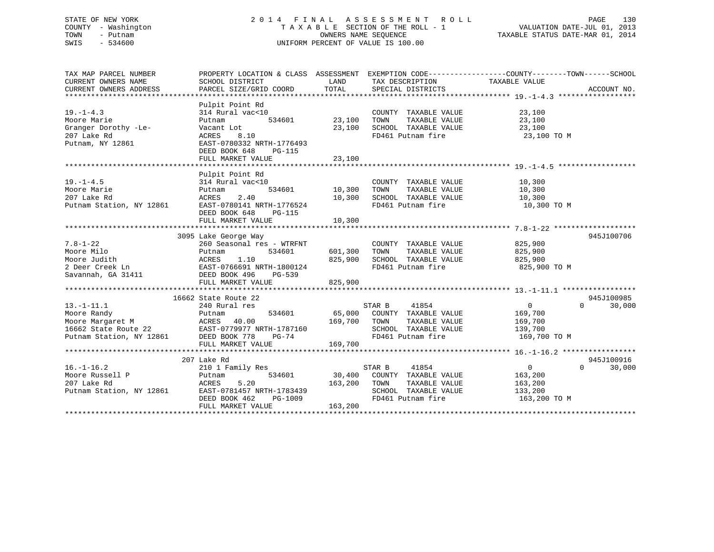# STATE OF NEW YORK 2 0 1 4 F I N A L A S S E S S M E N T R O L L PAGE 130 COUNTY - Washington T A X A B L E SECTION OF THE ROLL - 1 VALUATION DATE-JUL 01, 2013 TOWN - Putnam OWNERS NAME SEQUENCE TAXABLE STATUS DATE-MAR 01, 2014 SWIS - 534600 UNIFORM PERCENT OF VALUE IS 100.00

| TAX MAP PARCEL NUMBER<br>CURRENT OWNERS NAME<br>CURRENT OWNERS ADDRESS                                                                            | PROPERTY LOCATION & CLASS ASSESSMENT<br>SCHOOL DISTRICT<br>PARCEL SIZE/GRID COORD                                                                         | LAND<br>TOTAL                     | TAX DESCRIPTION TAXABLE VALUE<br>SPECIAL DISTRICTS                                                                   | EXEMPTION CODE-----------------COUNTY-------TOWN------SCHOOL<br>ACCOUNT NO.                         |
|---------------------------------------------------------------------------------------------------------------------------------------------------|-----------------------------------------------------------------------------------------------------------------------------------------------------------|-----------------------------------|----------------------------------------------------------------------------------------------------------------------|-----------------------------------------------------------------------------------------------------|
| $19. - 1 - 4.3$<br>Moore Marie<br>Granger Dorothy -Le-<br>207 Lake Rd<br>Putnam, NY 12861                                                         | Pulpit Point Rd<br>314 Rural vac<10<br>Putnam<br>Vacant Lot<br>8.10<br>ACRES<br>EAST-0780332 NRTH-1776493<br>DEED BOOK 648<br>PG-115<br>FULL MARKET VALUE | 534601 23,100<br>23,100<br>23,100 | COUNTY TAXABLE VALUE<br>TAXABLE VALUE<br>TOWN<br>SCHOOL TAXABLE VALUE<br>FD461 Putnam fire                           | 23,100<br>23,100<br>23,100<br>23,100 TO M                                                           |
|                                                                                                                                                   | Pulpit Point Rd                                                                                                                                           |                                   |                                                                                                                      |                                                                                                     |
| $19. - 1 - 4.5$<br>Moore Marie<br>207 Lake Rd<br>Putnam Station, NY 12861                                                                         | 314 Rural vac<10<br>534601<br>Putnam<br>2.40<br>ACRES<br>EAST-0780141 NRTH-1776524<br>DEED BOOK 648<br>PG-115                                             | 10,300<br>10,300                  | COUNTY TAXABLE VALUE<br>TOWN<br>TAXABLE VALUE<br>SCHOOL TAXABLE VALUE<br>FD461 Putnam fire                           | 10,300<br>10,300<br>10,300<br>10,300 TO M                                                           |
|                                                                                                                                                   |                                                                                                                                                           |                                   |                                                                                                                      |                                                                                                     |
|                                                                                                                                                   | 3095 Lake George Way                                                                                                                                      |                                   |                                                                                                                      | 945J100706                                                                                          |
| $7.8 - 1 - 22$<br>Moore Milo<br>Moore Judith<br>2 Deer Creek Ln<br>Savannah, GA 31411                                                             | 260 Seasonal res - WTRFNT<br>Putnam<br>534601<br>ACRES 1.10<br>EAST-0766691 NRTH-1800124<br>DEED BOOK 496<br>PG-539                                       | 601,300<br>825,900                | COUNTY TAXABLE VALUE<br>TAXABLE VALUE<br>TOWN<br>SCHOOL TAXABLE VALUE<br>FD461 Putnam fire                           | 825,900<br>825,900<br>825,900<br>825,900 TO M                                                       |
|                                                                                                                                                   | FULL MARKET VALUE                                                                                                                                         | 825,900                           |                                                                                                                      |                                                                                                     |
|                                                                                                                                                   | 16662 State Route 22                                                                                                                                      |                                   |                                                                                                                      | 945J100985                                                                                          |
| $13.-1-11.1$<br>Moore Randy<br>Moore Margaret M<br>16662 State Route 22 EAST-0779977 NRTH-1787160<br>Putnam Station, NY 12861 DEED BOOK 778 PG-74 | 240 Rural res<br>534601<br>Putnam<br>FULL MARKET VALUE                                                                                                    | 169,700<br>169,700                | STAR B<br>41854<br>65,000 COUNTY TAXABLE VALUE<br>TAXABLE VALUE<br>TOWN<br>SCHOOL TAXABLE VALUE<br>FD461 Putnam fire | 30,000<br>$\Omega$<br>$\Omega$<br>169,700<br>169,700<br>139,700<br>169,700 TO M                     |
|                                                                                                                                                   |                                                                                                                                                           |                                   |                                                                                                                      |                                                                                                     |
| $16. - 1 - 16.2$<br>Moore Russell P<br>207 Lake Rd<br>Putnam Station, NY 12861                                                                    | 207 Lake Rd<br>210 1 Family Res<br>534601<br>Putnam<br>5.20<br>ACRES<br>EAST-0781457 NRTH-1783439<br>DEED BOOK 462<br>PG-1009<br>FULL MARKET VALUE        | 163,200<br>163,200                | STAR B<br>41854<br>30,400 COUNTY TAXABLE VALUE<br>TOWN<br>TAXABLE VALUE<br>SCHOOL TAXABLE VALUE<br>FD461 Putnam fire | 945J100916<br>$\overline{0}$<br>$\Omega$<br>30,000<br>163,200<br>163,200<br>133,200<br>163,200 TO M |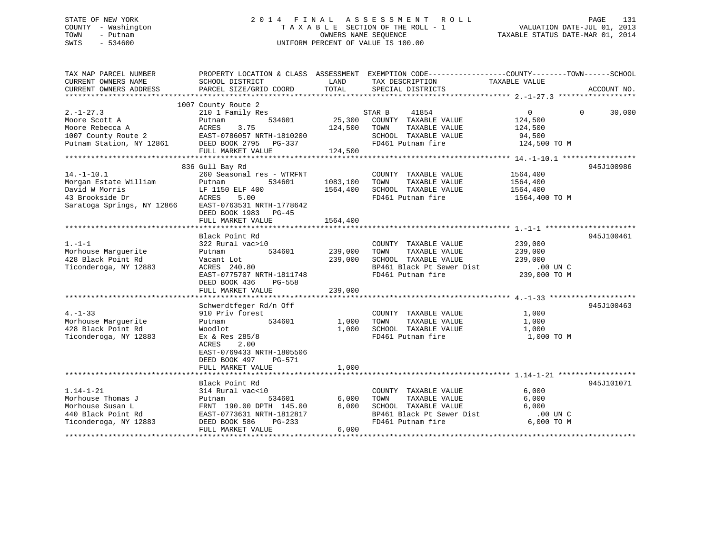# STATE OF NEW YORK 2 0 1 4 F I N A L A S S E S S M E N T R O L L PAGE 131 COUNTY - Washington T A X A B L E SECTION OF THE ROLL - 1 VALUATION DATE-JUL 01, 2013 TOWN - Putnam OWNERS NAME SEQUENCE TAXABLE STATUS DATE-MAR 01, 2014 SWIS - 534600 UNIFORM PERCENT OF VALUE IS 100.00

| TAX MAP PARCEL NUMBER                                |                                                    |          | PROPERTY LOCATION & CLASS ASSESSMENT EXEMPTION CODE---------------COUNTY-------TOWN------SCHOOL |                |                    |
|------------------------------------------------------|----------------------------------------------------|----------|-------------------------------------------------------------------------------------------------|----------------|--------------------|
| CURRENT OWNERS NAME                                  | SCHOOL DISTRICT                                    | LAND     | TAX DESCRIPTION                                                                                 | TAXABLE VALUE  |                    |
|                                                      |                                                    |          |                                                                                                 |                |                    |
|                                                      |                                                    |          |                                                                                                 |                |                    |
|                                                      | 1007 County Route 2                                |          |                                                                                                 |                |                    |
| $2. -1 - 27.3$                                       | 210 1 Family Res                                   |          | 41854<br>STAR B                                                                                 | $\overline{0}$ | $\Omega$<br>30,000 |
| Moore Scott A                                        | 534601<br>Putnam                                   |          | 25,300 COUNTY TAXABLE VALUE                                                                     | 124,500        |                    |
| Moore Rebecca A                                      | 3.75<br>ACRES                                      | 124,500  | TOWN<br>TAXABLE VALUE                                                                           | 124,500        |                    |
|                                                      |                                                    |          | SCHOOL TAXABLE VALUE                                                                            | 94,500         |                    |
|                                                      |                                                    |          | FD461 Putnam fire                                                                               | 124,500 TO M   |                    |
|                                                      | FULL MARKET VALUE                                  | 124,500  |                                                                                                 |                |                    |
|                                                      |                                                    |          |                                                                                                 |                |                    |
|                                                      | 836 Gull Bay Rd                                    |          |                                                                                                 |                | 945J100986         |
| $14.-1-10.1$                                         | 260 Seasonal res - WTRFNT                          |          | COUNTY TAXABLE VALUE                                                                            | 1564,400       |                    |
| Morgan Estate William                                | Putnam<br>534601                                   | 1083,100 | TAXABLE VALUE<br>TOWN                                                                           | 1564,400       |                    |
| David W Morris                                       |                                                    | 1564,400 | SCHOOL TAXABLE VALUE                                                                            | 1564,400       |                    |
| 43 Brookside Dr                                      | LF 1150 ELF 400<br>ACRES 5.00                      |          | FD461 Putnam fire                                                                               | 1564,400 TO M  |                    |
| Saratoga Springs, NY 12866 EAST-0763531 NRTH-1778642 |                                                    |          |                                                                                                 |                |                    |
|                                                      | DEED BOOK 1983 PG-45                               |          |                                                                                                 |                |                    |
|                                                      |                                                    |          |                                                                                                 |                |                    |
|                                                      |                                                    |          |                                                                                                 |                |                    |
|                                                      | Black Point Rd                                     |          |                                                                                                 |                | 945J100461         |
| $1. - 1 - 1$                                         |                                                    |          |                                                                                                 |                |                    |
|                                                      | 322 Rural vac>10                                   |          | COUNTY TAXABLE VALUE                                                                            | 239,000        |                    |
| Morhouse Marquerite                                  | 534601<br>Putnam                                   | 239,000  | TAXABLE VALUE<br>TOWN                                                                           | 239,000        |                    |
| 428 Black Point Rd                                   | Vacant Lot                                         | 239,000  | SCHOOL TAXABLE VALUE                                                                            | 239,000        |                    |
| Ticonderoga, NY 12883                                | ACRES 240.80                                       |          | BP461 Black Pt Sewer Dist .00 UN C<br>FD461 Putnam fire 239,000 TO M                            |                |                    |
|                                                      | EAST-0775707 NRTH-1811748                          |          |                                                                                                 |                |                    |
|                                                      | PG-558<br>DEED BOOK 436                            |          |                                                                                                 |                |                    |
|                                                      | FULL MARKET VALUE                                  | 239,000  |                                                                                                 |                |                    |
|                                                      |                                                    |          |                                                                                                 |                |                    |
|                                                      | Schwerdtfeger Rd/n Off                             |          |                                                                                                 |                | 945J100463         |
| $4. - 1 - 33$                                        | 910 Priv forest                                    |          | COUNTY TAXABLE VALUE                                                                            | 1,000          |                    |
| Morhouse Marquerite                                  | 534601<br>Putnam                                   | 1,000    | TAXABLE VALUE<br>TOWN                                                                           | 1,000          |                    |
| 428 Black Point Rd                                   | Woodlot                                            | 1,000    | SCHOOL TAXABLE VALUE                                                                            | 1,000          |                    |
| Ticonderoga, NY 12883                                | Ex & Res 285/8                                     |          | FD461 Putnam fire                                                                               | 1,000 TO M     |                    |
|                                                      | 2.00<br>ACRES                                      |          |                                                                                                 |                |                    |
|                                                      | EAST-0769433 NRTH-1805506                          |          |                                                                                                 |                |                    |
|                                                      | DEED BOOK 497<br>PG-571                            |          |                                                                                                 |                |                    |
|                                                      | FULL MARKET VALUE                                  | 1,000    |                                                                                                 |                |                    |
|                                                      |                                                    |          |                                                                                                 |                |                    |
|                                                      | Black Point Rd                                     |          |                                                                                                 |                | 945J101071         |
| $1.14 - 1 - 21$                                      | 314 Rural vac<10                                   |          | COUNTY TAXABLE VALUE                                                                            | 6,000          |                    |
| Morhouse Thomas J                                    | Putnam 534601<br>FRNT 190.00 DPTH 145.00<br>534601 | 6,000    | TAXABLE VALUE<br>TOWN                                                                           | 6,000          |                    |
| Morhouse Susan L                                     |                                                    | 6,000    | SCHOOL TAXABLE VALUE                                                                            | 6.000          |                    |
| 440 Black Point Rd                                   | EAST-0773631 NRTH-1812817                          |          | BP461 Black Pt Sewer Dist                                                                       | .00 UN C       |                    |
| Ticonderoga, NY 12883                                | DEED BOOK 586<br>PG-233                            |          | FD461 Putnam fire                                                                               | 6,000 TO M     |                    |
|                                                      | FULL MARKET VALUE                                  | 6,000    |                                                                                                 |                |                    |
|                                                      |                                                    |          |                                                                                                 |                |                    |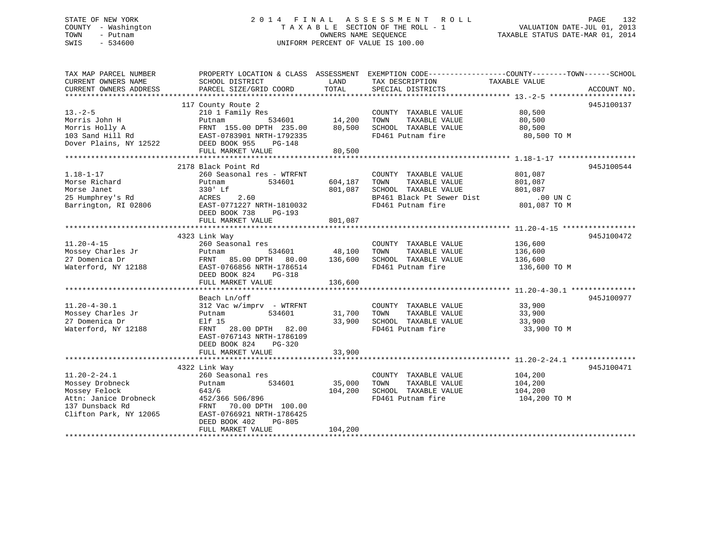# STATE OF NEW YORK 2 0 1 4 F I N A L A S S E S S M E N T R O L L PAGE 132 COUNTY - Washington T A X A B L E SECTION OF THE ROLL - 1 VALUATION DATE-JUL 01, 2013 TOWN - Putnam **CONNERS NAME SEQUENCE** TAXABLE STATUS DATE-MAR 01, 2014 SWIS - 534600 UNIFORM PERCENT OF VALUE IS 100.00

| TAX MAP PARCEL NUMBER<br>CURRENT OWNERS NAME<br>CURRENT OWNERS ADDRESS                                                       | SCHOOL DISTRICT<br>PARCEL SIZE/GRID COORD                                                                                                                                                                                                                                                 | LAND<br>TOTAL                 | TAX DESCRIPTION<br>SPECIAL DISTRICTS                                                                                    | PROPERTY LOCATION & CLASS ASSESSMENT EXEMPTION CODE---------------COUNTY-------TOWN-----SCHOOL<br>TAXABLE VALUE<br>ACCOUNT NO. |  |
|------------------------------------------------------------------------------------------------------------------------------|-------------------------------------------------------------------------------------------------------------------------------------------------------------------------------------------------------------------------------------------------------------------------------------------|-------------------------------|-------------------------------------------------------------------------------------------------------------------------|--------------------------------------------------------------------------------------------------------------------------------|--|
| $13 - 2 - 5$<br>Morris John H                                                                                                | 117 County Route 2<br>210 1 Family Res<br>Putnam<br>Morris Holly A<br>103 Sand Hill Rd<br>103 Sand Hill Rd<br>235.00<br>235.00<br>235.00<br>235 Dover Plains, NY 12522<br>235 Dover Plains, NY 12522<br>235 Dover Plains, NY 12522<br>FRNT 155.00 DPTH 235.00 80,500<br>FULL MARKET VALUE | 534601 14,200<br>80,500       | COUNTY TAXABLE VALUE<br>TOWN<br>TAXABLE VALUE<br>SCHOOL TAXABLE VALUE<br>FD461 Putnam fire                              | 945J100137<br>80,500<br>80,500<br>80,500<br>80,500 TO M                                                                        |  |
| $1.18 - 1 - 17$<br>Morse Richard<br>Morse Janet<br>25 Humphrey's Rd<br>Barrington, RI 02806                                  | 2178 Black Point Rd<br>260 Seasonal res - WTRFNT<br>Putnam<br>534601<br>330' Lf<br>ACRES<br>2.60<br>EAST-0771227 NRTH-1810032<br>DEED BOOK 738<br>PG-193<br>FULL MARKET VALUE                                                                                                             | 604,187<br>801,087<br>801,087 | COUNTY TAXABLE VALUE<br>TAXABLE VALUE<br>TOWN<br>SCHOOL TAXABLE VALUE<br>BP461 Black Pt Sewer Dist<br>FD461 Putnam fire | 945J100544<br>801,087<br>801,087<br>801,087<br>00 UN C.<br>™ ∩۳ 087 P<br>801,087 TO M                                          |  |
| $11.20 - 4 - 15$<br>Mossey Charles Jr<br>27 Domenica Dr<br>Waterford, NY 12188                                               | 4323 Link Way<br>260 Seasonal res<br>534601<br>Putnam<br>FRNT 85.00 DPTH 80.00 136,600<br>EAST-0766856 NRTH-1786514<br>DEED BOOK 824<br>PG-318<br>FULL MARKET VALUE                                                                                                                       | 48,100<br>136,600             | COUNTY TAXABLE VALUE<br>TAXABLE VALUE<br>TOWN<br>SCHOOL TAXABLE VALUE<br>FD461 Putnam fire                              | 945J100472<br>136,600<br>136,600<br>$\frac{1}{136}$ , 600<br>136,600 TO M                                                      |  |
| $11.20 - 4 - 30.1$<br>Mossey Charles Jr<br>27 Domenica Dr<br>Waterford, NY 12188                                             | Beach Ln/off<br>312 Vac w/imprv - WTRFNT<br>534601<br>Putnam<br>Elf 15<br>28.00 DPTH 82.00<br>FRNT<br>EAST-0767143 NRTH-1786109<br>DEED BOOK 824<br>PG-320<br>FULL MARKET VALUE                                                                                                           | 31,700<br>33,900<br>33,900    | COUNTY TAXABLE VALUE<br>TOWN<br>TAXABLE VALUE<br>SCHOOL TAXABLE VALUE<br>FD461 Putnam fire                              | 945J100977<br>33,900<br>33,900<br>33,900<br>33,900 TO M                                                                        |  |
| $11.20 - 2 - 24.1$<br>Mossey Drobneck<br>Mossey Felock<br>Attn: Janice Drobneck<br>137 Dunsback Rd<br>Clifton Park, NY 12065 | 4322 Link Way<br>260 Seasonal res<br>534601<br>Putnam<br>643/6<br>452/366 506/896<br>FRNT 70.00 DPTH 100.00<br>EAST-0766921 NRTH-1786425<br>DEED BOOK 402<br>PG-805<br>FULL MARKET VALUE                                                                                                  | 35,000<br>104,200<br>104,200  | COUNTY TAXABLE VALUE<br>TOWN<br>TAXABLE VALUE<br>SCHOOL TAXABLE VALUE<br>FD461 Putnam fire                              | 945J100471<br>104,200<br>104,200<br>104,200<br>104,200 TO M                                                                    |  |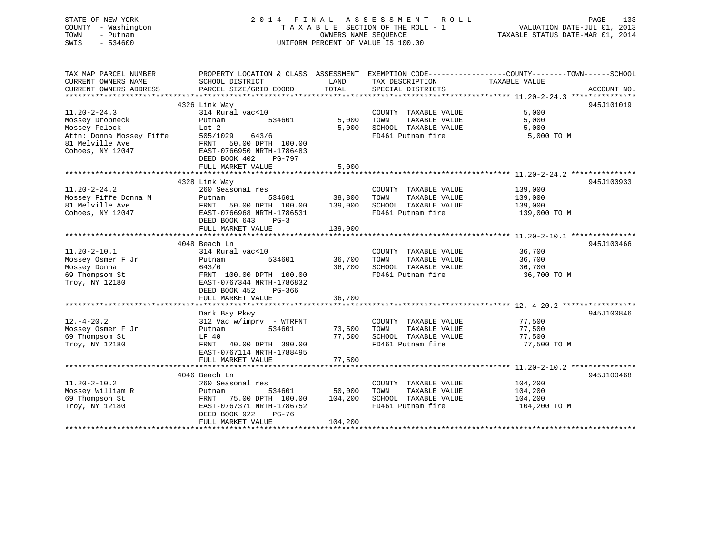| STATE OF NEW YORK<br>COUNTY - Washington | 2014<br>FINAL                                       |                       | A S S E S S M E N T<br>R O L L<br>TAXABLE SECTION OF THE ROLL - 1 | PAGE<br>133<br>VALUATION DATE-JUL 01, 2013                                                      |
|------------------------------------------|-----------------------------------------------------|-----------------------|-------------------------------------------------------------------|-------------------------------------------------------------------------------------------------|
| - Putnam<br>TOWN                         |                                                     | OWNERS NAME SEQUENCE  |                                                                   | TAXABLE STATUS DATE-MAR 01, 2014                                                                |
| $-534600$<br>SWIS                        |                                                     |                       | UNIFORM PERCENT OF VALUE IS 100.00                                |                                                                                                 |
|                                          |                                                     |                       |                                                                   |                                                                                                 |
| TAX MAP PARCEL NUMBER                    |                                                     |                       |                                                                   | PROPERTY LOCATION & CLASS ASSESSMENT EXEMPTION CODE---------------COUNTY-------TOWN------SCHOOL |
| CURRENT OWNERS NAME                      | SCHOOL DISTRICT                                     | LAND                  | TAX DESCRIPTION                                                   | TAXABLE VALUE                                                                                   |
| CURRENT OWNERS ADDRESS                   | PARCEL SIZE/GRID COORD                              | TOTAL                 | SPECIAL DISTRICTS                                                 | ACCOUNT NO.                                                                                     |
| ************************                 |                                                     |                       |                                                                   |                                                                                                 |
|                                          | 4326 Link Way                                       |                       |                                                                   | 945J101019                                                                                      |
| $11.20 - 2 - 24.3$                       | 314 Rural vac<10                                    |                       | COUNTY TAXABLE VALUE                                              | 5,000                                                                                           |
| Mossey Drobneck                          | 534601<br>Putnam                                    | 5,000                 | TOWN<br>TAXABLE VALUE                                             | 5,000                                                                                           |
| Mossey Felock                            | Lot 2                                               | 5,000                 | SCHOOL TAXABLE VALUE                                              | 5,000                                                                                           |
| Attn: Donna Mossey Fiffe                 | 505/1029<br>643/6                                   |                       | FD461 Putnam fire                                                 | 5,000 TO M                                                                                      |
| 81 Melville Ave<br>Cohoes, NY 12047      | FRNT 50.00 DPTH 100.00<br>EAST-0766950 NRTH-1786483 |                       |                                                                   |                                                                                                 |
|                                          | DEED BOOK 402<br>PG-797                             |                       |                                                                   |                                                                                                 |
|                                          | FULL MARKET VALUE                                   | 5,000                 |                                                                   |                                                                                                 |
|                                          |                                                     |                       |                                                                   |                                                                                                 |
|                                          | 4328 Link Way                                       |                       |                                                                   | 945J100933                                                                                      |
| $11.20 - 2 - 24.2$                       | 260 Seasonal res                                    |                       | COUNTY TAXABLE VALUE                                              | 139,000                                                                                         |
| Mossey Fiffe Donna M                     | 534601<br>Putnam                                    | 38,800                | TAXABLE VALUE<br>TOWN                                             | 139,000                                                                                         |
| 81 Melville Ave                          | FRNT<br>50.00 DPTH 100.00                           | 139,000               | SCHOOL TAXABLE VALUE                                              | 139,000                                                                                         |
| Cohoes, NY 12047                         | EAST-0766968 NRTH-1786531                           |                       | FD461 Putnam fire                                                 | 139,000 TO M                                                                                    |
|                                          | DEED BOOK 643<br>$PG-3$                             |                       |                                                                   |                                                                                                 |
|                                          | FULL MARKET VALUE                                   | 139,000               |                                                                   |                                                                                                 |
|                                          |                                                     |                       |                                                                   |                                                                                                 |
|                                          | 4048 Beach Ln                                       |                       |                                                                   | 945J100466                                                                                      |
| $11.20 - 2 - 10.1$                       | 314 Rural vac<10                                    |                       | COUNTY TAXABLE VALUE                                              | 36,700                                                                                          |
| Mossey Osmer F Jr                        | 534601<br>Putnam                                    | 36,700                | TOWN<br>TAXABLE VALUE                                             | 36,700                                                                                          |
| Mossey Donna                             | 643/6                                               | 36,700                | SCHOOL TAXABLE VALUE                                              | 36,700                                                                                          |
| 69 Thompsom St                           | FRNT 100.00 DPTH 100.00                             |                       | FD461 Putnam fire                                                 | 36,700 TO M                                                                                     |
| Troy, NY 12180                           | EAST-0767344 NRTH-1786832                           |                       |                                                                   |                                                                                                 |
|                                          | DEED BOOK 452<br>PG-366                             |                       |                                                                   |                                                                                                 |
|                                          | FULL MARKET VALUE<br>******************             | 36,700<br>*********** |                                                                   |                                                                                                 |
|                                          | Dark Bay Pkwy                                       |                       |                                                                   | 945J100846                                                                                      |
| $12. - 4 - 20.2$                         | $312$ Vac w/imprv - WTRFNT                          |                       | COUNTY TAXABLE VALUE                                              | 77,500                                                                                          |
| Mossey Osmer F Jr                        | 534601<br>Putnam                                    | 73,500                | TAXABLE VALUE<br>TOWN                                             | 77,500                                                                                          |
| 69 Thompsom St                           | LF 40                                               | 77,500                | SCHOOL TAXABLE VALUE                                              | 77,500                                                                                          |
| Troy, NY 12180                           | FRNT<br>40.00 DPTH 390.00                           |                       | FD461 Putnam fire                                                 | 77,500 TO M                                                                                     |
|                                          | EAST-0767114 NRTH-1788495                           |                       |                                                                   |                                                                                                 |
|                                          | FULL MARKET VALUE                                   | 77,500                |                                                                   |                                                                                                 |
|                                          |                                                     |                       |                                                                   |                                                                                                 |
|                                          | 4046 Beach Ln                                       |                       |                                                                   | 945J100468                                                                                      |
| $11.20 - 2 - 10.2$                       | 260 Seasonal res                                    |                       | COUNTY TAXABLE VALUE                                              | 104,200                                                                                         |
| Mossey William R                         | Putnam<br>534601                                    | 50,000                | TOWN<br>TAXABLE VALUE                                             | 104,200                                                                                         |
| 69 Thompson St                           | FRNT 75.00 DPTH 100.00                              | 104,200               | SCHOOL TAXABLE VALUE                                              | 104,200                                                                                         |
| Troy, NY 12180                           | EAST-0767371 NRTH-1786752                           |                       | FD461 Putnam fire                                                 | 104,200 TO M                                                                                    |
|                                          | DEED BOOK 922<br>$PG-76$                            |                       |                                                                   |                                                                                                 |
|                                          | FULL MARKET VALUE                                   | 104,200               |                                                                   |                                                                                                 |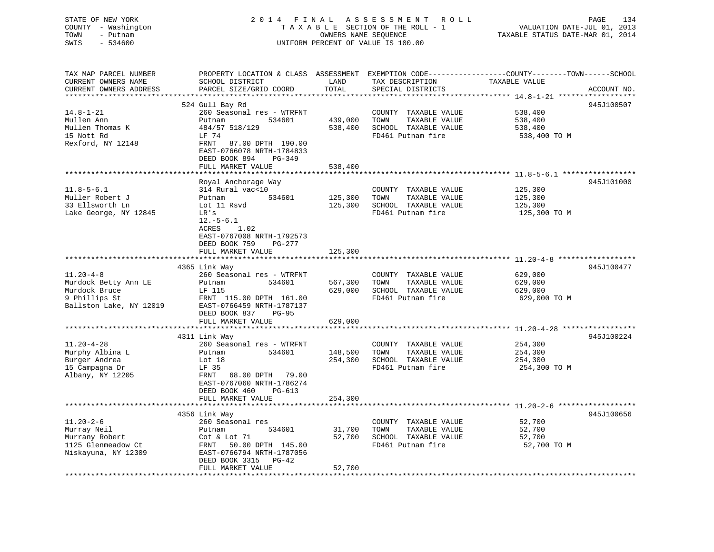| STATE OF NEW YORK<br>COUNTY - Washington<br>TOWN<br>- Putnam<br>$-534600$<br>SWIS |                                               |         | 2014 FINAL ASSESSMENT ROLL<br>TAXABLE SECTION OF THE ROLL - 1<br>OWNERS NAME SEQUENCE<br>UNIFORM PERCENT OF VALUE IS 100.00 | PAGE<br>VALUATION DATE-JUL 01, 2013<br>TAXABLE STATUS DATE-MAR 01, 2014                         | 134 |
|-----------------------------------------------------------------------------------|-----------------------------------------------|---------|-----------------------------------------------------------------------------------------------------------------------------|-------------------------------------------------------------------------------------------------|-----|
|                                                                                   |                                               |         |                                                                                                                             |                                                                                                 |     |
| TAX MAP PARCEL NUMBER                                                             |                                               |         |                                                                                                                             | PROPERTY LOCATION & CLASS ASSESSMENT EXEMPTION CODE----------------COUNTY-------TOWN-----SCHOOL |     |
| CURRENT OWNERS NAME                                                               | SCHOOL DISTRICT                               | LAND    | TAX DESCRIPTION                                                                                                             | TAXABLE VALUE                                                                                   |     |
| CURRENT OWNERS ADDRESS<br>**********************                                  | PARCEL SIZE/GRID COORD                        | TOTAL   | SPECIAL DISTRICTS                                                                                                           | ACCOUNT NO.                                                                                     |     |
|                                                                                   | 524 Gull Bay Rd                               |         |                                                                                                                             | 945J100507                                                                                      |     |
| $14.8 - 1 - 21$                                                                   | 260 Seasonal res - WTRFNT                     |         | COUNTY TAXABLE VALUE                                                                                                        | 538,400                                                                                         |     |
| Mullen Ann                                                                        | Putnam<br>534601                              | 439,000 | TOWN<br>TAXABLE VALUE                                                                                                       | 538,400                                                                                         |     |
| Mullen Thomas K                                                                   | 484/57 518/129                                | 538,400 | SCHOOL TAXABLE VALUE                                                                                                        | 538,400                                                                                         |     |
| 15 Nott Rd                                                                        | LF 74                                         |         | FD461 Putnam fire                                                                                                           | 538,400 TO M                                                                                    |     |
| Rexford, NY 12148                                                                 | FRNT<br>87.00 DPTH 190.00                     |         |                                                                                                                             |                                                                                                 |     |
|                                                                                   | EAST-0766078 NRTH-1784833                     |         |                                                                                                                             |                                                                                                 |     |
|                                                                                   | DEED BOOK 894<br>PG-349                       |         |                                                                                                                             |                                                                                                 |     |
|                                                                                   | FULL MARKET VALUE                             | 538,400 |                                                                                                                             |                                                                                                 |     |
|                                                                                   |                                               |         |                                                                                                                             |                                                                                                 |     |
|                                                                                   | Royal Anchorage Way                           |         |                                                                                                                             | 945J101000                                                                                      |     |
| $11.8 - 5 - 6.1$                                                                  | 314 Rural vac<10                              |         | COUNTY TAXABLE VALUE                                                                                                        | 125,300                                                                                         |     |
| Muller Robert J                                                                   | 534601<br>Putnam                              | 125,300 | TOWN<br>TAXABLE VALUE                                                                                                       | 125,300                                                                                         |     |
| 33 Ellsworth Ln                                                                   | Lot 11 Rsvd                                   | 125,300 | SCHOOL TAXABLE VALUE                                                                                                        | 125,300                                                                                         |     |
| Lake George, NY 12845                                                             | LR's<br>$12.-5-6.1$                           |         | FD461 Putnam fire                                                                                                           | 125,300 TO M                                                                                    |     |
|                                                                                   | <b>ACRES</b><br>1.02                          |         |                                                                                                                             |                                                                                                 |     |
|                                                                                   | EAST-0767008 NRTH-1792573                     |         |                                                                                                                             |                                                                                                 |     |
|                                                                                   | DEED BOOK 759<br>PG-277                       |         |                                                                                                                             |                                                                                                 |     |
|                                                                                   | FULL MARKET VALUE                             | 125,300 |                                                                                                                             |                                                                                                 |     |
|                                                                                   |                                               |         |                                                                                                                             |                                                                                                 |     |
|                                                                                   | 4365 Link Way                                 |         |                                                                                                                             | 945J100477                                                                                      |     |
| $11.20 - 4 - 8$                                                                   | 260 Seasonal res - WTRFNT                     |         | COUNTY TAXABLE VALUE                                                                                                        | 629,000                                                                                         |     |
| Murdock Betty Ann LE                                                              | Putnam<br>534601                              | 567,300 | TAXABLE VALUE<br>TOWN                                                                                                       | 629,000                                                                                         |     |
| Murdock Bruce                                                                     | LF 115                                        | 629,000 | SCHOOL TAXABLE VALUE                                                                                                        | 629,000                                                                                         |     |
| 9 Phillips St                                                                     | FRNT 115.00 DPTH 161.00                       |         | FD461 Putnam fire                                                                                                           | 629,000 TO M                                                                                    |     |
| Ballston Lake, NY 12019                                                           | EAST-0766459 NRTH-1787137                     |         |                                                                                                                             |                                                                                                 |     |
|                                                                                   | DEED BOOK 837<br><b>PG-95</b>                 |         |                                                                                                                             |                                                                                                 |     |
|                                                                                   | FULL MARKET VALUE                             | 629,000 |                                                                                                                             |                                                                                                 |     |
|                                                                                   |                                               |         |                                                                                                                             |                                                                                                 |     |
| $11.20 - 4 - 28$                                                                  | 4311 Link Way                                 |         |                                                                                                                             | 945J100224                                                                                      |     |
| Murphy Albina L                                                                   | 260 Seasonal res - WTRFNT<br>Putnam<br>534601 | 148,500 | COUNTY TAXABLE VALUE<br>TAXABLE VALUE<br>TOWN                                                                               | 254,300<br>254,300                                                                              |     |
| Burger Andrea                                                                     | Lot 18                                        | 254,300 | SCHOOL TAXABLE VALUE                                                                                                        | 254,300                                                                                         |     |
| 15 Campagna Dr                                                                    | LF 35                                         |         | FD461 Putnam fire                                                                                                           | 254,300 TO M                                                                                    |     |
| Albany, NY 12205                                                                  | FRNT<br>68.00 DPTH 79.00                      |         |                                                                                                                             |                                                                                                 |     |
|                                                                                   | EAST-0767060 NRTH-1786274                     |         |                                                                                                                             |                                                                                                 |     |
|                                                                                   | DEED BOOK 460<br>$PG-613$                     |         |                                                                                                                             |                                                                                                 |     |
|                                                                                   | FULL MARKET VALUE                             | 254,300 |                                                                                                                             |                                                                                                 |     |
|                                                                                   |                                               |         |                                                                                                                             |                                                                                                 |     |
|                                                                                   | 4356 Link Way                                 |         |                                                                                                                             | 945J100656                                                                                      |     |
| $11.20 - 2 - 6$                                                                   | 260 Seasonal res                              |         | COUNTY TAXABLE VALUE                                                                                                        | 52,700                                                                                          |     |
| Murray Neil                                                                       | 534601<br>Putnam                              | 31,700  | TOWN<br>TAXABLE VALUE                                                                                                       | 52,700                                                                                          |     |
| Murrany Robert                                                                    | Cot & Lot 71                                  | 52,700  | SCHOOL TAXABLE VALUE                                                                                                        | 52,700                                                                                          |     |

\*\*\*\*\*\*\*\*\*\*\*\*\*\*\*\*\*\*\*\*\*\*\*\*\*\*\*\*\*\*\*\*\*\*\*\*\*\*\*\*\*\*\*\*\*\*\*\*\*\*\*\*\*\*\*\*\*\*\*\*\*\*\*\*\*\*\*\*\*\*\*\*\*\*\*\*\*\*\*\*\*\*\*\*\*\*\*\*\*\*\*\*\*\*\*\*\*\*\*\*\*\*\*\*\*\*\*\*\*\*\*\*\*\*\*\*\*\*\*\*\*\*\*\*\*\*\*\*\*\*\*\*

1125 Glenmeadow Ct FRNT 50.00 DPTH 145.00 FD461 Putnam fire

FULL MARKET VALUE 52,700

DEED BOOK 3315 PG-42

Niskayuna, NY 12309 EAST-0766794 NRTH-1787056

 $\frac{1}{2}$ ,700 SCHOOL TAXABLE VALUE  $\frac{52}{700}$  52,700 SCHOOL TO M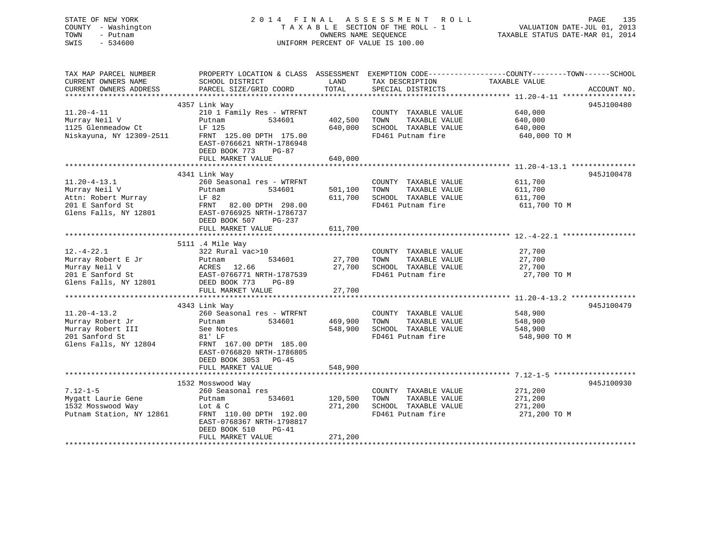STATE OF NEW YORK 2 0 1 4 F I N A L A S S E S S M E N T R O L L PAGE 135 COUNTY - Washington T A X A B L E SECTION OF THE ROLL - 1 VALUATION DATE-JUL 01, 2013 TOWN - Putnam OWNERS NAME SEQUENCE TAXABLE STATUS DATE-MAR 01, 2014 SWIS - 534600 UNIFORM PERCENT OF VALUE IS 100.00TAX MAP PARCEL NUMBER PROPERTY LOCATION & CLASS ASSESSMENT EXEMPTION CODE------------------COUNTY--------TOWN------SCHOOL CURRENT OWNERS NAME SCHOOL DISTRICT THE LAND TAX DESCRIPTION TAXABLE VALUE CURRENT OWNERS ADDRESS PARCEL SIZE/GRID COORD TOTAL SPECIAL DISTRICTS ACCOUNT NO. \*\*\*\*\*\*\*\*\*\*\*\*\*\*\*\*\*\*\*\*\*\*\*\*\*\*\*\*\*\*\*\*\*\*\*\*\*\*\*\*\*\*\*\*\*\*\*\*\*\*\*\*\*\*\*\*\*\*\*\*\*\*\*\*\*\*\*\*\*\*\*\*\*\*\*\*\*\*\*\*\*\*\*\*\*\*\*\*\*\*\*\*\*\*\*\*\*\*\*\*\*\*\* 11.20-4-11 \*\*\*\*\*\*\*\*\*\*\*\*\*\*\*\*\* 4357 Link Way 945J100480 11.20-4-11 210 1 Family Res - WTRFNT COUNTY TAXABLE VALUE 640,000 Murray Neil V Putnam 534601 402,500 TOWN TAXABLE VALUE 640,000 1125 Glenmeadow Ct LF 125 640,000 SCHOOL TAXABLE VALUE 640,000 Niskayuna, NY 12309-2511 FRNT 125.00 DPTH 175.00 FD461 Putnam fire 640,000 TO M EAST-0766621 NRTH-1786948 DEED BOOK 773 PG-87FULL MARKET VALUE 640,000 \*\*\*\*\*\*\*\*\*\*\*\*\*\*\*\*\*\*\*\*\*\*\*\*\*\*\*\*\*\*\*\*\*\*\*\*\*\*\*\*\*\*\*\*\*\*\*\*\*\*\*\*\*\*\*\*\*\*\*\*\*\*\*\*\*\*\*\*\*\*\*\*\*\*\*\*\*\*\*\*\*\*\*\*\*\*\*\*\*\*\*\*\*\*\*\*\*\*\*\*\*\*\* 11.20-4-13.1 \*\*\*\*\*\*\*\*\*\*\*\*\*\*\* 4341 Link Way 945J100478 11.20-4-13.1 260 Seasonal res - WTRFNT COUNTY TAXABLE VALUE 611,700 Murray Neil V Putnam 534601 501,100 TOWN TAXABLE VALUE 611,700 Attn: Robert Murray LF 82 611,700 SCHOOL TAXABLE VALUE 611,700 201 E Sanford St FRNT 82.00 DPTH 298.00 FD461 Putnam fire 611,700 TO M Glens Falls, NY 12801 EAST-0766925 NRTH-1786737 DEED BOOK 507 PG-237FULL MARKET VALUE 611,700 \*\*\*\*\*\*\*\*\*\*\*\*\*\*\*\*\*\*\*\*\*\*\*\*\*\*\*\*\*\*\*\*\*\*\*\*\*\*\*\*\*\*\*\*\*\*\*\*\*\*\*\*\*\*\*\*\*\*\*\*\*\*\*\*\*\*\*\*\*\*\*\*\*\*\*\*\*\*\*\*\*\*\*\*\*\*\*\*\*\*\*\*\*\*\*\*\*\*\*\*\*\*\* 12.-4-22.1 \*\*\*\*\*\*\*\*\*\*\*\*\*\*\*\*\* 5111 .4 Mile Way 12.-4-22.1 322 Rural vac>10 COUNTY TAXABLE VALUE 27,700 Murray Robert E Jr Putnam 534601 27,700 TOWN TAXABLE VALUE 27,700 Murray Neil V ACRES 12.66 27,700 SCHOOL TAXABLE VALUE 27,700 201 E Sanford St EAST-0766771 NRTH-1787539 FD461 Putnam fire 27,700 TO M Glens Falls, NY 12801 DEED BOOK 773 PG-89 FULL MARKET VALUE 27,700 \*\*\*\*\*\*\*\*\*\*\*\*\*\*\*\*\*\*\*\*\*\*\*\*\*\*\*\*\*\*\*\*\*\*\*\*\*\*\*\*\*\*\*\*\*\*\*\*\*\*\*\*\*\*\*\*\*\*\*\*\*\*\*\*\*\*\*\*\*\*\*\*\*\*\*\*\*\*\*\*\*\*\*\*\*\*\*\*\*\*\*\*\*\*\*\*\*\*\*\*\*\*\* 11.20-4-13.2 \*\*\*\*\*\*\*\*\*\*\*\*\*\*\* 4343 Link Way 945J100479 11.20-4-13.2 260 Seasonal res - WTRFNT COUNTY TAXABLE VALUE 548,900 Murray Robert Jr Putnam 534601 469,900 TOWN TAXABLE VALUE 548,900 Murray Robert III See Notes 548,900 SCHOOL TAXABLE VALUE 548,900 201 Sanford St 81' LF FD461 Putnam fire 548,900 TO M Glens Falls, NY 12804 FRNT 167.00 DPTH 185.00 EAST-0766820 NRTH-1786805 DEED BOOK 3053 PG-45FULL MARKET VALUE 548,900 \*\*\*\*\*\*\*\*\*\*\*\*\*\*\*\*\*\*\*\*\*\*\*\*\*\*\*\*\*\*\*\*\*\*\*\*\*\*\*\*\*\*\*\*\*\*\*\*\*\*\*\*\*\*\*\*\*\*\*\*\*\*\*\*\*\*\*\*\*\*\*\*\*\*\*\*\*\*\*\*\*\*\*\*\*\*\*\*\*\*\*\*\*\*\*\*\*\*\*\*\*\*\* 7.12-1-5 \*\*\*\*\*\*\*\*\*\*\*\*\*\*\*\*\*\*\* 1532 Mosswood Way 945J100930 7.12-1-5 260 Seasonal res COUNTY TAXABLE VALUE 271,200 Mygatt Laurie Gene Putnam 534601 120,500 TOWN TAXABLE VALUE 271,200 1532 Mosswood Way Lot & C 271,200 SCHOOL TAXABLE VALUE 271,200 Putnam Station, NY 12861 FRNT 110.00 DPTH 192.00 FRACE REPORT FRAME REPORT ON THE 271,200 TO M

\*\*\*\*\*\*\*\*\*\*\*\*\*\*\*\*\*\*\*\*\*\*\*\*\*\*\*\*\*\*\*\*\*\*\*\*\*\*\*\*\*\*\*\*\*\*\*\*\*\*\*\*\*\*\*\*\*\*\*\*\*\*\*\*\*\*\*\*\*\*\*\*\*\*\*\*\*\*\*\*\*\*\*\*\*\*\*\*\*\*\*\*\*\*\*\*\*\*\*\*\*\*\*\*\*\*\*\*\*\*\*\*\*\*\*\*\*\*\*\*\*\*\*\*\*\*\*\*\*\*\*\*

 EAST-0768367 NRTH-1798817DEED BOOK 510 PG-41

FULL MARKET VALUE 271,200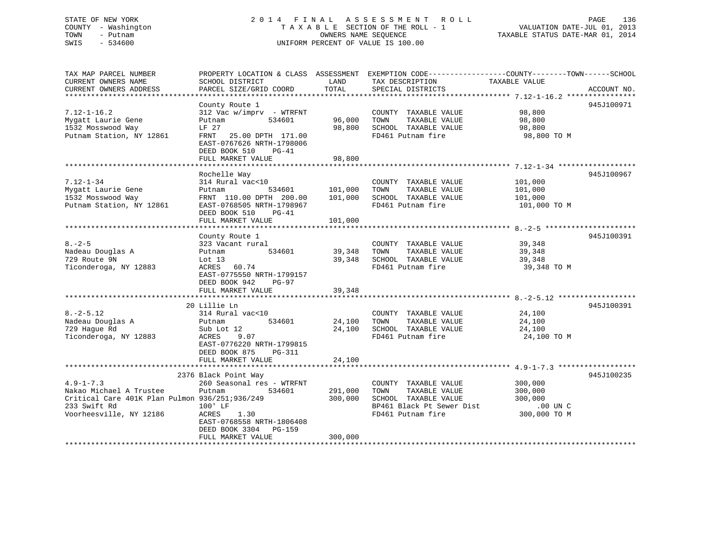# STATE OF NEW YORK 2 0 1 4 F I N A L A S S E S S M E N T R O L L PAGE 136 COUNTY - Washington T A X A B L E SECTION OF THE ROLL - 1 VALUATION DATE-JUL 01, 2013 TOWN - Putnam OWNERS NAME SEQUENCE TAXABLE STATUS DATE-MAR 01, 2014 SWIS - 534600 UNIFORM PERCENT OF VALUE IS 100.00

TAX MAP PARCEL NUMBER PROPERTY LOCATION & CLASS ASSESSMENT EXEMPTION CODE------------------COUNTY--------TOWN------SCHOOL

CURRENT OWNERS NAME SCHOOL DISTRICT THE LAND TAX DESCRIPTION TAXABLE VALUE CURRENT OWNERS ADDRESS PARCEL SIZE/GRID COORD TOTAL SPECIAL DISTRICTS ACCOUNT NO. \*\*\*\*\*\*\*\*\*\*\*\*\*\*\*\*\*\*\*\*\*\*\*\*\*\*\*\*\*\*\*\*\*\*\*\*\*\*\*\*\*\*\*\*\*\*\*\*\*\*\*\*\*\*\*\*\*\*\*\*\*\*\*\*\*\*\*\*\*\*\*\*\*\*\*\*\*\*\*\*\*\*\*\*\*\*\*\*\*\*\*\*\*\*\*\*\*\*\*\*\*\*\* 7.12-1-16.2 \*\*\*\*\*\*\*\*\*\*\*\*\*\*\*\* County Route 1 945J100971 7.12-1-16.2 312 Vac w/imprv - WTRFNT COUNTY TAXABLE VALUE 98,800 Mygatt Laurie Gene Putnam 534601 96,000 TOWN TAXABLE VALUE 98,800 1532 Mosswood Way LF 27 98,800 SCHOOL TAXABLE VALUE 98,800 Putnam Station, NY 12861 FRNT 25.00 DPTH 171.00 FD461 Putnam fire 98,800 TO M EAST-0767626 NRTH-1798006 DEED BOOK 510 PG-41FULL MARKET VALUE 98,800 \*\*\*\*\*\*\*\*\*\*\*\*\*\*\*\*\*\*\*\*\*\*\*\*\*\*\*\*\*\*\*\*\*\*\*\*\*\*\*\*\*\*\*\*\*\*\*\*\*\*\*\*\*\*\*\*\*\*\*\*\*\*\*\*\*\*\*\*\*\*\*\*\*\*\*\*\*\*\*\*\*\*\*\*\*\*\*\*\*\*\*\*\*\*\*\*\*\*\*\*\*\*\* 7.12-1-34 \*\*\*\*\*\*\*\*\*\*\*\*\*\*\*\*\*\* Rochelle Way 945J100967 7.12-1-34 314 Rural vac<10 COUNTY TAXABLE VALUE 101,000 Mygatt Laurie Gene Putnam 534601 101,000 TOWN TAXABLE VALUE 101,000 1532 Mosswood Way FRNT 110.00 DPTH 200.00 101,000 SCHOOL TAXABLE VALUE 101,000 Putnam Station, NY 12861 EAST-0768505 NRTH-1798967 FD461 Putnam fire 101,000 TO M DEED BOOK 510 PG-41FULL MARKET VALUE 101,000 \*\*\*\*\*\*\*\*\*\*\*\*\*\*\*\*\*\*\*\*\*\*\*\*\*\*\*\*\*\*\*\*\*\*\*\*\*\*\*\*\*\*\*\*\*\*\*\*\*\*\*\*\*\*\*\*\*\*\*\*\*\*\*\*\*\*\*\*\*\*\*\*\*\*\*\*\*\*\*\*\*\*\*\*\*\*\*\*\*\*\*\*\*\*\*\*\*\*\*\*\*\*\* 8.-2-5 \*\*\*\*\*\*\*\*\*\*\*\*\*\*\*\*\*\*\*\*\* County Route 1 945J100391 8.-2-5 323 Vacant rural COUNTY TAXABLE VALUE 39,348 Nadeau Douglas A Putnam 534601 39,348 TOWN TAXABLE VALUE 39,348 729 Route 9N Lot 13 39,348 SCHOOL TAXABLE VALUE 39,348 The Suite of the U.S. of the U.S. of the U.S. of the U.S. of the U.S. of the U.S. of the Suite of the Suite of<br>Ticonderoga, NY 12883 ACRES 60.74 TO M FD461 Putnam fire 39,348 TO M EAST-0775550 NRTH-1799157 DEED BOOK 942 PG-97 FULL MARKET VALUE 39,348 \*\*\*\*\*\*\*\*\*\*\*\*\*\*\*\*\*\*\*\*\*\*\*\*\*\*\*\*\*\*\*\*\*\*\*\*\*\*\*\*\*\*\*\*\*\*\*\*\*\*\*\*\*\*\*\*\*\*\*\*\*\*\*\*\*\*\*\*\*\*\*\*\*\*\*\*\*\*\*\*\*\*\*\*\*\*\*\*\*\*\*\*\*\*\*\*\*\*\*\*\*\*\* 8.-2-5.12 \*\*\*\*\*\*\*\*\*\*\*\*\*\*\*\*\*\* 20 Lillie Ln 945J1003918.-2-5.12 314 Rural vac<10 COUNTY TAXABLE VALUE 24,100 Nadeau Douglas A Putnam 534601 24,100 TOWN TAXABLE VALUE 24,100 729 Hague Rd Sub Lot 12 24,100 SCHOOL TAXABLE VALUE 24,100 Ticonderoga, NY 12883 ACRES 9.07 ACRES 9.07 FD461 Putnam fire 24,100 TO M EAST-0776220 NRTH-1799815 DEED BOOK 875 PG-311 FULL MARKET VALUE 24,100 \*\*\*\*\*\*\*\*\*\*\*\*\*\*\*\*\*\*\*\*\*\*\*\*\*\*\*\*\*\*\*\*\*\*\*\*\*\*\*\*\*\*\*\*\*\*\*\*\*\*\*\*\*\*\*\*\*\*\*\*\*\*\*\*\*\*\*\*\*\*\*\*\*\*\*\*\*\*\*\*\*\*\*\*\*\*\*\*\*\*\*\*\*\*\*\*\*\*\*\*\*\*\* 4.9-1-7.3 \*\*\*\*\*\*\*\*\*\*\*\*\*\*\*\*\*\* 2376 Black Point Way 945J100235 4.9-1-7.3 260 Seasonal res - WTRFNT COUNTY TAXABLE VALUE 300,000 Nakao Michael A Trustee Putnam 534601 291,000 TOWN TAXABLE VALUE 300,000 Critical Care 401K Plan Pulmon 936/251;936/249 300,000 SCHOOL TAXABLE VALUE 300,000 233 Swift Rd 100' LF BP461 Black Pt Sewer Dist .00 UN C00 JN C.<br>300,000 TO M And South Corresponding the Music of the Sever Dist<br>Voorheesville, NY 12186 ACRES 1.30 TO Music PD461 Putnam fire EAST-0768558 NRTH-1806408 DEED BOOK 3304 PG-159 FULL MARKET VALUE 300,000 \*\*\*\*\*\*\*\*\*\*\*\*\*\*\*\*\*\*\*\*\*\*\*\*\*\*\*\*\*\*\*\*\*\*\*\*\*\*\*\*\*\*\*\*\*\*\*\*\*\*\*\*\*\*\*\*\*\*\*\*\*\*\*\*\*\*\*\*\*\*\*\*\*\*\*\*\*\*\*\*\*\*\*\*\*\*\*\*\*\*\*\*\*\*\*\*\*\*\*\*\*\*\*\*\*\*\*\*\*\*\*\*\*\*\*\*\*\*\*\*\*\*\*\*\*\*\*\*\*\*\*\*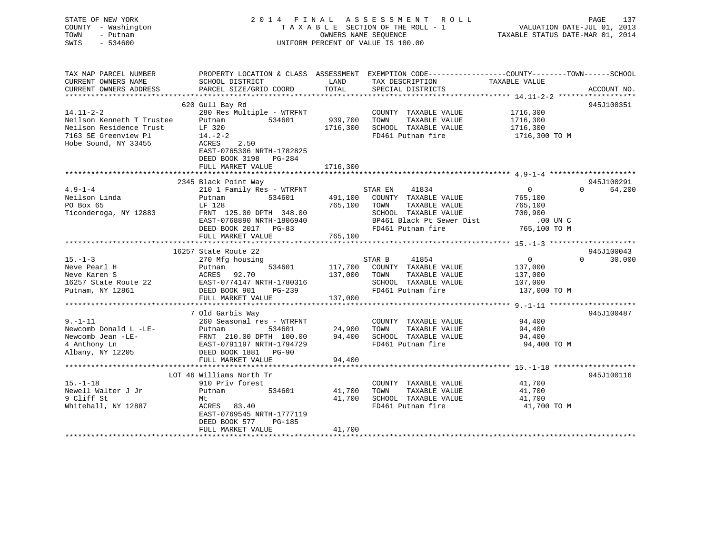# STATE OF NEW YORK 2 0 1 4 F I N A L A S S E S S M E N T R O L L PAGE 137 COUNTY - Washington T A X A B L E SECTION OF THE ROLL - 1 VALUATION DATE-JUL 01, 2013 TOWN - Putnam OWNERS NAME SEQUENCE TAXABLE STATUS DATE-MAR 01, 2014 SWIS - 534600 UNIFORM PERCENT OF VALUE IS 100.00

| TAX MAP PARCEL NUMBER<br>CURRENT OWNERS NAME<br>CURRENT OWNERS ADDRESS                                                  | PROPERTY LOCATION & CLASS ASSESSMENT<br>SCHOOL DISTRICT<br>PARCEL SIZE/GRID COORD                                                                                                         | LAND<br>TOTAL                   | EXEMPTION CODE-----------------COUNTY-------TOWN------SCHOOL<br>TAX DESCRIPTION<br>SPECIAL DISTRICTS                                        | TAXABLE VALUE                                                                 | ACCOUNT NO.                      |
|-------------------------------------------------------------------------------------------------------------------------|-------------------------------------------------------------------------------------------------------------------------------------------------------------------------------------------|---------------------------------|---------------------------------------------------------------------------------------------------------------------------------------------|-------------------------------------------------------------------------------|----------------------------------|
| $14.11 - 2 - 2$<br>Neilson Kenneth T Trustee<br>Neilson Residence Trust<br>7163 SE Greenview Pl<br>Hobe Sound, NY 33455 | 620 Gull Bay Rd<br>280 Res Multiple - WTRFNT<br>Putnam<br>534601<br>LF 320<br>$14. -2 - 2$<br>ACRES<br>2.50<br>EAST-0765306 NRTH-1782825<br>DEED BOOK 3198<br>PG-284<br>FULL MARKET VALUE | 939,700<br>1716,300<br>1716,300 | COUNTY TAXABLE VALUE<br>TAXABLE VALUE<br>TOWN<br>SCHOOL TAXABLE VALUE<br>FD461 Putnam fire                                                  | 1716,300<br>1716,300<br>1716,300<br>1716,300 ТО М                             | 945J100351                       |
|                                                                                                                         |                                                                                                                                                                                           |                                 |                                                                                                                                             |                                                                               |                                  |
| $4.9 - 1 - 4$<br>Neilson Linda<br>PO Box 65<br>Ticonderoga, NY 12883                                                    | 2345 Black Point Way<br>210 1 Family Res - WTRFNT<br>534601<br>Putnam<br>LF 128<br>FRNT 125.00 DPTH 348.00<br>EAST-0768890 NRTH-1806940<br>DEED BOOK 2017 PG-83<br>FULL MARKET VALUE      | 491,100<br>765,100<br>765,100   | 41834<br>STAR EN<br>COUNTY TAXABLE VALUE<br>TOWN<br>TAXABLE VALUE<br>SCHOOL TAXABLE VALUE<br>BP461 Black Pt Sewer Dist<br>FD461 Putnam fire | $\overline{0}$<br>765,100<br>765,100<br>700,900<br>$.00$ UN C<br>765,100 TO M | 945J100291<br>64,200<br>$\Omega$ |
|                                                                                                                         |                                                                                                                                                                                           |                                 |                                                                                                                                             |                                                                               |                                  |
| $15. - 1 - 3$<br>Neve Pearl H<br>Neve Karen S<br>16257 State Route 22<br>Putnam, NY 12861                               | 16257 State Route 22<br>270 Mfg housing<br>534601<br>Putnam<br>92.70<br>ACRES<br>EAST-0774147 NRTH-1780316<br>DEED BOOK 901<br>PG-239<br>FULL MARKET VALUE                                | 137,000<br>137,000              | STAR B<br>41854<br>117,700 COUNTY TAXABLE VALUE<br>TAXABLE VALUE<br>TOWN<br>SCHOOL TAXABLE VALUE<br>FD461 Putnam fire                       | $\overline{0}$<br>137,000<br>137,000<br>107,000<br>137,000 TO M               | 945J100043<br>$\Omega$<br>30,000 |
|                                                                                                                         | 7 Old Garbis Way                                                                                                                                                                          |                                 |                                                                                                                                             |                                                                               | 945J100487                       |
| $9. - 1 - 11$<br>Newcomb Donald L -LE-<br>Newcomb Jean -LE-<br>4 Anthony Ln<br>Albany, NY 12205                         | 260 Seasonal res - WTRFNT<br>Putnam<br>534601<br>FRNT 210.00 DPTH 100.00<br>EAST-0791197 NRTH-1794729<br>DEED BOOK 1881 PG-90<br>FULL MARKET VALUE                                        | 24,900<br>94,400<br>94,400      | COUNTY TAXABLE VALUE<br>TAXABLE VALUE<br>TOWN<br>SCHOOL TAXABLE VALUE<br>FD461 Putnam fire                                                  | 94,400<br>94,400<br>94,400<br>94,400 TO M                                     |                                  |
|                                                                                                                         | LOT 46 Williams North Tr                                                                                                                                                                  |                                 |                                                                                                                                             |                                                                               | 945J100116                       |
| $15. - 1 - 18$<br>Newell Walter J Jr<br>9 Cliff St<br>Whitehall, NY 12887                                               | 910 Priv forest<br>534601<br>Putnam<br>Mt<br>ACRES 83.40<br>EAST-0769545 NRTH-1777119<br>PG-185<br>DEED BOOK 577<br>FULL MARKET VALUE                                                     | 41,700<br>41,700<br>41,700      | COUNTY TAXABLE VALUE<br>TAXABLE VALUE<br>TOWN<br>SCHOOL TAXABLE VALUE<br>FD461 Putnam fire                                                  | 41,700<br>41,700<br>41,700<br>41,700 TO M                                     |                                  |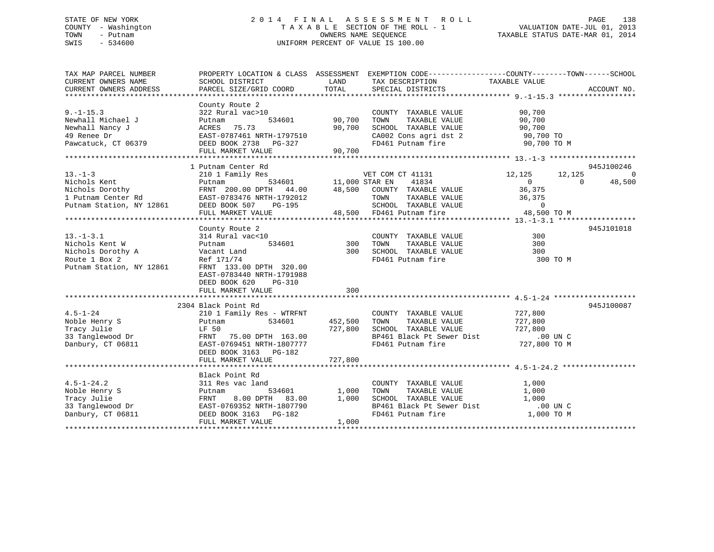# STATE OF NEW YORK 2 0 1 4 F I N A L A S S E S S M E N T R O L L PAGE 138 COUNTY - Washington T A X A B L E SECTION OF THE ROLL - 1 VALUATION DATE-JUL 01, 2013 TOWN - Putnam OWNERS NAME SEQUENCE TAXABLE STATUS DATE-MAR 01, 2014 SWIS - 534600 UNIFORM PERCENT OF VALUE IS 100.00

| TAX MAP PARCEL NUMBER                                                                                                                                                                                                                               |                                                 |               | PROPERTY LOCATION & CLASS ASSESSMENT EXEMPTION CODE---------------COUNTY-------TOWN------SCHOOL                              |                            |            |
|-----------------------------------------------------------------------------------------------------------------------------------------------------------------------------------------------------------------------------------------------------|-------------------------------------------------|---------------|------------------------------------------------------------------------------------------------------------------------------|----------------------------|------------|
|                                                                                                                                                                                                                                                     |                                                 |               |                                                                                                                              |                            |            |
|                                                                                                                                                                                                                                                     | County Route 2                                  |               |                                                                                                                              |                            |            |
| $9. - 1 - 15.3$                                                                                                                                                                                                                                     | 322 Rural vac>10                                |               | COUNTY TAXABLE VALUE                                                                                                         | 90,700                     |            |
| Newhall Michael J                                                                                                                                                                                                                                   | Putnam                                          | 534601 90,700 | TAXABLE VALUE<br>TOWN                                                                                                        | 90,700                     |            |
| Newhall Nancy J                                                                                                                                                                                                                                     | ACRES 75.73                                     | 90,700        | SCHOOL TAXABLE VALUE                                                                                                         | 90,700                     |            |
|                                                                                                                                                                                                                                                     |                                                 |               |                                                                                                                              |                            |            |
|                                                                                                                                                                                                                                                     |                                                 |               | CA002 Cons agri dst 2 90,700 TO<br>FD461 Putnam fire 90,700 TO M                                                             |                            |            |
|                                                                                                                                                                                                                                                     | FULL MARKET VALUE                               | 90,700        |                                                                                                                              |                            |            |
|                                                                                                                                                                                                                                                     |                                                 |               |                                                                                                                              |                            |            |
|                                                                                                                                                                                                                                                     | 1 Putnam Center Rd                              |               |                                                                                                                              |                            | 945J100246 |
| $13. - 1 - 3$                                                                                                                                                                                                                                       | 210 1 Family Res                                |               | VET COM CT 41131<br>534601 11,000 STAR EN 41834                                                                              | 12,125<br>12,125           | $\Omega$   |
| 13.-1-3<br>Nichols Kent<br>Nichols Dorothy<br>Nichols Dorothy<br>12861 EAST-0783476 NRTH-1792012<br>Putnam Station, NY 12861 DEED BOOK 507 PG-195<br>Putnam Station, NY 12861 DEED BOOK 507 PG-195<br>2010 PC-195<br>2010 PC-195<br>2010 PC-195<br> |                                                 |               |                                                                                                                              | $\overline{0}$<br>$\Omega$ | 48,500     |
|                                                                                                                                                                                                                                                     |                                                 |               |                                                                                                                              | 36,375                     |            |
|                                                                                                                                                                                                                                                     |                                                 |               |                                                                                                                              |                            |            |
|                                                                                                                                                                                                                                                     |                                                 |               |                                                                                                                              |                            |            |
|                                                                                                                                                                                                                                                     | FULL MARKET VALUE                               |               | COUNTI TAXABLE VALUE<br>SCHOOL TAXABLE VALUE<br>FD461 Putnam fire<br>PD461 Putnam fire<br>A8,500<br>48,500 FD461 Putnam fire | 48,500 TO M                |            |
|                                                                                                                                                                                                                                                     |                                                 |               |                                                                                                                              |                            |            |
|                                                                                                                                                                                                                                                     | County Route 2                                  |               |                                                                                                                              |                            | 945J101018 |
| $13.-1-3.1$                                                                                                                                                                                                                                         | 314 Rural vac<10                                |               | COUNTY TAXABLE VALUE                                                                                                         | 300                        |            |
| Nichols Kent W                                                                                                                                                                                                                                      | Putnam                                          | 534601 300    | TAXABLE VALUE<br>TOWN                                                                                                        | 300                        |            |
| Nichols Dorothy A<br>Route 1 Box 2                                                                                                                                                                                                                  | Vacant Land                                     | 300           | SCHOOL TAXABLE VALUE<br>FD461 Putnam fire                                                                                    | 300                        |            |
|                                                                                                                                                                                                                                                     | Ref 171/74                                      |               |                                                                                                                              | 300 TO M                   |            |
| Putnam Station, NY 12861                                                                                                                                                                                                                            | FRNT 133.00 DPTH 320.00                         |               |                                                                                                                              |                            |            |
|                                                                                                                                                                                                                                                     | EAST-0783440 NRTH-1791988                       |               |                                                                                                                              |                            |            |
|                                                                                                                                                                                                                                                     | DEED BOOK 620<br>PG-310                         |               |                                                                                                                              |                            |            |
|                                                                                                                                                                                                                                                     | FULL MARKET VALUE                               | 300           |                                                                                                                              |                            |            |
|                                                                                                                                                                                                                                                     |                                                 |               |                                                                                                                              |                            |            |
|                                                                                                                                                                                                                                                     | 2304 Black Point Rd                             |               |                                                                                                                              |                            | 945J100087 |
| $4.5 - 1 - 24$                                                                                                                                                                                                                                      | 210 1 Family Res - WTRFNT                       |               | COUNTY TAXABLE VALUE                                                                                                         | 727,800                    |            |
| Noble Henry S                                                                                                                                                                                                                                       | 534601<br>Putnam                                | 452,500       | TAXABLE VALUE<br>TOWN                                                                                                        | 727,800                    |            |
| Tracy Julie<br>33 Tanglewood Dr                                                                                                                                                                                                                     | LF 50 727,800<br>FRNT 75.00 DPTH 163.00 727,800 |               | SCHOOL TAXABLE VALUE 727,800<br>BP461 Black Pt Sewer Dist .00 UN C                                                           |                            |            |
| Danbury, CT 06811                                                                                                                                                                                                                                   | EAST-0769451 NRTH-1807777                       |               | FD461 Putnam fire                                                                                                            | 727,800 TO M               |            |
|                                                                                                                                                                                                                                                     |                                                 |               |                                                                                                                              |                            |            |
|                                                                                                                                                                                                                                                     | DEED BOOK 3163 PG-182<br>FULL MARKET VALUE      | 727,800       |                                                                                                                              |                            |            |
|                                                                                                                                                                                                                                                     |                                                 |               |                                                                                                                              |                            |            |
|                                                                                                                                                                                                                                                     | Black Point Rd                                  |               |                                                                                                                              |                            |            |
|                                                                                                                                                                                                                                                     | 311 Res vac land                                |               | COUNTY TAXABLE VALUE                                                                                                         | 1,000                      |            |
|                                                                                                                                                                                                                                                     | 534601<br>Putnam                                | 1,000         | TOWN<br>TAXABLE VALUE                                                                                                        | 1,000                      |            |
| 4.5-1-24.2<br>Noble Henry S<br>Tracy Julie<br>33 Tanglewood Dr<br>Danbury, CT 06811                                                                                                                                                                 | 8.00 DPTH 83.00<br>FRNT                         | 1,000         | SCHOOL TAXABLE VALUE                                                                                                         | 1,000                      |            |
|                                                                                                                                                                                                                                                     | EAST-0769352 NRTH-1807790                       |               |                                                                                                                              | .00 UN C                   |            |
|                                                                                                                                                                                                                                                     | DEED BOOK 3163 PG-182                           |               | BP461 Black Pt Sewer Dist<br>FD461 Putnam fire                                                                               | 1,000 TO M                 |            |
|                                                                                                                                                                                                                                                     | FULL MARKET VALUE                               | 1,000         |                                                                                                                              |                            |            |
|                                                                                                                                                                                                                                                     |                                                 |               |                                                                                                                              |                            |            |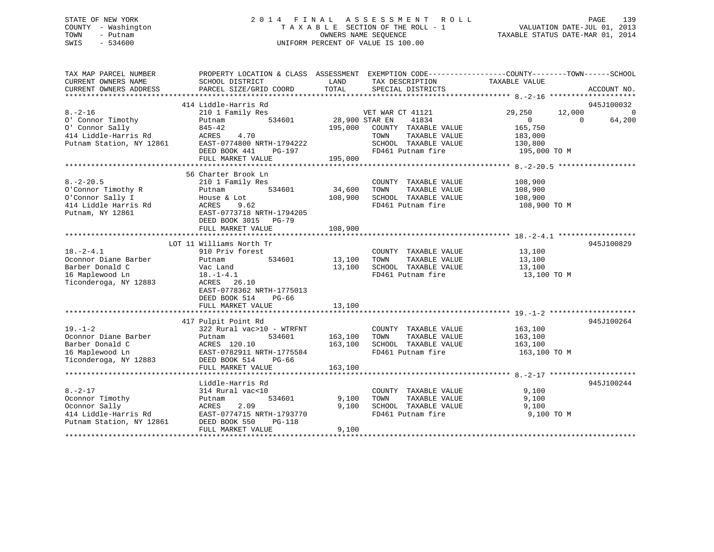# STATE OF NEW YORK 2 0 1 4 F I N A L A S S E S S M E N T R O L L PAGE 139 COUNTY - Washington T A X A B L E SECTION OF THE ROLL - 1 VALUATION DATE-JUL 01, 2013 TOWN - Putnam OWNERS NAME SEQUENCE TAXABLE STATUS DATE-MAR 01, 2014 SWIS - 534600 UNIFORM PERCENT OF VALUE IS 100.00

| TAX MAP PARCEL NUMBER<br>CURRENT OWNERS NAME | PROPERTY LOCATION & CLASS ASSESSMENT EXEMPTION CODE----------------COUNTY-------TOWN------SCHOOL<br>SCHOOL DISTRICT | LAND           | TAX DESCRIPTION              | TAXABLE VALUE    |                    |
|----------------------------------------------|---------------------------------------------------------------------------------------------------------------------|----------------|------------------------------|------------------|--------------------|
| CURRENT OWNERS ADDRESS                       | PARCEL SIZE/GRID COORD                                                                                              | TOTAL          | SPECIAL DISTRICTS            |                  | ACCOUNT NO.        |
|                                              |                                                                                                                     |                |                              |                  |                    |
|                                              | 414 Liddle-Harris Rd                                                                                                |                |                              |                  | 945J100032         |
| $8. - 2 - 16$                                | 210 1 Family Res                                                                                                    |                | VET WAR CT 41121             | 29,250<br>12,000 | $\Omega$           |
| 0' Connor Timothy                            | 534601<br>Putnam                                                                                                    | 28,900 STAR EN | 41834                        | $\overline{0}$   | 64,200<br>$\Omega$ |
| 0' Connor Sally                              | $845 - 42$                                                                                                          |                | 195,000 COUNTY TAXABLE VALUE | 165,750          |                    |
| 414 Liddle-Harris Rd                         | ACRES<br>4.70                                                                                                       |                | TOWN<br>TAXABLE VALUE        | 183,000          |                    |
| Putnam Station, NY 12861                     | EAST-0774800 NRTH-1794222                                                                                           |                | SCHOOL TAXABLE VALUE         | 130,800          |                    |
|                                              | DEED BOOK 441<br>PG-197                                                                                             |                | FD461 Putnam fire            | 195,000 TO M     |                    |
|                                              | FULL MARKET VALUE                                                                                                   | 195,000        |                              |                  |                    |
|                                              |                                                                                                                     |                |                              |                  |                    |
|                                              | 56 Charter Brook Ln                                                                                                 |                |                              |                  |                    |
| $8. - 2 - 20.5$                              | 210 1 Family Res                                                                                                    |                | COUNTY TAXABLE VALUE         | 108,900          |                    |
| O'Connor Timothy R                           | 534601<br>Putnam                                                                                                    | 34,600         | TOWN<br>TAXABLE VALUE        | 108,900          |                    |
| O'Connor Sally I                             | House & Lot                                                                                                         | 108,900        | SCHOOL TAXABLE VALUE         | 108,900          |                    |
| 414 Liddle Harris Rd                         | 9.62<br>ACRES                                                                                                       |                | FD461 Putnam fire            | 108,900 ТО М     |                    |
| Putnam, NY 12861                             | EAST-0773718 NRTH-1794205                                                                                           |                |                              |                  |                    |
|                                              | DEED BOOK 3015 PG-79                                                                                                |                |                              |                  |                    |
|                                              | FULL MARKET VALUE                                                                                                   | 108,900        |                              |                  |                    |
|                                              |                                                                                                                     |                |                              |                  |                    |
|                                              | LOT 11 Williams North Tr                                                                                            |                |                              |                  | 945J100829         |
| $18. - 2 - 4.1$                              | 910 Priv forest                                                                                                     |                | COUNTY TAXABLE VALUE         | 13,100           |                    |
| Oconnor Diane Barber                         | 534601<br>Putnam                                                                                                    | 13,100         | TOWN<br>TAXABLE VALUE        | 13,100           |                    |
| Barber Donald C                              | Vac Land                                                                                                            | 13,100         | SCHOOL TAXABLE VALUE         | 13,100           |                    |
| 16 Maplewood Ln                              | $18. - 1 - 4.1$                                                                                                     |                | FD461 Putnam fire            | 13,100 TO M      |                    |
| Ticonderoga, NY 12883                        | ACRES 26.10                                                                                                         |                |                              |                  |                    |
|                                              | EAST-0778362 NRTH-1775013                                                                                           |                |                              |                  |                    |
|                                              | DEED BOOK 514<br>$PG-66$                                                                                            |                |                              |                  |                    |
|                                              | FULL MARKET VALUE                                                                                                   | 13,100         |                              |                  |                    |
|                                              |                                                                                                                     |                |                              |                  |                    |
|                                              | 417 Pulpit Point Rd                                                                                                 |                |                              |                  | 945J100264         |
| $19. - 1 - 2$                                | 322 Rural vac>10 - WTRFNT                                                                                           |                | COUNTY TAXABLE VALUE         | 163,100          |                    |
| Oconnor Diane Barber                         | 534601<br>Putnam                                                                                                    | 163,100        | TOWN<br>TAXABLE VALUE        | 163,100          |                    |
| Barber Donald C                              | ACRES 120.10                                                                                                        | 163,100        | SCHOOL TAXABLE VALUE         | 163,100          |                    |
| 16 Maplewood Ln                              | EAST-0782911 NRTH-1775584                                                                                           |                | FD461 Putnam fire            | 163,100 TO M     |                    |
| Ticonderoga, NY 12883                        | DEED BOOK 514<br>$PG-66$                                                                                            |                |                              |                  |                    |
|                                              | FULL MARKET VALUE                                                                                                   | 163,100        |                              |                  |                    |
|                                              |                                                                                                                     |                |                              |                  |                    |
|                                              | Liddle-Harris Rd                                                                                                    |                |                              |                  | 945J100244         |
| $8. - 2 - 17$                                | 314 Rural vac<10                                                                                                    |                | COUNTY TAXABLE VALUE         | 9,100            |                    |
| Oconnor Timothy                              | Putnam<br>534601                                                                                                    | 9,100          | TAXABLE VALUE<br>TOWN        | 9,100            |                    |
| Oconnor Sally                                | 2.09<br>ACRES                                                                                                       | 9,100          | SCHOOL TAXABLE VALUE         | 9,100            |                    |
| 414 Liddle-Harris Rd                         | EAST-0774715 NRTH-1793770                                                                                           |                | FD461 Putnam fire            | 9,100 TO M       |                    |
| Putnam Station, NY 12861                     | DEED BOOK 550<br><b>PG-118</b>                                                                                      |                |                              |                  |                    |
|                                              | FULL MARKET VALUE                                                                                                   | 9,100          |                              |                  |                    |
| *******************                          |                                                                                                                     |                |                              |                  |                    |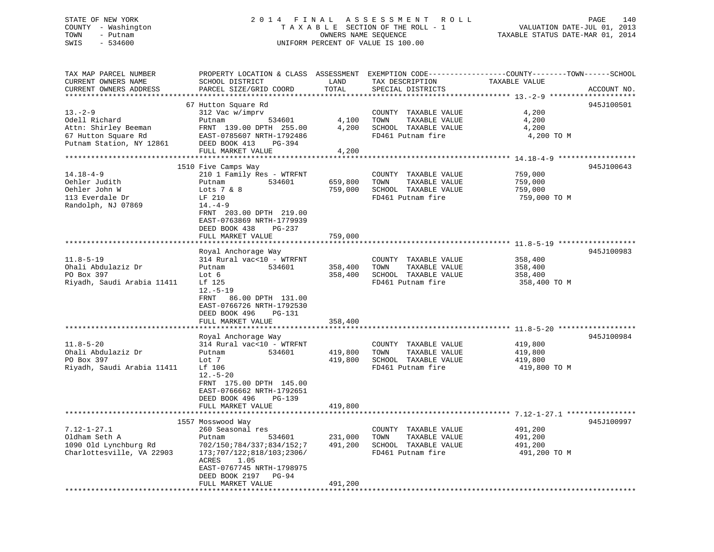# STATE OF NEW YORK 2 0 1 4 F I N A L A S S E S S M E N T R O L L PAGE 140 COUNTY - Washington T A X A B L E SECTION OF THE ROLL - 1 VALUATION DATE-JUL 01, 2013 TOWN - Putnam **CONNERS NAME SEQUENCE** TAXABLE STATUS DATE-MAR 01, 2014 SWIS - 534600 UNIFORM PERCENT OF VALUE IS 100.00

| TOTAL<br>CURRENT OWNERS ADDRESS<br>PARCEL SIZE/GRID COORD<br>SPECIAL DISTRICTS<br>ACCOUNT NO.<br>67 Hutton Square Rd<br>945J100501<br>312 Vac w/imprv<br>COUNTY TAXABLE VALUE<br>4,200<br>TAXABLE VALUE<br>4,200<br>Putnam<br>534601<br>4,100<br>TOWN<br>4,200<br>SCHOOL TAXABLE VALUE<br>4,200<br>FRNT 139.00 DPTH 255.00<br>67 Hutton Square Rd<br>EAST-0785607 NRTH-1792486<br>FD461 Putnam fire<br>4,200 TO M<br>DEED BOOK 413<br>PG-394<br>4,200<br>FULL MARKET VALUE<br>945J100643<br>1510 Five Camps Way<br>210 1 Family Res - WTRFNT<br>COUNTY TAXABLE VALUE<br>759,000<br>534601<br>659,800<br>TOWN<br>TAXABLE VALUE<br>759,000<br>Putnam<br>759,000<br>SCHOOL TAXABLE VALUE<br>759,000<br>Lots $7 \& 8$<br>FD461 Putnam fire<br>LF 210<br>759,000 TO M<br>$14. -4 - 9$<br>FRNT 203.00 DPTH 219.00<br>EAST-0763869 NRTH-1779939<br>DEED BOOK 438<br>PG-237<br>FULL MARKET VALUE<br>759,000<br>945J100983<br>Royal Anchorage Way<br>$11.8 - 5 - 19$<br>314 Rural vac<10 - WTRFNT<br>COUNTY TAXABLE VALUE<br>358,400<br>Ohali Abdulaziz Dr<br>534601<br>358,400<br>TOWN<br>TAXABLE VALUE<br>358,400<br>Putnam<br>PO Box 397<br>358,400<br>SCHOOL TAXABLE VALUE<br>Lot 6<br>358,400<br>Riyadh, Saudi Arabia 11411<br>Lf 125<br>FD461 Putnam fire<br>358,400 TO M<br>$12.-5-19$<br>FRNT<br>86.00 DPTH 131.00<br>EAST-0766726 NRTH-1792530<br>DEED BOOK 496<br><b>PG-131</b><br>358,400<br>FULL MARKET VALUE<br>945J100984<br>Royal Anchorage Way<br>314 Rural vac<10 - WTRFNT<br>$11.8 - 5 - 20$<br>COUNTY TAXABLE VALUE<br>419,800<br>Ohali Abdulaziz Dr<br>534601<br>419,800<br>TOWN<br>TAXABLE VALUE<br>Putnam<br>419,800<br>PO Box 397<br>Lot 7<br>419,800<br>SCHOOL TAXABLE VALUE<br>419,800<br>Riyadh, Saudi Arabia 11411<br>Lf 106<br>FD461 Putnam fire<br>419,800 TO M<br>$12.-5-20$<br>FRNT 175.00 DPTH 145.00<br>EAST-0766662 NRTH-1792651<br>DEED BOOK 496<br>PG-139<br>FULL MARKET VALUE<br>419,800<br>945J100997<br>1557 Mosswood Way<br>$7.12 - 1 - 27.1$<br>260 Seasonal res<br>COUNTY TAXABLE VALUE<br>491,200<br>Oldham Seth A<br>231,000<br>TOWN<br>TAXABLE VALUE<br>534601<br>491,200<br>Putnam<br>1090 Old Lynchburg Rd<br>491,200<br>SCHOOL TAXABLE VALUE<br>491,200<br>702/150;784/337;834/152;7<br>Charlottesville, VA 22903<br>FD461 Putnam fire<br>173;707/122;818/103;2306/<br>491,200 TO M<br>ACRES<br>1.05<br>EAST-0767745 NRTH-1798975<br>DEED BOOK 2197<br>PG-94<br>491,200<br>FULL MARKET VALUE<br>**********************<br>******************************* | TAX MAP PARCEL NUMBER<br>CURRENT OWNERS NAME | SCHOOL DISTRICT | LAND | TAX DESCRIPTION | PROPERTY LOCATION & CLASS ASSESSMENT EXEMPTION CODE----------------COUNTY-------TOWN------SCHOOL<br>TAXABLE VALUE |  |
|--------------------------------------------------------------------------------------------------------------------------------------------------------------------------------------------------------------------------------------------------------------------------------------------------------------------------------------------------------------------------------------------------------------------------------------------------------------------------------------------------------------------------------------------------------------------------------------------------------------------------------------------------------------------------------------------------------------------------------------------------------------------------------------------------------------------------------------------------------------------------------------------------------------------------------------------------------------------------------------------------------------------------------------------------------------------------------------------------------------------------------------------------------------------------------------------------------------------------------------------------------------------------------------------------------------------------------------------------------------------------------------------------------------------------------------------------------------------------------------------------------------------------------------------------------------------------------------------------------------------------------------------------------------------------------------------------------------------------------------------------------------------------------------------------------------------------------------------------------------------------------------------------------------------------------------------------------------------------------------------------------------------------------------------------------------------------------------------------------------------------------------------------------------------------------------------------------------------------------------------------------------------------------------------------------------------------------------------------------------------------------------------------------------------------------------------------------------------------------------------------|----------------------------------------------|-----------------|------|-----------------|-------------------------------------------------------------------------------------------------------------------|--|
|                                                                                                                                                                                                                                                                                                                                                                                                                                                                                                                                                                                                                                                                                                                                                                                                                                                                                                                                                                                                                                                                                                                                                                                                                                                                                                                                                                                                                                                                                                                                                                                                                                                                                                                                                                                                                                                                                                                                                                                                                                                                                                                                                                                                                                                                                                                                                                                                                                                                                                  |                                              |                 |      |                 |                                                                                                                   |  |
|                                                                                                                                                                                                                                                                                                                                                                                                                                                                                                                                                                                                                                                                                                                                                                                                                                                                                                                                                                                                                                                                                                                                                                                                                                                                                                                                                                                                                                                                                                                                                                                                                                                                                                                                                                                                                                                                                                                                                                                                                                                                                                                                                                                                                                                                                                                                                                                                                                                                                                  |                                              |                 |      |                 |                                                                                                                   |  |
|                                                                                                                                                                                                                                                                                                                                                                                                                                                                                                                                                                                                                                                                                                                                                                                                                                                                                                                                                                                                                                                                                                                                                                                                                                                                                                                                                                                                                                                                                                                                                                                                                                                                                                                                                                                                                                                                                                                                                                                                                                                                                                                                                                                                                                                                                                                                                                                                                                                                                                  |                                              |                 |      |                 |                                                                                                                   |  |
|                                                                                                                                                                                                                                                                                                                                                                                                                                                                                                                                                                                                                                                                                                                                                                                                                                                                                                                                                                                                                                                                                                                                                                                                                                                                                                                                                                                                                                                                                                                                                                                                                                                                                                                                                                                                                                                                                                                                                                                                                                                                                                                                                                                                                                                                                                                                                                                                                                                                                                  | $13 - 2 - 9$                                 |                 |      |                 |                                                                                                                   |  |
|                                                                                                                                                                                                                                                                                                                                                                                                                                                                                                                                                                                                                                                                                                                                                                                                                                                                                                                                                                                                                                                                                                                                                                                                                                                                                                                                                                                                                                                                                                                                                                                                                                                                                                                                                                                                                                                                                                                                                                                                                                                                                                                                                                                                                                                                                                                                                                                                                                                                                                  | Odell Richard                                |                 |      |                 |                                                                                                                   |  |
|                                                                                                                                                                                                                                                                                                                                                                                                                                                                                                                                                                                                                                                                                                                                                                                                                                                                                                                                                                                                                                                                                                                                                                                                                                                                                                                                                                                                                                                                                                                                                                                                                                                                                                                                                                                                                                                                                                                                                                                                                                                                                                                                                                                                                                                                                                                                                                                                                                                                                                  | Attn: Shirley Beeman                         |                 |      |                 |                                                                                                                   |  |
|                                                                                                                                                                                                                                                                                                                                                                                                                                                                                                                                                                                                                                                                                                                                                                                                                                                                                                                                                                                                                                                                                                                                                                                                                                                                                                                                                                                                                                                                                                                                                                                                                                                                                                                                                                                                                                                                                                                                                                                                                                                                                                                                                                                                                                                                                                                                                                                                                                                                                                  |                                              |                 |      |                 |                                                                                                                   |  |
|                                                                                                                                                                                                                                                                                                                                                                                                                                                                                                                                                                                                                                                                                                                                                                                                                                                                                                                                                                                                                                                                                                                                                                                                                                                                                                                                                                                                                                                                                                                                                                                                                                                                                                                                                                                                                                                                                                                                                                                                                                                                                                                                                                                                                                                                                                                                                                                                                                                                                                  | Putnam Station, NY 12861                     |                 |      |                 |                                                                                                                   |  |
|                                                                                                                                                                                                                                                                                                                                                                                                                                                                                                                                                                                                                                                                                                                                                                                                                                                                                                                                                                                                                                                                                                                                                                                                                                                                                                                                                                                                                                                                                                                                                                                                                                                                                                                                                                                                                                                                                                                                                                                                                                                                                                                                                                                                                                                                                                                                                                                                                                                                                                  |                                              |                 |      |                 |                                                                                                                   |  |
|                                                                                                                                                                                                                                                                                                                                                                                                                                                                                                                                                                                                                                                                                                                                                                                                                                                                                                                                                                                                                                                                                                                                                                                                                                                                                                                                                                                                                                                                                                                                                                                                                                                                                                                                                                                                                                                                                                                                                                                                                                                                                                                                                                                                                                                                                                                                                                                                                                                                                                  |                                              |                 |      |                 |                                                                                                                   |  |
|                                                                                                                                                                                                                                                                                                                                                                                                                                                                                                                                                                                                                                                                                                                                                                                                                                                                                                                                                                                                                                                                                                                                                                                                                                                                                                                                                                                                                                                                                                                                                                                                                                                                                                                                                                                                                                                                                                                                                                                                                                                                                                                                                                                                                                                                                                                                                                                                                                                                                                  |                                              |                 |      |                 |                                                                                                                   |  |
|                                                                                                                                                                                                                                                                                                                                                                                                                                                                                                                                                                                                                                                                                                                                                                                                                                                                                                                                                                                                                                                                                                                                                                                                                                                                                                                                                                                                                                                                                                                                                                                                                                                                                                                                                                                                                                                                                                                                                                                                                                                                                                                                                                                                                                                                                                                                                                                                                                                                                                  | $14.18 - 4 - 9$                              |                 |      |                 |                                                                                                                   |  |
|                                                                                                                                                                                                                                                                                                                                                                                                                                                                                                                                                                                                                                                                                                                                                                                                                                                                                                                                                                                                                                                                                                                                                                                                                                                                                                                                                                                                                                                                                                                                                                                                                                                                                                                                                                                                                                                                                                                                                                                                                                                                                                                                                                                                                                                                                                                                                                                                                                                                                                  | Oehler Judith                                |                 |      |                 |                                                                                                                   |  |
|                                                                                                                                                                                                                                                                                                                                                                                                                                                                                                                                                                                                                                                                                                                                                                                                                                                                                                                                                                                                                                                                                                                                                                                                                                                                                                                                                                                                                                                                                                                                                                                                                                                                                                                                                                                                                                                                                                                                                                                                                                                                                                                                                                                                                                                                                                                                                                                                                                                                                                  | Oehler John W                                |                 |      |                 |                                                                                                                   |  |
|                                                                                                                                                                                                                                                                                                                                                                                                                                                                                                                                                                                                                                                                                                                                                                                                                                                                                                                                                                                                                                                                                                                                                                                                                                                                                                                                                                                                                                                                                                                                                                                                                                                                                                                                                                                                                                                                                                                                                                                                                                                                                                                                                                                                                                                                                                                                                                                                                                                                                                  | 113 Everdale Dr                              |                 |      |                 |                                                                                                                   |  |
|                                                                                                                                                                                                                                                                                                                                                                                                                                                                                                                                                                                                                                                                                                                                                                                                                                                                                                                                                                                                                                                                                                                                                                                                                                                                                                                                                                                                                                                                                                                                                                                                                                                                                                                                                                                                                                                                                                                                                                                                                                                                                                                                                                                                                                                                                                                                                                                                                                                                                                  | Randolph, NJ 07869                           |                 |      |                 |                                                                                                                   |  |
|                                                                                                                                                                                                                                                                                                                                                                                                                                                                                                                                                                                                                                                                                                                                                                                                                                                                                                                                                                                                                                                                                                                                                                                                                                                                                                                                                                                                                                                                                                                                                                                                                                                                                                                                                                                                                                                                                                                                                                                                                                                                                                                                                                                                                                                                                                                                                                                                                                                                                                  |                                              |                 |      |                 |                                                                                                                   |  |
|                                                                                                                                                                                                                                                                                                                                                                                                                                                                                                                                                                                                                                                                                                                                                                                                                                                                                                                                                                                                                                                                                                                                                                                                                                                                                                                                                                                                                                                                                                                                                                                                                                                                                                                                                                                                                                                                                                                                                                                                                                                                                                                                                                                                                                                                                                                                                                                                                                                                                                  |                                              |                 |      |                 |                                                                                                                   |  |
|                                                                                                                                                                                                                                                                                                                                                                                                                                                                                                                                                                                                                                                                                                                                                                                                                                                                                                                                                                                                                                                                                                                                                                                                                                                                                                                                                                                                                                                                                                                                                                                                                                                                                                                                                                                                                                                                                                                                                                                                                                                                                                                                                                                                                                                                                                                                                                                                                                                                                                  |                                              |                 |      |                 |                                                                                                                   |  |
|                                                                                                                                                                                                                                                                                                                                                                                                                                                                                                                                                                                                                                                                                                                                                                                                                                                                                                                                                                                                                                                                                                                                                                                                                                                                                                                                                                                                                                                                                                                                                                                                                                                                                                                                                                                                                                                                                                                                                                                                                                                                                                                                                                                                                                                                                                                                                                                                                                                                                                  |                                              |                 |      |                 |                                                                                                                   |  |
|                                                                                                                                                                                                                                                                                                                                                                                                                                                                                                                                                                                                                                                                                                                                                                                                                                                                                                                                                                                                                                                                                                                                                                                                                                                                                                                                                                                                                                                                                                                                                                                                                                                                                                                                                                                                                                                                                                                                                                                                                                                                                                                                                                                                                                                                                                                                                                                                                                                                                                  |                                              |                 |      |                 |                                                                                                                   |  |
|                                                                                                                                                                                                                                                                                                                                                                                                                                                                                                                                                                                                                                                                                                                                                                                                                                                                                                                                                                                                                                                                                                                                                                                                                                                                                                                                                                                                                                                                                                                                                                                                                                                                                                                                                                                                                                                                                                                                                                                                                                                                                                                                                                                                                                                                                                                                                                                                                                                                                                  |                                              |                 |      |                 |                                                                                                                   |  |
|                                                                                                                                                                                                                                                                                                                                                                                                                                                                                                                                                                                                                                                                                                                                                                                                                                                                                                                                                                                                                                                                                                                                                                                                                                                                                                                                                                                                                                                                                                                                                                                                                                                                                                                                                                                                                                                                                                                                                                                                                                                                                                                                                                                                                                                                                                                                                                                                                                                                                                  |                                              |                 |      |                 |                                                                                                                   |  |
|                                                                                                                                                                                                                                                                                                                                                                                                                                                                                                                                                                                                                                                                                                                                                                                                                                                                                                                                                                                                                                                                                                                                                                                                                                                                                                                                                                                                                                                                                                                                                                                                                                                                                                                                                                                                                                                                                                                                                                                                                                                                                                                                                                                                                                                                                                                                                                                                                                                                                                  |                                              |                 |      |                 |                                                                                                                   |  |
|                                                                                                                                                                                                                                                                                                                                                                                                                                                                                                                                                                                                                                                                                                                                                                                                                                                                                                                                                                                                                                                                                                                                                                                                                                                                                                                                                                                                                                                                                                                                                                                                                                                                                                                                                                                                                                                                                                                                                                                                                                                                                                                                                                                                                                                                                                                                                                                                                                                                                                  |                                              |                 |      |                 |                                                                                                                   |  |
|                                                                                                                                                                                                                                                                                                                                                                                                                                                                                                                                                                                                                                                                                                                                                                                                                                                                                                                                                                                                                                                                                                                                                                                                                                                                                                                                                                                                                                                                                                                                                                                                                                                                                                                                                                                                                                                                                                                                                                                                                                                                                                                                                                                                                                                                                                                                                                                                                                                                                                  |                                              |                 |      |                 |                                                                                                                   |  |
|                                                                                                                                                                                                                                                                                                                                                                                                                                                                                                                                                                                                                                                                                                                                                                                                                                                                                                                                                                                                                                                                                                                                                                                                                                                                                                                                                                                                                                                                                                                                                                                                                                                                                                                                                                                                                                                                                                                                                                                                                                                                                                                                                                                                                                                                                                                                                                                                                                                                                                  |                                              |                 |      |                 |                                                                                                                   |  |
|                                                                                                                                                                                                                                                                                                                                                                                                                                                                                                                                                                                                                                                                                                                                                                                                                                                                                                                                                                                                                                                                                                                                                                                                                                                                                                                                                                                                                                                                                                                                                                                                                                                                                                                                                                                                                                                                                                                                                                                                                                                                                                                                                                                                                                                                                                                                                                                                                                                                                                  |                                              |                 |      |                 |                                                                                                                   |  |
|                                                                                                                                                                                                                                                                                                                                                                                                                                                                                                                                                                                                                                                                                                                                                                                                                                                                                                                                                                                                                                                                                                                                                                                                                                                                                                                                                                                                                                                                                                                                                                                                                                                                                                                                                                                                                                                                                                                                                                                                                                                                                                                                                                                                                                                                                                                                                                                                                                                                                                  |                                              |                 |      |                 |                                                                                                                   |  |
|                                                                                                                                                                                                                                                                                                                                                                                                                                                                                                                                                                                                                                                                                                                                                                                                                                                                                                                                                                                                                                                                                                                                                                                                                                                                                                                                                                                                                                                                                                                                                                                                                                                                                                                                                                                                                                                                                                                                                                                                                                                                                                                                                                                                                                                                                                                                                                                                                                                                                                  |                                              |                 |      |                 |                                                                                                                   |  |
|                                                                                                                                                                                                                                                                                                                                                                                                                                                                                                                                                                                                                                                                                                                                                                                                                                                                                                                                                                                                                                                                                                                                                                                                                                                                                                                                                                                                                                                                                                                                                                                                                                                                                                                                                                                                                                                                                                                                                                                                                                                                                                                                                                                                                                                                                                                                                                                                                                                                                                  |                                              |                 |      |                 |                                                                                                                   |  |
|                                                                                                                                                                                                                                                                                                                                                                                                                                                                                                                                                                                                                                                                                                                                                                                                                                                                                                                                                                                                                                                                                                                                                                                                                                                                                                                                                                                                                                                                                                                                                                                                                                                                                                                                                                                                                                                                                                                                                                                                                                                                                                                                                                                                                                                                                                                                                                                                                                                                                                  |                                              |                 |      |                 |                                                                                                                   |  |
|                                                                                                                                                                                                                                                                                                                                                                                                                                                                                                                                                                                                                                                                                                                                                                                                                                                                                                                                                                                                                                                                                                                                                                                                                                                                                                                                                                                                                                                                                                                                                                                                                                                                                                                                                                                                                                                                                                                                                                                                                                                                                                                                                                                                                                                                                                                                                                                                                                                                                                  |                                              |                 |      |                 |                                                                                                                   |  |
|                                                                                                                                                                                                                                                                                                                                                                                                                                                                                                                                                                                                                                                                                                                                                                                                                                                                                                                                                                                                                                                                                                                                                                                                                                                                                                                                                                                                                                                                                                                                                                                                                                                                                                                                                                                                                                                                                                                                                                                                                                                                                                                                                                                                                                                                                                                                                                                                                                                                                                  |                                              |                 |      |                 |                                                                                                                   |  |
|                                                                                                                                                                                                                                                                                                                                                                                                                                                                                                                                                                                                                                                                                                                                                                                                                                                                                                                                                                                                                                                                                                                                                                                                                                                                                                                                                                                                                                                                                                                                                                                                                                                                                                                                                                                                                                                                                                                                                                                                                                                                                                                                                                                                                                                                                                                                                                                                                                                                                                  |                                              |                 |      |                 |                                                                                                                   |  |
|                                                                                                                                                                                                                                                                                                                                                                                                                                                                                                                                                                                                                                                                                                                                                                                                                                                                                                                                                                                                                                                                                                                                                                                                                                                                                                                                                                                                                                                                                                                                                                                                                                                                                                                                                                                                                                                                                                                                                                                                                                                                                                                                                                                                                                                                                                                                                                                                                                                                                                  |                                              |                 |      |                 |                                                                                                                   |  |
|                                                                                                                                                                                                                                                                                                                                                                                                                                                                                                                                                                                                                                                                                                                                                                                                                                                                                                                                                                                                                                                                                                                                                                                                                                                                                                                                                                                                                                                                                                                                                                                                                                                                                                                                                                                                                                                                                                                                                                                                                                                                                                                                                                                                                                                                                                                                                                                                                                                                                                  |                                              |                 |      |                 |                                                                                                                   |  |
|                                                                                                                                                                                                                                                                                                                                                                                                                                                                                                                                                                                                                                                                                                                                                                                                                                                                                                                                                                                                                                                                                                                                                                                                                                                                                                                                                                                                                                                                                                                                                                                                                                                                                                                                                                                                                                                                                                                                                                                                                                                                                                                                                                                                                                                                                                                                                                                                                                                                                                  |                                              |                 |      |                 |                                                                                                                   |  |
|                                                                                                                                                                                                                                                                                                                                                                                                                                                                                                                                                                                                                                                                                                                                                                                                                                                                                                                                                                                                                                                                                                                                                                                                                                                                                                                                                                                                                                                                                                                                                                                                                                                                                                                                                                                                                                                                                                                                                                                                                                                                                                                                                                                                                                                                                                                                                                                                                                                                                                  |                                              |                 |      |                 |                                                                                                                   |  |
|                                                                                                                                                                                                                                                                                                                                                                                                                                                                                                                                                                                                                                                                                                                                                                                                                                                                                                                                                                                                                                                                                                                                                                                                                                                                                                                                                                                                                                                                                                                                                                                                                                                                                                                                                                                                                                                                                                                                                                                                                                                                                                                                                                                                                                                                                                                                                                                                                                                                                                  |                                              |                 |      |                 |                                                                                                                   |  |
|                                                                                                                                                                                                                                                                                                                                                                                                                                                                                                                                                                                                                                                                                                                                                                                                                                                                                                                                                                                                                                                                                                                                                                                                                                                                                                                                                                                                                                                                                                                                                                                                                                                                                                                                                                                                                                                                                                                                                                                                                                                                                                                                                                                                                                                                                                                                                                                                                                                                                                  |                                              |                 |      |                 |                                                                                                                   |  |
|                                                                                                                                                                                                                                                                                                                                                                                                                                                                                                                                                                                                                                                                                                                                                                                                                                                                                                                                                                                                                                                                                                                                                                                                                                                                                                                                                                                                                                                                                                                                                                                                                                                                                                                                                                                                                                                                                                                                                                                                                                                                                                                                                                                                                                                                                                                                                                                                                                                                                                  |                                              |                 |      |                 |                                                                                                                   |  |
|                                                                                                                                                                                                                                                                                                                                                                                                                                                                                                                                                                                                                                                                                                                                                                                                                                                                                                                                                                                                                                                                                                                                                                                                                                                                                                                                                                                                                                                                                                                                                                                                                                                                                                                                                                                                                                                                                                                                                                                                                                                                                                                                                                                                                                                                                                                                                                                                                                                                                                  |                                              |                 |      |                 |                                                                                                                   |  |
|                                                                                                                                                                                                                                                                                                                                                                                                                                                                                                                                                                                                                                                                                                                                                                                                                                                                                                                                                                                                                                                                                                                                                                                                                                                                                                                                                                                                                                                                                                                                                                                                                                                                                                                                                                                                                                                                                                                                                                                                                                                                                                                                                                                                                                                                                                                                                                                                                                                                                                  |                                              |                 |      |                 |                                                                                                                   |  |
|                                                                                                                                                                                                                                                                                                                                                                                                                                                                                                                                                                                                                                                                                                                                                                                                                                                                                                                                                                                                                                                                                                                                                                                                                                                                                                                                                                                                                                                                                                                                                                                                                                                                                                                                                                                                                                                                                                                                                                                                                                                                                                                                                                                                                                                                                                                                                                                                                                                                                                  |                                              |                 |      |                 |                                                                                                                   |  |
|                                                                                                                                                                                                                                                                                                                                                                                                                                                                                                                                                                                                                                                                                                                                                                                                                                                                                                                                                                                                                                                                                                                                                                                                                                                                                                                                                                                                                                                                                                                                                                                                                                                                                                                                                                                                                                                                                                                                                                                                                                                                                                                                                                                                                                                                                                                                                                                                                                                                                                  |                                              |                 |      |                 |                                                                                                                   |  |
|                                                                                                                                                                                                                                                                                                                                                                                                                                                                                                                                                                                                                                                                                                                                                                                                                                                                                                                                                                                                                                                                                                                                                                                                                                                                                                                                                                                                                                                                                                                                                                                                                                                                                                                                                                                                                                                                                                                                                                                                                                                                                                                                                                                                                                                                                                                                                                                                                                                                                                  |                                              |                 |      |                 |                                                                                                                   |  |
|                                                                                                                                                                                                                                                                                                                                                                                                                                                                                                                                                                                                                                                                                                                                                                                                                                                                                                                                                                                                                                                                                                                                                                                                                                                                                                                                                                                                                                                                                                                                                                                                                                                                                                                                                                                                                                                                                                                                                                                                                                                                                                                                                                                                                                                                                                                                                                                                                                                                                                  |                                              |                 |      |                 |                                                                                                                   |  |
|                                                                                                                                                                                                                                                                                                                                                                                                                                                                                                                                                                                                                                                                                                                                                                                                                                                                                                                                                                                                                                                                                                                                                                                                                                                                                                                                                                                                                                                                                                                                                                                                                                                                                                                                                                                                                                                                                                                                                                                                                                                                                                                                                                                                                                                                                                                                                                                                                                                                                                  |                                              |                 |      |                 |                                                                                                                   |  |
|                                                                                                                                                                                                                                                                                                                                                                                                                                                                                                                                                                                                                                                                                                                                                                                                                                                                                                                                                                                                                                                                                                                                                                                                                                                                                                                                                                                                                                                                                                                                                                                                                                                                                                                                                                                                                                                                                                                                                                                                                                                                                                                                                                                                                                                                                                                                                                                                                                                                                                  |                                              |                 |      |                 |                                                                                                                   |  |
|                                                                                                                                                                                                                                                                                                                                                                                                                                                                                                                                                                                                                                                                                                                                                                                                                                                                                                                                                                                                                                                                                                                                                                                                                                                                                                                                                                                                                                                                                                                                                                                                                                                                                                                                                                                                                                                                                                                                                                                                                                                                                                                                                                                                                                                                                                                                                                                                                                                                                                  |                                              |                 |      |                 |                                                                                                                   |  |
|                                                                                                                                                                                                                                                                                                                                                                                                                                                                                                                                                                                                                                                                                                                                                                                                                                                                                                                                                                                                                                                                                                                                                                                                                                                                                                                                                                                                                                                                                                                                                                                                                                                                                                                                                                                                                                                                                                                                                                                                                                                                                                                                                                                                                                                                                                                                                                                                                                                                                                  |                                              |                 |      |                 |                                                                                                                   |  |
|                                                                                                                                                                                                                                                                                                                                                                                                                                                                                                                                                                                                                                                                                                                                                                                                                                                                                                                                                                                                                                                                                                                                                                                                                                                                                                                                                                                                                                                                                                                                                                                                                                                                                                                                                                                                                                                                                                                                                                                                                                                                                                                                                                                                                                                                                                                                                                                                                                                                                                  |                                              |                 |      |                 |                                                                                                                   |  |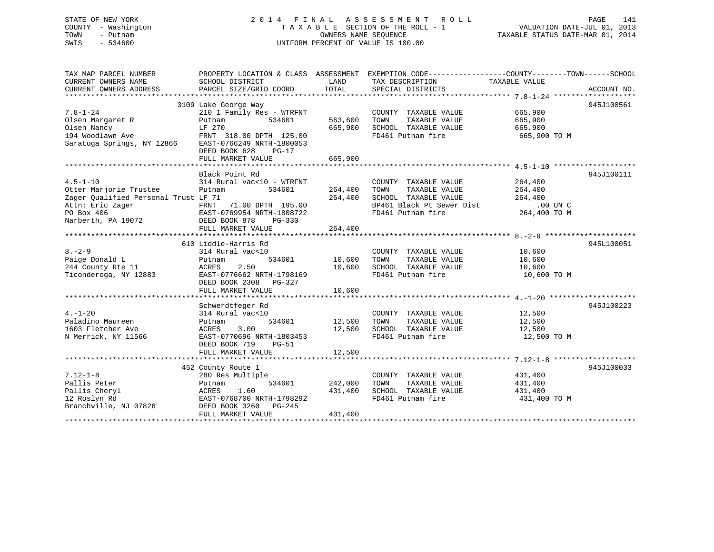# STATE OF NEW YORK 2 0 1 4 F I N A L A S S E S S M E N T R O L L PAGE 141 COUNTY - Washington T A X A B L E SECTION OF THE ROLL - 1 VALUATION DATE-JUL 01, 2013 TOWN - Putnam OWNERS NAME SEQUENCE TAXABLE STATUS DATE-MAR 01, 2014 SWIS - 534600 UNIFORM PERCENT OF VALUE IS 100.00

| TAX MAP PARCEL NUMBER<br>CURRENT OWNERS NAME<br>CURRENT OWNERS ADDRESS                                                                   | PROPERTY LOCATION & CLASS ASSESSMENT<br>SCHOOL DISTRICT<br>PARCEL SIZE/GRID COORD                                                                                                        | LAND<br>TOTAL                 | EXEMPTION CODE-----------------COUNTY-------TOWN------SCHOOL<br>TAX DESCRIPTION<br>SPECIAL DISTRICTS                    | TAXABLE VALUE                                               | ACCOUNT NO. |
|------------------------------------------------------------------------------------------------------------------------------------------|------------------------------------------------------------------------------------------------------------------------------------------------------------------------------------------|-------------------------------|-------------------------------------------------------------------------------------------------------------------------|-------------------------------------------------------------|-------------|
| $7.8 - 1 - 24$<br>Olsen Margaret R<br>Olsen Nancy<br>194 Woodlawn Ave<br>Saratoga Springs, NY 12866                                      | 3109 Lake George Way<br>210 1 Family Res - WTRFNT<br>534601<br>Putnam<br>LF 270<br>FRNT 318.00 DPTH 125.00<br>EAST-0766249 NRTH-1800053<br>DEED BOOK 628<br>$PG-17$<br>FULL MARKET VALUE | 563,600<br>665,900<br>665,900 | COUNTY TAXABLE VALUE<br>TAXABLE VALUE<br>TOWN<br>SCHOOL TAXABLE VALUE<br>FD461 Putnam fire                              | 665,900<br>665,900<br>665,900<br>665,900 TO M               | 945J100561  |
|                                                                                                                                          |                                                                                                                                                                                          |                               |                                                                                                                         |                                                             |             |
| $4.5 - 1 - 10$<br>Otter Marjorie Trustee<br>Zager Oualified Personal Trust LF 71<br>Attn: Eric Zager<br>PO Box 406<br>Narberth, PA 19072 | Black Point Rd<br>314 Rural vac<10 - WTRFNT<br>Putnam<br>534601<br>71.00 DPTH 195.00<br>FRNT<br>EAST-0769954 NRTH-1808722<br>DEED BOOK 878<br>PG-330<br>FULL MARKET VALUE                | 264,400<br>264,400<br>264,400 | COUNTY TAXABLE VALUE<br>TOWN<br>TAXABLE VALUE<br>SCHOOL TAXABLE VALUE<br>BP461 Black Pt Sewer Dist<br>FD461 Putnam fire | 264,400<br>264,400<br>264,400<br>$.00$ UN C<br>264,400 TO M | 945J100111  |
|                                                                                                                                          |                                                                                                                                                                                          |                               |                                                                                                                         |                                                             |             |
| $8 - 2 - 9$<br>Paige Donald L<br>244 County Rte 11<br>Ticonderoga, NY 12883                                                              | 610 Liddle-Harris Rd<br>314 Rural vac<10<br>534601<br>Putnam<br>2.50<br>ACRES<br>EAST-0776662 NRTH-1798169<br>DEED BOOK 2308 PG-327<br>FULL MARKET VALUE                                 | 10,600<br>10,600<br>10,600    | COUNTY TAXABLE VALUE<br>TOWN<br>TAXABLE VALUE<br>SCHOOL TAXABLE VALUE<br>FD461 Putnam fire                              | 10,600<br>10,600<br>10,600<br>10,600 TO M                   | 945L100051  |
|                                                                                                                                          |                                                                                                                                                                                          |                               |                                                                                                                         |                                                             |             |
| $4. - 1 - 20$<br>Paladino Maureen<br>1603 Fletcher Ave<br>N Merrick, NY 11566                                                            | Schwerdtfeger Rd<br>314 Rural vac<10<br>534601<br>Putnam<br>3.00<br>ACRES<br>EAST-0770696 NRTH-1803453<br>DEED BOOK 719<br>$PG-51$<br>FULL MARKET VALUE                                  | 12,500<br>12,500<br>12,500    | COUNTY TAXABLE VALUE<br>TOWN<br>TAXABLE VALUE<br>SCHOOL TAXABLE VALUE<br>FD461 Putnam fire                              | 12,500<br>12,500<br>12,500<br>12,500 TO M                   | 945J100223  |
|                                                                                                                                          |                                                                                                                                                                                          |                               |                                                                                                                         |                                                             |             |
| $7.12 - 1 - 8$<br>Pallis Peter<br>Pallis Cheryl<br>12 Roslyn Rd<br>Branchville, NJ 07826                                                 | 452 County Route 1<br>280 Res Multiple<br>534601<br>Putnam<br>1.60<br>ACRES<br>EAST-0768700 NRTH-1798292<br>DEED BOOK 3260<br>PG-245<br>FULL MARKET VALUE                                | 242,000<br>431,400<br>431,400 | COUNTY TAXABLE VALUE<br>TOWN<br>TAXABLE VALUE<br>SCHOOL TAXABLE VALUE<br>FD461 Putnam fire                              | 431,400<br>431,400<br>431,400<br>431,400 TO M               | 945J100033  |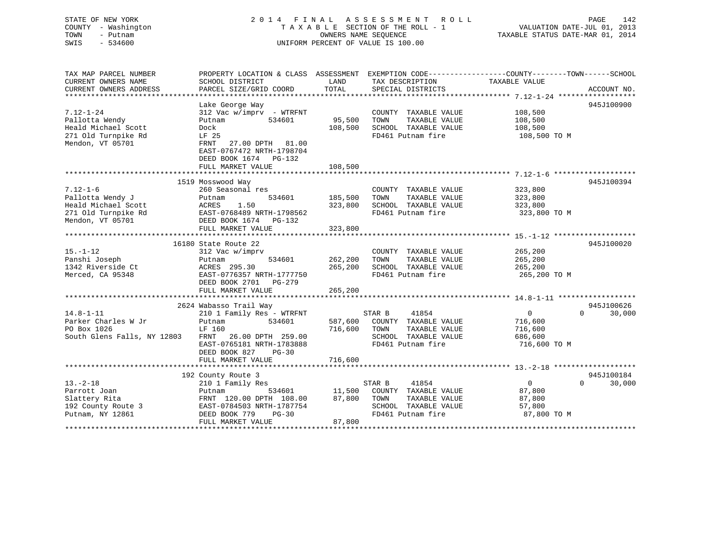# STATE OF NEW YORK 2 0 1 4 F I N A L A S S E S S M E N T R O L L PAGE 142 COUNTY - Washington T A X A B L E SECTION OF THE ROLL - 1 VALUATION DATE-JUL 01, 2013 TOWN - Putnam **CONNERS NAME SEQUENCE** TAXABLE STATUS DATE-MAR 01, 2014 SWIS - 534600 UNIFORM PERCENT OF VALUE IS 100.00

| TAX MAP PARCEL NUMBER<br>CURRENT OWNERS NAME<br>CURRENT OWNERS ADDRESS                               | SCHOOL DISTRICT<br>PARCEL SIZE/GRID COORD                                                                                                                                                    | LAND<br>TOTAL                 | TAX DESCRIPTION<br>SPECIAL DISTRICTS                                                                          | PROPERTY LOCATION & CLASS ASSESSMENT EXEMPTION CODE---------------COUNTY-------TOWN------SCHOOL<br>TAXABLE VALUE<br>ACCOUNT NO. |
|------------------------------------------------------------------------------------------------------|----------------------------------------------------------------------------------------------------------------------------------------------------------------------------------------------|-------------------------------|---------------------------------------------------------------------------------------------------------------|---------------------------------------------------------------------------------------------------------------------------------|
| $7.12 - 1 - 24$<br>Pallotta Wendy<br>Heald Michael Scott<br>271 Old Turnpike Rd<br>Mendon, VT 05701  | Lake George Way<br>$312$ Vac w/imprv - WTRFNT<br>534601<br>Putnam<br>Dock<br>LF 25<br>27.00 DPTH 81.00<br>FRNT<br>EAST-0767472 NRTH-1798704<br>DEED BOOK 1674 PG-132<br>FULL MARKET VALUE    | 95,500<br>108,500<br>108,500  | COUNTY TAXABLE VALUE<br>TOWN<br>TAXABLE VALUE<br>SCHOOL TAXABLE VALUE<br>FD461 Putnam fire                    | 945J100900<br>108,500<br>108,500<br>108,500<br>108,500 TO M                                                                     |
| $7.12 - 1 - 6$<br>Pallotta Wendy J<br>Heald Michael Scott<br>271 Old Turnpike Rd<br>Mendon, VT 05701 | 1519 Mosswood Way<br>260 Seasonal res<br>534601<br>Putnam<br>1.50<br>ACRES<br>EAST-0768489 NRTH-1798562<br>DEED BOOK 1674 PG-132<br>FULL MARKET VALUE                                        | 185,500<br>323,800<br>323,800 | COUNTY TAXABLE VALUE<br>TAXABLE VALUE<br>TOWN<br>SCHOOL TAXABLE VALUE<br>FD461 Putnam fire                    | 945J100394<br>323,800<br>323,800<br>323,800<br>323,800 TO M                                                                     |
| $15. - 1 - 12$<br>Panshi Joseph<br>1342 Riverside Ct<br>Merced, CA 95348                             | 16180 State Route 22<br>312 Vac w/imprv<br>534601<br>Putnam<br>ACRES 295.30<br>EAST-0776357 NRTH-1777750<br>DEED BOOK 2701 PG-279<br>FULL MARKET VALUE                                       | 262,200<br>265,200<br>265,200 | COUNTY TAXABLE VALUE<br>TOWN<br>TAXABLE VALUE<br>SCHOOL TAXABLE VALUE<br>FD461 Putnam fire                    | 945J100020<br>265,200<br>265,200<br>265,200<br>265,200 TO M                                                                     |
| $14.8 - 1 - 11$<br>Parker Charles W Jr<br>PO Box 1026<br>South Glens Falls, NY 12803                 | 2624 Wabasso Trail Way<br>210 1 Family Res - WTRFNT<br>Putnam<br>534601<br>LF 160<br>26.00 DPTH 259.00<br>FRNT<br>EAST-0765181 NRTH-1783888<br>DEED BOOK 827<br>$PG-30$<br>FULL MARKET VALUE | 587,600<br>716,600<br>716,600 | STAR B<br>41854<br>COUNTY TAXABLE VALUE<br>TOWN<br>TAXABLE VALUE<br>SCHOOL TAXABLE VALUE<br>FD461 Putnam fire | 945J100626<br>$\Omega$<br>$\overline{0}$<br>30,000<br>716,600<br>716,600<br>686,600<br>716,600 TO M                             |
| $13. - 2 - 18$<br>Parrott Joan<br>Slattery Rita<br>192 County Route 3<br>Putnam, NY 12861            | 192 County Route 3<br>210 1 Family Res<br>534601<br>Putnam<br>FRNT 120.00 DPTH 108.00<br>EAST-0784503 NRTH-1787754<br>DEED BOOK 779<br>$PG-30$<br>FULL MARKET VALUE                          | 11,500<br>87,800<br>87,800    | 41854<br>STAR B<br>COUNTY TAXABLE VALUE<br>TAXABLE VALUE<br>TOWN<br>SCHOOL TAXABLE VALUE<br>FD461 Putnam fire | 945J100184<br>$\Omega$<br>$\Omega$<br>30,000<br>87,800<br>87,800<br>57,800<br>87,800 TO M                                       |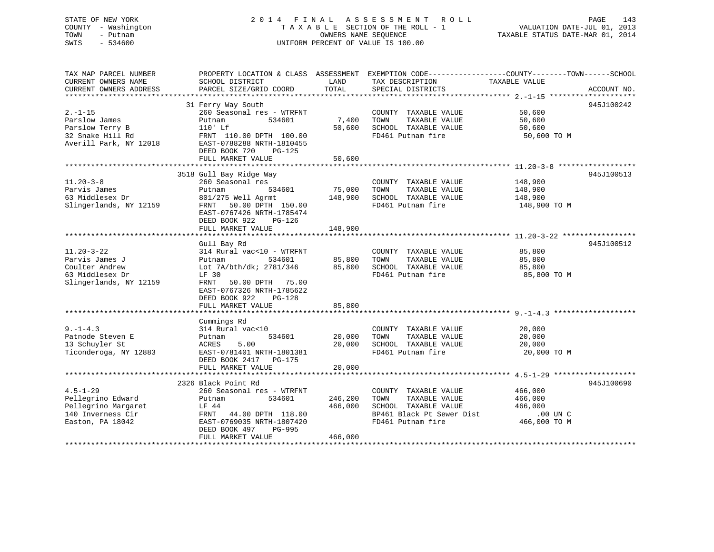# STATE OF NEW YORK 2 0 1 4 F I N A L A S S E S S M E N T R O L L PAGE 143 COUNTY - Washington T A X A B L E SECTION OF THE ROLL - 1 VALUATION DATE-JUL 01, 2013 TOWN - Putnam OWNERS NAME SEQUENCE TAXABLE STATUS DATE-MAR 01, 2014 SWIS - 534600 UNIFORM PERCENT OF VALUE IS 100.00

| TAX MAP PARCEL NUMBER<br>CURRENT OWNERS NAME<br>CURRENT OWNERS ADDRESS                              | PROPERTY LOCATION & CLASS ASSESSMENT<br>SCHOOL DISTRICT<br>PARCEL SIZE/GRID COORD                                                                                          | LAND<br>TOTAL      | EXEMPTION CODE-----------------COUNTY-------TOWN------SCHOOL<br>TAX DESCRIPTION<br>SPECIAL DISTRICTS                    | TAXABLE VALUE                                             | ACCOUNT NO. |
|-----------------------------------------------------------------------------------------------------|----------------------------------------------------------------------------------------------------------------------------------------------------------------------------|--------------------|-------------------------------------------------------------------------------------------------------------------------|-----------------------------------------------------------|-------------|
|                                                                                                     |                                                                                                                                                                            |                    |                                                                                                                         |                                                           |             |
| $2. -1 - 15$<br>Parslow James<br>Parslow Terry B<br>32 Snake Hill Rd<br>Averill Park, NY 12018      | 31 Ferry Way South<br>260 Seasonal res - WTRFNT<br>534601<br>Putnam<br>$110'$ Lf<br>FRNT 110.00 DPTH 100.00<br>EAST-0788288 NRTH-1810455<br>DEED BOOK 720<br>$PG-125$      | 7,400<br>50,600    | COUNTY TAXABLE VALUE<br>TOWN<br>TAXABLE VALUE<br>SCHOOL TAXABLE VALUE<br>FD461 Putnam fire                              | 50,600<br>50,600<br>50,600<br>50,600 TO M                 | 945J100242  |
|                                                                                                     | FULL MARKET VALUE                                                                                                                                                          | 50,600             |                                                                                                                         |                                                           |             |
|                                                                                                     |                                                                                                                                                                            |                    |                                                                                                                         |                                                           |             |
| $11.20 - 3 - 8$<br>Parvis James<br>63 Middlesex Dr<br>Slingerlands, NY 12159                        | 3518 Gull Bay Ridge Way<br>260 Seasonal res<br>534601<br>Putnam<br>801/275 Well Agrmt<br>50.00 DPTH 150.00<br>FRNT<br>EAST-0767426 NRTH-1785474<br>DEED BOOK 922<br>PG-126 | 75,000<br>148,900  | COUNTY TAXABLE VALUE<br>TOWN<br>TAXABLE VALUE<br>SCHOOL TAXABLE VALUE<br>FD461 Putnam fire                              | 148,900<br>148,900<br>148,900<br>148,900 TO M             | 945J100513  |
|                                                                                                     | FULL MARKET VALUE                                                                                                                                                          | 148,900            |                                                                                                                         |                                                           |             |
| $11.20 - 3 - 22$<br>Parvis James J<br>Coulter Andrew<br>63 Middlesex Dr<br>Slingerlands, NY 12159   | Gull Bay Rd<br>314 Rural vac<10 - WTRFNT<br>534601<br>Putnam<br>Lot 7A/bth/dk; 2781/346<br>LF 30<br>FRNT<br>50.00 DPTH 75.00                                               | 85,800<br>85,800   | COUNTY TAXABLE VALUE<br>TOWN<br>TAXABLE VALUE<br>SCHOOL TAXABLE VALUE<br>FD461 Putnam fire                              | 85,800<br>85,800<br>85,800<br>85,800 TO M                 | 945J100512  |
|                                                                                                     | EAST-0767326 NRTH-1785622<br>DEED BOOK 922<br>$PG-128$<br>FULL MARKET VALUE                                                                                                | 85,800             |                                                                                                                         |                                                           |             |
|                                                                                                     | Cummings Rd                                                                                                                                                                |                    |                                                                                                                         |                                                           |             |
| $9. - 1 - 4.3$<br>Patnode Steven E<br>13 Schuyler St<br>Ticonderoga, NY 12883                       | 314 Rural vac<10<br>534601<br>Putnam<br>5.00<br>ACRES<br>EAST-0781401 NRTH-1801381<br>DEED BOOK 2417 PG-175                                                                | 20,000<br>20,000   | COUNTY TAXABLE VALUE<br>TAXABLE VALUE<br>TOWN<br>SCHOOL TAXABLE VALUE<br>FD461 Putnam fire                              | 20,000<br>20,000<br>20,000<br>20,000 TO M                 |             |
|                                                                                                     | FULL MARKET VALUE                                                                                                                                                          | 20,000             |                                                                                                                         |                                                           |             |
|                                                                                                     |                                                                                                                                                                            |                    |                                                                                                                         |                                                           |             |
| $4.5 - 1 - 29$<br>Pellegrino Edward<br>Pellegrino Margaret<br>140 Inverness Cir<br>Easton, PA 18042 | 2326 Black Point Rd<br>260 Seasonal res - WTRFNT<br>534601<br>Putnam<br>LF 44<br>FRNT<br>44.00 DPTH 118.00<br>EAST-0769035 NRTH-1807420<br>DEED BOOK 497<br>PG-995         | 246,200<br>466,000 | COUNTY TAXABLE VALUE<br>TOWN<br>TAXABLE VALUE<br>SCHOOL TAXABLE VALUE<br>BP461 Black Pt Sewer Dist<br>FD461 Putnam fire | 466,000<br>466,000<br>466,000<br>.00 UN C<br>466,000 TO M | 945J100690  |
|                                                                                                     | FULL MARKET VALUE                                                                                                                                                          | 466,000            |                                                                                                                         |                                                           |             |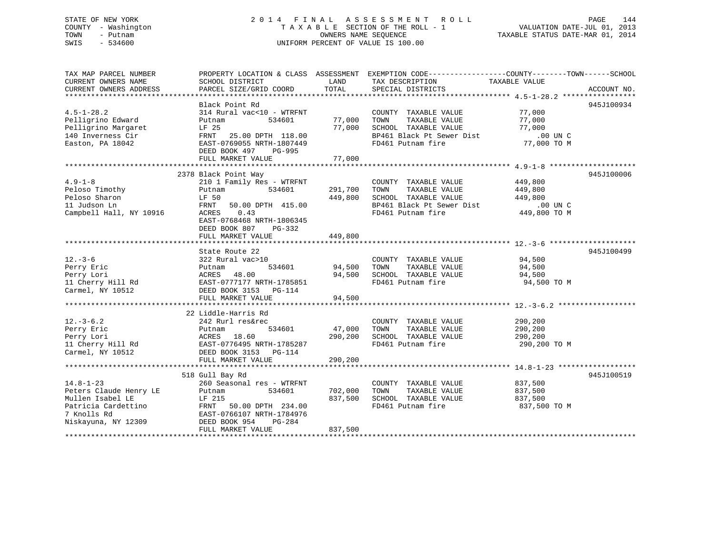# STATE OF NEW YORK 2 0 1 4 F I N A L A S S E S S M E N T R O L L PAGE 144 COUNTY - Washington T A X A B L E SECTION OF THE ROLL - 1 VALUATION DATE-JUL 01, 2013 TOWN - Putnam OWNERS NAME SEQUENCE TAXABLE STATUS DATE-MAR 01, 2014 SWIS - 534600 UNIFORM PERCENT OF VALUE IS 100.00

TAX MAP PARCEL NUMBER PROPERTY LOCATION & CLASS ASSESSMENT EXEMPTION CODE------------------COUNTY--------TOWN------SCHOOL

CURRENT OWNERS NAME SCHOOL DISTRICT THE LAND TAX DESCRIPTION TAXABLE VALUE CURRENT OWNERS ADDRESS PARCEL SIZE/GRID COORD TOTAL SPECIAL DISTRICTS ACCOUNT NO. \*\*\*\*\*\*\*\*\*\*\*\*\*\*\*\*\*\*\*\*\*\*\*\*\*\*\*\*\*\*\*\*\*\*\*\*\*\*\*\*\*\*\*\*\*\*\*\*\*\*\*\*\*\*\*\*\*\*\*\*\*\*\*\*\*\*\*\*\*\*\*\*\*\*\*\*\*\*\*\*\*\*\*\*\*\*\*\*\*\*\*\*\*\*\*\*\*\*\*\*\*\*\* 4.5-1-28.2 \*\*\*\*\*\*\*\*\*\*\*\*\*\*\*\*\* Black Point Rd 945J100934 4.5-1-28.2 314 Rural vac<10 - WTRFNT COUNTY TAXABLE VALUE 77,000 Pelligrino Edward Putnam 534601 77,000 TOWN TAXABLE VALUE 77,000 Pelligrino Margaret LF 25 77,000 SCHOOL TAXABLE VALUE 77,000 140 Inverness Cir FRNT 25.00 DPTH 118.00 BP461 Black Pt Sewer Dist .00 UN C.00 UN C Easton, PA 18042 EAST-0769055 NRTH-1807449 FD461 Putnam fire 77,000 TO M DEED BOOK 497 PG-995 FULL MARKET VALUE 77,000 \*\*\*\*\*\*\*\*\*\*\*\*\*\*\*\*\*\*\*\*\*\*\*\*\*\*\*\*\*\*\*\*\*\*\*\*\*\*\*\*\*\*\*\*\*\*\*\*\*\*\*\*\*\*\*\*\*\*\*\*\*\*\*\*\*\*\*\*\*\*\*\*\*\*\*\*\*\*\*\*\*\*\*\*\*\*\*\*\*\*\*\*\*\*\*\*\*\*\*\*\*\*\* 4.9-1-8 \*\*\*\*\*\*\*\*\*\*\*\*\*\*\*\*\*\*\*\* 2378 Black Point Way 945J100006 4.9-1-8 210 1 Family Res - WTRFNT COUNTY TAXABLE VALUE 449,800 Peloso Timothy Putnam 534601 291,700 TOWN TAXABLE VALUE 449,800 Peloso Sharon LF 50 449,800 SCHOOL TAXABLE VALUE 449,800 11 Judson Ln FRNT 50.00 DPTH 415.00 BP461 Black Pt Sewer Dist .00 UN C00 UN C.<br>449,800 TO M Campbell Hall, NY 10916 ACRES 0.43 FD461 Putnam fire 449,800 TO M EAST-0768468 NRTH-1806345 DEED BOOK 807 PG-332 FULL MARKET VALUE 449,800 \*\*\*\*\*\*\*\*\*\*\*\*\*\*\*\*\*\*\*\*\*\*\*\*\*\*\*\*\*\*\*\*\*\*\*\*\*\*\*\*\*\*\*\*\*\*\*\*\*\*\*\*\*\*\*\*\*\*\*\*\*\*\*\*\*\*\*\*\*\*\*\*\*\*\*\*\*\*\*\*\*\*\*\*\*\*\*\*\*\*\*\*\*\*\*\*\*\*\*\*\*\*\* 12.-3-6 \*\*\*\*\*\*\*\*\*\*\*\*\*\*\*\*\*\*\*\* State Route 22 945J10049912.-3-6 322 Rural vac>10 COUNTY TAXABLE VALUE 94,500 Perry Eric Putnam 534601 94,500 TOWN TAXABLE VALUE 94,500 Perry Lori ACRES 48.00 94,500 SCHOOL TAXABLE VALUE 94,500 11 Cherry Hill Rd EAST-0777177 NRTH-1785851 FD461 Putnam fire 94,500 TO M Carmel, NY 10512 DEED BOOK 3153 PG-114 FULL MARKET VALUE 94,500 \*\*\*\*\*\*\*\*\*\*\*\*\*\*\*\*\*\*\*\*\*\*\*\*\*\*\*\*\*\*\*\*\*\*\*\*\*\*\*\*\*\*\*\*\*\*\*\*\*\*\*\*\*\*\*\*\*\*\*\*\*\*\*\*\*\*\*\*\*\*\*\*\*\*\*\*\*\*\*\*\*\*\*\*\*\*\*\*\*\*\*\*\*\*\*\*\*\*\*\*\*\*\* 12.-3-6.2 \*\*\*\*\*\*\*\*\*\*\*\*\*\*\*\*\*\* 22 Liddle-Harris Rd242 Rurl res&rec 12.-3-6.2 242 Rurl res&rec COUNTY TAXABLE VALUE 290,200 Perry Eric Putnam 534601 47,000 TOWN TAXABLE VALUE 290,200 Perry Lori ACRES 18.60 290,200 SCHOOL TAXABLE VALUE 290,200 11 Cherry Hill Rd EAST-0776495 NRTH-1785287 FD461 Putnam fire 290,200 TO M Carmel, NY 10512 DEED BOOK 3153 PG-114 FULL MARKET VALUE 290,200 \*\*\*\*\*\*\*\*\*\*\*\*\*\*\*\*\*\*\*\*\*\*\*\*\*\*\*\*\*\*\*\*\*\*\*\*\*\*\*\*\*\*\*\*\*\*\*\*\*\*\*\*\*\*\*\*\*\*\*\*\*\*\*\*\*\*\*\*\*\*\*\*\*\*\*\*\*\*\*\*\*\*\*\*\*\*\*\*\*\*\*\*\*\*\*\*\*\*\*\*\*\*\* 14.8-1-23 \*\*\*\*\*\*\*\*\*\*\*\*\*\*\*\*\*\* 518 Gull Bay Rd 945J100519 14.8-1-23 260 Seasonal res - WTRFNT COUNTY TAXABLE VALUE 837,500 Peters Claude Henry LE Putnam 534601 702,000 TOWN TAXABLE VALUE 837,500 Mullen Isabel LE LF 215 837,500 SCHOOL TAXABLE VALUE 837,500 Patricia Cardettino FRNT 50.00 DPTH 234.00 FD461 Putnam fire 837,500 TO M 7 Knolls Rd EAST-0766107 NRTH-1784976 Niskayuna, NY 12309 DEED BOOK 954 PG-284 FULL MARKET VALUE 837,500 \*\*\*\*\*\*\*\*\*\*\*\*\*\*\*\*\*\*\*\*\*\*\*\*\*\*\*\*\*\*\*\*\*\*\*\*\*\*\*\*\*\*\*\*\*\*\*\*\*\*\*\*\*\*\*\*\*\*\*\*\*\*\*\*\*\*\*\*\*\*\*\*\*\*\*\*\*\*\*\*\*\*\*\*\*\*\*\*\*\*\*\*\*\*\*\*\*\*\*\*\*\*\*\*\*\*\*\*\*\*\*\*\*\*\*\*\*\*\*\*\*\*\*\*\*\*\*\*\*\*\*\*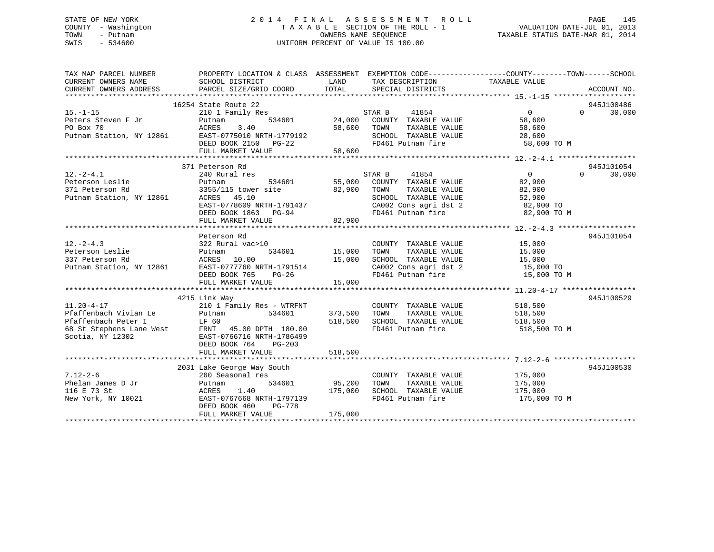# STATE OF NEW YORK 2 0 1 4 F I N A L A S S E S S M E N T R O L L PAGE 145 COUNTY - Washington T A X A B L E SECTION OF THE ROLL - 1 VALUATION DATE-JUL 01, 2013 TOWN - Putnam OWNERS NAME SEQUENCE TAXABLE STATUS DATE-MAR 01, 2014 SWIS - 534600 UNIFORM PERCENT OF VALUE IS 100.00

| TAX MAP PARCEL NUMBER<br>CURRENT OWNERS NAME                   | PROPERTY LOCATION & CLASS ASSESSMENT EXEMPTION CODE----------------COUNTY-------TOWN------SCHOOL<br>SCHOOL DISTRICT | LAND          | TAX DESCRIPTION                                          | TAXABLE VALUE      |                    |
|----------------------------------------------------------------|---------------------------------------------------------------------------------------------------------------------|---------------|----------------------------------------------------------|--------------------|--------------------|
| CURRENT OWNERS ADDRESS                                         | PARCEL SIZE/GRID COORD                                                                                              | TOTAL         | SPECIAL DISTRICTS                                        |                    | ACCOUNT NO.        |
|                                                                | 16254 State Route 22                                                                                                |               |                                                          |                    | 945J100486         |
| $15. -1 - 15$                                                  | 210 1 Family Res                                                                                                    |               | STAR B<br>41854                                          | $\Omega$           | 30,000<br>$\Omega$ |
| Peters Steven F Jr Putnam<br>PO Box 70 ACRES                   |                                                                                                                     |               | 534601 24,000 COUNTY TAXABLE VALUE                       | 58,600             |                    |
|                                                                | 3.40                                                                                                                | 58,600        | TAXABLE VALUE<br>TOWN                                    | 58,600             |                    |
|                                                                | Putnam Station, NY 12861 EAST-0775010 NRTH-1779192                                                                  |               | SCHOOL TAXABLE VALUE 28,600                              |                    |                    |
|                                                                | DEED BOOK 2150 PG-22                                                                                                |               | FD461 Putnam fire                                        | 58,600 TO M        |                    |
|                                                                | FULL MARKET VALUE                                                                                                   | 58,600        |                                                          |                    |                    |
|                                                                |                                                                                                                     |               |                                                          |                    |                    |
|                                                                | 371 Peterson Rd                                                                                                     |               |                                                          |                    | 945J101054         |
| $12.-2-4.1$                                                    | 240 Rural res                                                                                                       |               | 41854<br>STAR B                                          | $\overline{0}$     | $\Omega$<br>30,000 |
| Peterson Leslie<br>371 Peterson Rd<br>Putnam Station, NY 12861 | 534601<br>Putnam                                                                                                    |               | 55,000 COUNTY TAXABLE VALUE<br>82,900 TOWN TAXABLE VALUE | 82,900             |                    |
|                                                                | 3355/115 tower site                                                                                                 |               |                                                          | 82,900             |                    |
|                                                                | ACRES 45.10                                                                                                         |               | SCHOOL TAXABLE VALUE                                     | 52,900             |                    |
|                                                                | EAST-0778609 NRTH-1791437                                                                                           |               | CA002 Cons agri dst 2<br>FD461 Putnam fire               | 82,900 TO          |                    |
|                                                                | DEED BOOK 1863 PG-94                                                                                                |               |                                                          | 82,900 TO M        |                    |
|                                                                | FULL MARKET VALUE                                                                                                   | 82,900        |                                                          |                    |                    |
|                                                                |                                                                                                                     |               |                                                          |                    |                    |
|                                                                | Peterson Rd                                                                                                         |               |                                                          |                    | 945J101054         |
| $12. - 2 - 4.3$                                                | 322 Rural vac>10                                                                                                    |               | COUNTY TAXABLE VALUE 15,000<br>TOWN TAXABLE VALUE 15,000 |                    |                    |
| Peterson Leslie                                                | 322 Rural vac><br>Putnam<br>ACRES 10.00<br>534601                                                                   | 15,000        |                                                          |                    |                    |
| 337 Peterson Rd                                                |                                                                                                                     | 15,000        | SCHOOL TAXABLE VALUE 15,000                              |                    |                    |
|                                                                | Putnam Station, NY 12861 EAST-0777760 NRTH-1791514                                                                  |               | CA002 Cons agri dst 2<br>FD461 Putnam fire               | 15,000 TO          |                    |
|                                                                | DEED BOOK 765 PG-26                                                                                                 |               |                                                          | 15,000 TO M        |                    |
|                                                                |                                                                                                                     |               |                                                          |                    |                    |
|                                                                |                                                                                                                     |               |                                                          |                    | 945J100529         |
| $11.20 - 4 - 17$                                               | 4215 Link Way<br>210 1 Family Res - WTRFNT                                                                          |               |                                                          |                    |                    |
| Pfaffenbach Vivian Le                                          | 534601<br>Putnam                                                                                                    | 373,500       | COUNTY TAXABLE VALUE 518,500<br>TAXABLE VALUE            | 518,500            |                    |
| Pfaffenbach Peter I                                            | LF 60                                                                                                               | 518,500       | TOWN<br>SCHOOL TAXABLE VALUE 518,500                     |                    |                    |
|                                                                |                                                                                                                     |               | FD461 Putnam fire                                        | 518,500 TO M       |                    |
| Scotia, NY 12302                                               | EAST-0766716 NRTH-1786499                                                                                           |               |                                                          |                    |                    |
|                                                                | DEED BOOK 764<br>$PG-203$                                                                                           |               |                                                          |                    |                    |
|                                                                | FULL MARKET VALUE                                                                                                   | 518,500       |                                                          |                    |                    |
|                                                                |                                                                                                                     |               |                                                          |                    |                    |
|                                                                | 2031 Lake George Way South                                                                                          |               |                                                          |                    | 945J100530         |
| $7.12 - 2 - 6$                                                 | 260 Seasonal res                                                                                                    |               | COUNTY TAXABLE VALUE                                     |                    |                    |
| Phelan James D Jr                                              | Putnam                                                                                                              | 534601 95,200 | TAXABLE VALUE<br>TOWN                                    | 175,000<br>175,000 |                    |
| 116 E 73 St                                                    | 1.40<br>ACRES                                                                                                       | 175,000       | SCHOOL TAXABLE VALUE 175,000                             |                    |                    |
| New York, NY 10021                                             | EAST-0767668 NRTH-1797139                                                                                           |               | FD461 Putnam fire                                        | 175,000 TO M       |                    |
|                                                                | DEED BOOK 460<br>PG-778                                                                                             |               |                                                          |                    |                    |
|                                                                | FULL MARKET VALUE                                                                                                   | 175,000       |                                                          |                    |                    |
|                                                                |                                                                                                                     |               |                                                          |                    |                    |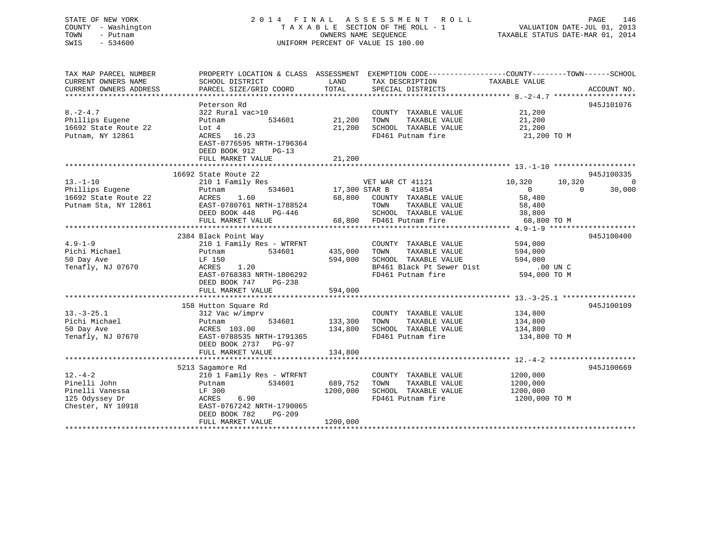# STATE OF NEW YORK 2 0 1 4 F I N A L A S S E S S M E N T R O L L PAGE 146 COUNTY - Washington T A X A B L E SECTION OF THE ROLL - 1 VALUATION DATE-JUL 01, 2013 TOWN - Putnam **CONNERS NAME SEQUENCE** TAXABLE STATUS DATE-MAR 01, 2014 SWIS - 534600 UNIFORM PERCENT OF VALUE IS 100.00

| TAX MAP PARCEL NUMBER<br>CURRENT OWNERS NAME<br>CURRENT OWNERS ADDRESS                  | PROPERTY LOCATION & CLASS ASSESSMENT EXEMPTION CODE----------------COUNTY-------TOWN------SCHOOL<br>SCHOOL DISTRICT<br>PARCEL SIZE/GRID COORD                             | LAND<br>TOTAL                     | TAX DESCRIPTION<br>SPECIAL DISTRICTS                                                                                    | TAXABLE VALUE                                                                               | ACCOUNT NO.                      |
|-----------------------------------------------------------------------------------------|---------------------------------------------------------------------------------------------------------------------------------------------------------------------------|-----------------------------------|-------------------------------------------------------------------------------------------------------------------------|---------------------------------------------------------------------------------------------|----------------------------------|
|                                                                                         |                                                                                                                                                                           |                                   |                                                                                                                         |                                                                                             |                                  |
| $8. -2 - 4.7$<br>Phillips Eugene<br>16692 State Route 22<br>Putnam, NY 12861            | Peterson Rd<br>322 Rural vac>10<br>534601<br>Putnam<br>Lot 4<br>ACRES 16.23<br>EAST-0776595 NRTH-1796364<br>DEED BOOK 912<br>$PG-13$                                      | 21,200<br>21,200                  | COUNTY TAXABLE VALUE<br>TOWN<br>TAXABLE VALUE<br>SCHOOL TAXABLE VALUE<br>FD461 Putnam fire                              | 21,200<br>21,200<br>21,200<br>21,200 TO M                                                   | 945J101076                       |
|                                                                                         | FULL MARKET VALUE                                                                                                                                                         | 21,200                            |                                                                                                                         |                                                                                             |                                  |
|                                                                                         |                                                                                                                                                                           |                                   |                                                                                                                         |                                                                                             |                                  |
| $13. - 1 - 10$<br>Phillips Eugene<br>16692 State Route 22<br>Putnam Sta, NY 12861       | 16692 State Route 22<br>210 1 Family Res<br>534601<br>Putnam<br>1.60<br>ACRES<br>EAST-0780761 NRTH-1788524<br>DEED BOOK 448<br>PG-446<br>FULL MARKET VALUE                | 17,300 STAR B<br>68,800<br>68,800 | VET WAR CT 41121<br>41854<br>COUNTY TAXABLE VALUE<br>TOWN<br>TAXABLE VALUE<br>SCHOOL TAXABLE VALUE<br>FD461 Putnam fire | 10,320<br>10,320<br>$\overline{0}$<br>$\Omega$<br>58,480<br>58,480<br>38,800<br>68,800 TO M | 945J100335<br>$\Omega$<br>30,000 |
|                                                                                         |                                                                                                                                                                           |                                   |                                                                                                                         |                                                                                             |                                  |
| $4.9 - 1 - 9$<br>Pichi Michael<br>50 Day Ave<br>Tenafly, NJ 07670                       | 2384 Black Point Way<br>210 1 Family Res - WTRFNT<br>534601<br>Putnam<br>LF 150<br>1.20<br>ACRES<br>EAST-0768383 NRTH-1806292<br>DEED BOOK 747<br>PG-238                  | 435,000<br>594,000                | COUNTY TAXABLE VALUE<br>TOWN<br>TAXABLE VALUE<br>SCHOOL TAXABLE VALUE<br>BP461 Black Pt Sewer Dist<br>FD461 Putnam fire | 594,000<br>594,000<br>594,000<br>.00 UN C<br>594,000 TO M                                   | 945J100400                       |
|                                                                                         | FULL MARKET VALUE                                                                                                                                                         | 594,000                           |                                                                                                                         |                                                                                             |                                  |
| $13.-3-25.1$<br>Pichi Michael<br>50 Day Ave<br>Tenafly, NJ 07670                        | 158 Hutton Square Rd<br>312 Vac w/imprv<br>534601<br>Putnam<br>ACRES 103.00<br>EAST-0788535 NRTH-1791365<br>DEED BOOK 2737 PG-97<br>FULL MARKET VALUE                     | 133,300<br>134,800<br>134,800     | COUNTY TAXABLE VALUE<br>TOWN<br>TAXABLE VALUE<br>SCHOOL TAXABLE VALUE<br>FD461 Putnam fire                              | 134,800<br>134,800<br>134,800<br>134,800 TO M                                               | 945J100109                       |
|                                                                                         |                                                                                                                                                                           |                                   |                                                                                                                         |                                                                                             |                                  |
| $12. - 4 - 2$<br>Pinelli John<br>Pinelli Vanessa<br>125 Odyssey Dr<br>Chester, NY 10918 | 5213 Sagamore Rd<br>210 1 Family Res - WTRFNT<br>534601<br>Putnam<br>LF 300<br>6.90<br>ACRES<br>EAST-0767242 NRTH-1790065<br>DEED BOOK 782<br>PG-209<br>FULL MARKET VALUE | 689,752<br>1200,000<br>1200,000   | COUNTY TAXABLE VALUE<br>TAXABLE VALUE<br>TOWN<br>SCHOOL TAXABLE VALUE<br>FD461 Putnam fire                              | 1200,000<br>1200,000<br>1200,000<br>1200,000 TO M                                           | 945J100669                       |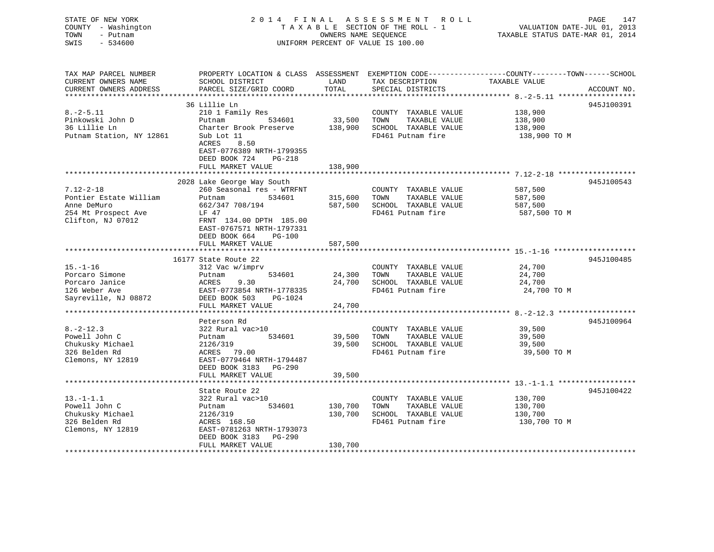| STATE OF NEW YORK<br>COUNTY - Washington<br>TOWN<br>- Putnam<br>$-534600$<br>SWIS |                                                                                                                                              | OWNERS NAME SEQUENCE          | 2014 FINAL ASSESSMENT ROLL<br>TAXABLE SECTION OF THE ROLL - 1<br>UNIFORM PERCENT OF VALUE IS 100.00 | VALUATION DATE-JUL 01, 2013<br>TAXABLE STATUS DATE-MAR 01, 2014 | PAGE<br>147 |
|-----------------------------------------------------------------------------------|----------------------------------------------------------------------------------------------------------------------------------------------|-------------------------------|-----------------------------------------------------------------------------------------------------|-----------------------------------------------------------------|-------------|
| TAX MAP PARCEL NUMBER<br>CURRENT OWNERS NAME<br>CURRENT OWNERS ADDRESS            | PROPERTY LOCATION & CLASS ASSESSMENT EXEMPTION CODE---------------COUNTY-------TOWN------SCHOOL<br>SCHOOL DISTRICT<br>PARCEL SIZE/GRID COORD | LAND<br>TOTAL                 | TAX DESCRIPTION<br>SPECIAL DISTRICTS                                                                | TAXABLE VALUE                                                   | ACCOUNT NO. |
| **********************                                                            | *****************************                                                                                                                | * * * * * * * * * * * * * * * |                                                                                                     |                                                                 |             |
|                                                                                   | 36 Lillie Ln                                                                                                                                 |                               |                                                                                                     |                                                                 | 945J100391  |
| $8. - 2 - 5.11$                                                                   | 210 1 Family Res                                                                                                                             |                               | COUNTY TAXABLE VALUE                                                                                | 138,900                                                         |             |
| Pinkowski John D                                                                  | Putnam<br>534601                                                                                                                             | 33,500                        | TOWN<br>TAXABLE VALUE                                                                               | 138,900                                                         |             |
| 36 Lillie Ln                                                                      | Charter Brook Preserve                                                                                                                       |                               | 138,900 SCHOOL TAXABLE VALUE                                                                        | 138,900                                                         |             |
| Putnam Station, NY 12861                                                          | Sub Lot 11<br>ACRES<br>8.50<br>EAST-0776389 NRTH-1799355<br>DEED BOOK 724<br>PG-218                                                          |                               | FD461 Putnam fire                                                                                   | 138,900 TO M                                                    |             |
|                                                                                   | FULL MARKET VALUE<br>**************                                                                                                          | 138,900                       |                                                                                                     |                                                                 |             |
|                                                                                   | 2028 Lake George Way South                                                                                                                   |                               |                                                                                                     |                                                                 | 945J100543  |
| 7.12-2-18                                                                         | 260 Seasonal res - WTRFNT                                                                                                                    |                               | COUNTY TAXABLE VALUE                                                                                | 587,500                                                         |             |
| Pontier Estate William                                                            | 534601<br>Putnam                                                                                                                             | 315,600                       | TOWN<br>TAXABLE VALUE                                                                               | 587,500                                                         |             |
| Anne DeMuro                                                                       | 662/347 708/194                                                                                                                              |                               | 587,500 SCHOOL TAXABLE VALUE                                                                        | 587,500                                                         |             |
| 254 Mt Prospect Ave                                                               | LF 47                                                                                                                                        |                               | FD461 Putnam fire                                                                                   | 587,500 TO M                                                    |             |
| Clifton, NJ 07012                                                                 | FRNT 134.00 DPTH 185.00<br>EAST-0767571 NRTH-1797331<br>DEED BOOK 664<br>$PG-100$                                                            |                               |                                                                                                     |                                                                 |             |
|                                                                                   | FULL MARKET VALUE                                                                                                                            | 587,500                       |                                                                                                     |                                                                 |             |
|                                                                                   |                                                                                                                                              |                               |                                                                                                     |                                                                 | 945J100485  |
| $15. - 1 - 16$                                                                    | 16177 State Route 22<br>312 Vac w/imprv                                                                                                      |                               | COUNTY TAXABLE VALUE                                                                                | 24,700                                                          |             |
| Porcaro Simone                                                                    | Putnam<br>534601                                                                                                                             | 24,300                        | TOWN<br>TAXABLE VALUE                                                                               | 24,700                                                          |             |
| Porcaro Janice                                                                    | 9.30<br>ACRES                                                                                                                                |                               | 24,700 SCHOOL TAXABLE VALUE                                                                         | 24,700                                                          |             |
| 126 Weber Ave                                                                     | EAST-0773854 NRTH-1778335                                                                                                                    |                               | FD461 Putnam fire                                                                                   | 24,700 TO M                                                     |             |
| Sayreville, NJ 08872                                                              | DEED BOOK 503<br>PG-1024                                                                                                                     |                               |                                                                                                     |                                                                 |             |
|                                                                                   | FULL MARKET VALUE                                                                                                                            | 24,700                        |                                                                                                     |                                                                 |             |
|                                                                                   |                                                                                                                                              |                               |                                                                                                     |                                                                 |             |
|                                                                                   | Peterson Rd                                                                                                                                  |                               |                                                                                                     |                                                                 | 945J100964  |
| $8. - 2 - 12.3$                                                                   | 322 Rural vac>10                                                                                                                             |                               | COUNTY TAXABLE VALUE                                                                                | 39,500                                                          |             |
| Powell John C                                                                     | 534601<br>Putnam                                                                                                                             | 39,500                        | TOWN<br>TAXABLE VALUE                                                                               | 39,500                                                          |             |
| Chukusky Michael                                                                  | 2126/319                                                                                                                                     | 39,500                        | SCHOOL TAXABLE VALUE                                                                                | 39,500                                                          |             |
| 326 Belden Rd<br>Clemons, NY 12819                                                | ACRES 79.00<br>EAST-0779464 NRTH-1794487                                                                                                     |                               | FD461 Putnam fire                                                                                   | 39,500 TO M                                                     |             |
|                                                                                   | DEED BOOK 3183 PG-290                                                                                                                        |                               |                                                                                                     |                                                                 |             |
|                                                                                   | FULL MARKET VALUE                                                                                                                            | 39,500                        |                                                                                                     |                                                                 |             |
|                                                                                   |                                                                                                                                              |                               |                                                                                                     |                                                                 |             |
|                                                                                   | State Route 22                                                                                                                               |                               |                                                                                                     |                                                                 | 945J100422  |
| $13.-1-1.1$                                                                       | 322 Rural vac>10                                                                                                                             |                               | COUNTY TAXABLE VALUE                                                                                | 130,700                                                         |             |
| Powell John C                                                                     | Putnam<br>534601                                                                                                                             | 130,700                       | TOWN<br>TAXABLE VALUE                                                                               | 130,700                                                         |             |
| Chukusky Michael                                                                  | 2126/319                                                                                                                                     | 130,700                       | SCHOOL TAXABLE VALUE                                                                                | 130,700                                                         |             |
| 326 Belden Rd                                                                     | ACRES 168.50                                                                                                                                 |                               | FD461 Putnam fire                                                                                   | 130,700 TO M                                                    |             |
| Clemons, NY 12819                                                                 | EAST-0781263 NRTH-1793073<br>DEED BOOK 3183<br>PG-290                                                                                        |                               |                                                                                                     |                                                                 |             |
|                                                                                   | FULL MARKET VALUE                                                                                                                            | 130,700                       |                                                                                                     |                                                                 |             |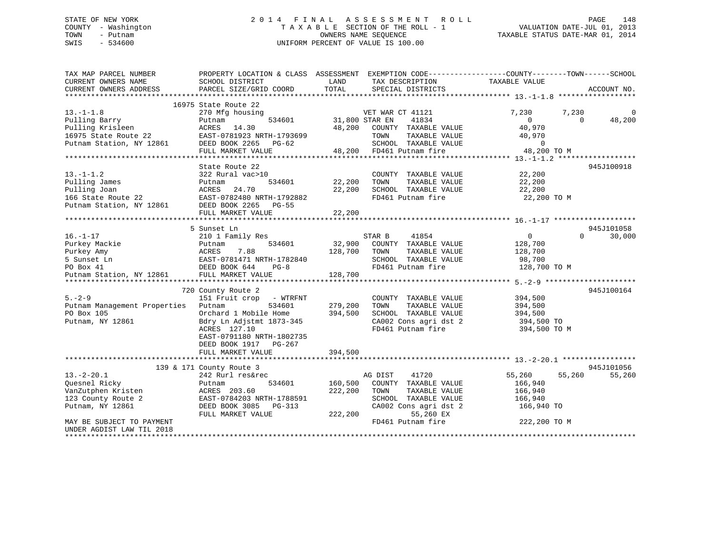# STATE OF NEW YORK 2014 FINAL ASSESSMENT ROLL PAGE 148 COUNTY - Washington  $T A X A B L E$  SECTION OF THE ROLL - 1<br>TOWN - Putnam data of the COUNTERS NAME SEQUENCE SWIS - 534600 UNIFORM PERCENT OF VALUE IS 100.00

TAXABLE STATUS DATE-MAR 01, 2014

| TAXABLE VALUE<br>CURRENT OWNERS NAME<br>SCHOOL DISTRICT<br>LAND<br>TAX DESCRIPTION<br>TOTAL<br>CURRENT OWNERS ADDRESS<br>PARCEL SIZE/GRID COORD<br>SPECIAL DISTRICTS<br>ACCOUNT NO.<br>16975 State Route 22<br>$13.-1-1.8$<br>270 Mfg housing<br>VET WAR CT 41121<br>7,230<br>7,230<br>41834<br>Pulling Barry<br>534601<br>31,800 STAR EN<br>$\Omega$<br>48,200<br>Putnam<br>$\Omega$<br>Pulling Krisleen<br>48,200 COUNTY TAXABLE VALUE<br>40,970<br>ACRES 14.30<br>16975 State Route 22<br>EAST-0781923 NRTH-1793699<br>TOWN<br>TAXABLE VALUE<br>40,970<br>Putnam Station, NY 12861<br>SCHOOL TAXABLE VALUE<br>$\overline{0}$<br>DEED BOOK 2265 PG-62<br>48,200 FD461 Putnam fire<br>FULL MARKET VALUE<br>48,200 TO M<br>State Route 22<br>945J100918<br>$13.-1-1.2$<br>322 Rural vac>10<br>22,200<br>COUNTY TAXABLE VALUE<br>Pulling James<br>22,200<br>22,200<br>534601<br>TOWN<br>TAXABLE VALUE<br>Putnam |          |
|----------------------------------------------------------------------------------------------------------------------------------------------------------------------------------------------------------------------------------------------------------------------------------------------------------------------------------------------------------------------------------------------------------------------------------------------------------------------------------------------------------------------------------------------------------------------------------------------------------------------------------------------------------------------------------------------------------------------------------------------------------------------------------------------------------------------------------------------------------------------------------------------------------------|----------|
|                                                                                                                                                                                                                                                                                                                                                                                                                                                                                                                                                                                                                                                                                                                                                                                                                                                                                                                |          |
|                                                                                                                                                                                                                                                                                                                                                                                                                                                                                                                                                                                                                                                                                                                                                                                                                                                                                                                |          |
|                                                                                                                                                                                                                                                                                                                                                                                                                                                                                                                                                                                                                                                                                                                                                                                                                                                                                                                |          |
|                                                                                                                                                                                                                                                                                                                                                                                                                                                                                                                                                                                                                                                                                                                                                                                                                                                                                                                | $\Omega$ |
|                                                                                                                                                                                                                                                                                                                                                                                                                                                                                                                                                                                                                                                                                                                                                                                                                                                                                                                |          |
|                                                                                                                                                                                                                                                                                                                                                                                                                                                                                                                                                                                                                                                                                                                                                                                                                                                                                                                |          |
|                                                                                                                                                                                                                                                                                                                                                                                                                                                                                                                                                                                                                                                                                                                                                                                                                                                                                                                |          |
|                                                                                                                                                                                                                                                                                                                                                                                                                                                                                                                                                                                                                                                                                                                                                                                                                                                                                                                |          |
|                                                                                                                                                                                                                                                                                                                                                                                                                                                                                                                                                                                                                                                                                                                                                                                                                                                                                                                |          |
|                                                                                                                                                                                                                                                                                                                                                                                                                                                                                                                                                                                                                                                                                                                                                                                                                                                                                                                |          |
|                                                                                                                                                                                                                                                                                                                                                                                                                                                                                                                                                                                                                                                                                                                                                                                                                                                                                                                |          |
|                                                                                                                                                                                                                                                                                                                                                                                                                                                                                                                                                                                                                                                                                                                                                                                                                                                                                                                |          |
|                                                                                                                                                                                                                                                                                                                                                                                                                                                                                                                                                                                                                                                                                                                                                                                                                                                                                                                |          |
| Pulling Joan<br>24.70<br>22,200<br>SCHOOL TAXABLE VALUE<br>22,200<br>ACRES                                                                                                                                                                                                                                                                                                                                                                                                                                                                                                                                                                                                                                                                                                                                                                                                                                     |          |
| 166 State Route 22<br>FD461 Putnam fire<br>22,200 TO M                                                                                                                                                                                                                                                                                                                                                                                                                                                                                                                                                                                                                                                                                                                                                                                                                                                         |          |
| EAST-0782480 NRTH-1792882<br>12861 DEED BOOK 2265 PG-55<br>Putnam Station, NY 12861                                                                                                                                                                                                                                                                                                                                                                                                                                                                                                                                                                                                                                                                                                                                                                                                                            |          |
| FULL MARKET VALUE<br>22,200                                                                                                                                                                                                                                                                                                                                                                                                                                                                                                                                                                                                                                                                                                                                                                                                                                                                                    |          |
|                                                                                                                                                                                                                                                                                                                                                                                                                                                                                                                                                                                                                                                                                                                                                                                                                                                                                                                |          |
| 5 Sunset Ln<br>945J101058                                                                                                                                                                                                                                                                                                                                                                                                                                                                                                                                                                                                                                                                                                                                                                                                                                                                                      |          |
| $16. - 1 - 17$<br>210 1 Family Res<br>STAR B<br>41854<br>0<br>$\Omega$<br>30,000                                                                                                                                                                                                                                                                                                                                                                                                                                                                                                                                                                                                                                                                                                                                                                                                                               |          |
| 32,900<br>Purkey Mackie<br>534601<br>COUNTY TAXABLE VALUE<br>128,700<br>Putnam                                                                                                                                                                                                                                                                                                                                                                                                                                                                                                                                                                                                                                                                                                                                                                                                                                 |          |
| Purkey Amy<br>128,700<br>TOWN<br>TAXABLE VALUE<br>128,700                                                                                                                                                                                                                                                                                                                                                                                                                                                                                                                                                                                                                                                                                                                                                                                                                                                      |          |
| 5 Sunset Ln<br>SCHOOL TAXABLE VALUE<br>98,700                                                                                                                                                                                                                                                                                                                                                                                                                                                                                                                                                                                                                                                                                                                                                                                                                                                                  |          |
| ACRES /.oo<br>EAST-0781471 NRTH-1782840<br>FD461 Putnam fire<br>128,700 TO M<br>PO Box 41<br>DEED BOOK 644<br>$PG-8$                                                                                                                                                                                                                                                                                                                                                                                                                                                                                                                                                                                                                                                                                                                                                                                           |          |
| Putnam Station, NY 12861<br>FULL MARKET VALUE<br>128,700                                                                                                                                                                                                                                                                                                                                                                                                                                                                                                                                                                                                                                                                                                                                                                                                                                                       |          |
|                                                                                                                                                                                                                                                                                                                                                                                                                                                                                                                                                                                                                                                                                                                                                                                                                                                                                                                |          |
| 945J100164<br>720 County Route 2                                                                                                                                                                                                                                                                                                                                                                                                                                                                                                                                                                                                                                                                                                                                                                                                                                                                               |          |
| $5. - 2 - 9$<br>151 Fruit crop - WTRFNT<br>COUNTY TAXABLE VALUE<br>394,500                                                                                                                                                                                                                                                                                                                                                                                                                                                                                                                                                                                                                                                                                                                                                                                                                                     |          |
| Putnam<br>534601<br>TOWN                                                                                                                                                                                                                                                                                                                                                                                                                                                                                                                                                                                                                                                                                                                                                                                                                                                                                       |          |
| Putnam Management Properties<br>279,200<br>TAXABLE VALUE<br>394,500<br>394,500<br>PO Box 105<br>Orchard 1 Mobile Home                                                                                                                                                                                                                                                                                                                                                                                                                                                                                                                                                                                                                                                                                                                                                                                          |          |
| SCHOOL TAXABLE VALUE<br>394,500<br>394,500 TO                                                                                                                                                                                                                                                                                                                                                                                                                                                                                                                                                                                                                                                                                                                                                                                                                                                                  |          |
| CA002 Cons agri dst 2<br>Bdry Ln Adjstmt 1873-345<br>Putnam, NY 12861<br>ACRES 127.10<br>FD461 Putnam fire                                                                                                                                                                                                                                                                                                                                                                                                                                                                                                                                                                                                                                                                                                                                                                                                     |          |
| 394,500 TO M                                                                                                                                                                                                                                                                                                                                                                                                                                                                                                                                                                                                                                                                                                                                                                                                                                                                                                   |          |
| EAST-0791180 NRTH-1802735                                                                                                                                                                                                                                                                                                                                                                                                                                                                                                                                                                                                                                                                                                                                                                                                                                                                                      |          |
| DEED BOOK 1917 PG-267                                                                                                                                                                                                                                                                                                                                                                                                                                                                                                                                                                                                                                                                                                                                                                                                                                                                                          |          |
| 394,500<br>FULL MARKET VALUE                                                                                                                                                                                                                                                                                                                                                                                                                                                                                                                                                                                                                                                                                                                                                                                                                                                                                   |          |
|                                                                                                                                                                                                                                                                                                                                                                                                                                                                                                                                                                                                                                                                                                                                                                                                                                                                                                                |          |
| 945J101056<br>139 & 171 County Route 3                                                                                                                                                                                                                                                                                                                                                                                                                                                                                                                                                                                                                                                                                                                                                                                                                                                                         |          |
| $13. - 2 - 20.1$<br>41720<br>55,260<br>242 Rurl res&rec<br>AG DIST<br>55,260<br>55,260                                                                                                                                                                                                                                                                                                                                                                                                                                                                                                                                                                                                                                                                                                                                                                                                                         |          |
| 160,500<br>Quesnel Ricky<br>534601<br>COUNTY TAXABLE VALUE<br>166,940<br>Putnam                                                                                                                                                                                                                                                                                                                                                                                                                                                                                                                                                                                                                                                                                                                                                                                                                                |          |
| 222,200<br>VanZutphen Kristen<br>ACRES 203.60<br>TAXABLE VALUE<br>166,940<br>TOWN                                                                                                                                                                                                                                                                                                                                                                                                                                                                                                                                                                                                                                                                                                                                                                                                                              |          |
| 123 County Route 2<br>SCHOOL TAXABLE VALUE<br>EAST-0784203 NRTH-1788591<br>166,940                                                                                                                                                                                                                                                                                                                                                                                                                                                                                                                                                                                                                                                                                                                                                                                                                             |          |
| DEED BOOK 3085<br>CA002 Cons agri dst 2<br>166,940 TO<br>Putnam, NY 12861<br>PG-313                                                                                                                                                                                                                                                                                                                                                                                                                                                                                                                                                                                                                                                                                                                                                                                                                            |          |
| 55,260 EX<br>FULL MARKET VALUE<br>222,200                                                                                                                                                                                                                                                                                                                                                                                                                                                                                                                                                                                                                                                                                                                                                                                                                                                                      |          |
| FD461 Putnam fire<br>222,200 TO M<br>MAY BE SUBJECT TO PAYMENT                                                                                                                                                                                                                                                                                                                                                                                                                                                                                                                                                                                                                                                                                                                                                                                                                                                 |          |
| UNDER AGDIST LAW TIL 2018                                                                                                                                                                                                                                                                                                                                                                                                                                                                                                                                                                                                                                                                                                                                                                                                                                                                                      |          |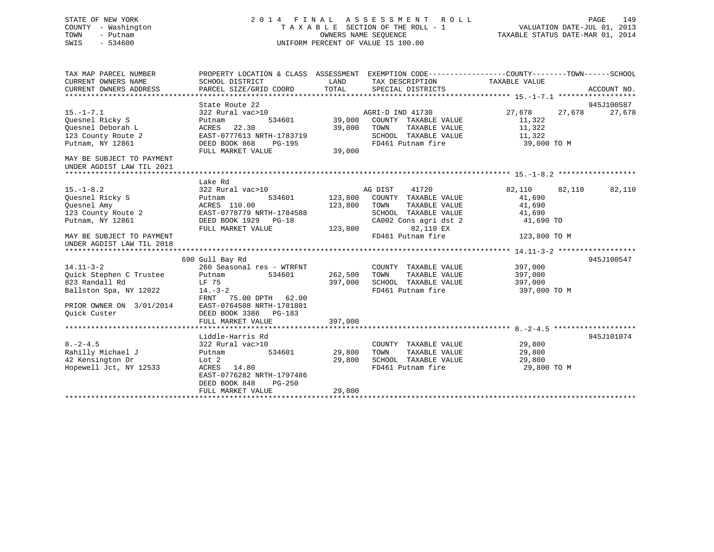# STATE OF NEW YORK 2 0 1 4 F I N A L A S S E S S M E N T R O L L PAGE 149 COUNTY - Washington T A X A B L E SECTION OF THE ROLL - 1 VALUATION DATE-JUL 01, 2013 TOWN - Putnam OWNERS NAME SEQUENCE TAXABLE STATUS DATE-MAR 01, 2014 SWIS - 534600 UNIFORM PERCENT OF VALUE IS 100.00

| TAX MAP PARCEL NUMBER<br>CURRENT OWNERS NAME<br>CURRENT OWNERS ADDRESS | PROPERTY LOCATION & CLASS ASSESSMENT EXEMPTION CODE---------------COUNTY-------TOWN-----SCHOOL<br>SCHOOL DISTRICT<br>PARCEL SIZE/GRID COORD TOTAL | LAND                                        | TAX DESCRIPTION TAXABLE VALUE<br>SPECIAL DISTRICTS           |                      | ACCOUNT NO.      |
|------------------------------------------------------------------------|---------------------------------------------------------------------------------------------------------------------------------------------------|---------------------------------------------|--------------------------------------------------------------|----------------------|------------------|
|                                                                        | State Route 22                                                                                                                                    |                                             |                                                              |                      | 945J100587       |
| $15. - 1 - 7.1$                                                        | 322 Rural vac>10                                                                                                                                  |                                             |                                                              | 27,678               | 27,678<br>27,678 |
| Quesnel Ricky S                                                        | Putnam                                                                                                                                            |                                             |                                                              | 11,322               |                  |
| Quesnel Deborah L                                                      | 22.30<br>ACRES                                                                                                                                    | 39,000 TOWN                                 |                                                              | TAXABLE VALUE 11,322 |                  |
| 123 County Route 2                                                     | EAST-0777613 NRTH-1783719                                                                                                                         |                                             |                                                              |                      |                  |
| Putnam, NY 12861                                                       | DEED BOOK 868<br>PG-195                                                                                                                           |                                             | SCHOOL TAXABLE VALUE 11,322<br>FD461 Putnam fire 39,000 TO M |                      |                  |
|                                                                        | FULL MARKET VALUE                                                                                                                                 | $\begin{array}{c} 19 \\ 39,000 \end{array}$ |                                                              |                      |                  |
| MAY BE SUBJECT TO PAYMENT                                              |                                                                                                                                                   |                                             |                                                              |                      |                  |
| UNDER AGDIST LAW TIL 2021                                              |                                                                                                                                                   |                                             |                                                              |                      |                  |
|                                                                        |                                                                                                                                                   |                                             |                                                              |                      |                  |
|                                                                        | Lake Rd                                                                                                                                           |                                             |                                                              |                      |                  |
| $15. - 1 - 8.2$                                                        | 322 Rural vac>10                                                                                                                                  |                                             | AG DIST<br>41720                                             | 82,110 82,110 82,110 |                  |
| Quesnel Ricky S                                                        | Putnam                                                                                                                                            |                                             | 534601 123,800 COUNTY TAXABLE VALUE                          | 41,690               |                  |
| Quesnel Amy                                                            | ACRES 110.00                                                                                                                                      | 123,800 TOWN                                | TAXABLE VALUE                                                | 41,690               |                  |
| 123 County Route 2                                                     | EAST-0778779 NRTH-1784588                                                                                                                         |                                             | SCHOOL TAXABLE VALUE                                         | 41,690               |                  |
| Putnam, NY 12861                                                       | DEED BOOK 1929 PG-18                                                                                                                              |                                             | CA002 Cons agri dst 2 41,690 TO                              |                      |                  |
|                                                                        | FULL MARKET VALUE                                                                                                                                 |                                             | 123,800 82,110 EX                                            |                      |                  |
| MAY BE SUBJECT TO PAYMENT                                              |                                                                                                                                                   |                                             | FD461 Putnam fire                                            | 123,800 TO M         |                  |
|                                                                        |                                                                                                                                                   |                                             |                                                              |                      |                  |
|                                                                        |                                                                                                                                                   |                                             |                                                              |                      |                  |
|                                                                        | 690 Gull Bay Rd                                                                                                                                   |                                             |                                                              |                      | 945J100547       |
| $14.11 - 3 - 2$                                                        | 260 Seasonal res - WTRFNT                                                                                                                         |                                             | COUNTY TAXABLE VALUE 397,000                                 |                      |                  |
| Quick Stephen C Trustee                                                | Putnam 534601                                                                                                                                     | 262,500 TOWN                                | TAXABLE VALUE                                                | 397,000              |                  |
| 823 Randall Rd                                                         | LF 75                                                                                                                                             | 397,000                                     | SCHOOL TAXABLE VALUE                                         | 397,000              |                  |
| Ballston Spa, NY 12022 14.-3-2                                         |                                                                                                                                                   |                                             | FD461 Putnam fire                                            | 397,000 TO M         |                  |
|                                                                        | FRNT 75.00 DPTH 62.00                                                                                                                             |                                             |                                                              |                      |                  |
| PRIOR OWNER ON 3/01/2014                                               | EAST-0764508 NRTH-1781801                                                                                                                         |                                             |                                                              |                      |                  |
| Ouick Custer                                                           | DEED BOOK 3386 PG-183                                                                                                                             |                                             |                                                              |                      |                  |
|                                                                        | FULL MARKET VALUE                                                                                                                                 | 397,000                                     |                                                              |                      |                  |
|                                                                        |                                                                                                                                                   |                                             |                                                              |                      |                  |
|                                                                        | Liddle-Harris Rd                                                                                                                                  |                                             |                                                              |                      | 945J101074       |
| $8. -2 - 4.5$                                                          | 322 Rural vac>10                                                                                                                                  |                                             | COUNTY TAXABLE VALUE 29,800                                  |                      |                  |
| Rahilly Michael J<br>42 Kensington Dr<br>Lot 2                         | 534601                                                                                                                                            | 29,800                                      | TOWN      TAXABLE VALUE<br>SCHOOL   TAXABLE VALUE            | 29,800<br>29,800     |                  |
|                                                                        |                                                                                                                                                   | 29,800                                      | FD461 Putnam fire 29,800 TO M                                |                      |                  |
| Hopewell Jct, NY 12533                                                 | ACRES 14.80                                                                                                                                       |                                             |                                                              |                      |                  |
|                                                                        | EAST-0776282 NRTH-1797486<br>DEED BOOK 848<br>PG-250                                                                                              |                                             |                                                              |                      |                  |
|                                                                        | FULL MARKET VALUE                                                                                                                                 | 29,800                                      |                                                              |                      |                  |
|                                                                        |                                                                                                                                                   |                                             |                                                              |                      |                  |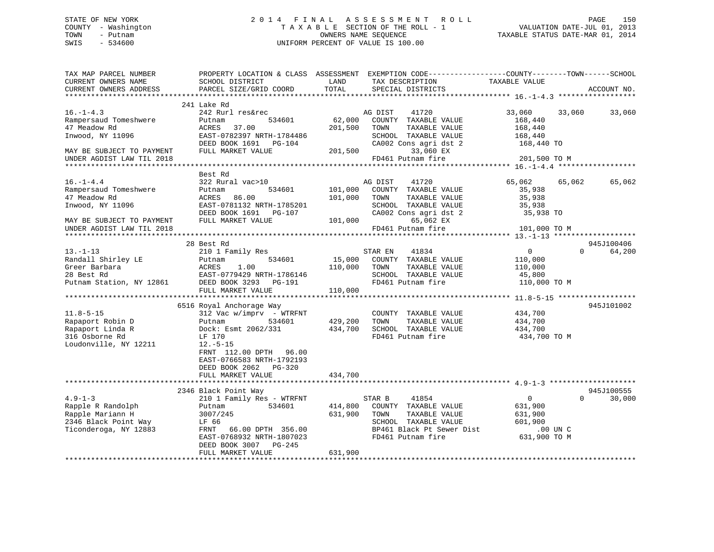# STATE OF NEW YORK 2 0 1 4 F I N A L A S S E S S M E N T R O L L PAGE 150 COUNTY - Washington T A X A B L E SECTION OF THE ROLL - 1 VALUATION DATE-JUL 01, 2013 TOWN - Putnam OWNERS NAME SEQUENCE TAXABLE STATUS DATE-MAR 01, 2014 SWIS - 534600 UNIFORM PERCENT OF VALUE IS 100.00

| TAX MAP PARCEL NUMBER<br>CURRENT OWNERS NAME             | SCHOOL DISTRICT                                                   | LAND              | PROPERTY LOCATION & CLASS ASSESSMENT EXEMPTION CODE----------------COUNTY-------TOWN-----SCHOOL<br>TAX DESCRIPTION | TAXABLE VALUE                                 |                        |
|----------------------------------------------------------|-------------------------------------------------------------------|-------------------|--------------------------------------------------------------------------------------------------------------------|-----------------------------------------------|------------------------|
| CURRENT OWNERS ADDRESS                                   | PARCEL SIZE/GRID COORD                                            | TOTAL             | SPECIAL DISTRICTS                                                                                                  |                                               | ACCOUNT NO.            |
|                                                          | 241 Lake Rd                                                       |                   |                                                                                                                    |                                               |                        |
| $16. - 1 - 4.3$<br>Rampersaud Tomeshwere<br>47 Meadow Rd | 242 Rurl res&rec<br>Putnam<br>534601<br>ACRES<br>37.00            | 62,000<br>201,500 | AG DIST<br>41720<br>COUNTY TAXABLE VALUE<br>TAXABLE VALUE<br>TOWN                                                  | 33,060<br>168,440<br>168,440                  | 33,060<br>33,060       |
| Inwood, NY 11096                                         | EAST-0782397 NRTH-1784486<br>DEED BOOK 1691 PG-104                |                   | SCHOOL TAXABLE VALUE<br>CA002 Cons agri dst 2                                                                      | 168,440<br>168,440 TO                         |                        |
| MAY BE SUBJECT TO PAYMENT                                | FULL MARKET VALUE                                                 | 201,500           | 33,060 EX                                                                                                          |                                               |                        |
| UNDER AGDIST LAW TIL 2018                                |                                                                   |                   | FD461 Putnam fire                                                                                                  | 201,500 TO M                                  |                        |
|                                                          |                                                                   |                   |                                                                                                                    | ***************** $16. -1 -4.4$ ************* |                        |
| $16. - 1 - 4.4$                                          | Best Rd<br>322 Rural vac>10                                       |                   | AG DIST<br>41720                                                                                                   | 65,062                                        | 65,062<br>65,062       |
| Rampersaud Tomeshwere                                    | 534601<br>Putnam                                                  | 101,000           | COUNTY TAXABLE VALUE                                                                                               | 35,938                                        |                        |
| 47 Meadow Rd                                             | 86.00<br>ACRES                                                    | 101,000           | TOWN<br>TAXABLE VALUE                                                                                              | 35,938                                        |                        |
| Inwood, NY 11096                                         | EAST-0781132 NRTH-1785201                                         |                   | SCHOOL TAXABLE VALUE                                                                                               | 35,938                                        |                        |
|                                                          | DEED BOOK 1691 PG-107                                             |                   | CA002 Cons agri dst 2                                                                                              | 35,938 TO                                     |                        |
| MAY BE SUBJECT TO PAYMENT                                | FULL MARKET VALUE                                                 | 101,000           | 65,062 EX                                                                                                          |                                               |                        |
| UNDER AGDIST LAW TIL 2018                                |                                                                   |                   | FD461 Putnam fire                                                                                                  | 101,000 TO M                                  |                        |
|                                                          | 28 Best Rd                                                        |                   |                                                                                                                    |                                               | 945J100406             |
| $13.-1-13$                                               | 210 1 Family Res                                                  |                   | STAR EN<br>41834                                                                                                   | $0 \qquad \qquad$                             | $\Omega$<br>64,200     |
| Randall Shirley LE                                       | 534601<br>Putnam                                                  | 15,000            | COUNTY TAXABLE VALUE                                                                                               | 110,000                                       |                        |
| Greer Barbara                                            | 1.00<br>ACRES                                                     | 110,000           | TOWN<br>TAXABLE VALUE                                                                                              | 110,000                                       |                        |
| 28 Best Rd                                               | EAST-0779429 NRTH-1786146                                         |                   | SCHOOL TAXABLE VALUE                                                                                               | 45,800                                        |                        |
| Putnam Station, NY 12861                                 | DEED BOOK 3293 PG-191                                             |                   | FD461 Putnam fire                                                                                                  | 110,000 TO M                                  |                        |
|                                                          | FULL MARKET VALUE                                                 | 110,000           |                                                                                                                    |                                               |                        |
|                                                          |                                                                   |                   |                                                                                                                    |                                               |                        |
|                                                          | 6516 Royal Anchorage Way                                          |                   |                                                                                                                    |                                               | 945J101002             |
| $11.8 - 5 - 15$                                          | 312 Vac w/imprv - WTRFNT                                          |                   | COUNTY TAXABLE VALUE                                                                                               | 434,700                                       |                        |
| Rapaport Robin D                                         | 534601<br>Putnam                                                  | 429,200           | TOWN<br>TAXABLE VALUE                                                                                              | 434,700                                       |                        |
| Rapaport Linda R                                         | Dock: Esmt 2062/331                                               | 434,700           | SCHOOL TAXABLE VALUE                                                                                               | 434,700                                       |                        |
| 316 Osborne Rd                                           | LF 170                                                            |                   | FD461 Putnam fire                                                                                                  | 434,700 TO M                                  |                        |
| Loudonville, NY 12211                                    | $12.-5-15$<br>FRNT 112.00 DPTH 96.00<br>EAST-0766583 NRTH-1792193 |                   |                                                                                                                    |                                               |                        |
|                                                          | DEED BOOK 2062 PG-320                                             |                   |                                                                                                                    |                                               |                        |
|                                                          | FULL MARKET VALUE                                                 | 434,700           |                                                                                                                    |                                               |                        |
|                                                          |                                                                   |                   |                                                                                                                    |                                               |                        |
| $4.9 - 1 - 3$                                            | 2346 Black Point Way                                              |                   |                                                                                                                    |                                               | 945J100555<br>$\Omega$ |
| Rapple R Randolph                                        | 210 1 Family Res - WTRFNT<br>534601<br>Putnam                     | 414,800           | 41854<br>STAR B<br>COUNTY TAXABLE VALUE                                                                            | $\overline{0}$<br>631,900                     | 30,000                 |
| Rapple Mariann H                                         | 3007/245                                                          | 631,900           | TOWN<br>TAXABLE VALUE                                                                                              | 631,900                                       |                        |
| 2346 Black Point Way                                     | LF 66                                                             |                   | SCHOOL TAXABLE VALUE                                                                                               | 601,900                                       |                        |
| Ticonderoga, NY 12883                                    | 66.00 DPTH 356.00<br>FRNT                                         |                   | BP461 Black Pt Sewer Dist                                                                                          | .00 UN C                                      |                        |
|                                                          | EAST-0768932 NRTH-1807023<br>DEED BOOK 3007<br>PG-245             |                   | FD461 Putnam fire                                                                                                  | 631,900 TO M                                  |                        |
|                                                          | FULL MARKET VALUE                                                 | 631,900           |                                                                                                                    |                                               |                        |
|                                                          |                                                                   |                   |                                                                                                                    |                                               |                        |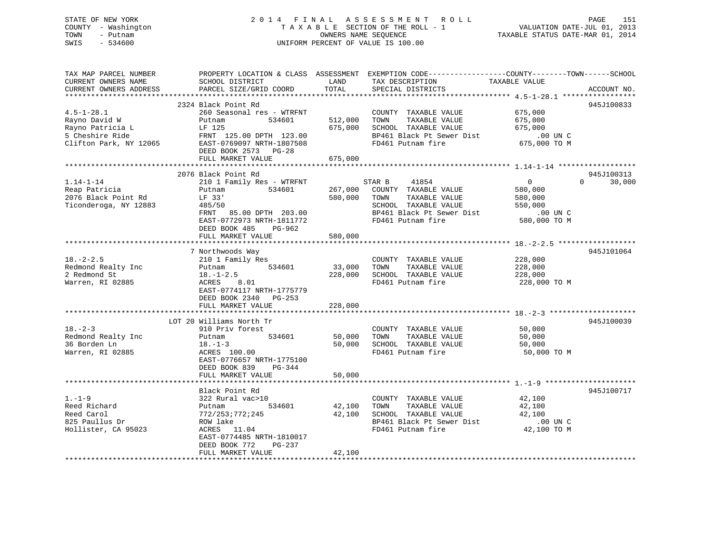#### STATE OF NEW YORK 2 0 1 4 F I N A L A S S E S S M E N T R O L L PAGE 151COUNTY - Washington  $T A X A B L E$  SECTION OF THE ROLL - 1<br>TOWN - Putnam bashington bashington and the sequence TOWN - Putnam OWNERS NAME SEQUENCE TAXABLE STATUS DATE-MAR 01, 2014 SWIS - 534600 UNIFORM PERCENT OF VALUE IS 100.00

لادا للاتاباط<br>VALUATION DATE-JUL 01, 2013

| TAX MAP PARCEL NUMBER<br>CURRENT OWNERS NAME<br>CURRENT OWNERS ADDRESS | SCHOOL DISTRICT<br>PARCEL SIZE/GRID COORD            | LAND<br>TOTAL | PROPERTY LOCATION & CLASS ASSESSMENT EXEMPTION CODE----------------COUNTY-------TOWN------SCHOOL<br>TAX DESCRIPTION<br>SPECIAL DISTRICTS | TAXABLE VALUE            | ACCOUNT NO.        |
|------------------------------------------------------------------------|------------------------------------------------------|---------------|------------------------------------------------------------------------------------------------------------------------------------------|--------------------------|--------------------|
| ***********************                                                |                                                      |               |                                                                                                                                          |                          |                    |
|                                                                        | 2324 Black Point Rd                                  |               |                                                                                                                                          |                          | 945J100833         |
| $4.5 - 1 - 28.1$                                                       | 260 Seasonal res - WTRFNT                            |               | COUNTY TAXABLE VALUE                                                                                                                     | 675,000                  |                    |
| Rayno David W                                                          | Putnam<br>534601                                     | 512,000       | TAXABLE VALUE<br>TOWN                                                                                                                    | 675,000                  |                    |
| Rayno Patricia L<br>5 Cheshire Ride                                    | LF 125                                               | 675,000       | SCHOOL TAXABLE VALUE<br>BP461 Black Pt Sewer Dist                                                                                        | 675,000                  |                    |
| Clifton Park, NY 12065                                                 | FRNT 125.00 DPTH 123.00<br>EAST-0769097 NRTH-1807508 |               | FD461 Putnam fire                                                                                                                        | .00 UN C<br>675,000 TO M |                    |
|                                                                        | DEED BOOK 2573<br>$PG-28$                            |               |                                                                                                                                          |                          |                    |
|                                                                        | FULL MARKET VALUE                                    | 675,000       |                                                                                                                                          |                          |                    |
|                                                                        |                                                      |               |                                                                                                                                          |                          |                    |
|                                                                        | 2076 Black Point Rd                                  |               |                                                                                                                                          |                          | 945J100313         |
| $1.14 - 1 - 14$                                                        | 210 1 Family Res - WTRFNT                            |               | STAR B<br>41854                                                                                                                          | $\mathbf 0$              | $\Omega$<br>30,000 |
| Reap Patricia                                                          | Putnam<br>534601                                     | 267,000       | COUNTY TAXABLE VALUE                                                                                                                     | 580,000                  |                    |
| 2076 Black Point Rd                                                    | LF 33'                                               | 580,000       | TOWN<br>TAXABLE VALUE                                                                                                                    | 580,000                  |                    |
| Ticonderoga, NY 12883                                                  | 485/50                                               |               | SCHOOL TAXABLE VALUE                                                                                                                     | 550,000                  |                    |
|                                                                        | FRNT 85.00 DPTH 203.00                               |               | BP461 Black Pt Sewer Dist                                                                                                                | .00 UN C                 |                    |
|                                                                        | EAST-0772973 NRTH-1811772                            |               | FD461 Putnam fire                                                                                                                        | 580,000 TO M             |                    |
|                                                                        | DEED BOOK 485<br>PG-962                              |               |                                                                                                                                          |                          |                    |
|                                                                        | FULL MARKET VALUE                                    | 580,000       |                                                                                                                                          |                          |                    |
|                                                                        |                                                      |               |                                                                                                                                          |                          |                    |
|                                                                        | 7 Northwoods Way                                     |               |                                                                                                                                          |                          | 945J101064         |
| $18. - 2 - 2.5$                                                        | 210 1 Family Res                                     |               | COUNTY TAXABLE VALUE                                                                                                                     | 228,000                  |                    |
| Redmond Realty Inc                                                     | 534601<br>Putnam                                     | 33,000        | TOWN<br>TAXABLE VALUE                                                                                                                    | 228,000                  |                    |
| 2 Redmond St                                                           | $18. - 1 - 2.5$                                      | 228,000       | SCHOOL TAXABLE VALUE                                                                                                                     | 228,000                  |                    |
| Warren, RI 02885                                                       | ACRES<br>8.01                                        |               | FD461 Putnam fire                                                                                                                        | 228,000 TO M             |                    |
|                                                                        | EAST-0774117 NRTH-1775779                            |               |                                                                                                                                          |                          |                    |
|                                                                        | DEED BOOK 2340<br>PG-253                             |               |                                                                                                                                          |                          |                    |
|                                                                        | FULL MARKET VALUE                                    | 228,000       |                                                                                                                                          |                          |                    |
|                                                                        |                                                      |               |                                                                                                                                          |                          |                    |
| $18. - 2 - 3$                                                          | LOT 20 Williams North Tr<br>910 Priv forest          |               | COUNTY TAXABLE VALUE                                                                                                                     | 50,000                   | 945J100039         |
| Redmond Realty Inc                                                     | 534601<br>Putnam                                     | 50,000        | TAXABLE VALUE<br>TOWN                                                                                                                    | 50,000                   |                    |
| 36 Borden Ln                                                           | $18. - 1 - 3$                                        | 50,000        | SCHOOL TAXABLE VALUE                                                                                                                     | 50,000                   |                    |
| Warren, RI 02885                                                       | ACRES 100.00                                         |               | FD461 Putnam fire                                                                                                                        | 50,000 TO M              |                    |
|                                                                        | EAST-0776657 NRTH-1775100                            |               |                                                                                                                                          |                          |                    |
|                                                                        | DEED BOOK 839<br>$PG-344$                            |               |                                                                                                                                          |                          |                    |
|                                                                        | FULL MARKET VALUE                                    | 50,000        |                                                                                                                                          |                          |                    |
|                                                                        |                                                      |               |                                                                                                                                          |                          |                    |
|                                                                        | Black Point Rd                                       |               |                                                                                                                                          |                          | 945J100717         |
| $1. - 1 - 9$                                                           | 322 Rural vac>10                                     |               | COUNTY TAXABLE VALUE                                                                                                                     | 42,100                   |                    |
| Reed Richard                                                           | 534601<br>Putnam                                     | 42,100        | TAXABLE VALUE<br>TOWN                                                                                                                    | 42,100                   |                    |
| Reed Carol                                                             | 772/253;772;245                                      | 42,100        | SCHOOL TAXABLE VALUE                                                                                                                     | 42,100                   |                    |
| 825 Paullus Dr                                                         | ROW lake                                             |               | BP461 Black Pt Sewer Dist                                                                                                                | .00 UN C                 |                    |
| Hollister, CA 95023                                                    | ACRES 11.04                                          |               | FD461 Putnam fire                                                                                                                        | 42,100 TO M              |                    |
|                                                                        | EAST-0774485 NRTH-1810017                            |               |                                                                                                                                          |                          |                    |
|                                                                        | DEED BOOK 772<br>PG-237                              |               |                                                                                                                                          |                          |                    |
|                                                                        | FULL MARKET VALUE                                    | 42,100        |                                                                                                                                          |                          |                    |
|                                                                        |                                                      |               |                                                                                                                                          |                          |                    |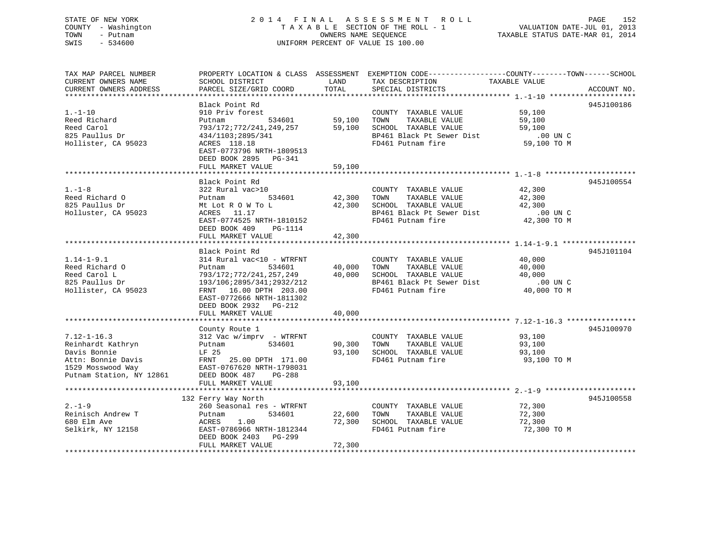# STATE OF NEW YORK 2 0 1 4 F I N A L A S S E S S M E N T R O L L PAGE 152 COUNTY - Washington T A X A B L E SECTION OF THE ROLL - 1 VALUATION DATE-JUL 01, 2013 TOWN - Putnam OWNERS NAME SEQUENCE TAXABLE STATUS DATE-MAR 01, 2014 SWIS - 534600 UNIFORM PERCENT OF VALUE IS 100.00

| TAX MAP PARCEL NUMBER  |                                                                                                                                                                                                                                                                                                 |             | PROPERTY LOCATION & CLASS ASSESSMENT EXEMPTION CODE----------------COUNTY-------TOWN------SCHOOL                                                                        |               |             |
|------------------------|-------------------------------------------------------------------------------------------------------------------------------------------------------------------------------------------------------------------------------------------------------------------------------------------------|-------------|-------------------------------------------------------------------------------------------------------------------------------------------------------------------------|---------------|-------------|
| CURRENT OWNERS NAME    | SCHOOL DISTRICT                                                                                                                                                                                                                                                                                 | LAND        | TAX DESCRIPTION                                                                                                                                                         | TAXABLE VALUE |             |
| CURRENT OWNERS ADDRESS | PARCEL SIZE/GRID COORD                                                                                                                                                                                                                                                                          | TOTAL       | SPECIAL DISTRICTS                                                                                                                                                       |               | ACCOUNT NO. |
|                        |                                                                                                                                                                                                                                                                                                 |             |                                                                                                                                                                         |               |             |
|                        | Black Point Rd                                                                                                                                                                                                                                                                                  |             |                                                                                                                                                                         |               | 945J100186  |
| $1. - 1 - 10$          | 910 Priv forest                                                                                                                                                                                                                                                                                 |             | COUNTY TAXABLE VALUE 59,100                                                                                                                                             |               |             |
| Reed Richard           | Putnam                                                                                                                                                                                                                                                                                          |             | TOWN<br>TAXABLE VALUE                                                                                                                                                   | 59,100        |             |
| Reed Carol             |                                                                                                                                                                                                                                                                                                 |             |                                                                                                                                                                         |               |             |
| 825 Paullus Dr         |                                                                                                                                                                                                                                                                                                 |             |                                                                                                                                                                         |               |             |
| Hollister, CA 95023    |                                                                                                                                                                                                                                                                                                 |             | 793/172;772/241,249,257 59,100 SCHOOL TAXABLE VALUE 59,100 59,100<br>434/1103;2895/341 BP461 Black Pt Sewer Dist .00 UN C<br>ACRES 118.18 FD461 Putnam fire 59,100 TO M |               |             |
|                        | EAST-0773796 NRTH-1809513                                                                                                                                                                                                                                                                       |             |                                                                                                                                                                         |               |             |
|                        | DEED BOOK 2895 PG-341                                                                                                                                                                                                                                                                           |             |                                                                                                                                                                         |               |             |
|                        | FULL MARKET VALUE                                                                                                                                                                                                                                                                               | 59,100      |                                                                                                                                                                         |               |             |
|                        |                                                                                                                                                                                                                                                                                                 |             |                                                                                                                                                                         |               |             |
|                        | Black Point Rd                                                                                                                                                                                                                                                                                  |             |                                                                                                                                                                         |               | 945J100554  |
| $1. - 1 - 8$           | 322 Rural vac>10                                                                                                                                                                                                                                                                                |             | COUNTY TAXABLE VALUE                                                                                                                                                    | 42,300        |             |
| Reed Richard O         | Putnam 534601                                                                                                                                                                                                                                                                                   | 42,300 TOWN | TAXABLE VALUE                                                                                                                                                           | 42,300        |             |
| 825 Paullus Dr         | Mt Lot R O W To L                                                                                                                                                                                                                                                                               |             | 42,300 SCHOOL TAXABLE VALUE                                                                                                                                             | 42,300        |             |
| Holluster, CA 95023    | ACRES 11.17                                                                                                                                                                                                                                                                                     |             | BP461 Black Pt Sewer Dist .00 UN C<br>FD461 Putnam fire 42,300 TO M                                                                                                     |               |             |
|                        | EAST-0774525 NRTH-1810152                                                                                                                                                                                                                                                                       |             |                                                                                                                                                                         |               |             |
|                        | DEED BOOK 409 PG-1114                                                                                                                                                                                                                                                                           |             |                                                                                                                                                                         |               |             |
|                        | FULL MARKET VALUE                                                                                                                                                                                                                                                                               | 42,300      |                                                                                                                                                                         |               |             |
|                        |                                                                                                                                                                                                                                                                                                 |             |                                                                                                                                                                         |               |             |
|                        | Black Point Rd                                                                                                                                                                                                                                                                                  |             |                                                                                                                                                                         |               | 945J101104  |
| $1.14 - 1 - 9.1$       | 314 Rural vac<10 - WTRFNT                                                                                                                                                                                                                                                                       |             | COUNTY TAXABLE VALUE                                                                                                                                                    | 40,000        |             |
| Reed Richard O         |                                                                                                                                                                                                                                                                                                 |             |                                                                                                                                                                         |               |             |
| Reed Carol L           | Putnam 1 1937<br>Putnam 1 534601 40,000 TOWN TAXABLE VALUE<br>793/172:772/241,257,249 40,000 SCHOOL TAXABLE VALUE<br>193/106:2895/341:2932/212 BP461 Black Pt Sewer Dist                                                                                                                        |             | COMM TAXABLE VALUE<br>TOWN TAXABLE VALUE<br>SCHOOL TAXABLE VALUE<br>BP461 Black Pt Sewer Dist<br>FD461 Putnam fire<br>40,000 TO M<br>BP461 Putnam fire<br>40,000 TO M   |               |             |
| 825 Paullus Dr         |                                                                                                                                                                                                                                                                                                 |             |                                                                                                                                                                         |               |             |
| Hollister, CA 95023    | FRNT 16.00 DPTH 203.00                                                                                                                                                                                                                                                                          |             |                                                                                                                                                                         |               |             |
|                        | EAST-0772666 NRTH-1811302                                                                                                                                                                                                                                                                       |             |                                                                                                                                                                         |               |             |
|                        | DEED BOOK 2932 PG-212                                                                                                                                                                                                                                                                           |             |                                                                                                                                                                         |               |             |
|                        | FULL MARKET VALUE                                                                                                                                                                                                                                                                               | 40,000      |                                                                                                                                                                         |               |             |
|                        |                                                                                                                                                                                                                                                                                                 |             |                                                                                                                                                                         |               |             |
|                        | County Route 1                                                                                                                                                                                                                                                                                  |             |                                                                                                                                                                         |               | 945J100970  |
| $7.12 - 1 - 16.3$      | 312 Vac w/imprv - WTRFNT                                                                                                                                                                                                                                                                        |             | COUNTY TAXABLE VALUE                                                                                                                                                    | 93,100        |             |
| Reinhardt Kathryn      | 534601 90,300 TOWN<br>Putnam                                                                                                                                                                                                                                                                    |             | TAXABLE VALUE 93,100                                                                                                                                                    |               |             |
|                        |                                                                                                                                                                                                                                                                                                 | 93,100      | SCHOOL TAXABLE VALUE                                                                                                                                                    | 93,100        |             |
|                        | $\begin{tabular}{lllllllllll} & & & & & & & & \mbox{LF 25} \\ \text{Attn: Bonnie Davis} & & & & & \mbox{FRNT} & 25.00 DPTH 171.00 \\ 1529 Mosswood Way & & & \mbox{EAST-0767620 NRTH-1798031} \\ \text{Putnam Station, NY 12861} & & & \mbox{DEED BOOK 487} & & \mbox{DC-200} \\ \end{tabular}$ |             | FD461 Putnam fire                                                                                                                                                       | 93,100 TO M   |             |
|                        |                                                                                                                                                                                                                                                                                                 |             |                                                                                                                                                                         |               |             |
|                        |                                                                                                                                                                                                                                                                                                 |             |                                                                                                                                                                         |               |             |
|                        | FULL MARKET VALUE                                                                                                                                                                                                                                                                               | 93,100      |                                                                                                                                                                         |               |             |
|                        |                                                                                                                                                                                                                                                                                                 |             |                                                                                                                                                                         |               |             |
|                        | 132 Ferry Way North                                                                                                                                                                                                                                                                             |             |                                                                                                                                                                         |               | 945J100558  |
| $2. - 1 - 9$           | 260 Seasonal res - WTRFNT                                                                                                                                                                                                                                                                       |             | COUNTY TAXABLE VALUE                                                                                                                                                    | 72,300        |             |
| Reinisch Andrew T      | 534601<br>Putnam                                                                                                                                                                                                                                                                                | 22,600 TOWN | TAXABLE VALUE                                                                                                                                                           | 72,300        |             |
| 680 Elm Ave            |                                                                                                                                                                                                                                                                                                 |             |                                                                                                                                                                         | 72,300        |             |
| Selkirk, NY 12158      | ACRES 1.00 72,300 SCHOOL TAXABLE VALUE<br>EAST-0786966 NRTH-1812344 FD461 Putnam fire                                                                                                                                                                                                           |             | FD461 Putnam fire                                                                                                                                                       | 72,300 TO M   |             |
|                        | DEED BOOK 2403 PG-299                                                                                                                                                                                                                                                                           |             |                                                                                                                                                                         |               |             |
|                        | FULL MARKET VALUE                                                                                                                                                                                                                                                                               | 72,300      |                                                                                                                                                                         |               |             |
|                        |                                                                                                                                                                                                                                                                                                 |             |                                                                                                                                                                         |               |             |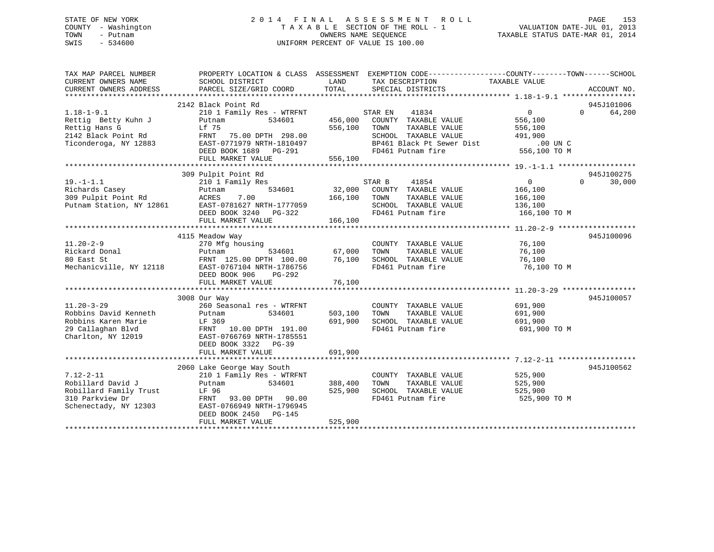# STATE OF NEW YORK 2 0 1 4 F I N A L A S S E S S M E N T R O L L PAGE 153 COUNTY - Washington T A X A B L E SECTION OF THE ROLL - 1 VALUATION DATE-JUL 01, 2013 TOWN - Putnam OWNERS NAME SEQUENCE TAXABLE STATUS DATE-MAR 01, 2014 SWIS - 534600 UNIFORM PERCENT OF VALUE IS 100.00

| TAX MAP PARCEL NUMBER<br>CURRENT OWNERS NAME<br>CURRENT OWNERS ADDRESS | PROPERTY LOCATION & CLASS ASSESSMENT<br>SCHOOL DISTRICT<br>PARCEL SIZE/GRID COORD | LAND<br>TOTAL | EXEMPTION CODE----------------COUNTY-------TOWN-----SCHOOL<br>TAX DESCRIPTION<br>SPECIAL DISTRICTS | TAXABLE VALUE  | ACCOUNT NO.        |
|------------------------------------------------------------------------|-----------------------------------------------------------------------------------|---------------|----------------------------------------------------------------------------------------------------|----------------|--------------------|
|                                                                        |                                                                                   |               |                                                                                                    |                |                    |
|                                                                        | 2142 Black Point Rd                                                               |               |                                                                                                    |                | 945J101006         |
| $1.18 - 1 - 9.1$                                                       | 210 1 Family Res - WTRFNT                                                         |               | STAR EN<br>41834                                                                                   | $\overline{0}$ | 64,200<br>$\Omega$ |
| Rettig Betty Kuhn J                                                    | 534601<br>Putnam                                                                  | 456,000       | COUNTY TAXABLE VALUE                                                                               | 556,100        |                    |
| Rettig Hans G                                                          | Lf 75                                                                             | 556,100       | TOWN<br>TAXABLE VALUE                                                                              | 556,100        |                    |
| 2142 Black Point Rd                                                    | FRNT 75.00 DPTH 298.00                                                            |               | SCHOOL TAXABLE VALUE                                                                               | 491,900        |                    |
| Ticonderoga, NY 12883                                                  | EAST-0771979 NRTH-1810497                                                         |               | BP461 Black Pt Sewer Dist                                                                          | $.00$ UN C     |                    |
|                                                                        | DEED BOOK 1689 PG-291                                                             |               | FD461 Putnam fire                                                                                  | 556,100 TO M   |                    |
|                                                                        | FULL MARKET VALUE                                                                 | 556,100       |                                                                                                    |                |                    |
|                                                                        |                                                                                   |               |                                                                                                    |                |                    |
|                                                                        | 309 Pulpit Point Rd                                                               |               |                                                                                                    |                | 945J100275         |
| $19. - 1 - 1.1$                                                        | 210 1 Family Res                                                                  |               | STAR B<br>41854                                                                                    | $\Omega$       | 30,000<br>$\Omega$ |
| Richards Casey                                                         | 534601<br>Putnam                                                                  | 32,000        | COUNTY TAXABLE VALUE                                                                               | 166,100        |                    |
| 309 Pulpit Point Rd                                                    | 7.00<br>ACRES                                                                     | 166,100       | TAXABLE VALUE<br>TOWN                                                                              | 166,100        |                    |
|                                                                        | Putnam Station, NY 12861 EAST-0781627 NRTH-1777059                                |               | SCHOOL TAXABLE VALUE                                                                               | 136,100        |                    |
|                                                                        | DEED BOOK 3240 PG-322                                                             |               | FD461 Putnam fire                                                                                  | 166,100 TO M   |                    |
|                                                                        | FULL MARKET VALUE                                                                 | 166,100       |                                                                                                    |                |                    |
|                                                                        |                                                                                   |               |                                                                                                    |                |                    |
|                                                                        | 4115 Meadow Way                                                                   |               |                                                                                                    |                | 945J100096         |
| $11.20 - 2 - 9$                                                        | 270 Mfg housing                                                                   |               | COUNTY TAXABLE VALUE                                                                               | 76,100         |                    |
| Rickard Donal                                                          | 534601<br>Putnam                                                                  | 67,000        | TOWN<br>TAXABLE VALUE                                                                              | 76,100         |                    |
| 80 East St                                                             | FRNT 125.00 DPTH 100.00                                                           | 76,100        | SCHOOL TAXABLE VALUE                                                                               | 76,100         |                    |
| Mechanicville, NY 12118                                                | EAST-0767104 NRTH-1786756                                                         |               | FD461 Putnam fire                                                                                  | 76,100 TO M    |                    |
|                                                                        | DEED BOOK 906<br>PG-292                                                           |               |                                                                                                    |                |                    |
|                                                                        | FULL MARKET VALUE                                                                 | 76,100        |                                                                                                    |                |                    |
|                                                                        |                                                                                   |               |                                                                                                    |                |                    |
|                                                                        | 3008 Our Way                                                                      |               |                                                                                                    |                | 945J100057         |
| $11.20 - 3 - 29$                                                       | 260 Seasonal res - WTRFNT                                                         |               | COUNTY TAXABLE VALUE                                                                               | 691,900        |                    |
| Robbins David Kenneth                                                  | 534601<br>Putnam                                                                  | 503,100       | TOWN<br>TAXABLE VALUE                                                                              | 691,900        |                    |
| Robbins Karen Marie                                                    | LF 369                                                                            | 691,900       | SCHOOL TAXABLE VALUE                                                                               | 691,900        |                    |
| 29 Callaghan Blvd                                                      | FRNT 10.00 DPTH 191.00                                                            |               | FD461 Putnam fire                                                                                  | 691,900 TO M   |                    |
| Charlton, NY 12019                                                     | EAST-0766769 NRTH-1785551                                                         |               |                                                                                                    |                |                    |
|                                                                        | DEED BOOK 3322 PG-39                                                              |               |                                                                                                    |                |                    |
|                                                                        | FULL MARKET VALUE                                                                 | 691,900       |                                                                                                    |                |                    |
|                                                                        |                                                                                   |               |                                                                                                    |                |                    |
|                                                                        | 2060 Lake George Way South                                                        |               |                                                                                                    |                | 945J100562         |
| $7.12 - 2 - 11$                                                        | 210 1 Family Res - WTRFNT                                                         |               | COUNTY TAXABLE VALUE                                                                               | 525,900        |                    |
| Robillard David J                                                      | 534601<br>Putnam                                                                  | 388,400       | TOWN<br>TAXABLE VALUE                                                                              | 525,900        |                    |
| Robillard Family Trust                                                 | LF 96                                                                             | 525,900       | SCHOOL TAXABLE VALUE                                                                               | 525,900        |                    |
| 310 Parkview Dr                                                        | FRNT 93.00 DPTH 90.00                                                             |               | FD461 Putnam fire                                                                                  | 525,900 TO M   |                    |
| Schenectady, NY 12303                                                  | EAST-0766949 NRTH-1796945                                                         |               |                                                                                                    |                |                    |
|                                                                        | DEED BOOK 2450<br>PG-145                                                          |               |                                                                                                    |                |                    |
|                                                                        | FULL MARKET VALUE                                                                 | 525,900       |                                                                                                    |                |                    |
|                                                                        |                                                                                   |               |                                                                                                    |                |                    |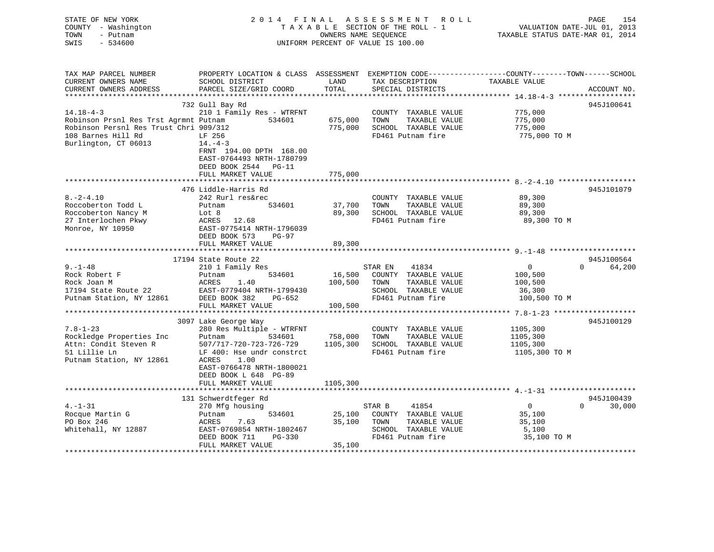| TOWN<br>SWIS | STATE OF NEW YORK<br>COUNTY - Washington<br>- Putnam<br>$-534600$ |                                                                                                 | 2014 FINAL ASSESSMENT ROLL<br>TAXABLE SECTION OF THE ROLL - 1<br>OWNERS NAME SEOUENCE<br>UNIFORM PERCENT OF VALUE IS 100.00 | TAXABLE STATUS DATE-MAR 01, 2014 | PAGE<br>VALUATION DATE-JUL 01, 2013 | 154 |
|--------------|-------------------------------------------------------------------|-------------------------------------------------------------------------------------------------|-----------------------------------------------------------------------------------------------------------------------------|----------------------------------|-------------------------------------|-----|
|              | TAX MAP PARCEL NUMBER                                             | PROPERTY LOCATION & CLASS ASSESSMENT EXEMPTION CODE---------------COUNTY-------TOWN------SCHOOL |                                                                                                                             |                                  |                                     |     |

| CURRENT OWNERS NAME                    | SCHOOL DISTRICT               | LAND     | TAX DESCRIPTION       | TAXABLE VALUE |                    |
|----------------------------------------|-------------------------------|----------|-----------------------|---------------|--------------------|
| CURRENT OWNERS ADDRESS                 | PARCEL SIZE/GRID COORD        | TOTAL    | SPECIAL DISTRICTS     |               | ACCOUNT NO.        |
|                                        |                               |          |                       |               |                    |
|                                        | 732 Gull Bay Rd               |          |                       |               | 945J100641         |
| $14.18 - 4 - 3$                        | 210 1 Family Res - WTRFNT     |          | COUNTY TAXABLE VALUE  | 775,000       |                    |
|                                        |                               |          |                       |               |                    |
| Robinson Prsnl Res Trst Agrmnt Putnam  | 534601                        | 675,000  | TOWN<br>TAXABLE VALUE | 775,000       |                    |
| Robinson Persnl Res Trust Chri 909/312 |                               | 775,000  | SCHOOL TAXABLE VALUE  | 775,000       |                    |
| 108 Barnes Hill Rd                     | LF 256                        |          | FD461 Putnam fire     |               | 775,000 TO M       |
| Burlington, CT 06013                   | $14. -4-3$                    |          |                       |               |                    |
|                                        | FRNT 194.00 DPTH 168.00       |          |                       |               |                    |
|                                        | EAST-0764493 NRTH-1780799     |          |                       |               |                    |
|                                        | DEED BOOK 2544 PG-11          |          |                       |               |                    |
|                                        | FULL MARKET VALUE             | 775,000  |                       |               |                    |
|                                        |                               |          |                       |               |                    |
|                                        |                               |          |                       |               |                    |
|                                        | 476 Liddle-Harris Rd          |          |                       |               | 945J101079         |
| $8. -2 - 4.10$                         | 242 Rurl res&rec              |          | COUNTY TAXABLE VALUE  | 89,300        |                    |
| Roccoberton Todd L                     | 534601<br>Putnam              | 37,700   | TOWN<br>TAXABLE VALUE | 89,300        |                    |
| Roccoberton Nancy M                    | Lot 8                         | 89,300   | SCHOOL TAXABLE VALUE  | 89,300        |                    |
| 27 Interlochen Pkwy                    | ACRES 12.68                   |          | FD461 Putnam fire     |               | 89,300 TO M        |
| Monroe, NY 10950                       | EAST-0775414 NRTH-1796039     |          |                       |               |                    |
|                                        | DEED BOOK 573<br><b>PG-97</b> |          |                       |               |                    |
|                                        |                               | 89,300   |                       |               |                    |
|                                        | FULL MARKET VALUE             |          |                       |               |                    |
|                                        |                               |          |                       |               |                    |
|                                        | 17194 State Route 22          |          |                       |               | 945J100564         |
| $9. - 1 - 48$                          | 210 1 Family Res              |          | STAR EN<br>41834      | $\mathbf{0}$  | 64,200<br>$\Omega$ |
| Rock Robert F                          | Putnam<br>534601              | 16,500   | COUNTY TAXABLE VALUE  | 100,500       |                    |
| Rock Joan M                            | ACRES<br>1.40                 | 100,500  | TOWN<br>TAXABLE VALUE | 100,500       |                    |
| 17194 State Route 22                   | EAST-0779404 NRTH-1799430     |          | SCHOOL TAXABLE VALUE  | 36,300        |                    |
| Putnam Station, NY 12861               | DEED BOOK 382<br>PG-652       |          | FD461 Putnam fire     |               | 100,500 TO M       |
|                                        | FULL MARKET VALUE             | 100,500  |                       |               |                    |
|                                        |                               |          |                       |               |                    |
|                                        | 3097 Lake George Way          |          |                       |               | 945J100129         |
| $7.8 - 1 - 23$                         | 280 Res Multiple - WTRFNT     |          | COUNTY TAXABLE VALUE  | 1105,300      |                    |
| Rockledge Properties Inc               | 534601<br>Putnam              | 758,000  | TOWN<br>TAXABLE VALUE | 1105,300      |                    |
|                                        |                               |          |                       |               |                    |
| Attn: Condit Steven R                  | 507/717-720-723-726-729       | 1105,300 | SCHOOL TAXABLE VALUE  | 1105,300      |                    |
| 51 Lillie Ln                           | LF 400: Hse undr constrct     |          | FD461 Putnam fire     |               | 1105,300 TO M      |
| Putnam Station, NY 12861               | ACRES<br>1.00                 |          |                       |               |                    |
|                                        | EAST-0766478 NRTH-1800021     |          |                       |               |                    |
|                                        | DEED BOOK L 648 PG-89         |          |                       |               |                    |
|                                        | FULL MARKET VALUE             | 1105,300 |                       |               |                    |
|                                        |                               |          |                       |               |                    |
|                                        | 131 Schwerdtfeger Rd          |          |                       |               | 945J100439         |
| $4. - 1 - 31$                          | 270 Mfg housing               |          | STAR B<br>41854       | $\mathbf{0}$  | $\Omega$<br>30,000 |
| Rocque Martin G                        | 534601                        |          | COUNTY TAXABLE VALUE  |               |                    |
|                                        | Putnam                        | 25,100   |                       | 35,100        |                    |
| PO Box 246                             | 7.63<br>ACRES                 | 35,100   | TOWN<br>TAXABLE VALUE | 35,100        |                    |
| Whitehall, NY 12887                    | EAST-0769854 NRTH-1802467     |          | SCHOOL TAXABLE VALUE  | 5,100         |                    |
|                                        | DEED BOOK 711<br>PG-330       |          | FD461 Putnam fire     |               | 35,100 TO M        |
|                                        | FULL MARKET VALUE             | 35,100   |                       |               |                    |
|                                        |                               |          |                       |               |                    |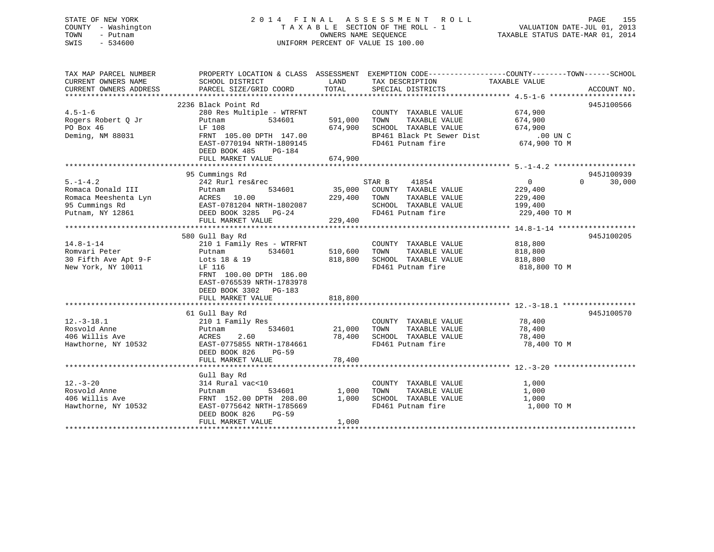# STATE OF NEW YORK 2 0 1 4 F I N A L A S S E S S M E N T R O L L PAGE 155 COUNTY - Washington T A X A B L E SECTION OF THE ROLL - 1 VALUATION DATE-JUL 01, 2013 TOWN - Putnam OWNERS NAME SEQUENCE TAXABLE STATUS DATE-MAR 01, 2014 SWIS - 534600 UNIFORM PERCENT OF VALUE IS 100.00

| TAX MAP PARCEL NUMBER  |                                                                                                                                                                                                                                                                                  |              | PROPERTY LOCATION & CLASS ASSESSMENT EXEMPTION CODE----------------COUNTY-------TOWN------SCHOOL |                |                    |
|------------------------|----------------------------------------------------------------------------------------------------------------------------------------------------------------------------------------------------------------------------------------------------------------------------------|--------------|--------------------------------------------------------------------------------------------------|----------------|--------------------|
| CURRENT OWNERS NAME    | SCHOOL DISTRICT                                                                                                                                                                                                                                                                  | LAND         | TAX DESCRIPTION                                                                                  | TAXABLE VALUE  |                    |
| CURRENT OWNERS ADDRESS | PARCEL SIZE/GRID COORD                                                                                                                                                                                                                                                           | TOTAL        | SPECIAL DISTRICTS                                                                                |                | ACCOUNT NO.        |
|                        |                                                                                                                                                                                                                                                                                  |              |                                                                                                  |                |                    |
|                        | 2236 Black Point Rd                                                                                                                                                                                                                                                              |              |                                                                                                  |                | 945J100566         |
| $4.5 - 1 - 6$          | 280 Res Multiple - WTRFNT                                                                                                                                                                                                                                                        |              | COUNTY TAXABLE VALUE                                                                             | 674,900        |                    |
| Rogers Robert Q Jr     | 534601<br>Putnam                                                                                                                                                                                                                                                                 | 591,000      | TOWN<br>TAXABLE VALUE                                                                            | 674,900        |                    |
| PO Box 46              | LF 108                                                                                                                                                                                                                                                                           | 674,900      | SCHOOL TAXABLE VALUE                                                                             | 674,900        |                    |
| Deming, NM 88031       | FRNT 105.00 DPTH 147.00                                                                                                                                                                                                                                                          |              | BP461 Black Pt Sewer Dist                                                                        | $.00$ UN $C$   |                    |
|                        | EAST-0770194 NRTH-1809145                                                                                                                                                                                                                                                        |              | FD461 Putnam fire                                                                                | 674,900 TO M   |                    |
|                        | DEED BOOK 485<br>PG-184                                                                                                                                                                                                                                                          |              |                                                                                                  |                |                    |
|                        | FULL MARKET VALUE                                                                                                                                                                                                                                                                | 674,900      |                                                                                                  |                |                    |
|                        |                                                                                                                                                                                                                                                                                  |              |                                                                                                  |                |                    |
|                        | 95 Cummings Rd                                                                                                                                                                                                                                                                   |              |                                                                                                  |                | 945J100939         |
| $5. - 1 - 4.2$         | 242 Rurl res&rec                                                                                                                                                                                                                                                                 |              | STAR B<br>41854                                                                                  | $\overline{0}$ | 30,000<br>$\Omega$ |
|                        |                                                                                                                                                                                                                                                                                  |              | 35,000 COUNTY TAXABLE VALUE                                                                      | 229,400        |                    |
|                        |                                                                                                                                                                                                                                                                                  | 229,400 TOWN | TAXABLE VALUE                                                                                    | 229,400        |                    |
|                        |                                                                                                                                                                                                                                                                                  |              | SCHOOL TAXABLE VALUE                                                                             | 199,400        |                    |
|                        | $5. -1 - 4.2$<br>Romaca Donald III Putnam<br>Romaca Meeshenta Lyn<br>$5. -1 - 4.2$<br>Romaca Meeshenta Lyn<br>$5. -1 - 4.2$<br>$5. -1 - 4.2$<br>$6. -1 - 4.2$<br>$7. -1 - 4.2$<br>$8. -1 - 4.2$<br>$8. -1 - 4.2$<br>$8. -1 - 4.2$<br>$8. -1 - 4.2$<br>$8. -1 - 4.2$<br>$8. -1 -$ |              | FD461 Putnam fire                                                                                | 229,400 TO M   |                    |
|                        | FULL MARKET VALUE                                                                                                                                                                                                                                                                | 229,400      |                                                                                                  |                |                    |
|                        |                                                                                                                                                                                                                                                                                  |              |                                                                                                  |                |                    |
|                        | 580 Gull Bay Rd                                                                                                                                                                                                                                                                  |              |                                                                                                  |                | 945J100205         |
| $14.8 - 1 - 14$        | 210 1 Family Res - WTRFNT                                                                                                                                                                                                                                                        |              | COUNTY TAXABLE VALUE                                                                             | 818,800        |                    |
| Romvari Peter          | 534601 510,600<br>Putnam                                                                                                                                                                                                                                                         |              | TAXABLE VALUE<br>TOWN                                                                            | 818,800        |                    |
| 30 Fifth Ave Apt 9-F   | Lots 18 & 19                                                                                                                                                                                                                                                                     | 818,800      | SCHOOL TAXABLE VALUE                                                                             | 818,800        |                    |
| New York, NY 10011     | LF 116                                                                                                                                                                                                                                                                           |              | FD461 Putnam fire                                                                                | 818,800 TO M   |                    |
|                        | FRNT 100.00 DPTH 186.00                                                                                                                                                                                                                                                          |              |                                                                                                  |                |                    |
|                        | EAST-0765539 NRTH-1783978                                                                                                                                                                                                                                                        |              |                                                                                                  |                |                    |
|                        | DEED BOOK 3302 PG-183                                                                                                                                                                                                                                                            |              |                                                                                                  |                |                    |
|                        | FULL MARKET VALUE                                                                                                                                                                                                                                                                | 818,800      |                                                                                                  |                |                    |
|                        |                                                                                                                                                                                                                                                                                  |              |                                                                                                  |                |                    |
|                        | 61 Gull Bay Rd                                                                                                                                                                                                                                                                   |              |                                                                                                  |                | 945J100570         |
| $12.-3-18.1$           | 210 1 Family Res                                                                                                                                                                                                                                                                 |              | COUNTY TAXABLE VALUE                                                                             | 78,400         |                    |
| Rosvold Anne           | 534601<br>Putnam                                                                                                                                                                                                                                                                 | 21,000       | TAXABLE VALUE<br>TOWN                                                                            | 78,400         |                    |
| 406 Willis Ave         | 2.60<br>ACRES                                                                                                                                                                                                                                                                    | 78,400       | SCHOOL TAXABLE VALUE                                                                             | 78,400         |                    |
| Hawthorne, NY 10532    | EAST-0775855 NRTH-1784661                                                                                                                                                                                                                                                        |              | FD461 Putnam fire                                                                                | 78,400 TO M    |                    |
|                        | DEED BOOK 826<br>$PG-59$                                                                                                                                                                                                                                                         |              |                                                                                                  |                |                    |
|                        | FULL MARKET VALUE                                                                                                                                                                                                                                                                | 78,400       |                                                                                                  |                |                    |
|                        |                                                                                                                                                                                                                                                                                  |              |                                                                                                  |                |                    |
|                        | Gull Bay Rd                                                                                                                                                                                                                                                                      |              |                                                                                                  |                |                    |
| $12. - 3 - 20$         | 314 Rural vac<10                                                                                                                                                                                                                                                                 |              | COUNTY TAXABLE VALUE                                                                             | 1,000          |                    |
| Rosvold Anne           | 534601<br>Putnam                                                                                                                                                                                                                                                                 | 1,000        | TOWN<br>TAXABLE VALUE                                                                            | 1,000          |                    |
| 406 Willis Ave         | FRNT 152.00 DPTH 208.00                                                                                                                                                                                                                                                          | 1,000        | SCHOOL TAXABLE VALUE                                                                             | 1,000          |                    |
| Hawthorne, NY 10532    | EAST-0775642 NRTH-1785669                                                                                                                                                                                                                                                        |              | FD461 Putnam fire                                                                                | 1,000 TO M     |                    |
|                        | DEED BOOK 826<br>$PG-59$                                                                                                                                                                                                                                                         |              |                                                                                                  |                |                    |
|                        | FULL MARKET VALUE                                                                                                                                                                                                                                                                | 1,000        |                                                                                                  |                |                    |
|                        |                                                                                                                                                                                                                                                                                  |              |                                                                                                  |                |                    |
|                        |                                                                                                                                                                                                                                                                                  |              |                                                                                                  |                |                    |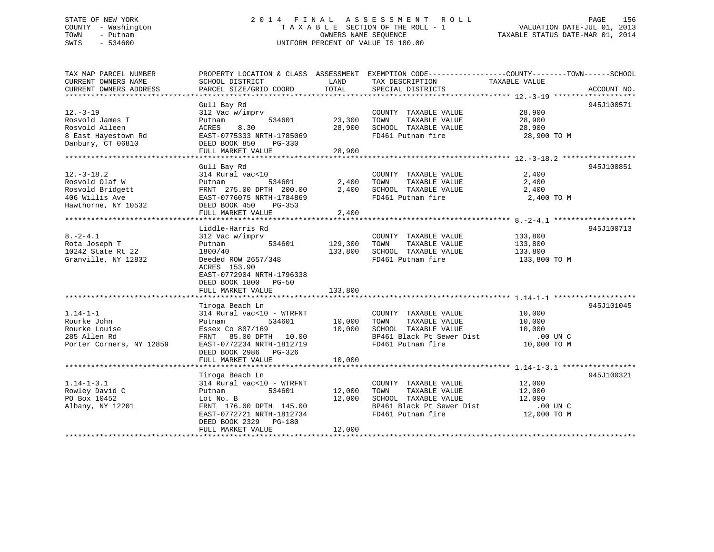# STATE OF NEW YORK 2 0 1 4 F I N A L A S S E S S M E N T R O L L PAGE 156 COUNTY - Washington T A X A B L E SECTION OF THE ROLL - 1 VALUATION DATE-JUL 01, 2013 TOWN - Putnam OWNERS NAME SEQUENCE TAXABLE STATUS DATE-MAR 01, 2014 SWIS - 534600 UNIFORM PERCENT OF VALUE IS 100.00

| TAX MAP PARCEL NUMBER<br>CURRENT OWNERS NAME  | PROPERTY LOCATION & CLASS ASSESSMENT EXEMPTION CODE---------------COUNTY-------TOWN-----SCHOOL<br>SCHOOL DISTRICT | LAND           | TAX DESCRIPTION                                                                   | TAXABLE VALUE        |             |
|-----------------------------------------------|-------------------------------------------------------------------------------------------------------------------|----------------|-----------------------------------------------------------------------------------|----------------------|-------------|
| CURRENT OWNERS ADDRESS                        | PARCEL SIZE/GRID COORD                                                                                            | TOTAL          | SPECIAL DISTRICTS                                                                 |                      | ACCOUNT NO. |
|                                               | Gull Bay Rd                                                                                                       |                |                                                                                   |                      | 945J100571  |
| $12. -3 - 19$                                 | 312 Vac w/imprv                                                                                                   |                | COUNTY TAXABLE VALUE 28,900                                                       |                      |             |
| Rosvold James T                               | Putnam                                                                                                            | 534601 23,300  | TOWN<br>TAXABLE VALUE 28,900                                                      |                      |             |
| Rosvold Aileen                                | 8.30<br>ACRES                                                                                                     |                | 28,900 SCHOOL TAXABLE VALUE 28,900 PD461 Putnam fire 28,900 TO M                  |                      |             |
| 8 East Hayestown Rd EAST-0775333 NRTH-1785069 |                                                                                                                   |                |                                                                                   |                      |             |
| Danbury, CT 06810                             | DEED BOOK 850 PG-330<br>FULL MARKET VALUE                                                                         | 28,900         |                                                                                   |                      |             |
|                                               |                                                                                                                   |                |                                                                                   |                      |             |
|                                               | Gull Bay Rd                                                                                                       |                |                                                                                   |                      | 945J100851  |
| $12.-3-18.2$                                  | 314 Rural vac<10                                                                                                  |                | COUNTY TAXABLE VALUE                                                              | 2,400                |             |
| Rosvold Olaf W                                | 534601 2,400<br>Putnam                                                                                            |                | TOWN<br>TAXABLE VALUE                                                             | 2,400                |             |
| Rosvold Bridgett                              | FRNT 275.00 DPTH 200.00                                                                                           |                | 2,400 SCHOOL TAXABLE VALUE 2,400                                                  |                      |             |
| 406 Willis Ave<br>Hawthorne, NY 10532         | EAST-0776075 NRTH-1784869                                                                                         |                | FD461 Putnam fire                                                                 | 2,400 TO M           |             |
|                                               | DEED BOOK 450<br>PG-353<br>FULL MARKET VALUE                                                                      | 2,400          |                                                                                   |                      |             |
|                                               |                                                                                                                   |                |                                                                                   |                      |             |
|                                               | Liddle-Harris Rd                                                                                                  |                |                                                                                   |                      | 945J100713  |
| $8. -2 - 4.1$                                 | 312 Vac w/imprv                                                                                                   |                | COUNTY TAXABLE VALUE                                                              | 133,800              |             |
| Rota Joseph T                                 | Putnam                                                                                                            | 534601 129,300 | TOWN<br>TAXABLE VALUE                                                             | 133,800              |             |
| 10242 State Rt 22                             | 1800/40                                                                                                           | 133,800        | SCHOOL TAXABLE VALUE                                                              | 133,800              |             |
| Granville, NY 12832                           | Deeded ROW 2657/348                                                                                               |                | FD461 Putnam fire                                                                 | 133,800 TO M         |             |
|                                               | ACRES 153.90<br>EAST-0772904 NRTH-1796338                                                                         |                |                                                                                   |                      |             |
|                                               | DEED BOOK 1800 PG-50                                                                                              |                |                                                                                   |                      |             |
|                                               | FULL MARKET VALUE                                                                                                 | 133,800        |                                                                                   |                      |             |
|                                               |                                                                                                                   |                |                                                                                   |                      |             |
|                                               | Tiroga Beach Ln                                                                                                   |                |                                                                                   |                      | 945J101045  |
| $1.14 - 1 - 1$                                | 314 Rural vac<10 - WTRFNT                                                                                         |                | COUNTY TAXABLE VALUE                                                              | 10,000<br>10.000     |             |
| Rourke John                                   | Putnam<br>534601                                                                                                  | 10,000 TOWN    | TAXABLE VALUE                                                                     | 10,000               |             |
| Rourke Louise                                 | Essex Co 807/169 10,000                                                                                           |                | SCHOOL TAXABLE VALUE                                                              | 10,000               |             |
| 285 Allen Rd<br>Porter Corners, NY 12859      | FRNT 85.00 DPTH 10.00<br>EAST-0772234 NRTH-1812719                                                                |                | DO UN C<br>BP461 Black Pt Sewer Dist 10,000 TO M<br>FD461 Putnam fire 10,000 TO M |                      |             |
|                                               | DEED BOOK 2986 PG-326                                                                                             |                |                                                                                   |                      |             |
|                                               | FULL MARKET VALUE                                                                                                 | 10,000         |                                                                                   |                      |             |
|                                               |                                                                                                                   |                |                                                                                   |                      |             |
|                                               | Tiroga Beach Ln                                                                                                   |                |                                                                                   |                      | 945J100321  |
| $1.14 - 1 - 3.1$                              | 314 Rural vac<10 - WTRFNT                                                                                         |                | COUNTY TAXABLE VALUE                                                              | 12,000<br>12.000     |             |
| Rowley David C                                | 534601<br>Putnam                                                                                                  | 12,000         | TAXABLE VALUE<br>TOWN                                                             | 12,000               |             |
| PO Box 10452                                  | Lot No. B<br>FRNT 176.00 DPTH 145.00                                                                              | 12,000         | SCHOOL TAXABLE VALUE                                                              | 12,000<br>$.00$ UN C |             |
| Albany, NY 12201                              | EAST-0772721 NRTH-1812734                                                                                         |                | BP461 Black Pt Sewer Dist<br>FD461 Putnam fire<br>FD461 Putnam fire               | 12,000 TO M          |             |
|                                               | DEED BOOK 2329 PG-180                                                                                             |                |                                                                                   |                      |             |
|                                               | FULL MARKET VALUE                                                                                                 | 12,000         |                                                                                   |                      |             |
|                                               |                                                                                                                   |                |                                                                                   |                      |             |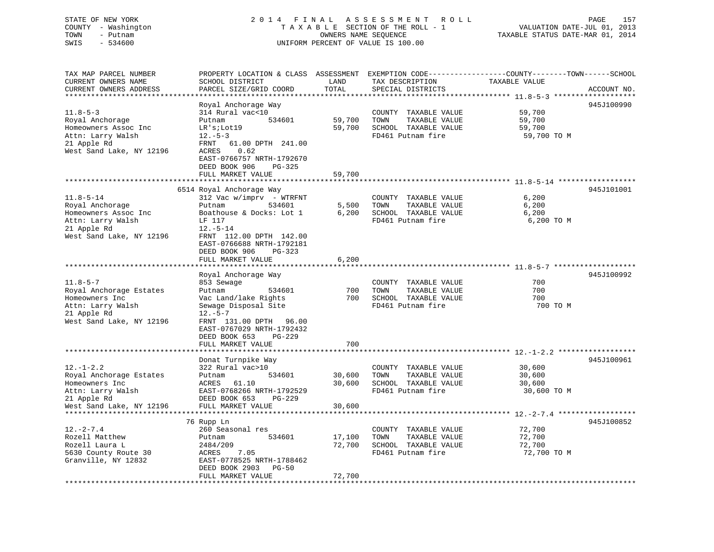# STATE OF NEW YORK 2 0 1 4 F I N A L A S S E S S M E N T R O L L PAGE 157 COUNTY - Washington T A X A B L E SECTION OF THE ROLL - 1 VALUATION DATE-JUL 01, 2013 TOWN - Putnam **CONNERS NAME SEQUENCE** TAXABLE STATUS DATE-MAR 01, 2014 SWIS - 534600 UNIFORM PERCENT OF VALUE IS 100.00

| TAX MAP PARCEL NUMBER<br>CURRENT OWNERS NAME<br>CURRENT OWNERS ADDRESS | PROPERTY LOCATION & CLASS ASSESSMENT<br>SCHOOL DISTRICT<br>PARCEL SIZE/GRID COORD | LAND<br>TOTAL    | TAX DESCRIPTION<br>SPECIAL DISTRICTS          | EXEMPTION CODE----------------COUNTY-------TOWN------SCHOOL<br>TAXABLE VALUE<br>ACCOUNT NO. |
|------------------------------------------------------------------------|-----------------------------------------------------------------------------------|------------------|-----------------------------------------------|---------------------------------------------------------------------------------------------|
|                                                                        |                                                                                   |                  |                                               |                                                                                             |
|                                                                        | Royal Anchorage Way                                                               |                  |                                               | 945J100990                                                                                  |
| $11.8 - 5 - 3$                                                         | 314 Rural vac<10                                                                  |                  | COUNTY TAXABLE VALUE                          | 59,700                                                                                      |
| Royal Anchorage                                                        | Putnam<br>534601                                                                  | 59,700           | TAXABLE VALUE<br>TOWN                         | 59,700                                                                                      |
| Homeowners Assoc Inc                                                   | $LR$ 's; $Lot19$                                                                  | 59,700           | SCHOOL TAXABLE VALUE                          | 59,700                                                                                      |
| Attn: Larry Walsh                                                      | $12.-5-3$                                                                         |                  | FD461 Putnam fire                             | 59,700 TO M                                                                                 |
| 21 Apple Rd                                                            | 61.00 DPTH 241.00<br>FRNT                                                         |                  |                                               |                                                                                             |
| West Sand Lake, NY 12196                                               | 0.62<br>ACRES                                                                     |                  |                                               |                                                                                             |
|                                                                        | EAST-0766757 NRTH-1792670                                                         |                  |                                               |                                                                                             |
|                                                                        | DEED BOOK 906<br>$PG-325$                                                         |                  |                                               |                                                                                             |
|                                                                        | FULL MARKET VALUE                                                                 | 59,700           |                                               |                                                                                             |
|                                                                        | 6514 Royal Anchorage Way                                                          |                  |                                               | 945J101001                                                                                  |
| $11.8 - 5 - 14$                                                        | 312 Vac w/imprv - WTRFNT                                                          |                  | COUNTY TAXABLE VALUE                          | 6,200                                                                                       |
| Royal Anchorage                                                        | Putnam<br>534601                                                                  | 5,500            | TOWN<br>TAXABLE VALUE                         | 6,200                                                                                       |
| Homeowners Assoc Inc                                                   | Boathouse & Docks: Lot 1                                                          | 6,200            | SCHOOL TAXABLE VALUE                          | 6,200                                                                                       |
| Attn: Larry Walsh                                                      | LF 117                                                                            |                  | FD461 Putnam fire                             | 6,200 TO M                                                                                  |
| 21 Apple Rd                                                            | $12. - 5 - 14$                                                                    |                  |                                               |                                                                                             |
| West Sand Lake, NY 12196                                               | FRNT 112.00 DPTH 142.00                                                           |                  |                                               |                                                                                             |
|                                                                        | EAST-0766688 NRTH-1792181                                                         |                  |                                               |                                                                                             |
|                                                                        | DEED BOOK 906<br>$PG-323$                                                         |                  |                                               |                                                                                             |
|                                                                        | FULL MARKET VALUE<br>*********************                                        | 6,200            |                                               |                                                                                             |
|                                                                        |                                                                                   |                  |                                               |                                                                                             |
| $11.8 - 5 - 7$                                                         | Royal Anchorage Way<br>853 Sewage                                                 |                  | COUNTY TAXABLE VALUE                          | 945J100992<br>700                                                                           |
| Royal Anchorage Estates                                                | Putnam<br>534601                                                                  | 700              | TOWN<br>TAXABLE VALUE                         | 700                                                                                         |
| Homeowners Inc                                                         | Vac Land/lake Rights                                                              | 700              | SCHOOL TAXABLE VALUE                          | 700                                                                                         |
| Attn: Larry Walsh                                                      | Sewage Disposal Site                                                              |                  | FD461 Putnam fire                             | 700 TO M                                                                                    |
| 21 Apple Rd                                                            | $12.-5-7$                                                                         |                  |                                               |                                                                                             |
| West Sand Lake, NY 12196                                               | FRNT 131.00 DPTH<br>96.00                                                         |                  |                                               |                                                                                             |
|                                                                        | EAST-0767029 NRTH-1792432                                                         |                  |                                               |                                                                                             |
|                                                                        | DEED BOOK 653<br>PG-229                                                           |                  |                                               |                                                                                             |
|                                                                        | FULL MARKET VALUE                                                                 | 700              |                                               |                                                                                             |
|                                                                        | **************************                                                        |                  |                                               |                                                                                             |
|                                                                        | Donat Turnpike Way                                                                |                  |                                               | 945J100961                                                                                  |
| $12. - 1 - 2.2$                                                        | 322 Rural vac>10                                                                  |                  | COUNTY TAXABLE VALUE                          | 30,600                                                                                      |
| Royal Anchorage Estates<br>Homeowners Inc                              | Putnam<br>534601<br>ACRES<br>61.10                                                | 30,600<br>30,600 | TAXABLE VALUE<br>TOWN<br>SCHOOL TAXABLE VALUE | 30,600<br>30,600                                                                            |
| Attn: Larry Walsh                                                      | EAST-0768266 NRTH-1792529                                                         |                  | FD461 Putnam fire                             | 30,600 TO M                                                                                 |
| 21 Apple Rd                                                            | DEED BOOK 653<br>PG-229                                                           |                  |                                               |                                                                                             |
| West Sand Lake, NY 12196                                               | FULL MARKET VALUE                                                                 | 30,600           |                                               |                                                                                             |
| ***********************                                                | ********************                                                              | **********       |                                               |                                                                                             |
|                                                                        | 76 Rupp Ln                                                                        |                  |                                               | 945J100852                                                                                  |
| $12. - 2 - 7.4$                                                        | 260 Seasonal res                                                                  |                  | COUNTY TAXABLE VALUE                          | 72,700                                                                                      |
| Rozell Matthew                                                         | Putnam<br>534601                                                                  | 17,100           | TOWN<br>TAXABLE VALUE                         | 72,700                                                                                      |
| Rozell Laura L                                                         | 2484/209                                                                          | 72,700           | SCHOOL TAXABLE VALUE                          | 72,700                                                                                      |
| 5630 County Route 30                                                   | 7.05<br>ACRES                                                                     |                  | FD461 Putnam fire                             | 72,700 TO M                                                                                 |
| Granville, NY 12832                                                    | EAST-0778525 NRTH-1788462                                                         |                  |                                               |                                                                                             |
|                                                                        | DEED BOOK 2903<br>$PG-50$<br>FULL MARKET VALUE                                    | 72,700           |                                               |                                                                                             |
|                                                                        |                                                                                   |                  |                                               |                                                                                             |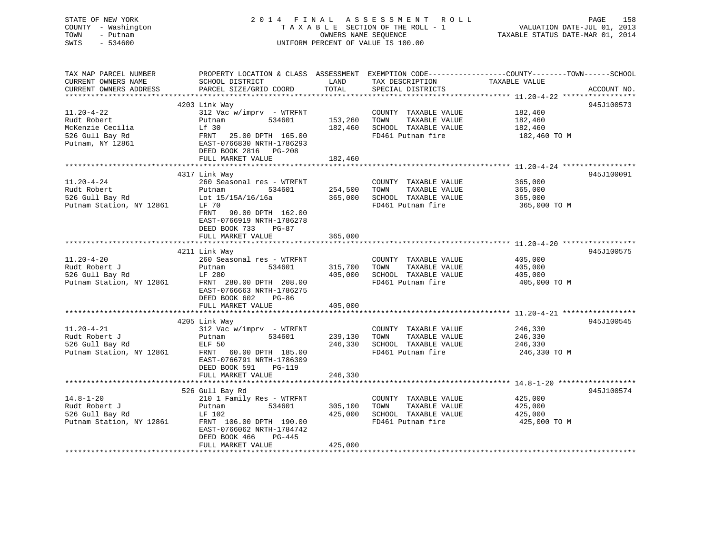| STATE OF NEW YORK<br>COUNTY - Washington<br>TOWN<br>- Putnam<br>SWIS<br>$-534600$          | 2014 FINAL ASSESSMENT<br>TAXABLE SECTION OF THE ROLL - 1<br>UNIFORM PERCENT OF VALUE IS 100.00                                                             | R O L L<br>PAGE<br>158<br>VALUATION DATE-JUL 01, 2013<br>TAXABLE STATUS DATE-MAR 01, 2014                        |                                                                                                                                 |
|--------------------------------------------------------------------------------------------|------------------------------------------------------------------------------------------------------------------------------------------------------------|------------------------------------------------------------------------------------------------------------------|---------------------------------------------------------------------------------------------------------------------------------|
| TAX MAP PARCEL NUMBER<br>CURRENT OWNERS NAME<br>CURRENT OWNERS ADDRESS                     | SCHOOL DISTRICT<br>PARCEL SIZE/GRID COORD                                                                                                                  | TAX DESCRIPTION<br>LAND<br>TOTAL<br>SPECIAL DISTRICTS                                                            | PROPERTY LOCATION & CLASS ASSESSMENT EXEMPTION CODE---------------COUNTY-------TOWN------SCHOOL<br>TAXABLE VALUE<br>ACCOUNT NO. |
|                                                                                            | 4203 Link Way                                                                                                                                              |                                                                                                                  | 945J100573                                                                                                                      |
| $11.20 - 4 - 22$<br>Rudt Robert<br>McKenzie Cecilia<br>526 Gull Bay Rd<br>Putnam, NY 12861 | 312 Vac w/imprv - WTRFNT<br>Putnam<br>534601<br>Lf 30<br>FRNT 25.00 DPTH 165.00<br>EAST-0766830 NRTH-1786293<br>DEED BOOK 2816 PG-208                      | COUNTY TAXABLE VALUE<br>153,260<br>TOWN<br>TAXABLE VALUE<br>182,460<br>SCHOOL TAXABLE VALUE<br>FD461 Putnam fire | 182,460<br>182,460<br>182,460<br>182,460 TO M                                                                                   |
|                                                                                            | FULL MARKET VALUE                                                                                                                                          | 182,460                                                                                                          |                                                                                                                                 |
| $11.20 - 4 - 24$                                                                           | 4317 Link Way<br>260 Seasonal res - WTRFNT                                                                                                                 | COUNTY TAXABLE VALUE                                                                                             | 945J100091<br>365,000                                                                                                           |
| Rudt Robert<br>526 Gull Bay Rd<br>Putnam Station, NY 12861                                 | Putnam<br>534601<br>Lot 15/15A/16/16a<br>LF 70<br>FRNT<br>90.00 DPTH 162.00<br>EAST-0766919 NRTH-1786278<br>DEED BOOK 733<br>$PG-87$<br>FULL MARKET VALUE  | 254,500<br>TOWN<br>TAXABLE VALUE<br>365,000<br>SCHOOL TAXABLE VALUE<br>FD461 Putnam fire<br>365,000              | 365,000<br>365,000<br>365,000 TO M                                                                                              |
|                                                                                            |                                                                                                                                                            |                                                                                                                  |                                                                                                                                 |
| $11.20 - 4 - 20$<br>Rudt Robert J<br>526 Gull Bay Rd<br>Putnam Station, NY 12861           | 4211 Link Way<br>260 Seasonal res - WTRFNT<br>Putnam<br>534601<br>LF 280<br>FRNT 280.00 DPTH 208.00<br>EAST-0766663 NRTH-1786275<br>DEED BOOK 602<br>PG-86 | COUNTY TAXABLE VALUE<br>315,700<br>TOWN<br>TAXABLE VALUE<br>405,000<br>SCHOOL TAXABLE VALUE<br>FD461 Putnam fire | 945J100575<br>405,000<br>405,000<br>405,000<br>405,000 TO M                                                                     |
|                                                                                            | FULL MARKET VALUE                                                                                                                                          | 405,000                                                                                                          |                                                                                                                                 |
|                                                                                            | 4205 Link Way                                                                                                                                              |                                                                                                                  | 945J100545                                                                                                                      |
| $11.20 - 4 - 21$<br>Rudt Robert J<br>526 Gull Bay Rd<br>Putnam Station, NY 12861           | $312$ Vac w/imprv - WTRFNT<br>534601<br>Putnam<br>ELF 50<br>FRNT 60.00 DPTH 185.00<br>EAST-0766791 NRTH-1786309<br>DEED BOOK 591<br><b>PG-119</b>          | COUNTY TAXABLE VALUE<br>239,130<br>TOWN<br>TAXABLE VALUE<br>246,330<br>SCHOOL TAXABLE VALUE<br>FD461 Putnam fire | 246,330<br>246,330<br>246,330<br>246,330 TO M                                                                                   |
|                                                                                            | FULL MARKET VALUE                                                                                                                                          | 246,330                                                                                                          |                                                                                                                                 |
|                                                                                            | 526 Gull Bay Rd                                                                                                                                            |                                                                                                                  | 945J100574                                                                                                                      |
| $14.8 - 1 - 20$<br>Rudt Robert J<br>526 Gull Bay Rd<br>Putnam Station, NY 12861            | 210 1 Family Res - WTRFNT<br>Putnam<br>534601<br>LF 102<br>FRNT 106.00 DPTH 190.00<br>EAST-0766062 NRTH-1784742                                            | COUNTY TAXABLE VALUE<br>305,100<br>TOWN<br>TAXABLE VALUE<br>425,000<br>SCHOOL TAXABLE VALUE<br>FD461 Putnam fire | 425,000<br>425,000<br>425,000<br>425,000 TO M                                                                                   |
|                                                                                            | DEED BOOK 466<br>PG-445<br>FULL MARKET VALUE                                                                                                               | 425,000                                                                                                          |                                                                                                                                 |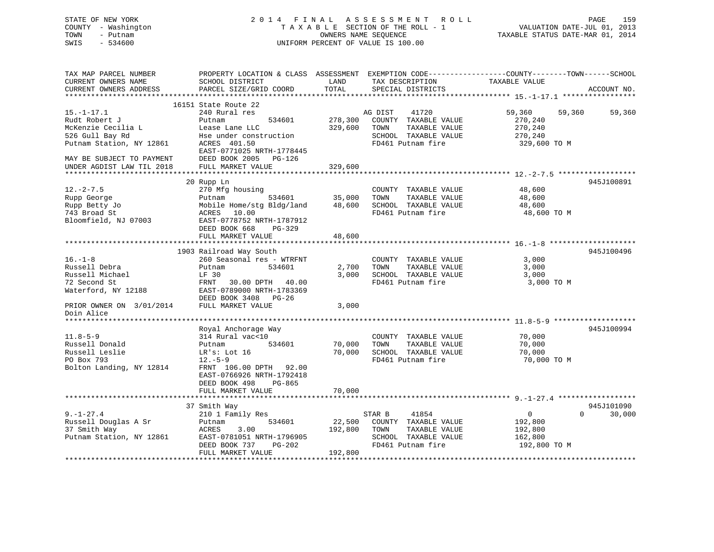| STATE OF NEW YORK<br>COUNTY - Washington<br>- Putnam<br>TOWN<br>SWIS<br>$-534600$ | A S S E S S M E N T<br>2014 FINAL<br>ROLL<br>TAXABLE SECTION OF THE ROLL - 1<br>OWNERS NAME SEQUENCE<br>UNIFORM PERCENT OF VALUE IS 100.00 |               |                                                                                                 | VALUATION DATE-JUL 01, 2013<br>TAXABLE STATUS DATE-MAR 01, 2014 | PAGE<br>159 |
|-----------------------------------------------------------------------------------|--------------------------------------------------------------------------------------------------------------------------------------------|---------------|-------------------------------------------------------------------------------------------------|-----------------------------------------------------------------|-------------|
| TAX MAP PARCEL NUMBER                                                             |                                                                                                                                            |               | PROPERTY LOCATION & CLASS ASSESSMENT EXEMPTION CODE---------------COUNTY-------TOWN------SCHOOL |                                                                 |             |
| CURRENT OWNERS NAME<br>CURRENT OWNERS ADDRESS                                     | SCHOOL DISTRICT<br>PARCEL SIZE/GRID COORD                                                                                                  | LAND<br>TOTAL | TAX DESCRIPTION<br>SPECIAL DISTRICTS                                                            | TAXABLE VALUE                                                   | ACCOUNT NO. |
|                                                                                   |                                                                                                                                            |               |                                                                                                 |                                                                 |             |
|                                                                                   | 16151 State Route 22                                                                                                                       |               |                                                                                                 |                                                                 |             |
| $15. - 1 - 17.1$                                                                  | 240 Rural res                                                                                                                              |               | 41720<br>AG DIST                                                                                | 59,360<br>59,360                                                | 59,360      |
| Rudt Robert J                                                                     | 534601<br>Putnam                                                                                                                           | 278,300       | COUNTY TAXABLE VALUE                                                                            | 270,240                                                         |             |
| McKenzie Cecilia L                                                                | Lease Lane LLC                                                                                                                             | 329,600       | TAXABLE VALUE<br>TOWN                                                                           | 270,240                                                         |             |
| 526 Gull Bay Rd                                                                   | Hse under construction                                                                                                                     |               | SCHOOL TAXABLE VALUE                                                                            | 270,240                                                         |             |
| Putnam Station, NY 12861                                                          | ACRES 401.50                                                                                                                               |               | FD461 Putnam fire                                                                               | 329,600 TO M                                                    |             |
|                                                                                   | EAST-0771025 NRTH-1778445                                                                                                                  |               |                                                                                                 |                                                                 |             |
| MAY BE SUBJECT TO PAYMENT                                                         | DEED BOOK 2005 PG-126                                                                                                                      |               |                                                                                                 |                                                                 |             |
| UNDER AGDIST LAW TIL 2018                                                         | FULL MARKET VALUE                                                                                                                          | 329,600       |                                                                                                 |                                                                 |             |
|                                                                                   | 20 Rupp Ln                                                                                                                                 |               |                                                                                                 |                                                                 | 945J100891  |
| $12. - 2 - 7.5$                                                                   | 270 Mfg housing                                                                                                                            |               | COUNTY TAXABLE VALUE                                                                            | 48,600                                                          |             |
| Rupp George                                                                       | Putnam<br>534601                                                                                                                           | 35,000        | TOWN<br>TAXABLE VALUE                                                                           | 48,600                                                          |             |
| Rupp Betty Jo                                                                     | Mobile Home/stg Bldg/land                                                                                                                  | 48,600        | SCHOOL TAXABLE VALUE                                                                            | 48,600                                                          |             |
| 743 Broad St                                                                      | 10.00<br>ACRES                                                                                                                             |               | FD461 Putnam fire                                                                               | 48,600 TO M                                                     |             |
| Bloomfield, NJ 07003                                                              | EAST-0778752 NRTH-1787912                                                                                                                  |               |                                                                                                 |                                                                 |             |
|                                                                                   | DEED BOOK 668<br>$PG-329$                                                                                                                  |               |                                                                                                 |                                                                 |             |
|                                                                                   | FULL MARKET VALUE                                                                                                                          | 48,600        |                                                                                                 |                                                                 |             |
|                                                                                   |                                                                                                                                            |               |                                                                                                 |                                                                 |             |
|                                                                                   | 1903 Railroad Way South                                                                                                                    |               |                                                                                                 |                                                                 | 945J100496  |
| $16. - 1 - 8$                                                                     | 260 Seasonal res - WTRFNT                                                                                                                  |               | COUNTY TAXABLE VALUE                                                                            | 3,000                                                           |             |
| Russell Debra                                                                     | Putnam<br>534601                                                                                                                           | 2,700         | TAXABLE VALUE<br>TOWN                                                                           | 3,000                                                           |             |
| Russell Michael                                                                   | LF 30                                                                                                                                      | 3,000         | SCHOOL TAXABLE VALUE                                                                            | 3,000                                                           |             |
| 72 Second St                                                                      | FRNT<br>30.00 DPTH 40.00                                                                                                                   |               | FD461 Putnam fire                                                                               | 3,000 TO M                                                      |             |
| Waterford, NY 12188                                                               | EAST-0789000 NRTH-1783369                                                                                                                  |               |                                                                                                 |                                                                 |             |
|                                                                                   | DEED BOOK 3408 PG-26                                                                                                                       |               |                                                                                                 |                                                                 |             |
| PRIOR OWNER ON 3/01/2014                                                          | FULL MARKET VALUE                                                                                                                          | 3,000         |                                                                                                 |                                                                 |             |
| Doin Alice                                                                        |                                                                                                                                            |               |                                                                                                 |                                                                 |             |
|                                                                                   | Royal Anchorage Way                                                                                                                        |               |                                                                                                 |                                                                 | 945J100994  |
| $11.8 - 5 - 9$                                                                    | 314 Rural vac<10                                                                                                                           |               | COUNTY TAXABLE VALUE                                                                            | 70,000                                                          |             |
| Russell Donald                                                                    | Putnam<br>534601                                                                                                                           | 70,000        | TAXABLE VALUE<br>TOWN                                                                           | 70,000                                                          |             |
| Russell Leslie                                                                    | LR's: Lot 16                                                                                                                               | 70,000        | SCHOOL TAXABLE VALUE                                                                            | 70,000                                                          |             |
| PO Box 793                                                                        | $12.-5-9$                                                                                                                                  |               | FD461 Putnam fire                                                                               | 70,000 TO M                                                     |             |
| Bolton Landing, NY 12814                                                          | FRNT 106.00 DPTH 92.00                                                                                                                     |               |                                                                                                 |                                                                 |             |
|                                                                                   | EAST-0766926 NRTH-1792418                                                                                                                  |               |                                                                                                 |                                                                 |             |
|                                                                                   | DEED BOOK 498<br>$PG-865$                                                                                                                  |               |                                                                                                 |                                                                 |             |
|                                                                                   | FULL MARKET VALUE                                                                                                                          | 70,000        |                                                                                                 |                                                                 |             |
|                                                                                   |                                                                                                                                            |               |                                                                                                 |                                                                 |             |

|                          | 37 Smith Way              |                  |                         |              | 945J101090 |
|--------------------------|---------------------------|------------------|-------------------------|--------------|------------|
| $9. - 1 - 27.4$          | 210 1 Family Res          |                  | 41854<br>STAR B         |              | 30,000     |
| Russell Douglas A Sr     | Putnam                    | 534601<br>22,500 | TAXABLE VALUE<br>COUNTY | 192,800      |            |
| 37 Smith Way             | 3.00<br>ACRES             | 192,800          | TOWN<br>TAXABLE VALUE   | 192,800      |            |
| Putnam Station, NY 12861 | EAST-0781051 NRTH-1796905 |                  | TAXABLE VALUE<br>SCHOOL | 162,800      |            |
|                          | DEED BOOK 737             | PG-202           | FD461 Putnam fire       | 192,800 TO M |            |
|                          | FULL MARKET VALUE         | 192,800          |                         |              |            |
|                          |                           |                  |                         |              |            |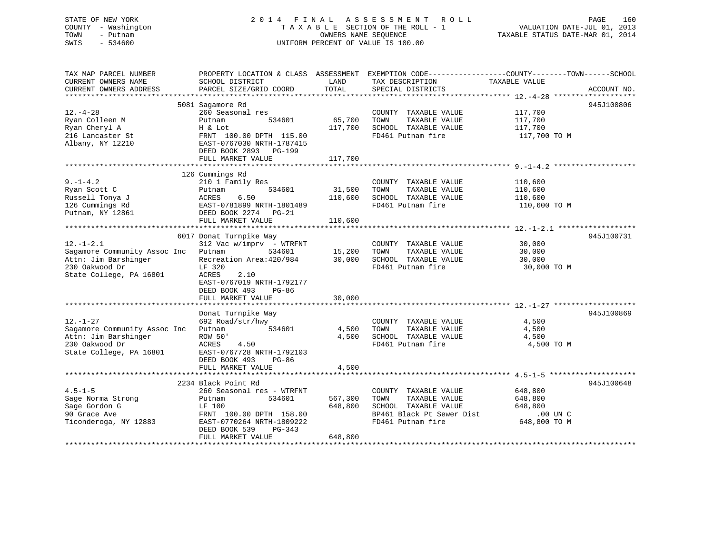# STATE OF NEW YORK 2 0 1 4 F I N A L A S S E S S M E N T R O L L PAGE 160 COUNTY - Washington T A X A B L E SECTION OF THE ROLL - 1 VALUATION DATE-JUL 01, 2013 TOWN - Putnam **CONNERS NAME SEQUENCE** TAXABLE STATUS DATE-MAR 01, 2014 SWIS - 534600 UNIFORM PERCENT OF VALUE IS 100.00

| TAX MAP PARCEL NUMBER<br>CURRENT OWNERS NAME | PROPERTY LOCATION & CLASS ASSESSMENT<br>SCHOOL DISTRICT | LAND    | TAX DESCRIPTION           | EXEMPTION CODE-----------------COUNTY-------TOWN------SCHOOL<br>TAXABLE VALUE |
|----------------------------------------------|---------------------------------------------------------|---------|---------------------------|-------------------------------------------------------------------------------|
| CURRENT OWNERS ADDRESS                       | PARCEL SIZE/GRID COORD                                  | TOTAL   | SPECIAL DISTRICTS         | ACCOUNT NO.                                                                   |
|                                              | 5081 Sagamore Rd                                        |         |                           | 945J100806                                                                    |
| $12. - 4 - 28$                               | 260 Seasonal res                                        |         | COUNTY TAXABLE VALUE      | 117,700                                                                       |
| Ryan Colleen M                               | 534601<br>Putnam                                        | 65,700  | TOWN<br>TAXABLE VALUE     | 117,700                                                                       |
| Ryan Cheryl A                                | H & Lot                                                 | 117,700 | SCHOOL TAXABLE VALUE      | 117,700                                                                       |
| 216 Lancaster St                             | FRNT 100.00 DPTH 115.00                                 |         | FD461 Putnam fire         | 117,700 TO M                                                                  |
| Albany, NY 12210                             | EAST-0767030 NRTH-1787415                               |         |                           |                                                                               |
|                                              | DEED BOOK 2893<br>PG-199                                |         |                           |                                                                               |
|                                              | FULL MARKET VALUE                                       | 117,700 |                           |                                                                               |
|                                              |                                                         |         |                           |                                                                               |
|                                              | 126 Cummings Rd                                         |         |                           |                                                                               |
| $9. - 1 - 4.2$                               | 210 1 Family Res                                        |         | COUNTY TAXABLE VALUE      | 110,600                                                                       |
| Ryan Scott C                                 | 534601<br>Putnam                                        | 31,500  | TOWN<br>TAXABLE VALUE     | 110,600                                                                       |
| Russell Tonya J                              | ACRES<br>6.50                                           | 110,600 | SCHOOL TAXABLE VALUE      | 110,600                                                                       |
| 126 Cummings Rd                              | EAST-0781899 NRTH-1801489                               |         | FD461 Putnam fire         | 110,600 TO M                                                                  |
| Putnam, NY 12861                             | DEED BOOK 2274 PG-21                                    |         |                           |                                                                               |
|                                              | FULL MARKET VALUE                                       | 110,600 |                           |                                                                               |
|                                              |                                                         |         |                           |                                                                               |
|                                              | 6017 Donat Turnpike Way                                 |         |                           | 945J100731                                                                    |
| $12. - 1 - 2.1$                              | 312 Vac w/imprv - WTRFNT                                |         | COUNTY TAXABLE VALUE      | 30,000                                                                        |
| Sagamore Community Assoc Inc                 | Putnam<br>534601                                        | 15,200  | TAXABLE VALUE<br>TOWN     | 30,000                                                                        |
| Attn: Jim Barshinger                         | Recreation Area: 420/984                                | 30,000  | SCHOOL TAXABLE VALUE      | 30,000                                                                        |
| 230 Oakwood Dr<br>State College, PA 16801    | LF 320<br>ACRES                                         |         | FD461 Putnam fire         | 30,000 TO M                                                                   |
|                                              | 2.10<br>EAST-0767019 NRTH-1792177                       |         |                           |                                                                               |
|                                              | DEED BOOK 493<br>$PG-86$                                |         |                           |                                                                               |
|                                              | FULL MARKET VALUE                                       | 30,000  |                           |                                                                               |
|                                              |                                                         |         |                           |                                                                               |
|                                              | Donat Turnpike Way                                      |         |                           | 945J100869                                                                    |
| $12. - 1 - 27$                               | 692 Road/str/hwy                                        |         | COUNTY TAXABLE VALUE      | 4,500                                                                         |
| Sagamore Community Assoc Inc                 | 534601<br>Putnam                                        | 4,500   | TOWN<br>TAXABLE VALUE     | 4,500                                                                         |
| Attn: Jim Barshinger                         | ROW 50'                                                 | 4,500   | SCHOOL TAXABLE VALUE      | 4,500                                                                         |
| 230 Oakwood Dr                               | ACRES<br>4.50                                           |         | FD461 Putnam fire         | 4,500 TO M                                                                    |
| State College, PA 16801                      | EAST-0767728 NRTH-1792103                               |         |                           |                                                                               |
|                                              | DEED BOOK 493<br>PG-86                                  |         |                           |                                                                               |
|                                              | FULL MARKET VALUE                                       | 4,500   |                           |                                                                               |
|                                              |                                                         |         |                           |                                                                               |
|                                              | 2234 Black Point Rd                                     |         |                           | 945J100648                                                                    |
| $4.5 - 1 - 5$                                | 260 Seasonal res - WTRFNT                               |         | COUNTY TAXABLE VALUE      | 648,800                                                                       |
| Sage Norma Strong                            | 534601<br>Putnam                                        | 567,300 | TOWN<br>TAXABLE VALUE     | 648,800                                                                       |
| Sage Gordon G                                | LF 100                                                  | 648,800 | SCHOOL TAXABLE VALUE      | 648,800                                                                       |
| 90 Grace Ave                                 | FRNT 100.00 DPTH 158.00                                 |         | BP461 Black Pt Sewer Dist | $.00$ UN $C$                                                                  |
| Ticonderoga, NY 12883                        | EAST-0770264 NRTH-1809222                               |         | FD461 Putnam fire         | 648,800 TO M                                                                  |
|                                              | DEED BOOK 539<br>$PG-343$                               |         |                           |                                                                               |
|                                              | FULL MARKET VALUE                                       | 648,800 |                           |                                                                               |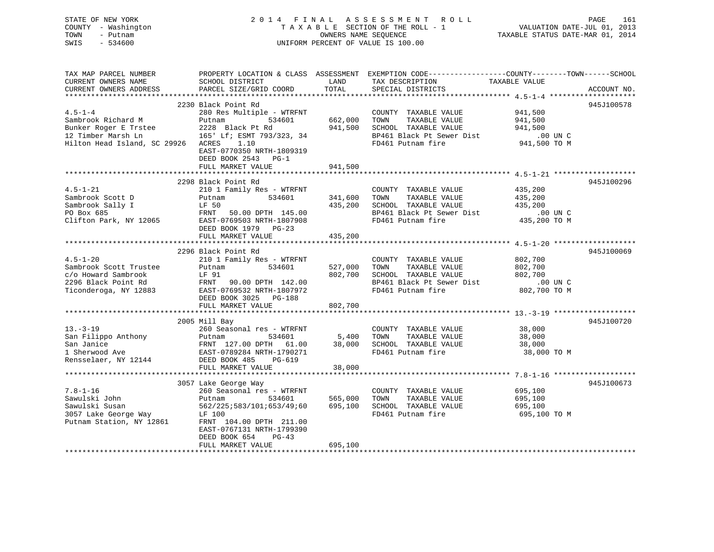| STATE OF NEW YORK<br>COUNTY - Washington<br>TOWN<br>- Putnam<br>SWIS<br>$-534600$ |                                           | OWNERS NAME SEQUENCE | 2014 FINAL ASSESSMENT ROLL<br>TAXABLE SECTION OF THE ROLL - 1<br>UNIFORM PERCENT OF VALUE IS 100.00 | PAGE<br>VALUATION DATE-JUL 01, 2013<br>TAXABLE STATUS DATE-MAR 01, 2014                                        | 161 |
|-----------------------------------------------------------------------------------|-------------------------------------------|----------------------|-----------------------------------------------------------------------------------------------------|----------------------------------------------------------------------------------------------------------------|-----|
| TAX MAP PARCEL NUMBER<br>CURRENT OWNERS NAME<br>CURRENT OWNERS ADDRESS            | SCHOOL DISTRICT<br>PARCEL SIZE/GRID COORD | LAND<br>TOTAL        | TAX DESCRIPTION TAXABLE VALUE<br>SPECIAL DISTRICTS                                                  | PROPERTY LOCATION & CLASS ASSESSMENT EXEMPTION CODE----------------COUNTY-------TOWN-----SCHOOL<br>ACCOUNT NO. |     |
|                                                                                   | 2230 Black Point Rd                       |                      |                                                                                                     | 945J100578                                                                                                     |     |
| $4.5 - 1 - 4$                                                                     | 280 Res Multiple - WTRFNT                 |                      | COUNTY TAXABLE VALUE                                                                                | 941,500                                                                                                        |     |
| Sambrook Richard M                                                                | Putnam<br>534601                          | 662,000 TOWN         | TAXABLE VALUE                                                                                       | 941,500                                                                                                        |     |
| Bunker Roger E Trstee<br>12 Timber Marsh Ln                                       | 2228 Black Pt Rd                          |                      | 941,500 SCHOOL TAXABLE VALUE                                                                        | 941,500                                                                                                        |     |
|                                                                                   | 165' Lf; ESMT 793/323, 34                 |                      | BP461 Black Pt Sewer Dist                                                                           | $.00$ UN C                                                                                                     |     |
| Hilton Head Island, SC 29926 ACRES 1.10                                           | EAST-0770350 NRTH-1809319                 |                      | FD461 Putnam fire                                                                                   | 941,500 TO M                                                                                                   |     |
|                                                                                   | DEED BOOK 2543 PG-1                       |                      |                                                                                                     |                                                                                                                |     |
|                                                                                   | FULL MARKET VALUE                         | 941,500              |                                                                                                     |                                                                                                                |     |
|                                                                                   | 2298 Black Point Rd                       |                      |                                                                                                     | 945J100296                                                                                                     |     |
| $4.5 - 1 - 21$                                                                    | 210 1 Family Res - WTRFNT                 |                      | COUNTY TAXABLE VALUE                                                                                | 435,200                                                                                                        |     |
| Sambrook Scott D                                                                  | 534601<br>Putnam                          | 341,600              | TAXABLE VALUE<br>TOWN                                                                               | 435,200                                                                                                        |     |
|                                                                                   | LF 50                                     | 435,200              | SCHOOL TAXABLE VALUE                                                                                | 435,200                                                                                                        |     |
| Sambrook Scott D<br>Sambrook Sally I<br>PO Box 685                                | FRNT 50.00 DPTH 145.00                    |                      | BP461 Black Pt Sewer Dist                                                                           | $.00$ UN C                                                                                                     |     |
| Clifton Park, NY 12065                                                            | EAST-0769503 NRTH-1807908                 |                      | FD461 Putnam fire                                                                                   | 435,200 TO M                                                                                                   |     |
|                                                                                   | DEED BOOK 1979 PG-23                      |                      |                                                                                                     |                                                                                                                |     |
|                                                                                   | FULL MARKET VALUE                         | 435,200              |                                                                                                     |                                                                                                                |     |
|                                                                                   |                                           |                      |                                                                                                     |                                                                                                                |     |
|                                                                                   | 2296 Black Point Rd                       |                      |                                                                                                     | 945J100069                                                                                                     |     |
| $4.5 - 1 - 20$                                                                    | 210 1 Family Res - WTRFNT<br>534601       | 527,000 TOWN         | COUNTY TAXABLE VALUE                                                                                | 802,700                                                                                                        |     |
| Sambrook Scott Trustee<br>c/o Howard Sambrook                                     | Putnam<br>LF 91                           |                      | TAXABLE VALUE<br>802,700 SCHOOL TAXABLE VALUE                                                       | 802,700<br>802,700                                                                                             |     |
| 2296 Black Point Rd                                                               |                                           |                      | BP461 Black Pt Sewer Dist                                                                           | $.00$ UN C                                                                                                     |     |
| Ticonderoga, NY 12883                                                             |                                           |                      | FD461 Putnam fire                                                                                   | 802,700 TO M                                                                                                   |     |
|                                                                                   | DEED BOOK 3025 PG-188                     |                      |                                                                                                     |                                                                                                                |     |
|                                                                                   | FULL MARKET VALUE                         | 802,700              |                                                                                                     |                                                                                                                |     |
|                                                                                   |                                           |                      |                                                                                                     |                                                                                                                |     |
|                                                                                   | 2005 Mill Bay                             |                      |                                                                                                     | 945J100720                                                                                                     |     |
| $13. - 3 - 19$                                                                    | 260 Seasonal res - WTRFNT                 |                      | COUNTY TAXABLE VALUE                                                                                | 38,000                                                                                                         |     |
|                                                                                   |                                           | 5,400 TOWN           | TAXABLE VALUE                                                                                       | 38,000                                                                                                         |     |
|                                                                                   |                                           |                      | 38,000 SCHOOL TAXABLE VALUE                                                                         | 38,000                                                                                                         |     |
|                                                                                   |                                           |                      | FD461 Putnam fire                                                                                   | 38,000 TO M                                                                                                    |     |
|                                                                                   |                                           |                      |                                                                                                     |                                                                                                                |     |
|                                                                                   | FULL MARKET VALUE                         | 38,000               |                                                                                                     |                                                                                                                |     |
|                                                                                   | 3057 Lake George Way                      |                      |                                                                                                     | 945J100673                                                                                                     |     |
| $7.8 - 1 - 16$                                                                    | 260 Seasonal res - WTRFNT                 |                      | COUNTY TAXABLE VALUE                                                                                | 695,100                                                                                                        |     |
| Sawulski John                                                                     | 534601<br>Putnam                          | 565,000              | TAXABLE VALUE<br>TOWN                                                                               | 695,100                                                                                                        |     |
| Sawulski Susan                                                                    | 562/225;583/101;653/49;60                 | 695,100              | SCHOOL TAXABLE VALUE                                                                                | 695,100                                                                                                        |     |
| 3057 Lake George Way<br>Putnam Station, NY 12861                                  | LF 100                                    |                      | FD461 Putnam fire                                                                                   | 695,100 TO M                                                                                                   |     |
| Putnam Station, NY 12861                                                          | FRNT 104.00 DPTH 211.00                   |                      |                                                                                                     |                                                                                                                |     |
|                                                                                   | EAST-0767131 NRTH-1799390                 |                      |                                                                                                     |                                                                                                                |     |
|                                                                                   | DEED BOOK 654<br>$PG-43$                  |                      |                                                                                                     |                                                                                                                |     |
|                                                                                   | FULL MARKET VALUE                         | 695,100              |                                                                                                     |                                                                                                                |     |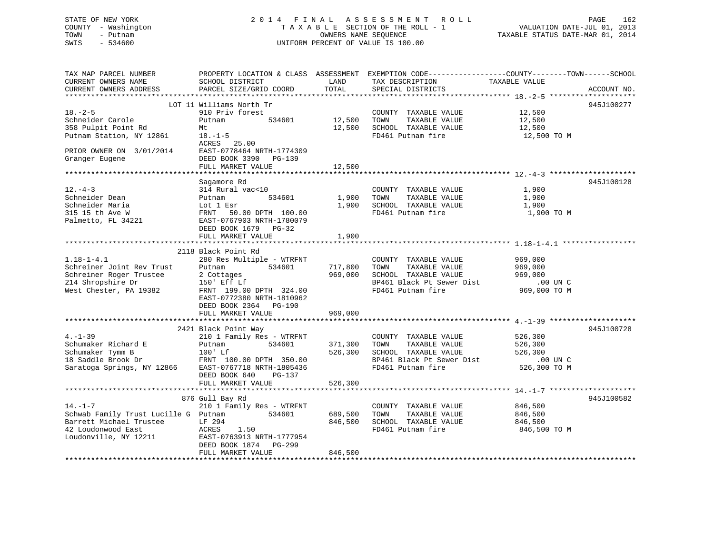# STATE OF NEW YORK 2 0 1 4 F I N A L A S S E S S M E N T R O L L PAGE 162 COUNTY - Washington T A X A B L E SECTION OF THE ROLL - 1 VALUATION DATE-JUL 01, 2013 TOWN - Putnam **CONNERS NAME SEQUENCE** TAXABLE STATUS DATE-MAR 01, 2014 SWIS - 534600 UNIFORM PERCENT OF VALUE IS 100.00

| TAX MAP PARCEL NUMBER<br>CURRENT OWNERS NAME<br>CURRENT OWNERS ADDRESS | PROPERTY LOCATION & CLASS ASSESSMENT<br>SCHOOL DISTRICT<br>PARCEL SIZE/GRID COORD | LAND<br>TOTAL | TAX DESCRIPTION<br>SPECIAL DISTRICTS          | EXEMPTION CODE-----------------COUNTY-------TOWN------SCHOOL<br>TAXABLE VALUE<br>ACCOUNT NO. |
|------------------------------------------------------------------------|-----------------------------------------------------------------------------------|---------------|-----------------------------------------------|----------------------------------------------------------------------------------------------|
|                                                                        |                                                                                   |               |                                               |                                                                                              |
|                                                                        | LOT 11 Williams North Tr                                                          |               |                                               | 945J100277                                                                                   |
| $18. - 2 - 5$                                                          | 910 Priv forest                                                                   |               | COUNTY TAXABLE VALUE                          | 12,500                                                                                       |
| Schneider Carole                                                       | 534601<br>Putnam                                                                  | 12,500        | TOWN<br>TAXABLE VALUE                         | 12,500                                                                                       |
| 358 Pulpit Point Rd                                                    | Mt                                                                                | 12,500        | SCHOOL TAXABLE VALUE                          | 12,500                                                                                       |
| Putnam Station, NY 12861                                               | $18. - 1 - 5$                                                                     |               | FD461 Putnam fire                             | 12,500 TO M                                                                                  |
|                                                                        | ACRES<br>25.00                                                                    |               |                                               |                                                                                              |
| PRIOR OWNER ON 3/01/2014                                               | EAST-0778464 NRTH-1774309                                                         |               |                                               |                                                                                              |
| Granger Eugene                                                         | DEED BOOK 3390 PG-139<br>FULL MARKET VALUE                                        | 12,500        |                                               |                                                                                              |
| ************************                                               |                                                                                   |               |                                               |                                                                                              |
|                                                                        | Sagamore Rd                                                                       |               |                                               | 945J100128                                                                                   |
| $12. - 4 - 3$                                                          | 314 Rural vac<10                                                                  |               | COUNTY TAXABLE VALUE                          | 1,900                                                                                        |
| Schneider Dean                                                         | 534601<br>Putnam                                                                  | 1,900         | TAXABLE VALUE<br>TOWN                         | 1,900                                                                                        |
| Schneider Maria                                                        | Lot 1 Esr                                                                         | 1,900         | SCHOOL TAXABLE VALUE                          | 1,900                                                                                        |
| 315 15 th Ave W                                                        | FRNT<br>50.00 DPTH 100.00                                                         |               | FD461 Putnam fire                             | 1,900 TO M                                                                                   |
| Palmetto, FL 34221                                                     | EAST-0767903 NRTH-1780079                                                         |               |                                               |                                                                                              |
|                                                                        | DEED BOOK 1679 PG-32                                                              |               |                                               |                                                                                              |
|                                                                        | FULL MARKET VALUE                                                                 | 1,900         |                                               |                                                                                              |
|                                                                        |                                                                                   |               |                                               |                                                                                              |
|                                                                        | 2118 Black Point Rd                                                               |               |                                               |                                                                                              |
| $1.18 - 1 - 4.1$                                                       | 280 Res Multiple - WTRFNT                                                         |               | COUNTY TAXABLE VALUE                          | 969,000                                                                                      |
| Schreiner Joint Rev Trust                                              | 534601<br>Putnam                                                                  | 717,800       | TOWN<br>TAXABLE VALUE                         | 969,000                                                                                      |
| Schreiner Roger Trustee                                                | 2 Cottages                                                                        | 969,000       | SCHOOL TAXABLE VALUE                          | 969,000                                                                                      |
| 214 Shropshire Dr                                                      | 150' Eff Lf                                                                       |               | BP461 Black Pt Sewer Dist                     | .00 UN C                                                                                     |
| West Chester, PA 19382                                                 | FRNT 199.00 DPTH 324.00                                                           |               | FD461 Putnam fire                             | 969,000 TO M                                                                                 |
|                                                                        | EAST-0772380 NRTH-1810962                                                         |               |                                               |                                                                                              |
|                                                                        | DEED BOOK 2364 PG-190                                                             |               |                                               |                                                                                              |
|                                                                        | FULL MARKET VALUE                                                                 | 969,000       |                                               |                                                                                              |
|                                                                        |                                                                                   |               |                                               | 945J100728                                                                                   |
| $4. - 1 - 39$                                                          | 2421 Black Point Way                                                              |               |                                               |                                                                                              |
| Schumaker Richard E                                                    | 210 1 Family Res - WTRFNT<br>534601<br>Putnam                                     | 371,300       | COUNTY TAXABLE VALUE<br>TOWN<br>TAXABLE VALUE | 526,300<br>526,300                                                                           |
| Schumaker Tymm B                                                       | $100'$ Lf                                                                         | 526,300       | SCHOOL TAXABLE VALUE                          | 526,300                                                                                      |
| 18 Saddle Brook Dr                                                     | FRNT 100.00 DPTH 350.00                                                           |               | BP461 Black Pt Sewer Dist                     | $.00$ UN C                                                                                   |
| Saratoga Springs, NY 12866                                             | EAST-0767718 NRTH-1805436                                                         |               | FD461 Putnam fire                             | 526,300 TO M                                                                                 |
|                                                                        | DEED BOOK 640<br>PG-137                                                           |               |                                               |                                                                                              |
|                                                                        | FULL MARKET VALUE                                                                 | 526,300       |                                               |                                                                                              |
|                                                                        |                                                                                   |               |                                               |                                                                                              |
|                                                                        | 876 Gull Bay Rd                                                                   |               |                                               | 945J100582                                                                                   |
| $14. - 1 - 7$                                                          | 210 1 Family Res - WTRFNT                                                         |               | COUNTY TAXABLE VALUE                          | 846,500                                                                                      |
| Schwab Family Trust Lucille G Putnam                                   | 534601                                                                            | 689,500       | TOWN<br>TAXABLE VALUE                         | 846,500                                                                                      |
| Barrett Michael Trustee                                                | LF 294                                                                            | 846,500       | SCHOOL TAXABLE VALUE                          | 846,500                                                                                      |
| 42 Loudonwood East                                                     | ACRES<br>1.50                                                                     |               | FD461 Putnam fire                             | 846,500 TO M                                                                                 |
| Loudonville, NY 12211                                                  | EAST-0763913 NRTH-1777954                                                         |               |                                               |                                                                                              |
|                                                                        | DEED BOOK 1874 PG-299                                                             |               |                                               |                                                                                              |
|                                                                        | FULL MARKET VALUE                                                                 | 846,500       |                                               |                                                                                              |
|                                                                        |                                                                                   |               |                                               |                                                                                              |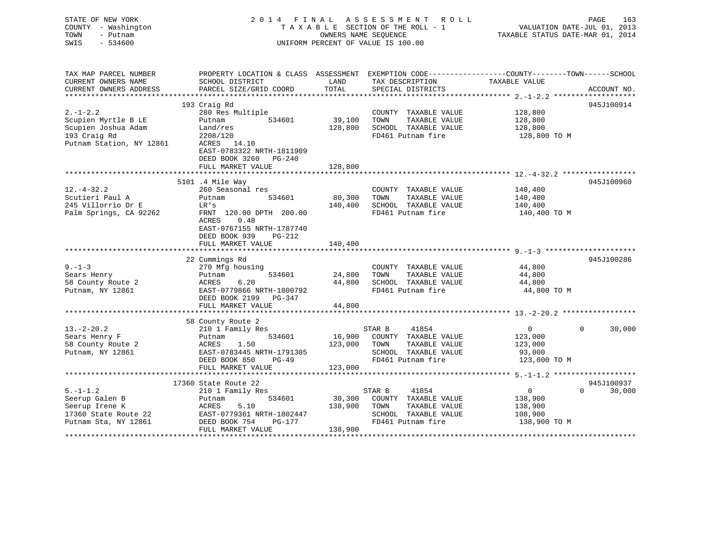| STATE OF NEW YORK<br>COUNTY - Washington<br>TOWN<br>- Putnam<br>SWIS<br>$-534600$ | 2014 FINAL ASSESSMENT ROLL<br>TAXABLE SECTION OF THE ROLL - 1<br>OWNERS NAME SEQUENCE<br>UNIFORM PERCENT OF VALUE IS 100.00 |         |                                                              | PAGE<br>163<br>VALUATION DATE-JUL 01, 2013<br>TAXABLE STATUS DATE-MAR 01, 2014 |          |             |
|-----------------------------------------------------------------------------------|-----------------------------------------------------------------------------------------------------------------------------|---------|--------------------------------------------------------------|--------------------------------------------------------------------------------|----------|-------------|
| TAX MAP PARCEL NUMBER                                                             | PROPERTY LOCATION & CLASS ASSESSMENT EXEMPTION CODE----------------COUNTY-------TOWN------SCHOOL                            |         |                                                              |                                                                                |          |             |
| CURRENT OWNERS NAME                                                               | SCHOOL DISTRICT                                                                                                             | LAND    | TAX DESCRIPTION                                              | TAXABLE VALUE                                                                  |          |             |
| CURRENT OWNERS ADDRESS                                                            | PARCEL SIZE/GRID COORD                                                                                                      | TOTAL   | SPECIAL DISTRICTS                                            |                                                                                |          | ACCOUNT NO. |
|                                                                                   | 193 Craig Rd                                                                                                                |         |                                                              |                                                                                |          | 945J100914  |
| $2. -1 - 2.2$                                                                     | 280 Res Multiple                                                                                                            |         | COUNTY TAXABLE VALUE                                         | 128,800                                                                        |          |             |
| Scupien Myrtle B LE                                                               | Putnam<br>534601                                                                                                            | 39,100  | TOWN<br>TAXABLE VALUE                                        | 128,800                                                                        |          |             |
| Scupien Joshua Adam                                                               | Land/res                                                                                                                    |         | 128,800 SCHOOL TAXABLE VALUE                                 | 128,800                                                                        |          |             |
| 193 Craig Rd                                                                      | 2208/120                                                                                                                    |         | FD461 Putnam fire                                            | 128,800 TO M                                                                   |          |             |
| Putnam Station, NY 12861                                                          | ACRES 14.10                                                                                                                 |         |                                                              |                                                                                |          |             |
|                                                                                   | EAST-0783322 NRTH-1811909                                                                                                   |         |                                                              |                                                                                |          |             |
|                                                                                   | DEED BOOK 3260 PG-240                                                                                                       |         |                                                              |                                                                                |          |             |
|                                                                                   | FULL MARKET VALUE                                                                                                           | 128,800 |                                                              |                                                                                |          |             |
|                                                                                   |                                                                                                                             |         |                                                              |                                                                                |          |             |
|                                                                                   | 5101 .4 Mile Way                                                                                                            |         |                                                              |                                                                                |          | 945J100960  |
| $12. - 4 - 32.2$                                                                  | 260 Seasonal res                                                                                                            |         | COUNTY TAXABLE VALUE                                         | 140,400                                                                        |          |             |
| Scutieri Paul A                                                                   | 534601<br>Putnam                                                                                                            | 80,300  | TOWN<br>TAXABLE VALUE                                        | 140,400                                                                        |          |             |
| 245 Villorrio Dr E<br>Palm Springs, CA 92262                                      | LR's<br>FRNT 120.00 DPTH 200.00                                                                                             |         | 140,400 SCHOOL TAXABLE VALUE<br>FD461 Putnam fire            | 140,400<br>140,400 TO M                                                        |          |             |
|                                                                                   | 0.48<br>ACRES<br>EAST-0767155 NRTH-1787740<br>DEED BOOK 939 PG-212                                                          |         |                                                              |                                                                                |          |             |
|                                                                                   | FULL MARKET VALUE                                                                                                           | 140,400 |                                                              |                                                                                |          |             |
|                                                                                   | 22 Cummings Rd                                                                                                              |         |                                                              |                                                                                |          | 945J100286  |
| $9 - 1 - 3$                                                                       | 270 Mfg housing                                                                                                             |         | COUNTY TAXABLE VALUE                                         | 44,800                                                                         |          |             |
| Sears Henry                                                                       | 534601<br>Putnam                                                                                                            | 24,800  | TOWN<br>TAXABLE VALUE                                        | 44,800                                                                         |          |             |
| 58 County Route 2                                                                 | ACRES<br>6.20                                                                                                               |         | 44,800 SCHOOL TAXABLE VALUE                                  | 44,800                                                                         |          |             |
| Putnam, NY 12861                                                                  | EAST-0779866 NRTH-1800792                                                                                                   |         | FD461 Putnam fire                                            | 44,800 TO M                                                                    |          |             |
|                                                                                   | DEED BOOK 2199 PG-347                                                                                                       |         |                                                              |                                                                                |          |             |
|                                                                                   | FULL MARKET VALUE                                                                                                           | 44,800  |                                                              |                                                                                |          |             |
|                                                                                   |                                                                                                                             |         |                                                              |                                                                                |          |             |
|                                                                                   | 58 County Route 2                                                                                                           |         |                                                              |                                                                                |          |             |
| $13.-2-20.2$                                                                      | 210 1 Family Res                                                                                                            |         | STAR B<br>41854                                              | $\overline{0}$                                                                 | $\Omega$ | 30,000      |
| Sears Henry F                                                                     | Putnam<br>534601<br>ACRES<br>1.50                                                                                           |         | 16,900 COUNTY TAXABLE VALUE<br>123,000 TOWN<br>TAXABLE VALUE | 123,000<br>123,000                                                             |          |             |
| 58 County Route 2<br>Putnam, NY 12861                                             | EAST-0783445 NRTH-1791305                                                                                                   |         | SCHOOL TAXABLE VALUE                                         | 93,000                                                                         |          |             |
|                                                                                   | DEED BOOK 850<br>$PG-49$                                                                                                    |         | FD461 Putnam fire                                            | 123,000 TO M                                                                   |          |             |
|                                                                                   | FULL MARKET VALUE                                                                                                           | 123,000 |                                                              |                                                                                |          |             |
|                                                                                   |                                                                                                                             |         |                                                              |                                                                                |          |             |
|                                                                                   | 17360 State Route 22                                                                                                        |         |                                                              |                                                                                |          | 945J100937  |
| $5. - 1 - 1.2$                                                                    | 210 1 Family Res                                                                                                            |         | STAR B<br>41854                                              | $\overline{0}$                                                                 | $\Omega$ | 30,000      |
| Seerup Galen B                                                                    | 534601<br>Putnam                                                                                                            |         | 30,300 COUNTY TAXABLE VALUE                                  | 138,900                                                                        |          |             |
| Seerup Irene K                                                                    | 5.10<br>ACRES                                                                                                               | 138,900 | TOWN<br>TAXABLE VALUE                                        | 138,900                                                                        |          |             |
| 17360 State Route 22                                                              | EAST-0779361 NRTH-1802447                                                                                                   |         | SCHOOL TAXABLE VALUE                                         | 108,900                                                                        |          |             |
|                                                                                   |                                                                                                                             |         |                                                              |                                                                                |          |             |
| Putnam Sta, NY 12861                                                              | DEED BOOK 754<br>PG-177<br>FULL MARKET VALUE                                                                                | 138,900 | FD461 Putnam fire                                            | 138,900 TO M                                                                   |          |             |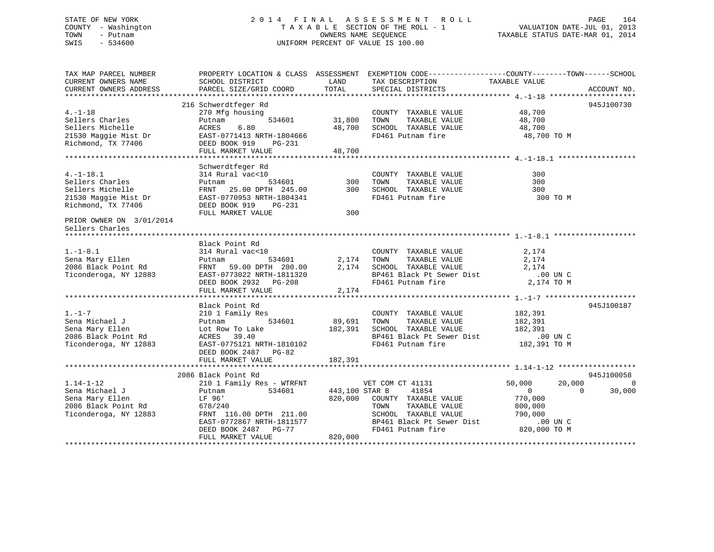# STATE OF NEW YORK 2 0 1 4 F I N A L A S S E S S M E N T R O L L PAGE 164 COUNTY - Washington T A X A B L E SECTION OF THE ROLL - 1 VALUATION DATE-JUL 01, 2013 TOWN - Putnam OWNERS NAME SEQUENCE TAXABLE STATUS DATE-MAR 01, 2014 SWIS - 534600 UNIFORM PERCENT OF VALUE IS 100.00

TAX MAP PARCEL NUMBER PROPERTY LOCATION & CLASS ASSESSMENT EXEMPTION CODE------------------COUNTY--------TOWN------SCHOOL CURRENT OWNERS NAME SCHOOL DISTRICT THE LAND TAX DESCRIPTION TAXABLE VALUE CURRENT OWNERS ADDRESS PARCEL SIZE/GRID COORD TOTAL SPECIAL DISTRICTS ACCOUNT NO. \*\*\*\*\*\*\*\*\*\*\*\*\*\*\*\*\*\*\*\*\*\*\*\*\*\*\*\*\*\*\*\*\*\*\*\*\*\*\*\*\*\*\*\*\*\*\*\*\*\*\*\*\*\*\*\*\*\*\*\*\*\*\*\*\*\*\*\*\*\*\*\*\*\*\*\*\*\*\*\*\*\*\*\*\*\*\*\*\*\*\*\*\*\*\*\*\*\*\*\*\*\*\* 4.-1-18 \*\*\*\*\*\*\*\*\*\*\*\*\*\*\*\*\*\*\*\* 216 Schwerdtfeger Rd 945J100730 4.-1-18 270 Mfg housing COUNTY TAXABLE VALUE 48,700 Sellers Charles Putnam 534601 31,800 TOWN TAXABLE VALUE 48,700 Sellers Michelle ACRES 6.80 48,700 SCHOOL TAXABLE VALUE 48,700 21530 Maggie Mist Dr EAST-0771413 NRTH-1804666 FD461 Putnam fire 48,700 TO M Richmond, TX 77406 DEED BOOK 919 PG-231 FULL MARKET VALUE 48,700 \*\*\*\*\*\*\*\*\*\*\*\*\*\*\*\*\*\*\*\*\*\*\*\*\*\*\*\*\*\*\*\*\*\*\*\*\*\*\*\*\*\*\*\*\*\*\*\*\*\*\*\*\*\*\*\*\*\*\*\*\*\*\*\*\*\*\*\*\*\*\*\*\*\*\*\*\*\*\*\*\*\*\*\*\*\*\*\*\*\*\*\*\*\*\*\*\*\*\*\*\*\*\* 4.-1-18.1 \*\*\*\*\*\*\*\*\*\*\*\*\*\*\*\*\*\* Schwerdtfeger Rd 4.-1-18.1 314 Rural vac<10 COUNTY TAXABLE VALUE 300Sellers Charles Putnam 534601 300 TOWN TAXABLE VALUE 300Sellers Michelle FRNT 25.00 DPTH 245.00 300 SCHOOL TAXABLE VALUE 30021530 Maggie Mist Dr EAST-0770953 NRTH-1804341 FD461 Putnam fire 300 TO M Richmond, TX 77406 DEED BOOK 919 PG-231 FULL MARKET VALUE 300 PRIOR OWNER ON 3/01/2014 Sellers Charles \*\*\*\*\*\*\*\*\*\*\*\*\*\*\*\*\*\*\*\*\*\*\*\*\*\*\*\*\*\*\*\*\*\*\*\*\*\*\*\*\*\*\*\*\*\*\*\*\*\*\*\*\*\*\*\*\*\*\*\*\*\*\*\*\*\*\*\*\*\*\*\*\*\*\*\*\*\*\*\*\*\*\*\*\*\*\*\*\*\*\*\*\*\*\*\*\*\*\*\*\*\*\* 1.-1-8.1 \*\*\*\*\*\*\*\*\*\*\*\*\*\*\*\*\*\*\* Black Point Rd 1.-1-8.1 314 Rural vac<10 COUNTY TAXABLE VALUE 2,174 Sena Mary Ellen Putnam 534601 2,174 TOWN TAXABLE VALUE 2,174 2086 Black Point Rd FRNT 59.00 DPTH 200.00 2,174 SCHOOL TAXABLE VALUE 2,174 Ticonderoga, NY 12883 EAST-0773022 NRTH-1811320 BP461 Black Pt Sewer Dist .00 UN C DEED BOOK 2932 PG-208 FD461 Putnam fire 2,174 TO M FULL MARKET VALUE  $2,174$ \*\*\*\*\*\*\*\*\*\*\*\*\*\*\*\*\*\*\*\*\*\*\*\*\*\*\*\*\*\*\*\*\*\*\*\*\*\*\*\*\*\*\*\*\*\*\*\*\*\*\*\*\*\*\*\*\*\*\*\*\*\*\*\*\*\*\*\*\*\*\*\*\*\*\*\*\*\*\*\*\*\*\*\*\*\*\*\*\*\*\*\*\*\*\*\*\*\*\*\*\*\*\* 1.-1-7 \*\*\*\*\*\*\*\*\*\*\*\*\*\*\*\*\*\*\*\*\*Black Point Rd 945J100187 1.-1-7 210 1 Family Res COUNTY TAXABLE VALUE 182,391 Sena Michael J Putnam 534601 89,691 TOWN TAXABLE VALUE 182,391 Sena Mary Ellen Lot Row To Lake 182,391 SCHOOL TAXABLE VALUE 182,391 2086 Black Point Rd ACRES 39.40 BP461 Black Pt Sewer Dist .00 UN C Ticonderoga, NY 12883 EAST-0775121 NRTH-1810102 FD461 Putnam fire 182,391 TO M DEED BOOK 2487 PG-82FULL MARKET VALUE 182,391 \*\*\*\*\*\*\*\*\*\*\*\*\*\*\*\*\*\*\*\*\*\*\*\*\*\*\*\*\*\*\*\*\*\*\*\*\*\*\*\*\*\*\*\*\*\*\*\*\*\*\*\*\*\*\*\*\*\*\*\*\*\*\*\*\*\*\*\*\*\*\*\*\*\*\*\*\*\*\*\*\*\*\*\*\*\*\*\*\*\*\*\*\*\*\*\*\*\*\*\*\*\*\* 1.14-1-12 \*\*\*\*\*\*\*\*\*\*\*\*\*\*\*\*\*\* 2086 Black Point Rd 945J100058 $50,000$   $20,000$  0 1.14-1-12 210 1 Family Res - WTRFNT VET COM CT 41131 50,000 0 Sena Michael J Putnam 534601 443,100 STAR B 41854 0 0 30,000 Sena Mary Ellen LF 96' 820,000 COUNTY TAXABLE VALUE 770,000 2086 Black Point Rd 678/240 TOWN TAXABLE VALUE 800,000 Ticonderoga, NY 12883 FRNT 116.00 DPTH 211.00 SCHOOL TAXABLE VALUE 790,000 EAST-0772867 NRTH-1811577 BP461 Black Pt Sewer Dist .00 UN C DEED BOOK 2487 PG-77 FD461 Putnam fire 820,000 TO M EED BOOK 2487 PG-77<br>FULL MARKET VALUE 820,000 \*\*\*\*\*\*\*\*\*\*\*\*\*\*\*\*\*\*\*\*\*\*\*\*\*\*\*\*\*\*\*\*\*\*\*\*\*\*\*\*\*\*\*\*\*\*\*\*\*\*\*\*\*\*\*\*\*\*\*\*\*\*\*\*\*\*\*\*\*\*\*\*\*\*\*\*\*\*\*\*\*\*\*\*\*\*\*\*\*\*\*\*\*\*\*\*\*\*\*\*\*\*\*\*\*\*\*\*\*\*\*\*\*\*\*\*\*\*\*\*\*\*\*\*\*\*\*\*\*\*\*\*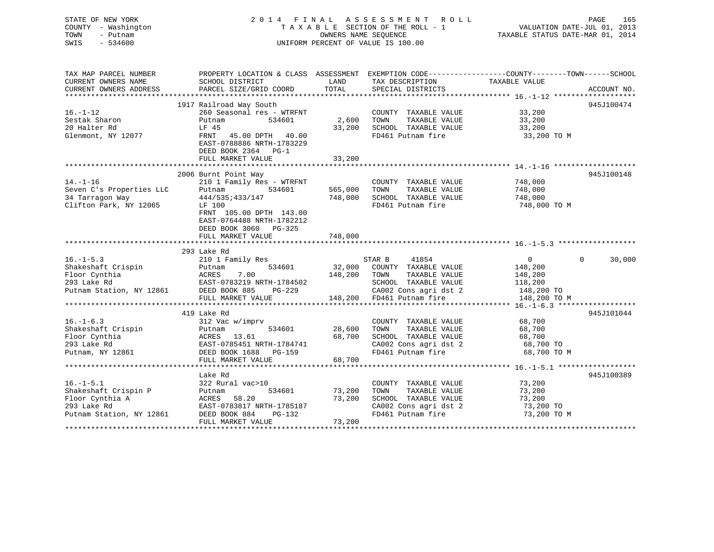# STATE OF NEW YORK 2 0 1 4 F I N A L A S S E S S M E N T R O L L PAGE 165 COUNTY - Washington T A X A B L E SECTION OF THE ROLL - 1 VALUATION DATE-JUL 01, 2013 TOWN - Putnam **CONNERS NAME SEQUENCE** TAXABLE STATUS DATE-MAR 01, 2014 SWIS - 534600 UNIFORM PERCENT OF VALUE IS 100.00

| TAX MAP PARCEL NUMBER<br>CURRENT OWNERS NAME<br>CURRENT OWNERS ADDRESS                                                                                   | SCHOOL DISTRICT<br>PARCEL SIZE/GRID COORD                                                                                                              | LAND<br>TOTAL | TAX DESCRIPTION<br>SPECIAL DISTRICTS       | PROPERTY LOCATION & CLASS ASSESSMENT EXEMPTION CODE---------------COUNTY-------TOWN-----SCHOOL<br>TAXABLE VALUE<br>ACCOUNT NO. |
|----------------------------------------------------------------------------------------------------------------------------------------------------------|--------------------------------------------------------------------------------------------------------------------------------------------------------|---------------|--------------------------------------------|--------------------------------------------------------------------------------------------------------------------------------|
|                                                                                                                                                          |                                                                                                                                                        |               |                                            |                                                                                                                                |
|                                                                                                                                                          | 1917 Railroad Way South                                                                                                                                |               |                                            | 945J100474                                                                                                                     |
| $16. - 1 - 12$                                                                                                                                           | 260 Seasonal res - WTRFNT                                                                                                                              |               | COUNTY TAXABLE VALUE                       | 33,200                                                                                                                         |
| Sestak Sharon                                                                                                                                            | 534601<br>Putnam                                                                                                                                       | 2,600         | TOWN<br>TAXABLE VALUE                      | 33,200                                                                                                                         |
| 20 Halter Rd                                                                                                                                             | LF 45                                                                                                                                                  | 33,200        | SCHOOL TAXABLE VALUE                       | 33,200                                                                                                                         |
| Glenmont, NY 12077                                                                                                                                       | FRNT 45.00 DPTH 40.00<br>EAST-0788886 NRTH-1783229<br>DEED BOOK 2364 PG-1                                                                              |               | FD461 Putnam fire                          | 33,200 TO M                                                                                                                    |
|                                                                                                                                                          | FULL MARKET VALUE                                                                                                                                      | 33,200        |                                            |                                                                                                                                |
|                                                                                                                                                          |                                                                                                                                                        |               |                                            |                                                                                                                                |
|                                                                                                                                                          | 2006 Burnt Point Way                                                                                                                                   |               |                                            | 945J100148                                                                                                                     |
| $14. - 1 - 16$                                                                                                                                           | 210 1 Family Res - WTRFNT                                                                                                                              |               | COUNTY TAXABLE VALUE                       | 748,000                                                                                                                        |
| Seven C's Properties LLC                                                                                                                                 | 534601<br>Putnam                                                                                                                                       | 565,000       | TOWN<br>TAXABLE VALUE                      | 748,000                                                                                                                        |
| 34 Tarragon Way                                                                                                                                          | 444/535;433/147                                                                                                                                        | 748,000       | SCHOOL TAXABLE VALUE                       | 748,000                                                                                                                        |
| Clifton Park, NY 12065                                                                                                                                   | LF 100<br>FRNT 105.00 DPTH 143.00<br>EAST-0764488 NRTH-1782212<br>DEED BOOK 3060 PG-325<br>FULL MARKET VALUE                                           | 748,000       | FD461 Putnam fire                          | 748,000 TO M                                                                                                                   |
|                                                                                                                                                          |                                                                                                                                                        |               |                                            |                                                                                                                                |
|                                                                                                                                                          | 293 Lake Rd                                                                                                                                            |               |                                            |                                                                                                                                |
| $16. - 1 - 5.3$                                                                                                                                          | 210 1 Family Res                                                                                                                                       |               | 41854<br>STAR B                            | $\overline{0}$<br>$\Omega$<br>30,000                                                                                           |
|                                                                                                                                                          |                                                                                                                                                        | 32,000        | COUNTY TAXABLE VALUE                       | 148,200                                                                                                                        |
|                                                                                                                                                          | Shakeshaft Crispin Putnam 534601<br>Floor Cynthia ACRES 7.00<br>293 Lake Rd EAST-0783219 NRTH-1784502<br>Putnam Station, NY 12861 DEED BOOK 885 PG-229 | 148,200       | TOWN<br>TAXABLE VALUE                      | 148,200                                                                                                                        |
|                                                                                                                                                          |                                                                                                                                                        |               | SCHOOL TAXABLE VALUE                       | 118,200                                                                                                                        |
|                                                                                                                                                          |                                                                                                                                                        |               | CA002 Cons agri dst 2                      | 148,200 TO                                                                                                                     |
|                                                                                                                                                          | FULL MARKET VALUE                                                                                                                                      |               | 148,200 FD461 Putnam fire                  | 148,200 TO M                                                                                                                   |
|                                                                                                                                                          |                                                                                                                                                        |               |                                            |                                                                                                                                |
| $L$ 6.-1-6.3<br>Shakeshaft Crispin<br>Theor Cynthia African African African African African African African African African African African African<br>F | 419 Lake Rd                                                                                                                                            |               |                                            | 945J101044                                                                                                                     |
|                                                                                                                                                          | 312 Vac w/imprv                                                                                                                                        |               | COUNTY TAXABLE VALUE                       | 68,700                                                                                                                         |
|                                                                                                                                                          | 534601<br>Putnam                                                                                                                                       | 28,600        | TOWN<br>TAXABLE VALUE                      | 68,700                                                                                                                         |
|                                                                                                                                                          | ACRES 13.61                                                                                                                                            | 68,700        | SCHOOL TAXABLE VALUE                       | 68,700                                                                                                                         |
|                                                                                                                                                          | EAST-0785451 NRTH-1784741                                                                                                                              |               | CA002 Cons agri dst 2<br>ED461 Dutnam fire | 68,700 TO                                                                                                                      |
|                                                                                                                                                          | DEED BOOK 1688 PG-159                                                                                                                                  |               | FD461 Putnam fire                          | 68,700 TO M                                                                                                                    |
|                                                                                                                                                          | FULL MARKET VALUE                                                                                                                                      | 68,700        |                                            |                                                                                                                                |
|                                                                                                                                                          |                                                                                                                                                        |               |                                            |                                                                                                                                |
|                                                                                                                                                          | Lake Rd                                                                                                                                                |               |                                            | 945J100389                                                                                                                     |
| $16. - 1 - 5.1$                                                                                                                                          | 322 Rural vac>10                                                                                                                                       |               | COUNTY TAXABLE VALUE                       | 73,200                                                                                                                         |
| Shakeshaft Crispin P                                                                                                                                     | 534601<br>Putnam                                                                                                                                       | 73,200        | TOWN<br>TAXABLE VALUE                      | 73,200                                                                                                                         |
| Floor Cynthia A                                                                                                                                          | 58.20<br>ACRES                                                                                                                                         | 73,200        | SCHOOL TAXABLE VALUE                       | 73,200                                                                                                                         |
| 293 Lake Rd                                                                                                                                              |                                                                                                                                                        |               |                                            |                                                                                                                                |
|                                                                                                                                                          | EAST-0783817 NRTH-1785187                                                                                                                              |               |                                            | 73,200 TO                                                                                                                      |
| Putnam Station, NY 12861                                                                                                                                 | DEED BOOK 884<br>$PG-132$<br>FULL MARKET VALUE                                                                                                         | 73,200        | CA002 Cons agri dst 2<br>FD461 Putnam fire | 73,200 TO M                                                                                                                    |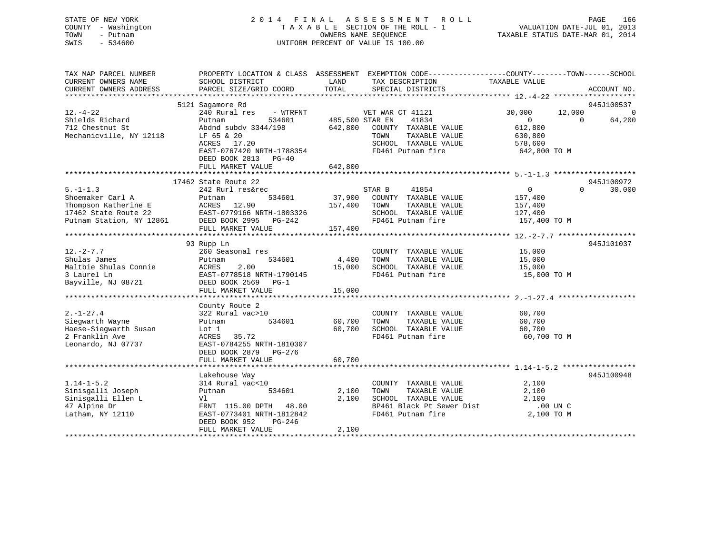# STATE OF NEW YORK 2 0 1 4 F I N A L A S S E S S M E N T R O L L PAGE 166 COUNTY - Washington T A X A B L E SECTION OF THE ROLL - 1 VALUATION DATE-JUL 01, 2013 TOWN - Putnam OWNERS NAME SEQUENCE TAXABLE STATUS DATE-MAR 01, 2014 SWIS - 534600 UNIFORM PERCENT OF VALUE IS 100.00

| TAX MAP PARCEL NUMBER<br>CURRENT OWNERS NAME<br>CURRENT OWNERS ADDRESS                                         | PROPERTY LOCATION & CLASS ASSESSMENT<br>SCHOOL DISTRICT<br>PARCEL SIZE/GRID COORD                                                                                                                     | LAND<br>TAX DESCRIPTION<br>TOTAL<br>SPECIAL DISTRICTS                                                                                                            | EXEMPTION CODE-----------------COUNTY-------TOWN------SCHOOL<br>TAXABLE VALUE<br>ACCOUNT NO.                                  |
|----------------------------------------------------------------------------------------------------------------|-------------------------------------------------------------------------------------------------------------------------------------------------------------------------------------------------------|------------------------------------------------------------------------------------------------------------------------------------------------------------------|-------------------------------------------------------------------------------------------------------------------------------|
| $12. - 4 - 22$<br>Shields Richard<br>712 Chestnut St<br>Mechanicville, NY 12118                                | 5121 Sagamore Rd<br>240 Rural res<br>- WTRFNT<br>Putnam<br>534601<br>Abdnd subdy 3344/198<br>LF 65 & 20<br>ACRES 17.20<br>EAST-0767420 NRTH-1788354<br>DEED BOOK 2813<br>$PG-40$<br>FULL MARKET VALUE | VET WAR CT 41121<br>41834<br>485,500 STAR EN<br>642,800<br>COUNTY TAXABLE VALUE<br>TAXABLE VALUE<br>TOWN<br>SCHOOL TAXABLE VALUE<br>FD461 Putnam fire<br>642,800 | 945J100537<br>30,000<br>12,000<br>$\Omega$<br>$\Omega$<br>64,200<br>$\Omega$<br>612,800<br>630,800<br>578,600<br>642,800 TO M |
| $5. - 1 - 1.3$<br>Shoemaker Carl A<br>Thompson Katherine E<br>17462 State Route 22<br>Putnam Station, NY 12861 | 17462 State Route 22<br>242 Rurl res&rec<br>534601<br>Putnam<br>ACRES<br>12.90<br>EAST-0779166 NRTH-1803326<br>DEED BOOK 2995 PG-242<br>FULL MARKET VALUE                                             | 41854<br>STAR B<br>37,900<br>COUNTY TAXABLE VALUE<br>157,400<br>TOWN<br>TAXABLE VALUE<br>SCHOOL TAXABLE VALUE<br>FD461 Putnam fire<br>157,400                    | 945J100972<br>$\overline{0}$<br>$\Omega$<br>30,000<br>157,400<br>157,400<br>127,400<br>157,400 TO M                           |
| $12. - 2 - 7.7$<br>Shulas James<br>Maltbie Shulas Connie<br>3 Laurel Ln<br>Bayville, NJ 08721                  | 93 Rupp Ln<br>260 Seasonal res<br>534601<br>Putnam<br>2.00<br>ACRES<br>EAST-0778518 NRTH-1790145<br>DEED BOOK 2569 PG-1<br>FULL MARKET VALUE                                                          | COUNTY TAXABLE VALUE<br>4,400<br>TOWN<br>TAXABLE VALUE<br>SCHOOL TAXABLE VALUE<br>15,000<br>FD461 Putnam fire<br>15,000                                          | 945J101037<br>15,000<br>15,000<br>15,000<br>15,000 TO M                                                                       |
| $2. - 1 - 27.4$<br>Siegwarth Wayne<br>Haese-Sieqwarth Susan<br>2 Franklin Ave<br>Leonardo, NJ 07737            | County Route 2<br>322 Rural vac>10<br>534601<br>Putnam<br>Lot 1<br>ACRES<br>35.72<br>EAST-0784255 NRTH-1810307<br>DEED BOOK 2879 PG-276<br>FULL MARKET VALUE                                          | COUNTY TAXABLE VALUE<br>60,700<br>TOWN<br>TAXABLE VALUE<br>60,700<br>SCHOOL TAXABLE VALUE<br>FD461 Putnam fire<br>60,700                                         | 60,700<br>60,700<br>60,700<br>60,700 TO M                                                                                     |
| $1.14 - 1 - 5.2$<br>Sinisgalli Joseph<br>Sinisgalli Ellen L<br>47 Alpine Dr<br>Latham, NY 12110                | Lakehouse Way<br>314 Rural vac<10<br>534601<br>Putnam<br>Vl<br>FRNT 115.00 DPTH 48.00<br>EAST-0773401 NRTH-1812842<br>DEED BOOK 952<br>PG-246<br>FULL MARKET VALUE                                    | COUNTY TAXABLE VALUE<br>TAXABLE VALUE<br>2,100<br>TOWN<br>2,100<br>SCHOOL TAXABLE VALUE<br>BP461 Black Pt Sewer Dist<br>FD461 Putnam fire<br>2,100               | 945J100948<br>2,100<br>2,100<br>2,100<br>.00 UN C<br>2,100 TO M                                                               |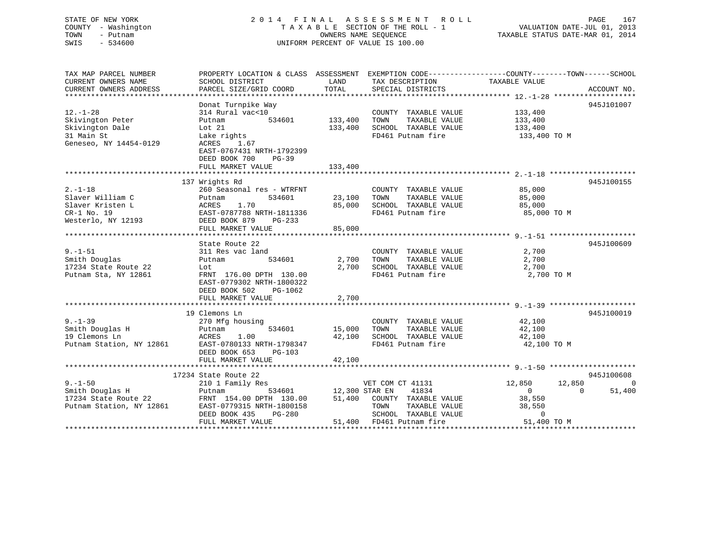# STATE OF NEW YORK 2 0 1 4 F I N A L A S S E S S M E N T R O L L PAGE 167 COUNTY - Washington T A X A B L E SECTION OF THE ROLL - 1 VALUATION DATE-JUL 01, 2013 TOWN - Putnam OWNERS NAME SEQUENCE TAXABLE STATUS DATE-MAR 01, 2014 SWIS - 534600 UNIFORM PERCENT OF VALUE IS 100.00

| TAX MAP PARCEL NUMBER                   | PROPERTY LOCATION & CLASS ASSESSMENT EXEMPTION CODE---------------COUNTY-------TOWN-----SCHOOL |                    |                                                                                                       |                          |                    |
|-----------------------------------------|------------------------------------------------------------------------------------------------|--------------------|-------------------------------------------------------------------------------------------------------|--------------------------|--------------------|
| CURRENT OWNERS NAME                     | SCHOOL DISTRICT                                                                                | LAND               | TAX DESCRIPTION                                                                                       | TAXABLE VALUE            |                    |
| CURRENT OWNERS ADDRESS                  | PARCEL SIZE/GRID COORD                                                                         | TOTAL              | SPECIAL DISTRICTS                                                                                     |                          | ACCOUNT NO.        |
|                                         | Donat Turnpike Way                                                                             |                    |                                                                                                       |                          | 945J101007         |
| $12. - 1 - 28$                          | 314 Rural vac<10                                                                               |                    | COUNTY TAXABLE VALUE 133,400                                                                          |                          |                    |
| Skivington Peter                        | Putnam                                                                                         | 534601 133,400     | TOWN                                                                                                  | TAXABLE VALUE 133,400    |                    |
| Skivington Dale                         | Lot 21                                                                                         | 133,400            | SCHOOL TAXABLE VALUE                                                                                  |                          |                    |
| 31 Main St                              | Lake rights                                                                                    |                    | FD461 Putnam fire                                                                                     | 133,400<br>133,400 TO M  |                    |
| Geneseo, NY 14454-0129                  | ACRES 1.67                                                                                     |                    |                                                                                                       |                          |                    |
|                                         | EAST-0767431 NRTH-1792399                                                                      |                    |                                                                                                       |                          |                    |
|                                         | DEED BOOK 700<br>$PG-39$                                                                       |                    |                                                                                                       |                          |                    |
|                                         | FULL MARKET VALUE                                                                              | 133,400            |                                                                                                       |                          |                    |
|                                         |                                                                                                |                    |                                                                                                       |                          |                    |
|                                         | 137 Wrights Rd                                                                                 |                    |                                                                                                       |                          | 945J100155         |
| $2. - 1 - 18$                           | 260 Seasonal res - WTRFNT                                                                      |                    | COUNTY TAXABLE VALUE 85,000                                                                           |                          |                    |
| Slaver William C                        |                                                                                                | 23,100 TOWN        |                                                                                                       | TAXABLE VALUE 85,000     |                    |
| Slaver Kristen L                        |                                                                                                |                    |                                                                                                       |                          |                    |
| $CR-1$ No. 19                           | Putnam 534601 23, 100<br>ACRES 1.70 85, 000<br>EAST-0787788 NRTH-1811336                       |                    | 85,000 SCHOOL TAXABLE VALUE<br>FD461 Putnam fire                                                      | 85,000<br>85,000 TO M    |                    |
|                                         | Westerlo, NY 12193 DEED BOOK 879 PG-233                                                        |                    |                                                                                                       |                          |                    |
|                                         | FULL MARKET VALUE                                                                              | 85,000             |                                                                                                       |                          |                    |
|                                         |                                                                                                |                    |                                                                                                       |                          |                    |
|                                         | State Route 22                                                                                 |                    |                                                                                                       |                          | 945J100609         |
| $9. - 1 - 51$                           | 311 Res vac land                                                                               |                    | COUNTY TAXABLE VALUE                                                                                  | 2,700                    |                    |
| Smith Douglas                           | 534601<br>Putnam                                                                               | 2,700              | TAXABLE VALUE<br>TOWN                                                                                 | 2,700                    |                    |
| 17234 State Route 22                    | Lot                                                                                            | 2,700              | SCHOOL TAXABLE VALUE                                                                                  | 2,700                    |                    |
| Putnam Sta, NY 12861                    | FRNT 176.00 DPTH 130.00                                                                        |                    | FD461 Putnam fire                                                                                     | 2,700 TO M               |                    |
|                                         | EAST-0779302 NRTH-1800322                                                                      |                    |                                                                                                       |                          |                    |
|                                         | DEED BOOK 502 PG-1062                                                                          |                    |                                                                                                       |                          |                    |
|                                         | FULL MARKET VALUE                                                                              | 2,700              |                                                                                                       |                          |                    |
|                                         |                                                                                                |                    |                                                                                                       |                          |                    |
|                                         | 19 Clemons Ln                                                                                  |                    |                                                                                                       |                          | 945J100019         |
|                                         | 270 Mfg housing                                                                                |                    | COUNTY TAXABLE VALUE 42,100                                                                           |                          |                    |
|                                         |                                                                                                | 534601 15,000 TOWN |                                                                                                       | TAXABLE VALUE 42,100     |                    |
|                                         | 1.00                                                                                           |                    | 42,100 SCHOOL TAXABLE VALUE                                                                           | 42,100                   |                    |
|                                         | Putnam Station, NY 12861 EAST-0780133 NRTH-1798347                                             |                    | FD461 Putnam fire                                                                                     | 42,100 TO M              |                    |
|                                         | DEED BOOK 653<br>PG-103                                                                        |                    |                                                                                                       |                          |                    |
|                                         | FULL MARKET VALUE                                                                              | 42,100             |                                                                                                       |                          |                    |
|                                         |                                                                                                |                    |                                                                                                       |                          |                    |
|                                         | 17234 State Route 22                                                                           |                    |                                                                                                       |                          | 945J100608         |
| $9. - 1 - 50$                           | 210 1 Family Res                                                                               |                    | VET COM CT 41131                                                                                      | 12,850 12,850            | 0                  |
| Smith Douglas H<br>17234 State Route 22 | Putnam                                                                                         |                    | 534601 12,300 STAR EN 41834<br>TH 130.00 51,400 COUNTY TAXABLE VALUE<br>TH-1800158 TOWN TAXABLE VALUE | $\overline{\phantom{a}}$ | $\Omega$<br>51,400 |
|                                         | FRNT 154.00 DPTH 130.00                                                                        |                    |                                                                                                       | 38,550                   |                    |
|                                         | Putnam Station, NY 12861 EAST-0779315 NRTH-1800158                                             |                    |                                                                                                       | TAXABLE VALUE 38,550     |                    |
|                                         | DEED BOOK 435<br>PG-280                                                                        |                    | SCHOOL TAXABLE VALUE<br>FD461 Putnam fire                                                             | $\Omega$                 |                    |
|                                         | FULL MARKET VALUE                                                                              |                    | 51,400 FD461 Putnam fire                                                                              | 51,400 TO M              |                    |
|                                         |                                                                                                |                    |                                                                                                       |                          |                    |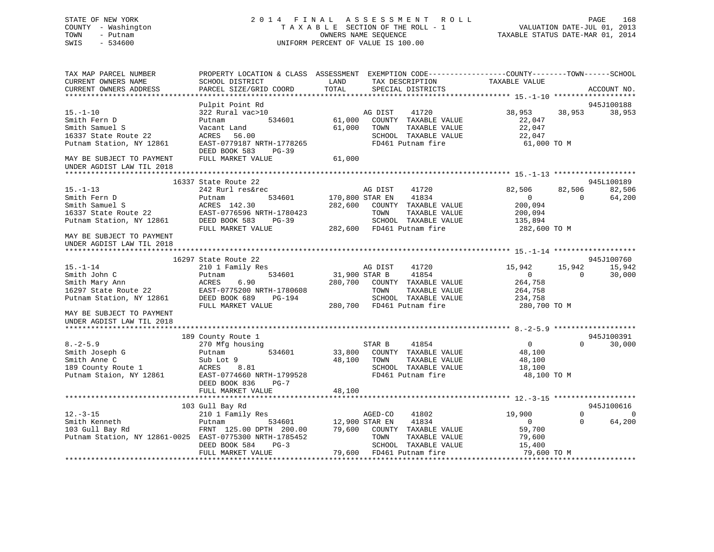# STATE OF NEW YORK 2 0 1 4 F I N A L A S S E S S M E N T R O L L PAGE 168 COUNTY - Washington T A X A B L E SECTION OF THE ROLL - 1 VALUATION DATE-JUL 01, 2013 TOWN - Putnam OWNERS NAME SEQUENCE TAXABLE STATUS DATE-MAR 01, 2014 SWIS - 534600 UNIFORM PERCENT OF VALUE IS 100.00

| TAX MAP PARCEL NUMBER<br>CURRENT OWNERS NAME<br>CURRENT OWNERS ADDRESS                                        | PROPERTY LOCATION & CLASS ASSESSMENT EXEMPTION CODE----------------COUNTY-------TOWN-----SCHOOL<br>SCHOOL DISTRICT<br>PARCEL SIZE/GRID COORD | LAND<br>TOTAL                      |                                    | TAX DESCRIPTION<br>SPECIAL DISTRICTS                                                                 | TAXABLE VALUE                                                         |                      | ACCOUNT NO.                            |
|---------------------------------------------------------------------------------------------------------------|----------------------------------------------------------------------------------------------------------------------------------------------|------------------------------------|------------------------------------|------------------------------------------------------------------------------------------------------|-----------------------------------------------------------------------|----------------------|----------------------------------------|
|                                                                                                               |                                                                                                                                              |                                    |                                    |                                                                                                      |                                                                       |                      |                                        |
| $15. - 1 - 10$<br>Smith Fern D<br>Smith Samuel S<br>16337 State Route 22<br>Putnam Station, NY 12861          | Pulpit Point Rd<br>322 Rural vac>10<br>534601<br>Putnam<br>Vacant Land<br>ACRES 56.00<br>EAST-0779187 NRTH-1778265                           | 61,000<br>61,000                   | AG DIST<br>TOWN                    | 41720<br>COUNTY TAXABLE VALUE<br>TAXABLE VALUE<br>SCHOOL TAXABLE VALUE<br>FD461 Putnam fire          | 38,953<br>22,047<br>22,047<br>22,047<br>61,000 TO M                   | 38,953               | 945J100188<br>38,953                   |
| MAY BE SUBJECT TO PAYMENT<br>UNDER AGDIST LAW TIL 2018                                                        | DEED BOOK 583<br>PG-39<br>FULL MARKET VALUE                                                                                                  | 61,000                             |                                    |                                                                                                      |                                                                       |                      |                                        |
|                                                                                                               | 16337 State Route 22                                                                                                                         |                                    |                                    |                                                                                                      |                                                                       |                      | 945L100189                             |
| $15. - 1 - 13$<br>Smith Fern D<br>Smith Samuel S<br>16337 State Route 22<br>Putnam Station, NY 12861          | 242 Rurl res&rec<br>Putnam<br>534601<br>ACRES 142.30<br>EAST-0776596 NRTH-1780423<br>DEED BOOK 583<br>PG-39                                  |                                    | AG DIST<br>170,800 STAR EN<br>TOWN | 41720<br>41834<br>282,600 COUNTY TAXABLE VALUE<br>TAXABLE VALUE<br>SCHOOL TAXABLE VALUE              | 82,506<br>$\overline{0}$<br>200,094<br>200,094<br>135,894             | 82,506<br>$\Omega$   | 82,506<br>64,200                       |
| MAY BE SUBJECT TO PAYMENT<br>UNDER AGDIST LAW TIL 2018                                                        | FULL MARKET VALUE                                                                                                                            |                                    |                                    | 282,600 FD461 Putnam fire                                                                            | 282,600 TO M                                                          |                      |                                        |
|                                                                                                               | 16297 State Route 22                                                                                                                         |                                    |                                    |                                                                                                      |                                                                       |                      | 945J100760                             |
| $15. - 1 - 14$                                                                                                | 210 1 Family Res                                                                                                                             |                                    | AG DIST                            | 41720                                                                                                | 15,942                                                                | 15,942               | 15,942                                 |
| Smith John C                                                                                                  | 534601<br>Putnam                                                                                                                             | 31,900 STAR B                      |                                    | 41854                                                                                                | $\overline{0}$                                                        | $\Omega$             | 30,000                                 |
| $Smith$ Mary Ann<br>$16227$ $C$                                                                               | 6.90<br>ACRES                                                                                                                                | 280,700                            |                                    | COUNTY TAXABLE VALUE                                                                                 | 264,758                                                               |                      |                                        |
| 16297 State Route 22                                                                                          | EAST-0775200 NRTH-1780608                                                                                                                    |                                    | TOWN                               | TAXABLE VALUE                                                                                        | 264,758                                                               |                      |                                        |
| Putnam Station, NY 12861                                                                                      | DEED BOOK 689<br>PG-194                                                                                                                      |                                    |                                    | SCHOOL TAXABLE VALUE                                                                                 | 234,758                                                               |                      |                                        |
| MAY BE SUBJECT TO PAYMENT<br>UNDER AGDIST LAW TIL 2018                                                        | FULL MARKET VALUE                                                                                                                            |                                    |                                    | 280,700 FD461 Putnam fire                                                                            | 280,700 TO M                                                          |                      |                                        |
|                                                                                                               | 189 County Route 1                                                                                                                           |                                    |                                    |                                                                                                      |                                                                       |                      | 945J100391                             |
| $8. - 2 - 5.9$<br>Smith Joseph G<br>Smith Anne C<br>189 County Route 1<br>Putnam Staion, NY 12861             | 270 Mfg housing<br>534601<br>Putnam<br>Sub Lot 9<br>ACRES<br>8.81<br>EAST-0774660 NRTH-1799528<br>DEED BOOK 836<br>$PG-7$                    | 33,800<br>48,100                   | STAR B<br>TOWN                     | 41854<br>COUNTY TAXABLE VALUE<br>TAXABLE VALUE<br>SCHOOL TAXABLE VALUE<br>FD461 Putnam fire          | $\overline{0}$<br>48,100<br>48,100<br>18,100<br>48,100 TO M           | $\Omega$             | 30,000                                 |
|                                                                                                               | FULL MARKET VALUE                                                                                                                            | 48,100                             |                                    |                                                                                                      |                                                                       |                      |                                        |
|                                                                                                               |                                                                                                                                              |                                    |                                    |                                                                                                      |                                                                       |                      |                                        |
| $12. - 3 - 15$<br>Smith Kenneth<br>103 Gull Bay Rd<br>Putnam Station, NY 12861-0025 EAST-0775300 NRTH-1785452 | 103 Gull Bay Rd<br>210 1 Family Res<br>534601<br>Putnam<br>FRNT 125.00 DPTH 200.00<br>DEED BOOK 584<br>$PG-3$<br>FULL MARKET VALUE           | 12,900 STAR EN<br>79,600<br>79,600 | AGED-CO<br>TOWN                    | 41802<br>41834<br>COUNTY TAXABLE VALUE<br>TAXABLE VALUE<br>SCHOOL TAXABLE VALUE<br>FD461 Putnam fire | 19,900<br>$\overline{0}$<br>59,700<br>79,600<br>15,400<br>79,600 TO M | $\Omega$<br>$\Omega$ | 945J100616<br>$\overline{0}$<br>64,200 |
|                                                                                                               |                                                                                                                                              |                                    |                                    |                                                                                                      |                                                                       |                      |                                        |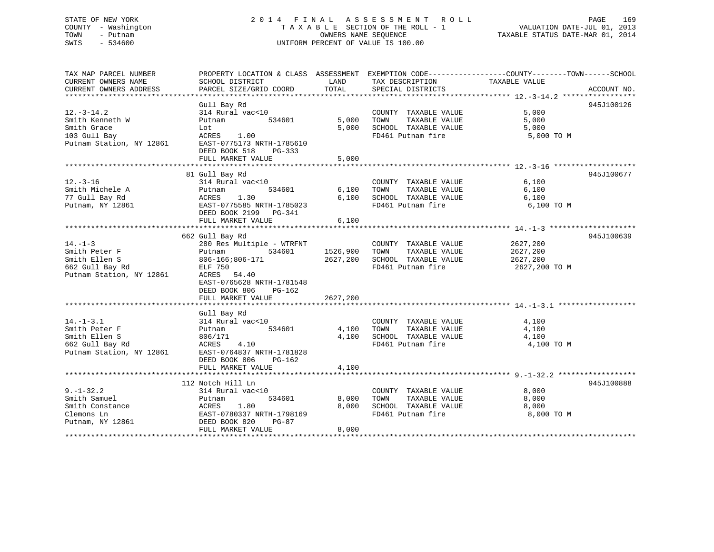# STATE OF NEW YORK 2 0 1 4 F I N A L A S S E S S M E N T R O L L PAGE 169 COUNTY - Washington T A X A B L E SECTION OF THE ROLL - 1 VALUATION DATE-JUL 01, 2013 TOWN - Putnam OWNERS NAME SEQUENCE TAXABLE STATUS DATE-MAR 01, 2014 SWIS - 534600 UNIFORM PERCENT OF VALUE IS 100.00UNIFORM PERCENT OF VALUE IS 100.00

| TAX MAP PARCEL NUMBER                        | PROPERTY LOCATION & CLASS ASSESSMENT EXEMPTION CODE---------------COUNTY-------TOWN-----SCHOOL |          |                                                                     |               |             |
|----------------------------------------------|------------------------------------------------------------------------------------------------|----------|---------------------------------------------------------------------|---------------|-------------|
| CURRENT OWNERS NAME                          | SCHOOL DISTRICT                                                                                | LAND     | TAX DESCRIPTION                                                     | TAXABLE VALUE |             |
| CURRENT OWNERS ADDRESS                       | PARCEL SIZE/GRID COORD                                                                         | TOTAL    | SPECIAL DISTRICTS                                                   |               | ACCOUNT NO. |
|                                              |                                                                                                |          |                                                                     |               |             |
| $12.-3-14.2$                                 | Gull Bay Rd<br>314 Rural vac<10                                                                |          | COUNTY TAXABLE VALUE                                                | 5,000         | 945J100126  |
| Smith Kenneth W                              | 534601<br>Putnam                                                                               | 5,000    | TOWN                                                                | 5,000         |             |
| Smith Grace                                  | Lot                                                                                            |          | TAXABLE VALUE                                                       |               |             |
| 103 Gull Bay                                 | ACRES 1.00                                                                                     |          | 5,000 SCHOOL TAXABLE VALUE 5,000 5,000 FD461 Putnam fire 5,000 TO M |               |             |
| Putnam Station, NY 12861                     | EAST-0775173 NRTH-1785610                                                                      |          |                                                                     |               |             |
|                                              | DEED BOOK 518<br>PG-333                                                                        |          |                                                                     |               |             |
|                                              | FULL MARKET VALUE                                                                              | 5,000    |                                                                     |               |             |
|                                              |                                                                                                |          |                                                                     |               |             |
|                                              | 81 Gull Bay Rd                                                                                 |          |                                                                     |               | 945J100677  |
| $12. -3 - 16$                                | 314 Rural vac<10                                                                               |          | COUNTY TAXABLE VALUE                                                | 6,100         |             |
| Smith Michele A                              | 534601<br>Putnam                                                                               | 6,100    | TAXABLE VALUE<br>TOWN                                               | 6,100         |             |
| 77 Gull Bay Rd                               | ACRES 1.30<br>EAST-0775585 NRTH-1785023                                                        |          | 6,100 SCHOOL TAXABLE VALUE 6,100<br>FD461 Putnam fire 6 100         |               |             |
| Putnam, NY 12861                             |                                                                                                |          | FD461 Putnam fire                                                   | 6,100 TO M    |             |
|                                              | DEED BOOK 2199 PG-341                                                                          |          |                                                                     |               |             |
|                                              | FULL MARKET VALUE                                                                              | 6,100    |                                                                     |               |             |
|                                              | 662 Gull Bay Rd                                                                                |          |                                                                     |               | 945J100639  |
| $14. - 1 - 3$                                | 280 Res Multiple - WTRFNT                                                                      |          | COUNTY TAXABLE VALUE                                                | 2627,200      |             |
| Smith Peter F                                | 534601<br>Putnam                                                                               | 1526,900 | TAXABLE VALUE<br>TOWN                                               | 2627,200      |             |
| Smith Ellen S                                | 806-166;806-171                                                                                | 2627,200 | SCHOOL TAXABLE VALUE                                                | 2627, 200     |             |
| 662 Gull Bay Rd                              | ELF 750                                                                                        |          | FD461 Putnam fire                                                   | 2627,200 TO M |             |
| Putnam Station, NY 12861                     | 54.40<br>ACRES                                                                                 |          |                                                                     |               |             |
|                                              | EAST-0765628 NRTH-1781548                                                                      |          |                                                                     |               |             |
|                                              | DEED BOOK 806 PG-162                                                                           |          |                                                                     |               |             |
|                                              | FULL MARKET VALUE                                                                              | 2627,200 |                                                                     |               |             |
|                                              |                                                                                                |          |                                                                     |               |             |
| $14. - 1 - 3.1$                              | Gull Bay Rd<br>314 Rural vac<10                                                                |          | COUNTY TAXABLE VALUE                                                | 4,100         |             |
| Smith Peter F                                | 534601<br>Putnam                                                                               |          | TAXABLE VALUE<br>4,100 TOWN                                         | 4,100         |             |
| Smith Ellen S                                | 806/171                                                                                        |          | 4,100 SCHOOL TAXABLE VALUE                                          | 4,100         |             |
| 662 Gull Bay Rd                              | ACRES 4.10                                                                                     |          | FD461 Putnam fire                                                   | 4,100 TO M    |             |
| Putnam Station, NY 12861                     | EAST-0764837 NRTH-1781828                                                                      |          |                                                                     |               |             |
|                                              | DEED BOOK 806<br>PG-162                                                                        |          |                                                                     |               |             |
|                                              | FULL MARKET VALUE                                                                              | 4,100    |                                                                     |               |             |
|                                              |                                                                                                |          |                                                                     |               |             |
|                                              | 112 Notch Hill Ln                                                                              |          |                                                                     |               | 945J100888  |
| $9. - 1 - 32.2$                              | 314 Rural vac<10                                                                               |          | COUNTY TAXABLE VALUE                                                | 8,000         |             |
| Smith Samuel                                 | 534601<br>Putnam                                                                               | 8,000    | TAXABLE VALUE<br>TOWN                                               | 8,000         |             |
| Smith Constance                              | ACRES<br>1.80                                                                                  | 8,000    | SCHOOL TAXABLE VALUE                                                | 8,000         |             |
| Clemons Ln<br>Clemons Ln<br>Putnam, NY 12861 | EAST-0780337 NRTH-1798169                                                                      |          | FD461 Putnam fire                                                   | 8,000 TO M    |             |
|                                              | DEED BOOK 820<br>PG-87                                                                         |          |                                                                     |               |             |
|                                              | FULL MARKET VALUE                                                                              | 8,000    |                                                                     |               |             |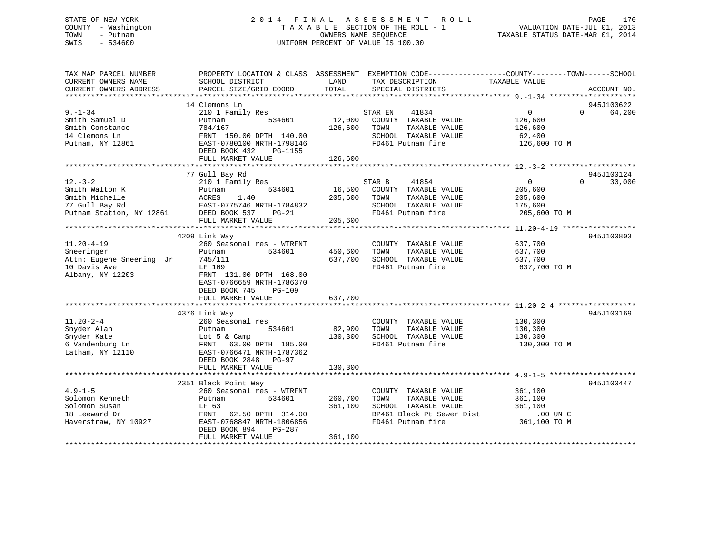# STATE OF NEW YORK 2 0 1 4 F I N A L A S S E S S M E N T R O L L PAGE 170 COUNTY - Washington T A X A B L E SECTION OF THE ROLL - 1 VALUATION DATE-JUL 01, 2013 TOWN - Putnam OWNERS NAME SEQUENCE TAXABLE STATUS DATE-MAR 01, 2014 SWIS - 534600 UNIFORM PERCENT OF VALUE IS 100.00

| TAX MAP PARCEL NUMBER<br>CURRENT OWNERS NAME<br>CURRENT OWNERS ADDRESS | SCHOOL DISTRICT<br>PARCEL SIZE/GRID COORD | LAND<br>TOTAL | PROPERTY LOCATION & CLASS ASSESSMENT EXEMPTION CODE----------------COUNTY-------TOWN------SCHOOL<br>TAX DESCRIPTION<br>SPECIAL DISTRICTS | TAXABLE VALUE  | ACCOUNT NO.        |
|------------------------------------------------------------------------|-------------------------------------------|---------------|------------------------------------------------------------------------------------------------------------------------------------------|----------------|--------------------|
|                                                                        |                                           |               |                                                                                                                                          |                |                    |
|                                                                        | 14 Clemons Ln                             |               |                                                                                                                                          |                | 945J100622         |
| $9. - 1 - 34$                                                          | 210 1 Family Res                          |               | 41834<br>STAR EN                                                                                                                         | 0              | 64,200<br>$\Omega$ |
| Smith Samuel D                                                         | 534601<br>Putnam                          | 12,000        | COUNTY TAXABLE VALUE                                                                                                                     | 126,600        |                    |
| Smith Constance                                                        | 784/167                                   | 126,600       | TOWN<br>TAXABLE VALUE                                                                                                                    | 126,600        |                    |
| 14 Clemons Ln                                                          | FRNT 150.00 DPTH 140.00                   |               | SCHOOL TAXABLE VALUE                                                                                                                     | 62,400         |                    |
| Putnam, NY 12861                                                       | EAST-0780100 NRTH-1798146                 |               | FD461 Putnam fire                                                                                                                        | 126,600 TO M   |                    |
|                                                                        | DEED BOOK 432<br>PG-1155                  |               |                                                                                                                                          |                |                    |
|                                                                        | FULL MARKET VALUE                         | 126,600       |                                                                                                                                          |                |                    |
|                                                                        |                                           |               |                                                                                                                                          |                |                    |
|                                                                        | 77 Gull Bay Rd                            |               |                                                                                                                                          |                | 945J100124         |
| $12. - 3 - 2$                                                          | 210 1 Family Res                          |               | STAR B<br>41854                                                                                                                          | $\overline{0}$ | 30,000<br>$\Omega$ |
| Smith Walton K                                                         | 534601<br>Putnam                          | 16,500        | COUNTY TAXABLE VALUE                                                                                                                     | 205,600        |                    |
| Smith Michelle                                                         | ACRES<br>1.40                             | 205,600       | TAXABLE VALUE<br>TOWN                                                                                                                    | 205,600        |                    |
| 77 Gull Bay Rd                                                         | EAST-0775746 NRTH-1784832                 |               | SCHOOL TAXABLE VALUE                                                                                                                     | 175,600        |                    |
| Putnam Station, NY 12861                                               | DEED BOOK 537<br>$PG-21$                  |               | FD461 Putnam fire                                                                                                                        | 205,600 TO M   |                    |
|                                                                        | FULL MARKET VALUE                         | 205,600       |                                                                                                                                          |                |                    |
|                                                                        |                                           |               |                                                                                                                                          |                |                    |
|                                                                        | 4209 Link Way                             |               |                                                                                                                                          |                | 945J100803         |
| $11.20 - 4 - 19$                                                       | 260 Seasonal res - WTRFNT                 |               | COUNTY TAXABLE VALUE                                                                                                                     | 637,700        |                    |
| Sneeringer                                                             | 534601<br>Putnam                          | 450,600       | TAXABLE VALUE<br>TOWN                                                                                                                    | 637,700        |                    |
| Attn: Eugene Sneering Jr                                               | 745/111                                   | 637,700       | SCHOOL TAXABLE VALUE                                                                                                                     | 637,700        |                    |
| 10 Davis Ave                                                           | LF 109                                    |               | FD461 Putnam fire                                                                                                                        | 637,700 TO M   |                    |
| Albany, NY 12203                                                       | FRNT 131.00 DPTH 168.00                   |               |                                                                                                                                          |                |                    |
|                                                                        | EAST-0766659 NRTH-1786370                 |               |                                                                                                                                          |                |                    |
|                                                                        | DEED BOOK 745<br>PG-109                   |               |                                                                                                                                          |                |                    |
|                                                                        | FULL MARKET VALUE                         | 637,700       |                                                                                                                                          |                |                    |
|                                                                        | 4376 Link Way                             |               |                                                                                                                                          |                | 945J100169         |
| $11.20 - 2 - 4$                                                        | 260 Seasonal res                          |               | COUNTY TAXABLE VALUE                                                                                                                     | 130,300        |                    |
| Snyder Alan                                                            | 534601<br>Putnam                          | 82,900        | TOWN<br>TAXABLE VALUE                                                                                                                    | 130,300        |                    |
| Snyder Kate                                                            | Lot $5 \&$ Camp                           | 130,300       | SCHOOL TAXABLE VALUE                                                                                                                     | 130,300        |                    |
| 6 Vandenburg Ln                                                        | FRNT 63.00 DPTH 185.00                    |               | FD461 Putnam fire                                                                                                                        | 130,300 TO M   |                    |
| Latham, NY 12110                                                       | EAST-0766471 NRTH-1787362                 |               |                                                                                                                                          |                |                    |
|                                                                        | DEED BOOK 2848<br>PG-97                   |               |                                                                                                                                          |                |                    |
|                                                                        | FULL MARKET VALUE                         | 130,300       |                                                                                                                                          |                |                    |
|                                                                        |                                           |               |                                                                                                                                          |                |                    |
|                                                                        | 2351 Black Point Way                      |               |                                                                                                                                          |                | 945J100447         |
| $4.9 - 1 - 5$                                                          | 260 Seasonal res - WTRFNT                 |               | COUNTY TAXABLE VALUE                                                                                                                     | 361,100        |                    |
| Solomon Kenneth                                                        | 534601<br>Putnam                          | 260,700       | TOWN<br>TAXABLE VALUE                                                                                                                    | 361,100        |                    |
| Solomon Susan                                                          | LF 63                                     | 361,100       | SCHOOL TAXABLE VALUE                                                                                                                     | 361,100        |                    |
| 18 Leeward Dr                                                          | 62.50 DPTH 314.00<br>FRNT                 |               | BP461 Black Pt Sewer Dist                                                                                                                | .00 UN C       |                    |
| Haverstraw, NY 10927                                                   | EAST-0768847 NRTH-1806856                 |               | FD461 Putnam fire                                                                                                                        | 361,100 TO M   |                    |
|                                                                        | DEED BOOK 894<br>PG-287                   |               |                                                                                                                                          |                |                    |
|                                                                        | FULL MARKET VALUE                         | 361,100       |                                                                                                                                          |                |                    |
|                                                                        |                                           |               |                                                                                                                                          |                |                    |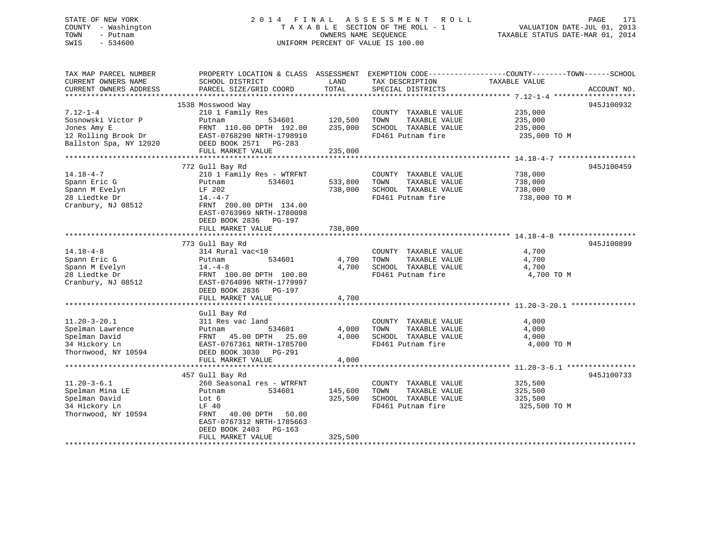# STATE OF NEW YORK 2 0 1 4 F I N A L A S S E S S M E N T R O L L PAGE 171 COUNTY - Washington T A X A B L E SECTION OF THE ROLL - 1 VALUATION DATE-JUL 01, 2013 TOWN - Putnam OWNERS NAME SEQUENCE TAXABLE STATUS DATE-MAR 01, 2014 SWIS - 534600 UNIFORM PERCENT OF VALUE IS 100.00

| TAX MAP PARCEL NUMBER<br>CURRENT OWNERS NAME<br>CURRENT OWNERS ADDRESS                          | PROPERTY LOCATION & CLASS ASSESSMENT<br>SCHOOL DISTRICT<br>PARCEL SIZE/GRID COORD                                                                                                         | LAND<br>TOTAL                 | TAX DESCRIPTION<br>SPECIAL DISTRICTS                                                       | EXEMPTION CODE----------------COUNTY-------TOWN------SCHOOL<br>TAXABLE VALUE | ACCOUNT NO. |
|-------------------------------------------------------------------------------------------------|-------------------------------------------------------------------------------------------------------------------------------------------------------------------------------------------|-------------------------------|--------------------------------------------------------------------------------------------|------------------------------------------------------------------------------|-------------|
| *************************                                                                       |                                                                                                                                                                                           |                               |                                                                                            |                                                                              |             |
| $7.12 - 1 - 4$<br>Sosnowski Victor P<br>Jones Amy E                                             | 1538 Mosswood Way<br>210 1 Family Res<br>534601<br>Putnam<br>FRNT 110.00 DPTH 192.00                                                                                                      | 120,500<br>235,000            | COUNTY TAXABLE VALUE<br>TOWN<br>TAXABLE VALUE<br>SCHOOL TAXABLE VALUE                      | 235,000<br>235,000<br>235,000                                                | 945J100932  |
| 12 Rolling Brook Dr<br>Ballston Spa, NY 12020                                                   | EAST-0768290 NRTH-1798910<br>DEED BOOK 2571 PG-283<br>FULL MARKET VALUE                                                                                                                   | 235,000                       | FD461 Putnam fire                                                                          | 235,000 TO M                                                                 |             |
| *************************                                                                       |                                                                                                                                                                                           |                               |                                                                                            |                                                                              |             |
| $14.18 - 4 - 7$<br>Spann Eric G<br>Spann M Evelyn<br>28 Liedtke Dr<br>Cranbury, NJ 08512        | 772 Gull Bay Rd<br>210 1 Family Res - WTRFNT<br>534601<br>Putnam<br>LF 202<br>$14. -4 -7$<br>FRNT 200.00 DPTH 134.00                                                                      | 533,800<br>738,000            | COUNTY TAXABLE VALUE<br>TAXABLE VALUE<br>TOWN<br>SCHOOL TAXABLE VALUE<br>FD461 Putnam fire | 738,000<br>738,000<br>738,000<br>738,000 TO M                                | 945J100459  |
|                                                                                                 | EAST-0763969 NRTH-1780098<br>DEED BOOK 2836<br>PG-197<br>FULL MARKET VALUE                                                                                                                | 738,000                       |                                                                                            |                                                                              |             |
|                                                                                                 |                                                                                                                                                                                           |                               |                                                                                            |                                                                              | 945J100899  |
| $14.18 - 4 - 8$<br>Spann Eric G<br>Spann M Evelyn<br>28 Liedtke Dr<br>Cranbury, NJ 08512        | 773 Gull Bay Rd<br>314 Rural vac<10<br>534601<br>Putnam<br>$14. - 4 - 8$<br>FRNT 100.00 DPTH 100.00<br>EAST-0764096 NRTH-1779997<br>DEED BOOK 2836 PG-197                                 | 4,700<br>4,700                | COUNTY TAXABLE VALUE<br>TOWN<br>TAXABLE VALUE<br>SCHOOL TAXABLE VALUE<br>FD461 Putnam fire | 4,700<br>4,700<br>4,700<br>4,700 TO M                                        |             |
|                                                                                                 | FULL MARKET VALUE                                                                                                                                                                         | 4,700                         |                                                                                            |                                                                              |             |
| $11.20 - 3 - 20.1$<br>Spelman Lawrence<br>Spelman David<br>34 Hickory Ln<br>Thornwood, NY 10594 | Gull Bay Rd<br>311 Res vac land<br>534601<br>Putnam<br>FRNT 45.00 DPTH<br>25.00<br>EAST-0767361 NRTH-1785700<br>DEED BOOK 3030 PG-291                                                     | 4,000<br>4,000                | COUNTY TAXABLE VALUE<br>TOWN<br>TAXABLE VALUE<br>SCHOOL TAXABLE VALUE<br>FD461 Putnam fire | 4,000<br>4,000<br>4,000<br>4,000 TO M                                        |             |
|                                                                                                 | FULL MARKET VALUE                                                                                                                                                                         | 4,000                         |                                                                                            |                                                                              |             |
|                                                                                                 |                                                                                                                                                                                           |                               |                                                                                            |                                                                              |             |
| $11.20 - 3 - 6.1$<br>Spelman Mina LE<br>Spelman David<br>34 Hickory Ln<br>Thornwood, NY 10594   | 457 Gull Bay Rd<br>260 Seasonal res - WTRFNT<br>534601<br>Putnam<br>Lot 6<br>LF 40<br>FRNT<br>40.00 DPTH 50.00<br>EAST-0767312 NRTH-1785663<br>DEED BOOK 2403 PG-163<br>FULL MARKET VALUE | 145,600<br>325,500<br>325,500 | COUNTY TAXABLE VALUE<br>TOWN<br>TAXABLE VALUE<br>SCHOOL TAXABLE VALUE<br>FD461 Putnam fire | 325,500<br>325,500<br>325,500<br>325,500 TO M                                | 945J100733  |
|                                                                                                 |                                                                                                                                                                                           |                               |                                                                                            |                                                                              |             |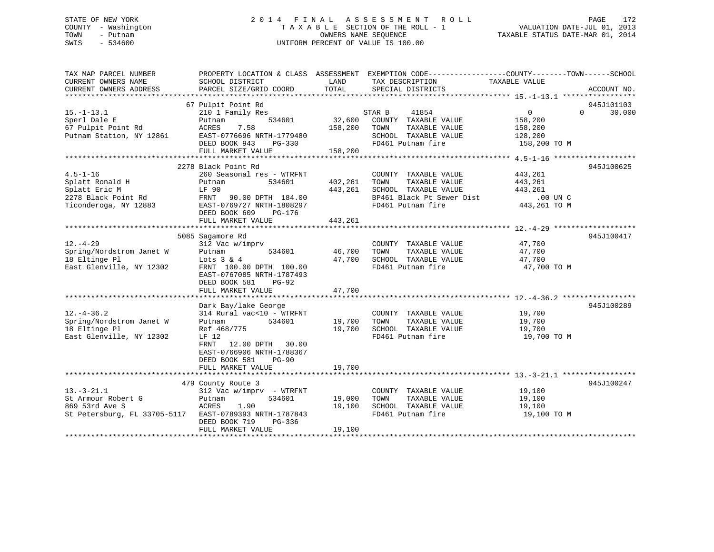# STATE OF NEW YORK 2 0 1 4 F I N A L A S S E S S M E N T R O L L PAGE 172 COUNTY - Washington T A X A B L E SECTION OF THE ROLL - 1 VALUATION DATE-JUL 01, 2013 TOWN - Putnam OWNERS NAME SEQUENCE TAXABLE STATUS DATE-MAR 01, 2014 SWIS - 534600 UNIFORM PERCENT OF VALUE IS 100.00

| TAX MAP PARCEL NUMBER<br>CURRENT OWNERS NAME<br>CURRENT OWNERS ADDRESS                             | SCHOOL DISTRICT<br>PARCEL SIZE/GRID COORD                                                                                                                                                               | LAND<br>TOTAL                 | PROPERTY LOCATION & CLASS ASSESSMENT EXEMPTION CODE----------------COUNTY-------TOWN------SCHOOL<br>TAX DESCRIPTION<br>SPECIAL DISTRICTS | TAXABLE VALUE                                                      | ACCOUNT NO.                      |
|----------------------------------------------------------------------------------------------------|---------------------------------------------------------------------------------------------------------------------------------------------------------------------------------------------------------|-------------------------------|------------------------------------------------------------------------------------------------------------------------------------------|--------------------------------------------------------------------|----------------------------------|
| $15. - 1 - 13.1$<br>Sperl Dale E<br>67 Pulpit Point Rd<br>Putnam Station, NY 12861                 | 67 Pulpit Point Rd<br>210 1 Family Res<br>534601<br>Putnam<br>7.58<br>ACRES<br>EAST-0776696 NRTH-1779480<br>DEED BOOK 943<br>PG-330<br>FULL MARKET VALUE                                                | 32,600<br>158,200<br>158,200  | 41854<br>STAR B<br>COUNTY TAXABLE VALUE<br>TOWN<br>TAXABLE VALUE<br>SCHOOL TAXABLE VALUE<br>FD461 Putnam fire                            | $0 \qquad \qquad$<br>158,200<br>158,200<br>128,200<br>158,200 TO M | 945J101103<br>$\Omega$<br>30,000 |
| $4.5 - 1 - 16$<br>Splatt Ronald H<br>Splatt Eric M<br>2278 Black Point Rd<br>Ticonderoga, NY 12883 | 2278 Black Point Rd<br>260 Seasonal res - WTRFNT<br>Putnam<br>534601<br>LF 90<br>FRNT 90.00 DPTH 184.00<br>EAST-0769727 NRTH-1808297<br>DEED BOOK 609<br>PG-176<br>FULL MARKET VALUE                    | 402,261<br>443,261<br>443,261 | COUNTY TAXABLE VALUE<br>TAXABLE VALUE<br>TOWN<br>SCHOOL TAXABLE VALUE<br>BP461 Black Pt Sewer Dist<br>FD461 Putnam fire                  | 443,261<br>443,261<br>443,261<br>$.00$ UN C<br>443,261 TO M        | 945J100625                       |
| $12. - 4 - 29$<br>Spring/Nordstrom Janet W<br>18 Eltinge Pl<br>East Glenville, NY 12302            | 5085 Sagamore Rd<br>312 Vac w/imprv<br>Putnam<br>534601<br>Lots $3 \& 4$<br>FRNT 100.00 DPTH 100.00<br>EAST-0767085 NRTH-1787493<br>DEED BOOK 581<br>PG-92<br>FULL MARKET VALUE                         | 46,700<br>47,700<br>47,700    | COUNTY TAXABLE VALUE<br>TAXABLE VALUE<br>TOWN<br>SCHOOL TAXABLE VALUE<br>FD461 Putnam fire                                               | 47,700<br>47,700<br>47,700<br>47,700 TO M                          | 945J100417                       |
| $12. - 4 - 36.2$<br>Spring/Nordstrom Janet W<br>18 Eltinge Pl<br>East Glenville, NY 12302          | Dark Bay/lake George<br>314 Rural vac<10 - WTRFNT<br>534601<br>Putnam<br>Ref 468/775<br>LF 12<br>12.00 DPTH 30.00<br>FRNT<br>EAST-0766906 NRTH-1788367<br>DEED BOOK 581<br>$PG-90$<br>FULL MARKET VALUE | 19,700<br>19,700<br>19,700    | COUNTY TAXABLE VALUE<br>TAXABLE VALUE<br>TOWN<br>SCHOOL TAXABLE VALUE<br>FD461 Putnam fire                                               | 19,700<br>19,700<br>19,700<br>19,700 TO M                          | 945J100289                       |
| $13.-3-21.1$<br>St Armour Robert G<br>869 53rd Ave S                                               | 479 County Route 3<br>312 Vac w/imprv - WTRFNT<br>534601<br>Putnam<br>1.90<br>ACRES<br>St Petersburg, FL 33705-5117 EAST-0789393 NRTH-1787843<br>DEED BOOK 719<br>PG-336<br>FULL MARKET VALUE           | 19,000<br>19,100<br>19,100    | COUNTY TAXABLE VALUE<br>TAXABLE VALUE<br>TOWN<br>SCHOOL TAXABLE VALUE<br>FD461 Putnam fire                                               | 19,100<br>19,100<br>19,100<br>19,100 TO M                          | 945J100247                       |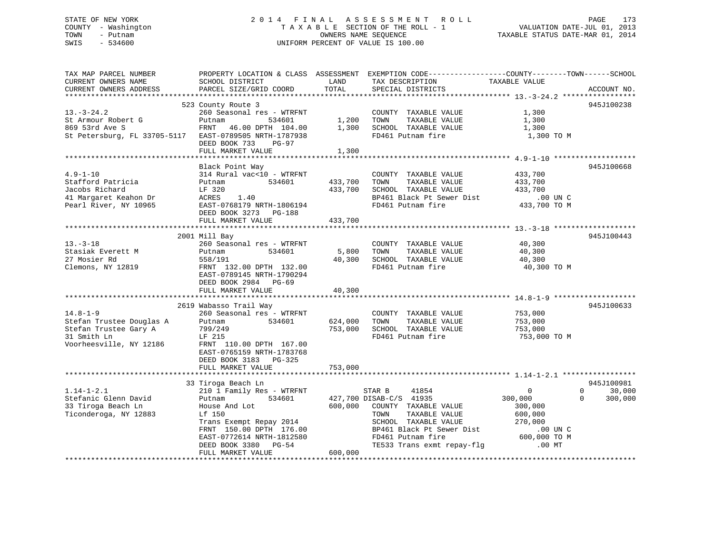# STATE OF NEW YORK 2 0 1 4 F I N A L A S S E S S M E N T R O L L PAGE 173 COUNTY - Washington T A X A B L E SECTION OF THE ROLL - 1 VALUATION DATE-JUL 01, 2013 TOWN - Putnam **CONNERS NAME SEQUENCE** TAXABLE STATUS DATE-MAR 01, 2014 SWIS - 534600 UNIFORM PERCENT OF VALUE IS 100.00

| ACCOUNT NO.              |
|--------------------------|
| 945J100238               |
|                          |
| 945J100668               |
|                          |
|                          |
| 945J100443<br>945J100633 |
|                          |
| 945J100981               |
| 30,000<br>300,000        |
|                          |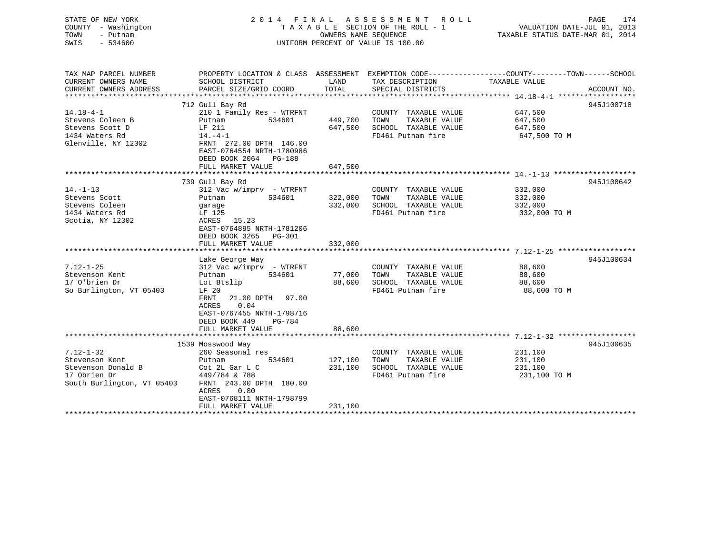| STATE OF NEW YORK<br>COUNTY - Washington<br>TOWN<br>- Putnam<br>SWIS<br>$-534600$                     | 2014 FINAL ASSESSMENT<br>TAXABLE SECTION OF THE ROLL - 1<br>UNIFORM PERCENT OF VALUE IS 100.00                                                                                                                                               | R O L L<br>PAGE<br>174<br>VALUATION DATE-JUL 01, 2013<br>TAXABLE STATUS DATE-MAR 01, 2014 |                                                                                            |                                                                                                                                 |
|-------------------------------------------------------------------------------------------------------|----------------------------------------------------------------------------------------------------------------------------------------------------------------------------------------------------------------------------------------------|-------------------------------------------------------------------------------------------|--------------------------------------------------------------------------------------------|---------------------------------------------------------------------------------------------------------------------------------|
| TAX MAP PARCEL NUMBER<br>CURRENT OWNERS NAME<br>CURRENT OWNERS ADDRESS<br>**********************      | SCHOOL DISTRICT<br>PARCEL SIZE/GRID COORD                                                                                                                                                                                                    | LAND<br>TOTAL                                                                             | TAX DESCRIPTION<br>SPECIAL DISTRICTS                                                       | PROPERTY LOCATION & CLASS ASSESSMENT EXEMPTION CODE---------------COUNTY-------TOWN------SCHOOL<br>TAXABLE VALUE<br>ACCOUNT NO. |
| $14.18 - 4 - 1$<br>Stevens Coleen B<br>Stevens Scott D<br>1434 Waters Rd<br>Glenville, NY 12302       | 712 Gull Bay Rd<br>210 1 Family Res - WTRFNT<br>Putnam<br>534601<br>LF 211<br>$14. -4 - 1$<br>FRNT 272.00 DPTH 146.00<br>EAST-0764554 NRTH-1780986<br>DEED BOOK 2064 PG-188<br>FULL MARKET VALUE                                             | 449,700<br>647,500<br>647,500                                                             | COUNTY TAXABLE VALUE<br>TOWN<br>TAXABLE VALUE<br>SCHOOL TAXABLE VALUE<br>FD461 Putnam fire | 945J100718<br>647,500<br>647,500<br>647,500<br>647,500 TO M                                                                     |
| $14. - 1 - 13$<br>Stevens Scott<br>Stevens Coleen<br>1434 Waters Rd<br>Scotia, NY 12302               | 739 Gull Bay Rd<br>$312$ Vac w/imprv - WTRFNT<br>534601<br>Putnam<br>garage<br>LF 125<br>ACRES 15.23<br>EAST-0764895 NRTH-1781206<br>DEED BOOK 3265 PG-301<br>FULL MARKET VALUE                                                              | 322,000<br>332,000<br>332,000                                                             | COUNTY TAXABLE VALUE<br>TOWN<br>TAXABLE VALUE<br>SCHOOL TAXABLE VALUE<br>FD461 Putnam fire | 945J100642<br>332,000<br>332,000<br>332,000<br>332,000 TO M                                                                     |
| $7.12 - 1 - 25$<br>Stevenson Kent<br>17 O'brien Dr<br>So Burlington, VT 05403                         | Lake George Way<br>312 Vac w/imprv - WTRFNT<br>Putnam<br>534601<br>Lot Btslip<br>LF 20<br>FRNT<br>21.00 DPTH 97.00<br>0.04<br>ACRES<br>EAST-0767455 NRTH-1798716<br>DEED BOOK 449<br>PG-784<br>FULL MARKET VALUE<br>************************ | 77,000<br>88,600<br>88,600<br>********************                                        | COUNTY TAXABLE VALUE<br>TAXABLE VALUE<br>TOWN<br>SCHOOL TAXABLE VALUE<br>FD461 Putnam fire | 945J100634<br>88,600<br>88,600<br>88,600<br>88,600 TO M                                                                         |
| $7.12 - 1 - 32$<br>Stevenson Kent<br>Stevenson Donald B<br>17 Obrien Dr<br>South Burlington, VT 05403 | 1539 Mosswood Way<br>260 Seasonal res<br>Putnam<br>534601<br>Cot 2L Gar L C<br>449/784 & 788<br>FRNT 243.00 DPTH 180.00<br>ACRES<br>0.80<br>EAST-0768111 NRTH-1798799<br>FULL MARKET VALUE                                                   | 127,100<br>231,100<br>231,100                                                             | COUNTY TAXABLE VALUE<br>TOWN<br>TAXABLE VALUE<br>SCHOOL TAXABLE VALUE<br>FD461 Putnam fire | 945J100635<br>231,100<br>231,100<br>231,100<br>231,100 TO M                                                                     |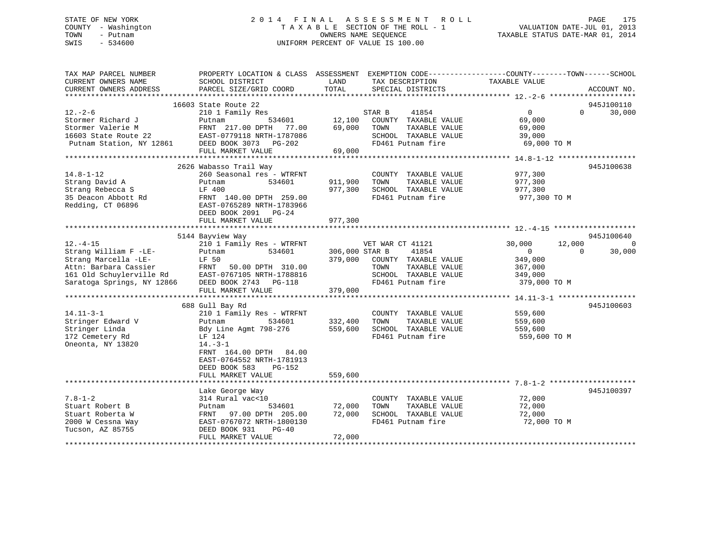# STATE OF NEW YORK 2 0 1 4 F I N A L A S S E S S M E N T R O L L PAGE 175 COUNTY - Washington T A X A B L E SECTION OF THE ROLL - 1 VALUATION DATE-JUL 01, 2013 TOWN - Putnam OWNERS NAME SEQUENCE TAXABLE STATUS DATE-MAR 01, 2014 SWIS - 534600 UNIFORM PERCENT OF VALUE IS 100.00

| TAX MAP PARCEL NUMBER<br>CURRENT OWNERS NAME<br>CURRENT OWNERS ADDRESS | PROPERTY LOCATION & CLASS ASSESSMENT<br>SCHOOL DISTRICT<br>PARCEL SIZE/GRID COORD | LAND<br>TOTAL  | EXEMPTION CODE-----------------COUNTY-------TOWN------SCHOOL<br>TAX DESCRIPTION<br>SPECIAL DISTRICTS | TAXABLE VALUE           |          | ACCOUNT NO. |
|------------------------------------------------------------------------|-----------------------------------------------------------------------------------|----------------|------------------------------------------------------------------------------------------------------|-------------------------|----------|-------------|
|                                                                        |                                                                                   |                |                                                                                                      |                         |          |             |
|                                                                        | 16603 State Route 22                                                              |                |                                                                                                      |                         |          | 945J100110  |
| $12. - 2 - 6$                                                          | 210 1 Family Res                                                                  |                | 41854<br>STAR B                                                                                      | $\overline{0}$          | $\Omega$ | 30,000      |
| Stormer Richard J                                                      | 534601<br>Putnam                                                                  | 12,100         | COUNTY TAXABLE VALUE                                                                                 | 69,000                  |          |             |
| Stormer Valerie M<br>16603 State Route 22                              | FRNT 217.00 DPTH<br>77.00<br>EAST-0779118 NRTH-1787086                            | 69,000         | TOWN<br>TAXABLE VALUE<br>SCHOOL TAXABLE VALUE                                                        | 69,000<br>39,000        |          |             |
| Putnam Station, NY 12861                                               | DEED BOOK 3073 PG-202                                                             |                | FD461 Putnam fire                                                                                    | 69,000 TO M             |          |             |
|                                                                        | FULL MARKET VALUE                                                                 | 69,000         |                                                                                                      |                         |          |             |
|                                                                        |                                                                                   |                |                                                                                                      |                         |          |             |
|                                                                        | 2626 Wabasso Trail Way                                                            |                |                                                                                                      |                         |          | 945J100638  |
| $14.8 - 1 - 12$                                                        | 260 Seasonal res - WTRFNT                                                         |                | COUNTY TAXABLE VALUE                                                                                 | 977,300                 |          |             |
| Strang David A                                                         | Putnam<br>534601                                                                  | 911,900        | TOWN<br>TAXABLE VALUE                                                                                | 977,300                 |          |             |
| Strang Rebecca S<br>35 Deacon Abbott Rd                                | LF 400                                                                            | 977,300        | SCHOOL TAXABLE VALUE<br>FD461 Putnam fire                                                            | 977,300                 |          |             |
| Redding, CT 06896                                                      | FRNT 140.00 DPTH 259.00<br>EAST-0765289 NRTH-1783966                              |                |                                                                                                      | 977,300 TO M            |          |             |
|                                                                        | DEED BOOK 2091 PG-24                                                              |                |                                                                                                      |                         |          |             |
|                                                                        | FULL MARKET VALUE                                                                 | 977,300        |                                                                                                      |                         |          |             |
|                                                                        |                                                                                   |                |                                                                                                      |                         |          |             |
|                                                                        | 5144 Bayview Way                                                                  |                |                                                                                                      |                         |          | 945J100640  |
| $12. - 4 - 15$                                                         | 210 1 Family Res - WTRFNT                                                         |                | VET WAR CT 41121                                                                                     | 30,000                  | 12,000   | $\Omega$    |
| Strang William F -LE-                                                  | 534601<br>Putnam                                                                  | 306,000 STAR B | 41854                                                                                                | $\Omega$                | $\Omega$ | 30,000      |
| Strang Marcella -LE-                                                   | LF 50                                                                             |                | 379,000 COUNTY TAXABLE VALUE                                                                         | 349,000                 |          |             |
| Attn: Barbara Cassier<br>161 Old Schuylerville Rd                      | FRNT<br>50.00 DPTH 310.00                                                         |                | TOWN<br>TAXABLE VALUE<br>SCHOOL TAXABLE VALUE                                                        | 367,000                 |          |             |
| Saratoga Springs, NY 12866                                             | EAST-0767105 NRTH-1788816<br>DEED BOOK 2743 PG-118                                |                | FD461 Putnam fire                                                                                    | 349,000<br>379,000 TO M |          |             |
|                                                                        | FULL MARKET VALUE                                                                 | 379,000        |                                                                                                      |                         |          |             |
|                                                                        |                                                                                   |                |                                                                                                      |                         |          |             |
|                                                                        | 688 Gull Bay Rd                                                                   |                |                                                                                                      |                         |          | 945J100603  |
| $14.11 - 3 - 1$                                                        | 210 1 Family Res - WTRFNT                                                         |                | COUNTY TAXABLE VALUE                                                                                 | 559,600                 |          |             |
| Stringer Edward V                                                      | 534601<br>Putnam                                                                  | 332,400        | TOWN<br>TAXABLE VALUE                                                                                | 559,600                 |          |             |
| Stringer Linda                                                         | Bdy Line Agmt 798-276                                                             | 559,600        | SCHOOL TAXABLE VALUE                                                                                 | 559,600                 |          |             |
| 172 Cemetery Rd                                                        | LF 124                                                                            |                | FD461 Putnam fire                                                                                    | 559,600 TO M            |          |             |
| Oneonta, NY 13820                                                      | $14. - 3 - 1$                                                                     |                |                                                                                                      |                         |          |             |
|                                                                        | FRNT 164.00 DPTH<br>84.00<br>EAST-0764552 NRTH-1781913                            |                |                                                                                                      |                         |          |             |
|                                                                        | DEED BOOK 583<br>PG-152                                                           |                |                                                                                                      |                         |          |             |
|                                                                        | FULL MARKET VALUE                                                                 | 559,600        |                                                                                                      |                         |          |             |
|                                                                        |                                                                                   |                |                                                                                                      |                         |          |             |
|                                                                        | Lake George Way                                                                   |                |                                                                                                      |                         |          | 945J100397  |
| $7.8 - 1 - 2$                                                          | 314 Rural vac<10                                                                  |                | COUNTY TAXABLE VALUE                                                                                 | 72,000                  |          |             |
| Stuart Robert B                                                        | 534601<br>Putnam                                                                  | 72,000         | TOWN<br>TAXABLE VALUE                                                                                | 72,000                  |          |             |
| Stuart Roberta W                                                       | FRNT 97.00 DPTH 205.00                                                            | 72,000         | SCHOOL TAXABLE VALUE                                                                                 | 72,000                  |          |             |
| 2000 W Cessna Way                                                      | EAST-0767072 NRTH-1800130                                                         |                | FD461 Putnam fire                                                                                    | 72,000 TO M             |          |             |
| Tucson, AZ 85755                                                       | DEED BOOK 931<br>$PG-40$                                                          |                |                                                                                                      |                         |          |             |
|                                                                        | FULL MARKET VALUE                                                                 | 72,000         |                                                                                                      |                         |          |             |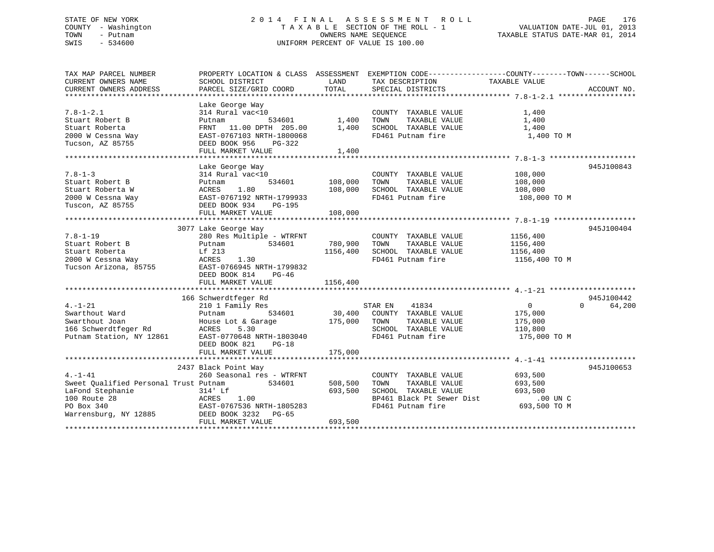# STATE OF NEW YORK 2 0 1 4 F I N A L A S S E S S M E N T R O L L PAGE 176 COUNTY - Washington T A X A B L E SECTION OF THE ROLL - 1 VALUATION DATE-JUL 01, 2013 TOWN - Putnam **CONNERS NAME SEQUENCE** TAXABLE STATUS DATE-MAR 01, 2014 SWIS - 534600 UNIFORM PERCENT OF VALUE IS 100.00

| TAX MAP PARCEL NUMBER                 | PROPERTY LOCATION & CLASS ASSESSMENT EXEMPTION CODE---------------COUNTY-------TOWN------SCHOOL |              |                           |                |                    |
|---------------------------------------|-------------------------------------------------------------------------------------------------|--------------|---------------------------|----------------|--------------------|
| CURRENT OWNERS NAME                   | SCHOOL DISTRICT                                                                                 | LAND         | TAX DESCRIPTION           | TAXABLE VALUE  |                    |
| CURRENT OWNERS ADDRESS                | PARCEL SIZE/GRID COORD                                                                          | TOTAL        | SPECIAL DISTRICTS         |                | ACCOUNT NO.        |
|                                       |                                                                                                 |              |                           |                |                    |
|                                       | Lake George Way                                                                                 |              |                           |                |                    |
| $7.8 - 1 - 2.1$                       | 314 Rural vac<10                                                                                |              | COUNTY TAXABLE VALUE      | 1,400          |                    |
| Stuart Robert B                       | 534601<br>Putnam                                                                                | 1,400        | TAXABLE VALUE<br>TOWN     | 1,400          |                    |
| Stuart Roberta                        | FRNT 11.00 DPTH 205.00 1,400                                                                    |              | SCHOOL TAXABLE VALUE      | 1,400          |                    |
| 2000 W Cessna Way                     | EAST-0767103 NRTH-1800068                                                                       |              | FD461 Putnam fire         | 1,400 TO M     |                    |
| Tucson, AZ 85755                      | DEED BOOK 956<br>PG-322                                                                         |              |                           |                |                    |
|                                       | FULL MARKET VALUE                                                                               | 1,400        |                           |                |                    |
|                                       |                                                                                                 |              |                           |                |                    |
|                                       | Lake George Way                                                                                 |              |                           |                | 945J100843         |
| $7.8 - 1 - 3$                         | 314 Rural vac<10                                                                                |              | COUNTY TAXABLE VALUE      | 108,000        |                    |
| Stuart Robert B                       | 534601 108,000<br>Putnam                                                                        |              | TOWN<br>TAXABLE VALUE     | 108,000        |                    |
| Stuart Roberta W                      | ACRES<br>1.80                                                                                   | 108,000      | SCHOOL TAXABLE VALUE      | 108,000        |                    |
| 2000 W Cessna Way                     | EAST-0767192 NRTH-1799933                                                                       |              | FD461 Putnam fire         | 108,000 TO M   |                    |
| Tuscon, AZ 85755                      | DEED BOOK 934<br>PG-195                                                                         |              |                           |                |                    |
|                                       | FULL MARKET VALUE                                                                               | 108,000      |                           |                |                    |
|                                       |                                                                                                 |              |                           |                |                    |
|                                       | 3077 Lake George Way                                                                            |              |                           |                | 945J100404         |
| $7.8 - 1 - 19$                        | 280 Res Multiple - WTRFNT                                                                       |              | COUNTY TAXABLE VALUE      | 1156,400       |                    |
| Stuart Robert B                       | 534601<br>Putnam                                                                                | 780,900      | TOWN<br>TAXABLE VALUE     | 1156,400       |                    |
| Stuart Roberta                        | Lf 213                                                                                          | 1156,400     | SCHOOL TAXABLE VALUE      | 1156,400       |                    |
| 2000 W Cessna Way                     | ACRES<br>1.30                                                                                   |              | FD461 Putnam fire         | 1156,400 TO M  |                    |
| Tucson Arizona, 85755                 | EAST-0766945 NRTH-1799832                                                                       |              |                           |                |                    |
|                                       | DEED BOOK 814<br>$PG-46$                                                                        |              |                           |                |                    |
|                                       | FULL MARKET VALUE                                                                               | 1156,400     |                           |                |                    |
|                                       |                                                                                                 |              |                           |                |                    |
|                                       | 166 Schwerdtfeger Rd                                                                            |              |                           |                | 945J100442         |
| $4. - 1 - 21$                         | 210 1 Family Res                                                                                |              | 41834<br>STAR EN          | $\overline{0}$ | $\Omega$<br>64,200 |
| Swarthout Ward                        | 534601 30,400<br>Putnam                                                                         |              | COUNTY TAXABLE VALUE      | 175,000        |                    |
| Swarthout Joan                        |                                                                                                 | 175,000 TOWN | TAXABLE VALUE             | 175,000        |                    |
|                                       | House Lot & Garage<br>ACRES 5.30                                                                |              |                           |                |                    |
| 166 Schwerdtfeger Rd                  | 5.30<br>ACRES                                                                                   |              | SCHOOL TAXABLE VALUE      | 110,800        |                    |
| Putnam Station, NY 12861              | EAST-0770648 NRTH-1803040                                                                       |              | FD461 Putnam fire         | 175,000 TO M   |                    |
|                                       | DEED BOOK 821<br>$PG-18$                                                                        |              |                           |                |                    |
|                                       | FULL MARKET VALUE                                                                               | 175,000      |                           |                |                    |
|                                       |                                                                                                 |              |                           |                |                    |
|                                       | 2437 Black Point Way                                                                            |              |                           |                | 945J100653         |
| $4. - 1 - 41$                         | 260 Seasonal res - WTRFNT                                                                       |              | COUNTY TAXABLE VALUE      | 693,500        |                    |
| Sweet Oualified Personal Trust Putnam | 534601                                                                                          | 508,500      | TAXABLE VALUE<br>TOWN     | 693,500        |                    |
| LaFond Stephanie                      | 314' Lf                                                                                         | 693,500      | SCHOOL TAXABLE VALUE      | 693,500        |                    |
| 100 Route 28                          | ACRES 1.00<br>EAST-0767536 NRTH-1805283                                                         |              | BP461 Black Pt Sewer Dist | .00 UN C       |                    |
| PO Box 340                            |                                                                                                 |              | FD461 Putnam fire         | 693,500 TO M   |                    |
| Warrensburg, NY 12885                 | DEED BOOK 3232 PG-65                                                                            |              |                           |                |                    |
|                                       | FULL MARKET VALUE                                                                               | 693,500      |                           |                |                    |
|                                       |                                                                                                 |              |                           |                |                    |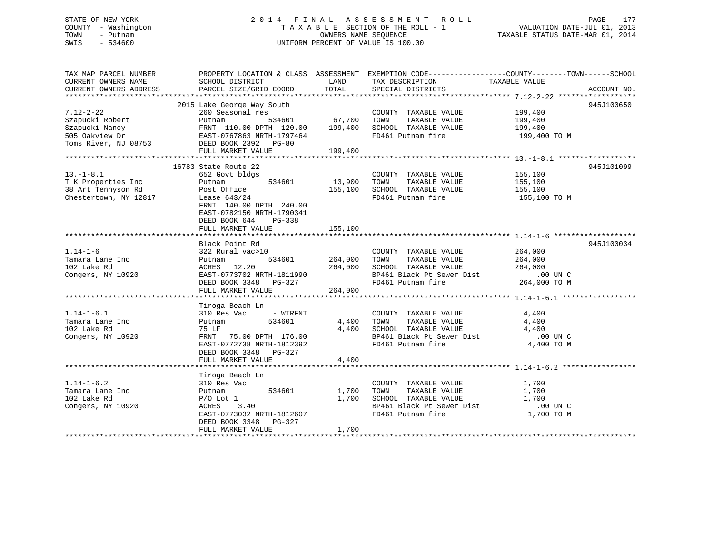# STATE OF NEW YORK 2 0 1 4 F I N A L A S S E S S M E N T R O L L PAGE 177 COUNTY - Washington T A X A B L E SECTION OF THE ROLL - 1 VALUATION DATE-JUL 01, 2013 TOWN - Putnam **CONNERS NAME SEQUENCE** TAXABLE STATUS DATE-MAR 01, 2014 SWIS - 534600 UNIFORM PERCENT OF VALUE IS 100.00

| TAX MAP PARCEL NUMBER<br>CURRENT OWNERS NAME<br>CURRENT OWNERS ADDRESS           | PROPERTY LOCATION & CLASS ASSESSMENT EXEMPTION CODE---------------COUNTY-------TOWN------SCHOOL<br>SCHOOL DISTRICT<br>PARCEL SIZE/GRID COORD                                                          | LAND<br>TOTAL                                            | TAX DESCRIPTION<br>SPECIAL DISTRICTS                                                                                                                                          | TAXABLE VALUE                                     | ACCOUNT NO. |
|----------------------------------------------------------------------------------|-------------------------------------------------------------------------------------------------------------------------------------------------------------------------------------------------------|----------------------------------------------------------|-------------------------------------------------------------------------------------------------------------------------------------------------------------------------------|---------------------------------------------------|-------------|
| $7.12 - 2 - 22$<br>Szapucki Robert<br>Szapucki Nancy<br>505 Oakview Dr           | 2015 Lake George Way South<br>260 Seasonal res<br>Putnam<br>FRNT 110.00 DPTH 120.00 199,400<br>EAST-0767863 NRTH-1797464<br>Toms River, NJ 08753 DEED BOOK 2392 PG-80<br>FULL MARKET VALUE            | 534601 67,700<br>199,400                                 | COUNTY TAXABLE VALUE<br>TOWN<br>TAXABLE VALUE<br>SCHOOL TAXABLE VALUE<br>FD461 Putnam fire                                                                                    | 199,400<br>199,400<br>199,400<br>199,400 TO M     | 945J100650  |
| $13.-1-8.1$<br>T K Properties Inc<br>38 Art Tennyson Rd<br>Chestertown, NY 12817 | 16783 State Route 22<br>652 Govt bldgs<br>534601<br>Putnam<br>Post Office<br>Lease $643/24$<br>FRNT 140.00 DPTH 240.00<br>EAST-0782150 NRTH-1790341<br>DEED BOOK 644<br>$PG-338$<br>FULL MARKET VALUE | 13,900<br>155,100<br>155,100                             | COUNTY TAXABLE VALUE<br>TAXABLE VALUE<br>TOWN<br>SCHOOL TAXABLE VALUE<br>FD461 Putnam fire                                                                                    | 155,100<br>155,100<br>155,100<br>155,100 TO M     | 945J101099  |
| $1.14 - 1 - 6$<br>Tamara Lane Inc<br>102 Lake Rd<br>Congers, NY 10920            | Black Point Rd<br>322 Rural vac>10<br>Putnam<br>ACRES 12.20<br>EAST-0773702 NRTH-1811990<br>DEED BOOK 3348 PG-327<br>FULL MARKET VALUE                                                                | 534601 264,000<br>264,000<br>1811990<br>G-327<br>264,000 | COUNTY TAXABLE VALUE<br>TAXABLE VALUE<br>TOWN<br>SCHOOL TAXABLE VALUE<br>SCHOOL TAXABLE VALUE 264,000<br>BP461 Black Pt Sewer Dist .00 UN C<br>FD461 Putnam fire 264,000 TO M | 264,000<br>264,000<br>264,000                     | 945J100034  |
| $1.14 - 1 - 6.1$<br>Tamara Lane Inc<br>102 Lake Rd<br>Congers, NY 10920          | Tiroga Beach Ln<br>- WTRFNT<br>310 Res Vac<br>534601<br>Putnam<br>75 LF<br>FRNT 75.00 DPTH 176.00<br>EAST-0772738 NRTH-1812392<br>DEED BOOK 3348 PG-327<br>FULL MARKET VALUE                          | 4,400<br>4,400<br>4,400                                  | COUNTY TAXABLE VALUE<br>TOWN<br>TAXABLE VALUE<br>SCHOOL TAXABLE VALUE<br>BP461 Black Pt Sewer Dist<br>FD461 Putnam fire                                                       | 4,400<br>4,400<br>4,400<br>.00 UN C<br>4,400 TO M |             |
| $1.14 - 1 - 6.2$<br>Tamara Lane Inc<br>102 Lake Rd<br>Congers, NY 10920          | Tiroga Beach Ln<br>310 Res Vac<br>534601<br>Putnam<br>$P/O$ Lot $1$<br>ACRES<br>3.40<br>EAST-0773032 NRTH-1812607<br>DEED BOOK 3348 PG-327<br>FULL MARKET VALUE                                       | 1,700<br>1,700<br>1,700                                  | COUNTY TAXABLE VALUE<br>TOWN<br>TAXABLE VALUE<br>SCHOOL TAXABLE VALUE<br>BP461 Black Pt Sewer Dist<br>FD461 Putnam fire                                                       | 1,700<br>1,700<br>1,700<br>.00 UN C<br>1,700 TO M |             |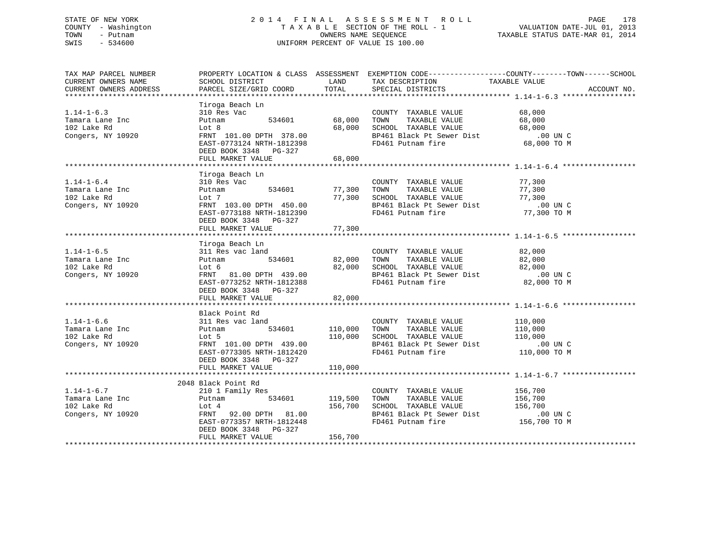# STATE OF NEW YORK 2 0 1 4 F I N A L A S S E S S M E N T R O L L PAGE 178 COUNTY - Washington T A X A B L E SECTION OF THE ROLL - 1 VALUATION DATE-JUL 01, 2013 TOWN - Putnam OWNERS NAME SEQUENCE TAXABLE STATUS DATE-MAR 01, 2014 SWIS - 534600 UNIFORM PERCENT OF VALUE IS 100.00

| TAX MAP PARCEL NUMBER                                                                                                                                                                                             |                                                              |                | PROPERTY LOCATION & CLASS ASSESSMENT EXEMPTION CODE----------------COUNTY-------TOWN------SCHOOL                                             |               |             |
|-------------------------------------------------------------------------------------------------------------------------------------------------------------------------------------------------------------------|--------------------------------------------------------------|----------------|----------------------------------------------------------------------------------------------------------------------------------------------|---------------|-------------|
| CURRENT OWNERS NAME                                                                                                                                                                                               | SCHOOL DISTRICT                                              |                | LAND TAX DESCRIPTION                                                                                                                         | TAXABLE VALUE |             |
| CURRENT OWNERS ADDRESS                                                                                                                                                                                            | PARCEL SIZE/GRID COORD TOTAL                                 |                | SPECIAL DISTRICTS                                                                                                                            |               | ACCOUNT NO. |
|                                                                                                                                                                                                                   |                                                              |                |                                                                                                                                              |               |             |
|                                                                                                                                                                                                                   | Tiroga Beach Ln                                              |                |                                                                                                                                              |               |             |
| $1.14 - 1 - 6.3$                                                                                                                                                                                                  | 310 Res Vac                                                  |                | COUNTY TAXABLE VALUE 68,000                                                                                                                  |               |             |
| Tamara Lane Inc                                                                                                                                                                                                   | Putnam                                                       |                | 534601 68,000 TOWN TAXABLE VALUE                                                                                                             |               |             |
| 102 Lake Rd                                                                                                                                                                                                       |                                                              |                |                                                                                                                                              |               |             |
| Congers, NY 10920                                                                                                                                                                                                 |                                                              |                |                                                                                                                                              |               |             |
|                                                                                                                                                                                                                   | Lot 8<br>FRNT 101.00 DPTH 378.00<br>----- ---- ----- 1812398 |                | 68,000 TOWN TAXABLE VALUE 68,000<br>68,000 SCHOOL TAXABLE VALUE 68,000<br>BP461 Black Pt Sewer Dist 00 UN C<br>FD461 Putnam fire 68,000 TO M |               |             |
|                                                                                                                                                                                                                   | DEED BOOK 3348 PG-327                                        |                |                                                                                                                                              |               |             |
|                                                                                                                                                                                                                   | FULL MARKET VALUE                                            | 68,000         |                                                                                                                                              |               |             |
|                                                                                                                                                                                                                   |                                                              |                |                                                                                                                                              |               |             |
|                                                                                                                                                                                                                   | Tiroga Beach Ln                                              |                |                                                                                                                                              |               |             |
| $1.14 - 1 - 6.4$                                                                                                                                                                                                  | 310 Res Vac                                                  |                |                                                                                                                                              |               |             |
| Tamara Lane Inc                                                                                                                                                                                                   | Putnam                                                       |                | COUNTY TAXABLE VALUE 77,300<br>TOWN TAXABLE VALUE 77,300<br>$534601$ $77,300$ TOWN TAXABLE VALUE                                             |               |             |
| 102 Lake Rd                                                                                                                                                                                                       | Lot 7                                                        |                |                                                                                                                                              |               |             |
| Congers, NY 10920                                                                                                                                                                                                 | FRNT 103.00 DPTH 450.00                                      |                | 77,300 SCHOOL TAXABLE VALUE 77,300<br>RP461 Black Pt Sewer Dist 100 UN C                                                                     |               |             |
|                                                                                                                                                                                                                   | EAST-0773188 NRTH-1812390                                    |                | FD461 Putnam fire 77,300 TO M                                                                                                                |               |             |
|                                                                                                                                                                                                                   | DEED BOOK 3348 PG-327                                        |                |                                                                                                                                              |               |             |
|                                                                                                                                                                                                                   | FULL MARKET VALUE                                            | 77,300         |                                                                                                                                              |               |             |
|                                                                                                                                                                                                                   |                                                              |                |                                                                                                                                              |               |             |
|                                                                                                                                                                                                                   | Tiroga Beach Ln                                              |                |                                                                                                                                              |               |             |
| $1.14 - 1 - 6.5$                                                                                                                                                                                                  | 311 Res vac land                                             |                |                                                                                                                                              |               |             |
| Tamara Lane Inc                                                                                                                                                                                                   | 311 Kes<br>Putnam                                            |                |                                                                                                                                              |               |             |
| 102 Lake Rd                                                                                                                                                                                                       |                                                              |                |                                                                                                                                              |               |             |
| Congers, NY 10920                                                                                                                                                                                                 |                                                              |                |                                                                                                                                              |               |             |
|                                                                                                                                                                                                                   | EAST-0773252 NRTH-1812388                                    |                | FD461 Putnam fire                                                                                                                            | 82,000 TO M   |             |
|                                                                                                                                                                                                                   | DEED BOOK 3348 PG-327                                        |                |                                                                                                                                              |               |             |
|                                                                                                                                                                                                                   | FULL MARKET VALUE                                            | 82,000         |                                                                                                                                              |               |             |
|                                                                                                                                                                                                                   |                                                              |                |                                                                                                                                              |               |             |
|                                                                                                                                                                                                                   | Black Point Rd                                               |                |                                                                                                                                              |               |             |
| $1.14 - 1 - 6.6$                                                                                                                                                                                                  | 311 Res vac land                                             |                | COUNTY TAXABLE VALUE 110,000                                                                                                                 |               |             |
| Tamara Lane Inc <a> putnam</a>                                                                                                                                                                                    |                                                              | 534601 110,000 | TAXABLE VALUE 110,000<br>TOWN                                                                                                                |               |             |
| 102 Lake Rd                                                                                                                                                                                                       | Lot 5                                                        |                | 110,000 SCHOOL TAXABLE VALUE                                                                                                                 | 110,000       |             |
| Congers, NY 10920                                                                                                                                                                                                 | FRNT 101.00 DPTH 439.00                                      |                | BP461 Black Pt Sewer Dist .00 UN C                                                                                                           |               |             |
|                                                                                                                                                                                                                   | EAST-0773305 NRTH-1812420                                    |                | FD461 Putnam fire                                                                                                                            | 110,000 TO M  |             |
|                                                                                                                                                                                                                   | DEED BOOK 3348 PG-327                                        |                |                                                                                                                                              |               |             |
|                                                                                                                                                                                                                   | FULL MARKET VALUE                                            | 110,000        |                                                                                                                                              |               |             |
|                                                                                                                                                                                                                   |                                                              |                |                                                                                                                                              |               |             |
|                                                                                                                                                                                                                   | 2048 Black Point Rd                                          |                |                                                                                                                                              |               |             |
|                                                                                                                                                                                                                   |                                                              |                | COUNTY TAXABLE VALUE 156,700                                                                                                                 |               |             |
| $\begin{tabular}{lllllllllll} 1.14\mbox{--}1\mbox{--}6.7 & & & & 210\mbox{1 Family Res} \\ \texttt{Tamara Lane Inc} & & & \texttt{Putnam} & & 534601 \\ 102 \mbox{ Lake Rd} & & & \mbox{Lot 4} & & \end{tabular}$ | 534601 119,500                                               |                |                                                                                                                                              |               |             |
|                                                                                                                                                                                                                   |                                                              |                |                                                                                                                                              |               |             |
|                                                                                                                                                                                                                   |                                                              |                |                                                                                                                                              |               |             |
| 156,700 Lot 4 156,700<br>Congers, NY 10920 FRNT 92.00 DPTH 81.00<br>EAST-0773357 NRTH-1812448                                                                                                                     |                                                              |                | DO UN C<br>BP461 Black Pt Sewer Dist .00 UN C<br>FD461 Putnam fire  156,700 TO M<br>FD461 Putnam fire                                        |               |             |
|                                                                                                                                                                                                                   | DEED BOOK 3348 PG-327                                        |                |                                                                                                                                              |               |             |
|                                                                                                                                                                                                                   | FULL MARKET VALUE                                            | 156,700        |                                                                                                                                              |               |             |
|                                                                                                                                                                                                                   |                                                              |                |                                                                                                                                              |               |             |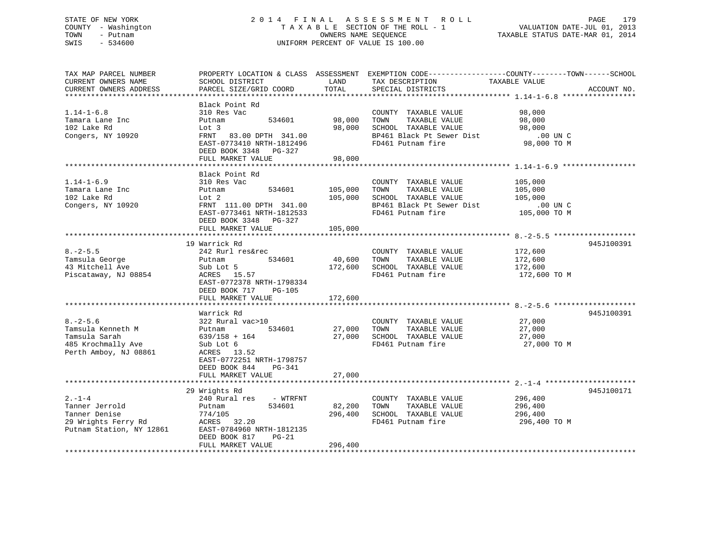# STATE OF NEW YORK 2 0 1 4 F I N A L A S S E S S M E N T R O L L PAGE 179 COUNTY - Washington T A X A B L E SECTION OF THE ROLL - 1 VALUATION DATE-JUL 01, 2013 TOWN - Putnam OWNERS NAME SEQUENCE TAXABLE STATUS DATE-MAR 01, 2014 SWIS - 534600 UNIFORM PERCENT OF VALUE IS 100.00

| TAX MAP PARCEL NUMBER                                            |                                  |                | PROPERTY LOCATION & CLASS ASSESSMENT EXEMPTION CODE---------------COUNTY-------TOWN-----SCHOOL |               |             |
|------------------------------------------------------------------|----------------------------------|----------------|------------------------------------------------------------------------------------------------|---------------|-------------|
| CURRENT OWNERS NAME                                              | SCHOOL DISTRICT                  | LAND           | TAX DESCRIPTION                                                                                | TAXABLE VALUE |             |
| CURRENT OWNERS ADDRESS                                           | PARCEL SIZE/GRID COORD           | TOTAL          | SPECIAL DISTRICTS                                                                              |               | ACCOUNT NO. |
|                                                                  |                                  |                |                                                                                                |               |             |
|                                                                  | Black Point Rd                   |                |                                                                                                |               |             |
| $1.14 - 1 - 6.8$                                                 | 310 Res Vac                      |                | COUNTY TAXABLE VALUE 98,000                                                                    |               |             |
| Tamara Lane Inc                                                  | 534601<br>Putnam                 | 98,000         | TOWN<br>TAXABLE VALUE                                                                          | 98,000        |             |
| 102 Lake Rd                                                      | Lot 3                            |                | 98,000 SCHOOL TAXABLE VALUE 98,000                                                             |               |             |
| Congers, NY 10920                                                | FRNT 83.00 DPTH 341.00           |                | BP461 Black Pt Sewer Dist                                                                      | $.00$ UN C    |             |
|                                                                  | EAST-0773410 NRTH-1812496        |                | FD461 Putnam fire                                                                              | 98,000 TO M   |             |
|                                                                  | DEED BOOK 3348 PG-327            |                |                                                                                                |               |             |
|                                                                  | FULL MARKET VALUE                | 98,000         |                                                                                                |               |             |
|                                                                  |                                  |                |                                                                                                |               |             |
|                                                                  | Black Point Rd                   |                |                                                                                                |               |             |
| $1.14 - 1 - 6.9$                                                 | 310 Res Vac                      |                | COUNTY TAXABLE VALUE                                                                           | 105,000       |             |
| Tamara Lane Inc                                                  | Putnam                           | 534601 105,000 | TAXABLE VALUE<br>TOWN                                                                          | 105,000       |             |
| 102 Lake Rd                                                      | Lot 2                            | 105,000        | SCHOOL TAXABLE VALUE                                                                           | 105,000       |             |
| Congers, NY 10920                                                | $\text{FRNT}$ 111.00 DPTH 341.00 |                | BP461 Black Pt Sewer Dist .00 UN C                                                             |               |             |
|                                                                  | EAST-0773461 NRTH-1812533        |                | FD461 Putnam fire                                                                              | 105,000 TO M  |             |
|                                                                  | DEED BOOK 3348 PG-327            |                |                                                                                                |               |             |
|                                                                  | FULL MARKET VALUE                | 105,000        |                                                                                                |               |             |
|                                                                  |                                  |                |                                                                                                |               |             |
|                                                                  | 19 Warrick Rd                    |                |                                                                                                |               | 945J100391  |
| $8. - 2 - 5.5$                                                   | 242 Rurl res&rec                 |                | COUNTY TAXABLE VALUE                                                                           | 172,600       |             |
| Tamsula George                                                   | 242 Rur<br>Putnam<br>534601      | 40,600 TOWN    | TAXABLE VALUE                                                                                  | 172,600       |             |
| 43 Mitchell Ave                                                  |                                  |                | 172,600 SCHOOL TAXABLE VALUE 172,600                                                           |               |             |
| Piscataway, NJ 08854                                             | Sub Lot 5<br>ACRES 15.57         |                | FD461 Putnam fire                                                                              | 172,600 TO M  |             |
|                                                                  | EAST-0772378 NRTH-1798334        |                |                                                                                                |               |             |
|                                                                  | DEED BOOK 717 PG-105             |                |                                                                                                |               |             |
|                                                                  | FULL MARKET VALUE                | 172,600        |                                                                                                |               |             |
|                                                                  |                                  |                |                                                                                                |               |             |
|                                                                  | Warrick Rd                       |                |                                                                                                |               | 945J100391  |
| $8. - 2 - 5.6$                                                   | 322 Rural vac>10                 |                | COUNTY TAXABLE VALUE                                                                           | 27,000        |             |
| Tamsula Kenneth M <b>Putnam</b>                                  | 534601                           |                | 27,000 TOWN<br>TAXABLE VALUE                                                                   | 27,000        |             |
| Tamsula Sarah                                                    | 639/158 + 164                    |                |                                                                                                | 27,000        |             |
| 485 Krochmally Ave                                               | Sub Lot 6                        |                | 27,000 SCHOOL TAXABLE VALUE<br>FD461 Putnam fire                                               | 27,000 TO M   |             |
| Perth Amboy, NJ 08861                                            | ACRES 13.52                      |                |                                                                                                |               |             |
|                                                                  | EAST-0772251 NRTH-1798757        |                |                                                                                                |               |             |
|                                                                  | DEED BOOK 844<br>PG-341          |                |                                                                                                |               |             |
|                                                                  | FULL MARKET VALUE                | 27,000         |                                                                                                |               |             |
|                                                                  |                                  |                |                                                                                                |               |             |
|                                                                  | 29 Wrights Rd                    |                |                                                                                                |               | 945J100171  |
| $2. -1 - 4$                                                      | 240 Rural res - WTRFNT           |                | COUNTY TAXABLE VALUE                                                                           | 296,400       |             |
| Tanner Jerrold                                                   | 534601<br>Putnam                 | 82,200         | TOWN<br>TAXABLE VALUE                                                                          | 296,400       |             |
| Tanner Denise                                                    | 774/105                          | 296,400        | SCHOOL TAXABLE VALUE                                                                           | 296,400       |             |
| Tanner Denise<br>29 Wrights Ferry Rd<br>Putnam Station, NY 12861 | ACRES 32.20                      |                | FD461 Putnam fire                                                                              | 296,400 TO M  |             |
|                                                                  | EAST-0784960 NRTH-1812135        |                |                                                                                                |               |             |
|                                                                  | DEED BOOK 817<br>PG-21           |                |                                                                                                |               |             |
|                                                                  | FULL MARKET VALUE                | 296,400        |                                                                                                |               |             |
|                                                                  |                                  |                |                                                                                                |               |             |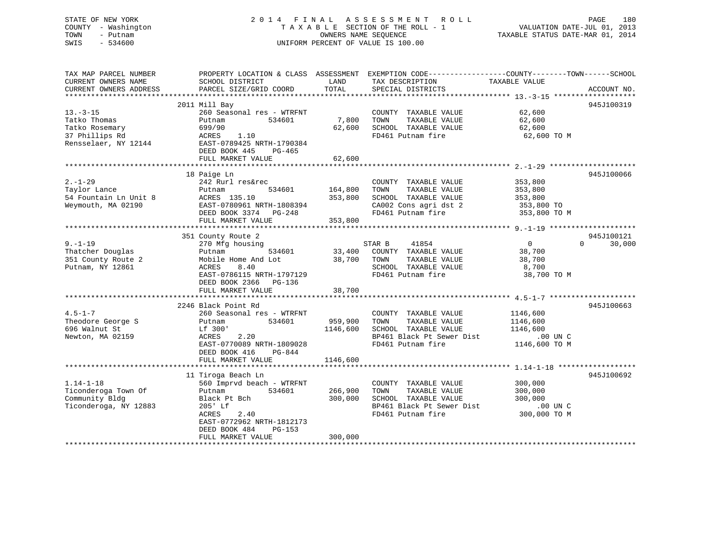# STATE OF NEW YORK 2 0 1 4 F I N A L A S S E S S M E N T R O L L PAGE 180 COUNTY - Washington T A X A B L E SECTION OF THE ROLL - 1 VALUATION DATE-JUL 01, 2013 TOWN - Putnam OWNERS NAME SEQUENCE TAXABLE STATUS DATE-MAR 01, 2014 SWIS - 534600 UNIFORM PERCENT OF VALUE IS 100.00

| TAX MAP PARCEL NUMBER<br>CURRENT OWNERS NAME<br>CURRENT OWNERS ADDRESS                    | PROPERTY LOCATION & CLASS ASSESSMENT<br>SCHOOL DISTRICT<br>PARCEL SIZE/GRID COORD                                                                                                            | LAND<br>TOTAL                   | EXEMPTION CODE----------------COUNTY-------TOWN------SCHOOL<br>TAX DESCRIPTION<br>SPECIAL DISTRICTS                     | TAXABLE VALUE                                                   | ACCOUNT NO.                      |
|-------------------------------------------------------------------------------------------|----------------------------------------------------------------------------------------------------------------------------------------------------------------------------------------------|---------------------------------|-------------------------------------------------------------------------------------------------------------------------|-----------------------------------------------------------------|----------------------------------|
| $13 - 3 - 15$<br>Tatko Thomas<br>Tatko Rosemary<br>37 Phillips Rd<br>Rensselaer, NY 12144 | 2011 Mill Bay<br>260 Seasonal res - WTRFNT<br>534601<br>Putnam<br>699/90<br>1.10<br>ACRES<br>EAST-0789425 NRTH-1790384<br>DEED BOOK 445<br>PG-465<br>FULL MARKET VALUE                       | 7,800<br>62,600<br>62,600       | COUNTY TAXABLE VALUE<br>TOWN<br>TAXABLE VALUE<br>SCHOOL TAXABLE VALUE<br>FD461 Putnam fire                              | 62,600<br>62,600<br>62,600<br>62,600 TO M                       | 945J100319                       |
| $2. - 1 - 29$<br>Taylor Lance<br>54 Fountain Ln Unit 8<br>Weymouth, MA 02190              | 18 Paige Ln<br>242 Rurl res&rec<br>534601<br>Putnam<br>ACRES 135.10<br>EAST-0780961 NRTH-1808394<br>DEED BOOK 3374 PG-248<br>FULL MARKET VALUE                                               | 164,800<br>353,800<br>353,800   | COUNTY TAXABLE VALUE<br>TAXABLE VALUE<br>TOWN<br>SCHOOL TAXABLE VALUE<br>CA002 Cons agri dst 2<br>FD461 Putnam fire     | 353,800<br>353,800<br>353,800<br>353,800 TO<br>353,800 TO M     | 945J100066                       |
| $9. - 1 - 19$<br>Thatcher Douglas<br>351 County Route 2<br>Putnam, NY 12861               | 351 County Route 2<br>270 Mfg housing<br>534601<br>Putnam<br>Mobile Home And Lot<br>8.40<br>ACRES<br>EAST-0786115 NRTH-1797129<br>DEED BOOK 2366<br>PG-136<br>FULL MARKET VALUE              | 33,400<br>38,700<br>38,700      | 41854<br>STAR B<br>COUNTY TAXABLE VALUE<br>TOWN<br>TAXABLE VALUE<br>SCHOOL TAXABLE VALUE<br>FD461 Putnam fire           | $\overline{0}$<br>38,700<br>38,700<br>8,700<br>38,700 TO M      | 945J100121<br>$\Omega$<br>30,000 |
| $4.5 - 1 - 7$<br>Theodore George S<br>696 Walnut St<br>Newton, MA 02159                   | 2246 Black Point Rd<br>260 Seasonal res - WTRFNT<br>534601<br>Putnam<br>Lf 300'<br>2.20<br>ACRES<br>EAST-0770089 NRTH-1809028<br>DEED BOOK 416<br>PG-844<br>FULL MARKET VALUE                | 959,900<br>1146,600<br>1146,600 | COUNTY TAXABLE VALUE<br>TOWN<br>TAXABLE VALUE<br>SCHOOL TAXABLE VALUE<br>BP461 Black Pt Sewer Dist<br>FD461 Putnam fire | 1146,600<br>1146,600<br>1146,600<br>$.00$ UN C<br>1146,600 TO M | 945J100663                       |
| $1.14 - 1 - 18$<br>Ticonderoga Town Of<br>Community Bldg<br>Ticonderoga, NY 12883         | 11 Tiroga Beach Ln<br>560 Imprvd beach - WTRFNT<br>534601<br>Putnam<br>Black Pt Bch<br>205' Lf<br>ACRES<br>2.40<br>EAST-0772962 NRTH-1812173<br>PG-153<br>DEED BOOK 484<br>FULL MARKET VALUE | 266,900<br>300,000<br>300,000   | COUNTY TAXABLE VALUE<br>TOWN<br>TAXABLE VALUE<br>SCHOOL TAXABLE VALUE<br>BP461 Black Pt Sewer Dist<br>FD461 Putnam fire | 300,000<br>300,000<br>300,000<br>.00 UN C<br>300,000 TO M       | 945J100692                       |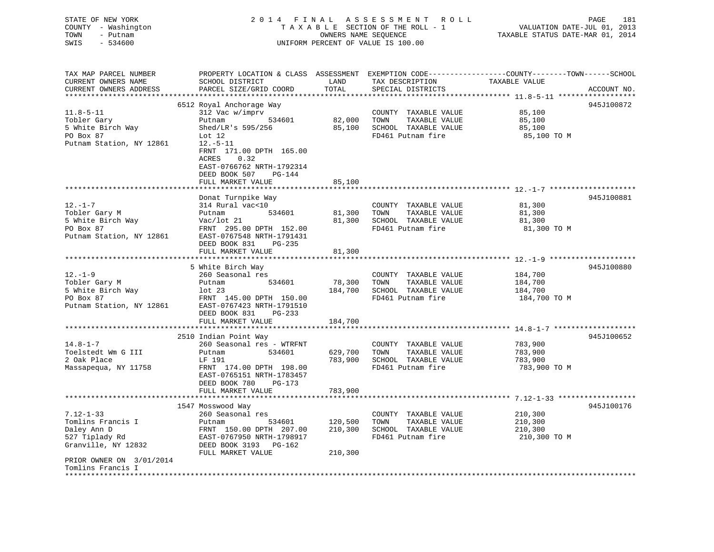# STATE OF NEW YORK 2 0 1 4 F I N A L A S S E S S M E N T R O L L PAGE 181 COUNTY - Washington T A X A B L E SECTION OF THE ROLL - 1 VALUATION DATE-JUL 01, 2013 TOWN - Putnam OWNERS NAME SEQUENCE TAXABLE STATUS DATE-MAR 01, 2014 SWIS - 534600 UNIFORM PERCENT OF VALUE IS 100.00

| TAX MAP PARCEL NUMBER<br>CURRENT OWNERS NAME | PROPERTY LOCATION & CLASS ASSESSMENT EXEMPTION CODE----------------COUNTY-------TOWN------SCHOOL<br>SCHOOL DISTRICT | LAND    | TAX DESCRIPTION       | TAXABLE VALUE |             |
|----------------------------------------------|---------------------------------------------------------------------------------------------------------------------|---------|-----------------------|---------------|-------------|
| CURRENT OWNERS ADDRESS                       | PARCEL SIZE/GRID COORD                                                                                              | TOTAL   | SPECIAL DISTRICTS     |               | ACCOUNT NO. |
|                                              |                                                                                                                     |         |                       |               |             |
|                                              | 6512 Royal Anchorage Way                                                                                            |         |                       |               | 945J100872  |
| $11.8 - 5 - 11$                              | 312 Vac w/imprv                                                                                                     |         | COUNTY TAXABLE VALUE  | 85,100        |             |
| Tobler Gary                                  | Putnam<br>534601                                                                                                    | 82,000  | TAXABLE VALUE<br>TOWN | 85,100        |             |
| 5 White Birch Way                            | Shed/LR's 595/256                                                                                                   | 85,100  | SCHOOL TAXABLE VALUE  | 85,100        |             |
| PO Box 87                                    | Lot $12$                                                                                                            |         | FD461 Putnam fire     | 85,100 TO M   |             |
| Putnam Station, NY 12861                     | $12.-5-11$<br>FRNT 171.00 DPTH 165.00<br>0.32<br>ACRES<br>EAST-0766762 NRTH-1792314                                 |         |                       |               |             |
|                                              | DEED BOOK 507<br>PG-144                                                                                             |         |                       |               |             |
|                                              | FULL MARKET VALUE                                                                                                   | 85,100  |                       |               |             |
|                                              |                                                                                                                     |         |                       |               |             |
|                                              | Donat Turnpike Way                                                                                                  |         |                       |               | 945J100881  |
| $12. - 1 - 7$                                | 314 Rural vac<10                                                                                                    |         | COUNTY TAXABLE VALUE  | 81,300        |             |
| Tobler Gary M                                | 534601<br>Putnam                                                                                                    | 81,300  | TAXABLE VALUE<br>TOWN | 81,300        |             |
| 5 White Birch Way                            | Vac/lot 21                                                                                                          | 81,300  | SCHOOL TAXABLE VALUE  | 81,300        |             |
| PO Box 87                                    | FRNT 295.00 DPTH 152.00                                                                                             |         | FD461 Putnam fire     | 81,300 TO M   |             |
| Putnam Station, NY 12861                     | EAST-0767548 NRTH-1791431<br>DEED BOOK 831<br>$PG-235$                                                              |         |                       |               |             |
|                                              | FULL MARKET VALUE                                                                                                   | 81,300  |                       |               |             |
|                                              |                                                                                                                     |         |                       |               |             |
|                                              | 5 White Birch Way                                                                                                   |         |                       |               | 945J100880  |
| $12. - 1 - 9$                                | 260 Seasonal res                                                                                                    |         | COUNTY TAXABLE VALUE  | 184,700       |             |
| Tobler Gary M                                | 534601<br>Putnam                                                                                                    | 78,300  | TOWN<br>TAXABLE VALUE | 184,700       |             |
| 5 White Birch Way                            | lot <sub>23</sub>                                                                                                   | 184,700 | SCHOOL TAXABLE VALUE  | 184,700       |             |
| PO Box 87                                    | FRNT 145.00 DPTH 150.00                                                                                             |         | FD461 Putnam fire     | 184,700 TO M  |             |
| Putnam Station, NY 12861                     | EAST-0767423 NRTH-1791510<br>DEED BOOK 831<br>PG-233                                                                |         |                       |               |             |
|                                              | FULL MARKET VALUE                                                                                                   | 184,700 |                       |               |             |
|                                              |                                                                                                                     |         |                       |               |             |
|                                              | 2510 Indian Point Way                                                                                               |         |                       |               | 945J100652  |
| $14.8 - 1 - 7$                               | 260 Seasonal res - WTRFNT                                                                                           |         | COUNTY TAXABLE VALUE  | 783,900       |             |
| Toelstedt Wm G III                           | Putnam<br>534601                                                                                                    | 629,700 | TAXABLE VALUE<br>TOWN | 783,900       |             |
| 2 Oak Place                                  | LF 191                                                                                                              | 783,900 | SCHOOL TAXABLE VALUE  | 783,900       |             |
| Massapequa, NY 11758                         | FRNT 174.00 DPTH 198.00<br>EAST-0765151 NRTH-1783457<br>DEED BOOK 780<br>PG-173                                     |         | FD461 Putnam fire     | 783,900 TO M  |             |
|                                              | FULL MARKET VALUE                                                                                                   | 783,900 |                       |               |             |
|                                              |                                                                                                                     |         |                       |               |             |
|                                              | 1547 Mosswood Way                                                                                                   |         |                       |               | 945J100176  |
| $7.12 - 1 - 33$                              | 260 Seasonal res                                                                                                    |         | COUNTY TAXABLE VALUE  | 210,300       |             |
| Tomlins Francis I                            | 534601<br>Putnam                                                                                                    | 120,500 | TOWN<br>TAXABLE VALUE | 210,300       |             |
| Daley Ann D                                  | FRNT 150.00 DPTH 207.00                                                                                             | 210,300 | SCHOOL TAXABLE VALUE  | 210,300       |             |
| 527 Tiplady Rd                               | EAST-0767950 NRTH-1798917                                                                                           |         | FD461 Putnam fire     | 210,300 TO M  |             |
| Granville, NY 12832                          | DEED BOOK 3193<br>PG-162<br>FULL MARKET VALUE                                                                       | 210,300 |                       |               |             |
| PRIOR OWNER ON 3/01/2014                     |                                                                                                                     |         |                       |               |             |
| Tomlins Francis I                            |                                                                                                                     |         |                       |               |             |
|                                              |                                                                                                                     |         |                       |               |             |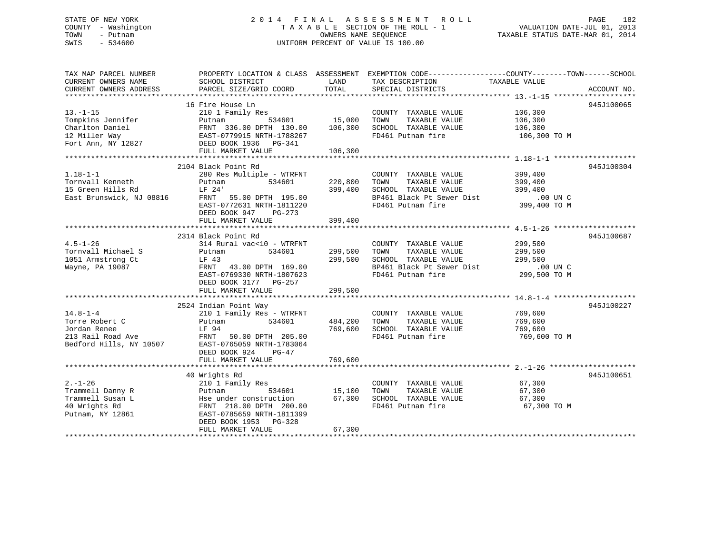# STATE OF NEW YORK 2 0 1 4 F I N A L A S S E S S M E N T R O L L PAGE 182 COUNTY - Washington T A X A B L E SECTION OF THE ROLL - 1 VALUATION DATE-JUL 01, 2013 TOWN - Putnam OWNERS NAME SEQUENCE TAXABLE STATUS DATE-MAR 01, 2014 SWIS - 534600 UNIFORM PERCENT OF VALUE IS 100.00

| TAX MAP PARCEL NUMBER               |                                                                     |         | PROPERTY LOCATION & CLASS ASSESSMENT EXEMPTION CODE----------------COUNTY-------TOWN------SCHOOL |              |             |
|-------------------------------------|---------------------------------------------------------------------|---------|--------------------------------------------------------------------------------------------------|--------------|-------------|
| CURRENT OWNERS NAME                 | SCHOOL DISTRICT                                                     | LAND    | TAX DESCRIPTION TAXABLE VALUE                                                                    |              |             |
| CURRENT OWNERS ADDRESS              | PARCEL SIZE/GRID COORD                                              | TOTAL   | SPECIAL DISTRICTS                                                                                |              | ACCOUNT NO. |
|                                     |                                                                     |         |                                                                                                  |              |             |
|                                     | 16 Fire House Ln                                                    |         |                                                                                                  |              | 945J100065  |
| $13. - 1 - 15$                      | 210 1 Family Res                                                    |         | COUNTY TAXABLE VALUE                                                                             | 106,300      |             |
| Tompkins Jennifer                   | 534601<br>Putnam                                                    | 15,000  | TAXABLE VALUE<br>TOWN                                                                            | 106,300      |             |
| Charlton Daniel                     |                                                                     | 106,300 | SCHOOL TAXABLE VALUE                                                                             | 106,300      |             |
| 12 Miller Way                       |                                                                     |         | FD461 Putnam fire                                                                                | 106,300 ТО М |             |
| 12 Miller Way<br>Fort Ann, NY 12827 | :<br>FRNT 336.00 سمیر FRNT 336.00 سمیر<br>EAST-0779915 NRTH-1788267 |         |                                                                                                  |              |             |
|                                     | FULL MARKET VALUE                                                   | 106,300 |                                                                                                  |              |             |
|                                     |                                                                     |         |                                                                                                  |              |             |
|                                     | 2104 Black Point Rd                                                 |         |                                                                                                  |              | 945J100304  |
| $1.18 - 1 - 1$                      | 280 Res Multiple - WTRFNT                                           |         | COUNTY TAXABLE VALUE                                                                             | 399,400      |             |
| Tornvall Kenneth                    | 534601<br>Putnam                                                    | 220,800 | TAXABLE VALUE<br>TOWN                                                                            | 399,400      |             |
| 15 Green Hills Rd                   | LF 24'                                                              | 399,400 | SCHOOL TAXABLE VALUE                                                                             | 399,400      |             |
| East Brunswick, NJ 08816            | LF 24<br>FRNT 55.00 DPTH 195.00<br>1011220                          |         |                                                                                                  |              |             |
|                                     |                                                                     |         | BP461 Black Pt Sewer Dist .00 UN C<br>FD461 Putnam fire 399,400 TO M                             |              |             |
|                                     | EAST-0772631 NRTH-1811220                                           |         |                                                                                                  |              |             |
|                                     | DEED BOOK 947<br>PG-273                                             |         |                                                                                                  |              |             |
|                                     | FULL MARKET VALUE                                                   | 399,400 |                                                                                                  |              |             |
|                                     |                                                                     |         |                                                                                                  |              |             |
|                                     | 2314 Black Point Rd                                                 |         |                                                                                                  |              | 945J100687  |
| $4.5 - 1 - 26$                      | 314 Rural vac<10 - WTRFNT                                           |         | COUNTY TAXABLE VALUE                                                                             | 299,500      |             |
| Tornvall Michael S                  | Putnam<br>534601                                                    | 299,500 | TAXABLE VALUE<br>TOWN                                                                            | 299,500      |             |
| 1051 Armstrong Ct                   | LF 43                                                               | 299,500 | SCHOOL TAXABLE VALUE                                                                             | 299,500      |             |
| Wayne, PA 19087                     | FRNT 43.00 DPTH 169.00                                              |         | BP461 Black Pt Sewer Dist                                                                        | .00 UN C     |             |
|                                     | EAST-0769330 NRTH-1807623                                           |         | FD461 Putnam fire                                                                                | 299,500 TO M |             |
|                                     | DEED BOOK 3177 PG-257                                               |         |                                                                                                  |              |             |
|                                     | FULL MARKET VALUE                                                   | 299,500 |                                                                                                  |              |             |
|                                     |                                                                     |         |                                                                                                  |              |             |
|                                     | 2524 Indian Point Way                                               |         |                                                                                                  |              | 945J100227  |
| $14.8 - 1 - 4$                      | 210 1 Family Res - WTRFNT                                           |         | COUNTY TAXABLE VALUE                                                                             | 769,600      |             |
| Torre Robert C                      | 534601<br>Putnam                                                    | 484,200 | TAXABLE VALUE<br>TOWN                                                                            | 769,600      |             |
| Jordan Renee                        | LF 94                                                               | 769,600 | SCHOOL TAXABLE VALUE                                                                             | 769,600      |             |
| 213 Rail Road Ave                   | FRNT 50.00 DPTH 205.00                                              |         | FD461 Putnam fire                                                                                | 769,600 ТО М |             |
| Bedford Hills, NY 10507             | EAST-0765059 NRTH-1783064                                           |         |                                                                                                  |              |             |
|                                     | DEED BOOK 924<br>$PG-47$                                            |         |                                                                                                  |              |             |
|                                     | FULL MARKET VALUE                                                   | 769,600 |                                                                                                  |              |             |
|                                     |                                                                     |         |                                                                                                  |              |             |
|                                     | 40 Wrights Rd                                                       |         |                                                                                                  |              | 945J100651  |
| $2. - 1 - 26$                       | 210 1 Family Res                                                    |         | COUNTY TAXABLE VALUE                                                                             | 67,300       |             |
| Trammell Danny R                    | Putnam<br>534601                                                    | 15,100  | TAXABLE VALUE<br>TOWN                                                                            | 67,300       |             |
| Trammell Susan L                    |                                                                     | 67,300  | SCHOOL TAXABLE VALUE                                                                             | 67,300       |             |
| 40 Wrights Rd                       | Hse under construction<br>FRNT 218.00 DPTH 200.00                   |         | FD461 Putnam fire                                                                                | 67,300 TO M  |             |
|                                     |                                                                     |         |                                                                                                  |              |             |
| Putnam, NY 12861                    | EAST-0785659 NRTH-1811399                                           |         |                                                                                                  |              |             |
|                                     | DEED BOOK 1953 PG-328                                               |         |                                                                                                  |              |             |
|                                     | FULL MARKET VALUE                                                   | 67,300  |                                                                                                  |              |             |
|                                     |                                                                     |         |                                                                                                  |              |             |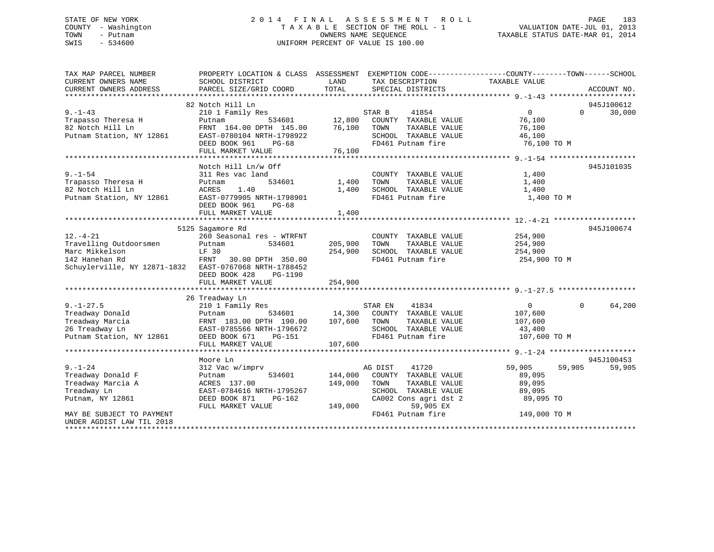# STATE OF NEW YORK 2 0 1 4 F I N A L A S S E S S M E N T R O L L PAGE 183 COUNTY - Washington T A X A B L E SECTION OF THE ROLL - 1 VALUATION DATE-JUL 01, 2013 TOWN - Putnam **CONNERS NAME SEQUENCE** TAXABLE STATUS DATE-MAR 01, 2014 SWIS - 534600 UNIFORM PERCENT OF VALUE IS 100.00

| TOTAL<br>CURRENT OWNERS ADDRESS<br>PARCEL SIZE/GRID COORD<br>SPECIAL DISTRICTS<br>ACCOUNT NO.<br>945J100612<br>82 Notch Hill Ln<br>$9. - 1 - 43$<br>30,000<br>210 1 Family Res<br>STAR B<br>41854<br>$\Omega$<br>$\Omega$<br>12,800<br>534601<br>COUNTY TAXABLE VALUE<br>76,100<br>Trapasso Theresa H<br>Putnam<br>82 Notch Hill Ln<br>FRNT 164.00 DPTH 145.00<br>76,100<br>TAXABLE VALUE<br>TOWN<br>76,100<br>Putnam Station, NY 12861<br>SCHOOL TAXABLE VALUE<br>EAST-0780104 NRTH-1798922<br>46,100<br>FD461 Putnam fire<br>76,100 TO M<br>DEED BOOK 961<br>PG-68<br>76,100<br>FULL MARKET VALUE<br>Notch Hill Ln/w Off<br>945J101035<br>$9. - 1 - 54$<br>COUNTY TAXABLE VALUE<br>1,400<br>311 Res vac land<br>Trapasso Theresa H<br>534601<br>1,400<br>TAXABLE VALUE<br>Putnam<br>TOWN<br>1,400<br>82 Notch Hill Ln<br>ACRES<br>1.40<br>1,400<br>SCHOOL TAXABLE VALUE<br>1,400<br>Putnam Station, NY 12861<br>EAST-0779905 NRTH-1798901<br>FD461 Putnam fire<br>1,400 TO M<br>DEED BOOK 961<br>PG-68<br>FULL MARKET VALUE<br>1,400<br>5125 Sagamore Rd<br>945J100674<br>260 Seasonal res - WTRFNT<br>COUNTY TAXABLE VALUE<br>254,900<br>Travelling Outdoorsmen<br>Putnam<br>534601<br>205,900<br>TOWN<br>TAXABLE VALUE<br>254,900<br>Marc Mikkelson<br>LF 30<br>254,900<br>SCHOOL TAXABLE VALUE<br>254,900<br>142 Hanehan Rd<br>FRNT 30.00 DPTH 350.00<br>FD461 Putnam fire<br>254,900 TO M<br>Schuylerville, NY 12871-1832 EAST-0767068 NRTH-1788452<br>DEED BOOK 428<br>PG-1190<br>FULL MARKET VALUE<br>254,900<br>26 Treadway Ln<br>$9. - 1 - 27.5$<br>41834<br>$\Omega$<br>$\Omega$<br>64,200<br>210 1 Family Res<br>STAR EN<br>534601 14,300<br>Treadway Donald<br>COUNTY TAXABLE VALUE<br>107,600<br>Putnam<br>FRNT 183.00 DPTH 190.00 107,600<br>Treadway Marcia<br>TAXABLE VALUE<br>TOWN<br>107,600<br>26 Treadway Ln<br>SCHOOL TAXABLE VALUE<br>EAST-0785566 NRTH-1796672<br>43,400<br>Putnam Station, NY 12861<br>FD461 Putnam fire<br>DEED BOOK 671<br>PG-151<br>107,600 TO M<br>FULL MARKET VALUE<br>107,600<br>945J100453<br>Moore Ln<br>$9. - 1 - 24$<br>312 Vac w/imprv<br>AG DIST<br>41720<br>59,905<br>59,905<br>59,905<br>Treadway Donald F<br>534601<br>144,000<br>COUNTY TAXABLE VALUE<br>89,095<br>Putnam<br>Treadway Marcia A<br>89,095<br>ACRES 137.00<br>149,000<br>TOWN<br>TAXABLE VALUE<br>Treadway Ln<br>EAST-0784616 NRTH-1795267<br>SCHOOL TAXABLE VALUE<br>89,095<br>Putnam, NY 12861<br>PG-162<br>CA002 Cons agri dst 2<br>DEED BOOK 871<br>89,095 TO<br>149,000<br>59,905 EX<br>FULL MARKET VALUE<br>FD461 Putnam fire<br>149,000 TO M<br>MAY BE SUBJECT TO PAYMENT<br>UNDER AGDIST LAW TIL 2018 | TAX MAP PARCEL NUMBER | PROPERTY LOCATION & CLASS ASSESSMENT EXEMPTION CODE----------------COUNTY-------TOWN------SCHOOL |      |                 |               |  |
|--------------------------------------------------------------------------------------------------------------------------------------------------------------------------------------------------------------------------------------------------------------------------------------------------------------------------------------------------------------------------------------------------------------------------------------------------------------------------------------------------------------------------------------------------------------------------------------------------------------------------------------------------------------------------------------------------------------------------------------------------------------------------------------------------------------------------------------------------------------------------------------------------------------------------------------------------------------------------------------------------------------------------------------------------------------------------------------------------------------------------------------------------------------------------------------------------------------------------------------------------------------------------------------------------------------------------------------------------------------------------------------------------------------------------------------------------------------------------------------------------------------------------------------------------------------------------------------------------------------------------------------------------------------------------------------------------------------------------------------------------------------------------------------------------------------------------------------------------------------------------------------------------------------------------------------------------------------------------------------------------------------------------------------------------------------------------------------------------------------------------------------------------------------------------------------------------------------------------------------------------------------------------------------------------------------------------------------------------------------------------------------------------------------------------------------------------------------------------------------------------------------------------------------------------------------------------------------------------------------------------------------|-----------------------|--------------------------------------------------------------------------------------------------|------|-----------------|---------------|--|
|                                                                                                                                                                                                                                                                                                                                                                                                                                                                                                                                                                                                                                                                                                                                                                                                                                                                                                                                                                                                                                                                                                                                                                                                                                                                                                                                                                                                                                                                                                                                                                                                                                                                                                                                                                                                                                                                                                                                                                                                                                                                                                                                                                                                                                                                                                                                                                                                                                                                                                                                                                                                                                      | CURRENT OWNERS NAME   | SCHOOL DISTRICT                                                                                  | LAND | TAX DESCRIPTION | TAXABLE VALUE |  |
| $12. - 4 - 21$                                                                                                                                                                                                                                                                                                                                                                                                                                                                                                                                                                                                                                                                                                                                                                                                                                                                                                                                                                                                                                                                                                                                                                                                                                                                                                                                                                                                                                                                                                                                                                                                                                                                                                                                                                                                                                                                                                                                                                                                                                                                                                                                                                                                                                                                                                                                                                                                                                                                                                                                                                                                                       |                       |                                                                                                  |      |                 |               |  |
|                                                                                                                                                                                                                                                                                                                                                                                                                                                                                                                                                                                                                                                                                                                                                                                                                                                                                                                                                                                                                                                                                                                                                                                                                                                                                                                                                                                                                                                                                                                                                                                                                                                                                                                                                                                                                                                                                                                                                                                                                                                                                                                                                                                                                                                                                                                                                                                                                                                                                                                                                                                                                                      |                       |                                                                                                  |      |                 |               |  |
|                                                                                                                                                                                                                                                                                                                                                                                                                                                                                                                                                                                                                                                                                                                                                                                                                                                                                                                                                                                                                                                                                                                                                                                                                                                                                                                                                                                                                                                                                                                                                                                                                                                                                                                                                                                                                                                                                                                                                                                                                                                                                                                                                                                                                                                                                                                                                                                                                                                                                                                                                                                                                                      |                       |                                                                                                  |      |                 |               |  |
|                                                                                                                                                                                                                                                                                                                                                                                                                                                                                                                                                                                                                                                                                                                                                                                                                                                                                                                                                                                                                                                                                                                                                                                                                                                                                                                                                                                                                                                                                                                                                                                                                                                                                                                                                                                                                                                                                                                                                                                                                                                                                                                                                                                                                                                                                                                                                                                                                                                                                                                                                                                                                                      |                       |                                                                                                  |      |                 |               |  |
|                                                                                                                                                                                                                                                                                                                                                                                                                                                                                                                                                                                                                                                                                                                                                                                                                                                                                                                                                                                                                                                                                                                                                                                                                                                                                                                                                                                                                                                                                                                                                                                                                                                                                                                                                                                                                                                                                                                                                                                                                                                                                                                                                                                                                                                                                                                                                                                                                                                                                                                                                                                                                                      |                       |                                                                                                  |      |                 |               |  |
|                                                                                                                                                                                                                                                                                                                                                                                                                                                                                                                                                                                                                                                                                                                                                                                                                                                                                                                                                                                                                                                                                                                                                                                                                                                                                                                                                                                                                                                                                                                                                                                                                                                                                                                                                                                                                                                                                                                                                                                                                                                                                                                                                                                                                                                                                                                                                                                                                                                                                                                                                                                                                                      |                       |                                                                                                  |      |                 |               |  |
|                                                                                                                                                                                                                                                                                                                                                                                                                                                                                                                                                                                                                                                                                                                                                                                                                                                                                                                                                                                                                                                                                                                                                                                                                                                                                                                                                                                                                                                                                                                                                                                                                                                                                                                                                                                                                                                                                                                                                                                                                                                                                                                                                                                                                                                                                                                                                                                                                                                                                                                                                                                                                                      |                       |                                                                                                  |      |                 |               |  |
|                                                                                                                                                                                                                                                                                                                                                                                                                                                                                                                                                                                                                                                                                                                                                                                                                                                                                                                                                                                                                                                                                                                                                                                                                                                                                                                                                                                                                                                                                                                                                                                                                                                                                                                                                                                                                                                                                                                                                                                                                                                                                                                                                                                                                                                                                                                                                                                                                                                                                                                                                                                                                                      |                       |                                                                                                  |      |                 |               |  |
|                                                                                                                                                                                                                                                                                                                                                                                                                                                                                                                                                                                                                                                                                                                                                                                                                                                                                                                                                                                                                                                                                                                                                                                                                                                                                                                                                                                                                                                                                                                                                                                                                                                                                                                                                                                                                                                                                                                                                                                                                                                                                                                                                                                                                                                                                                                                                                                                                                                                                                                                                                                                                                      |                       |                                                                                                  |      |                 |               |  |
|                                                                                                                                                                                                                                                                                                                                                                                                                                                                                                                                                                                                                                                                                                                                                                                                                                                                                                                                                                                                                                                                                                                                                                                                                                                                                                                                                                                                                                                                                                                                                                                                                                                                                                                                                                                                                                                                                                                                                                                                                                                                                                                                                                                                                                                                                                                                                                                                                                                                                                                                                                                                                                      |                       |                                                                                                  |      |                 |               |  |
|                                                                                                                                                                                                                                                                                                                                                                                                                                                                                                                                                                                                                                                                                                                                                                                                                                                                                                                                                                                                                                                                                                                                                                                                                                                                                                                                                                                                                                                                                                                                                                                                                                                                                                                                                                                                                                                                                                                                                                                                                                                                                                                                                                                                                                                                                                                                                                                                                                                                                                                                                                                                                                      |                       |                                                                                                  |      |                 |               |  |
|                                                                                                                                                                                                                                                                                                                                                                                                                                                                                                                                                                                                                                                                                                                                                                                                                                                                                                                                                                                                                                                                                                                                                                                                                                                                                                                                                                                                                                                                                                                                                                                                                                                                                                                                                                                                                                                                                                                                                                                                                                                                                                                                                                                                                                                                                                                                                                                                                                                                                                                                                                                                                                      |                       |                                                                                                  |      |                 |               |  |
|                                                                                                                                                                                                                                                                                                                                                                                                                                                                                                                                                                                                                                                                                                                                                                                                                                                                                                                                                                                                                                                                                                                                                                                                                                                                                                                                                                                                                                                                                                                                                                                                                                                                                                                                                                                                                                                                                                                                                                                                                                                                                                                                                                                                                                                                                                                                                                                                                                                                                                                                                                                                                                      |                       |                                                                                                  |      |                 |               |  |
|                                                                                                                                                                                                                                                                                                                                                                                                                                                                                                                                                                                                                                                                                                                                                                                                                                                                                                                                                                                                                                                                                                                                                                                                                                                                                                                                                                                                                                                                                                                                                                                                                                                                                                                                                                                                                                                                                                                                                                                                                                                                                                                                                                                                                                                                                                                                                                                                                                                                                                                                                                                                                                      |                       |                                                                                                  |      |                 |               |  |
|                                                                                                                                                                                                                                                                                                                                                                                                                                                                                                                                                                                                                                                                                                                                                                                                                                                                                                                                                                                                                                                                                                                                                                                                                                                                                                                                                                                                                                                                                                                                                                                                                                                                                                                                                                                                                                                                                                                                                                                                                                                                                                                                                                                                                                                                                                                                                                                                                                                                                                                                                                                                                                      |                       |                                                                                                  |      |                 |               |  |
|                                                                                                                                                                                                                                                                                                                                                                                                                                                                                                                                                                                                                                                                                                                                                                                                                                                                                                                                                                                                                                                                                                                                                                                                                                                                                                                                                                                                                                                                                                                                                                                                                                                                                                                                                                                                                                                                                                                                                                                                                                                                                                                                                                                                                                                                                                                                                                                                                                                                                                                                                                                                                                      |                       |                                                                                                  |      |                 |               |  |
|                                                                                                                                                                                                                                                                                                                                                                                                                                                                                                                                                                                                                                                                                                                                                                                                                                                                                                                                                                                                                                                                                                                                                                                                                                                                                                                                                                                                                                                                                                                                                                                                                                                                                                                                                                                                                                                                                                                                                                                                                                                                                                                                                                                                                                                                                                                                                                                                                                                                                                                                                                                                                                      |                       |                                                                                                  |      |                 |               |  |
|                                                                                                                                                                                                                                                                                                                                                                                                                                                                                                                                                                                                                                                                                                                                                                                                                                                                                                                                                                                                                                                                                                                                                                                                                                                                                                                                                                                                                                                                                                                                                                                                                                                                                                                                                                                                                                                                                                                                                                                                                                                                                                                                                                                                                                                                                                                                                                                                                                                                                                                                                                                                                                      |                       |                                                                                                  |      |                 |               |  |
|                                                                                                                                                                                                                                                                                                                                                                                                                                                                                                                                                                                                                                                                                                                                                                                                                                                                                                                                                                                                                                                                                                                                                                                                                                                                                                                                                                                                                                                                                                                                                                                                                                                                                                                                                                                                                                                                                                                                                                                                                                                                                                                                                                                                                                                                                                                                                                                                                                                                                                                                                                                                                                      |                       |                                                                                                  |      |                 |               |  |
|                                                                                                                                                                                                                                                                                                                                                                                                                                                                                                                                                                                                                                                                                                                                                                                                                                                                                                                                                                                                                                                                                                                                                                                                                                                                                                                                                                                                                                                                                                                                                                                                                                                                                                                                                                                                                                                                                                                                                                                                                                                                                                                                                                                                                                                                                                                                                                                                                                                                                                                                                                                                                                      |                       |                                                                                                  |      |                 |               |  |
|                                                                                                                                                                                                                                                                                                                                                                                                                                                                                                                                                                                                                                                                                                                                                                                                                                                                                                                                                                                                                                                                                                                                                                                                                                                                                                                                                                                                                                                                                                                                                                                                                                                                                                                                                                                                                                                                                                                                                                                                                                                                                                                                                                                                                                                                                                                                                                                                                                                                                                                                                                                                                                      |                       |                                                                                                  |      |                 |               |  |
|                                                                                                                                                                                                                                                                                                                                                                                                                                                                                                                                                                                                                                                                                                                                                                                                                                                                                                                                                                                                                                                                                                                                                                                                                                                                                                                                                                                                                                                                                                                                                                                                                                                                                                                                                                                                                                                                                                                                                                                                                                                                                                                                                                                                                                                                                                                                                                                                                                                                                                                                                                                                                                      |                       |                                                                                                  |      |                 |               |  |
|                                                                                                                                                                                                                                                                                                                                                                                                                                                                                                                                                                                                                                                                                                                                                                                                                                                                                                                                                                                                                                                                                                                                                                                                                                                                                                                                                                                                                                                                                                                                                                                                                                                                                                                                                                                                                                                                                                                                                                                                                                                                                                                                                                                                                                                                                                                                                                                                                                                                                                                                                                                                                                      |                       |                                                                                                  |      |                 |               |  |
|                                                                                                                                                                                                                                                                                                                                                                                                                                                                                                                                                                                                                                                                                                                                                                                                                                                                                                                                                                                                                                                                                                                                                                                                                                                                                                                                                                                                                                                                                                                                                                                                                                                                                                                                                                                                                                                                                                                                                                                                                                                                                                                                                                                                                                                                                                                                                                                                                                                                                                                                                                                                                                      |                       |                                                                                                  |      |                 |               |  |
|                                                                                                                                                                                                                                                                                                                                                                                                                                                                                                                                                                                                                                                                                                                                                                                                                                                                                                                                                                                                                                                                                                                                                                                                                                                                                                                                                                                                                                                                                                                                                                                                                                                                                                                                                                                                                                                                                                                                                                                                                                                                                                                                                                                                                                                                                                                                                                                                                                                                                                                                                                                                                                      |                       |                                                                                                  |      |                 |               |  |
|                                                                                                                                                                                                                                                                                                                                                                                                                                                                                                                                                                                                                                                                                                                                                                                                                                                                                                                                                                                                                                                                                                                                                                                                                                                                                                                                                                                                                                                                                                                                                                                                                                                                                                                                                                                                                                                                                                                                                                                                                                                                                                                                                                                                                                                                                                                                                                                                                                                                                                                                                                                                                                      |                       |                                                                                                  |      |                 |               |  |
|                                                                                                                                                                                                                                                                                                                                                                                                                                                                                                                                                                                                                                                                                                                                                                                                                                                                                                                                                                                                                                                                                                                                                                                                                                                                                                                                                                                                                                                                                                                                                                                                                                                                                                                                                                                                                                                                                                                                                                                                                                                                                                                                                                                                                                                                                                                                                                                                                                                                                                                                                                                                                                      |                       |                                                                                                  |      |                 |               |  |
|                                                                                                                                                                                                                                                                                                                                                                                                                                                                                                                                                                                                                                                                                                                                                                                                                                                                                                                                                                                                                                                                                                                                                                                                                                                                                                                                                                                                                                                                                                                                                                                                                                                                                                                                                                                                                                                                                                                                                                                                                                                                                                                                                                                                                                                                                                                                                                                                                                                                                                                                                                                                                                      |                       |                                                                                                  |      |                 |               |  |
|                                                                                                                                                                                                                                                                                                                                                                                                                                                                                                                                                                                                                                                                                                                                                                                                                                                                                                                                                                                                                                                                                                                                                                                                                                                                                                                                                                                                                                                                                                                                                                                                                                                                                                                                                                                                                                                                                                                                                                                                                                                                                                                                                                                                                                                                                                                                                                                                                                                                                                                                                                                                                                      |                       |                                                                                                  |      |                 |               |  |
|                                                                                                                                                                                                                                                                                                                                                                                                                                                                                                                                                                                                                                                                                                                                                                                                                                                                                                                                                                                                                                                                                                                                                                                                                                                                                                                                                                                                                                                                                                                                                                                                                                                                                                                                                                                                                                                                                                                                                                                                                                                                                                                                                                                                                                                                                                                                                                                                                                                                                                                                                                                                                                      |                       |                                                                                                  |      |                 |               |  |
|                                                                                                                                                                                                                                                                                                                                                                                                                                                                                                                                                                                                                                                                                                                                                                                                                                                                                                                                                                                                                                                                                                                                                                                                                                                                                                                                                                                                                                                                                                                                                                                                                                                                                                                                                                                                                                                                                                                                                                                                                                                                                                                                                                                                                                                                                                                                                                                                                                                                                                                                                                                                                                      |                       |                                                                                                  |      |                 |               |  |
|                                                                                                                                                                                                                                                                                                                                                                                                                                                                                                                                                                                                                                                                                                                                                                                                                                                                                                                                                                                                                                                                                                                                                                                                                                                                                                                                                                                                                                                                                                                                                                                                                                                                                                                                                                                                                                                                                                                                                                                                                                                                                                                                                                                                                                                                                                                                                                                                                                                                                                                                                                                                                                      |                       |                                                                                                  |      |                 |               |  |
|                                                                                                                                                                                                                                                                                                                                                                                                                                                                                                                                                                                                                                                                                                                                                                                                                                                                                                                                                                                                                                                                                                                                                                                                                                                                                                                                                                                                                                                                                                                                                                                                                                                                                                                                                                                                                                                                                                                                                                                                                                                                                                                                                                                                                                                                                                                                                                                                                                                                                                                                                                                                                                      |                       |                                                                                                  |      |                 |               |  |
|                                                                                                                                                                                                                                                                                                                                                                                                                                                                                                                                                                                                                                                                                                                                                                                                                                                                                                                                                                                                                                                                                                                                                                                                                                                                                                                                                                                                                                                                                                                                                                                                                                                                                                                                                                                                                                                                                                                                                                                                                                                                                                                                                                                                                                                                                                                                                                                                                                                                                                                                                                                                                                      |                       |                                                                                                  |      |                 |               |  |
|                                                                                                                                                                                                                                                                                                                                                                                                                                                                                                                                                                                                                                                                                                                                                                                                                                                                                                                                                                                                                                                                                                                                                                                                                                                                                                                                                                                                                                                                                                                                                                                                                                                                                                                                                                                                                                                                                                                                                                                                                                                                                                                                                                                                                                                                                                                                                                                                                                                                                                                                                                                                                                      |                       |                                                                                                  |      |                 |               |  |
|                                                                                                                                                                                                                                                                                                                                                                                                                                                                                                                                                                                                                                                                                                                                                                                                                                                                                                                                                                                                                                                                                                                                                                                                                                                                                                                                                                                                                                                                                                                                                                                                                                                                                                                                                                                                                                                                                                                                                                                                                                                                                                                                                                                                                                                                                                                                                                                                                                                                                                                                                                                                                                      |                       |                                                                                                  |      |                 |               |  |
|                                                                                                                                                                                                                                                                                                                                                                                                                                                                                                                                                                                                                                                                                                                                                                                                                                                                                                                                                                                                                                                                                                                                                                                                                                                                                                                                                                                                                                                                                                                                                                                                                                                                                                                                                                                                                                                                                                                                                                                                                                                                                                                                                                                                                                                                                                                                                                                                                                                                                                                                                                                                                                      |                       |                                                                                                  |      |                 |               |  |
|                                                                                                                                                                                                                                                                                                                                                                                                                                                                                                                                                                                                                                                                                                                                                                                                                                                                                                                                                                                                                                                                                                                                                                                                                                                                                                                                                                                                                                                                                                                                                                                                                                                                                                                                                                                                                                                                                                                                                                                                                                                                                                                                                                                                                                                                                                                                                                                                                                                                                                                                                                                                                                      |                       |                                                                                                  |      |                 |               |  |
|                                                                                                                                                                                                                                                                                                                                                                                                                                                                                                                                                                                                                                                                                                                                                                                                                                                                                                                                                                                                                                                                                                                                                                                                                                                                                                                                                                                                                                                                                                                                                                                                                                                                                                                                                                                                                                                                                                                                                                                                                                                                                                                                                                                                                                                                                                                                                                                                                                                                                                                                                                                                                                      |                       |                                                                                                  |      |                 |               |  |
|                                                                                                                                                                                                                                                                                                                                                                                                                                                                                                                                                                                                                                                                                                                                                                                                                                                                                                                                                                                                                                                                                                                                                                                                                                                                                                                                                                                                                                                                                                                                                                                                                                                                                                                                                                                                                                                                                                                                                                                                                                                                                                                                                                                                                                                                                                                                                                                                                                                                                                                                                                                                                                      |                       |                                                                                                  |      |                 |               |  |
|                                                                                                                                                                                                                                                                                                                                                                                                                                                                                                                                                                                                                                                                                                                                                                                                                                                                                                                                                                                                                                                                                                                                                                                                                                                                                                                                                                                                                                                                                                                                                                                                                                                                                                                                                                                                                                                                                                                                                                                                                                                                                                                                                                                                                                                                                                                                                                                                                                                                                                                                                                                                                                      |                       |                                                                                                  |      |                 |               |  |
|                                                                                                                                                                                                                                                                                                                                                                                                                                                                                                                                                                                                                                                                                                                                                                                                                                                                                                                                                                                                                                                                                                                                                                                                                                                                                                                                                                                                                                                                                                                                                                                                                                                                                                                                                                                                                                                                                                                                                                                                                                                                                                                                                                                                                                                                                                                                                                                                                                                                                                                                                                                                                                      |                       |                                                                                                  |      |                 |               |  |
|                                                                                                                                                                                                                                                                                                                                                                                                                                                                                                                                                                                                                                                                                                                                                                                                                                                                                                                                                                                                                                                                                                                                                                                                                                                                                                                                                                                                                                                                                                                                                                                                                                                                                                                                                                                                                                                                                                                                                                                                                                                                                                                                                                                                                                                                                                                                                                                                                                                                                                                                                                                                                                      |                       |                                                                                                  |      |                 |               |  |
|                                                                                                                                                                                                                                                                                                                                                                                                                                                                                                                                                                                                                                                                                                                                                                                                                                                                                                                                                                                                                                                                                                                                                                                                                                                                                                                                                                                                                                                                                                                                                                                                                                                                                                                                                                                                                                                                                                                                                                                                                                                                                                                                                                                                                                                                                                                                                                                                                                                                                                                                                                                                                                      |                       |                                                                                                  |      |                 |               |  |
|                                                                                                                                                                                                                                                                                                                                                                                                                                                                                                                                                                                                                                                                                                                                                                                                                                                                                                                                                                                                                                                                                                                                                                                                                                                                                                                                                                                                                                                                                                                                                                                                                                                                                                                                                                                                                                                                                                                                                                                                                                                                                                                                                                                                                                                                                                                                                                                                                                                                                                                                                                                                                                      |                       |                                                                                                  |      |                 |               |  |
|                                                                                                                                                                                                                                                                                                                                                                                                                                                                                                                                                                                                                                                                                                                                                                                                                                                                                                                                                                                                                                                                                                                                                                                                                                                                                                                                                                                                                                                                                                                                                                                                                                                                                                                                                                                                                                                                                                                                                                                                                                                                                                                                                                                                                                                                                                                                                                                                                                                                                                                                                                                                                                      |                       |                                                                                                  |      |                 |               |  |
|                                                                                                                                                                                                                                                                                                                                                                                                                                                                                                                                                                                                                                                                                                                                                                                                                                                                                                                                                                                                                                                                                                                                                                                                                                                                                                                                                                                                                                                                                                                                                                                                                                                                                                                                                                                                                                                                                                                                                                                                                                                                                                                                                                                                                                                                                                                                                                                                                                                                                                                                                                                                                                      |                       |                                                                                                  |      |                 |               |  |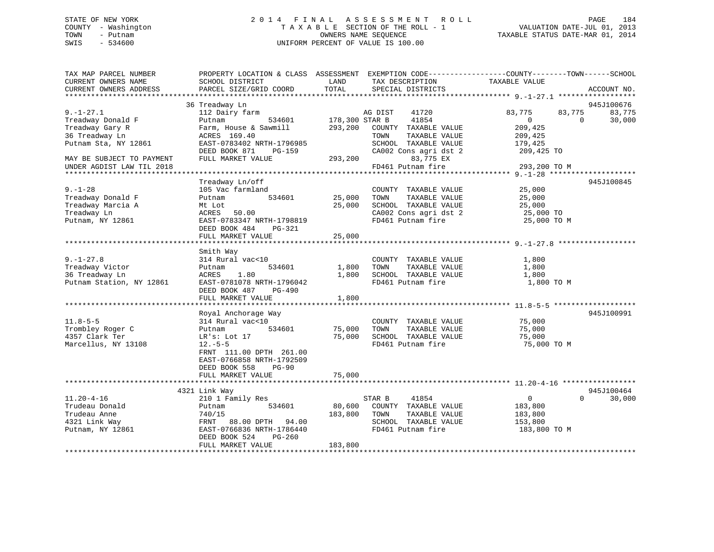# STATE OF NEW YORK 2 0 1 4 F I N A L A S S E S S M E N T R O L L PAGE 184 COUNTY - Washington T A X A B L E SECTION OF THE ROLL - 1 VALUATION DATE-JUL 01, 2013 TOWN - Putnam OWNERS NAME SEQUENCE TAXABLE STATUS DATE-MAR 01, 2014 SWIS - 534600 UNIFORM PERCENT OF VALUE IS 100.00

| TAX MAP PARCEL NUMBER<br>CURRENT OWNERS NAME<br>CURRENT OWNERS ADDRESS                            | PROPERTY LOCATION & CLASS ASSESSMENT<br>SCHOOL DISTRICT<br>PARCEL SIZE/GRID COORD                                                                                            | LAND<br>TOTAL              | TAX DESCRIPTION<br>SPECIAL DISTRICTS                                                                                | EXEMPTION CODE-----------------COUNTY-------TOWN------SCHOOL<br>TAXABLE VALUE   | ACCOUNT NO.          |
|---------------------------------------------------------------------------------------------------|------------------------------------------------------------------------------------------------------------------------------------------------------------------------------|----------------------------|---------------------------------------------------------------------------------------------------------------------|---------------------------------------------------------------------------------|----------------------|
|                                                                                                   |                                                                                                                                                                              |                            |                                                                                                                     |                                                                                 |                      |
|                                                                                                   | 36 Treadway Ln                                                                                                                                                               |                            |                                                                                                                     |                                                                                 | 945J100676           |
| $9. - 1 - 27.1$<br>Treadway Donald F<br>Treadway Gary R<br>36 Treadway Ln<br>Putnam Sta, NY 12861 | 112 Dairy farm<br>534601<br>Putnam<br>Farm, House & Sawmill<br>ACRES 169.40<br>EAST-0783402 NRTH-1796985                                                                     | 178,300 STAR B<br>293,200  | AG DIST<br>41720<br>41854<br>COUNTY TAXABLE VALUE<br>TOWN<br>TAXABLE VALUE<br>SCHOOL TAXABLE VALUE                  | 83,775<br>83,775<br>$\overline{0}$<br>$\Omega$<br>209,425<br>209,425<br>179,425 | 83,775<br>30,000     |
| MAY BE SUBJECT TO PAYMENT<br>UNDER AGDIST LAW TIL 2018                                            | DEED BOOK 871<br>PG-159<br>FULL MARKET VALUE                                                                                                                                 | 293,200                    | CA002 Cons agri dst 2<br>83,775 EX<br>FD461 Putnam fire                                                             | 209,425 TO<br>293,200 TO M                                                      |                      |
|                                                                                                   |                                                                                                                                                                              |                            |                                                                                                                     |                                                                                 |                      |
| $9. - 1 - 28$<br>Treadway Donald F<br>Treadway Marcia A<br>Treadway Ln<br>Putnam, NY 12861        | Treadway Ln/off<br>105 Vac farmland<br>534601<br>Putnam<br>Mt Lot<br>ACRES<br>50.00<br>EAST-0783347 NRTH-1798819<br>DEED BOOK 484<br>PG-321<br>FULL MARKET VALUE             | 25,000<br>25,000<br>25,000 | COUNTY TAXABLE VALUE<br>TOWN<br>TAXABLE VALUE<br>SCHOOL TAXABLE VALUE<br>CA002 Cons agri dst 2<br>FD461 Putnam fire | 25,000<br>25,000<br>25,000<br>25,000 TO<br>25,000 TO M                          | 945J100845           |
|                                                                                                   |                                                                                                                                                                              |                            |                                                                                                                     |                                                                                 |                      |
| $9. - 1 - 27.8$<br>Treadway Victor<br>36 Treadway Ln<br>Putnam Station, NY 12861                  | Smith Way<br>314 Rural vac<10<br>534601<br>Putnam<br>ACRES<br>1.80<br>EAST-0781078 NRTH-1796042<br>DEED BOOK 487<br><b>PG-490</b>                                            | 1,800<br>1,800             | COUNTY TAXABLE VALUE<br>TOWN<br>TAXABLE VALUE<br>SCHOOL TAXABLE VALUE<br>FD461 Putnam fire                          | 1,800<br>1,800<br>1,800<br>1,800 TO M                                           |                      |
|                                                                                                   | FULL MARKET VALUE                                                                                                                                                            | 1,800                      |                                                                                                                     |                                                                                 |                      |
| $11.8 - 5 - 5$<br>Trombley Roger C<br>4357 Clark Ter<br>Marcellus, NY 13108                       | Royal Anchorage Way<br>314 Rural vac<10<br>534601<br>Putnam<br>LR's: Lot 17<br>$12.-5-5$<br>FRNT 111.00 DPTH 261.00<br>EAST-0766858 NRTH-1792509<br>DEED BOOK 558<br>$PG-90$ | 75,000<br>75,000           | COUNTY TAXABLE VALUE<br>TAXABLE VALUE<br>TOWN<br>SCHOOL TAXABLE VALUE<br>FD461 Putnam fire                          | 75,000<br>75,000<br>75,000<br>75,000 TO M                                       | 945J100991           |
|                                                                                                   | FULL MARKET VALUE                                                                                                                                                            | 75,000                     |                                                                                                                     |                                                                                 |                      |
|                                                                                                   |                                                                                                                                                                              |                            |                                                                                                                     |                                                                                 |                      |
| $11.20 - 4 - 16$<br>Trudeau Donald<br>Trudeau Anne<br>4321 Link Way<br>Putnam, NY 12861           | 4321 Link Way<br>210 1 Family Res<br>534601<br>Putnam<br>740/15<br>94.00<br>FRNT<br>88.00 DPTH<br>EAST-0766836 NRTH-1786440<br>$PG-260$<br>DEED BOOK 524                     | 80,600<br>183,800          | STAR B<br>41854<br>COUNTY TAXABLE VALUE<br>TAXABLE VALUE<br>TOWN<br>SCHOOL TAXABLE VALUE<br>FD461 Putnam fire       | $\overline{0}$<br>$\Omega$<br>183,800<br>183,800<br>153,800<br>183,800 TO M     | 945J100464<br>30,000 |
|                                                                                                   | FULL MARKET VALUE                                                                                                                                                            | 183,800                    |                                                                                                                     |                                                                                 |                      |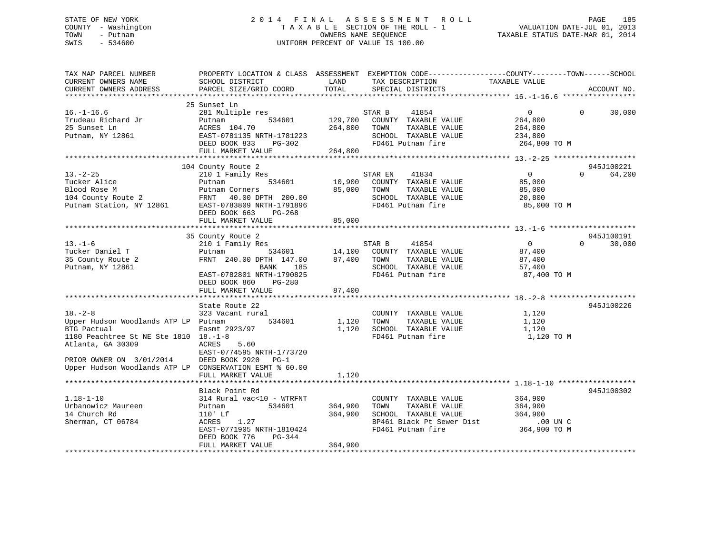# STATE OF NEW YORK 2 0 1 4 F I N A L A S S E S S M E N T R O L L PAGE 185 COUNTY - Washington T A X A B L E SECTION OF THE ROLL - 1 VALUATION DATE-JUL 01, 2013 TOWN - Putnam OWNERS NAME SEQUENCE TAXABLE STATUS DATE-MAR 01, 2014 SWIS - 534600 UNIFORM PERCENT OF VALUE IS 100.00

| TAX MAP PARCEL NUMBER<br>CURRENT OWNERS NAME            | PROPERTY LOCATION & CLASS ASSESSMENT EXEMPTION CODE---------------COUNTY-------TOWN------SCHOOL<br>SCHOOL DISTRICT                                                                                      | LAND                | TAX DESCRIPTION                           | TAXABLE VALUE  |          |             |
|---------------------------------------------------------|---------------------------------------------------------------------------------------------------------------------------------------------------------------------------------------------------------|---------------------|-------------------------------------------|----------------|----------|-------------|
| CURRENT OWNERS ADDRESS                                  | PARCEL SIZE/GRID COORD                                                                                                                                                                                  | TOTAL               | SPECIAL DISTRICTS                         |                |          | ACCOUNT NO. |
|                                                         |                                                                                                                                                                                                         |                     |                                           |                |          |             |
|                                                         | 25 Sunset Ln                                                                                                                                                                                            |                     |                                           |                |          |             |
| $16. - 1 - 16.6$                                        | 281 Multiple res                                                                                                                                                                                        |                     | 41854<br>STAR B                           | $\overline{0}$ | $\Omega$ | 30,000      |
| Trudeau Richard Jr                                      | Putnam                                                                                                                                                                                                  |                     | 534601 129,700 COUNTY TAXABLE VALUE       | 264,800        |          |             |
| 25 Sunset Ln                                            | ACRES 104.70                                                                                                                                                                                            | 264,800 TOWN        | TAXABLE VALUE                             | 264,800        |          |             |
| Putnam, NY 12861                                        | EAST-0781135 NRTH-1781223                                                                                                                                                                               |                     | SCHOOL TAXABLE VALUE                      | 234,800        |          |             |
|                                                         | DEED BOOK 833                                                                                                                                                                                           | H-1781223<br>PG-302 | FD461 Putnam fire                         | 264,800 TO M   |          |             |
|                                                         | FULL MARKET VALUE                                                                                                                                                                                       | 264,800             |                                           |                |          |             |
|                                                         |                                                                                                                                                                                                         |                     |                                           |                |          |             |
|                                                         | 104 County Route 2                                                                                                                                                                                      |                     |                                           |                |          | 945J100221  |
| $13. - 2 - 25$                                          | 210 1 Family Res                                                                                                                                                                                        |                     | 41834<br>STAR EN                          | $\overline{0}$ | $\Omega$ | 64,200      |
|                                                         |                                                                                                                                                                                                         |                     | 10,900 COUNTY TAXABLE VALUE               | 85,000         |          |             |
|                                                         |                                                                                                                                                                                                         | 85,000 TOWN         | TAXABLE VALUE                             | 85,000         |          |             |
|                                                         |                                                                                                                                                                                                         |                     | SCHOOL TAXABLE VALUE                      | 20,800         |          |             |
|                                                         |                                                                                                                                                                                                         |                     | FD461 Putnam fire                         | 85,000 TO M    |          |             |
|                                                         | DEED BOOK 663<br>PG-268                                                                                                                                                                                 |                     |                                           |                |          |             |
|                                                         | FULL MARKET VALUE                                                                                                                                                                                       | 85,000              |                                           |                |          |             |
|                                                         |                                                                                                                                                                                                         |                     |                                           |                |          |             |
|                                                         | 35 County Route 2                                                                                                                                                                                       |                     |                                           |                |          | 945J100191  |
| $13. - 1 - 6$                                           | 210 1 Family Res                                                                                                                                                                                        |                     | STAR B 41854                              | $\overline{0}$ | $\Omega$ | 30,000      |
| Tucker Daniel T                                         | Putnam                                                                                                                                                                                                  |                     | 534601 14,100 COUNTY TAXABLE VALUE 87,400 |                |          |             |
| 1ucket 2                                                |                                                                                                                                                                                                         |                     | TAXABLE VALUE                             | 87,400         |          |             |
| Putnam, NY 12861                                        | $\begin{tabular}{lllllll} \multicolumn{2}{c}{\textbf{FRNT}} & 240.00 & \textbf{DPTH} & 147.00 & 87,400 & \textbf{TOWN} \\ & \multicolumn{2}{c}{\textbf{BANK}} & 185 & \textbf{SCHOOL} \\ \end{tabular}$ |                     | SCHOOL TAXABLE VALUE                      | 57,400         |          |             |
|                                                         | EAST-0782801 NRTH-1790825                                                                                                                                                                               |                     | FD461 Putnam fire                         | 87,400 TO M    |          |             |
|                                                         | DEED BOOK 860 PG-280                                                                                                                                                                                    |                     |                                           |                |          |             |
|                                                         | FULL MARKET VALUE                                                                                                                                                                                       | 87,400              |                                           |                |          |             |
|                                                         |                                                                                                                                                                                                         |                     |                                           |                |          |             |
|                                                         | State Route 22                                                                                                                                                                                          |                     |                                           |                |          | 945J100226  |
| $18. - 2 - 8$                                           | 323 Vacant rural                                                                                                                                                                                        |                     | COUNTY TAXABLE VALUE                      | 1,120          |          |             |
| Upper Hudson Woodlands ATP LP Putnam                    | 534601                                                                                                                                                                                                  | 1,120 TOWN          | TAXABLE VALUE                             | 1,120          |          |             |
| BTG Pactual                                             | Easmt 2923/97                                                                                                                                                                                           |                     | 1,120 SCHOOL TAXABLE VALUE                | 1,120          |          |             |
| 1180 Peachtree St NE Ste 1810 18.-1-8                   |                                                                                                                                                                                                         |                     | FD461 Putnam fire                         | 1,120 TO M     |          |             |
| Atlanta, GA 30309                                       | 5.60<br>ACRES                                                                                                                                                                                           |                     |                                           |                |          |             |
|                                                         | EAST-0774595 NRTH-1773720                                                                                                                                                                               |                     |                                           |                |          |             |
| PRIOR OWNER ON 3/01/2014                                | DEED BOOK 2920<br>$PG-1$                                                                                                                                                                                |                     |                                           |                |          |             |
| Upper Hudson Woodlands ATP LP CONSERVATION ESMT % 60.00 |                                                                                                                                                                                                         |                     |                                           |                |          |             |
|                                                         | FULL MARKET VALUE                                                                                                                                                                                       | 1,120               |                                           |                |          |             |
|                                                         |                                                                                                                                                                                                         |                     |                                           |                |          |             |
|                                                         | Black Point Rd                                                                                                                                                                                          |                     |                                           |                |          | 945J100302  |
| $1.18 - 1 - 10$                                         | 314 Rural vac<10 - WTRFNT                                                                                                                                                                               |                     | COUNTY TAXABLE VALUE                      | 364,900        |          |             |
| Urbanowicz Maureen                                      | 534601<br>Putnam                                                                                                                                                                                        | 364,900             | TAXABLE VALUE 364,900<br>TOWN             |                |          |             |
| 14 Church Rd                                            | $110'$ Lf                                                                                                                                                                                               | 364,900             | SCHOOL TAXABLE VALUE                      | 364,900        |          |             |
| Sherman, CT 06784                                       | 1.27<br>ACRES                                                                                                                                                                                           |                     | BP461 Black Pt Sewer Dist .00 UN C        |                |          |             |
|                                                         | EAST-0771905 NRTH-1810424                                                                                                                                                                               |                     | FD461 Putnam fire                         | 364,900 TO M   |          |             |
|                                                         | DEED BOOK 776<br>$PG-344$                                                                                                                                                                               |                     |                                           |                |          |             |
|                                                         | FULL MARKET VALUE                                                                                                                                                                                       | 364,900             |                                           |                |          |             |
|                                                         |                                                                                                                                                                                                         |                     |                                           |                |          |             |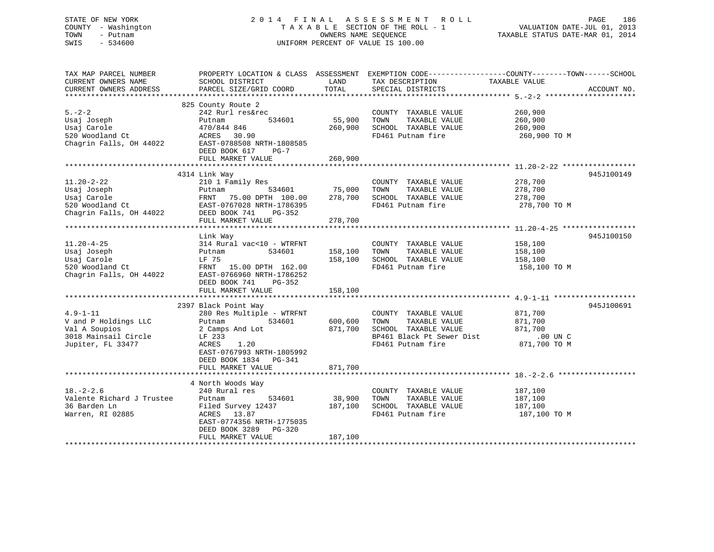# STATE OF NEW YORK 2 0 1 4 F I N A L A S S E S S M E N T R O L L PAGE 186 COUNTY - Washington T A X A B L E SECTION OF THE ROLL - 1 VALUATION DATE-JUL 01, 2013 TOWN - Putnam OWNERS NAME SEQUENCE TAXABLE STATUS DATE-MAR 01, 2014 SWIS - 534600 UNIFORM PERCENT OF VALUE IS 100.00

| TAX MAP PARCEL NUMBER<br>CURRENT OWNERS NAME<br>CURRENT OWNERS ADDRESS                               | PROPERTY LOCATION & CLASS ASSESSMENT<br>SCHOOL DISTRICT<br>PARCEL SIZE/GRID COORD                                                                                                                        | LAND<br>TOTAL                 | EXEMPTION CODE-----------------COUNTY-------TOWN------SCHOOL<br>TAX DESCRIPTION<br>SPECIAL DISTRICTS                    | TAXABLE VALUE                                                 | ACCOUNT NO. |
|------------------------------------------------------------------------------------------------------|----------------------------------------------------------------------------------------------------------------------------------------------------------------------------------------------------------|-------------------------------|-------------------------------------------------------------------------------------------------------------------------|---------------------------------------------------------------|-------------|
| $5. - 2 - 2$<br>Usaj Joseph<br>Usaj Carole<br>520 Woodland Ct<br>Chagrin Falls, OH 44022             | 825 County Route 2<br>242 Rurl res&rec<br>534601<br>Putnam<br>470/844 846<br>ACRES<br>30.90<br>EAST-0788508 NRTH-1808585<br>DEED BOOK 617<br>$PG-7$<br>FULL MARKET VALUE                                 | 55,900<br>260,900<br>260,900  | COUNTY TAXABLE VALUE<br>TOWN<br>TAXABLE VALUE<br>SCHOOL TAXABLE VALUE<br>FD461 Putnam fire                              | 260,900<br>260,900<br>260,900<br>260,900 TO M                 |             |
| $11.20 - 2 - 22$<br>Usaj Joseph<br>Usaj Carole<br>520 Woodland Ct<br>Chagrin Falls, OH 44022         | 4314 Link Way<br>210 1 Family Res<br>534601<br>Putnam<br>75.00 DPTH 100.00<br>FRNT<br>EAST-0767028 NRTH-1786395<br>DEED BOOK 741<br>PG-352<br>FULL MARKET VALUE                                          | 75,000<br>278,700<br>278,700  | COUNTY TAXABLE VALUE<br>TAXABLE VALUE<br>TOWN<br>SCHOOL TAXABLE VALUE<br>FD461 Putnam fire                              | 278,700<br>278,700<br>278,700<br>278,700 TO M                 | 945J100149  |
| $11.20 - 4 - 25$<br>Usaj Joseph<br>Usaj Carole<br>520 Woodland Ct<br>Chagrin Falls, OH 44022         | Link Way<br>314 Rural vac<10 - WTRFNT<br>534601<br>Putnam<br>LF 75<br>FRNT 15.00 DPTH 162.00<br>EAST-0766960 NRTH-1786252<br>DEED BOOK 741<br>$PG-352$<br>FULL MARKET VALUE                              | 158,100<br>158,100<br>158,100 | COUNTY TAXABLE VALUE<br>TOWN<br>TAXABLE VALUE<br>SCHOOL TAXABLE VALUE<br>FD461 Putnam fire                              | 158,100<br>158,100<br>158,100<br>158,100 TO M                 | 945J100150  |
| $4.9 - 1 - 11$<br>V and P Holdings LLC<br>Val A Soupios<br>3018 Mainsail Circle<br>Jupiter, FL 33477 | 2397 Black Point Way<br>280 Res Multiple - WTRFNT<br>534601<br>Putnam<br>2 Camps And Lot<br>LF 233<br><b>ACRES</b><br>1.20<br>EAST-0767993 NRTH-1805992<br>DEED BOOK 1834<br>PG-341<br>FULL MARKET VALUE | 600,600<br>871,700<br>871,700 | COUNTY TAXABLE VALUE<br>TOWN<br>TAXABLE VALUE<br>SCHOOL TAXABLE VALUE<br>BP461 Black Pt Sewer Dist<br>FD461 Putnam fire | 871,700<br>871,700<br>871,700<br>$.00$ UN $C$<br>871,700 TO M | 945J100691  |
| $18. - 2 - 2.6$<br>Valente Richard J Trustee<br>36 Barden Ln<br>Warren, RI 02885                     | 4 North Woods Way<br>240 Rural res<br>Putnam<br>534601<br>Filed Survey 12437<br>13.87<br>ACRES<br>EAST-0774356 NRTH-1775035<br>DEED BOOK 3289<br>$PG-320$<br>FULL MARKET VALUE                           | 38,900<br>187,100<br>187,100  | COUNTY TAXABLE VALUE<br>TAXABLE VALUE<br>TOWN<br>SCHOOL TAXABLE VALUE<br>FD461 Putnam fire                              | 187,100<br>187,100<br>187,100<br>187,100 TO M                 |             |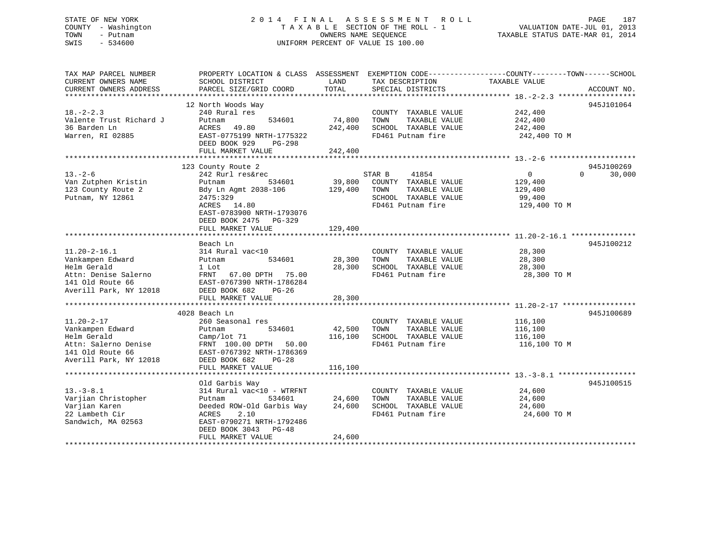# STATE OF NEW YORK 2 0 1 4 F I N A L A S S E S S M E N T R O L L PAGE 187 COUNTY - Washington T A X A B L E SECTION OF THE ROLL - 1 VALUATION DATE-JUL 01, 2013 TOWN - Putnam OWNERS NAME SEQUENCE TAXABLE STATUS DATE-MAR 01, 2014 SWIS - 534600 UNIFORM PERCENT OF VALUE IS 100.00

| TAX MAP PARCEL NUMBER<br>CURRENT OWNERS NAME<br>CURRENT OWNERS ADDRESS                                                      | PROPERTY LOCATION & CLASS ASSESSMENT EXEMPTION CODE----------------COUNTY-------TOWN-----SCHOOL<br>SCHOOL DISTRICT<br>PARCEL SIZE/GRID COORD                                 | LAND<br>TOTAL                | TAX DESCRIPTION<br>SPECIAL DISTRICTS                                                                          | TAXABLE VALUE                                            | ACCOUNT NO.        |
|-----------------------------------------------------------------------------------------------------------------------------|------------------------------------------------------------------------------------------------------------------------------------------------------------------------------|------------------------------|---------------------------------------------------------------------------------------------------------------|----------------------------------------------------------|--------------------|
|                                                                                                                             |                                                                                                                                                                              |                              |                                                                                                               |                                                          |                    |
| $18. - 2 - 2.3$<br>Valente Trust Richard J<br>36 Barden Ln<br>Warren, RI 02885                                              | 12 North Woods Way<br>240 Rural res<br>Putnam<br>534601<br>ACRES<br>49.80<br>EAST-0775199 NRTH-1775322<br>DEED BOOK 929<br>PG-298<br>FULL MARKET VALUE                       | 74,800<br>242,400<br>242,400 | COUNTY TAXABLE VALUE<br>TAXABLE VALUE<br>TOWN<br>SCHOOL TAXABLE VALUE<br>FD461 Putnam fire                    | 242,400<br>242,400<br>242,400<br>242,400 TO M            | 945J101064         |
|                                                                                                                             | 123 County Route 2                                                                                                                                                           |                              |                                                                                                               |                                                          | 945J100269         |
| $13 - 2 - 6$<br>Van Zutphen Kristin<br>123 County Route 2<br>Putnam, NY 12861                                               | 242 Rurl res&rec<br>534601<br>Putnam<br>Bdy Ln Agmt 2038-106<br>2475:329<br>ACRES 14.80<br>EAST-0783900 NRTH-1793076<br>DEED BOOK 2475 PG-329<br>FULL MARKET VALUE           | 39,800<br>129,400<br>129,400 | 41854<br>STAR B<br>COUNTY TAXABLE VALUE<br>TOWN<br>TAXABLE VALUE<br>SCHOOL TAXABLE VALUE<br>FD461 Putnam fire | $\Omega$<br>129,400<br>129,400<br>99,400<br>129,400 TO M | $\Omega$<br>30,000 |
|                                                                                                                             | Beach Ln                                                                                                                                                                     |                              |                                                                                                               |                                                          | 945J100212         |
| $11.20 - 2 - 16.1$<br>Vankampen Edward<br>Helm Gerald<br>Attn: Denise Salerno<br>141 Old Route 66<br>Averill Park, NY 12018 | 314 Rural vac<10<br>534601<br>Putnam<br>1 Lot<br>FRNT 67.00 DPTH 75.00<br>EAST-0767390 NRTH-1786284<br>DEED BOOK 682<br>$PG-26$                                              | 28,300<br>28,300             | COUNTY TAXABLE VALUE<br>TOWN<br>TAXABLE VALUE<br>SCHOOL TAXABLE VALUE<br>FD461 Putnam fire                    | 28,300<br>28,300<br>28,300<br>28,300 TO M                |                    |
|                                                                                                                             | FULL MARKET VALUE                                                                                                                                                            | 28,300                       |                                                                                                               |                                                          |                    |
| $11.20 - 2 - 17$<br>Vankampen Edward<br>Helm Gerald<br>Attn: Salerno Denise<br>141 Old Route 66<br>Averill Park, NY 12018   | 4028 Beach Ln<br>260 Seasonal res<br>534601<br>Putnam<br>Camp/lot 71<br>FRNT 100.00 DPTH 50.00<br>EAST-0767392 NRTH-1786369<br>DEED BOOK 682<br>$PG-28$<br>FULL MARKET VALUE | 42,500<br>116,100<br>116,100 | COUNTY TAXABLE VALUE<br>TOWN<br>TAXABLE VALUE<br>SCHOOL TAXABLE VALUE<br>FD461 Putnam fire                    | 116,100<br>116,100<br>116,100<br>116,100 TO M            | 945J100689         |
|                                                                                                                             | Old Garbis Way                                                                                                                                                               |                              |                                                                                                               |                                                          | 945J100515         |
| $13. - 3 - 8.1$<br>Varjian Christopher<br>Varjian Karen<br>22 Lambeth Cir<br>Sandwich, MA 02563                             | 314 Rural vac<10 - WTRFNT<br>534601<br>Putnam<br>Deeded ROW-Old Garbis Way<br>ACRES<br>2.10<br>EAST-0790271 NRTH-1792486<br>DEED BOOK 3043<br>PG-48<br>FULL MARKET VALUE     | 24,600<br>24,600<br>24,600   | COUNTY TAXABLE VALUE<br>TOWN<br>TAXABLE VALUE<br>SCHOOL TAXABLE VALUE<br>FD461 Putnam fire                    | 24,600<br>24,600<br>24,600<br>24,600 TO M                |                    |
|                                                                                                                             |                                                                                                                                                                              |                              | ********************************                                                                              |                                                          |                    |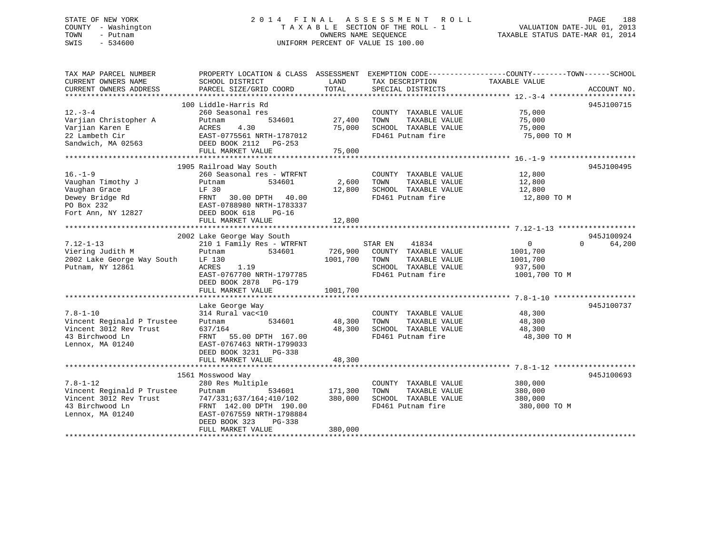# STATE OF NEW YORK 2 0 1 4 F I N A L A S S E S S M E N T R O L L PAGE 188 COUNTY - Washington T A X A B L E SECTION OF THE ROLL - 1 VALUATION DATE-JUL 01, 2013 TOWN - Putnam OWNERS NAME SEQUENCE TAXABLE STATUS DATE-MAR 01, 2014 SWIS - 534600 UNIFORM PERCENT OF VALUE IS 100.00

TAX MAP PARCEL NUMBER PROPERTY LOCATION & CLASS ASSESSMENT EXEMPTION CODE------------------COUNTY--------TOWN------SCHOOL CURRENT OWNERS NAME SCHOOL DISTRICT LAND TAX DESCRIPTION TAXABLE VALUE CURRENT OWNERS ADDRESS PARCEL SIZE/GRID COORD TOTAL SPECIAL DISTRICTS ACCOUNT NO. \*\*\*\*\*\*\*\*\*\*\*\*\*\*\*\*\*\*\*\*\*\*\*\*\*\*\*\*\*\*\*\*\*\*\*\*\*\*\*\*\*\*\*\*\*\*\*\*\*\*\*\*\*\*\*\*\*\*\*\*\*\*\*\*\*\*\*\*\*\*\*\*\*\*\*\*\*\*\*\*\*\*\*\*\*\*\*\*\*\*\*\*\*\*\*\*\*\*\*\*\*\*\* 12.-3-4 \*\*\*\*\*\*\*\*\*\*\*\*\*\*\*\*\*\*\*\* 100 Liddle-Harris Rd 945J10071512.-3-4 260 Seasonal res COUNTY TAXABLE VALUE 75,000 Varjian Christopher A Putnam 534601 27,400 TOWN TAXABLE VALUE 75,000 Varjian Karen E ACRES 4.30 75,000 SCHOOL TAXABLE VALUE 75,000 22 Lambeth Cir EAST-0775561 NRTH-1787012 FD461 Putnam fire 75,000 TO M Sandwich, MA 02563 DEED BOOK 2112 PG-253 ------<br>DEED BOOK 2112 PG-253<br>FULL MARKET VALUE 75,000 \*\*\*\*\*\*\*\*\*\*\*\*\*\*\*\*\*\*\*\*\*\*\*\*\*\*\*\*\*\*\*\*\*\*\*\*\*\*\*\*\*\*\*\*\*\*\*\*\*\*\*\*\*\*\*\*\*\*\*\*\*\*\*\*\*\*\*\*\*\*\*\*\*\*\*\*\*\*\*\*\*\*\*\*\*\*\*\*\*\*\*\*\*\*\*\*\*\*\*\*\*\*\* 16.-1-9 \*\*\*\*\*\*\*\*\*\*\*\*\*\*\*\*\*\*\*\* 1905 Railroad Way South 945J100495 16.-1-9 260 Seasonal res - WTRFNT COUNTY TAXABLE VALUE 12,800 Vaughan Timothy J Putnam 534601 2,600 TOWN TAXABLE VALUE 12,800 Vaughan Grace LF 30 12,800 SCHOOL TAXABLE VALUE 12,800 Dewey Bridge Rd FRNT 30.00 DPTH 40.00 FD461 Putnam fire 12,800 TO M PO Box 232 EAST-0788980 NRTH-1783337 Example and the text of the text of the Dewey Bridge Rd<br>
PO Box 232 EAST-0788980 NRTH-178333<br>
Fort Ann, NY 12827 DEED BOOK 618 PG-16<br>
DEED BOOK 618 PG-16 FULL MARKET VALUE 12,800 \*\*\*\*\*\*\*\*\*\*\*\*\*\*\*\*\*\*\*\*\*\*\*\*\*\*\*\*\*\*\*\*\*\*\*\*\*\*\*\*\*\*\*\*\*\*\*\*\*\*\*\*\*\*\*\*\*\*\*\*\*\*\*\*\*\*\*\*\*\*\*\*\*\*\*\*\*\*\*\*\*\*\*\*\*\*\*\*\*\*\*\*\*\*\*\*\*\*\*\*\*\*\* 7.12-1-13 \*\*\*\*\*\*\*\*\*\*\*\*\*\*\*\*\*\*945J100924 2002 Lake George Way South 945J100924 7.12-1-13 210 1 Family Res - WTRFNT STAR EN 41834 0 0 64,200 Viering Judith M Putnam 534601 726,900 COUNTY TAXABLE VALUE 1001,700 2002 Lake George Way South LF 130 1001,700 TOWN TAXABLE VALUE 1001,700 Putnam, NY 12861 ACRES 1.19 SCHOOL TAXABLE VALUE 937,500 EAST-0767700 NRTH-1797785 FD461 Putnam fire 1001,700 TO M DEED BOOK 2878 PG-179FULL MARKET VALUE 1001,700 \*\*\*\*\*\*\*\*\*\*\*\*\*\*\*\*\*\*\*\*\*\*\*\*\*\*\*\*\*\*\*\*\*\*\*\*\*\*\*\*\*\*\*\*\*\*\*\*\*\*\*\*\*\*\*\*\*\*\*\*\*\*\*\*\*\*\*\*\*\*\*\*\*\*\*\*\*\*\*\*\*\*\*\*\*\*\*\*\*\*\*\*\*\*\*\*\*\*\*\*\*\*\* 7.8-1-10 \*\*\*\*\*\*\*\*\*\*\*\*\*\*\*\*\*\*\* Lake George Way 945J100737 7.8-1-10 314 Rural vac<10 COUNTY TAXABLE VALUE 48,300 Vincent Reginald P Trustee Putnam 534601 48,300 TOWN TAXABLE VALUE 48,300 Vincent 3012 Rev Trust 637/164 48,300 SCHOOL TAXABLE VALUE 48,300 43 Birchwood Ln FRNT 55.00 DPTH 167.00 FD461 Putnam fire 48,300 TO M Lennox, MA 01240 EAST-0767463 NRTH-1799033 DEED BOOK 3231 PG-338FULL MARKET VALUE 48,300 \*\*\*\*\*\*\*\*\*\*\*\*\*\*\*\*\*\*\*\*\*\*\*\*\*\*\*\*\*\*\*\*\*\*\*\*\*\*\*\*\*\*\*\*\*\*\*\*\*\*\*\*\*\*\*\*\*\*\*\*\*\*\*\*\*\*\*\*\*\*\*\*\*\*\*\*\*\*\*\*\*\*\*\*\*\*\*\*\*\*\*\*\*\*\*\*\*\*\*\*\*\*\* 7.8-1-12 \*\*\*\*\*\*\*\*\*\*\*\*\*\*\*\*\*\*\* 1561 Mosswood Way 945J100693 7.8-1-12 280 Res Multiple COUNTY TAXABLE VALUE 380,000 Vincent Reginald P Trustee Putnam 534601 171,300 TOWN TAXABLE VALUE 380,000 Vincent 3012 Rev Trust 747/331;637/164;410/102 380,000 SCHOOL TAXABLE VALUE 380,000 43 Birchwood Ln FRNT 142.00 DPTH 190.00 FD461 Putnam fire 380,000 TO M Lennox, MA 01240 EAST-0767559 NRTH-1798884 DEED BOOK 323 PG-338FULL MARKET VALUE 380,000 \*\*\*\*\*\*\*\*\*\*\*\*\*\*\*\*\*\*\*\*\*\*\*\*\*\*\*\*\*\*\*\*\*\*\*\*\*\*\*\*\*\*\*\*\*\*\*\*\*\*\*\*\*\*\*\*\*\*\*\*\*\*\*\*\*\*\*\*\*\*\*\*\*\*\*\*\*\*\*\*\*\*\*\*\*\*\*\*\*\*\*\*\*\*\*\*\*\*\*\*\*\*\*\*\*\*\*\*\*\*\*\*\*\*\*\*\*\*\*\*\*\*\*\*\*\*\*\*\*\*\*\*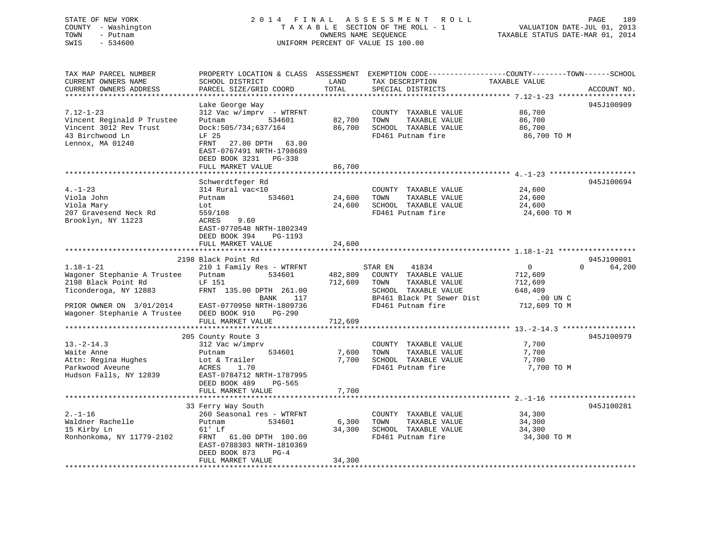# STATE OF NEW YORK 2 0 1 4 F I N A L A S S E S S M E N T R O L L PAGE 189 COUNTY - Washington T A X A B L E SECTION OF THE ROLL - 1 VALUATION DATE-JUL 01, 2013 TOWN - Putnam OWNERS NAME SEQUENCE TAXABLE STATUS DATE-MAR 01, 2014 SWIS - 534600 UNIFORM PERCENT OF VALUE IS 100.00

| TAX MAP PARCEL NUMBER<br>CURRENT OWNERS NAME<br>CURRENT OWNERS ADDRESS                                                                                    | PROPERTY LOCATION & CLASS ASSESSMENT EXEMPTION CODE----------------COUNTY-------TOWN------SCHOOL<br>SCHOOL DISTRICT<br>PARCEL SIZE/GRID COORD                                                                 | LAND<br>TOTAL              | TAX DESCRIPTION<br>SPECIAL DISTRICTS                                                                                                        | TAXABLE VALUE                                                               | ACCOUNT NO.                      |
|-----------------------------------------------------------------------------------------------------------------------------------------------------------|---------------------------------------------------------------------------------------------------------------------------------------------------------------------------------------------------------------|----------------------------|---------------------------------------------------------------------------------------------------------------------------------------------|-----------------------------------------------------------------------------|----------------------------------|
|                                                                                                                                                           |                                                                                                                                                                                                               |                            |                                                                                                                                             |                                                                             |                                  |
| $7.12 - 1 - 23$<br>Vincent Reginald P Trustee<br>Vincent 3012 Rev Trust<br>43 Birchwood Ln<br>Lennox, MA 01240                                            | Lake George Way<br>312 Vac w/imprv - WTRFNT<br>534601<br>Putnam<br>Dock:505/734;637/164<br>LF 25<br>27.00 DPTH<br>FRNT<br>63.00<br>EAST-0767491 NRTH-1798689<br>DEED BOOK 3231<br>PG-338<br>FULL MARKET VALUE | 82,700<br>86,700<br>86,700 | COUNTY TAXABLE VALUE<br>TAXABLE VALUE<br>TOWN<br>SCHOOL TAXABLE VALUE<br>FD461 Putnam fire                                                  | 86,700<br>86,700<br>86,700<br>86,700 TO M                                   | 945J100909                       |
| $4. - 1 - 23$<br>Viola John<br>Viola Mary<br>207 Gravesend Neck Rd<br>Brooklyn, NY 11223                                                                  | Schwerdtfeger Rd<br>314 Rural vac<10<br>534601<br>Putnam<br>Lot<br>559/108<br>9.60<br>ACRES<br>EAST-0770548 NRTH-1802349<br>DEED BOOK 394<br>PG-1193<br>FULL MARKET VALUE                                     | 24,600<br>24,600<br>24,600 | COUNTY TAXABLE VALUE<br>TOWN<br>TAXABLE VALUE<br>SCHOOL TAXABLE VALUE<br>FD461 Putnam fire                                                  | 24,600<br>24,600<br>24,600<br>24,600 TO M                                   | 945J100694                       |
|                                                                                                                                                           |                                                                                                                                                                                                               |                            |                                                                                                                                             |                                                                             |                                  |
| $1.18 - 1 - 21$<br>Wagoner Stephanie A Trustee<br>2198 Black Point Rd<br>Ticonderoga, NY 12883<br>PRIOR OWNER ON 3/01/2014<br>Wagoner Stephanie A Trustee | 2198 Black Point Rd<br>210 1 Family Res - WTRFNT<br>534601<br>Putnam<br>LF 151<br>FRNT 135.00 DPTH 261.00<br>BANK<br>117<br>EAST-0770950 NRTH-1809736<br>DEED BOOK 910<br>$PG-290$                            | 482,809<br>712,609         | 41834<br>STAR EN<br>COUNTY TAXABLE VALUE<br>TOWN<br>TAXABLE VALUE<br>SCHOOL TAXABLE VALUE<br>BP461 Black Pt Sewer Dist<br>FD461 Putnam fire | $\overline{0}$<br>712,609<br>712,609<br>648,409<br>.00 UN C<br>712,609 TO M | 945J100001<br>64,200<br>$\Omega$ |
|                                                                                                                                                           | FULL MARKET VALUE                                                                                                                                                                                             | 712,609                    |                                                                                                                                             |                                                                             |                                  |
| $13.-2-14.3$<br>Waite Anne<br>Attn: Regina Hughes<br>Parkwood Aveune<br>Hudson Falls, NY 12839                                                            | 205 County Route 3<br>312 Vac w/imprv<br>534601<br>Putnam<br>Lot & Trailer<br>ACRES<br>1.70<br>EAST-0784712 NRTH-1787995<br>DEED BOOK 489<br>PG-565<br>FULL MARKET VALUE                                      | 7,600<br>7,700<br>7,700    | COUNTY TAXABLE VALUE<br>TAXABLE VALUE<br>TOWN<br>SCHOOL TAXABLE VALUE<br>FD461 Putnam fire                                                  | 7,700<br>7,700<br>7,700<br>7,700 TO M                                       | 945J100979                       |
|                                                                                                                                                           |                                                                                                                                                                                                               |                            |                                                                                                                                             |                                                                             |                                  |
| $2. - 1 - 16$<br>Waldner Rachelle<br>15 Kirby Ln<br>Ronhonkoma, NY 11779-2102                                                                             | 33 Ferry Way South<br>260 Seasonal res - WTRFNT<br>534601<br>Putnam<br>61' Lf<br>FRNT 61.00 DPTH 100.00<br>EAST-0788303 NRTH-1810369<br>DEED BOOK 873<br>$PG-4$<br>FULL MARKET VALUE                          | 6,300<br>34,300<br>34,300  | COUNTY TAXABLE VALUE<br>TAXABLE VALUE<br>TOWN<br>SCHOOL TAXABLE VALUE<br>FD461 Putnam fire                                                  | 34,300<br>34,300<br>34,300<br>34,300 TO M                                   | 945J100281                       |
|                                                                                                                                                           |                                                                                                                                                                                                               |                            |                                                                                                                                             |                                                                             |                                  |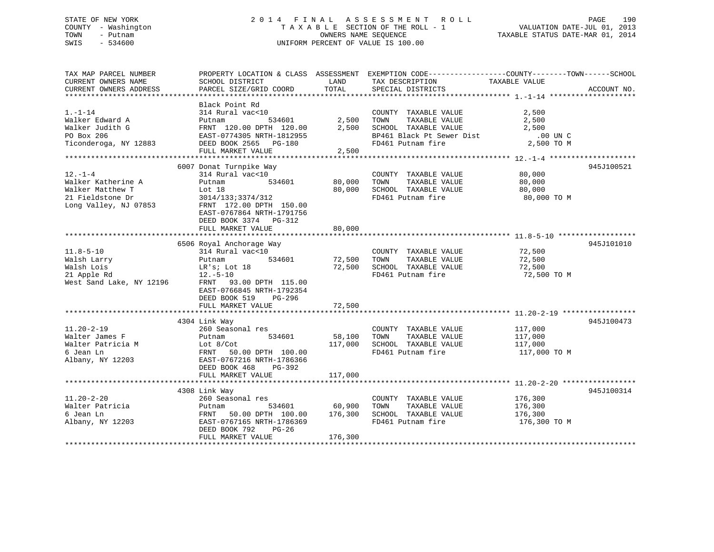# STATE OF NEW YORK 2 0 1 4 F I N A L A S S E S S M E N T R O L L PAGE 190 COUNTY - Washington T A X A B L E SECTION OF THE ROLL - 1 VALUATION DATE-JUL 01, 2013 TOWN - Putnam OWNERS NAME SEQUENCE TAXABLE STATUS DATE-MAR 01, 2014 SWIS - 534600 UNIFORM PERCENT OF VALUE IS 100.00

| TAX MAP PARCEL NUMBER    |                                                     |               | PROPERTY LOCATION & CLASS ASSESSMENT EXEMPTION CODE-----------------COUNTY-------TOWN------SCHOOL |               |             |
|--------------------------|-----------------------------------------------------|---------------|---------------------------------------------------------------------------------------------------|---------------|-------------|
| CURRENT OWNERS NAME      | SCHOOL DISTRICT                                     | LAND          | TAX DESCRIPTION                                                                                   | TAXABLE VALUE |             |
| CURRENT OWNERS ADDRESS   | PARCEL SIZE/GRID COORD                              | TOTAL         | SPECIAL DISTRICTS                                                                                 |               | ACCOUNT NO. |
|                          |                                                     |               |                                                                                                   |               |             |
|                          | Black Point Rd                                      |               |                                                                                                   |               |             |
| $1. - 1 - 14$            |                                                     |               |                                                                                                   |               |             |
|                          | 314 Rural vac<10                                    |               | COUNTY TAXABLE VALUE                                                                              | 2,500         |             |
| Walker Edward A          | Putnam<br>534601                                    | 2,500         | TOWN<br>TAXABLE VALUE                                                                             | 2,500         |             |
| Walker Judith G          | FRNT 120.00 DPTH 120.00                             | 2,500         | SCHOOL TAXABLE VALUE                                                                              | 2,500         |             |
| PO Box 206               | EAST-0774305 NRTH-1812955                           |               | BP461 Black Pt Sewer Dist                                                                         | $.00$ UN C    |             |
| Ticonderoga, NY 12883    | DEED BOOK 2565 PG-180                               |               | FD461 Putnam fire                                                                                 | 2,500 TO M    |             |
|                          | FULL MARKET VALUE                                   | 2,500         |                                                                                                   |               |             |
|                          |                                                     |               |                                                                                                   |               |             |
|                          | 6007 Donat Turnpike Way                             |               |                                                                                                   |               | 945J100521  |
| $12. - 1 - 4$            | 314 Rural vac<10                                    |               | COUNTY TAXABLE VALUE                                                                              | 80,000        |             |
| Walker Katherine A       | 534601<br>Putnam                                    | 80,000        | TOWN<br>TAXABLE VALUE                                                                             | 80,000        |             |
| Walker Matthew T         | Lot 18                                              | 80,000        | SCHOOL TAXABLE VALUE                                                                              | 80,000        |             |
|                          |                                                     |               |                                                                                                   |               |             |
| 21 Fieldstone Dr         | 3014/133;3374/312                                   |               | FD461 Putnam fire                                                                                 | 80,000 TO M   |             |
| Long Valley, NJ 07853    | FRNT 172.00 DPTH 150.00                             |               |                                                                                                   |               |             |
|                          | EAST-0767864 NRTH-1791756                           |               |                                                                                                   |               |             |
|                          | DEED BOOK 3374 PG-312                               |               |                                                                                                   |               |             |
|                          | FULL MARKET VALUE                                   | 80,000        |                                                                                                   |               |             |
|                          |                                                     |               |                                                                                                   |               |             |
|                          | 6506 Royal Anchorage Way                            |               |                                                                                                   |               | 945J101010  |
| $11.8 - 5 - 10$          | 314 Rural vac<10                                    |               | COUNTY TAXABLE VALUE                                                                              | 72,500        |             |
| Walsh Larry              | 534601<br>Putnam                                    | 72,500        | TOWN<br>TAXABLE VALUE                                                                             | 72,500        |             |
| Walsh Lois               | LR's; Lot 18                                        | 72,500        | SCHOOL TAXABLE VALUE                                                                              | 72,500        |             |
|                          |                                                     |               | FD461 Putnam fire                                                                                 |               |             |
| 21 Apple Rd              | $12.-5-10$                                          |               |                                                                                                   | 72,500 TO M   |             |
| West Sand Lake, NY 12196 | FRNT 93.00 DPTH 115.00                              |               |                                                                                                   |               |             |
|                          | EAST-0766845 NRTH-1792354                           |               |                                                                                                   |               |             |
|                          | DEED BOOK 519<br>$PG-296$                           |               |                                                                                                   |               |             |
|                          | FULL MARKET VALUE                                   | 72,500        |                                                                                                   |               |             |
|                          |                                                     |               |                                                                                                   |               |             |
|                          | 4304 Link Way                                       |               |                                                                                                   |               | 945J100473  |
| $11.20 - 2 - 19$         | 260 Seasonal res                                    |               | COUNTY TAXABLE VALUE                                                                              | 117,000       |             |
| Walter James F           | 534601<br>Putnam                                    | 58,100 TOWN   | TAXABLE VALUE                                                                                     | 117,000       |             |
| Walter Patricia M        | Lot $8/Cot$                                         |               | 117,000 SCHOOL TAXABLE VALUE                                                                      | 117,000       |             |
| 6 Jean Ln                | 50.00 DPTH 100.00<br>FRNT                           |               | FD461 Putnam fire                                                                                 | 117,000 TO M  |             |
| Albany, NY 12203         | EAST-0767216 NRTH-1786366                           |               |                                                                                                   |               |             |
|                          | DEED BOOK 468<br>PG-392                             |               |                                                                                                   |               |             |
|                          |                                                     |               |                                                                                                   |               |             |
|                          | FULL MARKET VALUE                                   | 117,000       |                                                                                                   |               |             |
|                          |                                                     |               |                                                                                                   |               |             |
|                          | 4308 Link Way                                       |               |                                                                                                   |               | 945J100314  |
| $11.20 - 2 - 20$         | 260 Seasonal res                                    |               | COUNTY TAXABLE VALUE                                                                              | 176,300       |             |
| Walter Patricia          | Putnam                                              | 534601 60,900 | TOWN<br>TAXABLE VALUE                                                                             | 176,300       |             |
| 6 Jean Ln                | FRNT 50.00 DPTH 100.00 176,300 SCHOOL TAXABLE VALUE |               |                                                                                                   | 176,300       |             |
| Albany, NY 12203         | EAST-0767165 NRTH-1786369                           |               | FD461 Putnam fire                                                                                 | 176,300 TO M  |             |
|                          | DEED BOOK 792<br>$PG-26$                            |               |                                                                                                   |               |             |
|                          | FULL MARKET VALUE                                   | 176,300       |                                                                                                   |               |             |
|                          |                                                     |               |                                                                                                   |               |             |
|                          |                                                     |               |                                                                                                   |               |             |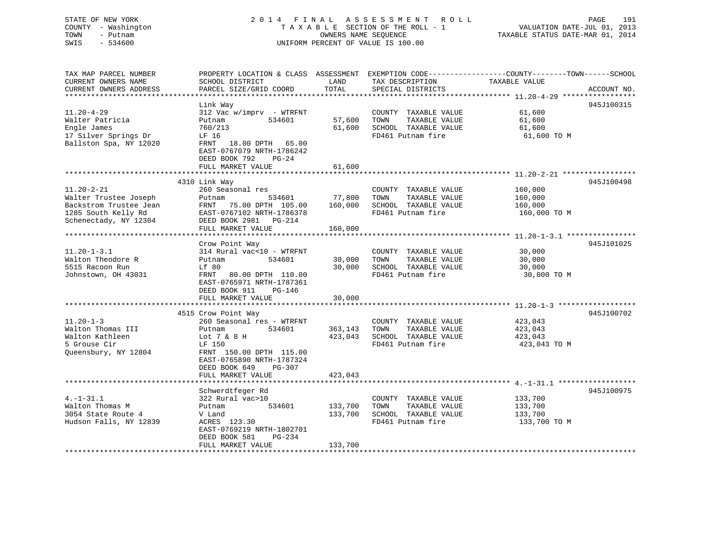# STATE OF NEW YORK 2 0 1 4 F I N A L A S S E S S M E N T R O L L PAGE 191 COUNTY - Washington T A X A B L E SECTION OF THE ROLL - 1 VALUATION DATE-JUL 01, 2013 TOWN - Putnam OWNERS NAME SEQUENCE TAXABLE STATUS DATE-MAR 01, 2014 SWIS - 534600 UNIFORM PERCENT OF VALUE IS 100.00

TAX MAP PARCEL NUMBER PROPERTY LOCATION & CLASS ASSESSMENT EXEMPTION CODE------------------COUNTY--------TOWN------SCHOOL

| CURRENT OWNERS NAME    | SCHOOL DISTRICT           | LAND    | TAX DESCRIPTION              | TAXABLE VALUE |             |
|------------------------|---------------------------|---------|------------------------------|---------------|-------------|
| CURRENT OWNERS ADDRESS | PARCEL SIZE/GRID COORD    | TOTAL   | SPECIAL DISTRICTS            |               | ACCOUNT NO. |
|                        |                           |         |                              |               |             |
|                        | Link Way                  |         |                              |               | 945J100315  |
| $11.20 - 4 - 29$       | 312 Vac w/imprv - WTRFNT  |         | COUNTY TAXABLE VALUE         | 61,600        |             |
| Walter Patricia        | Putnam<br>534601          | 57,600  | TOWN<br>TAXABLE VALUE        | 61,600        |             |
| Engle James            | 760/213                   | 61,600  | SCHOOL TAXABLE VALUE         | 61,600        |             |
| 17 Silver Springs Dr   | LF 16                     |         | FD461 Putnam fire            | 61,600 TO M   |             |
| Ballston Spa, NY 12020 | FRNT 18.00 DPTH 65.00     |         |                              |               |             |
|                        | EAST-0767079 NRTH-1786242 |         |                              |               |             |
|                        | DEED BOOK 792<br>$PG-24$  |         |                              |               |             |
|                        | FULL MARKET VALUE         | 61,600  |                              |               |             |
|                        |                           |         |                              |               |             |
|                        | 4310 Link Way             |         |                              |               | 945J100498  |
| $11.20 - 2 - 21$       | 260 Seasonal res          |         | COUNTY TAXABLE VALUE         | 160,000       |             |
| Walter Trustee Joseph  | Putnam<br>534601          | 77,800  | TOWN<br>TAXABLE VALUE        | 160,000       |             |
| Backstrom Trustee Jean | FRNT<br>75.00 DPTH 105.00 |         | 160,000 SCHOOL TAXABLE VALUE | 160,000       |             |
| 1285 South Kelly Rd    | EAST-0767102 NRTH-1786378 |         | FD461 Putnam fire            | 160,000 TO M  |             |
| Schenectady, NY 12304  | DEED BOOK 2981    PG-214  |         |                              |               |             |
|                        | FULL MARKET VALUE         | 160,000 |                              |               |             |
|                        |                           |         |                              |               |             |
|                        | Crow Point Way            |         |                              |               | 945J101025  |
| $11.20 - 1 - 3.1$      | 314 Rural vac<10 - WTRFNT |         | COUNTY TAXABLE VALUE         | 30,000        |             |
| Walton Theodore R      | 534601<br>Putnam          | 30,000  | TOWN<br>TAXABLE VALUE        | 30,000        |             |
| 5515 Racoon Run        | Lf 80                     |         | 30,000 SCHOOL TAXABLE VALUE  | 30,000        |             |
| Johnstown, OH 43031    | FRNT<br>80.00 DPTH 110.00 |         | FD461 Putnam fire            | 30,000 TO M   |             |
|                        | EAST-0765971 NRTH-1787361 |         |                              |               |             |
|                        | DEED BOOK 911<br>PG-146   |         |                              |               |             |
|                        | FULL MARKET VALUE         | 30,000  |                              |               |             |
|                        |                           |         |                              |               |             |
|                        | 4515 Crow Point Way       |         |                              |               | 945J100702  |
| $11.20 - 1 - 3$        | 260 Seasonal res - WTRFNT |         | COUNTY TAXABLE VALUE         | 423,043       |             |
| Walton Thomas III      | 534601<br>Putnam          | 363,143 | TOWN<br>TAXABLE VALUE        | 423,043       |             |
| Walton Kathleen        | Lot 7 & 8 H               | 423,043 | SCHOOL TAXABLE VALUE         | 423,043       |             |
| 5 Grouse Cir           | LF 150                    |         | FD461 Putnam fire            | 423,043 TO M  |             |
| Queensbury, NY 12804   | FRNT 150.00 DPTH 115.00   |         |                              |               |             |
|                        | EAST-0765890 NRTH-1787324 |         |                              |               |             |
|                        | DEED BOOK 649<br>$PG-307$ |         |                              |               |             |
|                        | FULL MARKET VALUE         | 423,043 |                              |               |             |
|                        |                           |         |                              |               |             |
|                        | Schwerdtfeger Rd          |         |                              |               | 945J100975  |
| $4. -1 - 31.1$         | 322 Rural vac>10          |         | COUNTY TAXABLE VALUE         | 133,700       |             |
| Walton Thomas M        | 534601<br>Putnam          | 133,700 | TOWN<br>TAXABLE VALUE        | 133,700       |             |
| 3054 State Route 4     | V Land                    | 133,700 | SCHOOL TAXABLE VALUE         | 133,700       |             |
| Hudson Falls, NY 12839 | ACRES 123.30              |         | FD461 Putnam fire            | 133,700 TO M  |             |
|                        | EAST-0769219 NRTH-1802701 |         |                              |               |             |
|                        | DEED BOOK 581<br>PG-234   |         |                              |               |             |
|                        | FULL MARKET VALUE         | 133,700 |                              |               |             |
|                        |                           |         |                              |               |             |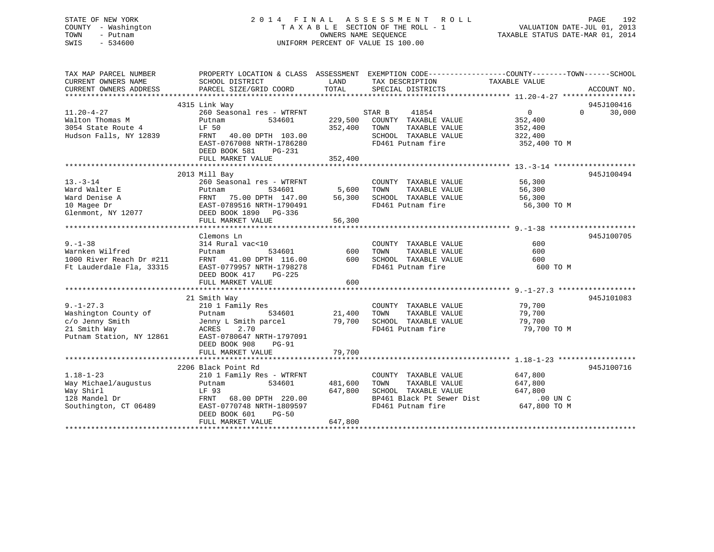# STATE OF NEW YORK 2 0 1 4 F I N A L A S S E S S M E N T R O L L PAGE 192 COUNTY - Washington T A X A B L E SECTION OF THE ROLL - 1 VALUATION DATE-JUL 01, 2013 TOWN - Putnam OWNERS NAME SEQUENCE TAXABLE STATUS DATE-MAR 01, 2014 SWIS - 534600 UNIFORM PERCENT OF VALUE IS 100.00

| TAX MAP PARCEL NUMBER<br>CURRENT OWNERS NAME | PROPERTY LOCATION & CLASS ASSESSMENT<br>SCHOOL DISTRICT | LAND          | EXEMPTION CODE-----------------COUNTY-------TOWN------SCHOOL<br>TAX DESCRIPTION | TAXABLE VALUE     |                    |
|----------------------------------------------|---------------------------------------------------------|---------------|---------------------------------------------------------------------------------|-------------------|--------------------|
| CURRENT OWNERS ADDRESS                       | PARCEL SIZE/GRID COORD                                  | TOTAL         | SPECIAL DISTRICTS                                                               |                   | ACCOUNT NO.        |
|                                              |                                                         |               |                                                                                 |                   |                    |
|                                              | 4315 Link Way                                           |               |                                                                                 |                   | 945J100416         |
| $11.20 - 4 - 27$                             | 260 Seasonal res - WTRFNT                               |               | STAR B<br>41854                                                                 | $0 \qquad \qquad$ | 30,000<br>$\Omega$ |
| Walton Thomas M                              | Putnam<br>534601                                        | 229,500       | COUNTY TAXABLE VALUE                                                            | 352,400           |                    |
| 3054 State Route 4                           | LF 50                                                   | 352,400       | TOWN<br>TAXABLE VALUE                                                           | 352,400           |                    |
| Hudson Falls, NY 12839                       | FRNT<br>40.00 DPTH 103.00                               |               | SCHOOL TAXABLE VALUE                                                            | 322,400           |                    |
|                                              | EAST-0767008 NRTH-1786280                               |               | FD461 Putnam fire                                                               | 352,400 TO M      |                    |
|                                              | DEED BOOK 581<br>PG-231                                 |               |                                                                                 |                   |                    |
|                                              | FULL MARKET VALUE                                       | 352,400       |                                                                                 |                   |                    |
|                                              |                                                         |               |                                                                                 |                   |                    |
|                                              | 2013 Mill Bay                                           |               |                                                                                 |                   | 945J100494         |
| $13. - 3 - 14$                               | 260 Seasonal res - WTRFNT                               |               | COUNTY TAXABLE VALUE                                                            | 56,300            |                    |
| Ward Walter E                                | Putnam<br>534601<br>FRNT 75.00 DPTH 147.00              | 5,600         | TOWN<br>TAXABLE VALUE                                                           | 56,300            |                    |
| Ward Denise A                                |                                                         | 56,300        | SCHOOL TAXABLE VALUE                                                            | 56,300            |                    |
| 10 Magee Dr                                  | EAST-0789516 NRTH-1790491                               |               | FD461 Putnam fire                                                               | 56,300 TO M       |                    |
| Glenmont, NY 12077                           | DEED BOOK 1890 PG-336                                   |               |                                                                                 |                   |                    |
|                                              | FULL MARKET VALUE                                       | 56,300        |                                                                                 |                   |                    |
|                                              |                                                         |               |                                                                                 |                   |                    |
|                                              | Clemons Ln                                              |               |                                                                                 |                   | 945J100705         |
| $9. - 1 - 38$                                | 314 Rural vac<10                                        |               | COUNTY TAXABLE VALUE                                                            | 600               |                    |
| Warnken Wilfred                              | 534601<br>Putnam                                        | 600           | TOWN<br>TAXABLE VALUE                                                           | 600               |                    |
| 1000 River Reach Dr #211                     | FRNT 41.00 DPTH 116.00                                  | 600           | SCHOOL TAXABLE VALUE                                                            | 600               |                    |
| Ft Lauderdale Fla, 33315                     | EAST-0779957 NRTH-1798278                               |               | FD461 Putnam fire                                                               | 600 TO M          |                    |
|                                              | DEED BOOK 417<br>$PG-225$                               |               |                                                                                 |                   |                    |
|                                              | FULL MARKET VALUE                                       | 600           |                                                                                 |                   |                    |
|                                              |                                                         |               |                                                                                 |                   |                    |
|                                              | 21 Smith Way                                            |               |                                                                                 |                   | 945J101083         |
| $9. - 1 - 27.3$                              | 210 1 Family Res                                        |               | COUNTY TAXABLE VALUE                                                            | 79,700            |                    |
| Washington County of                         | Putnam                                                  | 534601 21,400 | TOWN<br>TAXABLE VALUE                                                           | 79,700            |                    |
| c/o Jenny Smith                              | Jenny L Smith parcel                                    |               | 79,700 SCHOOL TAXABLE VALUE                                                     | 79,700            |                    |
| 21 Smith Way                                 | 2.70<br>ACRES                                           |               | FD461 Putnam fire                                                               | 79,700 TO M       |                    |
| Putnam Station, NY 12861                     | EAST-0780647 NRTH-1797091                               |               |                                                                                 |                   |                    |
|                                              | DEED BOOK 908<br>$PG-91$                                |               |                                                                                 |                   |                    |
|                                              | FULL MARKET VALUE                                       | 79,700        |                                                                                 |                   |                    |
|                                              |                                                         |               |                                                                                 |                   |                    |
|                                              | 2206 Black Point Rd                                     |               |                                                                                 |                   | 945J100716         |
| $1.18 - 1 - 23$                              | 210 1 Family Res - WTRFNT                               |               | COUNTY TAXABLE VALUE                                                            | 647,800           |                    |
| Way Michael/augustus                         | 534601<br>Putnam                                        | 481,600       | TAXABLE VALUE<br>TOWN                                                           | 647,800           |                    |
| Way Shirl                                    | LF 93                                                   | 647,800       | SCHOOL TAXABLE VALUE                                                            | 647,800           |                    |
| 128 Mandel Dr                                | FRNT 68.00 DPTH 220.00                                  |               | BP461 Black Pt Sewer Dist                                                       | $.00$ UN C        |                    |
| Southington, CT 06489                        | EAST-0770748 NRTH-1809597                               |               | FD461 Putnam fire                                                               | 647,800 TO M      |                    |
|                                              | DEED BOOK 601<br><b>PG-50</b>                           |               |                                                                                 |                   |                    |
|                                              | FULL MARKET VALUE                                       | 647,800       |                                                                                 |                   |                    |
|                                              |                                                         |               |                                                                                 |                   |                    |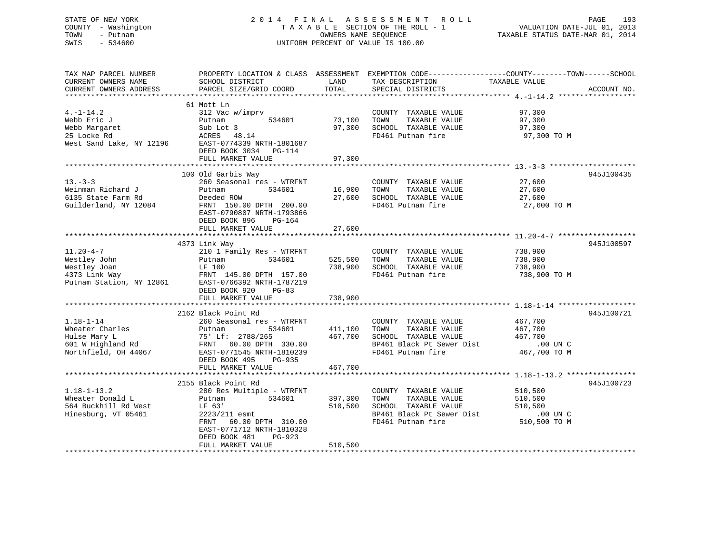# STATE OF NEW YORK 2 0 1 4 F I N A L A S S E S S M E N T R O L L PAGE 193 COUNTY - Washington T A X A B L E SECTION OF THE ROLL - 1 VALUATION DATE-JUL 01, 2013 TOWN - Putnam **CONNERS NAME SEQUENCE** TAXABLE STATUS DATE-MAR 01, 2014 SWIS - 534600 UNIFORM PERCENT OF VALUE IS 100.00

| TAX MAP PARCEL NUMBER<br>CURRENT OWNERS NAME<br>CURRENT OWNERS ADDRESS                          | SCHOOL DISTRICT<br>PARCEL SIZE/GRID COORD                                                                                                                                                                   | LAND<br>TOTAL                 | TAX DESCRIPTION<br>SPECIAL DISTRICTS                                                                                    | PROPERTY LOCATION & CLASS ASSESSMENT EXEMPTION CODE---------------COUNTY-------TOWN-----SCHOOL<br>TAXABLE VALUE<br>ACCOUNT NO. |
|-------------------------------------------------------------------------------------------------|-------------------------------------------------------------------------------------------------------------------------------------------------------------------------------------------------------------|-------------------------------|-------------------------------------------------------------------------------------------------------------------------|--------------------------------------------------------------------------------------------------------------------------------|
|                                                                                                 |                                                                                                                                                                                                             |                               |                                                                                                                         |                                                                                                                                |
| $4. -1 - 14.2$<br>Webb Eric J<br>Webb Margaret<br>25 Locke Rd<br>West Sand Lake, NY 12196       | 61 Mott Ln<br>312 Vac w/imprv<br>534601<br>Putnam<br>Sub Lot 3<br>ACRES 48.14<br>EAST-0774339 NRTH-1801687<br>DEED BOOK 3034<br>PG-114                                                                      | 73,100<br>97,300              | COUNTY TAXABLE VALUE<br>TOWN<br>TAXABLE VALUE<br>SCHOOL TAXABLE VALUE<br>FD461 Putnam fire                              | 97,300<br>97,300<br>97,300<br>97,300 TO M                                                                                      |
|                                                                                                 | FULL MARKET VALUE                                                                                                                                                                                           | 97,300                        |                                                                                                                         |                                                                                                                                |
| $13. - 3 - 3$<br>Weinman Richard J<br>6135 State Farm Rd<br>Guilderland, NY 12084               | 100 Old Garbis Way<br>260 Seasonal res - WTRFNT<br>534601<br>Putnam<br>Deeded ROW<br>FRNT 150.00 DPTH 200.00<br>EAST-0790807 NRTH-1793866<br>DEED BOOK 896<br>PG-164                                        | 16,900<br>27,600              | COUNTY TAXABLE VALUE<br>TOWN<br>TAXABLE VALUE<br>SCHOOL TAXABLE VALUE<br>FD461 Putnam fire                              | 945J100435<br>27,600<br>27,600<br>27,600<br>27,600 TO M                                                                        |
|                                                                                                 | FULL MARKET VALUE                                                                                                                                                                                           | 27,600                        |                                                                                                                         |                                                                                                                                |
| $11.20 - 4 - 7$<br>Westley John<br>Westley Joan<br>4373 Link Way<br>Putnam Station, NY 12861    | 4373 Link Way<br>210 1 Family Res - WTRFNT<br>534601<br>Putnam<br>LF 100<br>FRNT 145.00 DPTH 157.00<br>EAST-0766392 NRTH-1787219<br>DEED BOOK 920<br>$PG-83$<br>FULL MARKET VALUE<br>2162 Black Point Rd    | 525,500<br>738,900<br>738,900 | COUNTY TAXABLE VALUE<br>TOWN<br>TAXABLE VALUE<br>SCHOOL TAXABLE VALUE<br>FD461 Putnam fire                              | 945J100597<br>738,900<br>738,900<br>738,900<br>738,900 TO M<br>945J100721                                                      |
| $1.18 - 1 - 14$<br>Wheater Charles<br>Hulse Mary L<br>601 W Highland Rd<br>Northfield, OH 44067 | 260 Seasonal res - WTRFNT<br>534601<br>Putnam<br>75' Lf: 2788/265<br>FRNT 60.00 DPTH 330.00<br>EAST-0771545 NRTH-1810239<br>DEED BOOK 495<br>PG-935<br>FULL MARKET VALUE                                    | 411,100<br>467,700<br>467,700 | COUNTY TAXABLE VALUE<br>TOWN<br>TAXABLE VALUE<br>SCHOOL TAXABLE VALUE<br>BP461 Black Pt Sewer Dist<br>FD461 Putnam fire | 467,700<br>467,700<br>467,700<br>$.00$ UN C<br>467,700 TO M                                                                    |
|                                                                                                 | ****************************                                                                                                                                                                                | ***************               |                                                                                                                         | ************************ 1.18-1-13.2 *****************                                                                         |
| $1.18 - 1 - 13.2$<br>Wheater Donald L<br>564 Buckhill Rd West<br>Hinesburg, VT 05461            | 2155 Black Point Rd<br>280 Res Multiple - WTRFNT<br>534601<br>Putnam<br>LF 63'<br>2223/211 esmt<br>60.00 DPTH 310.00<br>FRNT<br>EAST-0771712 NRTH-1810328<br>DEED BOOK 481<br>$PG-923$<br>FULL MARKET VALUE | 397,300<br>510,500<br>510,500 | COUNTY TAXABLE VALUE<br>TOWN<br>TAXABLE VALUE<br>SCHOOL TAXABLE VALUE<br>BP461 Black Pt Sewer Dist<br>FD461 Putnam fire | 945J100723<br>510,500<br>510,500<br>510,500<br>$.00$ UN C<br>510,500 TO M                                                      |
|                                                                                                 |                                                                                                                                                                                                             |                               |                                                                                                                         |                                                                                                                                |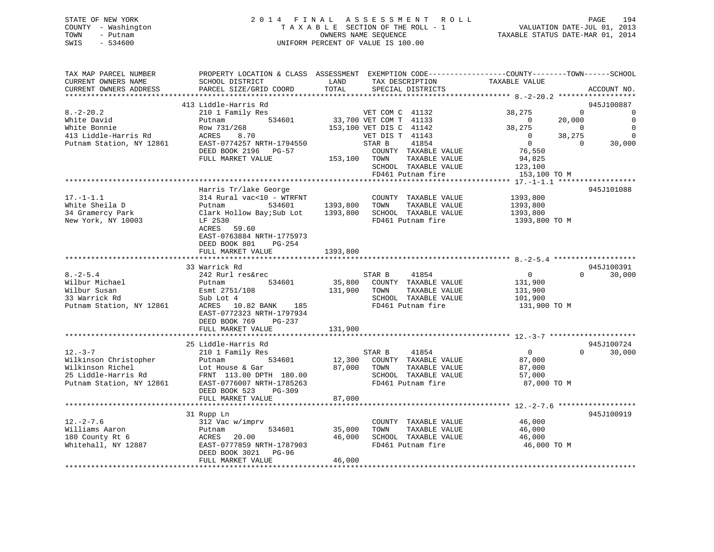| STATE OF NEW YORK   | 2014 FINAL ASSESSMENT ROLL         | 194<br>PAGE                      |
|---------------------|------------------------------------|----------------------------------|
| COUNTY - Washington | TAXABLE SECTION OF THE ROLL - 1    | VALUATION DATE-JUL 01, 2013      |
| TOWN<br>– Putnam    | OWNERS NAME SEOUENCE               | TAXABLE STATUS DATE-MAR 01, 2014 |
| SWIS<br>- 534600    | UNIFORM PERCENT OF VALUE IS 100.00 |                                  |

| TAX MAP PARCEL NUMBER<br>CURRENT OWNERS NAME                                                          | SCHOOL DISTRICT                                      | LAND<br>TAX DESCRIPTION                                                                                                                                                                                                              | PROPERTY LOCATION & CLASS ASSESSMENT EXEMPTION CODE---------------COUNTY-------TOWN------SCHOOL<br>TAXABLE VALUE |
|-------------------------------------------------------------------------------------------------------|------------------------------------------------------|--------------------------------------------------------------------------------------------------------------------------------------------------------------------------------------------------------------------------------------|------------------------------------------------------------------------------------------------------------------|
| CURRENT OWNERS ADDRESS                                                                                | PARCEL SIZE/GRID COORD                               | TOTAL<br>SPECIAL DISTRICTS                                                                                                                                                                                                           | ACCOUNT NO.                                                                                                      |
|                                                                                                       |                                                      |                                                                                                                                                                                                                                      |                                                                                                                  |
|                                                                                                       | 413 Liddle-Harris Rd                                 |                                                                                                                                                                                                                                      | 945J100887                                                                                                       |
| $8. -2 - 20.2$                                                                                        | 210 1 Family Res                                     | VET COM C 41132                                                                                                                                                                                                                      | $\Omega$<br>38,275<br>$\overline{0}$                                                                             |
| White David                                                                                           | Putnam                                               | 534601 33,700 VET COM T 41133                                                                                                                                                                                                        | $\overline{0}$<br>20,000<br>$\sim$ 0                                                                             |
| White Bonnie                                                                                          | Row 731/268                                          | 153,100 VET DIS C 41142                                                                                                                                                                                                              | $\overline{\mathbf{0}}$<br>38,275<br>$\overline{0}$                                                              |
| 413 Liddle-Harris Rd<br>Putnam Station, NY 12861                                                      | ACRES<br>8.70                                        | VET DIS T 41143                                                                                                                                                                                                                      | $\overline{0}$<br>38,275<br>$\overline{0}$                                                                       |
|                                                                                                       | EAST-0774257 NRTH-1794550                            | STAR B<br>41854                                                                                                                                                                                                                      | $\overline{0}$<br>30,000<br>$\overline{0}$                                                                       |
|                                                                                                       | DEED BOOK 2196 PG-57                                 | COUNTY TAXABLE VALUE                                                                                                                                                                                                                 | 76,550<br>94,825                                                                                                 |
|                                                                                                       | FULL MARKET VALUE                                    | 153,100 TOWN<br>TAXABLE VALUE                                                                                                                                                                                                        |                                                                                                                  |
|                                                                                                       |                                                      | SCHOOL TAXABLE VALUE                                                                                                                                                                                                                 | 123,100                                                                                                          |
|                                                                                                       |                                                      | FD461 Putnam fire                                                                                                                                                                                                                    | 153,100 TO M                                                                                                     |
|                                                                                                       |                                                      |                                                                                                                                                                                                                                      |                                                                                                                  |
|                                                                                                       | Harris Tr/lake George                                |                                                                                                                                                                                                                                      | 945J101088                                                                                                       |
| $17. - 1 - 1.1$                                                                                       | 314 Rural vac<10 - WTRFNT                            | COUNTY TAXABLE VALUE                                                                                                                                                                                                                 | 1393,800                                                                                                         |
| White Sheila D                                                                                        | Putnam                                               | 534601 1393,800 TOWN<br>TAXABLE VALUE                                                                                                                                                                                                | 1393,800                                                                                                         |
| 34 Gramercy Park                                                                                      |                                                      | Clark Hollow Bay; Sub Lot 1393, 800 SCHOOL TAXABLE VALUE                                                                                                                                                                             | 1393,800                                                                                                         |
| New York, NY 10003                                                                                    | LF 2530                                              | FD461 Putnam fire                                                                                                                                                                                                                    | 1393,800 TO M                                                                                                    |
|                                                                                                       | ACRES 59.60                                          |                                                                                                                                                                                                                                      |                                                                                                                  |
|                                                                                                       | EAST-0763884 NRTH-1775973                            |                                                                                                                                                                                                                                      |                                                                                                                  |
|                                                                                                       | DEED BOOK 801<br>PG-254                              |                                                                                                                                                                                                                                      |                                                                                                                  |
|                                                                                                       | FULL MARKET VALUE                                    | 1393,800                                                                                                                                                                                                                             |                                                                                                                  |
|                                                                                                       |                                                      |                                                                                                                                                                                                                                      |                                                                                                                  |
|                                                                                                       | 33 Warrick Rd                                        |                                                                                                                                                                                                                                      | 945J100391                                                                                                       |
| $8. - 2 - 5.4$                                                                                        | 242 Rurl res&rec                                     | STAR B 41854<br>35,800 COUNTY TAXABLE VALUE                                                                                                                                                                                          | $\Omega$<br>30,000<br>$\overline{0}$                                                                             |
| Wilbur Michael                                                                                        | 534601<br>Putnam                                     |                                                                                                                                                                                                                                      | 131,900                                                                                                          |
|                                                                                                       |                                                      | 131,900 TOWN<br>TAXABLE VALUE                                                                                                                                                                                                        | 131,900                                                                                                          |
|                                                                                                       |                                                      | SCHOOL TAXABLE VALUE                                                                                                                                                                                                                 | 101,900                                                                                                          |
| wilbur Susan<br>Wilbur Susan<br>33 Warrick Rd 50 Bub Lot 4<br>Putnam Station, NY 12861<br>ACRES 10.82 | ACRES 10.82 BANK 185                                 | FD461 Putnam fire                                                                                                                                                                                                                    | 131,900 TO M                                                                                                     |
|                                                                                                       | EAST-0772323 NRTH-1797934                            |                                                                                                                                                                                                                                      |                                                                                                                  |
|                                                                                                       | DEED BOOK 769 PG-237                                 |                                                                                                                                                                                                                                      |                                                                                                                  |
|                                                                                                       | FULL MARKET VALUE                                    | 131,900                                                                                                                                                                                                                              |                                                                                                                  |
|                                                                                                       |                                                      |                                                                                                                                                                                                                                      |                                                                                                                  |
|                                                                                                       | 25 Liddle-Harris Rd                                  |                                                                                                                                                                                                                                      | 945J100724                                                                                                       |
| $12. - 3 - 7$                                                                                         | 210 1 Family Res                                     | STAR B<br>41854                                                                                                                                                                                                                      | $\overline{0}$<br>$\Omega$<br>30,000                                                                             |
|                                                                                                       |                                                      |                                                                                                                                                                                                                                      | 87,000                                                                                                           |
|                                                                                                       |                                                      |                                                                                                                                                                                                                                      | 87,000                                                                                                           |
|                                                                                                       |                                                      | Wilkinson Christopher<br>Wilkinson Richel Lot House & Gar and the S34601 12,300 COUNTY TAXABLE VALUE<br>25 Liddle-Harris Rd FRNT 113.00 DPTH 180.00 SCHOOL TAXABLE VALUE<br>Putnam Station, NY 12861 EAST-0776007 NRTH-1785263 FD461 | 57,000                                                                                                           |
|                                                                                                       |                                                      |                                                                                                                                                                                                                                      | 87,000 TO M                                                                                                      |
|                                                                                                       | DEED BOOK 523<br>PG-309                              |                                                                                                                                                                                                                                      |                                                                                                                  |
|                                                                                                       | FULL MARKET VALUE                                    | 87,000                                                                                                                                                                                                                               |                                                                                                                  |
|                                                                                                       |                                                      |                                                                                                                                                                                                                                      |                                                                                                                  |
|                                                                                                       | 31 Rupp Ln                                           |                                                                                                                                                                                                                                      | 945J100919                                                                                                       |
| $12. - 2 - 7.6$                                                                                       | 312 Vac w/imprv                                      | COUNTY TAXABLE VALUE                                                                                                                                                                                                                 | 46,000                                                                                                           |
| Williams Aaron                                                                                        | Putnam<br>ACRES 20.00                                | 534601 35,000<br>TOWN<br>TAXABLE VALUE                                                                                                                                                                                               | 46,000<br>46.000                                                                                                 |
| 180 County Rt 6                                                                                       | ACRES 20.00 46,00<br>EAST-0777859 NRTH-1787903 46,00 | 46,000 SCHOOL TAXABLE VALUE                                                                                                                                                                                                          | 46,000                                                                                                           |
| Whitehall, NY 12887                                                                                   |                                                      | FD461 Putnam fire                                                                                                                                                                                                                    | 46,000 TO M                                                                                                      |
|                                                                                                       | DEED BOOK 3021 PG-96                                 |                                                                                                                                                                                                                                      |                                                                                                                  |
|                                                                                                       | FULL MARKET VALUE                                    | 46,000                                                                                                                                                                                                                               |                                                                                                                  |
|                                                                                                       |                                                      |                                                                                                                                                                                                                                      |                                                                                                                  |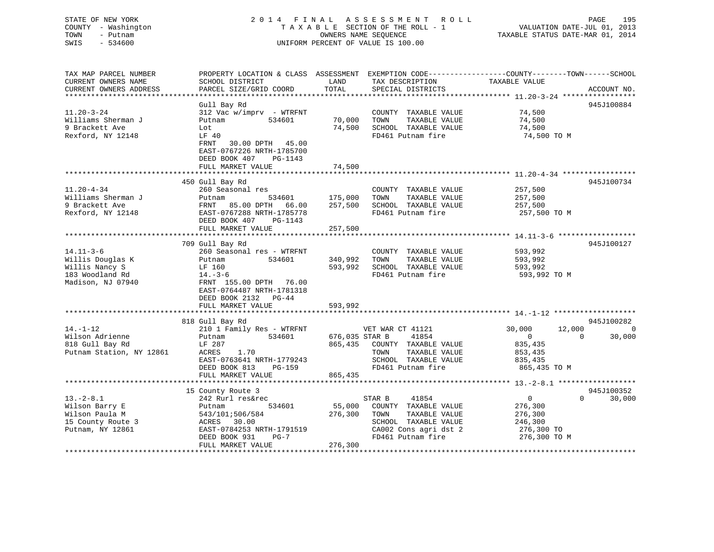# STATE OF NEW YORK 2014 FINAL ASSESSMENT ROLL PAGE 195 COUNTY - Washington  $T A X A B L E$  SECTION OF THE ROLL - 1<br>TOWN - Putnam data of the COUNTERS NAME SEQUENCE SWIS - 534600 UNIFORM PERCENT OF VALUE IS 100.00

VALUATION DATE-JUL 01, 2013

TAXABLE STATUS DATE-MAR 01, 2014

| TAX MAP PARCEL NUMBER    | PROPERTY LOCATION & CLASS ASSESSMENT EXEMPTION CODE----------------COUNTY-------TOWN------SCHOOL |                |                              |                  |                    |
|--------------------------|--------------------------------------------------------------------------------------------------|----------------|------------------------------|------------------|--------------------|
| CURRENT OWNERS NAME      | SCHOOL DISTRICT                                                                                  | LAND           | TAX DESCRIPTION              | TAXABLE VALUE    |                    |
| CURRENT OWNERS ADDRESS   | PARCEL SIZE/GRID COORD                                                                           | TOTAL          | SPECIAL DISTRICTS            |                  | ACCOUNT NO.        |
|                          |                                                                                                  |                |                              |                  |                    |
|                          | Gull Bay Rd                                                                                      |                |                              |                  | 945J100884         |
| $11.20 - 3 - 24$         | 312 Vac w/imprv - WTRFNT                                                                         |                | COUNTY TAXABLE VALUE         | 74,500           |                    |
| Williams Sherman J       | 534601<br>Putnam                                                                                 | 70,000         | TAXABLE VALUE<br>TOWN        | 74,500           |                    |
| 9 Brackett Ave           |                                                                                                  | 74,500         | SCHOOL TAXABLE VALUE         |                  |                    |
|                          | Lot                                                                                              |                |                              | 74,500           |                    |
| Rexford, NY 12148        | LF 40                                                                                            |                | FD461 Putnam fire            | 74,500 TO M      |                    |
|                          | FRNT<br>30.00 DPTH 45.00                                                                         |                |                              |                  |                    |
|                          | EAST-0767226 NRTH-1785700                                                                        |                |                              |                  |                    |
|                          | DEED BOOK 407<br>PG-1143                                                                         |                |                              |                  |                    |
|                          | FULL MARKET VALUE                                                                                | 74,500         |                              |                  |                    |
|                          |                                                                                                  |                |                              |                  |                    |
|                          | 450 Gull Bay Rd                                                                                  |                |                              |                  | 945J100734         |
| $11.20 - 4 - 34$         | 260 Seasonal res                                                                                 |                | COUNTY TAXABLE VALUE         | 257,500          |                    |
| Williams Sherman J       | Putnam                                                                                           | 534601 175,000 | TOWN<br>TAXABLE VALUE        | 257,500          |                    |
| 9 Brackett Ave           |                                                                                                  |                | SCHOOL TAXABLE VALUE         | 257,500          |                    |
|                          | FRNT 85.00 DPTH 66.00 257,500                                                                    |                |                              |                  |                    |
| Rexford, NY 12148        | EAST-0767288 NRTH-1785778                                                                        |                | FD461 Putnam fire            | 257,500 TO M     |                    |
|                          | DEED BOOK 407<br>PG-1143                                                                         |                |                              |                  |                    |
|                          | FULL MARKET VALUE                                                                                | 257,500        |                              |                  |                    |
|                          |                                                                                                  |                |                              |                  |                    |
|                          | 709 Gull Bay Rd                                                                                  |                |                              |                  | 945J100127         |
| $14.11 - 3 - 6$          | 260 Seasonal res - WTRFNT                                                                        |                | COUNTY TAXABLE VALUE         | 593,992          |                    |
| Willis Douglas K         | 534601<br>Putnam                                                                                 | 340,992 TOWN   | TAXABLE VALUE                | 593,992          |                    |
| Willis Nancy S           | LF 160                                                                                           | 593,992        | SCHOOL TAXABLE VALUE         | 593,992          |                    |
| 183 Woodland Rd          | $14. -3 - 6$                                                                                     |                | FD461 Putnam fire            | 593,992 TO M     |                    |
| Madison, NJ 07940        | FRNT 155.00 DPTH 76.00                                                                           |                |                              |                  |                    |
|                          | EAST-0764487 NRTH-1781318                                                                        |                |                              |                  |                    |
|                          | DEED BOOK 2132 PG-44                                                                             |                |                              |                  |                    |
|                          | FULL MARKET VALUE                                                                                | 593,992        |                              |                  |                    |
|                          |                                                                                                  |                |                              |                  |                    |
|                          |                                                                                                  |                |                              |                  | 945J100282         |
|                          | 818 Gull Bay Rd                                                                                  |                |                              |                  |                    |
| $14. - 1 - 12$           | 210 1 Family Res - WTRFNT                                                                        |                | VET WAR CT 41121             | 12,000<br>30,000 | 0                  |
| Wilson Adrienne          | 534601<br>Putnam                                                                                 | 676,035 STAR B | 41854                        | $\overline{0}$   | $\Omega$<br>30,000 |
| 818 Gull Bay Rd          | LF 287                                                                                           |                | 865,435 COUNTY TAXABLE VALUE | 835,435          |                    |
| Putnam Station, NY 12861 | ACRES<br>1.70                                                                                    |                | TAXABLE VALUE<br>TOWN        | 853,435          |                    |
|                          | EAST-0763641 NRTH-1779243                                                                        |                | SCHOOL TAXABLE VALUE         | 835,435          |                    |
|                          | DEED BOOK 813<br>PG-159                                                                          |                | FD461 Putnam fire            | 865,435 TO M     |                    |
|                          | FULL MARKET VALUE                                                                                | 865,435        |                              |                  |                    |
|                          |                                                                                                  |                |                              |                  |                    |
|                          | 15 County Route 3                                                                                |                |                              |                  | 945J100352         |
| $13.-2-8.1$              | 242 Rurl res&rec                                                                                 |                | STAR B<br>41854              | $\overline{0}$   | $\Omega$<br>30,000 |
| Wilson Barry E           | 534601<br>Putnam                                                                                 | 55,000         | COUNTY TAXABLE VALUE         | 276,300          |                    |
| Wilson Paula M           | 543/101;506/584                                                                                  | 276,300        | TAXABLE VALUE<br>TOWN        | 276,300          |                    |
| 15 County Route 3        | ACRES 30.00                                                                                      |                | SCHOOL TAXABLE VALUE         | 246,300          |                    |
|                          |                                                                                                  |                |                              |                  |                    |
| Putnam, NY 12861         | EAST-0784253 NRTH-1791519                                                                        |                | CA002 Cons agri dst 2        | 276,300 TO       |                    |
|                          | DEED BOOK 931<br>$PG-7$                                                                          |                | FD461 Putnam fire            | 276,300 TO M     |                    |
|                          | FULL MARKET VALUE                                                                                | 276,300        |                              |                  |                    |
|                          |                                                                                                  |                |                              |                  |                    |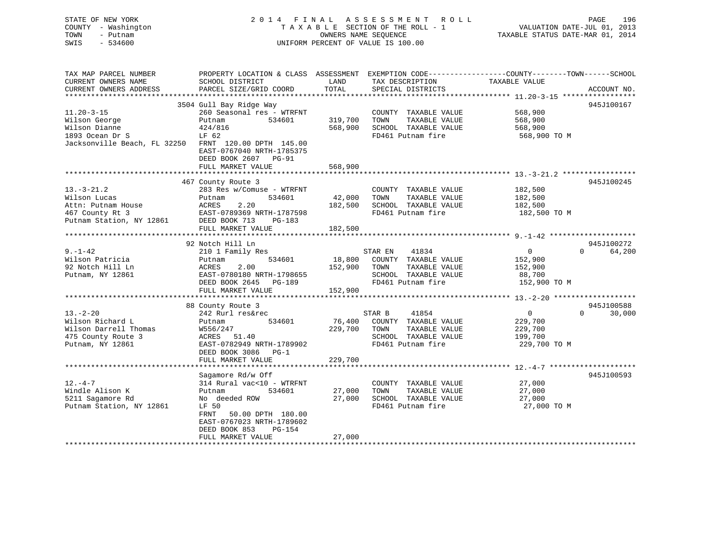| STATE OF NEW YORK<br>COUNTY - Washington<br>TOWN<br>- Putnam<br>SWIS<br>$-534600$ | 2014 FINAL ASSESSMENT ROLL<br>TAXABLE SECTION OF THE ROLL - 1<br>OWNERS NAME SEOUENCE<br>UNIFORM PERCENT OF VALUE IS 100.00 | TAXABLE STATUS DATE-MAR 01, 2014 | PAGE<br>VALUATION DATE-JUL 01, 2013 | 196 |
|-----------------------------------------------------------------------------------|-----------------------------------------------------------------------------------------------------------------------------|----------------------------------|-------------------------------------|-----|
| TAX MAP PARCEL NUMBER                                                             | PROPERTY LOCATION & CLASS ASSESSMENT<br>EXEMPTION CODE-----------------COUNTY-------TOWN------SCHOOL                        |                                  |                                     |     |

| CURRENT OWNERS NAME          | SCHOOL DISTRICT                                | LAND    |         | TAX DESCRIPTION      | TAXABLE VALUE  |          |             |        |
|------------------------------|------------------------------------------------|---------|---------|----------------------|----------------|----------|-------------|--------|
| CURRENT OWNERS ADDRESS       | PARCEL SIZE/GRID COORD                         | TOTAL   |         | SPECIAL DISTRICTS    |                |          | ACCOUNT NO. |        |
|                              |                                                |         |         |                      |                |          |             |        |
|                              | 3504 Gull Bay Ridge Way                        |         |         |                      |                |          | 945J100167  |        |
| $11.20 - 3 - 15$             | 260 Seasonal res - WTRFNT                      |         |         | COUNTY TAXABLE VALUE | 568,900        |          |             |        |
| Wilson George                | Putnam<br>534601                               | 319,700 | TOWN    | TAXABLE VALUE        | 568,900        |          |             |        |
| Wilson Dianne                | 424/816                                        | 568,900 |         | SCHOOL TAXABLE VALUE | 568,900        |          |             |        |
| 1893 Ocean Dr S              | LF 62                                          |         |         | FD461 Putnam fire    | 568,900 TO M   |          |             |        |
| Jacksonville Beach, FL 32250 | FRNT 120.00 DPTH 145.00                        |         |         |                      |                |          |             |        |
|                              | EAST-0767040 NRTH-1785375                      |         |         |                      |                |          |             |        |
|                              | DEED BOOK 2607<br>$PG-91$                      |         |         |                      |                |          |             |        |
|                              |                                                |         |         |                      |                |          |             |        |
|                              | FULL MARKET VALUE<br>************************* | 568,900 |         |                      |                |          |             |        |
|                              |                                                |         |         |                      |                |          |             |        |
|                              | 467 County Route 3                             |         |         |                      |                |          | 945J100245  |        |
| $13.-3-21.2$                 | 283 Res w/Comuse - WTRFNT                      |         |         | COUNTY TAXABLE VALUE | 182,500        |          |             |        |
| Wilson Lucas                 | Putnam<br>534601                               | 42,000  | TOWN    | TAXABLE VALUE        | 182,500        |          |             |        |
| Attn: Putnam House           | ACRES<br>2.20                                  | 182,500 |         | SCHOOL TAXABLE VALUE | 182,500        |          |             |        |
| 467 County Rt 3              | EAST-0789369 NRTH-1787598                      |         |         | FD461 Putnam fire    | 182,500 TO M   |          |             |        |
| Putnam Station, NY 12861     | DEED BOOK 713<br>PG-183                        |         |         |                      |                |          |             |        |
|                              | FULL MARKET VALUE                              | 182,500 |         |                      |                |          |             |        |
| **************************   |                                                |         |         |                      |                |          |             |        |
|                              | 92 Notch Hill Ln                               |         |         |                      |                |          | 945J100272  |        |
| $9. - 1 - 42$                | 210 1 Family Res                               |         | STAR EN | 41834                | $\overline{0}$ | $\Omega$ |             | 64,200 |
| Wilson Patricia              | 534601<br>Putnam                               | 18,800  |         | COUNTY TAXABLE VALUE | 152,900        |          |             |        |
| 92 Notch Hill Ln             | 2.00<br>ACRES                                  | 152,900 | TOWN    | TAXABLE VALUE        | 152,900        |          |             |        |
| Putnam, NY 12861             | EAST-0780180 NRTH-1798655                      |         |         | SCHOOL TAXABLE VALUE | 88,700         |          |             |        |
|                              | DEED BOOK 2645<br><b>PG-189</b>                |         |         | FD461 Putnam fire    | 152,900 TO M   |          |             |        |
|                              | FULL MARKET VALUE                              | 152,900 |         |                      |                |          |             |        |
|                              |                                                |         |         |                      |                |          |             |        |
|                              |                                                |         |         |                      |                |          |             |        |
|                              | 88 County Route 3                              |         |         |                      |                |          | 945J100588  |        |
| $13 - 2 - 20$                | 242 Rurl res&rec                               |         | STAR B  | 41854                | $\Omega$       | $\Omega$ |             | 30,000 |
| Wilson Richard L             | 534601<br>Putnam                               | 76,400  |         | COUNTY TAXABLE VALUE | 229,700        |          |             |        |
| Wilson Darrell Thomas        | W556/247                                       | 229,700 | TOWN    | TAXABLE VALUE        | 229,700        |          |             |        |
| 475 County Route 3           | 51.40<br>ACRES                                 |         |         | SCHOOL TAXABLE VALUE | 199,700        |          |             |        |
| Putnam, NY 12861             | EAST-0782949 NRTH-1789902                      |         |         | FD461 Putnam fire    | 229,700 TO M   |          |             |        |
|                              | DEED BOOK 3086<br>$PG-1$                       |         |         |                      |                |          |             |        |
|                              | FULL MARKET VALUE                              | 229,700 |         |                      |                |          |             |        |
|                              |                                                |         |         |                      |                |          |             |        |
|                              | Sagamore Rd/w Off                              |         |         |                      |                |          | 945J100593  |        |
| $12. -4 - 7$                 | 314 Rural vac<10 - WTRFNT                      |         |         | COUNTY TAXABLE VALUE | 27,000         |          |             |        |
| Windle Alison K              | 534601<br>Putnam                               | 27,000  | TOWN    | TAXABLE VALUE        | 27,000         |          |             |        |
| 5211 Sagamore Rd             | No deeded ROW                                  | 27,000  |         | SCHOOL TAXABLE VALUE | 27,000         |          |             |        |
| Putnam Station, NY 12861     | LF 50                                          |         |         | FD461 Putnam fire    | 27,000 TO M    |          |             |        |
|                              | <b>FRNT</b><br>50.00 DPTH 180.00               |         |         |                      |                |          |             |        |
|                              | EAST-0767023 NRTH-1789602                      |         |         |                      |                |          |             |        |
|                              | DEED BOOK 853<br><b>PG-154</b>                 |         |         |                      |                |          |             |        |
|                              |                                                | 27,000  |         |                      |                |          |             |        |
|                              | FULL MARKET VALUE                              |         |         |                      |                |          |             |        |
|                              |                                                |         |         |                      |                |          |             |        |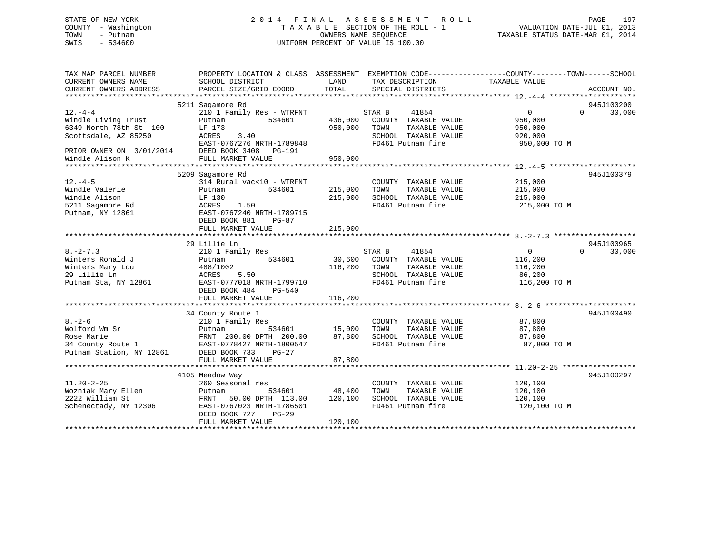# STATE OF NEW YORK 2 0 1 4 F I N A L A S S E S S M E N T R O L L PAGE 197 COUNTY - Washington T A X A B L E SECTION OF THE ROLL - 1 VALUATION DATE-JUL 01, 2013 TOWN - Putnam OWNERS NAME SEQUENCE TAXABLE STATUS DATE-MAR 01, 2014 SWIS - 534600 UNIFORM PERCENT OF VALUE IS 100.00

| TAX MAP PARCEL NUMBER<br>CURRENT OWNERS NAME<br>CURRENT OWNERS ADDRESS | PROPERTY LOCATION & CLASS ASSESSMENT EXEMPTION CODE---------------COUNTY-------TOWN------SCHOOL<br>SCHOOL DISTRICT<br>PARCEL SIZE/GRID COORD | LAND<br>TOTAL | TAX DESCRIPTION<br>SPECIAL DISTRICTS | TAXABLE VALUE         | ACCOUNT NO.        |
|------------------------------------------------------------------------|----------------------------------------------------------------------------------------------------------------------------------------------|---------------|--------------------------------------|-----------------------|--------------------|
|                                                                        |                                                                                                                                              |               |                                      |                       |                    |
|                                                                        | 5211 Sagamore Rd                                                                                                                             |               |                                      |                       | 945J100200         |
| $12. -4 - 4$                                                           | 210 1 Family Res - WTRFNT                                                                                                                    |               | STAR B<br>41854                      | $\overline{0}$        | $\Omega$<br>30,000 |
| Windle Living Trust                                                    | 534601<br>Putnam                                                                                                                             | 436,000       | COUNTY TAXABLE VALUE                 | 950,000               |                    |
| 6349 North 78th St 100                                                 | LF 173                                                                                                                                       | 950,000       | TOWN<br>TAXABLE VALUE                | 950,000               |                    |
| Scottsdale, AZ 85250                                                   | ACRES<br>3.40                                                                                                                                |               | SCHOOL TAXABLE VALUE                 | 920,000               |                    |
|                                                                        | EAST-0767276 NRTH-1789848                                                                                                                    |               | FD461 Putnam fire                    | 950,000 TO M          |                    |
| PRIOR OWNER ON 3/01/2014                                               | DEED BOOK 3408 PG-191                                                                                                                        |               |                                      |                       |                    |
| Windle Alison K                                                        | FULL MARKET VALUE                                                                                                                            | 950,000       |                                      |                       |                    |
|                                                                        |                                                                                                                                              |               |                                      |                       |                    |
|                                                                        | 5209 Sagamore Rd                                                                                                                             |               |                                      |                       | 945J100379         |
| $12. - 4 - 5$                                                          | 314 Rural vac<10 - WTRFNT                                                                                                                    |               | COUNTY TAXABLE VALUE                 | 215,000               |                    |
| Windle Valerie                                                         | 534601<br>Putnam                                                                                                                             | 215,000       | TOWN<br>TAXABLE VALUE                | 215,000               |                    |
| Windle Alison                                                          | LF 130                                                                                                                                       | 215,000       | SCHOOL TAXABLE VALUE                 | 215,000               |                    |
| 5211 Sagamore Rd                                                       | 1.50<br>ACRES                                                                                                                                |               | FD461 Putnam fire                    | 215,000 TO M          |                    |
| Putnam, NY 12861                                                       | EAST-0767240 NRTH-1789715                                                                                                                    |               |                                      |                       |                    |
|                                                                        | DEED BOOK 881<br>PG-87                                                                                                                       |               |                                      |                       |                    |
|                                                                        | FULL MARKET VALUE                                                                                                                            | 215,000       |                                      |                       |                    |
|                                                                        |                                                                                                                                              |               |                                      |                       |                    |
|                                                                        | 29 Lillie Ln                                                                                                                                 |               |                                      |                       | 945J100965         |
| $8. -2 - 7.3$                                                          | 210 1 Family Res                                                                                                                             |               | STAR B<br>41854                      | $\overline{0}$        | $\Omega$<br>30,000 |
| Winters Ronald J                                                       | 534601<br>Putnam                                                                                                                             | 30,600        | COUNTY TAXABLE VALUE                 | 116,200               |                    |
| Winters Mary Lou                                                       | 488/1002                                                                                                                                     | 116,200       | TOWN<br>TAXABLE VALUE                | 116,200               |                    |
| 29 Lillie Ln                                                           | 5.50<br>ACRES                                                                                                                                |               | SCHOOL TAXABLE VALUE                 | 86,200                |                    |
| Putnam Sta, NY 12861                                                   | EAST-0777018 NRTH-1799710                                                                                                                    |               | FD461 Putnam fire                    | 116,200 TO M          |                    |
|                                                                        | DEED BOOK 484 PG-540                                                                                                                         |               |                                      |                       |                    |
|                                                                        | FULL MARKET VALUE                                                                                                                            | 116,200       |                                      |                       |                    |
|                                                                        |                                                                                                                                              |               |                                      |                       |                    |
|                                                                        | 34 County Route 1                                                                                                                            |               |                                      |                       | 945J100490         |
| $8 - 2 - 6$                                                            | 210 1 Family Res                                                                                                                             |               | COUNTY TAXABLE VALUE                 | 87,800                |                    |
| Wolford Wm Sr                                                          | Putnam                                                                                                                                       |               | TAXABLE VALUE<br>TOWN                | 87,800                |                    |
| Rose Marie                                                             |                                                                                                                                              | 87,800        | SCHOOL TAXABLE VALUE                 |                       |                    |
| 34 County Route 1                                                      | FRNT 200.00 DPTH 200.00<br>EAST-0778427 NRTH-1800547                                                                                         |               | FD461 Putnam fire                    | 87,800<br>87,800 TO M |                    |
|                                                                        |                                                                                                                                              |               |                                      |                       |                    |
| Putnam Station, NY 12861                                               | DEED BOOK 733<br>PG-27                                                                                                                       |               |                                      |                       |                    |
|                                                                        | FULL MARKET VALUE                                                                                                                            | 87,800        |                                      |                       |                    |
|                                                                        |                                                                                                                                              |               |                                      |                       |                    |
|                                                                        | 4105 Meadow Way                                                                                                                              |               |                                      |                       | 945J100297         |
| $11.20 - 2 - 25$                                                       | 260 Seasonal res                                                                                                                             |               | COUNTY TAXABLE VALUE                 | 120,100               |                    |
| Wozniak Mary Ellen                                                     | 534601<br>Putnam                                                                                                                             | 48,400        | TOWN<br>TAXABLE VALUE                | 120,100               |                    |
| 2222 William St                                                        | FRNT 50.00 DPTH 113.00                                                                                                                       | 120,100       | SCHOOL TAXABLE VALUE                 | 120,100               |                    |
| Schenectady, NY 12306                                                  | EAST-0767023 NRTH-1786501                                                                                                                    |               | FD461 Putnam fire                    | 120,100 TO M          |                    |
|                                                                        | DEED BOOK 727<br><b>PG-29</b>                                                                                                                |               |                                      |                       |                    |
|                                                                        | FULL MARKET VALUE                                                                                                                            | 120,100       |                                      |                       |                    |
|                                                                        |                                                                                                                                              |               |                                      |                       |                    |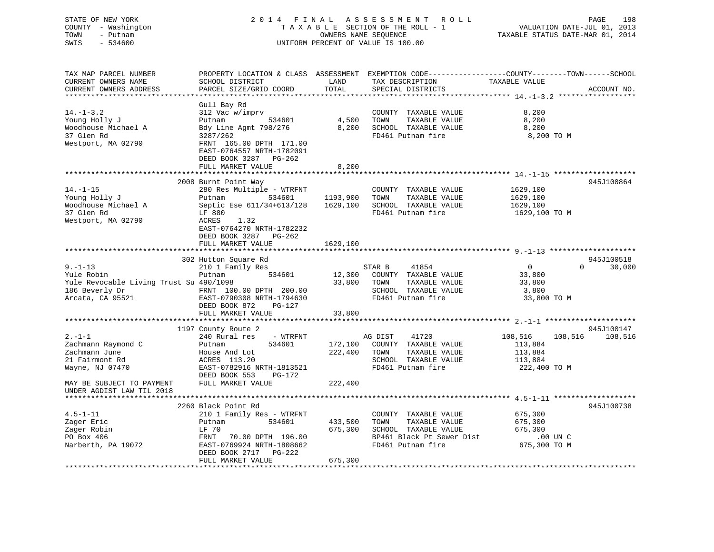# STATE OF NEW YORK 2 0 1 4 F I N A L A S S E S S M E N T R O L L PAGE 198 COUNTY - Washington T A X A B L E SECTION OF THE ROLL - 1 VALUATION DATE-JUL 01, 2013 TOWN - Putnam OWNERS NAME SEQUENCE TAXABLE STATUS DATE-MAR 01, 2014 SWIS - 534600 UNIFORM PERCENT OF VALUE IS 100.00

| TAX MAP PARCEL NUMBER<br>CURRENT OWNERS NAME | SCHOOL DISTRICT           | LAND     | PROPERTY LOCATION & CLASS ASSESSMENT EXEMPTION CODE----------------COUNTY-------TOWN------SCHOOL<br>TAX DESCRIPTION | TAXABLE VALUE  |                    |
|----------------------------------------------|---------------------------|----------|---------------------------------------------------------------------------------------------------------------------|----------------|--------------------|
| CURRENT OWNERS ADDRESS                       | PARCEL SIZE/GRID COORD    | TOTAL    | SPECIAL DISTRICTS                                                                                                   |                | ACCOUNT NO.        |
| ******************************               |                           |          |                                                                                                                     |                |                    |
|                                              | Gull Bay Rd               |          |                                                                                                                     |                |                    |
| $14. - 1 - 3.2$                              | 312 Vac w/imprv           |          | COUNTY TAXABLE VALUE                                                                                                | 8,200          |                    |
| Young Holly J                                | Putnam<br>534601          | 4,500    | TAXABLE VALUE<br>TOWN                                                                                               | 8,200          |                    |
| Woodhouse Michael A                          |                           |          |                                                                                                                     | 8,200          |                    |
|                                              | Bdy Line Agmt 798/276     | 8,200    | SCHOOL TAXABLE VALUE                                                                                                |                |                    |
| 37 Glen Rd                                   | 3287/262                  |          | FD461 Putnam fire                                                                                                   | 8,200 TO M     |                    |
| Westport, MA 02790                           | FRNT 165.00 DPTH 171.00   |          |                                                                                                                     |                |                    |
|                                              | EAST-0764557 NRTH-1782091 |          |                                                                                                                     |                |                    |
|                                              | DEED BOOK 3287 PG-262     |          |                                                                                                                     |                |                    |
|                                              | FULL MARKET VALUE         | 8,200    |                                                                                                                     |                |                    |
|                                              |                           |          |                                                                                                                     |                |                    |
|                                              | 2008 Burnt Point Way      |          |                                                                                                                     |                | 945J100864         |
| $14. - 1 - 15$                               | 280 Res Multiple - WTRFNT |          | COUNTY TAXABLE VALUE                                                                                                | 1629,100       |                    |
| Young Holly J                                | Putnam<br>534601          | 1193,900 | TAXABLE VALUE<br>TOWN                                                                                               | 1629,100       |                    |
| Woodhouse Michael A                          | Septic Ese 611/34+613/128 | 1629,100 | SCHOOL TAXABLE VALUE                                                                                                | 1629,100       |                    |
| 37 Glen Rd                                   | LF 880                    |          | FD461 Putnam fire                                                                                                   | 1629,100 TO M  |                    |
| Westport, MA 02790                           | ACRES<br>1.32             |          |                                                                                                                     |                |                    |
|                                              | EAST-0764270 NRTH-1782232 |          |                                                                                                                     |                |                    |
|                                              | DEED BOOK 3287 PG-262     |          |                                                                                                                     |                |                    |
|                                              | FULL MARKET VALUE         | 1629,100 |                                                                                                                     |                |                    |
|                                              |                           |          |                                                                                                                     |                |                    |
|                                              | 302 Hutton Square Rd      |          |                                                                                                                     |                | 945J100518         |
| $9. - 1 - 13$                                | 210 1 Family Res          |          | STAR B<br>41854                                                                                                     | $\overline{0}$ | $\Omega$<br>30,000 |
| Yule Robin                                   | 534601<br>Putnam          |          | 12,300 COUNTY TAXABLE VALUE                                                                                         | 33,800         |                    |
| Yule Revocable Living Trust Su 490/1098      |                           |          | 33,800 TOWN<br>TAXABLE VALUE                                                                                        | 33,800         |                    |
| 186 Beverly Dr                               | FRNT 100.00 DPTH 200.00   |          | SCHOOL TAXABLE VALUE                                                                                                | 3,800          |                    |
| Arcata, CA 95521                             | EAST-0790308 NRTH-1794630 |          | FD461 Putnam fire                                                                                                   | 33,800 TO M    |                    |
|                                              | DEED BOOK 872<br>PG-127   |          |                                                                                                                     |                |                    |
|                                              | FULL MARKET VALUE         |          |                                                                                                                     |                |                    |
|                                              |                           | 33,800   |                                                                                                                     |                |                    |
|                                              |                           |          |                                                                                                                     |                | 945J100147         |
|                                              | 1197 County Route 2       |          |                                                                                                                     |                |                    |
| $2 - 1 - 1$                                  | 240 Rural res - WTRFNT    |          | AG DIST<br>41720                                                                                                    | 108,516        | 108,516<br>108,516 |
| Zachmann Raymond C                           | Putnam<br>534601          | 172,100  | COUNTY TAXABLE VALUE                                                                                                | 113,884        |                    |
| Zachmann June                                | House And Lot             | 222,400  | TOWN<br>TAXABLE VALUE                                                                                               | 113,884        |                    |
| 21 Fairmont Rd                               | ACRES 113.20              |          | SCHOOL TAXABLE VALUE                                                                                                | 113,884        |                    |
| Wayne, NJ 07470                              | EAST-0782916 NRTH-1813521 |          | FD461 Putnam fire                                                                                                   | 222,400 TO M   |                    |
|                                              | DEED BOOK 553<br>PG-172   |          |                                                                                                                     |                |                    |
| MAY BE SUBJECT TO PAYMENT                    | FULL MARKET VALUE         | 222,400  |                                                                                                                     |                |                    |
| UNDER AGDIST LAW TIL 2018                    |                           |          |                                                                                                                     |                |                    |
|                                              |                           |          |                                                                                                                     |                |                    |
|                                              | 2260 Black Point Rd       |          |                                                                                                                     |                | 945J100738         |
| $4.5 - 1 - 11$                               | 210 1 Family Res - WTRFNT |          | COUNTY TAXABLE VALUE                                                                                                | 675,300        |                    |
| Zager Eric                                   | 534601<br>Putnam          | 433,500  | TAXABLE VALUE<br>TOWN                                                                                               | 675,300        |                    |
| Zager Robin                                  | LF 70                     | 675,300  | SCHOOL TAXABLE VALUE                                                                                                | 675,300        |                    |
| PO Box 406                                   | 70.00 DPTH 196.00<br>FRNT |          | BP461 Black Pt Sewer Dist                                                                                           | .00 UN C       |                    |
| Narberth, PA 19072                           | EAST-0769924 NRTH-1808662 |          | FD461 Putnam fire                                                                                                   | 675,300 TO M   |                    |
|                                              | DEED BOOK 2717 PG-222     |          |                                                                                                                     |                |                    |
|                                              | FULL MARKET VALUE         | 675,300  |                                                                                                                     |                |                    |
|                                              |                           |          |                                                                                                                     |                |                    |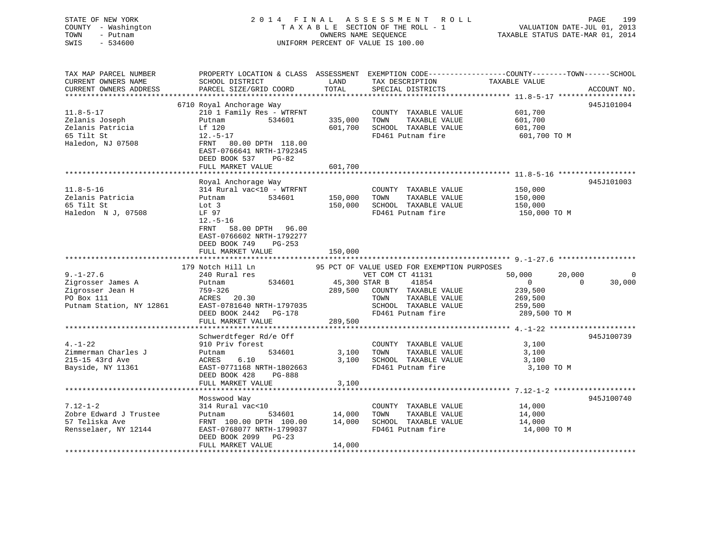| 199 | PAGE                             | 2014 FINAL ASSESSMENT ROLL         | STATE OF NEW YORK   |
|-----|----------------------------------|------------------------------------|---------------------|
|     | VALUATION DATE-JUL 01, 2013      | TAXABLE SECTION OF THE ROLL - 1    | COUNTY - Washington |
|     | TAXABLE STATUS DATE-MAR 01, 2014 | OWNERS NAME SEOUENCE               | TOWN<br>– Putnam    |
|     |                                  | UNIFORM PERCENT OF VALUE IS 100.00 | SWIS<br>- 534600    |
|     |                                  |                                    |                     |
|     |                                  |                                    |                     |

| TAX MAP PARCEL NUMBER<br>CURRENT OWNERS NAME<br>CURRENT OWNERS ADDRESS                   | SCHOOL DISTRICT<br>PARCEL SIZE/GRID COORD                                                                                                                                                  | LAND<br>TOTAL      | TAX DESCRIPTION TAXABLE VALUE<br>SPECIAL DISTRICTS                                         | PROPERTY LOCATION & CLASS ASSESSMENT EXEMPTION CODE----------------COUNTY-------TOWN------SCHOOL<br>ACCOUNT NO. |
|------------------------------------------------------------------------------------------|--------------------------------------------------------------------------------------------------------------------------------------------------------------------------------------------|--------------------|--------------------------------------------------------------------------------------------|-----------------------------------------------------------------------------------------------------------------|
|                                                                                          |                                                                                                                                                                                            |                    |                                                                                            |                                                                                                                 |
| $11.8 - 5 - 17$<br>Zelanis Joseph<br>Zelanis Patricia<br>65 Tilt St<br>Haledon, NJ 07508 | 6710 Royal Anchorage Way<br>210 1 Family Res - WTRFNT<br>534601<br>Putnam<br>Lf 120<br>$12.-5-17$<br>FRNT 80.00 DPTH 118.00                                                                | 335,000<br>601,700 | COUNTY TAXABLE VALUE<br>TAXABLE VALUE<br>TOWN<br>SCHOOL TAXABLE VALUE<br>FD461 Putnam fire | 945J101004<br>601,700<br>601,700<br>601,700<br>601,700 ТО М                                                     |
|                                                                                          | EAST-0766641 NRTH-1792345<br>DEED BOOK 537<br>$PG-82$<br>FULL MARKET VALUE                                                                                                                 | 601,700            |                                                                                            |                                                                                                                 |
|                                                                                          |                                                                                                                                                                                            |                    |                                                                                            |                                                                                                                 |
| $11.8 - 5 - 16$<br>Zelanis Patricia<br>65 Tilt St<br>Haledon N J, 07508                  | Royal Anchorage Way<br>314 Rural vac<10 - WTRFNT<br>534601<br>Putnam<br>Lot 3<br>LF 97<br>$12.-5-16$<br>58.00 DPTH 96.00<br>FRNT<br>EAST-0766602 NRTH-1792277<br>DEED BOOK 749<br>$PG-253$ | 150,000<br>150,000 | COUNTY TAXABLE VALUE<br>TAXABLE VALUE<br>TOWN<br>SCHOOL TAXABLE VALUE<br>FD461 Putnam fire | 945J101003<br>150,000<br>150,000<br>150,000<br>150,000 TO M                                                     |
|                                                                                          | FULL MARKET VALUE                                                                                                                                                                          | 150,000            |                                                                                            |                                                                                                                 |
|                                                                                          |                                                                                                                                                                                            |                    |                                                                                            |                                                                                                                 |
|                                                                                          |                                                                                                                                                                                            |                    |                                                                                            |                                                                                                                 |
|                                                                                          |                                                                                                                                                                                            |                    |                                                                                            |                                                                                                                 |
|                                                                                          | 179 Notch Hill Ln                                                                                                                                                                          |                    | 95 PCT OF VALUE USED FOR EXEMPTION PURPOSES                                                |                                                                                                                 |
| $9. - 1 - 27.6$                                                                          | 240 Rural res                                                                                                                                                                              |                    | VET COM CT 41131                                                                           | 20,000<br>50,000<br>0                                                                                           |
| Zigrosser James A                                                                        | 534601<br>Putnam                                                                                                                                                                           | 45,300 STAR B      | 41854                                                                                      | $\overline{0}$<br>$\Omega$<br>30,000                                                                            |
| Zigrosser Jean H                                                                         | 759-326                                                                                                                                                                                    | 289,500            | COUNTY TAXABLE VALUE                                                                       | 239,500                                                                                                         |
| PO Box 111                                                                               | ACRES 20.30                                                                                                                                                                                |                    | TAXABLE VALUE<br>TOWN                                                                      | 269,500                                                                                                         |
| Putnam Station, NY 12861                                                                 | EAST-0781640 NRTH-1797035                                                                                                                                                                  |                    | SCHOOL TAXABLE VALUE                                                                       | 259,500                                                                                                         |
|                                                                                          | DEED BOOK 2442 PG-178                                                                                                                                                                      |                    | FD461 Putnam fire                                                                          | 289,500 TO M                                                                                                    |
|                                                                                          | FULL MARKET VALUE                                                                                                                                                                          | 289,500            |                                                                                            |                                                                                                                 |
|                                                                                          | Schwerdtfeger Rd/e Off                                                                                                                                                                     |                    |                                                                                            | 945J100739                                                                                                      |
| $4. - 1 - 22$                                                                            | 910 Priv forest                                                                                                                                                                            |                    | COUNTY TAXABLE VALUE                                                                       | 3,100                                                                                                           |
| Zimmerman Charles J                                                                      | 534601<br>Putnam                                                                                                                                                                           | 3,100              | TAXABLE VALUE<br>TOWN                                                                      | 3,100                                                                                                           |
| 215-15 43rd Ave                                                                          | 6.10<br>ACRES                                                                                                                                                                              | 3,100              | SCHOOL TAXABLE VALUE                                                                       | 3,100                                                                                                           |
| Bayside, NY 11361                                                                        | EAST-0771168 NRTH-1802663                                                                                                                                                                  |                    | FD461 Putnam fire                                                                          | 3,100 TO M                                                                                                      |
|                                                                                          | DEED BOOK 428<br>PG-888                                                                                                                                                                    |                    |                                                                                            |                                                                                                                 |
|                                                                                          | FULL MARKET VALUE                                                                                                                                                                          | 3,100              |                                                                                            |                                                                                                                 |
|                                                                                          |                                                                                                                                                                                            |                    |                                                                                            |                                                                                                                 |
|                                                                                          | Mosswood Way                                                                                                                                                                               |                    |                                                                                            | 945J100740                                                                                                      |
| $7.12 - 1 - 2$                                                                           | 314 Rural vac<10                                                                                                                                                                           |                    | COUNTY TAXABLE VALUE                                                                       | 14,000                                                                                                          |
| Zobre Edward J Trustee                                                                   | Putnam<br>534601                                                                                                                                                                           | 14,000             | TOWN<br>TAXABLE VALUE                                                                      | 14,000                                                                                                          |
| 57 Teliska Ave                                                                           | FRNT 100.00 DPTH 100.00                                                                                                                                                                    | 14,000             | SCHOOL TAXABLE VALUE                                                                       | 14,000                                                                                                          |
| Rensselaer, NY 12144                                                                     | EAST-0768077 NRTH-1799037                                                                                                                                                                  |                    | FD461 Putnam fire                                                                          | 14,000 TO M                                                                                                     |
|                                                                                          | DEED BOOK 2099<br>$PG-23$<br>FULL MARKET VALUE                                                                                                                                             | 14,000             |                                                                                            |                                                                                                                 |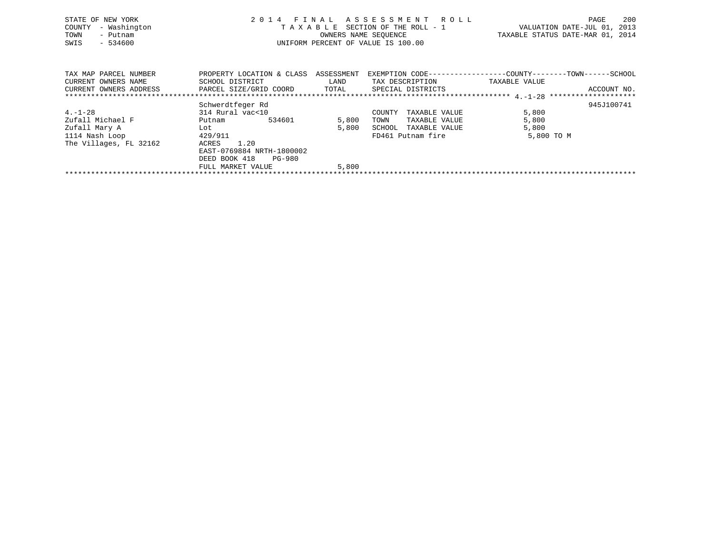| STATE OF NEW YORK<br>- Washington<br>COUNTY<br>TOWN<br>- Putnam<br>SWIS<br>$-534600$ | 2014 FINAL ASSESSMENT ROLL<br>TAXABLE SECTION OF THE ROLL - 1<br>OWNERS NAME SEQUENCE<br>UNIFORM PERCENT OF VALUE IS 100.00 |       |                                                              |               | 200<br>PAGE<br>VALUATION DATE-JUL 01, 2013<br>TAXABLE STATUS DATE-MAR 01, 2014 |
|--------------------------------------------------------------------------------------|-----------------------------------------------------------------------------------------------------------------------------|-------|--------------------------------------------------------------|---------------|--------------------------------------------------------------------------------|
|                                                                                      |                                                                                                                             |       |                                                              |               |                                                                                |
| TAX MAP PARCEL NUMBER                                                                | PROPERTY LOCATION & CLASS ASSESSMENT                                                                                        |       | EXEMPTION CODE-----------------COUNTY-------TOWN------SCHOOL |               |                                                                                |
| CURRENT OWNERS NAME                                                                  | SCHOOL DISTRICT                                                                                                             | LAND  | TAX DESCRIPTION                                              | TAXABLE VALUE |                                                                                |
| CURRENT OWNERS ADDRESS FARCEL SIZE/GRID COORD TOTAL SPECIAL DISTRICTS                |                                                                                                                             |       |                                                              |               | ACCOUNT NO.                                                                    |
|                                                                                      |                                                                                                                             |       |                                                              |               |                                                                                |
|                                                                                      | Schwerdtfeger Rd                                                                                                            |       |                                                              |               | 945J100741                                                                     |
| $4. - 1 - 28$                                                                        | 314 Rural vac<10                                                                                                            |       | COUNTY<br>TAXABLE VALUE                                      | 5,800         |                                                                                |
| Zufall Michael F                                                                     | 534601<br>Putnam                                                                                                            | 5,800 | TOWN<br>TAXABLE VALUE                                        | 5,800         |                                                                                |
| Zufall Mary A                                                                        | Lot                                                                                                                         | 5,800 | SCHOOL<br>TAXABLE VALUE                                      | 5,800         |                                                                                |
| 1114 Nash Loop                                                                       | 429/911                                                                                                                     |       | FD461 Putnam fire                                            | 5,800 TO M    |                                                                                |

\*\*\*\*\*\*\*\*\*\*\*\*\*\*\*\*\*\*\*\*\*\*\*\*\*\*\*\*\*\*\*\*\*\*\*\*\*\*\*\*\*\*\*\*\*\*\*\*\*\*\*\*\*\*\*\*\*\*\*\*\*\*\*\*\*\*\*\*\*\*\*\*\*\*\*\*\*\*\*\*\*\*\*\*\*\*\*\*\*\*\*\*\*\*\*\*\*\*\*\*\*\*\*\*\*\*\*\*\*\*\*\*\*\*\*\*\*\*\*\*\*\*\*\*\*\*\*\*\*\*\*\*

129/911<br>ACRES 1.20 FD461 Putnam fire

 EAST-0769884 NRTH-1800002 DEED BOOK 418 PG-980

FULL MARKET VALUE 5,800

The Villages, FL 32162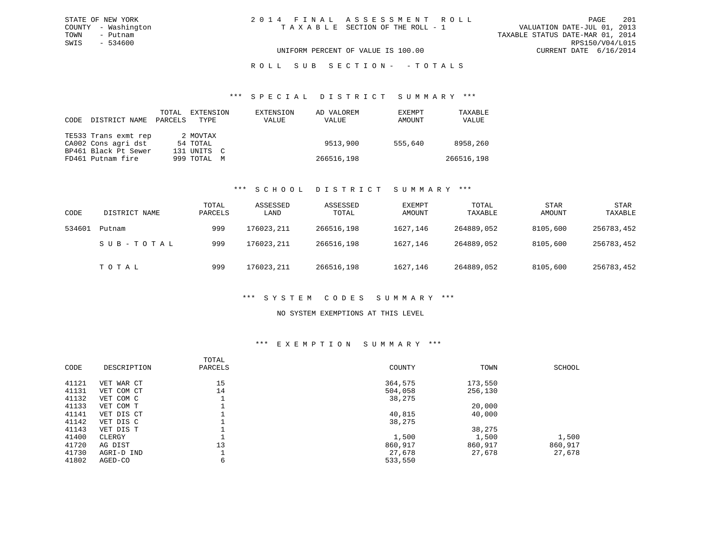### ROLL SUB SECTION - - TOTALS

#### \*\*\* S P E C I A L D I S T R I C T S U M M A R Y \*\*\*

| CODE | DISTRICT NAME        | TOTAL<br>PARCELS | EXTENSION<br>TYPE | EXTENSION<br>VALUE | AD VALOREM<br>VALUE | EXEMPT<br>AMOUNT | TAXABLE<br>VALUE |
|------|----------------------|------------------|-------------------|--------------------|---------------------|------------------|------------------|
|      | TE533 Trans exmt rep |                  | 2 MOVTAX          |                    |                     |                  |                  |
|      | CA002 Cons agri dst  |                  | 54 TOTAL          |                    | 9513,900            | 555,640          | 8958,260         |
|      | BP461 Black Pt Sewer |                  | 131 UNITS C       |                    |                     |                  |                  |
|      | FD461 Putnam fire    |                  | 999 TOTAL M       |                    | 266516,198          |                  | 266516,198       |

### \*\*\* S C H O O L D I S T R I C T S U M M A R Y \*\*\*

| CODE   | DISTRICT NAME | TOTAL<br>PARCELS | ASSESSED<br>LAND | ASSESSED<br>TOTAL | EXEMPT<br>AMOUNT | TOTAL<br>TAXABLE | <b>STAR</b><br>AMOUNT | <b>STAR</b><br>TAXABLE |
|--------|---------------|------------------|------------------|-------------------|------------------|------------------|-----------------------|------------------------|
| 534601 | Putnam        | 999              | 176023,211       | 266516,198        | 1627,146         | 264889,052       | 8105,600              | 256783,452             |
|        | SUB-TOTAL     | 999              | 176023,211       | 266516,198        | 1627,146         | 264889,052       | 8105,600              | 256783,452             |
|        | TOTAL         | 999              | 176023,211       | 266516,198        | 1627,146         | 264889,052       | 8105,600              | 256783,452             |

### \*\*\* S Y S T E M C O D E S S U M M A R Y \*\*\*

### NO SYSTEM EXEMPTIONS AT THIS LEVEL

#### \*\*\* E X E M P T I O N S U M M A R Y \*\*\*

| CODE  | DESCRIPTION | TOTAL<br>PARCELS | COUNTY  | TOWN    | SCHOOL  |
|-------|-------------|------------------|---------|---------|---------|
| 41121 | VET WAR CT  | 15               | 364,575 | 173,550 |         |
| 41131 | VET COM CT  | 14               | 504,058 | 256,130 |         |
| 41132 | VET COM C   |                  | 38,275  |         |         |
| 41133 | VET COM T   |                  |         | 20,000  |         |
| 41141 | VET DIS CT  |                  | 40,815  | 40,000  |         |
| 41142 | VET DIS C   |                  | 38,275  |         |         |
| 41143 | VET DIS T   |                  |         | 38,275  |         |
| 41400 | CLERGY      |                  | 1,500   | 1,500   | 1,500   |
| 41720 | AG DIST     | 13               | 860,917 | 860,917 | 860,917 |
| 41730 | AGRI-D IND  |                  | 27,678  | 27,678  | 27,678  |
| 41802 | AGED-CO     | 6                | 533,550 |         |         |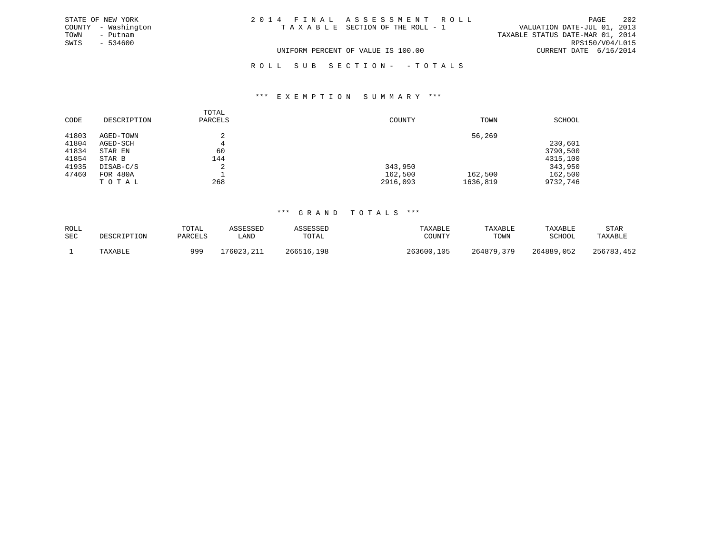| STATE OF NEW YORK   | 2014 FINAL ASSESSMENT ROLL         | 202<br>PAGE                      |
|---------------------|------------------------------------|----------------------------------|
| COUNTY - Washington | TAXABLE SECTION OF THE ROLL - 1    | VALUATION DATE-JUL 01, 2013      |
| TOWN<br>- Putnam    |                                    | TAXABLE STATUS DATE-MAR 01, 2014 |
| SWIS - 534600       |                                    | RPS150/V04/L015                  |
|                     | UNIFORM PERCENT OF VALUE IS 100.00 | CURRENT DATE 6/16/2014           |
|                     | ROLL SUB SECTION- - TOTALS         |                                  |

#### \*\*\* E X E M P T I O N S U M M A R Y \*\*\*

|       |             | TOTAL   |          |          |          |
|-------|-------------|---------|----------|----------|----------|
| CODE  | DESCRIPTION | PARCELS | COUNTY   | TOWN     | SCHOOL   |
| 41803 | AGED-TOWN   |         |          | 56,269   |          |
| 41804 | AGED-SCH    | 4       |          |          | 230,601  |
| 41834 | STAR EN     | 60      |          |          | 3790,500 |
| 41854 | STAR B      | 144     |          |          | 4315,100 |
| 41935 | DISAB-C/S   | 2       | 343,950  |          | 343,950  |
| 47460 | FOR 480A    |         | 162,500  | 162,500  | 162,500  |
|       | TOTAL       | 268     | 2916,093 | 1636,819 | 9732,746 |

| ROLL | DESCRIPTION | TOTAL   | ASSESSED   | ASSESSED   | TAXABLE    | TAXABLE    | TAXABLE    | STAR       |
|------|-------------|---------|------------|------------|------------|------------|------------|------------|
| SEC  |             | PARCELS | LAND       | TOTAL      | COUNTY     | TOWN       | SCHOOL     | TAXABLE    |
|      | TAXABLE     | 999     | 176023,211 | 266516,198 | 263600,105 | 264879,379 | 264889,052 | 256783,452 |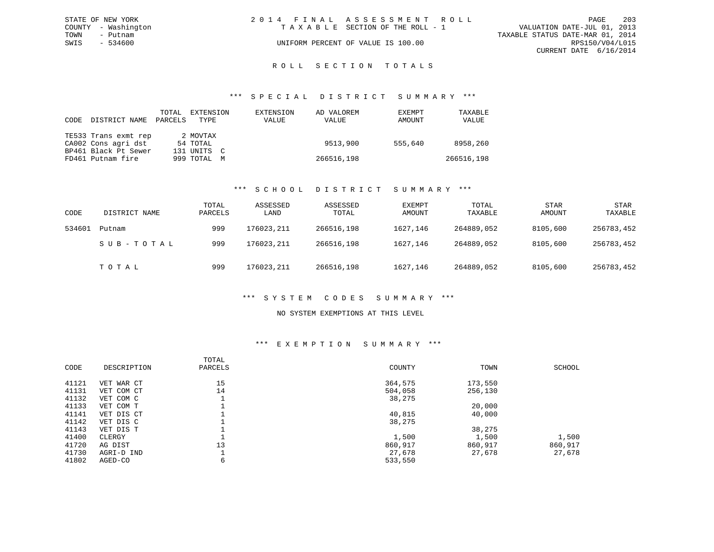| STATE OF NEW YORK   | 2014 FINAL ASSESSMENT ROLL         | 203<br>PAGE                      |
|---------------------|------------------------------------|----------------------------------|
| COUNTY - Washington | TAXABLE SECTION OF THE ROLL - 1    | VALUATION DATE-JUL 01, 2013      |
| TOWN<br>- Putnam    |                                    | TAXABLE STATUS DATE-MAR 01, 2014 |
| SWIS<br>- 534600    | UNIFORM PERCENT OF VALUE IS 100.00 | RPS150/V04/L015                  |
|                     |                                    | CURRENT DATE 6/16/2014           |
|                     |                                    |                                  |

### ROLL SECTION TOTALS

#### \*\*\* S P E C I A L D I S T R I C T S U M M A R Y \*\*\*

| CODE | DISTRICT NAME        | TOTAL<br>PARCELS | EXTENSION<br>TYPE | EXTENSION<br>VALUE | AD VALOREM<br>VALUE | EXEMPT<br>AMOUNT | TAXABLE<br>VALUE |
|------|----------------------|------------------|-------------------|--------------------|---------------------|------------------|------------------|
|      | TE533 Trans exmt rep |                  | 2 MOVTAX          |                    |                     |                  |                  |
|      | CA002 Cons agri dst  |                  | 54 TOTAL          |                    | 9513,900            | 555,640          | 8958,260         |
|      | BP461 Black Pt Sewer |                  | 131 UNITS C       |                    |                     |                  |                  |
|      | FD461 Putnam fire    |                  | 999 TOTAL M       |                    | 266516,198          |                  | 266516,198       |

#### \*\*\* S C H O O L D I S T R I C T S U M M A R Y \*\*\*

| CODE   | DISTRICT NAME | TOTAL<br>PARCELS | ASSESSED<br>LAND | ASSESSED<br>TOTAL | EXEMPT<br>AMOUNT | TOTAL<br>TAXABLE | <b>STAR</b><br>AMOUNT | <b>STAR</b><br>TAXABLE |
|--------|---------------|------------------|------------------|-------------------|------------------|------------------|-----------------------|------------------------|
| 534601 | Putnam        | 999              | 176023,211       | 266516,198        | 1627,146         | 264889,052       | 8105,600              | 256783,452             |
|        | SUB-TOTAL     | 999              | 176023,211       | 266516,198        | 1627,146         | 264889,052       | 8105,600              | 256783,452             |
|        | TOTAL         | 999              | 176023,211       | 266516,198        | 1627,146         | 264889,052       | 8105,600              | 256783,452             |

### \*\*\* S Y S T E M C O D E S S U M M A R Y \*\*\*

#### NO SYSTEM EXEMPTIONS AT THIS LEVEL

#### \*\*\* E X E M P T I O N S U M M A R Y \*\*\*

| CODE  | DESCRIPTION | TOTAL<br>PARCELS | COUNTY  | TOWN    | SCHOOL  |
|-------|-------------|------------------|---------|---------|---------|
| 41121 | VET WAR CT  | 15               | 364,575 | 173,550 |         |
| 41131 | VET COM CT  | 14               | 504,058 | 256,130 |         |
| 41132 | VET COM C   |                  | 38,275  |         |         |
| 41133 | VET COM T   |                  |         | 20,000  |         |
| 41141 | VET DIS CT  |                  | 40,815  | 40,000  |         |
| 41142 | VET DIS C   |                  | 38,275  |         |         |
| 41143 | VET DIS T   |                  |         | 38,275  |         |
| 41400 | CLERGY      |                  | 1,500   | 1,500   | 1,500   |
| 41720 | AG DIST     | 13               | 860,917 | 860,917 | 860,917 |
| 41730 | AGRI-D IND  |                  | 27,678  | 27,678  | 27,678  |
| 41802 | AGED-CO     | 6                | 533,550 |         |         |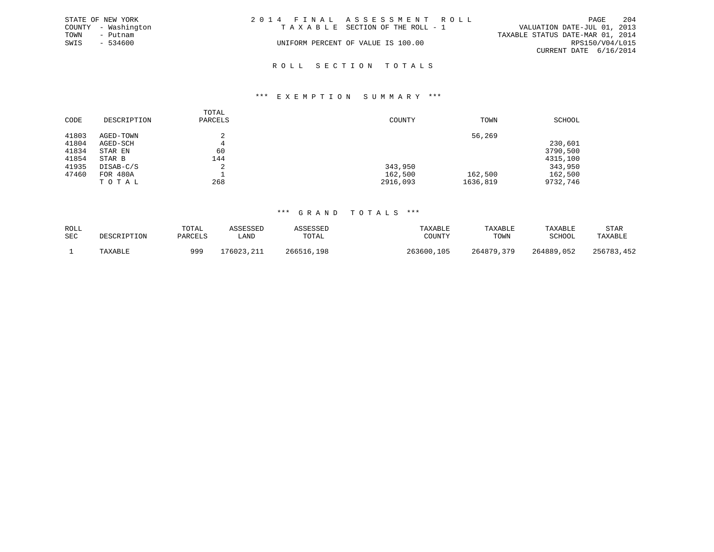|      | STATE OF NEW YORK   | 2014 FINAL ASSESSMENT ROLL |                                    |                                  |                        | PAGE | 204 |
|------|---------------------|----------------------------|------------------------------------|----------------------------------|------------------------|------|-----|
|      | COUNTY - Washington |                            | TAXABLE SECTION OF THE ROLL - 1    | VALUATION DATE-JUL 01, 2013      |                        |      |     |
| TOWN | - Putnam            |                            |                                    | TAXABLE STATUS DATE-MAR 01, 2014 |                        |      |     |
| SWIS | - 534600            |                            | UNIFORM PERCENT OF VALUE IS 100.00 |                                  | RPS150/V04/L015        |      |     |
|      |                     |                            |                                    |                                  | CURRENT DATE 6/16/2014 |      |     |
|      |                     |                            |                                    |                                  |                        |      |     |

# R O L L S E C T I O N T O T A L S

#### \*\*\* E X E M P T I O N S U M M A R Y \*\*\*

|       |             | TOTAL   |          |          |          |
|-------|-------------|---------|----------|----------|----------|
| CODE  | DESCRIPTION | PARCELS | COUNTY   | TOWN     | SCHOOL   |
|       |             |         |          |          |          |
| 41803 | AGED-TOWN   |         |          | 56,269   |          |
| 41804 | AGED-SCH    |         |          |          | 230,601  |
| 41834 | STAR EN     | 60      |          |          | 3790,500 |
| 41854 | STAR B      | 144     |          |          | 4315,100 |
| 41935 | DISAB-C/S   | △       | 343,950  |          | 343,950  |
| 47460 | FOR 480A    |         | 162,500  | 162,500  | 162,500  |
|       | TOTAL       | 268     | 2916,093 | 1636,819 | 9732,746 |

| ROLL | DESCRIPTION | TOTAL   | ASSESSED    | ASSESSED   | TAXABLE    | TAXABLE    | TAXABLE    | STAR       |
|------|-------------|---------|-------------|------------|------------|------------|------------|------------|
| SEC  |             | PARCELS | <b>LAND</b> | TOTAL      | COUNTY     | TOWN       | SCHOOL     | TAXABLE    |
|      | TAXABLE     | 999     | 176023,211  | 266516,198 | 263600,105 | 264879,379 | 264889,052 | 256783,452 |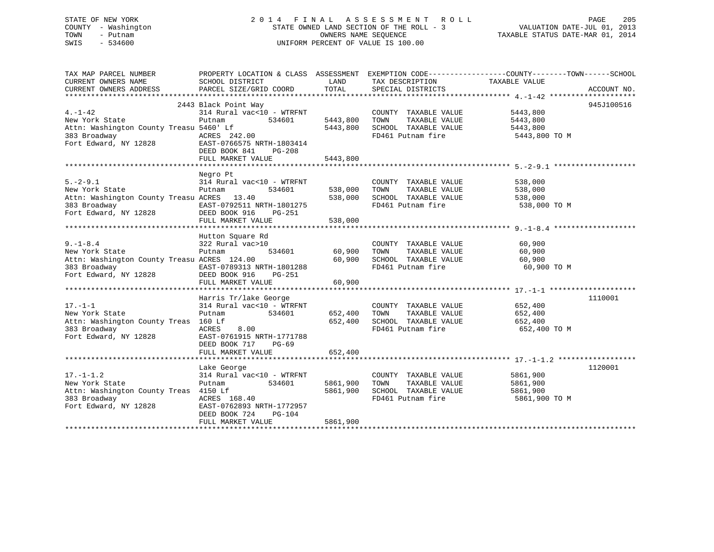| STATE OF NEW YORK   | 2014 FINAL ASSESSMENT ROLL               | -205<br>PAGE                     |
|---------------------|------------------------------------------|----------------------------------|
| COUNTY - Washington | STATE OWNED LAND SECTION OF THE ROLL - 3 | VALUATION DATE-JUL 01, 2013      |
| TOWN<br>- Putnam    | OWNERS NAME SEOUENCE                     | TAXABLE STATUS DATE-MAR 01, 2014 |
| SWIS<br>- 534600    | UNIFORM PERCENT OF VALUE IS 100.00       |                                  |
|                     |                                          |                                  |

| TAX MAP PARCEL NUMBER                                                           | PROPERTY LOCATION & CLASS ASSESSMENT EXEMPTION CODE---------------COUNTY-------TOWN------SCHOOL |              |                                                                              |                    |             |
|---------------------------------------------------------------------------------|-------------------------------------------------------------------------------------------------|--------------|------------------------------------------------------------------------------|--------------------|-------------|
| CURRENT OWNERS NAME                                                             | SCHOOL DISTRICT                                                                                 | LAND         | TAX DESCRIPTION                                                              | TAXABLE VALUE      |             |
| CURRENT OWNERS ADDRESS PARCEL SIZE/GRID COORD TOTAL                             |                                                                                                 |              | SPECIAL DISTRICTS                                                            |                    | ACCOUNT NO. |
|                                                                                 |                                                                                                 |              |                                                                              |                    |             |
|                                                                                 | 2443 Black Point Way                                                                            |              |                                                                              |                    | 945J100516  |
| $4. -1 - 42$                                                                    | 314 Rural vac<10 - WTRFNT                                                                       |              | COUNTY TAXABLE VALUE                                                         | 5443,800           |             |
| New York State                                                                  | 534601<br>Putnam                                                                                |              |                                                                              |                    |             |
|                                                                                 |                                                                                                 |              | 5443,800 TOWN TAXABLE VALUE 5443,800<br>5443,800 TOWN TAXABLE VALUE 5443,800 |                    |             |
| 383 Broadway<br>Fort Edward, NY 12828<br>Fort Edward, NY 12828<br>DEED BOOK 841 |                                                                                                 |              | FD461 Putnam fire 5443,800 TO M                                              |                    |             |
|                                                                                 |                                                                                                 |              |                                                                              |                    |             |
|                                                                                 |                                                                                                 |              |                                                                              |                    |             |
|                                                                                 | FULL MARKET VALUE                                                                               | 5443,800     |                                                                              |                    |             |
|                                                                                 |                                                                                                 |              |                                                                              |                    |             |
|                                                                                 | Negro Pt                                                                                        |              |                                                                              |                    |             |
| $5. -2 - 9.1$                                                                   | 314 Rural vac<10 - WTRFNT                                                                       |              | COUNTY TAXABLE VALUE                                                         |                    |             |
| New York State                                                                  | Putnam                                                                                          |              | 534601 538,000 TOWN TAXABLE VALUE                                            | 538,000<br>538,000 |             |
|                                                                                 |                                                                                                 |              |                                                                              |                    |             |
|                                                                                 |                                                                                                 |              |                                                                              | 538,000 TO M       |             |
|                                                                                 |                                                                                                 |              |                                                                              |                    |             |
|                                                                                 |                                                                                                 |              |                                                                              |                    |             |
|                                                                                 |                                                                                                 |              |                                                                              |                    |             |
|                                                                                 |                                                                                                 |              |                                                                              |                    |             |
|                                                                                 | Hutton Square Rd<br>سیاسی ایران<br>322 Rural vac>10<br>سیاسی                                    |              |                                                                              |                    |             |
| $9. - 1 - 8.4$                                                                  | % 2001.10<br>10 534601 60,900 TOWN                                                              |              | COUNTY TAXABLE VALUE 60,900<br>TOWN TAXABLE VALUE 60,900                     |                    |             |
| New York State                                                                  |                                                                                                 |              |                                                                              |                    |             |
| Attn: Washington County Treasu ACRES 124.00                                     |                                                                                                 | 60,900       | SCHOOL TAXABLE VALUE 60,900                                                  |                    |             |
| 383 Broadway                                                                    | EAST-0789313 NRTH-1801288                                                                       |              | FD461 Putnam fire                                                            | 60,900 TO M        |             |
| Fort Edward, NY 12828 DEED BOOK 916                                             | PG-251                                                                                          |              |                                                                              |                    |             |
|                                                                                 | FULL MARKET VALUE                                                                               | 60,900       |                                                                              |                    |             |
|                                                                                 |                                                                                                 |              |                                                                              |                    |             |
|                                                                                 | Harris Tr/lake George                                                                           |              |                                                                              |                    | 1110001     |
| $17. - 1 - 1$                                                                   | $314$ Rural vac<10 - WTRFNT                                                                     |              | COUNTY TAXABLE VALUE 652,400                                                 |                    |             |
| New York State                                                                  | Putnam<br>534601                                                                                | 652,400 TOWN | TAXABLE VALUE                                                                | 652,400            |             |
| Attn: Washington County Treas 160 Lf                                            |                                                                                                 |              | 652,400 SCHOOL TAXABLE VALUE 652,400                                         |                    |             |
|                                                                                 |                                                                                                 |              | FD461 Putnam fire                                                            | 652,400 TO M       |             |
|                                                                                 |                                                                                                 |              |                                                                              |                    |             |
|                                                                                 | DEED BOOK 717 PG-69                                                                             |              |                                                                              |                    |             |
|                                                                                 |                                                                                                 |              |                                                                              |                    |             |
|                                                                                 |                                                                                                 |              |                                                                              |                    |             |
|                                                                                 | Lake George                                                                                     |              |                                                                              |                    | 1120001     |
| $17. - 1 - 1.2$                                                                 | 314 Rural vac<10 - WTRFNT                                                                       |              | COUNTY TAXABLE VALUE                                                         | 5861,900           |             |
| New York State                                                                  | 534601<br>Putnam                                                                                | 5861,900     | TAXABLE VALUE<br>TOWN                                                        | 5861,900           |             |
| Attn: Washington County Treas 4150 Lf                                           |                                                                                                 | 5861,900     | SCHOOL TAXABLE VALUE                                                         | 5861,900           |             |
| 183<br>Broadway<br>Fort Edward, NY 12828                                        | ACRES 168.40                                                                                    |              | FD461 Putnam fire                                                            | 5861,900 TO M      |             |
|                                                                                 | EAST-0762893 NRTH-1772957                                                                       |              |                                                                              |                    |             |
|                                                                                 | DEED BOOK 724<br>PG-104                                                                         |              |                                                                              |                    |             |
|                                                                                 | FULL MARKET VALUE                                                                               | 5861,900     |                                                                              |                    |             |
|                                                                                 |                                                                                                 |              |                                                                              |                    |             |

PAGE 205<br>JL 01, 2013<br>AR 01, 2014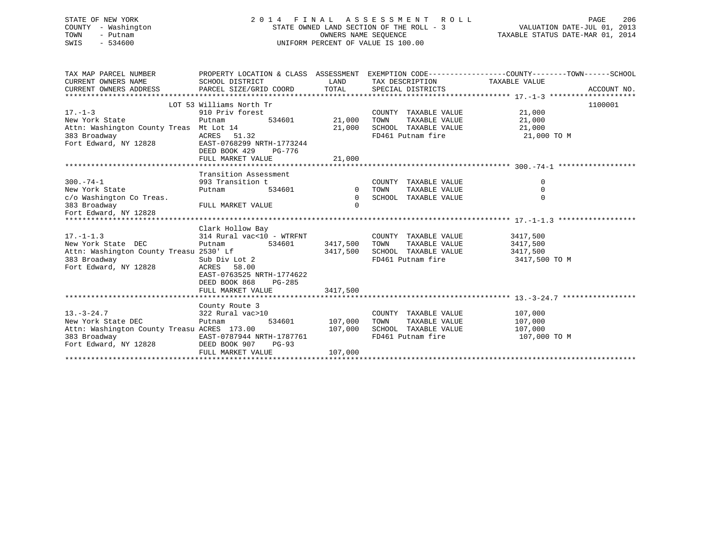| STATE OF NEW YORK   | 2014 FINAL ASSESSMENT ROLL               | 206<br>PAGE                      |
|---------------------|------------------------------------------|----------------------------------|
| COUNTY - Washington | STATE OWNED LAND SECTION OF THE ROLL - 3 | VALUATION DATE-JUL 01, 2013      |
| TOWN<br>– Putnam    | OWNERS NAME SEOUENCE                     | TAXABLE STATUS DATE-MAR 01, 2014 |
| SWIS<br>- 534600    | UNIFORM PERCENT OF VALUE IS 100.00       |                                  |
|                     |                                          |                                  |

| TAX MAP PARCEL NUMBER                                                 | PROPERTY LOCATION & CLASS ASSESSMENT EXEMPTION CODE----------------COUNTY-------TOWN-----SCHOOL |                      |                               |               |             |
|-----------------------------------------------------------------------|-------------------------------------------------------------------------------------------------|----------------------|-------------------------------|---------------|-------------|
| CURRENT OWNERS NAME                                                   | SCHOOL DISTRICT                                                                                 | LAND                 | TAX DESCRIPTION TAXABLE VALUE |               |             |
| CURRENT OWNERS ADDRESS PARCEL SIZE/GRID COORD TOTAL SPECIAL DISTRICTS |                                                                                                 |                      |                               |               | ACCOUNT NO. |
|                                                                       |                                                                                                 |                      |                               |               |             |
|                                                                       | LOT 53 Williams North Tr                                                                        |                      |                               |               | 1100001     |
| $17. - 1 - 3$                                                         | 910 Priv forest                                                                                 |                      | COUNTY TAXABLE VALUE          | 21,000        |             |
| New York State                                                        | 534601<br>Putnam                                                                                | 21,000               | TAXABLE VALUE<br>TOWN         | 21,000        |             |
| Attn: Washington County Treas Mt Lot 14                               |                                                                                                 | 21,000               | SCHOOL TAXABLE VALUE          | 21,000        |             |
| 383 Broadway                                                          | ACRES 51.32                                                                                     |                      | FD461 Putnam fire             | 21,000 TO M   |             |
| Fort Edward, NY 12828                                                 | EAST-0768299 NRTH-1773244                                                                       |                      |                               |               |             |
|                                                                       | DEED BOOK 429<br>PG-776                                                                         |                      |                               |               |             |
|                                                                       | FULL MARKET VALUE                                                                               | 21,000               |                               |               |             |
|                                                                       |                                                                                                 |                      |                               |               |             |
|                                                                       | Transition Assessment                                                                           |                      |                               |               |             |
| $300. - 74 - 1$                                                       | 993 Transition t                                                                                |                      | COUNTY TAXABLE VALUE          | $\mathbf 0$   |             |
| New York State                                                        | Putnam                                                                                          | 534601 0 TOWN        | TAXABLE VALUE                 | 0             |             |
| c/o Washington Co Treas.                                              |                                                                                                 | $\overline{0}$       | SCHOOL TAXABLE VALUE          | $\Omega$      |             |
| 383 Broadway                                                          | FULL MARKET VALUE                                                                               | $\Omega$             |                               |               |             |
| Fort Edward, NY 12828                                                 |                                                                                                 |                      |                               |               |             |
|                                                                       |                                                                                                 |                      |                               |               |             |
|                                                                       | Clark Hollow Bay                                                                                |                      |                               |               |             |
| $17. - 1 - 1.3$                                                       | 314 Rural vac<10 - WTRFNT                                                                       |                      | COUNTY TAXABLE VALUE          | 3417,500      |             |
| New York State DEC                                                    | Putnam                                                                                          | 534601 3417,500 TOWN | TAXABLE VALUE                 | 3417,500      |             |
|                                                                       |                                                                                                 | 3417,500             | SCHOOL TAXABLE VALUE          | 3417,500      |             |
|                                                                       |                                                                                                 |                      | FD461 Putnam fire             | 3417,500 TO M |             |
| Fort Edward, NY 12828                                                 | ACRES 58.00                                                                                     |                      |                               |               |             |
|                                                                       | EAST-0763525 NRTH-1774622                                                                       |                      |                               |               |             |
|                                                                       | DEED BOOK 868<br>PG-285                                                                         |                      |                               |               |             |
|                                                                       | FULL MARKET VALUE                                                                               | 3417,500             |                               |               |             |
|                                                                       |                                                                                                 |                      |                               |               |             |
|                                                                       | County Route 3                                                                                  |                      |                               |               |             |
| $13. - 3 - 24.7$                                                      | 322 Rural vac>10                                                                                |                      | COUNTY TAXABLE VALUE          | 107,000       |             |
| New York State DEC                                                    | Putnam                                                                                          | 534601 107,000       | TOWN<br>TAXABLE VALUE 107,000 |               |             |
| Attn: Washington County Treasu ACRES 173.00                           | 107,000                                                                                         |                      | SCHOOL TAXABLE VALUE          | 107,000       |             |
| 383 Broadway                                                          | EAST-0787944 NRTH-1787761                                                                       |                      | FD461 Putnam fire             | 107,000 TO M  |             |
| Fort Edward, NY 12828                                                 | DEED BOOK 907<br>$PG-93$                                                                        |                      |                               |               |             |
|                                                                       | FULL MARKET VALUE                                                                               | 107,000              |                               |               |             |
|                                                                       |                                                                                                 |                      |                               |               |             |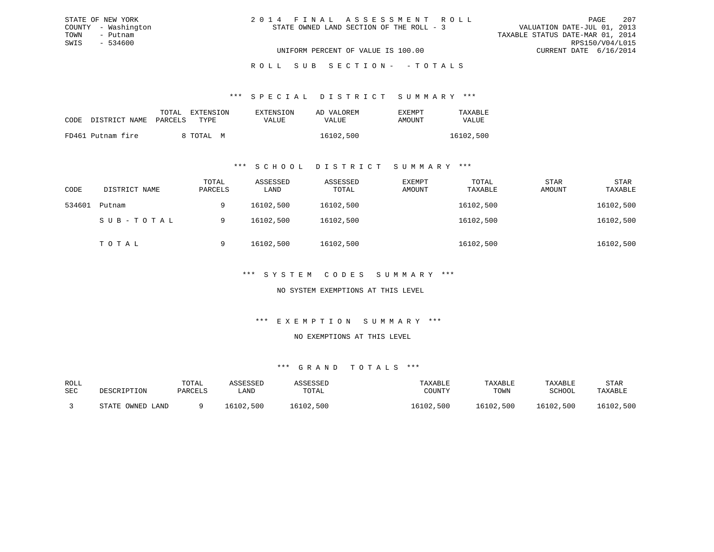| 2014 FINAL ASSESSMENT ROLL |                                          |                                  | PAGE                        | 207 |
|----------------------------|------------------------------------------|----------------------------------|-----------------------------|-----|
|                            | STATE OWNED LAND SECTION OF THE ROLL - 3 |                                  | VALUATION DATE-JUL 01, 2013 |     |
|                            |                                          | TAXABLE STATUS DATE-MAR 01, 2014 |                             |     |
|                            |                                          |                                  | RPS150/V04/L015             |     |
|                            | UNIFORM PERCENT OF VALUE IS 100.00       |                                  | CURRENT DATE 6/16/2014      |     |

#### \*\*\* S P E C I A L D I S T R I C T S U M M A R Y \*\*\*

|                    | TOTAL<br>EXTENSION | <b>EXTENSION</b> | AD VALOREM | <b>FXFMPT</b> | TAXABLE   |
|--------------------|--------------------|------------------|------------|---------------|-----------|
| CODE DISTRICT NAME | PARCELS<br>TYPE    | VALUE            | VALUE      | AMOUNT        | VALUE     |
| FD461 Putnam fire  | 8 TOTAL M          |                  | 16102,500  |               | 16102,500 |

STATE OF NEW YORK COUNTY - Washington TOWN - Putnam SWIS - 534600

#### \*\*\* S C H O O L D I S T R I C T S U M M A R Y \*\*\*

| CODE   | DISTRICT NAME | TOTAL<br>PARCELS | ASSESSED<br>LAND | ASSESSED<br>TOTAL | EXEMPT<br>AMOUNT | TOTAL<br>TAXABLE | <b>STAR</b><br>AMOUNT | <b>STAR</b><br>TAXABLE |
|--------|---------------|------------------|------------------|-------------------|------------------|------------------|-----------------------|------------------------|
| 534601 | Putnam        | 9                | 16102,500        | 16102,500         |                  | 16102,500        |                       | 16102,500              |
|        | SUB-TOTAL     | 9                | 16102,500        | 16102,500         |                  | 16102,500        |                       | 16102,500              |
|        | TOTAL         | 9                | 16102,500        | 16102,500         |                  | 16102,500        |                       | 16102,500              |

### \*\*\* S Y S T E M C O D E S S U M M A R Y \*\*\*

### NO SYSTEM EXEMPTIONS AT THIS LEVEL

#### \*\*\* E X E M P T I O N S U M M A R Y \*\*\*

#### NO EXEMPTIONS AT THIS LEVEL

| ROLL<br>SEC | DESCRIPTION      | TOTAL<br>PARCELS | ASSESSED<br>LAND | ASSESSED<br>TOTAL | TAXABLE<br>COUNTY | TAXABLE<br>TOWN | TAXABLE<br>SCHOOL | STAR<br>TAXABLE |
|-------------|------------------|------------------|------------------|-------------------|-------------------|-----------------|-------------------|-----------------|
|             | STATE OWNED LAND |                  | 16102,500        | 16102,500         | 16102,500         | 16102,500       | 16102,500         | 16102,500       |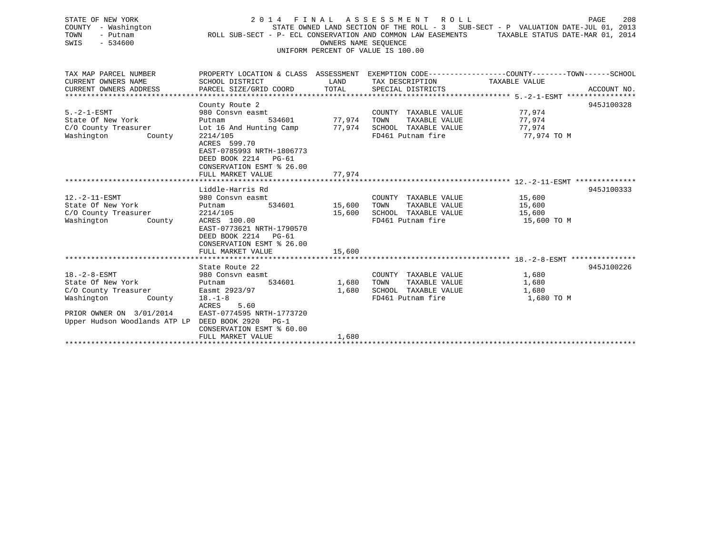| STATE OF NEW YORK<br>- Washington<br>COUNTY<br>TOWN<br>- Putnam<br>$-534600$<br>SWIS |        |                              | UNIFORM PERCENT OF VALUE IS 100.00 | 2014 FINAL ASSESSMENT ROLL<br>ROLL SUB-SECT - P- ECL CONSERVATION AND COMMON LAW EASEMENTS<br>OWNERS NAME SEOUENCE | STATE OWNED LAND SECTION OF THE ROLL - 3 SUB-SECT - P VALUATION DATE-JUL $01$ . | 208<br>PAGE<br>2013<br>TAXABLE STATUS DATE-MAR 01, 2014 |
|--------------------------------------------------------------------------------------|--------|------------------------------|------------------------------------|--------------------------------------------------------------------------------------------------------------------|---------------------------------------------------------------------------------|---------------------------------------------------------|
| TAX MAP PARCEL NUMBER                                                                |        | PROPERTY LOCATION & CLASS    | ASSESSMENT                         |                                                                                                                    | EXEMPTION CODE-----------------COUNTY-------TOWN------SCHOOL                    |                                                         |
| CURRENT OWNERS NAME                                                                  |        | SCHOOL DISTRICT              | LAND                               | TAX DESCRIPTION                                                                                                    | TAXABLE VALUE                                                                   |                                                         |
| CURRENT OWNERS ADDRESS                                                               |        | PARCEL SIZE/GRID COORD TOTAL |                                    | SPECIAL DISTRICTS                                                                                                  |                                                                                 | ACCOUNT NO.                                             |
|                                                                                      |        |                              |                                    |                                                                                                                    |                                                                                 |                                                         |
|                                                                                      |        | County Route 2               |                                    |                                                                                                                    |                                                                                 | 945J100328                                              |
| $5. -2 - 1 - ESMT$                                                                   |        | 980 Consyn easmt             |                                    | COUNTY<br>TAXABLE VALUE                                                                                            | 77.974                                                                          |                                                         |
| State Of New York                                                                    |        | 534601<br>Putnam             | 77.974                             | TOWN<br>TAXABLE VALUE                                                                                              | 77.974                                                                          |                                                         |
| C/O County Treasurer                                                                 |        | Lot 16 And Hunting Camp      | 77.974                             | SCHOOL<br>TAXABLE VALUE                                                                                            | 77,974                                                                          |                                                         |
| Washington                                                                           | County | 2214/105                     |                                    | FD461 Putnam fire                                                                                                  | 77,974 TO M                                                                     |                                                         |

\*\*\*\*\*\*\*\*\*\*\*\*\*\*\*\*\*\*\*\*\*\*\*\*\*\*\*\*\*\*\*\*\*\*\*\*\*\*\*\*\*\*\*\*\*\*\*\*\*\*\*\*\*\*\*\*\*\*\*\*\*\*\*\*\*\*\*\*\*\*\*\*\*\*\*\*\*\*\*\*\*\*\*\*\*\*\*\*\*\*\*\*\*\*\*\*\*\*\*\*\*\*\* 12.-2-11-ESMT \*\*\*\*\*\*\*\*\*\*\*\*\*\*

\*\*\*\*\*\*\*\*\*\*\*\*\*\*\*\*\*\*\*\*\*\*\*\*\*\*\*\*\*\*\*\*\*\*\*\*\*\*\*\*\*\*\*\*\*\*\*\*\*\*\*\*\*\*\*\*\*\*\*\*\*\*\*\*\*\*\*\*\*\*\*\*\*\*\*\*\*\*\*\*\*\*\*\*\*\*\*\*\*\*\*\*\*\*\*\*\*\*\*\*\*\*\* 18.-2-8-ESMT \*\*\*\*\*\*\*\*\*\*\*\*\*\*\*

\*\*\*\*\*\*\*\*\*\*\*\*\*\*\*\*\*\*\*\*\*\*\*\*\*\*\*\*\*\*\*\*\*\*\*\*\*\*\*\*\*\*\*\*\*\*\*\*\*\*\*\*\*\*\*\*\*\*\*\*\*\*\*\*\*\*\*\*\*\*\*\*\*\*\*\*\*\*\*\*\*\*\*\*\*\*\*\*\*\*\*\*\*\*\*\*\*\*\*\*\*\*\*\*\*\*\*\*\*\*\*\*\*\*\*\*\*\*\*\*\*\*\*\*\*\*\*\*\*\*\*\*

Liddle-Harris Rd 945J100333

State Route 22 945J100226

 ACRES 599.70 EAST-0785993 NRTH-1806773 DEED BOOK 2214 PG-61CONSERVATION ESMT % 26.00

ACRES 5.60

Upper Hudson Woodlands ATP LP DEED BOOK 2920 PG-1

PRIOR OWNER ON  $3/01/2014$ 

FULL MARKET VALUE 77,974

FULL MARKET VALUE 15,600

FULL MARKET VALUE 1,680

 EAST-0773621 NRTH-1790570 DEED BOOK 2214 PG-61CONSERVATION ESMT % 26.00

EAST-0774595 NRTH-1773720

CONSERVATION ESMT % 60.00

12.-2-11-ESMT 980 Consvn easmt COUNTY TAXABLE VALUE 15,600 State Of New York **Putnam** 534601 15,600 TOWN TAXABLE VALUE 15,600 C/O County Treasurer 2214/105 15,600 SCHOOL TAXABLE VALUE 15,600 Washington County ACRES 100.00 FD461 Putnam fire 15,600 TO M

18.-2-8-ESMT 980 Consvn easmt COUNTY TAXABLE VALUE 1,680 State Of New York Putnam 534601 1,680 TOWN TAXABLE VALUE 1,680 C/O County Treasurer Easmt 2923/97 1,680 SCHOOL TAXABLE VALUE 1,680 Washington County 18.-1-8 FD461 Putnam fire 1,680 TO M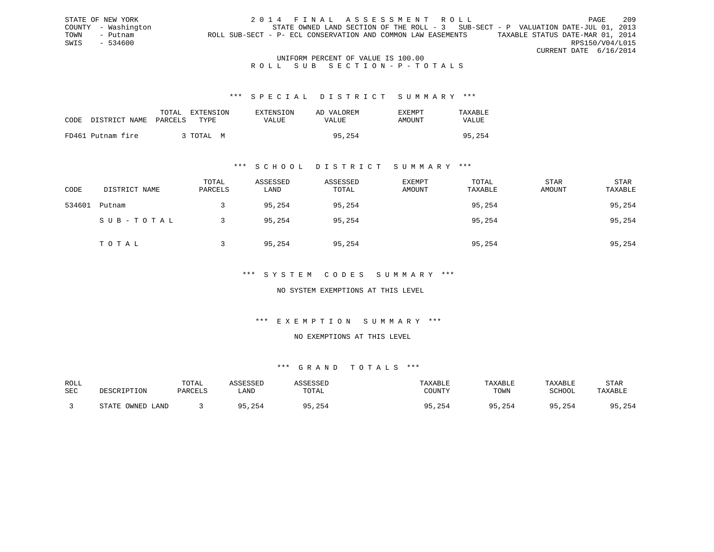STATE OF NEW YORK 2014 FINAL ASSESSMENT ROLL PAGE 209 COUNTY - Washington STATE OWNED LAND SECTION OF THE ROLL - 3 SUB-SECT - P VALUATION DATE-JUL 01, 2013 TOWN - Putnam ROLL SUB-SECT - P- ECL CONSERVATION AND COMMON LAW EASEMENTS TAXABLE STATUS DATE-MAR 01, 2014 SWIS - 534600 RPS150/V04/L015 CURRENT DATE 6/16/2014

#### UNIFORM PERCENT OF VALUE IS 100.00 ROLL SUB SECTION-P-TOTALS

#### \*\*\* S P E C I A L D I S T R I C T S U M M A R Y \*\*\*

| CODE DISTRICT NAME PARCELS | TOTAL<br>EXTENSION<br>TYPE. | EXTENSION<br>VALUE | AD VALOREM<br>VALUE | <b>EXEMPT</b><br>AMOUNT | TAXARI.E<br><b>VALUE</b> |
|----------------------------|-----------------------------|--------------------|---------------------|-------------------------|--------------------------|
| FD461 Putnam fire          | 3 TOTAL M                   |                    | 95,254              |                         | 95,254                   |

#### \*\*\* S C H O O L D I S T R I C T S U M M A R Y \*\*\*

| CODE   | DISTRICT NAME | TOTAL<br>PARCELS | ASSESSED<br>LAND | ASSESSED<br>TOTAL | EXEMPT<br>AMOUNT | TOTAL<br>TAXABLE | <b>STAR</b><br>AMOUNT | STAR<br>TAXABLE |
|--------|---------------|------------------|------------------|-------------------|------------------|------------------|-----------------------|-----------------|
| 534601 | Putnam        |                  | 95,254           | 95,254            |                  | 95,254           |                       | 95,254          |
|        | SUB-TOTAL     |                  | 95,254           | 95,254            |                  | 95,254           |                       | 95,254          |
|        | TOTAL         |                  | 95,254           | 95,254            |                  | 95,254           |                       | 95,254          |

### \*\*\* S Y S T E M C O D E S S U M M A R Y \*\*\*

#### NO SYSTEM EXEMPTIONS AT THIS LEVEL

#### \*\*\* E X E M P T I O N S U M M A R Y \*\*\*

### NO EXEMPTIONS AT THIS LEVEL

| ROLL |                  | TOTAL   | ASSESSED | ASSESSED | TAXABLE      | TAXABLE | TAXABLE      | <b>STAR</b> |
|------|------------------|---------|----------|----------|--------------|---------|--------------|-------------|
| SEC  | DESCRIPTION      | PARCELS | LAND     | TOTAL    | COUNTY       | TOWN    | SCHOOL       | TAXABLE     |
|      | STATE OWNED LAND |         | 95,254   | 5,254    | 95,254<br>QE | 95,254  | 95.254<br>QE | 95,254      |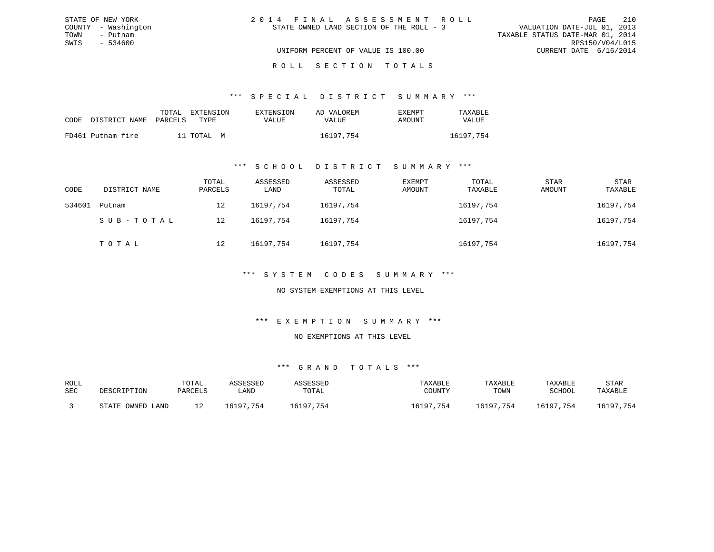| STATE OF NEW YORK   | 2014 FINAL ASSESSMENT ROLL               | 210<br>PAGE                      |
|---------------------|------------------------------------------|----------------------------------|
| COUNTY - Washington | STATE OWNED LAND SECTION OF THE ROLL - 3 | VALUATION DATE-JUL 01, 2013      |
| TOWN<br>– Putnam    |                                          | TAXABLE STATUS DATE-MAR 01, 2014 |
| SWIS<br>- 534600    |                                          | RPS150/V04/L015                  |
|                     | UNIFORM PERCENT OF VALUE IS 100.00       | CURRENT DATE 6/16/2014           |
|                     |                                          |                                  |

#### R O L L S E C T I O N T O T A L S

#### \*\*\* S P E C I A L D I S T R I C T S U M M A R Y \*\*\*

|                            | TOTAL | EXTENSION  | EXTENSION    | AD VALOREM | EXEMPT | TAXABLE      |
|----------------------------|-------|------------|--------------|------------|--------|--------------|
| CODE DISTRICT NAME PARCELS |       | TYPE       | <b>VALUE</b> | VALUE      | AMOUNT | <b>VALUE</b> |
| FD461 Putnam fire          |       | 11 TOTAL M |              | 16197,754  |        | 16197.754    |

#### \*\*\* S C H O O L D I S T R I C T S U M M A R Y \*\*\*

| CODE   | DISTRICT NAME | TOTAL<br>PARCELS | ASSESSED<br>LAND | ASSESSED<br>TOTAL | EXEMPT<br>AMOUNT | TOTAL<br>TAXABLE | <b>STAR</b><br>AMOUNT | STAR<br>TAXABLE |
|--------|---------------|------------------|------------------|-------------------|------------------|------------------|-----------------------|-----------------|
| 534601 | Putnam        | 12               | 16197.754        | 16197,754         |                  | 16197,754        |                       | 16197,754       |
|        | SUB-TOTAL     | 12               | 16197.754        | 16197.754         |                  | 16197,754        |                       | 16197,754       |
|        | TOTAL         | 12               | 16197,754        | 16197,754         |                  | 16197,754        |                       | 16197,754       |

### \*\*\* S Y S T E M C O D E S S U M M A R Y \*\*\*

#### NO SYSTEM EXEMPTIONS AT THIS LEVEL

#### \*\*\* E X E M P T I O N S U M M A R Y \*\*\*

#### NO EXEMPTIONS AT THIS LEVEL

| ROLL |                  | TOTAL   | ASSESSED  | ASSESSED  | TAXABLE   | TAXABLE   | TAXABLE   | STAR      |
|------|------------------|---------|-----------|-----------|-----------|-----------|-----------|-----------|
| SEC  | DESCRIPTION      | PARCELS | LAND      | TOTAL     | COUNTY    | TOWN      | SCHOOL    | TAXABLE   |
|      | STATE OWNED LAND |         | 16197.754 | 16197,754 | 16197,754 | 16197,754 | 16197,754 | 16197,754 |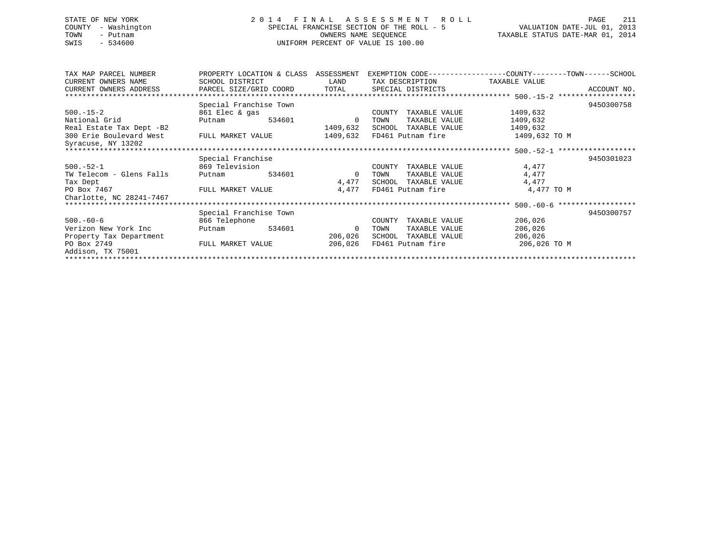# STATE OF NEW YORK 2 0 1 4 F I N A L A S S E S S M E N T R O L L PAGE 211 COUNTY - Washington SPECIAL FRANCHISE SECTION OF THE ROLL - 5 VALUATION DATE-JUL 01, 2013 TOWN - Putnam OWNERS NAME SEQUENCE TAXABLE STATUS DATE-MAR 01, 2014 SWIS - 534600 UNIFORM PERCENT OF VALUE IS 100.00

| TAX MAP PARCEL NUMBER    | PROPERTY LOCATION & CLASS ASSESSMENT           |        |                |        |                           | EXEMPTION CODE-----------------COUNTY-------TOWN------SCHOOL |             |
|--------------------------|------------------------------------------------|--------|----------------|--------|---------------------------|--------------------------------------------------------------|-------------|
| CURRENT OWNERS NAME      | SCHOOL DISTRICT                                |        | LAND           |        | TAX DESCRIPTION           | TAXABLE VALUE                                                |             |
| CURRENT OWNERS ADDRESS   | PARCEL SIZE/GRID COORD TOTAL SPECIAL DISTRICTS |        |                |        |                           |                                                              | ACCOUNT NO. |
|                          |                                                |        |                |        |                           |                                                              |             |
|                          | Special Franchise Town                         |        |                |        |                           |                                                              | 9450300758  |
| $500. -15 - 2$           | 861 Elec & gas                                 |        |                | COUNTY | TAXABLE VALUE             | 1409,632                                                     |             |
| National Grid            | Putnam                                         | 534601 | $\Omega$       | TOWN   | TAXABLE VALUE             | 1409,632                                                     |             |
| Real Estate Tax Dept -B2 |                                                |        | 1409,632       |        | SCHOOL TAXABLE VALUE      | 1409,632                                                     |             |
| 300 Erie Boulevard West  | FULL MARKET VALUE                              |        | 1409,632       |        | FD461 Putnam fire         | 1409,632 TO M                                                |             |
| Syracuse, NY 13202       |                                                |        |                |        |                           |                                                              |             |
|                          |                                                |        |                |        |                           |                                                              |             |
|                          | Special Franchise                              |        |                |        |                           |                                                              | 9450301023  |
| $500.-52-1$              | 869 Television                                 |        |                | COUNTY | TAXABLE VALUE             | 4,477                                                        |             |
| TW Telecom - Glens Falls | Putnam                                         | 534601 | $\overline{0}$ | TOWN   | TAXABLE VALUE             | 4,477                                                        |             |
| Tax Dept                 |                                                |        | 4,477          |        | SCHOOL TAXABLE VALUE      | 4,477                                                        |             |
| PO Box 7467              | FULL MARKET VALUE                              |        | 4,477          |        | FD461 Putnam fire         | 4,477 TO M                                                   |             |
| Charlotte, NC 28241-7467 |                                                |        |                |        |                           |                                                              |             |
|                          |                                                |        |                |        |                           |                                                              |             |
|                          | Special Franchise Town                         |        |                |        |                           |                                                              | 9450300757  |
| $500.-60-6$              | 866 Telephone                                  |        |                | COUNTY | TAXABLE VALUE             | 206,026                                                      |             |
| Verizon New York Inc     | Putnam                                         | 534601 | 0              | TOWN   | TAXABLE VALUE             | 206,026                                                      |             |
| Property Tax Department  |                                                |        | 206,026        | SCHOOL | TAXABLE VALUE             | 206,026                                                      |             |
| PO Box 2749              | FULL MARKET VALUE                              |        |                |        | 206,026 FD461 Putnam fire | 206,026 TO M                                                 |             |
| Addison, TX 75001        |                                                |        |                |        |                           |                                                              |             |
|                          |                                                |        |                |        |                           |                                                              |             |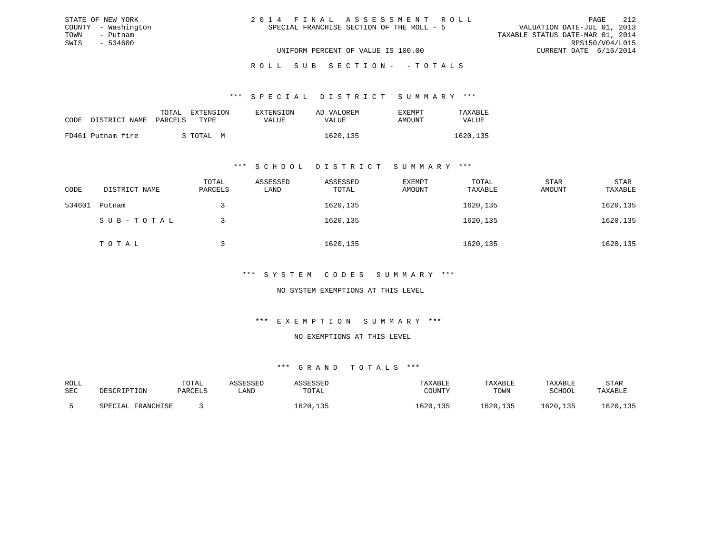| 2014 FINAL ASSESSMENT ROLL                | PAGE                             | 212 |
|-------------------------------------------|----------------------------------|-----|
| SPECIAL FRANCHISE SECTION OF THE ROLL - 5 | VALUATION DATE-JUL 01, 2013      |     |
|                                           | TAXABLE STATUS DATE-MAR 01, 2014 |     |
|                                           | RPS150/V04/L015                  |     |
| UNIFORM PERCENT OF VALUE IS 100.00        | CURRENT DATE 6/16/2014           |     |

ROLL SUB SECTION - - TOTALS

\*\*\* S P E C I A L D I S T R I C T S U M M A R Y \*\*\*

|                            | TOTAL | EXTENSION | EXTENSION | AD VALOREM | <b>EXEMPT</b> | TAXABLE  |
|----------------------------|-------|-----------|-----------|------------|---------------|----------|
| CODE DISTRICT NAME PARCELS |       | TYPE.     | VALUE     | VALUE      | AMOUNT        | VALUE    |
| FD461 Putnam fire          |       | , TOTAL M |           | 1620, 135  |               | 1620,135 |

STATE OF NEW YORK COUNTY - Washington TOWN - Putnam SWIS - 534600

#### \*\*\* S C H O O L D I S T R I C T S U M M A R Y \*\*\*

| CODE   | DISTRICT NAME | TOTAL<br>PARCELS | ASSESSED<br>LAND | ASSESSED<br>TOTAL | EXEMPT<br>AMOUNT | TOTAL<br>TAXABLE | STAR<br>AMOUNT | STAR<br>TAXABLE |
|--------|---------------|------------------|------------------|-------------------|------------------|------------------|----------------|-----------------|
| 534601 | Putnam        |                  |                  | 1620,135          |                  | 1620,135         |                | 1620,135        |
|        | SUB-TOTAL     |                  |                  | 1620,135          |                  | 1620,135         |                | 1620,135        |
|        | TOTAL         |                  |                  | 1620,135          |                  | 1620,135         |                | 1620,135        |

### \*\*\* S Y S T E M C O D E S S U M M A R Y \*\*\*

NO SYSTEM EXEMPTIONS AT THIS LEVEL

#### \*\*\* E X E M P T I O N S U M M A R Y \*\*\*

NO EXEMPTIONS AT THIS LEVEL

| ROLL |                   | TOTAL   | ASSESSED | ASSESSED | TAXABLE  | TAXABLE  | TAXABLE  | STAR     |
|------|-------------------|---------|----------|----------|----------|----------|----------|----------|
| SEC  | DESCRIPTION       | PARCELS | LAND     | TOTAL    | COUNTY   | TOWN     | SCHOOL   | TAXABLE  |
|      | SPECIAL FRANCHISE |         |          | .620,135 | 1620,135 | 1620,135 | 1620,135 | .620,135 |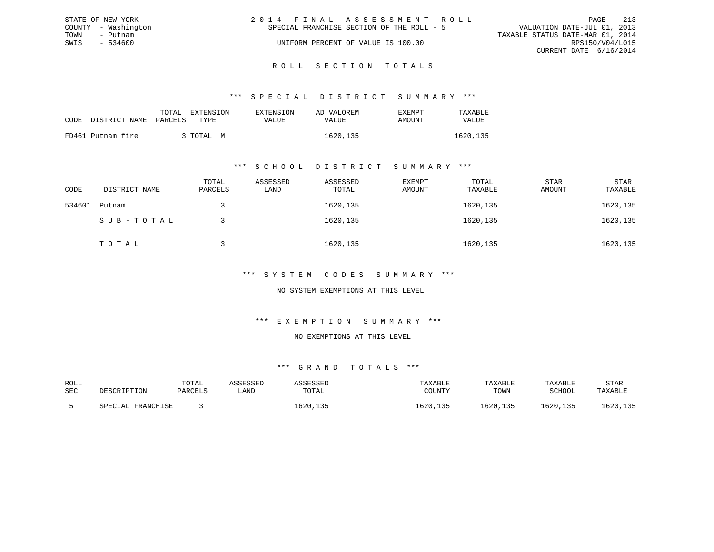|      | STATE OF NEW YORK   | 2014 FINAL ASSESSMENT ROLL                |                                  | PAGE            | 213 |
|------|---------------------|-------------------------------------------|----------------------------------|-----------------|-----|
|      | COUNTY - Washington | SPECIAL FRANCHISE SECTION OF THE ROLL - 5 | VALUATION DATE-JUL 01, 2013      |                 |     |
| TOWN | - Putnam            |                                           | TAXABLE STATUS DATE-MAR 01, 2014 |                 |     |
| SWIS | - 534600            | UNIFORM PERCENT OF VALUE IS 100.00        |                                  | RPS150/V04/L015 |     |
|      |                     |                                           | CURRENT DATE 6/16/2014           |                 |     |
|      |                     |                                           |                                  |                 |     |

### ROLL SECTION TOTALS

#### \*\*\* S P E C I A L D I S T R I C T S U M M A R Y \*\*\*

| CODE DISTRICT NAME PARCELS | TOTAL | EXTENSION<br>TYPR. | <b>EXTENSION</b><br>VALUE | AD VALOREM<br>VALUE | EXEMPT<br>AMOUNT | TAXABLE<br>VALUE |
|----------------------------|-------|--------------------|---------------------------|---------------------|------------------|------------------|
|                            |       |                    |                           |                     |                  |                  |
| FD461 Putnam fire          |       | 3 TOTAL M          |                           | 1620,135            |                  | 1620,135         |

#### \*\*\* S C H O O L D I S T R I C T S U M M A R Y \*\*\*

| CODE   | DISTRICT NAME | TOTAL<br>PARCELS | ASSESSED<br>LAND | ASSESSED<br>TOTAL | EXEMPT<br>AMOUNT | TOTAL<br>TAXABLE | STAR<br>AMOUNT | STAR<br>TAXABLE |
|--------|---------------|------------------|------------------|-------------------|------------------|------------------|----------------|-----------------|
| 534601 | Putnam        |                  |                  | 1620,135          |                  | 1620,135         |                | 1620,135        |
|        | SUB-TOTAL     |                  |                  | 1620,135          |                  | 1620,135         |                | 1620,135        |
|        | TOTAL         |                  |                  | 1620,135          |                  | 1620,135         |                | 1620,135        |

#### \*\*\* S Y S T E M C O D E S S U M M A R Y \*\*\*

#### NO SYSTEM EXEMPTIONS AT THIS LEVEL

#### \*\*\* E X E M P T I O N S U M M A R Y \*\*\*

#### NO EXEMPTIONS AT THIS LEVEL

| ROLL |                   | TOTAL   | ASSESSED | ASSESSED | TAXABLE  | TAXABLE  | TAXABLE  | STAR     |
|------|-------------------|---------|----------|----------|----------|----------|----------|----------|
| SEC  | DESCRIPTION       | PARCELS | LAND     | TOTAL    | COUNTY   | TOWN     | SCHOOL   | TAXABLE  |
|      | SPECIAL FRANCHISE |         |          | .620,135 | 1620,135 | 1620,135 | 1620,135 | .620,135 |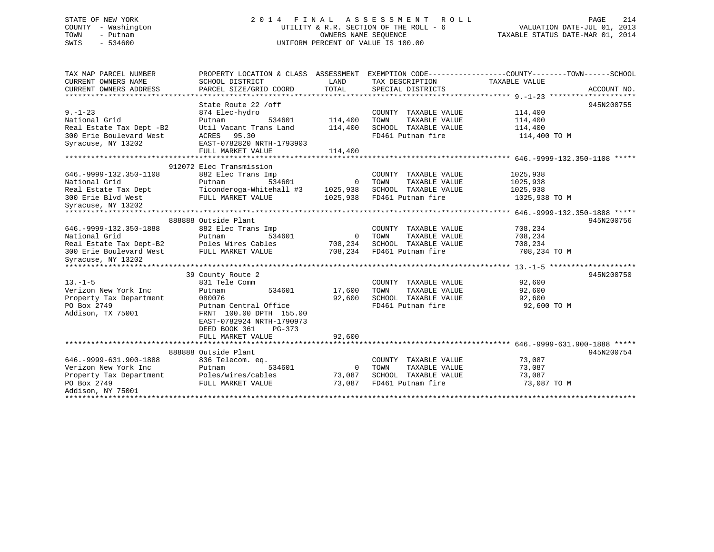# STATE OF NEW YORK 2 0 1 4 F I N A L A S S E S S M E N T R O L L PAGE 214 COUNTY - Washington UTILITY & R.R. SECTION OF THE ROLL - 6 VALUATION DATE-JUL 01, 2013 TOWN - Putnam OWNERS NAME SEQUENCE TAXABLE STATUS DATE-MAR 01, 2014 SWIS - 534600 UNIFORM PERCENT OF VALUE IS 100.00

TAX MAP PARCEL NUMBER PROPERTY LOCATION & CLASS ASSESSMENT EXEMPTION CODE------------------COUNTY--------TOWN------SCHOOL CURRENT OWNERS NAME SCHOOL DISTRICT LAND TAX DESCRIPTION TAXABLE VALUECURRENT OWNERS ADDRESS PARCEL SIZE/GRID COORD TOTAL SPECIAL DISTRICTS ACCOUNT NO. \*\*\*\*\*\*\*\*\*\*\*\*\*\*\*\*\*\*\*\*\*\*\*\*\*\*\*\*\*\*\*\*\*\*\*\*\*\*\*\*\*\*\*\*\*\*\*\*\*\*\*\*\*\*\*\*\*\*\*\*\*\*\*\*\*\*\*\*\*\*\*\*\*\*\*\*\*\*\*\*\*\*\*\*\*\*\*\*\*\*\*\*\*\*\*\*\*\*\*\*\*\*\* 9.-1-23 \*\*\*\*\*\*\*\*\*\*\*\*\*\*\*\*\*\*\*\*State Route 22 /off 945N200755 9.-1-23 874 Elec-hydro COUNTY TAXABLE VALUE 114,400 National Grid Putnam 534601 114,400 TOWN TAXABLE VALUE 114,400 Real Estate Tax Dept -B2 Util Vacant Trans Land 114,400 SCHOOL TAXABLE VALUE 114,400 300 Erie Boulevard West ACRES 95.30 FD461 Putnam fire 114,400 TO M Syracuse, NY 13202 EAST-0782820 NRTH-1793903 FULL MARKET VALUE 114,400 \*\*\*\*\*\*\*\*\*\*\*\*\*\*\*\*\*\*\*\*\*\*\*\*\*\*\*\*\*\*\*\*\*\*\*\*\*\*\*\*\*\*\*\*\*\*\*\*\*\*\*\*\*\*\*\*\*\*\*\*\*\*\*\*\*\*\*\*\*\*\*\*\*\*\*\*\*\*\*\*\*\*\*\*\*\*\*\*\*\*\*\*\*\*\*\*\*\*\*\*\*\*\* 646.-9999-132.350-1108 \*\*\*\*\*912072 Elec Transmission646.-9999-132.350-1108 882 Elec Trans Imp COUNTY TAXABLE VALUE 1025,938 National Grid Putnam 534601 0 TOWN TAXABLE VALUE 1025,938 Real Estate Tax Dept Ticonderoga-Whitehall #3 1025,938 SCHOOL TAXABLE VALUE 1025,938 300 Erie Blvd West FULL MARKET VALUE 1025,938 FD461 Putnam fire 1025,938 TO M Syracuse, NY 13202 \*\*\*\*\*\*\*\*\*\*\*\*\*\*\*\*\*\*\*\*\*\*\*\*\*\*\*\*\*\*\*\*\*\*\*\*\*\*\*\*\*\*\*\*\*\*\*\*\*\*\*\*\*\*\*\*\*\*\*\*\*\*\*\*\*\*\*\*\*\*\*\*\*\*\*\*\*\*\*\*\*\*\*\*\*\*\*\*\*\*\*\*\*\*\*\*\*\*\*\*\*\*\* 646.-9999-132.350-1888 \*\*\*\*\*888888 Outside Plant 945N200756646.-9999-132.350-1888 882 Elec Trans Imp COUNTY TAXABLE VALUE 708,234 National Grid Putnam 534601 0 TOWN TAXABLE VALUE 708,234 Real Estate Tax Dept-B2 Poles Wires Cables 708,234 SCHOOL TAXABLE VALUE 708,234 300 Erie Boulevard West FULL MARKET VALUE 708,234 FD461 Putnam fire 708,234 TO M Syracuse, NY 13202 \*\*\*\*\*\*\*\*\*\*\*\*\*\*\*\*\*\*\*\*\*\*\*\*\*\*\*\*\*\*\*\*\*\*\*\*\*\*\*\*\*\*\*\*\*\*\*\*\*\*\*\*\*\*\*\*\*\*\*\*\*\*\*\*\*\*\*\*\*\*\*\*\*\*\*\*\*\*\*\*\*\*\*\*\*\*\*\*\*\*\*\*\*\*\*\*\*\*\*\*\*\*\* 13.-1-5 \*\*\*\*\*\*\*\*\*\*\*\*\*\*\*\*\*\*\*\*39 County Route 2 945N200750 13.-1-5 831 Tele Comm COUNTY TAXABLE VALUE 92,600 Verizon New York Inc Putnam 534601 17,600 TOWN TAXABLE VALUE 92,600 Property Tax Department 080076 92,600 SCHOOL TAXABLE VALUE 92,600 Poperty Tax Department Putnam 2000/06 Putnam 2014<br>Property Tax Department 1980076 92,600 SCHOOL TAXABLE VALUE 92,600<br>Po Box 2749 92,600 TO M Addison, TX 75001 FRNT 100.00 DPTH 155.00 EAST-0782924 NRTH-1790973 DEED BOOK 361 PG-373FULL MARKET VALUE 92,600 \*\*\*\*\*\*\*\*\*\*\*\*\*\*\*\*\*\*\*\*\*\*\*\*\*\*\*\*\*\*\*\*\*\*\*\*\*\*\*\*\*\*\*\*\*\*\*\*\*\*\*\*\*\*\*\*\*\*\*\*\*\*\*\*\*\*\*\*\*\*\*\*\*\*\*\*\*\*\*\*\*\*\*\*\*\*\*\*\*\*\*\*\*\*\*\*\*\*\*\*\*\*\* 646.-9999-631.900-1888 \*\*\*\*\*945N200754 888888 Outside Plant 646.-9999-631.900-1888 836 Telecom. eq. COUNTY TAXABLE VALUE 73,087 Verizon New York Inc Putnam 534601 0 TOWN TAXABLE VALUE 73,087 Property Tax Department Poles/wires/cables 73,087 SCHOOL TAXABLE VALUE 73,087<br>Property Tax Department Poles/wires/cables 73,087 SCHOOL TAXABLE VALUE 73,087 PO Box 2749 FULL MARKET VALUE 73,087 FD461 Putnam fire 73,087 TO M Addison, NY 75001

\*\*\*\*\*\*\*\*\*\*\*\*\*\*\*\*\*\*\*\*\*\*\*\*\*\*\*\*\*\*\*\*\*\*\*\*\*\*\*\*\*\*\*\*\*\*\*\*\*\*\*\*\*\*\*\*\*\*\*\*\*\*\*\*\*\*\*\*\*\*\*\*\*\*\*\*\*\*\*\*\*\*\*\*\*\*\*\*\*\*\*\*\*\*\*\*\*\*\*\*\*\*\*\*\*\*\*\*\*\*\*\*\*\*\*\*\*\*\*\*\*\*\*\*\*\*\*\*\*\*\*\*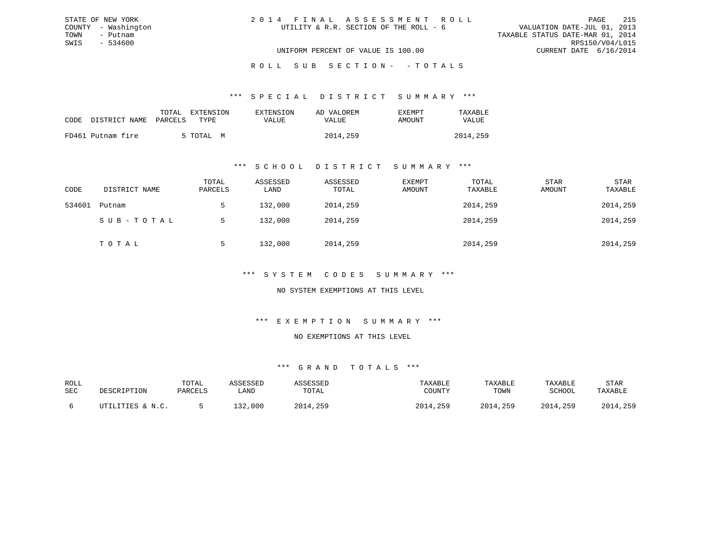| 2014 FINAL ASSESSMENT ROLL             | PAGE                             | 215             |
|----------------------------------------|----------------------------------|-----------------|
| UTILITY & R.R. SECTION OF THE ROLL - 6 | VALUATION DATE-JUL 01, 2013      |                 |
|                                        | TAXABLE STATUS DATE-MAR 01, 2014 |                 |
|                                        |                                  | RPS150/V04/L015 |
| UNIFORM PERCENT OF VALUE IS 100.00     | CURRENT DATE 6/16/2014           |                 |

\*\*\* S P E C I A L D I S T R I C T S U M M A R Y \*\*\*

|      |                   | TOTAL   | EXTENSION | EXTENSION | AD VALOREM | EXEMPT | TAXABLE  |
|------|-------------------|---------|-----------|-----------|------------|--------|----------|
| CODE | DISTRICT NAME     | PARCELS | TYPE      | VALUE     | VALUE      | AMOUNT | VALUE    |
|      | FD461 Putnam fire |         | 5 TOTAL M |           | 2014,259   |        | 2014,259 |

STATE OF NEW YORK COUNTY - Washington TOWN - Putnam SWIS - 534600

#### \*\*\* S C H O O L D I S T R I C T S U M M A R Y \*\*\*

| CODE   | DISTRICT NAME | TOTAL<br>PARCELS | ASSESSED<br>LAND | ASSESSED<br>TOTAL | EXEMPT<br>AMOUNT | TOTAL<br>TAXABLE | <b>STAR</b><br>AMOUNT | STAR<br>TAXABLE |
|--------|---------------|------------------|------------------|-------------------|------------------|------------------|-----------------------|-----------------|
| 534601 | Putnam        |                  | 132,000          | 2014,259          |                  | 2014,259         |                       | 2014,259        |
|        | SUB-TOTAL     | .5               | 132,000          | 2014,259          |                  | 2014,259         |                       | 2014,259        |
|        | TOTAL         |                  | 132,000          | 2014,259          |                  | 2014,259         |                       | 2014,259        |

### \*\*\* S Y S T E M C O D E S S U M M A R Y \*\*\*

NO SYSTEM EXEMPTIONS AT THIS LEVEL

#### \*\*\* E X E M P T I O N S U M M A R Y \*\*\*

NO EXEMPTIONS AT THIS LEVEL

| ROLL |                  | TOTAL   | ASSESSED | ASSESSED | TAXABLE  | TAXABLE  | TAXABLE  | STAR     |
|------|------------------|---------|----------|----------|----------|----------|----------|----------|
| SEC  | DESCRIPTION      | PARCELS | LAND     | TOTAL    | COUNTY   | TOWN     | SCHOOL   | TAXABLE  |
|      | UTILITIES & N.C. |         | 132,000  | 2014,259 | 2014,259 | 2014,259 | 2014,259 | 2014,259 |
|      |                  |         |          |          |          |          |          |          |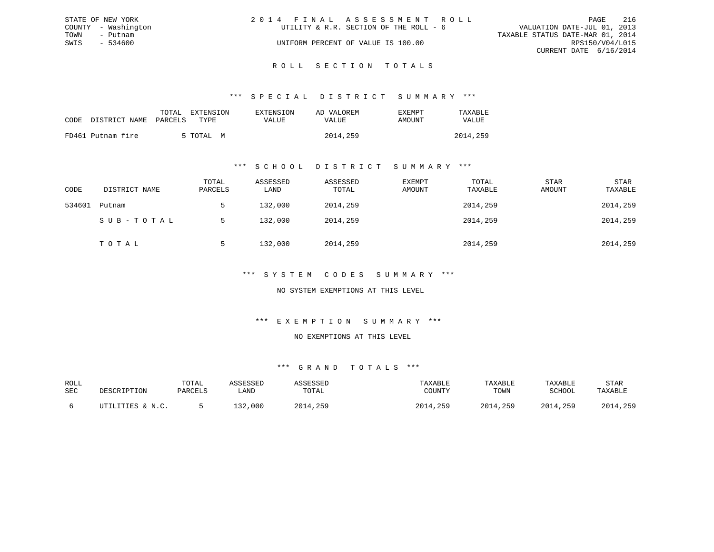|      | STATE OF NEW YORK   | 2014 FINAL ASSESSMENT ROLL                                            | PAGE                   | 216 |
|------|---------------------|-----------------------------------------------------------------------|------------------------|-----|
|      | COUNTY - Washington | VALUATION DATE-JUL 01, 2013<br>UTILITY & R.R. SECTION OF THE ROLL - 6 |                        |     |
| TOWN | – Putnam            | TAXABLE STATUS DATE-MAR 01, 2014                                      |                        |     |
| SWIS | - 534600            | UNIFORM PERCENT OF VALUE IS 100.00                                    | RPS150/V04/L015        |     |
|      |                     |                                                                       | CURRENT DATE 6/16/2014 |     |
|      |                     |                                                                       |                        |     |

### ROLL SECTION TOTALS

#### \*\*\* S P E C I A L D I S T R I C T S U M M A R Y \*\*\*

| CODE DISTRICT NAME PARCELS | EXTENSION<br>TOTAL<br>TYPE. | EXTENSION<br>VALUE | AD VALOREM<br>VALUE | EXEMPT<br>AMOUNT | TAXABLE<br><b>VALUE</b> |
|----------------------------|-----------------------------|--------------------|---------------------|------------------|-------------------------|
| FD461 Putnam fire          | 5 TOTAL<br>M                |                    | 2014,259            |                  | 2014,259                |

#### \*\*\* S C H O O L D I S T R I C T S U M M A R Y \*\*\*

| CODE   | DISTRICT NAME | TOTAL<br>PARCELS | ASSESSED<br>LAND | ASSESSED<br>TOTAL | EXEMPT<br>AMOUNT | TOTAL<br>TAXABLE | <b>STAR</b><br>AMOUNT | <b>STAR</b><br>TAXABLE |
|--------|---------------|------------------|------------------|-------------------|------------------|------------------|-----------------------|------------------------|
| 534601 | Putnam        |                  | 132,000          | 2014,259          |                  | 2014,259         |                       | 2014,259               |
|        | SUB-TOTAL     |                  | 132,000          | 2014,259          |                  | 2014,259         |                       | 2014,259               |
|        | TOTAL         |                  | 132,000          | 2014,259          |                  | 2014,259         |                       | 2014,259               |

#### \*\*\* S Y S T E M C O D E S S U M M A R Y \*\*\*

#### NO SYSTEM EXEMPTIONS AT THIS LEVEL

#### \*\*\* E X E M P T I O N S U M M A R Y \*\*\*

#### NO EXEMPTIONS AT THIS LEVEL

| ROLL |                  | TOTAL   | ASSESSED | ASSESSED | TAXABLE  | TAXABLE  | TAXABLE  | STAR     |
|------|------------------|---------|----------|----------|----------|----------|----------|----------|
| SEC  | DESCRIPTION      | PARCELS | LAND     | TOTAL    | COUNTY   | TOWN     | SCHOOL   | TAXABLE  |
|      | UTILITIES & N.C. |         | 132,000  | 2014,259 | 2014,259 | 2014,259 | 2014,259 | 2014,259 |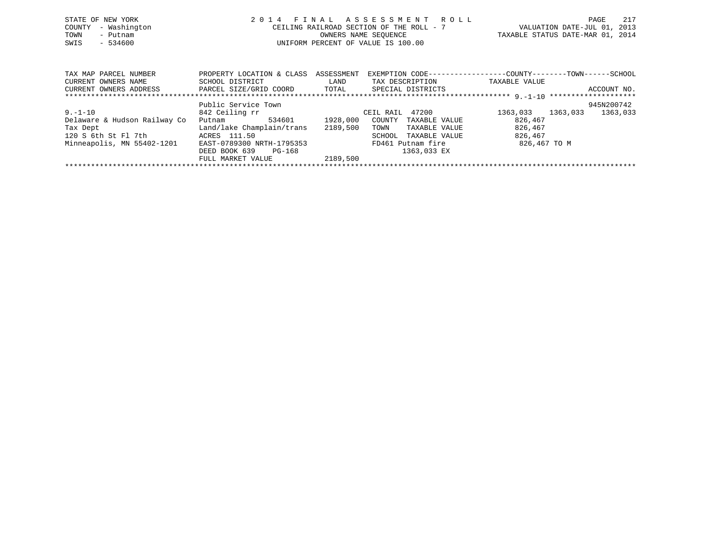| STATE OF NEW YORK<br>- Washington<br>COUNTY<br>TOWN<br>- Putnam<br>$-534600$<br>SWIS |                                                | 2014 FINAL ASSESSMENT ROLL<br>CEILING RAILROAD SECTION OF THE ROLL - 7<br>OWNERS NAME SEOUENCE<br>UNIFORM PERCENT OF VALUE IS 100.00 |                 |                                                              | PAGE<br>VALUATION DATE-JUL 01,<br>2013<br>TAXABLE STATUS DATE-MAR 01, 2014 | 217 |
|--------------------------------------------------------------------------------------|------------------------------------------------|--------------------------------------------------------------------------------------------------------------------------------------|-----------------|--------------------------------------------------------------|----------------------------------------------------------------------------|-----|
|                                                                                      |                                                |                                                                                                                                      |                 |                                                              |                                                                            |     |
| TAX MAP PARCEL NUMBER                                                                | PROPERTY LOCATION & CLASS                      | ASSESSMENT                                                                                                                           |                 | EXEMPTION CODE-----------------COUNTY-------TOWN------SCHOOL |                                                                            |     |
| CURRENT OWNERS NAME                                                                  | SCHOOL DISTRICT                                | LAND                                                                                                                                 | TAX DESCRIPTION | TAXABLE VALUE                                                |                                                                            |     |
| CURRENT OWNERS ADDRESS                                                               | PARCEL SIZE/GRID COORD TOTAL SPECIAL DISTRICTS |                                                                                                                                      |                 |                                                              | ACCOUNT NO.                                                                |     |
|                                                                                      |                                                |                                                                                                                                      |                 |                                                              |                                                                            |     |
|                                                                                      | Public Service Town                            |                                                                                                                                      |                 |                                                              | 945N200742                                                                 |     |
| $9. - 1 - 10$                                                                        | 842 Ceiling rr                                 |                                                                                                                                      | CEIL RAIL 47200 | 1363,033 1363,033                                            | 1363,033                                                                   |     |
| Delaware & Hudson Railway Co                                                         | 534601<br>Putnam                               | 1928,000<br>COUNTY                                                                                                                   | TAXABLE VALUE   | 826,467                                                      |                                                                            |     |
| Tax Dept                                                                             | Land/lake Champlain/trans                      | 2189,500<br>TOWN                                                                                                                     | TAXABLE VALUE   | 826,467                                                      |                                                                            |     |

\*\*\*\*\*\*\*\*\*\*\*\*\*\*\*\*\*\*\*\*\*\*\*\*\*\*\*\*\*\*\*\*\*\*\*\*\*\*\*\*\*\*\*\*\*\*\*\*\*\*\*\*\*\*\*\*\*\*\*\*\*\*\*\*\*\*\*\*\*\*\*\*\*\*\*\*\*\*\*\*\*\*\*\*\*\*\*\*\*\*\*\*\*\*\*\*\*\*\*\*\*\*\*\*\*\*\*\*\*\*\*\*\*\*\*\*\*\*\*\*\*\*\*\*\*\*\*\*\*\*\*\*

SCHOOL TAXABLE VALUE

Tax Dept Land/lake Champlain/trans 2189,500 TOWN TAXABLE VALUE 826,467<br>120 S 6th St Fl 7th ACRES 111.50 SCHOOL TAXABLE VALUE 826,467

DEED BOOK 639 PG-168<br>FULL MARKET VALUE 2189,500

FULL MARKET VALUE

Minneapolis, MN 55402-1201 EAST-0789300 NRTH-1795353 FD461 Putnam fire 826,467 TO M<br>DEED BOOK 639 PG-168 1363,033 EX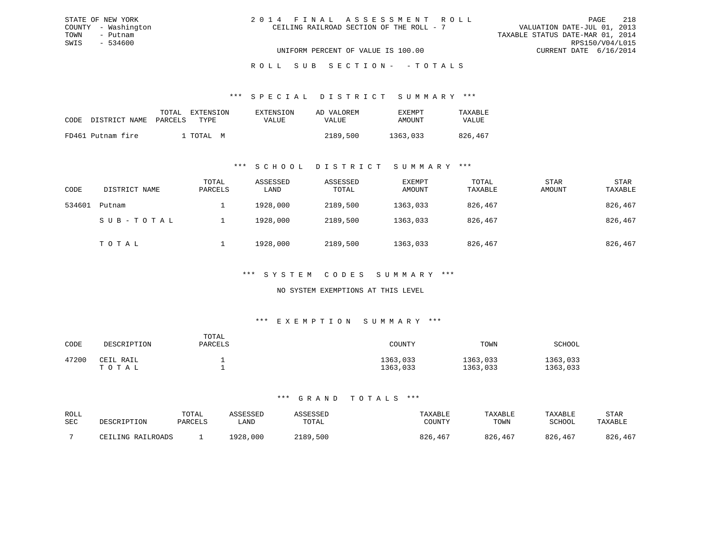| 2014 FINAL ASSESSMENT ROLL               |                                  | PAGE                        | 218 |
|------------------------------------------|----------------------------------|-----------------------------|-----|
| CEILING RAILROAD SECTION OF THE ROLL - 7 |                                  | VALUATION DATE-JUL 01, 2013 |     |
|                                          | TAXABLE STATUS DATE-MAR 01, 2014 |                             |     |
|                                          |                                  | RPS150/V04/L015             |     |
| UNIFORM PERCENT OF VALUE IS 100.00       |                                  | CURRENT DATE 6/16/2014      |     |

ROLL SUB SECTION - - TOTALS

#### \*\*\* S P E C I A L D I S T R I C T S U M M A R Y \*\*\*

| CODE | DISTRICT NAME PARCELS | TOTAL | EXTENSION<br>TYPE. | EXTENSION<br><b>VALUE</b> | AD VALOREM<br>VALUE | EXEMPT<br>AMOUNT | TAXABLE<br><b>VALUE</b> |
|------|-----------------------|-------|--------------------|---------------------------|---------------------|------------------|-------------------------|
|      | FD461 Putnam fire     |       | I TOTAI, M         |                           | 2189,500            | 1363,033         | 826,467                 |

STATE OF NEW YORK COUNTY - Washington TOWN - Putnam SWIS - 534600

#### \*\*\* S C H O O L D I S T R I C T S U M M A R Y \*\*\*

| CODE   | DISTRICT NAME | TOTAL<br>PARCELS | ASSESSED<br>LAND | ASSESSED<br>TOTAL | EXEMPT<br>AMOUNT | TOTAL<br>TAXABLE | <b>STAR</b><br>AMOUNT | <b>STAR</b><br>TAXABLE |
|--------|---------------|------------------|------------------|-------------------|------------------|------------------|-----------------------|------------------------|
| 534601 | Putnam        |                  | 1928,000         | 2189,500          | 1363,033         | 826,467          |                       | 826,467                |
|        | SUB-TOTAL     |                  | 1928,000         | 2189,500          | 1363,033         | 826,467          |                       | 826,467                |
|        | TOTAL         |                  | 1928,000         | 2189,500          | 1363,033         | 826,467          |                       | 826,467                |

#### \*\*\* S Y S T E M C O D E S S U M M A R Y \*\*\*

#### NO SYSTEM EXEMPTIONS AT THIS LEVEL

#### \*\*\* E X E M P T I O N S U M M A R Y \*\*\*

| CODE  | DESCRIPTION        | TOTAL<br>PARCELS | COUNTY               | TOWN                 | SCHOOL               |
|-------|--------------------|------------------|----------------------|----------------------|----------------------|
| 47200 | CEIL RAIL<br>ТОТАЬ |                  | 1363,033<br>1363,033 | 1363,033<br>1363,033 | 1363,033<br>1363,033 |

| ROLL | DESCRIPTION       | TOTAL   | ASSESSED | ASSESSED | TAXABLE | TAXABLE | TAXABLE | STAR    |
|------|-------------------|---------|----------|----------|---------|---------|---------|---------|
| SEC  |                   | PARCELS | LAND     | TOTAL    | COUNTY  | TOWN    | SCHOOL  | TAXABLE |
|      | CEILING RAILROADS |         | 1928,000 | 2189,500 | 826,467 | 826,467 | 826,467 | 826,467 |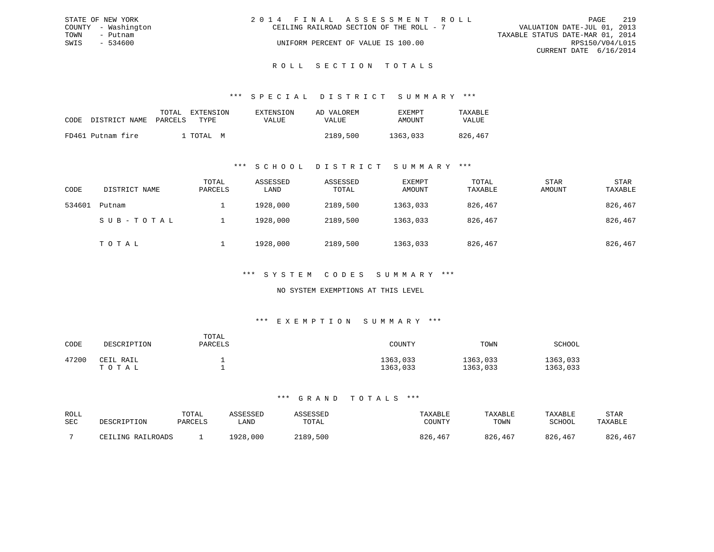| STATE OF NEW YORK   | 2014 FINAL ASSESSMENT ROLL               | 219<br>PAGE                      |
|---------------------|------------------------------------------|----------------------------------|
| COUNTY - Washington | CEILING RAILROAD SECTION OF THE ROLL - 7 | VALUATION DATE-JUL 01, 2013      |
| TOWN<br>- Putnam    |                                          | TAXABLE STATUS DATE-MAR 01, 2014 |
| SWIS<br>- 534600    | UNIFORM PERCENT OF VALUE IS 100.00       | RPS150/V04/L015                  |
|                     |                                          | CURRENT DATE 6/16/2014           |
|                     |                                          |                                  |

# ROLL SECTION TOTALS

#### \*\*\* S P E C I A L D I S T R I C T S U M M A R Y \*\*\*

|      |                       | TOTAL | EXTENSION  | EXTENSION    | AD VALOREM | EXEMPT   | TAXABLE      |
|------|-----------------------|-------|------------|--------------|------------|----------|--------------|
| CODE | DISTRICT NAME PARCELS |       | TYPE.      | <b>VALUE</b> | VALUE      | AMOUNT   | <b>VALUE</b> |
|      | FD461 Putnam fire     |       | 1 ТОТАІ, М |              | 2189,500   | 1363,033 | 826,467      |

#### \*\*\* S C H O O L D I S T R I C T S U M M A R Y \*\*\*

| CODE   | DISTRICT NAME | TOTAL<br>PARCELS | ASSESSED<br>LAND | ASSESSED<br>TOTAL | EXEMPT<br>AMOUNT | TOTAL<br>TAXABLE | <b>STAR</b><br>AMOUNT | <b>STAR</b><br>TAXABLE |
|--------|---------------|------------------|------------------|-------------------|------------------|------------------|-----------------------|------------------------|
| 534601 | Putnam        |                  | 1928,000         | 2189,500          | 1363,033         | 826,467          |                       | 826,467                |
|        | SUB-TOTAL     |                  | 1928,000         | 2189,500          | 1363,033         | 826,467          |                       | 826,467                |
|        | TOTAL         |                  | 1928,000         | 2189,500          | 1363,033         | 826,467          |                       | 826,467                |

#### \*\*\* S Y S T E M C O D E S S U M M A R Y \*\*\*

#### NO SYSTEM EXEMPTIONS AT THIS LEVEL

#### \*\*\* E X E M P T I O N S U M M A R Y \*\*\*

| CODE  | DESCRIPTION        | TOTAL<br>PARCELS | COUNTY               | TOWN                 | SCHOOL               |
|-------|--------------------|------------------|----------------------|----------------------|----------------------|
| 47200 | CEIL RAIL<br>ТОТАЬ |                  | 1363,033<br>1363,033 | 1363,033<br>1363,033 | 1363,033<br>1363,033 |

| ROLL | DESCRIPTION       | TOTAL   | ASSESSED    | ASSESSED | TAXABLE | TAXABLE | TAXABLE       | STAR    |
|------|-------------------|---------|-------------|----------|---------|---------|---------------|---------|
| SEC  |                   | PARCELS | <b>LAND</b> | TOTAL    | COUNTY  | TOWN    | <b>SCHOOL</b> | TAXABLE |
|      | CEILING RAILROADS |         | 1928,000    | 2189,500 | 826,467 | 826,467 | 826,467       | 826,467 |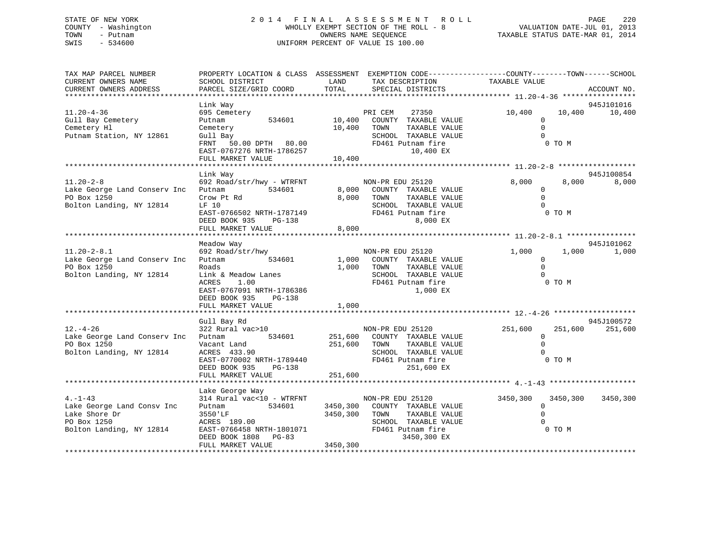# STATE OF NEW YORK 2 0 1 4 F I N A L A S S E S S M E N T R O L L PAGE 220 COUNTY - Washington WHOLLY EXEMPT SECTION OF THE ROLL - 8 VALUATION DATE-JUL 01, 2013 TOWN - Putnam OWNERS NAME SEQUENCE TAXABLE STATUS DATE-MAR 01, 2014 SWIS - 534600 UNIFORM PERCENT OF VALUE IS 100.00UNIFORM PERCENT OF VALUE IS 100.00

| TAX MAP PARCEL NUMBER<br>CURRENT OWNERS NAME<br>CURRENT OWNERS ADDRESS                                 | SCHOOL DISTRICT<br>PARCEL SIZE/GRID COORD                                                                                                                                     | PROPERTY LOCATION & CLASS ASSESSMENT EXEMPTION CODE----------------COUNTY-------TOWN------SCHOOL<br>LAND<br>TAX DESCRIPTION<br>TOTAL<br>SPECIAL DISTRICTS | TAXABLE VALUE                                                                | ACCOUNT NO.                                |
|--------------------------------------------------------------------------------------------------------|-------------------------------------------------------------------------------------------------------------------------------------------------------------------------------|-----------------------------------------------------------------------------------------------------------------------------------------------------------|------------------------------------------------------------------------------|--------------------------------------------|
|                                                                                                        |                                                                                                                                                                               |                                                                                                                                                           |                                                                              |                                            |
| $11.20 - 4 - 36$<br>Gull Bay Cemetery<br>Cemetery Hl<br>Putnam Station, NY 12861                       | Link Way<br>695 Cemetery<br>534601<br>Putnam<br>Cemetery<br>Gull Bay<br>FRNT 50.00 DPTH 80.00<br>EAST-0767276 NRTH-1786257<br>FULL MARKET VALUE                               | 27350<br>PRI CEM<br>10,400<br>COUNTY TAXABLE VALUE<br>10,400<br>TOWN<br>SCHOOL TAXABLE VALUE<br>FD461 Putnam fire<br>10,400 EX<br>10,400                  | 10,400<br>$\mathbf 0$<br>$\Omega$<br>TAXABLE VALUE<br>$\Omega$               | 945J101016<br>10,400<br>10,400<br>0 TO M   |
|                                                                                                        |                                                                                                                                                                               |                                                                                                                                                           |                                                                              |                                            |
| $11.20 - 2 - 8$<br>Lake George Land Conserv Inc<br>PO Box 1250<br>Bolton Landing, NY 12814             | Link Way<br>692 Road/str/hwy - WTRFNT<br>Putnam<br>534601<br>Crow Pt Rd<br>LF 10<br>EAST-0766502 NRTH-1787149<br>DEED BOOK 935 PG-138<br>FULL MARKET VALUE                    | NON-PR EDU 25120<br>8,000 COUNTY TAXABLE VALUE<br>8,000<br>TOWN<br>SCHOOL TAXABLE VALUE<br>FD461 Putnam fire<br>8,000                                     | 8,000<br>$\mathbf 0$<br>$\mathbf 0$<br>TAXABLE VALUE<br>$\Omega$<br>8,000 EX | 945J100854<br>8,000<br>8,000<br>0 TO M     |
|                                                                                                        |                                                                                                                                                                               |                                                                                                                                                           |                                                                              |                                            |
| $11.20 - 2 - 8.1$<br>Lake George Land Conserv Inc<br>PO Box 1250<br>Bolton Landing, NY 12814           | Meadow Way<br>692 Road/str/hwy<br>Putnam 534601<br>Roads<br>Link & Meadow Lanes<br>ACRES<br>1.00<br>EAST-0767091 NRTH-1786386<br>DEED BOOK 935<br>PG-138<br>FULL MARKET VALUE | NON-PR EDU 25120<br>1,000 COUNTY TAXABLE VALUE<br>1,000 TOWN<br>SCHOOL TAXABLE VALUE<br>FD461 Putnam fire<br>1,000                                        | 1,000<br>$\overline{0}$<br>$\Omega$<br>TAXABLE VALUE<br>$\Omega$<br>1,000 EX | 945J101062<br>1,000<br>1,000<br>0 TO M     |
|                                                                                                        |                                                                                                                                                                               |                                                                                                                                                           |                                                                              |                                            |
| $12. - 4 - 26$<br>Lake George Land Conserv Inc<br>PO Box 1250<br>Bolton Landing, NY 12814              | Gull Bay Rd<br>322 Rural vac>10<br>534601<br>Putnam<br>Vacant Land<br>ACRES 433.90<br>EAST-0770002 NRTH-1789440<br>DEED BOOK 935<br>PG-138<br>FULL MARKET VALUE               | NON-PR EDU 25120<br>251,600 COUNTY TAXABLE VALUE<br>251,600 TOWN<br>SCHOOL TAXABLE VALUE<br>FD461 Putnam fire<br>251,600 EX<br>251,600                    | 251,600<br>$\mathbf 0$<br>$\Omega$<br>TAXABLE VALUE<br>$\cap$                | 945J100572<br>251,600<br>251,600<br>0 TO M |
|                                                                                                        |                                                                                                                                                                               |                                                                                                                                                           |                                                                              |                                            |
| $4. -1 - 43$<br>Lake George Land Consv Inc<br>Lake Shore Dr<br>PO Box 1250<br>Bolton Landing, NY 12814 | Lake George Way<br>314 Rural vac<10 - WTRFNT<br>Putnam 534601<br>3550 'LF<br>ACRES 189.00<br>EAST-0766458 NRTH-1801071<br>DEED BOOK 1808 PG-83<br>FULL MARKET VALUE           | NON-PR EDU 25120<br>3450,300 COUNTY TAXABLE VALUE<br>3450,300<br>TOWN<br>SCHOOL TAXABLE VALUE<br>FD461 Putnam fire<br>3450,300 EX<br>3450,300             | 3450,300<br>$\Omega$<br>TAXABLE VALUE<br>$\Omega$<br>$\Omega$                | 3450,300<br>3450,300<br>0 TO M             |
|                                                                                                        |                                                                                                                                                                               |                                                                                                                                                           |                                                                              |                                            |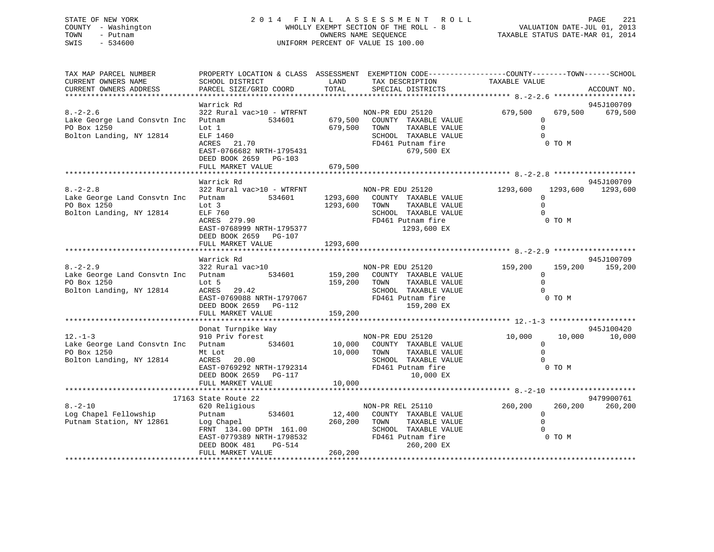# STATE OF NEW YORK 2 0 1 4 F I N A L A S S E S S M E N T R O L L PAGE 221 COUNTY - Washington WHOLLY EXEMPT SECTION OF THE ROLL - 8 VALUATION DATE-JUL 01, 2013 TOWN - Putnam OWNERS NAME SEQUENCE TAXABLE STATUS DATE-MAR 01, 2014 SWIS - 534600 UNIFORM PERCENT OF VALUE IS 100.00

| TAX MAP PARCEL NUMBER<br>CURRENT OWNERS NAME<br>CURRENT OWNERS ADDRESS                           | PROPERTY LOCATION & CLASS ASSESSMENT EXEMPTION CODE----------------COUNTY-------TOWN------SCHOOL<br>SCHOOL DISTRICT<br>PARCEL SIZE/GRID COORD                    | LAND<br>TOTAL                    | TAX DESCRIPTION<br>SPECIAL DISTRICTS                                                                                                 | TAXABLE VALUE                                      |                   | ACCOUNT NO.                     |
|--------------------------------------------------------------------------------------------------|------------------------------------------------------------------------------------------------------------------------------------------------------------------|----------------------------------|--------------------------------------------------------------------------------------------------------------------------------------|----------------------------------------------------|-------------------|---------------------------------|
|                                                                                                  |                                                                                                                                                                  |                                  |                                                                                                                                      |                                                    |                   |                                 |
| $8. - 2 - 2.6$<br>Lake George Land Consvtn Inc<br>PO Box 1250<br>Bolton Landing, NY 12814        | Warrick Rd<br>322 Rural vac>10 - WTRFNT<br>534601<br>Putnam<br>Lot 1<br>ELF 1460<br>ACRES 21.70<br>EAST-0766682 NRTH-1795431<br>DEED BOOK 2659 PG-103            | 679,500                          | NON-PR EDU 25120<br>679,500 COUNTY TAXABLE VALUE<br>TAXABLE VALUE<br>TOWN<br>SCHOOL TAXABLE VALUE<br>FD461 Putnam fire<br>679,500 EX | 679,500<br>$\Omega$<br>$\mathbf 0$<br>$\Omega$     | 679,500<br>0 TO M | 945J100709<br>679,500           |
|                                                                                                  | FULL MARKET VALUE                                                                                                                                                | 679,500                          |                                                                                                                                      |                                                    |                   |                                 |
| $8. - 2 - 2.8$<br>Lake George Land Consvtn Inc Putnam<br>PO Box 1250<br>Bolton Landing, NY 12814 | Warrick Rd<br>322 Rural vac>10 - WTRFNT<br>534601<br>Lot 3<br>ELF 760<br>ACRES 279.90<br>EAST-0768999 NRTH-1795377<br>DEED BOOK 2659 PG-107<br>FULL MARKET VALUE | 1293,600<br>1293,600<br>1293,600 | NON-PR EDU 25120<br>COUNTY TAXABLE VALUE<br>TOWN<br>TAXABLE VALUE<br>SCHOOL TAXABLE VALUE<br>FD461 Putnam fire<br>1293,600 EX        | 1293,600<br>$\Omega$<br>$\Omega$<br>$\Omega$       | 0 TO M            | 945J100709<br>1293,600 1293,600 |
|                                                                                                  |                                                                                                                                                                  |                                  |                                                                                                                                      |                                                    |                   |                                 |
| $8. - 2 - 2.9$<br>Lake George Land Consvtn Inc Putnam<br>PO Box 1250<br>Bolton Landing, NY 12814 | Warrick Rd<br>322 Rural vac>10<br>534601<br>Lot 5<br>ACRES 29.42<br>ACRES 29.42<br>EAST-0769088 NRTH-1797067<br>DEED BOOK 2659 PG-112<br>FULL MARKET VALUE       | 159,200<br>159,200<br>159,200    | NON-PR EDU 25120<br>COUNTY TAXABLE VALUE<br>TAXABLE VALUE<br>TOWN<br>SCHOOL TAXABLE VALUE<br>FD461 Putnam fire<br>159,200 EX         | 159,200<br>$\mathbf 0$<br>$\mathbf 0$<br>$\Omega$  | 159,200<br>0 TO M | 945J100709<br>159,200           |
|                                                                                                  |                                                                                                                                                                  |                                  |                                                                                                                                      |                                                    |                   |                                 |
| $12. - 1 - 3$<br>Lake George Land Consvtn Inc Putnam<br>PO Box 1250<br>Bolton Landing, NY 12814  | Donat Turnpike Way<br>910 Priv forest<br>534601<br>Mt Lot<br>ACRES<br>20.00<br>EAST-0769292 NRTH-1792314<br>DEED BOOK 2659 PG-117<br>FULL MARKET VALUE           | 10,000<br>10,000 TOWN<br>10,000  | NON-PR EDU 25120<br>COUNTY TAXABLE VALUE<br>TAXABLE VALUE<br>SCHOOL TAXABLE VALUE<br>FD461 Putnam fire<br>10,000 EX                  | 10,000<br>$\mathbf 0$<br>$\Omega$<br>$\Omega$      | 10,000<br>0 TO M  | 945J100420<br>10,000            |
|                                                                                                  |                                                                                                                                                                  |                                  |                                                                                                                                      |                                                    |                   |                                 |
| $8. - 2 - 10$<br>Log Chapel Fellowship<br>Putnam Station, NY 12861                               | 17163 State Route 22<br>620 Religious<br>534601<br>Putnam<br>Log Chapel<br>FRNT 134.00 DPTH 161.00<br>EAST-0779389 NRTH-1798532<br>DEED BOOK 481<br>PG-514       | 12,400<br>260,200                | NON-PR REL 25110<br>COUNTY TAXABLE VALUE<br>TOWN<br>TAXABLE VALUE<br>SCHOOL TAXABLE VALUE<br>FD461 Putnam fire<br>260,200 EX         | 260,200<br>$\mathbf{0}$<br>$\mathbf 0$<br>$\Omega$ | 260,200<br>0 TO M | 9479900761<br>260,200           |
|                                                                                                  | FULL MARKET VALUE                                                                                                                                                | 260,200                          |                                                                                                                                      |                                                    |                   |                                 |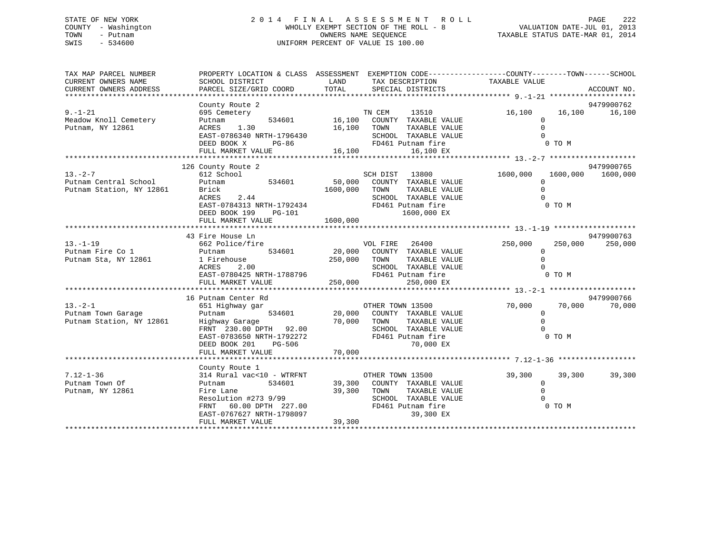# STATE OF NEW YORK 2 0 1 4 F I N A L A S S E S S M E N T R O L L PAGE 222 COUNTY - Washington WHOLLY EXEMPT SECTION OF THE ROLL - 8 VALUATION DATE-JUL 01, 2013 TOWN - Putnam OWNERS NAME SEQUENCE TAXABLE STATUS DATE-MAR 01, 2014 SWIS - 534600 UNIFORM PERCENT OF VALUE IS 100.00

| 9479900762<br>County Route 2<br>etery<br>534601 16,100 COUNTY TAXABLE VALUE<br>$9. - 1 - 21$<br>16,100   16,100   16,100<br>695 Cemetery<br>Meadow Knoll Cemetery<br>Putnam<br>$\mathbf{0}$<br>Putnam, NY 12861<br>ACRES 1.30<br>16,100 TOWN<br>TAXABLE VALUE<br>$\Omega$<br>9479900765<br>126 County Route 2<br>$\begin{array}{cccccccc} \texttt{13.-2--7} & \texttt{612 School} & \texttt{534601} & \texttt{SCH DIST} & \texttt{13800} \\ \texttt{Putnam Central School} & \texttt{Putnam} & \texttt{534601} & \texttt{50,000} & \texttt{COUNTY} & \texttt{TAXABLE VALUE} \end{array}$<br>1600,000 1600,000<br>1600,000<br>$\Omega$<br>$\mathbf 0$<br>Putnam Station, NY 12861<br>Brick<br>1600,000 TOWN<br>TAXABLE VALUE<br>Brick<br>ACRES 2.44<br>$\Omega$<br>SCHOOL TAXABLE VALUE<br>$\texttt{EAST-0784313} \texttt{NRTH-1792434}$ $\texttt{FD461} \texttt{Putnam fire}$<br>0 TO M<br>1600,000 EX<br>DEED BOOK 199 PG-101<br>1600,000<br>FULL MARKET VALUE<br>9479900763<br>43 Fire House Ln<br>$13. - 1 - 19$<br>FIRE 26400<br>FIRE 26400<br>Putnam 534601 20,000 COUNTY TAXABLE VALUE<br>1 Firehouse 250,000 TOWN TAXABLE VALUE<br>ACRES 2.00 250,000 SCHOOL TAXABLE VALUE<br>250,000<br>VOL FIRE 26400 250,000<br>250,000<br>Putnam Fire Co 1 Putnam<br>Putnam Sta, NY 12861 1 Fireh<br>$\overline{0}$<br>$\Omega$<br>TAXABLE VALUE<br>nouse<br>2.00<br>SCHOOL TAXABLE VALUE<br>16 Putnam Center Rd<br>9479900766<br>OTHER TOWN 13500<br>$13. - 2 - 1$<br>70,000 70,000 70,000<br>13.-2-1 651 Highway gar CTHER TOWN 15500<br>Putnam Town Garage Putnam 534601 20,000 COUNTY TAXABLE VALUE<br>Putnam Station, NY 12861 Highway Garage 70,000 TOWN TAXABLE VALUE<br>FRNT 230.00 DPTH 92.00 SCHOOL TAXABLE VALUE<br>EAST-<br>$\overline{0}$<br>$\Omega$<br>0 TO M<br>County Route 1<br>314 Rural vac<10 - WTRFNT OTHER TOWN 13500<br>$7.12 - 1 - 36$<br>39,300<br>39,300<br>39,300<br>534601 39,300 COUNTY TAXABLE VALUE<br>Putnam Town Of<br>$\overline{0}$<br>$\mathbf 0$<br>Putnam, NY 12861<br>$\begin{tabular}{lllllllllllllllllll} \multicolumn{4}{c}{\multicolumn{4}{c}{\multicolumn{4}{c}{\multicolumn{4}{c}{\multicolumn{4}{c}{\multicolumn{4}{c}{\multicolumn{4}{c}{\multicolumn{4}{c}{\multicolumn{4}{c}{\multicolumn{4}{c}{\multicolumn{4}{c}{\multicolumn{4}{c}{\multicolumn{4}{c}{\multicolumn{4}{c}{\multicolumn{4}{c}{\multicolumn{4}{c}{\multicolumn{4}{c}{\multicolumn{4}{c}{\multicolumn{4}{c}{\multicolumn{4}{c}{\multicolumn{4}{c}{\multicolumn{4}{c}{\multicolumn{4$<br>0 TO M<br>39,300<br>FULL MARKET VALUE | TAX MAP PARCEL NUMBER<br>CURRENT OWNERS NAME<br>CURRENT OWNERS ADDRESS | PROPERTY LOCATION & CLASS ASSESSMENT EXEMPTION CODE----------------COUNTY-------TOWN------SCHOOL<br>SCHOOL DISTRICT<br>PARCEL SIZE/GRID COORD | LAND TAX DESCRIPTION TAXABLE VALUE<br>TOTAL SPECIAL DISTRICTS |  | ACCOUNT NO. |
|-------------------------------------------------------------------------------------------------------------------------------------------------------------------------------------------------------------------------------------------------------------------------------------------------------------------------------------------------------------------------------------------------------------------------------------------------------------------------------------------------------------------------------------------------------------------------------------------------------------------------------------------------------------------------------------------------------------------------------------------------------------------------------------------------------------------------------------------------------------------------------------------------------------------------------------------------------------------------------------------------------------------------------------------------------------------------------------------------------------------------------------------------------------------------------------------------------------------------------------------------------------------------------------------------------------------------------------------------------------------------------------------------------------------------------------------------------------------------------------------------------------------------------------------------------------------------------------------------------------------------------------------------------------------------------------------------------------------------------------------------------------------------------------------------------------------------------------------------------------------------------------------------------------------------------------------------------------------------------------------------------------------------------------------------------------------------------------------------------------------------------------------------------------------------------------------------------------------------------------------------------------------------------------------------------------------------------------------------------------------------------------------------------------------------------------------------------------------------------------------------------------------------------------------|------------------------------------------------------------------------|-----------------------------------------------------------------------------------------------------------------------------------------------|---------------------------------------------------------------|--|-------------|
|                                                                                                                                                                                                                                                                                                                                                                                                                                                                                                                                                                                                                                                                                                                                                                                                                                                                                                                                                                                                                                                                                                                                                                                                                                                                                                                                                                                                                                                                                                                                                                                                                                                                                                                                                                                                                                                                                                                                                                                                                                                                                                                                                                                                                                                                                                                                                                                                                                                                                                                                           |                                                                        |                                                                                                                                               |                                                               |  |             |
|                                                                                                                                                                                                                                                                                                                                                                                                                                                                                                                                                                                                                                                                                                                                                                                                                                                                                                                                                                                                                                                                                                                                                                                                                                                                                                                                                                                                                                                                                                                                                                                                                                                                                                                                                                                                                                                                                                                                                                                                                                                                                                                                                                                                                                                                                                                                                                                                                                                                                                                                           |                                                                        |                                                                                                                                               |                                                               |  |             |
|                                                                                                                                                                                                                                                                                                                                                                                                                                                                                                                                                                                                                                                                                                                                                                                                                                                                                                                                                                                                                                                                                                                                                                                                                                                                                                                                                                                                                                                                                                                                                                                                                                                                                                                                                                                                                                                                                                                                                                                                                                                                                                                                                                                                                                                                                                                                                                                                                                                                                                                                           |                                                                        |                                                                                                                                               |                                                               |  |             |
|                                                                                                                                                                                                                                                                                                                                                                                                                                                                                                                                                                                                                                                                                                                                                                                                                                                                                                                                                                                                                                                                                                                                                                                                                                                                                                                                                                                                                                                                                                                                                                                                                                                                                                                                                                                                                                                                                                                                                                                                                                                                                                                                                                                                                                                                                                                                                                                                                                                                                                                                           |                                                                        |                                                                                                                                               |                                                               |  |             |
|                                                                                                                                                                                                                                                                                                                                                                                                                                                                                                                                                                                                                                                                                                                                                                                                                                                                                                                                                                                                                                                                                                                                                                                                                                                                                                                                                                                                                                                                                                                                                                                                                                                                                                                                                                                                                                                                                                                                                                                                                                                                                                                                                                                                                                                                                                                                                                                                                                                                                                                                           |                                                                        |                                                                                                                                               |                                                               |  |             |
|                                                                                                                                                                                                                                                                                                                                                                                                                                                                                                                                                                                                                                                                                                                                                                                                                                                                                                                                                                                                                                                                                                                                                                                                                                                                                                                                                                                                                                                                                                                                                                                                                                                                                                                                                                                                                                                                                                                                                                                                                                                                                                                                                                                                                                                                                                                                                                                                                                                                                                                                           |                                                                        |                                                                                                                                               |                                                               |  |             |
|                                                                                                                                                                                                                                                                                                                                                                                                                                                                                                                                                                                                                                                                                                                                                                                                                                                                                                                                                                                                                                                                                                                                                                                                                                                                                                                                                                                                                                                                                                                                                                                                                                                                                                                                                                                                                                                                                                                                                                                                                                                                                                                                                                                                                                                                                                                                                                                                                                                                                                                                           |                                                                        |                                                                                                                                               |                                                               |  |             |
|                                                                                                                                                                                                                                                                                                                                                                                                                                                                                                                                                                                                                                                                                                                                                                                                                                                                                                                                                                                                                                                                                                                                                                                                                                                                                                                                                                                                                                                                                                                                                                                                                                                                                                                                                                                                                                                                                                                                                                                                                                                                                                                                                                                                                                                                                                                                                                                                                                                                                                                                           |                                                                        |                                                                                                                                               |                                                               |  |             |
|                                                                                                                                                                                                                                                                                                                                                                                                                                                                                                                                                                                                                                                                                                                                                                                                                                                                                                                                                                                                                                                                                                                                                                                                                                                                                                                                                                                                                                                                                                                                                                                                                                                                                                                                                                                                                                                                                                                                                                                                                                                                                                                                                                                                                                                                                                                                                                                                                                                                                                                                           |                                                                        |                                                                                                                                               |                                                               |  |             |
|                                                                                                                                                                                                                                                                                                                                                                                                                                                                                                                                                                                                                                                                                                                                                                                                                                                                                                                                                                                                                                                                                                                                                                                                                                                                                                                                                                                                                                                                                                                                                                                                                                                                                                                                                                                                                                                                                                                                                                                                                                                                                                                                                                                                                                                                                                                                                                                                                                                                                                                                           |                                                                        |                                                                                                                                               |                                                               |  |             |
|                                                                                                                                                                                                                                                                                                                                                                                                                                                                                                                                                                                                                                                                                                                                                                                                                                                                                                                                                                                                                                                                                                                                                                                                                                                                                                                                                                                                                                                                                                                                                                                                                                                                                                                                                                                                                                                                                                                                                                                                                                                                                                                                                                                                                                                                                                                                                                                                                                                                                                                                           |                                                                        |                                                                                                                                               |                                                               |  |             |
|                                                                                                                                                                                                                                                                                                                                                                                                                                                                                                                                                                                                                                                                                                                                                                                                                                                                                                                                                                                                                                                                                                                                                                                                                                                                                                                                                                                                                                                                                                                                                                                                                                                                                                                                                                                                                                                                                                                                                                                                                                                                                                                                                                                                                                                                                                                                                                                                                                                                                                                                           |                                                                        |                                                                                                                                               |                                                               |  |             |
|                                                                                                                                                                                                                                                                                                                                                                                                                                                                                                                                                                                                                                                                                                                                                                                                                                                                                                                                                                                                                                                                                                                                                                                                                                                                                                                                                                                                                                                                                                                                                                                                                                                                                                                                                                                                                                                                                                                                                                                                                                                                                                                                                                                                                                                                                                                                                                                                                                                                                                                                           |                                                                        |                                                                                                                                               |                                                               |  |             |
|                                                                                                                                                                                                                                                                                                                                                                                                                                                                                                                                                                                                                                                                                                                                                                                                                                                                                                                                                                                                                                                                                                                                                                                                                                                                                                                                                                                                                                                                                                                                                                                                                                                                                                                                                                                                                                                                                                                                                                                                                                                                                                                                                                                                                                                                                                                                                                                                                                                                                                                                           |                                                                        |                                                                                                                                               |                                                               |  |             |
|                                                                                                                                                                                                                                                                                                                                                                                                                                                                                                                                                                                                                                                                                                                                                                                                                                                                                                                                                                                                                                                                                                                                                                                                                                                                                                                                                                                                                                                                                                                                                                                                                                                                                                                                                                                                                                                                                                                                                                                                                                                                                                                                                                                                                                                                                                                                                                                                                                                                                                                                           |                                                                        |                                                                                                                                               |                                                               |  |             |
|                                                                                                                                                                                                                                                                                                                                                                                                                                                                                                                                                                                                                                                                                                                                                                                                                                                                                                                                                                                                                                                                                                                                                                                                                                                                                                                                                                                                                                                                                                                                                                                                                                                                                                                                                                                                                                                                                                                                                                                                                                                                                                                                                                                                                                                                                                                                                                                                                                                                                                                                           |                                                                        |                                                                                                                                               |                                                               |  |             |
|                                                                                                                                                                                                                                                                                                                                                                                                                                                                                                                                                                                                                                                                                                                                                                                                                                                                                                                                                                                                                                                                                                                                                                                                                                                                                                                                                                                                                                                                                                                                                                                                                                                                                                                                                                                                                                                                                                                                                                                                                                                                                                                                                                                                                                                                                                                                                                                                                                                                                                                                           |                                                                        |                                                                                                                                               |                                                               |  |             |
|                                                                                                                                                                                                                                                                                                                                                                                                                                                                                                                                                                                                                                                                                                                                                                                                                                                                                                                                                                                                                                                                                                                                                                                                                                                                                                                                                                                                                                                                                                                                                                                                                                                                                                                                                                                                                                                                                                                                                                                                                                                                                                                                                                                                                                                                                                                                                                                                                                                                                                                                           |                                                                        |                                                                                                                                               |                                                               |  |             |
|                                                                                                                                                                                                                                                                                                                                                                                                                                                                                                                                                                                                                                                                                                                                                                                                                                                                                                                                                                                                                                                                                                                                                                                                                                                                                                                                                                                                                                                                                                                                                                                                                                                                                                                                                                                                                                                                                                                                                                                                                                                                                                                                                                                                                                                                                                                                                                                                                                                                                                                                           |                                                                        |                                                                                                                                               |                                                               |  |             |
|                                                                                                                                                                                                                                                                                                                                                                                                                                                                                                                                                                                                                                                                                                                                                                                                                                                                                                                                                                                                                                                                                                                                                                                                                                                                                                                                                                                                                                                                                                                                                                                                                                                                                                                                                                                                                                                                                                                                                                                                                                                                                                                                                                                                                                                                                                                                                                                                                                                                                                                                           |                                                                        |                                                                                                                                               |                                                               |  |             |
|                                                                                                                                                                                                                                                                                                                                                                                                                                                                                                                                                                                                                                                                                                                                                                                                                                                                                                                                                                                                                                                                                                                                                                                                                                                                                                                                                                                                                                                                                                                                                                                                                                                                                                                                                                                                                                                                                                                                                                                                                                                                                                                                                                                                                                                                                                                                                                                                                                                                                                                                           |                                                                        |                                                                                                                                               |                                                               |  |             |
|                                                                                                                                                                                                                                                                                                                                                                                                                                                                                                                                                                                                                                                                                                                                                                                                                                                                                                                                                                                                                                                                                                                                                                                                                                                                                                                                                                                                                                                                                                                                                                                                                                                                                                                                                                                                                                                                                                                                                                                                                                                                                                                                                                                                                                                                                                                                                                                                                                                                                                                                           |                                                                        |                                                                                                                                               |                                                               |  |             |
|                                                                                                                                                                                                                                                                                                                                                                                                                                                                                                                                                                                                                                                                                                                                                                                                                                                                                                                                                                                                                                                                                                                                                                                                                                                                                                                                                                                                                                                                                                                                                                                                                                                                                                                                                                                                                                                                                                                                                                                                                                                                                                                                                                                                                                                                                                                                                                                                                                                                                                                                           |                                                                        |                                                                                                                                               |                                                               |  |             |
|                                                                                                                                                                                                                                                                                                                                                                                                                                                                                                                                                                                                                                                                                                                                                                                                                                                                                                                                                                                                                                                                                                                                                                                                                                                                                                                                                                                                                                                                                                                                                                                                                                                                                                                                                                                                                                                                                                                                                                                                                                                                                                                                                                                                                                                                                                                                                                                                                                                                                                                                           |                                                                        |                                                                                                                                               |                                                               |  |             |
|                                                                                                                                                                                                                                                                                                                                                                                                                                                                                                                                                                                                                                                                                                                                                                                                                                                                                                                                                                                                                                                                                                                                                                                                                                                                                                                                                                                                                                                                                                                                                                                                                                                                                                                                                                                                                                                                                                                                                                                                                                                                                                                                                                                                                                                                                                                                                                                                                                                                                                                                           |                                                                        |                                                                                                                                               |                                                               |  |             |
|                                                                                                                                                                                                                                                                                                                                                                                                                                                                                                                                                                                                                                                                                                                                                                                                                                                                                                                                                                                                                                                                                                                                                                                                                                                                                                                                                                                                                                                                                                                                                                                                                                                                                                                                                                                                                                                                                                                                                                                                                                                                                                                                                                                                                                                                                                                                                                                                                                                                                                                                           |                                                                        |                                                                                                                                               |                                                               |  |             |
|                                                                                                                                                                                                                                                                                                                                                                                                                                                                                                                                                                                                                                                                                                                                                                                                                                                                                                                                                                                                                                                                                                                                                                                                                                                                                                                                                                                                                                                                                                                                                                                                                                                                                                                                                                                                                                                                                                                                                                                                                                                                                                                                                                                                                                                                                                                                                                                                                                                                                                                                           |                                                                        |                                                                                                                                               |                                                               |  |             |
|                                                                                                                                                                                                                                                                                                                                                                                                                                                                                                                                                                                                                                                                                                                                                                                                                                                                                                                                                                                                                                                                                                                                                                                                                                                                                                                                                                                                                                                                                                                                                                                                                                                                                                                                                                                                                                                                                                                                                                                                                                                                                                                                                                                                                                                                                                                                                                                                                                                                                                                                           |                                                                        |                                                                                                                                               |                                                               |  |             |
|                                                                                                                                                                                                                                                                                                                                                                                                                                                                                                                                                                                                                                                                                                                                                                                                                                                                                                                                                                                                                                                                                                                                                                                                                                                                                                                                                                                                                                                                                                                                                                                                                                                                                                                                                                                                                                                                                                                                                                                                                                                                                                                                                                                                                                                                                                                                                                                                                                                                                                                                           |                                                                        |                                                                                                                                               |                                                               |  |             |
|                                                                                                                                                                                                                                                                                                                                                                                                                                                                                                                                                                                                                                                                                                                                                                                                                                                                                                                                                                                                                                                                                                                                                                                                                                                                                                                                                                                                                                                                                                                                                                                                                                                                                                                                                                                                                                                                                                                                                                                                                                                                                                                                                                                                                                                                                                                                                                                                                                                                                                                                           |                                                                        |                                                                                                                                               |                                                               |  |             |
|                                                                                                                                                                                                                                                                                                                                                                                                                                                                                                                                                                                                                                                                                                                                                                                                                                                                                                                                                                                                                                                                                                                                                                                                                                                                                                                                                                                                                                                                                                                                                                                                                                                                                                                                                                                                                                                                                                                                                                                                                                                                                                                                                                                                                                                                                                                                                                                                                                                                                                                                           |                                                                        |                                                                                                                                               |                                                               |  |             |
|                                                                                                                                                                                                                                                                                                                                                                                                                                                                                                                                                                                                                                                                                                                                                                                                                                                                                                                                                                                                                                                                                                                                                                                                                                                                                                                                                                                                                                                                                                                                                                                                                                                                                                                                                                                                                                                                                                                                                                                                                                                                                                                                                                                                                                                                                                                                                                                                                                                                                                                                           |                                                                        |                                                                                                                                               |                                                               |  |             |
|                                                                                                                                                                                                                                                                                                                                                                                                                                                                                                                                                                                                                                                                                                                                                                                                                                                                                                                                                                                                                                                                                                                                                                                                                                                                                                                                                                                                                                                                                                                                                                                                                                                                                                                                                                                                                                                                                                                                                                                                                                                                                                                                                                                                                                                                                                                                                                                                                                                                                                                                           |                                                                        |                                                                                                                                               |                                                               |  |             |
|                                                                                                                                                                                                                                                                                                                                                                                                                                                                                                                                                                                                                                                                                                                                                                                                                                                                                                                                                                                                                                                                                                                                                                                                                                                                                                                                                                                                                                                                                                                                                                                                                                                                                                                                                                                                                                                                                                                                                                                                                                                                                                                                                                                                                                                                                                                                                                                                                                                                                                                                           |                                                                        |                                                                                                                                               |                                                               |  |             |
|                                                                                                                                                                                                                                                                                                                                                                                                                                                                                                                                                                                                                                                                                                                                                                                                                                                                                                                                                                                                                                                                                                                                                                                                                                                                                                                                                                                                                                                                                                                                                                                                                                                                                                                                                                                                                                                                                                                                                                                                                                                                                                                                                                                                                                                                                                                                                                                                                                                                                                                                           |                                                                        |                                                                                                                                               |                                                               |  |             |
|                                                                                                                                                                                                                                                                                                                                                                                                                                                                                                                                                                                                                                                                                                                                                                                                                                                                                                                                                                                                                                                                                                                                                                                                                                                                                                                                                                                                                                                                                                                                                                                                                                                                                                                                                                                                                                                                                                                                                                                                                                                                                                                                                                                                                                                                                                                                                                                                                                                                                                                                           |                                                                        |                                                                                                                                               |                                                               |  |             |
|                                                                                                                                                                                                                                                                                                                                                                                                                                                                                                                                                                                                                                                                                                                                                                                                                                                                                                                                                                                                                                                                                                                                                                                                                                                                                                                                                                                                                                                                                                                                                                                                                                                                                                                                                                                                                                                                                                                                                                                                                                                                                                                                                                                                                                                                                                                                                                                                                                                                                                                                           |                                                                        |                                                                                                                                               |                                                               |  |             |
|                                                                                                                                                                                                                                                                                                                                                                                                                                                                                                                                                                                                                                                                                                                                                                                                                                                                                                                                                                                                                                                                                                                                                                                                                                                                                                                                                                                                                                                                                                                                                                                                                                                                                                                                                                                                                                                                                                                                                                                                                                                                                                                                                                                                                                                                                                                                                                                                                                                                                                                                           |                                                                        |                                                                                                                                               |                                                               |  |             |
|                                                                                                                                                                                                                                                                                                                                                                                                                                                                                                                                                                                                                                                                                                                                                                                                                                                                                                                                                                                                                                                                                                                                                                                                                                                                                                                                                                                                                                                                                                                                                                                                                                                                                                                                                                                                                                                                                                                                                                                                                                                                                                                                                                                                                                                                                                                                                                                                                                                                                                                                           |                                                                        |                                                                                                                                               |                                                               |  |             |
|                                                                                                                                                                                                                                                                                                                                                                                                                                                                                                                                                                                                                                                                                                                                                                                                                                                                                                                                                                                                                                                                                                                                                                                                                                                                                                                                                                                                                                                                                                                                                                                                                                                                                                                                                                                                                                                                                                                                                                                                                                                                                                                                                                                                                                                                                                                                                                                                                                                                                                                                           |                                                                        |                                                                                                                                               |                                                               |  |             |
|                                                                                                                                                                                                                                                                                                                                                                                                                                                                                                                                                                                                                                                                                                                                                                                                                                                                                                                                                                                                                                                                                                                                                                                                                                                                                                                                                                                                                                                                                                                                                                                                                                                                                                                                                                                                                                                                                                                                                                                                                                                                                                                                                                                                                                                                                                                                                                                                                                                                                                                                           |                                                                        |                                                                                                                                               |                                                               |  |             |
|                                                                                                                                                                                                                                                                                                                                                                                                                                                                                                                                                                                                                                                                                                                                                                                                                                                                                                                                                                                                                                                                                                                                                                                                                                                                                                                                                                                                                                                                                                                                                                                                                                                                                                                                                                                                                                                                                                                                                                                                                                                                                                                                                                                                                                                                                                                                                                                                                                                                                                                                           |                                                                        |                                                                                                                                               |                                                               |  |             |
|                                                                                                                                                                                                                                                                                                                                                                                                                                                                                                                                                                                                                                                                                                                                                                                                                                                                                                                                                                                                                                                                                                                                                                                                                                                                                                                                                                                                                                                                                                                                                                                                                                                                                                                                                                                                                                                                                                                                                                                                                                                                                                                                                                                                                                                                                                                                                                                                                                                                                                                                           |                                                                        |                                                                                                                                               |                                                               |  |             |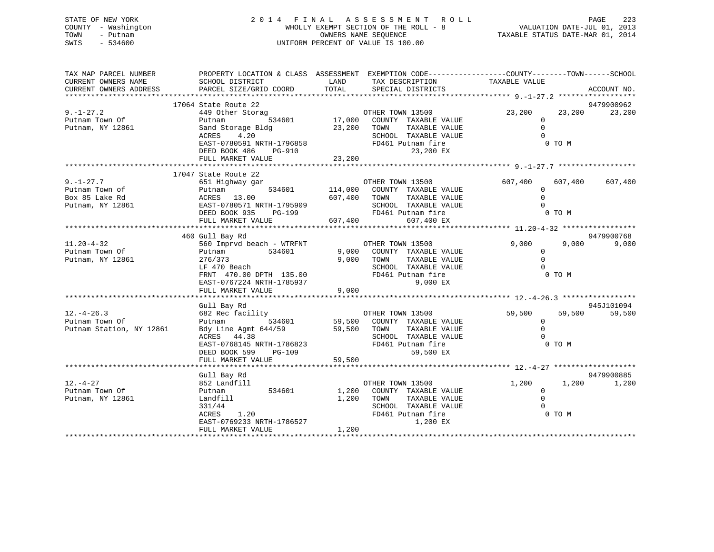STATE OF NEW YORK 2 0 1 4 F I N A L A S S E S S M E N T R O L L PAGE 223 COUNTY - Washington WHOLLY EXEMPT SECTION OF THE ROLL - 8 VALUATION DATE-JUL 01, 2013 TOWN - Putnam OWNERS NAME SEQUENCE TAXABLE STATUS DATE-MAR 01, 2014 SWIS - 534600 UNIFORM PERCENT OF VALUE IS 100.00 TAX MAP PARCEL NUMBER PROPERTY LOCATION & CLASS ASSESSMENT EXEMPTION CODE------------------COUNTY--------TOWN------SCHOOL

| CURRENT OWNERS NAME<br>CURRENT OWNERS ADDRESS | SCHOOL DISTRICT<br><b>EXAMPLE SERVICE SERVICE SERVICE SERVICE SERVICE SERVICE SERVICE SERVICE SERVICE SERVICE SERVICE SERVICE SERVICE</b><br>PARCEL SIZE/GRID COORD | TAX DESCRIPTION<br>TOTAL<br>SPECIAL DISTRICTS                                                                                                                                                                                                                                                                                                                                                                                                                              | TAXABLE VALUE<br>ACCOUNT NO.  |
|-----------------------------------------------|---------------------------------------------------------------------------------------------------------------------------------------------------------------------|----------------------------------------------------------------------------------------------------------------------------------------------------------------------------------------------------------------------------------------------------------------------------------------------------------------------------------------------------------------------------------------------------------------------------------------------------------------------------|-------------------------------|
|                                               |                                                                                                                                                                     |                                                                                                                                                                                                                                                                                                                                                                                                                                                                            |                               |
|                                               | 17064 State Route 22                                                                                                                                                |                                                                                                                                                                                                                                                                                                                                                                                                                                                                            | 9479900962                    |
| $9. - 1 - 27.2$                               | 449 Other Storag                                                                                                                                                    | FOR THE STRING STRING STRING STRING STRING STRING STRING STRING STRING STRING STRING STRING STRING STRING STRI<br>The String String String String String String String String String String String String String String String S                                                                                                                                                                                                                                           | 23,200<br>23,200<br>23,200    |
| Putnam Town Of                                | Putnam                                                                                                                                                              |                                                                                                                                                                                                                                                                                                                                                                                                                                                                            | $\Omega$                      |
| Putnam, NY 12861                              | Sand Storage Bldg                                                                                                                                                   | 23,200 TOWN<br>TAXABLE VALUE                                                                                                                                                                                                                                                                                                                                                                                                                                               | $\Omega$                      |
|                                               | ACRES<br>4.20                                                                                                                                                       | SCHOOL TAXABLE VALUE                                                                                                                                                                                                                                                                                                                                                                                                                                                       | $\Omega$                      |
|                                               | EAST-0780591 NRTH-1796858                                                                                                                                           | FD461 Putnam fire                                                                                                                                                                                                                                                                                                                                                                                                                                                          | 0 TO M                        |
|                                               | DEED BOOK 486<br>PG-910                                                                                                                                             | 23,200 EX                                                                                                                                                                                                                                                                                                                                                                                                                                                                  |                               |
|                                               | FULL MARKET VALUE                                                                                                                                                   | 23,200                                                                                                                                                                                                                                                                                                                                                                                                                                                                     |                               |
|                                               |                                                                                                                                                                     |                                                                                                                                                                                                                                                                                                                                                                                                                                                                            |                               |
|                                               | 17047 State Route 22                                                                                                                                                |                                                                                                                                                                                                                                                                                                                                                                                                                                                                            |                               |
| $9. - 1 - 27.7$                               | 651 Highway gar                                                                                                                                                     | $\begin{tabular}{c} 534601 \\ 534601 \end{tabular} \begin{tabular}{c} \multicolumn{1}{c} \multicolumn{1}{c} \multicolumn{1}{c} \multicolumn{1}{c} \multicolumn{1}{c} \multicolumn{1}{c} \multicolumn{1}{c} \multicolumn{1}{c} \multicolumn{1}{c} \multicolumn{1}{c} \multicolumn{1}{c} \multicolumn{1}{c} \multicolumn{1}{c} \multicolumn{1}{c} \multicolumn{1}{c} \multicolumn{1}{c} \multicolumn{1}{c} \multicolumn{1}{c} \multicolumn{1}{c} \multicolumn{1}{c} \multic$ | 607,400<br>607,400<br>607,400 |
| Putnam Town of                                | Putnam                                                                                                                                                              |                                                                                                                                                                                                                                                                                                                                                                                                                                                                            | 0                             |
| Box 85 Lake Rd                                | ACRES 13.00                                                                                                                                                         | 607,400 TOWN<br>TAXABLE VALUE                                                                                                                                                                                                                                                                                                                                                                                                                                              | $\Omega$                      |
| Putnam, NY 12861                              | EAST-0780571 NRTH-1795909                                                                                                                                           | SCHOOL TAXABLE VALUE                                                                                                                                                                                                                                                                                                                                                                                                                                                       | $\Omega$                      |
|                                               |                                                                                                                                                                     |                                                                                                                                                                                                                                                                                                                                                                                                                                                                            | 0 TO M                        |
|                                               | FULL MARKET VALUE                                                                                                                                                   | 607,400<br>607,400 EX                                                                                                                                                                                                                                                                                                                                                                                                                                                      |                               |
|                                               |                                                                                                                                                                     |                                                                                                                                                                                                                                                                                                                                                                                                                                                                            |                               |
|                                               | 460 Gull Bay Rd                                                                                                                                                     |                                                                                                                                                                                                                                                                                                                                                                                                                                                                            | 9479900768                    |
| $11.20 - 4 - 32$                              | 560 Imprvd beach - WTRFNT                                                                                                                                           | OTHER TOWN 13500                                                                                                                                                                                                                                                                                                                                                                                                                                                           | 9,000<br>9,000<br>9,000       |
| Putnam Town Of                                | 534601<br>Putnam                                                                                                                                                    | 9,000 COUNTY TAXABLE VALUE                                                                                                                                                                                                                                                                                                                                                                                                                                                 | $\mathbf{0}$                  |
| Putnam, NY 12861                              | 276/373                                                                                                                                                             | 9,000 TOWN<br>TAXABLE VALUE                                                                                                                                                                                                                                                                                                                                                                                                                                                | $\Omega$                      |
|                                               | LF 470 Beach                                                                                                                                                        | SCHOOL TAXABLE VALUE                                                                                                                                                                                                                                                                                                                                                                                                                                                       | $\Omega$                      |
|                                               | FRNT 470.00 DPTH 135.00                                                                                                                                             | FD461 Putnam fire                                                                                                                                                                                                                                                                                                                                                                                                                                                          | 0 TO M                        |
|                                               | EAST-0767224 NRTH-1785937                                                                                                                                           | 9,000 EX                                                                                                                                                                                                                                                                                                                                                                                                                                                                   |                               |
|                                               | FULL MARKET VALUE                                                                                                                                                   | 9,000                                                                                                                                                                                                                                                                                                                                                                                                                                                                      |                               |
|                                               |                                                                                                                                                                     |                                                                                                                                                                                                                                                                                                                                                                                                                                                                            |                               |
|                                               | Gull Bay Rd                                                                                                                                                         |                                                                                                                                                                                                                                                                                                                                                                                                                                                                            | 945J101094                    |
| $12. - 4 - 26.3$                              | 682 Rec facility 682 COTHER TOWN 13500                                                                                                                              |                                                                                                                                                                                                                                                                                                                                                                                                                                                                            | 59,500<br>59,500<br>59,500    |
| Putnam Town Of                                | Putnam                                                                                                                                                              | 534601 59,500 COUNTY TAXABLE VALUE                                                                                                                                                                                                                                                                                                                                                                                                                                         | $\Omega$                      |
| Putnam Station, NY 12861                      | Bdy Line Agmt 644/59                                                                                                                                                | 59,500 TOWN<br>TAXABLE VALUE                                                                                                                                                                                                                                                                                                                                                                                                                                               | $\Omega$                      |
|                                               | ACRES 44.38                                                                                                                                                         | SCHOOL TAXABLE VALUE                                                                                                                                                                                                                                                                                                                                                                                                                                                       | $\Omega$                      |
|                                               | EAST-0768145 NRTH-1786823                                                                                                                                           | FD461 Putnam fire                                                                                                                                                                                                                                                                                                                                                                                                                                                          | 0 TO M                        |
|                                               | DEED BOOK 599<br>PG-109                                                                                                                                             | 59,500 EX                                                                                                                                                                                                                                                                                                                                                                                                                                                                  |                               |
|                                               | FULL MARKET VALUE                                                                                                                                                   | 59,500                                                                                                                                                                                                                                                                                                                                                                                                                                                                     |                               |
|                                               |                                                                                                                                                                     |                                                                                                                                                                                                                                                                                                                                                                                                                                                                            |                               |
|                                               | Gull Bay Rd                                                                                                                                                         |                                                                                                                                                                                                                                                                                                                                                                                                                                                                            | 9479900885                    |
| $12. - 4 - 27$                                | 852 Landfill                                                                                                                                                        | OTHER TOWN 13500                                                                                                                                                                                                                                                                                                                                                                                                                                                           | 1,200<br>1,200<br>1,200       |
| Putnam Town Of                                | Putnam<br>534601                                                                                                                                                    | 1,200 COUNTY TAXABLE VALUE                                                                                                                                                                                                                                                                                                                                                                                                                                                 | $\Omega$                      |
| Putnam, NY 12861                              | Landfill                                                                                                                                                            | 1,200 TOWN<br>TAXABLE VALUE                                                                                                                                                                                                                                                                                                                                                                                                                                                | $\Omega$                      |
|                                               | 331/44                                                                                                                                                              | SCHOOL TAXABLE VALUE                                                                                                                                                                                                                                                                                                                                                                                                                                                       | $\Omega$                      |
|                                               | 1.20<br>ACRES                                                                                                                                                       | FD461 Putnam fire                                                                                                                                                                                                                                                                                                                                                                                                                                                          | 0 TO M                        |
|                                               | EAST-0769233 NRTH-1786527                                                                                                                                           | 1,200 EX                                                                                                                                                                                                                                                                                                                                                                                                                                                                   |                               |
|                                               | FULL MARKET VALUE                                                                                                                                                   | 1,200                                                                                                                                                                                                                                                                                                                                                                                                                                                                      |                               |
|                                               |                                                                                                                                                                     |                                                                                                                                                                                                                                                                                                                                                                                                                                                                            |                               |
|                                               |                                                                                                                                                                     |                                                                                                                                                                                                                                                                                                                                                                                                                                                                            |                               |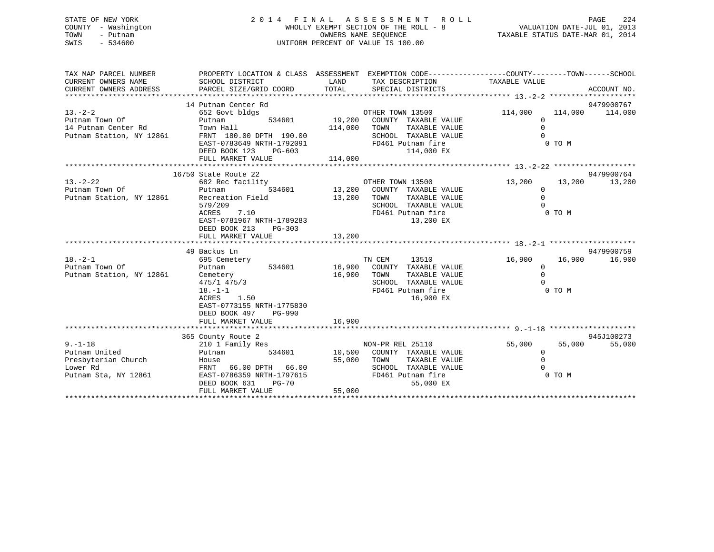# STATE OF NEW YORK 2 0 1 4 F I N A L A S S E S S M E N T R O L L PAGE 224 COUNTY - Washington WHOLLY EXEMPT SECTION OF THE ROLL - 8 VALUATION DATE-JUL 01, 2013 TOWN - Putnam OWNERS NAME SEQUENCE TAXABLE STATUS DATE-MAR 01, 2014 SWIS - 534600 UNIFORM PERCENT OF VALUE IS 100.00

| TAX MAP PARCEL NUMBER          | PROPERTY LOCATION & CLASS ASSESSMENT EXEMPTION CODE---------------COUNTY-------TOWN-----SCHOOL |               |                                          |                      |         |             |
|--------------------------------|------------------------------------------------------------------------------------------------|---------------|------------------------------------------|----------------------|---------|-------------|
| CURRENT OWNERS NAME            | SCHOOL DISTRICT                                                                                | LAND          | TAX DESCRIPTION                          | TAXABLE VALUE        |         |             |
| CURRENT OWNERS ADDRESS         | PARCEL SIZE/GRID COORD                                                                         | TOTAL         | SPECIAL DISTRICTS                        |                      |         | ACCOUNT NO. |
|                                |                                                                                                |               |                                          |                      |         |             |
|                                | 14 Putnam Center Rd                                                                            |               |                                          |                      |         | 9479900767  |
| $13 - 2 - 2$<br>Putnam Town Of | 652 Govt bldgs                                                                                 | 534601 19,200 | OTHER TOWN 13500<br>COUNTY TAXABLE VALUE | 114,000<br>$\Omega$  | 114,000 | 114,000     |
| 14 Putnam Center Rd            | Putnam<br>Town Hall                                                                            | 114,000       | TOWN<br>TAXABLE VALUE                    | $\mathbf 0$          |         |             |
| Putnam Station, NY 12861       | FRNT 180.00 DPTH 190.00                                                                        |               | SCHOOL TAXABLE VALUE                     | $\Omega$             |         |             |
|                                | EAST-0783649 NRTH-1792091                                                                      |               | FD461 Putnam fire                        |                      | 0 TO M  |             |
|                                | DEED BOOK 123<br>$PG-603$                                                                      |               | 114,000 EX                               |                      |         |             |
|                                | FULL MARKET VALUE                                                                              | 114,000       |                                          |                      |         |             |
|                                |                                                                                                |               |                                          |                      |         |             |
|                                | 16750 State Route 22                                                                           |               |                                          |                      |         | 9479900764  |
| $13 - 2 - 22$                  | 682 Rec facility                                                                               |               | OTHER TOWN 13500                         | 13,200               | 13,200  | 13,200      |
| Putnam Town Of                 | 534601<br>Putnam                                                                               |               | 13,200 COUNTY TAXABLE VALUE              | $\Omega$             |         |             |
| Putnam Station, NY 12861       | Recreation Field                                                                               | 13,200        | TOWN<br>TAXABLE VALUE                    | $\mathbf 0$          |         |             |
|                                | 579/209                                                                                        |               | SCHOOL TAXABLE VALUE                     | $\Omega$             |         |             |
|                                | 7.10<br>ACRES                                                                                  |               | FD461 Putnam fire                        |                      | 0 TO M  |             |
|                                | EAST-0781967 NRTH-1789283                                                                      |               | 13,200 EX                                |                      |         |             |
|                                | DEED BOOK 213<br>PG-303                                                                        |               |                                          |                      |         |             |
|                                | FULL MARKET VALUE                                                                              | 13,200        |                                          |                      |         |             |
|                                |                                                                                                |               |                                          |                      |         |             |
|                                | 49 Backus Ln                                                                                   |               |                                          |                      |         | 9479900759  |
| $18. - 2 - 1$                  | 695 Cemetery                                                                                   |               | TN CEM<br>13510                          | 16,900               | 16,900  | 16,900      |
| Putnam Town Of                 | 534601<br>Putnam                                                                               | 16,900        | COUNTY TAXABLE VALUE<br>TOWN             | $\Omega$<br>$\Omega$ |         |             |
| Putnam Station, NY 12861       | Cemetery                                                                                       | 16,900        | TAXABLE VALUE<br>SCHOOL TAXABLE VALUE    | $\Omega$             |         |             |
|                                | 475/1 475/3<br>$18. - 1 - 1$                                                                   |               | FD461 Putnam fire                        |                      | 0 TO M  |             |
|                                | 1.50<br>ACRES                                                                                  |               | 16,900 EX                                |                      |         |             |
|                                | EAST-0773155 NRTH-1775830                                                                      |               |                                          |                      |         |             |
|                                | DEED BOOK 497<br>PG-990                                                                        |               |                                          |                      |         |             |
|                                | FULL MARKET VALUE                                                                              | 16,900        |                                          |                      |         |             |
|                                |                                                                                                |               |                                          |                      |         |             |
|                                | 365 County Route 2                                                                             |               |                                          |                      |         | 945J100273  |
| $9. - 1 - 18$                  | 210 1 Family Res                                                                               |               | NON-PR REL 25110                         | 55,000               | 55,000  | 55,000      |
| Putnam United                  | 534601<br>Putnam                                                                               |               | 10,500 COUNTY TAXABLE VALUE              | 0                    |         |             |
| Presbyterian Church            | House                                                                                          | 55,000        | TOWN<br>TAXABLE VALUE                    | $\mathbf 0$          |         |             |
| Lower Rd                       | FRNT 66.00 DPTH 66.00                                                                          |               | SCHOOL TAXABLE VALUE                     | $\cap$               |         |             |
| Putnam Sta, NY 12861           | EAST-0786359 NRTH-1797615                                                                      |               | FD461 Putnam fire                        |                      | 0 TO M  |             |
|                                | DEED BOOK 631<br><b>PG-70</b>                                                                  |               | 55,000 EX                                |                      |         |             |
|                                | FULL MARKET VALUE                                                                              | 55,000        |                                          |                      |         |             |
|                                |                                                                                                |               |                                          |                      |         |             |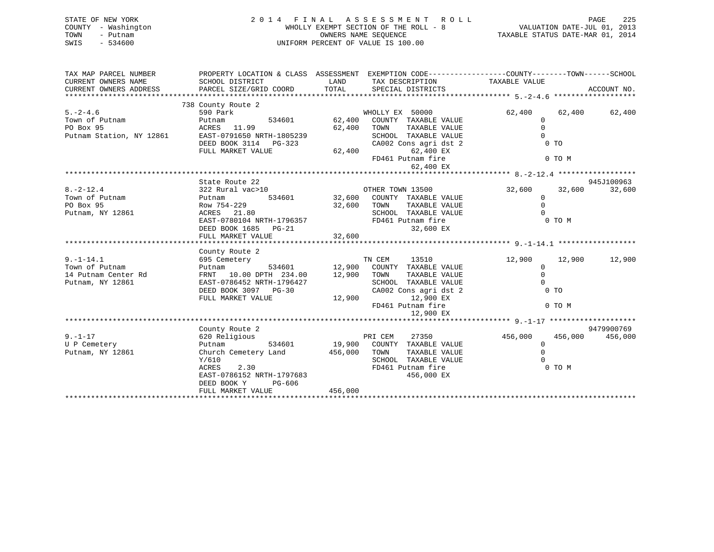| STATE OF NEW YORK<br>COUNTY - Washington<br>TOWN<br>- Putnam<br>$-534600$<br>SWIS | 2014 FINAL ASSESSMENT ROLL<br>WHOLLY EXEMPT SECTION OF THE ROLL - 8<br>OWNERS NAME SEOUENCE<br>UNIFORM PERCENT OF VALUE IS 100.00 | PAGE<br>VALUATION DATE-JUL 01, 2013<br>TAXABLE STATUS DATE-MAR 01, 2014 | 225 |
|-----------------------------------------------------------------------------------|-----------------------------------------------------------------------------------------------------------------------------------|-------------------------------------------------------------------------|-----|
| TAX MAP PARCEL NUMBER                                                             | PROPERTY LOCATION & CLASS ASSESSMENT                                                                                              | EXEMPTION CODE-----------------COUNTY-------TOWN------SCHOOL            |     |

| 738 County Route 2<br>$5. -2 - 4.6$<br>590 Park<br>WHOLLY EX 50000<br>62,400<br>62,400<br>62,400<br>62,400<br>Town of Putnam<br>534601<br>COUNTY TAXABLE VALUE<br>$\mathbf 0$<br>Putnam<br>PO Box 95<br>ACRES 11.99<br>TOWN<br>$\mathbf 0$<br>62,400<br>TAXABLE VALUE<br>$\Omega$<br>SCHOOL TAXABLE VALUE<br>Putnam Station, NY 12861<br>EAST-0791650 NRTH-1805239<br>$0$ TO<br>DEED BOOK 3114 PG-323<br>CA002 Cons agri dst 2<br>62,400<br>62,400 EX<br>FULL MARKET VALUE<br>0 TO M<br>FD461 Putnam fire<br>62,400 EX<br>945J100963<br>State Route 22<br>$8. -2 - 12.4$<br>322 Rural vac>10<br>OTHER TOWN 13500<br>32,600<br>32,600<br>32,600<br>Town of Putnam<br>534601<br>32,600<br>COUNTY TAXABLE VALUE<br>$\mathbf 0$<br>Putnam<br>PO Box 95<br>Row 754-229<br>32,600<br>TOWN<br>$\mathbf 0$<br>TAXABLE VALUE<br>SCHOOL TAXABLE VALUE<br>$\Omega$<br>Putnam, NY 12861<br>ACRES 21.80<br>EAST-0780104 NRTH-1796357<br>FD461 Putnam fire<br>0 TO M<br>DEED BOOK 1685 PG-21<br>32,600 EX<br>32,600<br>FULL MARKET VALUE<br>County Route 2<br>$9. - 1 - 14.1$<br>TN CEM<br>13510<br>12,900<br>12,900<br>695 Cemetery<br>12,900<br>Town of Putnam<br>534601<br>12,900<br>COUNTY TAXABLE VALUE<br>$\mathbf 0$<br>Putnam<br>$\Omega$<br>FRNT 10.00 DPTH 234.00<br>12,900<br>TOWN<br>TAXABLE VALUE<br>14 Putnam Center Rd<br>Putnam, NY 12861<br>EAST-0786452 NRTH-1796427<br>SCHOOL<br>TAXABLE VALUE<br>$\Omega$<br>DEED BOOK 3097 PG-30<br>CA002 Cons agri dst 2<br>0 <sub>T</sub><br>FULL MARKET VALUE<br>12,900<br>12,900 EX<br>FD461 Putnam fire<br>0 TO M<br>12,900 EX<br>County Route 2<br>9479900769<br>$9. - 1 - 17$<br>620 Religious<br>PRI CEM<br>27350<br>456,000<br>456,000<br>456,000<br>534601<br>19,900<br>COUNTY TAXABLE VALUE<br>$\mathbf 0$<br>U P Cemetery<br>Putnam<br>$\Omega$<br>Church Cemetery Land<br>456,000<br>Putnam, NY 12861<br>TOWN<br>TAXABLE VALUE<br>Y/610<br>SCHOOL<br>TAXABLE VALUE<br>$\cap$<br>ACRES<br>2.30<br>FD461 Putnam fire<br>0 TO M<br>EAST-0786152 NRTH-1797683<br>456,000 EX<br>PG-606<br>DEED BOOK Y<br>456,000<br>FULL MARKET VALUE | CURRENT OWNERS NAME<br>CURRENT OWNERS ADDRESS | SCHOOL DISTRICT<br>PARCEL SIZE/GRID COORD | LAND<br>TOTAL | TAX DESCRIPTION<br>SPECIAL DISTRICTS | TAXABLE VALUE | ACCOUNT NO. |
|--------------------------------------------------------------------------------------------------------------------------------------------------------------------------------------------------------------------------------------------------------------------------------------------------------------------------------------------------------------------------------------------------------------------------------------------------------------------------------------------------------------------------------------------------------------------------------------------------------------------------------------------------------------------------------------------------------------------------------------------------------------------------------------------------------------------------------------------------------------------------------------------------------------------------------------------------------------------------------------------------------------------------------------------------------------------------------------------------------------------------------------------------------------------------------------------------------------------------------------------------------------------------------------------------------------------------------------------------------------------------------------------------------------------------------------------------------------------------------------------------------------------------------------------------------------------------------------------------------------------------------------------------------------------------------------------------------------------------------------------------------------------------------------------------------------------------------------------------------------------------------------------------------------------------------------------------------------------------------------------------------------------------------------------------------------------------------------|-----------------------------------------------|-------------------------------------------|---------------|--------------------------------------|---------------|-------------|
|                                                                                                                                                                                                                                                                                                                                                                                                                                                                                                                                                                                                                                                                                                                                                                                                                                                                                                                                                                                                                                                                                                                                                                                                                                                                                                                                                                                                                                                                                                                                                                                                                                                                                                                                                                                                                                                                                                                                                                                                                                                                                      |                                               |                                           |               |                                      |               |             |
|                                                                                                                                                                                                                                                                                                                                                                                                                                                                                                                                                                                                                                                                                                                                                                                                                                                                                                                                                                                                                                                                                                                                                                                                                                                                                                                                                                                                                                                                                                                                                                                                                                                                                                                                                                                                                                                                                                                                                                                                                                                                                      |                                               |                                           |               |                                      |               |             |
|                                                                                                                                                                                                                                                                                                                                                                                                                                                                                                                                                                                                                                                                                                                                                                                                                                                                                                                                                                                                                                                                                                                                                                                                                                                                                                                                                                                                                                                                                                                                                                                                                                                                                                                                                                                                                                                                                                                                                                                                                                                                                      |                                               |                                           |               |                                      |               |             |
|                                                                                                                                                                                                                                                                                                                                                                                                                                                                                                                                                                                                                                                                                                                                                                                                                                                                                                                                                                                                                                                                                                                                                                                                                                                                                                                                                                                                                                                                                                                                                                                                                                                                                                                                                                                                                                                                                                                                                                                                                                                                                      |                                               |                                           |               |                                      |               |             |
|                                                                                                                                                                                                                                                                                                                                                                                                                                                                                                                                                                                                                                                                                                                                                                                                                                                                                                                                                                                                                                                                                                                                                                                                                                                                                                                                                                                                                                                                                                                                                                                                                                                                                                                                                                                                                                                                                                                                                                                                                                                                                      |                                               |                                           |               |                                      |               |             |
|                                                                                                                                                                                                                                                                                                                                                                                                                                                                                                                                                                                                                                                                                                                                                                                                                                                                                                                                                                                                                                                                                                                                                                                                                                                                                                                                                                                                                                                                                                                                                                                                                                                                                                                                                                                                                                                                                                                                                                                                                                                                                      |                                               |                                           |               |                                      |               |             |
|                                                                                                                                                                                                                                                                                                                                                                                                                                                                                                                                                                                                                                                                                                                                                                                                                                                                                                                                                                                                                                                                                                                                                                                                                                                                                                                                                                                                                                                                                                                                                                                                                                                                                                                                                                                                                                                                                                                                                                                                                                                                                      |                                               |                                           |               |                                      |               |             |
|                                                                                                                                                                                                                                                                                                                                                                                                                                                                                                                                                                                                                                                                                                                                                                                                                                                                                                                                                                                                                                                                                                                                                                                                                                                                                                                                                                                                                                                                                                                                                                                                                                                                                                                                                                                                                                                                                                                                                                                                                                                                                      |                                               |                                           |               |                                      |               |             |
|                                                                                                                                                                                                                                                                                                                                                                                                                                                                                                                                                                                                                                                                                                                                                                                                                                                                                                                                                                                                                                                                                                                                                                                                                                                                                                                                                                                                                                                                                                                                                                                                                                                                                                                                                                                                                                                                                                                                                                                                                                                                                      |                                               |                                           |               |                                      |               |             |
|                                                                                                                                                                                                                                                                                                                                                                                                                                                                                                                                                                                                                                                                                                                                                                                                                                                                                                                                                                                                                                                                                                                                                                                                                                                                                                                                                                                                                                                                                                                                                                                                                                                                                                                                                                                                                                                                                                                                                                                                                                                                                      |                                               |                                           |               |                                      |               |             |
|                                                                                                                                                                                                                                                                                                                                                                                                                                                                                                                                                                                                                                                                                                                                                                                                                                                                                                                                                                                                                                                                                                                                                                                                                                                                                                                                                                                                                                                                                                                                                                                                                                                                                                                                                                                                                                                                                                                                                                                                                                                                                      |                                               |                                           |               |                                      |               |             |
|                                                                                                                                                                                                                                                                                                                                                                                                                                                                                                                                                                                                                                                                                                                                                                                                                                                                                                                                                                                                                                                                                                                                                                                                                                                                                                                                                                                                                                                                                                                                                                                                                                                                                                                                                                                                                                                                                                                                                                                                                                                                                      |                                               |                                           |               |                                      |               |             |
|                                                                                                                                                                                                                                                                                                                                                                                                                                                                                                                                                                                                                                                                                                                                                                                                                                                                                                                                                                                                                                                                                                                                                                                                                                                                                                                                                                                                                                                                                                                                                                                                                                                                                                                                                                                                                                                                                                                                                                                                                                                                                      |                                               |                                           |               |                                      |               |             |
|                                                                                                                                                                                                                                                                                                                                                                                                                                                                                                                                                                                                                                                                                                                                                                                                                                                                                                                                                                                                                                                                                                                                                                                                                                                                                                                                                                                                                                                                                                                                                                                                                                                                                                                                                                                                                                                                                                                                                                                                                                                                                      |                                               |                                           |               |                                      |               |             |
|                                                                                                                                                                                                                                                                                                                                                                                                                                                                                                                                                                                                                                                                                                                                                                                                                                                                                                                                                                                                                                                                                                                                                                                                                                                                                                                                                                                                                                                                                                                                                                                                                                                                                                                                                                                                                                                                                                                                                                                                                                                                                      |                                               |                                           |               |                                      |               |             |
|                                                                                                                                                                                                                                                                                                                                                                                                                                                                                                                                                                                                                                                                                                                                                                                                                                                                                                                                                                                                                                                                                                                                                                                                                                                                                                                                                                                                                                                                                                                                                                                                                                                                                                                                                                                                                                                                                                                                                                                                                                                                                      |                                               |                                           |               |                                      |               |             |
|                                                                                                                                                                                                                                                                                                                                                                                                                                                                                                                                                                                                                                                                                                                                                                                                                                                                                                                                                                                                                                                                                                                                                                                                                                                                                                                                                                                                                                                                                                                                                                                                                                                                                                                                                                                                                                                                                                                                                                                                                                                                                      |                                               |                                           |               |                                      |               |             |
|                                                                                                                                                                                                                                                                                                                                                                                                                                                                                                                                                                                                                                                                                                                                                                                                                                                                                                                                                                                                                                                                                                                                                                                                                                                                                                                                                                                                                                                                                                                                                                                                                                                                                                                                                                                                                                                                                                                                                                                                                                                                                      |                                               |                                           |               |                                      |               |             |
|                                                                                                                                                                                                                                                                                                                                                                                                                                                                                                                                                                                                                                                                                                                                                                                                                                                                                                                                                                                                                                                                                                                                                                                                                                                                                                                                                                                                                                                                                                                                                                                                                                                                                                                                                                                                                                                                                                                                                                                                                                                                                      |                                               |                                           |               |                                      |               |             |
|                                                                                                                                                                                                                                                                                                                                                                                                                                                                                                                                                                                                                                                                                                                                                                                                                                                                                                                                                                                                                                                                                                                                                                                                                                                                                                                                                                                                                                                                                                                                                                                                                                                                                                                                                                                                                                                                                                                                                                                                                                                                                      |                                               |                                           |               |                                      |               |             |
|                                                                                                                                                                                                                                                                                                                                                                                                                                                                                                                                                                                                                                                                                                                                                                                                                                                                                                                                                                                                                                                                                                                                                                                                                                                                                                                                                                                                                                                                                                                                                                                                                                                                                                                                                                                                                                                                                                                                                                                                                                                                                      |                                               |                                           |               |                                      |               |             |
|                                                                                                                                                                                                                                                                                                                                                                                                                                                                                                                                                                                                                                                                                                                                                                                                                                                                                                                                                                                                                                                                                                                                                                                                                                                                                                                                                                                                                                                                                                                                                                                                                                                                                                                                                                                                                                                                                                                                                                                                                                                                                      |                                               |                                           |               |                                      |               |             |
|                                                                                                                                                                                                                                                                                                                                                                                                                                                                                                                                                                                                                                                                                                                                                                                                                                                                                                                                                                                                                                                                                                                                                                                                                                                                                                                                                                                                                                                                                                                                                                                                                                                                                                                                                                                                                                                                                                                                                                                                                                                                                      |                                               |                                           |               |                                      |               |             |
|                                                                                                                                                                                                                                                                                                                                                                                                                                                                                                                                                                                                                                                                                                                                                                                                                                                                                                                                                                                                                                                                                                                                                                                                                                                                                                                                                                                                                                                                                                                                                                                                                                                                                                                                                                                                                                                                                                                                                                                                                                                                                      |                                               |                                           |               |                                      |               |             |
|                                                                                                                                                                                                                                                                                                                                                                                                                                                                                                                                                                                                                                                                                                                                                                                                                                                                                                                                                                                                                                                                                                                                                                                                                                                                                                                                                                                                                                                                                                                                                                                                                                                                                                                                                                                                                                                                                                                                                                                                                                                                                      |                                               |                                           |               |                                      |               |             |
|                                                                                                                                                                                                                                                                                                                                                                                                                                                                                                                                                                                                                                                                                                                                                                                                                                                                                                                                                                                                                                                                                                                                                                                                                                                                                                                                                                                                                                                                                                                                                                                                                                                                                                                                                                                                                                                                                                                                                                                                                                                                                      |                                               |                                           |               |                                      |               |             |
|                                                                                                                                                                                                                                                                                                                                                                                                                                                                                                                                                                                                                                                                                                                                                                                                                                                                                                                                                                                                                                                                                                                                                                                                                                                                                                                                                                                                                                                                                                                                                                                                                                                                                                                                                                                                                                                                                                                                                                                                                                                                                      |                                               |                                           |               |                                      |               |             |
|                                                                                                                                                                                                                                                                                                                                                                                                                                                                                                                                                                                                                                                                                                                                                                                                                                                                                                                                                                                                                                                                                                                                                                                                                                                                                                                                                                                                                                                                                                                                                                                                                                                                                                                                                                                                                                                                                                                                                                                                                                                                                      |                                               |                                           |               |                                      |               |             |
|                                                                                                                                                                                                                                                                                                                                                                                                                                                                                                                                                                                                                                                                                                                                                                                                                                                                                                                                                                                                                                                                                                                                                                                                                                                                                                                                                                                                                                                                                                                                                                                                                                                                                                                                                                                                                                                                                                                                                                                                                                                                                      |                                               |                                           |               |                                      |               |             |
|                                                                                                                                                                                                                                                                                                                                                                                                                                                                                                                                                                                                                                                                                                                                                                                                                                                                                                                                                                                                                                                                                                                                                                                                                                                                                                                                                                                                                                                                                                                                                                                                                                                                                                                                                                                                                                                                                                                                                                                                                                                                                      |                                               |                                           |               |                                      |               |             |
|                                                                                                                                                                                                                                                                                                                                                                                                                                                                                                                                                                                                                                                                                                                                                                                                                                                                                                                                                                                                                                                                                                                                                                                                                                                                                                                                                                                                                                                                                                                                                                                                                                                                                                                                                                                                                                                                                                                                                                                                                                                                                      |                                               |                                           |               |                                      |               |             |
|                                                                                                                                                                                                                                                                                                                                                                                                                                                                                                                                                                                                                                                                                                                                                                                                                                                                                                                                                                                                                                                                                                                                                                                                                                                                                                                                                                                                                                                                                                                                                                                                                                                                                                                                                                                                                                                                                                                                                                                                                                                                                      |                                               |                                           |               |                                      |               |             |
|                                                                                                                                                                                                                                                                                                                                                                                                                                                                                                                                                                                                                                                                                                                                                                                                                                                                                                                                                                                                                                                                                                                                                                                                                                                                                                                                                                                                                                                                                                                                                                                                                                                                                                                                                                                                                                                                                                                                                                                                                                                                                      |                                               |                                           |               |                                      |               |             |
|                                                                                                                                                                                                                                                                                                                                                                                                                                                                                                                                                                                                                                                                                                                                                                                                                                                                                                                                                                                                                                                                                                                                                                                                                                                                                                                                                                                                                                                                                                                                                                                                                                                                                                                                                                                                                                                                                                                                                                                                                                                                                      |                                               |                                           |               |                                      |               |             |
|                                                                                                                                                                                                                                                                                                                                                                                                                                                                                                                                                                                                                                                                                                                                                                                                                                                                                                                                                                                                                                                                                                                                                                                                                                                                                                                                                                                                                                                                                                                                                                                                                                                                                                                                                                                                                                                                                                                                                                                                                                                                                      |                                               |                                           |               |                                      |               |             |
|                                                                                                                                                                                                                                                                                                                                                                                                                                                                                                                                                                                                                                                                                                                                                                                                                                                                                                                                                                                                                                                                                                                                                                                                                                                                                                                                                                                                                                                                                                                                                                                                                                                                                                                                                                                                                                                                                                                                                                                                                                                                                      |                                               |                                           |               |                                      |               |             |
|                                                                                                                                                                                                                                                                                                                                                                                                                                                                                                                                                                                                                                                                                                                                                                                                                                                                                                                                                                                                                                                                                                                                                                                                                                                                                                                                                                                                                                                                                                                                                                                                                                                                                                                                                                                                                                                                                                                                                                                                                                                                                      |                                               |                                           |               |                                      |               |             |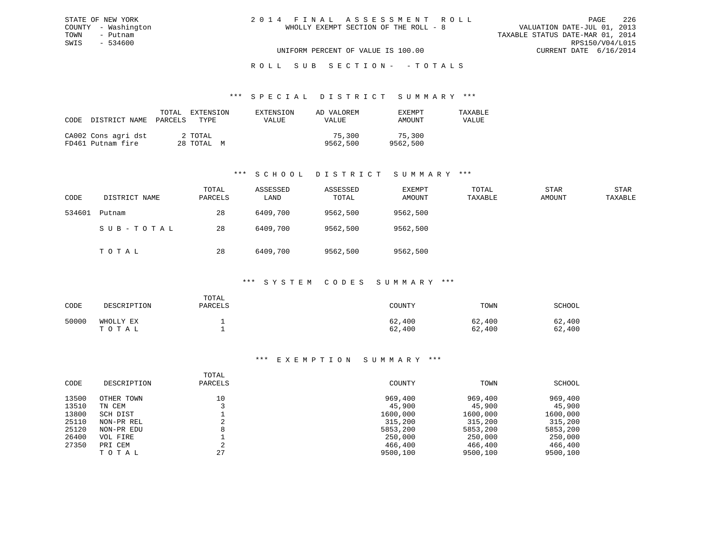#### \*\*\* S P E C I A L D I S T R I C T S U M M A R Y \*\*\*

| CODE | DISTRICT NAME                            | TOTAL<br>PARCELS | EXTENSION<br>TYPE     | EXTENSION<br>VALUE | AD VALOREM<br>VALUE | <b>EXEMPT</b><br>AMOUNT | TAXABLE<br>VALUE |
|------|------------------------------------------|------------------|-----------------------|--------------------|---------------------|-------------------------|------------------|
|      | CA002 Cons agri dst<br>FD461 Putnam fire |                  | 2 TOTAL<br>28 TOTAL M |                    | 75,300<br>9562,500  | 75,300<br>9562,500      |                  |

### \*\*\* S C H O O L D I S T R I C T S U M M A R Y \*\*\*

| CODE   | DISTRICT NAME | TOTAL<br>PARCELS | ASSESSED<br>LAND | ASSESSED<br>TOTAL | EXEMPT<br>AMOUNT | TOTAL<br>TAXABLE | STAR<br>AMOUNT | STAR<br>TAXABLE |
|--------|---------------|------------------|------------------|-------------------|------------------|------------------|----------------|-----------------|
| 534601 | Putnam        | 28               | 6409,700         | 9562,500          | 9562,500         |                  |                |                 |
|        | SUB-TOTAL     | 28               | 6409,700         | 9562,500          | 9562,500         |                  |                |                 |
|        | тотаь         | 28               | 6409,700         | 9562,500          | 9562,500         |                  |                |                 |

#### \*\*\* S Y S T E M C O D E S S U M M A R Y \*\*\*

| CODE  | DESCRIPTION        | TOTAL<br>PARCELS | COUNTY           | TOWN             | <b>SCHOOL</b>    |
|-------|--------------------|------------------|------------------|------------------|------------------|
| 50000 | WHOLLY EX<br>TOTAL |                  | 62,400<br>62,400 | 62,400<br>62,400 | 62,400<br>62,400 |

| CODE  | DESCRIPTION | TOTAL<br>PARCELS | COUNTY   | TOWN     | SCHOOL   |
|-------|-------------|------------------|----------|----------|----------|
| 13500 | OTHER TOWN  | 10               | 969,400  | 969,400  | 969,400  |
| 13510 | TN CEM      |                  | 45,900   | 45,900   | 45,900   |
| 13800 | SCH DIST    |                  | 1600,000 | 1600,000 | 1600,000 |
| 25110 | NON-PR REL  |                  | 315,200  | 315,200  | 315,200  |
| 25120 | NON-PR EDU  | 8                | 5853,200 | 5853,200 | 5853,200 |
| 26400 | VOL FIRE    |                  | 250,000  | 250,000  | 250,000  |
| 27350 | PRI CEM     | ⌒                | 466,400  | 466,400  | 466,400  |
|       | TOTAL       | 27               | 9500,100 | 9500,100 | 9500,100 |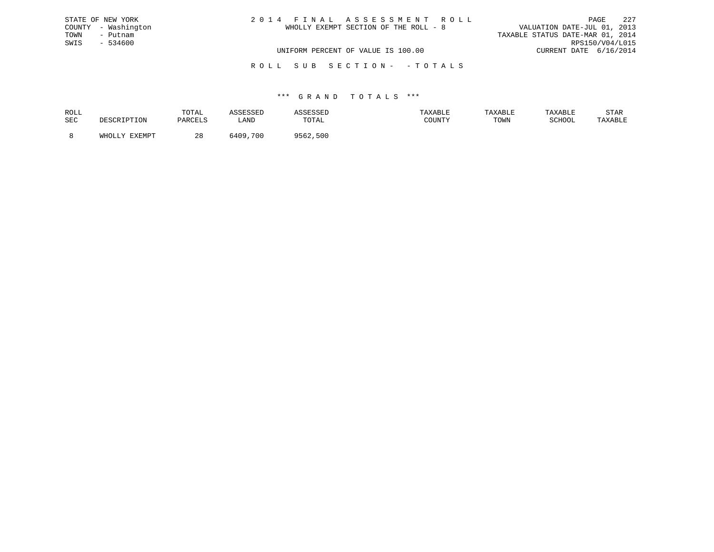| STATE OF NEW YORK   | 2014 FINAL ASSESSMENT ROLL            | 227<br>PAGE                      |
|---------------------|---------------------------------------|----------------------------------|
| COUNTY - Washington | WHOLLY EXEMPT SECTION OF THE ROLL - 8 | VALUATION DATE-JUL 01, 2013      |
| TOWN<br>- Putnam    |                                       | TAXABLE STATUS DATE-MAR 01, 2014 |
| SWIS<br>- 534600    |                                       | RPS150/V04/L015                  |
|                     | UNIFORM PERCENT OF VALUE IS 100.00    | CURRENT DATE 6/16/2014           |
|                     |                                       |                                  |

R O L L S U B S E C T I O N - - T O T A L S

| ROLL |                             | TOTAL               | ---- | عىدى     |        | TAXABLE | TAXABLE | STAR    |
|------|-----------------------------|---------------------|------|----------|--------|---------|---------|---------|
| SEC  | <sup>י ז ד</sup> י ד<br>ᆂᆂᇦ | DARCFT.S<br>YARULUS | LAND | TOTAL    | COUNTY | TOWN    | SCHOOL  | TAXABLE |
|      | <b>DVDMDP</b>               | 40                  | 700  | 9562.500 |        |         |         |         |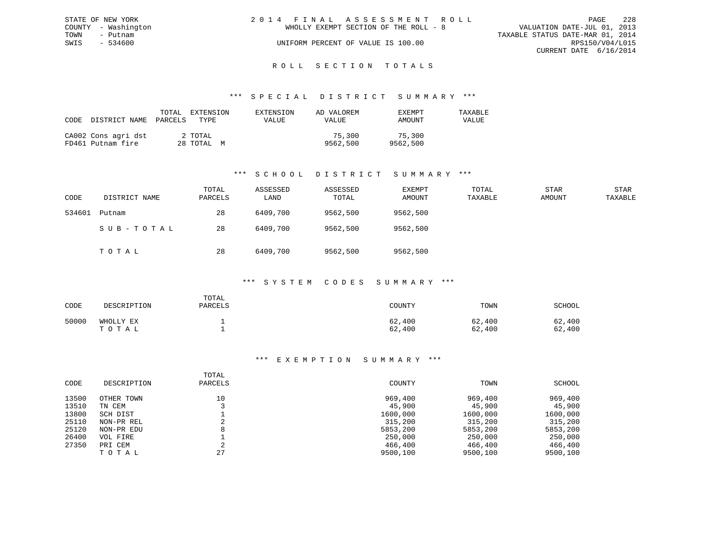| STATE OF NEW YORK |                     | 2014 FINAL ASSESSMENT ROLL                                           | PAGE            | -228 |
|-------------------|---------------------|----------------------------------------------------------------------|-----------------|------|
|                   | COUNTY - Washington | VALUATION DATE-JUL 01, 2013<br>WHOLLY EXEMPT SECTION OF THE ROLL - 8 |                 |      |
| TOWN              | - Putnam            | TAXABLE STATUS DATE-MAR 01, 2014                                     |                 |      |
| SWIS              | $-534600$           | UNIFORM PERCENT OF VALUE IS 100.00                                   | RPS150/V04/L015 |      |
|                   |                     | CURRENT DATE 6/16/2014                                               |                 |      |
|                   |                     |                                                                      |                 |      |

#### R O L L S E C T I O N T O T A L S

#### \*\*\* S P E C I A L D I S T R I C T S U M M A R Y \*\*\*

| CODE | DISTRICT NAME PARCELS                    | TOTAL | EXTENSION<br>TYPE     | EXTENSION<br>VALUE | AD VALOREM<br>VALUE | EXEMPT<br>AMOUNT   | TAXABLE<br>VALUE |
|------|------------------------------------------|-------|-----------------------|--------------------|---------------------|--------------------|------------------|
|      | CA002 Cons agri dst<br>FD461 Putnam fire |       | 2 TOTAL<br>28 TOTAL M |                    | 75,300<br>9562,500  | 75,300<br>9562,500 |                  |

### \*\*\* S C H O O L D I S T R I C T S U M M A R Y \*\*\*

| CODE   | DISTRICT NAME | TOTAL<br>PARCELS | ASSESSED<br>LAND | ASSESSED<br>TOTAL | EXEMPT<br>AMOUNT | TOTAL<br>TAXABLE | <b>STAR</b><br>AMOUNT | <b>STAR</b><br>TAXABLE |
|--------|---------------|------------------|------------------|-------------------|------------------|------------------|-----------------------|------------------------|
| 534601 | Putnam        | 28               | 6409,700         | 9562,500          | 9562,500         |                  |                       |                        |
|        | SUB-TOTAL     | 28               | 6409,700         | 9562,500          | 9562,500         |                  |                       |                        |
|        | тотаь         | 28               | 6409,700         | 9562,500          | 9562,500         |                  |                       |                        |

#### \*\*\* S Y S T E M C O D E S S U M M A R Y \*\*\*

| CODE  | DESCRIPTION        | TOTAL<br>PARCELS | COUNTY           | TOWN             | SCHOOL           |
|-------|--------------------|------------------|------------------|------------------|------------------|
| 50000 | WHOLLY EX<br>TOTAL |                  | 62,400<br>62,400 | 62,400<br>62,400 | 62,400<br>62,400 |

| CODE  | DESCRIPTION | TOTAL<br>PARCELS | COUNTY   | TOWN     | SCHOOL   |
|-------|-------------|------------------|----------|----------|----------|
|       |             |                  |          |          |          |
| 13500 | OTHER TOWN  | 10               | 969,400  | 969,400  | 969,400  |
| 13510 | TN CEM      |                  | 45,900   | 45,900   | 45,900   |
| 13800 | SCH DIST    |                  | 1600,000 | 1600,000 | 1600,000 |
| 25110 | NON-PR REL  |                  | 315,200  | 315,200  | 315,200  |
| 25120 | NON-PR EDU  | 8                | 5853,200 | 5853,200 | 5853,200 |
| 26400 | VOL FIRE    |                  | 250,000  | 250,000  | 250,000  |
| 27350 | PRI CEM     |                  | 466,400  | 466,400  | 466,400  |
|       | TOTAL       | 27               | 9500,100 | 9500,100 | 9500,100 |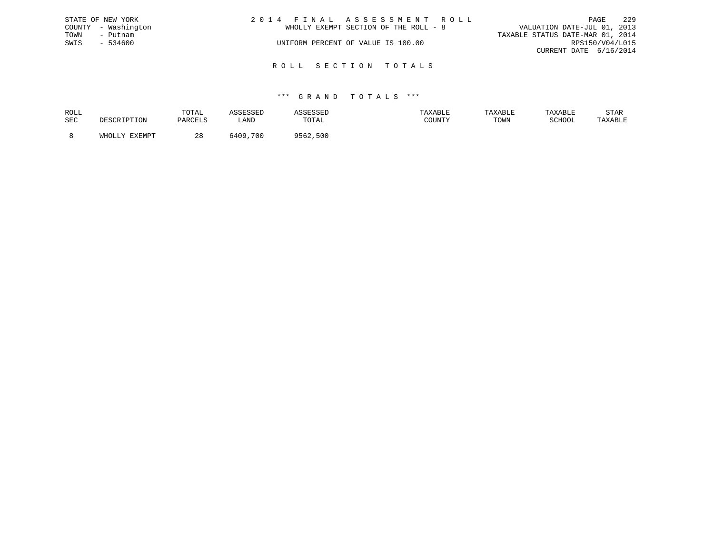|      | STATE OF NEW YORK   | 2014 FINAL ASSESSMENT ROLL            |                             | PAGE | 22.9 |
|------|---------------------|---------------------------------------|-----------------------------|------|------|
|      | COUNTY - Washington | WHOLLY EXEMPT SECTION OF THE ROLL - 8 | VALUATION DATE-JUL 01, 2013 |      |      |
| TOWN | – Putnam            | TAXABLE STATUS DATE-MAR 01, 2014      |                             |      |      |
| SWIS | - 534600            | UNIFORM PERCENT OF VALUE IS 100.00    | RPS150/V04/L015             |      |      |
|      |                     |                                       | CURRENT DATE 6/16/2014      |      |      |
|      |                     |                                       |                             |      |      |

R O L L S E C T I O N T O T A L S

| ROLL |        | TOTAL    | the contract of the contract of the contract of the contract of the contract of the contract of the contract of | the company of the company of the company of the company of the company of the company of the company of the company of the company of the company of the company of the company of the company of the company of the company | 'AXABLE | TAXABL. |        | STAR    |
|------|--------|----------|-----------------------------------------------------------------------------------------------------------------|-------------------------------------------------------------------------------------------------------------------------------------------------------------------------------------------------------------------------------|---------|---------|--------|---------|
| SEC  |        | DARCFI.S | ≒AND                                                                                                            | TOTAL                                                                                                                                                                                                                         |         | TOWN    | SCHOOL | TAXABLE |
|      | FYFMDT | റ റ      | .700<br>70. ه                                                                                                   | 500<br>9562                                                                                                                                                                                                                   |         |         |        |         |
|      |        | 40       |                                                                                                                 |                                                                                                                                                                                                                               |         |         |        |         |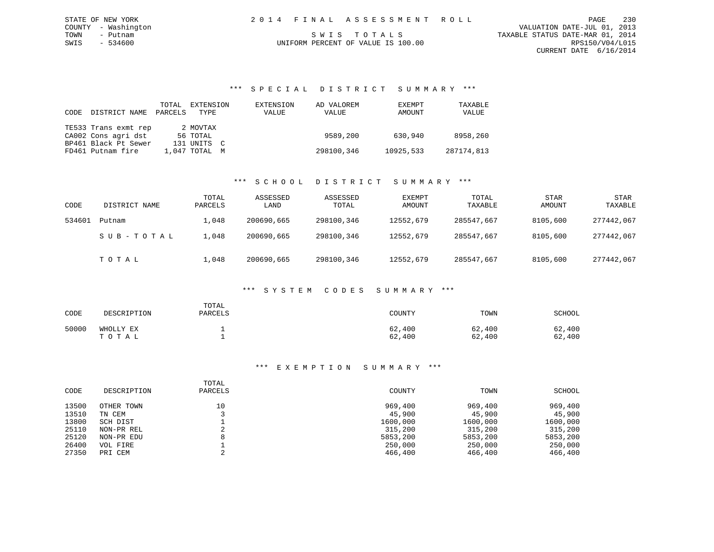\*\*\* S P E C I A L D I S T R I C T S U M M A R Y \*\*\*

| CODE | DISTRICT NAME        | TOTAL<br>PARCELS | EXTENSION<br>TYPE | EXTENSION<br>VALUE | AD VALOREM<br>VALUE | EXEMPT<br>AMOUNT | TAXABLE<br>VALUE |
|------|----------------------|------------------|-------------------|--------------------|---------------------|------------------|------------------|
|      | TE533 Trans exmt rep |                  | 2 MOVTAX          |                    |                     |                  |                  |
|      | CA002 Cons agri dst  |                  | 56 TOTAL          |                    | 9589,200            | 630,940          | 8958,260         |
|      | BP461 Black Pt Sewer |                  | 131 UNITS C       |                    |                     |                  |                  |
|      | FD461 Putnam fire    |                  | 1,047 TOTAL M     |                    | 298100,346          | 10925,533        | 287174,813       |

#### \*\*\* S C H O O L D I S T R I C T S U M M A R Y \*\*\*

| CODE   | DISTRICT NAME | TOTAL<br>PARCELS | ASSESSED<br>LAND | ASSESSED<br>TOTAL | EXEMPT<br>AMOUNT | TOTAL<br>TAXABLE | <b>STAR</b><br>AMOUNT | STAR<br>TAXABLE |
|--------|---------------|------------------|------------------|-------------------|------------------|------------------|-----------------------|-----------------|
| 534601 | Putnam        | 1,048            | 200690,665       | 298100,346        | 12552,679        | 285547,667       | 8105,600              | 277442,067      |
|        | SUB-TOTAL     | 1,048            | 200690,665       | 298100,346        | 12552,679        | 285547,667       | 8105,600              | 277442,067      |
|        | TOTAL         | ⊥,048            | 200690,665       | 298100,346        | 12552,679        | 285547.667       | 8105,600              | 277442,067      |

### \*\*\* S Y S T E M C O D E S S U M M A R Y \*\*\*

| CODE  | DESCRIPTION        | TOTAL<br>PARCELS | COUNTY           | TOWN             | SCHOOL           |
|-------|--------------------|------------------|------------------|------------------|------------------|
| 50000 | WHOLLY EX<br>TOTAL |                  | 62,400<br>62,400 | 62,400<br>62,400 | 62,400<br>62,400 |

| CODE  | DESCRIPTION | TOTAL<br>PARCELS | COUNTY   | TOWN     | SCHOOL   |
|-------|-------------|------------------|----------|----------|----------|
| 13500 | OTHER TOWN  | 10               | 969,400  | 969,400  | 969,400  |
| 13510 | TN CEM      |                  | 45,900   | 45,900   | 45,900   |
| 13800 | SCH DIST    |                  | 1600,000 | 1600,000 | 1600,000 |
| 25110 | NON-PR REL  |                  | 315,200  | 315,200  | 315,200  |
| 25120 | NON-PR EDU  |                  | 5853,200 | 5853,200 | 5853,200 |
| 26400 | VOL FIRE    |                  | 250,000  | 250,000  | 250,000  |
| 27350 | PRI CEM     |                  | 466,400  | 466,400  | 466,400  |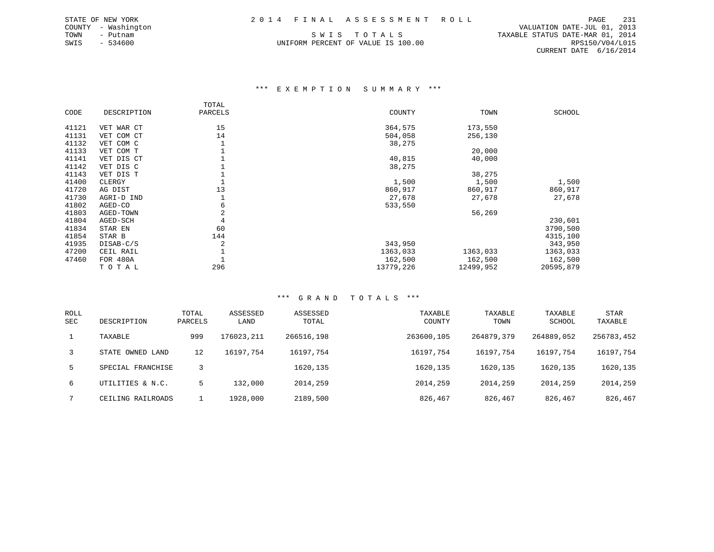SWIS - 534600 UNIFORM PERCENT OF VALUE IS 100.00 RPS150/V04/L015

 COUNTY - Washington VALUATION DATE-JUL 01, 2013 TOWN - Putnam SWIS TOTALS TRANSBLE STATUS DATE-MAR 01, 2014 CURRENT DATE 6/16/2014

#### \*\*\* E X E M P T I O N S U M M A R Y \*\*\*

|       |             | TOTAL   |           |           |           |
|-------|-------------|---------|-----------|-----------|-----------|
| CODE  | DESCRIPTION | PARCELS | COUNTY    | TOWN      | SCHOOL    |
| 41121 | VET WAR CT  | 15      | 364,575   | 173,550   |           |
| 41131 | VET COM CT  | 14      | 504,058   | 256,130   |           |
| 41132 | VET COM C   |         | 38,275    |           |           |
| 41133 | VET COM T   |         |           | 20,000    |           |
| 41141 | VET DIS CT  |         | 40,815    | 40,000    |           |
| 41142 | VET DIS C   |         | 38,275    |           |           |
| 41143 | VET DIS T   |         |           | 38,275    |           |
| 41400 | CLERGY      |         | 1,500     | 1,500     | 1,500     |
| 41720 | AG DIST     | 13      | 860,917   | 860,917   | 860,917   |
| 41730 | AGRI-D IND  |         | 27,678    | 27,678    | 27,678    |
| 41802 | AGED-CO     | 6       | 533,550   |           |           |
| 41803 | AGED-TOWN   | 2       |           | 56,269    |           |
| 41804 | AGED-SCH    | 4       |           |           | 230,601   |
| 41834 | STAR EN     | 60      |           |           | 3790,500  |
| 41854 | STAR B      | 144     |           |           | 4315,100  |
| 41935 | DISAB-C/S   | 2       | 343,950   |           | 343,950   |
| 47200 | CEIL RAIL   |         | 1363,033  | 1363,033  | 1363,033  |
| 47460 | FOR 480A    |         | 162,500   | 162,500   | 162,500   |
|       | TOTAL       | 296     | 13779,226 | 12499,952 | 20595,879 |

| ROLL<br><b>SEC</b> | DESCRIPTION       | TOTAL<br>PARCELS | ASSESSED<br>LAND | ASSESSED<br>TOTAL | TAXABLE<br>COUNTY | TAXABLE<br>TOWN | TAXABLE<br>SCHOOL | STAR<br>TAXABLE |
|--------------------|-------------------|------------------|------------------|-------------------|-------------------|-----------------|-------------------|-----------------|
| 1                  | TAXABLE           | 999              | 176023,211       | 266516,198        | 263600,105        | 264879,379      | 264889,052        | 256783,452      |
| 3                  | STATE OWNED LAND  | 12               | 16197.754        | 16197,754         | 16197.754         | 16197,754       | 16197,754         | 16197,754       |
| 5.                 | SPECIAL FRANCHISE |                  |                  | 1620,135          | 1620, 135         | 1620, 135       | 1620,135          | 1620,135        |
| 6                  | UTILITIES & N.C.  | 5                | 132,000          | 2014,259          | 2014,259          | 2014,259        | 2014,259          | 2014,259        |
|                    | CEILING RAILROADS |                  | 1928,000         | 2189,500          | 826,467           | 826,467         | 826,467           | 826,467         |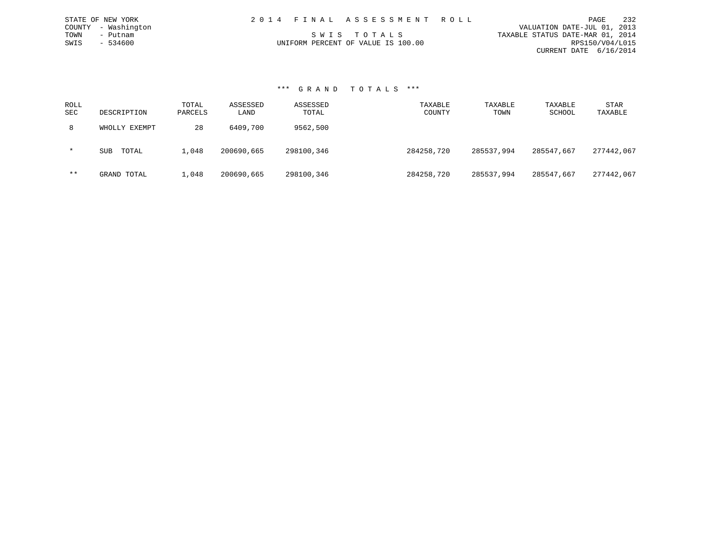|                                    | 2014 FINAL ASSESSMENT ROLL |                                  | PAGE                   | 232 |
|------------------------------------|----------------------------|----------------------------------|------------------------|-----|
|                                    |                            | VALUATION DATE-JUL 01, 2013      |                        |     |
| SWIS TOTALS                        |                            | TAXABLE STATUS DATE-MAR 01, 2014 |                        |     |
| UNIFORM PERCENT OF VALUE IS 100.00 |                            |                                  | RPS150/V04/L015        |     |
|                                    |                            |                                  | CURRENT DATE 6/16/2014 |     |

#### \*\*\* G R A N D T O T A L S \*\*\*

STATE OF NEW YORK COUNTY - Washington TOWN - Putnam  $SWIS$  - 534600

| ROLL<br>SEC | DESCRIPTION         | TOTAL<br>PARCELS | ASSESSED<br>LAND | ASSESSED<br>TOTAL | TAXABLE<br>COUNTY | TAXABLE<br>TOWN | TAXABLE<br>SCHOOL | STAR<br>TAXABLE |
|-------------|---------------------|------------------|------------------|-------------------|-------------------|-----------------|-------------------|-----------------|
| 8           | WHOLLY EXEMPT       | 28               | 6409,700         | 9562,500          |                   |                 |                   |                 |
| $\star$     | TOTAL<br><b>SUB</b> | 1,048            | 200690,665       | 298100,346        | 284258,720        | 285537,994      | 285547,667        | 277442,067      |
| $***$       | GRAND TOTAL         | 1,048            | 200690,665       | 298100,346        | 284258,720        | 285537,994      | 285547,667        | 277442,067      |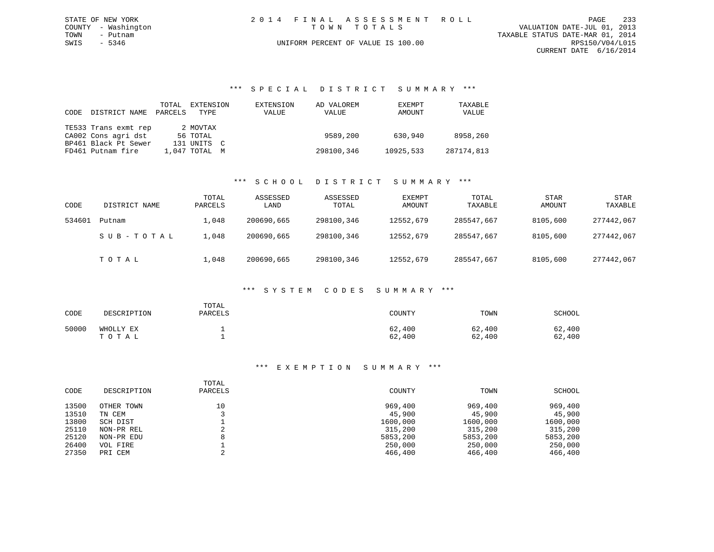|             | STATE OF NEW YORK   |  | 2014 FINAL ASSESSMENT ROLL         |                                  | PAGE            | 233 |
|-------------|---------------------|--|------------------------------------|----------------------------------|-----------------|-----|
|             | COUNTY - Washington |  | TOWN TOTALS                        | VALUATION DATE-JUL 01, 2013      |                 |     |
| TOWN        | - Putnam            |  |                                    | TAXABLE STATUS DATE-MAR 01, 2014 |                 |     |
| SWIS - 5346 |                     |  | UNIFORM PERCENT OF VALUE IS 100.00 |                                  | RPS150/V04/L015 |     |
|             |                     |  |                                    | CURRENT DATE 6/16/2014           |                 |     |

#### \*\*\* S P E C I A L D I S T R I C T S U M M A R Y \*\*\*

| CODE | DISTRICT NAME        | TOTAL<br>PARCELS | EXTENSION<br>TYPE | EXTENSION<br>VALUE | AD VALOREM<br>VALUE | EXEMPT<br>AMOUNT | TAXABLE<br>VALUE |
|------|----------------------|------------------|-------------------|--------------------|---------------------|------------------|------------------|
|      | TE533 Trans exmt rep |                  | 2 MOVTAX          |                    |                     |                  |                  |
|      | CA002 Cons agri dst  |                  | 56 TOTAL          |                    | 9589,200            | 630,940          | 8958,260         |
|      | BP461 Black Pt Sewer |                  | 131 UNITS C       |                    |                     |                  |                  |
|      | FD461 Putnam fire    |                  | 1,047 TOTAL M     |                    | 298100,346          | 10925,533        | 287174,813       |

#### \*\*\* S C H O O L D I S T R I C T S U M M A R Y \*\*\*

| CODE   | DISTRICT NAME | TOTAL<br>PARCELS | ASSESSED<br>LAND | ASSESSED<br>TOTAL | EXEMPT<br>AMOUNT | TOTAL<br>TAXABLE | <b>STAR</b><br>AMOUNT | STAR<br>TAXABLE |
|--------|---------------|------------------|------------------|-------------------|------------------|------------------|-----------------------|-----------------|
| 534601 | Putnam        | L,048            | 200690,665       | 298100,346        | 12552,679        | 285547,667       | 8105,600              | 277442,067      |
|        | SUB-TOTAL     | L,048            | 200690,665       | 298100,346        | 12552,679        | 285547,667       | 8105,600              | 277442,067      |
|        | TOTAL         | 1,048            | 200690,665       | 298100,346        | 12552,679        | 285547,667       | 8105,600              | 277442,067      |

#### \*\*\* S Y S T E M C O D E S S U M M A R Y \*\*\*

| CODE  | DESCRIPTION        | TOTAL<br>PARCELS | COUNTY           | TOWN             | SCHOOL           |
|-------|--------------------|------------------|------------------|------------------|------------------|
| 50000 | WHOLLY EX<br>TOTAL |                  | 62,400<br>62,400 | 62,400<br>62,400 | 62,400<br>62,400 |

|       |             | TOTAL   |          |          |          |
|-------|-------------|---------|----------|----------|----------|
| CODE  | DESCRIPTION | PARCELS | COUNTY   | TOWN     | SCHOOL   |
| 13500 | OTHER TOWN  | 10      | 969,400  | 969,400  | 969,400  |
| 13510 | TN CEM      |         | 45,900   | 45,900   | 45,900   |
| 13800 | SCH DIST    |         | 1600,000 | 1600,000 | 1600,000 |
| 25110 | NON-PR REL  |         | 315,200  | 315,200  | 315,200  |
| 25120 | NON-PR EDU  | 8       | 5853,200 | 5853,200 | 5853,200 |
| 26400 | VOL FIRE    |         | 250,000  | 250,000  | 250,000  |
| 27350 | PRI CEM     |         | 466,400  | 466,400  | 466,400  |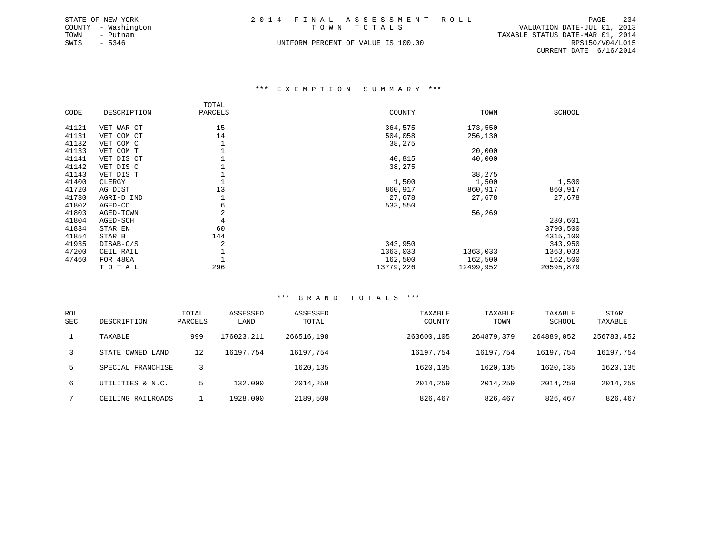| STATE OF NEW YORK   | 2014 FINAL ASSESSMENT ROLL         | 234<br>PAGE                      |
|---------------------|------------------------------------|----------------------------------|
| COUNTY - Washington | TOWN TOTALS                        | VALUATION DATE-JUL 01, 2013      |
| TOWN<br>– Putnam    |                                    | TAXABLE STATUS DATE-MAR 01, 2014 |
| SWIS - 5346         | UNIFORM PERCENT OF VALUE IS 100.00 | RPS150/V04/L015                  |
|                     |                                    | CURRENT DATE 6/16/2014           |

#### \*\*\* E X E M P T I O N S U M M A R Y \*\*\*

|       |             | TOTAL   |           |           |               |
|-------|-------------|---------|-----------|-----------|---------------|
| CODE  | DESCRIPTION | PARCELS | COUNTY    | TOWN      | <b>SCHOOL</b> |
| 41121 | VET WAR CT  | 15      | 364,575   | 173,550   |               |
| 41131 | VET COM CT  | 14      | 504,058   | 256,130   |               |
| 41132 | VET COM C   |         | 38,275    |           |               |
| 41133 | VET COM T   |         |           | 20,000    |               |
| 41141 | VET DIS CT  |         | 40,815    | 40,000    |               |
| 41142 | VET DIS C   |         | 38,275    |           |               |
| 41143 | VET DIS T   |         |           | 38,275    |               |
| 41400 | CLERGY      |         | 1,500     | 1,500     | 1,500         |
| 41720 | AG DIST     | 13      | 860,917   | 860,917   | 860,917       |
| 41730 | AGRI-D IND  |         | 27,678    | 27,678    | 27,678        |
| 41802 | AGED-CO     | 6       | 533,550   |           |               |
| 41803 | AGED-TOWN   | 2       |           | 56,269    |               |
| 41804 | AGED-SCH    | 4       |           |           | 230,601       |
| 41834 | STAR EN     | 60      |           |           | 3790,500      |
| 41854 | STAR B      | 144     |           |           | 4315,100      |
| 41935 | DISAB-C/S   | 2       | 343,950   |           | 343,950       |
| 47200 | CEIL RAIL   |         | 1363,033  | 1363,033  | 1363,033      |
| 47460 | FOR 480A    |         | 162,500   | 162,500   | 162,500       |
|       | TOTAL       | 296     | 13779,226 | 12499,952 | 20595,879     |

| <b>ROLL</b><br><b>SEC</b> | DESCRIPTION       | TOTAL<br>PARCELS | ASSESSED<br>LAND | ASSESSED<br>TOTAL | TAXABLE<br>COUNTY | TAXABLE<br>TOWN | TAXABLE<br>SCHOOL | STAR<br>TAXABLE |
|---------------------------|-------------------|------------------|------------------|-------------------|-------------------|-----------------|-------------------|-----------------|
| 1                         | TAXABLE           | 999              | 176023,211       | 266516,198        | 263600,105        | 264879,379      | 264889,052        | 256783,452      |
| $\overline{3}$            | STATE OWNED LAND  | 12               | 16197.754        | 16197,754         | 16197.754         | 16197.754       | 16197,754         | 16197,754       |
| $5 -$                     | SPECIAL FRANCHISE |                  |                  | 1620,135          | 1620,135          | 1620, 135       | 1620,135          | 1620,135        |
| 6                         | UTILITIES & N.C.  | 5                | 132,000          | 2014,259          | 2014,259          | 2014,259        | 2014,259          | 2014,259        |
|                           | CEILING RAILROADS |                  | 1928,000         | 2189,500          | 826,467           | 826,467         | 826,467           | 826,467         |